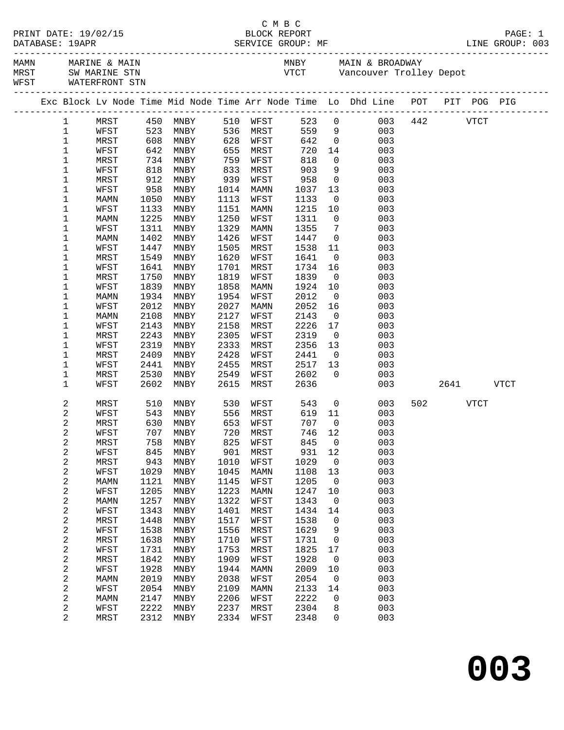|  |                            | WFST WATERFRONT STN |              |                          |              |              |                           |                                  |                                                                                |     |          |      |
|--|----------------------------|---------------------|--------------|--------------------------|--------------|--------------|---------------------------|----------------------------------|--------------------------------------------------------------------------------|-----|----------|------|
|  |                            |                     |              |                          |              |              |                           |                                  | Exc Block Lv Node Time Mid Node Time Arr Node Time Lo Dhd Line POT PIT POG PIG |     |          |      |
|  |                            |                     |              |                          |              |              |                           |                                  | 1 MRST 450 MNBY 510 WFST 523 0 003 442 VTCT                                    |     |          |      |
|  | $\mathbf 1$                | WFST                |              | 523 MNBY 536 MRST 559 9  |              |              |                           |                                  | 003                                                                            |     |          |      |
|  | $\mathbf{1}$               | MRST                |              |                          |              |              | 642<br>720<br>818         |                                  | 642 0<br>720 14<br>003                                                         |     |          |      |
|  | $\mathbf 1$                | WFST                |              |                          |              |              |                           |                                  | 003                                                                            |     |          |      |
|  | $\mathbf 1$                | MRST                |              |                          | 759          |              |                           |                                  | $\overline{0}$<br>003                                                          |     |          |      |
|  | $\mathbf 1$                | WFST                | 818          | MNBY                     | 833          | MRST         | 903                       |                                  | 9<br>003                                                                       |     |          |      |
|  | $\mathbf 1$                | MRST                | 912          | MNBY                     | 939          | WFST         | $958$<br>$1037$<br>$1133$ |                                  | $\overline{0}$<br>003                                                          |     |          |      |
|  | $\mathbf 1$                | WFST                | 958          | MNBY                     | 1014         | MAMN         |                           |                                  | $\begin{array}{c} 13 \\ 0 \end{array}$<br>003                                  |     |          |      |
|  | $\mathbf 1$                | MAMN                | 1050         | MNBY                     | 1113         | WFST         | 1133                      |                                  | 003                                                                            |     |          |      |
|  | $\mathbf 1$                | WFST                | 1133         | MNBY                     | 1151         | MAMN         | 1215                      | 10                               | 003                                                                            |     |          |      |
|  | $\mathbf 1$                | MAMN                | 1225         | MNBY                     | 1250         | WFST         | 1311                      | $\overline{0}$                   | 003                                                                            |     |          |      |
|  | $\mathbf 1$<br>$\mathbf 1$ | WFST<br>MAMN        | 1311<br>1402 | MNBY                     | 1329<br>1426 | MAMN         | 1355<br>1447              | $\overline{7}$<br>$\overline{0}$ | 003<br>003                                                                     |     |          |      |
|  | $\mathbf 1$                | WFST                | 1447         | MNBY<br>MNBY             | 1505         | WFST<br>MRST | 1538                      | 11                               | 003                                                                            |     |          |      |
|  | $\mathbf 1$                | MRST                | 1549         | MNBY                     | 1620         | WFST         | 1641                      | $\overline{0}$                   | 003                                                                            |     |          |      |
|  | $\mathbf 1$                | WFST                | 1641         | MNBY                     | 1701         | MRST         | 1734                      | 16                               | 003                                                                            |     |          |      |
|  | 1                          | MRST                | 1750         | MNBY                     | 1819         | WFST         | 1839                      | $\overline{0}$                   | 003                                                                            |     |          |      |
|  | $\mathbf 1$                | WFST                | 1839         | MNBY                     | 1858         | MAMN         | 1924                      | 10                               | 003                                                                            |     |          |      |
|  | $\mathbf 1$                | MAMN                | 1934         | MNBY                     | 1954         | WFST         | 2012                      | $\overline{0}$                   | 003                                                                            |     |          |      |
|  | $\mathbf 1$                | WFST                | 2012         | MNBY                     | 2027         | MAMN         | 2052                      | 16                               | 003                                                                            |     |          |      |
|  | $\mathbf 1$                | MAMN                | 2108         | MNBY                     | 2127         | WFST         | 2143                      | $\overline{0}$                   | 003                                                                            |     |          |      |
|  | 1                          | WFST                | 2143         | MNBY                     | 2158         | MRST         | 2226                      | 17                               | 003                                                                            |     |          |      |
|  | $\mathbf 1$                | MRST                | 2243         | MNBY                     | 2305         | WFST         | 2319                      | $\overline{0}$                   | 003                                                                            |     |          |      |
|  | 1                          | WFST                | 2319         | MNBY                     | 2333         | MRST         | 2356                      | 13                               | 003                                                                            |     |          |      |
|  | $\mathbf 1$                | MRST                | 2409         | MNBY                     | 2428         | WFST         | 2441                      | $\overline{0}$                   | 003                                                                            |     |          |      |
|  | $\mathbf 1$                | WFST                | 2441         | MNBY                     | 2455         | MRST         | 2517                      | 13                               | 003                                                                            |     |          |      |
|  | $\mathbf 1$                | MRST                | 2530         | MNBY                     | 2549         | WFST         | 2602                      | $\overline{0}$                   | 003                                                                            |     |          |      |
|  | $\mathbf 1$                | WFST                | 2602         | MNBY                     | 2615         | MRST         | 2636                      |                                  |                                                                                | 003 | 2641     | VTCT |
|  | 2                          | MRST                |              | 510 MNBY 530 WFST 543 0  |              |              |                           |                                  | 003                                                                            |     | 502 VTCT |      |
|  | 2                          | WFST                |              | 543 MNBY 556 MRST 619 11 |              |              |                           |                                  | 003                                                                            |     |          |      |
|  | 2                          | MRST                |              | 630 MNBY                 |              | 653 WFST     | 707                       | $\overline{0}$                   | 003                                                                            |     |          |      |
|  | 2                          | WFST                |              | 707 MNBY 720 MRST 746 12 |              |              |                           |                                  | 003                                                                            |     |          |      |
|  | 2                          | MRST                | 758          | MNBY                     | 825          | WFST         | 845                       | 0                                | 003                                                                            |     |          |      |
|  | 2                          | WFST                | 845          | MNBY                     | 901          | MRST         | 931                       | 12                               | 003                                                                            |     |          |      |
|  | 2                          | MRST                | 943          | MNBY                     | 1010         | WFST         | 1029                      | 0                                | 003                                                                            |     |          |      |
|  | $\overline{\mathbf{c}}$    | WFST                | 1029         | MNBY                     | 1045<br>1145 | <b>MAMN</b>  | 1108<br>1205              | 13<br>0                          | 003<br>003                                                                     |     |          |      |
|  | 2<br>2                     | MAMN<br>WFST        | 1121<br>1205 | MNBY<br>MNBY             | 1223         | WFST<br>MAMN | 1247                      | 10                               | 003                                                                            |     |          |      |
|  | $\overline{\mathbf{c}}$    | MAMN                | 1257         | MNBY                     | 1322         | WFST         | 1343                      | 0                                | 003                                                                            |     |          |      |
|  | 2                          | WFST                | 1343         | MNBY                     | 1401         | MRST         | 1434                      | 14                               | 003                                                                            |     |          |      |
|  | $\overline{\mathbf{c}}$    | MRST                | 1448         | MNBY                     | 1517         | WFST         | 1538                      | 0                                | 003                                                                            |     |          |      |
|  | 2                          | WFST                | 1538         | MNBY                     | 1556         | MRST         | 1629                      | 9                                | 003                                                                            |     |          |      |
|  | 2                          | MRST                | 1638         | MNBY                     | 1710         | WFST         | 1731                      | 0                                | 003                                                                            |     |          |      |
|  | 2                          | WFST                | 1731         | MNBY                     | 1753         | MRST         | 1825                      | 17                               | 003                                                                            |     |          |      |
|  | $\overline{\mathbf{c}}$    | MRST                | 1842         | MNBY                     | 1909         | WFST         | 1928                      | 0                                | 003                                                                            |     |          |      |
|  | 2                          | WFST                | 1928         | MNBY                     | 1944         | MAMN         | 2009                      | 10                               | 003                                                                            |     |          |      |
|  | 2                          | MAMN                | 2019         | MNBY                     | 2038         | WFST         | 2054                      | 0                                | 003                                                                            |     |          |      |
|  | 2                          | WFST                | 2054         | MNBY                     | 2109         | MAMN         | 2133                      | 14                               | 003                                                                            |     |          |      |
|  | $\overline{\mathbf{c}}$    | MAMN                | 2147         | MNBY                     | 2206         | WFST         | 2222                      | 0                                | 003                                                                            |     |          |      |
|  | 2                          | WFST                | 2222         | MNBY                     | 2237         | MRST         | 2304                      | 8                                | 003                                                                            |     |          |      |
|  | 2                          | MRST                | 2312         | MNBY                     | 2334         | WFST         | 2348                      | 0                                | 003                                                                            |     |          |      |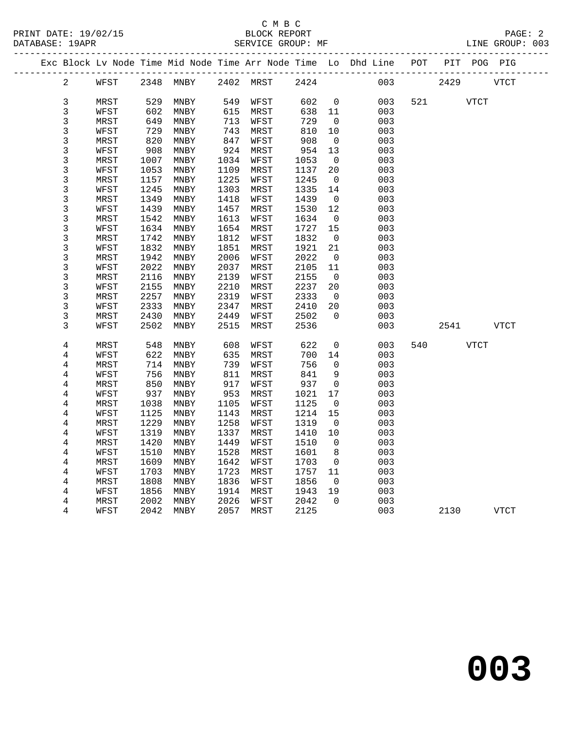## C M B C

| DATABASE: 19APR |      |      |                |      | SERVICE GROUP: MF |      |                |                                                                                |     |          |             | LINE GROUP: 003 |  |
|-----------------|------|------|----------------|------|-------------------|------|----------------|--------------------------------------------------------------------------------|-----|----------|-------------|-----------------|--|
|                 |      |      |                |      |                   |      |                | Exc Block Lv Node Time Mid Node Time Arr Node Time Lo Dhd Line POT PIT POG PIG |     |          |             |                 |  |
| $\overline{2}$  |      |      | WFST 2348 MNBY |      | 2402 MRST         |      |                | 2424 003                                                                       |     | 2429     |             | VTCT            |  |
| 3               | MRST | 529  | MNBY           | 549  | WFST              | 602  | $\overline{0}$ | 003                                                                            |     | 521 VTCT |             |                 |  |
| 3               | WFST | 602  | MNBY           | 615  | MRST              | 638  | 11             | 003                                                                            |     |          |             |                 |  |
| 3               | MRST | 649  | MNBY           | 713  | WFST              | 729  | $\overline{0}$ | 003                                                                            |     |          |             |                 |  |
| 3               | WFST | 729  | MNBY           | 743  | MRST              | 810  | 10             | 003                                                                            |     |          |             |                 |  |
| 3               | MRST | 820  | MNBY           | 847  | WFST              | 908  | $\Omega$       | 003                                                                            |     |          |             |                 |  |
| 3               | WFST | 908  | MNBY           | 924  | MRST              | 954  | 13             | 003                                                                            |     |          |             |                 |  |
| 3               | MRST | 1007 | MNBY           | 1034 | WFST              | 1053 | $\Omega$       | 003                                                                            |     |          |             |                 |  |
| 3               | WFST | 1053 | MNBY           | 1109 | MRST              | 1137 | 20             | 003                                                                            |     |          |             |                 |  |
| 3               | MRST | 1157 | MNBY           | 1225 | WFST              | 1245 | $\overline{0}$ | 003                                                                            |     |          |             |                 |  |
| 3               | WFST | 1245 | MNBY           | 1303 | MRST              | 1335 | 14             | 003                                                                            |     |          |             |                 |  |
| 3               | MRST | 1349 | MNBY           | 1418 | WFST              | 1439 | $\overline{0}$ | 003                                                                            |     |          |             |                 |  |
| 3               | WFST | 1439 | MNBY           | 1457 | MRST              | 1530 | 12             | 003                                                                            |     |          |             |                 |  |
| 3               | MRST | 1542 | MNBY           | 1613 | WFST              | 1634 | $\overline{0}$ | 003                                                                            |     |          |             |                 |  |
| 3               | WFST | 1634 | MNBY           | 1654 | MRST              | 1727 | 15             | 003                                                                            |     |          |             |                 |  |
| 3               | MRST | 1742 | MNBY           | 1812 | WFST              | 1832 | $\overline{0}$ | 003                                                                            |     |          |             |                 |  |
| 3               | WFST | 1832 | MNBY           | 1851 | MRST              | 1921 | 21             | 003                                                                            |     |          |             |                 |  |
| 3               | MRST | 1942 | MNBY           | 2006 | WFST              | 2022 | $\overline{0}$ | 003                                                                            |     |          |             |                 |  |
| 3               | WFST | 2022 | MNBY           | 2037 | MRST              | 2105 | 11             | 003                                                                            |     |          |             |                 |  |
| 3               | MRST | 2116 | MNBY           | 2139 | WFST              | 2155 | $\overline{0}$ | 003                                                                            |     |          |             |                 |  |
| 3               | WFST | 2155 | MNBY           | 2210 | MRST              | 2237 | 20             | 003                                                                            |     |          |             |                 |  |
| 3               | MRST | 2257 | MNBY           | 2319 | WFST              | 2333 | $\overline{0}$ | 003                                                                            |     |          |             |                 |  |
| 3               | WFST | 2333 | MNBY           | 2347 | MRST              | 2410 | 20             | 003                                                                            |     |          |             |                 |  |
| 3               | MRST | 2430 | MNBY           | 2449 | WFST              | 2502 | $\overline{0}$ | 003                                                                            |     |          |             |                 |  |
| 3               | WFST | 2502 | MNBY           | 2515 | MRST              | 2536 |                | 003                                                                            |     | 2541     |             | VTCT            |  |
| 4               | MRST |      | 548 MNBY       |      | 608 WFST          | 622  | $\Omega$       | 003                                                                            | 540 |          | <b>VTCT</b> |                 |  |

| 4 | MRST | 548  | MNBY | 608  | WFST | 622  | 0  | 003 | 540 | <b>VTCT</b> |      |
|---|------|------|------|------|------|------|----|-----|-----|-------------|------|
| 4 | WFST | 622  | MNBY | 635  | MRST | 700  | 14 | 003 |     |             |      |
| 4 | MRST | 714  | MNBY | 739  | WFST | 756  | 0  | 003 |     |             |      |
| 4 | WFST | 756  | MNBY | 811  | MRST | 841  | 9  | 003 |     |             |      |
| 4 | MRST | 850  | MNBY | 917  | WFST | 937  | 0  | 003 |     |             |      |
| 4 | WFST | 937  | MNBY | 953  | MRST | 1021 | 17 | 003 |     |             |      |
| 4 | MRST | 1038 | MNBY | 1105 | WFST | 1125 | 0  | 003 |     |             |      |
| 4 | WFST | 1125 | MNBY | 1143 | MRST | 1214 | 15 | 003 |     |             |      |
| 4 | MRST | 1229 | MNBY | 1258 | WFST | 1319 | 0  | 003 |     |             |      |
| 4 | WFST | 1319 | MNBY | 1337 | MRST | 1410 | 10 | 003 |     |             |      |
| 4 | MRST | 1420 | MNBY | 1449 | WFST | 1510 | 0  | 003 |     |             |      |
| 4 | WFST | 1510 | MNBY | 1528 | MRST | 1601 | 8  | 003 |     |             |      |
| 4 | MRST | 1609 | MNBY | 1642 | WFST | 1703 | 0  | 003 |     |             |      |
| 4 | WFST | 1703 | MNBY | 1723 | MRST | 1757 | 11 | 003 |     |             |      |
| 4 | MRST | 1808 | MNBY | 1836 | WFST | 1856 | 0  | 003 |     |             |      |
| 4 | WFST | 1856 | MNBY | 1914 | MRST | 1943 | 19 | 003 |     |             |      |
| 4 | MRST | 2002 | MNBY | 2026 | WFST | 2042 | 0  | 003 |     |             |      |
| 4 | WFST | 2042 | MNBY | 2057 | MRST | 2125 |    | 003 |     | 2130        | VTCT |
|   |      |      |      |      |      |      |    |     |     |             |      |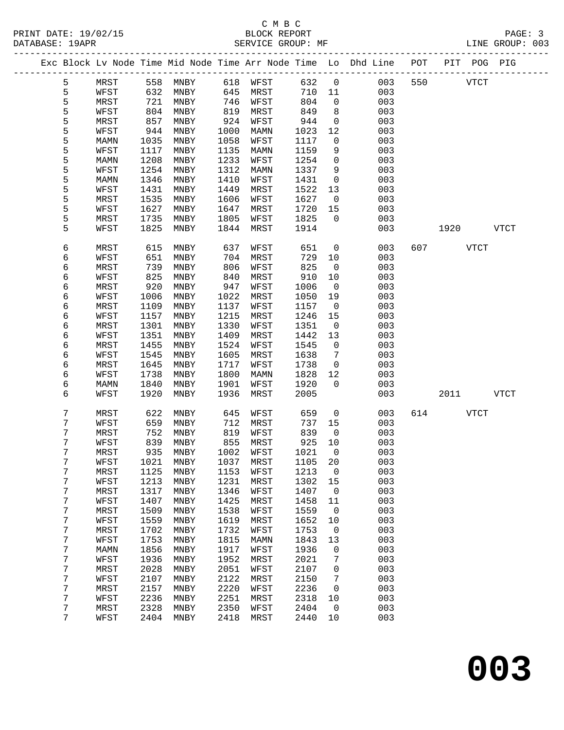|  |   |             |      |      |      |      |      |              | Exc Block Lv Node Time Mid Node Time Arr Node Time Lo Dhd Line POT<br>______________ | ____________ |      | PIT POG PIG |      |
|--|---|-------------|------|------|------|------|------|--------------|--------------------------------------------------------------------------------------|--------------|------|-------------|------|
|  | 5 | MRST        | 558  | MNBY | 618  | WFST | 632  | $\mathbf 0$  | 003                                                                                  | 550          |      | <b>VTCT</b> |      |
|  | 5 | WFST        | 632  | MNBY | 645  | MRST | 710  | 11           | 003                                                                                  |              |      |             |      |
|  | 5 | MRST        | 721  | MNBY | 746  | WFST | 804  | $\mathbf 0$  | 003                                                                                  |              |      |             |      |
|  | 5 | WFST        | 804  | MNBY | 819  | MRST | 849  | 8            | 003                                                                                  |              |      |             |      |
|  | 5 | MRST        | 857  | MNBY | 924  | WFST | 944  | $\mathsf{O}$ | 003                                                                                  |              |      |             |      |
|  | 5 | WFST        | 944  | MNBY | 1000 | MAMN | 1023 | 12           | 003                                                                                  |              |      |             |      |
|  | 5 | MAMN        | 1035 | MNBY | 1058 | WFST | 1117 | 0            | 003                                                                                  |              |      |             |      |
|  | 5 | WFST        | 1117 | MNBY | 1135 | MAMN | 1159 | 9            | 003                                                                                  |              |      |             |      |
|  | 5 | MAMN        | 1208 | MNBY | 1233 | WFST | 1254 | $\mathsf{O}$ | 003                                                                                  |              |      |             |      |
|  | 5 | WFST        | 1254 | MNBY | 1312 | MAMN | 1337 | 9            | 003                                                                                  |              |      |             |      |
|  | 5 | MAMN        | 1346 | MNBY | 1410 | WFST | 1431 | $\mathsf{O}$ | 003                                                                                  |              |      |             |      |
|  | 5 | WFST        | 1431 | MNBY | 1449 | MRST | 1522 | 13           | 003                                                                                  |              |      |             |      |
|  | 5 | MRST        | 1535 | MNBY | 1606 | WFST | 1627 | $\mathbf 0$  | 003                                                                                  |              |      |             |      |
|  | 5 | WFST        | 1627 | MNBY | 1647 | MRST | 1720 | 15           | 003                                                                                  |              |      |             |      |
|  | 5 | MRST        | 1735 | MNBY | 1805 | WFST | 1825 | $\Omega$     | 003                                                                                  |              |      |             |      |
|  | 5 | WFST        | 1825 | MNBY | 1844 | MRST | 1914 |              | 003                                                                                  |              | 1920 |             | VTCT |
|  |   |             |      |      |      |      |      |              |                                                                                      |              |      |             |      |
|  | 6 | MRST        | 615  | MNBY | 637  | WFST | 651  | 0            | 003                                                                                  | 607          |      | <b>VTCT</b> |      |
|  | 6 | WFST        | 651  | MNBY | 704  | MRST | 729  | 10           | 003                                                                                  |              |      |             |      |
|  | 6 | <b>MRST</b> | 739  | MNBY | 806  | WFST | 825  | 0            | 003                                                                                  |              |      |             |      |
|  | 6 | WFST        | 825  | MNBY | 840  | MRST | 910  | 10           | 003                                                                                  |              |      |             |      |
|  | 6 | MRST        | 920  | MNBY | 947  | WFST | 1006 | $\mathsf{O}$ | 003                                                                                  |              |      |             |      |
|  | 6 | WFST        | 1006 | MNBY | 1022 | MRST | 1050 | 19           | 003                                                                                  |              |      |             |      |
|  | 6 | MRST        | 1109 | MNBY | 1137 | WFST | 1157 | $\mathbf 0$  | 003                                                                                  |              |      |             |      |
|  | 6 | WFST        | 1157 | MNBY | 1215 | MRST | 1246 | 15           | 003                                                                                  |              |      |             |      |
|  | 6 | MRST        | 1301 | MNBY | 1330 | WFST | 1351 | $\mathsf{O}$ | 003                                                                                  |              |      |             |      |
|  | 6 | WFST        | 1351 | MNBY | 1409 | MRST | 1442 | 13           | 003                                                                                  |              |      |             |      |
|  | 6 | MRST        | 1455 | MNBY | 1524 | WFST | 1545 | $\mathsf{O}$ | 003                                                                                  |              |      |             |      |
|  | 6 | WFST        | 1545 | MNBY | 1605 | MRST | 1638 | 7            | 003                                                                                  |              |      |             |      |
|  | 6 | MRST        | 1645 | MNBY | 1717 | WFST | 1738 | $\mathbf 0$  | 003                                                                                  |              |      |             |      |
|  | 6 | WFST        | 1738 | MNBY | 1800 | MAMN | 1828 | 12           | 003                                                                                  |              |      |             |      |
|  | 6 | MAMN        | 1840 | MNBY | 1901 | WFST | 1920 | $\Omega$     | 003                                                                                  |              |      |             |      |
|  | 6 | WFST        | 1920 | MNBY | 1936 | MRST | 2005 |              | 003                                                                                  |              | 2011 |             | VTCT |
|  | 7 | MRST        | 622  | MNBY | 645  | WFST | 659  | 0            | 003                                                                                  | 614          |      | <b>VTCT</b> |      |
|  | 7 | WFST        | 659  | MNBY | 712  | MRST | 737  | 15           | 003                                                                                  |              |      |             |      |
|  | 7 | MRST        | 752  | MNBY | 819  | WFST | 839  | $\mathbf 0$  | 003                                                                                  |              |      |             |      |
|  | 7 | WFST        | 839  | MNBY | 855  | MRST | 925  | 10           | 003                                                                                  |              |      |             |      |
|  | 7 | MRST        | 935  | MNBY | 1002 | WFST | 1021 | $\mathbf 0$  | 003                                                                                  |              |      |             |      |
|  | 7 | WFST        | 1021 | MNBY | 1037 | MRST | 1105 | 20           | 003                                                                                  |              |      |             |      |
|  | 7 | MRST        | 1125 | MNBY | 1153 | WFST | 1213 | 0            | 003                                                                                  |              |      |             |      |
|  | 7 | WFST        | 1213 | MNBY | 1231 | MRST | 1302 | 15           | 003                                                                                  |              |      |             |      |
|  | 7 | MRST        | 1317 | MNBY | 1346 | WFST | 1407 | 0            | 003                                                                                  |              |      |             |      |
|  | 7 | WFST        | 1407 | MNBY | 1425 | MRST | 1458 | 11           | 003                                                                                  |              |      |             |      |
|  | 7 | MRST        | 1509 | MNBY | 1538 | WFST | 1559 | 0            | 003                                                                                  |              |      |             |      |
|  | 7 | WFST        | 1559 | MNBY | 1619 | MRST | 1652 | 10           | 003                                                                                  |              |      |             |      |
|  | 7 | MRST        | 1702 | MNBY | 1732 | WFST | 1753 | 0            | 003                                                                                  |              |      |             |      |
|  | 7 | WFST        | 1753 | MNBY | 1815 | MAMN | 1843 | 13           | 003                                                                                  |              |      |             |      |
|  | 7 | MAMN        | 1856 | MNBY | 1917 | WFST | 1936 | 0            | 003                                                                                  |              |      |             |      |
|  | 7 | WFST        | 1936 | MNBY | 1952 | MRST | 2021 | 7            | 003                                                                                  |              |      |             |      |
|  | 7 | MRST        | 2028 | MNBY | 2051 | WFST | 2107 | 0            | 003                                                                                  |              |      |             |      |
|  | 7 | WFST        | 2107 | MNBY | 2122 | MRST | 2150 | 7            | 003                                                                                  |              |      |             |      |
|  | 7 | MRST        | 2157 | MNBY | 2220 | WFST | 2236 | 0            | 003                                                                                  |              |      |             |      |
|  | 7 | WFST        | 2236 | MNBY | 2251 | MRST | 2318 | 10           | 003                                                                                  |              |      |             |      |
|  | 7 | MRST        | 2328 | MNBY | 2350 | WFST | 2404 | 0            | 003                                                                                  |              |      |             |      |
|  | 7 | WFST        | 2404 | MNBY | 2418 | MRST | 2440 | 10           | 003                                                                                  |              |      |             |      |
|  |   |             |      |      |      |      |      |              |                                                                                      |              |      |             |      |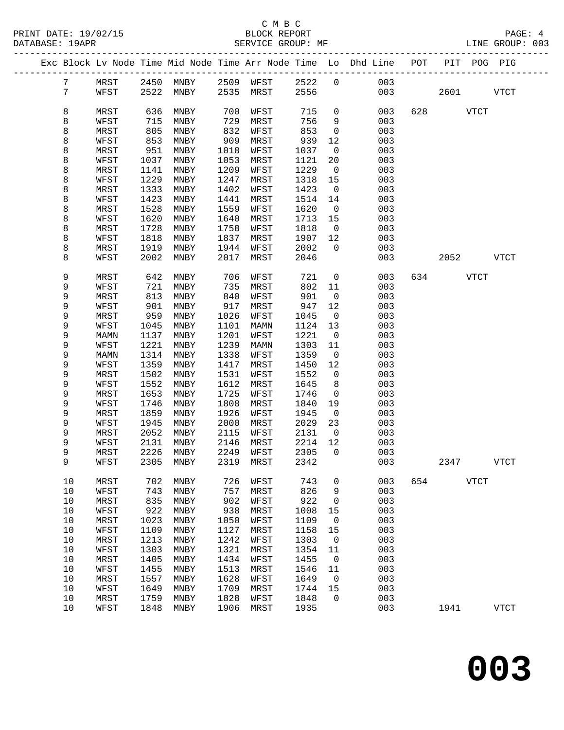|  |                 |              |              |                          |              |              |              |                          | Exc Block Lv Node Time Mid Node Time Arr Node Time Lo Dhd Line POT |     | PIT POG PIG |      |             |  |
|--|-----------------|--------------|--------------|--------------------------|--------------|--------------|--------------|--------------------------|--------------------------------------------------------------------|-----|-------------|------|-------------|--|
|  | 7               | MRST         |              | 2450 MNBY 2509 WFST 2522 |              |              |              | $\overline{0}$           | 003                                                                |     |             |      |             |  |
|  | $7\phantom{.0}$ | WFST         | 2522         | MNBY                     |              | 2535 MRST    | 2556         |                          | 003                                                                |     | 2601        |      | <b>VTCT</b> |  |
|  |                 |              |              |                          |              |              |              |                          |                                                                    |     |             |      |             |  |
|  | 8               | MRST         | 636          | MNBY                     | 700          | WFST         | 715          | $\mathbf 0$              | 003                                                                | 628 | <b>VTCT</b> |      |             |  |
|  | 8               | WFST         | 715          | MNBY                     | 729          | MRST         | 756          | 9                        | 003                                                                |     |             |      |             |  |
|  | 8               | MRST         | 805          | MNBY                     | 832          | WFST         | 853          | $\mathsf{O}$             | 003                                                                |     |             |      |             |  |
|  | 8               | WFST         | 853          | MNBY                     | 909          | MRST         | 939          | 12                       | 003                                                                |     |             |      |             |  |
|  | 8               | MRST         | 951          | MNBY                     | 1018         | WFST         | 1037         | $\overline{\phantom{0}}$ | 003                                                                |     |             |      |             |  |
|  | 8               | WFST         | 1037         | MNBY                     | 1053         | MRST         | 1121         | 20                       | 003                                                                |     |             |      |             |  |
|  | 8               | MRST         | 1141         | MNBY                     | 1209         | WFST         | 1229         | $\overline{0}$           | 003                                                                |     |             |      |             |  |
|  | 8               | WFST         | 1229         | MNBY                     | 1247         | MRST         | 1318         | 15                       | 003                                                                |     |             |      |             |  |
|  | 8               | MRST         | 1333         | MNBY                     | 1402         | WFST         | 1423         | $\overline{\phantom{0}}$ | 003                                                                |     |             |      |             |  |
|  | 8               | WFST         | 1423         | MNBY                     | 1441         | MRST         | 1514         | 14                       | 003                                                                |     |             |      |             |  |
|  | 8               | MRST         | 1528         | MNBY                     | 1559         | WFST         | 1620         | $\overline{0}$           | 003                                                                |     |             |      |             |  |
|  | 8               | WFST         | 1620         | MNBY                     | 1640         | MRST         | 1713         | 15                       | 003                                                                |     |             |      |             |  |
|  | 8               | MRST         | 1728         | MNBY                     | 1758         | WFST         | 1818         | $\overline{0}$           | 003                                                                |     |             |      |             |  |
|  | 8               | WFST         | 1818         | MNBY                     | 1837         | MRST         | 1907         | 12                       | 003                                                                |     |             |      |             |  |
|  | 8               | MRST         | 1919         | MNBY                     | 1944         | WFST<br>MRST | 2002         | $\overline{0}$           | 003                                                                |     |             |      |             |  |
|  | 8               | WFST         | 2002         | MNBY                     | 2017         |              | 2046         |                          | 003                                                                |     | 2052        |      | VTCT        |  |
|  | 9               | MRST         | 642          | MNBY                     | 706          | WFST         | 721          | $\overline{0}$           | 003                                                                |     | 634 VTCT    |      |             |  |
|  | 9               | WFST         | 721          | MNBY                     | 735          | MRST         | 802          | 11                       | 003                                                                |     |             |      |             |  |
|  | 9               | MRST         | 813          | MNBY                     | 840          | WFST         | 901          | $\overline{0}$           | 003                                                                |     |             |      |             |  |
|  | 9               | WFST         | 901          | MNBY                     | 917          | MRST         | 947          | 12                       | 003                                                                |     |             |      |             |  |
|  | 9               | MRST         | 959          | MNBY                     | 1026         | WFST         | 1045         | $\overline{0}$           | 003                                                                |     |             |      |             |  |
|  | 9               | WFST         | 1045         | MNBY                     | 1101         | MAMN         | 1124         | 13                       | 003                                                                |     |             |      |             |  |
|  | 9               | MAMN         | 1137         | MNBY                     | 1201         | WFST         | 1221         | $\overline{0}$           | 003                                                                |     |             |      |             |  |
|  | 9               | WFST         | 1221         | MNBY                     | 1239         | MAMN         | 1303         | 11                       | 003                                                                |     |             |      |             |  |
|  | 9               | MAMN         | 1314         | MNBY                     | 1338         | WFST         | 1359         | $\overline{0}$           | 003                                                                |     |             |      |             |  |
|  | 9               | WFST         | 1359         | MNBY                     | 1417         | MRST         | 1450         | 12                       | 003                                                                |     |             |      |             |  |
|  | 9               | MRST         | 1502         | MNBY                     | 1531         | WFST         | 1552         | $\overline{0}$           | 003                                                                |     |             |      |             |  |
|  | 9<br>9          | WFST<br>MRST | 1552<br>1653 | MNBY<br>MNBY             | 1612<br>1725 | MRST         | 1645<br>1746 | 8<br>$\overline{0}$      | 003<br>003                                                         |     |             |      |             |  |
|  | 9               | WFST         | 1746         | MNBY                     | 1808         | WFST<br>MRST | 1840         | 19                       | 003                                                                |     |             |      |             |  |
|  | 9               | MRST         | 1859         | MNBY                     | 1926         | WFST         | 1945         | $\overline{0}$           | 003                                                                |     |             |      |             |  |
|  | 9               | WFST         | 1945         | MNBY                     | 2000         | MRST         | 2029         | 23                       | 003                                                                |     |             |      |             |  |
|  | 9               | MRST         | 2052         | MNBY                     | 2115         | WFST         | 2131         | $\overline{\phantom{0}}$ | 003                                                                |     |             |      |             |  |
|  | 9               | WFST         | 2131         | MNBY                     | 2146         | MRST         | 2214         | 12                       | 003                                                                |     |             |      |             |  |
|  | 9               | MRST         | 2226         | MNBY                     | 2249         | WFST         | 2305         | $\overline{0}$           | 003                                                                |     |             |      |             |  |
|  | 9               | WFST         |              | 2305 MNBY                |              | 2319 MRST    | 2342         |                          | 003                                                                |     | 2347        |      | <b>VTCT</b> |  |
|  |                 |              |              |                          |              |              |              |                          |                                                                    |     |             |      |             |  |
|  | 10              | MRST         | 702          | MNBY                     | 726          | WFST         | 743          | 0                        | 003                                                                | 654 |             | VTCT |             |  |
|  | $10$            | WFST         | 743          | MNBY                     | 757          | MRST         | 826          | 9                        | 003                                                                |     |             |      |             |  |
|  | $10$            | MRST         | 835          | MNBY                     | 902          | WFST         | 922          | 0                        | 003                                                                |     |             |      |             |  |
|  | 10              | WFST         | 922          | MNBY                     | 938          | MRST         | 1008         | 15                       | 003                                                                |     |             |      |             |  |
|  | $10$            | MRST         | 1023         | MNBY                     | 1050         | WFST         | 1109         | 0                        | 003                                                                |     |             |      |             |  |
|  | $10$            | WFST         | 1109         | MNBY                     | 1127         | MRST         | 1158         | 15                       | 003                                                                |     |             |      |             |  |
|  | $10$            | MRST         | 1213         | MNBY                     | 1242         | WFST         | 1303         | $\mathbf 0$              | 003                                                                |     |             |      |             |  |
|  | $10$            | WFST         | 1303         | MNBY                     | 1321         | MRST         | 1354         | 11                       | 003                                                                |     |             |      |             |  |
|  | $10$            | MRST         | 1405         | MNBY                     | 1434         | WFST         | 1455         | $\mathsf{O}$             | 003                                                                |     |             |      |             |  |
|  | $10$            | WFST         | 1455         | MNBY                     | 1513         | MRST         | 1546         | 11                       | 003                                                                |     |             |      |             |  |
|  | $10$            | MRST         | 1557         | MNBY                     | 1628         | WFST         | 1649         | $\mathbf 0$              | 003                                                                |     |             |      |             |  |
|  | 10              | WFST         | 1649         | MNBY                     | 1709         | MRST         | 1744         | 15                       | 003                                                                |     |             |      |             |  |
|  | 10              | MRST         | 1759         | MNBY                     | 1828         | WFST         | 1848         | $\Omega$                 | 003                                                                |     |             |      |             |  |
|  | 10              | WFST         | 1848         | MNBY                     | 1906         | MRST         | 1935         |                          | 003                                                                |     | 1941        |      | <b>VTCT</b> |  |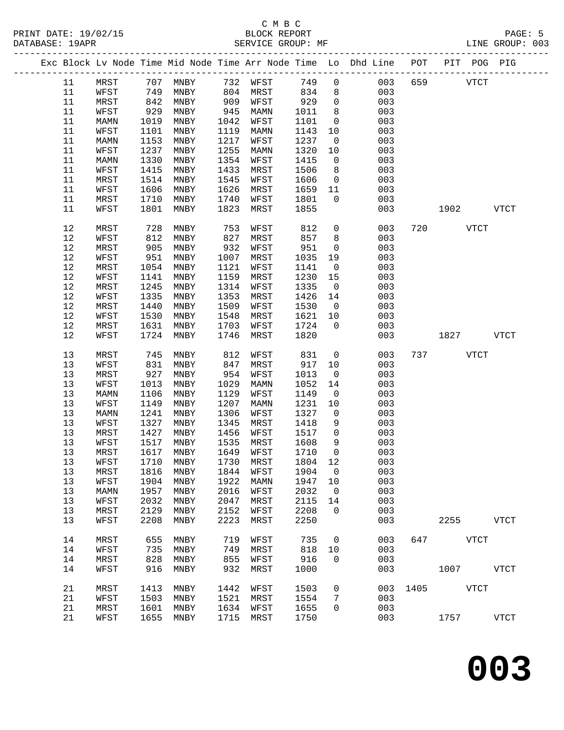|      |      |      |                     |      |      |         |                | Exc Block Lv Node Time Mid Node Time Arr Node Time Lo Dhd Line POT PIT POG PIG |     |                    |              |
|------|------|------|---------------------|------|------|---------|----------------|--------------------------------------------------------------------------------|-----|--------------------|--------------|
| 11   | MRST |      | 707 MNBY 732 WFST   |      |      | 749     | $\overline{0}$ | 003                                                                            | 659 | <b>VTCT</b>        |              |
| 11   | WFST | 749  | MNBY                | 804  | MRST | 834     | 8              | 003                                                                            |     |                    |              |
| 11   | MRST | 842  | MNBY                | 909  | WFST | 929     | $\mathsf{O}$   | 003                                                                            |     |                    |              |
| 11   | WFST | 929  | MNBY                | 945  | MAMN | 1011    | 8              | 003                                                                            |     |                    |              |
| 11   | MAMN | 1019 | MNBY                | 1042 | WFST | 1101    | $\overline{0}$ | 003                                                                            |     |                    |              |
| 11   | WFST | 1101 | MNBY                | 1119 | MAMN | 1143    | 10             | 003                                                                            |     |                    |              |
| 11   | MAMN | 1153 | MNBY                | 1217 | WFST | 1237    | $\overline{0}$ | 003                                                                            |     |                    |              |
| 11   | WFST | 1237 | MNBY                | 1255 | MAMN | 1320    | 10             | 003                                                                            |     |                    |              |
| 11   | MAMN | 1330 | MNBY                | 1354 | WFST | 1415    | $\overline{0}$ | 003                                                                            |     |                    |              |
| 11   | WFST | 1415 | MNBY                | 1433 | MRST | 1506    | 8              | 003                                                                            |     |                    |              |
| 11   | MRST | 1514 | MNBY                | 1545 | WFST | 1606    | $\overline{0}$ | 003                                                                            |     |                    |              |
| 11   | WFST | 1606 | MNBY                | 1626 | MRST | 1659    | 11             | 003                                                                            |     |                    |              |
| 11   | MRST | 1710 | MNBY                | 1740 | WFST | 1801    | $\overline{0}$ | 003                                                                            |     |                    |              |
| 11   | WFST | 1801 | MNBY                | 1823 | MRST | 1855    |                | 003                                                                            |     | 1902               | <b>VTCT</b>  |
|      |      |      |                     |      |      |         |                |                                                                                |     |                    |              |
| 12   | MRST | 728  | MNBY                | 753  | WFST | 812     | $\mathbf 0$    | 003                                                                            |     | 720<br><b>VTCT</b> |              |
| 12   | WFST | 812  | MNBY                | 827  | MRST | 857     | 8              | 003                                                                            |     |                    |              |
| 12   | MRST | 905  | MNBY                | 932  | WFST | 951     | $\overline{0}$ | 003                                                                            |     |                    |              |
| 12   | WFST | 951  | MNBY                | 1007 | MRST | 1035    | 19             | 003                                                                            |     |                    |              |
| 12   | MRST | 1054 | MNBY                | 1121 | WFST | 1141    | $\overline{0}$ | 003                                                                            |     |                    |              |
| 12   | WFST | 1141 | MNBY                | 1159 | MRST | 1230    | 15             | 003                                                                            |     |                    |              |
| 12   | MRST | 1245 | MNBY                | 1314 | WFST | 1335    | $\overline{0}$ | 003                                                                            |     |                    |              |
| 12   | WFST | 1335 | MNBY                | 1353 | MRST | 1426    | 14             | 003                                                                            |     |                    |              |
| $12$ | MRST | 1440 | MNBY                | 1509 | WFST | 1530    | $\overline{0}$ | 003                                                                            |     |                    |              |
| 12   | WFST | 1530 | MNBY                | 1548 | MRST | 1621    | 10             | 003                                                                            |     |                    |              |
| 12   | MRST | 1631 | MNBY                | 1703 | WFST | 1724    | $\overline{0}$ | 003                                                                            |     |                    |              |
| 12   | WFST | 1724 | MNBY                | 1746 | MRST | 1820    |                | 003                                                                            |     | 1827               | VTCT         |
|      |      |      |                     |      |      |         |                |                                                                                |     |                    |              |
| 13   | MRST | 745  | MNBY                | 812  | WFST | 831     | $\overline{0}$ | 003                                                                            |     | 737 VTCT           |              |
| 13   | WFST | 831  | MNBY                | 847  | MRST | 917     | 10             | 003                                                                            |     |                    |              |
| 13   | MRST | 927  | MNBY                | 954  | WFST | 1013    | $\overline{0}$ | 003                                                                            |     |                    |              |
| 13   | WFST | 1013 | MNBY                | 1029 | MAMN | 1052    | 14             | 003                                                                            |     |                    |              |
| 13   | MAMN | 1106 | MNBY                | 1129 | WFST | 1149    | $\overline{0}$ | 003                                                                            |     |                    |              |
| 13   | WFST | 1149 | MNBY                | 1207 | MAMN | 1231    | 10             | 003                                                                            |     |                    |              |
| 13   | MAMN | 1241 | MNBY                | 1306 | WFST | 1327    | $\overline{0}$ | 003                                                                            |     |                    |              |
| 13   | WFST | 1327 | MNBY                | 1345 | MRST | 1418    | 9              | 003                                                                            |     |                    |              |
| 13   | MRST | 1427 | MNBY                | 1456 | WFST | 1517    | $\mathsf{O}$   | 003                                                                            |     |                    |              |
| 13   | WFST | 1517 | MNBY                | 1535 | MRST | 1608    | 9              | 003                                                                            |     |                    |              |
| 13   | MRST | 1617 | MNBY                | 1649 | WFST | 1710    | $\mathbf 0$    | 003                                                                            |     |                    |              |
| 13   | WFST |      | 1710 MNBY 1730 MRST |      |      | 1804 12 |                | 003                                                                            |     |                    |              |
| 13   | MRST | 1816 | MNBY                | 1844 | WFST | 1904    | $\mathsf{O}$   | 003                                                                            |     |                    |              |
| 13   | WFST | 1904 | MNBY                | 1922 | MAMN | 1947    | 10             | 003                                                                            |     |                    |              |
| 13   | MAMN | 1957 | MNBY                | 2016 | WFST | 2032    | $\overline{0}$ | 003                                                                            |     |                    |              |
| 13   | WFST | 2032 | MNBY                | 2047 | MRST | 2115    | 14             | 003                                                                            |     |                    |              |
| 13   | MRST | 2129 | MNBY                | 2152 | WFST | 2208    | $\Omega$       | 003                                                                            |     |                    |              |
| 13   | WFST | 2208 | MNBY                | 2223 | MRST | 2250    |                | 003                                                                            |     | 2255               | ${\tt VTCT}$ |
|      |      |      |                     |      |      |         |                |                                                                                |     |                    |              |
| 14   | MRST | 655  | MNBY                | 719  | WFST | 735     | $\mathsf{O}$   | 003                                                                            | 647 | <b>VTCT</b>        |              |
| 14   | WFST | 735  | MNBY                | 749  | MRST | 818     | 10             | 003                                                                            |     |                    |              |
| 14   | MRST | 828  | MNBY                | 855  | WFST | 916     | $\Omega$       | 003                                                                            |     |                    |              |
| 14   | WFST | 916  | MNBY                | 932  | MRST | 1000    |                | 003                                                                            |     | 1007               | VTCT         |
| 21   | MRST | 1413 | MNBY                | 1442 | WFST | 1503    | $\mathbf 0$    | 003                                                                            |     | 1405 VTCT          |              |
| 21   | WFST | 1503 | MNBY                | 1521 | MRST | 1554    | 7              | 003                                                                            |     |                    |              |
| 21   | MRST | 1601 | MNBY                | 1634 | WFST | 1655    | $\mathbf 0$    | 003                                                                            |     |                    |              |
| 21   | WFST | 1655 | MNBY                | 1715 | MRST | 1750    |                | 003                                                                            |     | 1757               | <b>VTCT</b>  |
|      |      |      |                     |      |      |         |                |                                                                                |     |                    |              |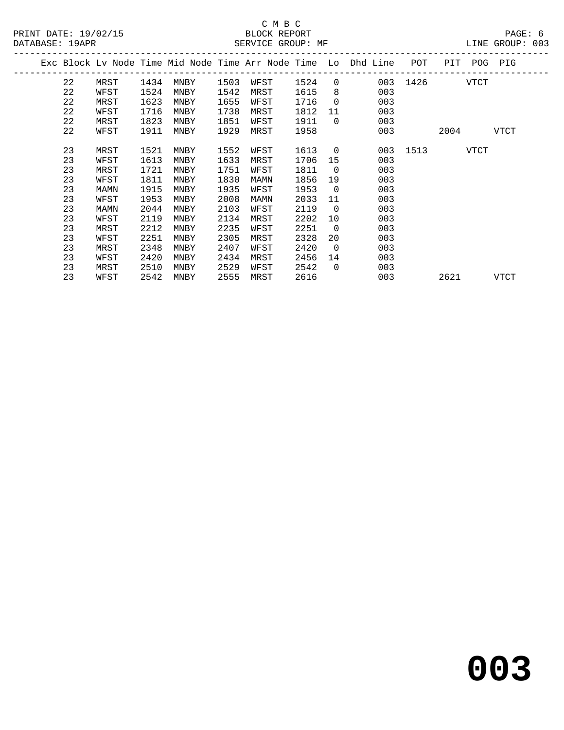|  |    |      |      |      |      |      |      |                | Exc Block Lv Node Time Mid Node Time Arr Node Time Lo Dhd Line | POT           |                    | PIT POG PIG |  |
|--|----|------|------|------|------|------|------|----------------|----------------------------------------------------------------|---------------|--------------------|-------------|--|
|  | 22 | MRST | 1434 | MNBY | 1503 | WFST | 1524 |                | $\overline{0}$                                                 | 003 1426 VTCT |                    |             |  |
|  | 22 | WFST | 1524 | MNBY | 1542 | MRST | 1615 | 8              | 003                                                            |               |                    |             |  |
|  | 22 | MRST | 1623 | MNBY | 1655 | WFST | 1716 | $\overline{0}$ | 003                                                            |               |                    |             |  |
|  | 22 | WFST | 1716 | MNBY | 1738 | MRST | 1812 | 11             | 003                                                            |               |                    |             |  |
|  | 22 | MRST | 1823 | MNBY | 1851 | WFST | 1911 | $\overline{0}$ | 003                                                            |               |                    |             |  |
|  | 22 | WFST | 1911 | MNBY | 1929 | MRST | 1958 |                | 003                                                            |               | 2004               | VTCT        |  |
|  |    |      |      |      |      |      |      |                |                                                                |               |                    |             |  |
|  | 23 | MRST | 1521 | MNBY | 1552 | WFST | 1613 | $\overline{0}$ |                                                                | 003 1513      | <b>STATE STATE</b> |             |  |
|  | 23 | WFST | 1613 | MNBY | 1633 | MRST | 1706 | 15             | 003                                                            |               |                    |             |  |
|  | 23 | MRST | 1721 | MNBY | 1751 | WFST | 1811 | $\overline{0}$ | 003                                                            |               |                    |             |  |
|  | 23 | WFST | 1811 | MNBY | 1830 | MAMN | 1856 | 19             | 003                                                            |               |                    |             |  |
|  | 23 | MAMN | 1915 | MNBY | 1935 | WFST | 1953 | $\overline{0}$ | 003                                                            |               |                    |             |  |
|  | 23 | WFST | 1953 | MNBY | 2008 | MAMN | 2033 | 11             | 003                                                            |               |                    |             |  |
|  | 23 | MAMN | 2044 | MNBY | 2103 | WFST | 2119 | $\overline{0}$ | 003                                                            |               |                    |             |  |
|  | 23 | WFST | 2119 | MNBY | 2134 | MRST | 2202 | 10             | 003                                                            |               |                    |             |  |
|  | 23 | MRST | 2212 | MNBY | 2235 | WFST | 2251 | $\overline{0}$ | 003                                                            |               |                    |             |  |
|  | 23 | WFST | 2251 | MNBY | 2305 | MRST | 2328 | 20             | 003                                                            |               |                    |             |  |
|  | 23 | MRST | 2348 | MNBY | 2407 | WFST | 2420 | $\overline{0}$ | 003                                                            |               |                    |             |  |
|  | 23 | WFST | 2420 | MNBY | 2434 | MRST | 2456 | 14             | 003                                                            |               |                    |             |  |
|  | 23 | MRST | 2510 | MNBY | 2529 | WFST | 2542 | $\Omega$       | 003                                                            |               |                    |             |  |
|  | 23 | WFST | 2542 | MNBY | 2555 | MRST | 2616 |                | 003                                                            |               | 2621               | <b>VTCT</b> |  |
|  |    |      |      |      |      |      |      |                |                                                                |               |                    |             |  |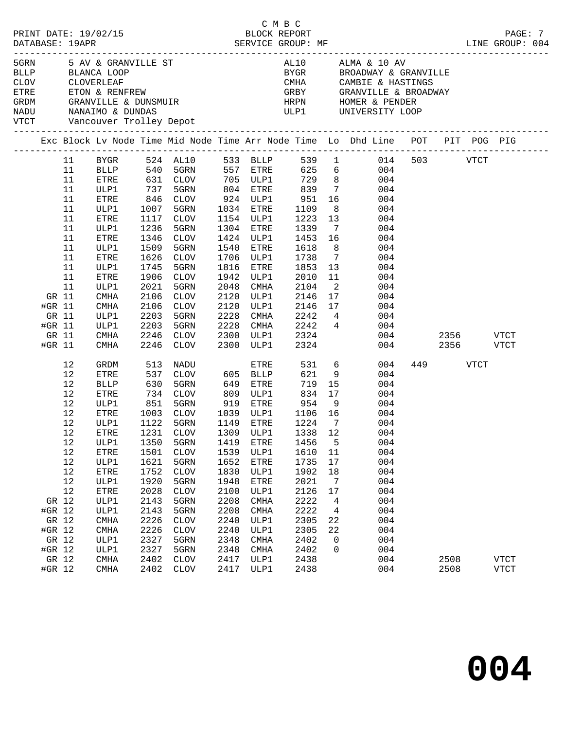| ETRE<br>GRDM<br>NADU<br>VTCT |        | CLOV CLOVERLEAF |             | Vancouver Trolley Depot | 5GRN             5  AV  &  GRANVILLE   ST<br>BLLP             BLANCA   LOOP<br>CM<br>ETON & RENFREW<br>GRANVILLE & DUNSMUIR<br>NANAIMO & DUNDAS |             |             |                        |                            | AL10 ALMA & 10 AV<br>BYGR         BROADWAY & GRANVILLE<br>CMHA CAMBIE & HASTINGS<br>GRBY GRANVILLE & BROADWAY<br>HRPN HOMER & PENDER<br>ULP1 UNIVERSITY LOOP |     |           |           |             |
|------------------------------|--------|-----------------|-------------|-------------------------|-------------------------------------------------------------------------------------------------------------------------------------------------|-------------|-------------|------------------------|----------------------------|--------------------------------------------------------------------------------------------------------------------------------------------------------------|-----|-----------|-----------|-------------|
|                              |        |                 |             |                         |                                                                                                                                                 |             |             |                        |                            | Exc Block Lv Node Time Mid Node Time Arr Node Time Lo Dhd Line POT PIT POG PIG                                                                               |     |           |           |             |
|                              |        | 11              |             |                         |                                                                                                                                                 |             |             |                        |                            | BYGR 524 AL10 533 BLLP 539 1 014 503 VTCT                                                                                                                    |     |           |           |             |
|                              |        | 11              |             |                         |                                                                                                                                                 |             |             |                        |                            | BLLP 540 5GRN 557 ETRE 625 6 004                                                                                                                             |     |           |           |             |
|                              |        | 11              | ETRE        |                         | 631   CLOV           705    ULP1            729       8<br>737    5GRN           804    ETRE          839      7                                |             |             |                        |                            | 004                                                                                                                                                          |     |           |           |             |
|                              |        | 11              | ULP1        |                         |                                                                                                                                                 |             |             |                        |                            | 004                                                                                                                                                          |     |           |           |             |
|                              |        | 11              | ETRE        | 846                     | CLOV                                                                                                                                            |             |             | 924 ULP1 951           | 16                         | 004                                                                                                                                                          |     |           |           |             |
|                              |        | 11              | ULP1        | 1007                    | 5GRN                                                                                                                                            |             | 1034 ETRE   | 1109                   | 8 <sup>8</sup>             | 004                                                                                                                                                          |     |           |           |             |
|                              |        | 11              | ETRE        | 1117                    | CLOV                                                                                                                                            |             | 1154 ULP1   | 1223                   | 13                         | 004                                                                                                                                                          |     |           |           |             |
|                              |        | 11              | ULP1        | 1236                    | 5GRN                                                                                                                                            |             | 1304 ETRE   | 1339                   | $\overline{7}$             | 004                                                                                                                                                          |     |           |           |             |
|                              |        | 11              | ETRE        | 1346                    | CLOV                                                                                                                                            |             | 1424 ULP1   | 1453 16                |                            | 004                                                                                                                                                          |     |           |           |             |
|                              |        | 11              | ULP1        | 1509                    | 5GRN                                                                                                                                            |             | 1540 ETRE   | 1618                   | 8 <sup>8</sup>             | 004                                                                                                                                                          |     |           |           |             |
|                              |        | 11              | ETRE        | 1626                    | CLOV                                                                                                                                            |             | 1706 ULP1   | 1738                   | $7\phantom{0}$             | 004                                                                                                                                                          |     |           |           |             |
|                              |        | 11              | ULP1        | 1745                    | 5GRN                                                                                                                                            | 1816        | ETRE        | 1853                   | 13                         | 004                                                                                                                                                          |     |           |           |             |
|                              |        | 11              | ETRE        | 1906                    | CLOV                                                                                                                                            | 1942        | ULP1        | 2010                   | 11                         | 004                                                                                                                                                          |     |           |           |             |
|                              |        | 11              | ULP1        | 2021                    | 5GRN                                                                                                                                            | 2048        | CMHA        | 2104                   | $\overline{\phantom{0}}^2$ | 004                                                                                                                                                          |     |           |           |             |
|                              | GR 11  |                 | CMHA        | 2106                    | CLOV                                                                                                                                            | 2120        | ULP1        | 2146                   | 17                         | 004                                                                                                                                                          |     |           |           |             |
|                              | #GR 11 |                 | CMHA        | 2106                    | CLOV                                                                                                                                            | 2120        | ULP1        | 2146 17                |                            | 004                                                                                                                                                          |     |           |           |             |
|                              | GR 11  |                 | ULP1        | 2203                    | 5GRN                                                                                                                                            | 2228        | CMHA        | 2242 4                 |                            | 004                                                                                                                                                          |     |           |           |             |
|                              | #GR 11 |                 | ULP1        | 2203                    | 5GRN                                                                                                                                            | 2228        |             | CMHA 2242 4            |                            | 004                                                                                                                                                          |     |           |           |             |
|                              | GR 11  |                 | CMHA        | 2246                    | CLOV                                                                                                                                            | 2300        | ULP1        | 2324                   |                            |                                                                                                                                                              | 004 |           | 2356 VTCT |             |
|                              | #GR 11 |                 | CMHA        | 2246                    | CLOV                                                                                                                                            |             | 2300 ULP1   | 2324                   |                            |                                                                                                                                                              | 004 |           | 2356 VTCT |             |
|                              |        | 12              | GRDM        | 513                     | NADU                                                                                                                                            |             | ETRE        |                        |                            | 531 6<br>004                                                                                                                                                 |     | 449 — 100 | VTCT      |             |
|                              |        | 12              | <b>ETRE</b> | 537                     | CLOV                                                                                                                                            | $605$ BLLP  |             | 621                    | 9                          | 004                                                                                                                                                          |     |           |           |             |
|                              |        | 12              | BLLP        |                         | 630 5GRN<br>734 CLOV                                                                                                                            | 649         | ETRE        | 719                    | 15                         | 004                                                                                                                                                          |     |           |           |             |
|                              |        | 12              | ETRE        |                         |                                                                                                                                                 | 809         | ULP1        | 834 17                 |                            | 004                                                                                                                                                          |     |           |           |             |
|                              |        | 12              | ULP1        | 851                     | 5GRN                                                                                                                                            | 919         |             | ETRE 954               | 9                          | 004                                                                                                                                                          |     |           |           |             |
|                              |        | 12              | ETRE        | 1003                    | CLOV                                                                                                                                            |             |             | 1039 ULP1 1106 16      |                            | 004                                                                                                                                                          |     |           |           |             |
|                              |        | 12              | ULP1        | 1122<br>1231            | 5GRN                                                                                                                                            | 1149 ETRE   |             | $\frac{1224}{1338}$ 12 |                            | 004                                                                                                                                                          |     |           |           |             |
|                              |        | 12              | ETRE        |                         | 1231 CLOV                                                                                                                                       | $1309$ ULP1 |             | 1338 12                |                            | 004                                                                                                                                                          |     |           |           |             |
|                              |        | 12              |             |                         |                                                                                                                                                 |             |             |                        |                            | ULP1 1350 5GRN 1419 ETRE 1456 5 004                                                                                                                          |     |           |           |             |
|                              |        | 12              | ETRE        | 1501                    | CLOV                                                                                                                                            | 1539        | ULP1        | 1610                   | 11                         | 004                                                                                                                                                          |     |           |           |             |
|                              |        | 12              | ULP1        | 1621                    | 5GRN                                                                                                                                            | 1652        | ETRE        | 1735                   | 17                         | 004                                                                                                                                                          |     |           |           |             |
|                              |        | 12              | ETRE        | 1752                    | <b>CLOV</b>                                                                                                                                     | 1830        | ULP1        | 1902                   | 18                         | 004                                                                                                                                                          |     |           |           |             |
|                              |        | 12              | ULP1        | 1920                    | 5GRN                                                                                                                                            | 1948        | ETRE        | 2021                   | 7                          | 004                                                                                                                                                          |     |           |           |             |
|                              |        | 12              | ETRE        | 2028                    | <b>CLOV</b>                                                                                                                                     | 2100        | ULP1        | 2126                   | 17                         | 004                                                                                                                                                          |     |           |           |             |
|                              | GR 12  |                 | ULP1        | 2143                    | 5GRN                                                                                                                                            | 2208        | CMHA        | 2222                   | 4                          | 004                                                                                                                                                          |     |           |           |             |
|                              | #GR 12 |                 | ULP1        | 2143                    | 5GRN                                                                                                                                            | 2208        | CMHA        | 2222                   | 4                          | 004                                                                                                                                                          |     |           |           |             |
|                              | GR 12  |                 | CMHA        | 2226                    | <b>CLOV</b>                                                                                                                                     | 2240        | ULP1        | 2305                   | 22                         | 004                                                                                                                                                          |     |           |           |             |
|                              | #GR 12 |                 | CMHA        | 2226                    | <b>CLOV</b>                                                                                                                                     | 2240        | ULP1        | 2305                   | 22                         | 004                                                                                                                                                          |     |           |           |             |
|                              | GR 12  |                 | ULP1        | 2327                    | 5GRN                                                                                                                                            | 2348        | <b>CMHA</b> | 2402                   | 0                          | 004                                                                                                                                                          |     |           |           |             |
|                              | #GR 12 |                 | ULP1        | 2327                    | 5GRN                                                                                                                                            | 2348        | <b>CMHA</b> | 2402                   | 0                          | 004                                                                                                                                                          |     |           |           |             |
|                              | GR 12  |                 | <b>CMHA</b> | 2402                    | <b>CLOV</b>                                                                                                                                     | 2417        | ULP1        | 2438                   |                            | 004                                                                                                                                                          |     | 2508      |           | <b>VTCT</b> |
|                              | #GR 12 |                 | CMHA        | 2402                    | CLOV                                                                                                                                            | 2417        | ULP1        | 2438                   |                            | 004                                                                                                                                                          |     | 2508      |           | <b>VTCT</b> |
|                              |        |                 |             |                         |                                                                                                                                                 |             |             |                        |                            |                                                                                                                                                              |     |           |           |             |

C M B C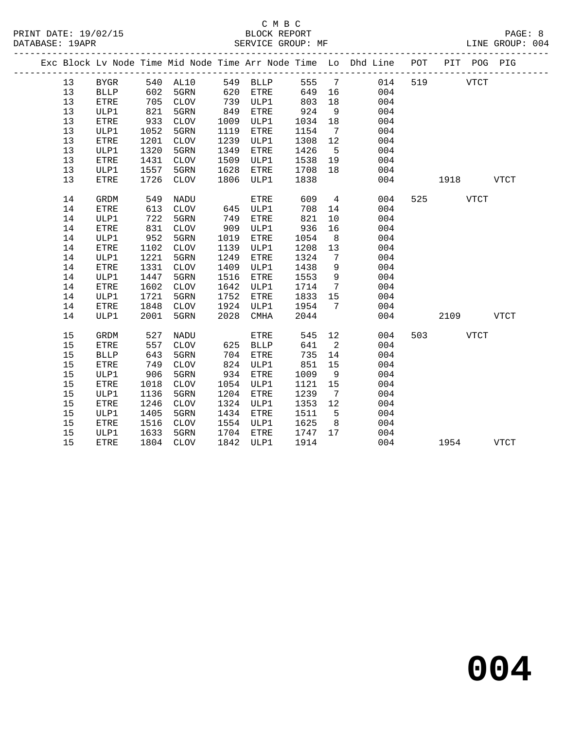|    |              |            |                   |      |            |        |                         | Exc Block Lv Node Time Mid Node Time Arr Node Time Lo Dhd Line POT | PIT POG PIG |             |             |  |
|----|--------------|------------|-------------------|------|------------|--------|-------------------------|--------------------------------------------------------------------|-------------|-------------|-------------|--|
| 13 | <b>BYGR</b>  |            | 540 AL10 549 BLLP |      |            | 555 7  |                         | 014                                                                | 519         | <b>VTCT</b> |             |  |
| 13 | <b>BLLP</b>  | 602<br>705 | 5GRN              |      | $620$ ETRE | 649 16 |                         | 004                                                                |             |             |             |  |
| 13 | ETRE         |            | CLOV              |      | 739 ULP1   | 803    | 18                      | 004                                                                |             |             |             |  |
| 13 | ULP1         | 821        | 5GRN              | 849  | ETRE       | 924    | 9                       | 004                                                                |             |             |             |  |
| 13 | ETRE         | 933        | CLOV              | 1009 | ULP1       | 1034   | 18                      | 004                                                                |             |             |             |  |
| 13 | ULP1         | 1052       | 5GRN              | 1119 | ETRE       | 1154   | $\overline{7}$          | 004                                                                |             |             |             |  |
| 13 | ETRE         | 1201       | CLOV              | 1239 | ULP1       | 1308   | 12                      | 004                                                                |             |             |             |  |
| 13 | ULP1         | 1320       | 5GRN              | 1349 | ETRE       | 1426   | $5^{\circ}$             | 004                                                                |             |             |             |  |
| 13 | ${\tt ETRE}$ | 1431       | CLOV              | 1509 | ULP1       | 1538   | 19                      | 004                                                                |             |             |             |  |
| 13 | ULP1         | 1557       | 5GRN              | 1628 | ETRE       | 1708   | 18                      | 004                                                                |             |             |             |  |
| 13 | <b>ETRE</b>  | 1726       | CLOV              | 1806 | ULP1       | 1838   |                         | 004                                                                | 1918        |             | <b>VTCT</b> |  |
| 14 | GRDM         | 549        | NADU              |      | ETRE       | 609    | $\overline{4}$          | 004                                                                | 525         | <b>VTCT</b> |             |  |
| 14 | <b>ETRE</b>  | 613        | CLOV              |      | 645 ULP1   | 708    | 14                      | 004                                                                |             |             |             |  |
| 14 | ULP1         | 722        | 5GRN              | 749  | ETRE       | 821    | 10                      | 004                                                                |             |             |             |  |
| 14 | ETRE         | 831        | CLOV              | 909  | ULP1       | 936    | 16                      | 004                                                                |             |             |             |  |
| 14 | ULP1         | 952        | 5GRN              | 1019 | ETRE       | 1054   | 8 <sup>8</sup>          | 004                                                                |             |             |             |  |
| 14 | ETRE         | 1102       | CLOV              | 1139 | ULP1       | 1208   | 13                      | 004                                                                |             |             |             |  |
| 14 | ULP1         | 1221       | 5GRN              | 1249 | ETRE       | 1324   | $\overline{7}$          | 004                                                                |             |             |             |  |
| 14 | <b>ETRE</b>  | 1331       | CLOV              | 1409 | ULP1       | 1438   | 9                       | 004                                                                |             |             |             |  |
| 14 | ULP1         | 1447       | 5GRN              | 1516 | ETRE       | 1553   | 9                       | 004                                                                |             |             |             |  |
| 14 | ETRE         | 1602       | CLOV              | 1642 | ULP1       | 1714   | $7\overline{ }$         | 004                                                                |             |             |             |  |
| 14 | ULP1         | 1721       | 5GRN              | 1752 | ETRE       | 1833   | 15                      | 004                                                                |             |             |             |  |
| 14 | <b>ETRE</b>  | 1848       | CLOV              | 1924 | ULP1       | 1954   | $7\phantom{0}$          | 004                                                                |             |             |             |  |
| 14 | ULP1         | 2001       | 5GRN              | 2028 | CMHA       | 2044   |                         | 004                                                                | 2109        |             | VTCT        |  |
| 15 | GRDM         | 527        | NADU              |      | ETRE       | 545    | 12                      | 004                                                                | 503 VTCT    |             |             |  |
| 15 | ETRE         | 557        | CLOV              |      | 625 BLLP   | 641    | $\overline{\mathbf{2}}$ | 004                                                                |             |             |             |  |
| 15 | <b>BLLP</b>  | 643        | 5GRN              | 704  | ETRE       | 735    | 14                      | 004                                                                |             |             |             |  |
| 15 | ${\tt ETRE}$ | 749        | CLOV              | 824  | ULP1       | 851    | 15                      | 004                                                                |             |             |             |  |
| 15 | ULP1         | 906        | 5GRN              | 934  | ETRE       | 1009   | 9                       | 004                                                                |             |             |             |  |
| 15 | <b>ETRE</b>  | 1018       | CLOV              |      | 1054 ULP1  | 1121   | 15                      | 004                                                                |             |             |             |  |
| 15 | ULP1         | 1136       | 5GRN              | 1204 | ETRE       | 1239   | $7\overline{ }$         | 004                                                                |             |             |             |  |
| 15 | ETRE         | 1246       | <b>CLOV</b>       | 1324 | ULP1       | 1353   | 12                      | 004                                                                |             |             |             |  |
| 15 | ULP1         | 1405       | 5GRN              | 1434 | ETRE       | 1511   | $5^{\circ}$             | 004                                                                |             |             |             |  |
| 15 | ETRE         | 1516       | CLOV              | 1554 | ULP1       | 1625   | 8 <sup>8</sup>          | 004                                                                |             |             |             |  |
| 15 | ULP1         | 1633       | 5GRN              | 1704 | ETRE       | 1747   | 17                      | 004                                                                |             |             |             |  |
| 15 | ETRE         | 1804       | CLOV              |      | 1842 ULP1  | 1914   |                         | 004                                                                | 1954        |             | <b>VTCT</b> |  |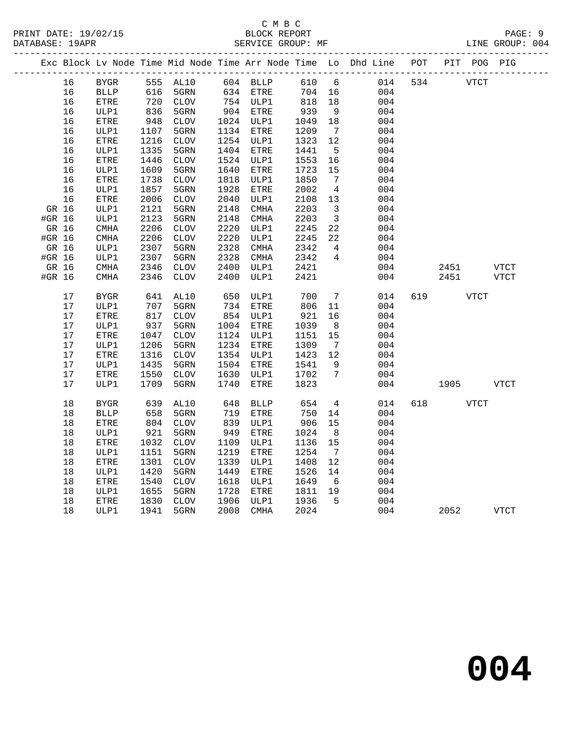## C M B C<br>BLOCK REPORT

|        | DATABASE: 19APR |      |      | ________________________ |      |          |        |                         | SERVICE GROUP: MF                                                              |     |      |      | LINE GROUP: 004 |  |
|--------|-----------------|------|------|--------------------------|------|----------|--------|-------------------------|--------------------------------------------------------------------------------|-----|------|------|-----------------|--|
|        |                 |      |      |                          |      |          |        |                         | Exc Block Lv Node Time Mid Node Time Arr Node Time Lo Dhd Line POT PIT POG PIG |     |      |      |                 |  |
|        |                 |      |      |                          |      |          |        |                         | 16 BYGR 555 AL10 604 BLLP 610 6 014 534 VTCT                                   |     |      |      |                 |  |
|        | 16              | BLLP | 616  | 5GRN                     | 634  | ETRE     | 704    |                         | 16<br>004                                                                      |     |      |      |                 |  |
|        | 16              | ETRE | 720  | CLOV                     | 754  | ULP1     | 818    |                         | 18<br>004                                                                      |     |      |      |                 |  |
|        | 16              | ULP1 | 836  | 5GRN                     | 904  | ETRE     | 939    |                         | 9<br>004                                                                       |     |      |      |                 |  |
|        | 16              | ETRE | 948  | CLOV                     | 1024 | ULP1     | 1049   |                         | 18<br>004                                                                      |     |      |      |                 |  |
|        | 16              | ULP1 | 1107 | 5GRN                     | 1134 | ETRE     | 1209   | 7                       | 004                                                                            |     |      |      |                 |  |
|        | 16              | ETRE | 1216 | CLOV                     | 1254 | ULP1     | 1323   | 12                      | 004                                                                            |     |      |      |                 |  |
|        | 16              | ULP1 | 1335 | 5GRN                     | 1404 | ETRE     | 1441   | 5 <sup>5</sup>          | 004                                                                            |     |      |      |                 |  |
|        | 16              | ETRE | 1446 | CLOV                     | 1524 | ULP1     | 1553   |                         | 004                                                                            |     |      |      |                 |  |
|        | 16              | ULP1 | 1609 | 5GRN                     | 1640 | ETRE     | 1723   | 15                      | 004                                                                            |     |      |      |                 |  |
|        | 16              | ETRE | 1738 | CLOV                     | 1818 | ULP1     | 1850   | $7\overline{ }$         | 004                                                                            |     |      |      |                 |  |
|        | 16              | ULP1 | 1857 | 5GRN                     | 1928 | ETRE     | 2002   | $4\overline{4}$         | 004                                                                            |     |      |      |                 |  |
|        | 16              | ETRE | 2006 | <b>CLOV</b>              | 2040 | ULP1     | 2108   | 13                      | 004                                                                            |     |      |      |                 |  |
| GR 16  |                 | ULP1 | 2121 | 5GRN                     | 2148 | CMHA     | 2203   | $\overline{\mathbf{3}}$ | 004                                                                            |     |      |      |                 |  |
| #GR 16 |                 | ULP1 | 2123 | 5GRN                     | 2148 | CMHA     | 2203   | $\overline{\mathbf{3}}$ | 004                                                                            |     |      |      |                 |  |
| GR 16  |                 | CMHA | 2206 | <b>CLOV</b>              | 2220 | ULP1     | 2245   | 22                      | 004                                                                            |     |      |      |                 |  |
| #GR 16 |                 | CMHA | 2206 | CLOV                     | 2220 | ULP1     | 2245   | 22                      | 004                                                                            |     |      |      |                 |  |
| GR 16  |                 | ULP1 | 2307 | 5GRN                     | 2328 | CMHA     | 2342   | $4\overline{4}$         | 004                                                                            |     |      |      |                 |  |
| #GR 16 |                 | ULP1 | 2307 | 5GRN                     | 2328 | CMHA     | 2342   | 4                       | 004                                                                            |     |      |      |                 |  |
| GR 16  |                 | CMHA | 2346 | <b>CLOV</b>              | 2400 | ULP1     | 2421   |                         | 004                                                                            |     | 2451 |      | VTCT            |  |
| #GR 16 |                 | CMHA | 2346 | <b>CLOV</b>              | 2400 | ULP1     | 2421   |                         | 004                                                                            |     | 2451 |      | VTCT            |  |
|        | 17              | BYGR |      | 641 AL10                 |      | 650 ULP1 | 700 7  |                         | 014                                                                            | 619 |      | VTCT |                 |  |
|        | 17              | ULP1 |      | 707 5GRN                 |      | 734 ETRE | 806 11 |                         | 004                                                                            |     |      |      |                 |  |

| 17 | <b>BYGR</b> | 641  | AL10        | 650  | ULP1        | 700  | 7  | 014 | 619 |      | <b>VTCT</b> |             |
|----|-------------|------|-------------|------|-------------|------|----|-----|-----|------|-------------|-------------|
| 17 | ULP1        | 707  | 5GRN        | 734  | ETRE        | 806  | 11 | 004 |     |      |             |             |
| 17 | ETRE        | 817  | <b>CLOV</b> | 854  | ULP1        | 921  | 16 | 004 |     |      |             |             |
| 17 | ULP1        | 937  | 5GRN        | 1004 | ETRE        | 1039 | 8  | 004 |     |      |             |             |
| 17 | ETRE        | 1047 | <b>CLOV</b> | 1124 | ULP1        | 1151 | 15 | 004 |     |      |             |             |
| 17 | ULP1        | 1206 | 5GRN        | 1234 | ETRE        | 1309 | 7  | 004 |     |      |             |             |
| 17 | ETRE        | 1316 | <b>CLOV</b> | 1354 | ULP1        | 1423 | 12 | 004 |     |      |             |             |
| 17 | ULP1        | 1435 | 5GRN        | 1504 | ETRE        | 1541 | 9  | 004 |     |      |             |             |
| 17 | ETRE        | 1550 | <b>CLOV</b> | 1630 | ULP1        | 1702 | 7  | 004 |     |      |             |             |
| 17 | ULP1        | 1709 | 5GRN        | 1740 | ETRE        | 1823 |    | 004 |     | 1905 |             | <b>VTCT</b> |
|    |             |      |             |      |             |      |    |     |     |      |             |             |
| 18 | <b>BYGR</b> | 639  | AL10        | 648  | <b>BLLP</b> | 654  | 4  | 014 | 618 |      | <b>VTCT</b> |             |
| 18 | <b>BLLP</b> | 658  | 5GRN        | 719  | ETRE        | 750  | 14 | 004 |     |      |             |             |
| 18 | ETRE        | 804  | <b>CLOV</b> | 839  | ULP1        | 906  | 15 | 004 |     |      |             |             |
| 18 | ULP1        | 921  | 5GRN        | 949  | ETRE        | 1024 | 8  | 004 |     |      |             |             |
| 18 | ETRE        | 1032 | <b>CLOV</b> | 1109 | ULP1        | 1136 | 15 | 004 |     |      |             |             |
| 18 | ULP1        | 1151 | 5GRN        | 1219 | ETRE        | 1254 | 7  | 004 |     |      |             |             |
| 18 | ETRE        | 1301 | <b>CLOV</b> | 1339 | ULP1        | 1408 | 12 | 004 |     |      |             |             |
| 18 | ULP1        | 1420 | 5GRN        | 1449 | ETRE        | 1526 | 14 | 004 |     |      |             |             |
| 18 | ETRE        | 1540 | <b>CLOV</b> | 1618 | ULP1        | 1649 | 6  | 004 |     |      |             |             |
| 18 | ULP1        | 1655 | 5GRN        | 1728 | ETRE        | 1811 | 19 | 004 |     |      |             |             |
| 18 | ETRE        | 1830 | <b>CLOV</b> | 1906 | ULP1        | 1936 | 5  | 004 |     |      |             |             |
| 18 | ULP1        | 1941 | 5GRN        | 2008 | <b>CMHA</b> | 2024 |    | 004 |     | 2052 |             | <b>VTCT</b> |
|    |             |      |             |      |             |      |    |     |     |      |             |             |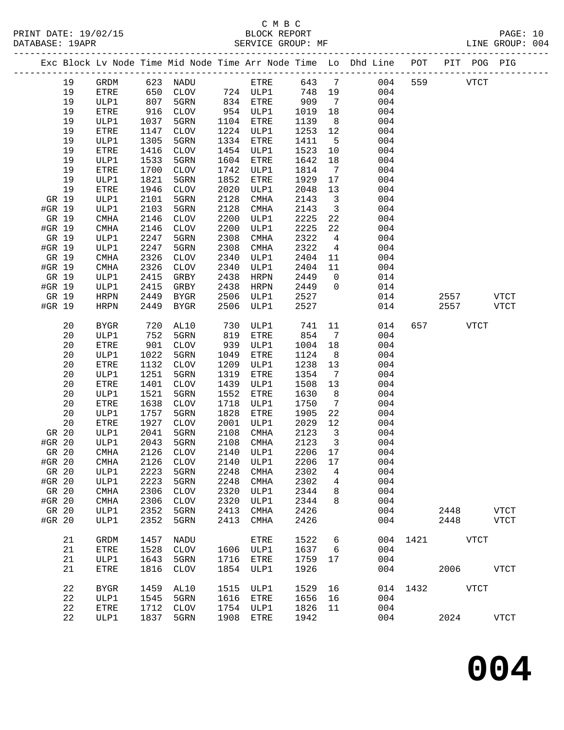### C M B C<br>BLOCK REPORT SERVICE GROUP: MF

-------------------------------------------------------------------------------------------------

|        |    |             |      |             |      |             |         |                 | Exc Block Lv Node Time Mid Node Time Arr Node Time Lo Dhd Line | POT           | PIT      |             | POG PIG     |
|--------|----|-------------|------|-------------|------|-------------|---------|-----------------|----------------------------------------------------------------|---------------|----------|-------------|-------------|
|        | 19 | GRDM        | 623  | NADU        |      | ETRE        | 643     | 7               | 004                                                            | 559           |          | <b>VTCT</b> |             |
|        | 19 | ETRE        | 650  | CLOV        |      | 724 ULP1    | 748     | 19              | 004                                                            |               |          |             |             |
|        | 19 | ULP1        | 807  | 5GRN        | 834  | ETRE        | 909     | 7               | 004                                                            |               |          |             |             |
|        | 19 | ETRE        | 916  | <b>CLOV</b> | 954  | ULP1        | 1019    | 18              | 004                                                            |               |          |             |             |
|        | 19 | ULP1        | 1037 | 5GRN        | 1104 | ETRE        | 1139    | 8               | 004                                                            |               |          |             |             |
|        | 19 | ETRE        | 1147 | <b>CLOV</b> | 1224 | ULP1        | 1253    | 12              | 004                                                            |               |          |             |             |
|        | 19 | ULP1        | 1305 | 5GRN        | 1334 | ETRE        | 1411    | 5               | 004                                                            |               |          |             |             |
|        | 19 | ETRE        | 1416 | <b>CLOV</b> | 1454 | ULP1        | 1523    | 10              | 004                                                            |               |          |             |             |
|        | 19 | ULP1        | 1533 | 5GRN        | 1604 | ETRE        | 1642    | 18              | 004                                                            |               |          |             |             |
|        | 19 | ETRE        | 1700 | <b>CLOV</b> | 1742 | ULP1        | 1814    | 7               | 004                                                            |               |          |             |             |
|        | 19 | ULP1        | 1821 | 5GRN        | 1852 | ETRE        | 1929    | 17              | 004                                                            |               |          |             |             |
|        | 19 | ETRE        | 1946 | <b>CLOV</b> | 2020 | ULP1        | 2048    | 13              | 004                                                            |               |          |             |             |
| GR 19  |    | ULP1        | 2101 | 5GRN        | 2128 | <b>CMHA</b> | 2143    | 3               | 004                                                            |               |          |             |             |
| #GR 19 |    | ULP1        | 2103 | 5GRN        | 2128 | <b>CMHA</b> | 2143    | 3               | 004                                                            |               |          |             |             |
| GR 19  |    | CMHA        | 2146 | <b>CLOV</b> | 2200 | ULP1        | 2225    | 22              | 004                                                            |               |          |             |             |
| #GR 19 |    | CMHA        | 2146 | <b>CLOV</b> | 2200 | ULP1        | 2225    | 22              | 004                                                            |               |          |             |             |
| GR 19  |    | ULP1        | 2247 | 5GRN        | 2308 | <b>CMHA</b> | 2322    | 4               | 004                                                            |               |          |             |             |
| #GR 19 |    | ULP1        | 2247 | 5GRN        | 2308 | <b>CMHA</b> | 2322    | 4               | 004                                                            |               |          |             |             |
| GR 19  |    | CMHA        | 2326 | <b>CLOV</b> | 2340 | ULP1        | 2404    | 11              | 004                                                            |               |          |             |             |
| #GR 19 |    | <b>CMHA</b> | 2326 | CLOV        | 2340 | ULP1        | 2404    | 11              | 004                                                            |               |          |             |             |
| GR 19  |    | ULP1        | 2415 | GRBY        | 2438 | <b>HRPN</b> | 2449    | 0               | 014                                                            |               |          |             |             |
| #GR 19 |    | ULP1        | 2415 | GRBY        | 2438 | <b>HRPN</b> | 2449    | $\mathbf 0$     | 014                                                            |               |          |             |             |
| GR 19  |    | <b>HRPN</b> | 2449 | <b>BYGR</b> | 2506 | ULP1        | 2527    |                 | 014                                                            |               | 2557     |             | <b>VTCT</b> |
| #GR 19 |    | <b>HRPN</b> | 2449 | <b>BYGR</b> | 2506 | ULP1        | 2527    |                 | 014                                                            |               | 2557     |             | <b>VTCT</b> |
|        | 20 | <b>BYGR</b> | 720  | AL10        | 730  | ULP1        | 741     | 11              | 014                                                            | 657           |          | <b>VTCT</b> |             |
|        | 20 | ULP1        | 752  | 5GRN        | 819  | ETRE        | 854     | $7\phantom{.0}$ | 004                                                            |               |          |             |             |
|        | 20 | ETRE        | 901  | <b>CLOV</b> | 939  | ULP1        | 1004    | 18              | 004                                                            |               |          |             |             |
|        | 20 | ULP1        | 1022 | 5GRN        | 1049 | ETRE        | 1124    | 8               | 004                                                            |               |          |             |             |
|        | 20 | ETRE        | 1132 | <b>CLOV</b> | 1209 | ULP1        | 1238    | 13              | 004                                                            |               |          |             |             |
|        | 20 | ULP1        | 1251 | 5GRN        | 1319 | ETRE        | 1354    | 7               | 004                                                            |               |          |             |             |
|        | 20 | ETRE        | 1401 | <b>CLOV</b> | 1439 | ULP1        | 1508    | 13              | 004                                                            |               |          |             |             |
|        | 20 | ULP1        | 1521 | 5GRN        | 1552 | ETRE        | 1630    | 8               | 004                                                            |               |          |             |             |
|        | 20 | ETRE        | 1638 | <b>CLOV</b> | 1718 | ULP1        | 1750    | 7               | 004                                                            |               |          |             |             |
|        | 20 | ULP1        | 1757 | 5GRN        | 1828 | ETRE        | 1905    | 22              | 004                                                            |               |          |             |             |
|        | 20 | ETRE        | 1927 | <b>CLOV</b> | 2001 | ULP1        | 2029    | 12              | 004                                                            |               |          |             |             |
| GR 20  |    | ULP1        | 2041 | 5GRN        | 2108 | <b>CMHA</b> | 2123    | 3               | 004                                                            |               |          |             |             |
| #GR 20 |    | ULP1        | 2043 | 5GRN        | 2108 | <b>CMHA</b> | 2123    | 3               | 004                                                            |               |          |             |             |
| GR 20  |    | CMHA        | 2126 | <b>CLOV</b> | 2140 | ULP1        | 2206    | 17              | 004                                                            |               |          |             |             |
| #GR 20 |    | <b>CMHA</b> | 2126 | <b>CLOV</b> | 2140 | ULP1        | 2206    | 17              | 004                                                            |               |          |             |             |
| GR 20  |    | ULP1        | 2223 | 5GRN        |      | 2248 CMHA   | 2302 4  |                 | 004                                                            |               |          |             |             |
| #GR 20 |    | ULP1        | 2223 | 5GRN        | 2248 | <b>CMHA</b> | 2302    | 4               | 004                                                            |               |          |             |             |
| GR 20  |    | CMHA        | 2306 | CLOV        | 2320 | ULP1        | 2344    | 8               | 004                                                            |               |          |             |             |
| #GR 20 |    | CMHA        | 2306 | CLOV        | 2320 | ULP1        | 2344    | 8               | 004                                                            |               |          |             |             |
| GR 20  |    | ULP1        | 2352 | 5GRN        | 2413 | CMHA        | 2426    |                 | 004                                                            |               | 2448     |             | VTCT        |
| #GR 20 |    | ULP1        | 2352 | 5GRN        | 2413 | CMHA        | 2426    |                 | 004                                                            |               | 2448     |             | <b>VTCT</b> |
|        | 21 | GRDM        | 1457 | NADU        |      | ETRE        | 1522    | 6               |                                                                | 004 1421      | VTCT     |             |             |
|        | 21 | ETRE        | 1528 | CLOV        |      | 1606 ULP1   | 1637    | 6               | 004                                                            |               |          |             |             |
|        | 21 | ULP1        | 1643 | 5GRN        | 1716 | ETRE        | 1759    | 17              | 004                                                            |               |          |             |             |
|        | 21 | ETRE        | 1816 | CLOV        | 1854 | ULP1        | 1926    |                 | 004                                                            |               | 2006 700 |             | VTCT        |
|        |    |             |      |             |      |             |         |                 |                                                                |               |          |             |             |
|        | 22 | <b>BYGR</b> | 1459 | AL10        | 1515 | ULP1        | 1529    | 16              |                                                                | 014 1432 VTCT |          |             |             |
|        | 22 | ULP1        | 1545 | 5GRN        |      | 1616 ETRE   | 1656    | 16              | 004                                                            |               |          |             |             |
|        | 22 | <b>ETRE</b> | 1712 | CLOV        |      | 1754 ULP1   | 1826 11 |                 | 004                                                            |               |          |             |             |

22 ULP1 1837 5GRN 1908 ETRE 1942 004 2024 VTCT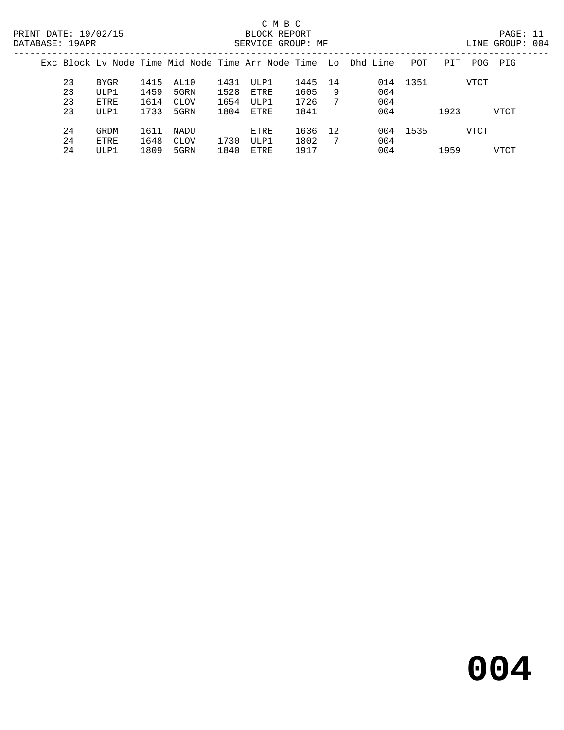## C M B C

| DATABASE: 19APR |    |      |      |      |      | SERVICE GROUP: MF |      |    |                                                                |          |      |      | LINE GROUP: 004 |  |
|-----------------|----|------|------|------|------|-------------------|------|----|----------------------------------------------------------------|----------|------|------|-----------------|--|
|                 |    |      |      |      |      |                   |      |    | Exc Block Ly Node Time Mid Node Time Arr Node Time Lo Dhd Line | POT      | PIT  | POG  | PIG             |  |
|                 | 23 | BYGR | 1415 | AL10 | 1431 | ULP1              | 1445 | 14 |                                                                | 014 1351 |      | VTCT |                 |  |
|                 | 23 | ULP1 | 1459 | 5GRN | 1528 | ETRE              | 1605 | 9  | 004                                                            |          |      |      |                 |  |
|                 | 23 | ETRE | 1614 | CLOV | 1654 | ULP1              | 1726 | 7  | 004                                                            |          |      |      |                 |  |
|                 | 23 | ULP1 | 1733 | 5GRN | 1804 | ETRE              | 1841 |    | 004                                                            |          | 1923 |      | VTCT            |  |
|                 | 24 | GRDM | 1611 | NADU |      | ETRE              | 1636 | 12 |                                                                | 004 1535 |      | VTCT |                 |  |
|                 | 24 | ETRE | 1648 | CLOV | 1730 | ULP1              | 1802 | -7 | 004                                                            |          |      |      |                 |  |
|                 | 24 | ULP1 | 1809 | 5GRN | 1840 | ETRE              | 1917 |    | 004                                                            |          | 1959 |      | VTCT            |  |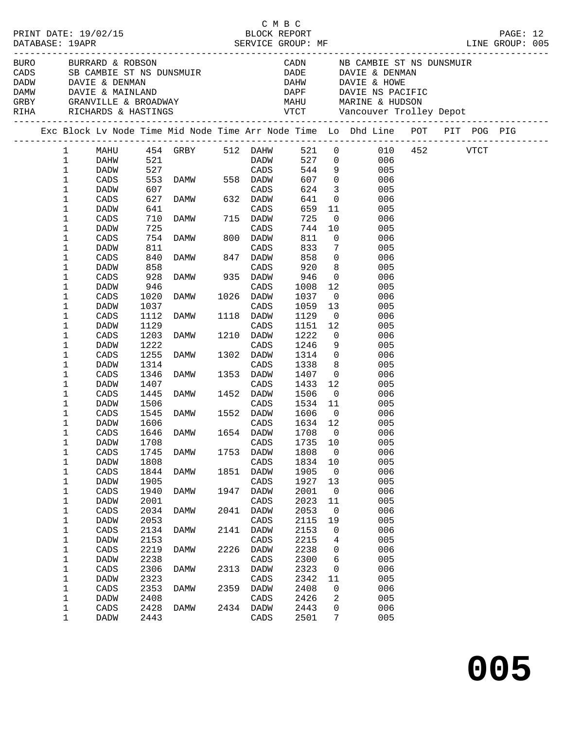|                      |              |                 |            |                                                                                                                                                                                                                                  |      |                  | C M B C          |                         |                                                                                                                                                                                                                                      |                 |          |  |
|----------------------|--------------|-----------------|------------|----------------------------------------------------------------------------------------------------------------------------------------------------------------------------------------------------------------------------------|------|------------------|------------------|-------------------------|--------------------------------------------------------------------------------------------------------------------------------------------------------------------------------------------------------------------------------------|-----------------|----------|--|
| PRINT DATE: 19/02/15 |              |                 |            |                                                                                                                                                                                                                                  |      |                  |                  |                         |                                                                                                                                                                                                                                      |                 | PAGE: 12 |  |
| DATABASE: 19APR      |              |                 |            |                                                                                                                                                                                                                                  |      |                  |                  |                         |                                                                                                                                                                                                                                      | LINE GROUP: 005 |          |  |
|                      |              |                 |            |                                                                                                                                                                                                                                  |      |                  |                  |                         |                                                                                                                                                                                                                                      |                 |          |  |
|                      |              |                 |            |                                                                                                                                                                                                                                  |      |                  |                  |                         | BURO BURRARD & ROBSON CADN NB CAMBIE ST NS DUNSMUIR<br>CADS SB CAMBIE ST NS DUNSMUIR DADE DAVIE & DENMAN<br>DADW DAVIE & DENMAN DADE DAHW DAVIE & HOWE                                                                               |                 |          |  |
|                      |              |                 |            |                                                                                                                                                                                                                                  |      |                  |                  |                         |                                                                                                                                                                                                                                      |                 |          |  |
|                      |              |                 |            |                                                                                                                                                                                                                                  |      |                  |                  |                         |                                                                                                                                                                                                                                      |                 |          |  |
|                      |              |                 |            |                                                                                                                                                                                                                                  |      |                  |                  |                         |                                                                                                                                                                                                                                      |                 |          |  |
|                      |              |                 |            |                                                                                                                                                                                                                                  |      |                  |                  |                         |                                                                                                                                                                                                                                      |                 |          |  |
|                      |              |                 |            |                                                                                                                                                                                                                                  |      |                  |                  |                         | DADW DAVIE & DENMAN DAVIE A DENAN DANT DADER DANN DAVIE A MAINLAND DAPE DAVIE NS PACIFIC<br>GREY GRANVILLE & BROADWAY MAHU MARINE & HUDSON<br>RIHA RICHARDS & HASTINGS VTCT Vancouver Trolley Depot<br>----------------------------- |                 |          |  |
|                      |              |                 |            |                                                                                                                                                                                                                                  |      |                  |                  |                         | Exc Block Lv Node Time Mid Node Time Arr Node Time Lo Dhd Line POT PIT POG PIG                                                                                                                                                       |                 |          |  |
|                      | $\mathbf{1}$ |                 |            |                                                                                                                                                                                                                                  |      |                  |                  |                         | MAHU 454 GRBY 512 DAHW 521 0 010 452 VTCT<br>DAHW 521 DADW 527 0 006                                                                                                                                                                 |                 |          |  |
|                      | $\mathbf{1}$ |                 |            |                                                                                                                                                                                                                                  |      |                  |                  |                         |                                                                                                                                                                                                                                      |                 |          |  |
|                      | 1            | DADW            | 527        | CADS                                                                                                                                                                                                                             |      |                  | 544              |                         | 9 005                                                                                                                                                                                                                                |                 |          |  |
|                      | 1            | CADS            | 553        |                                                                                                                                                                                                                                  |      |                  | 607              |                         | $0\qquad \qquad 006$                                                                                                                                                                                                                 |                 |          |  |
|                      | 1            | DADW            | 607        |                                                                                                                                                                                                                                  |      |                  | 624              | $\overline{\mathbf{3}}$ | 005                                                                                                                                                                                                                                  |                 |          |  |
|                      | 1            | CADS            | 627        | DAMW 558 DADW<br>CADS<br>DAMW 632 DADW                                                                                                                                                                                           |      |                  | 641              |                         | $\overline{0}$<br>006                                                                                                                                                                                                                |                 |          |  |
|                      | 1            | DADW            | 641        |                                                                                                                                                                                                                                  |      | CADS             | 659              |                         | 11<br>005                                                                                                                                                                                                                            |                 |          |  |
|                      | 1            | CADS            | 710        | DAMW 715 DADW                                                                                                                                                                                                                    |      |                  | 725              | $\overline{0}$          | 006                                                                                                                                                                                                                                  |                 |          |  |
|                      | 1            | DADW            | 725        |                                                                                                                                                                                                                                  |      |                  | 744              | 10                      | 005                                                                                                                                                                                                                                  |                 |          |  |
|                      | 1            | CADS            | 754        | DAMW                                                                                                                                                                                                                             |      | CADS<br>800 DADW | 811              | $\overline{0}$          | 006                                                                                                                                                                                                                                  |                 |          |  |
|                      | 1            | DADW            | 811        |                                                                                                                                                                                                                                  |      | CADS             | 833              |                         | $7\overline{ }$<br>005                                                                                                                                                                                                               |                 |          |  |
|                      | 1            | CADS            | 840        | DAMW 847 DADW                                                                                                                                                                                                                    |      |                  | 858              |                         | $\overline{0}$<br>006                                                                                                                                                                                                                |                 |          |  |
|                      | 1            | DADW            |            |                                                                                                                                                                                                                                  |      |                  |                  |                         | 005                                                                                                                                                                                                                                  |                 |          |  |
|                      | 1            | CADS            | 858<br>928 | CADS<br>DAMW 935 DADW<br>CADO                                                                                                                                                                                                    |      |                  | 9ፈ<br>946<br>ጎባዖ |                         | $\begin{array}{c} 8 \\ 0 \end{array}$<br>006                                                                                                                                                                                         |                 |          |  |
|                      | 1            | DADW            | 946        |                                                                                                                                                                                                                                  |      |                  | 1008             | 12                      | 005                                                                                                                                                                                                                                  |                 |          |  |
|                      | 1            | CADS            | 1020       | DAMW 1026 DADW                                                                                                                                                                                                                   |      |                  | 1037             | $\overline{\mathbf{0}}$ | 006                                                                                                                                                                                                                                  |                 |          |  |
|                      | 1            | DADW            | 1037       |                                                                                                                                                                                                                                  |      |                  | 1059             | 13                      | 005                                                                                                                                                                                                                                  |                 |          |  |
|                      | 1            | CADS            | 1112       |                                                                                                                                                                                                                                  |      |                  | 1129             | $\overline{0}$          | 006                                                                                                                                                                                                                                  |                 |          |  |
|                      | 1            | DADW            | 1129       | e a componente de la componente de la componente de la componente de la componente de la componente de la comp<br>La componente de la componente de la componente de la componente de la componente de la componente de la compo |      | CADS             | 1151 12          |                         | 005                                                                                                                                                                                                                                  |                 |          |  |
|                      | 1            | CADS            | 1203       | DAMW 1210 DADW                                                                                                                                                                                                                   |      |                  | 1222             | $\overline{0}$          | 006                                                                                                                                                                                                                                  |                 |          |  |
|                      | 1            | DADW            | 1222       |                                                                                                                                                                                                                                  |      | CADS             | 1246             |                         | 9<br>005                                                                                                                                                                                                                             |                 |          |  |
|                      | 1            | CADS            | 1255       |                                                                                                                                                                                                                                  |      | 1302 DADW        | 1314             | $\overline{0}$          | 006                                                                                                                                                                                                                                  |                 |          |  |
|                      | 1            | DADW            | 1314       | DAMW 130                                                                                                                                                                                                                         |      | CADS             | 1338             |                         | $8 \overline{)}$<br>005                                                                                                                                                                                                              |                 |          |  |
|                      | 1            | CADS            | 1346       | DAMW 1353 DADW                                                                                                                                                                                                                   |      |                  | 1407             |                         | 006<br>$\overline{0}$                                                                                                                                                                                                                |                 |          |  |
|                      | 1            | DADW            | 1407       |                                                                                                                                                                                                                                  |      | CADS             | 1433             | 12                      | 005                                                                                                                                                                                                                                  |                 |          |  |
|                      | 1            | CADS            | 1445       | DAMW 1452                                                                                                                                                                                                                        |      | 1452 DADW        | 1506             | $\overline{0}$          | 006                                                                                                                                                                                                                                  |                 |          |  |
|                      | 1            | DADW            | 1506       |                                                                                                                                                                                                                                  |      | CADS             | 1534 11          |                         | 005                                                                                                                                                                                                                                  |                 |          |  |
|                      | 1            | CADS            |            | 1545 DAMW                                                                                                                                                                                                                        |      | 1552 DADW        | 1606             | $\overline{0}$          | 006                                                                                                                                                                                                                                  |                 |          |  |
|                      | 1            | DADW            | 1606       |                                                                                                                                                                                                                                  |      | CADS             | 1634 12          |                         | 005                                                                                                                                                                                                                                  |                 |          |  |
|                      | 1            | $\mathtt{CADS}$ |            | 1646 DAMW 1654 DADW 1708 0                                                                                                                                                                                                       |      |                  |                  |                         | 006                                                                                                                                                                                                                                  |                 |          |  |
|                      | 1            | DADW            | 1708       |                                                                                                                                                                                                                                  |      | CADS             | 1735             | 10                      | 005                                                                                                                                                                                                                                  |                 |          |  |
|                      | 1            | CADS            | 1745       | DAMW                                                                                                                                                                                                                             | 1753 | DADW             | 1808             | 0                       | 006                                                                                                                                                                                                                                  |                 |          |  |
|                      | 1            | DADW            | 1808       |                                                                                                                                                                                                                                  |      | CADS             | 1834             | 10                      | 005                                                                                                                                                                                                                                  |                 |          |  |
|                      | 1            | CADS            | 1844       | DAMW                                                                                                                                                                                                                             | 1851 | DADW             | 1905             | 0                       | 006                                                                                                                                                                                                                                  |                 |          |  |
|                      | 1            | DADW            | 1905       |                                                                                                                                                                                                                                  |      | CADS             | 1927             | 13                      | 005                                                                                                                                                                                                                                  |                 |          |  |
|                      | 1            | CADS            | 1940       | <b>DAMW</b>                                                                                                                                                                                                                      | 1947 | DADW             | 2001             | 0                       | 006                                                                                                                                                                                                                                  |                 |          |  |
|                      | 1            | DADW            | 2001       |                                                                                                                                                                                                                                  |      | CADS             | 2023             | 11                      | 005                                                                                                                                                                                                                                  |                 |          |  |
|                      | 1            | $\mathtt{CADS}$ | 2034       | DAMW                                                                                                                                                                                                                             | 2041 | DADW             | 2053             | 0                       | 006                                                                                                                                                                                                                                  |                 |          |  |
|                      | $\mathbf 1$  | DADW            | 2053       |                                                                                                                                                                                                                                  |      | CADS             | 2115             | 19                      | 005                                                                                                                                                                                                                                  |                 |          |  |
|                      | 1            | CADS            | 2134       | DAMW                                                                                                                                                                                                                             | 2141 | DADW             | 2153             | 0                       | 006                                                                                                                                                                                                                                  |                 |          |  |
|                      | 1            | DADW            | 2153       |                                                                                                                                                                                                                                  |      | CADS             | 2215             | 4                       | 005                                                                                                                                                                                                                                  |                 |          |  |
|                      | 1            | $\mathtt{CADS}$ | 2219       | DAMW                                                                                                                                                                                                                             | 2226 | DADW             | 2238             | 0                       | 006                                                                                                                                                                                                                                  |                 |          |  |
|                      | 1            | DADW            | 2238       |                                                                                                                                                                                                                                  |      | CADS             | 2300             | 6                       | 005                                                                                                                                                                                                                                  |                 |          |  |
|                      | 1            | $\mathtt{CADS}$ | 2306       | <b>DAMW</b>                                                                                                                                                                                                                      | 2313 | DADW             | 2323             | 0                       | 006                                                                                                                                                                                                                                  |                 |          |  |
|                      | 1            | DADW            | 2323       |                                                                                                                                                                                                                                  |      | CADS             | 2342             | 11                      | 005                                                                                                                                                                                                                                  |                 |          |  |
|                      | 1            | $\mathtt{CADS}$ | 2353       | <b>DAMW</b>                                                                                                                                                                                                                      | 2359 | DADW             | 2408             | 0                       | 006                                                                                                                                                                                                                                  |                 |          |  |
|                      | 1            | DADW            | 2408       |                                                                                                                                                                                                                                  |      | CADS             | 2426             | 2                       | 005                                                                                                                                                                                                                                  |                 |          |  |
|                      | 1            | CADS            | 2428       | DAMW                                                                                                                                                                                                                             | 2434 | DADW             | 2443             | 0                       | 006                                                                                                                                                                                                                                  |                 |          |  |
|                      | 1            | DADW            | 2443       |                                                                                                                                                                                                                                  |      | CADS             | 2501             | 7                       | 005                                                                                                                                                                                                                                  |                 |          |  |
|                      |              |                 |            |                                                                                                                                                                                                                                  |      |                  |                  |                         |                                                                                                                                                                                                                                      |                 |          |  |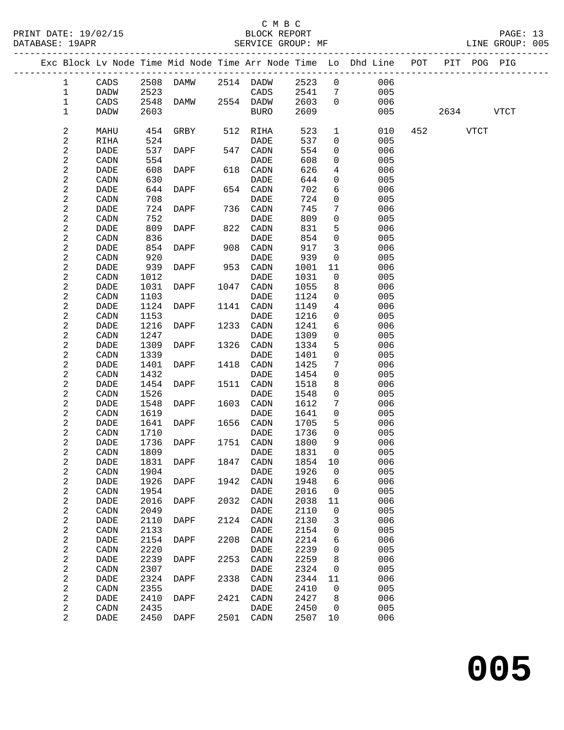### C M B C<br>BLOCK REPORT

PAGE: 13<br>LINE GROUP: 005

|                         |             |      |             |      |             |         |                 | Exc Block Lv Node Time Mid Node Time Arr Node Time Lo Dhd Line POT |           | PIT POG PIG |  |
|-------------------------|-------------|------|-------------|------|-------------|---------|-----------------|--------------------------------------------------------------------|-----------|-------------|--|
| $\mathbf{1}$            | CADS        |      | 2508 DAMW   |      | 2514 DADW   | 2523    | $\overline{0}$  | 006                                                                |           |             |  |
| $\mathbf 1$             | DADW        | 2523 |             |      | CADS        | 2541    | 7               | 005                                                                |           |             |  |
| 1                       | CADS        |      | 2548 DAMW   |      | 2554 DADW   | 2603    | $\overline{0}$  | 006                                                                |           |             |  |
| 1                       | DADW        | 2603 |             |      | BURO        | 2609    |                 | 005                                                                | 2634 VTCT |             |  |
| $\boldsymbol{2}$        | MAHU        | 454  | GRBY        | 512  | RIHA        | 523     | $\mathbf{1}$    | 010                                                                | 452 VTCT  |             |  |
| $\boldsymbol{2}$        | RIHA        | 524  |             |      | DADE        | 537     | 0               | 005                                                                |           |             |  |
| $\boldsymbol{2}$        | DADE        |      | 537 DAPF    |      | 547 CADN    | 554     | $\mathbf 0$     | 006                                                                |           |             |  |
| $\sqrt{2}$              | CADN        | 554  |             |      | DADE        | 608     | $\mathbf 0$     | 005                                                                |           |             |  |
| $\overline{\mathbf{c}}$ | DADE        | 608  | DAPF        |      | 618 CADN    | 626     | 4               | 006                                                                |           |             |  |
| $\sqrt{2}$              | CADN        | 630  |             |      | DADE        | 644     | 0               | 005                                                                |           |             |  |
| 2                       | DADE        | 644  | DAPF        | 654  | CADN        | 702     | 6               | 006                                                                |           |             |  |
| $\sqrt{2}$              | CADN        | 708  |             |      | DADE        | 724     | 0               | 005                                                                |           |             |  |
| $\sqrt{2}$              | DADE        |      | 724 DAPF    |      | 736 CADN    | 745     | $7\phantom{.0}$ | 006                                                                |           |             |  |
| $\boldsymbol{2}$        | CADN        | 752  |             |      | DADE        | 809     | $\mathbf 0$     | 005                                                                |           |             |  |
| 2                       | DADE        | 809  | DAPF        | 822  | CADN        | 831     | 5               | 006                                                                |           |             |  |
| $\mathbf 2$             | CADN        | 836  |             |      | DADE        | 854     | $\mathsf{O}$    | 005                                                                |           |             |  |
| $\sqrt{2}$              | DADE        | 854  | DAPF        |      | 908 CADN    | 917     | $\mathbf{3}$    | 006                                                                |           |             |  |
| $\sqrt{2}$              | CADN        | 920  |             |      | DADE        | 939     | 0               | 005                                                                |           |             |  |
| 2                       | DADE        | 939  | DAPF        | 953  | CADN        | 1001    | 11              | 006                                                                |           |             |  |
| $\mathbf 2$             | CADN        | 1012 |             |      | DADE        | 1031    | $\mathbf 0$     | 005                                                                |           |             |  |
| $\sqrt{2}$              | DADE        | 1031 | DAPF        |      | 1047 CADN   | 1055    | 8               | 006                                                                |           |             |  |
| $\overline{\mathbf{c}}$ | CADN        | 1103 |             |      | DADE        | 1124    | 0               | 005                                                                |           |             |  |
| $\boldsymbol{2}$        | DADE        | 1124 | DAPF        | 1141 | CADN        | 1149    | 4               | 006                                                                |           |             |  |
| $\boldsymbol{2}$        | CADN        | 1153 |             |      | DADE        | 1216    | 0               | 005                                                                |           |             |  |
| $\sqrt{2}$              | DADE        | 1216 | DAPF        |      | 1233 CADN   | 1241    | 6               | 006                                                                |           |             |  |
| $\sqrt{2}$              | CADN        | 1247 |             |      | DADE        | 1309    | $\mathbf 0$     | 005                                                                |           |             |  |
| $\boldsymbol{2}$        | <b>DADE</b> | 1309 | DAPF        | 1326 | CADN        | 1334    | 5               | 006                                                                |           |             |  |
| $\overline{\mathbf{c}}$ | CADN        | 1339 |             |      | DADE        | 1401    | 0               | 005                                                                |           |             |  |
| $\sqrt{2}$              | DADE        | 1401 | DAPF        | 1418 | CADN        | 1425    | 7               | 006                                                                |           |             |  |
| $\overline{\mathbf{c}}$ | CADN        | 1432 |             |      | DADE        | 1454    | $\mathbf 0$     | 005                                                                |           |             |  |
| $\boldsymbol{2}$        | DADE        | 1454 | DAPF        | 1511 | CADN        | 1518    | 8               | 006                                                                |           |             |  |
| $\boldsymbol{2}$        | CADN        | 1526 |             |      | DADE        | 1548    | $\mathbf 0$     | 005                                                                |           |             |  |
| $\sqrt{2}$              | DADE        | 1548 | DAPF        |      | 1603 CADN   | 1612    | 7               | 006                                                                |           |             |  |
| $\sqrt{2}$              | CADN        | 1619 |             |      | DADE        | 1641    | $\mathsf{O}$    | 005                                                                |           |             |  |
| $\boldsymbol{2}$        | <b>DADE</b> | 1641 | DAPF        | 1656 | CADN        | 1705    | 5               | 006                                                                |           |             |  |
| 2                       | CADN        | 1710 |             |      | DADE        | 1736    | 0               | 005                                                                |           |             |  |
| $\overline{\mathbf{c}}$ | DADE        | 1736 | DAPF        |      | 1751 CADN   | 1800    | 9               | 006                                                                |           |             |  |
| $\mathbf 2$             | CADN        | 1809 |             |      | DADE        | 1831    | $\mathbf 0$     | 005                                                                |           |             |  |
| 2                       | DADE        |      | 1831 DAPF   |      | 1847 CADN   | 1854 10 |                 | 006                                                                |           |             |  |
| 2                       | CADN        | 1904 |             |      | DADE        | 1926    | 0               | 005                                                                |           |             |  |
| $\boldsymbol{2}$        | DADE        | 1926 | DAPF        | 1942 | CADN        | 1948    | 6               | 006                                                                |           |             |  |
| $\sqrt{2}$              | CADN        | 1954 |             |      | DADE        | 2016    | 0               | 005                                                                |           |             |  |
| 2                       | DADE        | 2016 | <b>DAPF</b> | 2032 | CADN        | 2038    | 11              | 006                                                                |           |             |  |
| $\boldsymbol{2}$        | CADN        | 2049 |             |      | DADE        | 2110    | 0               | 005                                                                |           |             |  |
| $\overline{\mathbf{c}}$ | DADE        | 2110 | DAPF        | 2124 | CADN        | 2130    | 3               | 006                                                                |           |             |  |
| $\sqrt{2}$              | CADN        | 2133 |             |      | DADE        | 2154    | 0               | 005                                                                |           |             |  |
| 2                       | DADE        | 2154 | DAPF        | 2208 | CADN        | 2214    | 6               | 006                                                                |           |             |  |
| $\boldsymbol{2}$        | CADN        | 2220 |             |      | DADE        | 2239    | 0               | 005                                                                |           |             |  |
| $\overline{\mathbf{c}}$ | DADE        | 2239 | DAPF        | 2253 | CADN        | 2259    | 8               | 006                                                                |           |             |  |
| $\overline{\mathbf{c}}$ | CADN        | 2307 |             |      | DADE        | 2324    | 0               | 005                                                                |           |             |  |
| $\overline{\mathbf{c}}$ | DADE        | 2324 | DAPF        | 2338 | CADN        | 2344    | 11              | 006                                                                |           |             |  |
| $\sqrt{2}$              | CADN        | 2355 |             |      | <b>DADE</b> | 2410    | 0               | 005                                                                |           |             |  |
| 2                       | DADE        | 2410 | DAPF        | 2421 | CADN        | 2427    | 8               | 006                                                                |           |             |  |
| $\sqrt{2}$              | CADN        | 2435 |             |      | DADE        | 2450    | $\overline{0}$  | 005                                                                |           |             |  |
| 2                       | DADE        |      | 2450 DAPF   |      | 2501 CADN   | 2507    | 10              | 006                                                                |           |             |  |
|                         |             |      |             |      |             |         |                 |                                                                    |           |             |  |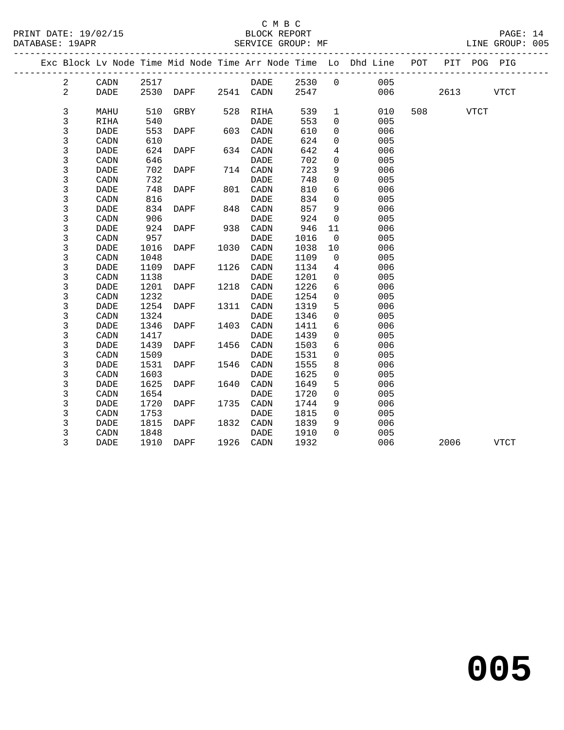### C M B C

| DATABASE: 19APR |                | _____________________  |      | SERVICE GROUP: MF   |      |             |      |                |                                                                                |          |           | LINE GROUP: 005 |  |
|-----------------|----------------|------------------------|------|---------------------|------|-------------|------|----------------|--------------------------------------------------------------------------------|----------|-----------|-----------------|--|
|                 |                |                        |      |                     |      |             |      |                | Exc Block Lv Node Time Mid Node Time Arr Node Time Lo Dhd Line POT PIT POG PIG |          |           |                 |  |
|                 | $\overline{a}$ | CADN                   | 2517 |                     |      | DADE 2530 0 |      |                | 005                                                                            |          |           |                 |  |
|                 | $\overline{a}$ | DADE                   |      | 2530 DAPF 2541 CADN |      |             | 2547 |                | 006                                                                            |          | 2613 VTCT |                 |  |
|                 | $\mathsf{3}$   | MAHU                   | 510  | GRBY                |      | 528 RIHA    | 539  | $\mathbf{1}$   | 010                                                                            | 508 VTCT |           |                 |  |
|                 | 3              | RIHA                   | 540  |                     |      | DADE        | 553  | $\overline{0}$ | 005                                                                            |          |           |                 |  |
|                 | 3              | <b>DADE</b>            | 553  | DAPF                |      | 603 CADN    | 610  | 0              | 006                                                                            |          |           |                 |  |
|                 | 3              | CADN                   | 610  |                     |      | DADE        | 624  | $\mathbf 0$    | 005                                                                            |          |           |                 |  |
|                 | 3              | <b>DADE</b>            | 624  | DAPF                |      | 634 CADN    | 642  | $\overline{4}$ | 006                                                                            |          |           |                 |  |
|                 | 3              | $\texttt{CADN}\xspace$ | 646  |                     |      | DADE        | 702  | $\mathbf 0$    | 005                                                                            |          |           |                 |  |
|                 | 3              | DADE                   |      | 702 DAPF            |      | 714 CADN    | 723  | 9              | 006                                                                            |          |           |                 |  |
|                 | 3              | CADN                   | 732  |                     |      | <b>DADE</b> | 748  | $\mathbf 0$    | 005                                                                            |          |           |                 |  |
|                 | 3              | <b>DADE</b>            | 748  | DAPF                |      | 801 CADN    | 810  | 6              | 006                                                                            |          |           |                 |  |
|                 | 3              | $\texttt{CADN}\xspace$ | 816  |                     |      | <b>DADE</b> | 834  | $\mathsf{O}$   | 005                                                                            |          |           |                 |  |
|                 | 3              | DADE                   | 834  | DAPF                |      | 848 CADN    | 857  | 9              | 006                                                                            |          |           |                 |  |
|                 | 3              | CADN                   | 906  |                     |      | DADE        | 924  | $\overline{0}$ | 005                                                                            |          |           |                 |  |
|                 | 3              | DADE                   | 924  | DAPF                |      | 938 CADN    | 946  | 11             | 006                                                                            |          |           |                 |  |
|                 | 3              | CADN                   | 957  |                     |      | DADE        | 1016 | $\overline{0}$ | 005                                                                            |          |           |                 |  |
|                 | 3              | <b>DADE</b>            | 1016 | DAPF                |      | 1030 CADN   | 1038 | 10             | 006                                                                            |          |           |                 |  |
|                 | 3              | CADN                   | 1048 |                     |      | DADE        | 1109 | $\overline{0}$ | 005                                                                            |          |           |                 |  |
|                 | 3              | <b>DADE</b>            | 1109 | DAPF                | 1126 | CADN        | 1134 | $\overline{4}$ | 006                                                                            |          |           |                 |  |
|                 | 3              | $\texttt{CADN}\xspace$ | 1138 |                     |      | <b>DADE</b> | 1201 | $\mathbf 0$    | 005                                                                            |          |           |                 |  |
|                 | 3              | <b>DADE</b>            | 1201 | DAPF                |      | 1218 CADN   | 1226 | 6              | 006                                                                            |          |           |                 |  |
|                 | 3              | CADN                   | 1232 |                     |      | <b>DADE</b> | 1254 | 0              | 005                                                                            |          |           |                 |  |
|                 | 3              | <b>DADE</b>            | 1254 | DAPF                |      | 1311 CADN   | 1319 | 5              | 006                                                                            |          |           |                 |  |
|                 | 3              | CADN                   | 1324 |                     |      | <b>DADE</b> | 1346 | $\mathsf{O}$   | 005                                                                            |          |           |                 |  |
|                 | 3              | DADE                   | 1346 | DAPF                |      | 1403 CADN   | 1411 | 6              | 006                                                                            |          |           |                 |  |
|                 | 3              | CADN                   | 1417 |                     |      | <b>DADE</b> | 1439 | 0              | 005                                                                            |          |           |                 |  |
|                 | 3              | <b>DADE</b>            | 1439 | DAPF                | 1456 | CADN        | 1503 | 6              | 006                                                                            |          |           |                 |  |
|                 | 3              | CADN                   | 1509 |                     |      | <b>DADE</b> | 1531 | $\Omega$       | 005                                                                            |          |           |                 |  |
|                 | 3              | <b>DADE</b>            | 1531 | DAPF                | 1546 | CADN        | 1555 | 8              | 006                                                                            |          |           |                 |  |
|                 | 3              | $\texttt{CADN}\xspace$ | 1603 |                     |      | <b>DADE</b> | 1625 | $\mathbf 0$    | 005                                                                            |          |           |                 |  |
|                 | 3              | <b>DADE</b>            | 1625 | DAPF                | 1640 | CADN        | 1649 | 5              | 006                                                                            |          |           |                 |  |
|                 | 3              | CADN                   | 1654 |                     |      | <b>DADE</b> | 1720 | $\mathbf 0$    | 005                                                                            |          |           |                 |  |
|                 | 3              | <b>DADE</b>            | 1720 | DAPF                |      | 1735 CADN   | 1744 | 9              | 006                                                                            |          |           |                 |  |
|                 | 3              | CADN                   | 1753 |                     |      | <b>DADE</b> | 1815 | $\mathsf{O}$   | 005                                                                            |          |           |                 |  |
|                 | 3              | <b>DADE</b>            | 1815 | DAPF                |      | 1832 CADN   | 1839 | 9              | 006                                                                            |          |           |                 |  |
|                 | 3              | CADN                   | 1848 |                     |      | DADE        | 1910 | $\Omega$       | 005                                                                            |          |           |                 |  |
|                 | 3              | DADE                   |      | 1910 DAPF 1926 CADN |      |             | 1932 |                | 006                                                                            | 2006     |           | <b>VTCT</b>     |  |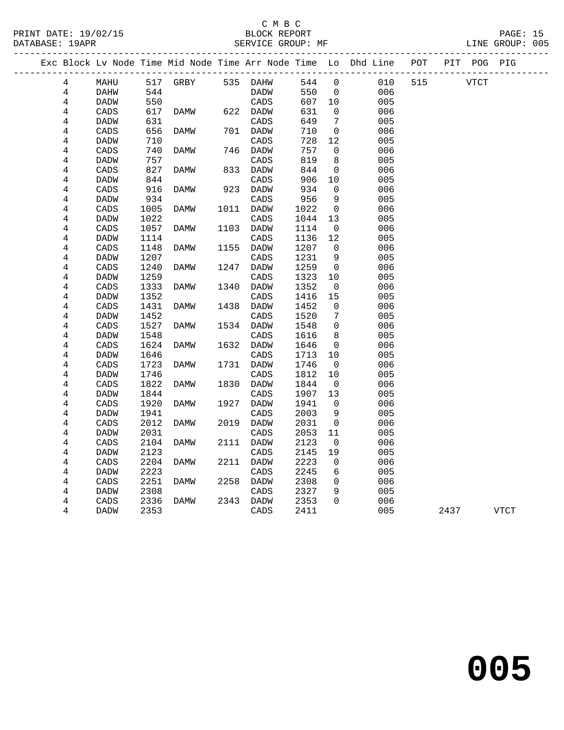PRINT DATE: 19/02/15 BLOCK REPORT<br>DATABASE: 19APR BERVICE GROUP: MF

### C M B C<br>BLOCK REPORT

PAGE: 15<br>LINE GROUP: 005

|                |             |      |                   |      |             |      |                | Exc Block Lv Node Time Mid Node Time Arr Node Time Lo Dhd Line POT |     |             | PIT POG PIG |      |
|----------------|-------------|------|-------------------|------|-------------|------|----------------|--------------------------------------------------------------------|-----|-------------|-------------|------|
| $\overline{4}$ | MAHU        |      | 517 GRBY 535 DAHW |      |             | 544  | $\overline{0}$ | 010                                                                | 515 | <b>VTCT</b> |             |      |
| 4              | DAHW        | 544  |                   |      | DADW        | 550  | $\overline{0}$ | 006                                                                |     |             |             |      |
| $\overline{4}$ | DADW        | 550  |                   |      | CADS        | 607  | 10             | 005                                                                |     |             |             |      |
| $\overline{4}$ | CADS        | 617  | DAMW              |      | 622 DADW    | 631  | $\mathbf{0}$   | 006                                                                |     |             |             |      |
| 4              | DADW        | 631  |                   |      | CADS        | 649  | 7              | 005                                                                |     |             |             |      |
| 4              | CADS        | 656  | DAMW              |      | 701 DADW    | 710  | $\mathsf{O}$   | 006                                                                |     |             |             |      |
| 4              | <b>DADW</b> | 710  |                   |      | CADS        | 728  | 12             | 005                                                                |     |             |             |      |
| 4              | CADS        | 740  | DAMW              |      | 746 DADW    | 757  | $\mathbf 0$    | 006                                                                |     |             |             |      |
| 4              | <b>DADW</b> | 757  |                   |      | CADS        | 819  | 8              | 005                                                                |     |             |             |      |
| 4              | CADS        | 827  | DAMW              |      | 833 DADW    | 844  | $\mathbf 0$    | 006                                                                |     |             |             |      |
| 4              | DADW        | 844  |                   |      | CADS        | 906  | 10             | 005                                                                |     |             |             |      |
| 4              | CADS        | 916  | DAMW              |      | 923 DADW    | 934  | $\mathbf 0$    | 006                                                                |     |             |             |      |
| 4              | <b>DADW</b> | 934  |                   |      | CADS        | 956  | 9              | 005                                                                |     |             |             |      |
| 4              | CADS        | 1005 | DAMW              |      | 1011 DADW   | 1022 | $\overline{0}$ | 006                                                                |     |             |             |      |
| 4              | <b>DADW</b> | 1022 |                   |      | CADS        | 1044 | 13             | 005                                                                |     |             |             |      |
| 4              | CADS        | 1057 | DAMW              |      | 1103 DADW   | 1114 | $\overline{0}$ | 006                                                                |     |             |             |      |
| 4              | <b>DADW</b> | 1114 |                   |      | CADS        | 1136 | 12             | 005                                                                |     |             |             |      |
| 4              | CADS        | 1148 | DAMW              | 1155 | DADW        | 1207 | $\mathbf 0$    | 006                                                                |     |             |             |      |
| 4              | <b>DADW</b> | 1207 |                   |      | CADS        | 1231 | 9              | 005                                                                |     |             |             |      |
| 4              | CADS        | 1240 | DAMW              | 1247 | DADW        | 1259 | $\overline{0}$ | 006                                                                |     |             |             |      |
| $\overline{4}$ | <b>DADW</b> | 1259 |                   |      | CADS        | 1323 | 10             | 005                                                                |     |             |             |      |
| 4              | CADS        | 1333 | DAMW              | 1340 | DADW        | 1352 | $\overline{0}$ | 006                                                                |     |             |             |      |
| 4              | <b>DADW</b> | 1352 |                   |      | CADS        | 1416 | 15             | 005                                                                |     |             |             |      |
| 4              | CADS        | 1431 | DAMW              | 1438 | DADW        | 1452 | $\mathbf 0$    | 006                                                                |     |             |             |      |
| $\,4$          | DADW        | 1452 |                   |      | CADS        | 1520 | 7              | 005                                                                |     |             |             |      |
| 4              | CADS        | 1527 | DAMW              | 1534 | DADW        | 1548 | $\mathbf 0$    | 006                                                                |     |             |             |      |
| $\overline{4}$ | DADW        | 1548 |                   |      | CADS        | 1616 | 8              | 005                                                                |     |             |             |      |
| 4              | CADS        | 1624 | DAMW              | 1632 | DADW        | 1646 | 0              | 006                                                                |     |             |             |      |
| 4              | <b>DADW</b> | 1646 |                   |      | CADS        | 1713 | 10             | 005                                                                |     |             |             |      |
| $\overline{4}$ | CADS        | 1723 | DAMW              | 1731 | DADW        | 1746 | 0              | 006                                                                |     |             |             |      |
| 4              | <b>DADW</b> | 1746 |                   |      | CADS        | 1812 | 10             | 005                                                                |     |             |             |      |
| $\,4$          | CADS        | 1822 | DAMW              | 1830 | DADW        | 1844 | $\mathbf 0$    | 006                                                                |     |             |             |      |
| 4              | DADW        | 1844 |                   |      | CADS        | 1907 | 13             | 005                                                                |     |             |             |      |
| $\,4$          | CADS        | 1920 | DAMW              | 1927 | DADW        | 1941 | $\mathbf 0$    | 006                                                                |     |             |             |      |
| 4              | <b>DADW</b> | 1941 |                   |      | CADS        | 2003 | 9              | 005                                                                |     |             |             |      |
| 4              | CADS        | 2012 | DAMW              | 2019 | <b>DADW</b> | 2031 | $\overline{0}$ | 006                                                                |     |             |             |      |
| 4              | DADW        | 2031 |                   |      | CADS        | 2053 | 11             | 005                                                                |     |             |             |      |
| 4              | CADS        | 2104 | DAMW              |      | 2111 DADW   | 2123 | 0              | 006                                                                |     |             |             |      |
| 4              | DADW        | 2123 |                   |      | CADS        | 2145 | 19             | 005                                                                |     |             |             |      |
| 4              | CADS        | 2204 | DAMW              | 2211 | DADW        | 2223 | $\mathbf{0}$   | 006                                                                |     |             |             |      |
| 4              | DADW        | 2223 |                   |      | CADS        | 2245 | 6              | 005                                                                |     |             |             |      |
| 4              | CADS        | 2251 | DAMW              | 2258 | DADW        | 2308 | $\mathbf 0$    | 006                                                                |     |             |             |      |
| 4              | DADW        | 2308 |                   |      | CADS        | 2327 | 9<br>$\Omega$  | 005                                                                |     |             |             |      |
| 4              | CADS        | 2336 | DAMW              |      | 2343 DADW   | 2353 |                | 006                                                                |     |             |             |      |
| 4              | DADW        | 2353 |                   |      | CADS        | 2411 |                | 005                                                                |     | 2437        |             | VTCT |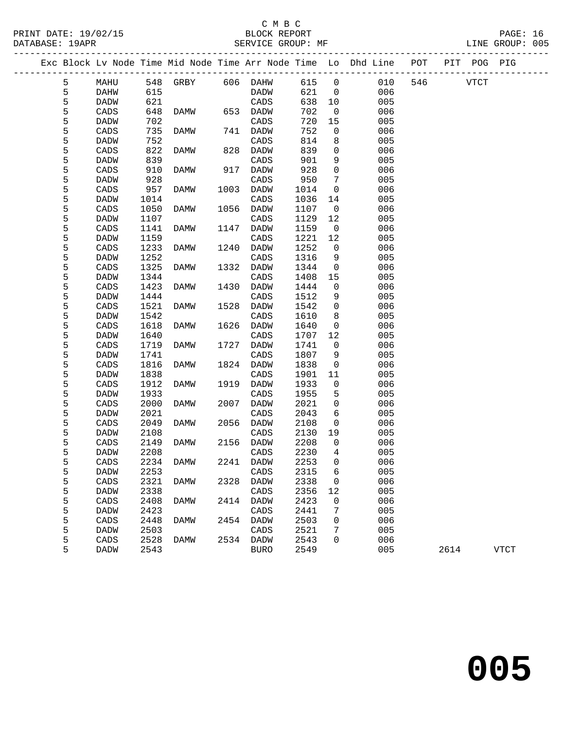### C M B C<br>BLOCK REPORT

| PRINT DATE: 19/02/15<br>DATABASE: 19APR |   |      |      |                         |      | BLOCK REPORT<br>SERVICE GROUP: MF |      |                 |                                                                |          |             | PAGE: 16<br>LINE GROUP: 005 |  |
|-----------------------------------------|---|------|------|-------------------------|------|-----------------------------------|------|-----------------|----------------------------------------------------------------|----------|-------------|-----------------------------|--|
|                                         |   |      |      |                         |      |                                   |      |                 | Exc Block Lv Node Time Mid Node Time Arr Node Time Lo Dhd Line | POT      | PIT POG PIG |                             |  |
|                                         | 5 | MAHU |      | 548 GRBY 606 DAHW 615 0 |      |                                   |      |                 | 010                                                            | 546 VTCT |             |                             |  |
|                                         | 5 | DAHW | 615  |                         |      | DADW                              | 621  | $\Omega$        | 006                                                            |          |             |                             |  |
|                                         | 5 | DADW | 621  |                         |      | CADS                              | 638  | 10              | 005                                                            |          |             |                             |  |
|                                         | 5 | CADS | 648  | DAMW                    | 653  | DADW                              | 702  | $\Omega$        | 006                                                            |          |             |                             |  |
|                                         | 5 | DADW | 702  |                         |      | CADS                              | 720  | 15              | 005                                                            |          |             |                             |  |
|                                         | 5 | CADS | 735  | DAMW                    | 741  | DADW                              | 752  | 0               | 006                                                            |          |             |                             |  |
|                                         | 5 | DADW | 752  |                         |      | CADS                              | 814  | 8               | 005                                                            |          |             |                             |  |
|                                         | 5 | CADS | 822  | DAMW                    | 828  | DADW                              | 839  | 0               | 006                                                            |          |             |                             |  |
|                                         | 5 | DADW | 839  |                         |      | CADS                              | 901  | 9               | 005                                                            |          |             |                             |  |
|                                         | 5 | CADS | 910  | DAMW                    | 917  | DADW                              | 928  | $\mathbf 0$     | 006                                                            |          |             |                             |  |
|                                         | 5 | DADW | 928  |                         |      | CADS                              | 950  | 7               | 005                                                            |          |             |                             |  |
|                                         | 5 | CADS | 957  | DAMW                    | 1003 | DADW                              | 1014 | 0               | 006                                                            |          |             |                             |  |
|                                         | 5 | DADW | 1014 |                         |      | CADS                              | 1036 | 14              | 005                                                            |          |             |                             |  |
|                                         | 5 | CADS | 1050 | DAMW                    | 1056 | DADW                              | 1107 | $\Omega$        | 006                                                            |          |             |                             |  |
|                                         | 5 | DADW | 1107 |                         |      | CADS                              | 1129 | 12 <sup>°</sup> | 005                                                            |          |             |                             |  |
|                                         | 5 | CADS | 1141 | DAMW                    |      | 1147 DADW                         | 1159 | $\Omega$        | 006                                                            |          |             |                             |  |

| 5 | <b>DADW</b> | 1107 |             |      | CADS        | 1129 | 12          | 005 |      |             |
|---|-------------|------|-------------|------|-------------|------|-------------|-----|------|-------------|
| 5 | CADS        | 1141 | DAMW        | 1147 | <b>DADW</b> | 1159 | $\mathbf 0$ | 006 |      |             |
| 5 | <b>DADW</b> | 1159 |             |      | CADS        | 1221 | 12          | 005 |      |             |
| 5 | CADS        | 1233 | <b>DAMW</b> | 1240 | <b>DADW</b> | 1252 | 0           | 006 |      |             |
| 5 | <b>DADW</b> | 1252 |             |      | CADS        | 1316 | 9           | 005 |      |             |
| 5 | CADS        | 1325 | <b>DAMW</b> | 1332 | DADW        | 1344 | 0           | 006 |      |             |
| 5 | <b>DADW</b> | 1344 |             |      | CADS        | 1408 | 15          | 005 |      |             |
| 5 | CADS        | 1423 | <b>DAMW</b> | 1430 | <b>DADW</b> | 1444 | 0           | 006 |      |             |
| 5 | <b>DADW</b> | 1444 |             |      | CADS        | 1512 | 9           | 005 |      |             |
| 5 | CADS        | 1521 | <b>DAMW</b> | 1528 | <b>DADW</b> | 1542 | 0           | 006 |      |             |
| 5 | <b>DADW</b> | 1542 |             |      | CADS        | 1610 | 8           | 005 |      |             |
| 5 | CADS        | 1618 | DAMW        | 1626 | DADW        | 1640 | 0           | 006 |      |             |
| 5 | <b>DADW</b> | 1640 |             |      | CADS        | 1707 | 12          | 005 |      |             |
| 5 | CADS        | 1719 | <b>DAMW</b> | 1727 | <b>DADW</b> | 1741 | 0           | 006 |      |             |
| 5 | <b>DADW</b> | 1741 |             |      | CADS        | 1807 | 9           | 005 |      |             |
| 5 | CADS        | 1816 | <b>DAMW</b> | 1824 | <b>DADW</b> | 1838 | 0           | 006 |      |             |
| 5 | <b>DADW</b> | 1838 |             |      | CADS        | 1901 | 11          | 005 |      |             |
| 5 | CADS        | 1912 | DAMW        | 1919 | <b>DADW</b> | 1933 | 0           | 006 |      |             |
| 5 | <b>DADW</b> | 1933 |             |      | CADS        | 1955 | 5           | 005 |      |             |
| 5 | CADS        | 2000 | <b>DAMW</b> | 2007 | <b>DADW</b> | 2021 | 0           | 006 |      |             |
| 5 | <b>DADW</b> | 2021 |             |      | CADS        | 2043 | 6           | 005 |      |             |
| 5 | CADS        | 2049 | DAMW        | 2056 | DADW        | 2108 | 0           | 006 |      |             |
| 5 | <b>DADW</b> | 2108 |             |      | CADS        | 2130 | 19          | 005 |      |             |
| 5 | CADS        | 2149 | <b>DAMW</b> | 2156 | <b>DADW</b> | 2208 | 0           | 006 |      |             |
| 5 | <b>DADW</b> | 2208 |             |      | CADS        | 2230 | 4           | 005 |      |             |
| 5 | CADS        | 2234 | <b>DAMW</b> | 2241 | <b>DADW</b> | 2253 | 0           | 006 |      |             |
| 5 | <b>DADW</b> | 2253 |             |      | CADS        | 2315 | 6           | 005 |      |             |
| 5 | CADS        | 2321 | DAMW        | 2328 | <b>DADW</b> | 2338 | 0           | 006 |      |             |
| 5 | DADW        | 2338 |             |      | CADS        | 2356 | 12          | 005 |      |             |
| 5 | CADS        | 2408 | <b>DAMW</b> | 2414 | <b>DADW</b> | 2423 | 0           | 006 |      |             |
| 5 | <b>DADW</b> | 2423 |             |      | CADS        | 2441 | 7           | 005 |      |             |
| 5 | CADS        | 2448 | <b>DAMW</b> | 2454 | <b>DADW</b> | 2503 | 0           | 006 |      |             |
| 5 | <b>DADW</b> | 2503 |             |      | CADS        | 2521 | 7           | 005 |      |             |
| 5 | CADS        | 2528 | DAMW        | 2534 | <b>DADW</b> | 2543 | 0           | 006 |      |             |
| 5 | DADW        | 2543 |             |      | <b>BURO</b> | 2549 |             | 005 | 2614 | <b>VTCT</b> |
|   |             |      |             |      |             |      |             |     |      |             |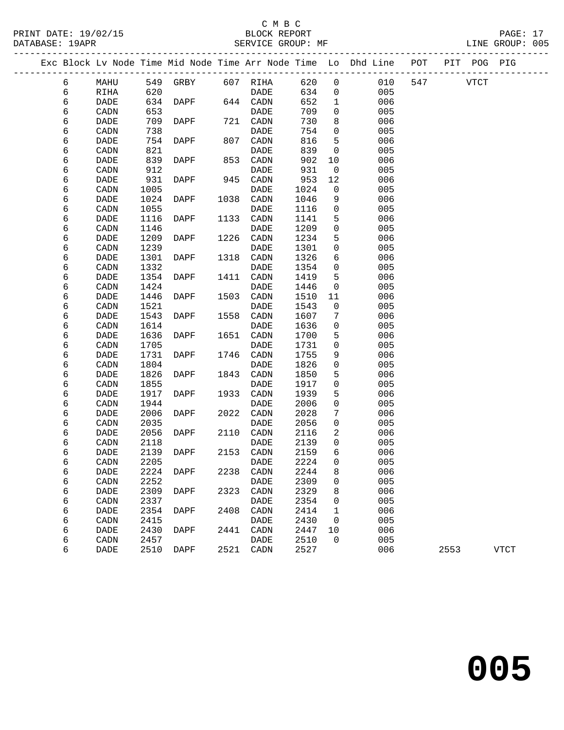|  |   |             |      |           |      |           |      |                | Exc Block Lv Node Time Mid Node Time Arr Node Time Lo Dhd Line | POT |             | PIT POG PIG |             |
|--|---|-------------|------|-----------|------|-----------|------|----------------|----------------------------------------------------------------|-----|-------------|-------------|-------------|
|  | 6 | MAHU        |      | 549 GRBY  |      | 607 RIHA  | 620  | $\mathsf{O}$   | 010                                                            | 547 | <b>VTCT</b> |             |             |
|  | 6 | RIHA        | 620  |           |      | DADE      | 634  | $\overline{0}$ | 005                                                            |     |             |             |             |
|  | 6 | <b>DADE</b> | 634  | DAPF      |      | 644 CADN  | 652  | $\mathbf{1}$   | 006                                                            |     |             |             |             |
|  | 6 | CADN        | 653  |           |      | DADE      | 709  | $\mathbf 0$    | 005                                                            |     |             |             |             |
|  | 6 | DADE        | 709  | DAPF      |      | 721 CADN  | 730  | 8              | 006                                                            |     |             |             |             |
|  | 6 | CADN        | 738  |           |      | DADE      | 754  | $\mathbf 0$    | 005                                                            |     |             |             |             |
|  | 6 | DADE        | 754  | DAPF      | 807  | CADN      | 816  | 5              | 006                                                            |     |             |             |             |
|  | 6 | CADN        | 821  |           |      | DADE      | 839  | $\overline{0}$ | 005                                                            |     |             |             |             |
|  | 6 | DADE        | 839  | DAPF      | 853  | CADN      | 902  | 10             | 006                                                            |     |             |             |             |
|  | 6 | CADN        | 912  |           |      | DADE      | 931  | $\mathsf{O}$   | 005                                                            |     |             |             |             |
|  | 6 | DADE        | 931  | DAPF      | 945  | CADN      | 953  | 12             | 006                                                            |     |             |             |             |
|  | 6 | CADN        | 1005 |           |      | DADE      | 1024 | 0              | 005                                                            |     |             |             |             |
|  | 6 | DADE        | 1024 | DAPF      | 1038 | CADN      | 1046 | 9              | 006                                                            |     |             |             |             |
|  | 6 | CADN        | 1055 |           |      | DADE      | 1116 | $\mathbf 0$    | 005                                                            |     |             |             |             |
|  | 6 | <b>DADE</b> | 1116 | DAPF      | 1133 | CADN      | 1141 | 5              | 006                                                            |     |             |             |             |
|  | 6 | CADN        | 1146 |           |      | DADE      | 1209 | $\mathbf 0$    | 005                                                            |     |             |             |             |
|  | 6 | DADE        | 1209 | DAPF      | 1226 | CADN      | 1234 | 5              | 006                                                            |     |             |             |             |
|  | 6 | CADN        | 1239 |           |      | DADE      | 1301 | $\mathbf 0$    | 005                                                            |     |             |             |             |
|  | 6 | DADE        | 1301 | DAPF      | 1318 | CADN      | 1326 | 6              | 006                                                            |     |             |             |             |
|  | 6 | CADN        | 1332 |           |      | DADE      | 1354 | $\mathbf 0$    | 005                                                            |     |             |             |             |
|  | 6 | DADE        | 1354 | DAPF      | 1411 | CADN      | 1419 | 5              | 006                                                            |     |             |             |             |
|  | 6 | CADN        | 1424 |           |      | DADE      | 1446 | $\mathsf{O}$   | 005                                                            |     |             |             |             |
|  | 6 | DADE        | 1446 | DAPF      | 1503 | CADN      | 1510 | 11             | 006                                                            |     |             |             |             |
|  | 6 | CADN        | 1521 |           |      | DADE      | 1543 | 0              | 005                                                            |     |             |             |             |
|  | 6 | DADE        | 1543 | DAPF      | 1558 | CADN      | 1607 | 7              | 006                                                            |     |             |             |             |
|  | 6 | CADN        | 1614 |           |      | DADE      | 1636 | $\mathsf{O}$   | 005                                                            |     |             |             |             |
|  | 6 | DADE        | 1636 | DAPF      | 1651 | CADN      | 1700 | 5              | 006                                                            |     |             |             |             |
|  | 6 | CADN        | 1705 |           |      | DADE      | 1731 | 0              | 005                                                            |     |             |             |             |
|  | 6 | DADE        | 1731 | DAPF      | 1746 | CADN      | 1755 | 9              | 006                                                            |     |             |             |             |
|  | 6 | CADN        | 1804 |           |      | DADE      | 1826 | $\mathsf{O}$   | 005                                                            |     |             |             |             |
|  | 6 | DADE        | 1826 | DAPF      | 1843 | CADN      | 1850 | 5              | 006                                                            |     |             |             |             |
|  | 6 | CADN        | 1855 |           |      | DADE      | 1917 | 0              | 005                                                            |     |             |             |             |
|  | 6 | DADE        | 1917 | DAPF      | 1933 | CADN      | 1939 | 5              | 006                                                            |     |             |             |             |
|  | 6 | CADN        | 1944 |           |      | DADE      | 2006 | $\mathsf{O}$   | 005                                                            |     |             |             |             |
|  | 6 | DADE        | 2006 | DAPF      | 2022 | CADN      | 2028 | 7              | 006                                                            |     |             |             |             |
|  | 6 | CADN        | 2035 |           |      | DADE      | 2056 | $\overline{0}$ | 005                                                            |     |             |             |             |
|  | 6 | DADE        | 2056 | DAPF      | 2110 | CADN      | 2116 | 2              | 006                                                            |     |             |             |             |
|  | 6 | CADN        | 2118 |           |      | DADE      | 2139 | $\mathbf{0}$   | 005                                                            |     |             |             |             |
|  | 6 | DADE        |      | 2139 DAPF |      | 2153 CADN | 2159 | 6              | 006                                                            |     |             |             |             |
|  | 6 | CADN        | 2205 |           |      | DADE      | 2224 | $\mathbf{0}$   | 005                                                            |     |             |             |             |
|  | 6 | DADE        | 2224 | DAPF      | 2238 | CADN      | 2244 | 8              | 006                                                            |     |             |             |             |
|  | 6 | CADN        | 2252 |           |      | DADE      | 2309 | 0              | 005                                                            |     |             |             |             |
|  | 6 | DADE        | 2309 | DAPF      | 2323 | CADN      | 2329 | 8              | 006                                                            |     |             |             |             |
|  | 6 | CADN        | 2337 |           |      | DADE      | 2354 | 0              | 005                                                            |     |             |             |             |
|  | 6 | DADE        | 2354 | DAPF      | 2408 | CADN      | 2414 | 1              | 006                                                            |     |             |             |             |
|  | 6 | CADN        | 2415 |           |      | DADE      | 2430 | 0              | 005                                                            |     |             |             |             |
|  | 6 | DADE        | 2430 | DAPF      | 2441 | CADN      | 2447 | 10             | 006                                                            |     |             |             |             |
|  | 6 | CADN        | 2457 |           |      | DADE      | 2510 | 0              | 005                                                            |     |             |             |             |
|  | 6 | DADE        | 2510 | DAPF      |      | 2521 CADN | 2527 |                | 006                                                            |     | 2553        |             | <b>VTCT</b> |
|  |   |             |      |           |      |           |      |                |                                                                |     |             |             |             |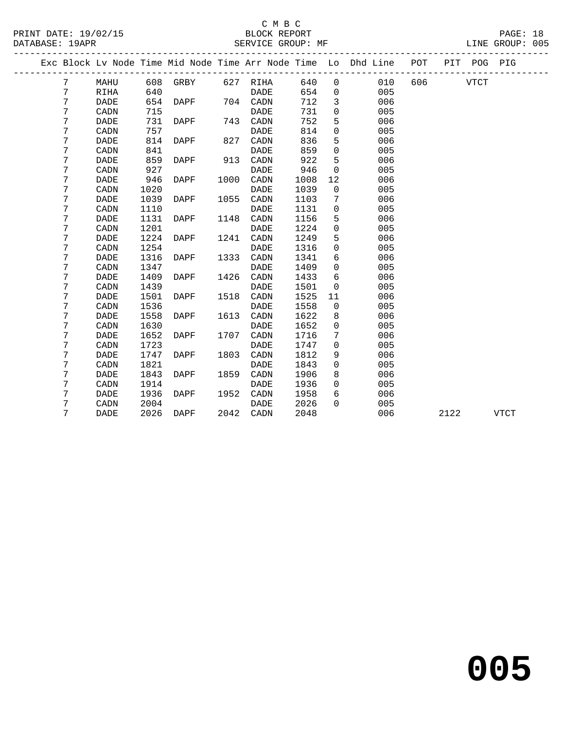### C M B C

| DATABASE: 19APR |   |             |      |          |      | SERVICE GROUP: MF |      |              |                                                                    |     |             |             | LINE GROUP: 005 |  |
|-----------------|---|-------------|------|----------|------|-------------------|------|--------------|--------------------------------------------------------------------|-----|-------------|-------------|-----------------|--|
|                 |   |             |      |          |      |                   |      |              | Exc Block Lv Node Time Mid Node Time Arr Node Time Lo Dhd Line POT |     |             | PIT POG PIG |                 |  |
|                 | 7 | MAHU        |      | 608 GRBY |      | 627 RIHA          | 640  | $\mathsf{O}$ | 010                                                                | 606 | <b>VTCT</b> |             |                 |  |
|                 | 7 | RIHA        | 640  |          |      | DADE              | 654  | $\mathbf 0$  | 005                                                                |     |             |             |                 |  |
|                 | 7 | <b>DADE</b> | 654  | DAPF     |      | 704 CADN          | 712  | $\mathbf{3}$ | 006                                                                |     |             |             |                 |  |
|                 | 7 | CADN        | 715  |          |      | DADE              | 731  | 0            | 005                                                                |     |             |             |                 |  |
|                 | 7 | DADE        | 731  | DAPF     | 743  | CADN              | 752  | 5            | 006                                                                |     |             |             |                 |  |
|                 | 7 | CADN        | 757  |          |      | <b>DADE</b>       | 814  | 0            | 005                                                                |     |             |             |                 |  |
|                 | 7 | <b>DADE</b> | 814  | DAPF     | 827  | CADN              | 836  | 5            | 006                                                                |     |             |             |                 |  |
|                 | 7 | CADN        | 841  |          |      | <b>DADE</b>       | 859  | $\mathbf 0$  | 005                                                                |     |             |             |                 |  |
|                 | 7 | <b>DADE</b> | 859  | DAPF     | 913  | CADN              | 922  | 5            | 006                                                                |     |             |             |                 |  |
|                 | 7 | CADN        | 927  |          |      | <b>DADE</b>       | 946  | $\mathbf 0$  | 005                                                                |     |             |             |                 |  |
|                 | 7 | <b>DADE</b> | 946  | DAPF     | 1000 | CADN              | 1008 | 12           | 006                                                                |     |             |             |                 |  |
|                 | 7 | CADN        | 1020 |          |      | <b>DADE</b>       | 1039 | 0            | 005                                                                |     |             |             |                 |  |
|                 | 7 | DADE        | 1039 | DAPF     | 1055 | CADN              | 1103 | 7            | 006                                                                |     |             |             |                 |  |
|                 | 7 | CADN        | 1110 |          |      | DADE              | 1131 | 0            | 005                                                                |     |             |             |                 |  |
|                 | 7 | DADE        | 1131 | DAPF     | 1148 | CADN              | 1156 | 5            | 006                                                                |     |             |             |                 |  |
|                 | 7 | CADN        | 1201 |          |      | <b>DADE</b>       | 1224 | 0            | 005                                                                |     |             |             |                 |  |
|                 | 7 | DADE        | 1224 | DAPF     | 1241 | CADN              | 1249 | 5            | 006                                                                |     |             |             |                 |  |
|                 | 7 | CADN        | 1254 |          |      | <b>DADE</b>       | 1316 | 0            | 005                                                                |     |             |             |                 |  |
|                 | 7 | <b>DADE</b> | 1316 | DAPF     | 1333 | CADN              | 1341 | 6            | 006                                                                |     |             |             |                 |  |
|                 | 7 | CADN        | 1347 |          |      | DADE              | 1409 | 0            | 005                                                                |     |             |             |                 |  |
|                 | 7 | <b>DADE</b> | 1409 | DAPF     | 1426 | CADN              | 1433 | 6            | 006                                                                |     |             |             |                 |  |
|                 | 7 | CADN        | 1439 |          |      | <b>DADE</b>       | 1501 | $\mathbf 0$  | 005                                                                |     |             |             |                 |  |
|                 | 7 | DADE        | 1501 | DAPF     | 1518 | CADN              | 1525 | 11           | 006                                                                |     |             |             |                 |  |
|                 | 7 | CADN        | 1536 |          |      | <b>DADE</b>       | 1558 | $\mathsf{O}$ | 005                                                                |     |             |             |                 |  |
|                 | 7 | DADE        | 1558 | DAPF     | 1613 | CADN              | 1622 | 8            | 006                                                                |     |             |             |                 |  |
|                 | 7 | CADN        | 1630 |          |      | DADE              | 1652 | 0            | 005                                                                |     |             |             |                 |  |
|                 | 7 | DADE        | 1652 | DAPF     | 1707 | CADN              | 1716 | 7            | 006                                                                |     |             |             |                 |  |
|                 | 7 | CADN        | 1723 |          |      | <b>DADE</b>       | 1747 | 0            | 005                                                                |     |             |             |                 |  |
|                 | 7 | DADE        | 1747 | DAPF     | 1803 | CADN              | 1812 | 9            | 006                                                                |     |             |             |                 |  |
|                 | 7 | CADN        | 1821 |          |      | <b>DADE</b>       | 1843 | 0            | 005                                                                |     |             |             |                 |  |
|                 | 7 | DADE        | 1843 | DAPF     | 1859 | CADN              | 1906 | 8            | 006                                                                |     |             |             |                 |  |
|                 | 7 | CADN        | 1914 |          |      | DADE              | 1936 | $\mathbf{0}$ | 005                                                                |     |             |             |                 |  |
|                 | 7 | DADE        | 1936 | DAPF     | 1952 | CADN              | 1958 | 6            | 006                                                                |     |             |             |                 |  |
|                 | 7 | CADN        | 2004 |          |      | DADE              | 2026 | $\Omega$     | 005                                                                |     |             |             |                 |  |
|                 | 7 | <b>DADE</b> | 2026 | DAPF     | 2042 | $\mathtt{CADN}$   | 2048 |              | 006                                                                |     | 2122        |             | <b>VTCT</b>     |  |
|                 |   |             |      |          |      |                   |      |              |                                                                    |     |             |             |                 |  |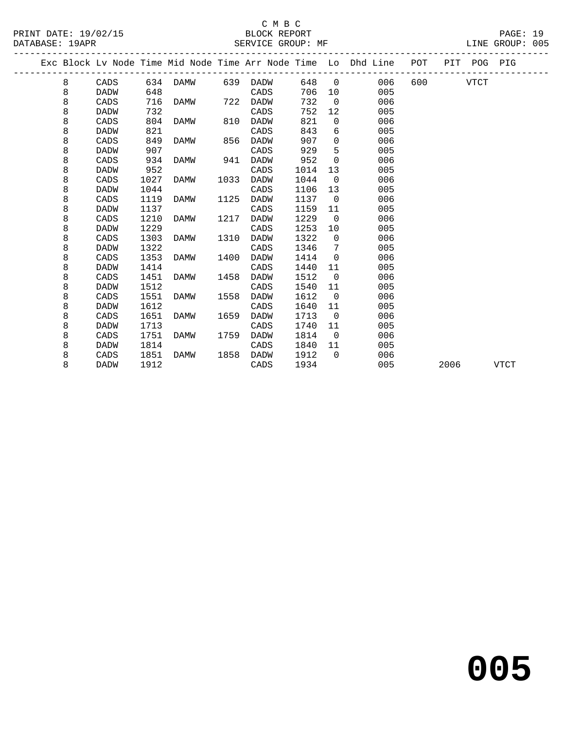PRINT DATE: 19/02/15 BLOCK REPORT BATABASE: 19APR BEST SERVICE GROUP: MF

## C M B C<br>BLOCK REPORT

PAGE: 19<br>LINE GROUP: 005

|  |   |             |      |             |      |             |      |                | Exc Block Lv Node Time Mid Node Time Arr Node Time Lo Dhd Line | POT |      | PIT POG PIG |             |
|--|---|-------------|------|-------------|------|-------------|------|----------------|----------------------------------------------------------------|-----|------|-------------|-------------|
|  | 8 | CADS        | 634  | DAMW        | 639  | DADW        | 648  | $\overline{0}$ | 006                                                            | 600 |      | <b>VTCT</b> |             |
|  | 8 | <b>DADW</b> | 648  |             |      | CADS        | 706  | 10             | 005                                                            |     |      |             |             |
|  | 8 | CADS        | 716  | DAMW        | 722  | DADW        | 732  | $\Omega$       | 006                                                            |     |      |             |             |
|  | 8 | <b>DADW</b> | 732  |             |      | CADS        | 752  | 12             | 005                                                            |     |      |             |             |
|  | 8 | CADS        | 804  | DAMW        | 810  | DADW        | 821  | $\mathbf 0$    | 006                                                            |     |      |             |             |
|  | 8 | <b>DADW</b> | 821  |             |      | CADS        | 843  | 6              | 005                                                            |     |      |             |             |
|  | 8 | CADS        | 849  | DAMW        | 856  | DADW        | 907  | 0              | 006                                                            |     |      |             |             |
|  | 8 | <b>DADW</b> | 907  |             |      | CADS        | 929  | 5              | 005                                                            |     |      |             |             |
|  | 8 | CADS        | 934  | DAMW        | 941  | <b>DADW</b> | 952  | $\Omega$       | 006                                                            |     |      |             |             |
|  | 8 | <b>DADW</b> | 952  |             |      | CADS        | 1014 | 13             | 005                                                            |     |      |             |             |
|  | 8 | CADS        | 1027 | <b>DAMW</b> | 1033 | <b>DADW</b> | 1044 | $\Omega$       | 006                                                            |     |      |             |             |
|  | 8 | <b>DADW</b> | 1044 |             |      | CADS        | 1106 | 13             | 005                                                            |     |      |             |             |
|  | 8 | CADS        | 1119 | DAMW        | 1125 | DADW        | 1137 | $\overline{0}$ | 006                                                            |     |      |             |             |
|  | 8 | <b>DADW</b> | 1137 |             |      | CADS        | 1159 | 11             | 005                                                            |     |      |             |             |
|  | 8 | CADS        | 1210 | <b>DAMW</b> | 1217 | <b>DADW</b> | 1229 | $\mathbf 0$    | 006                                                            |     |      |             |             |
|  | 8 | <b>DADW</b> | 1229 |             |      | CADS        | 1253 | 10             | 005                                                            |     |      |             |             |
|  | 8 | CADS        | 1303 | DAMW        | 1310 | DADW        | 1322 | $\overline{0}$ | 006                                                            |     |      |             |             |
|  | 8 | <b>DADW</b> | 1322 |             |      | CADS        | 1346 | 7              | 005                                                            |     |      |             |             |
|  | 8 | CADS        | 1353 | DAMW        | 1400 | <b>DADW</b> | 1414 | $\Omega$       | 006                                                            |     |      |             |             |
|  | 8 | <b>DADW</b> | 1414 |             |      | CADS        | 1440 | 11             | 005                                                            |     |      |             |             |
|  | 8 | CADS        | 1451 | DAMW        | 1458 | DADW        | 1512 | $\mathbf 0$    | 006                                                            |     |      |             |             |
|  | 8 | DADW        | 1512 |             |      | CADS        | 1540 | 11             | 005                                                            |     |      |             |             |
|  | 8 | CADS        | 1551 | <b>DAMW</b> | 1558 | <b>DADW</b> | 1612 | $\Omega$       | 006                                                            |     |      |             |             |
|  | 8 | <b>DADW</b> | 1612 |             |      | CADS        | 1640 | 11             | 005                                                            |     |      |             |             |
|  | 8 | CADS        | 1651 | DAMW        | 1659 | DADW        | 1713 | $\overline{0}$ | 006                                                            |     |      |             |             |
|  | 8 | <b>DADW</b> | 1713 |             |      | CADS        | 1740 | 11             | 005                                                            |     |      |             |             |
|  | 8 | CADS        | 1751 | DAMW        | 1759 | <b>DADW</b> | 1814 | $\Omega$       | 006                                                            |     |      |             |             |
|  | 8 | <b>DADW</b> | 1814 |             |      | CADS        | 1840 | 11             | 005                                                            |     |      |             |             |
|  | 8 | CADS        | 1851 | DAMW        | 1858 | DADW        | 1912 | $\Omega$       | 006                                                            |     |      |             |             |
|  | 8 | <b>DADW</b> | 1912 |             |      | CADS        | 1934 |                | 005                                                            |     | 2006 |             | <b>VTCT</b> |
|  |   |             |      |             |      |             |      |                |                                                                |     |      |             |             |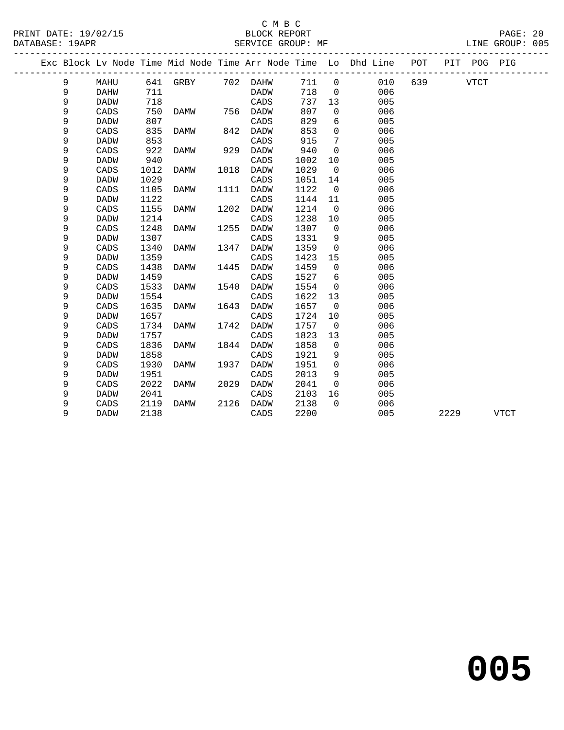### C M B C<br>BLOCK REPORT

|   |             |                 |      |          |      |                           |                |                   |                                                                |     |      | PIG     |                 |
|---|-------------|-----------------|------|----------|------|---------------------------|----------------|-------------------|----------------------------------------------------------------|-----|------|---------|-----------------|
| 9 | MAHU        |                 |      |          | DAHW | 711                       | $\overline{0}$ | 010               | 639                                                            |     | VTCT |         |                 |
| 9 | DAHW        | 711             |      |          | DADW | 718                       | $\overline{0}$ | 006               |                                                                |     |      |         |                 |
| 9 | <b>DADW</b> | 718             |      |          | CADS | 737                       | 13             | 005               |                                                                |     |      |         |                 |
| 9 | CADS        | 750             | DAMW |          | DADW | 807                       | $\Omega$       | 006               |                                                                |     |      |         |                 |
| 9 | <b>DADW</b> | 807             |      |          | CADS | 829                       | 6              | 005               |                                                                |     |      |         |                 |
| 9 | CADS        | 835             | DAMW |          | DADW | 853                       | $\Omega$       | 006               |                                                                |     |      |         |                 |
| 9 | DADW        | 853             |      |          | CADS | 915                       | 7              | 005               |                                                                |     |      |         |                 |
| 9 | CADS        | 922             | DAMW | 929      | DADW | 940                       | $\Omega$       | 006               |                                                                |     |      |         |                 |
| 9 | <b>DADW</b> | 940             |      |          | CADS | 1002                      | 10             | 005               |                                                                |     |      |         |                 |
| 9 | CADS        | 1012            | DAMW | 1018     | DADW | 1029                      | $\overline{0}$ | 006               |                                                                |     |      |         |                 |
| 9 | <b>DADW</b> | 1029            |      |          | CADS | 1051                      | 14             | 005               |                                                                |     |      |         |                 |
| 9 | CADS        | 1105            | DAMW | 1111     | DADW | 1122                      | $\overline{0}$ | 006               |                                                                |     |      |         |                 |
| 9 | <b>DADW</b> | 1122            |      |          | CADS | 1144                      | 11             | 005               |                                                                |     |      |         |                 |
| 9 | CADS        | 1155            | DAMW | 1202     | DADW | 1214                      | $\overline{0}$ | 006               |                                                                |     |      |         |                 |
| 9 | <b>DADW</b> | 1214            |      |          | CADS | 1238                      | 10             | 005               |                                                                |     |      |         |                 |
| 9 | CADS        | 1248            | DAMW |          | DADW | 1307                      | $\overline{0}$ | 006               |                                                                |     |      |         |                 |
|   |             | DATABASE: 19APR |      | 641 GRBY |      | 702<br>756<br>842<br>1255 |                | SERVICE GROUP: MF | Exc Block Lv Node Time Mid Node Time Arr Node Time Lo Dhd Line | POT |      | PIT POG | LINE GROUP: 005 |

| 9 | <b>DADW</b> | 1307 |      |      | CADS        | 1331 | 9        | 005 |      |      |
|---|-------------|------|------|------|-------------|------|----------|-----|------|------|
| 9 | CADS        | 1340 | DAMW | 1347 | DADW        | 1359 | 0        | 006 |      |      |
| 9 | DADW        | 1359 |      |      | CADS        | 1423 | 15       | 005 |      |      |
| 9 | CADS        | 1438 | DAMW | 1445 | DADW        | 1459 | 0        | 006 |      |      |
| 9 | <b>DADW</b> | 1459 |      |      | CADS        | 1527 | 6        | 005 |      |      |
| 9 | CADS        | 1533 | DAMW | 1540 | DADW        | 1554 | 0        | 006 |      |      |
| 9 | <b>DADW</b> | 1554 |      |      | CADS        | 1622 | 13       | 005 |      |      |
| 9 | CADS        | 1635 | DAMW | 1643 | <b>DADW</b> | 1657 | 0        | 006 |      |      |
| 9 | <b>DADW</b> | 1657 |      |      | CADS        | 1724 | 10       | 005 |      |      |
| 9 | CADS        | 1734 | DAMW | 1742 | DADW        | 1757 | 0        | 006 |      |      |
| 9 | <b>DADW</b> | 1757 |      |      | CADS        | 1823 | 13       | 005 |      |      |
| 9 | CADS        | 1836 | DAMW | 1844 | DADW        | 1858 | 0        | 006 |      |      |
| 9 | DADW        | 1858 |      |      | CADS        | 1921 | 9        | 005 |      |      |
| 9 | CADS        | 1930 | DAMW | 1937 | DADW        | 1951 | 0        | 006 |      |      |
| 9 | DADW        | 1951 |      |      | CADS        | 2013 | 9        | 005 |      |      |
| 9 | CADS        | 2022 | DAMW | 2029 | DADW        | 2041 | 0        | 006 |      |      |
| 9 | DADW        | 2041 |      |      | CADS        | 2103 | 16       | 005 |      |      |
| 9 | CADS        | 2119 | DAMW | 2126 | DADW        | 2138 | $\Omega$ | 006 |      |      |
| 9 | DADW        | 2138 |      |      | CADS        | 2200 |          | 005 | 2229 | VTCT |
|   |             |      |      |      |             |      |          |     |      |      |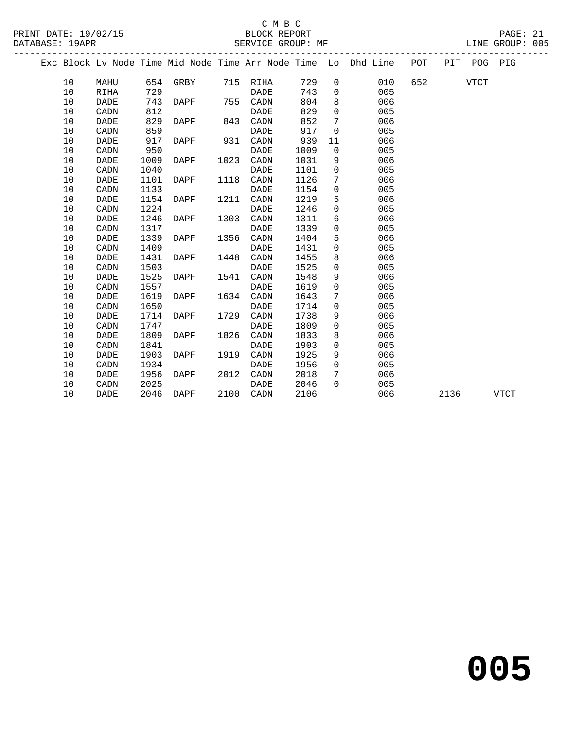### C M B C<br>BLOCK REPORT

PAGE: 21<br>LINE GROUP: 005

|  |    |             |      |          |      |             |      |              | Exc Block Lv Node Time Mid Node Time Arr Node Time Lo Dhd Line | POT |      | PIT POG PIG |             |
|--|----|-------------|------|----------|------|-------------|------|--------------|----------------------------------------------------------------|-----|------|-------------|-------------|
|  | 10 | MAHU        |      | 654 GRBY |      | 715 RIHA    | 729  | $\mathbf 0$  | 010                                                            | 652 |      | <b>VTCT</b> |             |
|  | 10 | <b>RIHA</b> | 729  |          |      | <b>DADE</b> | 743  | $\mathbf{0}$ | 005                                                            |     |      |             |             |
|  | 10 | <b>DADE</b> | 743  | DAPF     | 755  | CADN        | 804  | 8            | 006                                                            |     |      |             |             |
|  | 10 | CADN        | 812  |          |      | <b>DADE</b> | 829  | $\mathbf 0$  | 005                                                            |     |      |             |             |
|  | 10 | <b>DADE</b> | 829  | DAPF     | 843  | CADN        | 852  | 7            | 006                                                            |     |      |             |             |
|  | 10 | CADN        | 859  |          |      | <b>DADE</b> | 917  | $\mathbf 0$  | 005                                                            |     |      |             |             |
|  | 10 | <b>DADE</b> | 917  | DAPF     | 931  | CADN        | 939  | 11           | 006                                                            |     |      |             |             |
|  | 10 | CADN        | 950  |          |      | <b>DADE</b> | 1009 | $\mathsf{O}$ | 005                                                            |     |      |             |             |
|  | 10 | <b>DADE</b> | 1009 | DAPF     | 1023 | CADN        | 1031 | 9            | 006                                                            |     |      |             |             |
|  | 10 | CADN        | 1040 |          |      | <b>DADE</b> | 1101 | $\mathbf 0$  | 005                                                            |     |      |             |             |
|  | 10 | DADE        | 1101 | DAPF     | 1118 | CADN        | 1126 | 7            | 006                                                            |     |      |             |             |
|  | 10 | CADN        | 1133 |          |      | DADE        | 1154 | $\mathbf 0$  | 005                                                            |     |      |             |             |
|  | 10 | DADE        | 1154 | DAPF     | 1211 | CADN        | 1219 | 5            | 006                                                            |     |      |             |             |
|  | 10 | CADN        | 1224 |          |      | DADE        | 1246 | $\mathbf 0$  | 005                                                            |     |      |             |             |
|  | 10 | <b>DADE</b> | 1246 | DAPF     | 1303 | CADN        | 1311 | 6            | 006                                                            |     |      |             |             |
|  | 10 | CADN        | 1317 |          |      | DADE        | 1339 | $\mathbf{0}$ | 005                                                            |     |      |             |             |
|  | 10 | DADE        | 1339 | DAPF     | 1356 | CADN        | 1404 | 5            | 006                                                            |     |      |             |             |
|  | 10 | CADN        | 1409 |          |      | <b>DADE</b> | 1431 | $\mathbf 0$  | 005                                                            |     |      |             |             |
|  | 10 | <b>DADE</b> | 1431 | DAPF     | 1448 | CADN        | 1455 | 8            | 006                                                            |     |      |             |             |
|  | 10 | CADN        | 1503 |          |      | <b>DADE</b> | 1525 | $\mathsf{O}$ | 005                                                            |     |      |             |             |
|  | 10 | <b>DADE</b> | 1525 | DAPF     | 1541 | CADN        | 1548 | 9            | 006                                                            |     |      |             |             |
|  | 10 | CADN        | 1557 |          |      | <b>DADE</b> | 1619 | $\mathbf 0$  | 005                                                            |     |      |             |             |
|  | 10 | <b>DADE</b> | 1619 | DAPF     | 1634 | CADN        | 1643 | 7            | 006                                                            |     |      |             |             |
|  | 10 | CADN        | 1650 |          |      | <b>DADE</b> | 1714 | $\mathbf 0$  | 005                                                            |     |      |             |             |
|  | 10 | DADE        | 1714 | DAPF     | 1729 | CADN        | 1738 | 9            | 006                                                            |     |      |             |             |
|  | 10 | CADN        | 1747 |          |      | DADE        | 1809 | 0            | 005                                                            |     |      |             |             |
|  | 10 | DADE        | 1809 | DAPF     | 1826 | CADN        | 1833 | 8            | 006                                                            |     |      |             |             |
|  | 10 | CADN        | 1841 |          |      | <b>DADE</b> | 1903 | 0            | 005                                                            |     |      |             |             |
|  | 10 | DADE        | 1903 | DAPF     | 1919 | CADN        | 1925 | 9            | 006                                                            |     |      |             |             |
|  | 10 | CADN        | 1934 |          |      | DADE        | 1956 | $\mathbf 0$  | 005                                                            |     |      |             |             |
|  | 10 | DADE        | 1956 | DAPF     | 2012 | CADN        | 2018 | 7            | 006                                                            |     |      |             |             |
|  | 10 | CADN        | 2025 |          |      | DADE        | 2046 | $\Omega$     | 005                                                            |     |      |             |             |
|  | 10 | <b>DADE</b> | 2046 | DAPF     | 2100 | CADN        | 2106 |              | 006                                                            |     | 2136 |             | <b>VTCT</b> |
|  |    |             |      |          |      |             |      |              |                                                                |     |      |             |             |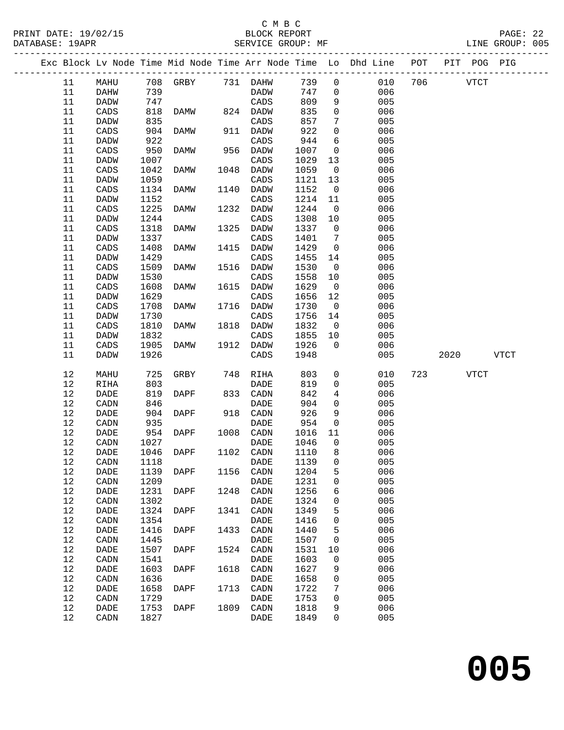## C M B C<br>BLOCK REPORT

PAGE: 22<br>LINE GROUP: 005

|            |                 |              |                       |      |              |              |                 | Exc Block Lv Node Time Mid Node Time Arr Node Time Lo Dhd Line POT PIT POG PIG |     |             |             |  |
|------------|-----------------|--------------|-----------------------|------|--------------|--------------|-----------------|--------------------------------------------------------------------------------|-----|-------------|-------------|--|
| 11         | MAHU            |              | 708 GRBY 731 DAHW 739 |      |              |              | $\overline{0}$  | 010                                                                            | 706 | <b>VTCT</b> |             |  |
| 11         | DAHW            | 739          |                       |      | DADW         | 747          | $\overline{0}$  | 006                                                                            |     |             |             |  |
| 11         | DADW            | 747          |                       |      | CADS         | 809          | 9               | 005                                                                            |     |             |             |  |
| 11         | CADS            | 818          | DAMW 824 DADW         |      |              | 835          | $\mathsf{O}$    | 006                                                                            |     |             |             |  |
| 11         | DADW            | 835          |                       |      | CADS         | 857          | $7\phantom{.0}$ | 005                                                                            |     |             |             |  |
| 11         | $\mathtt{CADS}$ | 904          | DAMW                  |      | 911 DADW     | 922          | $\mathsf{O}$    | 006                                                                            |     |             |             |  |
| 11         | DADW            | 922          |                       |      | CADS         | 944          | 6               | 005                                                                            |     |             |             |  |
| 11         | CADS            | 950          | DAMW                  |      | 956 DADW     | 1007         | $\overline{0}$  | 006                                                                            |     |             |             |  |
| 11         | DADW            | 1007         |                       |      | CADS         | 1029         | 13              | 005                                                                            |     |             |             |  |
| 11         | CADS            | 1042         | DAMW                  |      | 1048 DADW    | 1059         | $\overline{0}$  | 006                                                                            |     |             |             |  |
| 11         | DADW            | 1059         |                       |      | CADS         | 1121         | 13              | 005                                                                            |     |             |             |  |
| 11         | CADS            | 1134         | DAMW                  | 1140 | DADW         | 1152         | $\overline{0}$  | 006                                                                            |     |             |             |  |
| 11         | DADW            | 1152         |                       |      | CADS         | 1214         | 11              | 005                                                                            |     |             |             |  |
| 11         | CADS            | 1225         | DAMW                  |      | 1232 DADW    | 1244         | $\overline{0}$  | 006                                                                            |     |             |             |  |
| 11         | DADW            | 1244         |                       |      | CADS         | 1308         | 10              | 005                                                                            |     |             |             |  |
| 11         | CADS            | 1318         | DAMW                  | 1325 | DADW         | 1337         | $\overline{0}$  | 006                                                                            |     |             |             |  |
| 11         | DADW            | 1337         |                       |      | CADS         | 1401         | $\overline{7}$  | 005                                                                            |     |             |             |  |
| 11         | CADS            | 1408         | DAMW                  |      | 1415 DADW    | 1429         | $\overline{0}$  | 006                                                                            |     |             |             |  |
| 11         | DADW            | 1429         |                       |      | CADS         | 1455         | 14              | 005                                                                            |     |             |             |  |
| 11         | CADS            | 1509         | DAMW                  | 1516 | DADW         | 1530         | $\overline{0}$  | 006                                                                            |     |             |             |  |
| 11         | DADW            | 1530         |                       |      | CADS         | 1558         | 10              | 005                                                                            |     |             |             |  |
| 11         | $\mathtt{CADS}$ | 1608         | DAMW                  | 1615 | DADW         | 1629         | $\overline{0}$  | 006                                                                            |     |             |             |  |
| 11         | DADW            | 1629         |                       |      | CADS         | 1656         | 12              | 005                                                                            |     |             |             |  |
| 11         | CADS            | 1708         | DAMW                  |      | 1716 DADW    | 1730         | $\overline{0}$  | 006                                                                            |     |             |             |  |
| 11         | DADW            | 1730         |                       |      | CADS         | 1756         | 14              | 005                                                                            |     |             |             |  |
| 11         | CADS            | 1810         | DAMW                  |      | 1818 DADW    | 1832         | $\overline{0}$  | 006                                                                            |     |             |             |  |
| 11         | DADW            | 1832         |                       |      | CADS         | 1855         | 10              | 005                                                                            |     |             |             |  |
| 11         | CADS            | 1905         | DAMW                  |      | 1912 DADW    | 1926         | $\overline{0}$  | 006                                                                            |     |             |             |  |
| 11         | DADW            | 1926         |                       |      | CADS         | 1948         |                 | 005                                                                            |     | 2020        | <b>VTCT</b> |  |
| 12         | MAHU            | 725          | GRBY                  | 748  | RIHA         | 803          | $\overline{0}$  | 010                                                                            |     | 723 VTCT    |             |  |
| 12         | RIHA            | 803          |                       |      | DADE         | 819          | $\mathbf{0}$    | 005                                                                            |     |             |             |  |
| 12         | DADE            | 819          | DAPF                  |      | 833 CADN     | 842          | $\overline{4}$  | 006                                                                            |     |             |             |  |
| $12$       | CADN            | 846          |                       |      | DADE         | 904          | $\overline{0}$  | 005                                                                            |     |             |             |  |
| 12         | DADE            | 904          | DAPF                  |      | 918 CADN     | 926          | 9               | 006                                                                            |     |             |             |  |
| 12         | CADN            | 935          |                       |      | DADE         | 954          | $\overline{0}$  | 005                                                                            |     |             |             |  |
| 12         | DADE            | 954          | DAPF                  |      | 1008 CADN    | 1016         | 11              | 006                                                                            |     |             |             |  |
| $12$       | CADN            | 1027         |                       |      | DADE         | 1046         | $\overline{0}$  | 005                                                                            |     |             |             |  |
| 12         | DADE            |              | 1046 DAPF             |      | 1102 CADN    | 1110         | 8               | 006                                                                            |     |             |             |  |
| 12         | CADN 1118       |              |                       |      | <b>DADE</b>  | 1139 0       |                 | 005                                                                            |     |             |             |  |
| 12<br>$12$ | DADE            | 1139<br>1209 | DAPF                  | 1156 | CADN         | 1204<br>1231 | 5               | 006<br>005                                                                     |     |             |             |  |
| $12$       | CADN<br>DADE    | 1231         | DAPF                  | 1248 | DADE<br>CADN | 1256         | 0<br>6          | 006                                                                            |     |             |             |  |
| $1\,2$     | CADN            | 1302         |                       |      | DADE         | 1324         | 0               | 005                                                                            |     |             |             |  |
| $12$       | DADE            | 1324         | <b>DAPF</b>           | 1341 | CADN         | 1349         | 5               | 006                                                                            |     |             |             |  |
| $1\,2$     | CADN            | 1354         |                       |      | DADE         | 1416         | 0               | 005                                                                            |     |             |             |  |
| $12$       | DADE            | 1416         | DAPF                  | 1433 | CADN         | 1440         | 5               | 006                                                                            |     |             |             |  |
| 12         | CADN            | 1445         |                       |      | DADE         | 1507         | 0               | 005                                                                            |     |             |             |  |
| 12         | DADE            | 1507         | DAPF                  | 1524 | CADN         | 1531         | 10              | 006                                                                            |     |             |             |  |
| $12$       | CADN            | 1541         |                       |      | DADE         | 1603         | 0               | 005                                                                            |     |             |             |  |
| $12$       | DADE            | 1603         | DAPF                  | 1618 | CADN         | 1627         | 9               | 006                                                                            |     |             |             |  |
| $12$       | CADN            | 1636         |                       |      | DADE         | 1658         | 0               | 005                                                                            |     |             |             |  |
| $12$       | DADE            | 1658         | DAPF                  | 1713 | CADN         | 1722         | 7               | 006                                                                            |     |             |             |  |
| $12$       | CADN            | 1729         |                       |      | DADE         | 1753         | 0               | 005                                                                            |     |             |             |  |
| $12$       | DADE            | 1753         | DAPF                  | 1809 | CADN         | 1818         | 9               | 006                                                                            |     |             |             |  |
| 12         | CADN            | 1827         |                       |      | DADE         | 1849         | 0               | 005                                                                            |     |             |             |  |
|            |                 |              |                       |      |              |              |                 |                                                                                |     |             |             |  |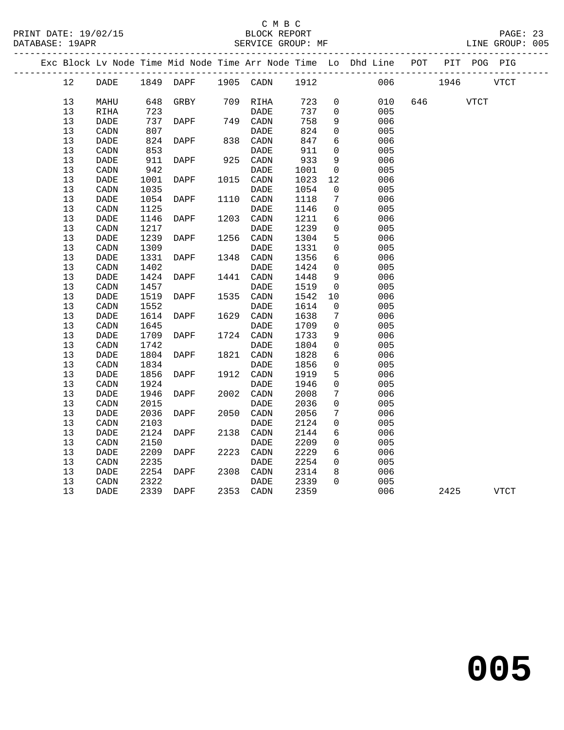|    |                        |      |                     |      |                        |      |                 | Exc Block Lv Node Time Mid Node Time Arr Node Time Lo Dhd Line POT |       |      |      | PIT POG PIG |
|----|------------------------|------|---------------------|------|------------------------|------|-----------------|--------------------------------------------------------------------|-------|------|------|-------------|
| 12 | DADE                   |      | 1849 DAPF 1905 CADN |      |                        | 1912 |                 | 006                                                                |       | 1946 |      | VTCT        |
| 13 | MAHU                   | 648  | GRBY                |      | 709 RIHA               | 723  | 0               | 010                                                                | 646 — |      | VTCT |             |
| 13 | RIHA                   | 723  |                     |      | DADE                   | 737  | $\Omega$        | 005                                                                |       |      |      |             |
| 13 | <b>DADE</b>            | 737  | DAPF                |      | 749 CADN               | 758  | 9               | 006                                                                |       |      |      |             |
| 13 | CADN                   | 807  |                     |      | DADE                   | 824  | $\mathbf 0$     | 005                                                                |       |      |      |             |
| 13 | DADE                   | 824  | DAPF                | 838  | CADN                   | 847  | 6               | 006                                                                |       |      |      |             |
| 13 | CADN                   | 853  |                     |      | DADE                   | 911  | $\mathbf 0$     | 005                                                                |       |      |      |             |
| 13 | DADE                   | 911  | DAPF                | 925  | CADN                   | 933  | 9               | 006                                                                |       |      |      |             |
| 13 | CADN                   | 942  |                     |      | DADE                   | 1001 | $\mathsf{O}$    | 005                                                                |       |      |      |             |
| 13 | <b>DADE</b>            | 1001 | DAPF                | 1015 | CADN                   | 1023 | 12              | 006                                                                |       |      |      |             |
| 13 | CADN                   | 1035 |                     |      | DADE                   | 1054 | $\mathbf 0$     | 005                                                                |       |      |      |             |
| 13 | DADE                   | 1054 | DAPF                | 1110 | CADN                   | 1118 | 7               | 006                                                                |       |      |      |             |
| 13 | CADN                   | 1125 |                     |      | DADE                   | 1146 | $\mathbf 0$     | 005                                                                |       |      |      |             |
| 13 | DADE                   | 1146 | DAPF                | 1203 | CADN                   | 1211 | 6               | 006                                                                |       |      |      |             |
| 13 | CADN                   | 1217 |                     |      | <b>DADE</b>            | 1239 | $\mathbf 0$     | 005                                                                |       |      |      |             |
| 13 | DADE                   | 1239 | DAPF                | 1256 | CADN                   | 1304 | 5               | 006                                                                |       |      |      |             |
| 13 | CADN                   | 1309 |                     |      | DADE                   | 1331 | 0               | 005                                                                |       |      |      |             |
| 13 | DADE                   | 1331 | DAPF                | 1348 | $\texttt{CADN}\xspace$ | 1356 | 6               | 006                                                                |       |      |      |             |
| 13 | CADN                   | 1402 |                     |      | DADE                   | 1424 | $\mathbf 0$     | 005                                                                |       |      |      |             |
| 13 | DADE                   | 1424 | DAPF                | 1441 | CADN                   | 1448 | $\overline{9}$  | 006                                                                |       |      |      |             |
| 13 | CADN                   | 1457 |                     |      | DADE                   | 1519 | $\mathbf 0$     | 005                                                                |       |      |      |             |
| 13 | DADE                   | 1519 | DAPF                | 1535 | CADN                   | 1542 | 10              | 006                                                                |       |      |      |             |
| 13 | CADN                   | 1552 |                     |      | DADE                   | 1614 | 0               | 005                                                                |       |      |      |             |
| 13 | DADE                   | 1614 | DAPF                | 1629 | CADN                   | 1638 | 7               | 006                                                                |       |      |      |             |
| 13 | CADN                   | 1645 |                     |      | DADE                   | 1709 | $\mathbf 0$     | 005                                                                |       |      |      |             |
| 13 | <b>DADE</b>            | 1709 | DAPF                | 1724 | CADN                   | 1733 | 9               | 006                                                                |       |      |      |             |
| 13 | CADN                   | 1742 |                     |      | DADE                   | 1804 | $\mathbf 0$     | 005                                                                |       |      |      |             |
| 13 | DADE                   | 1804 | DAPF                | 1821 | CADN                   | 1828 | 6               | 006                                                                |       |      |      |             |
| 13 | CADN                   | 1834 |                     |      | DADE                   | 1856 | $\mathbf 0$     | 005                                                                |       |      |      |             |
| 13 | DADE                   | 1856 | DAPF                | 1912 | CADN                   | 1919 | 5               | 006                                                                |       |      |      |             |
| 13 | CADN                   | 1924 |                     |      | DADE                   | 1946 | 0               | 005                                                                |       |      |      |             |
| 13 | <b>DADE</b>            | 1946 | DAPF                | 2002 | CADN                   | 2008 | 7               | 006                                                                |       |      |      |             |
| 13 | CADN                   | 2015 |                     |      | <b>DADE</b>            | 2036 | $\mathbf 0$     | 005                                                                |       |      |      |             |
| 13 | DADE                   | 2036 | DAPF                | 2050 | CADN                   | 2056 | 7               | 006                                                                |       |      |      |             |
| 13 | CADN                   | 2103 |                     |      | DADE                   | 2124 | $\mathbf 0$     | 005                                                                |       |      |      |             |
| 13 | DADE                   | 2124 | DAPF                | 2138 | CADN                   | 2144 | 6               | 006                                                                |       |      |      |             |
| 13 | CADN                   | 2150 |                     |      | <b>DADE</b>            | 2209 | $\mathbf 0$     | 005                                                                |       |      |      |             |
| 13 | DADE                   | 2209 | DAPF                | 2223 | CADN                   | 2229 | $6\overline{6}$ | 006                                                                |       |      |      |             |
| 13 | $\texttt{CADN}\xspace$ | 2235 |                     |      | <b>DADE</b>            | 2254 | $\mathbf 0$     | 005                                                                |       |      |      |             |
| 13 | DADE                   | 2254 | DAPF                | 2308 | CADN                   | 2314 | 8               | 006                                                                |       |      |      |             |
| 13 | CADN                   | 2322 |                     |      | DADE                   | 2339 | $\Omega$        | 005                                                                |       |      |      |             |
| 13 | <b>DADE</b>            | 2339 | DAPF                | 2353 | CADN                   | 2359 |                 | 006                                                                |       | 2425 |      | <b>VTCT</b> |
|    |                        |      |                     |      |                        |      |                 |                                                                    |       |      |      |             |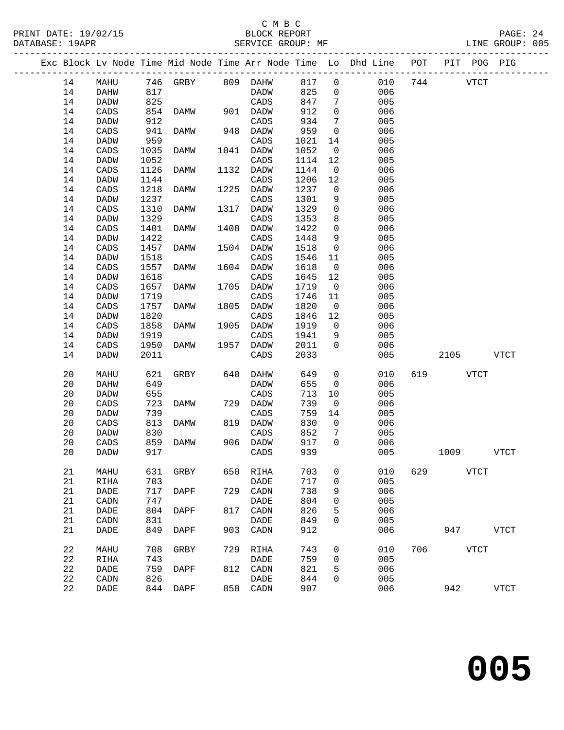## C M B C

PRINT DATE: 19/02/15 BLOCK REPORT PAGE: 24 DATABASE: 19APR SERVICE GROUP: MF ------------------------------------------------------------------------------------------------- Exc Block Lv Node Time Mid Node Time Arr Node Time Lo Dhd Line POT PIT POG PIG ------------------------------------------------------------------------------------------------- 14 MAHU 746 GRBY 809 DAHW 817 0 010 744 VTCT 14 DAHW 817 DADW 825 0 006 14 DADW 825 CADS 847 7 005 14 CADS 854 DAMW 901 DADW 912 0 006 14 DADW 912 CADS 934 7 005 14 CADS 941 DAMW 948 DADW 959 0 006 14 DADW 959 CADS 1021 14 005 14 CADS 1035 DAMW 1041 DADW 1052 0 006 14 DADW 1052 CADS 1114 12 005 14 CADS 1126 DAMW 1132 DADW 1144 0 006 14 DADW 1144 CADS 1206 12 005 14 CADS 1218 DAMW 1225 DADW 1237 0 006 14 DADW 1237 CADS 1301 9 005<br>14 CADS 1310 DAMW 1317 DADW 1329 0 006 14 CADS 1310 DAMW 1317 DADW 1329 0 006 14 DADW 1329 CADS 1353 8 005 14 CADS 1401 DAMW 1408 DADW 1422 0 006 14 CADS 1401 DAMW 1408 DADW 1422 0 006<br>14 DADW 1422 CADS 1448 9 005<br>14 CADS 1457 DAMW 1504 DADW 1518 0 006<br>14 DADW 1518 CADS 1546 11 005 14 CADS 1457 DAMW 1504 DADW<br>14 DADW 1518 CADS 14 DADW 1518 CADS 1546 11 005 CADS 1557 DAMW<br>DADW 1618 14 DADW 1618 CADS 1645 12 005<br>14 CADS 1657 DAMW 1705 DADW 1719 0 006<br>14 DADW 1719 CADS 1746 11 005 14 CADS 1657 DAMW 1705 DADW 1719 0 006 14 DADW 1719 CADS 1746 11 005<br>14 CADS 1757 DAMW 1805 DADW 1820 0 006 14 CADS 1757 DAMW 1805 DADW 1820 0 006

| 14 | <b>DADW</b> | 1820 |             |      | CADS        | 1846 | 12          | 005 |     |      |             |
|----|-------------|------|-------------|------|-------------|------|-------------|-----|-----|------|-------------|
| 14 | CADS        | 1858 | DAMW        | 1905 | <b>DADW</b> | 1919 | 0           | 006 |     |      |             |
| 14 | <b>DADW</b> | 1919 |             |      | CADS        | 1941 | 9           | 005 |     |      |             |
| 14 | CADS        | 1950 | <b>DAMW</b> | 1957 | <b>DADW</b> | 2011 | $\Omega$    | 006 |     |      |             |
| 14 | <b>DADW</b> | 2011 |             |      | CADS        | 2033 |             | 005 |     | 2105 | <b>VTCT</b> |
|    |             |      |             |      |             |      |             |     |     |      |             |
| 20 | MAHU        | 621  | GRBY        | 640  | <b>DAHW</b> | 649  | 0           | 010 | 619 |      | <b>VTCT</b> |
| 20 | DAHW        | 649  |             |      | <b>DADW</b> | 655  | $\mathbf 0$ | 006 |     |      |             |
| 20 | DADW        | 655  |             |      | CADS        | 713  | 10          | 005 |     |      |             |
| 20 | CADS        | 723  | <b>DAMW</b> | 729  | <b>DADW</b> | 739  | $\mathbf 0$ | 006 |     |      |             |
| 20 | <b>DADW</b> | 739  |             |      | CADS        | 759  | 14          | 005 |     |      |             |
| 20 | CADS        | 813  | DAMW        | 819  | <b>DADW</b> | 830  | 0           | 006 |     |      |             |
| 20 | DADW        | 830  |             |      | CADS        | 852  | 7           | 005 |     |      |             |
| 20 | CADS        | 859  | <b>DAMW</b> | 906  | <b>DADW</b> | 917  | $\Omega$    | 006 |     |      |             |
| 20 | <b>DADW</b> | 917  |             |      | CADS        | 939  |             | 005 |     | 1009 | <b>VTCT</b> |
|    |             |      |             |      |             |      |             |     |     |      |             |
| 21 | MAHU        | 631  | GRBY        | 650  | RIHA        | 703  | 0           | 010 | 629 |      | <b>VTCT</b> |
| 21 | RIHA        | 703  |             |      | <b>DADE</b> | 717  | 0           | 005 |     |      |             |
| 21 | DADE        | 717  | <b>DAPF</b> | 729  | CADN        | 738  | 9           | 006 |     |      |             |
| 21 | CADN        | 747  |             |      | <b>DADE</b> | 804  | 0           | 005 |     |      |             |
| 21 | DADE        | 804  | DAPF        | 817  | CADN        | 826  | 5           | 006 |     |      |             |
| 21 | CADN        | 831  |             |      | <b>DADE</b> | 849  | $\Omega$    | 005 |     |      |             |
| 21 | DADE        | 849  | <b>DAPF</b> | 903  | CADN        | 912  |             | 006 |     | 947  | <b>VTCT</b> |
|    |             |      |             |      |             |      |             |     |     |      |             |
| 22 | MAHU        | 708  | GRBY        | 729  | <b>RIHA</b> | 743  | 0           | 010 | 706 |      | <b>VTCT</b> |
| 22 | RIHA        | 743  |             |      | DADE        | 759  | 0           | 005 |     |      |             |
| 22 | DADE        | 759  | DAPF        | 812  | CADN        | 821  | 5           | 006 |     |      |             |
| 22 | CADN        | 826  |             |      | DADE        | 844  | $\mathbf 0$ | 005 |     |      |             |
| 22 | DADE        | 844  | DAPF        | 858  | CADN        | 907  |             | 006 |     | 942  | <b>VTCT</b> |
|    |             |      |             |      |             |      |             |     |     |      |             |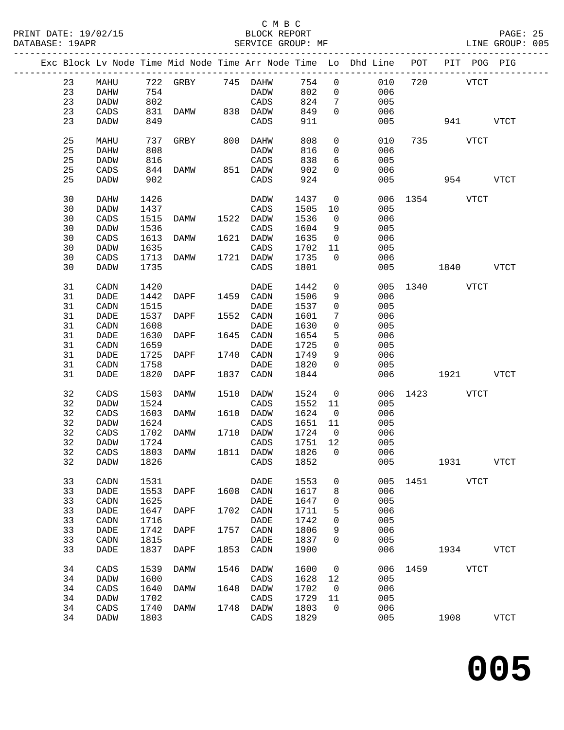### C M B C<br>BLOCK REPORT

PAGE: 25<br>LINE GROUP: 005

|  |    |                              |      |                   |      |                |         |                         | Exc Block Lv Node Time Mid Node Time Arr Node Time Lo Dhd Line POT PIT POG PIG |               |             |             |
|--|----|------------------------------|------|-------------------|------|----------------|---------|-------------------------|--------------------------------------------------------------------------------|---------------|-------------|-------------|
|  | 23 | MAHU                         |      | 722 GRBY 745 DAHW |      |                | 754     | $\overline{0}$          | 010                                                                            | 720           | <b>VTCT</b> |             |
|  | 23 |                              | 754  |                   |      | DADW           | 802     | $\overline{0}$          | 006                                                                            |               |             |             |
|  |    | DAHW                         |      |                   |      |                |         |                         |                                                                                |               |             |             |
|  | 23 | <b>DADW</b>                  | 802  |                   |      | CADS           | 824     | $7\phantom{.0}$         | 005                                                                            |               |             |             |
|  | 23 | CADS                         | 831  | DAMW 838 DADW     |      |                | 849     | $\Omega$                | 006                                                                            |               |             |             |
|  | 23 | DADW                         | 849  |                   |      | CADS           | 911     |                         | 005                                                                            |               | 941         | <b>VTCT</b> |
|  |    |                              |      |                   |      |                |         |                         |                                                                                |               |             |             |
|  | 25 | MAHU                         | 737  | GRBY              |      | 800 DAHW       | 808     | $\overline{0}$          | 010                                                                            |               | 735 VTCT    |             |
|  | 25 | DAHW                         | 808  |                   |      | DADW           | 816     | $\overline{0}$          | 006                                                                            |               |             |             |
|  | 25 | <b>DADW</b>                  | 816  |                   |      | CADS           | 838     | 6                       | 005                                                                            |               |             |             |
|  |    |                              |      |                   |      |                |         |                         |                                                                                |               |             |             |
|  | 25 | CADS                         | 844  | DAMW              |      | 851 DADW       | 902     | $\mathbf{0}$            | 006                                                                            |               |             |             |
|  | 25 | DADW                         | 902  |                   |      | CADS           | 924     |                         | 005                                                                            |               | 954 VTCT    |             |
|  | 30 | DAHW                         | 1426 |                   |      | DADW           | 1437    | $\overline{0}$          |                                                                                | 006 1354 VTCT |             |             |
|  | 30 |                              |      |                   |      |                | 1505    |                         | 005                                                                            |               |             |             |
|  |    | DADW                         | 1437 |                   |      | CADS           |         | 10                      |                                                                                |               |             |             |
|  | 30 | CADS                         | 1515 | DAMW              |      | 1522 DADW      | 1536    | $\overline{0}$          | 006                                                                            |               |             |             |
|  | 30 | DADW                         | 1536 |                   |      | CADS           | 1604    | 9                       | 005                                                                            |               |             |             |
|  | 30 | CADS                         | 1613 | DAMW              |      | 1621 DADW      | 1635    | $\overline{0}$          | 006                                                                            |               |             |             |
|  |    |                              |      |                   |      |                |         |                         |                                                                                |               |             |             |
|  | 30 | DADW                         | 1635 |                   |      | CADS           | 1702    | 11                      | 005                                                                            |               |             |             |
|  | 30 | CADS                         | 1713 | DAMW              |      | 1721 DADW      | 1735    | $\overline{0}$          | 006                                                                            |               |             |             |
|  | 30 | <b>DADW</b>                  | 1735 |                   |      | CADS           | 1801    |                         | 005                                                                            |               | $1840$ VTCT |             |
|  |    |                              |      |                   |      |                |         |                         |                                                                                |               |             |             |
|  | 31 | CADN                         | 1420 |                   |      | DADE           | 1442    | $\mathsf{O}\xspace$     |                                                                                | 005 1340 VTCT |             |             |
|  | 31 | $\ensuremath{\mathsf{DADE}}$ | 1442 | DAPF              |      | 1459 CADN      | 1506    | 9                       | 006                                                                            |               |             |             |
|  | 31 | CADN                         | 1515 |                   |      | DADE           | 1537    | $\mathsf{O}$            | 005                                                                            |               |             |             |
|  | 31 | DADE                         | 1537 | DAPF              |      | 1552 CADN      | 1601    | 7                       | 006                                                                            |               |             |             |
|  |    |                              |      |                   |      |                |         |                         |                                                                                |               |             |             |
|  | 31 | CADN                         | 1608 |                   |      | DADE           | 1630    | $\mathbf 0$             | 005                                                                            |               |             |             |
|  | 31 | DADE                         | 1630 | DAPF              |      | 1645 CADN      | 1654    | 5                       | 006                                                                            |               |             |             |
|  | 31 | CADN                         | 1659 |                   |      | DADE           | 1725    | $\mathbf 0$             | 005                                                                            |               |             |             |
|  | 31 | DADE                         | 1725 | DAPF              |      | 1740 CADN      | 1749    | 9                       | 006                                                                            |               |             |             |
|  |    |                              |      |                   |      |                |         |                         |                                                                                |               |             |             |
|  | 31 | CADN                         | 1758 |                   |      | DADE           | 1820    | $\overline{0}$          | 005                                                                            |               |             |             |
|  | 31 | <b>DADE</b>                  | 1820 | DAPF              |      | 1837 CADN      | 1844    |                         | 006                                                                            |               | 1921 1920   | VTCT        |
|  | 32 | CADS                         | 1503 | DAMW              |      | 1510 DADW      | 1524    | $\overline{0}$          | 006                                                                            | 1423 VTCT     |             |             |
|  |    |                              |      |                   |      |                |         |                         |                                                                                |               |             |             |
|  | 32 | <b>DADW</b>                  | 1524 |                   |      | CADS           | 1552    | 11                      | 005                                                                            |               |             |             |
|  | 32 | CADS                         | 1603 | DAMW              |      | 1610 DADW      | 1624    | $\overline{0}$          | 006                                                                            |               |             |             |
|  | 32 | DADW                         | 1624 |                   |      | CADS           | 1651    | 11                      | 005                                                                            |               |             |             |
|  | 32 | CADS                         | 1702 | DAMW              |      | 1710 DADW      | 1724    | $\overline{\mathbf{0}}$ | 006                                                                            |               |             |             |
|  | 32 |                              |      |                   |      |                |         |                         |                                                                                |               |             |             |
|  |    | DADW                         | 1724 |                   |      | CADS           | 1751 12 |                         | 005                                                                            |               |             |             |
|  | 32 | CADS                         | 1803 | DAMW              |      | 1811 DADW      | 1826    | $\overline{0}$          | 006                                                                            |               |             |             |
|  | 32 | DADW                         |      |                   |      | 1826 CADS 1852 |         |                         | 005                                                                            |               | 1931        | <b>VTCT</b> |
|  |    |                              |      |                   |      |                |         |                         |                                                                                |               |             |             |
|  | 33 | CADN                         | 1531 |                   |      | DADE           | 1553    | 0                       | 005                                                                            | 1451          | VTCT        |             |
|  | 33 | DADE                         | 1553 | DAPF              | 1608 | CADN           | 1617    | 8                       | 006                                                                            |               |             |             |
|  | 33 | CADN                         | 1625 |                   |      | <b>DADE</b>    | 1647    | 0                       | 005                                                                            |               |             |             |
|  | 33 | DADE                         | 1647 | DAPF              | 1702 | CADN           | 1711    | 5                       | 006                                                                            |               |             |             |
|  |    |                              |      |                   |      |                |         |                         |                                                                                |               |             |             |
|  | 33 | CADN                         | 1716 |                   |      | DADE           | 1742    | 0                       | 005                                                                            |               |             |             |
|  | 33 | DADE                         | 1742 | DAPF              | 1757 | CADN           | 1806    | 9                       | 006                                                                            |               |             |             |
|  | 33 | CADN                         | 1815 |                   |      | <b>DADE</b>    | 1837    | 0                       | 005                                                                            |               |             |             |
|  | 33 | DADE                         | 1837 | DAPF              | 1853 | CADN           | 1900    |                         | 006                                                                            |               | 1934        | <b>VTCT</b> |
|  |    |                              |      |                   |      |                |         |                         |                                                                                |               |             |             |
|  | 34 | CADS                         | 1539 | DAMW              | 1546 | DADW           | 1600    | 0                       | 006                                                                            |               | 1459 VTCT   |             |
|  | 34 | <b>DADW</b>                  | 1600 |                   |      | CADS           | 1628    | 12                      | 005                                                                            |               |             |             |
|  | 34 | CADS                         | 1640 | DAMW              | 1648 | <b>DADW</b>    | 1702    | 0                       | 006                                                                            |               |             |             |
|  | 34 | <b>DADW</b>                  | 1702 |                   |      | CADS           | 1729    | 11                      | 005                                                                            |               |             |             |
|  | 34 | CADS                         | 1740 | DAMW              | 1748 | DADW           | 1803    | $\mathbf 0$             | 006                                                                            |               |             |             |
|  |    |                              |      |                   |      |                |         |                         |                                                                                |               |             |             |
|  | 34 | DADW                         | 1803 |                   |      | CADS           | 1829    |                         | 005                                                                            |               | 1908        | VTCT        |
|  |    |                              |      |                   |      |                |         |                         |                                                                                |               |             |             |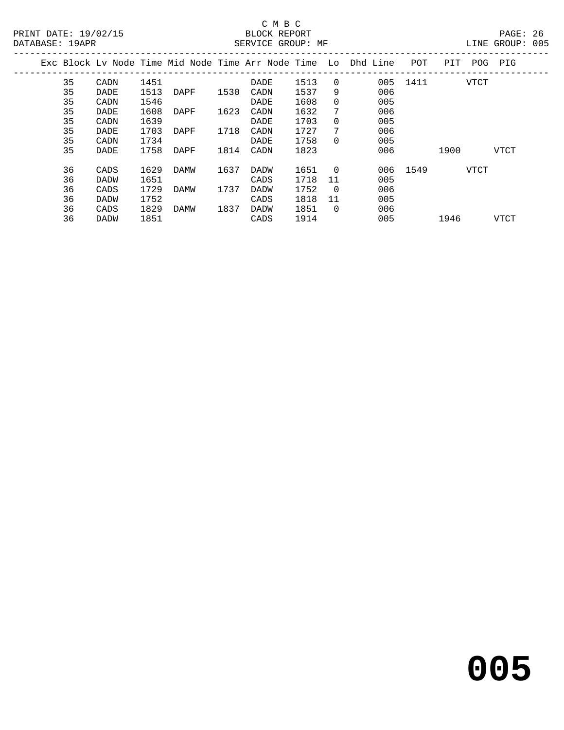## C M B C

| DATABASE: 19APR |    |             |      |      |      | SERVICE GROUP: MF |      |          |                                                                |          |      |      | LINE GROUP: 005 |  |
|-----------------|----|-------------|------|------|------|-------------------|------|----------|----------------------------------------------------------------|----------|------|------|-----------------|--|
|                 |    |             |      |      |      |                   |      |          | Exc Block Lv Node Time Mid Node Time Arr Node Time Lo Dhd Line | POT      | PIT  | POG  | PIG             |  |
|                 | 35 | CADN        | 1451 |      |      | DADE              | 1513 | $\Omega$ | 005                                                            | 1411     |      | VTCT |                 |  |
|                 | 35 | DADE        | 1513 | DAPF | 1530 | CADN              | 1537 | 9        | 006                                                            |          |      |      |                 |  |
|                 | 35 | CADN        | 1546 |      |      | DADE              | 1608 | $\Omega$ | 005                                                            |          |      |      |                 |  |
|                 | 35 | DADE        | 1608 | DAPF | 1623 | CADN              | 1632 | 7        | 006                                                            |          |      |      |                 |  |
|                 | 35 | CADN        | 1639 |      |      | DADE              | 1703 | $\Omega$ | 005                                                            |          |      |      |                 |  |
|                 | 35 | DADE        | 1703 | DAPF | 1718 | CADN              | 1727 | 7        | 006                                                            |          |      |      |                 |  |
|                 | 35 | CADN        | 1734 |      |      | DADE              | 1758 | $\Omega$ | 005                                                            |          |      |      |                 |  |
|                 | 35 | DADE        | 1758 | DAPF | 1814 | CADN              | 1823 |          | 006                                                            |          | 1900 |      | VTCT            |  |
|                 | 36 | CADS        | 1629 | DAMW | 1637 | DADW              | 1651 | $\Omega$ |                                                                | 006 1549 |      | VTCT |                 |  |
|                 | 36 | <b>DADW</b> | 1651 |      |      | CADS              | 1718 | 11       | 005                                                            |          |      |      |                 |  |
|                 | 36 | CADS        | 1729 | DAMW | 1737 | DADW              | 1752 | $\Omega$ | 006                                                            |          |      |      |                 |  |
|                 | 36 | DADW        | 1752 |      |      | CADS              | 1818 | 11       | 005                                                            |          |      |      |                 |  |
|                 | 36 | CADS        | 1829 | DAMW | 1837 | DADW              | 1851 | $\Omega$ | 006                                                            |          |      |      |                 |  |
|                 | 36 | DADW        | 1851 |      |      | CADS              | 1914 |          | 005                                                            |          | 1946 |      | <b>VTCT</b>     |  |
|                 |    |             |      |      |      |                   |      |          |                                                                |          |      |      |                 |  |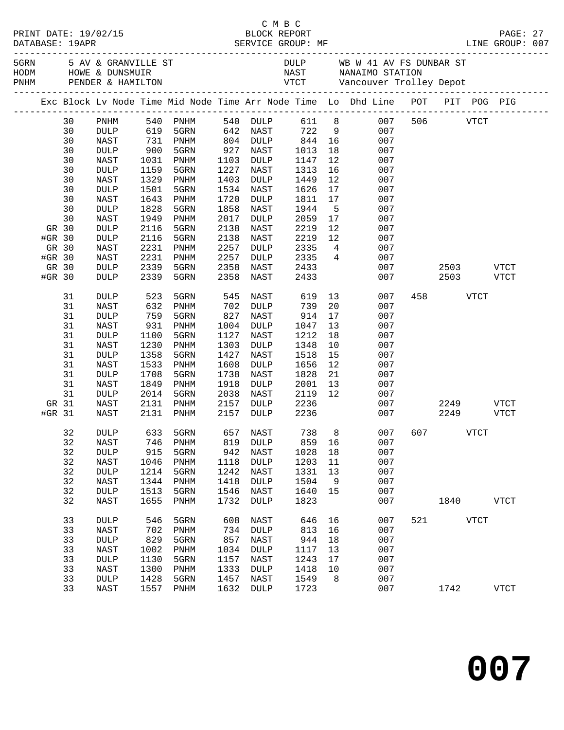|        | PRINT DATE: 19/02/15<br>DATABASE: 19APR |                   |            | E M B C<br>BLOCK REPORT<br>SERVICE GROUP: MF |      |                      | C M B C         |                 |                                                                                |     | LINE GROUP: 007                       | PAGE: 27     |  |
|--------|-----------------------------------------|-------------------|------------|----------------------------------------------|------|----------------------|-----------------|-----------------|--------------------------------------------------------------------------------|-----|---------------------------------------|--------------|--|
|        |                                         |                   |            |                                              |      |                      |                 |                 |                                                                                |     |                                       |              |  |
|        |                                         |                   |            |                                              |      |                      |                 |                 | Exc Block Lv Node Time Mid Node Time Arr Node Time Lo Dhd Line POT PIT POG PIG |     |                                       |              |  |
|        | 30                                      | PNHM              |            | 540 PNHM                                     |      |                      |                 |                 | 540 DULP 611 8 007                                                             |     | 506 VTCT                              |              |  |
|        | 30                                      | DULP              | 619        | 5GRN                                         |      | 642 NAST             | 722 9           |                 | 007                                                                            |     |                                       |              |  |
|        | 30                                      | NAST              |            |                                              |      |                      |                 | 16              | 007                                                                            |     |                                       |              |  |
|        | 30                                      | DULP              |            | 731 PNHM<br>900 5GRN                         |      | 804 DULP<br>927 NAST | $844$<br>$1013$ | 18              | 007                                                                            |     |                                       |              |  |
|        | 30                                      | NAST              | 1031       | PNHM                                         | 1103 | DULP                 | 1147            | 12              | 007                                                                            |     |                                       |              |  |
|        | 30                                      | $\texttt{DULP}{}$ | 1159       | 5GRN                                         | 1227 | NAST                 | 1313            | 16              | 007                                                                            |     |                                       |              |  |
|        | 30                                      | NAST              | 1329       | PNHM                                         | 1403 | DULP                 | 1449            | 12              | 007                                                                            |     |                                       |              |  |
|        | 30                                      | $\texttt{DULP}$   | 1501       | 5GRN                                         | 1534 | NAST                 | 1626            | 17              | 007                                                                            |     |                                       |              |  |
|        | 30                                      | NAST              | 1643       | PNHM                                         | 1720 | DULP                 | 1811            | 17              | 007                                                                            |     |                                       |              |  |
|        | 30                                      | $\texttt{DULP}$   | 1828       | 5GRN                                         | 1858 | NAST                 | 1944            | $5^{\circ}$     | 007                                                                            |     |                                       |              |  |
|        | 30                                      | NAST              | 1949       | PNHM                                         | 2017 | DULP                 | 2059            | 17              | 007                                                                            |     |                                       |              |  |
| GR 30  |                                         | <b>DULP</b>       | 2116       | 5GRN                                         | 2138 | NAST                 | 2219            | 12              | 007                                                                            |     |                                       |              |  |
| #GR 30 |                                         | <b>DULP</b>       | 2116       | 5GRN                                         | 2138 | NAST                 | 2219            | 12              | 007                                                                            |     |                                       |              |  |
| GR 30  |                                         | NAST              | 2231       | PNHM                                         | 2257 | DULP                 | 2335            |                 | $4\overline{ }$<br>007                                                         |     |                                       |              |  |
| #GR 30 |                                         | NAST              | 2231       | PNHM                                         | 2257 | DULP                 | 2335            |                 | $4\overline{ }$<br>007                                                         |     |                                       |              |  |
| GR 30  |                                         | <b>DULP</b>       | 2339       | 5GRN                                         | 2358 | NAST                 | 2433            |                 | 007                                                                            |     | 2503 VTCT                             |              |  |
| #GR 30 |                                         | <b>DULP</b>       | 2339       | 5GRN                                         | 2358 | NAST                 | 2433            |                 | 007                                                                            |     | 2503 VTCT                             |              |  |
|        | 31                                      | DULP              | 523        | 5GRN                                         |      | 545 NAST             | 619             | 13              | 007                                                                            |     | 458 and $\overline{a}$<br><b>VTCT</b> |              |  |
|        | 31                                      | NAST              | 632<br>759 | PNHM                                         |      | 702 DULP             | 739             | 20 <sub>o</sub> | 007                                                                            |     |                                       |              |  |
|        | 31                                      | <b>DULP</b>       |            | 5GRN                                         | 827  | NAST                 | 914             | 17              | 007                                                                            |     |                                       |              |  |
|        | 31                                      | NAST              | 931        | PNHM                                         | 1004 | DULP                 | 1047            | 13              | 007                                                                            |     |                                       |              |  |
|        | 31                                      | $\texttt{DULP}{}$ | 1100       | 5GRN                                         | 1127 | NAST                 | 1212            | 18              | 007                                                                            |     |                                       |              |  |
|        | 31                                      | NAST              | 1230       | PNHM                                         | 1303 | DULP                 | 1348            | 10              | 007                                                                            |     |                                       |              |  |
|        | 31                                      | $\texttt{DULP}$   | 1358       | 5GRN                                         | 1427 | NAST                 | 1518            | 15              | 007                                                                            |     |                                       |              |  |
|        | 31                                      | NAST              | 1533       | PNHM                                         | 1608 | DULP                 | 1656            | 12              | 007                                                                            |     |                                       |              |  |
|        | 31                                      | $\texttt{DULP}$   | 1708       | 5GRN                                         | 1738 | NAST                 | 1828            | 21              | 007                                                                            |     |                                       |              |  |
|        | 31                                      | NAST              | 1849       | PNHM                                         | 1918 | DULP                 | 2001            | 13              | 007                                                                            |     |                                       |              |  |
|        | 31                                      | DULP              | 2014       | 5GRN                                         | 2038 | NAST                 | $2119$ 12       |                 | 007                                                                            |     |                                       |              |  |
| GR 31  |                                         | NAST              | 2131       | PNHM                                         | 2157 |                      | DULP 2236       |                 |                                                                                | 007 | 2249 VTCT                             |              |  |
| #GR 31 |                                         | NAST              |            | 2131 PNHM                                    | 2157 | <b>DULP</b>          | 2236            |                 | 007                                                                            |     | 2249 VTCT                             |              |  |
|        | 32                                      | <b>DULP</b>       |            |                                              |      |                      |                 |                 | 633 5GRN 657 NAST 738 8 007 607                                                |     | <b>VTCT</b>                           |              |  |
|        | 32                                      | NAST              | 746        | PNHM                                         | 819  | <b>DULP</b>          | 859             | 16              | 007                                                                            |     |                                       |              |  |
|        | 32                                      | $\texttt{DULP}$   | 915        | 5GRN                                         | 942  | NAST                 | 1028            | 18              | 007                                                                            |     |                                       |              |  |
|        | 32                                      | NAST              | 1046       | PNHM                                         | 1118 | <b>DULP</b>          | 1203            | 11              | 007                                                                            |     |                                       |              |  |
|        | 32                                      | <b>DULP</b>       | 1214       | 5GRN                                         | 1242 | NAST                 | 1331            | 13              | 007                                                                            |     |                                       |              |  |
|        | 32                                      | NAST              | 1344       | PNHM                                         | 1418 | <b>DULP</b>          | 1504            | 9               | 007                                                                            |     |                                       |              |  |
|        | 32                                      | <b>DULP</b>       | 1513       | 5GRN                                         | 1546 | NAST                 | 1640            | 15              | 007                                                                            |     |                                       |              |  |
|        | 32                                      | NAST              | 1655       | PNHM                                         | 1732 | DULP                 | 1823            |                 | 007                                                                            |     | 1840                                  | <b>VTCT</b>  |  |
|        | 33                                      | <b>DULP</b>       | 546        | 5GRN                                         | 608  | NAST                 | 646             | 16              | 007                                                                            | 521 | <b>VTCT</b>                           |              |  |
|        | 33                                      | NAST              | 702        | PNHM                                         | 734  | <b>DULP</b>          | 813             | 16              | 007                                                                            |     |                                       |              |  |
|        | 33                                      | <b>DULP</b>       | 829        | 5GRN                                         | 857  | NAST                 | 944             | 18              | 007                                                                            |     |                                       |              |  |
|        | 33                                      | NAST              | 1002       | PNHM                                         | 1034 | <b>DULP</b>          | 1117            | 13              | 007                                                                            |     |                                       |              |  |
|        | 33                                      | <b>DULP</b>       | 1130       | 5GRN                                         | 1157 | NAST                 | 1243            | 17              | 007                                                                            |     |                                       |              |  |
|        | 33                                      | NAST              | 1300       | PNHM                                         | 1333 | <b>DULP</b>          | 1418            | 10              | 007                                                                            |     |                                       |              |  |
|        | 33                                      | <b>DULP</b>       | 1428       | 5GRN                                         | 1457 | NAST                 | 1549            | 8               | 007                                                                            |     |                                       |              |  |
|        | 33                                      | NAST              | 1557       | PNHM                                         | 1632 | <b>DULP</b>          | 1723            |                 | 007                                                                            |     | 1742                                  | ${\tt VTCT}$ |  |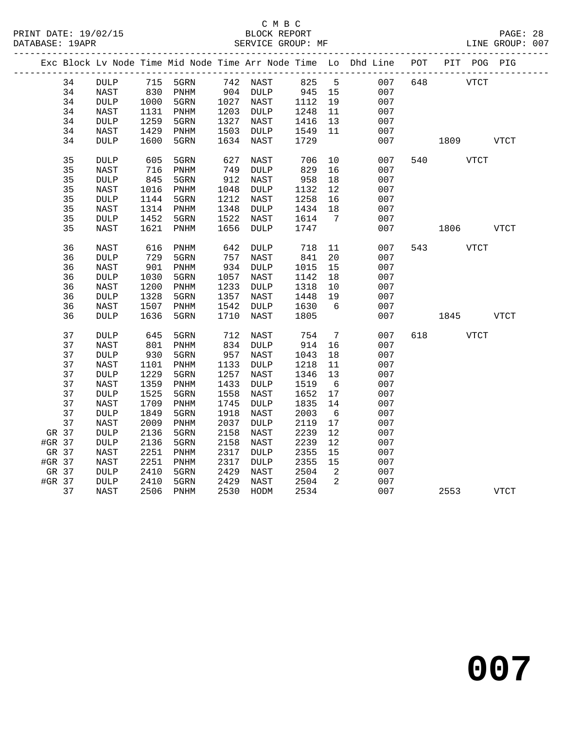## C M B C<br>BLOCK REPORT

PAGE: 28<br>LINE GROUP: 007

|        |    |                 |                                            | Exc Block Lv Node Time Mid Node Time Arr Node Time Lo Dhd Line POT PIT POG PIG |      |                       |                   |                            |     |     |             |             |             |
|--------|----|-----------------|--------------------------------------------|--------------------------------------------------------------------------------|------|-----------------------|-------------------|----------------------------|-----|-----|-------------|-------------|-------------|
|        | 34 | DULP            |                                            | 715    5GRN    742    NAST                                                     |      |                       | 825 5             |                            | 007 | 648 | <b>VTCT</b> |             |             |
|        | 34 | NAST            | $\begin{array}{c} 830 \\ 1000 \end{array}$ | PNHM                                                                           |      | 904 DULP<br>1027 NAST | 945 15<br>1112 19 |                            | 007 |     |             |             |             |
|        | 34 | <b>DULP</b>     | 1000                                       | 5GRN                                                                           |      |                       |                   |                            | 007 |     |             |             |             |
|        | 34 | NAST            | 1131                                       | PNHM                                                                           |      | 1203 DULP             | 1248              | 11                         | 007 |     |             |             |             |
|        | 34 | $\texttt{DULP}$ | 1259                                       | 5GRN                                                                           | 1327 | NAST                  | 1416              | 13                         | 007 |     |             |             |             |
|        | 34 | NAST            | 1429                                       | PNHM                                                                           | 1503 | DULP                  | 1549              | 11                         | 007 |     |             |             |             |
|        | 34 | <b>DULP</b>     | 1600                                       | 5GRN                                                                           | 1634 | NAST                  | 1729              |                            | 007 |     | 1809 VTCT   |             |             |
|        | 35 | <b>DULP</b>     | 605                                        | 5GRN                                                                           | 627  | NAST                  | 706               | 10                         | 007 |     | 540 VTCT    |             |             |
|        | 35 | <b>NAST</b>     | 716                                        | PNHM                                                                           | 749  | <b>DULP</b>           | 829               | 16                         | 007 |     |             |             |             |
|        | 35 | <b>DULP</b>     | 845                                        | 5GRN                                                                           | 912  | NAST                  | 958               | 18                         | 007 |     |             |             |             |
|        | 35 | NAST            | 1016                                       | PNHM                                                                           | 1048 | DULP                  | 1132              | 12                         | 007 |     |             |             |             |
|        | 35 | $\texttt{DULP}$ | 1144                                       | 5GRN                                                                           | 1212 | NAST                  | 1258              | 16                         | 007 |     |             |             |             |
|        | 35 | NAST            | 1314                                       | PNHM                                                                           | 1348 | DULP                  | 1434              | 18                         | 007 |     |             |             |             |
|        | 35 | $\texttt{DULP}$ | 1452                                       | 5GRN                                                                           | 1522 | NAST                  | 1614              | $\overline{7}$             | 007 |     |             |             |             |
|        | 35 | <b>NAST</b>     | 1621                                       | PNHM                                                                           | 1656 | <b>DULP</b>           | 1747              |                            | 007 |     | 1806        | <b>VTCT</b> |             |
|        | 36 | NAST            | 616                                        | PNHM                                                                           | 642  | DULP                  | 718               | 11                         | 007 |     | 543 VTCT    |             |             |
|        | 36 | <b>DULP</b>     | 729                                        | 5GRN                                                                           | 757  | NAST                  | 841               | 20                         | 007 |     |             |             |             |
|        | 36 | NAST            | 901                                        | PNHM                                                                           | 934  | DULP                  | 1015              | 15                         | 007 |     |             |             |             |
|        | 36 | $\texttt{DULP}$ | 1030                                       | 5GRN                                                                           | 1057 | NAST                  | 1142              | 18                         | 007 |     |             |             |             |
|        | 36 | NAST            | 1200                                       | PNHM                                                                           | 1233 | DULP                  | 1318              | 10                         | 007 |     |             |             |             |
|        | 36 | $\texttt{DULP}$ | 1328                                       | 5GRN                                                                           | 1357 | NAST                  | 1448              | 19                         | 007 |     |             |             |             |
|        | 36 | NAST            | 1507                                       | PNHM                                                                           | 1542 | <b>DULP</b>           | 1630              | $6\overline{6}$            | 007 |     |             |             |             |
|        | 36 | <b>DULP</b>     | 1636                                       | 5GRN                                                                           | 1710 | NAST                  | 1805              |                            | 007 |     | 1845 VTCT   |             |             |
|        | 37 |                 | 645                                        |                                                                                |      |                       | 754               |                            | 007 |     | <b>VTCT</b> |             |             |
|        |    | <b>DULP</b>     |                                            | 5GRN                                                                           | 712  | NAST                  |                   | $7\overline{ }$            |     | 618 |             |             |             |
|        | 37 | NAST            | 801                                        | $\mathop{\rm PNHM}\nolimits$                                                   | 834  | DULP                  | 914               | 16                         | 007 |     |             |             |             |
|        | 37 | $\texttt{DULP}$ | 930                                        | 5GRN                                                                           | 957  | NAST                  | 1043              | 18                         | 007 |     |             |             |             |
|        | 37 | NAST            | 1101                                       | PNHM                                                                           | 1133 | DULP                  | 1218              | 11                         | 007 |     |             |             |             |
|        | 37 | $\texttt{DULP}$ | 1229                                       | 5GRN                                                                           | 1257 | NAST                  | 1346              | 13                         | 007 |     |             |             |             |
|        | 37 | NAST            | 1359                                       | PNHM                                                                           | 1433 | $\texttt{DULP}$       | 1519              | $6\overline{6}$            | 007 |     |             |             |             |
|        | 37 | $\texttt{DULP}$ | 1525                                       | 5GRN                                                                           | 1558 | NAST                  | 1652              | 17                         | 007 |     |             |             |             |
|        | 37 | NAST            | 1709                                       | PNHM                                                                           | 1745 | DULP                  | 1835              | 14                         | 007 |     |             |             |             |
|        | 37 | $\texttt{DULP}$ | 1849                                       | 5GRN                                                                           | 1918 | NAST                  | 2003              | 6                          | 007 |     |             |             |             |
|        | 37 | NAST            | 2009                                       | PNHM                                                                           | 2037 | <b>DULP</b>           | 2119              | 17                         | 007 |     |             |             |             |
| GR 37  |    | <b>DULP</b>     | 2136                                       | 5GRN                                                                           | 2158 | NAST                  | 2239              | 12                         | 007 |     |             |             |             |
| #GR 37 |    | $\texttt{DULP}$ | 2136                                       | 5GRN                                                                           | 2158 | NAST                  | 2239              | 12                         | 007 |     |             |             |             |
| GR 37  |    | NAST            | 2251                                       | PNHM                                                                           | 2317 | <b>DULP</b>           | 2355              | 15                         | 007 |     |             |             |             |
| #GR 37 |    | NAST            | 2251                                       | PNHM                                                                           | 2317 | $\texttt{DULP}$       | 2355              | 15                         | 007 |     |             |             |             |
| GR 37  |    | DULP            | 2410                                       | 5GRN                                                                           | 2429 | NAST                  | 2504              | $\overline{\phantom{a}}^2$ | 007 |     |             |             |             |
| #GR 37 |    | $\texttt{DULP}$ | 2410                                       | 5GRN                                                                           | 2429 | NAST                  | 2504              | 2                          | 007 |     |             |             |             |
|        | 37 | NAST            | 2506                                       | PNHM                                                                           | 2530 | HODM                  | 2534              |                            | 007 |     | 2553        |             | <b>VTCT</b> |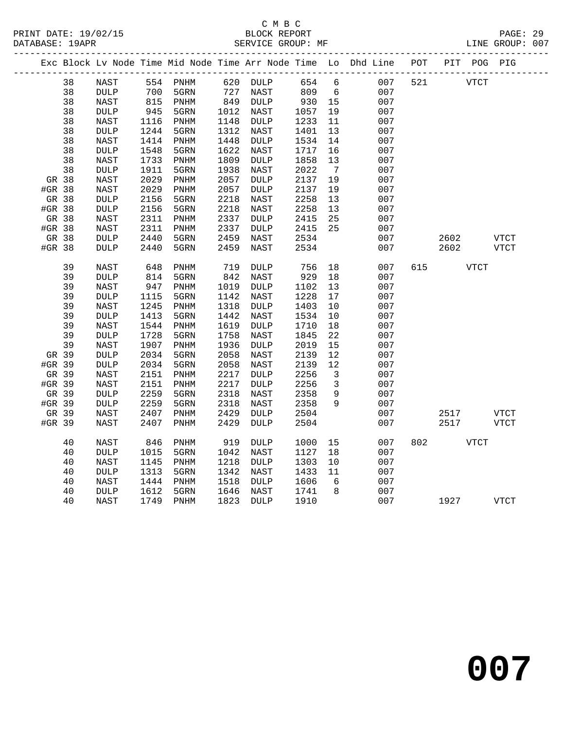|        |    |                 |      |                              |      |                                                                                    |      |                 | Exc Block Lv Node Time Mid Node Time Arr Node Time Lo Dhd Line POT |     |             | PIT POG PIG |
|--------|----|-----------------|------|------------------------------|------|------------------------------------------------------------------------------------|------|-----------------|--------------------------------------------------------------------|-----|-------------|-------------|
|        | 38 | NAST            |      | 554 PNHM                     |      | 620 DULP                                                                           | 654  | 6               | 007                                                                | 521 | <b>VTCT</b> |             |
|        | 38 | $\texttt{DULP}$ | 700  | 5GRN                         | 727  | NAST                                                                               | 809  | $6\overline{6}$ | 007                                                                |     |             |             |
|        | 38 | NAST            | 815  | PNHM                         |      | $\begin{array}{cc}\n 121 \\  849 \\  \text{DULP} \\  \text{START} \\  \end{array}$ | 930  | 15              | 007                                                                |     |             |             |
|        | 38 | $\texttt{DULP}$ | 945  | 5GRN                         | 1012 | NAST                                                                               | 1057 | 19              | 007                                                                |     |             |             |
|        | 38 | NAST            | 1116 | PNHM                         | 1148 | DULP                                                                               | 1233 | 11              | 007                                                                |     |             |             |
|        | 38 | <b>DULP</b>     | 1244 | 5GRN                         | 1312 | NAST                                                                               | 1401 | 13              | 007                                                                |     |             |             |
|        | 38 | NAST            | 1414 | PNHM                         | 1448 | $\texttt{DULP}$                                                                    | 1534 | 14              | 007                                                                |     |             |             |
|        | 38 | $\texttt{DULP}$ | 1548 | 5GRN                         | 1622 | NAST                                                                               | 1717 | 16              | 007                                                                |     |             |             |
|        | 38 | NAST            | 1733 | PNHM                         | 1809 | <b>DULP</b>                                                                        | 1858 | 13              | 007                                                                |     |             |             |
|        | 38 | $\texttt{DULP}$ | 1911 | 5GRN                         | 1938 | NAST                                                                               | 2022 | $\overline{7}$  | 007                                                                |     |             |             |
| GR 38  |    | NAST            | 2029 | PNHM                         | 2057 | DULP                                                                               | 2137 | 19              | 007                                                                |     |             |             |
| #GR 38 |    | NAST            | 2029 | PNHM                         | 2057 | <b>DULP</b>                                                                        | 2137 | 19              | 007                                                                |     |             |             |
| GR 38  |    | $\texttt{DULP}$ | 2156 | 5GRN                         | 2218 | NAST                                                                               | 2258 | 13              | 007                                                                |     |             |             |
| #GR 38 |    | <b>DULP</b>     | 2156 | 5GRN                         | 2218 | NAST                                                                               | 2258 | 13              | 007                                                                |     |             |             |
| GR 38  |    | <b>NAST</b>     | 2311 | $\mathop{\rm PNHM}\nolimits$ | 2337 | <b>DULP</b>                                                                        | 2415 | 25              | 007                                                                |     |             |             |
| #GR 38 |    | NAST            | 2311 | PNHM                         | 2337 | $\texttt{DULP}{}$                                                                  | 2415 | 25              | 007                                                                |     |             |             |
| GR 38  |    | $\texttt{DULP}$ | 2440 | 5GRN                         | 2459 | NAST                                                                               | 2534 |                 | 007                                                                |     | 2602        | VTCT        |
| #GR 38 |    | $\texttt{DULP}$ | 2440 | 5GRN                         | 2459 | NAST                                                                               | 2534 |                 | 007                                                                |     | 2602        | VTCT        |
|        | 39 | NAST            | 648  | $\mathop{\rm PNHM}\nolimits$ | 719  | DULP                                                                               | 756  | 18              | 007                                                                | 615 | VTCT        |             |
|        | 39 | <b>DULP</b>     | 814  | 5GRN                         | 842  | NAST                                                                               | 929  | 18              | 007                                                                |     |             |             |
|        | 39 | <b>NAST</b>     | 947  | PNHM                         | 1019 | $\texttt{DULP}$                                                                    | 1102 | 13              | 007                                                                |     |             |             |
|        | 39 | <b>DULP</b>     | 1115 | 5GRN                         | 1142 | NAST                                                                               | 1228 | 17              | 007                                                                |     |             |             |
|        | 39 | NAST            | 1245 | PNHM                         | 1318 | <b>DULP</b>                                                                        | 1403 | 10              | 007                                                                |     |             |             |
|        | 39 | <b>DULP</b>     | 1413 | 5GRN                         | 1442 | NAST                                                                               | 1534 | 10              | 007                                                                |     |             |             |
|        | 39 | NAST            | 1544 | $\mathop{\rm PNHM}\nolimits$ | 1619 | DULP                                                                               | 1710 | 18              | 007                                                                |     |             |             |
|        | 39 | $\texttt{DULP}$ | 1728 | 5GRN                         | 1758 | NAST                                                                               | 1845 | 22              | 007                                                                |     |             |             |
|        | 39 | <b>NAST</b>     | 1907 | PNHM                         | 1936 | <b>DULP</b>                                                                        | 2019 | 15              | 007                                                                |     |             |             |
| GR 39  |    | $\texttt{DULP}$ | 2034 | 5GRN                         | 2058 | NAST                                                                               | 2139 | 12              | 007                                                                |     |             |             |
| #GR 39 |    | <b>DULP</b>     | 2034 | 5GRN                         | 2058 | NAST                                                                               | 2139 | 12              | 007                                                                |     |             |             |
| GR 39  |    | NAST            | 2151 | $\mathop{\rm PNHM}\nolimits$ | 2217 | <b>DULP</b>                                                                        | 2256 | 3               | 007                                                                |     |             |             |
| #GR 39 |    | NAST            | 2151 | $\mathop{\rm PNHM}\nolimits$ | 2217 | $\texttt{DULP}$                                                                    | 2256 | $\mathbf{3}$    | 007                                                                |     |             |             |
| GR 39  |    | <b>DULP</b>     | 2259 | 5GRN                         | 2318 | NAST                                                                               | 2358 | 9               | 007                                                                |     |             |             |
| #GR 39 |    | <b>DULP</b>     | 2259 | 5GRN                         | 2318 | NAST                                                                               | 2358 | 9               | 007                                                                |     |             |             |
| GR 39  |    | NAST            | 2407 | PNHM                         | 2429 | $\texttt{DULP}$                                                                    | 2504 |                 | 007                                                                |     | 2517        | <b>VTCT</b> |
| #GR 39 |    | NAST            | 2407 | PNHM                         | 2429 | <b>DULP</b>                                                                        | 2504 |                 | 007                                                                |     | 2517        | VTCT        |
|        | 40 | NAST            | 846  | PNHM                         | 919  | <b>DULP</b>                                                                        | 1000 | 15              | 007                                                                | 802 | <b>VTCT</b> |             |
|        | 40 | <b>DULP</b>     | 1015 | 5GRN                         | 1042 | NAST                                                                               | 1127 | 18              | 007                                                                |     |             |             |
|        | 40 | <b>NAST</b>     | 1145 | PNHM                         | 1218 | <b>DULP</b>                                                                        | 1303 | 10              | 007                                                                |     |             |             |
|        | 40 | <b>DULP</b>     | 1313 | 5GRN                         | 1342 | NAST                                                                               | 1433 | 11              | 007                                                                |     |             |             |
|        | 40 | NAST            | 1444 | PNHM                         | 1518 | $\texttt{DULP}$                                                                    | 1606 | 6               | 007                                                                |     |             |             |
|        | 40 | <b>DULP</b>     | 1612 | 5GRN                         | 1646 | NAST                                                                               | 1741 | 8               | 007                                                                |     |             |             |
|        | 40 | <b>NAST</b>     | 1749 | PNHM                         | 1823 | <b>DULP</b>                                                                        | 1910 |                 | 007                                                                |     | 1927        | VTCT        |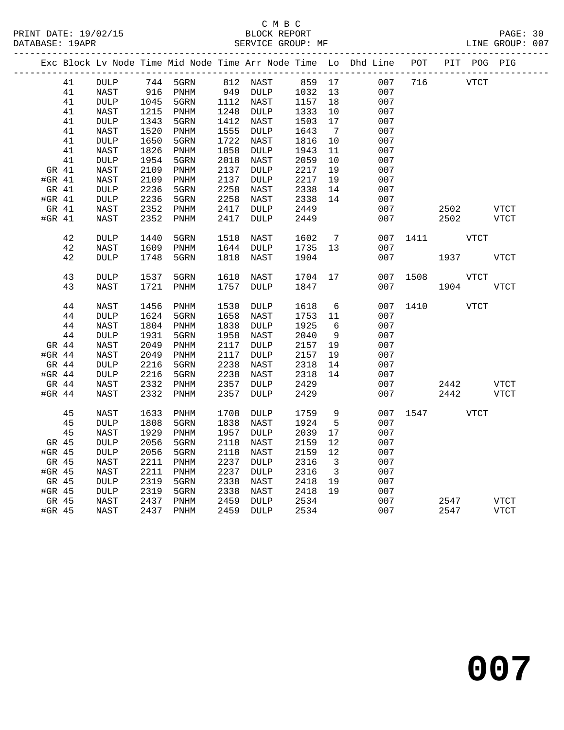## C M B C<br>BLOCK REPORT

PAGE: 30<br>LINE GROUP: 007

|          |    |                 |      |                              |      |                 |      |                         | Exc Block Lv Node Time Mid Node Time Arr Node Time Lo Dhd Line | POT      |      | PIT POG PIG |             |
|----------|----|-----------------|------|------------------------------|------|-----------------|------|-------------------------|----------------------------------------------------------------|----------|------|-------------|-------------|
|          | 41 | DULP            | 744  | 5GRN                         |      | 812 NAST        | 859  | 17                      | 007                                                            | 716      |      | <b>VTCT</b> |             |
|          | 41 | <b>NAST</b>     | 916  | PNHM                         | 949  | <b>DULP</b>     | 1032 | 13                      | 007                                                            |          |      |             |             |
|          | 41 | <b>DULP</b>     | 1045 | 5GRN                         | 1112 | NAST            | 1157 | 18                      | 007                                                            |          |      |             |             |
|          | 41 | NAST            | 1215 | PNHM                         | 1248 | DULP            | 1333 | 10                      | 007                                                            |          |      |             |             |
|          | 41 | <b>DULP</b>     | 1343 | 5GRN                         | 1412 | NAST            | 1503 | 17                      | 007                                                            |          |      |             |             |
|          | 41 | ${\tt NAST}$    | 1520 | $\mathop{\rm PNHM}\nolimits$ | 1555 | $\texttt{DULP}$ | 1643 | $\overline{7}$          | 007                                                            |          |      |             |             |
|          | 41 | <b>DULP</b>     | 1650 | 5GRN                         | 1722 | NAST            | 1816 | 10                      | 007                                                            |          |      |             |             |
|          | 41 | NAST            | 1826 | $\mathop{\rm PNHM}\nolimits$ | 1858 | $\texttt{DULP}$ | 1943 | 11                      | 007                                                            |          |      |             |             |
|          | 41 | <b>DULP</b>     | 1954 | 5GRN                         | 2018 | NAST            | 2059 | 10                      | 007                                                            |          |      |             |             |
| GR 41    |    | NAST            | 2109 | PNHM                         | 2137 | <b>DULP</b>     | 2217 | 19                      | 007                                                            |          |      |             |             |
| #GR 41   |    | <b>NAST</b>     | 2109 | PNHM                         | 2137 | $\texttt{DULP}$ | 2217 | 19                      | 007                                                            |          |      |             |             |
| GR 41    |    | DULP            | 2236 | 5GRN                         | 2258 | NAST            | 2338 | 14                      | 007                                                            |          |      |             |             |
| #GR 41   |    | <b>DULP</b>     | 2236 | 5GRN                         | 2258 | NAST            | 2338 | 14                      | 007                                                            |          |      |             |             |
| GR 41    |    | NAST            | 2352 | PNHM                         | 2417 | DULP            | 2449 |                         | 007                                                            |          | 2502 |             | <b>VTCT</b> |
| #GR $41$ |    | NAST            | 2352 | PNHM                         | 2417 | <b>DULP</b>     | 2449 |                         | 007                                                            |          | 2502 |             | <b>VTCT</b> |
|          | 42 | <b>DULP</b>     | 1440 | 5GRN                         | 1510 | NAST            | 1602 | 7                       | 007                                                            | 1411     |      | <b>VTCT</b> |             |
|          | 42 | NAST            | 1609 | $\mathop{\rm PNHM}\nolimits$ | 1644 | DULP            | 1735 | 13                      | 007                                                            |          |      |             |             |
|          | 42 | <b>DULP</b>     | 1748 | 5GRN                         | 1818 | NAST            | 1904 |                         | 007                                                            |          | 1937 |             | VTCT        |
|          |    |                 |      |                              |      |                 |      |                         |                                                                |          |      |             |             |
|          | 43 | <b>DULP</b>     | 1537 | 5GRN                         | 1610 | NAST            | 1704 | 17                      | 007                                                            | 1508     |      | <b>VTCT</b> |             |
|          | 43 | NAST            | 1721 | PNHM                         | 1757 | <b>DULP</b>     | 1847 |                         | 007                                                            |          | 1904 |             | VTCT        |
|          |    |                 |      |                              |      |                 |      |                         |                                                                |          |      |             |             |
|          | 44 | NAST            | 1456 | PNHM                         | 1530 | DULP            | 1618 | 6                       | 007                                                            | 1410     |      | <b>VTCT</b> |             |
|          | 44 | DULP            | 1624 | 5GRN                         | 1658 | NAST            | 1753 | 11                      | 007                                                            |          |      |             |             |
|          | 44 | NAST            | 1804 | PNHM                         | 1838 | <b>DULP</b>     | 1925 | 6                       | 007                                                            |          |      |             |             |
|          | 44 | DULP            | 1931 | 5GRN                         | 1958 | NAST            | 2040 | 9                       | 007                                                            |          |      |             |             |
| GR 44    |    | NAST            | 2049 | PNHM                         | 2117 | DULP            | 2157 | 19                      | 007                                                            |          |      |             |             |
| #GR $44$ |    | NAST            | 2049 | PNHM                         | 2117 | DULP            | 2157 | 19                      | 007                                                            |          |      |             |             |
| GR 44    |    | <b>DULP</b>     | 2216 | 5GRN                         | 2238 | NAST            | 2318 | 14                      | 007                                                            |          |      |             |             |
| #GR 44   |    | DULP            | 2216 | 5GRN                         | 2238 | NAST            | 2318 | 14                      | 007                                                            |          |      |             |             |
| GR 44    |    | NAST            | 2332 | PNHM                         | 2357 | $\texttt{DULP}$ | 2429 |                         | 007                                                            |          | 2442 |             | <b>VTCT</b> |
| #GR $44$ |    | NAST            | 2332 | PNHM                         | 2357 | <b>DULP</b>     | 2429 |                         | 007                                                            |          | 2442 |             | <b>VTCT</b> |
|          | 45 | NAST            | 1633 | PNHM                         | 1708 | DULP            | 1759 | 9                       |                                                                | 007 1547 |      | VTCT        |             |
|          | 45 | <b>DULP</b>     | 1808 | 5GRN                         | 1838 | NAST            | 1924 | 5                       | 007                                                            |          |      |             |             |
|          | 45 | NAST            | 1929 | PNHM                         | 1957 | $\texttt{DULP}$ | 2039 | 17                      | 007                                                            |          |      |             |             |
| GR 45    |    | <b>DULP</b>     | 2056 | 5GRN                         | 2118 | NAST            | 2159 | 12                      | 007                                                            |          |      |             |             |
| #GR 45   |    | $\texttt{DULP}$ | 2056 | 5GRN                         | 2118 | NAST            | 2159 | 12                      | 007                                                            |          |      |             |             |
| GR 45    |    | NAST            | 2211 | $\mathop{\rm PNHM}\nolimits$ | 2237 | DULP            | 2316 | $\overline{\mathbf{3}}$ | 007                                                            |          |      |             |             |
| #GR 45   |    | NAST            | 2211 | PNHM                         | 2237 | <b>DULP</b>     | 2316 | $\overline{\mathbf{3}}$ | 007                                                            |          |      |             |             |
| GR 45    |    | DULP            | 2319 | 5GRN                         | 2338 | NAST            | 2418 | 19                      | 007                                                            |          |      |             |             |
| #GR 45   |    | $\texttt{DULP}$ | 2319 | 5GRN                         | 2338 | NAST            | 2418 | 19                      | 007                                                            |          |      |             |             |
| GR 45    |    | ${\tt NAST}$    | 2437 | $\mathop{\rm PNHM}\nolimits$ | 2459 | DULP            | 2534 |                         | 007                                                            |          | 2547 |             | <b>VTCT</b> |
| #GR 45   |    | NAST            | 2437 | PNHM                         | 2459 | DULP            | 2534 |                         | 007                                                            |          | 2547 |             | <b>VTCT</b> |
|          |    |                 |      |                              |      |                 |      |                         |                                                                |          |      |             |             |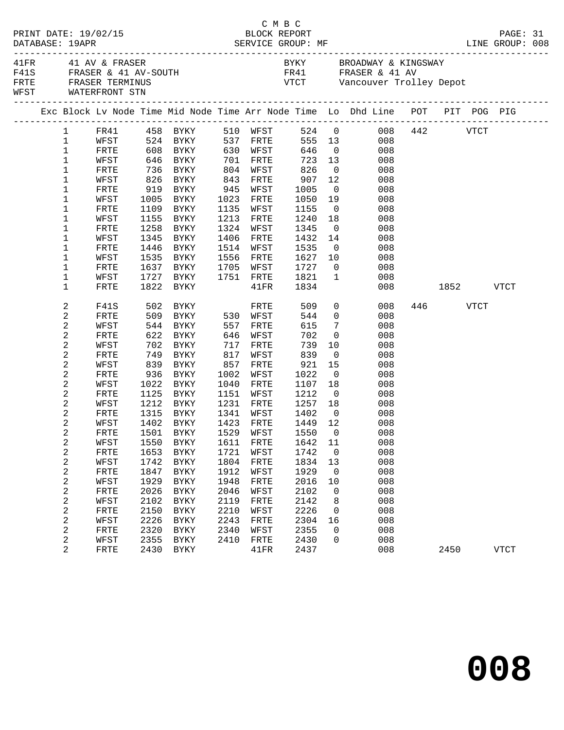| 41FR 41 AV & FRASER<br>BYKY BROADWAY & KINGSWAY<br>F41S FRASER & 41 AV-SOUTH<br>FR41 FRASER & 41 AV<br>FRTE FRASER TERMINUS<br>VTCT Vancouver Trolley Depot<br>WFST WATERFRONT STN<br>Exc Block Lv Node Time Mid Node Time Arr Node Time Lo Dhd Line POT PIT POG PIG<br>$\begin{tabular}{lcccccc} 1 & FRA1 & 458 & BYKY & 510 WFST & 524 & 0 & 008 & 442 & VTCT \\ 1 & WFST & 524 & BYKY & 537 FRTE & 555 & 13 & 008 & \end{tabular}$<br>608 BYKY 630 WFST 646 0<br>$\mathbf{1}$<br>008<br>FRTE<br>$\mathbf 1$<br>723<br>WFST<br>646 BYKY 701<br>FRTE<br>13<br>008<br>736 BYKY<br>826 BYKY<br>826<br>907<br>$\mathbf{1}$<br>804<br>843<br>WFST<br>$\overline{0}$<br>008<br>FRTE<br>1<br>12<br>WFST<br>FRTE<br>008<br>919 BYKY<br>945<br>1005<br>1<br>FRTE<br>WFST<br>$\overline{0}$<br>008<br>1<br>WFST<br>1005<br>BYKY<br>1023<br>FRTE<br>1050<br>19<br>008<br>1<br>FRTE<br>1109 BYKY<br>1135<br>WFST<br>1155<br>$\overline{0}$<br>008<br>1240<br>1<br>1155 BYKY<br>1213<br>18<br>WFST<br>FRTE<br>008<br>1345<br>1258 BYKY<br>1<br>FRTE<br>1324<br>WFST<br>$\overline{0}$<br>008<br>1<br>WFST<br>1345<br>BYKY<br>1406<br>FRTE<br>1432<br>14<br>008<br>1446<br>1535<br>1<br>FRTE<br>BYKY<br>1514<br>WFST<br>008<br>$\overline{\mathbf{0}}$<br>1<br>1627<br>WFST<br>1535<br>BYKY<br>1556<br>10<br>008<br>FRTE<br>1727<br>$\overline{0}$<br>1<br>FRTE<br>1637 BYKY<br>1705 WFST<br>008<br>1<br>1727 BYKY<br>1751 FRTE<br>1821<br>$\overline{1}$<br>WFST<br>008<br>1822<br>1834<br>1<br><b>FRTE</b><br>BYKY<br>$41\mathrm{FR}$<br>008 1852 VTCT<br>$\overline{0}$<br>502 BYKY<br>446 VTCT<br>2<br>509<br>F41S<br>008<br>FRTE<br>509 BYKY 530 WFST<br>2<br>544<br>$\overline{0}$<br>FRTE<br>008<br>2<br>615<br>$7\overline{ }$<br>WFST<br>544<br>BYKY<br>557<br>FRTE<br>008<br>2<br>622<br>702<br>646<br>702<br>FRTE<br>BYKY<br>WFST<br>$\overline{0}$<br>008<br>2<br>739<br>WFST<br>702<br>BYKY<br>717<br>10<br>008<br>FRTE<br>749 BYKY<br>817<br>839<br>2<br>FRTE<br>WFST<br>$\overline{0}$<br>008<br>2<br>921<br>WFST<br>839<br>BYKY<br>857<br>FRTE<br>15<br>008<br>2<br>1022<br>FRTE<br>936<br>BYKY<br>1002<br>WFST<br>$\overline{0}$<br>008<br>2<br>WFST<br>1022 BYKY<br>1040<br>1107<br>18<br>FRTE<br>008<br>2<br>1212<br>1125 BYKY<br>1151<br>$\overline{0}$<br>FRTE<br>WFST<br>008<br>2<br>1212<br>1257<br>WFST<br>BYKY<br>1231<br>FRTE<br>18<br>008<br>2<br>1315<br>$1402$<br>$1440$<br>FRTE<br>BYKY<br>1341<br>WFST<br>$\overline{0}$<br>008<br>2<br>1449 12<br>WFST<br>1402 BYKY<br>1423 FRTE<br>008<br>2<br>FRTE 1501 BYKY 1529 WFST 1550 0 008<br>2<br>008<br>WFST<br>1550<br>BYKY<br>1611<br>FRTE<br>1642<br>11<br>2<br>008<br>1653<br>1721<br>1742<br>FRTE<br>BYKY<br>WFST<br>$\overline{\phantom{0}}$<br>2<br>1804<br>1834<br>13<br>008<br>WFST<br>1742<br>BYKY<br>FRTE<br>2<br>1912<br>1929<br>008<br>FRTE<br>1847<br>WFST<br>$\overline{0}$<br>BYKY<br>2<br>WFST<br>1929<br><b>BYKY</b><br>1948<br>FRTE<br>2016<br>10<br>008<br>2<br>2026<br>FRTE<br>2046<br>WFST<br>2102<br>008<br>BYKY<br>0<br>2<br>2119<br>2142<br>008<br>WFST<br>2102<br><b>BYKY</b><br>FRTE<br>8<br>2<br>2226<br>008<br>FRTE<br>2150<br>2210<br>WFST<br>BYKY<br>$\mathbf 0$<br>2<br>2226<br>WFST<br><b>BYKY</b><br>2243<br>${\tt FRTE}$<br>2304<br>008<br>16<br>2<br>2320<br>2355<br>FRTE<br>2340<br>008<br>BYKY<br>WFST<br>0<br>2<br>2355<br>2410<br>2430<br>008<br>WFST<br>FRTE<br>BYKY<br>0<br>2<br>2430 BYKY<br>008<br>FRTE<br>41FR<br>2437<br>2450<br><b>VTCT</b> | PRINT DATE: 19/02/15<br>DATABASE: 19APR |  |  |  | C M B C<br>BLOCK REPORT |  |  | PAGE: 31 |  |
|-----------------------------------------------------------------------------------------------------------------------------------------------------------------------------------------------------------------------------------------------------------------------------------------------------------------------------------------------------------------------------------------------------------------------------------------------------------------------------------------------------------------------------------------------------------------------------------------------------------------------------------------------------------------------------------------------------------------------------------------------------------------------------------------------------------------------------------------------------------------------------------------------------------------------------------------------------------------------------------------------------------------------------------------------------------------------------------------------------------------------------------------------------------------------------------------------------------------------------------------------------------------------------------------------------------------------------------------------------------------------------------------------------------------------------------------------------------------------------------------------------------------------------------------------------------------------------------------------------------------------------------------------------------------------------------------------------------------------------------------------------------------------------------------------------------------------------------------------------------------------------------------------------------------------------------------------------------------------------------------------------------------------------------------------------------------------------------------------------------------------------------------------------------------------------------------------------------------------------------------------------------------------------------------------------------------------------------------------------------------------------------------------------------------------------------------------------------------------------------------------------------------------------------------------------------------------------------------------------------------------------------------------------------------------------------------------------------------------------------------------------------------------------------------------------------------------------------------------------------------------------------------------------------------------------------------------------------------------------------------------------------------------------------------------------------------------------------------------------------------------------------------------------------------------------------------------------------------------------------------------------------------------------------------------------------------------------------------------------------------------------------------------------------------------------------------------------------|-----------------------------------------|--|--|--|-------------------------|--|--|----------|--|
|                                                                                                                                                                                                                                                                                                                                                                                                                                                                                                                                                                                                                                                                                                                                                                                                                                                                                                                                                                                                                                                                                                                                                                                                                                                                                                                                                                                                                                                                                                                                                                                                                                                                                                                                                                                                                                                                                                                                                                                                                                                                                                                                                                                                                                                                                                                                                                                                                                                                                                                                                                                                                                                                                                                                                                                                                                                                                                                                                                                                                                                                                                                                                                                                                                                                                                                                                                                                                                                           |                                         |  |  |  |                         |  |  |          |  |
|                                                                                                                                                                                                                                                                                                                                                                                                                                                                                                                                                                                                                                                                                                                                                                                                                                                                                                                                                                                                                                                                                                                                                                                                                                                                                                                                                                                                                                                                                                                                                                                                                                                                                                                                                                                                                                                                                                                                                                                                                                                                                                                                                                                                                                                                                                                                                                                                                                                                                                                                                                                                                                                                                                                                                                                                                                                                                                                                                                                                                                                                                                                                                                                                                                                                                                                                                                                                                                                           |                                         |  |  |  |                         |  |  |          |  |
|                                                                                                                                                                                                                                                                                                                                                                                                                                                                                                                                                                                                                                                                                                                                                                                                                                                                                                                                                                                                                                                                                                                                                                                                                                                                                                                                                                                                                                                                                                                                                                                                                                                                                                                                                                                                                                                                                                                                                                                                                                                                                                                                                                                                                                                                                                                                                                                                                                                                                                                                                                                                                                                                                                                                                                                                                                                                                                                                                                                                                                                                                                                                                                                                                                                                                                                                                                                                                                                           |                                         |  |  |  |                         |  |  |          |  |
|                                                                                                                                                                                                                                                                                                                                                                                                                                                                                                                                                                                                                                                                                                                                                                                                                                                                                                                                                                                                                                                                                                                                                                                                                                                                                                                                                                                                                                                                                                                                                                                                                                                                                                                                                                                                                                                                                                                                                                                                                                                                                                                                                                                                                                                                                                                                                                                                                                                                                                                                                                                                                                                                                                                                                                                                                                                                                                                                                                                                                                                                                                                                                                                                                                                                                                                                                                                                                                                           |                                         |  |  |  |                         |  |  |          |  |
|                                                                                                                                                                                                                                                                                                                                                                                                                                                                                                                                                                                                                                                                                                                                                                                                                                                                                                                                                                                                                                                                                                                                                                                                                                                                                                                                                                                                                                                                                                                                                                                                                                                                                                                                                                                                                                                                                                                                                                                                                                                                                                                                                                                                                                                                                                                                                                                                                                                                                                                                                                                                                                                                                                                                                                                                                                                                                                                                                                                                                                                                                                                                                                                                                                                                                                                                                                                                                                                           |                                         |  |  |  |                         |  |  |          |  |
|                                                                                                                                                                                                                                                                                                                                                                                                                                                                                                                                                                                                                                                                                                                                                                                                                                                                                                                                                                                                                                                                                                                                                                                                                                                                                                                                                                                                                                                                                                                                                                                                                                                                                                                                                                                                                                                                                                                                                                                                                                                                                                                                                                                                                                                                                                                                                                                                                                                                                                                                                                                                                                                                                                                                                                                                                                                                                                                                                                                                                                                                                                                                                                                                                                                                                                                                                                                                                                                           |                                         |  |  |  |                         |  |  |          |  |
|                                                                                                                                                                                                                                                                                                                                                                                                                                                                                                                                                                                                                                                                                                                                                                                                                                                                                                                                                                                                                                                                                                                                                                                                                                                                                                                                                                                                                                                                                                                                                                                                                                                                                                                                                                                                                                                                                                                                                                                                                                                                                                                                                                                                                                                                                                                                                                                                                                                                                                                                                                                                                                                                                                                                                                                                                                                                                                                                                                                                                                                                                                                                                                                                                                                                                                                                                                                                                                                           |                                         |  |  |  |                         |  |  |          |  |
|                                                                                                                                                                                                                                                                                                                                                                                                                                                                                                                                                                                                                                                                                                                                                                                                                                                                                                                                                                                                                                                                                                                                                                                                                                                                                                                                                                                                                                                                                                                                                                                                                                                                                                                                                                                                                                                                                                                                                                                                                                                                                                                                                                                                                                                                                                                                                                                                                                                                                                                                                                                                                                                                                                                                                                                                                                                                                                                                                                                                                                                                                                                                                                                                                                                                                                                                                                                                                                                           |                                         |  |  |  |                         |  |  |          |  |
|                                                                                                                                                                                                                                                                                                                                                                                                                                                                                                                                                                                                                                                                                                                                                                                                                                                                                                                                                                                                                                                                                                                                                                                                                                                                                                                                                                                                                                                                                                                                                                                                                                                                                                                                                                                                                                                                                                                                                                                                                                                                                                                                                                                                                                                                                                                                                                                                                                                                                                                                                                                                                                                                                                                                                                                                                                                                                                                                                                                                                                                                                                                                                                                                                                                                                                                                                                                                                                                           |                                         |  |  |  |                         |  |  |          |  |
|                                                                                                                                                                                                                                                                                                                                                                                                                                                                                                                                                                                                                                                                                                                                                                                                                                                                                                                                                                                                                                                                                                                                                                                                                                                                                                                                                                                                                                                                                                                                                                                                                                                                                                                                                                                                                                                                                                                                                                                                                                                                                                                                                                                                                                                                                                                                                                                                                                                                                                                                                                                                                                                                                                                                                                                                                                                                                                                                                                                                                                                                                                                                                                                                                                                                                                                                                                                                                                                           |                                         |  |  |  |                         |  |  |          |  |
|                                                                                                                                                                                                                                                                                                                                                                                                                                                                                                                                                                                                                                                                                                                                                                                                                                                                                                                                                                                                                                                                                                                                                                                                                                                                                                                                                                                                                                                                                                                                                                                                                                                                                                                                                                                                                                                                                                                                                                                                                                                                                                                                                                                                                                                                                                                                                                                                                                                                                                                                                                                                                                                                                                                                                                                                                                                                                                                                                                                                                                                                                                                                                                                                                                                                                                                                                                                                                                                           |                                         |  |  |  |                         |  |  |          |  |
|                                                                                                                                                                                                                                                                                                                                                                                                                                                                                                                                                                                                                                                                                                                                                                                                                                                                                                                                                                                                                                                                                                                                                                                                                                                                                                                                                                                                                                                                                                                                                                                                                                                                                                                                                                                                                                                                                                                                                                                                                                                                                                                                                                                                                                                                                                                                                                                                                                                                                                                                                                                                                                                                                                                                                                                                                                                                                                                                                                                                                                                                                                                                                                                                                                                                                                                                                                                                                                                           |                                         |  |  |  |                         |  |  |          |  |
|                                                                                                                                                                                                                                                                                                                                                                                                                                                                                                                                                                                                                                                                                                                                                                                                                                                                                                                                                                                                                                                                                                                                                                                                                                                                                                                                                                                                                                                                                                                                                                                                                                                                                                                                                                                                                                                                                                                                                                                                                                                                                                                                                                                                                                                                                                                                                                                                                                                                                                                                                                                                                                                                                                                                                                                                                                                                                                                                                                                                                                                                                                                                                                                                                                                                                                                                                                                                                                                           |                                         |  |  |  |                         |  |  |          |  |
|                                                                                                                                                                                                                                                                                                                                                                                                                                                                                                                                                                                                                                                                                                                                                                                                                                                                                                                                                                                                                                                                                                                                                                                                                                                                                                                                                                                                                                                                                                                                                                                                                                                                                                                                                                                                                                                                                                                                                                                                                                                                                                                                                                                                                                                                                                                                                                                                                                                                                                                                                                                                                                                                                                                                                                                                                                                                                                                                                                                                                                                                                                                                                                                                                                                                                                                                                                                                                                                           |                                         |  |  |  |                         |  |  |          |  |
|                                                                                                                                                                                                                                                                                                                                                                                                                                                                                                                                                                                                                                                                                                                                                                                                                                                                                                                                                                                                                                                                                                                                                                                                                                                                                                                                                                                                                                                                                                                                                                                                                                                                                                                                                                                                                                                                                                                                                                                                                                                                                                                                                                                                                                                                                                                                                                                                                                                                                                                                                                                                                                                                                                                                                                                                                                                                                                                                                                                                                                                                                                                                                                                                                                                                                                                                                                                                                                                           |                                         |  |  |  |                         |  |  |          |  |
|                                                                                                                                                                                                                                                                                                                                                                                                                                                                                                                                                                                                                                                                                                                                                                                                                                                                                                                                                                                                                                                                                                                                                                                                                                                                                                                                                                                                                                                                                                                                                                                                                                                                                                                                                                                                                                                                                                                                                                                                                                                                                                                                                                                                                                                                                                                                                                                                                                                                                                                                                                                                                                                                                                                                                                                                                                                                                                                                                                                                                                                                                                                                                                                                                                                                                                                                                                                                                                                           |                                         |  |  |  |                         |  |  |          |  |
|                                                                                                                                                                                                                                                                                                                                                                                                                                                                                                                                                                                                                                                                                                                                                                                                                                                                                                                                                                                                                                                                                                                                                                                                                                                                                                                                                                                                                                                                                                                                                                                                                                                                                                                                                                                                                                                                                                                                                                                                                                                                                                                                                                                                                                                                                                                                                                                                                                                                                                                                                                                                                                                                                                                                                                                                                                                                                                                                                                                                                                                                                                                                                                                                                                                                                                                                                                                                                                                           |                                         |  |  |  |                         |  |  |          |  |
|                                                                                                                                                                                                                                                                                                                                                                                                                                                                                                                                                                                                                                                                                                                                                                                                                                                                                                                                                                                                                                                                                                                                                                                                                                                                                                                                                                                                                                                                                                                                                                                                                                                                                                                                                                                                                                                                                                                                                                                                                                                                                                                                                                                                                                                                                                                                                                                                                                                                                                                                                                                                                                                                                                                                                                                                                                                                                                                                                                                                                                                                                                                                                                                                                                                                                                                                                                                                                                                           |                                         |  |  |  |                         |  |  |          |  |
|                                                                                                                                                                                                                                                                                                                                                                                                                                                                                                                                                                                                                                                                                                                                                                                                                                                                                                                                                                                                                                                                                                                                                                                                                                                                                                                                                                                                                                                                                                                                                                                                                                                                                                                                                                                                                                                                                                                                                                                                                                                                                                                                                                                                                                                                                                                                                                                                                                                                                                                                                                                                                                                                                                                                                                                                                                                                                                                                                                                                                                                                                                                                                                                                                                                                                                                                                                                                                                                           |                                         |  |  |  |                         |  |  |          |  |
|                                                                                                                                                                                                                                                                                                                                                                                                                                                                                                                                                                                                                                                                                                                                                                                                                                                                                                                                                                                                                                                                                                                                                                                                                                                                                                                                                                                                                                                                                                                                                                                                                                                                                                                                                                                                                                                                                                                                                                                                                                                                                                                                                                                                                                                                                                                                                                                                                                                                                                                                                                                                                                                                                                                                                                                                                                                                                                                                                                                                                                                                                                                                                                                                                                                                                                                                                                                                                                                           |                                         |  |  |  |                         |  |  |          |  |
|                                                                                                                                                                                                                                                                                                                                                                                                                                                                                                                                                                                                                                                                                                                                                                                                                                                                                                                                                                                                                                                                                                                                                                                                                                                                                                                                                                                                                                                                                                                                                                                                                                                                                                                                                                                                                                                                                                                                                                                                                                                                                                                                                                                                                                                                                                                                                                                                                                                                                                                                                                                                                                                                                                                                                                                                                                                                                                                                                                                                                                                                                                                                                                                                                                                                                                                                                                                                                                                           |                                         |  |  |  |                         |  |  |          |  |
|                                                                                                                                                                                                                                                                                                                                                                                                                                                                                                                                                                                                                                                                                                                                                                                                                                                                                                                                                                                                                                                                                                                                                                                                                                                                                                                                                                                                                                                                                                                                                                                                                                                                                                                                                                                                                                                                                                                                                                                                                                                                                                                                                                                                                                                                                                                                                                                                                                                                                                                                                                                                                                                                                                                                                                                                                                                                                                                                                                                                                                                                                                                                                                                                                                                                                                                                                                                                                                                           |                                         |  |  |  |                         |  |  |          |  |
|                                                                                                                                                                                                                                                                                                                                                                                                                                                                                                                                                                                                                                                                                                                                                                                                                                                                                                                                                                                                                                                                                                                                                                                                                                                                                                                                                                                                                                                                                                                                                                                                                                                                                                                                                                                                                                                                                                                                                                                                                                                                                                                                                                                                                                                                                                                                                                                                                                                                                                                                                                                                                                                                                                                                                                                                                                                                                                                                                                                                                                                                                                                                                                                                                                                                                                                                                                                                                                                           |                                         |  |  |  |                         |  |  |          |  |
|                                                                                                                                                                                                                                                                                                                                                                                                                                                                                                                                                                                                                                                                                                                                                                                                                                                                                                                                                                                                                                                                                                                                                                                                                                                                                                                                                                                                                                                                                                                                                                                                                                                                                                                                                                                                                                                                                                                                                                                                                                                                                                                                                                                                                                                                                                                                                                                                                                                                                                                                                                                                                                                                                                                                                                                                                                                                                                                                                                                                                                                                                                                                                                                                                                                                                                                                                                                                                                                           |                                         |  |  |  |                         |  |  |          |  |
|                                                                                                                                                                                                                                                                                                                                                                                                                                                                                                                                                                                                                                                                                                                                                                                                                                                                                                                                                                                                                                                                                                                                                                                                                                                                                                                                                                                                                                                                                                                                                                                                                                                                                                                                                                                                                                                                                                                                                                                                                                                                                                                                                                                                                                                                                                                                                                                                                                                                                                                                                                                                                                                                                                                                                                                                                                                                                                                                                                                                                                                                                                                                                                                                                                                                                                                                                                                                                                                           |                                         |  |  |  |                         |  |  |          |  |
|                                                                                                                                                                                                                                                                                                                                                                                                                                                                                                                                                                                                                                                                                                                                                                                                                                                                                                                                                                                                                                                                                                                                                                                                                                                                                                                                                                                                                                                                                                                                                                                                                                                                                                                                                                                                                                                                                                                                                                                                                                                                                                                                                                                                                                                                                                                                                                                                                                                                                                                                                                                                                                                                                                                                                                                                                                                                                                                                                                                                                                                                                                                                                                                                                                                                                                                                                                                                                                                           |                                         |  |  |  |                         |  |  |          |  |
|                                                                                                                                                                                                                                                                                                                                                                                                                                                                                                                                                                                                                                                                                                                                                                                                                                                                                                                                                                                                                                                                                                                                                                                                                                                                                                                                                                                                                                                                                                                                                                                                                                                                                                                                                                                                                                                                                                                                                                                                                                                                                                                                                                                                                                                                                                                                                                                                                                                                                                                                                                                                                                                                                                                                                                                                                                                                                                                                                                                                                                                                                                                                                                                                                                                                                                                                                                                                                                                           |                                         |  |  |  |                         |  |  |          |  |
|                                                                                                                                                                                                                                                                                                                                                                                                                                                                                                                                                                                                                                                                                                                                                                                                                                                                                                                                                                                                                                                                                                                                                                                                                                                                                                                                                                                                                                                                                                                                                                                                                                                                                                                                                                                                                                                                                                                                                                                                                                                                                                                                                                                                                                                                                                                                                                                                                                                                                                                                                                                                                                                                                                                                                                                                                                                                                                                                                                                                                                                                                                                                                                                                                                                                                                                                                                                                                                                           |                                         |  |  |  |                         |  |  |          |  |
|                                                                                                                                                                                                                                                                                                                                                                                                                                                                                                                                                                                                                                                                                                                                                                                                                                                                                                                                                                                                                                                                                                                                                                                                                                                                                                                                                                                                                                                                                                                                                                                                                                                                                                                                                                                                                                                                                                                                                                                                                                                                                                                                                                                                                                                                                                                                                                                                                                                                                                                                                                                                                                                                                                                                                                                                                                                                                                                                                                                                                                                                                                                                                                                                                                                                                                                                                                                                                                                           |                                         |  |  |  |                         |  |  |          |  |
|                                                                                                                                                                                                                                                                                                                                                                                                                                                                                                                                                                                                                                                                                                                                                                                                                                                                                                                                                                                                                                                                                                                                                                                                                                                                                                                                                                                                                                                                                                                                                                                                                                                                                                                                                                                                                                                                                                                                                                                                                                                                                                                                                                                                                                                                                                                                                                                                                                                                                                                                                                                                                                                                                                                                                                                                                                                                                                                                                                                                                                                                                                                                                                                                                                                                                                                                                                                                                                                           |                                         |  |  |  |                         |  |  |          |  |
|                                                                                                                                                                                                                                                                                                                                                                                                                                                                                                                                                                                                                                                                                                                                                                                                                                                                                                                                                                                                                                                                                                                                                                                                                                                                                                                                                                                                                                                                                                                                                                                                                                                                                                                                                                                                                                                                                                                                                                                                                                                                                                                                                                                                                                                                                                                                                                                                                                                                                                                                                                                                                                                                                                                                                                                                                                                                                                                                                                                                                                                                                                                                                                                                                                                                                                                                                                                                                                                           |                                         |  |  |  |                         |  |  |          |  |
|                                                                                                                                                                                                                                                                                                                                                                                                                                                                                                                                                                                                                                                                                                                                                                                                                                                                                                                                                                                                                                                                                                                                                                                                                                                                                                                                                                                                                                                                                                                                                                                                                                                                                                                                                                                                                                                                                                                                                                                                                                                                                                                                                                                                                                                                                                                                                                                                                                                                                                                                                                                                                                                                                                                                                                                                                                                                                                                                                                                                                                                                                                                                                                                                                                                                                                                                                                                                                                                           |                                         |  |  |  |                         |  |  |          |  |
|                                                                                                                                                                                                                                                                                                                                                                                                                                                                                                                                                                                                                                                                                                                                                                                                                                                                                                                                                                                                                                                                                                                                                                                                                                                                                                                                                                                                                                                                                                                                                                                                                                                                                                                                                                                                                                                                                                                                                                                                                                                                                                                                                                                                                                                                                                                                                                                                                                                                                                                                                                                                                                                                                                                                                                                                                                                                                                                                                                                                                                                                                                                                                                                                                                                                                                                                                                                                                                                           |                                         |  |  |  |                         |  |  |          |  |
|                                                                                                                                                                                                                                                                                                                                                                                                                                                                                                                                                                                                                                                                                                                                                                                                                                                                                                                                                                                                                                                                                                                                                                                                                                                                                                                                                                                                                                                                                                                                                                                                                                                                                                                                                                                                                                                                                                                                                                                                                                                                                                                                                                                                                                                                                                                                                                                                                                                                                                                                                                                                                                                                                                                                                                                                                                                                                                                                                                                                                                                                                                                                                                                                                                                                                                                                                                                                                                                           |                                         |  |  |  |                         |  |  |          |  |
|                                                                                                                                                                                                                                                                                                                                                                                                                                                                                                                                                                                                                                                                                                                                                                                                                                                                                                                                                                                                                                                                                                                                                                                                                                                                                                                                                                                                                                                                                                                                                                                                                                                                                                                                                                                                                                                                                                                                                                                                                                                                                                                                                                                                                                                                                                                                                                                                                                                                                                                                                                                                                                                                                                                                                                                                                                                                                                                                                                                                                                                                                                                                                                                                                                                                                                                                                                                                                                                           |                                         |  |  |  |                         |  |  |          |  |
|                                                                                                                                                                                                                                                                                                                                                                                                                                                                                                                                                                                                                                                                                                                                                                                                                                                                                                                                                                                                                                                                                                                                                                                                                                                                                                                                                                                                                                                                                                                                                                                                                                                                                                                                                                                                                                                                                                                                                                                                                                                                                                                                                                                                                                                                                                                                                                                                                                                                                                                                                                                                                                                                                                                                                                                                                                                                                                                                                                                                                                                                                                                                                                                                                                                                                                                                                                                                                                                           |                                         |  |  |  |                         |  |  |          |  |
|                                                                                                                                                                                                                                                                                                                                                                                                                                                                                                                                                                                                                                                                                                                                                                                                                                                                                                                                                                                                                                                                                                                                                                                                                                                                                                                                                                                                                                                                                                                                                                                                                                                                                                                                                                                                                                                                                                                                                                                                                                                                                                                                                                                                                                                                                                                                                                                                                                                                                                                                                                                                                                                                                                                                                                                                                                                                                                                                                                                                                                                                                                                                                                                                                                                                                                                                                                                                                                                           |                                         |  |  |  |                         |  |  |          |  |
|                                                                                                                                                                                                                                                                                                                                                                                                                                                                                                                                                                                                                                                                                                                                                                                                                                                                                                                                                                                                                                                                                                                                                                                                                                                                                                                                                                                                                                                                                                                                                                                                                                                                                                                                                                                                                                                                                                                                                                                                                                                                                                                                                                                                                                                                                                                                                                                                                                                                                                                                                                                                                                                                                                                                                                                                                                                                                                                                                                                                                                                                                                                                                                                                                                                                                                                                                                                                                                                           |                                         |  |  |  |                         |  |  |          |  |
|                                                                                                                                                                                                                                                                                                                                                                                                                                                                                                                                                                                                                                                                                                                                                                                                                                                                                                                                                                                                                                                                                                                                                                                                                                                                                                                                                                                                                                                                                                                                                                                                                                                                                                                                                                                                                                                                                                                                                                                                                                                                                                                                                                                                                                                                                                                                                                                                                                                                                                                                                                                                                                                                                                                                                                                                                                                                                                                                                                                                                                                                                                                                                                                                                                                                                                                                                                                                                                                           |                                         |  |  |  |                         |  |  |          |  |
|                                                                                                                                                                                                                                                                                                                                                                                                                                                                                                                                                                                                                                                                                                                                                                                                                                                                                                                                                                                                                                                                                                                                                                                                                                                                                                                                                                                                                                                                                                                                                                                                                                                                                                                                                                                                                                                                                                                                                                                                                                                                                                                                                                                                                                                                                                                                                                                                                                                                                                                                                                                                                                                                                                                                                                                                                                                                                                                                                                                                                                                                                                                                                                                                                                                                                                                                                                                                                                                           |                                         |  |  |  |                         |  |  |          |  |
|                                                                                                                                                                                                                                                                                                                                                                                                                                                                                                                                                                                                                                                                                                                                                                                                                                                                                                                                                                                                                                                                                                                                                                                                                                                                                                                                                                                                                                                                                                                                                                                                                                                                                                                                                                                                                                                                                                                                                                                                                                                                                                                                                                                                                                                                                                                                                                                                                                                                                                                                                                                                                                                                                                                                                                                                                                                                                                                                                                                                                                                                                                                                                                                                                                                                                                                                                                                                                                                           |                                         |  |  |  |                         |  |  |          |  |
|                                                                                                                                                                                                                                                                                                                                                                                                                                                                                                                                                                                                                                                                                                                                                                                                                                                                                                                                                                                                                                                                                                                                                                                                                                                                                                                                                                                                                                                                                                                                                                                                                                                                                                                                                                                                                                                                                                                                                                                                                                                                                                                                                                                                                                                                                                                                                                                                                                                                                                                                                                                                                                                                                                                                                                                                                                                                                                                                                                                                                                                                                                                                                                                                                                                                                                                                                                                                                                                           |                                         |  |  |  |                         |  |  |          |  |
|                                                                                                                                                                                                                                                                                                                                                                                                                                                                                                                                                                                                                                                                                                                                                                                                                                                                                                                                                                                                                                                                                                                                                                                                                                                                                                                                                                                                                                                                                                                                                                                                                                                                                                                                                                                                                                                                                                                                                                                                                                                                                                                                                                                                                                                                                                                                                                                                                                                                                                                                                                                                                                                                                                                                                                                                                                                                                                                                                                                                                                                                                                                                                                                                                                                                                                                                                                                                                                                           |                                         |  |  |  |                         |  |  |          |  |
|                                                                                                                                                                                                                                                                                                                                                                                                                                                                                                                                                                                                                                                                                                                                                                                                                                                                                                                                                                                                                                                                                                                                                                                                                                                                                                                                                                                                                                                                                                                                                                                                                                                                                                                                                                                                                                                                                                                                                                                                                                                                                                                                                                                                                                                                                                                                                                                                                                                                                                                                                                                                                                                                                                                                                                                                                                                                                                                                                                                                                                                                                                                                                                                                                                                                                                                                                                                                                                                           |                                         |  |  |  |                         |  |  |          |  |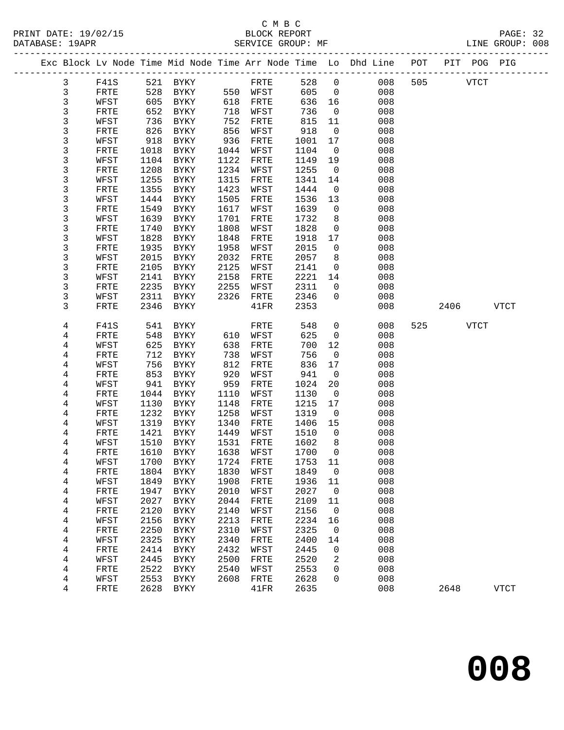PRINT DATE: 19/02/15 BLOCK REPORT<br>DATABASE: 19APR BERVICE GROUP: MF

## C M B C<br>BLOCK REPORT

PAGE: 32<br>LINE GROUP: 008

|                              |              |              |                            |              |              |              |                | Exc Block Lv Node Time Mid Node Time Arr Node Time Lo Dhd Line POT |     | PIT POG PIG |             |             |  |
|------------------------------|--------------|--------------|----------------------------|--------------|--------------|--------------|----------------|--------------------------------------------------------------------|-----|-------------|-------------|-------------|--|
| 3                            | F41S         | 521          | BYKY                       |              | FRTE         | 528          | $\mathbf 0$    | 008                                                                | 505 |             | <b>VTCT</b> |             |  |
| 3                            | FRTE         | 528          | BYKY                       |              | 550 WFST     | 605          | $\mathbf{0}$   | 008                                                                |     |             |             |             |  |
| $\mathfrak{Z}$               | WFST         | 605          | BYKY                       | 618          | FRTE         | 636          | 16             | 008                                                                |     |             |             |             |  |
| 3                            | FRTE         | 652          | BYKY                       | 718          | WFST         | 736          | $\overline{0}$ | 008                                                                |     |             |             |             |  |
| 3                            | WFST         | 736          | BYKY                       | 752          | FRTE         | 815          | 11             | 008                                                                |     |             |             |             |  |
| 3                            | FRTE         | 826          | BYKY                       | 856          | WFST         | 918          | $\mathsf{O}$   | 008                                                                |     |             |             |             |  |
| 3                            | WFST         | 918          | BYKY                       | 936          | FRTE         | 1001         | 17             | 008                                                                |     |             |             |             |  |
| 3                            | FRTE         | 1018         | BYKY                       | 1044         | WFST         | 1104         | $\overline{0}$ | 008                                                                |     |             |             |             |  |
| 3                            | WFST         | 1104         | BYKY                       | 1122         | FRTE         | 1149         | 19             | 008                                                                |     |             |             |             |  |
| 3                            | FRTE         | 1208         | BYKY                       | 1234         | WFST         | 1255         | $\mathbf 0$    | 008                                                                |     |             |             |             |  |
| 3                            | WFST         | 1255         | BYKY                       | 1315         | FRTE         | 1341         | 14             | 008                                                                |     |             |             |             |  |
| 3                            | FRTE         | 1355         | BYKY                       | 1423         | WFST         | 1444         | $\overline{0}$ | 008                                                                |     |             |             |             |  |
| 3                            | WFST         | 1444         | BYKY                       | 1505         | FRTE         | 1536         | 13             | 008                                                                |     |             |             |             |  |
| 3                            | FRTE         | 1549         | BYKY                       | 1617         | WFST         | 1639         | $\mathsf{O}$   | 008                                                                |     |             |             |             |  |
| 3                            | WFST         | 1639         | BYKY                       | 1701         | FRTE         | 1732         | 8              | 008                                                                |     |             |             |             |  |
| 3                            | FRTE         | 1740         | BYKY                       | 1808         | WFST         | 1828         | $\mathsf{O}$   | 008                                                                |     |             |             |             |  |
| 3                            | WFST         | 1828         | BYKY                       | 1848         | FRTE         | 1918         | 17             | 008                                                                |     |             |             |             |  |
| 3                            | FRTE         | 1935         | BYKY                       | 1958         | WFST         | 2015         | $\mathsf{O}$   | 008                                                                |     |             |             |             |  |
| 3                            | WFST         | 2015         | BYKY                       | 2032         | FRTE         | 2057         | 8              | 008                                                                |     |             |             |             |  |
| 3                            | FRTE         | 2105         | BYKY                       | 2125         | WFST         | 2141         | $\mathsf{O}$   | 008                                                                |     |             |             |             |  |
| 3                            | WFST         | 2141         | BYKY                       | 2158         | FRTE         | 2221         | 14             | 008                                                                |     |             |             |             |  |
| 3                            | FRTE         | 2235         | BYKY                       | 2255         | WFST         | 2311         | $\mathbf 0$    | 008                                                                |     |             |             |             |  |
| 3                            | WFST         | 2311         | BYKY                       | 2326         | FRTE         | 2346         | $\Omega$       | 008                                                                |     |             |             |             |  |
| 3                            | FRTE         | 2346         | BYKY                       |              | 41FR         | 2353         |                | 008                                                                |     | 2406        |             | VTCT        |  |
|                              |              |              |                            |              |              |              |                |                                                                    |     |             |             |             |  |
| 4                            | F41S         | 541          | BYKY                       |              | FRTE         | 548          | $\mathsf{O}$   | 008                                                                | 525 |             | VTCT        |             |  |
| 4                            | FRTE         | 548          | BYKY                       | 610          | WFST         | 625          | $\mathbf 0$    | 008                                                                |     |             |             |             |  |
| 4                            | WFST         | 625          | BYKY                       | 638          | FRTE         | 700          | 12             | 008                                                                |     |             |             |             |  |
| 4                            | FRTE         | 712          | BYKY                       | 738          | WFST         | 756          | $\mathbf 0$    | 008                                                                |     |             |             |             |  |
| 4                            | WFST         | 756          | BYKY                       | 812          | FRTE         | 836          | 17             | 008                                                                |     |             |             |             |  |
| 4                            | FRTE         | 853          | BYKY                       | 920          | WFST         | 941          | $\mathbf 0$    | 008                                                                |     |             |             |             |  |
| 4                            | WFST         | 941          | BYKY                       | 959          | FRTE         | 1024         | 20             | 008                                                                |     |             |             |             |  |
| 4                            | FRTE         | 1044         | BYKY                       | 1110         | WFST         | 1130         | $\overline{0}$ | 008                                                                |     |             |             |             |  |
| 4                            | WFST         | 1130         | BYKY                       | 1148         | FRTE         | 1215         | 17             | 008                                                                |     |             |             |             |  |
| 4                            | FRTE         | 1232         | BYKY                       | 1258         | WFST         | 1319         | 0              | 008                                                                |     |             |             |             |  |
| 4                            | WFST         | 1319         | BYKY                       | 1340         | FRTE         | 1406         | 15             | 008                                                                |     |             |             |             |  |
| 4                            | FRTE         | 1421         | BYKY                       | 1449         | WFST         | 1510         | $\overline{0}$ | 008                                                                |     |             |             |             |  |
| 4                            | WFST         | 1510         | BYKY                       | 1531         | FRTE         | 1602         | 8              | 008                                                                |     |             |             |             |  |
| 4                            | FRTE         | 1610         | BYKY                       | 1638         | WFST         | 1700         | $\Omega$       | 008                                                                |     |             |             |             |  |
| 4                            | WFST         | 1700         | BYKY                       | 1724         | FRTE         | 1753         | 11             | 008                                                                |     |             |             |             |  |
| 4                            | FRTE         | 1804         | <b>BYKY</b>                | 1830         | WFST         | 1849         | 0              | 008                                                                |     |             |             |             |  |
| $\overline{\mathbf{4}}$      | WFST         | 1849         | ${\tt BYKY}$               | 1908         | FRTE         | 1936         | 11             | 008                                                                |     |             |             |             |  |
| 4                            | FRTE         | 1947         | <b>BYKY</b>                | 2010         | WFST         | 2027         | 0              | 008                                                                |     |             |             |             |  |
| 4                            | WFST         | 2027         | <b>BYKY</b>                | 2044         | FRTE         | 2109         | 11             | 008                                                                |     |             |             |             |  |
| 4                            | FRTE         | 2120         | <b>BYKY</b>                | 2140         | WFST         | 2156         | 0              | 008<br>008                                                         |     |             |             |             |  |
| 4                            | WFST         | 2156         | ${\tt BYKY}$               | 2213         | FRTE         | 2234         | 16             |                                                                    |     |             |             |             |  |
| 4                            | FRTE         | 2250<br>2325 | <b>BYKY</b>                | 2310         | WFST         | 2325<br>2400 | 0              | 008                                                                |     |             |             |             |  |
| 4<br>$\overline{\mathbf{4}}$ | WFST<br>FRTE | 2414         | <b>BYKY</b><br><b>BYKY</b> | 2340<br>2432 | FRTE<br>WFST | 2445         | 14<br>0        | 008<br>008                                                         |     |             |             |             |  |
| 4                            | WFST         | 2445         | ${\tt BYKY}$               | 2500         | FRTE         | 2520         | 2              | 008                                                                |     |             |             |             |  |
| 4                            | FRTE         | 2522         | BYKY                       | 2540         | WFST         | 2553         | 0              | 008                                                                |     |             |             |             |  |
| 4                            | WFST         | 2553         | ${\tt BYKY}$               | 2608         | FRTE         | 2628         | 0              | 008                                                                |     |             |             |             |  |
| 4                            | FRTE         | 2628         | BYKY                       |              | 41FR         | 2635         |                | 008                                                                |     | 2648        |             | <b>VTCT</b> |  |
|                              |              |              |                            |              |              |              |                |                                                                    |     |             |             |             |  |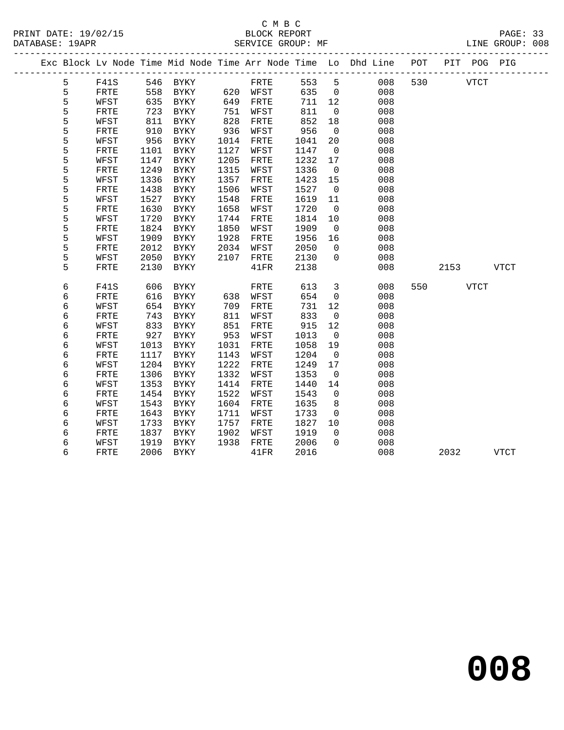## C M B C<br>BLOCK REPORT

PAGE: 33<br>LINE GROUP: 008

|  |   |              |      |             |      |                 |      |     |                | Exc Block Lv Node Time Mid Node Time Arr Node Time Lo Dhd Line POT |     |             | PIT POG PIG |             |
|--|---|--------------|------|-------------|------|-----------------|------|-----|----------------|--------------------------------------------------------------------|-----|-------------|-------------|-------------|
|  | 5 | F41S         |      | 546 BYKY    |      | FRTE            |      | 553 | $5^{\circ}$    | 008                                                                | 530 |             | <b>VTCT</b> |             |
|  | 5 | FRTE         | 558  | <b>BYKY</b> |      | 620 WFST        |      | 635 | $\overline{0}$ | 008                                                                |     |             |             |             |
|  | 5 | WFST         | 635  | BYKY        | 649  | FRTE            |      | 711 | 12             | 008                                                                |     |             |             |             |
|  | 5 | FRTE         | 723  | BYKY        | 751  | WFST            |      | 811 | $\overline{0}$ | 008                                                                |     |             |             |             |
|  | 5 | WFST         | 811  | BYKY        | 828  | FRTE            |      | 852 | 18             | 008                                                                |     |             |             |             |
|  | 5 | ${\tt FRTE}$ | 910  | BYKY        | 936  | WFST            |      | 956 | $\overline{0}$ | 008                                                                |     |             |             |             |
|  | 5 | WFST         | 956  | BYKY        | 1014 | FRTE            | 1041 |     | 20             | 008                                                                |     |             |             |             |
|  | 5 | FRTE         | 1101 | BYKY        | 1127 | WFST            | 1147 |     | $\overline{0}$ | 008                                                                |     |             |             |             |
|  | 5 | WFST         | 1147 | <b>BYKY</b> | 1205 | FRTE            | 1232 |     | 17             | 008                                                                |     |             |             |             |
|  | 5 | FRTE         | 1249 | BYKY        | 1315 | WFST            | 1336 |     | $\overline{0}$ | 008                                                                |     |             |             |             |
|  | 5 | WFST         | 1336 | BYKY        | 1357 | FRTE            | 1423 |     | 15             | 008                                                                |     |             |             |             |
|  | 5 | FRTE         | 1438 | BYKY        | 1506 | WFST            | 1527 |     | $\overline{0}$ | 008                                                                |     |             |             |             |
|  | 5 | WFST         | 1527 | BYKY        | 1548 | FRTE            | 1619 |     | 11             | 008                                                                |     |             |             |             |
|  | 5 | FRTE         | 1630 | BYKY        | 1658 | WFST            | 1720 |     | $\overline{0}$ | 008                                                                |     |             |             |             |
|  | 5 | WFST         | 1720 | BYKY        | 1744 | FRTE            | 1814 |     | 10             | 008                                                                |     |             |             |             |
|  | 5 | FRTE         | 1824 | <b>BYKY</b> | 1850 | WFST            | 1909 |     | $\overline{0}$ | 008                                                                |     |             |             |             |
|  | 5 | WFST         | 1909 | <b>BYKY</b> | 1928 | FRTE            | 1956 |     | 16             | 008                                                                |     |             |             |             |
|  | 5 | FRTE         | 2012 | BYKY        | 2034 | WFST            | 2050 |     | $\Omega$       | 008                                                                |     |             |             |             |
|  | 5 | WFST         | 2050 | BYKY        | 2107 | FRTE            | 2130 |     | $\overline{0}$ | 008                                                                |     |             |             |             |
|  | 5 | FRTE         | 2130 | BYKY        |      | 41FR            | 2138 |     |                | 008                                                                |     | 2153        |             | VTCT        |
|  | б | F41S         | 606  | BYKY        |      | FRTE            |      | 613 | $\mathbf{3}$   | 008                                                                | 550 | <b>VTCT</b> |             |             |
|  | 6 | FRTE         | 616  | BYKY        | 638  | WFST            |      | 654 | $\mathsf{O}$   | 008                                                                |     |             |             |             |
|  | б | WFST         | 654  | BYKY        | 709  | FRTE            |      | 731 | 12             | 008                                                                |     |             |             |             |
|  | 6 | FRTE         | 743  | BYKY        | 811  | WFST            |      | 833 | $\mathbf 0$    | 008                                                                |     |             |             |             |
|  | 6 | WFST         | 833  | BYKY        | 851  | FRTE            |      | 915 | 12             | 008                                                                |     |             |             |             |
|  | 6 | FRTE         | 927  | BYKY        | 953  | WFST            | 1013 |     | $\overline{0}$ | 008                                                                |     |             |             |             |
|  | б | WFST         | 1013 | BYKY        | 1031 | FRTE            | 1058 |     | 19             | 008                                                                |     |             |             |             |
|  | 6 | FRTE         | 1117 | BYKY        | 1143 | WFST            | 1204 |     | $\overline{0}$ | 008                                                                |     |             |             |             |
|  | 6 | WFST         | 1204 | BYKY        | 1222 | FRTE            | 1249 |     | 17             | 008                                                                |     |             |             |             |
|  | 6 | FRTE         | 1306 | <b>BYKY</b> | 1332 | WFST            | 1353 |     | $\mathbf 0$    | 008                                                                |     |             |             |             |
|  | 6 | WFST         | 1353 | <b>BYKY</b> | 1414 | FRTE            | 1440 |     | 14             | 008                                                                |     |             |             |             |
|  | 6 | FRTE         | 1454 | BYKY        | 1522 | WFST            | 1543 |     | $\overline{0}$ | 008                                                                |     |             |             |             |
|  | б | WFST         | 1543 | <b>BYKY</b> | 1604 | FRTE            | 1635 |     | 8              | 008                                                                |     |             |             |             |
|  | 6 | FRTE         | 1643 | BYKY        | 1711 | WFST            | 1733 |     | $\mathsf{O}$   | 008                                                                |     |             |             |             |
|  | 6 | WFST         | 1733 | BYKY        | 1757 | FRTE            | 1827 |     | 10             | 008                                                                |     |             |             |             |
|  | б | FRTE         | 1837 | BYKY        | 1902 | WFST            | 1919 |     | $\Omega$       | 008                                                                |     |             |             |             |
|  | 6 | WFST         | 1919 | BYKY        | 1938 | FRTE            | 2006 |     | $\mathbf 0$    | 008                                                                |     |             |             |             |
|  | 6 | FRTE         |      | 2006 BYKY   |      | $41\mathrm{FR}$ | 2016 |     |                | 008                                                                |     | 2032        |             | <b>VTCT</b> |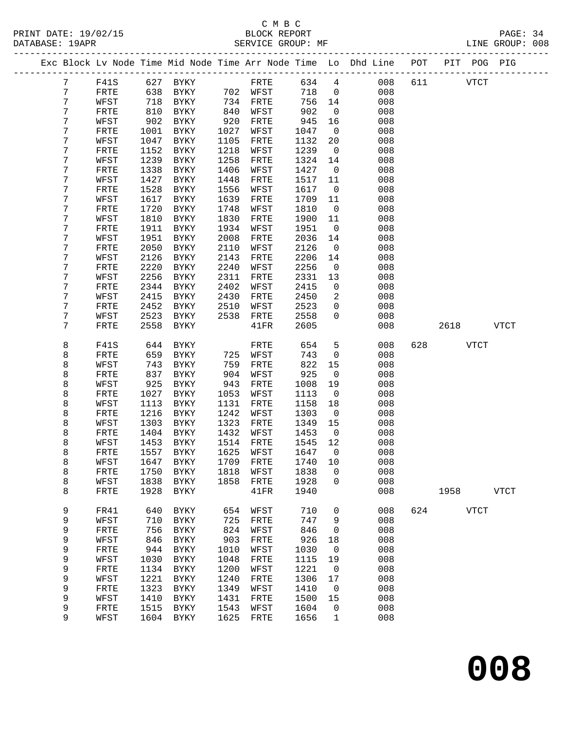# C M B C<br>BLOCK REPORT

PAGE: 34<br>LINE GROUP: 008

|  |                |              |              |              |      |              |              |                          | Exc Block Lv Node Time Mid Node Time Arr Node Time Lo Dhd Line POT |     |      | PIT POG PIG |             |
|--|----------------|--------------|--------------|--------------|------|--------------|--------------|--------------------------|--------------------------------------------------------------------|-----|------|-------------|-------------|
|  | $7\phantom{.}$ | F41S         |              | 627 BYKY     |      | FRTE         | 634          | $\overline{4}$           | 008                                                                | 611 |      | <b>VTCT</b> |             |
|  | 7              | FRTE         | 638          | BYKY         |      | 702 WFST     | 718          | $\overline{0}$           | 008                                                                |     |      |             |             |
|  | 7              | WFST         | 718          | BYKY         | 734  | FRTE         | 756          | 14                       | 008                                                                |     |      |             |             |
|  | 7              | FRTE         | 810          | BYKY         | 840  | WFST         | 902          | $\mathsf{O}$             | 008                                                                |     |      |             |             |
|  | 7              | WFST         | 902          | BYKY         | 920  | FRTE         | 945          | 16                       | 008                                                                |     |      |             |             |
|  | 7              | FRTE         | 1001         | BYKY         | 1027 | WFST         | 1047         | $\overline{0}$           | 008                                                                |     |      |             |             |
|  | 7              | WFST         | 1047         | BYKY         | 1105 | FRTE         | 1132         | 20                       | 008                                                                |     |      |             |             |
|  | 7              | FRTE         | 1152         | BYKY         | 1218 | WFST         | 1239         | $\overline{0}$           | 008                                                                |     |      |             |             |
|  | 7              | WFST         | 1239         | BYKY         | 1258 | FRTE         | 1324         | 14                       | 008                                                                |     |      |             |             |
|  | 7              | FRTE         | 1338         | BYKY         | 1406 | WFST         | 1427         | $\overline{\phantom{0}}$ | 008                                                                |     |      |             |             |
|  | 7              | WFST         | 1427         | BYKY         | 1448 | FRTE         | 1517         | 11                       | 008                                                                |     |      |             |             |
|  | 7              | FRTE         | 1528         | BYKY         | 1556 | WFST         | 1617         | $\overline{0}$           | 008                                                                |     |      |             |             |
|  | 7              | WFST         | 1617         | BYKY         | 1639 | FRTE         | 1709         | 11                       | 008                                                                |     |      |             |             |
|  | 7              | FRTE         | 1720         | BYKY         | 1748 | WFST         | 1810         | $\overline{0}$           | 008                                                                |     |      |             |             |
|  | 7              | WFST         | 1810         | BYKY         | 1830 | FRTE         | 1900         | 11                       | 008                                                                |     |      |             |             |
|  | 7              | FRTE         | 1911         | BYKY         | 1934 | WFST         | 1951         | $\overline{0}$           | 008                                                                |     |      |             |             |
|  | 7              | WFST         | 1951         | BYKY         | 2008 | FRTE         | 2036         | 14                       | 008                                                                |     |      |             |             |
|  | 7              | FRTE         | 2050         | BYKY         | 2110 | WFST         | 2126         | $\overline{0}$           | 008                                                                |     |      |             |             |
|  | 7              | WFST         | 2126         | BYKY         | 2143 | FRTE         | 2206         | 14                       | 008                                                                |     |      |             |             |
|  | 7              | FRTE         | 2220         | BYKY         | 2240 | WFST         | 2256         | $\mathsf{O}$             | 008                                                                |     |      |             |             |
|  | 7              | WFST         | 2256         | BYKY         | 2311 | FRTE         | 2331         | 13                       | 008                                                                |     |      |             |             |
|  | 7              | FRTE         | 2344         | BYKY         | 2402 | WFST         | 2415         | $\mathbf 0$              | 008                                                                |     |      |             |             |
|  | 7              | WFST         | 2415         | BYKY         | 2430 | FRTE         | 2450         | $\overline{2}$           | 008                                                                |     |      |             |             |
|  | 7              | FRTE         | 2452         | BYKY         | 2510 | WFST         | 2523         | $\mathbf{0}$<br>$\Omega$ | 008                                                                |     |      |             |             |
|  | 7<br>7         | WFST<br>FRTE | 2523<br>2558 | BYKY<br>BYKY | 2538 | FRTE<br>41FR | 2558<br>2605 |                          | 008<br>008                                                         |     | 2618 |             | VTCT        |
|  |                |              |              |              |      |              |              |                          |                                                                    |     |      |             |             |
|  | 8              | F41S         | 644          | BYKY         |      | FRTE         | 654          | 5                        | 008                                                                | 628 |      | VTCT        |             |
|  | 8              | FRTE         | 659          | BYKY         | 725  | WFST         | 743          | $\mathsf{O}$             | 008                                                                |     |      |             |             |
|  | 8              | WFST         | 743          | BYKY         | 759  | FRTE         | 822          | 15                       | 008                                                                |     |      |             |             |
|  | 8              | FRTE         | 837          | BYKY         | 904  | WFST         | 925          | $\overline{0}$           | 008                                                                |     |      |             |             |
|  | 8              | WFST         | 925          | BYKY         | 943  | FRTE         | 1008         | 19                       | 008                                                                |     |      |             |             |
|  | 8              | FRTE         | 1027         | BYKY         | 1053 | WFST         | 1113         | $\overline{0}$           | 008                                                                |     |      |             |             |
|  | 8              | WFST         | 1113         | BYKY         | 1131 | FRTE         | 1158         | 18                       | 008                                                                |     |      |             |             |
|  | 8              | FRTE         | 1216         | BYKY         | 1242 | WFST         | 1303         | $\overline{\phantom{0}}$ | 008                                                                |     |      |             |             |
|  | 8              | WFST         | 1303         | BYKY         | 1323 | FRTE         | 1349         | 15                       | 008                                                                |     |      |             |             |
|  | 8              | FRTE         | 1404         | BYKY         | 1432 | WFST         | 1453         | $\overline{\phantom{0}}$ | 008                                                                |     |      |             |             |
|  | 8              | WFST         | 1453         | BYKY         | 1514 | FRTE         | 1545         | 12                       | 008                                                                |     |      |             |             |
|  | 8              | FRTE         | 1557         | BYKY         | 1625 | WFST         | 1647         | $\overline{0}$           | 008                                                                |     |      |             |             |
|  | 8              | WFST         |              | 1647 BYKY    | 1818 | 1709 FRTE    | 1740 10      |                          | 008                                                                |     |      |             |             |
|  | 8<br>8         | FRTE<br>WFST | 1750<br>1838 | BYKY<br>BYKY | 1858 | WFST<br>FRTE | 1838<br>1928 | 0<br>0                   | 008<br>008                                                         |     |      |             |             |
|  | 8              | FRTE         | 1928         | BYKY         |      | 41FR         | 1940         |                          | 008                                                                |     | 1958 |             | <b>VTCT</b> |
|  |                |              |              |              |      |              |              |                          |                                                                    |     |      |             |             |
|  | 9              | FR41         | 640          | <b>BYKY</b>  | 654  | WFST         | 710          | $\mathbf 0$              | 008                                                                | 624 |      | <b>VTCT</b> |             |
|  | 9              | WFST         | 710          | BYKY         | 725  | FRTE         | 747          | 9                        | 008                                                                |     |      |             |             |
|  | 9              | FRTE         | 756          | BYKY         | 824  | WFST         | 846          | 0                        | 008                                                                |     |      |             |             |
|  | 9              | WFST         | 846          | BYKY         | 903  | FRTE         | 926          | 18                       | 008                                                                |     |      |             |             |
|  | 9              | FRTE         | 944          | BYKY         | 1010 | WFST         | 1030         | 0                        | 008                                                                |     |      |             |             |
|  | 9              | WFST         | 1030         | BYKY         | 1048 | FRTE         | 1115         | 19                       | 008                                                                |     |      |             |             |
|  | 9              | FRTE         | 1134         | <b>BYKY</b>  | 1200 | WFST         | 1221         | $\mathbf 0$              | 008                                                                |     |      |             |             |
|  | 9              | WFST         | 1221         | BYKY         | 1240 | FRTE         | 1306         | 17                       | 008                                                                |     |      |             |             |
|  | 9              | FRTE         | 1323         | <b>BYKY</b>  | 1349 | WFST         | 1410         | 0                        | 008                                                                |     |      |             |             |
|  | 9              | WFST         | 1410         | BYKY         | 1431 | FRTE         | 1500         | 15                       | 008                                                                |     |      |             |             |
|  | 9              | FRTE         | 1515         | BYKY         | 1543 | WFST         | 1604         | 0                        | 008                                                                |     |      |             |             |
|  | 9              | WFST         | 1604         | BYKY         | 1625 | FRTE         | 1656         | $\mathbf{1}$             | 008                                                                |     |      |             |             |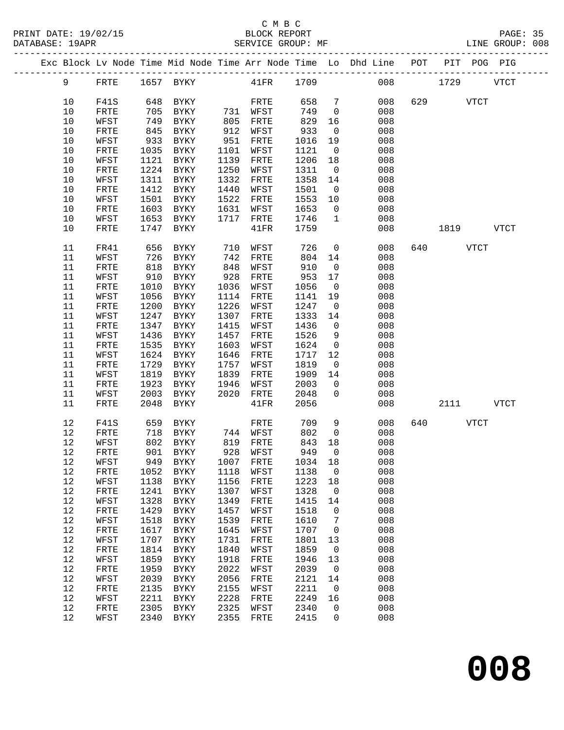|      |              |      |                    |      |                      |         |                         | Exc Block Lv Node Time Mid Node Time Arr Node Time Lo Dhd Line POT PIT POG PIG |          |             |
|------|--------------|------|--------------------|------|----------------------|---------|-------------------------|--------------------------------------------------------------------------------|----------|-------------|
| 9    | FRTE         |      |                    |      |                      |         |                         |                                                                                | 008 1729 | <b>VTCT</b> |
| 10   | F41S         |      | 648 BYKY           |      | FRTE                 | 658     | $\overline{7}$          | 008                                                                            | 629 VTCT |             |
| 10   | FRTE         | 705  | BYKY               |      | 731 WFST             | 749     | $\overline{0}$          | 008                                                                            |          |             |
| 10   | WFST         | 749  | BYKY               | 805  | FRTE                 | 829     | 16                      | 008                                                                            |          |             |
| $10$ |              | 845  |                    |      | 912 WFST             | 933     | $\overline{0}$          | 008                                                                            |          |             |
|      | FRTE         |      | BYKY               |      |                      |         |                         |                                                                                |          |             |
| 10   | WFST         | 933  | BYKY               | 951  | FRTE                 | 1016    | 19                      | 008                                                                            |          |             |
| 10   | FRTE         | 1035 | BYKY               | 1101 | WFST                 | 1121    | $\overline{\mathbf{0}}$ | 008                                                                            |          |             |
| 10   | WFST         | 1121 | BYKY               | 1139 | FRTE                 | 1206    | 18                      | 008                                                                            |          |             |
| $10$ | ${\tt FRTE}$ |      | 1224 BYKY          | 1250 | WFST                 | 1311    | $\overline{0}$          | 008                                                                            |          |             |
| $10$ | WFST         | 1311 | BYKY               | 1332 | FRTE                 | 1358    | 14                      | 008                                                                            |          |             |
| 10   | FRTE         | 1412 | BYKY               | 1440 | WFST                 | 1501    | $\overline{0}$          | 008                                                                            |          |             |
| 10   | WFST         | 1501 | BYKY               | 1522 | FRTE                 | 1553    | 10                      | 008                                                                            |          |             |
| $10$ | ${\tt FRTE}$ | 1603 | BYKY               | 1631 | WFST                 | 1653    | $\overline{0}$          | 008                                                                            |          |             |
| 10   | WFST         | 1653 | BYKY               | 1717 | FRTE                 | 1746    | $\overline{1}$          | 008                                                                            |          |             |
| 10   | FRTE         | 1747 | BYKY               |      | 41FR                 | 1759    |                         | 008                                                                            | 1819     | VTCT        |
|      |              |      |                    |      |                      |         |                         |                                                                                |          |             |
| 11   | FR41         | 656  | BYKY               | 710  | WFST                 | 726     | $\overline{0}$          | 008                                                                            | 640 VTCT |             |
| 11   | WFST         | 726  | BYKY               | 742  | FRTE                 | 804     | 14                      | 008                                                                            |          |             |
| 11   | FRTE         | 818  | BYKY               | 848  | WFST                 | 910     | $\overline{0}$          | 008                                                                            |          |             |
| 11   |              | 910  | BYKY               | 928  |                      | 953     | 17                      | 008                                                                            |          |             |
|      | WFST         |      |                    |      | FRTE                 |         |                         |                                                                                |          |             |
| 11   | FRTE         | 1010 | BYKY               | 1036 | WFST                 | 1056    | $\overline{0}$          | 008                                                                            |          |             |
| 11   | WFST         | 1056 | BYKY               | 1114 | FRTE                 | 1141    | 19                      | 008                                                                            |          |             |
| 11   | FRTE         | 1200 | BYKY               | 1226 | WFST                 | 1247    | $\overline{0}$          | 008                                                                            |          |             |
| 11   | WFST         | 1247 | BYKY               | 1307 | FRTE                 | 1333    | 14                      | 008                                                                            |          |             |
| 11   | FRTE         | 1347 | BYKY               | 1415 | WFST                 | 1436    | $\overline{0}$          | 008                                                                            |          |             |
| 11   | WFST         | 1436 | BYKY               | 1457 | FRTE                 | 1526    | 9                       | 008                                                                            |          |             |
| 11   | FRTE         | 1535 | BYKY               | 1603 | WFST                 | 1624    | $\overline{0}$          | 008                                                                            |          |             |
| 11   | WFST         | 1624 | BYKY               | 1646 | FRTE                 | 1717    | 12                      | 008                                                                            |          |             |
| 11   | ${\tt FRTE}$ | 1729 | BYKY               | 1757 | WFST                 | 1819    | $\overline{0}$          | 008                                                                            |          |             |
| 11   | WFST         | 1819 | BYKY               | 1839 | FRTE                 | 1909    | 14                      | 008                                                                            |          |             |
| 11   | FRTE         | 1923 | BYKY               | 1946 | WFST                 | 2003    | $\overline{0}$          | 008                                                                            |          |             |
| 11   | WFST         | 2003 | BYKY               | 2020 | FRTE                 | 2048    | $\overline{0}$          | 008                                                                            |          |             |
| 11   | FRTE         | 2048 | BYKY               |      | 41FR                 | 2056    |                         | 008                                                                            | 2111     | <b>VTCT</b> |
|      |              |      |                    |      |                      |         |                         |                                                                                |          |             |
| 12   | F41S         | 659  | BYKY               |      | FRTE                 | 709     | 9                       | 008                                                                            | 640 VTCT |             |
| 12   | FRTE         | 718  | BYKY               |      | 744 WFST             | 802     | $\overline{\mathbf{0}}$ | 008                                                                            |          |             |
| 12   | WFST         | 802  | BYKY               |      |                      | 843     | 18                      | 008                                                                            |          |             |
| 12   | FRTE         | 901  | BYKY               |      | 819 FRTE<br>928 WFST | 949     | $\overline{0}$          | 008                                                                            |          |             |
|      |              |      |                    |      |                      |         |                         |                                                                                |          |             |
|      | 12 WFST      |      | 949 BYKY 1007 FRTE |      |                      | 1034 18 |                         | 008                                                                            |          |             |
| 12   | FRTE         | 1052 | BYKY               | 1118 | WFST                 | 1138    | $\overline{0}$          | 008                                                                            |          |             |
| 12   | WFST         | 1138 | BYKY               | 1156 | FRTE                 | 1223    | 18                      | 008                                                                            |          |             |
| 12   | FRTE         | 1241 | BYKY               | 1307 | WFST                 | 1328    | $\overline{0}$          | 008                                                                            |          |             |
| 12   | WFST         | 1328 | BYKY               | 1349 | FRTE                 | 1415    | 14                      | 008                                                                            |          |             |
| $12$ | FRTE         | 1429 | BYKY               | 1457 | WFST                 | 1518    | $\mathsf{O}$            | 008                                                                            |          |             |
| 12   | WFST         | 1518 | BYKY               | 1539 | ${\tt FRTE}$         | 1610    | 7                       | 008                                                                            |          |             |
| 12   | FRTE         | 1617 | BYKY               | 1645 | WFST                 | 1707    | $\overline{\mathbf{0}}$ | 008                                                                            |          |             |
| 12   | WFST         | 1707 | BYKY               | 1731 | FRTE                 | 1801    | 13                      | 008                                                                            |          |             |
| 12   | FRTE         | 1814 | BYKY               | 1840 | WFST                 | 1859    | $\overline{0}$          | 008                                                                            |          |             |
| 12   | WFST         | 1859 | BYKY               | 1918 | ${\tt FRTE}$         | 1946    | 13                      | 008                                                                            |          |             |
| 12   | FRTE         | 1959 | <b>BYKY</b>        | 2022 | WFST                 | 2039    | $\overline{0}$          | 008                                                                            |          |             |
| 12   | WFST         | 2039 | BYKY               | 2056 | FRTE                 | 2121    | 14                      | 008                                                                            |          |             |
| 12   | FRTE         | 2135 | BYKY               | 2155 | WFST                 | 2211    | $\mathsf{O}$            | 008                                                                            |          |             |
| 12   | WFST         | 2211 | BYKY               | 2228 | ${\tt FRTE}$         | 2249    | 16                      | 008                                                                            |          |             |
| 12   | FRTE         | 2305 | BYKY               | 2325 | WFST                 | 2340    | $\mathsf{O}$            | 008                                                                            |          |             |
| 12   |              | 2340 |                    | 2355 |                      | 2415    | $\mathbf 0$             | 008                                                                            |          |             |
|      | WFST         |      | BYKY               |      | FRTE                 |         |                         |                                                                                |          |             |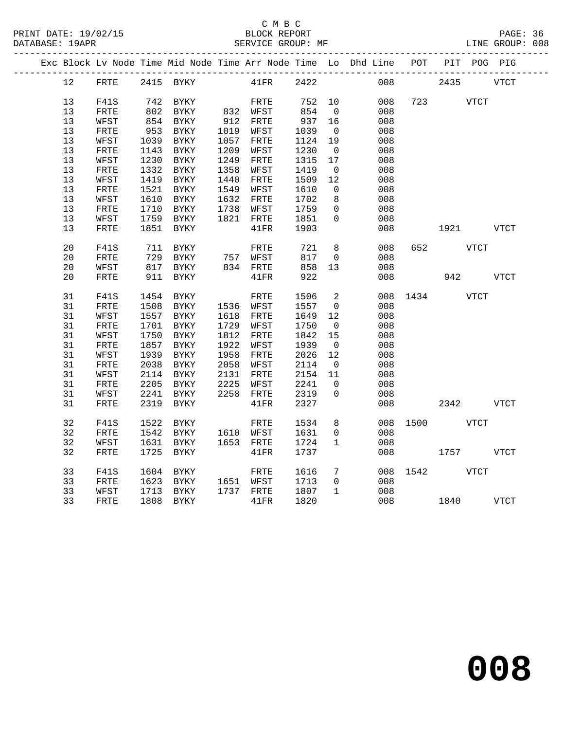## C M B C<br>BLOCK REPORT

PAGE: 36<br>LINE GROUP: 008

|  |          |              |              | Exc Block Lv Node Time Mid Node Time Arr Node Time Lo Dhd Line POT PIT POG PIG |              |                 |              |                               |            |          |      |              |             |
|--|----------|--------------|--------------|--------------------------------------------------------------------------------|--------------|-----------------|--------------|-------------------------------|------------|----------|------|--------------|-------------|
|  | 12       | FRTE         |              | 2415 BYKY                                                                      |              | $41\mathrm{FR}$ | 2422         |                               | 008        |          | 2435 |              | <b>VTCT</b> |
|  | 13       | F41S         |              | 742 BYKY                                                                       |              | FRTE            | 752          | 10                            | 008        | 723      |      | <b>VTCT</b>  |             |
|  | 13       | FRTE         |              | 802 BYKY                                                                       |              | 832 WFST        | 854          | $\overline{0}$                | 008        |          |      |              |             |
|  | 13       | WFST         |              | 854 BYKY                                                                       |              | 912 FRTE        | 937          | 16                            | 008        |          |      |              |             |
|  | 13       | FRTE         | 953          | BYKY                                                                           |              | 1019 WFST       | 1039         | $\overline{0}$                | 008        |          |      |              |             |
|  | 13       | WFST         | 1039         | BYKY                                                                           |              | 1057 FRTE       | 1124         | 19                            | 008        |          |      |              |             |
|  | 13       | ${\tt FRTE}$ | 1143         | BYKY                                                                           | 1209         | WFST            | 1230         | $\overline{0}$                | 008        |          |      |              |             |
|  | 13       | WFST         | 1230         | BYKY                                                                           | 1249         | FRTE            | 1315         | 17                            | 008        |          |      |              |             |
|  | 13       | FRTE         | 1332         | <b>BYKY</b>                                                                    | 1358         | WFST            | 1419         | $\overline{0}$                | 008        |          |      |              |             |
|  | 13       | WFST         | 1419         | <b>BYKY</b>                                                                    | 1440         | FRTE            | 1509         | 12                            | 008        |          |      |              |             |
|  | 13       | FRTE         | 1521         | BYKY                                                                           |              | 1549 WFST       | 1610         | $\overline{0}$                | 008        |          |      |              |             |
|  | 13       | WFST         | 1610         | BYKY                                                                           |              | 1632 FRTE       | 1702         | 8                             | 008        |          |      |              |             |
|  | 13       | FRTE         | 1710         | BYKY                                                                           |              | 1738 WFST       | 1759         | $\overline{0}$                | 008        |          |      |              |             |
|  | 13       | WFST         | 1759         | BYKY                                                                           |              | 1821 FRTE       | 1851         | $\Omega$                      | 008        |          |      |              |             |
|  | 13       | FRTE         | 1851         | BYKY                                                                           |              | 41FR            | 1903         |                               | 008        |          | 1921 |              | VTCT        |
|  | 20       | <b>F41S</b>  | 711          | BYKY                                                                           |              | FRTE            | 721          | 8                             | 008        | 652      |      | VTCT         |             |
|  | 20       | FRTE         | 729          | BYKY                                                                           |              | 757 WFST        | 817          | $\mathbf 0$                   | 008        |          |      |              |             |
|  | 20       | WFST         | 817          | BYKY                                                                           |              | 834 FRTE        | 858          | 13                            | 008        |          |      |              |             |
|  | 20       | FRTE         | 911          | BYKY                                                                           |              | 41FR            | 922          |                               | 008        |          | 942  |              | <b>VTCT</b> |
|  | 31       | F41S         | 1454         | BYKY                                                                           |              | FRTE            | 1506         | $\overline{2}$                |            | 008 1434 |      | VTCT         |             |
|  | 31       | FRTE         | 1508         | BYKY                                                                           |              | 1536 WFST       | 1557         | $\overline{0}$                | 008        |          |      |              |             |
|  | 31       | WFST         | 1557         | BYKY                                                                           |              | 1618 FRTE       | 1649         | 12                            | 008        |          |      |              |             |
|  | 31       | FRTE         | 1701         | BYKY                                                                           |              | 1729 WFST       | 1750         | $\overline{0}$                | 008        |          |      |              |             |
|  | 31       | WFST         | 1750         | BYKY                                                                           | 1812         | FRTE            | 1842         | 15                            | 008        |          |      |              |             |
|  | 31       | ${\tt FRTE}$ | 1857         | BYKY                                                                           | 1922         | WFST            | 1939         | $\overline{0}$                | 008        |          |      |              |             |
|  | 31       | WFST         | 1939         | <b>BYKY</b>                                                                    | 1958         | FRTE            | 2026         | 12                            | 008        |          |      |              |             |
|  | 31       | ${\tt FRTE}$ | 2038         | <b>BYKY</b>                                                                    | 2058         | WFST            | 2114         | $\overline{0}$                | 008        |          |      |              |             |
|  | 31       | WFST         | 2114         | BYKY                                                                           |              | 2131 FRTE       | 2154         | 11                            | 008        |          |      |              |             |
|  | 31<br>31 | FRTE         | 2205         | BYKY                                                                           | 2225<br>2258 | WFST            | 2241         | $\overline{0}$<br>$\mathbf 0$ | 008        |          |      |              |             |
|  | 31       | WFST<br>FRTE | 2241<br>2319 | BYKY<br>BYKY                                                                   |              | FRTE<br>41FR    | 2319<br>2327 |                               | 008<br>008 |          | 2342 |              | <b>VTCT</b> |
|  |          |              |              |                                                                                |              |                 |              |                               |            |          |      |              |             |
|  | 32       | F41S         | 1522         | BYKY                                                                           |              | FRTE            | 1534         | 8                             | 008        | 1500     |      | <b>VTCT</b>  |             |
|  | 32       | ${\tt FRTE}$ |              | 1542 BYKY                                                                      |              | 1610 WFST       | 1631         | $\mathbf 0$                   | 008        |          |      |              |             |
|  | 32       | WFST         |              | 1631 BYKY                                                                      |              | 1653 FRTE       | 1724         | $\mathbf{1}$                  | 008        |          |      |              |             |
|  | 32       | FRTE         | 1725         | BYKY                                                                           |              | 41FR            | 1737         |                               | 008        |          | 1757 |              | VTCT        |
|  | 33       | F41S         | 1604         | BYKY                                                                           |              | FRTE            | 1616         | $7\phantom{.0}$               | 008        | 1542     |      | ${\tt VTCT}$ |             |
|  | 33       | ${\tt FRTE}$ |              | 1623 BYKY                                                                      |              | 1651 WFST       | 1713         | $\overline{0}$                | 008        |          |      |              |             |
|  | 33       | WFST         | 1713         | BYKY                                                                           |              | 1737 FRTE       | 1807         | $\mathbf{1}$                  | 008        |          |      |              |             |
|  | 33       | FRTE         |              | 1808 BYKY                                                                      |              | 41FR            | 1820         |                               | 008        |          | 1840 |              | VTCT        |
|  |          |              |              |                                                                                |              |                 |              |                               |            |          |      |              |             |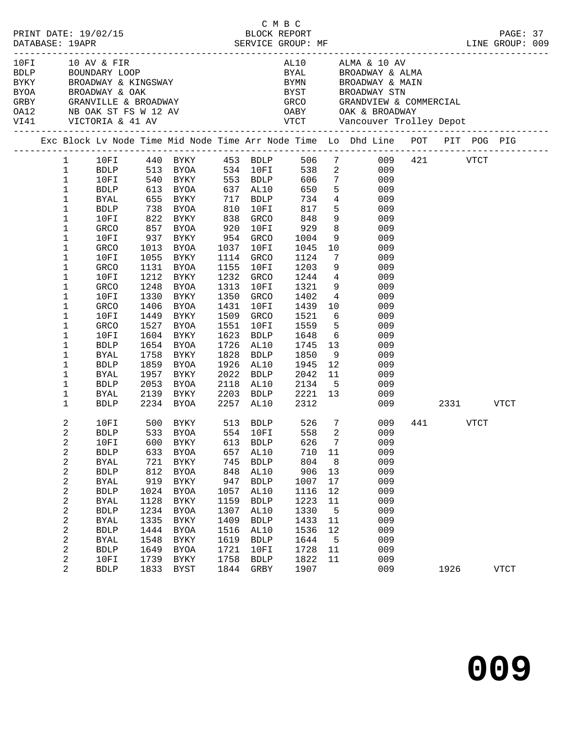|  |              |             |      | 10FI 10 AV & FIR<br>BDLP BOUNDARY LOOP<br>BYKY BROADWAY & KINGSWAY<br>BYOA BROADWAY & OAK<br>GRBY GRANVILLE & BROADWAY<br>OA12 NB OAK ST FS W 12 AV<br>VI41 VICTORIA & 41 AV |                |                        |                                                       |                | AL10 ALMA & 10 AV<br>BYAL BROADWAY & ALMA<br>BYMN BROADWAY & MAIN<br>BYOA BROADWAY & OAK BYST BROADWAY STN<br>GRBY GRANVILLE & BROADWAY GRCO GRANDVIEW & COMMERCIAL<br>OA12 NB OAK ST FS W 12 AV OABY OAK & BROADWAY<br>VI41 VICTORIA & 41 AV VTCT Vancouver Trolley Depot<br>----------------------------- |               |              |  |
|--|--------------|-------------|------|------------------------------------------------------------------------------------------------------------------------------------------------------------------------------|----------------|------------------------|-------------------------------------------------------|----------------|-------------------------------------------------------------------------------------------------------------------------------------------------------------------------------------------------------------------------------------------------------------------------------------------------------------|---------------|--------------|--|
|  |              |             |      |                                                                                                                                                                              |                |                        |                                                       |                | Exc Block Lv Node Time Mid Node Time Arr Node Time Lo Dhd Line POT PIT POG PIG                                                                                                                                                                                                                              |               |              |  |
|  |              |             |      |                                                                                                                                                                              |                |                        |                                                       |                | 1 10FI 440 BYKY 453 BDLP 506 7 009 421 VTCT                                                                                                                                                                                                                                                                 |               |              |  |
|  | $\mathbf 1$  |             |      |                                                                                                                                                                              |                |                        |                                                       |                | BDLP 513 BYOA 534 10FI 538 2 009                                                                                                                                                                                                                                                                            |               |              |  |
|  | $\mathbf{1}$ | 10FI        |      |                                                                                                                                                                              |                |                        |                                                       |                | 009                                                                                                                                                                                                                                                                                                         |               |              |  |
|  | $\mathbf{1}$ | BDLP        |      |                                                                                                                                                                              |                |                        |                                                       |                | 009                                                                                                                                                                                                                                                                                                         |               |              |  |
|  | $\mathbf{1}$ | BYAL        |      | 655 BYKY 717 BDLP                                                                                                                                                            |                |                        | 734                                                   |                | $4\overline{ }$<br>009                                                                                                                                                                                                                                                                                      |               |              |  |
|  | 1            | BDLP        |      | 738 BYOA 810                                                                                                                                                                 |                | 10FI                   | 817                                                   |                | $5^{\circ}$<br>009                                                                                                                                                                                                                                                                                          |               |              |  |
|  | 1            | 10FI        |      | 822 BYKY<br>857 BYOA                                                                                                                                                         |                | GRCO                   | 848                                                   |                | $\frac{1}{9}$<br>009                                                                                                                                                                                                                                                                                        |               |              |  |
|  | 1            | GRCO        |      |                                                                                                                                                                              | $0.25$<br>0.38 | 920 10FI               | $848$<br>929<br>1004                                  | 8 <sup>8</sup> | 009                                                                                                                                                                                                                                                                                                         |               |              |  |
|  | 1            | 10FI        |      | 937 BYKY 954 GRCO                                                                                                                                                            |                |                        | 1004                                                  |                | 9<br>009                                                                                                                                                                                                                                                                                                    |               |              |  |
|  | 1            | GRCO        |      | 1013 BYOA                                                                                                                                                                    | 1037           | 10FI                   | 1045                                                  |                | 10<br>009                                                                                                                                                                                                                                                                                                   |               |              |  |
|  | 1            | 10FI        |      | 1055 BYKY                                                                                                                                                                    |                | 1114 GRCO              | 1124                                                  |                | $7\overline{ }$<br>009                                                                                                                                                                                                                                                                                      |               |              |  |
|  | 1            | GRCO        |      | 1131 BYOA                                                                                                                                                                    | 1155           | 10FI                   | 1203                                                  | 9              | 009                                                                                                                                                                                                                                                                                                         |               |              |  |
|  | 1            | 10FI        |      | 1212 BYKY                                                                                                                                                                    |                | 1232 GRCO              | 1244                                                  |                | $4\overline{ }$<br>009                                                                                                                                                                                                                                                                                      |               |              |  |
|  | 1            | GRCO        |      | 1248 BYOA                                                                                                                                                                    | 1313           | 10FI                   | 1321                                                  |                | 9<br>009                                                                                                                                                                                                                                                                                                    |               |              |  |
|  | 1            | 10FI        |      | 1330 BYKY                                                                                                                                                                    | 1350           | GRCO                   | 1402                                                  |                | $4\overline{ }$<br>009                                                                                                                                                                                                                                                                                      |               |              |  |
|  | 1            | GRCO        |      | 1406 BYOA                                                                                                                                                                    | 1431           | 10FI                   | 1439                                                  | 10             | 009                                                                                                                                                                                                                                                                                                         |               |              |  |
|  | $\mathbf 1$  | 10FI        |      | 1449 BYKY                                                                                                                                                                    | 1509           | GRCO                   | 1521                                                  |                | $6\overline{6}$<br>009                                                                                                                                                                                                                                                                                      |               |              |  |
|  | 1            | GRCO        |      | 1527 BYOA                                                                                                                                                                    | 1551           | 10FI                   | 1559                                                  |                | 5 <sub>1</sub><br>009                                                                                                                                                                                                                                                                                       |               |              |  |
|  | $\mathbf 1$  | 10FI        |      | 1604 BYKY                                                                                                                                                                    | 1623           | BDLP                   | 1648                                                  |                | $6\overline{6}$<br>009                                                                                                                                                                                                                                                                                      |               |              |  |
|  | 1            | <b>BDLP</b> |      | 1654 BYOA                                                                                                                                                                    |                | 1726 AL10              | 1745                                                  |                | $\begin{array}{c} 13 \\ 9 \end{array}$<br>009                                                                                                                                                                                                                                                               |               |              |  |
|  | $\mathbf 1$  | BYAL        |      | 1758 BYKY                                                                                                                                                                    |                | 1828 BDLP              | 1850                                                  |                | 009                                                                                                                                                                                                                                                                                                         |               |              |  |
|  | $\mathbf 1$  | <b>BDLP</b> |      | 1859 BYOA                                                                                                                                                                    |                | 1926 AL10              | 1945                                                  | 12             | 009                                                                                                                                                                                                                                                                                                         |               |              |  |
|  | 1            | BYAL        |      | 1957 BYKY                                                                                                                                                                    | 2022           | BDLP                   | 2042                                                  |                | 11<br>009                                                                                                                                                                                                                                                                                                   |               |              |  |
|  | $\mathbf 1$  | <b>BDLP</b> | 2053 |                                                                                                                                                                              |                |                        |                                                       |                | 009                                                                                                                                                                                                                                                                                                         |               |              |  |
|  | 1            | BYAL        |      | 2053 BYOA<br>2139 BYKY                                                                                                                                                       |                | 2118 AL10<br>2203 BDLP | $\begin{array}{cc} 2134 & 5 \\ 2221 & 13 \end{array}$ |                | 009                                                                                                                                                                                                                                                                                                         |               |              |  |
|  | $\mathbf{1}$ |             |      | BDLP 2234 BYOA                                                                                                                                                               |                | 2257 AL10              | 2312                                                  |                |                                                                                                                                                                                                                                                                                                             | 009 2331 VTCT |              |  |
|  | 2            |             |      | 10FI 500 BYKY 513 BDLP 526 7<br>BDLP 533 BYOA 554 10FI 558 2                                                                                                                 |                |                        |                                                       |                | 009                                                                                                                                                                                                                                                                                                         | 441 VTCT      |              |  |
|  | 2            |             |      |                                                                                                                                                                              |                |                        |                                                       |                | 009                                                                                                                                                                                                                                                                                                         |               |              |  |
|  | 2            |             |      |                                                                                                                                                                              |                |                        |                                                       |                | 10FI 600 BYKY 613 BDLP 626 7 009                                                                                                                                                                                                                                                                            |               |              |  |
|  | 2            | <b>BDLP</b> | 633  | <b>BYOA</b>                                                                                                                                                                  | 657            | AL10                   | 710                                                   | 11             | 009                                                                                                                                                                                                                                                                                                         |               |              |  |
|  | 2            | <b>BYAL</b> | 721  | BYKY                                                                                                                                                                         | 745            | <b>BDLP</b>            | 804                                                   | 8              | 009                                                                                                                                                                                                                                                                                                         |               |              |  |
|  | 2            | <b>BDLP</b> | 812  | BYOA                                                                                                                                                                         | 848            | AL10                   | 906                                                   | 13             | 009                                                                                                                                                                                                                                                                                                         |               |              |  |
|  | 2            | <b>BYAL</b> | 919  | BYKY                                                                                                                                                                         | 947            | <b>BDLP</b>            | 1007                                                  | 17             | 009                                                                                                                                                                                                                                                                                                         |               |              |  |
|  | 2            | <b>BDLP</b> | 1024 | <b>BYOA</b>                                                                                                                                                                  | 1057           | AL10                   | 1116                                                  | 12             | 009                                                                                                                                                                                                                                                                                                         |               |              |  |
|  | 2            | <b>BYAL</b> | 1128 | BYKY                                                                                                                                                                         | 1159           | <b>BDLP</b>            | 1223                                                  | 11             | 009                                                                                                                                                                                                                                                                                                         |               |              |  |
|  | 2            | <b>BDLP</b> | 1234 | <b>BYOA</b>                                                                                                                                                                  | 1307           | AL10                   | 1330                                                  | $5^{\circ}$    | 009                                                                                                                                                                                                                                                                                                         |               |              |  |
|  | 2            | <b>BYAL</b> | 1335 | BYKY                                                                                                                                                                         | 1409           | <b>BDLP</b>            | 1433                                                  | 11             | 009                                                                                                                                                                                                                                                                                                         |               |              |  |
|  | 2            | <b>BDLP</b> | 1444 | <b>BYOA</b>                                                                                                                                                                  | 1516           | AL10                   | 1536                                                  | 12             | 009                                                                                                                                                                                                                                                                                                         |               |              |  |
|  | 2            | <b>BYAL</b> | 1548 | <b>BYKY</b>                                                                                                                                                                  | 1619           | <b>BDLP</b>            | 1644                                                  | $-5$           | 009                                                                                                                                                                                                                                                                                                         |               |              |  |
|  | 2            | <b>BDLP</b> | 1649 | <b>BYOA</b>                                                                                                                                                                  | 1721           | 10FI                   | 1728                                                  | 11             | 009                                                                                                                                                                                                                                                                                                         |               |              |  |
|  | 2            | 10FI        | 1739 | <b>BYKY</b>                                                                                                                                                                  | 1758           | <b>BDLP</b>            | 1822                                                  | 11             | 009                                                                                                                                                                                                                                                                                                         |               |              |  |
|  | 2            | <b>BDLP</b> | 1833 | BYST                                                                                                                                                                         | 1844           | GRBY                   | 1907                                                  |                | 009                                                                                                                                                                                                                                                                                                         | 1926          | ${\tt VTCT}$ |  |

C M B C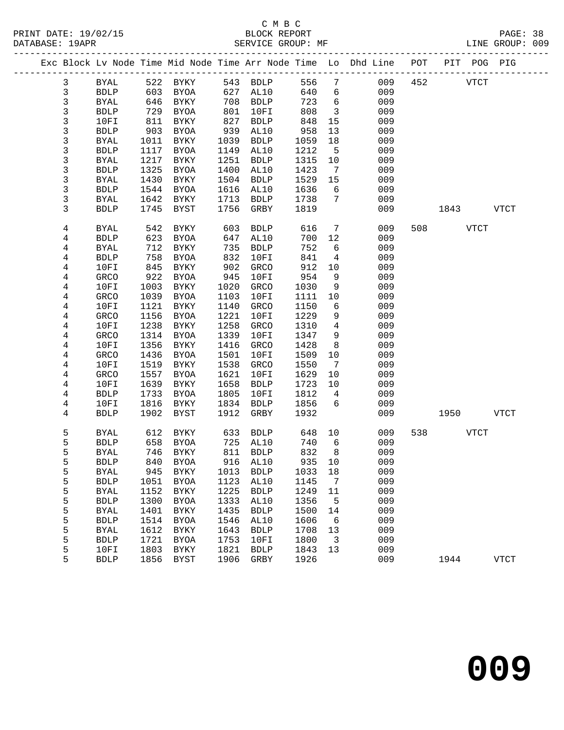PRINT DATE: 19/02/15 BLOCK REPORT BATABASE: 19APR BLOCK REPORT

## C M B C<br>BLOCK REPORT

PAGE: 38<br>LINE GROUP: 009

|                |              |      |             |      |              |        |                              | Exc Block Lv Node Time Mid Node Time Arr Node Time Lo Dhd Line POT |     | PIT POG PIG |             |              |
|----------------|--------------|------|-------------|------|--------------|--------|------------------------------|--------------------------------------------------------------------|-----|-------------|-------------|--------------|
| 3              | BYAL         |      | 522 BYKY    |      | 543 BDLP     | 556    | 7                            | 009                                                                | 452 |             | <b>VTCT</b> |              |
| $\mathfrak{Z}$ | <b>BDLP</b>  | 603  | BYOA        | 627  | AL10         | 640    | 6                            | 009                                                                |     |             |             |              |
| $\mathsf{3}$   | <b>BYAL</b>  | 646  | BYKY        | 708  | <b>BDLP</b>  | 723    | 6                            | 009                                                                |     |             |             |              |
| 3              | <b>BDLP</b>  | 729  | BYOA        | 801  | 10FI         | 808    | $\overline{\mathbf{3}}$      | 009                                                                |     |             |             |              |
| 3              | 10FI         | 811  | BYKY        | 827  | <b>BDLP</b>  | 848    | 15                           | 009                                                                |     |             |             |              |
| 3              | <b>BDLP</b>  | 903  | BYOA        | 939  | AL10         | 958    | 13                           | 009                                                                |     |             |             |              |
| 3              | <b>BYAL</b>  | 1011 | BYKY        | 1039 | <b>BDLP</b>  | 1059   | 18                           | 009                                                                |     |             |             |              |
| 3              | <b>BDLP</b>  | 1117 | BYOA        | 1149 | AL10         | 1212   | $5\overline{5}$              | 009                                                                |     |             |             |              |
| 3              | BYAL         | 1217 | BYKY        | 1251 | <b>BDLP</b>  | 1315   | 10                           | 009                                                                |     |             |             |              |
| 3              | <b>BDLP</b>  | 1325 | BYOA        | 1400 | AL10         | 1423   | 7                            | 009                                                                |     |             |             |              |
| 3              | <b>BYAL</b>  | 1430 | BYKY        | 1504 | <b>BDLP</b>  | 1529   | 15                           | 009                                                                |     |             |             |              |
| 3              | <b>BDLP</b>  | 1544 | BYOA        | 1616 | AL10         | 1636   | 6                            | 009                                                                |     |             |             |              |
| 3              | BYAL         | 1642 | BYKY        | 1713 | <b>BDLP</b>  | 1738   | $7\phantom{.0}$              | 009                                                                |     |             |             |              |
| 3              | <b>BDLP</b>  | 1745 | BYST        | 1756 | GRBY         | 1819   |                              | 009                                                                |     | 1843        |             | VTCT         |
|                |              |      |             |      |              |        |                              |                                                                    |     |             |             |              |
| 4              | <b>BYAL</b>  | 542  | BYKY        | 603  | ${\tt BDLP}$ | 616    | $7\phantom{.0}$              | 009                                                                | 508 |             | <b>VTCT</b> |              |
| 4              | <b>BDLP</b>  | 623  | BYOA        | 647  | AL10         | 700    | 12                           | 009                                                                |     |             |             |              |
| 4              | <b>BYAL</b>  | 712  | BYKY        | 735  | <b>BDLP</b>  | 752    | 6                            | 009                                                                |     |             |             |              |
| 4              | <b>BDLP</b>  | 758  | BYOA        | 832  | 10FI         | 841    | 4                            | 009                                                                |     |             |             |              |
| 4              | 10FI         | 845  | BYKY        | 902  | GRCO         | 912    | 10                           | 009                                                                |     |             |             |              |
| 4              | GRCO         | 922  | <b>BYOA</b> | 945  | 10FI         | 954    | 9                            | 009                                                                |     |             |             |              |
| 4              | 10FI         | 1003 | BYKY        | 1020 | GRCO         | 1030   | 9                            | 009                                                                |     |             |             |              |
| 4              | GRCO         | 1039 | BYOA        | 1103 | 10FI         | 1111   | 10                           | 009                                                                |     |             |             |              |
| 4              | 10FI         | 1121 | BYKY        | 1140 | GRCO         | 1150   | 6                            | 009                                                                |     |             |             |              |
| 4              | GRCO         | 1156 | BYOA        | 1221 | 10FI         | 1229   | 9                            | 009                                                                |     |             |             |              |
| 4              | 10FI         | 1238 | BYKY        | 1258 | GRCO         | 1310   | $\overline{4}$               | 009                                                                |     |             |             |              |
| 4              | GRCO         | 1314 | BYOA        | 1339 | 10FI         | 1347   | 9                            | 009                                                                |     |             |             |              |
| 4              | 10FI         | 1356 | BYKY        | 1416 | GRCO         | 1428   | 8                            | 009                                                                |     |             |             |              |
| 4              | GRCO         | 1436 | BYOA        | 1501 | 10FI         | 1509   | 10                           | 009                                                                |     |             |             |              |
| 4              | 10FI         | 1519 | BYKY        | 1538 | GRCO         | 1550   | $7\phantom{.0}\phantom{.0}7$ | 009                                                                |     |             |             |              |
| 4              | GRCO         | 1557 | BYOA        | 1621 | 10FI         | 1629   | 10                           | 009                                                                |     |             |             |              |
| 4              | 10FI         | 1639 | BYKY        | 1658 | <b>BDLP</b>  | 1723   | 10                           | 009                                                                |     |             |             |              |
| 4              | ${\tt BDLP}$ | 1733 | BYOA        | 1805 | 10FI         | 1812   | $\overline{4}$               | 009                                                                |     |             |             |              |
| 4              | 10FI         | 1816 | BYKY        | 1834 | <b>BDLP</b>  | 1856   | 6                            | 009                                                                |     |             |             |              |
| 4              | <b>BDLP</b>  | 1902 | BYST        | 1912 | GRBY         | 1932   |                              | 009                                                                |     | 1950        |             | <b>VTCT</b>  |
|                |              |      |             |      |              |        |                              |                                                                    |     |             |             |              |
| 5              | BYAL         | 612  | BYKY        | 633  | BDLP         | 648    | 10                           | 009                                                                | 538 |             | <b>VTCT</b> |              |
| 5              | <b>BDLP</b>  |      | 658 BYOA    |      | 725 AL10     | 740    | 6                            | 009                                                                |     |             |             |              |
| 5              | <b>BYAL</b>  |      | 746 BYKY    |      | 811 BDLP     | 832    | 8                            | 009                                                                |     |             |             |              |
| 5              | <b>BDLP</b>  |      | 840 BYOA    |      | 916 AL10     | 935 10 |                              | 009                                                                |     |             |             |              |
| 5              | <b>BYAL</b>  | 945  | <b>BYKY</b> | 1013 | <b>BDLP</b>  | 1033   | 18                           | 009                                                                |     |             |             |              |
| 5              | <b>BDLP</b>  | 1051 | <b>BYOA</b> | 1123 | AL10         | 1145   | 7                            | 009                                                                |     |             |             |              |
| 5              | <b>BYAL</b>  | 1152 | <b>BYKY</b> | 1225 | <b>BDLP</b>  | 1249   | 11                           | 009                                                                |     |             |             |              |
| 5              | <b>BDLP</b>  | 1300 | <b>BYOA</b> | 1333 | AL10         | 1356   | 5                            | 009                                                                |     |             |             |              |
| 5              | <b>BYAL</b>  | 1401 | <b>BYKY</b> | 1435 | <b>BDLP</b>  | 1500   | 14                           | 009                                                                |     |             |             |              |
| 5              | <b>BDLP</b>  | 1514 | <b>BYOA</b> | 1546 | AL10         | 1606   | 6                            | 009                                                                |     |             |             |              |
| 5              | <b>BYAL</b>  | 1612 | <b>BYKY</b> | 1643 | <b>BDLP</b>  | 1708   | 13                           | 009                                                                |     |             |             |              |
| 5              | <b>BDLP</b>  | 1721 | <b>BYOA</b> | 1753 | 10FI         | 1800   | 3                            | 009                                                                |     |             |             |              |
| 5              | 10FI         | 1803 | <b>BYKY</b> | 1821 | <b>BDLP</b>  | 1843   | 13                           | 009                                                                |     |             |             |              |
| 5              | ${\tt BDLP}$ | 1856 | <b>BYST</b> | 1906 | GRBY         | 1926   |                              | 009                                                                |     | 1944        |             | ${\tt VTCT}$ |
|                |              |      |             |      |              |        |                              |                                                                    |     |             |             |              |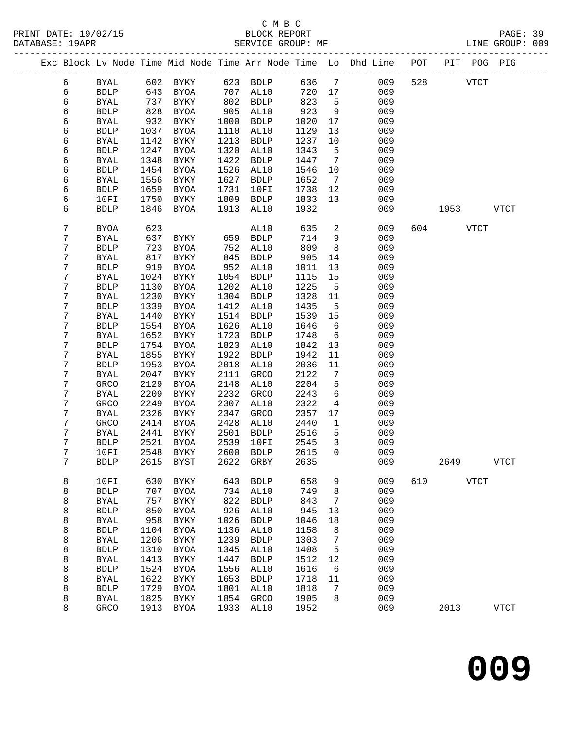PRINT DATE: 19/02/15 BLOCK REPORT BATABASE: 19APR BLOCK REPORT

## C M B C<br>BLOCK REPORT

PAGE: 39<br>LINE GROUP: 009

|  |        |                            |              |                            |              |                     |              |                                     | Exc Block Lv Node Time Mid Node Time Arr Node Time Lo Dhd Line POT |     | PIT POG PIG |             |              |
|--|--------|----------------------------|--------------|----------------------------|--------------|---------------------|--------------|-------------------------------------|--------------------------------------------------------------------|-----|-------------|-------------|--------------|
|  | 6      | <b>BYAL</b>                |              | 602 BYKY                   |              | 623 BDLP            | 636          | $7\overline{ }$                     | 009                                                                | 528 |             | <b>VTCT</b> |              |
|  | 6      | <b>BDLP</b>                | 643          | BYOA                       | 707          | AL10                | 720          | 17                                  | 009                                                                |     |             |             |              |
|  | 6      | BYAL                       | 737          | BYKY                       | 802          | <b>BDLP</b>         | 823          | $-5$                                | 009                                                                |     |             |             |              |
|  | 6      | <b>BDLP</b>                | 828          | BYOA                       | 905          | AL10                | 923          | 9                                   | 009                                                                |     |             |             |              |
|  | 6      | BYAL                       | 932          | BYKY                       | 1000         | <b>BDLP</b>         | 1020         | 17                                  | 009                                                                |     |             |             |              |
|  | 6      | <b>BDLP</b>                | 1037         | BYOA                       | 1110         | AL10                | 1129         | 13                                  | 009                                                                |     |             |             |              |
|  | 6      | <b>BYAL</b>                | 1142         | BYKY                       | 1213         | <b>BDLP</b>         | 1237         | 10                                  | 009                                                                |     |             |             |              |
|  | 6      | <b>BDLP</b>                | 1247         | <b>BYOA</b>                | 1320         | AL10                | 1343         | $5\overline{5}$                     | 009                                                                |     |             |             |              |
|  | 6      | <b>BYAL</b>                | 1348         | BYKY                       | 1422         | <b>BDLP</b>         | 1447         | $7\phantom{.0}\phantom{.0}7$        | 009                                                                |     |             |             |              |
|  | 6      | <b>BDLP</b>                | 1454         | BYOA                       | 1526         | AL10                | 1546         | 10                                  | 009                                                                |     |             |             |              |
|  | 6      | <b>BYAL</b>                | 1556         | BYKY                       | 1627         | <b>BDLP</b>         | 1652         | $\overline{7}$                      | 009                                                                |     |             |             |              |
|  | 6      | <b>BDLP</b>                | 1659         | BYOA                       | 1731         | 10FI                | 1738         | 12                                  | 009                                                                |     |             |             |              |
|  | 6      | 10FI                       | 1750         | BYKY                       | 1809         | <b>BDLP</b>         | 1833         | 13                                  | 009                                                                |     |             |             |              |
|  | 6      | <b>BDLP</b>                | 1846         | BYOA                       | 1913         | AL10                | 1932         |                                     | 009                                                                |     | 1953 VTCT   |             |              |
|  | 7      | BYOA                       | 623          |                            |              | AL10                | 635          | 2                                   | 009                                                                |     | 604 VTCT    |             |              |
|  | 7      | <b>BYAL</b>                | 637          | BYKY                       | 659          | <b>BDLP</b>         | 714          | 9                                   | 009                                                                |     |             |             |              |
|  | 7      | <b>BDLP</b>                | 723          | BYOA                       | 752          | AL10                | 809          | 8 <sup>8</sup>                      | 009                                                                |     |             |             |              |
|  | 7<br>7 | <b>BYAL</b>                | 817          | BYKY                       | 845          | <b>BDLP</b>         | 905          | 14                                  | 009                                                                |     |             |             |              |
|  | 7      | <b>BDLP</b>                | 919<br>1024  | BYOA                       | 952<br>1054  | AL10<br><b>BDLP</b> | 1011         | 13<br>15                            | 009                                                                |     |             |             |              |
|  | 7      | <b>BYAL</b><br><b>BDLP</b> | 1130         | BYKY<br>BYOA               | 1202         | AL10                | 1115<br>1225 | $-5$                                | 009<br>009                                                         |     |             |             |              |
|  | 7      | <b>BYAL</b>                | 1230         | BYKY                       | 1304         | <b>BDLP</b>         | 1328         | 11                                  | 009                                                                |     |             |             |              |
|  | 7      | <b>BDLP</b>                | 1339         | BYOA                       | 1412         | AL10                | 1435         | $5\overline{5}$                     | 009                                                                |     |             |             |              |
|  | 7      | <b>BYAL</b>                | 1440         | BYKY                       | 1514         | <b>BDLP</b>         | 1539         | 15                                  | 009                                                                |     |             |             |              |
|  | 7      | <b>BDLP</b>                | 1554         | BYOA                       | 1626         | AL10                | 1646         | 6                                   | 009                                                                |     |             |             |              |
|  | 7      | <b>BYAL</b>                | 1652         | BYKY                       | 1723         | <b>BDLP</b>         | 1748         | 6                                   | 009                                                                |     |             |             |              |
|  | 7      | <b>BDLP</b>                | 1754         | BYOA                       | 1823         | AL10                | 1842         | 13                                  | 009                                                                |     |             |             |              |
|  | 7      | <b>BYAL</b>                | 1855         | BYKY                       | 1922         | <b>BDLP</b>         | 1942         | 11                                  | 009                                                                |     |             |             |              |
|  | 7      | <b>BDLP</b>                | 1953         | BYOA                       | 2018         | AL10                | 2036         | 11                                  | 009                                                                |     |             |             |              |
|  | 7      | <b>BYAL</b>                | 2047         | BYKY                       | 2111         | GRCO                | 2122         | 7                                   | 009                                                                |     |             |             |              |
|  | 7      | GRCO                       | 2129         | BYOA                       | 2148         | AL10                | 2204         | 5                                   | 009                                                                |     |             |             |              |
|  | 7      | BYAL                       | 2209         | BYKY                       | 2232         | GRCO                | 2243         | 6                                   | 009                                                                |     |             |             |              |
|  | 7      | GRCO                       | 2249         | BYOA                       | 2307         | AL10                | 2322         | 4                                   | 009                                                                |     |             |             |              |
|  | 7      | <b>BYAL</b>                | 2326         | BYKY                       | 2347         | GRCO                | 2357         | 17                                  | 009                                                                |     |             |             |              |
|  | 7      | GRCO                       | 2414         | BYOA                       | 2428         | AL10                | 2440         | 1                                   | 009                                                                |     |             |             |              |
|  | 7<br>7 | <b>BYAL</b>                | 2441         | BYKY                       | 2501         | <b>BDLP</b>         | 2516         | 5                                   | 009                                                                |     |             |             |              |
|  | 7      | <b>BDLP</b><br>10FI        | 2521<br>2548 | BYOA<br>BYKY               | 2539<br>2600 | 10FI<br>BDLP        | 2545<br>2615 | $\overline{\mathbf{3}}$<br>$\Omega$ | 009<br>009                                                         |     |             |             |              |
|  | 7      | ${\tt BDLP}$               | 2615         | BYST                       |              | 2622 GRBY           | 2635         |                                     | 009                                                                |     | 2649        |             |              |
|  |        |                            |              |                            |              |                     |              |                                     |                                                                    |     |             |             | VTCT         |
|  | 8      | 10FI                       | 630          | ${\tt BYKY}$               | 643          | <b>BDLP</b>         | 658          | 9                                   | 009                                                                | 610 |             | <b>VTCT</b> |              |
|  | 8      | <b>BDLP</b>                | 707          | <b>BYOA</b>                | 734          | AL10                | 749          | 8                                   | 009                                                                |     |             |             |              |
|  | 8      | <b>BYAL</b>                | 757          | ${\tt BYKY}$               | 822          | ${\tt BDLP}$        | 843          | 7                                   | 009                                                                |     |             |             |              |
|  | 8      | ${\tt BDLP}$               | 850          | <b>BYOA</b>                | 926          | AL10                | 945          | 13                                  | 009                                                                |     |             |             |              |
|  | 8      | <b>BYAL</b>                | 958          | ${\tt BYKY}$               | 1026         | ${\tt BDLP}$        | 1046         | $18\,$                              | 009                                                                |     |             |             |              |
|  | 8      | ${\tt BDLP}$               | 1104         | <b>BYOA</b>                | 1136         | AL10                | 1158         | 8                                   | 009                                                                |     |             |             |              |
|  | 8<br>8 | BYAL<br>${\tt BDLP}$       | 1206<br>1310 | <b>BYKY</b><br><b>BYOA</b> | 1239<br>1345 | <b>BDLP</b><br>AL10 | 1303<br>1408 | 7<br>5                              | 009<br>009                                                         |     |             |             |              |
|  | 8      | BYAL                       | 1413         | ${\tt BYKY}$               | 1447         | <b>BDLP</b>         | 1512         | 12                                  | 009                                                                |     |             |             |              |
|  | 8      | ${\tt BDLP}$               | 1524         | <b>BYOA</b>                | 1556         | AL10                | 1616         | 6                                   | 009                                                                |     |             |             |              |
|  | 8      | <b>BYAL</b>                | 1622         | ${\tt BYKY}$               | 1653         | <b>BDLP</b>         | 1718         | 11                                  | 009                                                                |     |             |             |              |
|  | 8      | <b>BDLP</b>                | 1729         | <b>BYOA</b>                | 1801         | AL10                | 1818         | 7                                   | 009                                                                |     |             |             |              |
|  | 8      | <b>BYAL</b>                | 1825         | ${\tt BYKY}$               | 1854         | GRCO                | 1905         | 8                                   | 009                                                                |     |             |             |              |
|  | 8      | GRCO                       | 1913         | <b>BYOA</b>                | 1933         | AL10                | 1952         |                                     | 009                                                                |     | 2013        |             | ${\tt VTCT}$ |
|  |        |                            |              |                            |              |                     |              |                                     |                                                                    |     |             |             |              |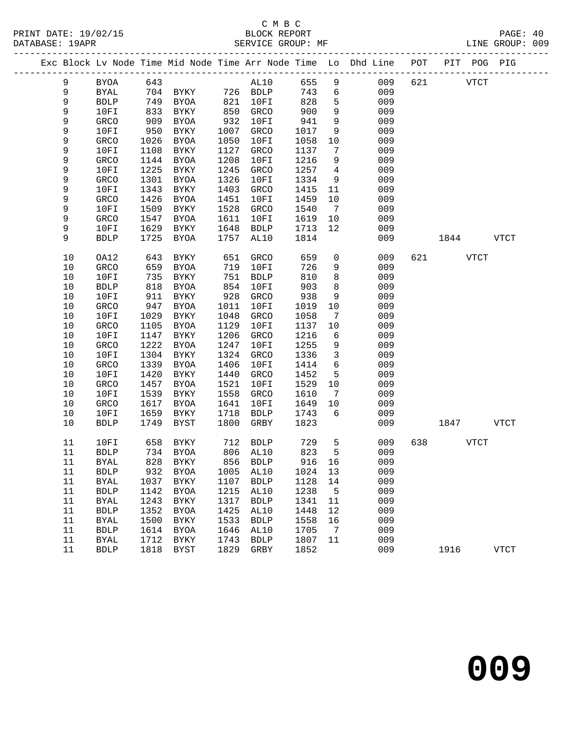|              |              |              |                   |              |              |              |                              | Exc Block Lv Node Time Mid Node Time Arr Node Time Lo Dhd Line POT |     | PIT POG PIG |             |
|--------------|--------------|--------------|-------------------|--------------|--------------|--------------|------------------------------|--------------------------------------------------------------------|-----|-------------|-------------|
| 9            | <b>BYOA</b>  | 643          |                   |              | AL10         | 655          | 9                            | 009                                                                | 621 | <b>VTCT</b> |             |
| 9            | $\rm BYAL$   | 704          | <b>BYKY</b>       |              | 726 BDLP     | 743          | 6                            | 009                                                                |     |             |             |
| 9            | <b>BDLP</b>  | 749          | BYOA              | 821          | 10FI         | 828          | 5                            | 009                                                                |     |             |             |
| 9            | 10FI         | 833          | BYKY              | 850          | GRCO         | 900          | $\overline{9}$               | 009                                                                |     |             |             |
| 9            | GRCO         | 909          | BYOA              | 932          | 10FI         | 941          | 9                            | 009                                                                |     |             |             |
| 9            | 10FI         | 950          | BYKY              | 1007         | GRCO         | 1017         | 9                            | 009                                                                |     |             |             |
| 9            | GRCO         | 1026         | BYOA              | 1050         | 10FI         | 1058         | 10                           | 009                                                                |     |             |             |
| 9            | 10FI         | 1108         | BYKY              | 1127         | GRCO         | 1137         | $7\phantom{.0}$              | 009                                                                |     |             |             |
| 9            | GRCO         | 1144         | BYOA              | 1208         | 10FI         | 1216         | 9                            | 009                                                                |     |             |             |
| 9            | 10FI         | 1225         | BYKY              | 1245         | GRCO         | 1257         | $\overline{4}$               | 009                                                                |     |             |             |
| 9            | GRCO         | 1301         | BYOA              | 1326         | 10FI         | 1334         | 9                            | 009                                                                |     |             |             |
| 9            | 10FI         | 1343         | BYKY              | 1403         | GRCO         | 1415         | 11                           | 009                                                                |     |             |             |
| 9            | GRCO         | 1426         | BYOA              | 1451         | 10FI         | 1459         | 10                           | 009                                                                |     |             |             |
| 9            | 10FI         | 1509         | BYKY              | 1528         | GRCO         | 1540         | $7\phantom{.0}\phantom{.0}7$ | 009                                                                |     |             |             |
| 9            | GRCO         | 1547         | BYOA              | 1611         | 10FI         | 1619         | 10                           | 009                                                                |     |             |             |
| 9            | 10FI         | 1629         | BYKY              | 1648         | <b>BDLP</b>  | 1713         | 12                           | 009                                                                |     |             |             |
| 9            | <b>BDLP</b>  | 1725         | BYOA              | 1757         | AL10         | 1814         |                              | 009                                                                |     | 1844        | <b>VTCT</b> |
| 10           | OA12         | 643          | BYKY              | 651          | GRCO         | 659          | $\mathbf 0$                  | 009                                                                | 621 | <b>VTCT</b> |             |
| 10           | GRCO         | 659          | BYOA              | 719          | 10FI         | 726          | 9                            | 009                                                                |     |             |             |
| $10$         | 10FI         | 735          | BYKY              | 751          | <b>BDLP</b>  | 810          | 8                            | 009                                                                |     |             |             |
| 10           | <b>BDLP</b>  | 818          | <b>BYOA</b>       | 854          | 10FI         | 903          | 8                            | 009                                                                |     |             |             |
| 10           | 10FI         | 911          | BYKY              | 928          | GRCO         | 938          | 9                            | 009                                                                |     |             |             |
| $10$         | GRCO         | 947          | BYOA              | 1011         | 10FI         | 1019         | 10                           | 009                                                                |     |             |             |
| $10$         | 10FI         | 1029         | BYKY              | 1048         | GRCO         | 1058         | 7                            | 009                                                                |     |             |             |
| 10           | GRCO         | 1105         | BYOA              | 1129         | 10FI         | 1137         | 10                           | 009                                                                |     |             |             |
| 10           | 10FI         | 1147         | BYKY              | 1206         | GRCO         | 1216         | 6                            | 009                                                                |     |             |             |
| 10           | GRCO         | 1222         | BYOA              | 1247         | 10FI         | 1255         | 9                            | 009                                                                |     |             |             |
| $10$         | 10FI         | 1304         | BYKY              | 1324         | GRCO         | 1336         | $\mathbf{3}$                 | 009                                                                |     |             |             |
| $10$         | GRCO         | 1339         | BYOA              | 1406         | 10FI         | 1414         | 6                            | 009                                                                |     |             |             |
| 10           | 10FI         | 1420         | BYKY              | 1440         | GRCO         | 1452         | 5                            | 009                                                                |     |             |             |
| 10           | GRCO         | 1457         | BYOA              | 1521         | 10FI         | 1529         | 10                           | 009                                                                |     |             |             |
| $10$<br>$10$ | 10FI         | 1539<br>1617 | BYKY              | 1558<br>1641 | GRCO<br>10FI | 1610<br>1649 | $7\phantom{.0}\,$<br>10      | 009<br>009                                                         |     |             |             |
| 10           | GRCO<br>10FI | 1659         | BYOA<br>BYKY      | 1718         | <b>BDLP</b>  | 1743         | 6                            | 009                                                                |     |             |             |
| 10           | <b>BDLP</b>  | 1749         | BYST              | 1800         | GRBY         | 1823         |                              | 009                                                                |     | 1847        | VTCT        |
|              |              |              |                   |              |              |              |                              |                                                                    |     |             |             |
| 11           | 10FI         | 658          | BYKY              | 712          | <b>BDLP</b>  | 729          | 5                            | 009                                                                | 638 | <b>VTCT</b> |             |
| 11           | <b>BDLP</b>  |              | 734 BYOA          |              | 806 AL10     | 823          | 5                            | 009                                                                |     |             |             |
| 11           | <b>BYAL</b>  |              | 828 BYKY 856 BDLP |              |              | 916 16       |                              | 009                                                                |     |             |             |
| 11           | <b>BDLP</b>  | 932          | <b>BYOA</b>       | 1005         | AL10         | 1024         | 13                           | 009                                                                |     |             |             |
| 11           | <b>BYAL</b>  | 1037         | <b>BYKY</b>       | 1107         | ${\tt BDLP}$ | 1128         | 14                           | 009                                                                |     |             |             |
| 11           | <b>BDLP</b>  | 1142         | <b>BYOA</b>       | 1215         | AL10         | 1238         | 5                            | 009                                                                |     |             |             |
| 11           | <b>BYAL</b>  | 1243         | BYKY              | 1317         | <b>BDLP</b>  | 1341         | 11                           | 009                                                                |     |             |             |
| 11           | <b>BDLP</b>  | 1352         | <b>BYOA</b>       | 1425         | AL10         | 1448         | 12                           | 009                                                                |     |             |             |
| 11           | <b>BYAL</b>  | 1500         | <b>BYKY</b>       | 1533         | ${\tt BDLP}$ | 1558         | 16                           | 009                                                                |     |             |             |
| 11           | <b>BDLP</b>  | 1614         | <b>BYOA</b>       | 1646         | AL10         | 1705         | 7                            | 009                                                                |     |             |             |
| 11           | <b>BYAL</b>  | 1712         | ${\tt BYKY}$      | 1743         | <b>BDLP</b>  | 1807         | 11                           | 009                                                                |     |             |             |
| 11           | <b>BDLP</b>  | 1818         | <b>BYST</b>       | 1829         | GRBY         | 1852         |                              | 009                                                                |     | 1916        | <b>VTCT</b> |
|              |              |              |                   |              |              |              |                              |                                                                    |     |             |             |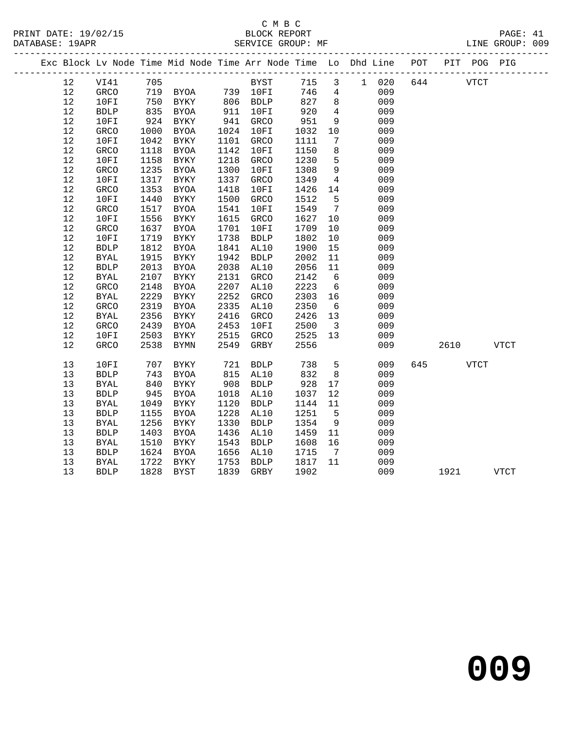## C M B C

| DATABASE: 19APR                                                                |                       |      | SERVICE GROUP: MF                      |      |             |      |                              |       |     |             |      | LINE GROUP: 009 |  |
|--------------------------------------------------------------------------------|-----------------------|------|----------------------------------------|------|-------------|------|------------------------------|-------|-----|-------------|------|-----------------|--|
| Exc Block Lv Node Time Mid Node Time Arr Node Time Lo Dhd Line POT PIT POG PIG |                       |      | -------------------------------------  |      |             |      |                              |       |     |             |      |                 |  |
| 12                                                                             | VI41                  | 705  |                                        |      | BYST        | 715  | $\mathbf{3}$                 | 1 020 | 644 | <b>VTCT</b> |      |                 |  |
| 12                                                                             | GRCO                  |      | 719 BYOA 739 10FI<br>750 BYKY 806 BDLP |      |             | 746  | $4\overline{ }$              | 009   |     |             |      |                 |  |
| $12$                                                                           | 10FI                  | 750  |                                        |      |             | 827  | 8                            | 009   |     |             |      |                 |  |
| 12                                                                             | ${\tt BDLP}$          | 835  | BYOA                                   | 911  | 10FI        | 920  | $\overline{4}$               | 009   |     |             |      |                 |  |
| 12                                                                             | 10FI                  | 924  | BYKY                                   | 941  | GRCO        | 951  | 9                            | 009   |     |             |      |                 |  |
| 12                                                                             | GRCO                  | 1000 | BYOA                                   | 1024 | 10FI        | 1032 | 10                           | 009   |     |             |      |                 |  |
| 12                                                                             | 10FI                  | 1042 | BYKY                                   | 1101 | GRCO        | 1111 | $7\phantom{.0}$              | 009   |     |             |      |                 |  |
| 12                                                                             | GRCO                  | 1118 | BYOA                                   | 1142 | 10FI        | 1150 | 8                            | 009   |     |             |      |                 |  |
| 12                                                                             | 10FI                  | 1158 | BYKY                                   | 1218 | GRCO        | 1230 | 5                            | 009   |     |             |      |                 |  |
| 12                                                                             | GRCO                  | 1235 | BYOA                                   | 1300 | 10FI        | 1308 | 9                            | 009   |     |             |      |                 |  |
| 12                                                                             | 10FI                  | 1317 | BYKY                                   | 1337 | GRCO        | 1349 | $\overline{4}$               | 009   |     |             |      |                 |  |
| 12                                                                             | GRCO                  | 1353 | BYOA                                   | 1418 | 10FI        | 1426 | 14                           | 009   |     |             |      |                 |  |
| 12                                                                             | 10FI                  | 1440 | BYKY                                   | 1500 | GRCO        | 1512 | 5                            | 009   |     |             |      |                 |  |
| 12                                                                             | GRCO                  | 1517 | BYOA                                   | 1541 | 10FI        | 1549 | $7\phantom{.0}\phantom{.0}7$ | 009   |     |             |      |                 |  |
| 12                                                                             | 10FI                  | 1556 | BYKY                                   | 1615 | GRCO        | 1627 | 10                           | 009   |     |             |      |                 |  |
| $12$                                                                           | GRCO                  | 1637 | <b>BYOA</b>                            | 1701 | 10FI        | 1709 | 10                           | 009   |     |             |      |                 |  |
| 12                                                                             | 10FI                  | 1719 | BYKY                                   | 1738 | BDLP        | 1802 | 10                           | 009   |     |             |      |                 |  |
| $12$                                                                           | ${\tt BDLP}$          | 1812 | BYOA                                   | 1841 | AL10        | 1900 | 15                           | 009   |     |             |      |                 |  |
| 12                                                                             | <b>BYAL</b>           | 1915 | BYKY                                   | 1942 | <b>BDLP</b> | 2002 | 11                           | 009   |     |             |      |                 |  |
| 12                                                                             | ${\tt BDLP}$          | 2013 | BYOA                                   | 2038 | AL10        | 2056 | 11                           | 009   |     |             |      |                 |  |
| 12                                                                             | <b>BYAL</b>           | 2107 | BYKY                                   | 2131 | GRCO        | 2142 | 6                            | 009   |     |             |      |                 |  |
| $12$                                                                           | GRCO                  | 2148 | <b>BYOA</b>                            | 2207 | AL10        | 2223 | $6\overline{6}$              | 009   |     |             |      |                 |  |
| 12                                                                             | <b>BYAL</b>           | 2229 | BYKY                                   | 2252 | GRCO        | 2303 | 16                           | 009   |     |             |      |                 |  |
| 12                                                                             | GRCO                  | 2319 | BYOA                                   | 2335 | AL10        | 2350 | $6\overline{6}$              | 009   |     |             |      |                 |  |
| $12$                                                                           | <b>BYAL</b>           | 2356 | <b>BYKY</b>                            | 2416 | GRCO        | 2426 | 13                           | 009   |     |             |      |                 |  |
| 12                                                                             | GRCO                  | 2439 | BYOA                                   | 2453 | 10FI        | 2500 | $\overline{\mathbf{3}}$      | 009   |     |             |      |                 |  |
| 12                                                                             | 10FI                  | 2503 | BYKY                                   | 2515 | GRCO        | 2525 | 13                           | 009   |     |             |      |                 |  |
| 12                                                                             | GRCO                  | 2538 | <b>BYMN</b>                            | 2549 | GRBY        | 2556 |                              | 009   |     | 2610        |      | <b>VTCT</b>     |  |
| 13                                                                             | 10FI                  | 707  | BYKY                                   | 721  | BDLP        | 738  | 5                            | 009   | 645 |             | VTCT |                 |  |
| 13                                                                             | <b>BDLP</b>           | 743  | <b>BYOA</b>                            | 815  | AL10        | 832  | 8                            | 009   |     |             |      |                 |  |
| 13                                                                             | BYAL                  | 840  | BYKY                                   | 908  | <b>BDLP</b> | 928  | 17                           | 009   |     |             |      |                 |  |
| 13                                                                             | ${\tt BDLP}$          | 945  | BYOA                                   | 1018 | AL10        | 1037 | 12                           | 009   |     |             |      |                 |  |
| 13                                                                             | $\operatorname{BYAL}$ | 1049 | BYKY                                   | 1120 | <b>BDLP</b> | 1144 | 11                           | 009   |     |             |      |                 |  |
| 13                                                                             | <b>BDLP</b>           | 1155 | <b>BYOA</b>                            | 1228 | AL10        | 1251 | 5                            | 009   |     |             |      |                 |  |
| 13                                                                             | <b>BYAL</b>           | 1256 | BYKY                                   | 1330 | <b>BDLP</b> | 1354 | 9                            | 009   |     |             |      |                 |  |
| 13                                                                             | <b>BDLP</b>           | 1403 | <b>BYOA</b>                            | 1436 | AL10        | 1459 | 11                           | 009   |     |             |      |                 |  |
| 13                                                                             | <b>BYAL</b>           | 1510 | BYKY                                   | 1543 | BDLP        | 1608 | 16                           | 009   |     |             |      |                 |  |
| 13                                                                             | ${\tt BDLP}$          | 1624 | <b>BYOA</b>                            | 1656 | AL10        | 1715 | $7\overline{ }$              | 009   |     |             |      |                 |  |
| 13                                                                             | BYAL                  | 1722 | BYKY                                   | 1753 | <b>BDLP</b> | 1817 | 11                           | 009   |     |             |      |                 |  |
| 13                                                                             | <b>BDLP</b>           | 1828 | BYST                                   | 1839 | GRBY        | 1902 |                              | 009   |     | 1921        |      | <b>VTCT</b>     |  |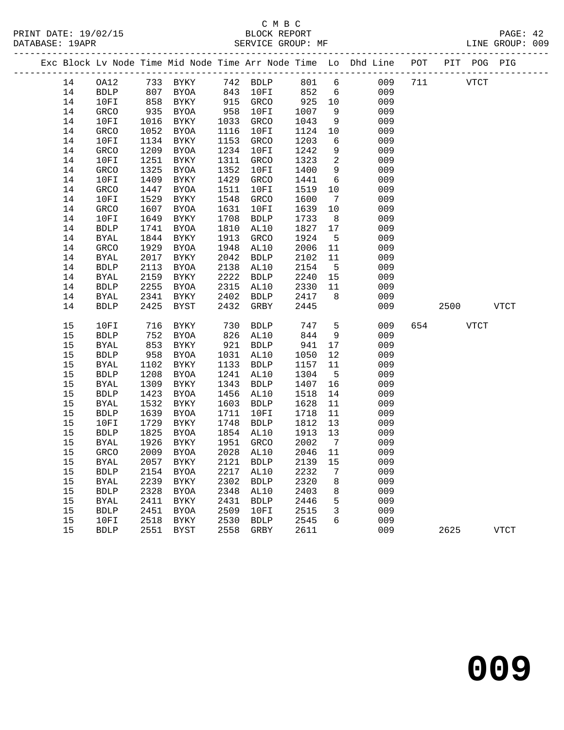|  |          |                            |              |                            |              |                     |              |                 | Exc Block Lv Node Time Mid Node Time Arr Node Time Lo Dhd Line POT<br>________________________________ |     |      | PIT POG PIG |             |
|--|----------|----------------------------|--------------|----------------------------|--------------|---------------------|--------------|-----------------|--------------------------------------------------------------------------------------------------------|-----|------|-------------|-------------|
|  | 14       | OA12                       |              | 733 BYKY                   |              | 742 BDLP            | 801          | $6\overline{6}$ | 009                                                                                                    | 711 |      | <b>VTCT</b> |             |
|  | 14       | <b>BDLP</b>                | 807          | BYOA                       | 843          | 10FI                | 852          | 6               | 009                                                                                                    |     |      |             |             |
|  | 14       | 10FI                       | 858          | BYKY                       | 915          | GRCO                | 925          | 10              | 009                                                                                                    |     |      |             |             |
|  | 14       | GRCO                       | 935          | BYOA                       | 958          | 10FI                | 1007         | 9               | 009                                                                                                    |     |      |             |             |
|  | 14       | 10FI                       | 1016         | BYKY                       | 1033         | GRCO                | 1043         | 9               | 009                                                                                                    |     |      |             |             |
|  | 14       | GRCO                       | 1052         | BYOA                       | 1116         | 10FI                | 1124         | 10              | 009                                                                                                    |     |      |             |             |
|  | 14       | 10FI                       | 1134         | BYKY                       | 1153         | GRCO                | 1203         | 6               | 009                                                                                                    |     |      |             |             |
|  | 14       | GRCO                       | 1209         | BYOA                       | 1234         | 10FI                | 1242         | 9               | 009                                                                                                    |     |      |             |             |
|  | 14       | 10FI                       | 1251         | BYKY                       | 1311         | GRCO                | 1323         | 2               | 009                                                                                                    |     |      |             |             |
|  | 14       | GRCO                       | 1325         | BYOA                       | 1352         | 10FI                | 1400         | 9               | 009                                                                                                    |     |      |             |             |
|  | 14       | 10FI                       | 1409         | BYKY                       | 1429         | GRCO                | 1441         | 6               | 009                                                                                                    |     |      |             |             |
|  | 14       | GRCO                       | 1447         | BYOA                       | 1511         | 10FI                | 1519         | 10              | 009                                                                                                    |     |      |             |             |
|  | 14       | 10FI                       | 1529         | BYKY                       | 1548         | GRCO                | 1600         | $7\phantom{.0}$ | 009                                                                                                    |     |      |             |             |
|  | 14       | GRCO                       | 1607         | BYOA                       | 1631         | 10FI                | 1639         | 10              | 009                                                                                                    |     |      |             |             |
|  | 14       | 10FI                       | 1649         | BYKY                       | 1708         | <b>BDLP</b>         | 1733         | 8               | 009                                                                                                    |     |      |             |             |
|  | 14       | <b>BDLP</b>                | 1741         | <b>BYOA</b>                | 1810         | AL10                | 1827         | 17              | 009                                                                                                    |     |      |             |             |
|  | 14       | <b>BYAL</b>                | 1844         | BYKY                       | 1913         | GRCO                | 1924         | 5               | 009                                                                                                    |     |      |             |             |
|  | 14       | GRCO                       | 1929         | BYOA                       | 1948         | AL10                | 2006         | 11              | 009                                                                                                    |     |      |             |             |
|  | 14       | <b>BYAL</b>                | 2017         | BYKY                       | 2042         | <b>BDLP</b>         | 2102         | 11              | 009                                                                                                    |     |      |             |             |
|  | 14       | <b>BDLP</b>                | 2113         | BYOA                       | 2138         | AL10                | 2154         | $5^{\circ}$     | 009                                                                                                    |     |      |             |             |
|  | 14       | <b>BYAL</b>                | 2159         | BYKY                       | 2222         | <b>BDLP</b>         | 2240         | 15              | 009                                                                                                    |     |      |             |             |
|  | 14       | <b>BDLP</b>                | 2255         | BYOA                       | 2315         | AL10                | 2330         | 11              | 009                                                                                                    |     |      |             |             |
|  | 14       | <b>BYAL</b>                | 2341         | BYKY                       | 2402         | BDLP                | 2417         | 8               | 009                                                                                                    |     |      |             |             |
|  | 14       | <b>BDLP</b>                | 2425         | BYST                       | 2432         | GRBY                | 2445         |                 | 009                                                                                                    |     | 2500 |             | VTCT        |
|  | 15       | 10FI                       | 716          | BYKY                       | 730          | <b>BDLP</b>         | 747          | 5               | 009                                                                                                    | 654 |      | VTCT        |             |
|  | 15       | <b>BDLP</b>                | 752          | BYOA                       | 826          | AL10                | 844          | 9               | 009                                                                                                    |     |      |             |             |
|  | 15       | <b>BYAL</b>                | 853          | BYKY                       | 921          | <b>BDLP</b>         | 941          | 17              | 009                                                                                                    |     |      |             |             |
|  | 15       | <b>BDLP</b>                | 958          | BYOA                       | 1031         | AL10                | 1050         | 12              | 009                                                                                                    |     |      |             |             |
|  | 15       | BYAL                       | 1102         | BYKY                       | 1133         | <b>BDLP</b>         | 1157         | 11              | 009                                                                                                    |     |      |             |             |
|  | 15       | <b>BDLP</b>                | 1208         | BYOA                       | 1241         | AL10                | 1304         | $5^{\circ}$     | 009                                                                                                    |     |      |             |             |
|  | 15       | <b>BYAL</b>                | 1309         | BYKY                       | 1343         | <b>BDLP</b>         | 1407         | 16              | 009                                                                                                    |     |      |             |             |
|  | 15       | <b>BDLP</b>                | 1423         | BYOA                       | 1456         | AL10                | 1518         | 14              | 009                                                                                                    |     |      |             |             |
|  | 15       | <b>BYAL</b>                | 1532         | BYKY                       | 1603         | <b>BDLP</b>         | 1628         | 11              | 009                                                                                                    |     |      |             |             |
|  | 15       | <b>BDLP</b>                | 1639         | BYOA                       | 1711         | 10FI                | 1718         | 11              | 009                                                                                                    |     |      |             |             |
|  | 15       | 10FI                       | 1729         | BYKY                       | 1748         | <b>BDLP</b>         | 1812         | 13              | 009                                                                                                    |     |      |             |             |
|  | 15       | <b>BDLP</b>                | 1825         | BYOA                       | 1854         | AL10                | 1913         | 13              | 009                                                                                                    |     |      |             |             |
|  | 15       | BYAL                       | 1926         | BYKY                       | 1951         | GRCO                | 2002         | $\overline{7}$  | 009                                                                                                    |     |      |             |             |
|  | 15       | GRCO                       | 2009         | BYOA                       | 2028         | AL10                | 2046 11      |                 | 009                                                                                                    |     |      |             |             |
|  | $15$     | BYAL                       | 2057         | BYKY                       | 2121         | BDLP                | 2139         | 15              | 009                                                                                                    |     |      |             |             |
|  | 15       | <b>BDLP</b>                | 2154         | <b>BYOA</b>                | 2217         | AL10                | 2232         | 7               | 009                                                                                                    |     |      |             |             |
|  | 15       | <b>BYAL</b>                | 2239         | <b>BYKY</b>                | 2302         | <b>BDLP</b>         | 2320         | 8               | 009                                                                                                    |     |      |             |             |
|  | 15<br>15 | <b>BDLP</b>                | 2328<br>2411 | <b>BYOA</b>                | 2348<br>2431 | AL10                | 2403<br>2446 | 8<br>5          | 009<br>009                                                                                             |     |      |             |             |
|  | 15       | <b>BYAL</b><br><b>BDLP</b> | 2451         | <b>BYKY</b><br><b>BYOA</b> | 2509         | <b>BDLP</b><br>10FI | 2515         | 3               | 009                                                                                                    |     |      |             |             |
|  | 15       | 10FI                       | 2518         |                            | 2530         |                     | 2545         | 6               | 009                                                                                                    |     |      |             |             |
|  | 15       | <b>BDLP</b>                | 2551         | BYKY<br>BYST               | 2558         | <b>BDLP</b><br>GRBY | 2611         |                 | 009                                                                                                    |     | 2625 |             | <b>VTCT</b> |
|  |          |                            |              |                            |              |                     |              |                 |                                                                                                        |     |      |             |             |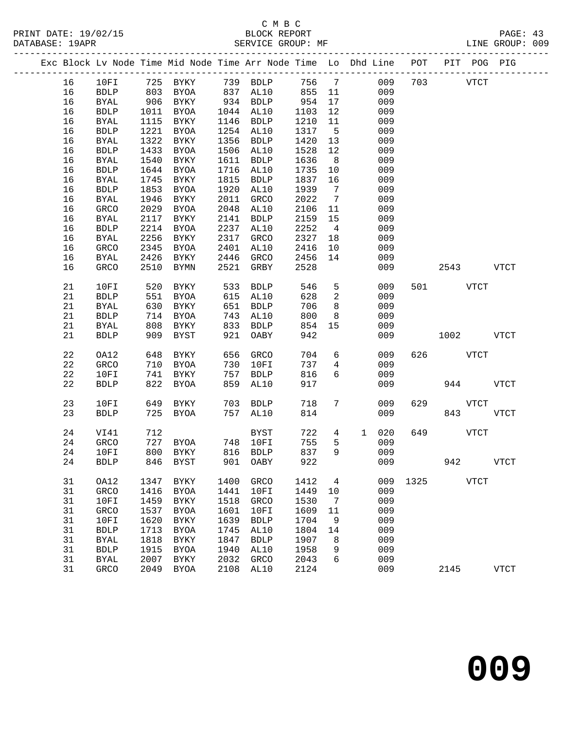## C M B C<br>BLOCK REPORT

PRINT DATE: 19/02/15 BLOCK REPORT PAGE: 43 -------------------------------------------------------------------------------------------------

LINE GROUP: 009

|  |             |              |      | Exc Block Lv Node Time Mid Node Time Arr Node Time Lo |      |               |      |                | Dhd Line |     | POT  | PIT  | POG         | PIG         |
|--|-------------|--------------|------|-------------------------------------------------------|------|---------------|------|----------------|----------|-----|------|------|-------------|-------------|
|  | 16          | 10FI         | 725  | BYKY                                                  | 739  | <b>BDLP</b>   | 756  | $\overline{7}$ |          | 009 | 703  |      | <b>VTCT</b> |             |
|  | 16          | ${\tt BDLP}$ | 803  | <b>BYOA</b>                                           | 837  | AL10          | 855  | 11             |          | 009 |      |      |             |             |
|  | 16          | <b>BYAL</b>  | 906  | BYKY                                                  | 934  | <b>BDLP</b>   | 954  | 17             |          | 009 |      |      |             |             |
|  | 16          | <b>BDLP</b>  | 1011 | <b>BYOA</b>                                           | 1044 | AL10          | 1103 | 12             |          | 009 |      |      |             |             |
|  | 16          | <b>BYAL</b>  | 1115 | BYKY                                                  | 1146 | <b>BDLP</b>   | 1210 | 11             |          | 009 |      |      |             |             |
|  | 16          | ${\tt BDLP}$ | 1221 | <b>BYOA</b>                                           | 1254 | AL10          | 1317 | 5              |          | 009 |      |      |             |             |
|  | 16          | <b>BYAL</b>  | 1322 | BYKY                                                  | 1356 | <b>BDLP</b>   | 1420 | 13             |          | 009 |      |      |             |             |
|  | 16          | ${\tt BDLP}$ | 1433 | <b>BYOA</b>                                           | 1506 | AL10          | 1528 | $12$           |          | 009 |      |      |             |             |
|  | 16          | <b>BYAL</b>  | 1540 | <b>BYKY</b>                                           | 1611 | ${\tt BDLP}$  | 1636 | 8              |          | 009 |      |      |             |             |
|  | 16          | ${\tt BDLP}$ | 1644 | <b>BYOA</b>                                           | 1716 | AL10          | 1735 | 10             |          | 009 |      |      |             |             |
|  | 16          | <b>BYAL</b>  | 1745 | BYKY                                                  | 1815 | <b>BDLP</b>   | 1837 | 16             |          | 009 |      |      |             |             |
|  | 16          | <b>BDLP</b>  | 1853 | <b>BYOA</b>                                           | 1920 | AL10          | 1939 | 7              |          | 009 |      |      |             |             |
|  | 16          | <b>BYAL</b>  | 1946 | BYKY                                                  | 2011 | GRCO          | 2022 | 7              |          | 009 |      |      |             |             |
|  | 16          | GRCO         | 2029 | <b>BYOA</b>                                           | 2048 | AL10          | 2106 | 11             |          | 009 |      |      |             |             |
|  | 16          | <b>BYAL</b>  | 2117 | BYKY                                                  | 2141 | <b>BDLP</b>   | 2159 | 15             |          | 009 |      |      |             |             |
|  | 16          | ${\tt BDLP}$ | 2214 | <b>BYOA</b>                                           | 2237 | AL10          | 2252 | $\overline{4}$ |          | 009 |      |      |             |             |
|  | 16          | <b>BYAL</b>  | 2256 | BYKY                                                  | 2317 | GRCO          | 2327 | 18             |          | 009 |      |      |             |             |
|  | 16          | GRCO         | 2345 | <b>BYOA</b>                                           | 2401 | AL10          | 2416 | 10             |          | 009 |      |      |             |             |
|  | 16          | <b>BYAL</b>  | 2426 | BYKY                                                  | 2446 | GRCO          | 2456 | 14             |          | 009 |      |      |             |             |
|  | 16          | GRCO         | 2510 | <b>BYMN</b>                                           | 2521 | GRBY          | 2528 |                |          | 009 |      | 2543 |             | <b>VTCT</b> |
|  | 21          | 10FI         | 520  | BYKY                                                  | 533  | <b>BDLP</b>   | 546  | 5              |          | 009 | 501  |      | <b>VTCT</b> |             |
|  | 21          | <b>BDLP</b>  | 551  | <b>BYOA</b>                                           | 615  | AL10          | 628  | 2              |          | 009 |      |      |             |             |
|  | 21          | <b>BYAL</b>  | 630  | BYKY                                                  | 651  | <b>BDLP</b>   | 706  | 8              |          | 009 |      |      |             |             |
|  | 21          | ${\tt BDLP}$ | 714  | <b>BYOA</b>                                           | 743  | AL10          | 800  | 8              |          | 009 |      |      |             |             |
|  | 21          | <b>BYAL</b>  | 808  | BYKY                                                  | 833  | <b>BDLP</b>   | 854  | 15             |          | 009 |      |      |             |             |
|  | 21          | <b>BDLP</b>  | 909  | <b>BYST</b>                                           | 921  | OABY          | 942  |                |          | 009 |      | 1002 |             | <b>VTCT</b> |
|  | $2\sqrt{2}$ | OA12         | 648  | ${\tt BYKY}$                                          | 656  | GRCO          | 704  | 6              |          | 009 | 626  |      | <b>VTCT</b> |             |
|  | 22          | GRCO         | 710  | BYOA                                                  | 730  | 10FI          | 737  | 4              |          | 009 |      |      |             |             |
|  | 22          | 10FI         | 741  | BYKY                                                  | 757  | <b>BDLP</b>   | 816  | 6              |          | 009 |      |      |             |             |
|  | 22          | <b>BDLP</b>  | 822  | <b>BYOA</b>                                           | 859  | AL10          | 917  |                |          | 009 |      | 944  |             | <b>VTCT</b> |
|  | 23          | 10FI         | 649  | <b>BYKY</b>                                           | 703  | <b>BDLP</b>   | 718  | 7              |          | 009 | 629  |      | <b>VTCT</b> |             |
|  | 23          | <b>BDLP</b>  | 725  | <b>BYOA</b>                                           | 757  | AL10          | 814  |                |          | 009 |      | 843  |             | <b>VTCT</b> |
|  | 24          | VI41         | 712  |                                                       |      | $_{\rm BYST}$ | 722  | $\overline{4}$ | 1        | 020 | 649  |      | <b>VTCT</b> |             |
|  | 24          | GRCO         | 727  | <b>BYOA</b>                                           | 748  | 10FI          | 755  | 5              |          | 009 |      |      |             |             |
|  | 24          | 10FI         | 800  | BYKY                                                  | 816  | <b>BDLP</b>   | 837  | 9              |          | 009 |      |      |             |             |
|  | 24          | <b>BDLP</b>  | 846  | BYST                                                  | 901  | OABY          | 922  |                |          | 009 |      | 942  |             | <b>VTCT</b> |
|  | 31          | OA12         | 1347 | BYKY                                                  | 1400 | GRCO          | 1412 | 4              |          | 009 | 1325 |      | <b>VTCT</b> |             |
|  | 31          | GRCO         | 1416 | <b>BYOA</b>                                           | 1441 | 10FI          | 1449 | 10             |          | 009 |      |      |             |             |
|  | 31          | 10FI         | 1459 | <b>BYKY</b>                                           | 1518 | GRCO          | 1530 | 7              |          | 009 |      |      |             |             |
|  | 31          | GRCO         | 1537 | BYOA                                                  | 1601 | 10FI          | 1609 | 11             |          | 009 |      |      |             |             |
|  | 31          | 10FI         | 1620 | BYKY                                                  | 1639 | <b>BDLP</b>   | 1704 | 9              |          | 009 |      |      |             |             |
|  | 31          | ${\tt BDLP}$ | 1713 | <b>BYOA</b>                                           | 1745 | AL10          | 1804 | 14             |          | 009 |      |      |             |             |
|  | 31          | <b>BYAL</b>  | 1818 | <b>BYKY</b>                                           | 1847 | <b>BDLP</b>   | 1907 | 8              |          | 009 |      |      |             |             |
|  | 31          | <b>BDLP</b>  | 1915 | BYOA                                                  | 1940 | AL10          | 1958 | 9              |          | 009 |      |      |             |             |
|  | 31          | BYAL         | 2007 | BYKY                                                  | 2032 | GRCO          | 2043 | 6              |          | 009 |      |      |             |             |
|  | 31          | GRCO         | 2049 | <b>BYOA</b>                                           | 2108 | AL10          | 2124 |                |          | 009 |      | 2145 |             | <b>VTCT</b> |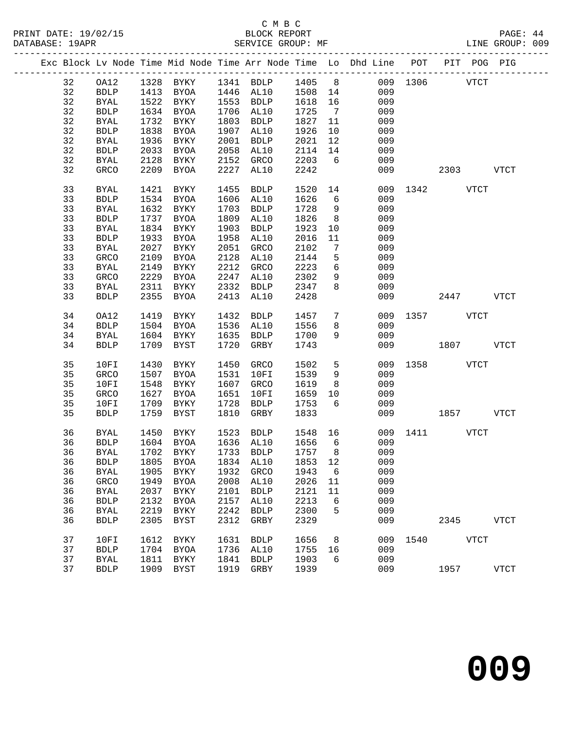|  |    |             |      |             |      | Exc Block Lv Node Time Mid Node Time Arr Node Time Lo Dhd Line POT |         |                 |     |               |           | PIT POG PIG |             |
|--|----|-------------|------|-------------|------|--------------------------------------------------------------------|---------|-----------------|-----|---------------|-----------|-------------|-------------|
|  | 32 | OA12        |      |             |      | 1328 BYKY 1341 BDLP 1405 8<br>1413 BYOA 1446 AL10 1508 14          |         |                 |     | 009 1306 VTCT |           |             |             |
|  | 32 | <b>BDLP</b> |      |             |      |                                                                    |         |                 | 009 |               |           |             |             |
|  | 32 | <b>BYAL</b> | 1522 | BYKY        |      | 1553 BDLP                                                          | 1618    | 16              | 009 |               |           |             |             |
|  | 32 | <b>BDLP</b> | 1634 | BYOA        |      | 1706 AL10                                                          | 1725    | $\overline{7}$  | 009 |               |           |             |             |
|  | 32 | <b>BYAL</b> | 1732 | BYKY        | 1803 | BDLP                                                               | 1827    | 11              | 009 |               |           |             |             |
|  | 32 | <b>BDLP</b> | 1838 | BYOA        | 1907 | AL10                                                               | 1926    | 10              | 009 |               |           |             |             |
|  | 32 | <b>BYAL</b> | 1936 | BYKY        | 2001 | BDLP                                                               | 2021    | 12              | 009 |               |           |             |             |
|  | 32 | <b>BDLP</b> | 2033 | BYOA        | 2058 | AL10                                                               | 2114    | 14              | 009 |               |           |             |             |
|  | 32 |             | 2128 |             | 2152 |                                                                    | 2203    | 6               | 009 |               |           |             |             |
|  | 32 | BYAL        |      | BYKY        |      | GRCO                                                               |         |                 |     |               |           |             |             |
|  |    | GRCO        | 2209 | BYOA        | 2227 | AL10                                                               | 2242    |                 | 009 |               | 2303      |             | VTCT        |
|  | 33 | <b>BYAL</b> | 1421 | BYKY        | 1455 | <b>BDLP</b>                                                        | 1520    | 14              |     | 009 1342 VTCT |           |             |             |
|  | 33 | <b>BDLP</b> | 1534 | BYOA        | 1606 | AL10                                                               | 1626    | 6               | 009 |               |           |             |             |
|  | 33 | <b>BYAL</b> | 1632 | BYKY        | 1703 | <b>BDLP</b>                                                        | 1728    | 9               | 009 |               |           |             |             |
|  | 33 | <b>BDLP</b> | 1737 | BYOA        | 1809 | AL10                                                               | 1826    | 8 <sup>8</sup>  | 009 |               |           |             |             |
|  | 33 | BYAL        | 1834 | BYKY        | 1903 | <b>BDLP</b>                                                        | 1923    | 10              | 009 |               |           |             |             |
|  | 33 | <b>BDLP</b> | 1933 | BYOA        | 1958 | AL10                                                               | 2016    | 11              | 009 |               |           |             |             |
|  | 33 | <b>BYAL</b> | 2027 | BYKY        | 2051 | GRCO                                                               | 2102    | 7               | 009 |               |           |             |             |
|  | 33 | GRCO        | 2109 | BYOA        | 2128 | AL10                                                               | 2144    | 5               | 009 |               |           |             |             |
|  | 33 | BYAL        | 2149 | BYKY        | 2212 | GRCO                                                               | 2223    | 6               | 009 |               |           |             |             |
|  | 33 | GRCO        | 2229 | BYOA        | 2247 | AL10                                                               | 2302    | 9               | 009 |               |           |             |             |
|  | 33 | <b>BYAL</b> | 2311 | BYKY        | 2332 | BDLP                                                               | 2347    | 8               | 009 |               |           |             |             |
|  | 33 | <b>BDLP</b> | 2355 | BYOA        | 2413 | AL10                                                               | 2428    |                 | 009 |               | 2447      |             | <b>VTCT</b> |
|  |    |             |      |             |      |                                                                    |         |                 |     |               |           |             |             |
|  | 34 | OA12        | 1419 | <b>BYKY</b> | 1432 | <b>BDLP</b>                                                        | 1457    | $7\phantom{.0}$ | 009 |               | 1357 VTCT |             |             |
|  | 34 | <b>BDLP</b> | 1504 | BYOA        |      | 1536 AL10                                                          | 1556    | 8               | 009 |               |           |             |             |
|  | 34 | <b>BYAL</b> | 1604 | BYKY        | 1635 | BDLP                                                               | 1700    | 9               | 009 |               |           |             |             |
|  | 34 | <b>BDLP</b> | 1709 | BYST        | 1720 | GRBY                                                               | 1743    |                 | 009 |               | 1807      |             | <b>VTCT</b> |
|  |    |             |      |             |      |                                                                    |         |                 |     |               |           |             |             |
|  | 35 | 10FI        | 1430 | BYKY        | 1450 | GRCO                                                               | 1502    | 5               | 009 | 1358 VTCT     |           |             |             |
|  | 35 | GRCO        | 1507 | BYOA        | 1531 | 10FI                                                               | 1539    | 9               | 009 |               |           |             |             |
|  | 35 | 10FI        | 1548 | BYKY        | 1607 | GRCO                                                               | 1619    | 8               | 009 |               |           |             |             |
|  | 35 | GRCO        | 1627 | BYOA        | 1651 | 10FI                                                               | 1659    | 10              | 009 |               |           |             |             |
|  | 35 | 10FI        | 1709 | BYKY        | 1728 | <b>BDLP</b>                                                        | 1753    | 6               | 009 |               |           |             |             |
|  | 35 | <b>BDLP</b> | 1759 | BYST        | 1810 | GRBY                                                               | 1833    |                 |     | 009           | 1857      |             | <b>VTCT</b> |
|  |    |             |      |             | 1523 |                                                                    |         |                 |     |               |           |             |             |
|  | 36 | BYAL        | 1450 | BYKY        |      | BDLP                                                               | 1548 16 |                 |     | 009 1411 VTCT |           |             |             |
|  | 36 | <b>BDLP</b> | 1604 | BYOA        |      | 1636 AL10                                                          | 1656    | $6\overline{6}$ | 009 |               |           |             |             |
|  | 36 | <b>BYAL</b> |      | 1702 BYKY   |      | 1733 BDLP                                                          | 1757    | 8               | 009 |               |           |             |             |
|  |    |             |      |             |      | 36 BDLP 1805 BYOA 1834 AL10 1853 12                                |         |                 | 009 |               |           |             |             |
|  | 36 | <b>BYAL</b> | 1905 | BYKY        | 1932 | <b>GRCO</b>                                                        | 1943    | 6               | 009 |               |           |             |             |
|  | 36 | GRCO        | 1949 | BYOA        | 2008 | AL10                                                               | 2026    | 11              | 009 |               |           |             |             |
|  | 36 | <b>BYAL</b> | 2037 | BYKY        | 2101 | <b>BDLP</b>                                                        | 2121    | 11              | 009 |               |           |             |             |
|  | 36 | <b>BDLP</b> | 2132 | BYOA        | 2157 | AL10                                                               | 2213    | 6               | 009 |               |           |             |             |
|  | 36 | <b>BYAL</b> | 2219 | BYKY        | 2242 | <b>BDLP</b>                                                        | 2300    | 5               | 009 |               |           |             |             |
|  | 36 | <b>BDLP</b> | 2305 | BYST        | 2312 | GRBY                                                               | 2329    |                 | 009 |               | 2345      |             | <b>VTCT</b> |
|  | 37 | 10FI        | 1612 | BYKY        | 1631 | <b>BDLP</b>                                                        | 1656    | 8               | 009 | 1540          |           | <b>VTCT</b> |             |
|  | 37 | <b>BDLP</b> | 1704 | BYOA        | 1736 | AL10                                                               | 1755    | 16              | 009 |               |           |             |             |
|  | 37 | <b>BYAL</b> | 1811 | BYKY        | 1841 | <b>BDLP</b>                                                        | 1903    | 6               | 009 |               |           |             |             |
|  | 37 | <b>BDLP</b> | 1909 | BYST        | 1919 | GRBY                                                               | 1939    |                 | 009 |               | 1957      |             | <b>VTCT</b> |
|  |    |             |      |             |      |                                                                    |         |                 |     |               |           |             |             |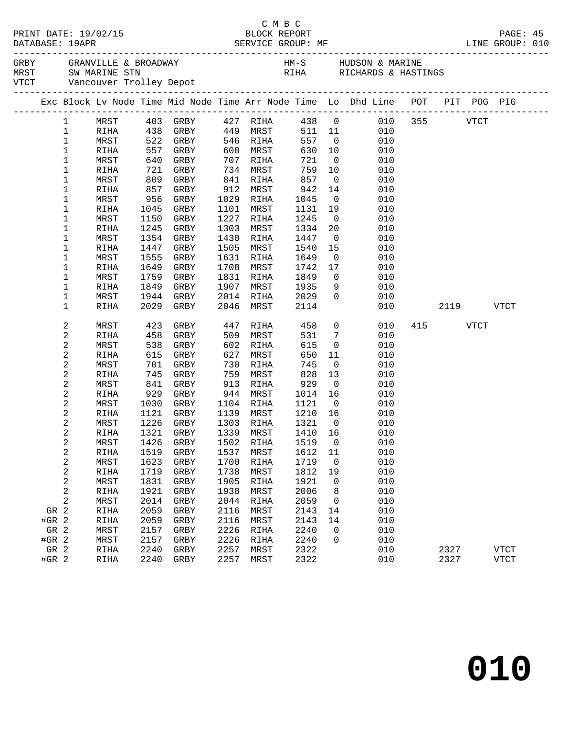|                                                                                |              |              |                                      |              |      |                   |              |                      |              |                         |                |            |     |      | PAGE: 45<br>LINE GROUP: 010 |  |
|--------------------------------------------------------------------------------|--------------|--------------|--------------------------------------|--------------|------|-------------------|--------------|----------------------|--------------|-------------------------|----------------|------------|-----|------|-----------------------------|--|
|                                                                                |              |              |                                      |              |      |                   |              |                      |              |                         |                |            |     |      |                             |  |
| Exc Block Lv Node Time Mid Node Time Arr Node Time Lo Dhd Line POT PIT POG PIG |              |              |                                      |              |      |                   |              |                      |              |                         |                |            |     |      |                             |  |
| $\mathbf{1}$                                                                   | MRST         |              | 403 GRBY 427 RIHA 438 0 010 355 VTCT |              |      |                   |              |                      |              |                         |                |            |     |      |                             |  |
| $\mathbf{1}$                                                                   | RIHA         |              |                                      |              |      |                   |              |                      |              | 511 11                  |                | 010        |     |      |                             |  |
| $\mathbf 1$                                                                    |              | MRST         |                                      |              |      |                   |              |                      |              | 557 0                   |                | 010        |     |      |                             |  |
| $\mathbf 1$                                                                    |              | RIHA         | 522 GRBY<br>557 GRBY<br>640 GRBY     |              |      |                   |              | 546 RIHA<br>608 MRST | 630 10       |                         |                | 010        |     |      |                             |  |
| 1                                                                              |              | MRST         |                                      |              |      |                   | 707 RIHA     |                      | 721          | $\overline{0}$          |                | 010        |     |      |                             |  |
| 1                                                                              |              | RIHA         | 721                                  | GRBY         |      |                   | 734 MRST     |                      | 759 10       |                         |                | 010        |     |      |                             |  |
| 1                                                                              |              | MRST         | 809                                  | GRBY         |      | 841               | RIHA         |                      | 857          | $\overline{0}$          |                | 010        |     |      |                             |  |
| 1                                                                              |              | RIHA         | 857                                  | GRBY         |      |                   | 912 MRST     |                      | 942          | 14                      |                | 010        |     |      |                             |  |
| 1                                                                              |              | MRST         | 956                                  | GRBY         |      | 1029 RIHA         |              |                      | 1045         | $\overline{0}$          |                | 010        |     |      |                             |  |
| 1                                                                              |              | RIHA         | 1045                                 | GRBY         |      | 1101              | MRST         |                      | 1131 19      |                         |                | 010        |     |      |                             |  |
| 1                                                                              |              | MRST         | 1150                                 | GRBY         |      | 1227              | RIHA         |                      | 1245         | $\overline{0}$          |                | 010        |     |      |                             |  |
| 1                                                                              |              | RIHA         | 1245                                 | GRBY         |      | 1303              | MRST         |                      | 1334         | 20                      |                | 010        |     |      |                             |  |
| 1                                                                              |              | MRST         | 1354                                 | GRBY         |      | 1430              | RIHA         |                      | 1447         | $\overline{0}$          |                | 010        |     |      |                             |  |
| 1                                                                              |              | RIHA         | 1447                                 | GRBY         |      | 1505              | MRST         |                      | 1540         | 15                      |                | 010        |     |      |                             |  |
| 1                                                                              |              | MRST         | 1555                                 | GRBY         |      | 1631              | RIHA         |                      | 1649         | $\overline{\mathbf{0}}$ |                | 010        |     |      |                             |  |
| 1                                                                              |              | RIHA         | 1649                                 | GRBY         |      | 1708              | MRST         |                      | 1742         | 17                      |                | 010        |     |      |                             |  |
| 1                                                                              |              | MRST         | 1759                                 | GRBY<br>GRBY |      | 1831 RIHA<br>1907 | MRST         |                      | 1849<br>1935 | $\overline{0}$<br>9     |                | 010<br>010 |     |      |                             |  |
| 1<br>1                                                                         |              | RIHA<br>MRST | 1849<br>1944                         | GRBY         |      | 2014 RIHA         |              |                      | 2029         | $\Omega$                |                | 010        |     |      |                             |  |
| 1                                                                              |              | RIHA         | 2029                                 | GRBY         |      | 2046              | MRST         |                      | 2114         |                         |                | 010        |     | 2119 | <b>VTCT</b>                 |  |
|                                                                                |              |              |                                      |              |      |                   |              |                      |              |                         |                |            |     |      |                             |  |
| 2                                                                              |              | MRST         | 423                                  |              | GRBY | 447               |              | RIHA                 | 458          |                         | $\overline{0}$ | 010        | 415 | VTCT |                             |  |
| 2                                                                              |              | RIHA         | 458                                  | GRBY         |      | 509               | MRST         |                      | 531          | $\overline{7}$          |                | 010        |     |      |                             |  |
| 2                                                                              |              | MRST         | 538                                  | GRBY         |      | 602               | RIHA         |                      | 615          | $\overline{0}$          |                | 010        |     |      |                             |  |
| $\sqrt{2}$                                                                     |              | RIHA         | 615                                  | GRBY         |      | 627               | MRST         |                      | 650          | 11                      |                | 010        |     |      |                             |  |
| 2                                                                              |              | MRST         | 701                                  | GRBY         |      | 730               | RIHA         |                      | 745          | $\overline{0}$          |                | 010        |     |      |                             |  |
| $\sqrt{2}$                                                                     |              | RIHA         | 745                                  | GRBY         |      | 759               | MRST         |                      | 828          | 13                      |                | 010        |     |      |                             |  |
| 2                                                                              |              | MRST         | 841                                  | GRBY         |      | 913               | RIHA         |                      | 929          | $\overline{\mathbf{0}}$ |                | 010        |     |      |                             |  |
| $\sqrt{2}$                                                                     |              | RIHA         | 929                                  | GRBY         |      | 944               | MRST         |                      | 1014 16      |                         |                | 010        |     |      |                             |  |
| 2                                                                              |              | MRST         | 1030                                 | GRBY         |      | 1104 RIHA         |              |                      | 1121         | $\overline{0}$          |                | 010        |     |      |                             |  |
| 2                                                                              |              | RIHA         | 1121                                 | GRBY         |      | 1139 MRST         |              |                      | 1210 16      |                         |                | 010        |     |      |                             |  |
| 2                                                                              |              | MRST         | 1226                                 | GRBY         |      | 1303 RIHA         |              |                      | 1321         | $\overline{0}$          |                | 010        |     |      |                             |  |
| 2                                                                              |              | RIHA         |                                      | 1321 GRBY    |      | 1339 MRST         |              |                      | 1410 16      |                         |                | 010        |     |      |                             |  |
| $\boldsymbol{2}$                                                               |              |              | MRST 1426 GRBY 1502 RIHA 1519 0      |              |      |                   |              |                      |              |                         |                | 010        |     |      |                             |  |
| 2                                                                              | RIHA         |              | 1519                                 | GRBY         |      | 1537              | MRST         |                      | 1612         | 11                      |                | 010        |     |      |                             |  |
| 2                                                                              | MRST         |              | 1623<br>1719                         | GRBY         |      | 1700<br>1738      | RIHA         |                      | 1719<br>1812 | 0                       |                | 010<br>010 |     |      |                             |  |
| $\sqrt{2}$<br>$\sqrt{2}$                                                       | RIHA         |              | 1831                                 | GRBY         |      | 1905              | MRST         |                      | 1921         | 19<br>0                 |                | 010        |     |      |                             |  |
| 2                                                                              | MRST<br>RIHA |              | 1921                                 | GRBY<br>GRBY |      | 1938              | RIHA<br>MRST |                      | 2006         |                         |                | 010        |     |      |                             |  |
| 2                                                                              | MRST         |              | 2014                                 | GRBY         |      | 2044              | RIHA         |                      | 2059         | 8<br>0                  |                | 010        |     |      |                             |  |
| GR 2                                                                           | RIHA         |              | 2059                                 | GRBY         |      | 2116              | MRST         |                      | 2143         | 14                      |                | 010        |     |      |                             |  |
| #GR 2                                                                          | RIHA         |              | 2059                                 | GRBY         |      | 2116              | MRST         |                      | 2143         | 14                      |                | 010        |     |      |                             |  |
| GR 2                                                                           | MRST         |              | 2157                                 | GRBY         |      | 2226              | RIHA         |                      | 2240         | 0                       |                | 010        |     |      |                             |  |
| #GR 2                                                                          | MRST         |              | 2157                                 | GRBY         |      | 2226              | RIHA         |                      | 2240         | $\Omega$                |                | 010        |     |      |                             |  |
| GR 2                                                                           | RIHA         |              | 2240                                 | GRBY         |      | 2257              | MRST         |                      | 2322         |                         |                | 010        |     | 2327 | <b>VTCT</b>                 |  |
| #GR 2                                                                          | RIHA         |              | 2240                                 | GRBY         |      | 2257              | MRST         |                      | 2322         |                         |                | 010        |     | 2327 | <b>VTCT</b>                 |  |
|                                                                                |              |              |                                      |              |      |                   |              |                      |              |                         |                |            |     |      |                             |  |

C M B C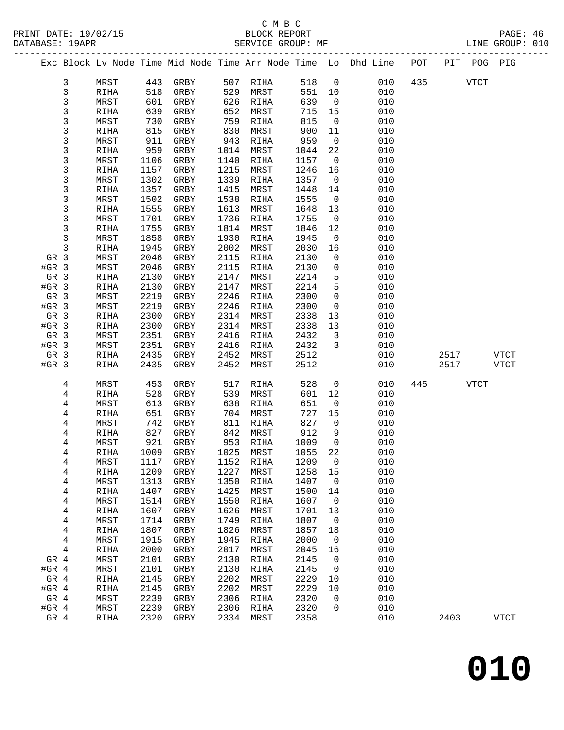|                              |              |              |              |              |              |              |                         | Exc Block Lv Node Time Mid Node Time Arr Node Time Lo Dhd Line POT |     |             | PIT POG PIG |             |
|------------------------------|--------------|--------------|--------------|--------------|--------------|--------------|-------------------------|--------------------------------------------------------------------|-----|-------------|-------------|-------------|
| 3                            | MRST         | 443          | GRBY         | 507          | RIHA         | 518          | $\overline{0}$          | 010                                                                | 435 |             | <b>VTCT</b> |             |
| $\mathbf{3}$                 | RIHA         | 518          | GRBY         | 529          | MRST         | 551          | 10                      | 010                                                                |     |             |             |             |
| $\mathfrak{Z}$               | MRST         | 601          | GRBY         | 626          | RIHA         | 639          | $\overline{\mathbf{0}}$ | 010                                                                |     |             |             |             |
| $\mathsf{3}$                 | RIHA         | 639          | GRBY         | 652          | MRST         | 715          | 15                      | 010                                                                |     |             |             |             |
| 3                            | MRST         | 730          | GRBY         | 759          | RIHA         | 815          | $\overline{0}$          | 010                                                                |     |             |             |             |
| 3                            | RIHA         | 815          | GRBY         | 830          | MRST         | 900          | 11                      | 010                                                                |     |             |             |             |
| $\mathbf{3}$                 | MRST         | 911          | GRBY         | 943          | RIHA         | 959          | $\overline{0}$          | 010                                                                |     |             |             |             |
| $\mathbf{3}$                 | RIHA         | 959          | GRBY         | 1014         | MRST         | 1044         | 22                      | 010                                                                |     |             |             |             |
| $\mathbf{3}$                 | MRST         | 1106         | GRBY         | 1140         | RIHA         | 1157         | $\overline{0}$          | 010                                                                |     |             |             |             |
| 3                            | RIHA         | 1157         | GRBY         | 1215         | MRST         | 1246         | 16                      | 010                                                                |     |             |             |             |
| $\mathbf{3}$                 | MRST         | 1302         | GRBY         | 1339         | RIHA         | 1357         | $\overline{\mathbf{0}}$ | 010                                                                |     |             |             |             |
| $\mathbf{3}$                 | RIHA         | 1357         | GRBY         | 1415         | MRST         | 1448         | 14                      | 010                                                                |     |             |             |             |
| 3                            | MRST         | 1502         | GRBY         | 1538         | RIHA         | 1555         | $\overline{0}$          | 010<br>010                                                         |     |             |             |             |
| 3<br>$\mathbf{3}$            | RIHA<br>MRST | 1555<br>1701 | GRBY<br>GRBY | 1613<br>1736 | MRST<br>RIHA | 1648<br>1755 | 13<br>$\overline{0}$    | 010                                                                |     |             |             |             |
| 3                            | RIHA         | 1755         | GRBY         | 1814         | MRST         | 1846         | 12                      | 010                                                                |     |             |             |             |
| 3                            | MRST         | 1858         | GRBY         | 1930         | RIHA         | 1945         | $\overline{0}$          | 010                                                                |     |             |             |             |
| 3                            | RIHA         | 1945         | GRBY         | 2002         | MRST         | 2030         | 16                      | 010                                                                |     |             |             |             |
| GR 3                         | MRST         | 2046         | GRBY         | 2115         | RIHA         | 2130         | 0                       | 010                                                                |     |             |             |             |
| $#GR$ 3                      | MRST         | 2046         | GRBY         | 2115         | RIHA         | 2130         | 0                       | 010                                                                |     |             |             |             |
| GR 3                         | RIHA         | 2130         | GRBY         | 2147         | MRST         | 2214         | 5                       | 010                                                                |     |             |             |             |
| $#GR$ 3                      | RIHA         | 2130         | GRBY         | 2147         | MRST         | 2214         | 5                       | 010                                                                |     |             |             |             |
| GR 3                         | MRST         | 2219         | GRBY         | 2246         | RIHA         | 2300         | $\mathbf 0$             | 010                                                                |     |             |             |             |
| $#GR$ 3                      | MRST         | 2219         | GRBY         | 2246         | RIHA         | 2300         | $\overline{0}$          | 010                                                                |     |             |             |             |
| GR 3                         | RIHA         | 2300         | GRBY         | 2314         | MRST         | 2338         | 13                      | 010                                                                |     |             |             |             |
| $#GR$ 3                      | RIHA         | 2300         | GRBY         | 2314         | MRST         | 2338         | 13                      | 010                                                                |     |             |             |             |
| GR 3                         | MRST         | 2351         | GRBY         | 2416         | RIHA         | 2432         | $\overline{3}$          | 010                                                                |     |             |             |             |
| $#GR$ 3                      | MRST         | 2351         | GRBY         | 2416         | RIHA         | 2432         | 3                       | 010                                                                |     |             |             |             |
| GR 3                         | RIHA         | 2435         | GRBY         | 2452         | MRST         | 2512         |                         | 010                                                                |     | 2517        |             | <b>VTCT</b> |
| $#GR$ 3                      | RIHA         | 2435         | GRBY         | 2452         | MRST         | 2512         |                         | 010                                                                |     | 2517        |             | VTCT        |
| 4                            | MRST         | 453          | GRBY         | 517          | RIHA         | 528          | $\mathsf{O}$            | 010                                                                | 445 | <b>VTCT</b> |             |             |
| 4                            | RIHA         | 528          | GRBY         | 539          | MRST         | 601          | 12                      | 010                                                                |     |             |             |             |
| 4                            | MRST         | 613          | GRBY         | 638          | RIHA         | 651          | $\mathsf{O}$            | 010                                                                |     |             |             |             |
| 4                            | RIHA         | 651          | GRBY         | 704          | MRST         | 727          | 15                      | 010                                                                |     |             |             |             |
| 4                            | MRST         | 742          | GRBY         | 811          | RIHA         | 827          | 0                       | 010                                                                |     |             |             |             |
| 4                            | RIHA         | 827          | GRBY         | 842          | MRST         | 912          | 9                       | 010                                                                |     |             |             |             |
| 4                            | MRST         | 921          | GRBY         | 953          | RIHA         | 1009         | $\overline{0}$          | 010                                                                |     |             |             |             |
| 4                            | RIHA         |              | 1009 GRBY    | 1025         | MRST         | 1055         | 22                      | 010                                                                |     |             |             |             |
| 4                            | ${\tt MRST}$ | 1117         | GRBY         |              | 1152 RIHA    | 1209         | $\overline{0}$          | 010                                                                |     |             |             |             |
| 4                            | RIHA         | 1209         | GRBY         | 1227         | MRST         | 1258         | 15                      | 010                                                                |     |             |             |             |
| 4                            | MRST         | 1313         | GRBY         | 1350         | RIHA         | 1407         | 0                       | 010                                                                |     |             |             |             |
| 4                            | RIHA         | 1407         | GRBY         | 1425         | MRST         | 1500         | 14                      | 010<br>010                                                         |     |             |             |             |
| 4                            | MRST<br>RIHA | 1514<br>1607 | GRBY<br>GRBY | 1550<br>1626 | RIHA<br>MRST | 1607<br>1701 | 0<br>13                 | 010                                                                |     |             |             |             |
| 4<br>$\overline{\mathbf{4}}$ | MRST         | 1714         | GRBY         | 1749         | RIHA         | 1807         | 0                       | 010                                                                |     |             |             |             |
| 4                            | RIHA         | 1807         | GRBY         | 1826         | MRST         | 1857         | 18                      | 010                                                                |     |             |             |             |
| 4                            | MRST         | 1915         | GRBY         | 1945         | RIHA         | 2000         | 0                       | 010                                                                |     |             |             |             |
| 4                            | RIHA         | 2000         | GRBY         | 2017         | MRST         | 2045         | 16                      | 010                                                                |     |             |             |             |
| GR 4                         | MRST         | 2101         | GRBY         | 2130         | RIHA         | 2145         | 0                       | 010                                                                |     |             |             |             |
| #GR $4$                      | MRST         | 2101         | GRBY         | 2130         | RIHA         | 2145         | 0                       | 010                                                                |     |             |             |             |
| GR 4                         | RIHA         | 2145         | GRBY         | 2202         | MRST         | 2229         | 10                      | 010                                                                |     |             |             |             |
| $#GR$ 4                      | RIHA         | 2145         | GRBY         | 2202         | MRST         | 2229         | $10$                    | 010                                                                |     |             |             |             |
| GR 4                         | MRST         | 2239         | GRBY         | 2306         | RIHA         | 2320         | 0                       | 010                                                                |     |             |             |             |
| #GR $4$                      | MRST         | 2239         | GRBY         | 2306         | RIHA         | 2320         | 0                       | 010                                                                |     |             |             |             |
| GR 4                         | RIHA         | 2320         | GRBY         | 2334         | MRST         | 2358         |                         | 010                                                                |     | 2403        |             | <b>VTCT</b> |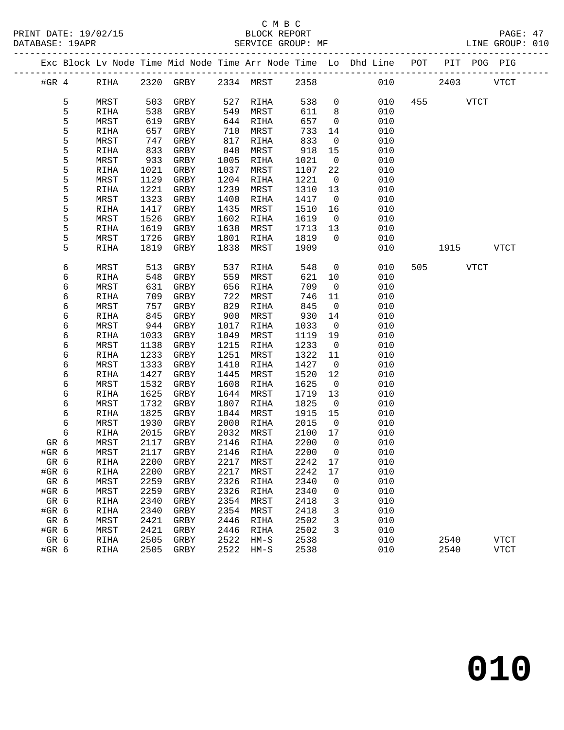|               |   |              |              |              |              |                   |              |                               | Exc Block Lv Node Time Mid Node Time Arr Node Time Lo Dhd Line POT |     |      |             | PIT POG PIG |  |
|---------------|---|--------------|--------------|--------------|--------------|-------------------|--------------|-------------------------------|--------------------------------------------------------------------|-----|------|-------------|-------------|--|
| #GR $4$       |   | RIHA         |              | 2320 GRBY    |              | 2334 MRST         | 2358         |                               | 010                                                                |     | 2403 |             | <b>VTCT</b> |  |
|               | 5 | MRST         | 503          | GRBY         | 527          | RIHA              | 538          | $\mathsf{O}$                  | 010                                                                | 455 |      | <b>VTCT</b> |             |  |
|               | 5 | RIHA         | 538          | GRBY         | 549          | MRST              | 611          | 8                             | 010                                                                |     |      |             |             |  |
|               | 5 | MRST         | 619          | GRBY         | 644          | RIHA              | 657          | $\mathbf 0$                   | 010                                                                |     |      |             |             |  |
|               | 5 | RIHA         | 657          | GRBY         | 710          | MRST              | 733          | 14                            | 010                                                                |     |      |             |             |  |
|               | 5 | MRST         | 747          | GRBY         | 817          | RIHA              | 833          | $\mathsf{O}$                  | 010                                                                |     |      |             |             |  |
|               | 5 | RIHA         | 833          | GRBY         | 848          | MRST              | 918          | 15                            | 010                                                                |     |      |             |             |  |
|               | 5 | MRST         | 933          | GRBY         | 1005         | RIHA              | 1021         | $\mathsf{O}$                  | 010                                                                |     |      |             |             |  |
|               | 5 | RIHA         | 1021         | GRBY         | 1037         | MRST              | 1107         | 22                            | 010                                                                |     |      |             |             |  |
|               | 5 | MRST         | 1129         | GRBY         | 1204         | RIHA              | 1221         | $\overline{0}$                | 010                                                                |     |      |             |             |  |
|               | 5 | RIHA         | 1221         | GRBY         | 1239         | MRST              | 1310         | 13                            | 010                                                                |     |      |             |             |  |
|               | 5 | MRST         | 1323         | GRBY         | 1400         | RIHA              | 1417         | $\overline{0}$                | 010                                                                |     |      |             |             |  |
|               | 5 | RIHA         | 1417         | GRBY         | 1435         | MRST              | 1510         | 16                            | 010                                                                |     |      |             |             |  |
|               | 5 | MRST         | 1526         | GRBY         | 1602         | RIHA              | 1619         | $\overline{0}$                | 010                                                                |     |      |             |             |  |
|               | 5 | RIHA         | 1619         | GRBY         | 1638         | MRST              | 1713         | 13                            | 010                                                                |     |      |             |             |  |
|               | 5 | MRST         | 1726         | GRBY         | 1801         | RIHA              | 1819         | $\mathbf 0$                   | 010                                                                |     |      |             |             |  |
|               | 5 | RIHA         | 1819         | GRBY         | 1838         | MRST              | 1909         |                               | 010                                                                |     | 1915 |             | VTCT        |  |
|               | 6 | MRST         | 513          | GRBY         | 537          | RIHA              | 548          | $\mathsf{O}$                  | 010                                                                | 505 |      | <b>VTCT</b> |             |  |
|               | 6 | RIHA         | 548          | GRBY         | 559          | MRST              | 621          | 10                            | 010                                                                |     |      |             |             |  |
|               | 6 | MRST         | 631          | GRBY         | 656          | RIHA              | 709          | $\mathbf 0$                   | 010                                                                |     |      |             |             |  |
|               | 6 | RIHA         | 709          | GRBY         | 722          | MRST              | 746          | 11                            | 010                                                                |     |      |             |             |  |
|               | 6 | MRST         | 757          | GRBY         | 829          | RIHA              | 845          | $\mathsf{O}$                  | 010                                                                |     |      |             |             |  |
|               | 6 | RIHA         | 845          | GRBY         | 900          | MRST              | 930          | 14                            | 010                                                                |     |      |             |             |  |
|               | 6 | MRST         | 944          | GRBY         | 1017         | RIHA              | 1033         | 0                             | 010                                                                |     |      |             |             |  |
|               | 6 | RIHA         | 1033         | GRBY         | 1049         | MRST              | 1119         | 19                            | 010                                                                |     |      |             |             |  |
|               | 6 | MRST         | 1138         | GRBY         | 1215         | RIHA              | 1233         | $\overline{0}$                | 010                                                                |     |      |             |             |  |
|               | 6 | RIHA         | 1233         | GRBY         | 1251         | MRST              | 1322         | 11                            | 010                                                                |     |      |             |             |  |
|               | 6 | MRST         | 1333         | GRBY         | 1410         | RIHA              | 1427         | $\mathsf{O}$                  | 010                                                                |     |      |             |             |  |
|               | 6 | RIHA         | 1427         | GRBY         | 1445         | MRST              | 1520         | 12                            | 010                                                                |     |      |             |             |  |
|               | 6 | MRST         | 1532         | GRBY         | 1608         | RIHA              | 1625         | $\overline{0}$                | 010                                                                |     |      |             |             |  |
|               | 6 | RIHA         | 1625         | GRBY         | 1644         | MRST              | 1719         | 13                            | 010                                                                |     |      |             |             |  |
|               | 6 | MRST         | 1732         | GRBY         | 1807         | RIHA              | 1825         | $\mathbf 0$                   | 010                                                                |     |      |             |             |  |
|               | 6 | RIHA         | 1825         | GRBY         | 1844         | MRST              | 1915         | 15                            | 010                                                                |     |      |             |             |  |
|               | 6 | MRST         | 1930         | GRBY         | 2000         | RIHA              | 2015         | $\overline{0}$                | 010                                                                |     |      |             |             |  |
|               | 6 | RIHA         | 2015         | GRBY         | 2032         | MRST              | 2100         | 17                            | 010                                                                |     |      |             |             |  |
| GR 6          |   | MRST<br>MRST | 2117<br>2117 | GRBY<br>GRBY | 2146<br>2146 | RIHA              | 2200<br>2200 | $\overline{0}$<br>$\mathbf 0$ | 010<br>010                                                         |     |      |             |             |  |
| #GR 6<br>GR 6 |   | RIHA         |              | 2200 GRBY    |              | RIHA<br>2217 MRST | 2242 17      |                               | 010                                                                |     |      |             |             |  |
| #GR 6         |   |              | 2200         | GRBY         | 2217         | MRST              | 2242         | 17                            | 010                                                                |     |      |             |             |  |
| GR 6          |   | RIHA<br>MRST | 2259         | GRBY         | 2326         | RIHA              | 2340         | 0                             | 010                                                                |     |      |             |             |  |
| #GR 6         |   | MRST         | 2259         | GRBY         | 2326         | RIHA              | 2340         | 0                             | 010                                                                |     |      |             |             |  |
| GR 6          |   | RIHA         | 2340         | GRBY         | 2354         | MRST              | 2418         | 3                             | 010                                                                |     |      |             |             |  |
| #GR 6         |   | RIHA         | 2340         | ${\tt GRBY}$ | 2354         | MRST              | 2418         | 3                             | 010                                                                |     |      |             |             |  |
| GR 6          |   | MRST         | 2421         | ${\tt GRBY}$ | 2446         | RIHA              | 2502         | 3                             | 010                                                                |     |      |             |             |  |
| #GR 6         |   | MRST         | 2421         | ${\tt GRBY}$ | 2446         | RIHA              | 2502         | 3                             | 010                                                                |     |      |             |             |  |
| GR 6          |   | RIHA         | 2505         | ${\tt GRBY}$ | 2522         | $HM-S$            | 2538         |                               | 010                                                                |     | 2540 |             | <b>VTCT</b> |  |
| #GR 6         |   | RIHA         | 2505         | GRBY         | 2522         | $HM-S$            | 2538         |                               | 010                                                                |     | 2540 |             | <b>VTCT</b> |  |
|               |   |              |              |              |              |                   |              |                               |                                                                    |     |      |             |             |  |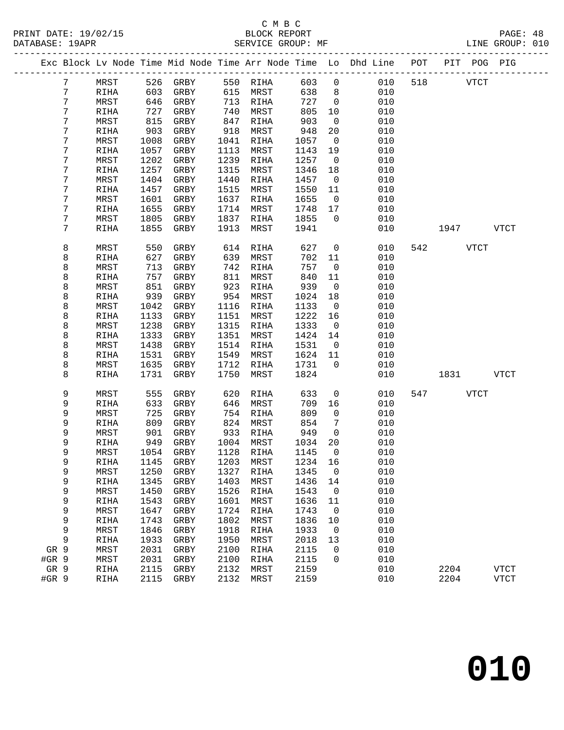#### C M B C<br>BLOCK REPORT SERVICE GROUP: MF

|                |               |      |              |      |           |         |                | Exc Block Lv Node Time Mid Node Time Arr Node Time Lo Dhd Line POT |     |             | PIT POG PIG |             |
|----------------|---------------|------|--------------|------|-----------|---------|----------------|--------------------------------------------------------------------|-----|-------------|-------------|-------------|
| $7\phantom{.}$ | MRST          |      | 526 GRBY     |      | 550 RIHA  | 603     | $\overline{0}$ | 010                                                                | 518 | <b>VTCT</b> |             |             |
| 7              | RIHA          | 603  | GRBY         | 615  | MRST      | 638     | 8 <sup>8</sup> | 010                                                                |     |             |             |             |
| 7              | MRST          | 646  | GRBY         | 713  | RIHA      | 727     | $\overline{0}$ | 010                                                                |     |             |             |             |
| 7              | RIHA          | 727  | GRBY         | 740  | MRST      | 805     | 10             | 010                                                                |     |             |             |             |
| 7              | MRST          | 815  | GRBY         | 847  | RIHA      | 903     | $\overline{0}$ | 010                                                                |     |             |             |             |
| 7              | RIHA          | 903  | GRBY         | 918  | MRST      | 948     | 20             | 010                                                                |     |             |             |             |
| 7              | MRST          | 1008 | GRBY         | 1041 | RIHA      | 1057    | $\overline{0}$ | 010                                                                |     |             |             |             |
| 7              | RIHA          | 1057 | GRBY         | 1113 | MRST      | 1143    | 19             | 010                                                                |     |             |             |             |
| 7              | MRST          | 1202 | GRBY         | 1239 | RIHA      | 1257    | $\overline{0}$ | 010                                                                |     |             |             |             |
| 7              | RIHA          | 1257 | GRBY         | 1315 | MRST      | 1346    | 18             | 010                                                                |     |             |             |             |
| 7              | MRST          | 1404 | GRBY         | 1440 | RIHA      | 1457    | $\overline{0}$ | 010                                                                |     |             |             |             |
| 7              | RIHA          | 1457 | GRBY         | 1515 | MRST      | 1550    | 11             | 010                                                                |     |             |             |             |
| 7              | MRST          | 1601 | GRBY         | 1637 | RIHA      | 1655    | $\overline{0}$ | 010                                                                |     |             |             |             |
| 7              | RIHA          | 1655 | GRBY         | 1714 | MRST      | 1748    | 17             | 010                                                                |     |             |             |             |
| 7              | MRST          | 1805 | GRBY         | 1837 | RIHA      | 1855    | $\overline{0}$ | 010                                                                |     |             |             |             |
| 7              | RIHA          | 1855 | GRBY         | 1913 | MRST      | 1941    |                | 010                                                                |     | 1947        |             | <b>VTCT</b> |
|                |               |      |              |      |           |         |                |                                                                    |     |             |             |             |
| 8              | MRST          | 550  | GRBY         | 614  | RIHA      | 627     | $\overline{0}$ | 010                                                                |     | 542         | VTCT        |             |
| 8              | RIHA          | 627  | GRBY         | 639  | MRST      | 702     | 11             | 010                                                                |     |             |             |             |
| 8              | MRST          | 713  | GRBY         | 742  | RIHA      | 757     | $\overline{0}$ | 010                                                                |     |             |             |             |
| 8              | RIHA          | 757  | GRBY         | 811  | MRST      | 840     | 11             | 010                                                                |     |             |             |             |
| 8              | MRST          | 851  | GRBY         | 923  | RIHA      | 939     | $\overline{0}$ | 010                                                                |     |             |             |             |
| 8              | RIHA          | 939  | GRBY         | 954  | MRST      | 1024    | 18             | 010                                                                |     |             |             |             |
| 8              | MRST          | 1042 | GRBY         | 1116 | RIHA      | 1133    | $\overline{0}$ | 010                                                                |     |             |             |             |
| 8              | RIHA          | 1133 | GRBY         | 1151 | MRST      | 1222    | 16             | 010                                                                |     |             |             |             |
| 8              | MRST          | 1238 | GRBY         | 1315 | RIHA      | 1333    | $\overline{0}$ | 010                                                                |     |             |             |             |
| 8              | RIHA          | 1333 | GRBY         | 1351 | MRST      | 1424    | 14             | 010                                                                |     |             |             |             |
| 8              | MRST          | 1438 | GRBY         | 1514 | RIHA      | 1531    | $\overline{0}$ | 010                                                                |     |             |             |             |
| 8              | RIHA          | 1531 | GRBY         | 1549 | MRST      | 1624    | 11             | 010                                                                |     |             |             |             |
| 8              | MRST          | 1635 | GRBY         | 1712 | RIHA      | 1731    | $\overline{0}$ | 010                                                                |     |             |             |             |
| 8              | RIHA          | 1731 | GRBY         | 1750 | MRST      | 1824    |                | 010                                                                |     | 1831        |             | VTCT        |
| 9              | MRST          | 555  | GRBY         | 620  | RIHA      | 633     | $\overline{0}$ | 010                                                                | 547 | VTCT        |             |             |
| 9              | RIHA          | 633  | GRBY         | 646  | MRST      | 709     | 16             | 010                                                                |     |             |             |             |
| 9              | MRST          | 725  | GRBY         | 754  | RIHA      | 809     | $\overline{0}$ | 010                                                                |     |             |             |             |
| 9              | RIHA          | 809  | GRBY         | 824  | MRST      | 854     | 7              | 010                                                                |     |             |             |             |
| 9              | MRST          | 901  | GRBY         | 933  | RIHA      | 949     | $\overline{0}$ | 010                                                                |     |             |             |             |
| 9              | RIHA          | 949  | GRBY         | 1004 | MRST      | 1034    | 20             | 010                                                                |     |             |             |             |
| 9              | MRST          | 1054 | GRBY         | 1128 | RIHA      | 1145    | $\overline{0}$ | 010                                                                |     |             |             |             |
| 9              | $\verb RIHA $ |      | 1145 GRBY    |      | 1203 MRST | 1234 16 |                | 010                                                                |     |             |             |             |
| 9              | MRST          | 1250 | GRBY         | 1327 | RIHA      | 1345    | 0              | 010                                                                |     |             |             |             |
| 9              | RIHA          | 1345 | GRBY         | 1403 | MRST      | 1436    | 14             | 010                                                                |     |             |             |             |
| 9              | MRST          | 1450 | GRBY         | 1526 | RIHA      | 1543    | $\overline{0}$ | 010                                                                |     |             |             |             |
| 9              | RIHA          | 1543 | ${\tt GRBY}$ | 1601 | MRST      | 1636    | 11             | 010                                                                |     |             |             |             |
| 9              | MRST          | 1647 | GRBY         | 1724 | RIHA      | 1743    | 0              | 010                                                                |     |             |             |             |
| 9              | RIHA          | 1743 | GRBY         | 1802 | MRST      | 1836    | 10             | 010                                                                |     |             |             |             |
| 9              | MRST          | 1846 | GRBY         | 1918 | RIHA      | 1933    | $\mathbf 0$    | 010                                                                |     |             |             |             |
| 9              | RIHA          | 1933 | GRBY         | 1950 | MRST      | 2018    | 13             | 010                                                                |     |             |             |             |
| GR 9           | MRST          | 2031 | GRBY         | 2100 | RIHA      | 2115    | 0              | 010                                                                |     |             |             |             |
| #GR 9          | MRST          | 2031 | GRBY         | 2100 | RIHA      | 2115    | $\Omega$       | 010                                                                |     |             |             |             |
| GR 9           | RIHA          | 2115 | GRBY         | 2132 | MRST      | 2159    |                | 010                                                                |     | 2204        |             | <b>VTCT</b> |
| #GR 9          | RIHA          | 2115 | GRBY         | 2132 | MRST      | 2159    |                | 010                                                                |     | 2204        |             | <b>VTCT</b> |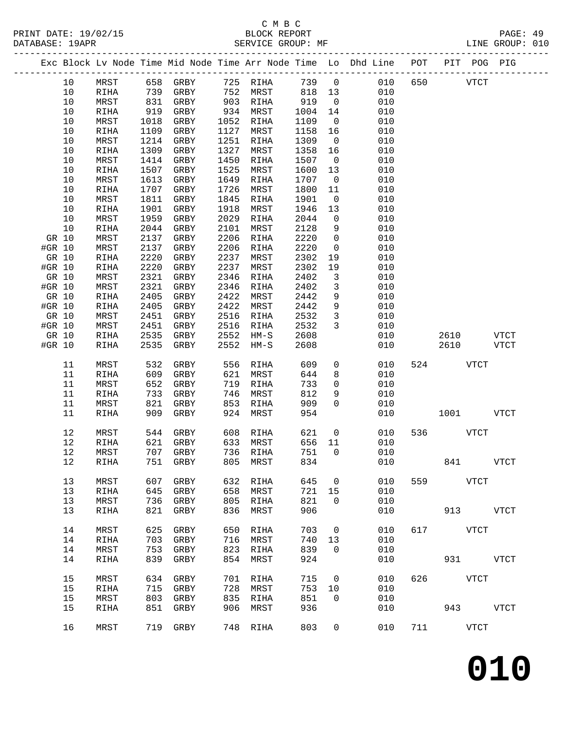## C M B C

| PRINT DATE: 19/02/15<br>DATABASE: 19APR |      |             |      |                                                |      |          |                   |                         | The Community of the Community of the Community of the Community of the Community of the Community of the Comm<br>SERVICE GROUP: MF SERVICE GROUP: ME |     |          |              |             |  |
|-----------------------------------------|------|-------------|------|------------------------------------------------|------|----------|-------------------|-------------------------|-------------------------------------------------------------------------------------------------------------------------------------------------------|-----|----------|--------------|-------------|--|
|                                         |      |             |      |                                                |      |          |                   |                         | Exc Block Lv Node Time Mid Node Time Arr Node Time Lo Dhd Line POT PIT POG PIG                                                                        |     |          |              |             |  |
|                                         | 10   | MRST        |      | 658 GRBY 725 RIHA                              |      |          |                   |                         | 739 0 010 650 VTCT                                                                                                                                    |     |          |              |             |  |
|                                         | 10   | RIHA        |      |                                                |      |          |                   |                         | 010                                                                                                                                                   |     |          |              |             |  |
|                                         | 10   | MRST        |      | 739 GRBY     752 MRST<br>831 GRBY     903 RIHA |      |          | 818  13<br>919  0 |                         | 010                                                                                                                                                   |     |          |              |             |  |
|                                         | 10   | RIHA        | 919  | GRBY 934 MRST                                  |      |          | 1004 14           |                         | 010                                                                                                                                                   |     |          |              |             |  |
|                                         | 10   | MRST        | 1018 | GRBY                                           | 1052 | RIHA     | 1109              |                         | $\overline{0}$<br>010                                                                                                                                 |     |          |              |             |  |
|                                         | 10   | RIHA        | 1109 | GRBY                                           | 1127 | MRST     | 1158              | 16                      | 010                                                                                                                                                   |     |          |              |             |  |
|                                         | 10   | MRST        | 1214 | GRBY                                           | 1251 | RIHA     | 1309              | $\overline{0}$          | 010                                                                                                                                                   |     |          |              |             |  |
|                                         | 10   | RIHA        | 1309 | GRBY                                           | 1327 | MRST     | 1358              | 16                      | 010                                                                                                                                                   |     |          |              |             |  |
|                                         | 10   | MRST        | 1414 | GRBY                                           | 1450 | RIHA     | 1507              | $\overline{0}$          | 010                                                                                                                                                   |     |          |              |             |  |
|                                         | 10   | RIHA        | 1507 | GRBY                                           | 1525 | MRST     | 1600              | 13                      | 010                                                                                                                                                   |     |          |              |             |  |
|                                         | 10   | MRST        | 1613 | GRBY                                           | 1649 | RIHA     | 1707              | $\overline{0}$          | 010                                                                                                                                                   |     |          |              |             |  |
|                                         | 10   | RIHA        | 1707 | GRBY                                           | 1726 | MRST     | 1800              | 11                      | 010                                                                                                                                                   |     |          |              |             |  |
|                                         | 10   | MRST        | 1811 | GRBY                                           | 1845 | RIHA     | 1901              | $\overline{0}$          | 010                                                                                                                                                   |     |          |              |             |  |
|                                         | 10   | RIHA        | 1901 | GRBY                                           | 1918 | MRST     | 1946              | 13                      | 010                                                                                                                                                   |     |          |              |             |  |
|                                         | 10   | MRST        | 1959 | GRBY                                           | 2029 | RIHA     | 2044              | $\overline{0}$          | 010                                                                                                                                                   |     |          |              |             |  |
|                                         | 10   | RIHA        | 2044 | GRBY                                           | 2101 | MRST     | 2128              | 9                       | 010                                                                                                                                                   |     |          |              |             |  |
| GR 10                                   |      | MRST        | 2137 | GRBY                                           | 2206 | RIHA     | 2220              | $\overline{0}$          | 010                                                                                                                                                   |     |          |              |             |  |
| #GR 10                                  |      | MRST        | 2137 | GRBY                                           | 2206 | RIHA     | 2220              | $\overline{0}$          | 010                                                                                                                                                   |     |          |              |             |  |
| GR 10                                   |      | RIHA        | 2220 | GRBY                                           | 2237 | MRST     | 2302              | 19                      | 010                                                                                                                                                   |     |          |              |             |  |
| #GR 10                                  |      | RIHA        | 2220 | GRBY                                           | 2237 | MRST     | 2302              | 19                      | 010                                                                                                                                                   |     |          |              |             |  |
| GR 10                                   |      | MRST        | 2321 | GRBY                                           | 2346 | RIHA     | 2402              | $\overline{\mathbf{3}}$ | 010                                                                                                                                                   |     |          |              |             |  |
| #GR 10                                  |      | MRST        | 2321 | GRBY                                           | 2346 | RIHA     | 2402              | $\mathbf{3}$            | 010                                                                                                                                                   |     |          |              |             |  |
| GR 10                                   |      | RIHA        | 2405 | GRBY                                           | 2422 | MRST     | 2442              | 9                       | 010                                                                                                                                                   |     |          |              |             |  |
| #GR 10                                  |      | RIHA        | 2405 | GRBY                                           | 2422 | MRST     | 2442              | 9                       | 010                                                                                                                                                   |     |          |              |             |  |
| GR 10                                   |      | MRST        | 2451 | GRBY                                           | 2516 | RIHA     | 2532              | $\overline{\mathbf{3}}$ | 010                                                                                                                                                   |     |          |              |             |  |
| #GR 10                                  |      | MRST        | 2451 | GRBY                                           | 2516 | RIHA     | 2532              | $\mathbf{3}$            | 010                                                                                                                                                   |     |          |              |             |  |
| GR 10                                   |      | RIHA        | 2535 | GRBY                                           | 2552 | HM-S     | 2608              |                         | 010                                                                                                                                                   |     |          | 2610 VTCT    |             |  |
| #GR 10                                  |      | RIHA        | 2535 | GRBY                                           | 2552 | HM-S     | 2608              |                         | 010                                                                                                                                                   |     | 2610     |              | VTCT        |  |
|                                         |      |             |      |                                                |      |          |                   |                         |                                                                                                                                                       |     |          |              |             |  |
|                                         | 11   | MRST        | 532  | GRBY                                           | 556  | RIHA     | 609               |                         | $\overline{0}$<br>010                                                                                                                                 | 524 | VTCT     |              |             |  |
|                                         | 11   | RIHA        | 609  | GRBY                                           | 621  | MRST     | 644               | 8                       | 010                                                                                                                                                   |     |          |              |             |  |
|                                         | 11   | MRST        | 652  | GRBY                                           | 719  | RIHA     | 733               | $\overline{0}$          | 010                                                                                                                                                   |     |          |              |             |  |
|                                         | 11   | RIHA        | 733  | GRBY                                           | 746  | MRST     | 812               | 9                       | 010                                                                                                                                                   |     |          |              |             |  |
|                                         | 11   | MRST        | 821  | GRBY                                           | 853  | RIHA     | 909               | $\Omega$                | 010                                                                                                                                                   |     |          |              |             |  |
|                                         | 11   | RIHA        | 909  | GRBY                                           | 924  | MRST     | 954               |                         | 010                                                                                                                                                   |     |          | 1001 VTCT    |             |  |
|                                         | 12   | MRST        |      | 544 GRBY                                       |      | 608 RIHA | 621               |                         | $\overline{0}$<br>010                                                                                                                                 |     | 536 VTCT |              |             |  |
|                                         | 12   | RIHA        | 621  | GRBY                                           | 633  | MRST     | 656               | 11                      | 010                                                                                                                                                   |     |          |              |             |  |
|                                         | 12   | MRST        | 707  | GRBY                                           | 736  | RIHA     | 751               | $\mathbf 0$             | 010                                                                                                                                                   |     |          |              |             |  |
|                                         | $12$ | RIHA        | 751  | GRBY                                           | 805  | MRST     | 834               |                         | 010                                                                                                                                                   |     | 841      |              | VTCT        |  |
|                                         |      |             |      |                                                |      |          |                   |                         |                                                                                                                                                       |     |          |              |             |  |
|                                         | 13   | MRST        | 607  | GRBY                                           | 632  | RIHA     | 645               | $\mathbf 0$             | 010                                                                                                                                                   | 559 |          | ${\tt VTCT}$ |             |  |
|                                         | 13   | RIHA        | 645  | ${\tt GRBY}$                                   | 658  | MRST     | 721               | 15                      | 010                                                                                                                                                   |     |          |              |             |  |
|                                         | 13   | MRST        | 736  | GRBY                                           | 805  | RIHA     | 821               | $\mathbf 0$             | 010                                                                                                                                                   |     |          |              |             |  |
|                                         | 13   | <b>RIHA</b> | 821  | GRBY                                           | 836  | MRST     | 906               |                         | 010                                                                                                                                                   |     | 913      |              | VTCT        |  |
|                                         | 14   | MRST        | 625  | ${\tt GRBY}$                                   | 650  | RIHA     | 703               | 0                       | 010                                                                                                                                                   | 617 |          | <b>VTCT</b>  |             |  |
|                                         | 14   | RIHA        | 703  | GRBY                                           | 716  | MRST     | 740               | 13                      | 010                                                                                                                                                   |     |          |              |             |  |
|                                         | 14   | MRST        | 753  | GRBY                                           | 823  | RIHA     | 839               | $\mathbf 0$             | 010                                                                                                                                                   |     |          |              |             |  |
|                                         | 14   | RIHA        | 839  | GRBY                                           | 854  | MRST     | 924               |                         | 010                                                                                                                                                   |     | 931      |              | <b>VTCT</b> |  |
|                                         |      |             |      |                                                |      |          |                   |                         |                                                                                                                                                       |     |          |              |             |  |
|                                         | 15   | MRST        | 634  | GRBY                                           | 701  | RIHA     | 715               | $\overline{0}$          | 010                                                                                                                                                   | 626 |          | VTCT         |             |  |
|                                         | 15   | RIHA        | 715  | GRBY                                           | 728  | MRST     | 753               | 10                      | 010                                                                                                                                                   |     |          |              |             |  |
|                                         | 15   | MRST        | 803  | GRBY                                           | 835  | RIHA     | 851               | $\mathbf 0$             | 010                                                                                                                                                   |     |          |              |             |  |
|                                         | 15   | RIHA        | 851  | GRBY                                           | 906  | MRST     | 936               |                         | 010                                                                                                                                                   |     | 943      |              | <b>VTCT</b> |  |
|                                         | 16   | MRST        | 719  | GRBY                                           | 748  | RIHA     | 803               | $\mathbf 0$             | 010                                                                                                                                                   | 711 |          | <b>VTCT</b>  |             |  |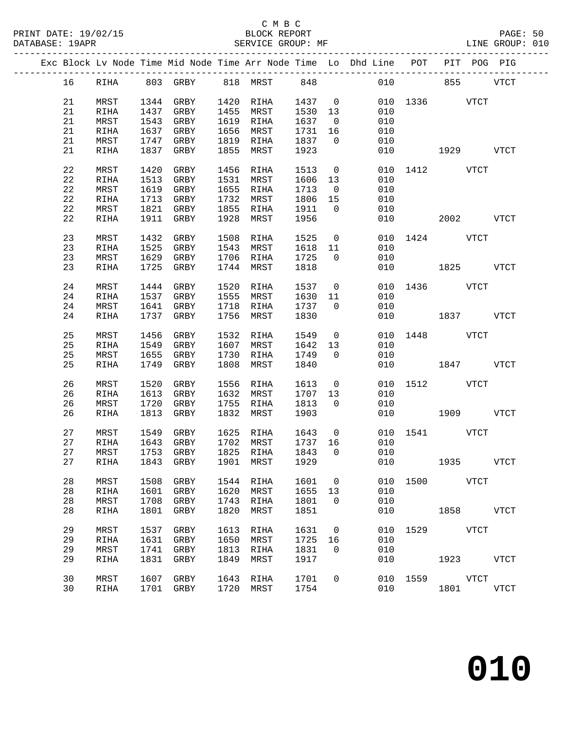## C M B C<br>BLOCK REPORT

PAGE: 50<br>LINE GROUP: 010

|  |    |             |      |              |      |              |      |                | Exc Block Lv Node Time Mid Node Time Arr Node Time Lo Dhd Line POT<br>--------------- |      | PIT POG PIG        |             |             |
|--|----|-------------|------|--------------|------|--------------|------|----------------|---------------------------------------------------------------------------------------|------|--------------------|-------------|-------------|
|  | 16 | RIHA        |      | 803 GRBY     |      | 818 MRST 848 |      |                | 010                                                                                   |      | 855                |             | <b>VTCT</b> |
|  | 21 | MRST        | 1344 | GRBY         | 1420 | RIHA         | 1437 | $\overline{0}$ | 010                                                                                   | 1336 |                    | VTCT        |             |
|  | 21 | RIHA        | 1437 | GRBY         | 1455 | MRST         | 1530 | 13             | 010                                                                                   |      |                    |             |             |
|  | 21 | MRST        | 1543 | GRBY         | 1619 | RIHA         | 1637 | $\overline{0}$ | 010                                                                                   |      |                    |             |             |
|  | 21 | RIHA        | 1637 | GRBY         | 1656 | MRST         | 1731 | 16             | 010                                                                                   |      |                    |             |             |
|  | 21 | MRST        | 1747 | GRBY         | 1819 | RIHA         | 1837 | $\Omega$       | 010                                                                                   |      |                    |             |             |
|  | 21 | RIHA        | 1837 | GRBY         | 1855 | MRST         | 1923 |                | 010                                                                                   |      | 1929               |             | VTCT        |
|  |    |             |      |              |      |              |      |                |                                                                                       |      |                    |             |             |
|  | 22 | MRST        | 1420 | GRBY         | 1456 | RIHA         | 1513 | $\mathsf{O}$   | 010                                                                                   | 1412 |                    | VTCT        |             |
|  | 22 | RIHA        | 1513 | GRBY         | 1531 | MRST         | 1606 | 13             | 010                                                                                   |      |                    |             |             |
|  | 22 | MRST        | 1619 | GRBY         | 1655 | RIHA         | 1713 | $\overline{0}$ | 010                                                                                   |      |                    |             |             |
|  | 22 | RIHA        | 1713 | GRBY         | 1732 | MRST         | 1806 | 15             | 010                                                                                   |      |                    |             |             |
|  | 22 | MRST        | 1821 | GRBY         | 1855 | RIHA         | 1911 | $\Omega$       | 010                                                                                   |      |                    |             |             |
|  | 22 | RIHA        | 1911 | GRBY         | 1928 | MRST         | 1956 |                | 010                                                                                   |      | 2002               |             | <b>VTCT</b> |
|  |    |             |      |              |      |              |      |                |                                                                                       |      |                    |             |             |
|  | 23 | MRST        | 1432 | GRBY         | 1508 | RIHA         | 1525 | $\mathsf{O}$   | 010                                                                                   |      | 1424 VTCT          |             |             |
|  | 23 | RIHA        | 1525 | GRBY         | 1543 | MRST         | 1618 | 11             | 010                                                                                   |      |                    |             |             |
|  | 23 | MRST        | 1629 | GRBY         | 1706 | RIHA         | 1725 | $\Omega$       | 010                                                                                   |      |                    |             |             |
|  | 23 | RIHA        | 1725 | GRBY         | 1744 | MRST         | 1818 |                | 010                                                                                   |      | 1825               |             | <b>VTCT</b> |
|  |    |             |      |              |      |              |      |                |                                                                                       |      |                    |             |             |
|  | 24 | MRST        | 1444 | GRBY         | 1520 | RIHA         | 1537 | $\overline{0}$ | 010                                                                                   | 1436 |                    | <b>VTCT</b> |             |
|  | 24 | RIHA        | 1537 | GRBY         | 1555 | MRST         | 1630 | 11             | 010                                                                                   |      |                    |             |             |
|  | 24 | MRST        | 1641 | GRBY         | 1718 | RIHA         | 1737 | $\Omega$       | 010                                                                                   |      |                    |             |             |
|  | 24 | RIHA        | 1737 | GRBY         | 1756 | MRST         | 1830 |                | 010                                                                                   |      | 1837               |             | VTCT        |
|  |    |             |      |              |      |              |      |                |                                                                                       |      |                    |             |             |
|  | 25 | MRST        | 1456 | GRBY         | 1532 | RIHA         | 1549 | $\mathbf 0$    | 010                                                                                   | 1448 |                    | <b>VTCT</b> |             |
|  | 25 | RIHA        | 1549 | GRBY         | 1607 | MRST         | 1642 | 13             | 010                                                                                   |      |                    |             |             |
|  | 25 | MRST        | 1655 | GRBY         | 1730 | RIHA         | 1749 | $\Omega$       | 010                                                                                   |      |                    |             |             |
|  | 25 | <b>RIHA</b> | 1749 | GRBY         | 1808 | MRST         | 1840 |                | 010                                                                                   |      | 1847               |             | <b>VTCT</b> |
|  |    |             |      |              |      |              |      |                |                                                                                       |      |                    |             |             |
|  | 26 | MRST        | 1520 | GRBY         | 1556 | RIHA         | 1613 | $\mathsf{O}$   | 010                                                                                   | 1512 | <b>STATE STATE</b> |             |             |
|  | 26 | RIHA        | 1613 | GRBY<br>GRBY | 1632 | MRST         | 1707 | 13             | 010                                                                                   |      |                    |             |             |
|  | 26 | MRST        | 1720 |              | 1755 | RIHA         | 1813 | $\Omega$       | 010                                                                                   |      |                    |             | <b>VTCT</b> |
|  | 26 | RIHA        | 1813 | GRBY         | 1832 | MRST         | 1903 |                | 010                                                                                   |      | 1909               |             |             |
|  | 27 | MRST        | 1549 | GRBY         | 1625 | RIHA         | 1643 | $\overline{0}$ | 010                                                                                   | 1541 |                    | VTCT        |             |
|  | 27 | RIHA        | 1643 | GRBY         | 1702 | MRST         | 1737 | 16             | 010                                                                                   |      |                    |             |             |
|  | 27 | MRST        | 1753 | GRBY         | 1825 | RIHA         | 1843 | $\Omega$       | 010                                                                                   |      |                    |             |             |
|  | 27 | RIHA        | 1843 | GRBY         | 1901 | MRST         | 1929 |                | 010                                                                                   |      | 1935               |             | VTCT        |
|  |    |             |      |              |      |              |      |                |                                                                                       |      |                    |             |             |
|  | 28 | MRST        | 1508 | GRBY         | 1544 | RIHA         | 1601 | $\overline{0}$ | 010                                                                                   | 1500 | <b>VTCT</b>        |             |             |
|  | 28 | RIHA        | 1601 | GRBY         | 1620 | MRST         | 1655 | 13             | 010                                                                                   |      |                    |             |             |
|  | 28 | MRST        | 1708 | GRBY         | 1743 | RIHA         | 1801 | $\Omega$       | 010                                                                                   |      |                    |             |             |
|  | 28 | RIHA        | 1801 | GRBY         | 1820 | MRST         | 1851 |                | 010                                                                                   |      | 1858 VTCT          |             |             |
|  |    |             |      |              |      |              |      |                |                                                                                       |      |                    |             |             |
|  | 29 | MRST        | 1537 | GRBY         | 1613 | RIHA         | 1631 | 0              | 010                                                                                   |      | 1529 VTCT          |             |             |
|  | 29 | RIHA        | 1631 | GRBY         | 1650 | MRST         | 1725 | 16             | 010                                                                                   |      |                    |             |             |
|  | 29 | MRST        | 1741 | GRBY         | 1813 | RIHA         | 1831 | $\overline{0}$ | 010                                                                                   |      |                    |             |             |
|  | 29 | RIHA        | 1831 | GRBY         | 1849 | MRST         | 1917 |                | 010                                                                                   |      | 1923 VTCT          |             |             |
|  |    |             |      |              |      |              |      |                |                                                                                       |      |                    |             |             |
|  | 30 | MRST        | 1607 | GRBY         | 1643 | RIHA         | 1701 | $\mathbf 0$    | 010                                                                                   |      | 1559 VTCT          |             |             |
|  | 30 | RIHA        |      | 1701 GRBY    | 1720 | MRST         | 1754 |                | 010                                                                                   |      | 1801               |             | VTCT        |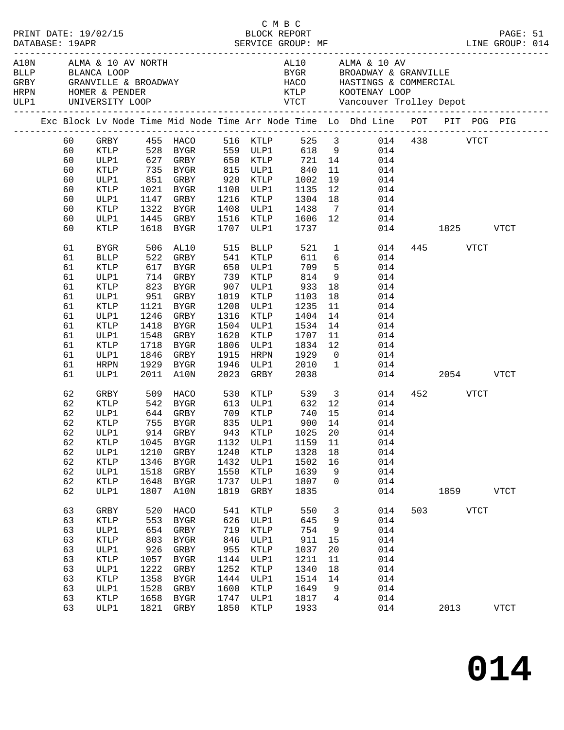|  |          | HRPN HOMER & PENDER<br>ULP1 UNIVERSITY LOOP |              | A10N ALMA & 10 AV NORTH<br>BLLP BLANCA LOOP<br>GRBY GRANVILLE & BROADWAY |              |                        |                   |                 | AL10 ALMA & 10 AV<br>BYGR BROADWAY & GRANVILLE<br>HACO HASTINGS & COMMERCIAL                                       |               |          |              |              |  |
|--|----------|---------------------------------------------|--------------|--------------------------------------------------------------------------|--------------|------------------------|-------------------|-----------------|--------------------------------------------------------------------------------------------------------------------|---------------|----------|--------------|--------------|--|
|  |          |                                             |              |                                                                          |              |                        |                   |                 | Exc Block Lv Node Time Mid Node Time Arr Node Time Lo Dhd Line POT PIT POG PIG                                     |               |          |              |              |  |
|  | 60<br>60 |                                             |              |                                                                          |              |                        |                   |                 | GRBY 455 HACO 516 KTLP 525 3 014 438 VTCT<br>KTLP 528 BYGR 559 ULP1 618 9 014<br>ULP1 627 GRBY 650 KTLP 721 14 014 |               |          |              |              |  |
|  | 60       |                                             |              |                                                                          |              |                        |                   |                 |                                                                                                                    |               |          |              |              |  |
|  | 60       | KTLP                                        |              | 735 BYGR 815 ULP1                                                        |              |                        | 840               | 11              | 014                                                                                                                |               |          |              |              |  |
|  | 60<br>60 | ULP1<br>KTLP                                |              |                                                                          |              |                        | 1002<br>1135      | 19<br>12        | 014                                                                                                                |               |          |              |              |  |
|  | 60       | ULP1                                        |              | 1021 BYGR<br>1147 GRBY                                                   |              | 1108 ULP1<br>1216 KTLP | 1304              | 18              | 014<br>014                                                                                                         |               |          |              |              |  |
|  | 60       | KTLP                                        |              | 1322 BYGR                                                                |              | 1408 ULP1              | 1438              |                 | $7\overline{ }$<br>014                                                                                             |               |          |              |              |  |
|  | 60       | ULP1                                        |              | 1445 GRBY                                                                |              | 1516 KTLP              |                   |                 | 1606 12<br>014                                                                                                     |               |          |              |              |  |
|  | 60       | KTLP                                        |              | 1618 BYGR                                                                |              | 1707 ULP1              | 1737              |                 |                                                                                                                    | 014 1825 VTCT |          |              |              |  |
|  | 61       | BYGR                                        |              | 506 AL10                                                                 |              | 515 BLLP               |                   |                 | 521 1<br>014                                                                                                       |               | 445 VTCT |              |              |  |
|  | 61       | <b>BLLP</b>                                 |              | 522 GRBY<br>617 BYGR<br>714 GRBY                                         |              | 541 KTLP<br>650 ULP1   | 611               |                 | $6\overline{6}$<br>014                                                                                             |               |          |              |              |  |
|  | 61       | KTLP                                        |              |                                                                          |              |                        | 709               | 5 <sub>5</sub>  | 014<br>9                                                                                                           |               |          |              |              |  |
|  | 61       | ULP1                                        |              |                                                                          |              | 739 KTLP               | 814               |                 | 014                                                                                                                |               |          |              |              |  |
|  | 61       | KTLP                                        |              | 823 BYGR                                                                 |              | 907 ULP1               | 933               | 18              | 014                                                                                                                |               |          |              |              |  |
|  | 61<br>61 | ULP1<br>KTLP                                |              | 951 GRBY<br>1121 BYGR                                                    |              | 1019 KTLP<br>1208 ULP1 | 1103<br>1235      | 18<br>11        | 014<br>014                                                                                                         |               |          |              |              |  |
|  | 61       | ULP1                                        |              | 1246 GRBY                                                                |              | 1316 KTLP              | 1404              | 14              | 014                                                                                                                |               |          |              |              |  |
|  | 61       | KTLP                                        |              | 1418 BYGR                                                                |              | 1504 ULP1              | 1534              | 14              | 014                                                                                                                |               |          |              |              |  |
|  | 61       | ULP1                                        | 1548         | GRBY                                                                     | 1620         | KTLP                   | 1707              | 11              | 014                                                                                                                |               |          |              |              |  |
|  | 61       | KTLP                                        |              | 1718 BYGR                                                                |              | 1806 ULP1              | 1834              | 12              | 014                                                                                                                |               |          |              |              |  |
|  | 61       | ULP1                                        |              | 1846 GRBY                                                                |              | 1915 HRPN              | 1929              | $\overline{0}$  | 014                                                                                                                |               |          |              |              |  |
|  | 61       | <b>HRPN</b>                                 |              | 1929 BYGR                                                                |              | 1946 ULP1              | 2010              | $\overline{1}$  | 014                                                                                                                |               |          |              |              |  |
|  | 61       | ULP1                                        |              | 2011 A10N                                                                |              | 2023 GRBY              | 2038              |                 |                                                                                                                    | 014           | 2054     |              | <b>VTCT</b>  |  |
|  | 62       | GRBY                                        |              | 509 HACO                                                                 |              | 530 KTLP               |                   |                 | 539 3<br>014                                                                                                       |               | 452 VTCT |              |              |  |
|  | 62       | KTLP                                        |              | 542 BYGR 613 ULP1                                                        |              |                        | 632               | 12              | 014                                                                                                                |               |          |              |              |  |
|  | 62       | ULP1                                        |              | 644 GRBY 709 KTLP                                                        |              |                        | 740               | 15              | 014                                                                                                                |               |          |              |              |  |
|  | 62       | KTLP<br>ULP1                                |              | 755 BYGR        835  ULP1<br>914  GRBY        943    KTLP                |              |                        | 900 14<br>1025 20 |                 | 014                                                                                                                |               |          |              |              |  |
|  | 62<br>62 |                                             |              |                                                                          |              |                        |                   |                 | 014<br>KTLP 1045 BYGR 1132 ULP1 1159 11 014                                                                        |               |          |              |              |  |
|  | 62       | ULP1                                        | 1210         | GRBY                                                                     | 1240         | KTLP                   | 1328              | 18              | 014                                                                                                                |               |          |              |              |  |
|  | 62       | KTLP                                        | 1346         | BYGR                                                                     | 1432         | ULP1                   | 1502              | 16              | 014                                                                                                                |               |          |              |              |  |
|  | 62       | ULP1                                        | 1518         | GRBY                                                                     | 1550         | KTLP                   | 1639              | 9               | 014                                                                                                                |               |          |              |              |  |
|  | 62       | KTLP                                        | 1648         | BYGR                                                                     | 1737         | ULP1                   | 1807              | $\mathbf{0}$    | 014                                                                                                                |               |          |              |              |  |
|  | 62       | ULP1                                        | 1807         | A10N                                                                     | 1819         | GRBY                   | 1835              |                 | 014                                                                                                                |               | 1859     |              | ${\tt VTCT}$ |  |
|  | 63       | GRBY                                        | 520          | HACO                                                                     | 541          | KTLP                   | 550               | 3               | 014                                                                                                                | 503           |          | ${\tt VTCT}$ |              |  |
|  | 63       | KTLP                                        | 553          | BYGR                                                                     | 626          | ULP1                   | 645               | 9               | 014                                                                                                                |               |          |              |              |  |
|  | 63       | ULP1                                        | 654          | GRBY                                                                     | 719          | KTLP                   | 754               | 9               | 014                                                                                                                |               |          |              |              |  |
|  | 63       | KTLP                                        | 803          | <b>BYGR</b>                                                              | 846          | ULP1                   | 911               | 15              | 014                                                                                                                |               |          |              |              |  |
|  | 63       | ULP1                                        | 926          | GRBY                                                                     | 955          | KTLP                   | 1037              | 20              | 014                                                                                                                |               |          |              |              |  |
|  | 63       | KTLP                                        | 1057         | <b>BYGR</b>                                                              | 1144         | ULP1                   | 1211              | 11              | 014                                                                                                                |               |          |              |              |  |
|  | 63<br>63 | ULP1<br>KTLP                                | 1222<br>1358 | GRBY<br>BYGR                                                             | 1252<br>1444 | KTLP<br>ULP1           | 1340<br>1514      | 18<br>14        | 014<br>014                                                                                                         |               |          |              |              |  |
|  | 63       | ULP1                                        | 1528         | GRBY                                                                     | 1600         | KTLP                   | 1649              | 9               | 014                                                                                                                |               |          |              |              |  |
|  | 63       | KTLP                                        | 1658         | BYGR                                                                     | 1747         | ULP1                   | 1817              | $4\overline{ }$ | 014                                                                                                                |               |          |              |              |  |
|  | 63       | ULP1                                        | 1821         | GRBY                                                                     | 1850         | KTLP                   | 1933              |                 | 014                                                                                                                |               | 2013     |              | VTCT         |  |
|  |          |                                             |              |                                                                          |              |                        |                   |                 |                                                                                                                    |               |          |              |              |  |

C M B C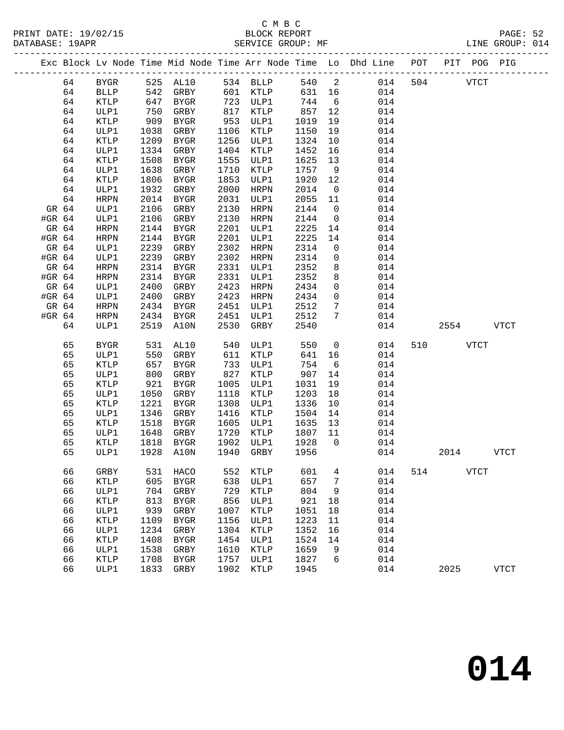## C M B C<br>BLOCK REPORT

LINE GROUP: 014

|        |    |              |      |              |      |             |      |                | Exc Block Lv Node Time Mid Node Time Arr Node Time Lo Dhd Line POT<br>_____________________________ |     | PIT POG PIG |             |             |
|--------|----|--------------|------|--------------|------|-------------|------|----------------|-----------------------------------------------------------------------------------------------------|-----|-------------|-------------|-------------|
|        | 64 | ${\tt BYGR}$ | 525  | AL10         |      | 534 BLLP    | 540  | 2              | 014                                                                                                 | 504 |             | <b>VTCT</b> |             |
|        | 64 | <b>BLLP</b>  | 542  | GRBY         |      | 601 KTLP    | 631  | 16             | 014                                                                                                 |     |             |             |             |
|        | 64 | KTLP         | 647  | BYGR         | 723  | ULP1        | 744  | 6              | 014                                                                                                 |     |             |             |             |
|        | 64 | ULP1         | 750  | GRBY         | 817  | KTLP        | 857  | 12             | 014                                                                                                 |     |             |             |             |
|        | 64 | KTLP         | 909  | BYGR         | 953  | ULP1        | 1019 | 19             | 014                                                                                                 |     |             |             |             |
|        | 64 | ULP1         | 1038 | GRBY         | 1106 | KTLP        | 1150 | 19             | 014                                                                                                 |     |             |             |             |
|        | 64 | KTLP         | 1209 | <b>BYGR</b>  | 1256 | ULP1        | 1324 | 10             | 014                                                                                                 |     |             |             |             |
|        | 64 | ULP1         | 1334 | GRBY         | 1404 | KTLP        | 1452 | 16             | 014                                                                                                 |     |             |             |             |
|        | 64 | KTLP         | 1508 | BYGR         | 1555 | ULP1        | 1625 | 13             | 014                                                                                                 |     |             |             |             |
|        | 64 | ULP1         | 1638 | GRBY         | 1710 | KTLP        | 1757 | 9              | 014                                                                                                 |     |             |             |             |
|        | 64 | KTLP         | 1806 | BYGR         | 1853 | ULP1        | 1920 | 12             | 014                                                                                                 |     |             |             |             |
|        | 64 | ULP1         | 1932 | GRBY         | 2000 | HRPN        | 2014 | $\overline{0}$ | 014                                                                                                 |     |             |             |             |
|        | 64 | <b>HRPN</b>  | 2014 | BYGR         | 2031 | ULP1        | 2055 | 11             | 014                                                                                                 |     |             |             |             |
| GR 64  |    | ULP1         | 2106 | GRBY         | 2130 | HRPN        | 2144 | $\overline{0}$ | 014                                                                                                 |     |             |             |             |
| #GR 64 |    | ULP1         | 2106 | GRBY         | 2130 | HRPN        | 2144 | $\mathsf{O}$   | 014                                                                                                 |     |             |             |             |
| GR 64  |    | <b>HRPN</b>  | 2144 | BYGR         | 2201 | ULP1        | 2225 | 14             | 014                                                                                                 |     |             |             |             |
| #GR 64 |    | <b>HRPN</b>  | 2144 | BYGR         | 2201 | ULP1        | 2225 | 14             | 014                                                                                                 |     |             |             |             |
| GR 64  |    | ULP1         | 2239 | GRBY         | 2302 | HRPN        | 2314 | 0              | 014                                                                                                 |     |             |             |             |
| #GR 64 |    | ULP1         | 2239 | GRBY         | 2302 | HRPN        | 2314 | 0              | 014                                                                                                 |     |             |             |             |
| GR 64  |    | HRPN         | 2314 | <b>BYGR</b>  | 2331 | ULP1        | 2352 | 8              | 014                                                                                                 |     |             |             |             |
| #GR 64 |    | HRPN         | 2314 | BYGR         | 2331 | ULP1        | 2352 | 8              | 014                                                                                                 |     |             |             |             |
| GR 64  |    | ULP1         | 2400 | GRBY         | 2423 | HRPN        | 2434 | $\mathbf 0$    | 014                                                                                                 |     |             |             |             |
| #GR 64 |    | ULP1         | 2400 | GRBY         | 2423 | HRPN        | 2434 | $\mathbf 0$    | 014                                                                                                 |     |             |             |             |
| GR 64  |    | HRPN         | 2434 | BYGR         | 2451 | ULP1        | 2512 | 7              | 014                                                                                                 |     |             |             |             |
| #GR 64 |    | <b>HRPN</b>  | 2434 | BYGR         | 2451 | ULP1        | 2512 | 7              | 014                                                                                                 |     |             |             |             |
|        | 64 | ULP1         | 2519 | A10N         | 2530 | GRBY        | 2540 |                | 014                                                                                                 |     | 2554        |             | <b>VTCT</b> |
|        | 65 | <b>BYGR</b>  | 531  | AL10         | 540  | ULP1        | 550  | $\overline{0}$ | 014                                                                                                 | 510 |             | <b>VTCT</b> |             |
|        | 65 | ULP1         | 550  | GRBY         | 611  | KTLP        | 641  | 16             | 014                                                                                                 |     |             |             |             |
|        | 65 | KTLP         | 657  | BYGR         | 733  | ULP1        | 754  | 6              | 014                                                                                                 |     |             |             |             |
|        | 65 | ULP1         | 800  | GRBY         | 827  | KTLP        | 907  | 14             | 014                                                                                                 |     |             |             |             |
|        | 65 | KTLP         | 921  | BYGR         | 1005 | ULP1        | 1031 | 19             | 014                                                                                                 |     |             |             |             |
|        | 65 | ULP1         | 1050 | GRBY         | 1118 | KTLP        | 1203 | 18             | 014                                                                                                 |     |             |             |             |
|        | 65 | KTLP         | 1221 | BYGR         | 1308 | ULP1        | 1336 | 10             | 014                                                                                                 |     |             |             |             |
|        | 65 | ULP1         | 1346 | GRBY         | 1416 | KTLP        | 1504 | 14             | 014                                                                                                 |     |             |             |             |
|        | 65 | KTLP         | 1518 | BYGR         | 1605 | ULP1        | 1635 | 13             | 014                                                                                                 |     |             |             |             |
|        | 65 | ULP1         | 1648 | GRBY         | 1720 | KTLP        | 1807 | 11             | 014                                                                                                 |     |             |             |             |
|        | 65 | KTLP         | 1818 | BYGR         | 1902 | ULP1        | 1928 | $\overline{0}$ | 014                                                                                                 |     |             |             |             |
|        | 65 | ULP1         | 1928 | A10N         | 1940 | GRBY        | 1956 |                | 014                                                                                                 |     | 2014        |             | <b>VTCT</b> |
|        | 66 | GRBY         | 531  | HACO         | 552  | KTLP        | 601  | 4              | 014                                                                                                 | 514 |             | VTCT        |             |
|        | 66 | KTLP         | 605  | <b>BYGR</b>  | 638  | ULP1        | 657  | 7              | 014                                                                                                 |     |             |             |             |
|        | 66 | ULP1         | 704  | GRBY         | 729  | KTLP        | 804  | 9              | 014                                                                                                 |     |             |             |             |
|        | 66 | KTLP         | 813  | BYGR         | 856  | ULP1        | 921  | 18             | 014                                                                                                 |     |             |             |             |
|        | 66 | ULP1         | 939  | ${\tt GRBY}$ | 1007 | <b>KTLP</b> | 1051 | 18             | 014                                                                                                 |     |             |             |             |
|        | 66 | KTLP         | 1109 | ${\tt BYGR}$ | 1156 | ULP1        | 1223 | 11             | 014                                                                                                 |     |             |             |             |
|        | 66 | ULP1         | 1234 | ${\tt GRBY}$ | 1304 | KTLP        | 1352 | 16             | 014                                                                                                 |     |             |             |             |
|        | 66 | KTLP         | 1408 | ${\tt BYGR}$ | 1454 | ULP1        | 1524 | 14             | 014                                                                                                 |     |             |             |             |
|        | 66 | ULP1         | 1538 | ${\tt GRBY}$ | 1610 | KTLP        | 1659 | 9              | 014                                                                                                 |     |             |             |             |
|        | 66 | KTLP         | 1708 | ${\tt BYGR}$ | 1757 | ULP1        | 1827 | 6              | 014                                                                                                 |     |             |             |             |

66 ULP1 1833 GRBY 1902 KTLP 1945 014 2025 VTCT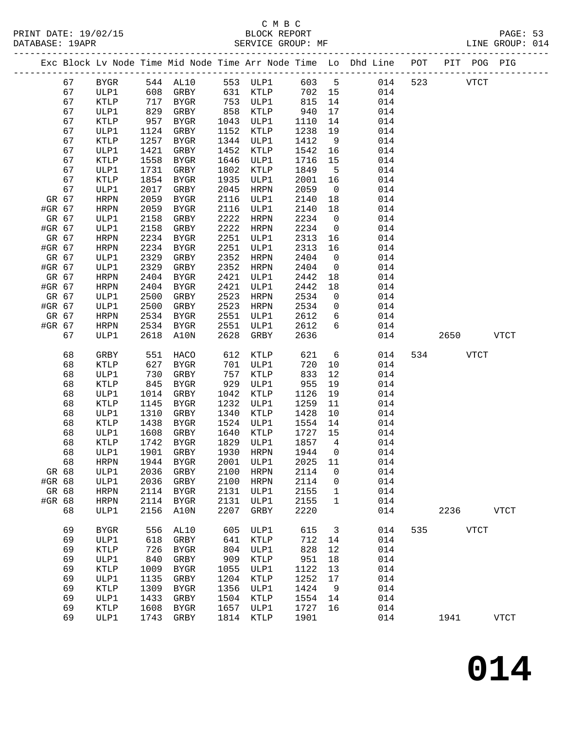#### C M B C<br>BLOCK REPORT SERVICE GROUP: MF

|        |          |              |              |                |              |              |              |                          | Exc Block Lv Node Time Mid Node Time Arr Node Time Lo Dhd Line POT |     |      | PIT POG PIG |             |
|--------|----------|--------------|--------------|----------------|--------------|--------------|--------------|--------------------------|--------------------------------------------------------------------|-----|------|-------------|-------------|
|        | 67       | BYGR         |              | 544 AL10       |              | 553 ULP1     | 603 5        |                          | 014                                                                | 523 |      | <b>VTCT</b> |             |
|        | 67       | ULP1         | 608          | GRBY           |              | 631 KTLP     | 702 15       |                          | 014                                                                |     |      |             |             |
|        | 67       | KTLP         | 717          | BYGR           | 753          | ULP1         | 815          | 14                       | 014                                                                |     |      |             |             |
|        | 67       | ULP1         | 829          | GRBY           | 858          | KTLP         | 940          | 17                       | 014                                                                |     |      |             |             |
|        | 67       | KTLP         | 957          | BYGR           | 1043         | ULP1         | 1110         | 14                       | 014                                                                |     |      |             |             |
|        | 67       | ULP1         | 1124         | GRBY           | 1152         | KTLP         | 1238         | 19                       | 014                                                                |     |      |             |             |
|        | 67       | KTLP         | 1257         | BYGR           | 1344         | ULP1         | 1412         | 9                        | 014                                                                |     |      |             |             |
|        | 67       | ULP1         | 1421         | GRBY           | 1452         | KTLP         | 1542         | 16                       | 014                                                                |     |      |             |             |
|        | 67       | KTLP         | 1558         | BYGR           | 1646         | ULP1         | 1716         | 15                       | 014                                                                |     |      |             |             |
|        | 67<br>67 | ULP1         | 1731<br>1854 | GRBY<br>BYGR   | 1802<br>1935 | KTLP         | 1849         | $5^{\circ}$              | 014                                                                |     |      |             |             |
|        | 67       | KTLP<br>ULP1 | 2017         | GRBY           | 2045         | ULP1<br>HRPN | 2001<br>2059 | 16<br>$\overline{0}$     | 014<br>014                                                         |     |      |             |             |
| GR 67  |          | HRPN         | 2059         | BYGR           | 2116         | ULP1         | 2140         | 18                       | 014                                                                |     |      |             |             |
| #GR 67 |          | HRPN         | 2059         | BYGR           | 2116         | ULP1         | 2140         | 18                       | 014                                                                |     |      |             |             |
| GR 67  |          | ULP1         | 2158         | GRBY           | 2222         | HRPN         | 2234         | $\overline{0}$           | 014                                                                |     |      |             |             |
| #GR 67 |          | ULP1         | 2158         | GRBY           | 2222         | HRPN         | 2234         | $\overline{0}$           | 014                                                                |     |      |             |             |
| GR 67  |          | HRPN         | 2234         | BYGR           | 2251         | ULP1         | 2313         | 16                       | 014                                                                |     |      |             |             |
| #GR 67 |          | HRPN         | 2234         | BYGR           | 2251         | ULP1         | 2313         | 16                       | 014                                                                |     |      |             |             |
| GR 67  |          | ULP1         | 2329         | GRBY           | 2352         | HRPN         | 2404         | $\overline{0}$           | 014                                                                |     |      |             |             |
| #GR 67 |          | ULP1         | 2329         | GRBY           | 2352         | HRPN         | 2404         | $\overline{0}$           | 014                                                                |     |      |             |             |
| GR 67  |          | HRPN         | 2404         | BYGR           | 2421         | ULP1         | 2442         | 18                       | 014                                                                |     |      |             |             |
| #GR 67 |          | HRPN         | 2404         | <b>BYGR</b>    | 2421         | ULP1         | 2442         | 18                       | 014                                                                |     |      |             |             |
| GR 67  |          | ULP1         | 2500         | GRBY           | 2523         | HRPN         | 2534         | $\overline{0}$           | 014                                                                |     |      |             |             |
| #GR 67 |          | ULP1         | 2500         | GRBY           | 2523         | HRPN         | 2534         | $\overline{0}$           | 014                                                                |     |      |             |             |
| GR 67  |          | HRPN         | 2534         | <b>BYGR</b>    | 2551         | ULP1         | 2612         | 6                        | 014                                                                |     |      |             |             |
| #GR 67 |          | HRPN         | 2534         | BYGR           | 2551         | ULP1         | 2612         | 6                        | 014                                                                |     |      |             |             |
|        | 67       | ULP1         | 2618         | A10N           | 2628         | GRBY         | 2636         |                          | 014                                                                |     | 2650 |             | VTCT        |
|        | 68       | GRBY         | 551          | HACO           | 612          | KTLP         | 621          | 6                        | 014                                                                |     | 534  | <b>VTCT</b> |             |
|        | 68       | KTLP         | 627          | BYGR           | 701          | ULP1         | 720          | 10                       | 014                                                                |     |      |             |             |
|        | 68       | ULP1         | 730          | GRBY           | 757          | KTLP         | 833          | 12                       | 014                                                                |     |      |             |             |
|        | 68       | KTLP         | 845          | BYGR           | 929          | ULP1         | 955          | 19                       | 014                                                                |     |      |             |             |
|        | 68       | ULP1         | 1014         | GRBY           | 1042         | KTLP         | 1126         | 19                       | 014                                                                |     |      |             |             |
|        | 68       | KTLP         | 1145         | BYGR           | 1232         | ULP1         | 1259         | 11                       | 014                                                                |     |      |             |             |
|        | 68       | ULP1         | 1310         | GRBY           | 1340         | KTLP         | 1428         | 10                       | 014                                                                |     |      |             |             |
|        | 68       | KTLP         | 1438         | BYGR           | 1524         | ULP1         | 1554         | 14                       | 014                                                                |     |      |             |             |
|        | 68       | ULP1         | 1608         | GRBY           | 1640         | KTLP         | 1727         | 15                       | 014                                                                |     |      |             |             |
|        | 68       | KTLP         | 1742         | BYGR           | 1829         | ULP1         | 1857         | $4\overline{4}$          | 014                                                                |     |      |             |             |
|        | 68       | ULP1         | 1901         | GRBY           | 1930         | HRPN         | 1944         | $\overline{\phantom{0}}$ | 014                                                                |     |      |             |             |
|        | 68       |              |              | HRPN 1944 BYGR |              | 2001 ULP1    | 2025 11      |                          | 014                                                                |     |      |             |             |
| GR 68  |          | ULP1         | 2036         | GRBY           | 2100         | HRPN         | 2114         | 0                        | 014                                                                |     |      |             |             |
| #GR 68 |          | ULP1         | 2036         | GRBY           | 2100         | HRPN         | 2114         | 0                        | 014                                                                |     |      |             |             |
| GR 68  |          | <b>HRPN</b>  | 2114         | BYGR           | 2131         | ULP1         | 2155         | $\mathbf{1}$             | 014                                                                |     |      |             |             |
| #GR 68 |          | <b>HRPN</b>  | 2114         | BYGR           | 2131         | ULP1         | 2155         | $\mathbf 1$              | 014                                                                |     |      |             |             |
|        | 68       | ULP1         | 2156         | A10N           | 2207         | GRBY         | 2220         |                          | 014                                                                |     | 2236 |             | <b>VTCT</b> |
|        | 69       | <b>BYGR</b>  | 556          | AL10           | 605          | ULP1         | 615          | $\overline{\mathbf{3}}$  | 014                                                                | 535 |      | <b>VTCT</b> |             |
|        | 69       | ULP1         | 618          | GRBY           | 641          | KTLP         | 712          | 14                       | 014                                                                |     |      |             |             |
|        | 69       | KTLP         | 726          | BYGR           | 804          | ULP1         | 828          | 12                       | 014                                                                |     |      |             |             |
|        | 69       | ULP1         | 840          | GRBY           | 909          | KTLP         | 951          | 18                       | 014                                                                |     |      |             |             |
|        | 69       | KTLP         | 1009         | BYGR           | 1055         | ULP1         | 1122         | 13                       | 014                                                                |     |      |             |             |
|        | 69       | ULP1         | 1135         | GRBY           | 1204         | KTLP         | 1252         | 17                       | 014                                                                |     |      |             |             |
|        | 69       | KTLP         | 1309         | BYGR           | 1356         | ULP1         | 1424         | 9                        | 014                                                                |     |      |             |             |
|        | 69       | ULP1         | 1433         | GRBY           | 1504         | KTLP         | 1554         | 14                       | 014                                                                |     |      |             |             |
|        | 69       | KTLP         | 1608         | BYGR           | 1657         | ULP1         | 1727         | 16                       | 014                                                                |     |      |             |             |
|        | 69       | ULP1         | 1743         | GRBY           | 1814         | KTLP         | 1901         |                          | 014                                                                |     | 1941 |             | <b>VTCT</b> |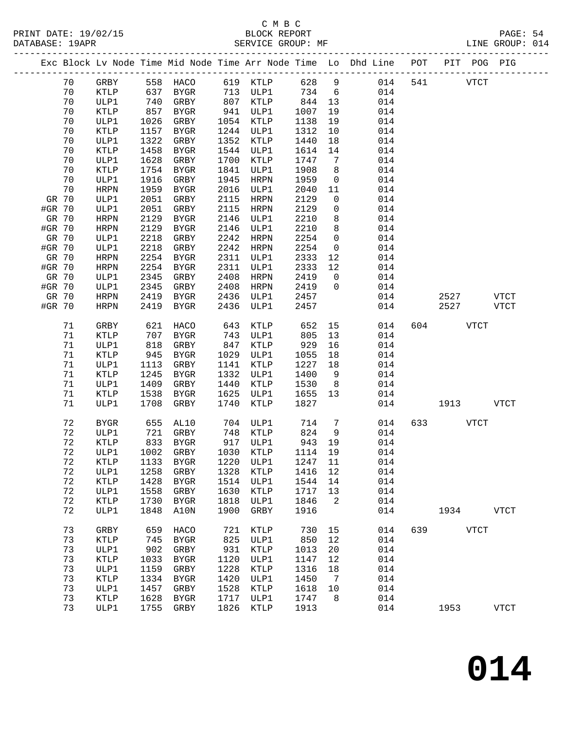|                 |          |                            |              |                             |              |                  |              |                 | Exc Block Lv Node Time Mid Node Time Arr Node Time Lo Dhd Line POT PIT POG PIG |     |      |             |              |
|-----------------|----------|----------------------------|--------------|-----------------------------|--------------|------------------|--------------|-----------------|--------------------------------------------------------------------------------|-----|------|-------------|--------------|
|                 | 70       | GRBY                       |              | 558 HACO                    |              | 619 KTLP         | 628          | $\overline{9}$  | 014                                                                            | 541 |      | <b>VTCT</b> |              |
|                 | 70       | KTLP                       | 637          | BYGR                        |              | 713 ULP1         | 734          | $6\overline{6}$ | 014                                                                            |     |      |             |              |
|                 | 70       | ULP1                       | 740          | GRBY                        | 807          | KTLP             | 844          | 13              | 014                                                                            |     |      |             |              |
|                 | 70       | <b>KTLP</b>                | 857          | BYGR                        | 941          | ULP1             | 1007         | 19              | 014                                                                            |     |      |             |              |
|                 | 70       | ULP1                       | 1026         | GRBY                        | 1054         | KTLP             | 1138         | 19              | 014                                                                            |     |      |             |              |
|                 | 70       | KTLP                       | 1157         | BYGR                        | 1244         | ULP1             | 1312         | 10              | 014                                                                            |     |      |             |              |
|                 | 70       | ULP1                       | 1322         | GRBY                        | 1352         | KTLP             | 1440         | 18              | 014                                                                            |     |      |             |              |
|                 | 70       | KTLP                       | 1458         | BYGR                        | 1544         | ULP1             | 1614         | 14              | 014                                                                            |     |      |             |              |
|                 | 70       | ULP1                       | 1628         | GRBY                        | 1700         | KTLP             | 1747         | 7               | 014                                                                            |     |      |             |              |
|                 | 70       | KTLP                       | 1754         | BYGR                        | 1841         | ULP1             | 1908         | 8               | 014                                                                            |     |      |             |              |
|                 | 70       | ULP1                       | 1916         | GRBY                        | 1945         | HRPN             | 1959         | $\overline{0}$  | 014                                                                            |     |      |             |              |
|                 | 70       | <b>HRPN</b>                | 1959         | BYGR                        | 2016         | ULP1             | 2040         | 11              | 014                                                                            |     |      |             |              |
| GR 70           |          | ULP1                       | 2051         | GRBY                        | 2115         | HRPN             | 2129         | $\mathbf 0$     | 014                                                                            |     |      |             |              |
| #GR 70          |          | ULP1                       | 2051         | GRBY                        | 2115         | HRPN             | 2129         | $\mathbf{0}$    | 014                                                                            |     |      |             |              |
| GR 70           |          | <b>HRPN</b>                | 2129         | BYGR                        | 2146         | ULP1             | 2210         | 8               | 014                                                                            |     |      |             |              |
| #GR 70          |          | <b>HRPN</b>                | 2129         | BYGR                        | 2146         | ULP1             | 2210         | 8               | 014                                                                            |     |      |             |              |
| GR 70           |          | ULP1                       | 2218         | GRBY                        | 2242         | HRPN             | 2254         | $\mathbf 0$     | 014                                                                            |     |      |             |              |
| #GR 70          |          | ULP1                       | 2218         | GRBY                        | 2242         | HRPN             | 2254         | $\overline{0}$  | 014                                                                            |     |      |             |              |
| GR 70           |          | <b>HRPN</b>                | 2254         | BYGR                        | 2311         | ULP1             | 2333         | 12              | 014                                                                            |     |      |             |              |
| #GR 70          |          | <b>HRPN</b>                | 2254         | BYGR                        | 2311         | ULP1             | 2333         | 12              | 014                                                                            |     |      |             |              |
| GR 70           |          | ULP1                       | 2345         | GRBY                        | 2408         | HRPN             | 2419         | $\overline{0}$  | 014                                                                            |     |      |             |              |
| #GR 70<br>GR 70 |          | ULP1                       | 2345<br>2419 | GRBY                        | 2408<br>2436 | HRPN<br>ULP1     | 2419<br>2457 | $\Omega$        | 014<br>014                                                                     |     | 2527 |             | <b>VTCT</b>  |
| #GR 70          |          | <b>HRPN</b><br><b>HRPN</b> | 2419         | BYGR<br>BYGR                | 2436         | ULP1             | 2457         |                 | 014                                                                            |     | 2527 |             | <b>VTCT</b>  |
|                 |          |                            |              |                             |              |                  |              |                 |                                                                                |     |      |             |              |
|                 | 71       | GRBY                       | 621          | HACO                        | 643          | KTLP             | 652          | 15              | 014                                                                            | 604 |      | <b>VTCT</b> |              |
|                 | 71       | <b>KTLP</b>                | 707          | BYGR                        | 743          | ULP1             | 805          | 13              | 014                                                                            |     |      |             |              |
|                 | 71       | ULP1                       | 818          | GRBY                        | 847          | KTLP             | 929          | 16              | 014                                                                            |     |      |             |              |
|                 | 71       | KTLP                       | 945          | BYGR                        | 1029         | ULP1             | 1055         | 18              | 014                                                                            |     |      |             |              |
|                 | 71       | ULP1                       | 1113         | GRBY                        | 1141         | KTLP             | 1227         | 18              | 014                                                                            |     |      |             |              |
|                 | 71       | KTLP                       | 1245         | BYGR                        | 1332         | ULP1             | 1400         | 9               | 014                                                                            |     |      |             |              |
|                 | 71       | ULP1                       | 1409         | GRBY                        | 1440         | KTLP             | 1530         | 8 <sup>8</sup>  | 014                                                                            |     |      |             |              |
|                 | 71       | <b>KTLP</b>                | 1538         | BYGR                        | 1625         | ULP1             | 1655         | 13              | 014                                                                            |     |      |             |              |
|                 | 71       | ULP1                       | 1708         | GRBY                        | 1740         | KTLP             | 1827         |                 | 014                                                                            |     | 1913 |             | <b>VTCT</b>  |
|                 |          |                            |              |                             |              |                  |              |                 |                                                                                |     |      |             |              |
|                 | 72       | <b>BYGR</b>                | 655          | AL10                        | 704          | ULP1             | 714          | $7\phantom{.0}$ | 014                                                                            | 633 |      | <b>VTCT</b> |              |
|                 | 72<br>72 | ULP1<br><b>KTLP</b>        | 721<br>833   | GRBY<br>BYGR                | 917          | 748 KTLP<br>ULP1 | 824<br>943   | 9<br>19         | 014<br>014                                                                     |     |      |             |              |
|                 | 72       | ULP1                       | 1002         | GRBY                        |              | 1030 KTLP        | 1114 19      |                 | 014                                                                            |     |      |             |              |
|                 | 72       | KTLP                       |              | 1133 BYGR 1220 ULP1 1247 11 |              |                  |              |                 | 014                                                                            |     |      |             |              |
|                 | 72       | ULP1                       | 1258         | GRBY                        | 1328         | KTLP             | 1416         | 12              | 014                                                                            |     |      |             |              |
|                 | 72       | KTLP                       | 1428         | BYGR                        | 1514         | ULP1             | 1544         | 14              | 014                                                                            |     |      |             |              |
|                 | 72       | ULP1                       | 1558         | GRBY                        | 1630         | KTLP             | 1717         | 13              | 014                                                                            |     |      |             |              |
|                 | 72       | KTLP                       | 1730         | BYGR                        | 1818         | ULP1             | 1846         | 2               | 014                                                                            |     |      |             |              |
|                 | 72       | ULP1                       | 1848         | A10N                        | 1900         | GRBY             | 1916         |                 | 014                                                                            |     | 1934 |             | <b>VTCT</b>  |
|                 |          |                            |              |                             |              |                  |              |                 |                                                                                |     |      |             |              |
|                 | 73       | GRBY                       | 659          | HACO                        | 721          | KTLP             | 730          | 15              | 014                                                                            | 639 |      | <b>VTCT</b> |              |
|                 | 73       | KTLP                       | 745          | BYGR                        | 825          | ULP1             | 850          | 12              | 014                                                                            |     |      |             |              |
|                 | 73       | ULP1                       | 902          | GRBY                        | 931          | KTLP             | 1013         | 20              | 014                                                                            |     |      |             |              |
|                 | 73       | KTLP                       | 1033         | BYGR                        | 1120         | ULP1             | 1147         | 12              | 014                                                                            |     |      |             |              |
|                 | 73       | ULP1                       | 1159         | GRBY                        | 1228         | KTLP             | 1316         | 18              | 014                                                                            |     |      |             |              |
|                 | 73       | <b>KTLP</b>                | 1334         | <b>BYGR</b>                 | 1420         | ULP1             | 1450         | $\overline{7}$  | 014                                                                            |     |      |             |              |
|                 | 73       | ULP1                       | 1457         | GRBY                        | 1528         | KTLP             | 1618         | 10              | 014                                                                            |     |      |             |              |
|                 | 73       | KTLP                       | 1628         | BYGR                        | 1717         | ULP1             | 1747         | 8               | 014                                                                            |     |      |             |              |
|                 | 73       | ULP1                       | 1755         | GRBY                        | 1826         | KTLP             | 1913         |                 | 014                                                                            |     | 1953 |             | ${\tt VTCT}$ |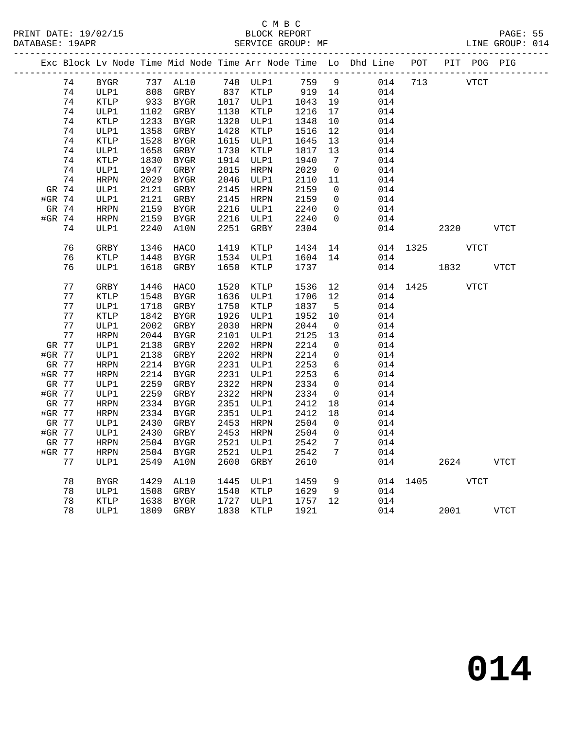#### C M B C<br>BLOCK REPORT SERVICE GROUP: MF

| Exc Block Lv Node Time Mid Node Time Arr Node Time Lo Dhd Line POT PIT POG PIG<br>74<br>737 AL10<br>748 ULP1<br>759<br>$\overline{9}$<br>014<br>713<br><b>BYGR</b><br><b>VTCT</b><br>808 GRBY<br>837 KTLP<br>919 14<br>74<br>ULP1<br>014<br>933<br>74<br>KTLP<br>BYGR<br>1017 ULP1<br>1043<br>19<br>014<br>74<br>1102<br>GRBY<br>1130 KTLP<br>1216<br>17<br>014<br>ULP1<br>74<br>KTLP<br>1233<br>1320<br>ULP1<br>1348<br>10<br>014<br>BYGR<br>74<br>1358<br>GRBY<br>1428<br>1516<br>014<br>ULP1<br>KTLP<br>12<br>1528<br>1615<br>74<br><b>KTLP</b><br>BYGR<br>ULP1<br>1645<br>13<br>014<br>74<br>1658<br>1730<br>ULP1<br>GRBY<br>KTLP<br>1817<br>13<br>014<br>1830<br>1914<br>74<br><b>KTLP</b><br>BYGR<br>ULP1<br>1940<br>$\overline{7}$<br>014<br>1947<br>2015<br>2029<br>74<br>ULP1<br>GRBY<br>HRPN<br>$\overline{0}$<br>014<br>74<br>2029<br>2046<br>HRPN<br>BYGR<br>ULP1<br>2110<br>11<br>014<br>GR 74<br>ULP1<br>2121<br>GRBY<br>2145<br>HRPN<br>2159<br>$\overline{0}$<br>014<br>#GR 74<br>2121<br>GRBY<br>2145<br>2159<br>ULP1<br>HRPN<br>$\overline{0}$<br>014<br>2159<br>2216<br>GR 74<br>HRPN<br>BYGR<br>2240<br>$\mathsf{O}$<br>014<br>ULP1<br>2216<br>#GR 74<br>2159<br>ULP1<br>2240<br>$\mathbf 0$<br>014<br>HRPN<br>BYGR<br>74<br>2240<br>A10N<br>2251<br>2304<br>014<br>2320 VTCT<br>ULP1<br>GRBY<br>76<br>1346<br>1419<br>GRBY<br>HACO<br>KTLP<br>1434 14<br>014 1325 VTCT<br>76<br>1448<br>1534 ULP1<br><b>KTLP</b><br>BYGR<br>1604 14<br>014<br>76<br>1650<br>1737<br>1832<br>ULP1<br>1618<br>GRBY<br>KTLP<br>014<br>VTCT<br>77<br>1520<br>12<br>GRBY<br>1446<br>HACO<br>KTLP<br>1536<br>014 1425<br><b>VTCT</b><br>77<br><b>KTLP</b><br>1548<br>BYGR<br>1636<br>1706<br>12<br>014<br>ULP1<br>77<br>014<br>ULP1<br>1718<br>GRBY<br>1750<br>1837<br>KTLP<br>5<br>77<br>1926<br>KTLP<br>1842<br>BYGR<br>ULP1<br>1952<br>014<br>10<br>77<br>ULP1<br>2002<br>GRBY<br>2030<br>2044<br>014<br>HRPN<br>$\overline{0}$<br>77<br><b>HRPN</b><br>2044<br>BYGR<br>2101<br>ULP1<br>2125<br>13<br>014<br>GR 77<br>2138<br>GRBY<br>2202<br>2214<br>014<br>ULP1<br>HRPN<br>$\overline{0}$<br>2138<br>2202<br>#GR 77<br>ULP1<br>GRBY<br>HRPN<br>2214<br>$\mathsf{O}$<br>014<br>6<br>GR 77<br>HRPN<br>2214<br>BYGR<br>2231<br>2253<br>014<br>ULP1<br>6<br>#GR 77<br>2214<br>2231<br>2253<br>014<br>HRPN<br>BYGR<br>ULP1<br>2259<br>2322<br>014<br>GR 77<br>ULP1<br>GRBY<br>HRPN<br>2334<br>$\mathsf{O}$<br>#GR 77<br>ULP1<br>2259<br>GRBY<br>2322<br>HRPN<br>2334<br>$\mathbf 0$<br>014<br>GR 77<br><b>HRPN</b><br>2334<br>BYGR<br>2351<br>ULP1<br>2412<br>18<br>014<br>2351<br>#GR 77<br>2334<br>BYGR<br>2412<br>18<br>014<br>HRPN<br>ULP1<br>GR 77<br>2430<br>GRBY<br>2453<br>2504<br>014<br>ULP1<br>HRPN<br>$\overline{0}$<br>#GR 77<br>2430<br>GRBY<br>2453<br>2504<br>$\mathbf 0$<br>014<br>ULP1<br>HRPN<br>GR 77<br>${\tt HRPN}$<br>2504<br>BYGR<br>2521<br>ULP1<br>2542<br>$7\phantom{.0}$<br>014<br>#GR 77<br>2504<br>2521<br>2542<br>7<br>014<br>HRPN<br>BYGR<br>ULP1<br>77<br>2549<br>2600<br>GRBY<br>2610<br>014<br><b>VTCT</b><br>ULP1<br>A10N<br>2624 |  |  |  |  |  |  |  |  |
|----------------------------------------------------------------------------------------------------------------------------------------------------------------------------------------------------------------------------------------------------------------------------------------------------------------------------------------------------------------------------------------------------------------------------------------------------------------------------------------------------------------------------------------------------------------------------------------------------------------------------------------------------------------------------------------------------------------------------------------------------------------------------------------------------------------------------------------------------------------------------------------------------------------------------------------------------------------------------------------------------------------------------------------------------------------------------------------------------------------------------------------------------------------------------------------------------------------------------------------------------------------------------------------------------------------------------------------------------------------------------------------------------------------------------------------------------------------------------------------------------------------------------------------------------------------------------------------------------------------------------------------------------------------------------------------------------------------------------------------------------------------------------------------------------------------------------------------------------------------------------------------------------------------------------------------------------------------------------------------------------------------------------------------------------------------------------------------------------------------------------------------------------------------------------------------------------------------------------------------------------------------------------------------------------------------------------------------------------------------------------------------------------------------------------------------------------------------------------------------------------------------------------------------------------------------------------------------------------------------------------------------------------------------------------------------------------------------------------------------------------------------------------------------------------------------------------------------------------------------------------------------------------------------------------------------------------------------------------------------------------------------------------------------------------------------------|--|--|--|--|--|--|--|--|
|                                                                                                                                                                                                                                                                                                                                                                                                                                                                                                                                                                                                                                                                                                                                                                                                                                                                                                                                                                                                                                                                                                                                                                                                                                                                                                                                                                                                                                                                                                                                                                                                                                                                                                                                                                                                                                                                                                                                                                                                                                                                                                                                                                                                                                                                                                                                                                                                                                                                                                                                                                                                                                                                                                                                                                                                                                                                                                                                                                                                                                                                      |  |  |  |  |  |  |  |  |
|                                                                                                                                                                                                                                                                                                                                                                                                                                                                                                                                                                                                                                                                                                                                                                                                                                                                                                                                                                                                                                                                                                                                                                                                                                                                                                                                                                                                                                                                                                                                                                                                                                                                                                                                                                                                                                                                                                                                                                                                                                                                                                                                                                                                                                                                                                                                                                                                                                                                                                                                                                                                                                                                                                                                                                                                                                                                                                                                                                                                                                                                      |  |  |  |  |  |  |  |  |
|                                                                                                                                                                                                                                                                                                                                                                                                                                                                                                                                                                                                                                                                                                                                                                                                                                                                                                                                                                                                                                                                                                                                                                                                                                                                                                                                                                                                                                                                                                                                                                                                                                                                                                                                                                                                                                                                                                                                                                                                                                                                                                                                                                                                                                                                                                                                                                                                                                                                                                                                                                                                                                                                                                                                                                                                                                                                                                                                                                                                                                                                      |  |  |  |  |  |  |  |  |
|                                                                                                                                                                                                                                                                                                                                                                                                                                                                                                                                                                                                                                                                                                                                                                                                                                                                                                                                                                                                                                                                                                                                                                                                                                                                                                                                                                                                                                                                                                                                                                                                                                                                                                                                                                                                                                                                                                                                                                                                                                                                                                                                                                                                                                                                                                                                                                                                                                                                                                                                                                                                                                                                                                                                                                                                                                                                                                                                                                                                                                                                      |  |  |  |  |  |  |  |  |
|                                                                                                                                                                                                                                                                                                                                                                                                                                                                                                                                                                                                                                                                                                                                                                                                                                                                                                                                                                                                                                                                                                                                                                                                                                                                                                                                                                                                                                                                                                                                                                                                                                                                                                                                                                                                                                                                                                                                                                                                                                                                                                                                                                                                                                                                                                                                                                                                                                                                                                                                                                                                                                                                                                                                                                                                                                                                                                                                                                                                                                                                      |  |  |  |  |  |  |  |  |
|                                                                                                                                                                                                                                                                                                                                                                                                                                                                                                                                                                                                                                                                                                                                                                                                                                                                                                                                                                                                                                                                                                                                                                                                                                                                                                                                                                                                                                                                                                                                                                                                                                                                                                                                                                                                                                                                                                                                                                                                                                                                                                                                                                                                                                                                                                                                                                                                                                                                                                                                                                                                                                                                                                                                                                                                                                                                                                                                                                                                                                                                      |  |  |  |  |  |  |  |  |
|                                                                                                                                                                                                                                                                                                                                                                                                                                                                                                                                                                                                                                                                                                                                                                                                                                                                                                                                                                                                                                                                                                                                                                                                                                                                                                                                                                                                                                                                                                                                                                                                                                                                                                                                                                                                                                                                                                                                                                                                                                                                                                                                                                                                                                                                                                                                                                                                                                                                                                                                                                                                                                                                                                                                                                                                                                                                                                                                                                                                                                                                      |  |  |  |  |  |  |  |  |
|                                                                                                                                                                                                                                                                                                                                                                                                                                                                                                                                                                                                                                                                                                                                                                                                                                                                                                                                                                                                                                                                                                                                                                                                                                                                                                                                                                                                                                                                                                                                                                                                                                                                                                                                                                                                                                                                                                                                                                                                                                                                                                                                                                                                                                                                                                                                                                                                                                                                                                                                                                                                                                                                                                                                                                                                                                                                                                                                                                                                                                                                      |  |  |  |  |  |  |  |  |
|                                                                                                                                                                                                                                                                                                                                                                                                                                                                                                                                                                                                                                                                                                                                                                                                                                                                                                                                                                                                                                                                                                                                                                                                                                                                                                                                                                                                                                                                                                                                                                                                                                                                                                                                                                                                                                                                                                                                                                                                                                                                                                                                                                                                                                                                                                                                                                                                                                                                                                                                                                                                                                                                                                                                                                                                                                                                                                                                                                                                                                                                      |  |  |  |  |  |  |  |  |
|                                                                                                                                                                                                                                                                                                                                                                                                                                                                                                                                                                                                                                                                                                                                                                                                                                                                                                                                                                                                                                                                                                                                                                                                                                                                                                                                                                                                                                                                                                                                                                                                                                                                                                                                                                                                                                                                                                                                                                                                                                                                                                                                                                                                                                                                                                                                                                                                                                                                                                                                                                                                                                                                                                                                                                                                                                                                                                                                                                                                                                                                      |  |  |  |  |  |  |  |  |
|                                                                                                                                                                                                                                                                                                                                                                                                                                                                                                                                                                                                                                                                                                                                                                                                                                                                                                                                                                                                                                                                                                                                                                                                                                                                                                                                                                                                                                                                                                                                                                                                                                                                                                                                                                                                                                                                                                                                                                                                                                                                                                                                                                                                                                                                                                                                                                                                                                                                                                                                                                                                                                                                                                                                                                                                                                                                                                                                                                                                                                                                      |  |  |  |  |  |  |  |  |
|                                                                                                                                                                                                                                                                                                                                                                                                                                                                                                                                                                                                                                                                                                                                                                                                                                                                                                                                                                                                                                                                                                                                                                                                                                                                                                                                                                                                                                                                                                                                                                                                                                                                                                                                                                                                                                                                                                                                                                                                                                                                                                                                                                                                                                                                                                                                                                                                                                                                                                                                                                                                                                                                                                                                                                                                                                                                                                                                                                                                                                                                      |  |  |  |  |  |  |  |  |
|                                                                                                                                                                                                                                                                                                                                                                                                                                                                                                                                                                                                                                                                                                                                                                                                                                                                                                                                                                                                                                                                                                                                                                                                                                                                                                                                                                                                                                                                                                                                                                                                                                                                                                                                                                                                                                                                                                                                                                                                                                                                                                                                                                                                                                                                                                                                                                                                                                                                                                                                                                                                                                                                                                                                                                                                                                                                                                                                                                                                                                                                      |  |  |  |  |  |  |  |  |
|                                                                                                                                                                                                                                                                                                                                                                                                                                                                                                                                                                                                                                                                                                                                                                                                                                                                                                                                                                                                                                                                                                                                                                                                                                                                                                                                                                                                                                                                                                                                                                                                                                                                                                                                                                                                                                                                                                                                                                                                                                                                                                                                                                                                                                                                                                                                                                                                                                                                                                                                                                                                                                                                                                                                                                                                                                                                                                                                                                                                                                                                      |  |  |  |  |  |  |  |  |
|                                                                                                                                                                                                                                                                                                                                                                                                                                                                                                                                                                                                                                                                                                                                                                                                                                                                                                                                                                                                                                                                                                                                                                                                                                                                                                                                                                                                                                                                                                                                                                                                                                                                                                                                                                                                                                                                                                                                                                                                                                                                                                                                                                                                                                                                                                                                                                                                                                                                                                                                                                                                                                                                                                                                                                                                                                                                                                                                                                                                                                                                      |  |  |  |  |  |  |  |  |
|                                                                                                                                                                                                                                                                                                                                                                                                                                                                                                                                                                                                                                                                                                                                                                                                                                                                                                                                                                                                                                                                                                                                                                                                                                                                                                                                                                                                                                                                                                                                                                                                                                                                                                                                                                                                                                                                                                                                                                                                                                                                                                                                                                                                                                                                                                                                                                                                                                                                                                                                                                                                                                                                                                                                                                                                                                                                                                                                                                                                                                                                      |  |  |  |  |  |  |  |  |
|                                                                                                                                                                                                                                                                                                                                                                                                                                                                                                                                                                                                                                                                                                                                                                                                                                                                                                                                                                                                                                                                                                                                                                                                                                                                                                                                                                                                                                                                                                                                                                                                                                                                                                                                                                                                                                                                                                                                                                                                                                                                                                                                                                                                                                                                                                                                                                                                                                                                                                                                                                                                                                                                                                                                                                                                                                                                                                                                                                                                                                                                      |  |  |  |  |  |  |  |  |
|                                                                                                                                                                                                                                                                                                                                                                                                                                                                                                                                                                                                                                                                                                                                                                                                                                                                                                                                                                                                                                                                                                                                                                                                                                                                                                                                                                                                                                                                                                                                                                                                                                                                                                                                                                                                                                                                                                                                                                                                                                                                                                                                                                                                                                                                                                                                                                                                                                                                                                                                                                                                                                                                                                                                                                                                                                                                                                                                                                                                                                                                      |  |  |  |  |  |  |  |  |
|                                                                                                                                                                                                                                                                                                                                                                                                                                                                                                                                                                                                                                                                                                                                                                                                                                                                                                                                                                                                                                                                                                                                                                                                                                                                                                                                                                                                                                                                                                                                                                                                                                                                                                                                                                                                                                                                                                                                                                                                                                                                                                                                                                                                                                                                                                                                                                                                                                                                                                                                                                                                                                                                                                                                                                                                                                                                                                                                                                                                                                                                      |  |  |  |  |  |  |  |  |
|                                                                                                                                                                                                                                                                                                                                                                                                                                                                                                                                                                                                                                                                                                                                                                                                                                                                                                                                                                                                                                                                                                                                                                                                                                                                                                                                                                                                                                                                                                                                                                                                                                                                                                                                                                                                                                                                                                                                                                                                                                                                                                                                                                                                                                                                                                                                                                                                                                                                                                                                                                                                                                                                                                                                                                                                                                                                                                                                                                                                                                                                      |  |  |  |  |  |  |  |  |
|                                                                                                                                                                                                                                                                                                                                                                                                                                                                                                                                                                                                                                                                                                                                                                                                                                                                                                                                                                                                                                                                                                                                                                                                                                                                                                                                                                                                                                                                                                                                                                                                                                                                                                                                                                                                                                                                                                                                                                                                                                                                                                                                                                                                                                                                                                                                                                                                                                                                                                                                                                                                                                                                                                                                                                                                                                                                                                                                                                                                                                                                      |  |  |  |  |  |  |  |  |
|                                                                                                                                                                                                                                                                                                                                                                                                                                                                                                                                                                                                                                                                                                                                                                                                                                                                                                                                                                                                                                                                                                                                                                                                                                                                                                                                                                                                                                                                                                                                                                                                                                                                                                                                                                                                                                                                                                                                                                                                                                                                                                                                                                                                                                                                                                                                                                                                                                                                                                                                                                                                                                                                                                                                                                                                                                                                                                                                                                                                                                                                      |  |  |  |  |  |  |  |  |
|                                                                                                                                                                                                                                                                                                                                                                                                                                                                                                                                                                                                                                                                                                                                                                                                                                                                                                                                                                                                                                                                                                                                                                                                                                                                                                                                                                                                                                                                                                                                                                                                                                                                                                                                                                                                                                                                                                                                                                                                                                                                                                                                                                                                                                                                                                                                                                                                                                                                                                                                                                                                                                                                                                                                                                                                                                                                                                                                                                                                                                                                      |  |  |  |  |  |  |  |  |
|                                                                                                                                                                                                                                                                                                                                                                                                                                                                                                                                                                                                                                                                                                                                                                                                                                                                                                                                                                                                                                                                                                                                                                                                                                                                                                                                                                                                                                                                                                                                                                                                                                                                                                                                                                                                                                                                                                                                                                                                                                                                                                                                                                                                                                                                                                                                                                                                                                                                                                                                                                                                                                                                                                                                                                                                                                                                                                                                                                                                                                                                      |  |  |  |  |  |  |  |  |
|                                                                                                                                                                                                                                                                                                                                                                                                                                                                                                                                                                                                                                                                                                                                                                                                                                                                                                                                                                                                                                                                                                                                                                                                                                                                                                                                                                                                                                                                                                                                                                                                                                                                                                                                                                                                                                                                                                                                                                                                                                                                                                                                                                                                                                                                                                                                                                                                                                                                                                                                                                                                                                                                                                                                                                                                                                                                                                                                                                                                                                                                      |  |  |  |  |  |  |  |  |
|                                                                                                                                                                                                                                                                                                                                                                                                                                                                                                                                                                                                                                                                                                                                                                                                                                                                                                                                                                                                                                                                                                                                                                                                                                                                                                                                                                                                                                                                                                                                                                                                                                                                                                                                                                                                                                                                                                                                                                                                                                                                                                                                                                                                                                                                                                                                                                                                                                                                                                                                                                                                                                                                                                                                                                                                                                                                                                                                                                                                                                                                      |  |  |  |  |  |  |  |  |
|                                                                                                                                                                                                                                                                                                                                                                                                                                                                                                                                                                                                                                                                                                                                                                                                                                                                                                                                                                                                                                                                                                                                                                                                                                                                                                                                                                                                                                                                                                                                                                                                                                                                                                                                                                                                                                                                                                                                                                                                                                                                                                                                                                                                                                                                                                                                                                                                                                                                                                                                                                                                                                                                                                                                                                                                                                                                                                                                                                                                                                                                      |  |  |  |  |  |  |  |  |
|                                                                                                                                                                                                                                                                                                                                                                                                                                                                                                                                                                                                                                                                                                                                                                                                                                                                                                                                                                                                                                                                                                                                                                                                                                                                                                                                                                                                                                                                                                                                                                                                                                                                                                                                                                                                                                                                                                                                                                                                                                                                                                                                                                                                                                                                                                                                                                                                                                                                                                                                                                                                                                                                                                                                                                                                                                                                                                                                                                                                                                                                      |  |  |  |  |  |  |  |  |
|                                                                                                                                                                                                                                                                                                                                                                                                                                                                                                                                                                                                                                                                                                                                                                                                                                                                                                                                                                                                                                                                                                                                                                                                                                                                                                                                                                                                                                                                                                                                                                                                                                                                                                                                                                                                                                                                                                                                                                                                                                                                                                                                                                                                                                                                                                                                                                                                                                                                                                                                                                                                                                                                                                                                                                                                                                                                                                                                                                                                                                                                      |  |  |  |  |  |  |  |  |
|                                                                                                                                                                                                                                                                                                                                                                                                                                                                                                                                                                                                                                                                                                                                                                                                                                                                                                                                                                                                                                                                                                                                                                                                                                                                                                                                                                                                                                                                                                                                                                                                                                                                                                                                                                                                                                                                                                                                                                                                                                                                                                                                                                                                                                                                                                                                                                                                                                                                                                                                                                                                                                                                                                                                                                                                                                                                                                                                                                                                                                                                      |  |  |  |  |  |  |  |  |
|                                                                                                                                                                                                                                                                                                                                                                                                                                                                                                                                                                                                                                                                                                                                                                                                                                                                                                                                                                                                                                                                                                                                                                                                                                                                                                                                                                                                                                                                                                                                                                                                                                                                                                                                                                                                                                                                                                                                                                                                                                                                                                                                                                                                                                                                                                                                                                                                                                                                                                                                                                                                                                                                                                                                                                                                                                                                                                                                                                                                                                                                      |  |  |  |  |  |  |  |  |
|                                                                                                                                                                                                                                                                                                                                                                                                                                                                                                                                                                                                                                                                                                                                                                                                                                                                                                                                                                                                                                                                                                                                                                                                                                                                                                                                                                                                                                                                                                                                                                                                                                                                                                                                                                                                                                                                                                                                                                                                                                                                                                                                                                                                                                                                                                                                                                                                                                                                                                                                                                                                                                                                                                                                                                                                                                                                                                                                                                                                                                                                      |  |  |  |  |  |  |  |  |
|                                                                                                                                                                                                                                                                                                                                                                                                                                                                                                                                                                                                                                                                                                                                                                                                                                                                                                                                                                                                                                                                                                                                                                                                                                                                                                                                                                                                                                                                                                                                                                                                                                                                                                                                                                                                                                                                                                                                                                                                                                                                                                                                                                                                                                                                                                                                                                                                                                                                                                                                                                                                                                                                                                                                                                                                                                                                                                                                                                                                                                                                      |  |  |  |  |  |  |  |  |
|                                                                                                                                                                                                                                                                                                                                                                                                                                                                                                                                                                                                                                                                                                                                                                                                                                                                                                                                                                                                                                                                                                                                                                                                                                                                                                                                                                                                                                                                                                                                                                                                                                                                                                                                                                                                                                                                                                                                                                                                                                                                                                                                                                                                                                                                                                                                                                                                                                                                                                                                                                                                                                                                                                                                                                                                                                                                                                                                                                                                                                                                      |  |  |  |  |  |  |  |  |
|                                                                                                                                                                                                                                                                                                                                                                                                                                                                                                                                                                                                                                                                                                                                                                                                                                                                                                                                                                                                                                                                                                                                                                                                                                                                                                                                                                                                                                                                                                                                                                                                                                                                                                                                                                                                                                                                                                                                                                                                                                                                                                                                                                                                                                                                                                                                                                                                                                                                                                                                                                                                                                                                                                                                                                                                                                                                                                                                                                                                                                                                      |  |  |  |  |  |  |  |  |
|                                                                                                                                                                                                                                                                                                                                                                                                                                                                                                                                                                                                                                                                                                                                                                                                                                                                                                                                                                                                                                                                                                                                                                                                                                                                                                                                                                                                                                                                                                                                                                                                                                                                                                                                                                                                                                                                                                                                                                                                                                                                                                                                                                                                                                                                                                                                                                                                                                                                                                                                                                                                                                                                                                                                                                                                                                                                                                                                                                                                                                                                      |  |  |  |  |  |  |  |  |
|                                                                                                                                                                                                                                                                                                                                                                                                                                                                                                                                                                                                                                                                                                                                                                                                                                                                                                                                                                                                                                                                                                                                                                                                                                                                                                                                                                                                                                                                                                                                                                                                                                                                                                                                                                                                                                                                                                                                                                                                                                                                                                                                                                                                                                                                                                                                                                                                                                                                                                                                                                                                                                                                                                                                                                                                                                                                                                                                                                                                                                                                      |  |  |  |  |  |  |  |  |
|                                                                                                                                                                                                                                                                                                                                                                                                                                                                                                                                                                                                                                                                                                                                                                                                                                                                                                                                                                                                                                                                                                                                                                                                                                                                                                                                                                                                                                                                                                                                                                                                                                                                                                                                                                                                                                                                                                                                                                                                                                                                                                                                                                                                                                                                                                                                                                                                                                                                                                                                                                                                                                                                                                                                                                                                                                                                                                                                                                                                                                                                      |  |  |  |  |  |  |  |  |
|                                                                                                                                                                                                                                                                                                                                                                                                                                                                                                                                                                                                                                                                                                                                                                                                                                                                                                                                                                                                                                                                                                                                                                                                                                                                                                                                                                                                                                                                                                                                                                                                                                                                                                                                                                                                                                                                                                                                                                                                                                                                                                                                                                                                                                                                                                                                                                                                                                                                                                                                                                                                                                                                                                                                                                                                                                                                                                                                                                                                                                                                      |  |  |  |  |  |  |  |  |
|                                                                                                                                                                                                                                                                                                                                                                                                                                                                                                                                                                                                                                                                                                                                                                                                                                                                                                                                                                                                                                                                                                                                                                                                                                                                                                                                                                                                                                                                                                                                                                                                                                                                                                                                                                                                                                                                                                                                                                                                                                                                                                                                                                                                                                                                                                                                                                                                                                                                                                                                                                                                                                                                                                                                                                                                                                                                                                                                                                                                                                                                      |  |  |  |  |  |  |  |  |
|                                                                                                                                                                                                                                                                                                                                                                                                                                                                                                                                                                                                                                                                                                                                                                                                                                                                                                                                                                                                                                                                                                                                                                                                                                                                                                                                                                                                                                                                                                                                                                                                                                                                                                                                                                                                                                                                                                                                                                                                                                                                                                                                                                                                                                                                                                                                                                                                                                                                                                                                                                                                                                                                                                                                                                                                                                                                                                                                                                                                                                                                      |  |  |  |  |  |  |  |  |
|                                                                                                                                                                                                                                                                                                                                                                                                                                                                                                                                                                                                                                                                                                                                                                                                                                                                                                                                                                                                                                                                                                                                                                                                                                                                                                                                                                                                                                                                                                                                                                                                                                                                                                                                                                                                                                                                                                                                                                                                                                                                                                                                                                                                                                                                                                                                                                                                                                                                                                                                                                                                                                                                                                                                                                                                                                                                                                                                                                                                                                                                      |  |  |  |  |  |  |  |  |

78 BYGR 1429 AL10 1445 ULP1 1459 9 014 1405 VTCT

78 ULP1 1809 GRBY 1838 KTLP 1921 014 2001 VTCT

 78 ULP1 1508 GRBY 1540 KTLP 1629 9 014 78 KTLP 1638 BYGR 1727 ULP1 1757 12 014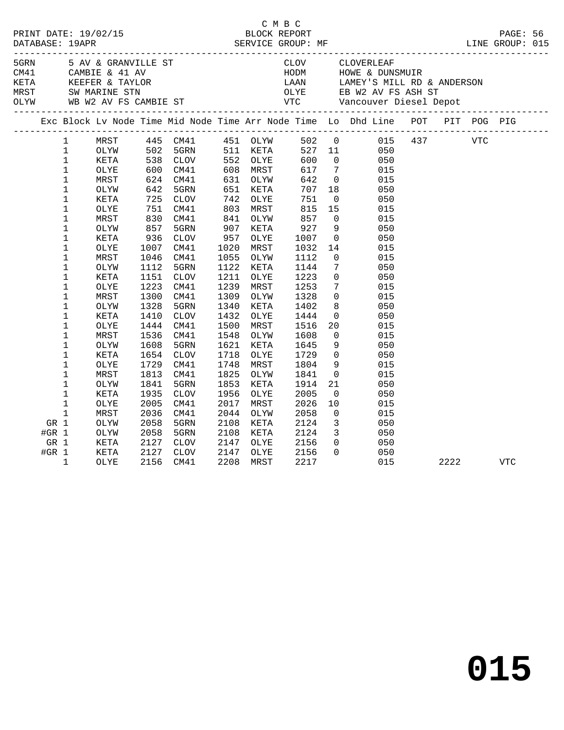|         |              |      |              |             |      |          | C M B C |                         |                                                                                                                                                                                                                                       |      |            |            |  |
|---------|--------------|------|--------------|-------------|------|----------|---------|-------------------------|---------------------------------------------------------------------------------------------------------------------------------------------------------------------------------------------------------------------------------------|------|------------|------------|--|
|         |              |      |              |             |      |          |         |                         |                                                                                                                                                                                                                                       |      |            |            |  |
|         |              |      |              |             |      |          |         |                         |                                                                                                                                                                                                                                       |      |            |            |  |
|         |              |      |              |             |      |          |         |                         |                                                                                                                                                                                                                                       |      |            |            |  |
|         |              |      |              |             |      |          |         |                         |                                                                                                                                                                                                                                       |      |            |            |  |
|         |              |      |              |             |      |          |         |                         |                                                                                                                                                                                                                                       |      |            |            |  |
|         |              |      |              |             |      |          |         |                         |                                                                                                                                                                                                                                       |      |            |            |  |
|         |              |      |              |             |      |          |         |                         | ERN 5 AV & GRANVILLE ST COVERLEAR CLOVERLEAR<br>CAMBIE & 41 AV HODM HOWE & DUNSMUIR<br>KETA KEEFER & TAYLOR LAAN LAMEY'S MILL RD & ANDERSON<br>MRST SW MARINE STN OLYE EB W2 AV FS ASH ST<br>OLYW WB W2 AV FS CAMBIE ST VTC Vancouver |      |            |            |  |
|         |              |      |              |             |      |          |         |                         | Exc Block Lv Node Time Mid Node Time Arr Node Time Lo Dhd Line POT PIT POG PIG                                                                                                                                                        |      |            |            |  |
|         | $\mathbf{1}$ | MRST |              |             |      |          |         |                         | 445 CM41 451 OLYW 502 0 015 437<br>502 5GRN 511 KETA 527 11 050<br>538 CLOV 552 OLYE 600 0 050                                                                                                                                        |      | <b>VTC</b> |            |  |
|         | $\mathbf{1}$ | OLYW |              |             |      |          |         |                         |                                                                                                                                                                                                                                       |      |            |            |  |
|         | $\mathbf{1}$ | KETA |              |             |      |          |         |                         |                                                                                                                                                                                                                                       |      |            |            |  |
|         | $\mathbf{1}$ | OLYE |              | CM41        |      | 608 MRST | 617     | $7\overline{ }$         | 015                                                                                                                                                                                                                                   |      |            |            |  |
|         | $\mathbf 1$  | MRST | 600<br>624   | CM41        |      | 631 OLYW | 642     | $\overline{0}$          | 015                                                                                                                                                                                                                                   |      |            |            |  |
|         | $\mathbf 1$  | OLYW | 642          | 5GRN        | 651  | KETA     | 707     | 18                      | 050                                                                                                                                                                                                                                   |      |            |            |  |
|         | 1            | KETA | 725          | CLOV        | 742  | OLYE     | 751     | $\overline{0}$          | 050                                                                                                                                                                                                                                   |      |            |            |  |
|         | $\mathbf 1$  | OLYE | 725 /<br>751 | CM41        |      | 803 MRST | 815     | 15                      | 015                                                                                                                                                                                                                                   |      |            |            |  |
|         | $\mathbf 1$  | MRST | 830          | CM41        | 841  | OLYW     | 857     | $\overline{0}$          | 015                                                                                                                                                                                                                                   |      |            |            |  |
|         | $\mathbf 1$  | OLYW | 857          | 5GRN        | 907  | KETA     | 927     | 9                       | 050                                                                                                                                                                                                                                   |      |            |            |  |
|         | $\mathbf 1$  | KETA | 936          | CLOV        | 957  | OLYE     | 1007    | $\overline{0}$          | 050                                                                                                                                                                                                                                   |      |            |            |  |
|         | $\mathbf 1$  | OLYE | 1007         | CM41        | 1020 | MRST     | 1032    | 14                      | 015                                                                                                                                                                                                                                   |      |            |            |  |
|         | 1            | MRST | 1046         | CM41        | 1055 | OLYW     | 1112    | $\overline{0}$          | 015                                                                                                                                                                                                                                   |      |            |            |  |
|         | $\mathbf 1$  | OLYW | 1112         | 5GRN        | 1122 | KETA     | 1144    | $7\overline{ }$         | 050                                                                                                                                                                                                                                   |      |            |            |  |
|         | 1            | KETA | 1151         | <b>CLOV</b> | 1211 | OLYE     | 1223    | $\overline{0}$          | 050                                                                                                                                                                                                                                   |      |            |            |  |
|         | $\mathbf 1$  | OLYE | 1223         | CM41        | 1239 | MRST     | 1253    | $7\overline{ }$         | 015                                                                                                                                                                                                                                   |      |            |            |  |
|         | $\mathbf 1$  | MRST | 1300         | CM41        | 1309 | OLYW     | 1328    | $\overline{0}$          | 015                                                                                                                                                                                                                                   |      |            |            |  |
|         | $\mathbf 1$  | OLYW | 1328         | 5GRN        | 1340 | KETA     | 1402    | 8                       | 050                                                                                                                                                                                                                                   |      |            |            |  |
|         | $\mathbf 1$  | KETA | 1410         | CLOV        | 1432 | OLYE     | 1444    | $\overline{0}$          | 050                                                                                                                                                                                                                                   |      |            |            |  |
|         | $\mathbf 1$  | OLYE | 1444         | CM41        | 1500 | MRST     | 1516    | 20                      | 015                                                                                                                                                                                                                                   |      |            |            |  |
|         | $\mathbf 1$  | MRST | 1536         | CM41        | 1548 | OLYW     | 1608    | $\overline{0}$          | 015                                                                                                                                                                                                                                   |      |            |            |  |
|         | $\mathbf 1$  | OLYW | 1608         | 5GRN        | 1621 | KETA     | 1645    | 9                       | 050                                                                                                                                                                                                                                   |      |            |            |  |
|         | 1            | KETA | 1654         | CLOV        | 1718 | OLYE     | 1729    |                         | $\overline{0}$<br>050                                                                                                                                                                                                                 |      |            |            |  |
|         | $\mathbf 1$  | OLYE | 1729         | CM41        | 1748 | MRST     | 1804    | - 9                     | 015                                                                                                                                                                                                                                   |      |            |            |  |
|         | $\mathbf 1$  | MRST | 1813         | CM41        | 1825 | OLYW     | 1841    | $\overline{0}$          | 015                                                                                                                                                                                                                                   |      |            |            |  |
|         | $\mathbf 1$  | OLYW | 1841         | 5GRN        | 1853 | KETA     | 1914    | 21                      | 050                                                                                                                                                                                                                                   |      |            |            |  |
|         | $\mathbf 1$  | KETA | 1935         | CLOV        | 1956 | OLYE     | 2005    | $\overline{0}$          | 050                                                                                                                                                                                                                                   |      |            |            |  |
|         | 1            | OLYE | 2005         | CM41        | 2017 | MRST     | 2026    | 10                      | 015                                                                                                                                                                                                                                   |      |            |            |  |
|         | $\mathbf 1$  | MRST | 2036         | CM41        | 2044 | OLYW     | 2058    | $\overline{0}$          | 015                                                                                                                                                                                                                                   |      |            |            |  |
| GR 1    |              | OLYW | 2058         | 5GRN        | 2108 | KETA     | 2124    | $\overline{\mathbf{3}}$ | 050                                                                                                                                                                                                                                   |      |            |            |  |
| #GR $1$ |              | OLYW | 2058         | 5GRN        | 2108 | KETA     | 2124    | $\overline{3}$          | 050                                                                                                                                                                                                                                   |      |            |            |  |
| GR 1    |              | KETA | 2127         | CLOV        | 2147 | OLYE     | 2156    | $\overline{0}$          | 050                                                                                                                                                                                                                                   |      |            |            |  |
| #GR $1$ |              | KETA | 2127         | CLOV        | 2147 | OLYE     | 2156    | $\Omega$                | 050                                                                                                                                                                                                                                   |      |            |            |  |
|         | $\mathbf{1}$ | OLYE | 2156         | CM41        | 2208 | MRST     | 2217    |                         | 015                                                                                                                                                                                                                                   | 2222 |            | <b>VTC</b> |  |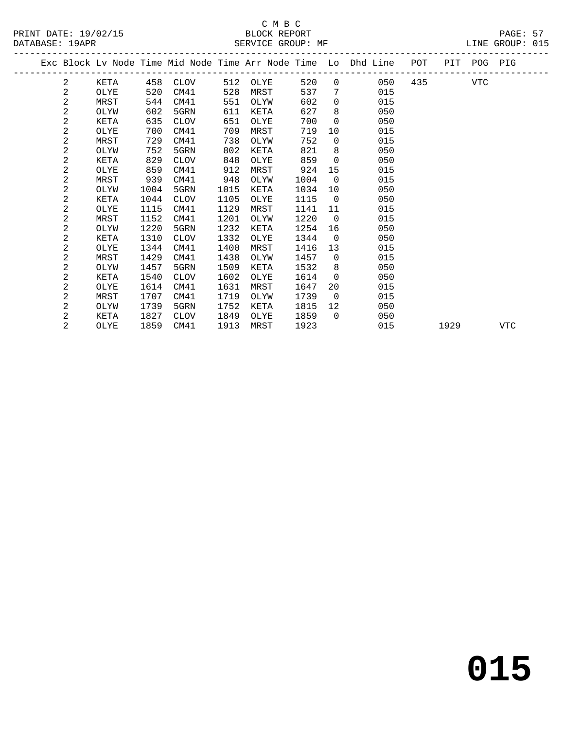|  |                         |      |      |             |      |      |      |                 | Exc Block Lv Node Time Mid Node Time Arr Node Time Lo Dhd Line POT PIT POG PIG |         |      |     |
|--|-------------------------|------|------|-------------|------|------|------|-----------------|--------------------------------------------------------------------------------|---------|------|-----|
|  | 2                       | KETA |      | 458 CLOV    | 512  | OLYE | 520  | $\overline{0}$  | 050                                                                            | 435 VTC |      |     |
|  | 2                       | OLYE | 520  | CM41        | 528  | MRST | 537  | 7               | 015                                                                            |         |      |     |
|  | 2                       | MRST | 544  | CM41        | 551  | OLYW | 602  | $\Omega$        | 015                                                                            |         |      |     |
|  | $\overline{\mathbf{c}}$ | OLYW | 602  | 5GRN        | 611  | KETA | 627  | 8               | 050                                                                            |         |      |     |
|  | 2                       | KETA | 635  | CLOV        | 651  | OLYE | 700  | $\overline{0}$  | 050                                                                            |         |      |     |
|  | 2                       | OLYE | 700  | CM41        | 709  | MRST | 719  | 10              | 015                                                                            |         |      |     |
|  | 2                       | MRST | 729  | CM41        | 738  | OLYW | 752  | $\overline{0}$  | 015                                                                            |         |      |     |
|  | 2                       | OLYW | 752  | 5GRN        | 802  | KETA | 821  | 8               | 050                                                                            |         |      |     |
|  | 2                       | KETA | 829  | <b>CLOV</b> | 848  | OLYE | 859  | $\overline{0}$  | 050                                                                            |         |      |     |
|  | 2                       | OLYE | 859  | CM41        | 912  | MRST | 924  | 15              | 015                                                                            |         |      |     |
|  | 2                       | MRST | 939  | CM41        | 948  | OLYW | 1004 | $\overline{0}$  | 015                                                                            |         |      |     |
|  | 2                       | OLYW | 1004 | 5GRN        | 1015 | KETA | 1034 | 10              | 050                                                                            |         |      |     |
|  | 2                       | KETA | 1044 | CLOV        | 1105 | OLYE | 1115 | $\overline{0}$  | 050                                                                            |         |      |     |
|  | 2                       | OLYE | 1115 | CM41        | 1129 | MRST | 1141 | 11              | 015                                                                            |         |      |     |
|  | 2                       | MRST | 1152 | CM41        | 1201 | OLYW | 1220 | $\overline{0}$  | 015                                                                            |         |      |     |
|  | 2                       | OLYW | 1220 | 5GRN        | 1232 | KETA | 1254 | 16              | 050                                                                            |         |      |     |
|  | 2                       | KETA | 1310 | <b>CLOV</b> | 1332 | OLYE | 1344 | $\Omega$        | 050                                                                            |         |      |     |
|  | 2                       | OLYE | 1344 | CM41        | 1400 | MRST | 1416 | 13              | 015                                                                            |         |      |     |
|  | 2                       | MRST | 1429 | CM41        | 1438 | OLYW | 1457 | $\overline{0}$  | 015                                                                            |         |      |     |
|  | 2                       | OLYW | 1457 | 5GRN        | 1509 | KETA | 1532 | 8               | 050                                                                            |         |      |     |
|  | 2                       | KETA | 1540 | <b>CLOV</b> | 1602 | OLYE | 1614 | $\overline{0}$  | 050                                                                            |         |      |     |
|  | 2                       | OLYE | 1614 | CM41        | 1631 | MRST | 1647 | 20              | 015                                                                            |         |      |     |
|  | 2                       | MRST | 1707 | CM41        | 1719 | OLYW | 1739 | $\overline{0}$  | 015                                                                            |         |      |     |
|  | 2                       | OLYW | 1739 | 5GRN        | 1752 | KETA | 1815 | 12 <sup>°</sup> | 050                                                                            |         |      |     |
|  | 2                       | KETA | 1827 | <b>CLOV</b> | 1849 | OLYE | 1859 | $\overline{0}$  | 050                                                                            |         |      |     |
|  | 2                       | OLYE | 1859 | CM41        | 1913 | MRST | 1923 |                 | 015                                                                            |         | 1929 | VTC |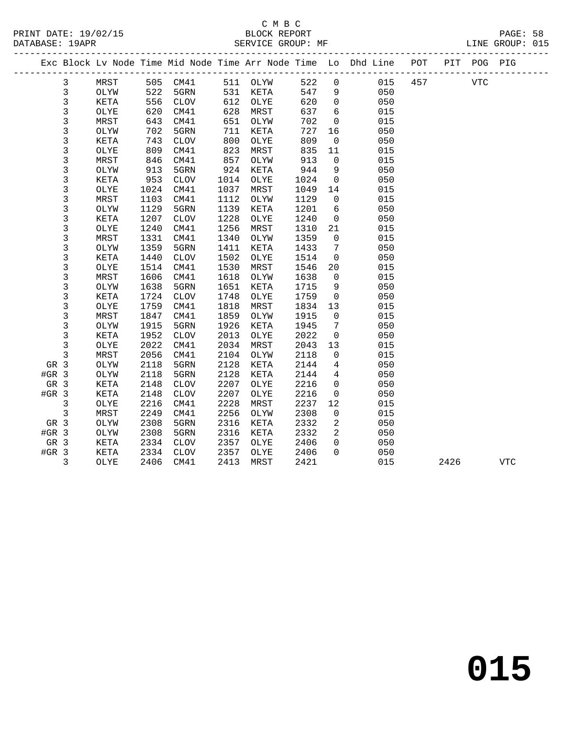|                 |              |             |      |                 |      |          |      |                | Exc Block Lv Node Time Mid Node Time Arr Node Time Lo Dhd Line POT |     |      | PIT POG PIG |            |  |
|-----------------|--------------|-------------|------|-----------------|------|----------|------|----------------|--------------------------------------------------------------------|-----|------|-------------|------------|--|
|                 | 3            | MRST        |      | 505 CM41        |      | 511 OLYW | 522  | $\mathsf{O}$   | 015                                                                | 457 |      | <b>VTC</b>  |            |  |
|                 | 3            | OLYW        | 522  | 5GRN            | 531  | KETA     | 547  | 9              | 050                                                                |     |      |             |            |  |
|                 | 3            | KETA        | 556  | CLOV            | 612  | OLYE     | 620  | $\overline{0}$ | 050                                                                |     |      |             |            |  |
|                 | 3            | OLYE        | 620  | CM41            | 628  | MRST     | 637  | 6              | 015                                                                |     |      |             |            |  |
|                 | $\mathsf{3}$ | MRST        | 643  | CM41            | 651  | OLYW     | 702  | $\mathbf 0$    | 015                                                                |     |      |             |            |  |
|                 | 3            | OLYW        | 702  | 5GRN            | 711  | KETA     | 727  | 16             | 050                                                                |     |      |             |            |  |
|                 | 3            | KETA        | 743  | <b>CLOV</b>     | 800  | OLYE     | 809  | $\mathsf{O}$   | 050                                                                |     |      |             |            |  |
|                 | 3            | OLYE        | 809  | CM41            | 823  | MRST     | 835  | 11             | 015                                                                |     |      |             |            |  |
|                 | 3            | MRST        | 846  | CM41            | 857  | OLYW     | 913  | $\mathbf 0$    | 015                                                                |     |      |             |            |  |
|                 | 3            | OLYW        | 913  | 5GRN            | 924  | KETA     | 944  | 9              | 050                                                                |     |      |             |            |  |
|                 | 3            | KETA        | 953  | CLOV            | 1014 | OLYE     | 1024 | $\mathbf 0$    | 050                                                                |     |      |             |            |  |
|                 | 3            | OLYE        | 1024 | CM41            | 1037 | MRST     | 1049 | 14             | 015                                                                |     |      |             |            |  |
|                 | 3            | MRST        | 1103 | CM41            | 1112 | OLYW     | 1129 | $\mathbf 0$    | 015                                                                |     |      |             |            |  |
|                 | 3            | OLYW        | 1129 | 5GRN            | 1139 | KETA     | 1201 | 6              | 050                                                                |     |      |             |            |  |
|                 | 3            | <b>KETA</b> | 1207 | <b>CLOV</b>     | 1228 | OLYE     | 1240 | $\mathbf 0$    | 050                                                                |     |      |             |            |  |
|                 | 3            | OLYE        | 1240 | CM41            | 1256 | MRST     | 1310 | 21             | 015                                                                |     |      |             |            |  |
|                 | 3            | MRST        | 1331 | CM41            | 1340 | OLYW     | 1359 | $\mathbf 0$    | 015                                                                |     |      |             |            |  |
|                 | 3            | OLYW        | 1359 | 5GRN            | 1411 | KETA     | 1433 | 7              | 050                                                                |     |      |             |            |  |
|                 | 3            | <b>KETA</b> | 1440 | <b>CLOV</b>     | 1502 | OLYE     | 1514 | $\mathbf 0$    | 050                                                                |     |      |             |            |  |
|                 | 3            | OLYE        | 1514 | CM41            | 1530 | MRST     | 1546 | 20             | 015                                                                |     |      |             |            |  |
|                 | 3            | MRST        | 1606 | CM41            | 1618 | OLYW     | 1638 | $\mathbb O$    | 015                                                                |     |      |             |            |  |
|                 | 3            | OLYW        | 1638 | 5GRN            | 1651 | KETA     | 1715 | 9              | 050                                                                |     |      |             |            |  |
|                 | 3            | KETA        | 1724 | <b>CLOV</b>     | 1748 | OLYE     | 1759 | $\mathbf 0$    | 050                                                                |     |      |             |            |  |
|                 | 3            | OLYE        | 1759 | CM41            | 1818 | MRST     | 1834 | 13             | 015                                                                |     |      |             |            |  |
|                 | 3            | MRST        | 1847 | CM41            | 1859 | OLYW     | 1915 | $\overline{0}$ | 015                                                                |     |      |             |            |  |
|                 | 3            | OLYW        | 1915 | 5GRN            | 1926 | KETA     | 1945 | 7              | 050                                                                |     |      |             |            |  |
|                 | 3            | <b>KETA</b> | 1952 | <b>CLOV</b>     | 2013 | OLYE     | 2022 | $\mathsf{O}$   | 050                                                                |     |      |             |            |  |
|                 | 3            | OLYE        | 2022 | CM41            | 2034 | MRST     | 2043 | 13             | 015                                                                |     |      |             |            |  |
|                 | 3            | MRST        | 2056 | CM41            | 2104 | OLYW     | 2118 | $\mathbf 0$    | 015                                                                |     |      |             |            |  |
| GR 3            |              | OLYW        | 2118 | 5GRN            | 2128 | KETA     | 2144 | 4              | 050                                                                |     |      |             |            |  |
| $#GR$ 3         |              | OLYW        | 2118 | 5GRN            | 2128 | KETA     | 2144 | 4              | 050                                                                |     |      |             |            |  |
| GR <sub>3</sub> |              | <b>KETA</b> | 2148 | <b>CLOV</b>     | 2207 | OLYE     | 2216 | $\overline{0}$ | 050                                                                |     |      |             |            |  |
| #GR 3           |              | KETA        | 2148 | $\mathtt{CLOV}$ | 2207 | OLYE     | 2216 | $\mathbf 0$    | 050                                                                |     |      |             |            |  |
|                 | 3            | OLYE        | 2216 | CM41            | 2228 | MRST     | 2237 | 12             | 015                                                                |     |      |             |            |  |
|                 | $\mathbf{3}$ | MRST        | 2249 | CM41            | 2256 | OLYW     | 2308 | $\mathbf 0$    | 015                                                                |     |      |             |            |  |
| GR 3            |              | OLYW        | 2308 | 5GRN            | 2316 | KETA     | 2332 | 2              | 050                                                                |     |      |             |            |  |
| $#GR$ 3         |              | OLYW        | 2308 | 5GRN            | 2316 | KETA     | 2332 | 2              | 050                                                                |     |      |             |            |  |
| GR 3            |              | KETA        | 2334 | CLOV            | 2357 | OLYE     | 2406 | $\mathbf 0$    | 050                                                                |     |      |             |            |  |
| $#GR$ 3         |              | KETA        | 2334 | CLOV            | 2357 | OLYE     | 2406 | $\Omega$       | 050                                                                |     |      |             |            |  |
|                 | 3            | <b>OLYE</b> | 2406 | CM41            | 2413 | MRST     | 2421 |                | 015                                                                |     | 2426 |             | <b>VTC</b> |  |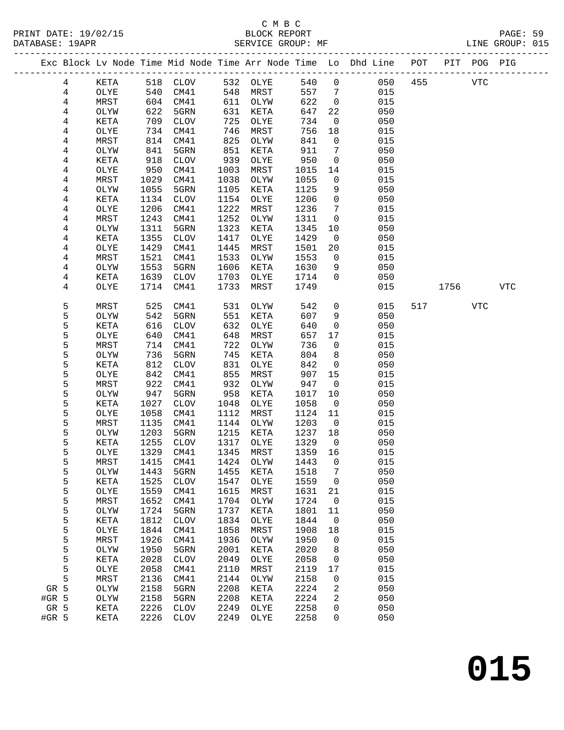|        |              |            |              |              |              |              |                   | Exc Block Lv Node Time Mid Node Time Arr Node Time Lo Dhd Line POT |     |      | PIT POG PIG |            |
|--------|--------------|------------|--------------|--------------|--------------|--------------|-------------------|--------------------------------------------------------------------|-----|------|-------------|------------|
| 4      | KETA         |            | 518 CLOV     |              | 532 OLYE     | 540          | $\overline{0}$    | 050                                                                | 455 |      | <b>VTC</b>  |            |
| 4      | OLYE         | 540        | CM41         | 548          | MRST         | 557          | $\overline{7}$    | 015                                                                |     |      |             |            |
| 4      | MRST         | 604        | CM41         | 611          | OLYW         | 622          | $\overline{0}$    | 015                                                                |     |      |             |            |
| 4      | OLYW         | 622        | 5GRN         | 631          | KETA         | 647          | 22                | 050                                                                |     |      |             |            |
| 4      | KETA         | 709        | CLOV         | 725          | OLYE         | 734          | $\overline{0}$    | 050                                                                |     |      |             |            |
| 4      | OLYE         | 734        | CM41         | 746          | MRST         | 756          | 18                | 015                                                                |     |      |             |            |
| 4      | MRST         | 814        | CM41         | 825          | OLYW         | 841          | $\mathsf{O}$      | 015                                                                |     |      |             |            |
| 4      | OLYW         | 841        | 5GRN         | 851          | KETA         | 911          | 7                 | 050                                                                |     |      |             |            |
| 4      | KETA         | 918        | CLOV         | 939          | OLYE         | 950          | $\mathsf{O}$      | 050                                                                |     |      |             |            |
| 4      | OLYE         | 950        | CM41         | 1003         | MRST         | 1015         | 14                | 015                                                                |     |      |             |            |
| 4      | MRST         | 1029       | CM41         | 1038         | OLYW         | 1055         | $\mathbf 0$       | 015                                                                |     |      |             |            |
| 4      | OLYW         | 1055       | 5GRN         | 1105         | KETA         | 1125         | 9                 | 050                                                                |     |      |             |            |
| 4      | KETA         | 1134       | CLOV         | 1154         | OLYE         | 1206         | $\mathsf{O}$      | 050                                                                |     |      |             |            |
| 4      | OLYE         | 1206       | CM41         | 1222         | MRST         | 1236         | $7\phantom{.0}$   | 015                                                                |     |      |             |            |
| 4      | MRST         | 1243       | CM41         | 1252         | OLYW         | 1311         | $\overline{0}$    | 015                                                                |     |      |             |            |
| 4      | OLYW         | 1311       | 5GRN         | 1323         | KETA         | 1345         | 10                | 050                                                                |     |      |             |            |
| 4      | KETA         | 1355       | CLOV         | 1417         | OLYE         | 1429         | $\overline{0}$    | 050                                                                |     |      |             |            |
| 4      | OLYE         | 1429       | CM41         | 1445         | MRST         | 1501         | 20                | 015                                                                |     |      |             |            |
| 4      | MRST         | 1521       | CM41         | 1533         | OLYW         | 1553         | $\overline{0}$    | 015                                                                |     |      |             |            |
| 4      | OLYW         | 1553       | 5GRN         | 1606         | KETA         | 1630         | 9                 | 050                                                                |     |      |             |            |
| 4      | KETA         | 1639       | CLOV         | 1703         | OLYE         | 1714         | $\Omega$          | 050                                                                |     |      |             |            |
| 4      | OLYE         | 1714       | CM41         | 1733         | MRST         | 1749         |                   | 015                                                                |     | 1756 |             | <b>VTC</b> |
| 5      | MRST         | 525        | CM41         | 531          | OLYW         | 542          | $\mathbf 0$       | 015                                                                | 517 |      | VTC         |            |
| 5      | OLYW         | 542        | 5GRN         | 551          | KETA         | 607          | 9                 | 050                                                                |     |      |             |            |
| 5      | KETA         | 616        | CLOV         | 632          | OLYE         | 640          | $\mathbf 0$       | 050                                                                |     |      |             |            |
| 5      | OLYE         | 640        | CM41         | 648          | MRST         | 657          | 17                | 015                                                                |     |      |             |            |
| 5      | MRST         | 714        | CM41         | 722          | OLYW         | 736          | $\mathsf{O}$      | 015                                                                |     |      |             |            |
| 5      | OLYW         | 736        | 5GRN         | 745          | KETA         | 804<br>842   | 8                 | 050                                                                |     |      |             |            |
| 5<br>5 | KETA<br>OLYE | 812<br>842 | CLOV<br>CM41 | 831<br>855   | OLYE<br>MRST | 907          | $\mathbf 0$<br>15 | 050<br>015                                                         |     |      |             |            |
| 5      | MRST         | 922        | CM41         | 932          | OLYW         | 947          | $\mathsf{O}$      | 015                                                                |     |      |             |            |
| 5      | OLYW         | 947        | 5GRN         | 958          | KETA         | 1017         | 10                | 050                                                                |     |      |             |            |
| 5      | KETA         | 1027       | CLOV         | 1048         | OLYE         | 1058         | $\overline{0}$    | 050                                                                |     |      |             |            |
| 5      | OLYE         | 1058       | CM41         | 1112         | MRST         | 1124         | 11                | 015                                                                |     |      |             |            |
| 5      | MRST         | 1135       | CM41         | 1144         | OLYW         | 1203         | $\overline{0}$    | 015                                                                |     |      |             |            |
| 5      | OLYW         | 1203       | 5GRN         | 1215         | KETA         | 1237         | 18                | 050                                                                |     |      |             |            |
| 5      | KETA         | 1255       | CLOV         | 1317         | OLYE         | 1329         | $\overline{0}$    | 050                                                                |     |      |             |            |
| 5      | OLYE         | 1329       | CM41         | 1345         | MRST         | 1359         | 16                | 015                                                                |     |      |             |            |
| 5      | MRST         |            | 1415 CM41    |              | 1424 OLYW    | 1443 0       |                   | 015                                                                |     |      |             |            |
| 5      | OLYW         | 1443       | 5GRN         | 1455         | KETA         | 1518         | 7                 | 050                                                                |     |      |             |            |
| 5      | KETA         | 1525       | CLOV         | 1547         | OLYE         | 1559         | $\mathbf 0$       | 050                                                                |     |      |             |            |
| 5      | OLYE         | 1559       | CM41         | 1615         | MRST         | 1631         | 21                | 015                                                                |     |      |             |            |
| 5      | MRST         | 1652       | CM41         | 1704         | OLYW         | 1724         | $\mathsf{O}$      | 015                                                                |     |      |             |            |
| 5      | OLYW         | 1724       | 5GRN         | 1737         | KETA         | 1801         | 11                | 050                                                                |     |      |             |            |
| 5      | KETA         | 1812       | <b>CLOV</b>  | 1834         | OLYE         | 1844         | $\mathbf 0$       | 050                                                                |     |      |             |            |
| 5      | OLYE         | 1844       | CM41         | 1858         | MRST         | 1908         | 18                | 015                                                                |     |      |             |            |
| 5      | MRST         | 1926       | CM41         | 1936         | OLYW         | 1950         | 0                 | 015                                                                |     |      |             |            |
| 5      | OLYW         | 1950       | 5GRN         | 2001         | KETA         | 2020         | 8                 | 050                                                                |     |      |             |            |
| 5      | KETA         | 2028       | $\rm CLOV$   | 2049         | OLYE         | 2058         | 0                 | 050                                                                |     |      |             |            |
| 5      | OLYE         | 2058       | CM41         | 2110         | MRST         | 2119         | 17                | 015                                                                |     |      |             |            |
| 5      | MRST         | 2136       | CM41         | 2144         | OLYW         | 2158         | $\mathsf{O}$      | 015                                                                |     |      |             |            |
| GR 5   | OLYW         | 2158       | 5GRN         | 2208         | KETA         | 2224         | 2                 | 050                                                                |     |      |             |            |
| #GR 5  | OLYW         | 2158       | 5GRN         | 2208         | KETA         | 2224         | 2                 | 050                                                                |     |      |             |            |
| GR 5   | KETA         | 2226       | CLOV         | 2249<br>2249 | OLYE         | 2258<br>2258 | 0<br>$\Omega$     | 050<br>050                                                         |     |      |             |            |
| #GR 5  | KETA         | 2226       | <b>CLOV</b>  |              | OLYE         |              |                   |                                                                    |     |      |             |            |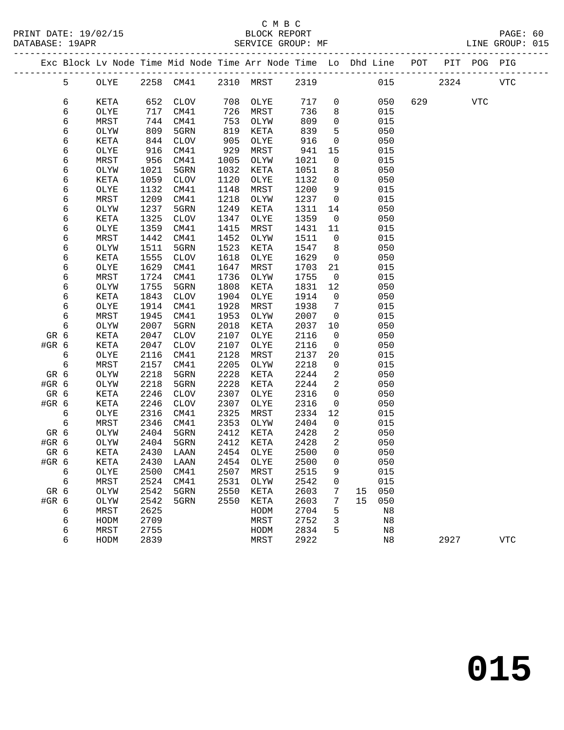## C M B C<br>BLOCK REPORT

PRINT DATE: 19/02/15 BLOCK REPORT PAGE: 60

Exc Block Lv Node Time Mid Node Time Arr Node Time Lo Dhd Line POT PIT POG PIG

LINE GROUP: 015 -------------------------------------------------------------------------------------------------

| 5               | OLYE                         |      |                 | 2258 CM41 2310 MRST 2319 |          |      |                          |        |     | 015 70 | 2324    |          | VTC |
|-----------------|------------------------------|------|-----------------|--------------------------|----------|------|--------------------------|--------|-----|--------|---------|----------|-----|
| 6               | KETA                         | 652  | CLOV            |                          | 708 OLYE | 717  | $\overline{0}$           |        | 050 |        | 629 VTC |          |     |
| 6               | OLYE                         | 717  | CM41            |                          | MRST     | 736  | 8                        |        | 015 |        |         |          |     |
| 6               | MRST                         | 744  | CM41            | 708<br>726<br>753<br>819 | OLYW     | 809  | $\mathbf 0$              |        | 015 |        |         |          |     |
| 6               | OLYW                         | 809  | 5GRN            |                          | KETA     | 839  | 5                        |        | 050 |        |         |          |     |
| б               | KETA                         | 844  | CLOV            | 905                      | OLYE     | 916  | $\overline{0}$           |        | 050 |        |         |          |     |
| 6               | OLYE                         | 916  | CM41            | 529                      | MRST     | 941  | 15                       |        | 015 |        |         |          |     |
| 6               | MRST                         | 956  | CM41            | 1005                     | OLYW     | 1021 | $\mathbf 0$              |        | 015 |        |         |          |     |
| 6               | OLYW                         | 1021 | 5GRN            | 1032                     | KETA     | 1051 | 8                        |        | 050 |        |         |          |     |
| 6               | KETA                         | 1059 | CLOV            | 1120                     | OLYE     | 1132 | $\overline{0}$           |        | 050 |        |         |          |     |
| 6               | OLYE                         | 1132 | CM41            | 1148                     | MRST     | 1200 | 9                        |        | 015 |        |         |          |     |
| 6               | MRST                         | 1209 | CM41            | 1218                     | OLYW     | 1237 | $\overline{0}$           |        | 015 |        |         |          |     |
| 6               | OLYW                         | 1237 | 5GRN            | 1249                     | KETA     | 1311 | 14                       |        | 050 |        |         |          |     |
| 6               | KETA                         | 1325 | CLOV            | 1347                     | OLYE     | 1359 | $\overline{0}$           |        | 050 |        |         |          |     |
| 6               | $\ensuremath{\mathsf{OLYE}}$ | 1359 | CM41            | 1415                     | MRST     | 1431 | 11                       |        | 015 |        |         |          |     |
| 6               | MRST                         | 1442 | CM41            | 1452                     | OLYW     | 1511 | $\overline{0}$           |        | 015 |        |         |          |     |
| 6               | OLYW                         | 1511 | 5GRN            | 1523                     | KETA     | 1547 | 8 <sup>8</sup>           |        | 050 |        |         |          |     |
| 6               | KETA                         | 1555 | CLOV            | 1618                     | OLYE     | 1629 | $\overline{0}$           |        | 050 |        |         |          |     |
| 6               | OLYE                         | 1629 | CM41            | 1647                     | MRST     | 1703 | 21                       |        | 015 |        |         |          |     |
| 6               | MRST                         | 1724 | CM41            | 1736                     | OLYW     | 1755 | $\overline{0}$           |        | 015 |        |         |          |     |
| $\epsilon$      | OLYW                         | 1755 | 5GRN            | 1808                     | KETA     | 1831 | 12                       |        | 050 |        |         |          |     |
| 6               | KETA                         | 1843 | CLOV            | 1904                     | OLYE     | 1914 | $\overline{0}$           |        | 050 |        |         |          |     |
| $\epsilon$      | OLYE                         | 1914 | CM41            | 1928                     | MRST     | 1938 | $\overline{7}$           |        | 015 |        |         |          |     |
| 6               | MRST                         | 1945 | CM41            | 1953                     | OLYW     | 2007 | $\overline{0}$           |        | 015 |        |         |          |     |
| $\sqrt{6}$      | OLYW                         | 2007 | 5GRN            | 2018                     | KETA     | 2037 | 10                       |        | 050 |        |         |          |     |
| GR 6            | KETA                         | 2047 | CLOV            | 2107                     | OLYE     | 2116 | $\overline{0}$           |        | 050 |        |         |          |     |
| #GR 6           | KETA                         | 2047 | $\mathtt{CLOV}$ | 2107                     | OLYE     | 2116 | $\overline{0}$           |        | 050 |        |         |          |     |
| $6\overline{6}$ | OLYE                         | 2116 | CM41            | 2128                     | MRST     | 2137 | 20                       |        | 015 |        |         |          |     |
| $6\overline{6}$ | MRST                         | 2157 | CM41            | 2205                     | OLYW     | 2218 | $\overline{0}$           |        | 015 |        |         |          |     |
| GR 6            | OLYW                         | 2218 | 5GRN            | 2228                     | KETA     | 2244 | $\overline{\phantom{a}}$ |        | 050 |        |         |          |     |
| #GR 6           | OLYW                         | 2218 | 5GRN            | 2228                     | KETA     | 2244 | $\overline{2}$           |        | 050 |        |         |          |     |
| GR 6            | KETA                         | 2246 | CLOV            | 2307                     | OLYE     | 2316 | $\overline{0}$           |        | 050 |        |         |          |     |
| #GR 6           | KETA                         | 2246 | CLOV            | 2307                     | OLYE     | 2316 | $\overline{\mathbf{0}}$  |        | 050 |        |         |          |     |
| $6\overline{6}$ | OLYE                         | 2316 | CM41            | 2325                     | MRST     | 2334 | 12                       |        | 015 |        |         |          |     |
| $6\overline{6}$ | MRST                         | 2346 | CM41            | 2353                     | OLYW     | 2404 | $\mathbf 0$              |        | 015 |        |         |          |     |
| GR 6            | OLYW                         | 2404 | 5GRN            | 2412                     | KETA     | 2428 | $\overline{a}$           |        | 050 |        |         |          |     |
| #GR 6           | OLYW                         | 2404 | 5GRN            | 2412                     | KETA     | 2428 | $\overline{2}$           |        | 050 |        |         |          |     |
| GR 6            | KETA                         | 2430 | LAAN            | 2454                     | OLYE     | 2500 | $\mathbf 0$              |        | 050 |        |         |          |     |
| #GR 6           | KETA                         | 2430 | LAAN            | 2454                     | OLYE     | 2500 | $\mathbf 0$              |        | 050 |        |         |          |     |
| $6\overline{6}$ | OLYE                         | 2500 | CM41            | 2507                     | MRST     | 2515 | 9                        |        | 015 |        |         |          |     |
| 6               | MRST                         | 2524 | CM41            | 2531                     | OLYW     | 2542 | 0                        |        | 015 |        |         |          |     |
| GR 6            | OLYW                         | 2542 | 5GRN            | 2550                     | KETA     | 2603 | $7\overline{ }$          | 15 050 |     |        |         |          |     |
| #GR 6           | OLYW                         | 2542 | 5GRN            | 2550                     | KETA     | 2603 | 7                        | 15 050 |     |        |         |          |     |
| 6               | MRST                         | 2625 |                 |                          | HODM     | 2704 | 5                        |        | N8  |        |         |          |     |
| 6               | HODM                         | 2709 |                 |                          | MRST     | 2752 | $\mathbf{3}$             |        | N8  |        |         |          |     |
| 6               | MRST                         | 2755 |                 |                          | HODM     | 2834 | 5                        |        | N8  |        |         |          |     |
| 6               | HODM                         | 2839 |                 |                          | MRST     | 2922 |                          |        | N8  |        |         | 2927 VTC |     |
|                 |                              |      |                 |                          |          |      |                          |        |     |        |         |          |     |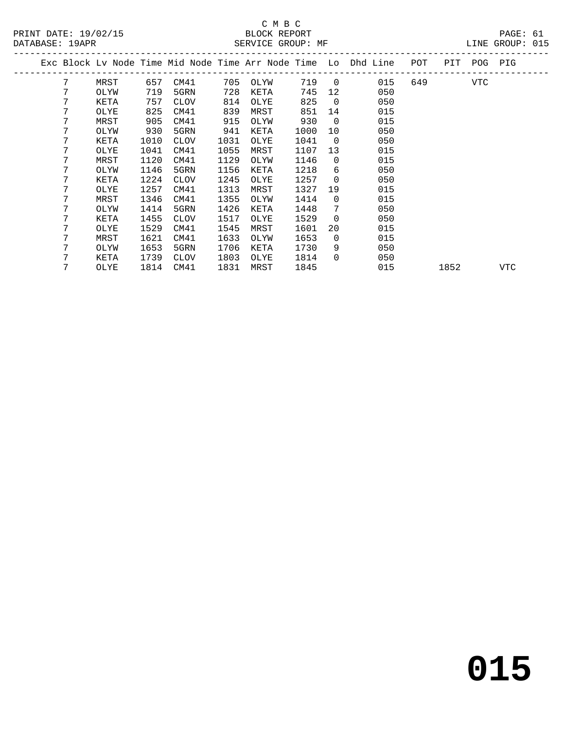### C M B C<br>BLOCK REPORT DATABASE: 19APR SERVICE GROUP: MF LINE GROUP: 015

| DATABASE: 19APR |   |      |      |      |      | SERVICE GROUP: MF |      |                |                                                                |     |             | TIME GKOOL: 0T2 |  |
|-----------------|---|------|------|------|------|-------------------|------|----------------|----------------------------------------------------------------|-----|-------------|-----------------|--|
|                 |   |      |      |      |      |                   |      |                | Exc Block Lv Node Time Mid Node Time Arr Node Time Lo Dhd Line | POT | PIT POG PIG |                 |  |
|                 | 7 | MRST | 657  | CM41 | 705  | OLYW              | 719  | $\overline{0}$ | 015                                                            | 649 | VTC         |                 |  |
|                 |   | OLYW | 719  | 5GRN | 728  | KETA              | 745  | 12             | 050                                                            |     |             |                 |  |
|                 | 7 | KETA | 757  | CLOV | 814  | OLYE              | 825  | $\overline{0}$ | 050                                                            |     |             |                 |  |
|                 | 7 | OLYE | 825  | CM41 | 839  | MRST              | 851  | 14             | 015                                                            |     |             |                 |  |
|                 | 7 | MRST | 905  | CM41 | 915  | OLYW              | 930  | $\overline{0}$ | 015                                                            |     |             |                 |  |
|                 | 7 | OLYW | 930  | 5GRN | 941  | KETA              | 1000 | 10             | 050                                                            |     |             |                 |  |
|                 | 7 | KETA | 1010 | CLOV | 1031 | OLYE              | 1041 | $\overline{0}$ | 050                                                            |     |             |                 |  |
|                 | 7 | OLYE | 1041 | CM41 | 1055 | MRST              | 1107 | 13             | 015                                                            |     |             |                 |  |
|                 | 7 | MRST | 1120 | CM41 | 1129 | OLYW              | 1146 | $\Omega$       | 015                                                            |     |             |                 |  |
|                 | 7 | OLYW | 1146 | 5GRN | 1156 | KETA              | 1218 | 6              | 050                                                            |     |             |                 |  |
|                 | 7 | KETA | 1224 | CLOV | 1245 | OLYE              | 1257 | $\overline{0}$ | 050                                                            |     |             |                 |  |
|                 | 7 | OLYE | 1257 | CM41 | 1313 | MRST              | 1327 | 19             | 015                                                            |     |             |                 |  |
|                 | 7 | MRST | 1346 | CM41 | 1355 | OLYW              | 1414 | $\Omega$       | 015                                                            |     |             |                 |  |
|                 | 7 | OLYW | 1414 | 5GRN | 1426 | KETA              | 1448 | 7              | 050                                                            |     |             |                 |  |
|                 | 7 | KETA | 1455 | CLOV | 1517 | OLYE              | 1529 | $\Omega$       | 050                                                            |     |             |                 |  |
|                 |   | OLYE | 1529 | CM41 | 1545 | MRST              | 1601 | 20             | 015                                                            |     |             |                 |  |
|                 | 7 | MRST | 1621 | CM41 | 1633 | OLYW              | 1653 | $\overline{0}$ | 015                                                            |     |             |                 |  |
|                 |   |      |      |      |      |                   |      |                |                                                                |     |             |                 |  |

 7 OLYW 1653 5GRN 1706 KETA 1730 9 050 7 KETA 1739 CLOV 1803 OLYE 1814 0 050

7 OLYE 1814 CM41 1831 MRST 1845 015 1852 VTC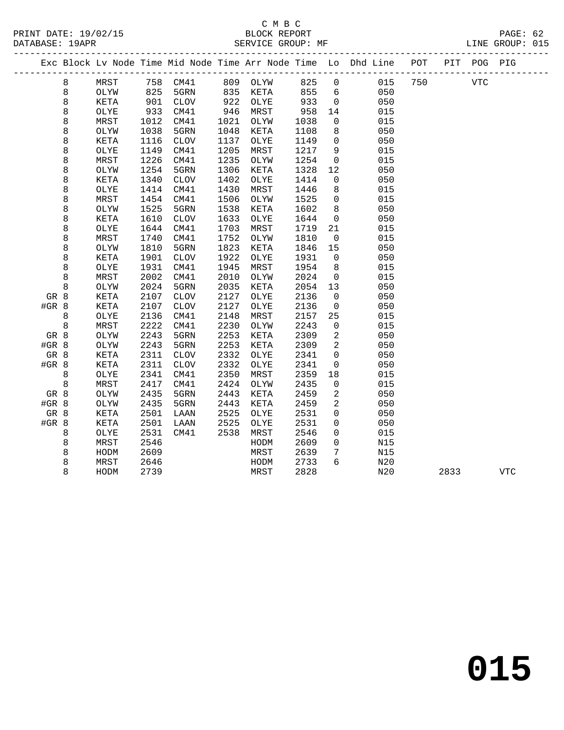#### C M B C SERVICE GROUP: MF

| PRINT DATE: 19/02/15 | BLOCK REPORT           | $\mathtt{PAGE}$ :  |
|----------------------|------------------------|--------------------|
| DATABASE: 19APR      | SERVICE GROUP:<br>MF . | GROUP: 015<br>∟INE |

|         |         |      |      |                 |      |          |      |                | Exc Block Lv Node Time Mid Node Time Arr Node Time Lo Dhd Line POT |     |      | PIT POG PIG |            |
|---------|---------|------|------|-----------------|------|----------|------|----------------|--------------------------------------------------------------------|-----|------|-------------|------------|
|         | 8       | MRST |      | 758 CM41        |      | 809 OLYW | 825  | $\overline{0}$ | 015                                                                | 750 |      | VTC         |            |
|         | 8       | OLYW | 825  | 5GRN            | 835  | KETA     | 855  | 6              | 050                                                                |     |      |             |            |
|         | 8       | KETA | 901  | CLOV            | 922  | OLYE     | 933  | $\overline{0}$ | 050                                                                |     |      |             |            |
|         | 8       | OLYE | 933  | CM41            | 946  | MRST     | 958  | 14             | 015                                                                |     |      |             |            |
|         | 8       | MRST | 1012 | CM41            | 1021 | OLYW     | 1038 | 0              | 015                                                                |     |      |             |            |
|         | 8       | OLYW | 1038 | 5GRN            | 1048 | KETA     | 1108 | 8              | 050                                                                |     |      |             |            |
|         | 8       | KETA | 1116 | $\mathtt{CLOV}$ | 1137 | OLYE     | 1149 | $\mathsf{O}$   | 050                                                                |     |      |             |            |
|         | 8       | OLYE | 1149 | CM41            | 1205 | MRST     | 1217 | 9              | 015                                                                |     |      |             |            |
|         | 8       | MRST | 1226 | CM41            | 1235 | OLYW     | 1254 | $\mathbf 0$    | 015                                                                |     |      |             |            |
|         | 8       | OLYW | 1254 | 5GRN            | 1306 | KETA     | 1328 | 12             | 050                                                                |     |      |             |            |
|         | 8       | KETA | 1340 | ${\tt CLOV}$    | 1402 | OLYE     | 1414 | 0              | 050                                                                |     |      |             |            |
|         | 8       | OLYE | 1414 | CM41            | 1430 | MRST     | 1446 | $\,8\,$        | 015                                                                |     |      |             |            |
|         | 8       | MRST | 1454 | CM41            | 1506 | OLYW     | 1525 | $\mathbf 0$    | 015                                                                |     |      |             |            |
|         | 8       | OLYW | 1525 | 5GRN            | 1538 | KETA     | 1602 | 8              | 050                                                                |     |      |             |            |
|         | 8       | KETA | 1610 | <b>CLOV</b>     | 1633 | OLYE     | 1644 | $\mathbf 0$    | 050                                                                |     |      |             |            |
|         | 8       | OLYE | 1644 | CM41            | 1703 | MRST     | 1719 | 21             | 015                                                                |     |      |             |            |
|         | 8       | MRST | 1740 | CM41            | 1752 | OLYW     | 1810 | $\overline{0}$ | 015                                                                |     |      |             |            |
|         | 8       | OLYW | 1810 | 5GRN            | 1823 | KETA     | 1846 | 15             | 050                                                                |     |      |             |            |
|         | 8       | KETA | 1901 | ${\tt CLOV}$    | 1922 | OLYE     | 1931 | $\mathbf 0$    | 050                                                                |     |      |             |            |
|         | 8       | OLYE | 1931 | CM41            | 1945 | MRST     | 1954 | 8              | 015                                                                |     |      |             |            |
|         | 8       | MRST | 2002 | CM41            | 2010 | OLYW     | 2024 | $\mathbf 0$    | 015                                                                |     |      |             |            |
|         | 8       | OLYW | 2024 | 5GRN            | 2035 | KETA     | 2054 | 13             | 050                                                                |     |      |             |            |
| GR 8    |         | KETA | 2107 | $\mathtt{CLOV}$ | 2127 | OLYE     | 2136 | 0              | 050                                                                |     |      |             |            |
| #GR 8   |         | KETA | 2107 | ${\tt CLOV}$    | 2127 | OLYE     | 2136 | 0              | 050                                                                |     |      |             |            |
|         | 8       | OLYE | 2136 | CM41            | 2148 | MRST     | 2157 | 25             | 015                                                                |     |      |             |            |
|         | $\,8\,$ | MRST | 2222 | CM41            | 2230 | OLYW     | 2243 | 0              | 015                                                                |     |      |             |            |
| GR 8    |         | OLYW | 2243 | 5GRN            | 2253 | KETA     | 2309 | 2              | 050                                                                |     |      |             |            |
| #GR 8   |         | OLYW | 2243 | 5GRN            | 2253 | KETA     | 2309 | $\mathbf{2}$   | 050                                                                |     |      |             |            |
| GR 8    |         | KETA | 2311 | ${\tt CLOV}$    | 2332 | OLYE     | 2341 | $\mathbf 0$    | 050                                                                |     |      |             |            |
| $#GR$ 8 |         | KETA | 2311 | ${\tt CLOV}$    | 2332 | OLYE     | 2341 | $\mathbf 0$    | 050                                                                |     |      |             |            |
|         | 8       | OLYE | 2341 | CM41            | 2350 | MRST     | 2359 | 18             | 015                                                                |     |      |             |            |
|         | $\,8\,$ | MRST | 2417 | CM41            | 2424 | OLYW     | 2435 | 0              | 015                                                                |     |      |             |            |
| GR 8    |         | OLYW | 2435 | 5GRN            | 2443 | KETA     | 2459 | 2              | 050                                                                |     |      |             |            |
| $#GR$ 8 |         | OLYW | 2435 | 5GRN            | 2443 | KETA     | 2459 | 2              | 050                                                                |     |      |             |            |
| GR 8    |         | KETA | 2501 | LAAN            | 2525 | OLYE     | 2531 | $\mathbf 0$    | 050                                                                |     |      |             |            |
| #GR 8   |         | KETA | 2501 | LAAN            | 2525 | OLYE     | 2531 | $\mathbf 0$    | 050                                                                |     |      |             |            |
|         | 8       | OLYE | 2531 | CM41            | 2538 | MRST     | 2546 | 0              | 015                                                                |     |      |             |            |
|         | 8       | MRST | 2546 |                 |      | HODM     | 2609 | $\mathbf 0$    | N15                                                                |     |      |             |            |
|         | 8       | HODM | 2609 |                 |      | MRST     | 2639 | 7              | N15                                                                |     |      |             |            |
|         | 8       | MRST | 2646 |                 |      | HODM     | 2733 | 6              | N20                                                                |     |      |             |            |
|         | 8       | HODM | 2739 |                 |      | MRST     | 2828 |                | N20                                                                |     | 2833 |             | <b>VTC</b> |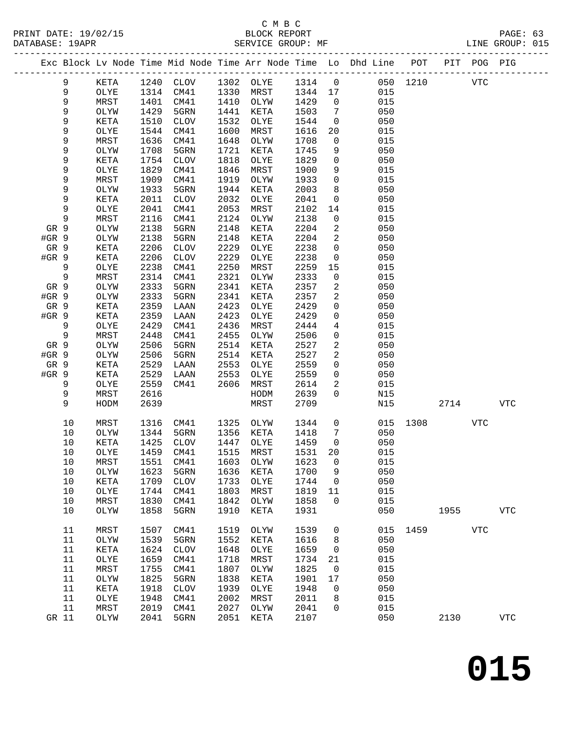#### C M B C<br>BLOCK REPORT SERVICE GROUP: MF

|       |       |      |      |           |      |           |         |                | Exc Block Lv Node Time Mid Node Time Arr Node Time Lo Dhd Line POT |          |            | PIT POG PIG |              |
|-------|-------|------|------|-----------|------|-----------|---------|----------------|--------------------------------------------------------------------|----------|------------|-------------|--------------|
|       | 9     | KETA |      | 1240 CLOV |      | 1302 OLYE | 1314 0  |                |                                                                    | 050 1210 | <b>VTC</b> |             |              |
|       | 9     | OLYE | 1314 | CM41      | 1330 | MRST      | 1344 17 |                | 015                                                                |          |            |             |              |
|       | 9     | MRST | 1401 | CM41      |      | 1410 OLYW | 1429    | $\overline{0}$ | 015                                                                |          |            |             |              |
|       | 9     | OLYW | 1429 | 5GRN      | 1441 | KETA      | 1503    | $\overline{7}$ | 050                                                                |          |            |             |              |
|       | 9     | KETA | 1510 | CLOV      | 1532 | OLYE      | 1544    | $\overline{0}$ | 050                                                                |          |            |             |              |
|       | 9     | OLYE | 1544 | CM41      | 1600 | MRST      | 1616    | 20             | 015                                                                |          |            |             |              |
|       | 9     | MRST | 1636 | CM41      | 1648 | OLYW      | 1708    | $\overline{0}$ | 015                                                                |          |            |             |              |
|       | 9     | OLYW | 1708 | 5GRN      | 1721 | KETA      | 1745    | 9              | 050                                                                |          |            |             |              |
|       | 9     | KETA | 1754 | CLOV      | 1818 | OLYE      | 1829    | $\mathbf 0$    | 050                                                                |          |            |             |              |
|       | 9     | OLYE | 1829 | CM41      | 1846 | MRST      | 1900    | 9              | 015                                                                |          |            |             |              |
|       | 9     | MRST | 1909 | CM41      | 1919 | OLYW      | 1933    | $\mathsf{O}$   | 015                                                                |          |            |             |              |
|       | 9     | OLYW | 1933 | 5GRN      | 1944 | KETA      | 2003    | 8              | 050                                                                |          |            |             |              |
|       | 9     | KETA | 2011 | CLOV      | 2032 | OLYE      | 2041    | $\mathsf{O}$   | 050                                                                |          |            |             |              |
|       | 9     | OLYE | 2041 | CM41      | 2053 | MRST      | 2102    | 14             | 015                                                                |          |            |             |              |
|       | 9     | MRST | 2116 | CM41      | 2124 | OLYW      | 2138    | $\mathsf{O}$   | 015                                                                |          |            |             |              |
| GR 9  |       | OLYW | 2138 | 5GRN      | 2148 | KETA      | 2204    | $\overline{a}$ | 050                                                                |          |            |             |              |
| #GR 9 |       | OLYW | 2138 | 5GRN      | 2148 | KETA      | 2204    | 2              | 050                                                                |          |            |             |              |
| GR 9  |       | KETA | 2206 | CLOV      | 2229 | OLYE      | 2238    | $\mathsf{O}$   | 050                                                                |          |            |             |              |
| #GR 9 |       | KETA | 2206 | CLOV      | 2229 | OLYE      | 2238    | $\mathsf{O}$   | 050                                                                |          |            |             |              |
|       | 9     | OLYE | 2238 | CM41      | 2250 | MRST      | 2259    | 15             | 015                                                                |          |            |             |              |
|       | 9     | MRST | 2314 | CM41      | 2321 | OLYW      | 2333    | $\mathsf{O}$   | 015                                                                |          |            |             |              |
| GR 9  |       | OLYW | 2333 | 5GRN      | 2341 | KETA      | 2357    | 2              | 050                                                                |          |            |             |              |
| #GR 9 |       | OLYW | 2333 | 5GRN      | 2341 | KETA      | 2357    | 2              | 050                                                                |          |            |             |              |
| GR 9  |       | KETA | 2359 | LAAN      | 2423 | OLYE      | 2429    | $\mathbf 0$    | 050                                                                |          |            |             |              |
| #GR 9 |       | KETA | 2359 | LAAN      | 2423 | OLYE      | 2429    | $\mathbf 0$    | 050                                                                |          |            |             |              |
|       | 9     | OLYE | 2429 | CM41      | 2436 | MRST      | 2444    | 4              | 015                                                                |          |            |             |              |
|       | $\,9$ | MRST | 2448 | CM41      | 2455 | OLYW      | 2506    | $\mathbf 0$    | 015                                                                |          |            |             |              |
| GR 9  |       | OLYW | 2506 | 5GRN      | 2514 | KETA      | 2527    | 2              | 050                                                                |          |            |             |              |
| #GR 9 |       | OLYW | 2506 | 5GRN      | 2514 | KETA      | 2527    | 2              | 050                                                                |          |            |             |              |
| GR 9  |       | KETA | 2529 | LAAN      | 2553 | OLYE      | 2559    | $\mathbf 0$    | 050                                                                |          |            |             |              |
| #GR 9 |       | KETA | 2529 | LAAN      | 2553 | OLYE      | 2559    | $\mathbf 0$    | 050                                                                |          |            |             |              |
|       | 9     | OLYE | 2559 | CM41      | 2606 | MRST      | 2614    | 2              | 015                                                                |          |            |             |              |
|       | 9     | MRST | 2616 |           |      | HODM      | 2639    | $\Omega$       | N15                                                                |          |            |             |              |
|       | 9     | HODM | 2639 |           |      | MRST      | 2709    |                | N15                                                                |          | 2714       |             | VTC          |
|       | 10    | MRST | 1316 | CM41      | 1325 | OLYW      | 1344    | $\overline{0}$ | 015                                                                | 1308     |            | VTC         |              |
|       | 10    | OLYW | 1344 | 5GRN      | 1356 | KETA      | 1418    | 7              | 050                                                                |          |            |             |              |
|       | 10    | KETA | 1425 | CLOV      | 1447 | OLYE      | 1459    | $\overline{0}$ | 050                                                                |          |            |             |              |
|       | 10    | OLYE | 1459 | CM41      | 1515 | MRST      | 1531    | 20             | 015                                                                |          |            |             |              |
|       | 10    | MRST |      | 1551 CM41 |      | 1603 OLYW | 1623 0  |                | 015                                                                |          |            |             |              |
|       | 10    | OLYW | 1623 | 5GRN      | 1636 | KETA      | 1700    | 9              | 050                                                                |          |            |             |              |
|       | 10    | KETA | 1709 | CLOV      | 1733 | OLYE      | 1744    | $\overline{0}$ | 050                                                                |          |            |             |              |
|       | 10    | OLYE | 1744 | CM41      | 1803 | MRST      | 1819    | 11             | 015                                                                |          |            |             |              |
|       | 10    | MRST | 1830 | CM41      | 1842 | OLYW      | 1858    | $\mathbf 0$    | 015                                                                |          |            |             |              |
|       | 10    | OLYW | 1858 | 5GRN      | 1910 | KETA      | 1931    |                | 050                                                                |          | 1955       |             | ${\tt VTC}$  |
|       | 11    | MRST | 1507 | CM41      | 1519 | OLYW      | 1539    | $\mathbf 0$    |                                                                    | 015 1459 |            | <b>VTC</b>  |              |
|       | 11    | OLYW | 1539 | 5GRN      | 1552 | KETA      | 1616    | 8              | 050                                                                |          |            |             |              |
|       | 11    | KETA | 1624 | CLOV      | 1648 | OLYE      | 1659    | $\mathsf{O}$   | 050                                                                |          |            |             |              |
|       | 11    | OLYE | 1659 | CM41      | 1718 | MRST      | 1734    | 21             | 015                                                                |          |            |             |              |
|       | 11    | MRST | 1755 | CM41      | 1807 | OLYW      | 1825    | $\mathsf{O}$   | 015                                                                |          |            |             |              |
|       | 11    | OLYW | 1825 | 5GRN      | 1838 | KETA      | 1901    | 17             | 050                                                                |          |            |             |              |
|       | 11    | KETA | 1918 | CLOV      | 1939 | OLYE      | 1948    | $\mathbf 0$    | 050                                                                |          |            |             |              |
|       | 11    | OLYE | 1948 | CM41      | 2002 | MRST      | 2011    | 8              | 015                                                                |          |            |             |              |
|       | 11    | MRST | 2019 | CM41      | 2027 | OLYW      | 2041    | $\mathbf 0$    | 015                                                                |          |            |             |              |
| GR 11 |       | OLYW | 2041 | 5GRN      | 2051 | KETA      | 2107    |                | 050                                                                |          | 2130       |             | $_{\rm VTC}$ |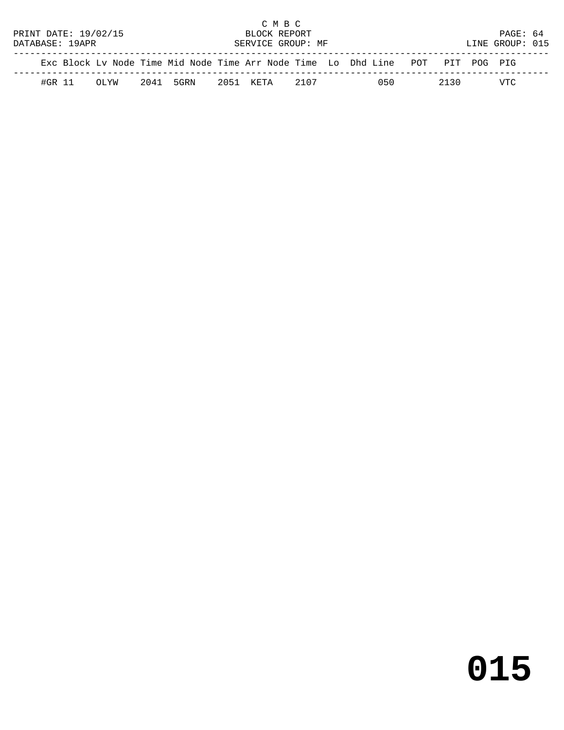|                                      |        |  |                      |  |           |  | C M B C      |      |  |                                                                                |                 |          |  |
|--------------------------------------|--------|--|----------------------|--|-----------|--|--------------|------|--|--------------------------------------------------------------------------------|-----------------|----------|--|
|                                      |        |  | PRINT DATE: 19/02/15 |  |           |  | BLOCK REPORT |      |  |                                                                                |                 | PAGE: 64 |  |
| DATABASE: 19APR<br>SERVICE GROUP: MF |        |  |                      |  |           |  |              |      |  |                                                                                | LINE GROUP: 015 |          |  |
|                                      |        |  |                      |  |           |  |              |      |  |                                                                                |                 |          |  |
|                                      |        |  |                      |  |           |  |              |      |  | Exc Block Lv Node Time Mid Node Time Arr Node Time Lo Dhd Line POT PIT POG PIG |                 |          |  |
|                                      | #GR 11 |  | $OT$ . YW            |  | 2041 5GRN |  | 2051 KETA    | 2107 |  | 050                                                                            | 2130            | VTC      |  |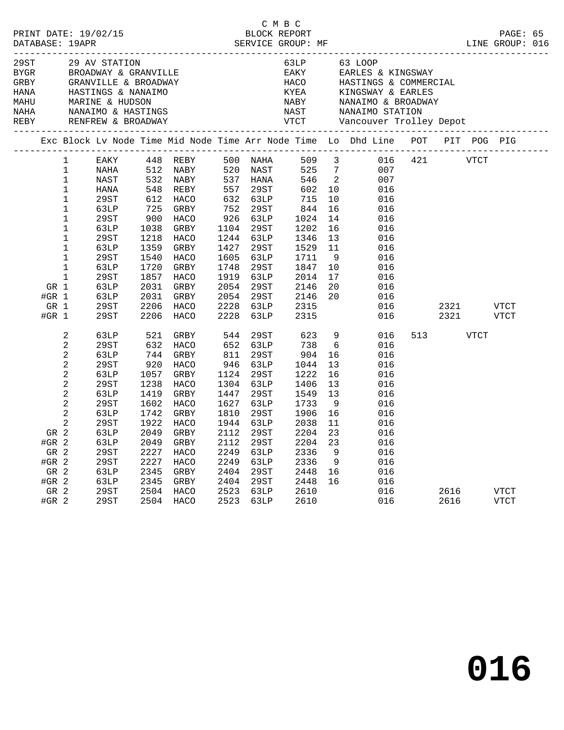| 29ST<br>BYGR<br>GRBY<br>HANA<br>MAHU<br>NAHA |                                                                        |                                                                                                                                                    | 29 AV STATION<br>GRANVILLE & BROADWA<br>HASTINGS & NANAIMO<br>MARINE & HUDSON<br>NANAIMO & HASTINGS                                          |                                                                                                                                          | BROADWAY & GRANVILLE<br>GRANVILLE & BROADWAY<br>HASTINGS & NANAIMO<br>MARINE & HUDSON<br>NANAIMO & HASTINGS                                         |                                                                                                                                          |                                                                                                                                              | 63LP<br>EAKY<br>HACO<br>HACO<br>KYEA<br>NAST                                                                                              |                                                                                                                                               | 63 LOOP<br>EARLES & KINGSWAY<br>HASTINGS & COMMERCIAL<br>KINGSWAY & EARLES<br>NABY NANAIMO & BROAD<br>NAST NANAIMO STATION<br>NANAIMO & BROADWAY |         |              |             |                     |  |
|----------------------------------------------|------------------------------------------------------------------------|----------------------------------------------------------------------------------------------------------------------------------------------------|----------------------------------------------------------------------------------------------------------------------------------------------|------------------------------------------------------------------------------------------------------------------------------------------|-----------------------------------------------------------------------------------------------------------------------------------------------------|------------------------------------------------------------------------------------------------------------------------------------------|----------------------------------------------------------------------------------------------------------------------------------------------|-------------------------------------------------------------------------------------------------------------------------------------------|-----------------------------------------------------------------------------------------------------------------------------------------------|--------------------------------------------------------------------------------------------------------------------------------------------------|---------|--------------|-------------|---------------------|--|
|                                              |                                                                        |                                                                                                                                                    |                                                                                                                                              |                                                                                                                                          |                                                                                                                                                     |                                                                                                                                          |                                                                                                                                              |                                                                                                                                           |                                                                                                                                               | Exc Block Lv Node Time Mid Node Time Arr Node Time Lo Dhd Line POT                                                                               |         |              |             | PIT POG PIG         |  |
|                                              | GR 1<br>#GR $1$<br>GR 1                                                | $\mathbf{1}$<br>1<br>$1\,$<br>$\mathbf 1$<br>1<br>1<br>$\mathbf 1$<br>1<br>$\mathbf 1$<br>$\mathbf 1$<br>$\mathbf 1$<br>$\mathbf 1$<br>$\mathbf 1$ | EAKY<br>NAHA<br>NAST<br>HANA<br>29ST<br>63LP<br>29ST<br>63LP<br>29ST<br>63LP<br>29ST<br>63LP<br>29ST<br>63LP<br>63LP<br>29ST                 | 532<br>548<br>612<br>725<br>900<br>1038<br>1218<br>1359<br>1540<br>1720<br>1857<br>2031<br>2031<br>2206                                  | 448 REBY<br>512 NABY<br>NABY<br>REBY<br>HACO<br>GRBY<br>HACO<br>GRBY<br>HACO<br>GRBY<br>HACO<br>GRBY<br>HACO<br>GRBY<br>GRBY<br>HACO                | 557<br>752<br>926<br>1104<br>1244<br>1427<br>1605<br>1748<br>1919<br>2054<br>2054<br>2228                                                | 500 NAHA<br>520 NAST<br>537 HANA<br>29ST<br>632 63LP<br>29ST<br>63LP<br>29ST<br>63LP<br>29ST<br>63LP<br>29ST<br>63LP<br>29ST<br>29ST<br>63LP | 509<br>525<br>546<br>602<br>715<br>844<br>1024<br>1202<br>1346<br>1529<br>1711<br>1847<br>2014<br>2146<br>2146<br>2315                    | $\overline{\mathbf{3}}$<br>$7\overline{ }$<br>$\overline{\phantom{a}}$<br>10<br>10<br>16<br>14<br>16<br>13<br>11<br>9<br>10<br>17<br>20<br>20 | 007<br>007<br>016<br>016<br>016<br>016<br>016<br>016<br>016<br>016<br>016<br>016<br>016<br>016<br>016                                            | 016 421 | 2321         | <b>VTCT</b> | <b>VTCT</b>         |  |
|                                              | #GR $1$<br>GR 2<br>#GR 2<br>GR 2<br>$#GR$ 2<br>GR 2<br>$#GR$ 2<br>GR 2 | 2<br>2<br>$\sqrt{2}$<br>2<br>$\sqrt{2}$<br>$\sqrt{2}$<br>$\sqrt{2}$<br>2<br>2<br>2                                                                 | 29ST<br>63LP<br>29ST<br>63LP<br>29ST<br>63LP<br>29ST<br>63LP<br>29ST<br>63LP<br>29ST<br>63LP<br>63LP<br>29ST<br>29ST<br>63LP<br>63LP<br>29ST | 2206<br>521<br>632<br>744<br>920<br>1057<br>1238<br>1419<br>1602<br>1742<br>1922<br>2049<br>2049<br>2227<br>2227<br>2345<br>2345<br>2504 | HACO<br>GRBY<br>HACO<br>GRBY<br>HACO<br>GRBY<br>HACO<br>GRBY<br>HACO<br>GRBY<br><b>HACO</b><br>GRBY<br>GRBY<br>HACO<br>HACO<br>GRBY<br>GRBY<br>HACO | 2228<br>544<br>652<br>811<br>946<br>1124<br>1304<br>1447<br>1627<br>1810<br>1944<br>2112<br>2112<br>2249<br>2249<br>2404<br>2404<br>2523 | 63LP<br>29ST<br>63LP<br>29ST<br>63LP<br>29ST<br>63LP<br>29ST<br>63LP<br>29ST<br>63LP<br>29ST<br>29ST<br>63LP<br>63LP<br>29ST<br>29ST<br>63LP | 2315<br>623<br>738<br>904<br>1044<br>1222<br>1406<br>1549<br>1733<br>1906<br>2038<br>2204<br>2204<br>2336<br>2336<br>2448<br>2448<br>2610 | 9<br>6<br>16<br>13<br>16<br>13<br>13<br>- 9<br>16<br>11<br>23<br>23<br>9<br>9<br>16<br>16                                                     | 016<br>016<br>016<br>016<br>016<br>016<br>016<br>016<br>016<br>016<br>016<br>016<br>016<br>016<br>016<br>016<br>016<br>016                       | 513     | 2321<br>2616 | VTCT        | VTCT<br><b>VTCT</b> |  |
|                                              | $#GR$ 2                                                                |                                                                                                                                                    | 29ST                                                                                                                                         | 2504                                                                                                                                     | HACO                                                                                                                                                | 2523                                                                                                                                     | 63LP                                                                                                                                         | 2610                                                                                                                                      |                                                                                                                                               | 016                                                                                                                                              |         | 2616         |             | <b>VTCT</b>         |  |

C M B C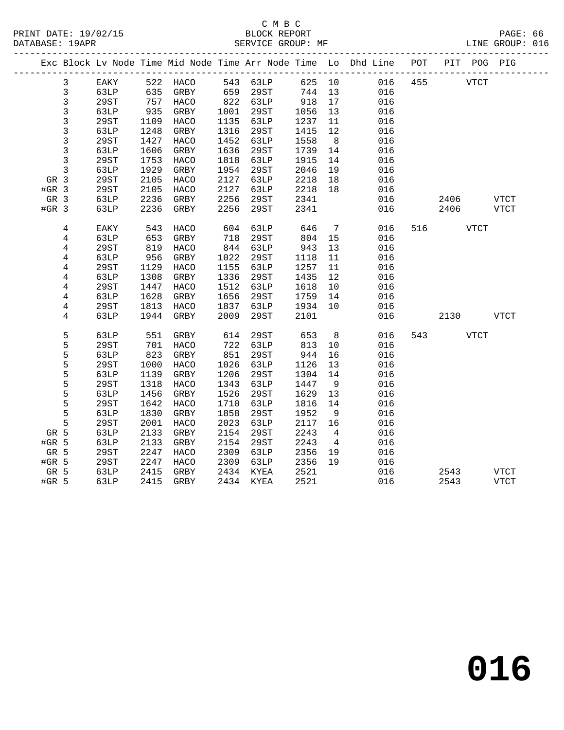|         |                |      |      |                   |      |           |         |                 | Exc Block Lv Node Time Mid Node Time Arr Node Time Lo Dhd Line POT |         |             | PIT POG PIG |      |
|---------|----------------|------|------|-------------------|------|-----------|---------|-----------------|--------------------------------------------------------------------|---------|-------------|-------------|------|
|         | 3              | EAKY |      | 522 HACO 543 63LP |      |           |         |                 | 625 10                                                             | 016 455 | <b>VTCT</b> |             |      |
|         | $\mathbf{3}$   | 63LP | 635  | GRBY              | 659  | 29ST      | 744 13  |                 | 016                                                                |         |             |             |      |
|         | $\mathbf{3}$   | 29ST | 757  | HACO              |      | 822 63LP  | 918     | 17              | 016                                                                |         |             |             |      |
|         | $\mathfrak{Z}$ | 63LP | 935  | GRBY              | 1001 | 29ST      | 1056    | 13              | 016                                                                |         |             |             |      |
|         | $\mathfrak{Z}$ | 29ST | 1109 | HACO              | 1135 | 63LP      | 1237    | 11              | 016                                                                |         |             |             |      |
|         | 3              | 63LP | 1248 | GRBY              | 1316 | 29ST      | 1415    | 12              | 016                                                                |         |             |             |      |
|         | 3              | 29ST | 1427 | HACO              | 1452 | 63LP      | 1558    | 8 <sup>8</sup>  | 016                                                                |         |             |             |      |
|         | 3              | 63LP | 1606 | GRBY              | 1636 | 29ST      | 1739    | 14              | 016                                                                |         |             |             |      |
|         | $\mathbf{3}$   | 29ST | 1753 | HACO              | 1818 | 63LP      | 1915    | 14              | 016                                                                |         |             |             |      |
|         | $\mathbf{3}$   | 63LP | 1929 | GRBY              | 1954 | 29ST      | 2046    | 19              | 016                                                                |         |             |             |      |
| GR 3    |                | 29ST | 2105 | HACO              | 2127 | 63LP      | 2218    | 18              | 016                                                                |         |             |             |      |
| $#GR$ 3 |                | 29ST | 2105 | HACO              | 2127 | 63LP      | 2218 18 |                 | 016                                                                |         |             |             |      |
| GR 3    |                | 63LP | 2236 | GRBY              | 2256 | 29ST      | 2341    |                 | 016                                                                |         | 2406        |             | VTCT |
| $#GR$ 3 |                | 63LP | 2236 | GRBY              | 2256 | 29ST      | 2341    |                 | 016                                                                |         | 2406        |             | VTCT |
|         | 4              | EAKY | 543  | HACO              | 604  | 63LP      | 646     | $7\overline{ }$ | 016                                                                |         | 516         | <b>VTCT</b> |      |
|         | 4              | 63LP | 653  | GRBY              | 718  | 29ST      | 804     | 15              | 016                                                                |         |             |             |      |
|         | $\overline{4}$ | 29ST | 819  | HACO              | 844  | 63LP      | 943     | 13              | 016                                                                |         |             |             |      |
|         | 4              | 63LP | 956  | GRBY              | 1022 | 29ST      | 1118    | 11              | 016                                                                |         |             |             |      |
|         | 4              | 29ST | 1129 | HACO              | 1155 | 63LP      | 1257    | 11              | 016                                                                |         |             |             |      |
|         | $\overline{4}$ | 63LP | 1308 | GRBY              | 1336 | 29ST      | 1435    | 12              | 016                                                                |         |             |             |      |
|         | 4              | 29ST | 1447 | HACO              | 1512 | 63LP      | 1618    | 10              | 016                                                                |         |             |             |      |
|         | $\overline{4}$ | 63LP | 1628 | GRBY              | 1656 | 29ST      | 1759    | 14              | 016                                                                |         |             |             |      |
|         | $\overline{4}$ | 29ST | 1813 | HACO              | 1837 | 63LP      | 1934    | 10              | 016                                                                |         |             |             |      |
|         | $\overline{4}$ | 63LP | 1944 | GRBY              | 2009 | 29ST      | 2101    |                 | 016                                                                |         | 2130 VTCT   |             |      |
|         | 5              | 63LP | 551  | GRBY              | 614  | 29ST      | 653     | 8 <sup>8</sup>  | 016                                                                |         | 543 VTCT    |             |      |
|         | 5              | 29ST | 701  | HACO              |      | 722 63LP  | 813     | 10              | 016                                                                |         |             |             |      |
|         | 5              | 63LP | 823  | GRBY              | 851  | 29ST      | 944     | 16              | 016                                                                |         |             |             |      |
|         | 5              | 29ST | 1000 | HACO              | 1026 | 63LP      | 1126    | 13              | 016                                                                |         |             |             |      |
|         | 5              | 63LP | 1139 | GRBY              | 1206 | 29ST      | 1304    | 14              | 016                                                                |         |             |             |      |
|         | 5              | 29ST | 1318 | HACO              | 1343 | 63LP      | 1447    | 9               | 016                                                                |         |             |             |      |
|         | 5              | 63LP | 1456 | GRBY              | 1526 | 29ST      | 1629    | 13              | 016                                                                |         |             |             |      |
|         | 5              | 29ST | 1642 | HACO              | 1710 | 63LP      | 1816    | 14              | 016                                                                |         |             |             |      |
|         | 5              | 63LP | 1830 | GRBY              | 1858 | 29ST      | 1952    | 9               | 016                                                                |         |             |             |      |
|         | 5              | 29ST | 2001 | HACO              | 2023 | 63LP      | 2117    | 16              | 016                                                                |         |             |             |      |
| GR 5    |                | 63LP | 2133 | GRBY              | 2154 | 29ST      | 2243    | $\overline{4}$  | 016                                                                |         |             |             |      |
| $#GR$ 5 |                | 63LP | 2133 | GRBY              | 2154 | 29ST      | 2243    | $\overline{4}$  | 016                                                                |         |             |             |      |
| GR 5    |                | 29ST | 2247 | HACO              | 2309 | 63LP      | 2356    | 19              | 016                                                                |         |             |             |      |
| $#GR$ 5 |                | 29ST | 2247 | HACO              | 2309 | 63LP      | 2356    | 19              | 016                                                                |         |             |             |      |
| GR 5    |                | 63LP | 2415 | GRBY              |      | 2434 KYEA | 2521    |                 | 016                                                                |         | 2543        |             | VTCT |
| $#GR$ 5 |                | 63LP |      | 2415 GRBY         |      | 2434 KYEA | 2521    |                 | 016                                                                |         | 2543        |             | VTCT |
|         |                |      |      |                   |      |           |         |                 |                                                                    |         |             |             |      |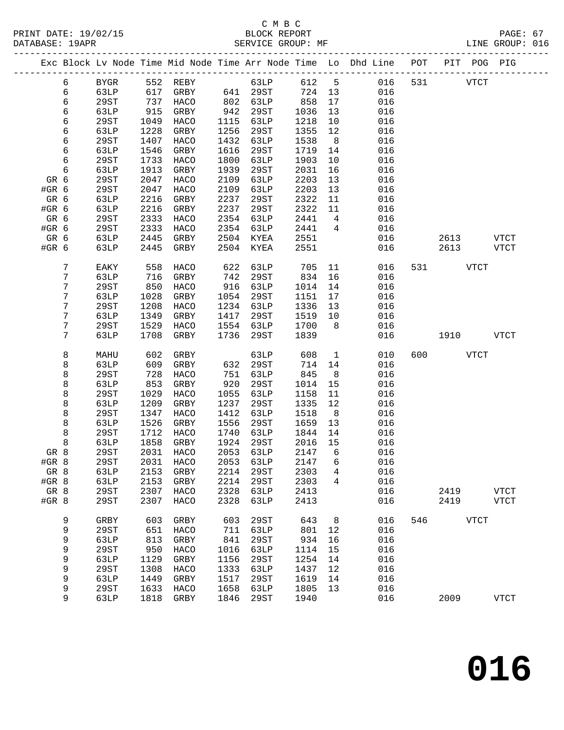#### C M B C<br>BLOCK REPORT DATABASE: 19APR SERVICE GROUP: MF SERVICE GROUP: 016

------------------------------------------------------------------------------------------------- Exc Block Lv Node Time Mid Node Time Arr Node Time Lo Dhd Line POT PIT POG PIG -------------------------------------------------------------------------------------------------

| 6<br>6<br>6<br>6<br>6<br>6<br>6<br>6<br>6<br>6<br>GR 6<br>#GR 6<br>GR 6<br>#GR 6<br>GR 6<br>#GR 6 | <b>BYGR</b><br>63LP<br>29ST<br>63LP<br><b>29ST</b><br>63LP<br>29ST<br>63LP<br><b>29ST</b><br>63LP<br>29ST<br>29ST<br>63LP<br>63LP<br>29ST<br>29ST | 552<br>617<br>737<br>915<br>1049<br>1228<br>1407<br>1546<br>1733<br>1913<br>2047<br>2047<br>2216<br>2216<br>2333<br>2333 | <b>REBY</b><br>GRBY<br>HACO<br>GRBY<br>HACO<br>GRBY<br>HACO<br>GRBY<br>HACO<br>GRBY<br>HACO<br>HACO<br>GRBY<br>GRBY<br>HACO<br>HACO | 641<br>802<br>942<br>1115<br>1256<br>1432<br>1616<br>1800<br>1939<br>2109<br>2109<br>2237<br>2237<br>2354<br>2354 | 63LP<br>29ST<br>63LP<br>29ST<br>63LP<br>29ST<br>63LP<br>29ST<br>63LP<br>29ST<br>63LP<br>63LP<br>29ST<br>29ST<br>63LP<br>63LP        | 612<br>724<br>858<br>1036<br>1218<br>1355<br>1538<br>1719<br>1903<br>2031<br>2203<br>2203<br>2322<br>2322<br>2441<br>2441 | 5<br>13<br>$17$<br>13<br>10<br>$12$<br>8<br>14<br>10<br>16<br>13<br>13<br>11<br>$11\,$<br>$\,4$<br>4 | 016<br>016<br>016<br>016<br>016<br>016<br>016<br>016<br>016<br>016<br>016<br>016<br>016<br>016<br>016<br>016 | 531 |              | <b>VTCT</b>                               |
|---------------------------------------------------------------------------------------------------|---------------------------------------------------------------------------------------------------------------------------------------------------|--------------------------------------------------------------------------------------------------------------------------|-------------------------------------------------------------------------------------------------------------------------------------|-------------------------------------------------------------------------------------------------------------------|-------------------------------------------------------------------------------------------------------------------------------------|---------------------------------------------------------------------------------------------------------------------------|------------------------------------------------------------------------------------------------------|--------------------------------------------------------------------------------------------------------------|-----|--------------|-------------------------------------------|
| GR 6<br>#GR 6                                                                                     | 63LP<br>63LP                                                                                                                                      | 2445<br>2445                                                                                                             | GRBY<br>GRBY                                                                                                                        | 2504<br>2504                                                                                                      | KYEA<br>KYEA                                                                                                                        | 2551<br>2551                                                                                                              |                                                                                                      | 016<br>016                                                                                                   |     | 2613<br>2613 | <b>VTCT</b><br><b>VTCT</b>                |
| $\boldsymbol{7}$<br>7<br>7<br>7<br>7<br>7<br>7<br>7                                               | EAKY<br>63LP<br><b>29ST</b><br>63LP<br>29ST<br>63LP<br><b>29ST</b><br>63LP                                                                        | 558<br>716<br>850<br>1028<br>1208<br>1349<br>1529<br>1708                                                                | HACO<br>GRBY<br>HACO<br>GRBY<br>HACO<br>GRBY<br>HACO<br>GRBY                                                                        | 622<br>742<br>916<br>1054<br>1234<br>1417<br>1554<br>1736                                                         | 63LP<br>29ST<br>63LP<br>29ST<br>63LP<br>29ST<br>63LP<br><b>29ST</b>                                                                 | 705<br>834<br>1014<br>1151<br>1336<br>1519<br>1700<br>1839                                                                | 11<br>16<br>14<br>$17$<br>13<br>10<br>8                                                              | 016<br>016<br>016<br>016<br>016<br>016<br>016<br>016                                                         | 531 | 1910         | <b>VTCT</b><br><b>VTCT</b>                |
| 8<br>8<br>8<br>8<br>8<br>8<br>8<br>8<br>8<br>8<br>GR 8<br>#GR 8<br>GR 8<br>#GR 8<br>GR 8<br>#GR 8 | MAHU<br>63LP<br>29ST<br>63LP<br>29ST<br>63LP<br><b>29ST</b><br>63LP<br>29ST<br>63LP<br>29ST<br>29ST<br>63LP<br>63LP<br>29ST<br>29ST               | 602<br>609<br>728<br>853<br>1029<br>1209<br>1347<br>1526<br>1712<br>1858<br>2031<br>2031<br>2153<br>2153<br>2307<br>2307 | GRBY<br>GRBY<br>HACO<br>GRBY<br>HACO<br>GRBY<br>HACO<br>GRBY<br>HACO<br>GRBY<br>HACO<br>HACO<br>GRBY<br>GRBY<br>HACO<br>HACO        | 632<br>751<br>920<br>1055<br>1237<br>1412<br>1556<br>1740<br>1924<br>2053<br>2053<br>2214<br>2214<br>2328<br>2328 | 63LP<br>29ST<br>63LP<br>29ST<br>63LP<br>29ST<br>63LP<br>29ST<br>63LP<br>29ST<br>63LP<br>63LP<br>29ST<br><b>29ST</b><br>63LP<br>63LP | 608<br>714<br>845<br>1014<br>1158<br>1335<br>1518<br>1659<br>1844<br>2016<br>2147<br>2147<br>2303<br>2303<br>2413<br>2413 | $\mathbf{1}$<br>14<br>$\,8\,$<br>15<br>11<br>12<br>$\,8\,$<br>13<br>14<br>15<br>6<br>6<br>4<br>4     | 010<br>016<br>016<br>016<br>016<br>016<br>016<br>016<br>016<br>016<br>016<br>016<br>016<br>016<br>016<br>016 | 600 | 2419<br>2419 | <b>VTCT</b><br><b>VTCT</b><br><b>VTCT</b> |
| 9<br>9<br>9<br>9<br>9<br>9<br>9<br>9<br>9                                                         | GRBY<br><b>29ST</b><br>63LP<br><b>29ST</b><br>63LP<br>29ST<br>63LP<br>29ST<br>63LP                                                                | 603<br>651<br>813<br>950<br>1129<br>1308<br>1449<br>1633<br>1818                                                         | GRBY<br>HACO<br>GRBY<br>HACO<br>GRBY<br>HACO<br>GRBY<br>HACO<br>GRBY                                                                | 603<br>711<br>841<br>1016<br>1156<br>1333<br>1517<br>1658<br>1846                                                 | 29ST<br><b>63LP</b><br><b>29ST</b><br><b>63LP</b><br>29ST<br>63LP<br>29ST<br>63LP<br>29ST                                           | 643<br>801<br>934<br>1114<br>1254<br>1437<br>1619<br>1805<br>1940                                                         | 8<br>12<br>16<br>15<br>14<br>12<br>14<br>13                                                          | 016<br>016<br>016<br>016<br>016<br>016<br>016<br>016<br>016                                                  | 546 | 2009         | ${\tt VTCT}$<br><b>VTCT</b>               |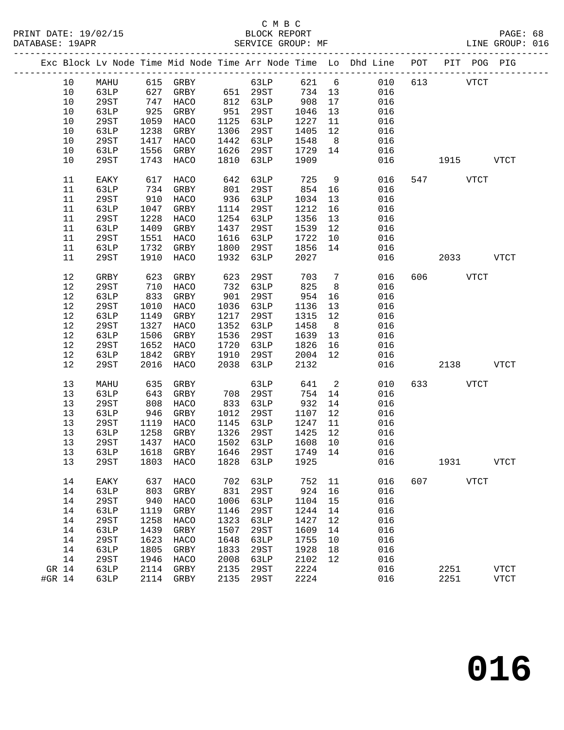|        |             |      |                   |      |           |         |                | Exc Block Lv Node Time Mid Node Time Arr Node Time Lo Dhd Line POT PIT POG PIG |     |          |           |             |
|--------|-------------|------|-------------------|------|-----------|---------|----------------|--------------------------------------------------------------------------------|-----|----------|-----------|-------------|
| 10     | MAHU        |      | 615 GRBY          |      | 63LP      |         |                | 621 6<br>010                                                                   |     | 613 VTCT |           |             |
| 10     | 63LP        |      | 627 GRBY 651 29ST |      |           | 734 13  |                | 016                                                                            |     |          |           |             |
| 10     | 29ST        | 747  | HACO              |      | 812 63LP  | 908     | 17             | 016                                                                            |     |          |           |             |
| 10     | 63LP        | 925  | GRBY              | 951  | 29ST      | 1046    | 13             | 016                                                                            |     |          |           |             |
| 10     | 29ST        | 1059 | HACO              | 1125 | 63LP      | 1227    | 11             | 016                                                                            |     |          |           |             |
| 10     | 63LP        | 1238 | GRBY              | 1306 | 29ST      | 1405    | 12             | 016                                                                            |     |          |           |             |
| 10     | 29ST        | 1417 |                   | 1442 |           | 1548    |                | 016                                                                            |     |          |           |             |
|        |             |      | HACO              |      | 63LP      |         | 8 <sup>8</sup> |                                                                                |     |          |           |             |
| 10     | 63LP        | 1556 | GRBY              | 1626 | 29ST      | 1729    | 14             | 016                                                                            |     |          |           |             |
| 10     | 29ST        | 1743 | HACO              | 1810 | 63LP      | 1909    |                | 016                                                                            |     | 1915     |           | VTCT        |
| 11     | EAKY        | 617  | HACO              | 642  | 63LP      | 725     | 9              | 016                                                                            |     | 547 VTCT |           |             |
| 11     | 63LP        | 734  | GRBY              | 801  | 29ST      | 854     | 16             | 016                                                                            |     |          |           |             |
| 11     | 29ST        | 910  | HACO              | 936  | 63LP      | 1034    | 13             | 016                                                                            |     |          |           |             |
| 11     | 63LP        | 1047 | GRBY              | 1114 | 29ST      | 1212    | 16             | 016                                                                            |     |          |           |             |
| 11     | 29ST        | 1228 | HACO              | 1254 | 63LP      | 1356    | 13             | 016                                                                            |     |          |           |             |
| 11     | 63LP        | 1409 | GRBY              | 1437 | 29ST      | 1539    | 12             | 016                                                                            |     |          |           |             |
| 11     | 29ST        | 1551 | HACO              | 1616 | 63LP      | 1722    | 10             | 016                                                                            |     |          |           |             |
| 11     | 63LP        | 1732 | GRBY              | 1800 | 29ST      | 1856    | 14             | 016                                                                            |     |          |           |             |
| 11     | 29ST        | 1910 | HACO              | 1932 | 63LP      | 2027    |                | 016                                                                            |     |          | 2033 VTCT |             |
|        |             |      |                   |      |           |         |                |                                                                                |     |          |           |             |
| 12     | GRBY        | 623  | GRBY              | 623  | 29ST      | 703     | $\overline{7}$ | 016                                                                            |     | 606 VTCT |           |             |
| 12     | 29ST        | 710  | HACO              | 732  | 63LP      | 825     | 8 <sup>8</sup> | 016                                                                            |     |          |           |             |
| 12     | 63LP        | 833  | GRBY              | 901  | 29ST      | 954     | 16             | 016                                                                            |     |          |           |             |
| 12     | 29ST        | 1010 | HACO              | 1036 | 63LP      | 1136    | 13             | 016                                                                            |     |          |           |             |
| 12     | 63LP        | 1149 | GRBY              | 1217 | 29ST      | 1315    | 12             | 016                                                                            |     |          |           |             |
| 12     | 29ST        | 1327 | HACO              | 1352 | 63LP      | 1458    | 8 <sup>8</sup> | 016                                                                            |     |          |           |             |
| 12     | 63LP        | 1506 | GRBY              | 1536 | 29ST      | 1639    | 13             | 016                                                                            |     |          |           |             |
| 12     | 29ST        | 1652 | HACO              | 1720 | 63LP      | 1826    | 16             | 016                                                                            |     |          |           |             |
| 12     | 63LP        | 1842 | GRBY              | 1910 | 29ST      | 2004    | 12             | 016                                                                            |     |          |           |             |
| 12     | 29ST        | 2016 | HACO              | 2038 | 63LP      | 2132    |                | 016                                                                            |     | 2138     |           | VTCT        |
|        |             |      |                   |      |           |         |                |                                                                                |     |          |           |             |
| 13     | MAHU        | 635  | GRBY              |      | 63LP      | 641     | $\overline{2}$ | 010                                                                            |     | 633 — 10 | VTCT      |             |
| 13     | 63LP        | 643  | GRBY              | 708  | 29ST      | 754     | 14             | 016                                                                            |     |          |           |             |
| 13     | 29ST        | 808  | HACO              | 833  | 63LP      | 932     | 14             | 016                                                                            |     |          |           |             |
| 13     | 63LP        | 946  | GRBY              | 1012 | 29ST      | 1107    | 12             | 016                                                                            |     |          |           |             |
| 13     | 29ST        | 1119 | HACO              | 1145 | 63LP      | 1247    | 11             | 016                                                                            |     |          |           |             |
| 13     | 63LP        | 1258 | GRBY              | 1326 | 29ST      | 1425    | 12             | 016                                                                            |     |          |           |             |
| 13     | 29ST        | 1437 | HACO              |      | 1502 63LP | 1608    | 10             | 016                                                                            |     |          |           |             |
| 13     | 63LP        |      | 1618 GRBY         | 1646 | 29ST      | 1749 14 |                | 016                                                                            |     |          |           |             |
| 13     | 29ST        |      |                   |      |           |         |                | 1803 HACO 1828 63LP 1925 016                                                   |     | 1931     |           | <b>VTCT</b> |
| 14     | EAKY        | 637  | <b>HACO</b>       | 702  | 63LP      | 752     | 11             | 016                                                                            | 607 | VTCT     |           |             |
| 14     | 63LP        | 803  | GRBY              | 831  | 29ST      | 924     | 16             | 016                                                                            |     |          |           |             |
| 14     | 29ST        | 940  | HACO              | 1006 | 63LP      | 1104    | 15             | 016                                                                            |     |          |           |             |
| 14     | 63LP        | 1119 | GRBY              | 1146 | 29ST      | 1244    | 14             | 016                                                                            |     |          |           |             |
| 14     | <b>29ST</b> | 1258 | HACO              | 1323 | 63LP      | 1427    | 12             | 016                                                                            |     |          |           |             |
| 14     | 63LP        | 1439 | GRBY              | 1507 | 29ST      | 1609    | 14             | 016                                                                            |     |          |           |             |
| 14     | <b>29ST</b> | 1623 | HACO              | 1648 | 63LP      | 1755    | 10             | 016                                                                            |     |          |           |             |
| 14     | 63LP        | 1805 | GRBY              | 1833 | 29ST      | 1928    | 18             | 016                                                                            |     |          |           |             |
| 14     | 29ST        | 1946 | HACO              | 2008 | 63LP      | 2102    | 12             | 016                                                                            |     |          |           |             |
|        |             |      |                   |      |           |         |                |                                                                                |     |          |           |             |
| GR 14  | 63LP        | 2114 | GRBY              | 2135 | 29ST      | 2224    |                | 016                                                                            |     | 2251     |           | <b>VTCT</b> |
| #GR 14 | 63LP        | 2114 | GRBY              | 2135 | 29ST      | 2224    |                | 016                                                                            |     | 2251     |           | <b>VTCT</b> |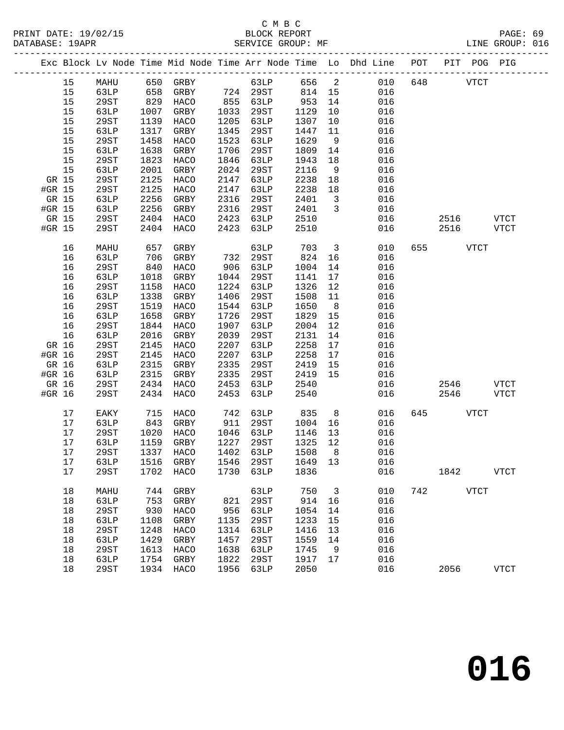#### C M B C<br>BLOCK REPORT SERVICE GROUP: MF

|        |         |      |      |                     |      |            |         |                         | Exc Block Lv Node Time Mid Node Time Arr Node Time Lo Dhd Line POT PIT POG PIG |     |             |      |             |
|--------|---------|------|------|---------------------|------|------------|---------|-------------------------|--------------------------------------------------------------------------------|-----|-------------|------|-------------|
|        | 15      | MAHU |      | 650 GRBY            |      | 63LP 656 2 |         |                         | 010                                                                            | 648 | <b>VTCT</b> |      |             |
|        | 15      | 63LP | 658  | GRBY 724 29ST       |      |            | 814 15  |                         | 016                                                                            |     |             |      |             |
|        | 15      | 29ST | 829  | HACO                | 855  | 63LP       | 953     | 14                      | 016                                                                            |     |             |      |             |
|        | 15      | 63LP | 1007 | GRBY                | 1033 | 29ST       | 1129    | 10                      | 016                                                                            |     |             |      |             |
|        | 15      | 29ST | 1139 | HACO                | 1205 | 63LP       | 1307    | 10                      | 016                                                                            |     |             |      |             |
|        | 15      | 63LP | 1317 | GRBY                | 1345 | 29ST       | 1447    | 11                      | 016                                                                            |     |             |      |             |
|        | 15      | 29ST | 1458 | HACO                | 1523 | 63LP       | 1629    | 9                       | 016                                                                            |     |             |      |             |
|        | 15      | 63LP | 1638 | GRBY                | 1706 | 29ST       | 1809    | 14                      | 016                                                                            |     |             |      |             |
|        | 15      | 29ST | 1823 | HACO                | 1846 | 63LP       | 1943    | 18                      | 016                                                                            |     |             |      |             |
|        | 15      | 63LP | 2001 | GRBY                | 2024 | 29ST       | 2116    | 9                       | 016                                                                            |     |             |      |             |
| GR 15  |         | 29ST | 2125 | HACO                | 2147 | 63LP       | 2238    | 18                      | 016                                                                            |     |             |      |             |
| #GR 15 |         | 29ST | 2125 | HACO                | 2147 | 63LP       | 2238    | 18                      | 016                                                                            |     |             |      |             |
| GR 15  |         | 63LP | 2256 | GRBY                | 2316 | 29ST       | 2401    | $\overline{\mathbf{3}}$ | 016                                                                            |     |             |      |             |
| #GR 15 |         | 63LP | 2256 | GRBY                | 2316 | 29ST       | 2401    | $\overline{\mathbf{3}}$ | 016                                                                            |     |             |      |             |
| GR 15  |         | 29ST | 2404 | HACO                | 2423 | 63LP       | 2510    |                         | 016                                                                            |     | 2516        |      | <b>VTCT</b> |
| #GR 15 |         | 29ST | 2404 | HACO                | 2423 | 63LP       | 2510    |                         | 016                                                                            |     | 2516        |      | VTCT        |
|        |         |      |      |                     |      |            |         |                         |                                                                                |     |             |      |             |
|        | 16      | MAHU | 657  | GRBY                |      | 63LP       | 703     | $\overline{\mathbf{3}}$ | 010                                                                            | 655 |             | VTCT |             |
|        | 16      | 63LP | 706  | GRBY                | 732  | 29ST       | 824     | 16                      | 016                                                                            |     |             |      |             |
|        | 16      | 29ST | 840  | HACO                | 906  | 63LP       | 1004    | 14                      | 016                                                                            |     |             |      |             |
|        | 16      | 63LP | 1018 | GRBY                | 1044 | 29ST       | 1141    | 17                      | 016                                                                            |     |             |      |             |
|        | 16      | 29ST | 1158 | HACO                | 1224 | 63LP       | 1326    | 12                      | 016                                                                            |     |             |      |             |
|        | 16      | 63LP | 1338 | GRBY                | 1406 | 29ST       | 1508    | 11                      | 016                                                                            |     |             |      |             |
|        | 16      | 29ST | 1519 | HACO                | 1544 | 63LP       | 1650    | 8 <sup>8</sup>          | 016                                                                            |     |             |      |             |
|        | 16      | 63LP | 1658 | GRBY                | 1726 | 29ST       | 1829    | 15                      | 016                                                                            |     |             |      |             |
|        | 16      | 29ST | 1844 | HACO                | 1907 | 63LP       | 2004    | 12                      | 016                                                                            |     |             |      |             |
|        | 16      | 63LP | 2016 | GRBY                | 2039 | 29ST       | 2131    | 14                      | 016                                                                            |     |             |      |             |
| GR 16  |         | 29ST | 2145 | HACO                | 2207 | 63LP       | 2258    | 17                      | 016                                                                            |     |             |      |             |
| #GR 16 |         | 29ST | 2145 | HACO                | 2207 | 63LP       | 2258    | 17                      | 016                                                                            |     |             |      |             |
| GR 16  |         | 63LP | 2315 | GRBY                | 2335 | 29ST       | 2419    | 15                      | 016                                                                            |     |             |      |             |
| #GR 16 |         | 63LP | 2315 | GRBY                | 2335 | 29ST       | 2419    | 15                      | 016                                                                            |     |             |      |             |
| GR 16  |         | 29ST | 2434 | HACO                | 2453 | 63LP       | 2540    |                         | 016                                                                            |     | 2546        |      | VTCT        |
| #GR 16 |         | 29ST | 2434 | HACO                | 2453 | 63LP       | 2540    |                         | 016                                                                            |     | 2546        |      | <b>VTCT</b> |
|        |         |      |      |                     |      |            |         |                         |                                                                                |     |             |      |             |
|        | 17      | EAKY | 715  | HACO                | 742  | 63LP       | 835     | 8 <sup>8</sup>          | 016                                                                            | 645 |             | VTCT |             |
|        | 17      | 63LP | 843  | GRBY                | 911  | 29ST       | 1004    | 16                      | 016                                                                            |     |             |      |             |
|        | 17      | 29ST | 1020 | HACO                | 1046 | 63LP       | 1146    | 13                      | 016                                                                            |     |             |      |             |
|        | 17      | 63LP | 1159 | GRBY                | 1227 | 29ST       | 1325    | 12                      | 016                                                                            |     |             |      |             |
|        | 17      | 29ST | 1337 | HACO                | 1402 | 63LP       | 1508    | 8                       | 016                                                                            |     |             |      |             |
|        | 17 63LP |      |      | 1516 GRBY 1546 29ST |      |            | 1649 13 |                         | 016                                                                            |     |             |      |             |
|        | 17      | 29ST |      | 1702 HACO           | 1730 | 63LP       | 1836    |                         | 016                                                                            |     | 1842        |      | <b>VTCT</b> |
|        |         |      |      |                     |      |            |         |                         |                                                                                |     |             |      |             |
|        | 18      | MAHU |      | 744 GRBY            |      | 63LP       | 750     | $\overline{\mathbf{3}}$ | 010                                                                            |     | 742 VTCT    |      |             |
|        | 18      | 63LP | 753  | GRBY                | 821  | 29ST       | 914     | 16                      | 016                                                                            |     |             |      |             |
|        | 18      | 29ST | 930  | HACO                | 956  | 63LP       | 1054    | 14                      | 016                                                                            |     |             |      |             |
|        | 18      | 63LP | 1108 | GRBY                | 1135 | 29ST       | 1233    | 15                      | 016                                                                            |     |             |      |             |
|        | 18      | 29ST | 1248 | HACO                | 1314 | 63LP       | 1416    | 13                      | 016                                                                            |     |             |      |             |
|        | 18      | 63LP | 1429 | GRBY                | 1457 | 29ST       | 1559    | 14                      | 016                                                                            |     |             |      |             |
|        | 18      | 29ST | 1613 | HACO                | 1638 | 63LP       | 1745    | 9                       | 016                                                                            |     |             |      |             |
|        | 18      | 63LP | 1754 | GRBY                | 1822 | 29ST       | 1917    | 17                      | 016                                                                            |     |             |      |             |
|        | 18      | 29ST |      | 1934 HACO           | 1956 | 63LP       | 2050    |                         | 016                                                                            |     | 2056        |      | <b>VTCT</b> |
|        |         |      |      |                     |      |            |         |                         |                                                                                |     |             |      |             |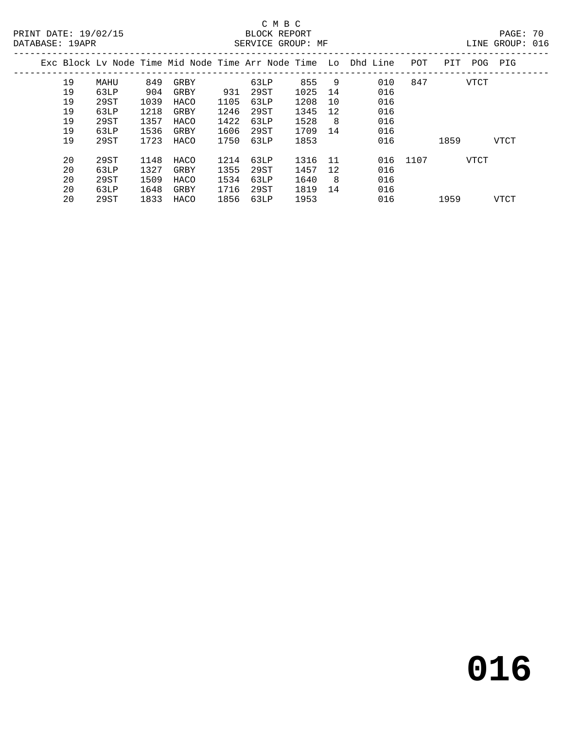## C M B C<br>BLOCK REPORT

LINE GROUP: 016

|  |    |      |      |      |      |      |      |     | Exc Block Ly Node Time Mid Node Time Arr Node Time Lo Dhd Line | POT      | PIT  | POG  | PIG  |
|--|----|------|------|------|------|------|------|-----|----------------------------------------------------------------|----------|------|------|------|
|  | 19 | MAHU | 849  | GRBY |      | 63LP | 855  | 9   | 010                                                            | 847      |      | VTCT |      |
|  | 19 | 63LP | 904  | GRBY | 931  | 29ST | 1025 | 14  | 016                                                            |          |      |      |      |
|  | 19 | 29ST | 1039 | HACO | 1105 | 63LP | 1208 | 10  | 016                                                            |          |      |      |      |
|  | 19 | 63LP | 1218 | GRBY | 1246 | 29ST | 1345 | 12  | 016                                                            |          |      |      |      |
|  | 19 | 29ST | 1357 | HACO | 1422 | 63LP | 1528 | 8   | 016                                                            |          |      |      |      |
|  | 19 | 63LP | 1536 | GRBY | 1606 | 29ST | 1709 | 14  | 016                                                            |          |      |      |      |
|  | 19 | 29ST | 1723 | HACO | 1750 | 63LP | 1853 |     | 016                                                            |          | 1859 |      | VTCT |
|  | 20 | 29ST | 1148 | HACO | 1214 | 63LP | 1316 | -11 |                                                                | 016 1107 |      | VTCT |      |
|  | 20 | 63LP | 1327 | GRBY | 1355 | 29ST | 1457 | 12  | 016                                                            |          |      |      |      |
|  | 20 | 29ST | 1509 | HACO | 1534 | 63LP | 1640 | 8   | 016                                                            |          |      |      |      |
|  | 20 | 63LP | 1648 | GRBY | 1716 | 29ST | 1819 | 14  | 016                                                            |          |      |      |      |
|  |    |      | 1833 |      |      |      |      |     |                                                                |          |      |      |      |
|  | 20 | 29ST |      | HACO | 1856 | 63LP | 1953 |     | 016                                                            |          | 1959 |      | VTCT |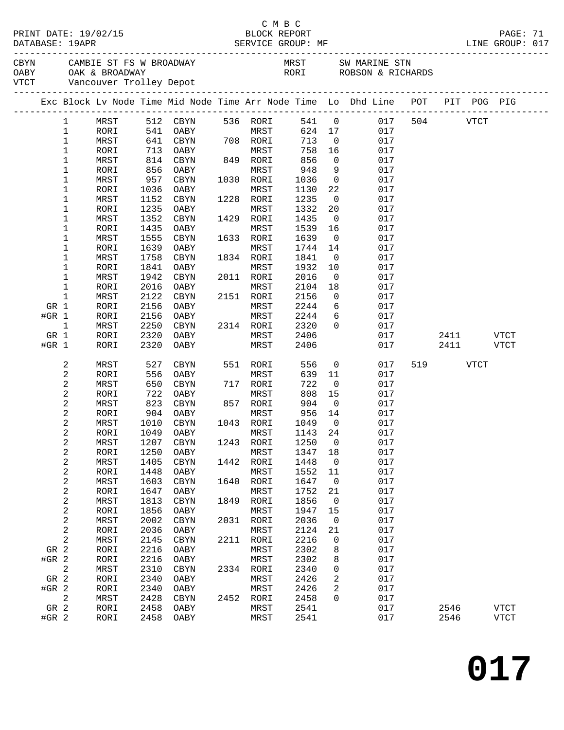|         | DATABASE: 19APR            | PRINT DATE: 19/02/15 |              |                              |      | C M B C<br>BLOCK REPORT     |               |                          |                                                                                                                    |      |      | PAGE: 71<br>LINE GROUP: 017 |  |
|---------|----------------------------|----------------------|--------------|------------------------------|------|-----------------------------|---------------|--------------------------|--------------------------------------------------------------------------------------------------------------------|------|------|-----------------------------|--|
|         |                            |                      |              | VTCT Vancouver Trolley Depot |      |                             |               |                          | CAMBIE ST FS W BROADWAY MRST SW MARINE STN OABY OAK & BROADWAY CARPENT CORPORT CONSUMER STN CORPORT OAK & BROADWAY |      |      |                             |  |
|         |                            |                      |              |                              |      |                             |               |                          | Exc Block Lv Node Time Mid Node Time Arr Node Time Lo Dhd Line POT PIT POG PIG                                     |      |      |                             |  |
|         |                            |                      |              |                              |      |                             |               |                          |                                                                                                                    |      |      |                             |  |
|         | $\mathbf{1}$               | MRST                 |              |                              |      | 512 CBYN 536 RORI           |               |                          | 541 0 017 504 VTCT                                                                                                 |      |      |                             |  |
|         | $\mathbf{1}$               | RORI                 | 541          | OABY MRST<br>CBYN 708 RORI   |      | <b>MRST</b>                 |               |                          | 624 17<br>017                                                                                                      |      |      |                             |  |
|         | $\mathbf 1$<br>$\mathbf 1$ | MRST<br>RORI         | 641<br>713   | OABY                         |      | MRST                        | 713<br>758    | $\overline{0}$<br>16     | 017<br>017                                                                                                         |      |      |                             |  |
|         | 1                          | MRST                 | 814          | CBYN                         |      | 849 RORI                    | 856           | $\overline{0}$           | 017                                                                                                                |      |      |                             |  |
|         | 1                          | RORI                 | 856          | OABY                         |      | MRST                        | 948           | 9                        | 017                                                                                                                |      |      |                             |  |
|         | 1                          | MRST                 | 957          | CBYN                         |      | 1030 RORI                   | 1036          | $\overline{0}$           | 017                                                                                                                |      |      |                             |  |
|         | $\mathbf 1$                | RORI                 | 1036         | OABY                         |      | MRST                        | 1130          | 22                       | 017                                                                                                                |      |      |                             |  |
|         | 1                          | MRST                 | 1152         | CBYN                         |      | 1228 RORI                   | 1235          | $\overline{0}$           | 017                                                                                                                |      |      |                             |  |
|         | $\mathbf 1$                | RORI                 | 1235         | OABY                         |      | MRST                        | 1332          | 20                       | 017                                                                                                                |      |      |                             |  |
|         | 1                          | MRST                 | 1352         | CBYN                         |      | 1429 RORI                   | 1435          | $\overline{\phantom{0}}$ | 017                                                                                                                |      |      |                             |  |
|         | $\mathbf 1$                | RORI                 | 1435         | OABY                         |      | MRST                        | 1539          | 16                       | 017                                                                                                                |      |      |                             |  |
|         | 1                          | MRST                 | 1555         | CBYN                         |      | 1633 RORI                   | 1639          | $\overline{\mathbf{0}}$  | 017                                                                                                                |      |      |                             |  |
|         | $\mathbf 1$                | RORI                 | 1639         | OABY                         |      | MRST                        | 1744          | 14                       | 017                                                                                                                |      |      |                             |  |
|         | 1                          | MRST                 | 1758         | CBYN                         |      | 1834 RORI                   | 1841          | $\overline{\mathbf{0}}$  | 017                                                                                                                |      |      |                             |  |
|         | 1                          | RORI                 | 1841         | OABY                         |      | MRST                        | 1932          | 10                       | 017                                                                                                                |      |      |                             |  |
|         | 1<br>$\mathbf 1$           | MRST                 | 1942<br>2016 | CBYN                         |      | 2011 RORI<br>MRST           | 2016          | $\overline{0}$           | 017<br>017                                                                                                         |      |      |                             |  |
|         | $\mathbf 1$                | RORI<br>MRST         | 2122         | OABY<br>CBYN                 |      | 2151 RORI                   | 2104<br>2156  | 18<br>$\overline{0}$     | 017                                                                                                                |      |      |                             |  |
| GR 1    |                            | RORI                 | 2156         | OABY                         |      | MRST                        | 2244          | 6                        | 017                                                                                                                |      |      |                             |  |
| #GR 1   |                            | RORI                 | 2156         | OABY                         |      | MRST                        | 2244          | 6                        | 017                                                                                                                |      |      |                             |  |
|         | $\mathbf{1}$               | MRST                 | 2250         | CBYN                         |      | 2314 RORI                   | 2320          | $\overline{0}$           | 017                                                                                                                |      |      |                             |  |
| GR 1    |                            | RORI                 | 2320         | OABY                         |      | MRST                        | 2406          |                          | 017                                                                                                                | 2411 |      | VTCT                        |  |
| #GR 1   |                            | RORI                 | 2320         | OABY                         |      | MRST                        | 2406          |                          | 017                                                                                                                | 2411 |      | VTCT                        |  |
|         | 2                          | MRST                 | 527          | CBYN                         |      | 551 RORI                    | 556           | $\overline{\mathbf{0}}$  | 017                                                                                                                | 519  | VTCT |                             |  |
|         | 2                          | RORI                 | 556          | OABY                         |      | MRST                        | 639           | 11                       | 017                                                                                                                |      |      |                             |  |
|         | $\mathbf{2}$               | MRST                 | 650          | CBYN                         |      | 717 RORI                    | 722           | $\overline{0}$           | 017                                                                                                                |      |      |                             |  |
|         | 2                          | RORI                 | 722          | OABY                         |      | MRST                        | 808           | 15                       | 017                                                                                                                |      |      |                             |  |
|         | 2                          | MRST                 | 823          | CBYN                         |      | 857 RORI                    | 904<br>956 14 | $\overline{0}$           | 017<br>017                                                                                                         |      |      |                             |  |
|         | 2<br>2                     | RORI<br>MRST         | 904<br>1010  | OABY<br>CBYN                 |      | MRST<br>1043 RORI           | 1049          | $\overline{0}$           | 017                                                                                                                |      |      |                             |  |
|         | 2                          |                      |              |                              |      | RORI 1049 OABY MRST 1143 24 |               |                          | 017                                                                                                                |      |      |                             |  |
|         | 2                          | MRST                 | 1207         | CBYN                         | 1243 | RORI                        | 1250          | $\mathbf 0$              | 017                                                                                                                |      |      |                             |  |
|         | 2                          | RORI                 | 1250         | OABY                         |      | MRST                        | 1347          | 18                       | 017                                                                                                                |      |      |                             |  |
|         | 2                          | MRST                 | 1405         | $\rm CBYN$                   | 1442 | RORI                        | 1448          | $\mathbf 0$              | 017                                                                                                                |      |      |                             |  |
|         | $\boldsymbol{2}$           | RORI                 | 1448         | OABY                         |      | MRST                        | 1552          | 11                       | 017                                                                                                                |      |      |                             |  |
|         | 2                          | MRST                 | 1603         | CBYN                         | 1640 | RORI                        | 1647          | $\overline{0}$           | 017                                                                                                                |      |      |                             |  |
|         | 2                          | RORI                 | 1647         | OABY                         |      | MRST                        | 1752          | 21                       | 017                                                                                                                |      |      |                             |  |
|         | $\boldsymbol{2}$           | MRST                 | 1813         | $\rm CBYN$                   | 1849 | RORI                        | 1856          | $\overline{0}$           | 017                                                                                                                |      |      |                             |  |
|         | $\boldsymbol{2}$           | RORI                 | 1856         | OABY                         |      | MRST                        | 1947          | 15                       | 017                                                                                                                |      |      |                             |  |
|         | $\sqrt{2}$                 | MRST                 | 2002         | CBYN                         | 2031 | RORI                        | 2036          | $\overline{0}$           | 017                                                                                                                |      |      |                             |  |
|         | $\boldsymbol{2}$           | RORI                 | 2036         | OABY                         |      | MRST                        | 2124          | 21                       | 017                                                                                                                |      |      |                             |  |
| GR 2    | 2                          | MRST                 | 2145<br>2216 | CBYN                         | 2211 | RORI                        | 2216<br>2302  | 0                        | 017<br>017                                                                                                         |      |      |                             |  |
| $#GR$ 2 |                            | RORI<br>RORI         | 2216         | OABY<br>OABY                 |      | MRST<br>MRST                | 2302          | 8<br>8                   | 017                                                                                                                |      |      |                             |  |
|         | $\mathbf{2}$               | MRST                 | 2310         | CBYN                         | 2334 | RORI                        | 2340          | 0                        | 017                                                                                                                |      |      |                             |  |
| GR 2    |                            | RORI                 | 2340         | OABY                         |      | MRST                        | 2426          | 2                        | 017                                                                                                                |      |      |                             |  |
| $#GR$ 2 |                            | RORI                 | 2340         | OABY                         |      | MRST                        | 2426          | 2                        | 017                                                                                                                |      |      |                             |  |
|         | 2                          | MRST                 | 2428         | CBYN                         | 2452 | RORI                        | 2458          | 0                        | 017                                                                                                                |      |      |                             |  |
| GR 2    |                            | RORI                 | 2458         | OABY                         |      | MRST                        | 2541          |                          | 017                                                                                                                | 2546 |      | <b>VTCT</b>                 |  |
| $#GR$ 2 |                            | RORI                 | 2458         | OABY                         |      | MRST                        | 2541          |                          | 017                                                                                                                | 2546 |      | <b>VTCT</b>                 |  |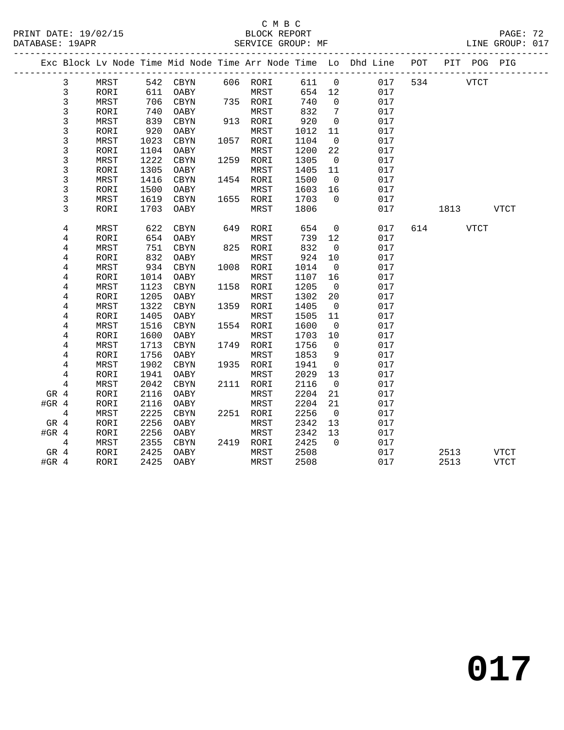|         |                |      |      |          |     |           |      |                | Exc Block Lv Node Time Mid Node Time Arr Node Time Lo Dhd Line POT |     |             | PIT POG PIG |             |  |
|---------|----------------|------|------|----------|-----|-----------|------|----------------|--------------------------------------------------------------------|-----|-------------|-------------|-------------|--|
|         | 3              | MRST |      | 542 CBYN |     | 606 RORI  | 611  | $\overline{0}$ | 017                                                                | 534 | <b>VTCT</b> |             |             |  |
|         | 3              | RORI | 611  | OABY     |     | MRST      | 654  | 12             | 017                                                                |     |             |             |             |  |
|         | 3              | MRST | 706  | CBYN     |     | 735 RORI  | 740  | $\overline{0}$ | 017                                                                |     |             |             |             |  |
|         | 3              | RORI | 740  | OABY     |     | MRST      | 832  | $\overline{7}$ | 017                                                                |     |             |             |             |  |
|         | 3              | MRST | 839  | CBYN     |     | 913 RORI  | 920  | $\overline{0}$ | 017                                                                |     |             |             |             |  |
|         | 3              | RORI | 920  | OABY     |     | MRST      | 1012 | 11             | 017                                                                |     |             |             |             |  |
|         | 3              | MRST | 1023 | CBYN     |     | 1057 RORI | 1104 | $\overline{0}$ | 017                                                                |     |             |             |             |  |
|         | 3              | RORI | 1104 | OABY     |     | MRST      | 1200 | 22             | 017                                                                |     |             |             |             |  |
|         | 3              | MRST | 1222 | CBYN     |     | 1259 RORI | 1305 | $\overline{0}$ | 017                                                                |     |             |             |             |  |
|         | 3              | RORI | 1305 | OABY     |     | MRST      | 1405 | 11             | 017                                                                |     |             |             |             |  |
|         | 3              | MRST | 1416 | CBYN     |     | 1454 RORI | 1500 | $\overline{0}$ | 017                                                                |     |             |             |             |  |
|         | $\mathsf{3}$   | RORI | 1500 | OABY     |     | MRST      | 1603 | 16             | 017                                                                |     |             |             |             |  |
|         | 3              | MRST | 1619 | CBYN     |     | 1655 RORI | 1703 | $\overline{0}$ | 017                                                                |     |             |             |             |  |
|         | 3              | RORI | 1703 | OABY     |     | MRST      | 1806 |                | 017                                                                |     | 1813        |             | <b>VTCT</b> |  |
|         | 4              | MRST | 622  | CBYN     | 649 | RORI      | 654  | $\overline{0}$ | 017                                                                | 614 |             | VTCT        |             |  |
|         | 4              | RORI | 654  | OABY     |     | MRST      | 739  | 12             | 017                                                                |     |             |             |             |  |
|         | 4              | MRST | 751  | CBYN     |     | 825 RORI  | 832  | $\overline{0}$ | 017                                                                |     |             |             |             |  |
|         | 4              | RORI | 832  | OABY     |     | MRST      | 924  | 10             | 017                                                                |     |             |             |             |  |
|         | 4              | MRST | 934  | CBYN     |     | 1008 RORI | 1014 | $\overline{0}$ | 017                                                                |     |             |             |             |  |
|         | $\,4$          | RORI | 1014 | OABY     |     | MRST      | 1107 | 16             | 017                                                                |     |             |             |             |  |
|         | 4              | MRST | 1123 | CBYN     |     | 1158 RORI | 1205 | $\overline{0}$ | 017                                                                |     |             |             |             |  |
|         | 4              | RORI | 1205 | OABY     |     | MRST      | 1302 | 20             | 017                                                                |     |             |             |             |  |
|         | 4              | MRST | 1322 | CBYN     |     | 1359 RORI | 1405 | $\overline{0}$ | 017                                                                |     |             |             |             |  |
|         | 4              | RORI | 1405 | OABY     |     | MRST      | 1505 | 11             | 017                                                                |     |             |             |             |  |
|         | 4              | MRST | 1516 | CBYN     |     | 1554 RORI | 1600 | $\overline{0}$ | 017                                                                |     |             |             |             |  |
|         | 4              | RORI | 1600 | OABY     |     | MRST      | 1703 | 10             | 017                                                                |     |             |             |             |  |
|         | 4              | MRST | 1713 | CBYN     |     | 1749 RORI | 1756 | $\overline{0}$ | 017                                                                |     |             |             |             |  |
|         | 4              | RORI | 1756 | OABY     |     | MRST      | 1853 | 9              | 017                                                                |     |             |             |             |  |
|         | 4              | MRST | 1902 | CBYN     |     | 1935 RORI | 1941 | $\overline{0}$ | 017                                                                |     |             |             |             |  |
|         | 4              | RORI | 1941 | OABY     |     | MRST      | 2029 | 13             | 017                                                                |     |             |             |             |  |
|         | $\overline{4}$ | MRST | 2042 | CBYN     |     | 2111 RORI | 2116 | $\overline{0}$ | 017                                                                |     |             |             |             |  |
| GR 4    |                | RORI | 2116 | OABY     |     | MRST      | 2204 | 21             | 017                                                                |     |             |             |             |  |
| #GR $4$ |                | RORI | 2116 | OABY     |     | MRST      | 2204 | 21             | 017                                                                |     |             |             |             |  |
|         | 4              | MRST | 2225 | CBYN     |     | 2251 RORI | 2256 | $\overline{0}$ | 017                                                                |     |             |             |             |  |
| GR 4    |                | RORI | 2256 | OABY     |     | MRST      | 2342 | 13             | 017                                                                |     |             |             |             |  |
| $#GR$ 4 |                | RORI | 2256 | OABY     |     | MRST      | 2342 | 13             | 017                                                                |     |             |             |             |  |
|         | 4              | MRST | 2355 | CBYN     |     | 2419 RORI | 2425 | $\Omega$       | 017                                                                |     |             |             |             |  |
| GR 4    |                | RORI | 2425 | OABY     |     | MRST      | 2508 |                | 017                                                                |     | 2513        |             | <b>VTCT</b> |  |
| $#GR$ 4 |                | RORI | 2425 | OABY     |     | MRST      | 2508 |                | 017                                                                |     | 2513        |             | <b>VTCT</b> |  |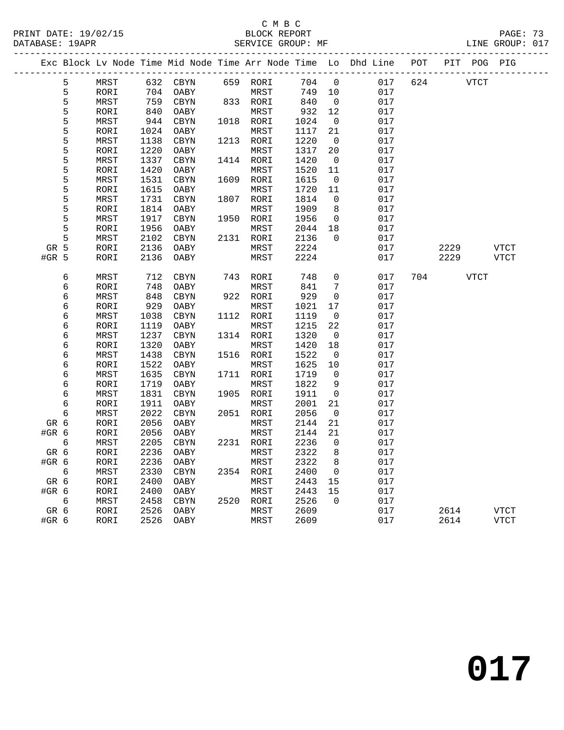PRINT DATE: 19/02/15 BLOCK REPORT BATABASE: 19APR BLOCK REPORT

### C M B C<br>BLOCK REPORT

PAGE: 73<br>LINE GROUP: 017

|         |   |      |      |            |      |           |      |                          | Exc Block Lv Node Time Mid Node Time Arr Node Time Lo Dhd Line POT |     | PIT POG PIG |             |
|---------|---|------|------|------------|------|-----------|------|--------------------------|--------------------------------------------------------------------|-----|-------------|-------------|
|         | 5 | MRST | 632  | CBYN       |      | 659 RORI  | 704  | $\mathsf{O}$             | 017                                                                | 624 | <b>VTCT</b> |             |
|         | 5 | RORI | 704  | OABY       |      | MRST      | 749  | 10                       | 017                                                                |     |             |             |
|         | 5 | MRST | 759  | CBYN       |      | 833 RORI  | 840  | $\overline{\phantom{0}}$ | 017                                                                |     |             |             |
|         | 5 | RORI | 840  | OABY       |      | MRST      | 932  | 12                       | 017                                                                |     |             |             |
|         | 5 | MRST | 944  | CBYN       |      | 1018 RORI | 1024 | $\overline{\phantom{0}}$ | 017                                                                |     |             |             |
|         | 5 | RORI | 1024 | OABY       |      | MRST      | 1117 | 21                       | 017                                                                |     |             |             |
|         | 5 | MRST | 1138 | CBYN       |      | 1213 RORI | 1220 | $\overline{0}$           | 017                                                                |     |             |             |
|         | 5 | RORI | 1220 | OABY       |      | MRST      | 1317 | 20                       | 017                                                                |     |             |             |
|         | 5 | MRST | 1337 | CBYN       |      | 1414 RORI | 1420 | $\overline{0}$           | 017                                                                |     |             |             |
|         | 5 | RORI | 1420 | OABY       |      | MRST      | 1520 | 11                       | 017                                                                |     |             |             |
|         | 5 | MRST | 1531 | CBYN       | 1609 | RORI      | 1615 | $\overline{0}$           | 017                                                                |     |             |             |
|         | 5 | RORI | 1615 | OABY       |      | MRST      | 1720 | 11                       | 017                                                                |     |             |             |
|         | 5 | MRST | 1731 | CBYN       | 1807 | RORI      | 1814 | $\mathbf 0$              | 017                                                                |     |             |             |
|         | 5 | RORI | 1814 | OABY       |      | MRST      | 1909 | 8                        | 017                                                                |     |             |             |
|         | 5 | MRST | 1917 | CBYN       |      | 1950 RORI | 1956 | $\overline{0}$           | 017                                                                |     |             |             |
|         | 5 | RORI | 1956 | OABY       |      | MRST      | 2044 | 18                       | 017                                                                |     |             |             |
|         | 5 | MRST | 2102 | CBYN       |      | 2131 RORI | 2136 | $\Omega$                 | 017                                                                |     |             |             |
| GR 5    |   | RORI | 2136 | OABY       |      | MRST      | 2224 |                          | 017                                                                |     | 2229        | <b>VTCT</b> |
| $#GR$ 5 |   | RORI | 2136 | OABY       |      | MRST      | 2224 |                          | 017                                                                |     | 2229        | <b>VTCT</b> |
|         |   |      |      |            |      |           |      |                          |                                                                    |     |             |             |
|         | 6 | MRST | 712  | CBYN       |      | 743 RORI  | 748  | $\mathbf 0$              | 017                                                                | 704 | VTCT        |             |
|         | 6 | RORI | 748  | OABY       |      | MRST      | 841  | 7                        | 017                                                                |     |             |             |
|         | 6 | MRST | 848  | CBYN       |      | 922 RORI  | 929  | 0                        | 017                                                                |     |             |             |
|         | 6 | RORI | 929  | OABY       |      | MRST      | 1021 | 17                       | 017                                                                |     |             |             |
|         | 6 | MRST | 1038 | CBYN       |      | 1112 RORI | 1119 | 0                        | 017                                                                |     |             |             |
|         | 6 | RORI | 1119 | OABY       |      | MRST      | 1215 | 22                       | 017                                                                |     |             |             |
|         | 6 | MRST | 1237 | CBYN       |      | 1314 RORI | 1320 | $\mathbf 0$              | 017                                                                |     |             |             |
|         | 6 | RORI | 1320 | OABY       |      | MRST      | 1420 | 18                       | 017                                                                |     |             |             |
|         | 6 | MRST | 1438 | CBYN       |      | 1516 RORI | 1522 | $\overline{0}$           | 017                                                                |     |             |             |
|         | 6 | RORI | 1522 | OABY       |      | MRST      | 1625 | 10                       | 017                                                                |     |             |             |
|         | 6 | MRST | 1635 | CBYN       |      | 1711 RORI | 1719 | $\mathbf 0$              | 017                                                                |     |             |             |
|         | 6 | RORI | 1719 | OABY       |      | MRST      | 1822 | 9                        | 017                                                                |     |             |             |
|         | 6 | MRST | 1831 | CBYN       |      | 1905 RORI | 1911 | $\mathsf{O}$             | 017                                                                |     |             |             |
|         | 6 | RORI | 1911 | OABY       |      | MRST      | 2001 | 21                       | 017                                                                |     |             |             |
|         | 6 | MRST | 2022 | $\tt CBYN$ |      | 2051 RORI | 2056 | $\mathbf 0$              | 017                                                                |     |             |             |
| GR 6    |   | RORI | 2056 | OABY       |      | MRST      | 2144 | 21                       | 017                                                                |     |             |             |
| #GR 6   |   | RORI | 2056 | OABY       |      | MRST      | 2144 | 21                       | 017                                                                |     |             |             |
|         | 6 | MRST | 2205 | CBYN       |      | 2231 RORI | 2236 | $\Omega$                 | 017                                                                |     |             |             |
| GR 6    |   | RORI | 2236 | OABY       |      | MRST      | 2322 | 8                        | 017                                                                |     |             |             |
| #GR 6   |   | RORI | 2236 | OABY       |      | MRST      | 2322 | 8                        | 017                                                                |     |             |             |
|         | 6 | MRST | 2330 | CBYN       |      | 2354 RORI | 2400 | $\overline{0}$           | 017                                                                |     |             |             |
| GR 6    |   | RORI | 2400 | OABY       |      | MRST      | 2443 | 15                       | 017                                                                |     |             |             |
| #GR 6   |   | RORI | 2400 | OABY       |      | MRST      | 2443 | 15<br>$\Omega$           | 017                                                                |     |             |             |
|         | 6 | MRST | 2458 | CBYN       |      | 2520 RORI | 2526 |                          | 017                                                                |     |             |             |
| GR 6    |   | RORI | 2526 | OABY       |      | MRST      | 2609 |                          | 017                                                                |     | 2614        | VTCT        |
| #GR 6   |   | RORI | 2526 | OABY       |      | MRST      | 2609 |                          | 017                                                                |     | 2614        | <b>VTCT</b> |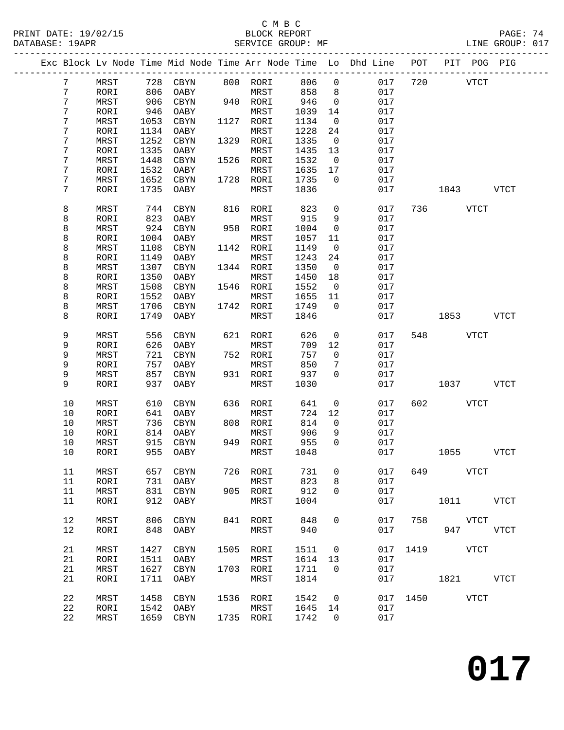|  |                  |      |      |             |      |           |      |                     | Exc Block Lv Node Time Mid Node Time Arr Node Time Lo Dhd Line | POT  | PIT<br>POG  | PIG         |
|--|------------------|------|------|-------------|------|-----------|------|---------------------|----------------------------------------------------------------|------|-------------|-------------|
|  | $7\phantom{.0}$  | MRST | 728  | CBYN        |      | 800 RORI  | 806  | $\mathsf{O}\xspace$ | 017                                                            | 720  | <b>VTCT</b> |             |
|  | $\boldsymbol{7}$ | RORI | 806  | OABY        |      | MRST      | 858  | 8                   | 017                                                            |      |             |             |
|  | 7                | MRST | 906  | CBYN        |      | 940 RORI  | 946  | 0                   | 017                                                            |      |             |             |
|  | 7                | RORI | 946  | OABY        |      | MRST      | 1039 | 14                  | 017                                                            |      |             |             |
|  |                  |      |      |             |      |           |      |                     |                                                                |      |             |             |
|  | 7                | MRST | 1053 | CBYN        | 1127 | RORI      | 1134 | $\mathsf{O}$        | 017                                                            |      |             |             |
|  | 7                | RORI | 1134 | OABY        |      | MRST      | 1228 | 24                  | 017                                                            |      |             |             |
|  | 7                | MRST | 1252 | CBYN        | 1329 | RORI      | 1335 | $\mathbf 0$         | 017                                                            |      |             |             |
|  | 7                | RORI | 1335 | OABY        |      | MRST      | 1435 | 13                  | 017                                                            |      |             |             |
|  | 7                | MRST | 1448 | CBYN        | 1526 | RORI      | 1532 | 0                   | 017                                                            |      |             |             |
|  | 7                | RORI | 1532 | OABY        |      | MRST      | 1635 | 17                  | 017                                                            |      |             |             |
|  | 7                | MRST | 1652 | CBYN        | 1728 | RORI      | 1735 | $\mathbf 0$         | 017                                                            |      |             |             |
|  | 7                | RORI | 1735 | OABY        |      | MRST      | 1836 |                     | 017                                                            |      | 1843        | <b>VTCT</b> |
|  |                  |      |      |             |      |           |      |                     |                                                                |      |             |             |
|  | 8                | MRST | 744  | CBYN        | 816  | RORI      | 823  | 0                   | 017                                                            | 736  | VTCT        |             |
|  | 8                | RORI | 823  | OABY        |      | MRST      | 915  | 9                   | 017                                                            |      |             |             |
|  | 8                | MRST | 924  | <b>CBYN</b> | 958  | RORI      | 1004 | 0                   | 017                                                            |      |             |             |
|  | 8                | RORI | 1004 | OABY        |      | MRST      | 1057 | 11                  | 017                                                            |      |             |             |
|  | 8                | MRST | 1108 | CBYN        | 1142 | RORI      | 1149 | 0                   | 017                                                            |      |             |             |
|  | 8                | RORI | 1149 | OABY        |      | MRST      | 1243 | 24                  | 017                                                            |      |             |             |
|  | 8                | MRST | 1307 | CBYN        | 1344 | RORI      | 1350 | 0                   | 017                                                            |      |             |             |
|  | 8                | RORI | 1350 | OABY        |      | MRST      | 1450 | 18                  | 017                                                            |      |             |             |
|  |                  |      |      |             |      |           |      |                     |                                                                |      |             |             |
|  | 8                | MRST | 1508 | CBYN        | 1546 | RORI      | 1552 | 0                   | 017                                                            |      |             |             |
|  | 8                | RORI | 1552 | OABY        |      | MRST      | 1655 | 11                  | 017                                                            |      |             |             |
|  | 8                | MRST | 1706 | CBYN        | 1742 | RORI      | 1749 | $\mathbf 0$         | 017                                                            |      |             |             |
|  | 8                | RORI | 1749 | OABY        |      | MRST      | 1846 |                     | 017                                                            |      | 1853        | <b>VTCT</b> |
|  |                  |      |      |             |      |           |      |                     |                                                                |      |             |             |
|  | 9                | MRST | 556  | CBYN        | 621  | RORI      | 626  | 0                   | 017                                                            | 548  | <b>VTCT</b> |             |
|  | 9                | RORI | 626  | OABY        |      | MRST      | 709  | 12                  | 017                                                            |      |             |             |
|  | 9                | MRST | 721  | CBYN        |      | 752 RORI  | 757  | 0                   | 017                                                            |      |             |             |
|  | 9                | RORI | 757  | OABY        |      | MRST      | 850  | 7                   | 017                                                            |      |             |             |
|  | 9                | MRST | 857  | CBYN        |      | 931 RORI  | 937  | 0                   | 017                                                            |      |             |             |
|  | 9                | RORI | 937  | OABY        |      | MRST      | 1030 |                     | 017                                                            |      | 1037        | <b>VTCT</b> |
|  |                  |      |      |             |      |           |      |                     |                                                                |      |             |             |
|  | 10               | MRST | 610  | CBYN        | 636  | RORI      | 641  | 0                   | 017                                                            | 602  | <b>VTCT</b> |             |
|  | 10               | RORI | 641  | OABY        |      | MRST      | 724  | 12                  | 017                                                            |      |             |             |
|  | 10               | MRST | 736  | CBYN        | 808  | RORI      | 814  | $\mathsf{O}$        | 017                                                            |      |             |             |
|  | 10               | RORI | 814  | OABY        |      | MRST      | 906  | 9                   | 017                                                            |      |             |             |
|  | 10               | MRST | 915  | CBYN        | 949  | RORI      | 955  | $\Omega$            | 017                                                            |      |             |             |
|  | 10               | RORI | 955  | OABY        |      | MRST      | 1048 |                     | 017                                                            |      | 1055        | VTCT        |
|  |                  |      |      |             |      |           |      |                     |                                                                |      |             |             |
|  | 11               | MRST | 657  | CBYN        | 726  | RORI      | 731  | 0                   | 017                                                            | 649  | <b>VTCT</b> |             |
|  | 11               | RORI | 731  | OABY        |      | MRST      | 823  | 8                   | 017                                                            |      |             |             |
|  | 11               | MRST | 831  | CBYN        |      | 905 RORI  | 912  | 0                   | 017                                                            |      |             |             |
|  | 11               | RORI | 912  | OABY        |      | MRST      | 1004 |                     | 017                                                            |      | 1011 VTCT   |             |
|  |                  |      |      |             |      |           |      |                     |                                                                |      |             |             |
|  | 12               | MRST | 806  | CBYN        | 841  | RORI      | 848  | 0                   | 017                                                            | 758  | VTCT        |             |
|  | 12               | RORI | 848  | OABY        |      | MRST      | 940  |                     | 017                                                            |      | 947         | VTCT        |
|  |                  |      |      |             |      |           |      |                     |                                                                |      |             |             |
|  | 21               | MRST | 1427 | CBYN        | 1505 | RORI      | 1511 | 0                   | 017                                                            | 1419 | VTCT        |             |
|  | 21               | RORI | 1511 | OABY        |      | MRST      | 1614 | 13                  | 017                                                            |      |             |             |
|  | 21               | MRST | 1627 | CBYN        | 1703 | RORI      | 1711 | 0                   | 017                                                            |      |             |             |
|  | 21               | RORI | 1711 | OABY        |      | MRST      | 1814 |                     | 017                                                            |      | 1821        | <b>VTCT</b> |
|  |                  |      |      |             |      |           |      |                     |                                                                |      |             |             |
|  | 22               | MRST | 1458 | CBYN        | 1536 | RORI      | 1542 | 0                   | 017                                                            | 1450 | VTCT        |             |
|  | 22               | RORI | 1542 | OABY        |      | MRST      | 1645 | 14                  | 017                                                            |      |             |             |
|  | 22               | MRST | 1659 | CBYN        |      | 1735 RORI | 1742 | 0                   | 017                                                            |      |             |             |
|  |                  |      |      |             |      |           |      |                     |                                                                |      |             |             |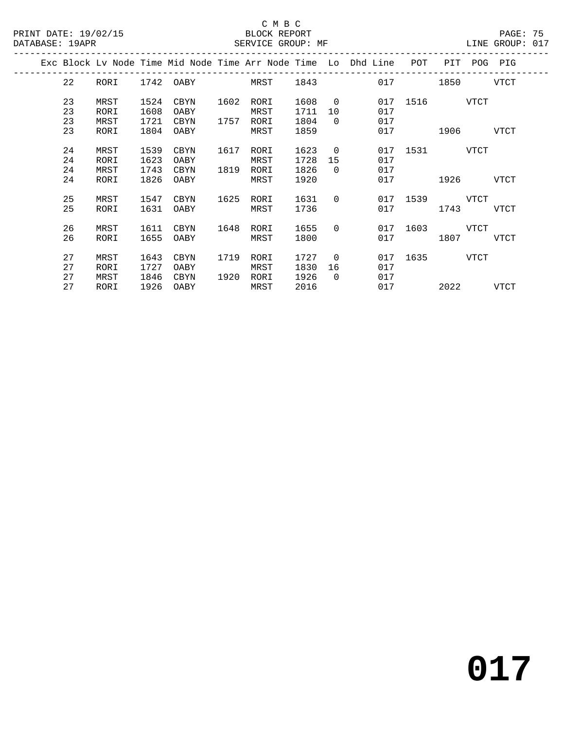### C M B C<br>BLOCK REPORT

| PRINT DATE: 19/02/15<br>DATABASE: 19APR |                      |                              |                              |                              |              | BLOCK REPORT<br>SERVICE GROUP: MF |                              |                                  |                                                                    |                       |                     |             | PAGE: 75<br>LINE GROUP: 017 |  |
|-----------------------------------------|----------------------|------------------------------|------------------------------|------------------------------|--------------|-----------------------------------|------------------------------|----------------------------------|--------------------------------------------------------------------|-----------------------|---------------------|-------------|-----------------------------|--|
|                                         |                      |                              |                              |                              |              |                                   |                              |                                  | Exc Block Lv Node Time Mid Node Time Arr Node Time Lo Dhd Line POT |                       |                     | PIT POG PIG |                             |  |
|                                         | 22                   | RORI                         |                              | 1742 OABY MRST               |              |                                   | 1843                         |                                  | 017                                                                |                       | 1850                |             | VTCT                        |  |
|                                         | 23<br>23<br>23<br>23 | MRST<br>RORI<br>MRST<br>RORI | 1524<br>1608<br>1721<br>1804 | CBYN<br>OABY<br>CBYN<br>OABY | 1602<br>1757 | RORI<br>MRST<br>RORI<br>MRST      | 1608<br>1711<br>1804<br>1859 | $\overline{0}$<br>10<br>$\Omega$ | 017<br>017<br>017                                                  | 017 1516 VTCT<br>1906 |                     |             | VTCT                        |  |
|                                         | 24<br>24<br>24<br>24 | MRST<br>RORI<br>MRST<br>RORI | 1539<br>1623<br>1743<br>1826 | CBYN<br>OABY<br>CBYN<br>OABY | 1617<br>1819 | RORI<br>MRST<br>RORI<br>MRST      | 1623<br>1728<br>1826<br>1920 | $\Omega$<br>15<br>$\Omega$       | 017<br>017<br>017<br>017                                           | 1531 VTCT             | 1926                |             | VTCT                        |  |
|                                         | 25<br>25             | MRST<br>RORI                 | 1547<br>1631                 | CBYN<br>OABY                 | 1625         | RORI<br>MRST                      | 1631<br>1736                 | $\Omega$                         | 017                                                                | 017 1539 VTCT         | 1743                |             | VTCT                        |  |
|                                         | 26<br>26             | MRST<br>RORI                 | 1611<br>1655                 | CBYN<br>OABY                 | 1648         | RORI<br>MRST                      | 1655<br>1800                 | $\Omega$                         | 017                                                                | 017 1603 VTCT         | 1807                |             | VTCT                        |  |
|                                         | 27<br>27<br>27<br>27 | MRST<br>RORI<br>MRST<br>RORI | 1643<br>1727<br>1846<br>1926 | CBYN<br>OABY<br>CBYN<br>OABY | 1719<br>1920 | RORI<br>MRST<br>RORI<br>MRST      | 1727<br>1830<br>1926<br>2016 | $\Omega$<br>16<br>$\Omega$       | 017<br>017<br>017<br>017                                           | 1635                  | <b>VTCT</b><br>2022 |             | VTCT                        |  |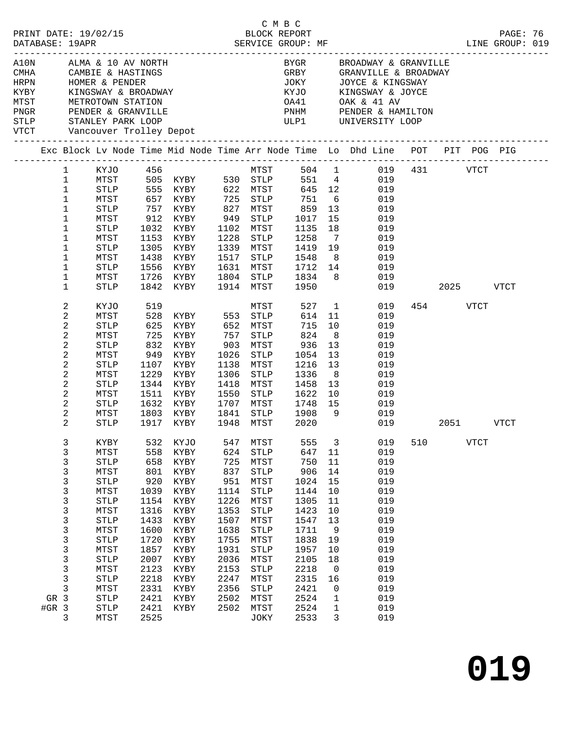|                                                                                                                                                                                                                     |                                                                                                                                                                                                              |                                                                                                                                                                                                       |                                                                                                                                          |                                                                                                                                                          |                                                                                                                                  |                                                                                                                                                                                   |                                                                                                                                           |                                                                                                                           |                                                                                                                                                                         |           |               |      | PAGE: 76<br>LINE GROUP: 019 |  |
|---------------------------------------------------------------------------------------------------------------------------------------------------------------------------------------------------------------------|--------------------------------------------------------------------------------------------------------------------------------------------------------------------------------------------------------------|-------------------------------------------------------------------------------------------------------------------------------------------------------------------------------------------------------|------------------------------------------------------------------------------------------------------------------------------------------|----------------------------------------------------------------------------------------------------------------------------------------------------------|----------------------------------------------------------------------------------------------------------------------------------|-----------------------------------------------------------------------------------------------------------------------------------------------------------------------------------|-------------------------------------------------------------------------------------------------------------------------------------------|---------------------------------------------------------------------------------------------------------------------------|-------------------------------------------------------------------------------------------------------------------------------------------------------------------------|-----------|---------------|------|-----------------------------|--|
| AlON ALMA & 10 AV NORTH<br>CMHA CAMBIE & HASTINGS<br>HRPN HOMER & PENDER<br>KYBY KINGSWAY & BROADWAY<br>MTST METROTOWN STATION<br>PNGR PENDER & GRANVILLE<br>STLP STANLEY PARK LOOP<br>VTCT Vancouver Trolley Depot |                                                                                                                                                                                                              |                                                                                                                                                                                                       |                                                                                                                                          |                                                                                                                                                          |                                                                                                                                  |                                                                                                                                                                                   |                                                                                                                                           |                                                                                                                           | BYGR         BROADWAY & GRANVILLE<br>GRBY          GRANVILLE & BROADWAY<br>JOKY JOYCE & KINGSWAY<br>KYJO KINGSWAY & JOYCE                                               |           |               |      |                             |  |
|                                                                                                                                                                                                                     |                                                                                                                                                                                                              |                                                                                                                                                                                                       |                                                                                                                                          |                                                                                                                                                          |                                                                                                                                  |                                                                                                                                                                                   |                                                                                                                                           |                                                                                                                           | Exc Block Lv Node Time Mid Node Time Arr Node Time Lo Dhd Line POT PIT POG PIG                                                                                          |           |               |      |                             |  |
|                                                                                                                                                                                                                     | $\mathbf{1}$<br>$\mathbf 1$<br>$\mathbf{1}$<br>$\mathbf{1}$<br>$\mathbf{1}$<br>$\mathbf 1$<br>$\mathbf 1$<br>$\mathbf{1}$<br>$\mathbf{1}$<br>$\mathbf 1$<br>$\mathbf{1}$<br>$\mathbf{1}$<br>$\mathbf 1$<br>2 | MTST<br>STLP<br>MTST<br>STLP<br>MTST<br>STLP<br>MTST<br>STLP<br>MTST<br>STLP<br>MTST<br>STLP<br>KYJO                                                                                                  | 912<br>1032<br>1153<br>1305<br>1438<br>1556<br>1726                                                                                      | KYJO 456<br>505 KYBY 530 STLP<br>555 KYBY 622 MTST<br>657 KYBY 725 STLP<br>757 KYBY<br>KYBY<br>KYBY<br>KYBY<br>KYBY<br>KYBY<br>KYBY<br>KYBY<br>1842 KYBY | 949<br>1228<br>1517                                                                                                              | STLP<br>1102 MTST<br>STLP<br>1339 MTST<br>STLP<br>1631 MTST<br>1804 STLP<br>1914 MTST                                                                                             | 645 12<br>725 STLP 751<br>827 MTST 859<br>1017<br>1135<br>1258<br>1419 19<br>1548<br>1712 14<br>1834 8<br>1950<br>527                     | 13<br>15<br>18<br>$7\overline{ }$<br>8 <sup>8</sup><br>1                                                                  | MTST 504 1 019 431 VTCT<br>551 4 019<br>019<br>6 019<br>019<br>019<br>019<br>019<br>019<br>019<br>019<br>019<br>019<br>019                                              |           | 2025 7<br>454 | VTCT | VTCT                        |  |
|                                                                                                                                                                                                                     | $\overline{a}$<br>2<br>2<br>2<br>$\overline{c}$<br>2<br>2<br>2<br>$\sqrt{2}$<br>2<br>2<br>2                                                                                                                  | MTST<br>STLP<br>MTST<br>STLP<br>MTST<br>STLP<br>MTST<br>STLP<br>MTST<br>STLP<br>MTST<br>STLP                                                                                                          | 625<br>725<br>832<br>949<br>1107<br>1229<br>1344<br>1511<br>1632<br>1803<br>1917                                                         | MTST<br>528 KYBY 553 STLP<br>625 KVPY 656<br>KYBY 652 MTST<br>KYBY<br>KYBY<br>KYBY<br>KYBY<br>KYBY<br>KYBY<br>KYBY<br>KYBY<br>KYBY<br>KYBY               | 757<br>903<br>1138<br>1306<br>1418<br>1550<br>1707                                                                               | STLP<br>MTST<br>$1026$ STLP<br>MTST<br>STLP<br>MTST<br>STLP<br>MTST<br>1841 STLP<br>1948 MTST                                                                                     | 614 11<br>715<br>824<br>936<br>1054<br>1216 13<br>1336<br>1458<br>1622 10<br>1748 15<br>1908 9<br>2020                                    | 10<br>8 <sup>8</sup><br>13<br>13<br>8 <sup>8</sup><br>13                                                                  | 019<br>019<br>019<br>019<br>019<br>019<br>019<br>019<br>019<br>019<br>019<br>019                                                                                        | 2051 VTCT |               |      |                             |  |
| GR 3<br>$#GR$ 3                                                                                                                                                                                                     | $\mathbf{3}$<br>3<br>3<br>3<br>3<br>3<br>3<br>3<br>3<br>3<br>3<br>3<br>3<br>3<br>3<br>$\mathbf{3}$<br>3                                                                                                      | MTST<br><b>STLP</b><br>MTST<br>${\tt STLP}$<br>MTST<br><b>STLP</b><br>MTST<br><b>STLP</b><br>MTST<br><b>STLP</b><br>MTST<br><b>STLP</b><br>MTST<br><b>STLP</b><br>MTST<br><b>STLP</b><br>STLP<br>MTST | 558<br>658<br>801<br>920<br>1039<br>1154<br>1316<br>1433<br>1600<br>1720<br>1857<br>2007<br>2123<br>2218<br>2331<br>2421<br>2421<br>2525 | KYBY<br>KYBY<br>KYBY<br>KYBY<br>KYBY<br>KYBY<br>KYBY<br>KYBY<br>KYBY<br>KYBY<br>KYBY<br>KYBY<br>KYBY<br>KYBY<br>KYBY<br>KYBY<br>KYBY                     | 624<br>725<br>837<br>951<br>1114<br>1226<br>1353<br>1507<br>1638<br>1755<br>1931<br>2036<br>2153<br>2247<br>2356<br>2502<br>2502 | STLP<br>MTST<br><b>STLP</b><br>MTST<br>STLP<br>${\tt MTST}$<br>${\tt STLP}$<br>MTST<br><b>STLP</b><br>MTST<br><b>STLP</b><br>MTST<br>STLP<br>MTST<br>STLP<br>MTST<br>MTST<br>JOKY | 647<br>750<br>906<br>1024<br>1144<br>1305<br>1423<br>1547<br>1711<br>1838<br>1957<br>2105<br>2218<br>2315<br>2421<br>2524<br>2524<br>2533 | 11<br>11<br>14<br>15<br>10<br>11<br>10<br>13<br>- 9<br>19<br>10<br>18<br>0<br>16<br>$\mathbf 0$<br>$\mathbf{1}$<br>1<br>3 | KYBY 532 KYJO 547 MTST 555 3 019 510 VTCT<br>019<br>019<br>019<br>019<br>019<br>019<br>019<br>019<br>019<br>019<br>019<br>019<br>019<br>019<br>019<br>019<br>019<br>019 |           |               |      |                             |  |

C M B C

**019**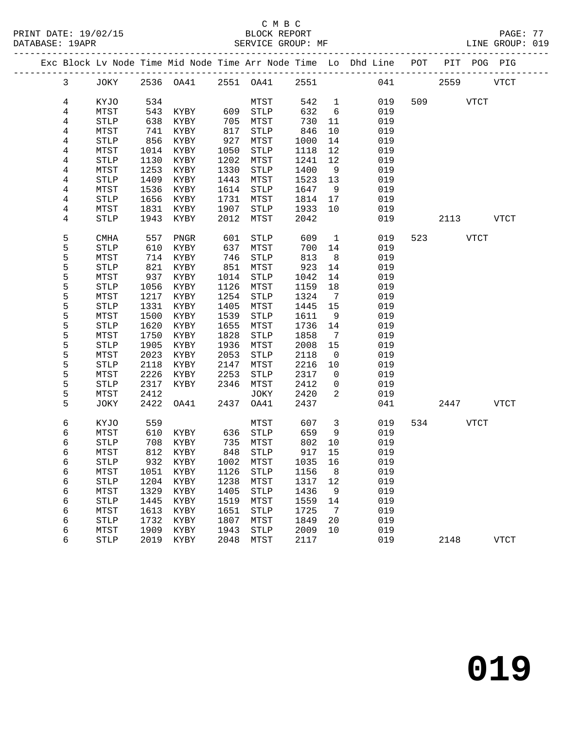PRINT DATE: 19/02/15 BLOCK REPORT PAGE: 77 DATABASE: 19APR SERVICE GROUP: MF

### C M B C

|                |             |      |           |      |             |      |              | Exc Block Lv Node Time Mid Node Time Arr Node Time Lo Dhd Line POT PIT POG PIG |     |      |             |             |
|----------------|-------------|------|-----------|------|-------------|------|--------------|--------------------------------------------------------------------------------|-----|------|-------------|-------------|
| $\mathbf{3}$   | JOKY        |      | 2536 OA41 | 2551 | OA41        | 2551 |              | 041                                                                            |     | 2559 |             | <b>VTCT</b> |
|                |             |      |           |      |             |      |              |                                                                                |     |      |             |             |
| 4              | KYJO        | 534  |           |      | MTST        | 542  | $\mathbf{1}$ | 019                                                                            | 509 |      | <b>VTCT</b> |             |
| 4              | MTST        | 543  | KYBY      | 609  | <b>STLP</b> | 632  | 6            | 019                                                                            |     |      |             |             |
| 4              | <b>STLP</b> | 638  | KYBY      | 705  | MTST        | 730  | 11           | 019                                                                            |     |      |             |             |
| 4              | MTST        | 741  | KYBY      | 817  | <b>STLP</b> | 846  | 10           | 019                                                                            |     |      |             |             |
| 4              | <b>STLP</b> | 856  | KYBY      | 927  | MTST        | 1000 | 14           | 019                                                                            |     |      |             |             |
| 4              | MTST        | 1014 | KYBY      | 1050 | <b>STLP</b> | 1118 | 12           | 019                                                                            |     |      |             |             |
| 4              | <b>STLP</b> | 1130 | KYBY      | 1202 | MTST        | 1241 | 12           | 019                                                                            |     |      |             |             |
| 4              | MTST        | 1253 | KYBY      | 1330 | <b>STLP</b> | 1400 | 9            | 019                                                                            |     |      |             |             |
| 4              | <b>STLP</b> | 1409 | KYBY      | 1443 | MTST        | 1523 | 13           | 019                                                                            |     |      |             |             |
| 4              | MTST        | 1536 | KYBY      | 1614 | <b>STLP</b> | 1647 | 9            | 019                                                                            |     |      |             |             |
| $\overline{4}$ | <b>STLP</b> | 1656 | KYBY      | 1731 | MTST        | 1814 | 17           | 019                                                                            |     |      |             |             |
| 4              | MTST        | 1831 | KYBY      | 1907 | <b>STLP</b> | 1933 | 10           | 019                                                                            |     |      |             |             |
| 4              | STLP        | 1943 | KYBY      | 2012 | MTST        | 2042 |              | 019                                                                            |     | 2113 |             | <b>VTCT</b> |
|                |             |      |           |      |             |      |              |                                                                                |     |      |             |             |
| 5              | <b>CMHA</b> | 557  | PNGR      | 601  | <b>STLP</b> | 609  | $\mathbf 1$  | 019                                                                            | 523 |      | <b>VTCT</b> |             |
| 5              | <b>STLP</b> | 610  | KYBY      | 637  | MTST        | 700  | 14           | 019                                                                            |     |      |             |             |
| 5              | MTST        | 714  | KYBY      | 746  | <b>STLP</b> | 813  | 8            | 019                                                                            |     |      |             |             |
| 5              | <b>STLP</b> | 821  | KYBY      | 851  | MTST        | 923  | 14           | 019                                                                            |     |      |             |             |
| 5              | MTST        | 937  | KYBY      | 1014 | <b>STLP</b> | 1042 | 14           | 019                                                                            |     |      |             |             |
| 5              | <b>STLP</b> | 1056 | KYBY      | 1126 | MTST        | 1159 | 18           | 019                                                                            |     |      |             |             |
| 5              | MTST        | 1217 | KYBY      | 1254 | <b>STLP</b> | 1324 | 7            | 019                                                                            |     |      |             |             |
| 5              | <b>STLP</b> | 1331 | KYBY      | 1405 | MTST        | 1445 | 15           | 019                                                                            |     |      |             |             |
| 5              | MTST        | 1500 | KYBY      | 1539 | <b>STLP</b> | 1611 | 9            | 019                                                                            |     |      |             |             |
| 5              | <b>STLP</b> | 1620 | KYBY      | 1655 | MTST        | 1736 | 14           | 019                                                                            |     |      |             |             |
| 5              | MTST        | 1750 | KYBY      | 1828 | <b>STLP</b> | 1858 | 7            | 019                                                                            |     |      |             |             |
| 5              | <b>STLP</b> | 1905 | KYBY      | 1936 | MTST        | 2008 | 15           | 019                                                                            |     |      |             |             |
| 5              | MTST        | 2023 | KYBY      | 2053 | <b>STLP</b> | 2118 | $\mathbf 0$  | 019                                                                            |     |      |             |             |
| 5              | <b>STLP</b> | 2118 | KYBY      | 2147 | MTST        | 2216 | 10           | 019                                                                            |     |      |             |             |
| 5              | MTST        | 2226 | KYBY      | 2253 | <b>STLP</b> | 2317 | 0            | 019                                                                            |     |      |             |             |
| 5              | <b>STLP</b> | 2317 | KYBY      | 2346 | MTST        | 2412 | 0            | 019                                                                            |     |      |             |             |
| 5              | MTST        | 2412 |           |      | <b>JOKY</b> | 2420 | 2            | 019                                                                            |     |      |             |             |
| 5              | <b>JOKY</b> | 2422 | OA41      | 2437 | OA41        | 2437 |              | 041                                                                            |     | 2447 |             | <b>VTCT</b> |
| 6              | KYJO        | 559  |           |      | MTST        | 607  | 3            | 019                                                                            | 534 |      | <b>VTCT</b> |             |
| 6              | MTST        | 610  | KYBY      | 636  | STLP        | 659  | 9            | 019                                                                            |     |      |             |             |
|                |             |      |           |      |             |      |              |                                                                                |     |      |             |             |

 6 STLP 708 KYBY 735 MTST 802 10 019 6 MTST 812 KYBY 848 STLP 917 15 019 6 STLP 932 KYBY 1002 MTST 1035 16 019 6 MTST 1051 KYBY 1126 STLP 1156 8 019 6 STLP 1204 KYBY 1238 MTST 1317 12 019

 6 MTST 1613 KYBY 1651 STLP 1725 7 019 6 STLP 1732 KYBY 1807 MTST 1849 20 019 6 MTST 1909 KYBY 1943 STLP 2009 10 019

6 MTST 812 KYBY 848 STLP 917 15 019<br>6 STLP 932 KYBY 1002 MTST 1035 16 019<br>6 MTST 1051 KYBY 1126 STLP 1156 8 019<br>6 STLP 1204 KYBY 1238 MTST 1317 12 019<br>6 MTST 1329 KYBY 1405 STLP 1436 9 019<br>6 STLP 1445 KYBY 1519 MTST 1559 1

6 STLP 1445 KYBY 1519 MTST 1559 14 019

6 STLP 2019 KYBY 2048 MTST 2117 019 2148 VTCT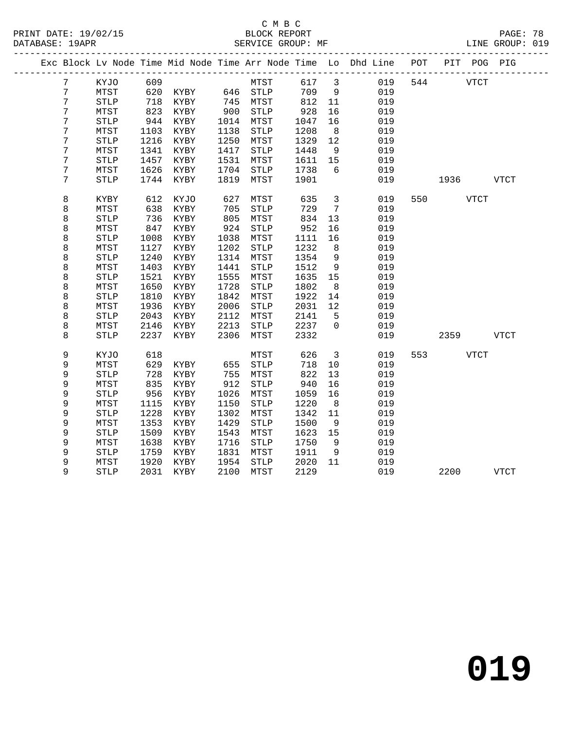|   |                       |      |           |      |                       |      |                         | Exc Block Lv Node Time Mid Node Time Arr Node Time Lo Dhd Line POT PIT POG PIG |     |          |      |             |
|---|-----------------------|------|-----------|------|-----------------------|------|-------------------------|--------------------------------------------------------------------------------|-----|----------|------|-------------|
| 7 | KYJO                  | 609  |           |      | MTST                  | 617  | $\overline{\mathbf{3}}$ | 019                                                                            |     | 544 VTCT |      |             |
| 7 | MTST                  | 620  |           |      | KYBY 646 STLP         | 709  | 9                       | 019                                                                            |     |          |      |             |
| 7 | $\operatorname{STLP}$ | 718  | KYBY      |      |                       | 812  | 11                      | 019                                                                            |     |          |      |             |
| 7 | MTST                  | 823  | KYBY      |      |                       | 928  | 16                      | 019                                                                            |     |          |      |             |
| 7 | $\operatorname{STLP}$ | 944  | KYBY      | 1014 | MTST                  | 1047 | 16                      | 019                                                                            |     |          |      |             |
| 7 | MTST                  | 1103 | KYBY      | 1138 | STLP                  | 1208 | 8 <sup>8</sup>          | 019                                                                            |     |          |      |             |
| 7 | $\operatorname{STLP}$ | 1216 | KYBY      | 1250 | MTST                  | 1329 | 12                      | 019                                                                            |     |          |      |             |
| 7 | MTST                  | 1341 | KYBY      | 1417 | STLP                  | 1448 | 9                       | 019                                                                            |     |          |      |             |
| 7 | <b>STLP</b>           | 1457 | KYBY      | 1531 | MTST                  | 1611 | 15                      | 019                                                                            |     |          |      |             |
| 7 | MTST                  | 1626 | KYBY      | 1704 | STLP                  | 1738 | 6                       | 019                                                                            |     |          |      |             |
| 7 | <b>STLP</b>           | 1744 | KYBY      | 1819 | MTST                  | 1901 |                         | 019                                                                            |     | 1936     |      | VTCT        |
| 8 | KYBY                  | 612  | KYJO      | 627  | MTST                  | 635  | $\overline{3}$          | 019                                                                            | 550 |          | VTCT |             |
| 8 | MTST                  | 638  | KYBY      | 705  | ${\tt STLP}$          | 729  | $7\overline{ }$         | 019                                                                            |     |          |      |             |
| 8 | <b>STLP</b>           | 736  | KYBY      | 805  | MTST                  | 834  | 13                      | 019                                                                            |     |          |      |             |
| 8 | MTST                  | 847  | KYBY      | 924  | $\operatorname{STLP}$ | 952  | 16                      | 019                                                                            |     |          |      |             |
| 8 | $\operatorname{STLP}$ | 1008 | KYBY      | 1038 | MTST                  | 1111 | 16                      | 019                                                                            |     |          |      |             |
| 8 | MTST                  | 1127 | KYBY      | 1202 | STLP                  | 1232 | 8                       | 019                                                                            |     |          |      |             |
| 8 | <b>STLP</b>           | 1240 | KYBY      | 1314 | MTST                  | 1354 | $\overline{9}$          | 019                                                                            |     |          |      |             |
| 8 | MTST                  | 1403 | KYBY      | 1441 | ${\tt STLP}$          | 1512 | 9                       | 019                                                                            |     |          |      |             |
| 8 | <b>STLP</b>           | 1521 | KYBY      | 1555 | MTST                  | 1635 | 15                      | 019                                                                            |     |          |      |             |
| 8 | MTST                  | 1650 | KYBY      | 1728 | <b>STLP</b>           | 1802 | 8                       | 019                                                                            |     |          |      |             |
| 8 | <b>STLP</b>           | 1810 | KYBY      | 1842 | MTST                  | 1922 | 14                      | 019                                                                            |     |          |      |             |
| 8 | MTST                  | 1936 | KYBY      | 2006 | STLP                  | 2031 | 12                      | 019                                                                            |     |          |      |             |
| 8 | <b>STLP</b>           | 2043 | KYBY      | 2112 | MTST                  | 2141 | -5                      | 019                                                                            |     |          |      |             |
| 8 | MTST                  | 2146 | KYBY      | 2213 | STLP                  | 2237 | $\overline{0}$          | 019                                                                            |     |          |      |             |
| 8 | <b>STLP</b>           | 2237 | KYBY      | 2306 | MTST                  | 2332 |                         | 019                                                                            |     | 2359     |      | VTCT        |
| 9 | KYJO                  | 618  |           |      | MTST                  | 626  | $\overline{\mathbf{3}}$ | 019                                                                            |     | 553 VTCT |      |             |
| 9 | MTST                  | 629  | KYBY      | 655  | ${\tt STLP}$          | 718  | 10                      | 019                                                                            |     |          |      |             |
| 9 | <b>STLP</b>           | 728  | KYBY      | 755  | MTST                  | 822  | 13                      | 019                                                                            |     |          |      |             |
| 9 | MTST                  | 835  | KYBY      | 912  | STLP                  | 940  | 16                      | 019                                                                            |     |          |      |             |
| 9 | $\operatorname{STLP}$ | 956  | KYBY      | 1026 | MTST                  | 1059 | 16                      | 019                                                                            |     |          |      |             |
| 9 | MTST                  | 1115 | KYBY      | 1150 | ${\tt STLP}$          | 1220 | 8                       | 019                                                                            |     |          |      |             |
| 9 | STLP                  | 1228 | KYBY      | 1302 | MTST                  | 1342 | 11                      | 019                                                                            |     |          |      |             |
| 9 | MTST                  | 1353 | KYBY      | 1429 | STLP                  | 1500 | 9                       | 019                                                                            |     |          |      |             |
| 9 | $\operatorname{STLP}$ | 1509 | KYBY      | 1543 | MTST                  | 1623 | 15                      | 019                                                                            |     |          |      |             |
| 9 | MTST                  | 1638 | KYBY      | 1716 | STLP                  | 1750 | - 9                     | 019                                                                            |     |          |      |             |
| 9 | $\operatorname{STLP}$ | 1759 | KYBY      | 1831 | MTST                  | 1911 | 9                       | 019                                                                            |     |          |      |             |
| 9 | MTST                  | 1920 | KYBY      | 1954 | <b>STLP</b>           | 2020 | 11                      | 019                                                                            |     |          |      |             |
| 9 | <b>STLP</b>           |      | 2031 KYBY | 2100 | MTST                  | 2129 |                         | 019                                                                            |     | 2200     |      | <b>VTCT</b> |
|   |                       |      |           |      |                       |      |                         |                                                                                |     |          |      |             |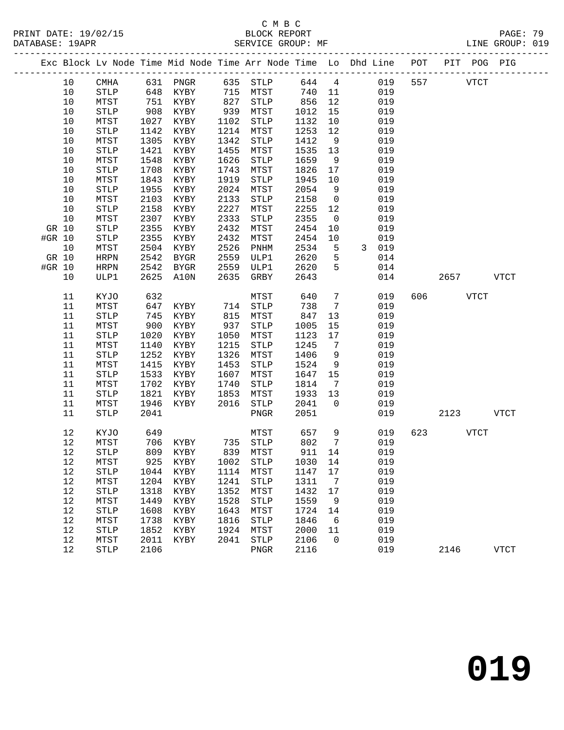|        |          |                       |       |                    |      |                       |              |                      | Exc Block Lv Node Time Mid Node Time Arr Node Time Lo Dhd Line POT PIT POG PIG |     |             |      |             |
|--------|----------|-----------------------|-------|--------------------|------|-----------------------|--------------|----------------------|--------------------------------------------------------------------------------|-----|-------------|------|-------------|
|        | 10       | CMHA                  |       | 631 PNGR           |      | 635 STLP              |              |                      | 644 4<br>019                                                                   | 557 | <b>VTCT</b> |      |             |
|        | 10       | STLP                  |       | 648 KYBY           |      | 715 MTST              | 740          | 11                   | 019                                                                            |     |             |      |             |
|        | $10$     | MTST                  | 751   | KYBY               | 827  | STLP                  | 856          | 12                   | 019                                                                            |     |             |      |             |
|        | 10       | STLP                  | 908   | KYBY               | 939  | MTST                  | 1012         | 15                   | 019                                                                            |     |             |      |             |
|        | 10       | MTST                  | 1027  | KYBY               | 1102 | STLP                  | 1132         | 10                   | 019                                                                            |     |             |      |             |
|        | $10$     | STLP                  | 1142  | KYBY               | 1214 | MTST                  | 1253         | 12                   | 019                                                                            |     |             |      |             |
|        | 10       | MTST                  | 1305  | KYBY               | 1342 | STLP                  | 1412         | 9                    | 019                                                                            |     |             |      |             |
|        | 10       | STLP                  | 1421  | KYBY               | 1455 | MTST                  | 1535         | 13                   | 019                                                                            |     |             |      |             |
|        | 10       | MTST                  | 1548  | KYBY               | 1626 | STLP                  | 1659         | 9                    | 019                                                                            |     |             |      |             |
|        | $10$     | STLP                  | 1708  | KYBY               | 1743 | MTST                  | 1826         | 17                   | 019                                                                            |     |             |      |             |
|        | 10       | MTST                  | 1843  | KYBY               | 1919 | STLP                  | 1945         | 10                   | 019                                                                            |     |             |      |             |
|        | 10       | STLP                  | 1955  | KYBY               | 2024 | MTST                  | 2054         | 9                    | 019                                                                            |     |             |      |             |
|        | 10       | MTST                  | 2103  | KYBY               | 2133 | STLP                  | 2158         | $\overline{0}$       | 019                                                                            |     |             |      |             |
|        | 10       | ${\tt STLP}$          | 2158  | KYBY               | 2227 | MTST                  | 2255         | 12                   | 019                                                                            |     |             |      |             |
|        | 10       | MTST                  | 2307  | KYBY               | 2333 | STLP                  | 2355         | $\overline{0}$       | 019                                                                            |     |             |      |             |
|        | GR 10    | $\operatorname{STLP}$ | 2355  | KYBY               | 2432 | MTST                  | 2454         | 10                   | 019                                                                            |     |             |      |             |
| #GR 10 |          | ${\tt STLP}$          | 2355  | KYBY               | 2432 | MTST                  | 2454         | 10                   | 019                                                                            |     |             |      |             |
|        | 10       | MTST                  | 2504  | KYBY               | 2526 | PNHM                  | 2534         | $5^{\circ}$          | 3 019                                                                          |     |             |      |             |
|        | GR 10    | HRPN                  | 2542  | BYGR               | 2559 | ULP1                  | 2620         | 5                    | 014                                                                            |     |             |      |             |
| #GR 10 |          | HRPN                  | 2542  | BYGR               | 2559 | ULP1                  | 2620         | 5                    | 014                                                                            |     |             |      |             |
|        | 10       | ULP1                  | 2625  | A10N               | 2635 | GRBY                  | 2643         |                      | 014                                                                            |     | 2657 VTCT   |      |             |
|        | 11       | KYJO                  | 632   |                    |      | MTST                  | 640          | $\overline{7}$       | 019                                                                            |     | 606 700     | VTCT |             |
|        | 11       | MTST                  | 647   | KYBY               | 714  | $\operatorname{STLP}$ | 738          | $\overline{7}$       | 019                                                                            |     |             |      |             |
|        | 11       | STLP                  | $745$ | KYBY               | 815  | MTST                  | 847          | 13                   | 019                                                                            |     |             |      |             |
|        | 11       | MTST                  | 900   | KYBY               | 937  | STLP                  | 1005         | 15                   | 019                                                                            |     |             |      |             |
|        | 11       | STLP                  | 1020  | KYBY               | 1050 | MTST                  | 1123         | 17                   | 019                                                                            |     |             |      |             |
|        | 11       | MTST                  | 1140  | KYBY               | 1215 | STLP                  | 1245         | $\overline{7}$       | 019                                                                            |     |             |      |             |
|        | 11       | STLP                  | 1252  | KYBY               | 1326 | MTST                  | 1406         | 9                    | 019                                                                            |     |             |      |             |
|        | 11       | MTST                  | 1415  | KYBY               | 1453 | STLP                  | 1524         | 9                    | 019                                                                            |     |             |      |             |
|        | 11       | ${\tt STLP}$          | 1533  | KYBY               | 1607 | MTST                  | 1647         | 15                   | 019                                                                            |     |             |      |             |
|        | 11       | MTST                  | 1702  | KYBY               | 1740 | STLP                  | 1814         | $\overline{7}$       | 019                                                                            |     |             |      |             |
|        | 11       | STLP                  | 1821  | KYBY               | 1853 | MTST                  | 1933         | 13<br>$\overline{0}$ | 019                                                                            |     |             |      |             |
|        | 11<br>11 | MTST                  | 1946  | KYBY               | 2016 | STLP                  | 2041<br>2051 |                      | 019<br>019                                                                     |     |             |      | <b>VTCT</b> |
|        |          | STLP                  | 2041  |                    |      | PNGR                  |              |                      |                                                                                |     | 2123        |      |             |
|        | 12       | KYJO                  | 649   |                    |      | MTST                  | 657          | 9                    | 019                                                                            | 623 | <b>VTCT</b> |      |             |
|        | 12       | MTST                  | 706   |                    |      |                       | 802          | 7                    | 019                                                                            |     |             |      |             |
|        | 12       | <b>STLP</b>           |       | 809 KYBY           |      |                       | 911 14       |                      | 019                                                                            |     |             |      |             |
|        | 12       | MTST                  |       | 925 KYBY 1002 STLP |      |                       |              |                      | 1030 14 019                                                                    |     |             |      |             |
|        | 12       | STLP                  | 1044  | KYBY               |      | 1114 MTST             | 1147         | 17                   | 019                                                                            |     |             |      |             |
|        | 12       | MTST                  | 1204  | KYBY               | 1241 | <b>STLP</b>           | 1311         | $\overline{7}$       | 019                                                                            |     |             |      |             |
|        | 12       | <b>STLP</b>           | 1318  | KYBY               | 1352 | MTST                  | 1432         | 17                   | 019                                                                            |     |             |      |             |
|        | 12       | MTST                  | 1449  | KYBY               | 1528 | STLP                  | 1559         | 9                    | 019                                                                            |     |             |      |             |
|        | 12       | <b>STLP</b>           | 1608  | KYBY               | 1643 | MTST                  | 1724         | 14                   | 019                                                                            |     |             |      |             |
|        | 12       | MTST                  | 1738  | KYBY               | 1816 | <b>STLP</b>           | 1846         | 6                    | 019                                                                            |     |             |      |             |
|        | 12       | <b>STLP</b>           | 1852  | KYBY               | 1924 | MTST                  | 2000         | 11                   | 019                                                                            |     |             |      |             |
|        | 12       | MTST                  | 2011  | KYBY               | 2041 | STLP                  | 2106         | $\mathbf 0$          | 019                                                                            |     |             |      |             |
|        | 12       | STLP                  | 2106  |                    |      | ${\tt PNGR}$          | 2116         |                      | 019                                                                            |     | 2146        |      | <b>VTCT</b> |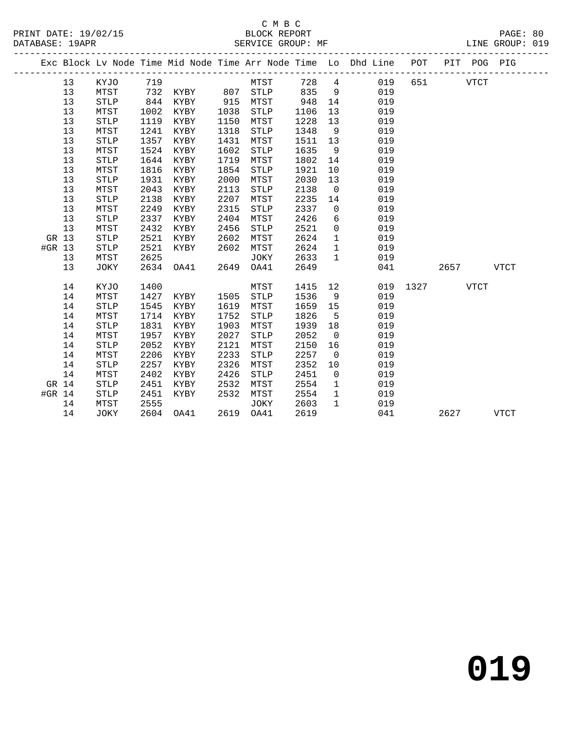|          |    |                       |      |                   |      |             |      |                | Exc Block Lv Node Time Mid Node Time Arr Node Time Lo Dhd Line POT PIT POG PIG |      |          |             |             |
|----------|----|-----------------------|------|-------------------|------|-------------|------|----------------|--------------------------------------------------------------------------------|------|----------|-------------|-------------|
|          | 13 | KYJO                  | 719  |                   |      | MTST        |      |                | 728 4<br>019                                                                   |      | 651 VTCT |             |             |
|          | 13 | MTST                  |      | 732 KYBY 807 STLP |      |             | 835  | 9              | 019                                                                            |      |          |             |             |
|          | 13 | <b>STLP</b>           | 844  | KYBY              | 915  | MTST        | 948  | 14             | 019                                                                            |      |          |             |             |
|          | 13 | MTST                  | 1002 | KYBY              | 1038 | STLP        | 1106 | 13             | 019                                                                            |      |          |             |             |
|          | 13 | <b>STLP</b>           | 1119 | KYBY              | 1150 | MTST        | 1228 | 13             | 019                                                                            |      |          |             |             |
|          | 13 | MTST                  | 1241 | KYBY              | 1318 | STLP        | 1348 | 9              | 019                                                                            |      |          |             |             |
|          | 13 | <b>STLP</b>           | 1357 | KYBY              | 1431 | MTST        | 1511 | 13             | 019                                                                            |      |          |             |             |
|          | 13 | MTST                  | 1524 | KYBY              | 1602 | STLP        | 1635 | 9              | 019                                                                            |      |          |             |             |
|          | 13 | <b>STLP</b>           | 1644 | KYBY              | 1719 | MTST        | 1802 | 14             | 019                                                                            |      |          |             |             |
|          | 13 | MTST                  | 1816 | KYBY              | 1854 | STLP        | 1921 | 10             | 019                                                                            |      |          |             |             |
|          | 13 | <b>STLP</b>           | 1931 | KYBY              | 2000 | MTST        | 2030 | 13             | 019                                                                            |      |          |             |             |
|          | 13 | MTST                  | 2043 | KYBY              | 2113 | <b>STLP</b> | 2138 | $\overline{0}$ | 019                                                                            |      |          |             |             |
|          | 13 | <b>STLP</b>           | 2138 | KYBY              | 2207 | MTST        | 2235 | 14             | 019                                                                            |      |          |             |             |
|          | 13 | MTST                  | 2249 | KYBY              | 2315 | <b>STLP</b> | 2337 | $\mathbf 0$    | 019                                                                            |      |          |             |             |
|          | 13 | <b>STLP</b>           | 2337 | KYBY              | 2404 | MTST        | 2426 | 6              | 019                                                                            |      |          |             |             |
|          | 13 | MTST                  | 2432 | KYBY              | 2456 | STLP        | 2521 | $\overline{0}$ | 019                                                                            |      |          |             |             |
| GR 13    |    | <b>STLP</b>           | 2521 | KYBY              | 2602 | MTST        | 2624 | $\mathbf{1}$   | 019                                                                            |      |          |             |             |
| #GR 13   |    | <b>STLP</b>           | 2521 | KYBY              | 2602 | MTST        | 2624 | $\mathbf{1}$   | 019                                                                            |      |          |             |             |
|          | 13 | MTST                  | 2625 |                   |      | JOKY        | 2633 | $\mathbf{1}$   | 019                                                                            |      |          |             |             |
|          | 13 | JOKY                  | 2634 | OA41              | 2649 | OA41        | 2649 |                | 041                                                                            |      | 2657     |             | <b>VTCT</b> |
|          | 14 | KYJO                  | 1400 |                   |      | MTST        | 1415 | 12             | 019                                                                            | 1327 |          | <b>VTCT</b> |             |
|          | 14 | MTST                  | 1427 | KYBY              | 1505 | STLP        | 1536 | 9              | 019                                                                            |      |          |             |             |
|          | 14 | <b>STLP</b>           | 1545 | KYBY              | 1619 | MTST        | 1659 | 15             | 019                                                                            |      |          |             |             |
|          | 14 | MTST                  | 1714 | KYBY              | 1752 | STLP        | 1826 | $5^{\circ}$    | 019                                                                            |      |          |             |             |
|          | 14 | <b>STLP</b>           | 1831 | KYBY              | 1903 | MTST        | 1939 | 18             | 019                                                                            |      |          |             |             |
|          | 14 | MTST                  | 1957 | KYBY              | 2027 | <b>STLP</b> | 2052 | $\overline{0}$ | 019                                                                            |      |          |             |             |
|          | 14 | <b>STLP</b>           | 2052 | KYBY              | 2121 | MTST        | 2150 | 16             | 019                                                                            |      |          |             |             |
|          | 14 | MTST                  | 2206 | KYBY              | 2233 | <b>STLP</b> | 2257 | $\overline{0}$ | 019                                                                            |      |          |             |             |
|          | 14 | <b>STLP</b>           | 2257 | KYBY              | 2326 | MTST        | 2352 | 10             | 019                                                                            |      |          |             |             |
|          | 14 | MTST                  | 2402 | KYBY              | 2426 | <b>STLP</b> | 2451 | $\overline{0}$ | 019                                                                            |      |          |             |             |
| GR 14    |    | <b>STLP</b>           | 2451 | KYBY              | 2532 | MTST        | 2554 | $\mathbf{1}$   | 019                                                                            |      |          |             |             |
| #GR $14$ |    | $\operatorname{STLP}$ | 2451 | KYBY              | 2532 | MTST        | 2554 | $\mathbf{1}$   | 019                                                                            |      |          |             |             |
|          | 14 | MTST                  | 2555 |                   |      | JOKY        | 2603 | $\mathbf{1}$   | 019                                                                            |      |          |             |             |
|          | 14 | JOKY                  |      | 2604 OA41         |      | 2619 OA41   | 2619 |                | 041                                                                            |      | 2627     |             | <b>VTCT</b> |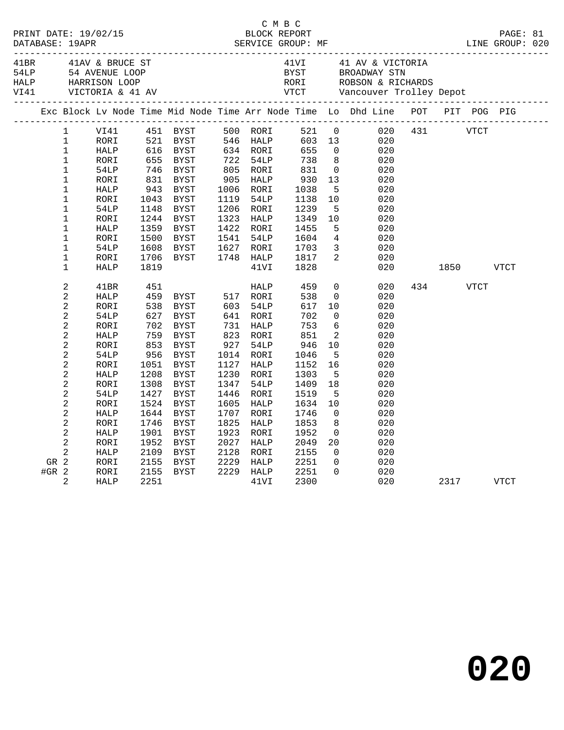|         |                   |      |                         |                                                 |      |                      |      | C M B C<br>PRINT DATE: 19/02/15 BLOCK REPORT PAGE: 81<br>DATABASE: 19APR SERVICE GROUP: MF LINE GROUP: 020                                                                                                                                                                                                                     |           |      |  |
|---------|-------------------|------|-------------------------|-------------------------------------------------|------|----------------------|------|--------------------------------------------------------------------------------------------------------------------------------------------------------------------------------------------------------------------------------------------------------------------------------------------------------------------------------|-----------|------|--|
|         |                   |      |                         |                                                 |      |                      |      |                                                                                                                                                                                                                                                                                                                                |           |      |  |
|         |                   |      |                         |                                                 |      |                      |      | Exc Block Lv Node Time Mid Node Time Arr Node Time Lo Dhd Line POT PIT POG PIG                                                                                                                                                                                                                                                 |           |      |  |
|         | $1 \qquad \qquad$ |      |                         | VI41 451 BYST 500 RORI                          |      |                      |      | 521 0 020 431 VTCT                                                                                                                                                                                                                                                                                                             |           |      |  |
|         | $\mathbf{1}$      | RORI |                         |                                                 |      |                      |      |                                                                                                                                                                                                                                                                                                                                |           |      |  |
|         | $\mathbf{1}$      | HALP |                         | BYST 546 HALP<br>BYST 546 HALP<br>BYST 722 54LP |      |                      |      |                                                                                                                                                                                                                                                                                                                                |           |      |  |
|         | $\mathbf{1}$      | RORI |                         | 521 BYST<br>521 BYST<br>616 BYST<br>655 BYST    |      |                      |      | 500 RORI 521 0 020<br>546 HALP 603 13 020<br>634 RORI 655 0 020<br>722 54LP 738 8 020<br>805 RORI 831 0 020<br>905 HALP 930 13 020<br>1006 RORI 1038 5 020<br>1119 54LP 1138 10 020<br>1119 54LP 1138 10 020                                                                                                                   |           |      |  |
|         | $\mathbf{1}$      | 54LP | 746<br>831              | BYST                                            |      |                      |      |                                                                                                                                                                                                                                                                                                                                |           |      |  |
|         | $\mathbf 1$       | RORI |                         | BYST                                            |      |                      |      |                                                                                                                                                                                                                                                                                                                                |           |      |  |
|         | $\mathbf 1$       | HALP | 943<br>1043             | BYST                                            |      |                      |      |                                                                                                                                                                                                                                                                                                                                |           |      |  |
|         | $\mathbf 1$       | RORI |                         | BYST                                            |      |                      |      |                                                                                                                                                                                                                                                                                                                                |           |      |  |
|         | $\mathbf 1$       | 54LP | 1148                    |                                                 |      |                      |      |                                                                                                                                                                                                                                                                                                                                |           |      |  |
|         | $\mathbf 1$       | RORI | 1244                    |                                                 |      |                      |      |                                                                                                                                                                                                                                                                                                                                |           |      |  |
|         | $\mathbf 1$       | HALP | 1359                    |                                                 |      |                      |      |                                                                                                                                                                                                                                                                                                                                |           |      |  |
|         | 1                 | RORI | 1500                    |                                                 |      |                      |      |                                                                                                                                                                                                                                                                                                                                |           |      |  |
|         | $\mathbf 1$       | 54LP | 1608                    |                                                 |      |                      |      |                                                                                                                                                                                                                                                                                                                                |           |      |  |
|         | $\mathbf 1$       | RORI | 1706                    |                                                 |      |                      |      |                                                                                                                                                                                                                                                                                                                                |           |      |  |
|         | $\mathbf 1$       | HALP | 1819                    |                                                 |      |                      |      | BYST 1206 RORI 1239 5 020<br>BYST 1323 HALP 1349 10 020<br>BYST 1323 HALP 1349 10 020<br>BYST 1422 RORI 1455 5 020<br>BYST 1541 54LP 1604 4 020<br>BYST 1627 RORI 1703 3 020<br>BYST 1627 RORI 1703 3 020<br>BYST 1748 HALP 1817 2 020<br>41VI 1828 02                                                                         | 1850 VTCT |      |  |
|         | $\overline{a}$    | 41BR | 451                     |                                                 |      | <b>HALP</b>          | 459  | $0$ 020                                                                                                                                                                                                                                                                                                                        | 434 VTCT  |      |  |
|         | 2                 | HALP | 459<br>538              | BYST 517 RORI                                   |      | 517 RORI<br>603 54LP |      | $\begin{array}{cccc} 538 & 0 & 020 \\ 617 & 10 & 020 \end{array}$                                                                                                                                                                                                                                                              |           |      |  |
|         | 2                 | RORI |                         | <b>BYST</b>                                     |      |                      |      |                                                                                                                                                                                                                                                                                                                                |           |      |  |
|         | 2                 | 54LP | 627                     | BYST                                            |      | 641 RORI             | 702  | $\begin{array}{ccc} 10 & 020\ 0 & 020\ 6 & 020\ 2 & 020\ 10 & 020\ 5 & 020\ \end{array}$                                                                                                                                                                                                                                       |           |      |  |
|         | $\overline{a}$    | RORI | 702                     | BYST                                            |      | 731 HALP             | 753  |                                                                                                                                                                                                                                                                                                                                |           |      |  |
|         | $\overline{a}$    | HALP | $759$<br>$853$<br>$956$ | BYST                                            |      | 823 RORI             | 851  |                                                                                                                                                                                                                                                                                                                                |           |      |  |
|         | 2                 | RORI |                         | BYST                                            |      | 927 54LP             | 946  |                                                                                                                                                                                                                                                                                                                                |           |      |  |
|         | $\overline{a}$    | 54LP |                         | BYST                                            |      | 1014 RORI            | 1046 |                                                                                                                                                                                                                                                                                                                                |           |      |  |
|         | $\overline{c}$    | RORI | 1051                    | BYST                                            | 1127 | HALP                 | 1152 | $\begin{array}{ccc} 16 & \hspace{1.5cm} & 020 \\ 5 & \hspace{1.5cm} & 020 \end{array}$                                                                                                                                                                                                                                         |           |      |  |
|         | $\overline{a}$    | HALP | 1208                    | BYST                                            |      | 1230 RORI            | 1303 |                                                                                                                                                                                                                                                                                                                                |           |      |  |
|         | $\overline{a}$    | RORI | 1308                    | BYST                                            |      | 1347 54LP            |      | 1409 18 020<br>1519 5 020                                                                                                                                                                                                                                                                                                      |           |      |  |
|         | $\overline{a}$    | 54LP | 1427                    | BYST                                            |      | 1446 RORI            |      |                                                                                                                                                                                                                                                                                                                                |           |      |  |
|         | $\overline{a}$    | RORI | 1524                    | BYST                                            | 1605 | HALP                 |      | $\begin{bmatrix} 1312 & 0 \\ 1634 & 10 \\ 1746 & 0 \end{bmatrix}$ 020                                                                                                                                                                                                                                                          |           |      |  |
|         | $\sqrt{2}$        | HALP | 1644                    | BYST                                            | 1707 | RORI                 |      |                                                                                                                                                                                                                                                                                                                                |           |      |  |
|         | $\overline{2}$    | RORI | 1746                    | BYST                                            | 1825 | HALP                 | 1853 | $\begin{array}{ccc} 0 & 0.20\ 8 & 0.20\ 0 & 0.20\ 20 & 0.20\ 0 & 0.20\ 0 & 0.20\ 0 & 0.20\ \end{array}$                                                                                                                                                                                                                        |           |      |  |
|         | $\overline{a}$    | HALP | 1901                    | BYST                                            | 1923 | RORI                 | 1952 |                                                                                                                                                                                                                                                                                                                                |           |      |  |
|         | $\overline{c}$    | RORI | 1952                    | BYST                                            | 2027 | HALP                 | 2049 |                                                                                                                                                                                                                                                                                                                                |           |      |  |
|         | 2                 | HALP | 2109                    | BYST                                            | 2128 | RORI                 | 2155 |                                                                                                                                                                                                                                                                                                                                |           |      |  |
| GR 2    |                   | RORI | 2155                    | BYST                                            | 2229 | HALP                 | 2251 |                                                                                                                                                                                                                                                                                                                                |           |      |  |
| $#GR$ 2 |                   | RORI | 2155                    | BYST                                            |      | 2229 HALP            | 2251 | $\begin{matrix} 0 & 0 & 2 & 0 \\ 0 & 0 & 0 & 0 \\ 0 & 0 & 0 & 0 \\ 0 & 0 & 0 & 0 \\ 0 & 0 & 0 & 0 \\ 0 & 0 & 0 & 0 \\ 0 & 0 & 0 & 0 \\ 0 & 0 & 0 & 0 \\ 0 & 0 & 0 & 0 \\ 0 & 0 & 0 & 0 \\ 0 & 0 & 0 & 0 \\ 0 & 0 & 0 & 0 & 0 \\ 0 & 0 & 0 & 0 & 0 \\ 0 & 0 & 0 & 0 & 0 \\ 0 & 0 & 0 & 0 & 0 & 0 \\ 0 & 0 & 0 & 0 & 0 & 0 \\ 0$ |           |      |  |
|         | 2                 | HALP | 2251                    |                                                 |      | 41VI                 | 2300 | 020                                                                                                                                                                                                                                                                                                                            | 2317      | VTCT |  |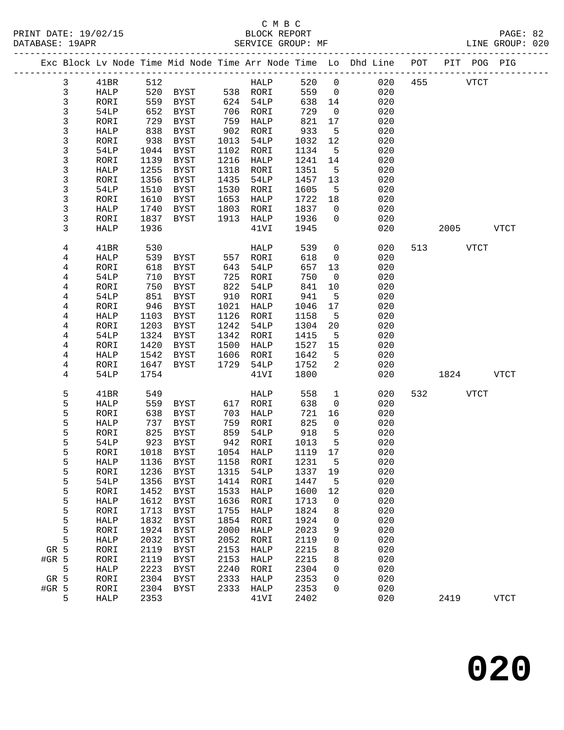|              |      |      |             |      |                |      |                | Exc Block Lv Node Time Mid Node Time Arr Node Time Lo Dhd Line POT |     |             |             | PIT POG PIG |
|--------------|------|------|-------------|------|----------------|------|----------------|--------------------------------------------------------------------|-----|-------------|-------------|-------------|
| $\mathbf{3}$ | 41BR | 512  |             |      | <b>HALP</b>    | 520  | $\overline{0}$ | 020                                                                | 455 | <b>VTCT</b> |             |             |
| $\mathbf{3}$ | HALP | 520  | <b>BYST</b> |      | 538 RORI       | 559  | $\overline{0}$ | 020                                                                |     |             |             |             |
| $\mathbf{3}$ | RORI | 559  | BYST        |      | 624 54LP       | 638  | 14             | 020                                                                |     |             |             |             |
| 3            | 54LP | 652  | BYST        | 706  | RORI           | 729  | $\overline{0}$ | 020                                                                |     |             |             |             |
| $\mathsf{3}$ | RORI | 729  | BYST        | 759  | HALP           | 821  | 17             | 020                                                                |     |             |             |             |
| 3            | HALP | 838  | BYST        | 902  | RORI           | 933  | 5              | 020                                                                |     |             |             |             |
| 3            | RORI | 938  | BYST        | 1013 | 54LP           | 1032 | 12             | 020                                                                |     |             |             |             |
| 3            | 54LP | 1044 | BYST        | 1102 | RORI           | 1134 | 5              | 020                                                                |     |             |             |             |
| $\mathsf{3}$ | RORI | 1139 | BYST        | 1216 | HALP           | 1241 | 14             | 020                                                                |     |             |             |             |
| 3            | HALP | 1255 | BYST        | 1318 | RORI           | 1351 | $5^{\circ}$    | 020                                                                |     |             |             |             |
| 3            | RORI | 1356 | BYST        | 1435 | 54LP           | 1457 | 13             | 020                                                                |     |             |             |             |
| 3            | 54LP | 1510 | BYST        | 1530 | RORI           | 1605 | 5              | 020                                                                |     |             |             |             |
| 3            | RORI | 1610 | BYST        | 1653 | HALP           | 1722 | 18             | 020                                                                |     |             |             |             |
| 3            | HALP | 1740 | BYST        | 1803 | RORI           | 1837 | $\overline{0}$ | 020                                                                |     |             |             |             |
| 3            | RORI | 1837 | BYST        | 1913 | HALP           | 1936 | $\overline{0}$ | 020                                                                |     |             |             |             |
| 3            | HALP | 1936 |             |      | 41VI           | 1945 |                | 020                                                                |     | 2005        |             | <b>VTCT</b> |
|              |      |      |             |      |                |      |                |                                                                    |     |             |             |             |
| 4            | 41BR | 530  |             |      | HALP           | 539  | $\overline{0}$ | 020                                                                |     | 513 VTCT    |             |             |
| 4            | HALP | 539  | BYST        |      | 557 RORI       | 618  | $\overline{0}$ | 020                                                                |     |             |             |             |
| 4            | RORI | 618  | BYST        | 643  | 54LP           | 657  | 13             | 020                                                                |     |             |             |             |
| 4            | 54LP | 710  | BYST        | 725  | RORI           | 750  | $\overline{0}$ | 020                                                                |     |             |             |             |
| 4            | RORI | 750  | <b>BYST</b> | 822  | 54LP           | 841  | 10             | 020                                                                |     |             |             |             |
| 4            | 54LP | 851  | BYST        | 910  | RORI           | 941  | 5              | 020                                                                |     |             |             |             |
| 4            | RORI | 946  | BYST        | 1021 | HALP           | 1046 | 17             | 020                                                                |     |             |             |             |
| 4            | HALP | 1103 | BYST        | 1126 | RORI           | 1158 | 5              | 020                                                                |     |             |             |             |
| 4            | RORI | 1203 | BYST        | 1242 | 54LP           | 1304 | 20             | 020                                                                |     |             |             |             |
| 4            | 54LP | 1324 | BYST        | 1342 | RORI           | 1415 | $5^{\circ}$    | 020                                                                |     |             |             |             |
| 4            | RORI | 1420 | BYST        | 1500 | HALP           | 1527 | 15             | 020                                                                |     |             |             |             |
| 4            | HALP | 1542 | BYST        | 1606 | RORI           | 1642 | 5              | 020                                                                |     |             |             |             |
| 4            | RORI | 1647 | BYST        | 1729 | 54LP           | 1752 | 2              | 020                                                                |     |             |             |             |
| 4            | 54LP | 1754 |             |      | 41VI           | 1800 |                | 020                                                                |     | 1824        |             | <b>VTCT</b> |
| 5            | 41BR | 549  |             |      | HALP           | 558  | $\mathbf{1}$   | 020                                                                | 532 |             | <b>VTCT</b> |             |
| 5            | HALP | 559  | BYST        | 617  | RORI           | 638  | $\mathbf 0$    | 020                                                                |     |             |             |             |
| 5            | RORI | 638  | BYST        | 703  | HALP           | 721  | 16             | 020                                                                |     |             |             |             |
| 5            | HALP | 737  | BYST        | 759  | RORI           | 825  | $\overline{0}$ | 020                                                                |     |             |             |             |
| 5            | RORI | 825  | BYST        | 859  | 54LP           | 918  | 5              | 020                                                                |     |             |             |             |
| 5            | 54LP | 923  | BYST        | 942  | RORI           | 1013 | $5^{\circ}$    | 020                                                                |     |             |             |             |
| 5            | RORI | 1018 | BYST        |      | 1054 HALP      | 1119 | 17             | 020                                                                |     |             |             |             |
| 5            | HALP |      | 1136 BYST   |      | 1158 RORI 1231 |      | 5              | 020                                                                |     |             |             |             |
| 5            | RORI | 1236 | BYST        | 1315 | 54LP           | 1337 | 19             | 020                                                                |     |             |             |             |
| 5            | 54LP | 1356 | BYST        | 1414 | RORI           | 1447 | 5              | 020                                                                |     |             |             |             |
| 5            | RORI | 1452 | BYST        | 1533 | HALP           | 1600 | 12             | 020                                                                |     |             |             |             |
| 5            | HALP | 1612 | <b>BYST</b> | 1636 | RORI           | 1713 | 0              | 020                                                                |     |             |             |             |
| 5            | RORI | 1713 | <b>BYST</b> | 1755 | HALP           | 1824 | 8              | 020                                                                |     |             |             |             |
| 5            | HALP | 1832 | <b>BYST</b> | 1854 | RORI           | 1924 | 0              | 020                                                                |     |             |             |             |
| 5            | RORI | 1924 | BYST        | 2000 | HALP           | 2023 | 9              | 020                                                                |     |             |             |             |
| 5            | HALP | 2032 | <b>BYST</b> | 2052 | RORI           | 2119 | 0              | 020                                                                |     |             |             |             |
| GR 5         | RORI | 2119 | BYST        | 2153 | HALP           | 2215 | 8              | 020                                                                |     |             |             |             |
| #GR 5        | RORI | 2119 | <b>BYST</b> | 2153 | HALP           | 2215 | 8              | 020                                                                |     |             |             |             |
| 5            | HALP | 2223 | BYST        | 2240 | RORI           | 2304 | 0              | 020                                                                |     |             |             |             |
| GR 5         | RORI | 2304 | BYST        | 2333 | HALP           | 2353 | 0              | 020                                                                |     |             |             |             |
| $#GR$ 5      | RORI | 2304 | BYST        | 2333 | HALP           | 2353 | 0              | 020                                                                |     |             |             |             |
| 5            | HALP | 2353 |             |      | 41VI           | 2402 |                | 020                                                                |     | 2419        |             | <b>VTCT</b> |
|              |      |      |             |      |                |      |                |                                                                    |     |             |             |             |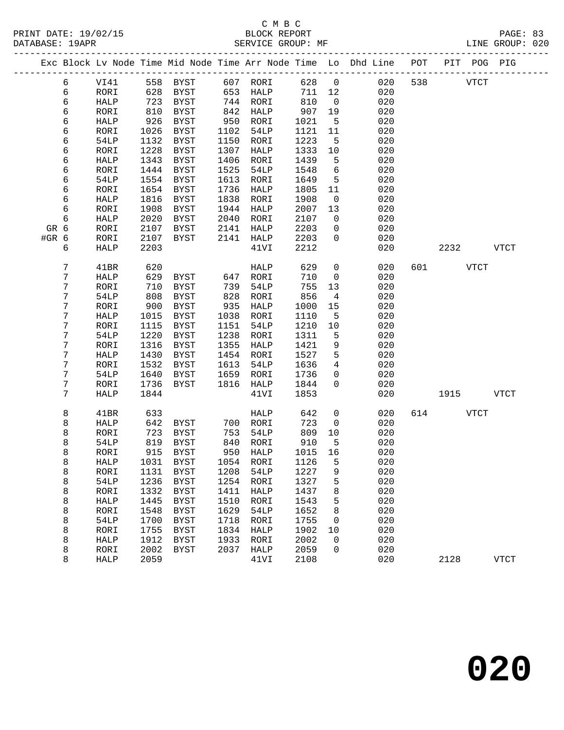|       |        |             |      |                            |            |           |        |                | Exc Block Lv Node Time Mid Node Time Arr Node Time Lo Dhd Line POT PIT POG PIG |          |             |
|-------|--------|-------------|------|----------------------------|------------|-----------|--------|----------------|--------------------------------------------------------------------------------|----------|-------------|
|       | 6      | VI41        |      | 558 BYST 607 RORI          |            |           | 628 0  |                | 020                                                                            | 538 VTCT |             |
|       | 6      | RORI        | 628  | BYST                       |            | 653 HALP  | 711 12 |                | 020                                                                            |          |             |
|       | 6      | HALP        | 723  | BYST                       |            | 744 RORI  | 810    | $\overline{0}$ | 020                                                                            |          |             |
|       | 6      | RORI        | 810  | BYST                       | 842        | HALP      | 907    | 19             | 020                                                                            |          |             |
|       | 6      | HALP        | 926  | BYST                       | 950        | RORI      | 1021   | $5^{\circ}$    | 020                                                                            |          |             |
|       | 6      | RORI        | 1026 | BYST                       | 1102       | 54LP      | 1121   | 11             | 020                                                                            |          |             |
|       | 6      | 54LP        | 1132 | BYST                       | 1150       | RORI      | 1223   | $5^{\circ}$    | 020                                                                            |          |             |
|       | 6      | RORI        | 1228 | BYST                       | 1307       | HALP      | 1333   | 10             | 020                                                                            |          |             |
|       | 6      | HALP        | 1343 | BYST                       | 1406       | RORI      | 1439   | 5              | 020                                                                            |          |             |
|       | 6      | RORI        | 1444 | BYST                       | 1525       | 54LP      | 1548   | 6              | 020                                                                            |          |             |
|       | 6      | 54LP        | 1554 | BYST                       | 1613       | RORI      | 1649   | 5              | 020                                                                            |          |             |
|       | 6      | RORI        | 1654 | BYST                       | 1736       | HALP      | 1805   | 11             | 020                                                                            |          |             |
|       | 6      | HALP        | 1816 | BYST                       | 1838       | RORI      | 1908   | $\overline{0}$ | 020                                                                            |          |             |
|       | 6      | RORI        | 1908 | BYST                       |            | 1944 HALP | 2007   | 13             | 020                                                                            |          |             |
|       | 6      | HALP        | 2020 | BYST                       | 2040       | RORI      | 2107   | $\overline{0}$ | 020                                                                            |          |             |
| GR 6  |        | RORI        | 2107 | BYST                       | 2141       | HALP      | 2203   | $\mathbf{0}$   | 020                                                                            |          |             |
| #GR 6 |        | RORI        | 2107 | BYST                       |            | 2141 HALP | 2203   | $\overline{0}$ | 020                                                                            |          |             |
|       | 6      | HALP        | 2203 |                            |            | 41VI      | 2212   |                | 020                                                                            | 2232     | VTCT        |
|       | 7      | 41BR        | 620  |                            |            | HALP      | 629    | $\mathsf{O}$   | 020                                                                            | 601 VTCT |             |
|       | 7      | HALP        | 629  | BYST 647 RORI              |            |           | 710    | $\overline{0}$ | 020                                                                            |          |             |
|       | 7      | RORI        | 710  | BYST                       | 739        | 54LP      | 755    | 13             | 020                                                                            |          |             |
|       | 7      | 54LP        | 808  | BYST                       | 828        | RORI      | 856    | $\overline{4}$ | 020                                                                            |          |             |
|       | 7      | RORI        | 900  | BYST                       | 935        | HALP      | 1000   | 15             | 020                                                                            |          |             |
|       | 7      | HALP        | 1015 | BYST                       | 1038       | RORI      | 1110   | 5              | 020                                                                            |          |             |
|       | 7      | RORI        | 1115 | BYST                       | 1151       | 54LP      | 1210   | 10             | 020                                                                            |          |             |
|       | 7      | 54LP        | 1220 | BYST                       | 1238       | RORI      | 1311   | 5              | 020                                                                            |          |             |
|       | 7      | RORI        | 1316 | BYST                       | 1355       | HALP      | 1421   | 9              | 020                                                                            |          |             |
|       | 7      | HALP        | 1430 | BYST                       | 1454       | RORI      | 1527   | 5              | 020                                                                            |          |             |
|       | 7      | RORI        | 1532 | BYST                       | 1613       | 54LP      | 1636   | $\overline{4}$ | 020                                                                            |          |             |
|       | 7      | 54LP        | 1640 | BYST                       | 1659       | RORI      | 1736   | $\mathsf{O}$   | 020                                                                            |          |             |
|       | 7      | RORI        | 1736 | BYST                       | 1816       | HALP      | 1844   | $\overline{0}$ | 020                                                                            |          |             |
|       | 7      | <b>HALP</b> | 1844 |                            |            | 41VI      | 1853   |                | 020                                                                            | 1915     | <b>VTCT</b> |
|       | 8      | 41BR        | 633  |                            |            | HALP      | 642    | $\overline{0}$ | 020                                                                            | 614 VTCT |             |
|       | 8      | HALP        | 642  | BYST                       |            | 700 RORI  | 723    | $\mathbf 0$    | 020                                                                            |          |             |
|       | 8      | RORI        | 723  | BYST                       | 753        | 54LP      | 809    | 10             | 020                                                                            |          |             |
|       | 8      | 54LP        | 819  | BYST                       | 840<br>950 | RORI      | 910    | 5              | 020                                                                            |          |             |
|       | 8      | RORI        |      | 915 BYST                   |            | 950 HALP  | 1015   | 16             | 020                                                                            |          |             |
|       | 8      | HALP        |      | 1031 BYST 1054 RORI 1126 5 |            |           |        |                | 020                                                                            |          |             |
|       | 8      | RORI        | 1131 | BYST                       | 1208       | 54LP      | 1227   | 9              | 020                                                                            |          |             |
|       | 8      | 54LP        | 1236 | BYST                       | 1254       | RORI      | 1327   | 5              | 020                                                                            |          |             |
|       | 8      | RORI        | 1332 | BYST                       | 1411       | HALP      | 1437   | 8              | 020                                                                            |          |             |
|       | 8      | HALP        | 1445 | BYST                       | 1510       | RORI      | 1543   | 5              | 020                                                                            |          |             |
|       | 8      | RORI        | 1548 | BYST                       | 1629       | 54LP      | 1652   | 8              | 020                                                                            |          |             |
|       | 8      | 54LP        | 1700 | BYST                       | 1718       | RORI      | 1755   | 0              | 020                                                                            |          |             |
|       | 8      | RORI        | 1755 | BYST                       | 1834       | HALP      | 1902   | 10             | 020                                                                            |          |             |
|       | 8      | HALP        | 1912 | BYST                       | 1933       | RORI      | 2002   | 0              | 020                                                                            |          |             |
|       | 8<br>8 | RORI        | 2002 | BYST                       | 2037       | HALP      | 2059   | 0              | 020                                                                            |          |             |
|       |        | HALP        | 2059 |                            |            | 41VI      | 2108   |                | 020                                                                            | 2128     | <b>VTCT</b> |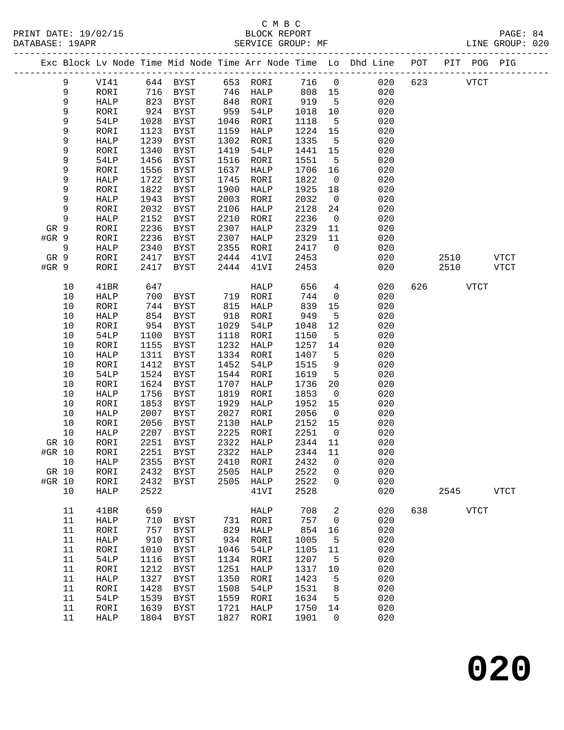# C M B C<br>BLOCK REPORT

| 1111111 <i>DI</i> IID 1997 19<br>DATABASE: 19APR |             |              |      |                                        |      | <b>DEOCIC</b> RELOIG<br>SERVICE GROUP: MF |         |                          |                                                                                |     |      |             | LINE GROUP: 020 |  |
|--------------------------------------------------|-------------|--------------|------|----------------------------------------|------|-------------------------------------------|---------|--------------------------|--------------------------------------------------------------------------------|-----|------|-------------|-----------------|--|
|                                                  |             |              |      |                                        |      |                                           |         |                          | Exc Block Lv Node Time Mid Node Time Arr Node Time Lo Dhd Line POT PIT POG PIG |     |      |             |                 |  |
|                                                  | 9           | VI41         |      |                                        |      |                                           |         | 716 0                    | 020                                                                            | 623 | VTCT |             |                 |  |
|                                                  | 9           | RORI         |      |                                        |      |                                           | 808 15  |                          | 020                                                                            |     |      |             |                 |  |
|                                                  | $\mathsf 9$ | HALP         |      | 823 BYST 848 RORI<br>924 BYST 959 54LP |      |                                           | 919     | $5^{\circ}$              | 020                                                                            |     |      |             |                 |  |
|                                                  | $\mathsf 9$ | RORI         |      |                                        |      |                                           | 1018    | 10                       | 020                                                                            |     |      |             |                 |  |
|                                                  | 9           | 54LP         | 1028 | BYST                                   |      | 1046 RORI                                 | 1118    | $5^{\circ}$              | 020                                                                            |     |      |             |                 |  |
|                                                  | $\mathsf 9$ | RORI         | 1123 | BYST                                   |      | 1159 HALP                                 | 1224 15 |                          | 020                                                                            |     |      |             |                 |  |
|                                                  | 9           | HALP         | 1239 | BYST                                   |      | 1302 RORI                                 | 1335    | $5^{\circ}$              | 020                                                                            |     |      |             |                 |  |
|                                                  | 9           | RORI         | 1340 | BYST                                   |      | 1419 54LP                                 | 1441    | 15                       | 020                                                                            |     |      |             |                 |  |
|                                                  | 9           | 54LP         | 1456 | BYST                                   |      | 1516 RORI                                 | 1551    | $5\overline{5}$          | 020                                                                            |     |      |             |                 |  |
|                                                  | $\mathsf 9$ | RORI         | 1556 | <b>BYST</b>                            | 1637 | HALP                                      | 1706    | 16                       | 020                                                                            |     |      |             |                 |  |
|                                                  | 9           | HALP         | 1722 | <b>BYST</b>                            | 1745 | RORI                                      | 1822    | $\overline{0}$           | 020                                                                            |     |      |             |                 |  |
|                                                  | $\mathsf 9$ | RORI         | 1822 | BYST                                   | 1900 | HALP                                      | 1925    | 18                       | 020                                                                            |     |      |             |                 |  |
|                                                  | 9           | HALP         | 1943 | BYST                                   | 2003 | RORI                                      | 2032    | $\overline{0}$           | 020                                                                            |     |      |             |                 |  |
|                                                  | 9           | RORI         | 2032 | BYST                                   | 2106 | HALP                                      | 2128    | 24                       | 020                                                                            |     |      |             |                 |  |
|                                                  | 9           | HALP         | 2152 | BYST                                   |      | 2210 RORI                                 | 2236    | $\overline{0}$           | 020                                                                            |     |      |             |                 |  |
| GR 9                                             |             | RORI         | 2236 | BYST                                   | 2307 | HALP                                      | 2329    | 11                       | 020                                                                            |     |      |             |                 |  |
| $#GR$ 9                                          |             | RORI         | 2236 | BYST                                   |      | 2307 HALP                                 | 2329    | 11                       | 020                                                                            |     |      |             |                 |  |
|                                                  | 9           | HALP         | 2340 | BYST                                   |      | 2355 RORI                                 | 2417    | $\overline{0}$           | 020                                                                            |     |      |             |                 |  |
| GR 9                                             |             | RORI         | 2417 | BYST                                   |      | 2444 41VI                                 | 2453    |                          | 020                                                                            |     |      | 2510 VTCT   |                 |  |
| #GR 9                                            |             | RORI         | 2417 | BYST                                   |      | 2444 41VI                                 | 2453    |                          | 020                                                                            |     | 2510 |             | VTCT            |  |
|                                                  | 10          | 41BR         | 647  |                                        |      | HALP                                      | 656     | $\overline{4}$           | 020                                                                            | 626 |      | VTCT        |                 |  |
|                                                  | 10          | HALP         | 700  | BYST                                   |      | 719 RORI                                  | 744     | $\overline{\mathbf{0}}$  | 020                                                                            |     |      |             |                 |  |
|                                                  | 10          | RORI         | 744  | BYST                                   |      | 815 HALP                                  | 839     | 15                       | 020                                                                            |     |      |             |                 |  |
|                                                  | 10          | HALP         | 854  | BYST                                   |      | 918 RORI                                  | 949     | $5^{\circ}$              | 020                                                                            |     |      |             |                 |  |
|                                                  | 10          | RORI         | 954  | BYST                                   |      | 1029 54LP                                 | 1048    | 12                       | 020                                                                            |     |      |             |                 |  |
|                                                  | 10          | 54LP         | 1100 | BYST                                   |      | 1118 RORI                                 | 1150    | $5^{\circ}$              | 020                                                                            |     |      |             |                 |  |
|                                                  | 10          | RORI         | 1155 | BYST                                   | 1232 | HALP                                      | 1257    | 14                       | 020                                                                            |     |      |             |                 |  |
|                                                  | 10          | HALP         | 1311 | BYST                                   |      | 1334 RORI                                 | 1407    | $5^{\circ}$              | 020                                                                            |     |      |             |                 |  |
|                                                  | 10          | RORI         | 1412 | <b>BYST</b>                            | 1452 | 54LP                                      | 1515    | 9                        | 020                                                                            |     |      |             |                 |  |
|                                                  | 10          | 54LP         | 1524 | BYST                                   |      | 1544 RORI                                 | 1619    | $5^{\circ}$              | 020                                                                            |     |      |             |                 |  |
|                                                  | 10          | RORI         | 1624 | BYST                                   | 1707 | HALP                                      | 1736    | 20                       | 020                                                                            |     |      |             |                 |  |
|                                                  | 10          | ${\tt HALP}$ | 1756 | BYST                                   | 1819 | RORI                                      | 1853    | $\overline{\phantom{0}}$ | 020                                                                            |     |      |             |                 |  |
|                                                  | 10          | RORI         | 1853 | BYST                                   | 1929 | HALP                                      | 1952    | 15                       | 020                                                                            |     |      |             |                 |  |
|                                                  | 10          | HALP         | 2007 | BYST                                   | 2027 | RORI                                      | 2056    | $\overline{0}$           | 020                                                                            |     |      |             |                 |  |
|                                                  | 10          | RORI         | 2056 | <b>BYST</b>                            | 2130 | HALP                                      | 2152    | 15                       | 020                                                                            |     |      |             |                 |  |
|                                                  | $10$        | HALP         | 2207 | <b>BYST</b>                            | 2225 | RORI                                      | 2251    | $\overline{0}$           | 020                                                                            |     |      |             |                 |  |
| GR 10                                            |             | RORI         | 2251 | BYST                                   | 2322 | HALP                                      | 2344    | 11                       | 020                                                                            |     |      |             |                 |  |
| #GR 10                                           |             | RORI         | 2251 | BYST                                   | 2322 | HALP                                      | 2344    | 11                       | 020                                                                            |     |      |             |                 |  |
|                                                  | 10          | HALP         | 2355 | BYST                                   | 2410 | RORI                                      | 2432    | $\overline{0}$           | 020                                                                            |     |      |             |                 |  |
| GR 10                                            |             | RORI         | 2432 | BYST                                   |      | 2505 HALP                                 | 2522    | $\overline{0}$           | 020                                                                            |     |      |             |                 |  |
| #GR 10                                           |             | RORI         | 2432 | BYST                                   |      | 2505 HALP                                 | 2522    | $\overline{0}$           | 020                                                                            |     |      |             |                 |  |
|                                                  | 10          | HALP         | 2522 |                                        |      | 41VI                                      | 2528    |                          | 020                                                                            |     | 2545 |             | <b>VTCT</b>     |  |
|                                                  | 11          | 41BR         | 659  |                                        |      | HALP                                      | 708     | $\overline{2}$           | 020                                                                            | 638 |      | <b>VTCT</b> |                 |  |

 11 HALP 710 BYST 731 RORI 757 0 020 11 RORI 757 BYST 829 HALP 854 16 020<br>11 HALP 910 BYST 934 RORI 1005 5 020

 11 RORI 1010 BYST 1046 54LP 1105 11 020 11 54LP 1116 BYST 1134 RORI 1207 5 020 11 RORI 1212 BYST 1251 HALP 1317 10 020

11 54LP 1539 BYST 1559 RORI 1634 5 020

11 HALP 910 BYST 934 RORI 1005 5

 11 HALP 1327 BYST 1350 RORI 1423 5 020 11 RORI 1428 BYST 1508 54LP 1531 8 020

 11 RORI 1639 BYST 1721 HALP 1750 14 020 11 HALP 1804 BYST 1827 RORI 1901 0 020

**020**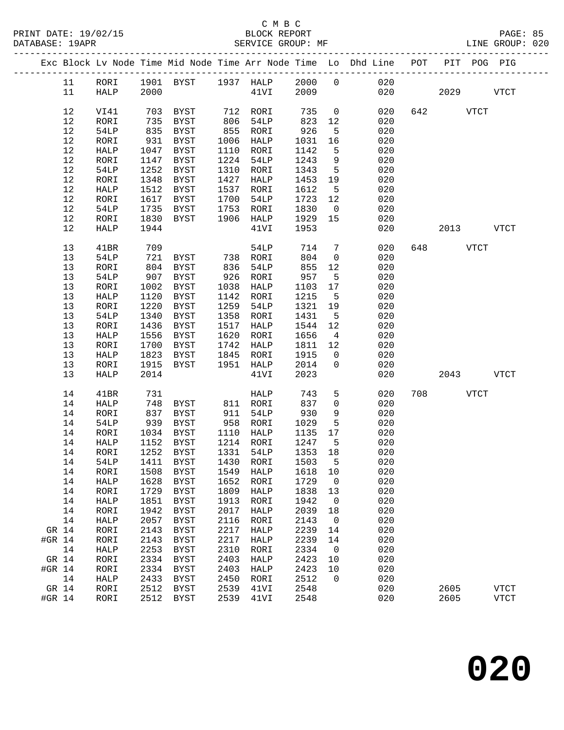|        |         |      |      |                                    |      |                              |         |                          | Exc Block Lv Node Time Mid Node Time Arr Node Time Lo Dhd Line POT |     | PIT POG PIG |             |
|--------|---------|------|------|------------------------------------|------|------------------------------|---------|--------------------------|--------------------------------------------------------------------|-----|-------------|-------------|
|        |         |      |      | 11 RORI 1901 BYST 1937 HALP 2000 0 |      |                              |         |                          | 020                                                                |     |             |             |
|        | 11      | HALP | 2000 |                                    |      | 41VI 2009                    |         |                          |                                                                    | 020 | 2029        | <b>VTCT</b> |
|        |         |      |      |                                    |      |                              |         |                          |                                                                    |     |             |             |
|        | 12      | VI41 |      | 703 BYST                           |      |                              | 735     | $\overline{0}$           | 020                                                                |     | 642 VTCT    |             |
|        | 12      | RORI | 735  | BYST                               |      | 712 RORI<br>806 54LP<br>54LP | 823     | 12                       | 020                                                                |     |             |             |
|        | 12      | 54LP | 835  | BYST                               |      | $855$ RORI                   | 926     | $5^{\circ}$              | 020                                                                |     |             |             |
|        | 12      | RORI | 931  | BYST                               | 1006 | HALP                         | 1031    | 16                       | 020                                                                |     |             |             |
|        | 12      | HALP | 1047 | BYST                               |      | 1110 RORI                    | 1142    | 5                        | 020                                                                |     |             |             |
|        | 12      | RORI | 1147 | BYST                               |      | 1224 54LP                    | 1243    | 9                        | 020                                                                |     |             |             |
|        | 12      | 54LP | 1252 | BYST                               | 1310 | RORI                         | 1343    | $5^{\circ}$              | 020                                                                |     |             |             |
|        | 12      | RORI | 1348 | BYST                               | 1427 | HALP                         | 1453    | 19                       | 020                                                                |     |             |             |
|        | 12      | HALP | 1512 | BYST                               | 1537 | RORI                         | 1612    | $5^{\circ}$              | 020                                                                |     |             |             |
|        | 12      | RORI | 1617 | BYST                               | 1700 | 54LP                         | 1723    | 12                       | 020                                                                |     |             |             |
|        | 12      | 54LP | 1735 | BYST                               | 1753 | RORI                         | 1830    | $\overline{0}$           | 020                                                                |     |             |             |
|        | 12      | RORI | 1830 | BYST                               | 1906 | HALP                         | 1929    | 15                       | 020                                                                |     |             |             |
|        | 12      | HALP | 1944 |                                    |      | 41VI                         | 1953    |                          | 020                                                                |     | 2013        | <b>VTCT</b> |
|        |         |      |      |                                    |      |                              |         |                          |                                                                    |     |             |             |
|        | 13      | 41BR | 709  |                                    |      | 54LP                         | 714     | $7\phantom{.0}$          | 020                                                                |     | 648 VTCT    |             |
|        | 13      | 54LP | 721  | BYST 738 RORI                      |      |                              | 804     | $\overline{0}$           | 020                                                                |     |             |             |
|        | 13      | RORI | 804  | BYST                               | 836  | 54LP                         | 855     | 12                       | 020                                                                |     |             |             |
|        | 13      | 54LP | 907  | BYST                               | 926  | RORI                         | 957     | $5^{\circ}$              | 020                                                                |     |             |             |
|        | 13      | RORI | 1002 | BYST                               | 1038 | HALP                         | 1103    | 17                       | 020                                                                |     |             |             |
|        | 13      | HALP | 1120 | BYST                               |      | 1142 RORI                    | 1215    | $5^{\circ}$              | 020                                                                |     |             |             |
|        | 13      | RORI | 1220 | BYST                               | 1259 | 54LP                         | 1321    | 19                       | 020                                                                |     |             |             |
|        | 13      | 54LP | 1340 | BYST                               | 1358 | RORI                         | 1431    | $5^{\circ}$              | 020                                                                |     |             |             |
|        | 13      | RORI | 1436 | BYST                               |      | 1517 HALP                    | 1544    | 12                       | 020                                                                |     |             |             |
|        | 13      | HALP | 1556 | BYST                               | 1620 | RORI                         | 1656    | $\overline{4}$           | 020                                                                |     |             |             |
|        | 13      | RORI | 1700 | BYST                               | 1742 | HALP                         | 1811 12 |                          | 020                                                                |     |             |             |
|        | 13      | HALP | 1823 | BYST                               | 1845 | RORI                         | 1915    | $\overline{0}$           | 020                                                                |     |             |             |
|        | 13      | RORI | 1915 | BYST                               |      | 1951 HALP                    | 2014    | $\overline{0}$           | 020                                                                |     |             |             |
|        | 13      | HALP | 2014 |                                    |      | 41VI                         | 2023    |                          | 020                                                                |     | 2043        | VTCT        |
|        | 14      | 41BR | 731  |                                    |      | HALP                         | 743     | 5                        | 020                                                                |     | 708 VTCT    |             |
|        | 14      | HALP | 748  | BYST                               |      |                              | 837     | $\mathsf{O}$             | 020                                                                |     |             |             |
|        | 14      | RORI | 837  | BYST                               |      | 811 RORI<br>911 54LP         | 930     | 9                        | 020                                                                |     |             |             |
|        | 14      | 54LP | 939  | BYST                               |      | 958 RORI                     | 1029    | 5                        | 020                                                                |     |             |             |
|        | 14      | RORI | 1034 | BYST                               |      | $1110$ HALP                  | 1135    | 17                       | 020                                                                |     |             |             |
|        | 14      | HALP | 1152 | BYST                               |      | 1214 RORI                    | 1247    | $5^{\circ}$              | 020                                                                |     |             |             |
|        | 14      | RORI |      | 1252 BYST                          |      | 1331 54LP                    | 1353 18 |                          | 020                                                                |     |             |             |
|        | 14 54LP |      |      | 1411 BYST 1430 RORI 1503 5         |      |                              |         |                          | 020                                                                |     |             |             |
|        | 14      | RORI | 1508 | BYST                               | 1549 | HALP                         | 1618    | 10                       | 020                                                                |     |             |             |
|        | 14      | HALP | 1628 | BYST                               | 1652 | RORI                         | 1729    | $\overline{\phantom{0}}$ | 020                                                                |     |             |             |
|        | 14      | RORI | 1729 | BYST                               | 1809 | HALP                         | 1838    | 13                       | 020                                                                |     |             |             |
|        | 14      | HALP | 1851 | <b>BYST</b>                        | 1913 | RORI                         | 1942    | $\mathbf 0$              | 020                                                                |     |             |             |
|        | 14      | RORI | 1942 | <b>BYST</b>                        | 2017 | ${\tt HALP}$                 | 2039    | 18                       | 020                                                                |     |             |             |
|        | 14      | HALP | 2057 | <b>BYST</b>                        | 2116 | RORI                         | 2143    | $\overline{0}$           | 020                                                                |     |             |             |
| GR 14  |         | RORI | 2143 | <b>BYST</b>                        | 2217 | HALP                         | 2239    | 14                       | 020                                                                |     |             |             |
| #GR 14 |         | RORI | 2143 | <b>BYST</b>                        | 2217 | HALP                         | 2239    | 14                       | 020                                                                |     |             |             |
|        | 14      | HALP | 2253 | <b>BYST</b>                        | 2310 | RORI                         | 2334    | $\overline{\phantom{0}}$ | 020                                                                |     |             |             |
| GR 14  |         | RORI | 2334 | <b>BYST</b>                        | 2403 | HALP                         | 2423    | 10                       | 020                                                                |     |             |             |
| #GR 14 |         | RORI | 2334 | <b>BYST</b>                        | 2403 | HALP                         | 2423    | 10                       | 020                                                                |     |             |             |
|        | 14      | HALP | 2433 | <b>BYST</b>                        | 2450 | RORI                         | 2512    | $\mathbf 0$              | 020                                                                |     |             |             |
| GR 14  |         | RORI | 2512 | BYST                               | 2539 | 41VI                         | 2548    |                          | 020                                                                |     | 2605        | <b>VTCT</b> |
| #GR 14 |         | RORI | 2512 | BYST                               | 2539 | 41VI                         | 2548    |                          | 020                                                                |     | 2605        | <b>VTCT</b> |
|        |         |      |      |                                    |      |                              |         |                          |                                                                    |     |             |             |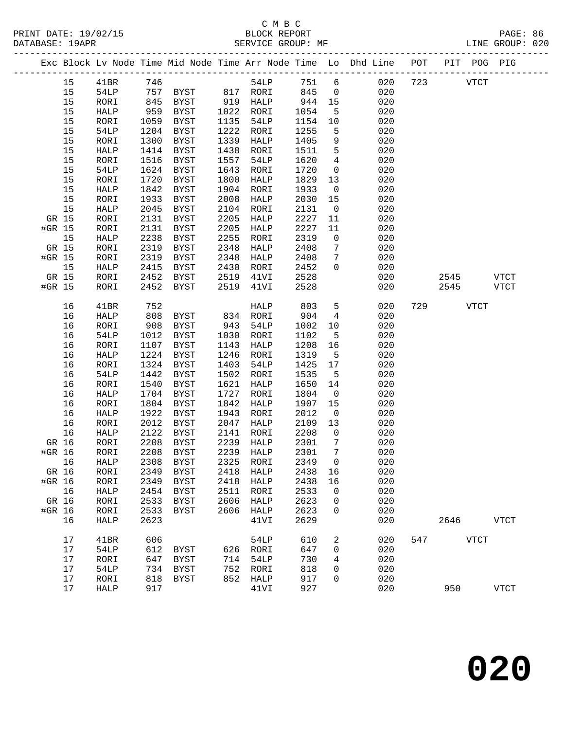| PRINT DATE: 19/02/15<br>DATABASE: 19APR |                                                                                | BLOCK REPORT<br>SERVICE GROUP: MF |  | PAGE: 86<br>LINE GROUP: 020 |  |
|-----------------------------------------|--------------------------------------------------------------------------------|-----------------------------------|--|-----------------------------|--|
|                                         | Fre Block Ly Node Time Mid Node Time Arr Node Time Lo Dhd Line DOT DIT DOC DIC |                                   |  |                             |  |

| 54LP<br>15<br>41BR<br>746<br>751<br>6<br>020<br>723<br><b>VTCT</b><br>020<br>15<br>54LP<br>757<br>817 RORI<br>845<br>0<br>BYST<br>15<br>845<br>919<br>944<br>020<br>RORI<br>BYST<br>HALP<br>15<br>959<br>15<br>BYST<br>1022<br>RORI<br>1054<br>5<br>020<br>HALP<br>15<br>RORI<br>1059<br>BYST<br>1135<br>54LP<br>1154<br>020<br>10<br>15<br>1204<br>1222<br>1255<br>020<br>54LP<br>BYST<br>RORI<br>5<br>15<br>1300<br>1339<br>1405<br>020<br>RORI<br><b>BYST</b><br>HALP<br>9<br>5<br>020<br>15<br>1414<br>BYST<br>1438<br>1511<br>HALP<br>RORI<br>15<br>1557<br>4<br>RORI<br>1516<br>BYST<br>54LP<br>1620<br>020<br>15<br>1643<br>020<br>54LP<br>1624<br><b>BYST</b><br>1720<br>0<br>RORI<br>1720<br>15<br><b>BYST</b><br>1800<br>1829<br>13<br>020<br>RORI<br>HALP<br>15<br><b>HALP</b><br>1842<br>BYST<br>1904<br>1933<br>0<br>020<br>RORI<br>15<br>RORI<br>1933<br><b>BYST</b><br>2008<br>2030<br>15<br>020<br>HALP<br>15<br>2045<br>020<br>HALP<br><b>BYST</b><br>2104<br>2131<br>$\mathsf{O}$<br>RORI<br>GR 15<br>2131<br>2205<br>2227<br>020<br>RORI<br><b>BYST</b><br>HALP<br>11<br>#GR 15<br>2131<br>2205<br>2227<br>020<br>RORI<br><b>BYST</b><br>HALP<br>11<br>2255<br>15<br>HALP<br>2238<br><b>BYST</b><br>RORI<br>2319<br>0<br>020<br>2319<br>020<br>GR 15<br>RORI<br><b>BYST</b><br>2348<br>HALP<br>2408<br>7<br>#GR 15<br>RORI<br>2319<br><b>BYST</b><br>2348<br>HALP<br>2408<br>7<br>020<br>15<br>020<br>2415<br>2430<br>2452<br>0<br>HALP<br>BYST<br>RORI<br>020<br>GR 15<br>RORI<br>2452<br>BYST<br>2519<br>41VI<br>2528<br>2545<br>2452<br>2519<br>2528<br>#GR 15<br>RORI<br>BYST<br>41VI<br>020<br>2545<br>752<br>5<br>16<br>41BR<br>HALP<br>803<br>020<br>729<br><b>VTCT</b><br>904<br>020<br>16<br>HALP<br>808<br>BYST<br>834<br>RORI<br>4<br>16<br>RORI<br>908<br><b>BYST</b><br>943<br>54LP<br>1002<br>10<br>020<br>16<br>020<br>54LP<br>1012<br>BYST<br>1030<br>RORI<br>1102<br>5<br>1107<br>1208<br>16<br>RORI<br><b>BYST</b><br>1143<br>HALP<br>16<br>020<br>1246<br>020<br>16<br>1224<br>BYST<br>RORI<br>1319<br>5<br>HALP<br>1403<br>1425<br>17<br>16<br>RORI<br>1324<br><b>BYST</b><br>54LP<br>020<br>16<br>1442<br>1502<br>1535<br>020<br>54LP<br>BYST<br>RORI<br>5<br>16<br>1621<br>1650<br>020<br>RORI<br>1540<br><b>BYST</b><br>14<br>HALP<br>1727<br>020<br>16<br>HALP<br>1704<br>BYST<br>1804<br>RORI<br>$\mathbf 0$<br>1842<br>16<br>RORI<br>1804<br><b>BYST</b><br>HALP<br>1907<br>15<br>020<br>16<br>1922<br>020<br>HALP<br><b>BYST</b><br>1943<br>2012<br>$\mathsf{O}$<br>RORI<br>16<br>RORI<br>2012<br><b>BYST</b><br>2047<br>2109<br>13<br>020<br>HALP<br>020<br>16<br>HALP<br>2122<br>BYST<br>2141<br>2208<br>0<br>RORI<br>GR 16<br>RORI<br>2208<br><b>BYST</b><br>2239<br>2301<br>7<br>020<br>HALP<br>#GR 16<br>2208<br>2239<br>020<br>RORI<br><b>BYST</b><br>2301<br>7<br>HALP<br>16<br>2308<br>2325<br>$\mathbf 0$<br>020<br>HALP<br>BYST<br>RORI<br>2349<br>2349<br>2438 16<br>GR 16<br>RORI<br>BYST<br>2418 HALP<br>020<br>2349<br>2438<br>020<br>#GR 16<br>RORI<br><b>BYST</b><br>2418<br>HALP<br>16<br>16<br>2533<br>020<br>HALP<br>2454<br>2511<br>RORI<br>BYST<br>0 | <b>VTCT</b> |  |
|-------------------------------------------------------------------------------------------------------------------------------------------------------------------------------------------------------------------------------------------------------------------------------------------------------------------------------------------------------------------------------------------------------------------------------------------------------------------------------------------------------------------------------------------------------------------------------------------------------------------------------------------------------------------------------------------------------------------------------------------------------------------------------------------------------------------------------------------------------------------------------------------------------------------------------------------------------------------------------------------------------------------------------------------------------------------------------------------------------------------------------------------------------------------------------------------------------------------------------------------------------------------------------------------------------------------------------------------------------------------------------------------------------------------------------------------------------------------------------------------------------------------------------------------------------------------------------------------------------------------------------------------------------------------------------------------------------------------------------------------------------------------------------------------------------------------------------------------------------------------------------------------------------------------------------------------------------------------------------------------------------------------------------------------------------------------------------------------------------------------------------------------------------------------------------------------------------------------------------------------------------------------------------------------------------------------------------------------------------------------------------------------------------------------------------------------------------------------------------------------------------------------------------------------------------------------------------------------------------------------------------------------------------------------------------------------------------------------------------------------------------------------------------------------------------------------------------------------------------------------------------------------------------------------------------------------------------------------------------------------------------------------------------------------------------------------------------------------------------------------------|-------------|--|
|                                                                                                                                                                                                                                                                                                                                                                                                                                                                                                                                                                                                                                                                                                                                                                                                                                                                                                                                                                                                                                                                                                                                                                                                                                                                                                                                                                                                                                                                                                                                                                                                                                                                                                                                                                                                                                                                                                                                                                                                                                                                                                                                                                                                                                                                                                                                                                                                                                                                                                                                                                                                                                                                                                                                                                                                                                                                                                                                                                                                                                                                                                                         |             |  |
|                                                                                                                                                                                                                                                                                                                                                                                                                                                                                                                                                                                                                                                                                                                                                                                                                                                                                                                                                                                                                                                                                                                                                                                                                                                                                                                                                                                                                                                                                                                                                                                                                                                                                                                                                                                                                                                                                                                                                                                                                                                                                                                                                                                                                                                                                                                                                                                                                                                                                                                                                                                                                                                                                                                                                                                                                                                                                                                                                                                                                                                                                                                         |             |  |
|                                                                                                                                                                                                                                                                                                                                                                                                                                                                                                                                                                                                                                                                                                                                                                                                                                                                                                                                                                                                                                                                                                                                                                                                                                                                                                                                                                                                                                                                                                                                                                                                                                                                                                                                                                                                                                                                                                                                                                                                                                                                                                                                                                                                                                                                                                                                                                                                                                                                                                                                                                                                                                                                                                                                                                                                                                                                                                                                                                                                                                                                                                                         |             |  |
|                                                                                                                                                                                                                                                                                                                                                                                                                                                                                                                                                                                                                                                                                                                                                                                                                                                                                                                                                                                                                                                                                                                                                                                                                                                                                                                                                                                                                                                                                                                                                                                                                                                                                                                                                                                                                                                                                                                                                                                                                                                                                                                                                                                                                                                                                                                                                                                                                                                                                                                                                                                                                                                                                                                                                                                                                                                                                                                                                                                                                                                                                                                         |             |  |
|                                                                                                                                                                                                                                                                                                                                                                                                                                                                                                                                                                                                                                                                                                                                                                                                                                                                                                                                                                                                                                                                                                                                                                                                                                                                                                                                                                                                                                                                                                                                                                                                                                                                                                                                                                                                                                                                                                                                                                                                                                                                                                                                                                                                                                                                                                                                                                                                                                                                                                                                                                                                                                                                                                                                                                                                                                                                                                                                                                                                                                                                                                                         |             |  |
|                                                                                                                                                                                                                                                                                                                                                                                                                                                                                                                                                                                                                                                                                                                                                                                                                                                                                                                                                                                                                                                                                                                                                                                                                                                                                                                                                                                                                                                                                                                                                                                                                                                                                                                                                                                                                                                                                                                                                                                                                                                                                                                                                                                                                                                                                                                                                                                                                                                                                                                                                                                                                                                                                                                                                                                                                                                                                                                                                                                                                                                                                                                         |             |  |
|                                                                                                                                                                                                                                                                                                                                                                                                                                                                                                                                                                                                                                                                                                                                                                                                                                                                                                                                                                                                                                                                                                                                                                                                                                                                                                                                                                                                                                                                                                                                                                                                                                                                                                                                                                                                                                                                                                                                                                                                                                                                                                                                                                                                                                                                                                                                                                                                                                                                                                                                                                                                                                                                                                                                                                                                                                                                                                                                                                                                                                                                                                                         |             |  |
|                                                                                                                                                                                                                                                                                                                                                                                                                                                                                                                                                                                                                                                                                                                                                                                                                                                                                                                                                                                                                                                                                                                                                                                                                                                                                                                                                                                                                                                                                                                                                                                                                                                                                                                                                                                                                                                                                                                                                                                                                                                                                                                                                                                                                                                                                                                                                                                                                                                                                                                                                                                                                                                                                                                                                                                                                                                                                                                                                                                                                                                                                                                         |             |  |
|                                                                                                                                                                                                                                                                                                                                                                                                                                                                                                                                                                                                                                                                                                                                                                                                                                                                                                                                                                                                                                                                                                                                                                                                                                                                                                                                                                                                                                                                                                                                                                                                                                                                                                                                                                                                                                                                                                                                                                                                                                                                                                                                                                                                                                                                                                                                                                                                                                                                                                                                                                                                                                                                                                                                                                                                                                                                                                                                                                                                                                                                                                                         |             |  |
|                                                                                                                                                                                                                                                                                                                                                                                                                                                                                                                                                                                                                                                                                                                                                                                                                                                                                                                                                                                                                                                                                                                                                                                                                                                                                                                                                                                                                                                                                                                                                                                                                                                                                                                                                                                                                                                                                                                                                                                                                                                                                                                                                                                                                                                                                                                                                                                                                                                                                                                                                                                                                                                                                                                                                                                                                                                                                                                                                                                                                                                                                                                         |             |  |
|                                                                                                                                                                                                                                                                                                                                                                                                                                                                                                                                                                                                                                                                                                                                                                                                                                                                                                                                                                                                                                                                                                                                                                                                                                                                                                                                                                                                                                                                                                                                                                                                                                                                                                                                                                                                                                                                                                                                                                                                                                                                                                                                                                                                                                                                                                                                                                                                                                                                                                                                                                                                                                                                                                                                                                                                                                                                                                                                                                                                                                                                                                                         |             |  |
|                                                                                                                                                                                                                                                                                                                                                                                                                                                                                                                                                                                                                                                                                                                                                                                                                                                                                                                                                                                                                                                                                                                                                                                                                                                                                                                                                                                                                                                                                                                                                                                                                                                                                                                                                                                                                                                                                                                                                                                                                                                                                                                                                                                                                                                                                                                                                                                                                                                                                                                                                                                                                                                                                                                                                                                                                                                                                                                                                                                                                                                                                                                         |             |  |
|                                                                                                                                                                                                                                                                                                                                                                                                                                                                                                                                                                                                                                                                                                                                                                                                                                                                                                                                                                                                                                                                                                                                                                                                                                                                                                                                                                                                                                                                                                                                                                                                                                                                                                                                                                                                                                                                                                                                                                                                                                                                                                                                                                                                                                                                                                                                                                                                                                                                                                                                                                                                                                                                                                                                                                                                                                                                                                                                                                                                                                                                                                                         |             |  |
|                                                                                                                                                                                                                                                                                                                                                                                                                                                                                                                                                                                                                                                                                                                                                                                                                                                                                                                                                                                                                                                                                                                                                                                                                                                                                                                                                                                                                                                                                                                                                                                                                                                                                                                                                                                                                                                                                                                                                                                                                                                                                                                                                                                                                                                                                                                                                                                                                                                                                                                                                                                                                                                                                                                                                                                                                                                                                                                                                                                                                                                                                                                         |             |  |
|                                                                                                                                                                                                                                                                                                                                                                                                                                                                                                                                                                                                                                                                                                                                                                                                                                                                                                                                                                                                                                                                                                                                                                                                                                                                                                                                                                                                                                                                                                                                                                                                                                                                                                                                                                                                                                                                                                                                                                                                                                                                                                                                                                                                                                                                                                                                                                                                                                                                                                                                                                                                                                                                                                                                                                                                                                                                                                                                                                                                                                                                                                                         |             |  |
|                                                                                                                                                                                                                                                                                                                                                                                                                                                                                                                                                                                                                                                                                                                                                                                                                                                                                                                                                                                                                                                                                                                                                                                                                                                                                                                                                                                                                                                                                                                                                                                                                                                                                                                                                                                                                                                                                                                                                                                                                                                                                                                                                                                                                                                                                                                                                                                                                                                                                                                                                                                                                                                                                                                                                                                                                                                                                                                                                                                                                                                                                                                         |             |  |
|                                                                                                                                                                                                                                                                                                                                                                                                                                                                                                                                                                                                                                                                                                                                                                                                                                                                                                                                                                                                                                                                                                                                                                                                                                                                                                                                                                                                                                                                                                                                                                                                                                                                                                                                                                                                                                                                                                                                                                                                                                                                                                                                                                                                                                                                                                                                                                                                                                                                                                                                                                                                                                                                                                                                                                                                                                                                                                                                                                                                                                                                                                                         |             |  |
|                                                                                                                                                                                                                                                                                                                                                                                                                                                                                                                                                                                                                                                                                                                                                                                                                                                                                                                                                                                                                                                                                                                                                                                                                                                                                                                                                                                                                                                                                                                                                                                                                                                                                                                                                                                                                                                                                                                                                                                                                                                                                                                                                                                                                                                                                                                                                                                                                                                                                                                                                                                                                                                                                                                                                                                                                                                                                                                                                                                                                                                                                                                         |             |  |
|                                                                                                                                                                                                                                                                                                                                                                                                                                                                                                                                                                                                                                                                                                                                                                                                                                                                                                                                                                                                                                                                                                                                                                                                                                                                                                                                                                                                                                                                                                                                                                                                                                                                                                                                                                                                                                                                                                                                                                                                                                                                                                                                                                                                                                                                                                                                                                                                                                                                                                                                                                                                                                                                                                                                                                                                                                                                                                                                                                                                                                                                                                                         |             |  |
|                                                                                                                                                                                                                                                                                                                                                                                                                                                                                                                                                                                                                                                                                                                                                                                                                                                                                                                                                                                                                                                                                                                                                                                                                                                                                                                                                                                                                                                                                                                                                                                                                                                                                                                                                                                                                                                                                                                                                                                                                                                                                                                                                                                                                                                                                                                                                                                                                                                                                                                                                                                                                                                                                                                                                                                                                                                                                                                                                                                                                                                                                                                         |             |  |
|                                                                                                                                                                                                                                                                                                                                                                                                                                                                                                                                                                                                                                                                                                                                                                                                                                                                                                                                                                                                                                                                                                                                                                                                                                                                                                                                                                                                                                                                                                                                                                                                                                                                                                                                                                                                                                                                                                                                                                                                                                                                                                                                                                                                                                                                                                                                                                                                                                                                                                                                                                                                                                                                                                                                                                                                                                                                                                                                                                                                                                                                                                                         |             |  |
|                                                                                                                                                                                                                                                                                                                                                                                                                                                                                                                                                                                                                                                                                                                                                                                                                                                                                                                                                                                                                                                                                                                                                                                                                                                                                                                                                                                                                                                                                                                                                                                                                                                                                                                                                                                                                                                                                                                                                                                                                                                                                                                                                                                                                                                                                                                                                                                                                                                                                                                                                                                                                                                                                                                                                                                                                                                                                                                                                                                                                                                                                                                         | <b>VTCT</b> |  |
|                                                                                                                                                                                                                                                                                                                                                                                                                                                                                                                                                                                                                                                                                                                                                                                                                                                                                                                                                                                                                                                                                                                                                                                                                                                                                                                                                                                                                                                                                                                                                                                                                                                                                                                                                                                                                                                                                                                                                                                                                                                                                                                                                                                                                                                                                                                                                                                                                                                                                                                                                                                                                                                                                                                                                                                                                                                                                                                                                                                                                                                                                                                         |             |  |
|                                                                                                                                                                                                                                                                                                                                                                                                                                                                                                                                                                                                                                                                                                                                                                                                                                                                                                                                                                                                                                                                                                                                                                                                                                                                                                                                                                                                                                                                                                                                                                                                                                                                                                                                                                                                                                                                                                                                                                                                                                                                                                                                                                                                                                                                                                                                                                                                                                                                                                                                                                                                                                                                                                                                                                                                                                                                                                                                                                                                                                                                                                                         |             |  |
|                                                                                                                                                                                                                                                                                                                                                                                                                                                                                                                                                                                                                                                                                                                                                                                                                                                                                                                                                                                                                                                                                                                                                                                                                                                                                                                                                                                                                                                                                                                                                                                                                                                                                                                                                                                                                                                                                                                                                                                                                                                                                                                                                                                                                                                                                                                                                                                                                                                                                                                                                                                                                                                                                                                                                                                                                                                                                                                                                                                                                                                                                                                         |             |  |
|                                                                                                                                                                                                                                                                                                                                                                                                                                                                                                                                                                                                                                                                                                                                                                                                                                                                                                                                                                                                                                                                                                                                                                                                                                                                                                                                                                                                                                                                                                                                                                                                                                                                                                                                                                                                                                                                                                                                                                                                                                                                                                                                                                                                                                                                                                                                                                                                                                                                                                                                                                                                                                                                                                                                                                                                                                                                                                                                                                                                                                                                                                                         |             |  |
|                                                                                                                                                                                                                                                                                                                                                                                                                                                                                                                                                                                                                                                                                                                                                                                                                                                                                                                                                                                                                                                                                                                                                                                                                                                                                                                                                                                                                                                                                                                                                                                                                                                                                                                                                                                                                                                                                                                                                                                                                                                                                                                                                                                                                                                                                                                                                                                                                                                                                                                                                                                                                                                                                                                                                                                                                                                                                                                                                                                                                                                                                                                         |             |  |
|                                                                                                                                                                                                                                                                                                                                                                                                                                                                                                                                                                                                                                                                                                                                                                                                                                                                                                                                                                                                                                                                                                                                                                                                                                                                                                                                                                                                                                                                                                                                                                                                                                                                                                                                                                                                                                                                                                                                                                                                                                                                                                                                                                                                                                                                                                                                                                                                                                                                                                                                                                                                                                                                                                                                                                                                                                                                                                                                                                                                                                                                                                                         |             |  |
|                                                                                                                                                                                                                                                                                                                                                                                                                                                                                                                                                                                                                                                                                                                                                                                                                                                                                                                                                                                                                                                                                                                                                                                                                                                                                                                                                                                                                                                                                                                                                                                                                                                                                                                                                                                                                                                                                                                                                                                                                                                                                                                                                                                                                                                                                                                                                                                                                                                                                                                                                                                                                                                                                                                                                                                                                                                                                                                                                                                                                                                                                                                         |             |  |
|                                                                                                                                                                                                                                                                                                                                                                                                                                                                                                                                                                                                                                                                                                                                                                                                                                                                                                                                                                                                                                                                                                                                                                                                                                                                                                                                                                                                                                                                                                                                                                                                                                                                                                                                                                                                                                                                                                                                                                                                                                                                                                                                                                                                                                                                                                                                                                                                                                                                                                                                                                                                                                                                                                                                                                                                                                                                                                                                                                                                                                                                                                                         |             |  |
|                                                                                                                                                                                                                                                                                                                                                                                                                                                                                                                                                                                                                                                                                                                                                                                                                                                                                                                                                                                                                                                                                                                                                                                                                                                                                                                                                                                                                                                                                                                                                                                                                                                                                                                                                                                                                                                                                                                                                                                                                                                                                                                                                                                                                                                                                                                                                                                                                                                                                                                                                                                                                                                                                                                                                                                                                                                                                                                                                                                                                                                                                                                         |             |  |
|                                                                                                                                                                                                                                                                                                                                                                                                                                                                                                                                                                                                                                                                                                                                                                                                                                                                                                                                                                                                                                                                                                                                                                                                                                                                                                                                                                                                                                                                                                                                                                                                                                                                                                                                                                                                                                                                                                                                                                                                                                                                                                                                                                                                                                                                                                                                                                                                                                                                                                                                                                                                                                                                                                                                                                                                                                                                                                                                                                                                                                                                                                                         |             |  |
|                                                                                                                                                                                                                                                                                                                                                                                                                                                                                                                                                                                                                                                                                                                                                                                                                                                                                                                                                                                                                                                                                                                                                                                                                                                                                                                                                                                                                                                                                                                                                                                                                                                                                                                                                                                                                                                                                                                                                                                                                                                                                                                                                                                                                                                                                                                                                                                                                                                                                                                                                                                                                                                                                                                                                                                                                                                                                                                                                                                                                                                                                                                         |             |  |
|                                                                                                                                                                                                                                                                                                                                                                                                                                                                                                                                                                                                                                                                                                                                                                                                                                                                                                                                                                                                                                                                                                                                                                                                                                                                                                                                                                                                                                                                                                                                                                                                                                                                                                                                                                                                                                                                                                                                                                                                                                                                                                                                                                                                                                                                                                                                                                                                                                                                                                                                                                                                                                                                                                                                                                                                                                                                                                                                                                                                                                                                                                                         |             |  |
|                                                                                                                                                                                                                                                                                                                                                                                                                                                                                                                                                                                                                                                                                                                                                                                                                                                                                                                                                                                                                                                                                                                                                                                                                                                                                                                                                                                                                                                                                                                                                                                                                                                                                                                                                                                                                                                                                                                                                                                                                                                                                                                                                                                                                                                                                                                                                                                                                                                                                                                                                                                                                                                                                                                                                                                                                                                                                                                                                                                                                                                                                                                         |             |  |
|                                                                                                                                                                                                                                                                                                                                                                                                                                                                                                                                                                                                                                                                                                                                                                                                                                                                                                                                                                                                                                                                                                                                                                                                                                                                                                                                                                                                                                                                                                                                                                                                                                                                                                                                                                                                                                                                                                                                                                                                                                                                                                                                                                                                                                                                                                                                                                                                                                                                                                                                                                                                                                                                                                                                                                                                                                                                                                                                                                                                                                                                                                                         |             |  |
|                                                                                                                                                                                                                                                                                                                                                                                                                                                                                                                                                                                                                                                                                                                                                                                                                                                                                                                                                                                                                                                                                                                                                                                                                                                                                                                                                                                                                                                                                                                                                                                                                                                                                                                                                                                                                                                                                                                                                                                                                                                                                                                                                                                                                                                                                                                                                                                                                                                                                                                                                                                                                                                                                                                                                                                                                                                                                                                                                                                                                                                                                                                         |             |  |
|                                                                                                                                                                                                                                                                                                                                                                                                                                                                                                                                                                                                                                                                                                                                                                                                                                                                                                                                                                                                                                                                                                                                                                                                                                                                                                                                                                                                                                                                                                                                                                                                                                                                                                                                                                                                                                                                                                                                                                                                                                                                                                                                                                                                                                                                                                                                                                                                                                                                                                                                                                                                                                                                                                                                                                                                                                                                                                                                                                                                                                                                                                                         |             |  |
|                                                                                                                                                                                                                                                                                                                                                                                                                                                                                                                                                                                                                                                                                                                                                                                                                                                                                                                                                                                                                                                                                                                                                                                                                                                                                                                                                                                                                                                                                                                                                                                                                                                                                                                                                                                                                                                                                                                                                                                                                                                                                                                                                                                                                                                                                                                                                                                                                                                                                                                                                                                                                                                                                                                                                                                                                                                                                                                                                                                                                                                                                                                         |             |  |
|                                                                                                                                                                                                                                                                                                                                                                                                                                                                                                                                                                                                                                                                                                                                                                                                                                                                                                                                                                                                                                                                                                                                                                                                                                                                                                                                                                                                                                                                                                                                                                                                                                                                                                                                                                                                                                                                                                                                                                                                                                                                                                                                                                                                                                                                                                                                                                                                                                                                                                                                                                                                                                                                                                                                                                                                                                                                                                                                                                                                                                                                                                                         |             |  |
|                                                                                                                                                                                                                                                                                                                                                                                                                                                                                                                                                                                                                                                                                                                                                                                                                                                                                                                                                                                                                                                                                                                                                                                                                                                                                                                                                                                                                                                                                                                                                                                                                                                                                                                                                                                                                                                                                                                                                                                                                                                                                                                                                                                                                                                                                                                                                                                                                                                                                                                                                                                                                                                                                                                                                                                                                                                                                                                                                                                                                                                                                                                         |             |  |
|                                                                                                                                                                                                                                                                                                                                                                                                                                                                                                                                                                                                                                                                                                                                                                                                                                                                                                                                                                                                                                                                                                                                                                                                                                                                                                                                                                                                                                                                                                                                                                                                                                                                                                                                                                                                                                                                                                                                                                                                                                                                                                                                                                                                                                                                                                                                                                                                                                                                                                                                                                                                                                                                                                                                                                                                                                                                                                                                                                                                                                                                                                                         |             |  |
|                                                                                                                                                                                                                                                                                                                                                                                                                                                                                                                                                                                                                                                                                                                                                                                                                                                                                                                                                                                                                                                                                                                                                                                                                                                                                                                                                                                                                                                                                                                                                                                                                                                                                                                                                                                                                                                                                                                                                                                                                                                                                                                                                                                                                                                                                                                                                                                                                                                                                                                                                                                                                                                                                                                                                                                                                                                                                                                                                                                                                                                                                                                         |             |  |
| GR 16<br>2533<br>2606<br>2623<br>020<br>RORI<br>BYST<br>HALP<br>0                                                                                                                                                                                                                                                                                                                                                                                                                                                                                                                                                                                                                                                                                                                                                                                                                                                                                                                                                                                                                                                                                                                                                                                                                                                                                                                                                                                                                                                                                                                                                                                                                                                                                                                                                                                                                                                                                                                                                                                                                                                                                                                                                                                                                                                                                                                                                                                                                                                                                                                                                                                                                                                                                                                                                                                                                                                                                                                                                                                                                                                       |             |  |
| 2606<br>020<br>#GR 16<br>RORI<br>2533<br>HALP<br>2623<br>BYST<br>0                                                                                                                                                                                                                                                                                                                                                                                                                                                                                                                                                                                                                                                                                                                                                                                                                                                                                                                                                                                                                                                                                                                                                                                                                                                                                                                                                                                                                                                                                                                                                                                                                                                                                                                                                                                                                                                                                                                                                                                                                                                                                                                                                                                                                                                                                                                                                                                                                                                                                                                                                                                                                                                                                                                                                                                                                                                                                                                                                                                                                                                      |             |  |
| 2623<br>2629<br>020<br>2646<br>16<br>HALP<br>41VI                                                                                                                                                                                                                                                                                                                                                                                                                                                                                                                                                                                                                                                                                                                                                                                                                                                                                                                                                                                                                                                                                                                                                                                                                                                                                                                                                                                                                                                                                                                                                                                                                                                                                                                                                                                                                                                                                                                                                                                                                                                                                                                                                                                                                                                                                                                                                                                                                                                                                                                                                                                                                                                                                                                                                                                                                                                                                                                                                                                                                                                                       |             |  |
| 17<br>610<br><b>VTCT</b><br>41BR<br>606<br>54LP<br>2<br>020<br>547                                                                                                                                                                                                                                                                                                                                                                                                                                                                                                                                                                                                                                                                                                                                                                                                                                                                                                                                                                                                                                                                                                                                                                                                                                                                                                                                                                                                                                                                                                                                                                                                                                                                                                                                                                                                                                                                                                                                                                                                                                                                                                                                                                                                                                                                                                                                                                                                                                                                                                                                                                                                                                                                                                                                                                                                                                                                                                                                                                                                                                                      | <b>VTCT</b> |  |
| 17<br>54LP<br>612<br>647<br>BYST<br>626 RORI<br>0<br>020                                                                                                                                                                                                                                                                                                                                                                                                                                                                                                                                                                                                                                                                                                                                                                                                                                                                                                                                                                                                                                                                                                                                                                                                                                                                                                                                                                                                                                                                                                                                                                                                                                                                                                                                                                                                                                                                                                                                                                                                                                                                                                                                                                                                                                                                                                                                                                                                                                                                                                                                                                                                                                                                                                                                                                                                                                                                                                                                                                                                                                                                |             |  |
| 17<br>714<br>730<br>020<br>647<br>BYST<br>54LP<br>RORI<br>4                                                                                                                                                                                                                                                                                                                                                                                                                                                                                                                                                                                                                                                                                                                                                                                                                                                                                                                                                                                                                                                                                                                                                                                                                                                                                                                                                                                                                                                                                                                                                                                                                                                                                                                                                                                                                                                                                                                                                                                                                                                                                                                                                                                                                                                                                                                                                                                                                                                                                                                                                                                                                                                                                                                                                                                                                                                                                                                                                                                                                                                             |             |  |
| 734<br>752<br>818<br>020<br>17<br>54LP<br>BYST<br>RORI<br>0                                                                                                                                                                                                                                                                                                                                                                                                                                                                                                                                                                                                                                                                                                                                                                                                                                                                                                                                                                                                                                                                                                                                                                                                                                                                                                                                                                                                                                                                                                                                                                                                                                                                                                                                                                                                                                                                                                                                                                                                                                                                                                                                                                                                                                                                                                                                                                                                                                                                                                                                                                                                                                                                                                                                                                                                                                                                                                                                                                                                                                                             |             |  |
| 17<br>818<br>852<br>917<br>020<br>RORI<br>HALP<br>BYST<br>0                                                                                                                                                                                                                                                                                                                                                                                                                                                                                                                                                                                                                                                                                                                                                                                                                                                                                                                                                                                                                                                                                                                                                                                                                                                                                                                                                                                                                                                                                                                                                                                                                                                                                                                                                                                                                                                                                                                                                                                                                                                                                                                                                                                                                                                                                                                                                                                                                                                                                                                                                                                                                                                                                                                                                                                                                                                                                                                                                                                                                                                             |             |  |
| 17<br>917<br>41VI<br>927<br>020<br>950<br><b>VTCT</b><br>HALP                                                                                                                                                                                                                                                                                                                                                                                                                                                                                                                                                                                                                                                                                                                                                                                                                                                                                                                                                                                                                                                                                                                                                                                                                                                                                                                                                                                                                                                                                                                                                                                                                                                                                                                                                                                                                                                                                                                                                                                                                                                                                                                                                                                                                                                                                                                                                                                                                                                                                                                                                                                                                                                                                                                                                                                                                                                                                                                                                                                                                                                           |             |  |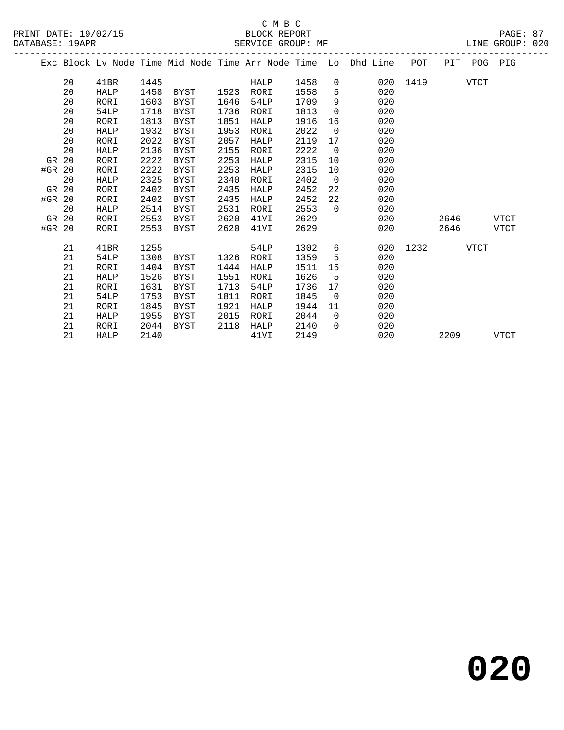|        |    |             |      |           |      |      |      |                | Exc Block Lv Node Time Mid Node Time Arr Node Time Lo Dhd Line | POT      |             | PIT POG PIG |             |
|--------|----|-------------|------|-----------|------|------|------|----------------|----------------------------------------------------------------|----------|-------------|-------------|-------------|
|        | 20 | 41BR        | 1445 |           |      | HALP | 1458 | $\overline{0}$ |                                                                | 020 1419 |             | VTCT        |             |
|        | 20 | HALP        | 1458 | BYST 1523 |      | RORI | 1558 | 5              | 020                                                            |          |             |             |             |
|        | 20 | RORI        | 1603 | BYST      | 1646 | 54LP | 1709 | 9              | 020                                                            |          |             |             |             |
|        | 20 | 54LP        | 1718 | BYST      | 1736 | RORI | 1813 | $\Omega$       | 020                                                            |          |             |             |             |
|        | 20 | RORI        | 1813 | BYST      | 1851 | HALP | 1916 | 16             | 020                                                            |          |             |             |             |
|        | 20 | HALP        | 1932 | BYST      | 1953 | RORI | 2022 | $\mathbf 0$    | 020                                                            |          |             |             |             |
|        | 20 | RORI        | 2022 | BYST      | 2057 | HALP | 2119 | 17             | 020                                                            |          |             |             |             |
|        | 20 | HALP        | 2136 | BYST      | 2155 | RORI | 2222 | $\overline{0}$ | 020                                                            |          |             |             |             |
| GR 20  |    | RORI        | 2222 | BYST      | 2253 | HALP | 2315 | 10             | 020                                                            |          |             |             |             |
| #GR 20 |    | RORI        | 2222 | BYST      | 2253 | HALP | 2315 | 10             | 020                                                            |          |             |             |             |
|        | 20 | HALP        | 2325 | BYST      | 2340 | RORI | 2402 | $\overline{0}$ | 020                                                            |          |             |             |             |
| GR 20  |    | RORI        | 2402 | BYST      | 2435 | HALP | 2452 | 22             | 020                                                            |          |             |             |             |
| #GR 20 |    | RORI        | 2402 | BYST      | 2435 | HALP | 2452 | 22             | 020                                                            |          |             |             |             |
|        | 20 | HALP        | 2514 | BYST      | 2531 | RORI | 2553 | $\Omega$       | 020                                                            |          |             |             |             |
| GR 20  |    | RORI        | 2553 | BYST      | 2620 | 41VI | 2629 |                | 020                                                            |          | 2646        |             | <b>VTCT</b> |
| #GR 20 |    | RORI        | 2553 | BYST      | 2620 | 41VI | 2629 |                | 020                                                            |          | 2646        |             | VTCT        |
|        | 21 | 41BR        | 1255 |           |      | 54LP | 1302 | 6              | 020                                                            | 1232     | <b>VTCT</b> |             |             |
|        | 21 | 54LP        | 1308 | BYST      | 1326 | RORI | 1359 | 5              | 020                                                            |          |             |             |             |
|        | 21 | RORI        | 1404 | BYST      | 1444 | HALP | 1511 | 15             | 020                                                            |          |             |             |             |
|        | 21 | <b>HALP</b> | 1526 | BYST      | 1551 | RORI | 1626 | - 5            | 020                                                            |          |             |             |             |
|        | 21 | RORI        | 1631 | BYST      | 1713 | 54LP | 1736 | 17             | 020                                                            |          |             |             |             |
|        | 21 | 54LP        | 1753 | BYST      | 1811 | RORI | 1845 | $\overline{0}$ | 020                                                            |          |             |             |             |
|        | 21 | RORI        | 1845 | BYST      | 1921 | HALP | 1944 | 11             | 020                                                            |          |             |             |             |
|        | 21 | HALP        | 1955 | BYST      | 2015 | RORI | 2044 | $\Omega$       | 020                                                            |          |             |             |             |
|        | 21 | RORI        | 2044 | BYST      | 2118 | HALP | 2140 | $\Omega$       | 020                                                            |          |             |             |             |
|        | 21 | HALP        | 2140 |           |      | 41VI | 2149 |                | 020                                                            |          | 2209        |             | <b>VTCT</b> |
|        |    |             |      |           |      |      |      |                |                                                                |          |             |             |             |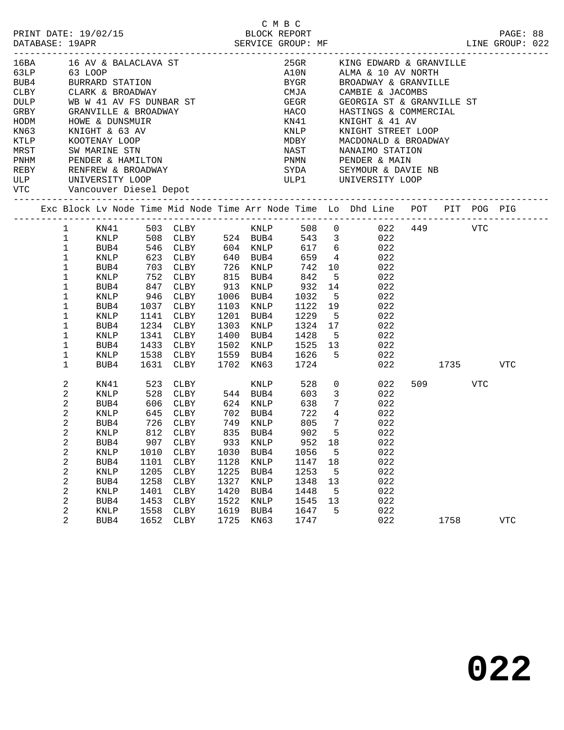| PRINT DATE: 19/02/15<br>DATABASE: 19APR                                           |                  |                 |      | ELOCK REPORT BLOCK REPORT SERVICE GROUP: MF                                                    |      |             | C M B C<br>BLOCK REPORT |                 |   |                                                                                      |          |        |     | PAGE: 88<br>LINE GROUP: 022 |  |
|-----------------------------------------------------------------------------------|------------------|-----------------|------|------------------------------------------------------------------------------------------------|------|-------------|-------------------------|-----------------|---|--------------------------------------------------------------------------------------|----------|--------|-----|-----------------------------|--|
| 16BA 16 AV & BALACLAVA ST<br>63LP 63 LOOP                                         |                  |                 |      |                                                                                                |      |             |                         |                 |   | 25GR KING EDWARD & GRANVILLE<br>A10N ALMA & 10 AV NORTH<br>BYGR BROADWAY & GRANVILLE |          |        |     |                             |  |
|                                                                                   |                  |                 |      |                                                                                                |      |             |                         |                 |   |                                                                                      |          |        |     |                             |  |
| EUBA<br>BUBA BURRARD STATION<br>CLBY CLARK & BROADWAY                             |                  |                 |      |                                                                                                |      |             |                         |                 |   |                                                                                      |          |        |     |                             |  |
|                                                                                   |                  |                 |      |                                                                                                |      |             |                         |                 |   | CMJA CAMBIE & JACOMBS                                                                |          |        |     |                             |  |
| DULP WB W 41 AV FS DUNBAR ST<br>GRBY GRANVILLE & BROADWAY<br>HODM HOWE & DUNSMUIR |                  |                 |      |                                                                                                |      |             |                         |                 |   | GEGR GEORGIA ST & GRANVILLE ST<br>HACO HASTINGS & COMMERCIAL<br>KN41 KNIGHT & 41 AV  |          |        |     |                             |  |
|                                                                                   |                  |                 |      |                                                                                                |      |             |                         |                 |   |                                                                                      |          |        |     |                             |  |
|                                                                                   |                  |                 |      |                                                                                                |      |             |                         |                 |   |                                                                                      |          |        |     |                             |  |
| KN63                                                                              |                  | KNIGHT & 63 AV  |      |                                                                                                |      |             |                         |                 |   | KNLP KNIGHT STREET LOOP                                                              |          |        |     |                             |  |
|                                                                                   |                  |                 |      |                                                                                                |      |             |                         |                 |   |                                                                                      |          |        |     |                             |  |
|                                                                                   |                  |                 |      |                                                                                                |      |             |                         |                 |   |                                                                                      |          |        |     |                             |  |
|                                                                                   |                  |                 |      |                                                                                                |      |             |                         |                 |   |                                                                                      |          |        |     |                             |  |
| REBY RENFREW & BROADWAY                                                           |                  |                 |      |                                                                                                |      |             |                         |                 |   | SYDA SEYMOUR & DAVIE NB                                                              |          |        |     |                             |  |
| ULP UNIVERSITY LOOP<br>VTC Vancouver Diesel Depot                                 |                  |                 |      |                                                                                                |      |             |                         |                 |   | ULP1 UNIVERSITY LOOP                                                                 |          |        |     |                             |  |
|                                                                                   |                  |                 |      |                                                                                                |      |             |                         |                 |   | Exc Block Lv Node Time Mid Node Time Arr Node Time Lo Dhd Line POT PIT POG PIG       |          |        |     |                             |  |
|                                                                                   | $\mathbf{1}$     |                 |      |                                                                                                |      |             |                         |                 |   |                                                                                      |          |        |     |                             |  |
|                                                                                   | $\mathbf{1}$     |                 |      |                                                                                                |      |             |                         |                 |   |                                                                                      |          |        |     |                             |  |
|                                                                                   | $\mathbf 1$      |                 |      |                                                                                                |      |             |                         |                 |   |                                                                                      |          |        |     |                             |  |
|                                                                                   | $\mathbf 1$      | KNLP            |      | 623 CLBY 640 BUB4                                                                              |      |             |                         |                 |   | 659 4 022                                                                            |          |        |     |                             |  |
|                                                                                   | $\mathbf{1}$     | BUB4            |      |                                                                                                |      |             |                         |                 |   |                                                                                      |          |        |     |                             |  |
|                                                                                   | $\mathbf 1$      | KNLP            |      |                                                                                                |      |             |                         |                 |   |                                                                                      |          |        |     |                             |  |
|                                                                                   | 1                | BUB4            |      | 193 CLBY 126 KNLP 142 10 1622<br>1947 CLBY 13 RUB4 1642 5 222<br>1947 CLBY 13 KNLP 1622 14 222 |      |             |                         |                 |   |                                                                                      |          |        |     |                             |  |
|                                                                                   | 1                | KNLP            |      | 946 CLBY 1006 BUB4                                                                             |      |             |                         |                 |   | 1032 5 022                                                                           |          |        |     |                             |  |
|                                                                                   | 1                | BUB4            |      | 1037 CLBY<br>1141 CLBY                                                                         |      |             |                         |                 |   |                                                                                      |          |        |     |                             |  |
|                                                                                   | 1                | KNLP            |      | 1141 CLBY                                                                                      |      | 1201 BUB4   |                         |                 |   | 1103 KNLP 1122 19 022<br>1201 BUB4 1229 5 022                                        |          |        |     |                             |  |
|                                                                                   | 1                | BUB4            |      | 1234 CLBY                                                                                      |      |             |                         |                 |   | 1303 KNLP 1324 17 022                                                                |          |        |     |                             |  |
|                                                                                   | $\mathbf 1$      | KNLP            |      | 1341 CLBY                                                                                      |      |             |                         |                 |   | 1400 BUB4 1428 5 022                                                                 |          |        |     |                             |  |
|                                                                                   | 1                | BUB4            |      | 1433 CLBY                                                                                      |      |             |                         |                 |   | 1502 KNLP 1525 13 022<br>1559 BUB4 1626 5 022                                        |          |        |     |                             |  |
|                                                                                   | 1                | KNLP            |      | 1538 CLBY                                                                                      |      |             |                         |                 |   | 022                                                                                  |          |        |     |                             |  |
|                                                                                   | 1                | BUB4            |      | 1631 CLBY                                                                                      |      |             | 1702 KN63 1724          |                 |   | 022                                                                                  | 1735 VTC |        |     |                             |  |
|                                                                                   | 2                | KN41            |      |                                                                                                |      |             | KNLP 528                |                 |   | $\begin{array}{ccc} 0 & \quad & 022 \\ 3 & \quad & 022 \end{array}$                  |          | 509 30 | VTC |                             |  |
|                                                                                   | $\boldsymbol{2}$ | KNLP            |      |                                                                                                |      |             | 603                     |                 |   |                                                                                      |          |        |     |                             |  |
|                                                                                   | $\overline{c}$   | BUB4            |      |                                                                                                |      |             | 638                     |                 |   | $\frac{3}{7}$ 022                                                                    |          |        |     |                             |  |
|                                                                                   | 2                | KNLP            |      | 645 CLBY                                                                                       |      | 702 BUB4    |                         | 722 4           |   | 022                                                                                  |          |        |     |                             |  |
|                                                                                   | 2                | BUB4            |      | 726 CLBY                                                                                       |      | 749 KNLP    | 805                     | $7\overline{ }$ |   | 022                                                                                  |          |        |     |                             |  |
|                                                                                   | $\sqrt{2}$       |                 |      | KNLP 812 CLBY 835 BUB4 902 5                                                                   |      |             |                         |                 |   | 022                                                                                  |          |        |     |                             |  |
|                                                                                   | 2                | BUB4            | 907  | CLBY                                                                                           | 933  | <b>KNLP</b> | 952                     | 18              |   | 022                                                                                  |          |        |     |                             |  |
|                                                                                   | $\sqrt{2}$       | KNLP            | 1010 | CLBY                                                                                           | 1030 | BUB4        | 1056                    |                 | 5 | 022                                                                                  |          |        |     |                             |  |
|                                                                                   | $\sqrt{2}$       | BUB4            | 1101 | CLBY                                                                                           | 1128 | KNLP        | 1147                    | 18              |   | 022                                                                                  |          |        |     |                             |  |
|                                                                                   | $\sqrt{2}$       | KNLP            | 1205 | CLBY                                                                                           | 1225 | BUB4        | 1253                    |                 | 5 | 022                                                                                  |          |        |     |                             |  |
|                                                                                   | $\sqrt{2}$       | BUB4            | 1258 | ${\tt CLBY}$                                                                                   | 1327 | KNLP        | 1348                    | 13              |   | 022                                                                                  |          |        |     |                             |  |
|                                                                                   | $\boldsymbol{2}$ | KNLP            | 1401 | CLBY                                                                                           | 1420 | BUB4        | 1448                    |                 | 5 | 022                                                                                  |          |        |     |                             |  |
|                                                                                   | 2                | BUB4            | 1453 | ${\tt CLBY}$                                                                                   | 1522 | KNLP        | 1545                    | 13              |   | 022                                                                                  |          |        |     |                             |  |
|                                                                                   | $\sqrt{2}$       | $\textsc{KNLP}$ | 1558 | CLBY                                                                                           | 1619 | BUB4        | 1647                    |                 | 5 | 022                                                                                  |          |        |     |                             |  |
|                                                                                   | 2                | BUB4            | 1652 | ${\tt CLBY}$                                                                                   | 1725 | KN63        | 1747                    |                 |   | 022                                                                                  |          | 1758   |     | <b>VTC</b>                  |  |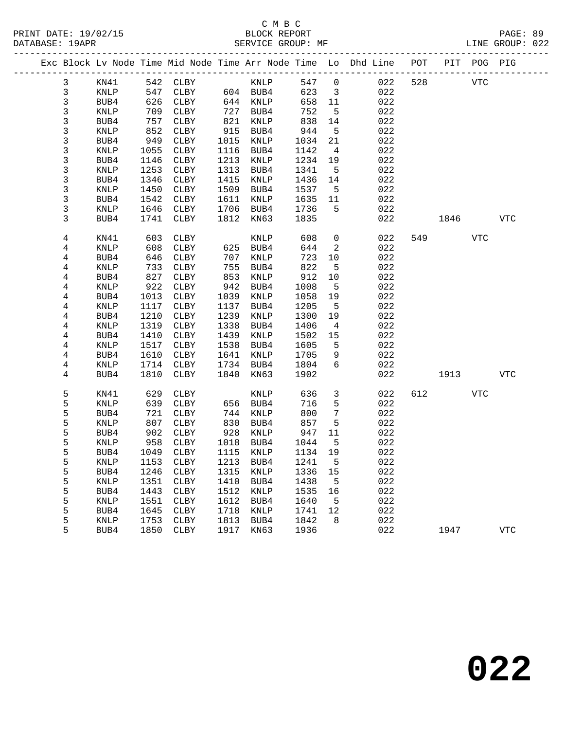|  |              |                 |            |              |      |              |             |                         | Exc Block Lv Node Time Mid Node Time Arr Node Time Lo Dhd Line | POT |            | PIT POG PIG |            |
|--|--------------|-----------------|------------|--------------|------|--------------|-------------|-------------------------|----------------------------------------------------------------|-----|------------|-------------|------------|
|  | $\mathbf{3}$ | KN41            |            | 542 CLBY     |      | KNLP         | 547         | $\overline{0}$          | 022                                                            | 528 | <b>VTC</b> |             |            |
|  | $\mathbf{3}$ | KNLP            | 547        | <b>CLBY</b>  |      | 604 BUB4     | 623         | $\overline{\mathbf{3}}$ | 022                                                            |     |            |             |            |
|  | 3            | BUB4            | 626        | CLBY         |      | 644 KNLP     | 658         | 11                      | 022                                                            |     |            |             |            |
|  | 3            | KNLP            | 709        | CLBY         | 727  | BUB4         | 752         | 5                       | 022                                                            |     |            |             |            |
|  | 3            | BUB4            | 757        | CLBY         | 821  | KNLP         | 838         | 14                      | 022                                                            |     |            |             |            |
|  | 3            | KNLP            | 852        | CLBY         | 915  | BUB4         | 944         | $5\overline{)}$         | 022                                                            |     |            |             |            |
|  | 3            | BUB4            | 949        | CLBY         | 1015 | KNLP         | 1034        | 21                      | 022                                                            |     |            |             |            |
|  | 3            | KNLP            | 1055       | CLBY         | 1116 | BUB4         | 1142        | $\overline{4}$          | 022                                                            |     |            |             |            |
|  | $\mathsf{3}$ | BUB4            | 1146       | CLBY         | 1213 | KNLP         | 1234        | 19                      | 022                                                            |     |            |             |            |
|  | 3            | KNLP            | 1253       | CLBY         | 1313 | BUB4         | 1341        | $5^{\circ}$             | 022                                                            |     |            |             |            |
|  | 3            | BUB4            | 1346       | CLBY         | 1415 | KNLP         | 1436        | 14                      | 022                                                            |     |            |             |            |
|  | 3            | KNLP            | 1450       | CLBY         | 1509 | BUB4         | 1537        | $5^{\circ}$             | 022                                                            |     |            |             |            |
|  | 3            | BUB4            | 1542       | CLBY         | 1611 | KNLP         | 1635        | 11                      | 022                                                            |     |            |             |            |
|  | 3            | KNLP            | 1646       | CLBY         | 1706 | BUB4         | 1736        | 5                       | 022                                                            |     |            |             |            |
|  | 3            | BUB4            | 1741       | CLBY         | 1812 | KN63         | 1835        |                         | 022                                                            |     | 1846       |             | <b>VTC</b> |
|  | 4            | KN41            | 603        | CLBY         |      | KNLP         | 608         | $\mathsf{O}$            | 022                                                            |     | 549        | VTC         |            |
|  | 4            | KNLP            | 608        | CLBY         |      | 625 BUB4     | 644         | 2                       | 022                                                            |     |            |             |            |
|  | 4            | BUB4            | 646        | CLBY         | 707  | KNLP         | 723         | 10                      | 022                                                            |     |            |             |            |
|  | 4            | KNLP            | 733        | CLBY         | 755  | BUB4         | 822         | 5                       | 022                                                            |     |            |             |            |
|  | 4            | BUB4            | 827        | CLBY         | 853  | KNLP         | 912         | 10                      | 022                                                            |     |            |             |            |
|  | 4            | KNLP            | 922        | CLBY         | 942  | BUB4         | 1008        | $5\overline{5}$         | 022                                                            |     |            |             |            |
|  | 4            | BUB4            | 1013       | CLBY         | 1039 | KNLP         | 1058        | 19                      | 022                                                            |     |            |             |            |
|  | 4            | KNLP            | 1117       | CLBY         | 1137 | BUB4         | 1205        | $5^{\circ}$             | 022                                                            |     |            |             |            |
|  | 4            | BUB4            | 1210       | CLBY         | 1239 | KNLP         | 1300        | 19                      | 022                                                            |     |            |             |            |
|  | 4            | KNLP            | 1319       | CLBY         | 1338 | BUB4         | 1406        | $\overline{4}$          | 022                                                            |     |            |             |            |
|  | 4            | BUB4            | 1410       | CLBY         | 1439 | KNLP         | 1502        | 15                      | 022                                                            |     |            |             |            |
|  | 4            | KNLP            | 1517       | CLBY         | 1538 | BUB4         | 1605        | 5                       | 022                                                            |     |            |             |            |
|  | 4            | BUB4            | 1610       | CLBY         | 1641 | KNLP         | 1705        | 9                       | 022                                                            |     |            |             |            |
|  | 4            | KNLP            | 1714       | CLBY         | 1734 | BUB4         | 1804        | 6                       | 022                                                            |     |            |             |            |
|  | 4            | BUB4            | 1810       | CLBY         | 1840 | KN63         | 1902        |                         | 022                                                            |     | 1913       |             | <b>VTC</b> |
|  | 5            | KN41            | 629        | CLBY         |      | KNLP         | 636         | $\mathbf{3}$            | 022                                                            | 612 |            | <b>VTC</b>  |            |
|  | 5            | KNLP            | 639        | CLBY         | 656  | BUB4         | 716         | 5                       | 022                                                            |     |            |             |            |
|  | 5            | BUB4            | 721        | CLBY         | 744  | KNLP         | 800         | $7\phantom{.0}$         | 022                                                            |     |            |             |            |
|  | 5            | KNLP            | 807        | CLBY         | 830  | BUB4         | 857         | 5                       | 022                                                            |     |            |             |            |
|  | 5<br>5       | BUB4<br>KNLP    | 902<br>958 | CLBY         | 928  | KNLP<br>BUB4 | 947<br>1044 | 11<br>5                 | 022<br>022                                                     |     |            |             |            |
|  | 5            | BUB4            | 1049       | CLBY<br>CLBY | 1018 | 1115 KNLP    | 1134        | 19                      | 022                                                            |     |            |             |            |
|  | 5            | $\texttt{KNLP}$ |            | 1153 CLBY    |      | 1213 BUB4    | 1241 5      |                         | 022                                                            |     |            |             |            |
|  | 5            | BUB4            | 1246       | CLBY         | 1315 | KNLP         | 1336        | 15                      | 022                                                            |     |            |             |            |
|  | 5            | KNLP            | 1351       | CLBY         | 1410 | BUB4         | 1438        | 5                       | 022                                                            |     |            |             |            |
|  | 5            | BUB4            | 1443       | CLBY         | 1512 | KNLP         | 1535        | 16                      | 022                                                            |     |            |             |            |
|  | 5            | <b>KNLP</b>     | 1551       | CLBY         | 1612 | BUB4         | 1640        | 5                       | 022                                                            |     |            |             |            |
|  | 5            | BUB4            | 1645       | CLBY         | 1718 | KNLP         | 1741        | 12                      | 022                                                            |     |            |             |            |
|  | 5            | KNLP            | 1753       | CLBY         | 1813 | BUB4         | 1842        | 8                       | 022                                                            |     |            |             |            |
|  | 5            | BUB4            | 1850       | CLBY         | 1917 | KN63         | 1936        |                         | 022                                                            |     | 1947       |             | <b>VTC</b> |
|  |              |                 |            |              |      |              |             |                         |                                                                |     |            |             |            |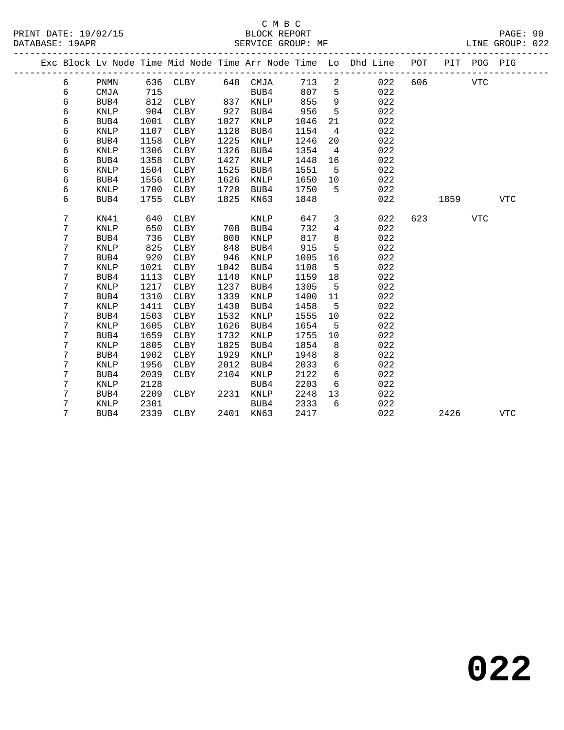|  |                |             |      |             |      |             |      |                | Exc Block Lv Node Time Mid Node Time Arr Node Time Lo Dhd Line POT<br>__________________________ |     | PIT  | POG PIG    |            |
|--|----------------|-------------|------|-------------|------|-------------|------|----------------|--------------------------------------------------------------------------------------------------|-----|------|------------|------------|
|  | 6              | PNMN        |      | 636 CLBY    |      | 648 CMJA    | 713  | 2              | 022                                                                                              | 606 |      | <b>VTC</b> |            |
|  | 6              | CMJA        | 715  |             |      | BUB4        | 807  | 5              | 022                                                                                              |     |      |            |            |
|  | 6              | BUB4        | 812  | CLBY        | 837  | KNLP        | 855  | 9              | 022                                                                                              |     |      |            |            |
|  | 6              | <b>KNLP</b> | 904  | CLBY        | 927  | BUB4        | 956  | 5              | 022                                                                                              |     |      |            |            |
|  | 6              | BUB4        | 1001 | <b>CLBY</b> | 1027 | KNLP        | 1046 | 21             | 022                                                                                              |     |      |            |            |
|  | 6              | <b>KNLP</b> | 1107 | CLBY        | 1128 | BUB4        | 1154 | $\overline{4}$ | 022                                                                                              |     |      |            |            |
|  | 6              | BUB4        | 1158 | CLBY        | 1225 | KNLP        | 1246 | 20             | 022                                                                                              |     |      |            |            |
|  | 6              | <b>KNLP</b> | 1306 | CLBY        | 1326 | BUB4        | 1354 | $\overline{4}$ | 022                                                                                              |     |      |            |            |
|  | 6              | BUB4        | 1358 | <b>CLBY</b> | 1427 | KNLP        | 1448 | 16             | 022                                                                                              |     |      |            |            |
|  | 6              | <b>KNLP</b> | 1504 | <b>CLBY</b> | 1525 | BUB4        | 1551 | 5              | 022                                                                                              |     |      |            |            |
|  | 6              | BUB4        | 1556 | <b>CLBY</b> | 1626 | KNLP        | 1650 | 10             | 022                                                                                              |     |      |            |            |
|  | 6              | KNLP        | 1700 | CLBY        | 1720 | BUB4        | 1750 | 5              | 022                                                                                              |     |      |            |            |
|  | 6              | BUB4        | 1755 | CLBY        | 1825 | KN63        | 1848 |                | 022                                                                                              |     | 1859 |            | <b>VTC</b> |
|  | 7              | KN41        | 640  | CLBY        |      | <b>KNLP</b> | 647  | 3              | 022                                                                                              | 623 |      | <b>VTC</b> |            |
|  | 7              | KNLP        | 650  | CLBY        | 708  | BUB4        | 732  | 4              | 022                                                                                              |     |      |            |            |
|  | 7              | BUB4        | 736  | CLBY        | 800  | <b>KNLP</b> | 817  | 8              | 022                                                                                              |     |      |            |            |
|  | 7              | <b>KNLP</b> | 825  | CLBY        | 848  | BUB4        | 915  | 5              | 022                                                                                              |     |      |            |            |
|  | 7              | BUB4        | 920  | CLBY        | 946  | <b>KNLP</b> | 1005 | 16             | 022                                                                                              |     |      |            |            |
|  | 7              | <b>KNLP</b> | 1021 | CLBY        | 1042 | BUB4        | 1108 | 5              | 022                                                                                              |     |      |            |            |
|  | 7              | BUB4        | 1113 | CLBY        | 1140 | <b>KNLP</b> | 1159 | 18             | 022                                                                                              |     |      |            |            |
|  | 7              | <b>KNLP</b> | 1217 | CLBY        | 1237 | BUB4        | 1305 | $5^{\circ}$    | 022                                                                                              |     |      |            |            |
|  | $7\phantom{.}$ | BUB4        | 1310 | CLBY        | 1339 | KNLP        | 1400 | 11             | 022                                                                                              |     |      |            |            |
|  | 7              | KNLP        | 1411 | CLBY        | 1430 | BUB4        | 1458 | 5              | 022                                                                                              |     |      |            |            |
|  | 7              | BUB4        | 1503 | <b>CLBY</b> | 1532 | KNLP        | 1555 | 10             | 022                                                                                              |     |      |            |            |
|  | 7              | <b>KNLP</b> | 1605 | CLBY        | 1626 | BUB4        | 1654 | 5              | 022                                                                                              |     |      |            |            |
|  | 7              | BUB4        | 1659 | <b>CLBY</b> | 1732 | <b>KNLP</b> | 1755 | 10             | 022                                                                                              |     |      |            |            |
|  | 7              | <b>KNLP</b> | 1805 | <b>CLBY</b> | 1825 | BUB4        | 1854 | 8              | 022                                                                                              |     |      |            |            |
|  | 7              | BUB4        | 1902 | CLBY        | 1929 | KNLP        | 1948 | 8              | 022                                                                                              |     |      |            |            |
|  | 7              | <b>KNLP</b> | 1956 | <b>CLBY</b> | 2012 | BUB4        | 2033 | 6              | 022                                                                                              |     |      |            |            |
|  | 7              | BUB4        | 2039 | <b>CLBY</b> | 2104 | KNLP        | 2122 | 6              | 022                                                                                              |     |      |            |            |
|  | 7              | KNLP        | 2128 |             |      | BUB4        | 2203 | 6              | 022                                                                                              |     |      |            |            |
|  | 7              | BUB4        | 2209 | CLBY        | 2231 | KNLP        | 2248 | 13             | 022                                                                                              |     |      |            |            |
|  | 7              | <b>KNLP</b> | 2301 |             |      | BUB4        | 2333 | 6              | 022                                                                                              |     |      |            |            |
|  | 7              | BUB4        | 2339 | CLBY        |      | 2401 KN63   | 2417 |                | 022                                                                                              |     | 2426 |            | <b>VTC</b> |
|  |                |             |      |             |      |             |      |                |                                                                                                  |     |      |            |            |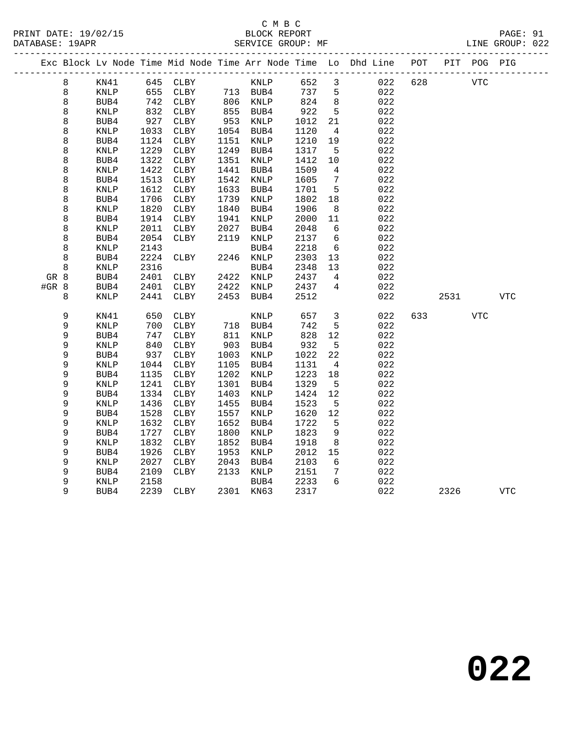|               |        |                 |              |              |      |              |              |                 | Exc Block Lv Node Time Mid Node Time Arr Node Time Lo Dhd Line POT |     |      | PIT POG PIG |            |
|---------------|--------|-----------------|--------------|--------------|------|--------------|--------------|-----------------|--------------------------------------------------------------------|-----|------|-------------|------------|
|               | 8      | KN41            |              | 645 CLBY     |      | KNLP         | 652          | 3               | 022                                                                | 628 |      | VTC         |            |
|               | 8      | $\texttt{KNLP}$ | 655          | CLBY         |      | 713 BUB4     | 737          | 5               | 022                                                                |     |      |             |            |
|               | 8      | BUB4            | 742          | CLBY         |      | 806 KNLP     | 824          | 8               | 022                                                                |     |      |             |            |
|               | 8      | <b>KNLP</b>     | 832          | CLBY         | 855  | BUB4         | 922          | 5               | 022                                                                |     |      |             |            |
|               | 8      | BUB4            | 927          | CLBY         | 953  | KNLP         | 1012         | 21              | 022                                                                |     |      |             |            |
|               | 8      | KNLP            | 1033         | CLBY         | 1054 | BUB4         | 1120         | $\overline{4}$  | 022                                                                |     |      |             |            |
|               | 8      | BUB4            | 1124         | CLBY         | 1151 | KNLP         | 1210         | 19              | 022                                                                |     |      |             |            |
|               | 8      | KNLP            | 1229         | ${\tt CLBY}$ | 1249 | BUB4         | 1317         | $5\overline{5}$ | 022                                                                |     |      |             |            |
|               | 8      | BUB4            | 1322         | CLBY         | 1351 | KNLP         | 1412         | $10\,$          | 022                                                                |     |      |             |            |
|               | 8      | KNLP            | 1422         | CLBY         | 1441 | BUB4         | 1509         | 4               | 022                                                                |     |      |             |            |
|               | 8      | BUB4            | 1513         | CLBY         | 1542 | KNLP         | 1605         | 7               | 022                                                                |     |      |             |            |
|               | 8      | <b>KNLP</b>     | 1612         | CLBY         | 1633 | BUB4         | 1701         | $5^{\circ}$     | 022                                                                |     |      |             |            |
|               | 8      | BUB4            | 1706         | CLBY         | 1739 | KNLP         | 1802         | 18              | 022                                                                |     |      |             |            |
|               | 8      | <b>KNLP</b>     | 1820         | CLBY         | 1840 | BUB4         | 1906         | - 8             | 022                                                                |     |      |             |            |
|               | 8      | BUB4            | 1914         | CLBY         | 1941 | KNLP         | 2000         | 11              | 022                                                                |     |      |             |            |
|               | 8      | KNLP            | 2011         | CLBY         | 2027 | BUB4         | 2048         | 6               | 022                                                                |     |      |             |            |
|               | 8      | BUB4            | 2054         | CLBY         | 2119 | KNLP         | 2137         | - 6<br>6        | 022                                                                |     |      |             |            |
|               | 8      | <b>KNLP</b>     | 2143         |              |      | BUB4         | 2218         |                 | 022                                                                |     |      |             |            |
|               | 8<br>8 | BUB4            | 2224<br>2316 | CLBY         |      | 2246 KNLP    | 2303         | 13              | 022<br>022                                                         |     |      |             |            |
|               |        | <b>KNLP</b>     |              |              | 2422 | BUB4         | 2348         | 13<br>4         | 022                                                                |     |      |             |            |
| GR 8<br>#GR 8 |        | BUB4<br>BUB4    | 2401<br>2401 | CLBY<br>CLBY | 2422 | KNLP<br>KNLP | 2437<br>2437 | 4               | 022                                                                |     |      |             |            |
|               | 8      | <b>KNLP</b>     | 2441         | CLBY         | 2453 | BUB4         | 2512         |                 | 022                                                                |     | 2531 |             | <b>VTC</b> |
|               |        |                 |              |              |      |              |              |                 |                                                                    |     |      |             |            |
|               | 9      | KN41            | 650          | CLBY         |      | KNLP         | 657          | 3               | 022                                                                | 633 |      | <b>VTC</b>  |            |
|               | 9      | <b>KNLP</b>     | 700          | CLBY         | 718  | BUB4         | 742          | 5               | 022                                                                |     |      |             |            |
|               | 9      | BUB4            | 747          | CLBY         | 811  | KNLP         | 828          | 12              | 022                                                                |     |      |             |            |
|               | 9      | KNLP            | 840          | CLBY         | 903  | BUB4         | 932          | 5               | 022                                                                |     |      |             |            |
|               | 9      | BUB4            | 937          | CLBY         | 1003 | KNLP         | 1022         | 22              | 022                                                                |     |      |             |            |
|               | 9      | $\textsc{KNLP}$ | 1044         | CLBY         | 1105 | BUB4         | 1131         | $\overline{4}$  | 022                                                                |     |      |             |            |
|               | 9      | BUB4            | 1135         | CLBY         | 1202 | KNLP         | 1223         | 18              | 022                                                                |     |      |             |            |
|               | 9      | KNLP            | 1241         | CLBY         | 1301 | BUB4         | 1329         | $5^{\circ}$     | 022                                                                |     |      |             |            |
|               | 9      | BUB4            | 1334         | CLBY         | 1403 | KNLP         | 1424         | 12              | 022                                                                |     |      |             |            |
|               | 9      | <b>KNLP</b>     | 1436         | CLBY         | 1455 | BUB4         | 1523         | 5               | 022                                                                |     |      |             |            |
|               | 9      | BUB4            | 1528         | CLBY         | 1557 | KNLP         | 1620         | 12              | 022                                                                |     |      |             |            |
|               | 9      | KNLP            | 1632         | CLBY         | 1652 | BUB4         | 1722         | 5               | 022                                                                |     |      |             |            |
|               | 9      | BUB4            | 1727         | CLBY         | 1800 | KNLP         | 1823         | 9               | 022                                                                |     |      |             |            |
|               | 9      | <b>KNLP</b>     | 1832         | CLBY         | 1852 | BUB4         | 1918         | 8               | 022                                                                |     |      |             |            |
|               | 9      | BUB4            | 1926         | CLBY         | 1953 | KNLP         | 2012         | 15              | 022                                                                |     |      |             |            |
|               | 9      | <b>KNLP</b>     | 2027         | CLBY         | 2043 | BUB4         | 2103         | 6               | 022                                                                |     |      |             |            |
|               | 9      | BUB4            | 2109         | CLBY         | 2133 | KNLP         | 2151         | 7               | 022                                                                |     |      |             |            |
|               | 9      | KNLP            | 2158         |              |      | BUB4         | 2233         | 6               | 022                                                                |     |      |             |            |
|               | 9      | BUB4            | 2239         | CLBY         |      | 2301 KN63    | 2317         |                 | 022                                                                |     | 2326 |             | <b>VTC</b> |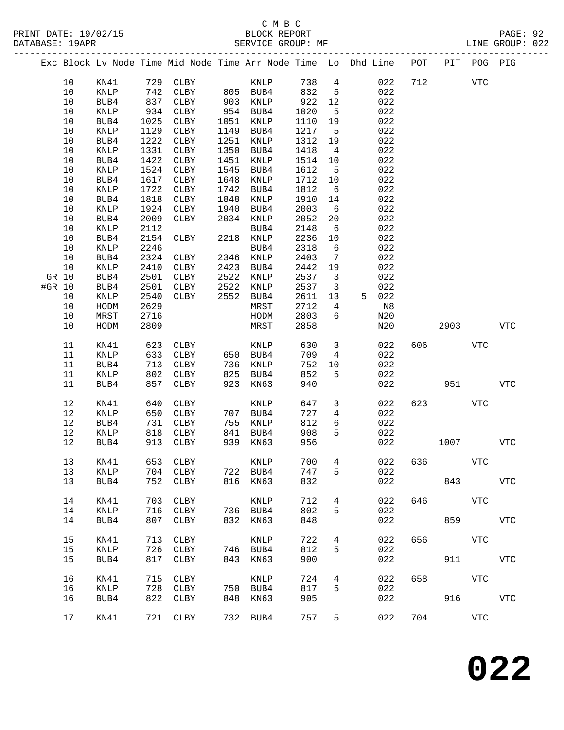#### C M B C<br>BLOCK REPORT SERVICE GROUP: MF

-------------------------------------------------------------------------------------------------

PRINT DATE: 19/02/15 BLOCK REPORT PAGE: 92

|        |      |                 |      |              |      |                 |      |                 | Exc Block Lv Node Time Mid Node Time Arr Node Time Lo Dhd Line | POT | PIT        | POG PIG     |             |
|--------|------|-----------------|------|--------------|------|-----------------|------|-----------------|----------------------------------------------------------------|-----|------------|-------------|-------------|
|        | 10   | KN41            | 729  | CLBY         |      | $\textsc{KNLP}$ | 738  | $\overline{4}$  | 022                                                            | 712 |            | <b>VTC</b>  |             |
|        | 10   | KNLP            | 742  | CLBY         | 805  | BUB4            | 832  | 5               | 022                                                            |     |            |             |             |
|        | $10$ | BUB4            | 837  | CLBY         | 903  | KNLP            | 922  | $12$            | 022                                                            |     |            |             |             |
|        | 10   | KNLP            | 934  | CLBY         | 954  | BUB4            | 1020 | 5               | 022                                                            |     |            |             |             |
|        | 10   | BUB4            | 1025 | ${\tt CLBY}$ | 1051 | KNLP            | 1110 | 19              | 022                                                            |     |            |             |             |
|        | 10   | KNLP            | 1129 | CLBY         | 1149 | BUB4            | 1217 | 5               | 022                                                            |     |            |             |             |
|        | $10$ | BUB4            | 1222 | ${\tt CLBY}$ | 1251 | KNLP            | 1312 | 19              | 022                                                            |     |            |             |             |
|        | $10$ | KNLP            | 1331 | CLBY         | 1350 | BUB4            | 1418 | 4               | 022                                                            |     |            |             |             |
|        | 10   | BUB4            | 1422 | CLBY         | 1451 | KNLP            | 1514 | 10              | 022                                                            |     |            |             |             |
|        | 10   | KNLP            | 1524 | CLBY         | 1545 | BUB4            | 1612 | 5               | 022                                                            |     |            |             |             |
|        | 10   | BUB4            | 1617 | CLBY         | 1648 | KNLP            | 1712 | 10              | 022                                                            |     |            |             |             |
|        | $10$ | KNLP            | 1722 | CLBY         | 1742 | BUB4            | 1812 | 6               | 022                                                            |     |            |             |             |
|        | 10   | BUB4            | 1818 | CLBY         | 1848 | KNLP            | 1910 | 14              | 022                                                            |     |            |             |             |
|        | $10$ | KNLP            | 1924 | CLBY         | 1940 | BUB4            | 2003 | 6               | 022                                                            |     |            |             |             |
|        | $10$ | BUB4            | 2009 | CLBY         | 2034 | KNLP            | 2052 | 20              | 022                                                            |     |            |             |             |
|        | $10$ | KNLP            | 2112 |              |      | BUB4            | 2148 | 6               | 022                                                            |     |            |             |             |
|        | 10   | BUB4            | 2154 | CLBY         | 2218 | KNLP            | 2236 | 10              | 022                                                            |     |            |             |             |
|        | 10   | KNLP            | 2246 |              |      | BUB4            | 2318 | 6               | 022                                                            |     |            |             |             |
|        | 10   | BUB4            | 2324 | CLBY         | 2346 | KNLP            | 2403 | 7               | 022                                                            |     |            |             |             |
|        | $10$ | KNLP            | 2410 | CLBY         | 2423 | BUB4            | 2442 | 19              | 022                                                            |     |            |             |             |
| GR 10  |      | BUB4            | 2501 | CLBY         | 2522 | KNLP            | 2537 | 3               | 022                                                            |     |            |             |             |
| #GR 10 |      | BUB4            | 2501 | CLBY         | 2522 | $\texttt{KNLP}$ | 2537 | 3               | 022                                                            |     |            |             |             |
|        | $10$ | KNLP            | 2540 | CLBY         | 2552 | BUB4            | 2611 | 13              | 022<br>5                                                       |     |            |             |             |
|        | $10$ | HODM            | 2629 |              |      | MRST            | 2712 | 4               | N8                                                             |     |            |             |             |
|        | 10   | MRST            | 2716 |              |      | HODM            | 2803 | 6               | N20                                                            |     |            |             |             |
|        | 10   | HODM            | 2809 |              |      | MRST            | 2858 |                 | N20                                                            |     | 2903       |             | ${\tt VTC}$ |
|        |      |                 |      |              |      |                 |      |                 |                                                                |     |            |             |             |
|        | 11   | KN41            | 623  | CLBY         |      | KNLP            | 630  | $\mathbf{3}$    | 022                                                            | 606 |            | VTC         |             |
|        | 11   | KNLP            | 633  | CLBY         | 650  | BUB4            | 709  | 4               | 022                                                            |     |            |             |             |
|        | 11   | BUB4            | 713  | ${\tt CLBY}$ | 736  | KNLP            | 752  | 10              | 022                                                            |     |            |             |             |
|        | 11   | KNLP            | 802  | CLBY         | 825  | BUB4            | 852  | 5               | 022                                                            |     |            |             |             |
|        | 11   | BUB4            | 857  | CLBY         | 923  | KN63            | 940  |                 | 022                                                            |     | 951        |             | ${\tt VTC}$ |
|        |      |                 |      |              |      |                 |      |                 |                                                                |     |            |             |             |
|        | 12   | KN41            | 640  | CLBY         |      | KNLP            | 647  | 3               | 022                                                            | 623 |            | <b>VTC</b>  |             |
|        | 12   | KNLP            | 650  | CLBY         | 707  | BUB4            | 727  | $\overline{4}$  | 022                                                            |     |            |             |             |
|        | 12   | BUB4            | 731  | CLBY         | 755  | KNLP            | 812  | 6               | 022                                                            |     |            |             |             |
|        | 12   | KNLP            | 818  | CLBY         | 841  | BUB4            | 908  | 5               | 022                                                            |     |            |             |             |
|        | 12   | BUB4            | 913  | ${\tt CLBY}$ | 939  | KN63            | 956  |                 | 022                                                            |     | 1007       |             | ${\tt VTC}$ |
|        |      |                 |      |              |      |                 |      |                 |                                                                |     |            |             |             |
|        | 13   | KN41            | 653  | CLBY         |      | KNLP            | 700  | 4               | 022                                                            | 636 |            | VTC         |             |
|        | 13   | $\textsc{KNLP}$ |      | 704 CLBY     |      | 722 BUB4        | 747  | 5               | 022                                                            |     |            |             |             |
|        | 13   | BUB4            |      | 752 CLBY     |      | 816 KN63        | 832  |                 | 022                                                            |     | 843        |             | <b>VTC</b>  |
|        |      |                 |      |              |      |                 |      |                 |                                                                |     |            |             |             |
|        | 14   | KN41            |      | 703 CLBY     |      | KNLP            | 712  | $4\overline{ }$ | 022                                                            | 646 |            | VTC         |             |
|        | 14   | <b>KNLP</b>     | 716  | CLBY         |      | 736 BUB4        | 802  | 5               | 022                                                            |     |            |             |             |
|        | 14   | BUB4            | 807  | CLBY         |      | 832 KN63        | 848  |                 | 022                                                            |     |            | 859         | VTC         |
|        |      |                 |      |              |      |                 |      |                 |                                                                |     |            |             |             |
|        | 15   | KN41            |      | 713 CLBY     |      | KNLP            | 722  | 4               | 022                                                            | 656 |            | VTC         |             |
|        | 15   | KNLP            | 726  | CLBY         |      | 746 BUB4        | 812  | 5               | 022                                                            |     |            |             |             |
|        | 15   | BUB4            | 817  | CLBY         | 843  | KN63            | 900  |                 | 022                                                            |     |            | 911 7       | <b>VTC</b>  |
|        |      |                 |      |              |      |                 |      |                 |                                                                |     |            |             |             |
|        | 16   | KN41            |      | 715 CLBY     |      | KNLP            | 724  | $\overline{4}$  | 022                                                            | 658 | <b>VTC</b> |             |             |
|        | 16   | KNLP            | 728  | CLBY         |      | 750 BUB4        | 817  | 5               | 022                                                            |     |            |             |             |
|        | 16   | BUB4            | 822  | CLBY         | 848  | KN63            | 905  |                 | 022                                                            |     |            | 916         | VTC         |
|        |      |                 |      |              |      |                 |      |                 |                                                                |     |            |             |             |
|        | 17   | KN41            |      | 721 CLBY     |      | 732 BUB4        | 757  | 5               | 022                                                            | 704 |            | ${\tt VTC}$ |             |
|        |      |                 |      |              |      |                 |      |                 |                                                                |     |            |             |             |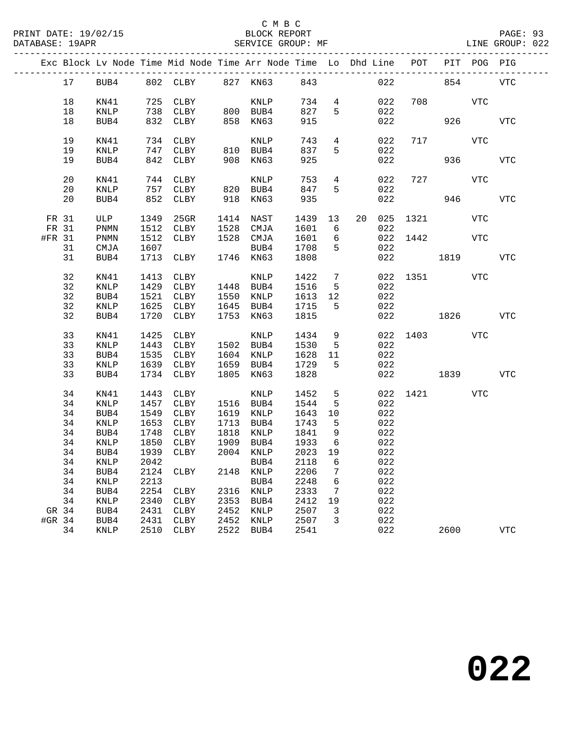|        |          |              |              | Exc Block Lv Node Time Mid Node Time Arr Node Time Lo Dhd Line POT |              |                   |              |                                   |            |            |          |          | PIT POG PIG |            |
|--------|----------|--------------|--------------|--------------------------------------------------------------------|--------------|-------------------|--------------|-----------------------------------|------------|------------|----------|----------|-------------|------------|
|        | 17       | BUB4         |              | 802 CLBY 827 KN63 843                                              |              |                   |              |                                   |            |            | 022 023  | 854      |             | VTC        |
|        | 18       | KN41         |              | 725 CLBY                                                           |              | KNLP              | 734          |                                   | $4\degree$ | 022        |          | 708 VTC  |             |            |
|        | 18       | KNLP         | 738          | CLBY                                                               |              | 800 BUB4          | 827          | 5                                 |            | 022        |          |          |             |            |
|        | 18       | BUB4         |              | 832 CLBY                                                           | 858          | KN63              | 915          |                                   |            | 022        |          | 926      |             | <b>VTC</b> |
|        |          |              |              |                                                                    |              |                   |              |                                   |            |            |          |          |             |            |
|        | 19       | KN41         |              | 734 CLBY                                                           |              | KNLP              | 743          |                                   | $4\degree$ | 022        |          | 717      | VTC         |            |
|        | 19       | <b>KNLP</b>  |              | 747 CLBY                                                           |              | 810 BUB4          | 837          | 5                                 |            | 022        |          |          |             |            |
|        | 19       | BUB4         | 842          | CLBY                                                               | 908          | KN63              | 925          |                                   |            | 022        |          | 936      |             | <b>VTC</b> |
|        |          |              |              |                                                                    |              |                   |              |                                   |            |            |          |          |             |            |
|        | 20       | KN41         |              | 744 CLBY                                                           |              | KNLP              | 753          | $4\overline{ }$                   |            | 022        |          | 727      | VTC         |            |
|        | 20       | <b>KNLP</b>  |              | 757 CLBY                                                           |              | 820 BUB4          | 847          | 5                                 |            | 022        |          |          |             |            |
|        | 20       | BUB4         |              | 852 CLBY                                                           | 918          | KN63              | 935          |                                   |            | 022        |          |          | 946 7       | <b>VTC</b> |
|        |          |              |              |                                                                    |              |                   |              |                                   |            |            |          |          |             |            |
|        | FR 31    | ULP          | 1349         | 25GR                                                               |              | 1414 NAST         | 1439         | 13                                | 20         | 025        |          | 1321 \   | VTC         |            |
|        | FR 31    | PNMN         | 1512         | CLBY                                                               | 1528         | CMJA              | 1601         | $6\overline{6}$                   |            | 022        |          |          |             |            |
| #FR 31 |          | PNMN         | 1512         | CLBY                                                               |              | 1528 CMJA         | 1601         | 6                                 |            |            | 022 1442 |          | <b>VTC</b>  |            |
|        | 31       | CMJA         | 1607         |                                                                    |              | BUB4              | 1708         | 5                                 |            | 022        |          |          |             |            |
|        | 31       | BUB4         | 1713         | CLBY                                                               |              | 1746 KN63         | 1808         |                                   |            | 022        | 1819     |          |             | <b>VTC</b> |
|        |          |              |              |                                                                    |              |                   |              |                                   |            |            |          |          |             |            |
|        | 32       | KN41         | 1413         | CLBY                                                               |              | KNLP              | 1422         | $7\overline{ }$                   |            |            |          | 022 1351 | <b>VTC</b>  |            |
|        | 32       | KNLP         | 1429         | CLBY                                                               |              | 1448 BUB4         | 1516         | 5                                 |            | 022        |          |          |             |            |
|        | 32       | BUB4         | 1521         | CLBY                                                               | 1550         | KNLP              | 1613         | 12                                |            | 022        |          |          |             |            |
|        | 32       | KNLP         | 1625         | CLBY                                                               | 1645         | BUB4              | 1715         | 5                                 |            | 022        |          |          |             |            |
|        | 32       | BUB4         | 1720         | CLBY                                                               | 1753         | KN63              | 1815         |                                   |            |            | 022 023  | 1826     |             | <b>VTC</b> |
|        |          |              |              |                                                                    |              |                   |              |                                   |            |            |          |          |             |            |
|        | 33       | KN41         | 1425         | CLBY                                                               |              | KNLP              | 1434         | 9                                 |            |            |          | 022 1403 | VTC         |            |
|        | 33       | KNLP         | 1443         | CLBY                                                               |              | 1502 BUB4         | 1530         | 5                                 |            | 022        |          |          |             |            |
|        | 33       | BUB4         | 1535         | CLBY                                                               |              | 1604 KNLP         | 1628         | 11                                |            | 022        |          |          |             |            |
|        | 33       | KNLP         | 1639         | CLBY                                                               | 1659         | BUB4              | 1729         | 5                                 |            | 022        |          |          |             |            |
|        | 33       | BUB4         | 1734         | CLBY                                                               | 1805         | KN63              | 1828         |                                   |            | 022        |          | 1839     |             | <b>VTC</b> |
|        |          |              |              |                                                                    |              |                   |              |                                   |            |            |          |          |             |            |
|        | 34       | KN41         | 1443         | CLBY                                                               |              | KNLP              | 1452         | 5                                 |            | 022        |          | 1421 \   | <b>VTC</b>  |            |
|        | 34       | KNLP         | 1457         | CLBY                                                               |              | 1516 BUB4         | 1544         | 5                                 |            | 022        |          |          |             |            |
|        | 34       | BUB4         | 1549         | CLBY                                                               | 1619         | KNLP              | 1643         | 10                                |            | 022        |          |          |             |            |
|        | 34       | KNLP         | 1653         | CLBY                                                               | 1713         | BUB4              | 1743         | $5^{\circ}$                       |            | 022        |          |          |             |            |
|        | 34       | BUB4         | 1748<br>1850 | CLBY                                                               | 1818<br>1909 | KNLP              | 1841         | $\overline{9}$<br>$6\overline{6}$ |            | 022        |          |          |             |            |
|        | 34<br>34 | KNLP<br>BUB4 | 1939         | CLBY<br>CLBY                                                       |              | BUB4<br>2004 KNLP | 1933<br>2023 | 19                                |            | 022<br>022 |          |          |             |            |
|        |          | 34 KNLP      |              | 2042 BUB4                                                          |              |                   | 2118 6       |                                   |            | 022        |          |          |             |            |
|        |          |              |              |                                                                    |              |                   |              |                                   |            |            |          |          |             |            |
|        | 34<br>34 | BUB4<br>KNLP | 2124<br>2213 | CLBY                                                               | 2148         | KNLP<br>BUB4      | 2206<br>2248 | 7<br>6                            |            | 022<br>022 |          |          |             |            |
|        | 34       | BUB4         | 2254         | CLBY                                                               | 2316         | KNLP              | 2333         | 7                                 |            | 022        |          |          |             |            |
|        | 34       | KNLP         | 2340         | CLBY                                                               | 2353         | BUB4              | 2412         | 19                                |            | 022        |          |          |             |            |
| GR 34  |          | BUB4         | 2431         | CLBY                                                               | 2452         | KNLP              | 2507         | 3                                 |            | 022        |          |          |             |            |
| #GR 34 |          | BUB4         | 2431         | CLBY                                                               | 2452         | KNLP              | 2507         | 3                                 |            | 022        |          |          |             |            |
|        | 34       | KNLP         | 2510         | CLBY                                                               | 2522         | BUB4              | 2541         |                                   |            | 022        |          | 2600     |             | <b>VTC</b> |
|        |          |              |              |                                                                    |              |                   |              |                                   |            |            |          |          |             |            |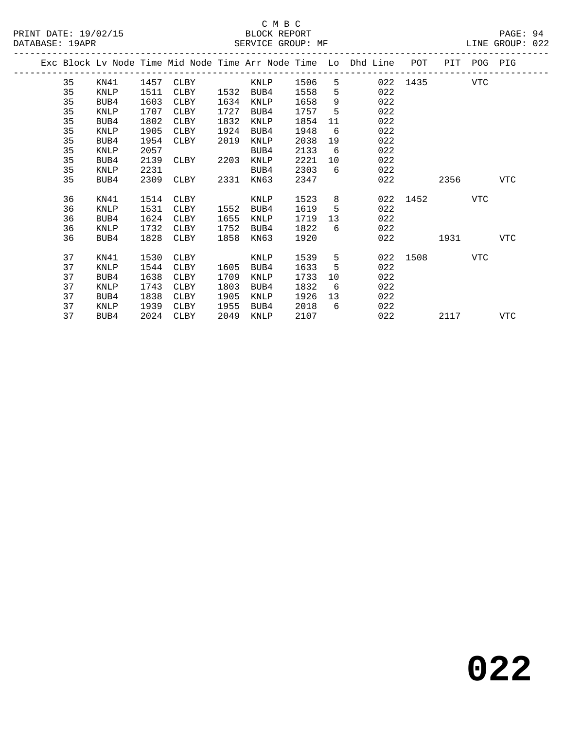|  |    |             |      |      |      |      |      |     | Exc Block Lv Node Time Mid Node Time Arr Node Time Lo Dhd Line | POT      | PIT  | POG        | PIG        |
|--|----|-------------|------|------|------|------|------|-----|----------------------------------------------------------------|----------|------|------------|------------|
|  | 35 | KN41        | 1457 | CLBY |      | KNLP | 1506 | 5   |                                                                | 022 1435 |      | VTC        |            |
|  | 35 | KNLP        | 1511 | CLBY | 1532 | BUB4 | 1558 | 5   | 022                                                            |          |      |            |            |
|  | 35 | BUB4        | 1603 | CLBY | 1634 | KNLP | 1658 | 9   | 022                                                            |          |      |            |            |
|  | 35 | KNLP        | 1707 | CLBY | 1727 | BUB4 | 1757 | 5   | 022                                                            |          |      |            |            |
|  | 35 | BUB4        | 1802 | CLBY | 1832 | KNLP | 1854 | 11  | 022                                                            |          |      |            |            |
|  | 35 | KNLP        | 1905 | CLBY | 1924 | BUB4 | 1948 | 6   | 022                                                            |          |      |            |            |
|  | 35 | BUB4        | 1954 | CLBY | 2019 | KNLP | 2038 | 19  | 022                                                            |          |      |            |            |
|  | 35 | KNLP        | 2057 |      |      | BUB4 | 2133 | 6   | 022                                                            |          |      |            |            |
|  | 35 | BUB4        | 2139 | CLBY | 2203 | KNLP | 2221 | 10  | 022                                                            |          |      |            |            |
|  | 35 | KNLP        | 2231 |      |      | BUB4 | 2303 | 6   | 022                                                            |          |      |            |            |
|  | 35 | BUB4        | 2309 | CLBY | 2331 | KN63 | 2347 |     | 022                                                            |          | 2356 |            | VTC        |
|  |    |             |      |      |      |      |      |     |                                                                |          |      |            |            |
|  | 36 | KN41        | 1514 | CLBY |      | KNLP | 1523 | 8   | 022                                                            | 1452     |      | <b>VTC</b> |            |
|  | 36 | <b>KNLP</b> | 1531 | CLBY | 1552 | BUB4 | 1619 | 5   | 022                                                            |          |      |            |            |
|  | 36 | BUB4        | 1624 | CLBY | 1655 | KNLP | 1719 | 13  | 022                                                            |          |      |            |            |
|  | 36 | KNLP        | 1732 | CLBY | 1752 | BUB4 | 1822 | 6   | 022                                                            |          |      |            |            |
|  | 36 | BUB4        | 1828 | CLBY | 1858 | KN63 | 1920 |     | 022                                                            |          | 1931 |            | VTC        |
|  |    |             |      |      |      |      |      |     |                                                                |          |      |            |            |
|  | 37 | KN41        | 1530 | CLBY |      | KNLP | 1539 | 5   | 022                                                            | 1508     |      | VTC        |            |
|  | 37 | KNLP        | 1544 | CLBY | 1605 | BUB4 | 1633 | 5   | 022                                                            |          |      |            |            |
|  | 37 | BUB4        | 1638 | CLBY | 1709 | KNLP | 1733 | 10  | 022                                                            |          |      |            |            |
|  | 37 | KNLP        | 1743 | CLBY | 1803 | BUB4 | 1832 | - 6 | 022                                                            |          |      |            |            |
|  | 37 | BUB4        | 1838 | CLBY | 1905 | KNLP | 1926 | 13  | 022                                                            |          |      |            |            |
|  | 37 | KNLP        | 1939 | CLBY | 1955 | BUB4 | 2018 | 6   | 022                                                            |          |      |            |            |
|  | 37 | BUB4        | 2024 | CLBY | 2049 | KNLP | 2107 |     | 022                                                            |          | 2117 |            | <b>VTC</b> |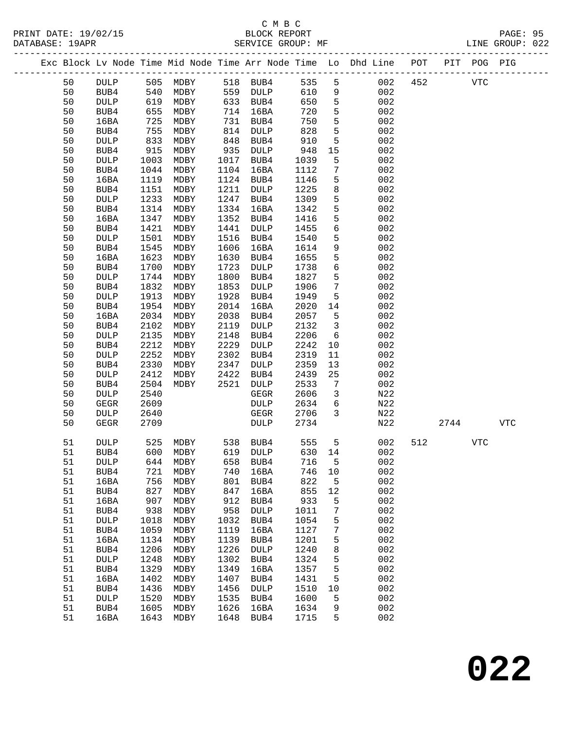PRINT DATE: 19/02/15 BLOCK REPORT BATE: 19/02/15

# C M B C

PAGE: 95<br>LINE GROUP: 022

| DAIABASL· |          |                 |              |              |              | PEKATCE GKOOL. ME |              |                      |                                                                                                 |     |      |             | TIME GKOOL. ARS |
|-----------|----------|-----------------|--------------|--------------|--------------|-------------------|--------------|----------------------|-------------------------------------------------------------------------------------------------|-----|------|-------------|-----------------|
|           |          |                 |              |              |              |                   |              |                      | -------------------------<br>Exc Block Lv Node Time Mid Node Time Arr Node Time Lo Dhd Line POT |     |      | PIT POG PIG |                 |
|           | 50       | <b>DULP</b>     | 505          | MDBY         |              | 518 BUB4          | 535          | $5\phantom{.0}$      | 002                                                                                             | 452 |      | <b>VTC</b>  |                 |
|           | 50       | BUB4            | 540          | MDBY         | 559          | DULP              | 610          | 9                    | 002                                                                                             |     |      |             |                 |
|           | 50       | <b>DULP</b>     | 619          | MDBY         | 633          | BUB4              | 650          | $\mathsf S$          | 002                                                                                             |     |      |             |                 |
|           | 50       | BUB4            | 655          | MDBY         | 714          | 16BA              | 720          | 5                    | 002                                                                                             |     |      |             |                 |
|           | 50       | 16BA            | 725          | MDBY         | 731          | BUB4              | 750          | $\overline{5}$       | 002                                                                                             |     |      |             |                 |
|           | 50       | BUB4            | 755          | MDBY         | 814          | DULP              | 828          | $\mathsf S$          | 002                                                                                             |     |      |             |                 |
|           | 50       | <b>DULP</b>     | 833          | MDBY         | 848          | BUB4              | 910          | $\mathsf S$          | 002                                                                                             |     |      |             |                 |
|           | 50       | BUB4            | 915          | MDBY         | 935          | DULP              | 948          | 15                   | 002                                                                                             |     |      |             |                 |
|           | 50       | DULP            | 1003         | MDBY         | 1017         | BUB4              | 1039         | 5                    | 002                                                                                             |     |      |             |                 |
|           | 50       | BUB4            | 1044         | MDBY         | 1104         | 16BA              | 1112         | $\overline{7}$       | 002                                                                                             |     |      |             |                 |
|           | 50       | 16BA            | 1119         | MDBY         | 1124         | BUB4              | 1146         | 5                    | 002                                                                                             |     |      |             |                 |
|           | 50       | BUB4            | 1151         | MDBY         | 1211         | DULP              | 1225         | $\,8\,$              | 002                                                                                             |     |      |             |                 |
|           | 50       | DULP            | 1233         | MDBY         | 1247         | BUB4              | 1309         | $5\phantom{.0}$      | 002                                                                                             |     |      |             |                 |
|           | 50       | BUB4            | 1314         | MDBY         | 1334         | 16BA              | 1342         | $\mathsf 5$          | 002                                                                                             |     |      |             |                 |
|           | 50       | 16BA            | 1347         | MDBY         | 1352         | BUB4              | 1416         | $5\phantom{.0}$      | 002                                                                                             |     |      |             |                 |
|           | 50       | BUB4            | 1421         | MDBY         | 1441         | DULP              | 1455         | $\sqrt{6}$           | 002                                                                                             |     |      |             |                 |
|           | 50       | DULP            | 1501         | MDBY         | 1516         | BUB4              | 1540         | $5\phantom{.0}$      | 002                                                                                             |     |      |             |                 |
|           | 50       | BUB4            | 1545         | MDBY         | 1606         | 16BA              | 1614         | $\mathsf 9$          | 002                                                                                             |     |      |             |                 |
|           | 50       | 16BA            | 1623         | MDBY         | 1630         | BUB4              | 1655         | $5\phantom{.0}$      | 002                                                                                             |     |      |             |                 |
|           | 50       | BUB4            | 1700         | MDBY         | 1723         | DULP              | 1738         | $\epsilon$           | 002                                                                                             |     |      |             |                 |
|           | 50       |                 | 1744         |              | 1800         |                   | 1827         | 5                    | 002                                                                                             |     |      |             |                 |
|           | 50       | DULP            |              | MDBY         | 1853         | BUB4              | 1906         | $7\phantom{.0}$      | 002                                                                                             |     |      |             |                 |
|           | 50       | BUB4            | 1832<br>1913 | MDBY<br>MDBY | 1928         | DULP              | 1949         | 5                    | 002                                                                                             |     |      |             |                 |
|           |          | DULP            | 1954         | MDBY         | 2014         | BUB4              | 2020         |                      | 002                                                                                             |     |      |             |                 |
|           | 50<br>50 | BUB4            | 2034         |              | 2038         | 16BA              |              | 14                   | 002                                                                                             |     |      |             |                 |
|           | 50       | 16BA            | 2102         | MDBY         | 2119         | BUB4              | 2057<br>2132 | 5<br>$\overline{3}$  | 002                                                                                             |     |      |             |                 |
|           |          | BUB4            | 2135         | MDBY<br>MDBY |              | DULP              |              | $6\overline{6}$      | 002                                                                                             |     |      |             |                 |
|           | 50<br>50 | <b>DULP</b>     | 2212         | MDBY         | 2148<br>2229 | BUB4              | 2206<br>2242 |                      | 002                                                                                             |     |      |             |                 |
|           |          | BUB4            |              |              | 2302         | DULP              |              | 10                   | 002                                                                                             |     |      |             |                 |
|           | 50<br>50 | DULP            | 2252         | MDBY         | 2347         | BUB4              | 2319         | 11                   | 002                                                                                             |     |      |             |                 |
|           | 50       | BUB4            | 2330<br>2412 | MDBY         | 2422         | DULP              | 2359         | 13<br>25             | 002                                                                                             |     |      |             |                 |
|           | 50       | <b>DULP</b>     | 2504         | MDBY<br>MDBY | 2521         | BUB4              | 2439<br>2533 |                      | 002                                                                                             |     |      |             |                 |
|           | 50       | BUB4            |              |              |              | DULP              | 2606         | 7                    |                                                                                                 |     |      |             |                 |
|           |          | DULP            | 2540         |              |              | GEGR              |              | 3<br>$6\overline{6}$ | N22                                                                                             |     |      |             |                 |
|           | 50       | <b>GEGR</b>     | 2609         |              |              | <b>DULP</b>       | 2634         |                      | N22                                                                                             |     |      |             |                 |
|           | 50       | DULP            | 2640         |              |              | GEGR              | 2706         | 3                    | N22                                                                                             |     |      |             |                 |
|           | 50       | GEGR            | 2709         |              |              | DULP              | 2734         |                      | N22                                                                                             |     | 2744 |             | <b>VTC</b>      |
|           | 51       | <b>DULP</b>     | 525          | MDBY         | 538          | BUB4              | 555          | $-5$                 | 002                                                                                             | 512 |      | VTC         |                 |
|           | 51       | BUB4            | 600          | MDBY         |              | 619 DULP          | 630 14       |                      | 002                                                                                             |     |      |             |                 |
|           | 51       | $\texttt{DULP}$ | 644          | MDBY         | 658          | BUB4              | 716          | 5                    | 002                                                                                             |     |      |             |                 |
|           | 51       | BUB4            | 721          | MDBY         | 740          | 16BA              | 746          | 10                   | 002                                                                                             |     |      |             |                 |
|           | 51       | 16BA            | 756          | MDBY         | 801          | BUB4              | 822          | 5                    | 002                                                                                             |     |      |             |                 |
|           | 51       | BUB4            | 827          | MDBY         | 847          | 16BA              | 855          | 12                   | 002                                                                                             |     |      |             |                 |
|           | 51       | 16BA            | 907          | MDBY         | 912          | BUB4              | 933          | 5                    | 002                                                                                             |     |      |             |                 |
|           | 51       | BUB4            | 938          | MDBY         | 958          | DULP              | 1011         | 7                    | 002                                                                                             |     |      |             |                 |
|           | 51       | <b>DULP</b>     | 1018         | MDBY         | 1032         | BUB4              | 1054         | 5                    | 002                                                                                             |     |      |             |                 |
|           | 51       | BUB4            | 1059         | MDBY         | 1119         | 16BA              | 1127         | 7                    | 002                                                                                             |     |      |             |                 |
|           | 51       | 16BA            | 1134         | MDBY         | 1139         | BUB4              | 1201         | 5                    | 002                                                                                             |     |      |             |                 |
|           | 51       | BUB4            | 1206         | MDBY         | 1226         | DULP              | 1240         | 8                    | 002                                                                                             |     |      |             |                 |
|           | 51       | <b>DULP</b>     | 1248         | MDBY         | 1302         | BUB4              | 1324         | 5                    | 002                                                                                             |     |      |             |                 |
|           | 51       | BUB4            | 1329         | MDBY         | 1349         | 16BA              | 1357         | 5                    | 002                                                                                             |     |      |             |                 |
|           | 51       | 16BA            | 1402         | MDBY         | 1407         | BUB4              | 1431         | 5                    | 002                                                                                             |     |      |             |                 |
|           | 51       | BUB4            | 1436         | MDBY         | 1456         | <b>DULP</b>       | 1510         | 10                   | 002                                                                                             |     |      |             |                 |
|           | 51       | <b>DULP</b>     | 1520         | MDBY         | 1535         | BUB4              | 1600         | 5                    | 002                                                                                             |     |      |             |                 |
|           | 51       | BUB4            | 1605         | MDBY         | 1626         | 16BA              | 1634         | 9                    | 002                                                                                             |     |      |             |                 |
|           | 51       | 16BA            | 1643         | MDBY         | 1648         | BUB4              | 1715         | 5                    | 002                                                                                             |     |      |             |                 |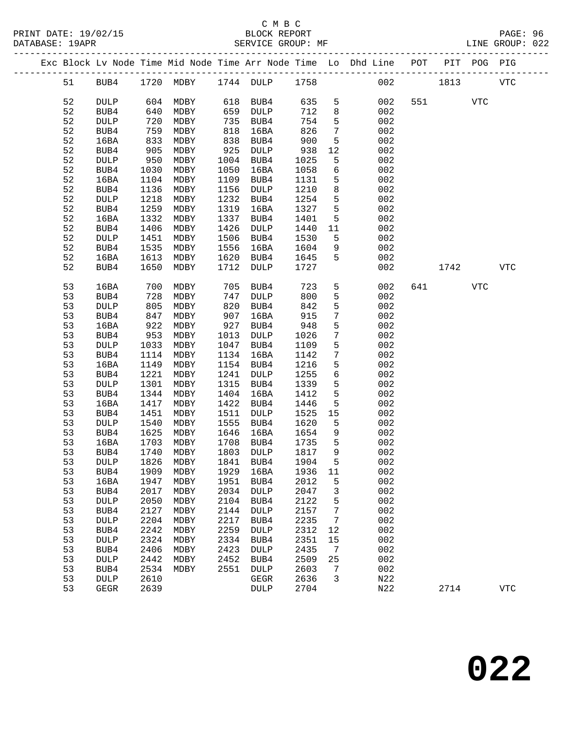|  |          |                     |              |              |              |                     |              |                 | Exc Block Lv Node Time Mid Node Time Arr Node Time Lo Dhd Line POT |     |      | PIT POG PIG |             |  |
|--|----------|---------------------|--------------|--------------|--------------|---------------------|--------------|-----------------|--------------------------------------------------------------------|-----|------|-------------|-------------|--|
|  | 51       | BUB4                |              | 1720 MDBY    |              | 1744 DULP           | 1758         |                 | 002                                                                |     | 1813 |             | <b>VTC</b>  |  |
|  | 52       | <b>DULP</b>         | 604          | MDBY         | 618          | BUB4                | 635          | 5               | 002                                                                | 551 |      | VTC         |             |  |
|  | 52       | BUB4                | 640          | MDBY         | 659          | DULP                | 712          | 8               | 002                                                                |     |      |             |             |  |
|  | 52       | <b>DULP</b>         | 720          | MDBY         | 735          | BUB4                | 754          | 5               | 002                                                                |     |      |             |             |  |
|  | 52       | BUB4                | 759          | MDBY         | 818          | 16BA                | 826          | 7               | 002                                                                |     |      |             |             |  |
|  | 52       | 16BA                | 833          | MDBY         | 838          | BUB4                | 900          | 5               | 002                                                                |     |      |             |             |  |
|  | 52       | BUB4                | 905          | MDBY         | 925          | DULP                | 938          | 12              | 002                                                                |     |      |             |             |  |
|  | 52       | DULP                | 950          | MDBY         | 1004         | BUB4                | 1025         | 5               | 002                                                                |     |      |             |             |  |
|  | 52       | BUB4                | 1030         | MDBY         | 1050         | 16BA                | 1058         | 6               | 002                                                                |     |      |             |             |  |
|  | 52       | 16BA                | 1104         | MDBY         | 1109         | BUB4                | 1131         | 5               | 002                                                                |     |      |             |             |  |
|  | 52       | BUB4                | 1136         | MDBY         | 1156         | DULP                | 1210         | 8               | 002                                                                |     |      |             |             |  |
|  | 52       | DULP                | 1218         | MDBY         | 1232         | BUB4                | 1254         | 5               | 002                                                                |     |      |             |             |  |
|  | 52       | BUB4                | 1259         | MDBY         | 1319         | 16BA                | 1327         | 5               | 002                                                                |     |      |             |             |  |
|  | 52       | 16BA                | 1332         | MDBY         | 1337         | BUB4                | 1401         | 5               | 002                                                                |     |      |             |             |  |
|  | 52       | BUB4                | 1406         | MDBY         | 1426         | DULP                | 1440         | 11              | 002                                                                |     |      |             |             |  |
|  | 52       | DULP                | 1451         | MDBY         | 1506         | BUB4                | 1530         | 5               | 002                                                                |     |      |             |             |  |
|  | 52       | BUB4                | 1535         | MDBY         | 1556         | 16BA                | 1604         | 9               | 002                                                                |     |      |             |             |  |
|  | 52       | 16BA                | 1613         | MDBY         | 1620         | BUB4                | 1645         | 5               | 002                                                                |     |      |             |             |  |
|  | 52       | BUB4                | 1650         | MDBY         | 1712         | <b>DULP</b>         | 1727         |                 | 002                                                                |     | 1742 |             | <b>VTC</b>  |  |
|  | 53       | 16BA                | 700          | MDBY         | 705          | BUB4                | 723          | 5               | 002                                                                | 641 |      | <b>VTC</b>  |             |  |
|  | 53       | BUB4                | 728          | MDBY         | 747          | DULP                | 800          | 5               | 002                                                                |     |      |             |             |  |
|  | 53       | <b>DULP</b>         | 805          | MDBY         | 820          | BUB4                | 842          | 5               | 002                                                                |     |      |             |             |  |
|  | 53       | BUB4                | 847          | MDBY         | 907          | 16BA                | 915          | $7\phantom{.0}$ | 002                                                                |     |      |             |             |  |
|  | 53       | 16BA                | 922          | MDBY         | 927          | BUB4                | 948          | 5               | 002                                                                |     |      |             |             |  |
|  | 53       | BUB4                | 953          | MDBY         | 1013         | DULP                | 1026         | $7\phantom{.0}$ | 002                                                                |     |      |             |             |  |
|  | 53       | DULP                | 1033         | MDBY         | 1047         | BUB4                | 1109         | 5               | 002                                                                |     |      |             |             |  |
|  | 53       | BUB4                | 1114         | MDBY         | 1134         | 16BA                | 1142         | $7\phantom{.0}$ | 002                                                                |     |      |             |             |  |
|  | 53       | 16BA                | 1149         | MDBY         | 1154         | BUB4                | 1216         | 5               | 002                                                                |     |      |             |             |  |
|  | 53       | BUB4                | 1221         | MDBY         | 1241         | DULP                | 1255         | $\epsilon$      | 002                                                                |     |      |             |             |  |
|  | 53       | DULP                | 1301         | MDBY         | 1315         | BUB4                | 1339         | 5               | 002                                                                |     |      |             |             |  |
|  | 53       | BUB4                | 1344         | MDBY         | 1404         | 16BA                | 1412         | $5\phantom{.0}$ | 002                                                                |     |      |             |             |  |
|  | 53       | 16BA                | 1417         | MDBY         | 1422         | BUB4                | 1446         | 5               | 002                                                                |     |      |             |             |  |
|  | 53       | BUB4                | 1451         | MDBY         | 1511         | DULP                | 1525         | 15              | 002                                                                |     |      |             |             |  |
|  | 53       | <b>DULP</b>         | 1540         | MDBY         | 1555         | BUB4                | 1620         | 5               | 002                                                                |     |      |             |             |  |
|  | 53       | BUB4                | 1625         | MDBY         | 1646         | 16BA                | 1654         | 9               | 002                                                                |     |      |             |             |  |
|  | 53       | 16BA                | 1703         | MDBY         | 1708         | BUB4                | 1735         | 5               | 002                                                                |     |      |             |             |  |
|  | 53       | BUB4                | 1740         | MDBY         | 1803         | <b>DULP</b>         | 1817         | 9               | 002                                                                |     |      |             |             |  |
|  | 53       | DULP                | 1826         | MDBY         | 1841         | BUB4                | 1904         | 5               | 002                                                                |     |      |             |             |  |
|  | 53       | BUB4                | 1909         | MDBY         | 1929         | 16BA                | 1936         | 11              | 002<br>002                                                         |     |      |             |             |  |
|  | 53       | 16BA                | 1947         | MDBY         | 1951<br>2034 | BUB4<br><b>DULP</b> | 2012<br>2047 | 5               | 002                                                                |     |      |             |             |  |
|  | 53<br>53 | BUB4<br><b>DULP</b> | 2017<br>2050 | MDBY<br>MDBY | 2104         | BUB4                | 2122         | 3<br>5          | 002                                                                |     |      |             |             |  |
|  | 53       | BUB4                | 2127         | MDBY         | 2144         | DULP                | 2157         | 7               | 002                                                                |     |      |             |             |  |
|  | 53       | <b>DULP</b>         | 2204         | MDBY         | 2217         | BUB4                | 2235         | 7               | 002                                                                |     |      |             |             |  |
|  | 53       | BUB4                | 2242         | MDBY         | 2259         | <b>DULP</b>         | 2312         | 12              | 002                                                                |     |      |             |             |  |
|  | 53       | <b>DULP</b>         | 2324         | MDBY         | 2334         | BUB4                | 2351         | 15              | 002                                                                |     |      |             |             |  |
|  | 53       | BUB4                | 2406         | MDBY         | 2423         | <b>DULP</b>         | 2435         | 7               | 002                                                                |     |      |             |             |  |
|  | 53       | <b>DULP</b>         | 2442         | MDBY         | 2452         | BUB4                | 2509         | 25              | 002                                                                |     |      |             |             |  |
|  | 53       | BUB4                | 2534         | MDBY         | 2551         | DULP                | 2603         | 7               | 002                                                                |     |      |             |             |  |
|  | 53       | <b>DULP</b>         | 2610         |              |              | GEGR                | 2636         | 3               | N22                                                                |     |      |             |             |  |
|  | 53       | <b>GEGR</b>         | 2639         |              |              | DULP                | 2704         |                 | N22                                                                |     | 2714 |             | ${\tt VTC}$ |  |
|  |          |                     |              |              |              |                     |              |                 |                                                                    |     |      |             |             |  |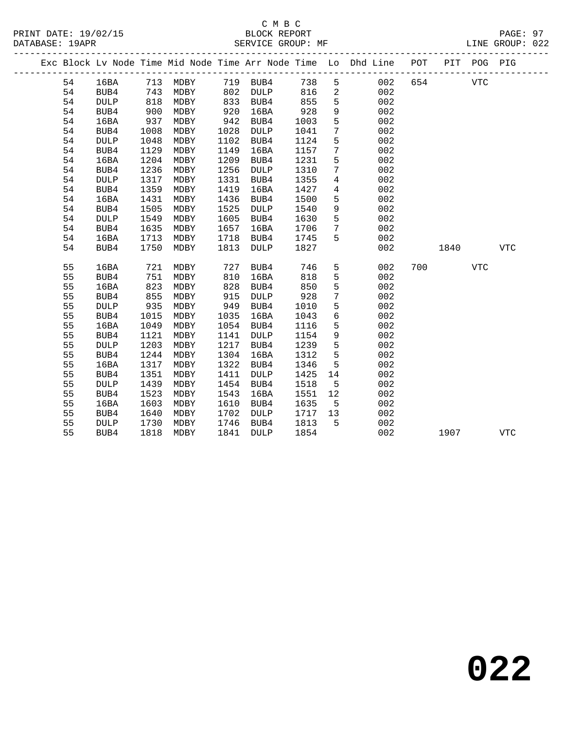|  |          |              |              |              |              |              |              |                      | Exc Block Lv Node Time Mid Node Time Arr Node Time Lo Dhd Line POT |     |      | PIT POG PIG |            |
|--|----------|--------------|--------------|--------------|--------------|--------------|--------------|----------------------|--------------------------------------------------------------------|-----|------|-------------|------------|
|  | 54       | 16BA         |              | 713 MDBY     |              | 719 BUB4     | 738          | 5                    | 002                                                                | 654 |      | <b>VTC</b>  |            |
|  | 54       | BUB4         |              | 743 MDBY     |              | 802 DULP     | 816          | $\overline{2}$       | 002                                                                |     |      |             |            |
|  | 54       | <b>DULP</b>  | 818<br>900   | MDBY         | 833<br>920   | BUB4         | 855<br>928   | 5                    | 002                                                                |     |      |             |            |
|  | 54       | BUB4         |              | MDBY         | 920          | 16BA         |              | 9                    | 002                                                                |     |      |             |            |
|  | 54       | 16BA         | 937          | MDBY         | 942          | BUB4         | 1003         | 5                    | 002                                                                |     |      |             |            |
|  | 54       | BUB4         | 1008         | MDBY         | 1028         | DULP         | 1041         | $7\phantom{.}$       | 002                                                                |     |      |             |            |
|  | 54       | <b>DULP</b>  | 1048         | MDBY         | 1102         | BUB4         | 1124         | 5                    | 002                                                                |     |      |             |            |
|  | 54       | BUB4         | 1129         | MDBY         | 1149         | 16BA         | 1157         | $7\phantom{.}$       | 002                                                                |     |      |             |            |
|  | 54       | 16BA         | 1204         | MDBY         | 1209         | BUB4         | 1231         | 5                    | 002                                                                |     |      |             |            |
|  | 54       | BUB4         | 1236         | MDBY         | 1256         | <b>DULP</b>  | 1310         | $7\phantom{.0}$      | 002                                                                |     |      |             |            |
|  | 54       | <b>DULP</b>  | 1317         | MDBY         | 1331         | BUB4         | 1355         | $\overline{4}$       | 002                                                                |     |      |             |            |
|  | 54       | BUB4         | 1359         | MDBY         | 1419         | 16BA         | 1427         | $\overline{4}$       | 002                                                                |     |      |             |            |
|  | 54       | 16BA         | 1431         | MDBY         | 1436         | BUB4         | 1500         | 5                    | 002                                                                |     |      |             |            |
|  | 54       | BUB4         | 1505         | MDBY         | 1525         | DULP         | 1540         | 9                    | 002                                                                |     |      |             |            |
|  | 54       | <b>DULP</b>  | 1549         | MDBY         | 1605         | BUB4         | 1630         | 5                    | 002                                                                |     |      |             |            |
|  | 54<br>54 | BUB4<br>16BA | 1635<br>1713 | MDBY         | 1657<br>1718 | 16BA<br>BUB4 | 1706<br>1745 | $7\phantom{.0}$<br>5 | 002<br>002                                                         |     |      |             |            |
|  | 54       | BUB4         | 1750         | MDBY<br>MDBY | 1813         | DULP         | 1827         |                      | 002                                                                |     | 1840 |             | <b>VTC</b> |
|  |          |              |              |              |              |              |              |                      |                                                                    |     |      |             |            |
|  | 55       | 16BA         | 721          | MDBY         | 727          | BUB4         | 746          | 5                    | 002                                                                | 700 |      | <b>VTC</b>  |            |
|  | 55       | BUB4         | 751          | MDBY         | 810          | 16BA         | 818          | 5                    | 002                                                                |     |      |             |            |
|  | 55       | 16BA         | 823          | MDBY         | 828          | BUB4         | 850          | 5                    | 002                                                                |     |      |             |            |
|  | 55       | BUB4         | 855          | MDBY         | 915          | DULP         | 928          | $7\phantom{.}$       | 002                                                                |     |      |             |            |
|  | 55       | <b>DULP</b>  | 935          | MDBY         | 949          | BUB4         | 1010         | 5                    | 002                                                                |     |      |             |            |
|  | 55       | BUB4         | 1015         | MDBY         | 1035         | 16BA         | 1043         | 6                    | 002                                                                |     |      |             |            |
|  | 55       | 16BA         | 1049         | MDBY         | 1054         | BUB4         | 1116         | 5                    | 002                                                                |     |      |             |            |
|  | 55       | BUB4         | 1121         | MDBY         | 1141         | DULP         | 1154         | 9                    | 002                                                                |     |      |             |            |
|  | 55       | <b>DULP</b>  | 1203         | MDBY         | 1217         | BUB4         | 1239         | 5                    | 002                                                                |     |      |             |            |
|  | 55       | BUB4         | 1244         | MDBY         | 1304         | 16BA         | 1312         | 5                    | 002                                                                |     |      |             |            |
|  | 55       | 16BA         | 1317         | MDBY         | 1322         | BUB4         | 1346         | 5                    | 002                                                                |     |      |             |            |
|  | 55       | BUB4         | 1351         | MDBY         | 1411         | DULP         | 1425         | 14                   | 002                                                                |     |      |             |            |
|  | 55       | <b>DULP</b>  | 1439         | MDBY         | 1454         | BUB4         | 1518         | $5^{\circ}$          | 002                                                                |     |      |             |            |
|  | 55       | BUB4         | 1523         | MDBY         | 1543         | 16BA         | 1551         | 12                   | 002                                                                |     |      |             |            |
|  | 55       | 16BA         | 1603         | MDBY         | 1610         | BUB4         | 1635         | $5^{\circ}$          | 002                                                                |     |      |             |            |
|  | 55       | BUB4         | 1640         | MDBY         | 1702         | DULP         | 1717         | 13                   | 002                                                                |     |      |             |            |
|  | 55       | <b>DULP</b>  | 1730         | MDBY         | 1746         | BUB4         | 1813         | 5 <sup>5</sup>       | 002                                                                |     |      |             |            |
|  | 55       | BUB4         | 1818         | MDBY         |              | 1841 DULP    | 1854         |                      | 002                                                                |     | 1907 |             | <b>VTC</b> |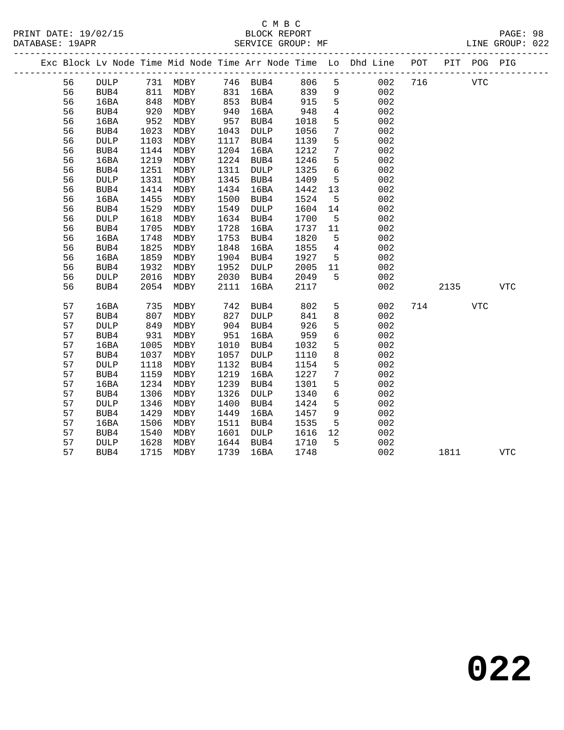|    |                 |                                           |                   |      |            |      |                 | Exc Block Lv Node Time Mid Node Time Arr Node Time Lo Dhd Line POT |     |      | PIT POG PIG |            |
|----|-----------------|-------------------------------------------|-------------------|------|------------|------|-----------------|--------------------------------------------------------------------|-----|------|-------------|------------|
| 56 | <b>DULP</b>     |                                           | 731 MDBY 746 BUB4 |      |            | 806  | $5\overline{)}$ | 002                                                                | 716 |      | <b>VTC</b>  |            |
| 56 | BUB4            | $\begin{array}{c} 811 \\ 848 \end{array}$ | MDBY              |      | 831 16BA   | 839  | 9               | 002                                                                |     |      |             |            |
| 56 | 16BA            |                                           | MDBY              |      | $853$ BUB4 | 915  | 5               | 002                                                                |     |      |             |            |
| 56 | BUB4            | 920                                       | MDBY              | 940  | 16BA       | 948  | $\overline{4}$  | 002                                                                |     |      |             |            |
| 56 | 16BA            | 952                                       | MDBY              | 957  | BUB4       | 1018 | 5               | 002                                                                |     |      |             |            |
| 56 | BUB4            | 1023                                      | MDBY              | 1043 | DULP       | 1056 | $7\overline{ }$ | 002                                                                |     |      |             |            |
| 56 | <b>DULP</b>     | 1103                                      | MDBY              | 1117 | BUB4       | 1139 | 5               | 002                                                                |     |      |             |            |
| 56 | BUB4            | 1144                                      | MDBY              | 1204 | 16BA       | 1212 | $7\phantom{.0}$ | 002                                                                |     |      |             |            |
| 56 | 16BA            | 1219                                      | MDBY              | 1224 | BUB4       | 1246 | 5               | 002                                                                |     |      |             |            |
| 56 | BUB4            | 1251                                      | MDBY              | 1311 | DULP       | 1325 | $\epsilon$      | 002                                                                |     |      |             |            |
| 56 | <b>DULP</b>     | 1331                                      | MDBY              | 1345 | BUB4       | 1409 | $5^{\circ}$     | 002                                                                |     |      |             |            |
| 56 | BUB4            | 1414                                      | MDBY              | 1434 | 16BA       | 1442 | 13              | 002                                                                |     |      |             |            |
| 56 | 16BA            | 1455                                      | MDBY              | 1500 | BUB4       | 1524 | $5^{\circ}$     | 002                                                                |     |      |             |            |
| 56 | BUB4            | 1529                                      | MDBY              | 1549 | DULP       | 1604 | 14              | 002                                                                |     |      |             |            |
| 56 | $\texttt{DULP}$ | 1618                                      | MDBY              | 1634 | BUB4       | 1700 | $5^{\circ}$     | 002                                                                |     |      |             |            |
| 56 | BUB4            | 1705                                      | MDBY              | 1728 | 16BA       | 1737 | 11              | 002                                                                |     |      |             |            |
| 56 | 16BA            | 1748                                      | MDBY              | 1753 | BUB4       | 1820 | $5^{\circ}$     | 002                                                                |     |      |             |            |
| 56 | BUB4            | 1825                                      | MDBY              | 1848 | 16BA       | 1855 | $4\overline{4}$ | 002                                                                |     |      |             |            |
| 56 | 16BA            | 1859                                      | MDBY              | 1904 | BUB4       | 1927 | 5 <sub>5</sub>  | 002                                                                |     |      |             |            |
| 56 | BUB4            | 1932                                      | MDBY              | 1952 | DULP       | 2005 | 11              | 002                                                                |     |      |             |            |
| 56 | <b>DULP</b>     | 2016                                      | MDBY              | 2030 | BUB4       | 2049 | 5               | 002                                                                |     |      |             |            |
| 56 | BUB4            | 2054                                      | MDBY              | 2111 | 16BA       | 2117 |                 | 002                                                                |     | 2135 |             | <b>VTC</b> |
| 57 | 16BA            | 735                                       | MDBY              | 742  | BUB4       | 802  | 5               | 002                                                                |     | 714  | <b>VTC</b>  |            |
| 57 | BUB4            | 807                                       | MDBY              | 827  | DULP       | 841  | 8               | 002                                                                |     |      |             |            |
| 57 | <b>DULP</b>     | 849                                       | MDBY              | 904  | BUB4       | 926  | 5               | 002                                                                |     |      |             |            |
| 57 | BUB4            | 931                                       | MDBY              | 951  | 16BA       | 959  | $\sqrt{6}$      | 002                                                                |     |      |             |            |
| 57 | 16BA            | 1005                                      | MDBY              | 1010 | BUB4       | 1032 | 5               | 002                                                                |     |      |             |            |
| 57 | BUB4            | 1037                                      | MDBY              | 1057 | DULP       | 1110 | $\,8\,$         | 002                                                                |     |      |             |            |
| 57 | <b>DULP</b>     | 1118                                      | MDBY              | 1132 | BUB4       | 1154 | $\overline{5}$  | 002                                                                |     |      |             |            |
| 57 | BUB4            | 1159                                      | MDBY              | 1219 | 16BA       | 1227 | $7\phantom{.0}$ | 002                                                                |     |      |             |            |
| 57 | 16BA            | 1234                                      | MDBY              | 1239 | BUB4       | 1301 | 5               | 002                                                                |     |      |             |            |
| 57 | BUB4            | 1306                                      | MDBY              | 1326 | DULP       | 1340 | $6\overline{6}$ | 002                                                                |     |      |             |            |
| 57 | $\texttt{DULP}$ | 1346                                      | MDBY              | 1400 | BUB4       | 1424 | 5               | 002                                                                |     |      |             |            |
| 57 | BUB4            | 1429                                      | MDBY              | 1449 | 16BA       | 1457 | 9               | 002                                                                |     |      |             |            |
| 57 | 16BA            | 1506                                      | MDBY              | 1511 | BUB4       | 1535 | 5               | 002                                                                |     |      |             |            |
| 57 | BUB4            | 1540                                      | MDBY              | 1601 | DULP       | 1616 | 12              | 002                                                                |     |      |             |            |
| 57 | <b>DULP</b>     | 1628                                      | MDBY              |      | 1644 BUB4  | 1710 | 5               | 002                                                                |     |      |             |            |
| 57 | BUB4            | 1715                                      | MDBY              | 1739 | 16BA       | 1748 |                 | 002                                                                |     | 1811 |             | <b>VTC</b> |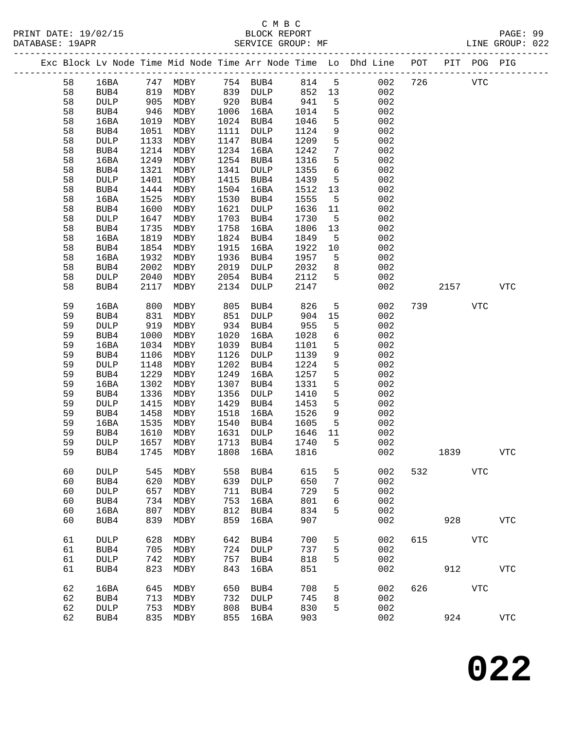#### C M B C<br>BLOCK REPORT SERVICE GROUP: MF

-------------------------------------------------------------------------------------------------

PRINT DATE: 19/02/15 BLOCK REPORT PAGE: 99

|  |    |             |      |                   |      |              |      |    | Exc Block Lv Node Time Mid Node Time Arr Node Time Lo Dhd Line | POT | PIT  | POG PIG    |              |
|--|----|-------------|------|-------------------|------|--------------|------|----|----------------------------------------------------------------|-----|------|------------|--------------|
|  | 58 | 16BA        | 747  | MDBY              |      | 754 BUB4     | 814  | 5  | 002                                                            | 726 |      | <b>VTC</b> |              |
|  | 58 | BUB4        | 819  | MDBY              | 839  | <b>DULP</b>  | 852  | 13 | 002                                                            |     |      |            |              |
|  | 58 | DULP        | 905  | MDBY              | 920  | BUB4         | 941  | 5  | 002                                                            |     |      |            |              |
|  | 58 | BUB4        | 946  | MDBY              | 1006 | 16BA         | 1014 | 5  | 002                                                            |     |      |            |              |
|  | 58 | 16BA        | 1019 | MDBY              | 1024 | BUB4         | 1046 | 5  | 002                                                            |     |      |            |              |
|  | 58 |             | 1051 |                   | 1111 |              | 1124 |    | 002                                                            |     |      |            |              |
|  |    | BUB4        |      | MDBY              |      | <b>DULP</b>  |      | 9  |                                                                |     |      |            |              |
|  | 58 | DULP        | 1133 | MDBY              | 1147 | BUB4         | 1209 | 5  | 002                                                            |     |      |            |              |
|  | 58 | BUB4        | 1214 | MDBY              | 1234 | 16BA         | 1242 | 7  | 002                                                            |     |      |            |              |
|  | 58 | 16BA        | 1249 | MDBY              | 1254 | BUB4         | 1316 | 5  | 002                                                            |     |      |            |              |
|  | 58 | BUB4        | 1321 | MDBY              | 1341 | <b>DULP</b>  | 1355 | 6  | 002                                                            |     |      |            |              |
|  | 58 | <b>DULP</b> | 1401 | MDBY              | 1415 | BUB4         | 1439 | 5  | 002                                                            |     |      |            |              |
|  | 58 | BUB4        | 1444 | MDBY              | 1504 | 16BA         | 1512 | 13 | 002                                                            |     |      |            |              |
|  | 58 | 16BA        | 1525 | MDBY              | 1530 | BUB4         | 1555 | 5  | 002                                                            |     |      |            |              |
|  | 58 | BUB4        | 1600 | MDBY              | 1621 | <b>DULP</b>  | 1636 | 11 | 002                                                            |     |      |            |              |
|  | 58 | DULP        | 1647 | MDBY              | 1703 | BUB4         | 1730 | 5  | 002                                                            |     |      |            |              |
|  | 58 | BUB4        | 1735 | MDBY              | 1758 | 16BA         | 1806 | 13 | 002                                                            |     |      |            |              |
|  | 58 | 16BA        | 1819 | MDBY              | 1824 | BUB4         | 1849 | 5  | 002                                                            |     |      |            |              |
|  | 58 | BUB4        | 1854 | MDBY              | 1915 | 16BA         | 1922 | 10 | 002                                                            |     |      |            |              |
|  | 58 | 16BA        | 1932 | MDBY              | 1936 | BUB4         | 1957 | 5  | 002                                                            |     |      |            |              |
|  | 58 | BUB4        | 2002 | $\texttt{MDBY}{}$ | 2019 | <b>DULP</b>  | 2032 | 8  | 002                                                            |     |      |            |              |
|  | 58 | <b>DULP</b> | 2040 | MDBY              | 2054 | BUB4         | 2112 | 5  | 002                                                            |     |      |            |              |
|  | 58 | BUB4        | 2117 | MDBY              | 2134 | <b>DULP</b>  | 2147 |    | 002                                                            |     | 2157 |            | ${\tt VTC}$  |
|  |    |             |      |                   |      |              |      |    |                                                                |     |      |            |              |
|  | 59 | 16BA        | 800  | MDBY              | 805  | BUB4         | 826  | 5  | 002                                                            | 739 |      | <b>VTC</b> |              |
|  | 59 | BUB4        | 831  | MDBY              | 851  | <b>DULP</b>  | 904  | 15 | 002                                                            |     |      |            |              |
|  | 59 | DULP        | 919  | MDBY              | 934  | BUB4         | 955  | 5  | 002                                                            |     |      |            |              |
|  | 59 | BUB4        | 1000 | MDBY              | 1020 | 16BA         | 1028 | 6  | 002                                                            |     |      |            |              |
|  | 59 | 16BA        | 1034 | MDBY              | 1039 | BUB4         | 1101 | 5  | 002                                                            |     |      |            |              |
|  | 59 | BUB4        | 1106 | MDBY              | 1126 | DULP         | 1139 | 9  | 002                                                            |     |      |            |              |
|  | 59 | <b>DULP</b> | 1148 | MDBY              | 1202 | BUB4         | 1224 | 5  | 002                                                            |     |      |            |              |
|  | 59 | BUB4        | 1229 | MDBY              | 1249 | 16BA         | 1257 | 5  | 002                                                            |     |      |            |              |
|  | 59 | 16BA        | 1302 | MDBY              | 1307 | BUB4         | 1331 | 5  | 002                                                            |     |      |            |              |
|  | 59 | BUB4        | 1336 | MDBY              | 1356 | <b>DULP</b>  | 1410 | 5  | 002                                                            |     |      |            |              |
|  | 59 | <b>DULP</b> | 1415 | MDBY              | 1429 | BUB4         | 1453 | 5  | 002                                                            |     |      |            |              |
|  | 59 | BUB4        | 1458 | MDBY              | 1518 | 16BA         | 1526 | 9  | 002                                                            |     |      |            |              |
|  | 59 | 16BA        | 1535 | MDBY              | 1540 | BUB4         | 1605 | 5  | 002                                                            |     |      |            |              |
|  | 59 | BUB4        | 1610 | MDBY              | 1631 | <b>DULP</b>  | 1646 | 11 | 002                                                            |     |      |            |              |
|  | 59 | <b>DULP</b> | 1657 |                   | 1713 |              | 1740 | 5  | 002                                                            |     |      |            |              |
|  | 59 | BUB4        | 1745 | MDBY<br>MDBY      | 1808 | BUB4<br>16BA | 1816 |    | 002                                                            |     | 1839 |            | ${\tt VTC}$  |
|  |    |             |      |                   |      |              |      |    |                                                                |     |      |            |              |
|  | 60 | DULP        |      | 545 MDBY          | 558  | BUB4         | 615  | 5  | 002                                                            | 532 |      | <b>VTC</b> |              |
|  | 60 | BUB4        | 620  | MDBY              | 639  | <b>DULP</b>  | 650  | 7  | 002                                                            |     |      |            |              |
|  | 60 | DULP        | 657  | MDBY              | 711  | BUB4         | 729  | 5  | 002                                                            |     |      |            |              |
|  | 60 | BUB4        | 734  | MDBY              | 753  | 16BA         | 801  | 6  | 002                                                            |     |      |            |              |
|  | 60 | 16BA        | 807  | MDBY              | 812  | BUB4         | 834  | 5  | 002                                                            |     |      |            |              |
|  | 60 | BUB4        | 839  | MDBY              | 859  | 16BA         | 907  |    | 002                                                            |     | 928  |            | $_{\rm VTC}$ |
|  |    |             |      |                   |      |              |      |    |                                                                |     |      |            |              |
|  | 61 | DULP        | 628  | MDBY              | 642  | BUB4         | 700  | 5  | 002                                                            | 615 |      | VTC        |              |
|  | 61 | BUB4        | 705  | MDBY              | 724  | DULP         | 737  | 5  | 002                                                            |     |      |            |              |
|  | 61 | DULP        | 742  | MDBY              | 757  | BUB4         | 818  | 5  | 002                                                            |     |      |            |              |
|  | 61 | BUB4        | 823  | MDBY              | 843  | 16BA         | 851  |    | 002                                                            |     | 912  |            | <b>VTC</b>   |
|  |    |             |      |                   |      |              |      |    |                                                                |     |      |            |              |
|  | 62 | 16BA        | 645  | MDBY              | 650  | BUB4         | 708  | 5  | 002                                                            | 626 |      | <b>VTC</b> |              |
|  | 62 | BUB4        | 713  | MDBY              | 732  | DULP         | 745  | 8  | 002                                                            |     |      |            |              |
|  | 62 | DULP        | 753  | MDBY              | 808  | BUB4         | 830  | 5  | 002                                                            |     |      |            |              |
|  | 62 | BUB4        | 835  | MDBY              | 855  | 16BA         | 903  |    | 002                                                            |     | 924  |            | $_{\rm VTC}$ |
|  |    |             |      |                   |      |              |      |    |                                                                |     |      |            |              |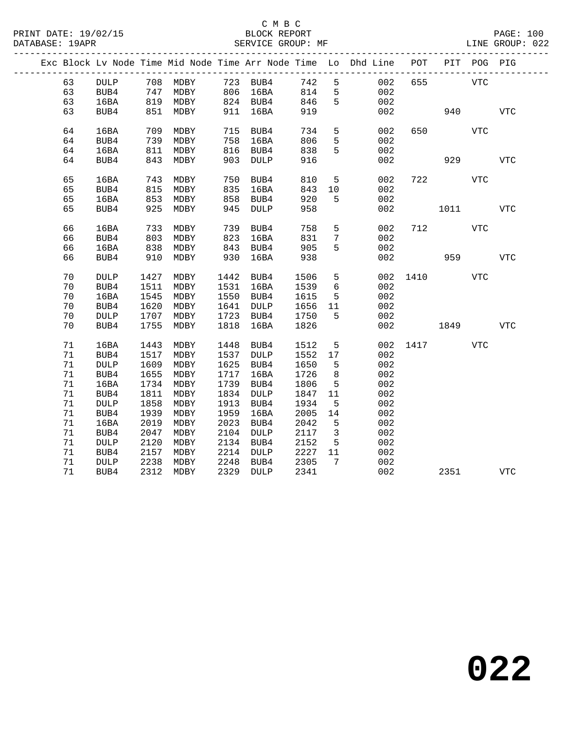|  |    |                 |      |          |      |                         |      |                 | Exc Block Lv Node Time Mid Node Time Arr Node Time Lo Dhd Line | POT  |      | PIT POG PIG |            |
|--|----|-----------------|------|----------|------|-------------------------|------|-----------------|----------------------------------------------------------------|------|------|-------------|------------|
|  | 63 | <b>DULP</b>     |      | 708 MDBY |      | 723 BUB4                | 742  | 5               | 002                                                            | 655  |      | VTC         |            |
|  | 63 | BUB4            | 747  | MDBY     |      | 806 16BA                | 814  | 5               | 002                                                            |      |      |             |            |
|  | 63 | 16BA            | 819  | MDBY     |      | $824 \quad \text{BUB4}$ | 846  | 5               | 002                                                            |      |      |             |            |
|  | 63 | BUB4            | 851  | MDBY     | 911  | 16BA                    | 919  |                 | 002                                                            |      | 940  |             | <b>VTC</b> |
|  |    |                 |      |          |      |                         |      |                 |                                                                |      |      |             |            |
|  | 64 | 16BA            | 709  | MDBY     | 715  | BUB4                    | 734  | 5               | 002                                                            | 650  |      | <b>VTC</b>  |            |
|  | 64 | BUB4            | 739  | MDBY     | 758  | 16BA                    | 806  | 5               | 002                                                            |      |      |             |            |
|  | 64 | 16BA            | 811  | MDBY     | 816  | BUB4                    | 838  | 5               | 002                                                            |      |      |             |            |
|  | 64 | BUB4            | 843  | MDBY     | 903  | <b>DULP</b>             | 916  |                 | 002                                                            |      | 929  |             | VTC        |
|  |    |                 |      |          |      |                         |      |                 |                                                                |      |      |             |            |
|  | 65 | 16BA            | 743  | MDBY     | 750  | BUB4                    | 810  | 5               | 002                                                            | 722  |      | <b>VTC</b>  |            |
|  | 65 | BUB4            | 815  | MDBY     | 835  | 16BA                    | 843  | 10              | 002                                                            |      |      |             |            |
|  | 65 | 16BA            | 853  | MDBY     | 858  | BUB4                    | 920  | 5               | 002                                                            |      |      |             |            |
|  | 65 | BUB4            | 925  | MDBY     | 945  | <b>DULP</b>             | 958  |                 | 002                                                            |      | 1011 |             | VTC        |
|  |    |                 |      |          |      |                         |      |                 |                                                                |      |      |             |            |
|  | 66 | 16BA            | 733  | MDBY     | 739  | BUB4                    | 758  | 5               | 002                                                            | 712  |      | <b>VTC</b>  |            |
|  | 66 | BUB4            | 803  | MDBY     | 823  | 16BA                    | 831  | $7\phantom{.0}$ | 002                                                            |      |      |             |            |
|  | 66 | 16BA            | 838  | MDBY     | 843  | BUB4                    | 905  | 5               | 002                                                            |      |      |             |            |
|  | 66 | BUB4            | 910  | MDBY     | 930  | 16BA                    | 938  |                 | 002                                                            |      | 959  |             | <b>VTC</b> |
|  | 70 | $\texttt{DULP}$ | 1427 | MDBY     | 1442 | BUB4                    | 1506 | 5               | 002                                                            | 1410 |      | VTC         |            |
|  | 70 | BUB4            | 1511 | MDBY     | 1531 | 16BA                    | 1539 | 6               | 002                                                            |      |      |             |            |
|  | 70 | 16BA            | 1545 | MDBY     | 1550 | BUB4                    | 1615 | 5               | 002                                                            |      |      |             |            |
|  | 70 | BUB4            | 1620 | MDBY     | 1641 | DULP                    | 1656 | 11              | 002                                                            |      |      |             |            |
|  | 70 | <b>DULP</b>     | 1707 | MDBY     | 1723 | BUB4                    | 1750 | 5               | 002                                                            |      |      |             |            |
|  | 70 | BUB4            | 1755 | MDBY     | 1818 | 16BA                    | 1826 |                 | 002                                                            |      | 1849 |             | <b>VTC</b> |
|  |    |                 |      |          |      |                         |      |                 |                                                                |      |      |             |            |
|  | 71 | 16BA            | 1443 | MDBY     | 1448 | BUB4                    | 1512 | 5               | 002                                                            |      | 1417 | <b>VTC</b>  |            |
|  | 71 | BUB4            | 1517 | MDBY     | 1537 | $\texttt{DULP}$         | 1552 | 17              | 002                                                            |      |      |             |            |
|  | 71 | <b>DULP</b>     | 1609 | MDBY     | 1625 | BUB4                    | 1650 | 5               | 002                                                            |      |      |             |            |
|  | 71 | BUB4            | 1655 | MDBY     | 1717 | 16BA                    | 1726 | 8               | 002                                                            |      |      |             |            |
|  | 71 | 16BA            | 1734 | MDBY     | 1739 | BUB4                    | 1806 | 5               | 002                                                            |      |      |             |            |
|  | 71 | BUB4            | 1811 | MDBY     | 1834 | DULP                    | 1847 | 11              | 002                                                            |      |      |             |            |
|  | 71 | <b>DULP</b>     | 1858 | MDBY     | 1913 | BUB4                    | 1934 | 5               | 002                                                            |      |      |             |            |
|  | 71 | BUB4            | 1939 | MDBY     | 1959 | 16BA                    | 2005 | 14              | 002                                                            |      |      |             |            |
|  | 71 | 16BA            | 2019 | MDBY     | 2023 | BUB4                    | 2042 | 5               | 002                                                            |      |      |             |            |
|  | 71 | BUB4            | 2047 | MDBY     | 2104 | DULP                    | 2117 | $\overline{3}$  | 002                                                            |      |      |             |            |
|  | 71 | <b>DULP</b>     | 2120 | MDBY     | 2134 | BUB4                    | 2152 | $5\overline{5}$ | 002                                                            |      |      |             |            |
|  | 71 | BUB4            | 2157 | MDBY     | 2214 | DULP                    | 2227 | 11              | 002                                                            |      |      |             |            |
|  | 71 | <b>DULP</b>     | 2238 | MDBY     | 2248 | BUB4                    | 2305 | $7\phantom{.0}$ | 002                                                            |      |      |             |            |
|  | 71 | BUB4            | 2312 | MDBY     | 2329 | DULP                    | 2341 |                 | 002                                                            |      | 2351 |             | VTC        |
|  |    |                 |      |          |      |                         |      |                 |                                                                |      |      |             |            |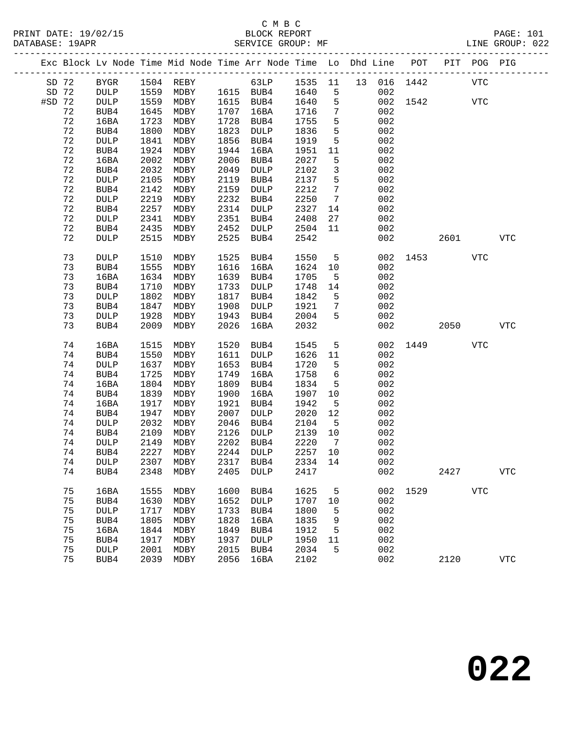PRINT DATE: 19/02/15 BLOCK REPORT BATABASE: 19APR

# C M B C

PAGE: 101<br>LINE GROUP: 022

|        |      |                 |      |                                                                    |      | OBRATCE QROOF, ME |         |                              |    |     |      |      |            | GROUP. UZZ  |
|--------|------|-----------------|------|--------------------------------------------------------------------|------|-------------------|---------|------------------------------|----|-----|------|------|------------|-------------|
|        |      |                 |      | Exc Block Lv Node Time Mid Node Time Arr Node Time Lo Dhd Line POT |      |                   |         |                              |    |     |      | PIT  | POG        | PIG         |
| SD 72  |      | <b>BYGR</b>     |      | 1504 REBY                                                          |      | 63LP              | 1535 11 |                              | 13 | 016 | 1442 |      | <b>VTC</b> |             |
| SD 72  |      | $\texttt{DULP}$ | 1559 | MDBY                                                               |      | 1615 BUB4         | 1640    | 5                            |    | 002 |      |      |            |             |
| #SD 72 |      | $\texttt{DULP}$ | 1559 | MDBY                                                               |      | 1615 BUB4         | 1640    | $\overline{5}$               |    | 002 | 1542 |      | <b>VTC</b> |             |
|        | 72   | BUB4            | 1645 | MDBY                                                               | 1707 | 16BA              | 1716    | $7\phantom{.0}$              |    | 002 |      |      |            |             |
|        | 72   | 16BA            | 1723 | MDBY                                                               | 1728 | BUB4              | 1755    | 5                            |    | 002 |      |      |            |             |
|        | 72   | BUB4            | 1800 | MDBY                                                               | 1823 | DULP              | 1836    | 5                            |    | 002 |      |      |            |             |
|        | 72   | <b>DULP</b>     | 1841 | MDBY                                                               | 1856 | BUB4              | 1919    | $5\phantom{.0}$              |    | 002 |      |      |            |             |
|        | 72   | BUB4            | 1924 | MDBY                                                               | 1944 | 16BA              | 1951    | 11                           |    | 002 |      |      |            |             |
|        | 72   | 16BA            | 2002 | MDBY                                                               | 2006 | BUB4              | 2027    | 5                            |    | 002 |      |      |            |             |
|        | 72   | BUB4            | 2032 | MDBY                                                               | 2049 | DULP              | 2102    | $\mathbf{3}$                 |    | 002 |      |      |            |             |
|        | 72   | <b>DULP</b>     | 2105 | MDBY                                                               | 2119 | BUB4              | 2137    | 5                            |    | 002 |      |      |            |             |
|        | 72   | BUB4            | 2142 | MDBY                                                               | 2159 | DULP              | 2212    | $7\phantom{.0}$              |    | 002 |      |      |            |             |
|        | 72   | <b>DULP</b>     | 2219 | MDBY                                                               | 2232 | BUB4              | 2250    | $7\phantom{.0}\phantom{.0}7$ |    | 002 |      |      |            |             |
|        | 72   | BUB4            | 2257 | MDBY                                                               | 2314 | DULP              | 2327    | 14                           |    | 002 |      |      |            |             |
|        | 72   | <b>DULP</b>     | 2341 | MDBY                                                               | 2351 | BUB4              | 2408    | 27                           |    | 002 |      |      |            |             |
|        | 72   | BUB4            | 2435 | MDBY                                                               | 2452 | DULP              | 2504    | 11                           |    | 002 |      |      |            |             |
|        | 72   | <b>DULP</b>     | 2515 | MDBY                                                               | 2525 | BUB4              | 2542    |                              |    | 002 |      | 2601 |            | <b>VTC</b>  |
|        | 73   | <b>DULP</b>     | 1510 | MDBY                                                               | 1525 | BUB4              | 1550    | 5                            |    | 002 | 1453 |      | <b>VTC</b> |             |
|        | 73   | BUB4            | 1555 | MDBY                                                               | 1616 | 16BA              | 1624    | 10                           |    | 002 |      |      |            |             |
|        | 73   | 16BA            | 1634 | MDBY                                                               | 1639 | BUB4              | 1705    | 5                            |    | 002 |      |      |            |             |
|        | 73   | BUB4            | 1710 | MDBY                                                               | 1733 | DULP              | 1748    | 14                           |    | 002 |      |      |            |             |
|        | 73   | <b>DULP</b>     | 1802 | MDBY                                                               | 1817 | BUB4              | 1842    | 5                            |    | 002 |      |      |            |             |
|        | 73   | BUB4            | 1847 | MDBY                                                               | 1908 | DULP              | 1921    | 7                            |    | 002 |      |      |            |             |
|        | 73   | DULP            | 1928 | MDBY                                                               | 1943 | BUB4              | 2004    | 5                            |    | 002 |      |      |            |             |
|        | 73   | BUB4            | 2009 | MDBY                                                               | 2026 | 16BA              | 2032    |                              |    | 002 |      | 2050 |            | <b>VTC</b>  |
|        | 74   | 16BA            | 1515 | MDBY                                                               | 1520 | BUB4              | 1545    | 5                            |    | 002 | 1449 |      | <b>VTC</b> |             |
|        | 74   | BUB4            | 1550 | MDBY                                                               | 1611 | DULP              | 1626    | 11                           |    | 002 |      |      |            |             |
|        | 74   | $\texttt{DULP}$ | 1637 | MDBY                                                               | 1653 | BUB4              | 1720    | 5                            |    | 002 |      |      |            |             |
|        | 74   | BUB4            | 1725 | MDBY                                                               | 1749 | 16BA              | 1758    | 6                            |    | 002 |      |      |            |             |
|        | 74   | 16BA            | 1804 | MDBY                                                               | 1809 | BUB4              | 1834    | 5                            |    | 002 |      |      |            |             |
|        | 74   | BUB4            | 1839 | MDBY                                                               | 1900 | 16BA              | 1907    | 10                           |    | 002 |      |      |            |             |
|        | 74   | 16BA            | 1917 | MDBY                                                               | 1921 | BUB4              | 1942    | 5                            |    | 002 |      |      |            |             |
|        | 74   | BUB4            | 1947 | MDBY                                                               | 2007 | DULP              | 2020    | 12                           |    | 002 |      |      |            |             |
|        | 74   | <b>DULP</b>     | 2032 | MDBY                                                               | 2046 | BUB4              | 2104    | $5^{\circ}$                  |    | 002 |      |      |            |             |
|        | 74   | BUB4            | 2109 | MDBY                                                               | 2126 | $\texttt{DULP}{}$ | 2139    | 10                           |    | 002 |      |      |            |             |
|        | 74   | <b>DULP</b>     | 2149 | MDBY                                                               | 2202 | BUB4              | 2220    | $\overline{7}$               |    | 002 |      |      |            |             |
|        | 74   | BUB4            | 2227 | MDBY                                                               | 2244 | DULP              | 2257 10 |                              |    | 002 |      |      |            |             |
|        | $74$ | $\texttt{DULP}$ | 2307 | MDBY                                                               | 2317 | BUB4              | 2334    | 14                           |    | 002 |      |      |            |             |
|        | 74   | BUB4            | 2348 | MDBY                                                               | 2405 | DULP              | 2417    |                              |    | 002 |      | 2427 |            | ${\tt VTC}$ |
|        | 75   | 16BA            | 1555 | MDBY                                                               | 1600 | BUB4              | 1625    | 5                            |    | 002 | 1529 |      | <b>VTC</b> |             |
|        | 75   | BUB4            | 1630 | MDBY                                                               | 1652 | <b>DULP</b>       | 1707    | 10                           |    | 002 |      |      |            |             |
|        | 75   | <b>DULP</b>     | 1717 | MDBY                                                               | 1733 | BUB4              | 1800    | 5                            |    | 002 |      |      |            |             |
|        | 75   | BUB4            | 1805 | MDBY                                                               | 1828 | 16BA              | 1835    | 9                            |    | 002 |      |      |            |             |
|        | 75   | 16BA            | 1844 | MDBY                                                               | 1849 | BUB4              | 1912    | 5                            |    | 002 |      |      |            |             |
|        | 75   | BUB4            | 1917 | MDBY                                                               | 1937 | DULP              | 1950    | 11                           |    | 002 |      |      |            |             |
|        | 75   | <b>DULP</b>     | 2001 | MDBY                                                               | 2015 | BUB4              | 2034    | 5                            |    | 002 |      |      |            |             |
|        | 75   | BUB4            | 2039 | MDBY                                                               | 2056 | 16BA              | 2102    |                              |    | 002 |      | 2120 |            | <b>VTC</b>  |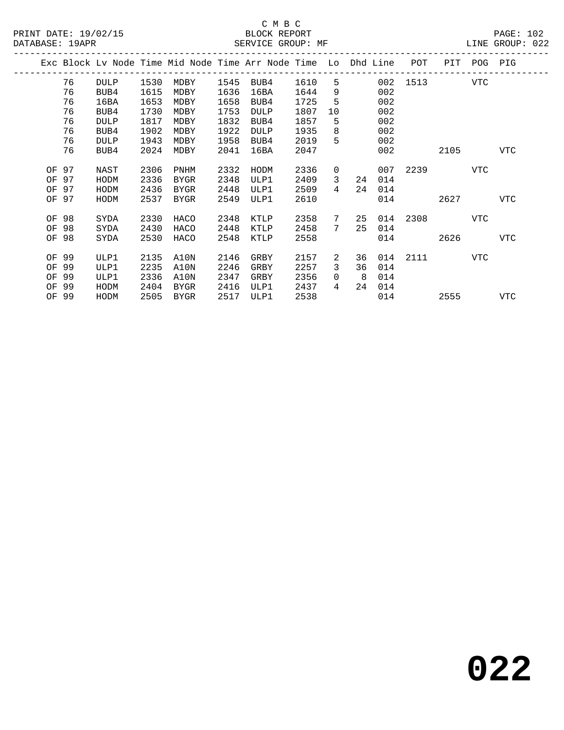|       |       |             |      |             |      | Exc Block Lv Node Time Mid Node Time Arr Node Time Lo Dhd Line |      |    |     |     | POT  | PIT  | POG | PIG        |
|-------|-------|-------------|------|-------------|------|----------------------------------------------------------------|------|----|-----|-----|------|------|-----|------------|
|       | 76    | <b>DULP</b> | 1530 | MDBY        | 1545 | BUB4                                                           | 1610 | 5  |     | 002 | 1513 |      | VTC |            |
|       | 76    | BUB4        | 1615 | MDBY        | 1636 | 16BA                                                           | 1644 | 9  |     | 002 |      |      |     |            |
|       | 76    | 16BA        | 1653 | MDBY        | 1658 | BUB4                                                           | 1725 | 5  |     | 002 |      |      |     |            |
|       | 76    | BUB4        | 1730 | MDBY        | 1753 | <b>DULP</b>                                                    | 1807 | 10 |     | 002 |      |      |     |            |
|       | 76    | <b>DULP</b> | 1817 | MDBY        | 1832 | BUB4                                                           | 1857 | 5  |     | 002 |      |      |     |            |
|       | 76    | BUB4        | 1902 | MDBY        | 1922 | <b>DULP</b>                                                    | 1935 | 8  |     | 002 |      |      |     |            |
|       | 76    | <b>DULP</b> | 1943 | MDBY        | 1958 | BUB4                                                           | 2019 | 5  |     | 002 |      |      |     |            |
|       | 76    | BUB4        | 2024 | MDBY        | 2041 | 16BA                                                           | 2047 |    |     | 002 |      | 2105 |     | VTC        |
|       |       |             |      |             |      |                                                                |      |    |     |     |      |      |     |            |
| OF 97 |       | NAST        | 2306 | PNHM        | 2332 | HODM                                                           | 2336 | 0  |     | 007 | 2239 |      | VTC |            |
| OF 97 |       | HODM        | 2336 | <b>BYGR</b> | 2348 | ULP1                                                           | 2409 | 3  | 24  | 014 |      |      |     |            |
| OF 97 |       | HODM        | 2436 | BYGR        | 2448 | ULP1                                                           | 2509 | 4  | 24  | 014 |      |      |     |            |
| OF 97 |       | HODM        | 2537 | BYGR        | 2549 | ULP1                                                           | 2610 |    |     | 014 |      | 2627 |     | <b>VTC</b> |
|       |       |             |      |             |      |                                                                |      |    |     |     |      |      |     |            |
| OF 98 |       | SYDA        | 2330 | HACO        | 2348 | KTLP                                                           | 2358 | 7  | 25  | 014 | 2308 |      | VTC |            |
| OF 98 |       | SYDA        | 2430 | HACO        | 2448 | KTLP                                                           | 2458 | 7  | 25  | 014 |      |      |     |            |
| OF 98 |       | SYDA        | 2530 | HACO        | 2548 | KTLP                                                           | 2558 |    |     | 014 |      | 2626 |     | VTC        |
|       |       |             |      |             |      |                                                                |      |    |     |     |      |      |     |            |
| OF 99 |       | ULP1        | 2135 | A10N        | 2146 | GRBY                                                           | 2157 | 2  | 36  | 014 | 2111 |      | VTC |            |
| OF    | 99    | ULP1        | 2235 | A10N        | 2246 | GRBY                                                           | 2257 | 3  | 36  | 014 |      |      |     |            |
| OF    | 99    | ULP1        | 2336 | A10N        | 2347 | GRBY                                                           | 2356 | 0  | - 8 | 014 |      |      |     |            |
| OF    | 99    | HODM        | 2404 | BYGR        | 2416 | ULP1                                                           | 2437 | 4  | 24  | 014 |      |      |     |            |
|       | OF 99 | HODM        | 2505 | BYGR        | 2517 | ULP1                                                           | 2538 |    |     | 014 |      | 2555 |     | VTC        |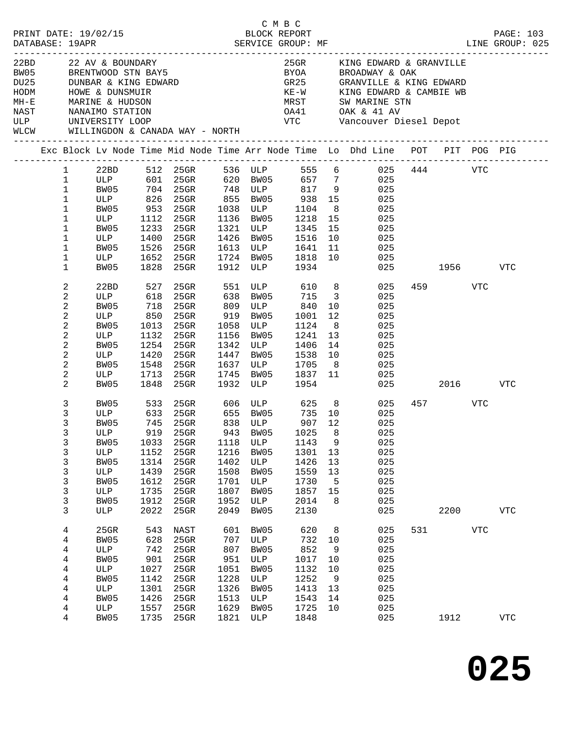| DATABASE: 19APR |                                                                                                                                                          |                                                                    | PRINT DATE: 19/02/15                                                                                               |                                                                          | POCK REPORT<br>BLOCK REPORT<br>SERVICE GROUP: MF                                                                                                                                                       |                                                                          |                                                                         | C M B C                                                                   |                                                 |                                                                                                                                                                                                                                                                                                                                                                                              |     |         |            | PAGE: 103<br>LINE GROUP: 025 |
|-----------------|----------------------------------------------------------------------------------------------------------------------------------------------------------|--------------------------------------------------------------------|--------------------------------------------------------------------------------------------------------------------|--------------------------------------------------------------------------|--------------------------------------------------------------------------------------------------------------------------------------------------------------------------------------------------------|--------------------------------------------------------------------------|-------------------------------------------------------------------------|---------------------------------------------------------------------------|-------------------------------------------------|----------------------------------------------------------------------------------------------------------------------------------------------------------------------------------------------------------------------------------------------------------------------------------------------------------------------------------------------------------------------------------------------|-----|---------|------------|------------------------------|
|                 |                                                                                                                                                          |                                                                    | HODM HOWE & DUNSMUIR<br>HODM HOWE & HUDSON<br>NAST NANAIMO STATION<br>ULP UNIVERSITY LOOP                          |                                                                          | WLCW WILLINGDON & CANADA WAY - NORTH                                                                                                                                                                   |                                                                          |                                                                         |                                                                           |                                                 | 22BD 22 AV & BOUNDARY 25GR KING EDWARD & GRANVILLE BW05 BRENTWOOD STN BAY5<br>27 BRENTWOOD STN BAY5 28YOA BROADWAY & OAK DU25 DUNBAR & KING EDWARD<br>KE-W KING EDWARD & CAMBIE WB<br>MRST SW MARINE STN<br>OA41 OAK & 41 AV<br>VTC Vancouver Diesel Depot                                                                                                                                   |     |         |            |                              |
|                 |                                                                                                                                                          |                                                                    |                                                                                                                    |                                                                          |                                                                                                                                                                                                        |                                                                          |                                                                         |                                                                           |                                                 | Exc Block Lv Node Time Mid Node Time Arr Node Time Lo Dhd Line POT PIT POG PIG                                                                                                                                                                                                                                                                                                               |     |         |            |                              |
|                 | $\mathbf{1}$<br>$\mathbf{1}$<br>$\mathbf{1}$<br>$\mathbf 1$<br>$\mathbf 1$<br>$\mathbf{1}$<br>$\mathbf 1$<br>2<br>$\mathbf{2}$<br>2<br>$\mathbf{2}$<br>2 | $\mathbf{1}$<br>$\mathbf{1}$<br>$\mathbf 1$<br>2<br>$\overline{c}$ | BW05<br>ULP 1112<br>BW05 1526<br>ULP 1652<br>BW05<br>22BD<br>ULP 618<br>BW05 718<br>ULP 850<br>BW05<br>ULP<br>BW05 | 527<br>1013<br>1132<br>1254                                              | 953 25GR 1038 ULP 1104 8<br>25GR 1136 BW05 1218 15<br>25GR 1724 BW05 1818 10<br>1828  25GR  1912  ULP  1934<br>25GR 638 BW05<br>25GR 809 ULP 840 10<br>25GR 919 BW05 1001 12<br>25GR 1156 BW05 1241 13 |                                                                          |                                                                         | 715 3                                                                     |                                                 | 1 22BD 512 25GR 536 ULP 555 6 025 444 VTC<br>ULP 601 25GR 620 BW05 657 7 025<br>BW05 704 25GR 748 ULP 817 9 025<br>ULP 826 25GR 855 BW05 938 15 025<br>025<br>025<br>BW05 1233 25GR 1321 ULP 1345 15 025<br>ULP 1400 25GR 1426 BW05 1516 10 025<br>25GR 1613 ULP 1641 11 025<br>025<br>025 1956 VTC<br>25GR 551 ULP 610 8 025<br>025<br>025<br>025<br>25GR 1058 ULP 1124 8 025<br>025<br>025 |     | 459 VTC |            |                              |
|                 | 2<br>2                                                                                                                                                   | $\overline{c}$<br>$\overline{c}$<br>3                              | ULP<br>BW05<br>BW05                                                                                                | 1420<br>1548<br>1848                                                     | 25GR                                                                                                                                                                                                   |                                                                          |                                                                         | 1932 ULP 1954                                                             |                                                 | 25GR 1342 ULP 1406 14 025<br>25GR 1447 BW05 1538 10 025<br>25GR 1637 ULP 1705 8 025<br>ULP 1713 25GR 1745 BW05 1837 11 025<br>025 2016<br>533 25GR 606 ULP 625 8 025                                                                                                                                                                                                                         |     | 457 VTC |            | VTC                          |
|                 | 3<br>3<br>3<br>3<br>$\mathbf{3}$                                                                                                                         | 3<br>3<br>3<br>3<br>3<br>3                                         | BW05<br>BW05<br>ULP<br>BW05<br>ULP<br>BW05<br>ULP<br>BW05<br>ULP<br>BW05<br>ULP                                    | 1033<br>1152<br>1314<br>1439<br>1612<br>1735<br>1912<br>2022             | 745 25GR<br>919 25GR 943 BW05 1025 8<br>$25$ GR<br>25GR<br>25GR<br>25GR<br>25GR<br>25GR<br>$25$ GR<br>$25$ GR                                                                                          | 1118<br>1216<br>1402<br>1508<br>1701<br>1807<br>1952<br>2049             | 838 ULP<br>ULP<br>BW05<br>ULP<br>BW05<br>ULP<br>BW05<br>ULP<br>BW05     | 907 12<br>1143<br>1301<br>1426<br>1559<br>1730<br>1857<br>2014<br>2130    | 9<br>13<br>13<br>13<br>5<br>15<br>8             | ULP 633 25GR 655 BW05 735 10 025<br>025<br>025<br>025<br>025<br>025<br>025<br>025<br>025<br>025<br>025                                                                                                                                                                                                                                                                                       |     | 2200    |            | <b>VTC</b>                   |
|                 | 4<br>4<br>4<br>4                                                                                                                                         | 4<br>4<br>4<br>4<br>4<br>4                                         | 25GR<br>BW05<br>ULP<br>BW05<br>ULP<br>BW05<br>ULP<br>BW05<br>ULP<br>BW05                                           | 543<br>628<br>742<br>901<br>1027<br>1142<br>1301<br>1426<br>1557<br>1735 | NAST<br>25GR<br>$25$ GR<br>$25$ GR<br>25GR<br>25GR<br>25GR<br>25GR<br>25GR<br>25GR                                                                                                                     | 601<br>707<br>807<br>951<br>1051<br>1228<br>1326<br>1513<br>1629<br>1821 | BW05<br>ULP<br>BW05<br>ULP<br>BW05<br>ULP<br>BW05<br>ULP<br>BW05<br>ULP | 620<br>732<br>852<br>1017<br>1132<br>1252<br>1413<br>1543<br>1725<br>1848 | 8<br>10<br>9<br>10<br>10<br>9<br>13<br>14<br>10 | 025<br>025<br>025<br>025<br>025<br>025<br>025<br>025<br>025<br>025                                                                                                                                                                                                                                                                                                                           | 531 | 1912    | <b>VTC</b> | ${\hbox{VTC}}$               |

**025**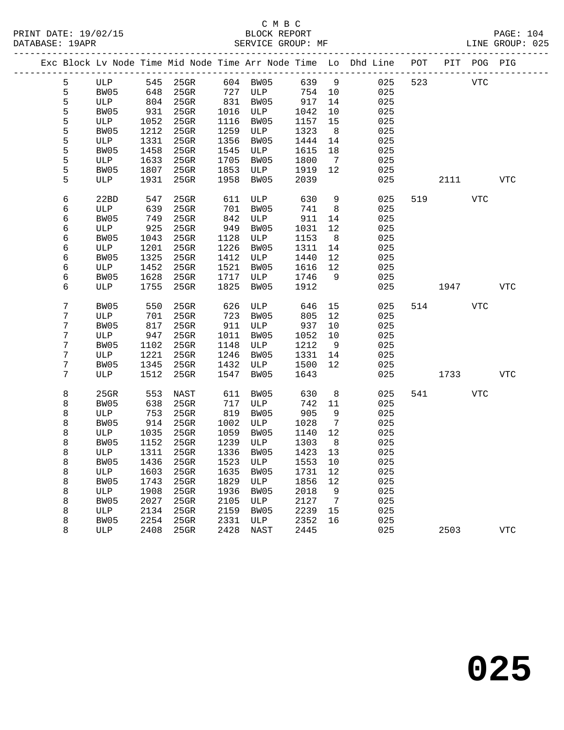|   |      |      |                       |      |                  |         |                | Exc Block Lv Node Time Mid Node Time Arr Node Time Lo Dhd Line POT PIT POG PIG |     |            |     |            |
|---|------|------|-----------------------|------|------------------|---------|----------------|--------------------------------------------------------------------------------|-----|------------|-----|------------|
| 5 |      |      | ULP 545 25GR 604 BW05 |      |                  | 639 9   |                | 025                                                                            | 523 | <b>VTC</b> |     |            |
| 5 | BW05 | 648  | $25$ GR               |      | 727 ULP          | 754 10  |                | 025                                                                            |     |            |     |            |
| 5 | ULP  | 804  | 25GR                  | 831  | BW05             | 917     | 14             | 025                                                                            |     |            |     |            |
| 5 | BW05 | 931  | 25GR                  | 1016 | ULP              | 1042    | 10             | 025                                                                            |     |            |     |            |
| 5 | ULP  | 1052 | 25GR                  | 1116 | BW05             | 1157    | 15             | 025                                                                            |     |            |     |            |
| 5 | BW05 | 1212 | $25$ GR               | 1259 | ULP              | 1323    | 8 <sup>8</sup> | 025                                                                            |     |            |     |            |
| 5 | ULP  | 1331 | $25$ GR               | 1356 | BW05             | 1444    | 14             | 025                                                                            |     |            |     |            |
| 5 | BW05 | 1458 | 25GR                  | 1545 | ULP              | 1615    | 18             | 025                                                                            |     |            |     |            |
| 5 | ULP  | 1633 | 25GR                  | 1705 | BW05             | 1800    | $\overline{7}$ | 025                                                                            |     |            |     |            |
| 5 | BW05 | 1807 | 25GR                  | 1853 | ULP              | 1919    | 12             | 025                                                                            |     |            |     |            |
| 5 | ULP  | 1931 | 25GR                  | 1958 | BW05             | 2039    |                | 025                                                                            |     | 2111       |     | VTC        |
| 6 | 22BD | 547  | 25GR                  | 611  | ULP              | 630     | 9              | 025                                                                            |     | 519 — 10   | VTC |            |
| 6 | ULP  | 639  | 25GR                  | 701  | BW05             | 741     | 8              | 025                                                                            |     |            |     |            |
| 6 | BW05 | 749  | $25$ GR               | 842  | ULP              | 911     | 14             | 025                                                                            |     |            |     |            |
| 6 | ULP  | 925  | $25$ GR               | 949  | BW05             | 1031    | 12             | 025                                                                            |     |            |     |            |
| 6 | BW05 | 1043 | $25$ GR               | 1128 | ULP              | 1153    | 8 <sup>8</sup> | 025                                                                            |     |            |     |            |
| 6 | ULP  | 1201 | 25GR                  | 1226 | BW05             | 1311    | 14             | 025                                                                            |     |            |     |            |
| 6 | BW05 | 1325 | 25GR                  | 1412 | ULP              | 1440    | 12             | 025                                                                            |     |            |     |            |
| 6 | ULP  | 1452 | 25GR                  | 1521 | BW05             | 1616    | 12             | 025                                                                            |     |            |     |            |
| 6 | BW05 | 1628 | 25GR                  | 1717 | ULP              | 1746    | 9              | 025                                                                            |     |            |     |            |
| 6 | ULP  | 1755 | $25$ GR               | 1825 | BW05             | 1912    |                | 025                                                                            |     | 1947       |     | VTC        |
| 7 | BW05 | 550  | 25GR                  | 626  | ULP              | 646     | 15             | 025                                                                            |     | 514        | VTC |            |
| 7 | ULP  | 701  | 25GR                  | 723  | BW05             | 805     | 12             | 025                                                                            |     |            |     |            |
| 7 | BW05 | 817  | 25GR                  | 911  | ULP              | 937     | 10             | 025                                                                            |     |            |     |            |
| 7 | ULP  | 947  | $25$ GR               | 1011 | BW05             | 1052    | 10             | 025                                                                            |     |            |     |            |
| 7 | BW05 | 1102 | 25GR                  | 1148 | ULP              | 1212    | 9              | 025                                                                            |     |            |     |            |
| 7 | ULP  | 1221 | 25GR                  | 1246 | BW05             | 1331    | 14             | 025                                                                            |     |            |     |            |
| 7 | BW05 | 1345 | $25$ GR               | 1432 | ULP              | 1500    | 12             | 025                                                                            |     |            |     |            |
| 7 | ULP  | 1512 | $25$ GR               | 1547 | BW05             | 1643    |                | 025                                                                            |     | 1733       |     | VTC        |
| 8 | 25GR | 553  | NAST                  | 611  | BW05             | 630     | 8              | 025                                                                            |     | 541 7      | VTC |            |
| 8 | BW05 | 638  | 25GR                  | 717  | ULP              | 742     | 11             | 025                                                                            |     |            |     |            |
| 8 | ULP  | 753  | 25GR                  | 819  | BW05             | 905     | 9              | 025                                                                            |     |            |     |            |
| 8 | BW05 | 914  | 25GR                  | 1002 | ULP              | 1028    | $\overline{7}$ | 025                                                                            |     |            |     |            |
| 8 | ULP  | 1035 | 25GR                  | 1059 | BW05             | 1140    | 12             | 025                                                                            |     |            |     |            |
| 8 | BW05 | 1152 | 25GR                  | 1239 | ULP              | 1303    | 8 <sup>8</sup> | 025                                                                            |     |            |     |            |
| 8 | ULP  | 1311 | $25$ GR               |      | 1336 BW05        | 1423    | 13             | 025                                                                            |     |            |     |            |
| 8 | BW05 |      | 1436 25GR             |      | 1523 ULP 1553 10 |         |                | 025                                                                            |     |            |     |            |
| 8 | ULP  | 1603 | 25GR                  | 1635 | BW05             | 1731 12 |                | 025                                                                            |     |            |     |            |
| 8 | BW05 | 1743 | 25GR                  | 1829 | ULP              | 1856    | 12             | 025                                                                            |     |            |     |            |
| 8 | ULP  | 1908 | $25$ GR               | 1936 | BW05             | 2018    | 9              | 025                                                                            |     |            |     |            |
| 8 | BW05 | 2027 | 25GR                  | 2105 | ULP              | 2127    | $\overline{7}$ | 025                                                                            |     |            |     |            |
| 8 | ULP  | 2134 | 25GR                  | 2159 | BW05             | 2239    | 15             | 025                                                                            |     |            |     |            |
| 8 | BW05 | 2254 | 25GR                  | 2331 | ULP              | 2352    | 16             | 025                                                                            |     |            |     |            |
| 8 | ULP  | 2408 | 25GR                  | 2428 | NAST             | 2445    |                | 025                                                                            |     | 2503       |     | <b>VTC</b> |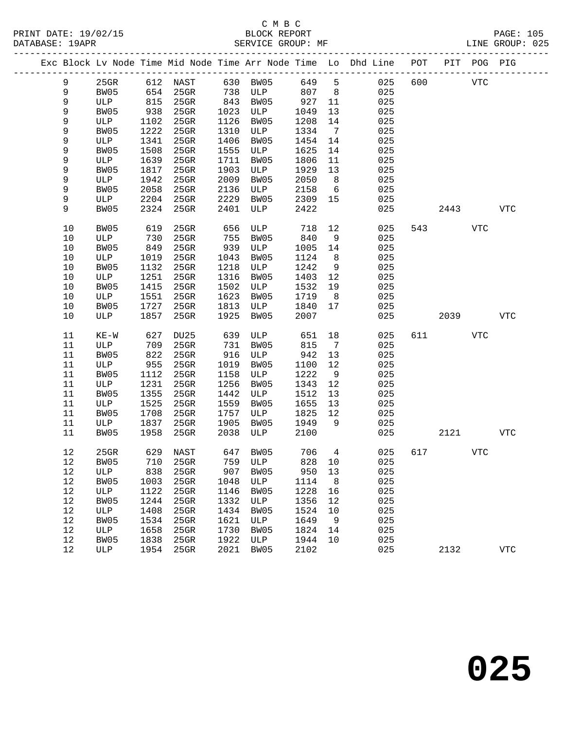|  |      |         |      |                   |      |          |       |                 | Exc Block Lv Node Time Mid Node Time Arr Node Time Lo Dhd Line POT PIT POG PIG |     |            |            |              |
|--|------|---------|------|-------------------|------|----------|-------|-----------------|--------------------------------------------------------------------------------|-----|------------|------------|--------------|
|  | 9    | $25$ GR |      | 612 NAST 630 BW05 |      |          | 649 5 |                 | 025                                                                            | 600 | <b>VTC</b> |            |              |
|  | 9    | BW05    |      | 654 25GR          |      | 738 ULP  | 807   | 8               | 025                                                                            |     |            |            |              |
|  | 9    | ULP     | 815  | $25$ GR           | 843  | BW05     | 927   | 11              | 025                                                                            |     |            |            |              |
|  | 9    | BW05    | 938  | $25$ GR           | 1023 | ULP      | 1049  | 13              | 025                                                                            |     |            |            |              |
|  | 9    | ULP     | 1102 | $25$ GR           | 1126 | BW05     | 1208  | 14              | 025                                                                            |     |            |            |              |
|  | 9    | BW05    | 1222 | $25$ GR           | 1310 | ULP      | 1334  | $\overline{7}$  | 025                                                                            |     |            |            |              |
|  | 9    | ULP     | 1341 | 25GR              | 1406 | BW05     | 1454  | 14              | 025                                                                            |     |            |            |              |
|  | 9    | BW05    | 1508 | $25$ GR           | 1555 | ULP      | 1625  | 14              | 025                                                                            |     |            |            |              |
|  | 9    | ULP     | 1639 | $25$ GR           | 1711 | BW05     | 1806  | 11              | 025                                                                            |     |            |            |              |
|  | 9    | BW05    | 1817 | $25$ GR           | 1903 | ULP      | 1929  | 13              | 025                                                                            |     |            |            |              |
|  | 9    | ULP     | 1942 | 25GR              | 2009 | BW05     | 2050  | 8 <sup>8</sup>  | 025                                                                            |     |            |            |              |
|  | 9    | BW05    | 2058 | $25$ GR           | 2136 | ULP      | 2158  | $6\overline{6}$ | 025                                                                            |     |            |            |              |
|  | 9    | ULP     | 2204 | $25$ GR           | 2229 | BW05     | 2309  | 15              | 025                                                                            |     |            |            |              |
|  | 9    | BW05    | 2324 | $25$ GR           | 2401 | ULP      | 2422  |                 | 025                                                                            |     | 2443       |            | VTC          |
|  | 10   | BW05    | 619  | 25GR              | 656  | ULP      | 718   | 12              | 025                                                                            |     | 543        | <b>VTC</b> |              |
|  | 10   | ULP     | 730  | 25GR              | 755  | BW05     | 840   | 9               | 025                                                                            |     |            |            |              |
|  | $10$ | BW05    | 849  | $25$ GR           | 939  | ULP      | 1005  | 14              | 025                                                                            |     |            |            |              |
|  | $10$ | ULP     | 1019 | 25GR              | 1043 | BW05     | 1124  | 8 <sup>8</sup>  | 025                                                                            |     |            |            |              |
|  | 10   | BW05    | 1132 | 25GR              | 1218 | ULP      | 1242  | 9               | 025                                                                            |     |            |            |              |
|  | $10$ | ULP     | 1251 | $25$ GR           | 1316 | BW05     | 1403  | 12              | 025                                                                            |     |            |            |              |
|  | $10$ | BW05    | 1415 | $25$ GR           | 1502 | ULP      | 1532  | 19              | 025                                                                            |     |            |            |              |
|  | 10   | ULP     | 1551 | $25$ GR           | 1623 | BW05     | 1719  | 8 <sup>8</sup>  | 025                                                                            |     |            |            |              |
|  | 10   | BW05    | 1727 | 25GR              | 1813 | ULP      | 1840  | 17              | 025                                                                            |     |            |            |              |
|  | 10   | ULP     | 1857 | 25GR              | 1925 | BW05     | 2007  |                 | 025                                                                            |     | 2039       |            | VTC          |
|  | 11   | $KE-W$  | 627  | DU25              | 639  | ULP      | 651   | 18              | 025                                                                            |     | 611 7      | VTC        |              |
|  | 11   | ULP     | 709  | 25GR              | 731  | BW05     | 815   | $\overline{7}$  | 025                                                                            |     |            |            |              |
|  | 11   | BW05    | 822  | $25$ GR           | 916  | ULP      | 942   | 13              | 025                                                                            |     |            |            |              |
|  | 11   | ULP     | 955  | $25$ GR           | 1019 | BW05     | 1100  | 12              | 025                                                                            |     |            |            |              |
|  | 11   | BW05    | 1112 | $25$ GR           | 1158 | ULP      | 1222  | 9               | 025                                                                            |     |            |            |              |
|  | 11   | ULP     | 1231 | 25GR              | 1256 | BW05     | 1343  | 12              | 025                                                                            |     |            |            |              |
|  | 11   | BW05    | 1355 | $25$ GR           | 1442 | ULP      | 1512  | 13              | 025                                                                            |     |            |            |              |
|  | 11   | ULP     | 1525 | $25$ GR           | 1559 | BW05     | 1655  | 13              | 025                                                                            |     |            |            |              |
|  | 11   | BW05    | 1708 | 25GR              | 1757 | ULP      | 1825  | 12              | 025                                                                            |     |            |            |              |
|  | 11   | ULP     | 1837 | 25GR              | 1905 | BW05     | 1949  | 9               | 025                                                                            |     |            |            |              |
|  | 11   | BW05    | 1958 | $25$ GR           | 2038 | ULP      | 2100  |                 | 025                                                                            |     | 2121       |            | VTC          |
|  | 12   | $25$ GR |      | 629 NAST          |      | 647 BW05 | 706   | $\overline{4}$  | 025                                                                            | 617 |            | <b>VTC</b> |              |
|  |      | 12 BW05 |      | 710 25GR 759 ULP  |      |          |       |                 | 828 10<br>025                                                                  |     |            |            |              |
|  | 12   | ULP     | 838  | 25GR              | 907  | BW05     | 950   | 13              | 025                                                                            |     |            |            |              |
|  | 12   | BW05    | 1003 | 25GR              | 1048 | ULP      | 1114  | 8 <sup>8</sup>  | 025                                                                            |     |            |            |              |
|  | 12   | ULP     | 1122 | 25GR              | 1146 | BW05     | 1228  | 16              | 025                                                                            |     |            |            |              |
|  | 12   | BW05    | 1244 | 25GR              | 1332 | ULP      | 1356  | 12              | 025                                                                            |     |            |            |              |
|  | 12   | ULP     | 1408 | 25GR              | 1434 | BW05     | 1524  | 10              | 025                                                                            |     |            |            |              |
|  | 12   | BW05    | 1534 | 25GR              | 1621 | ULP      | 1649  | 9               | 025                                                                            |     |            |            |              |
|  | 12   | ULP     | 1658 | 25GR              | 1730 | BW05     | 1824  | 14              | 025                                                                            |     |            |            |              |
|  | 12   | BW05    | 1838 | 25GR              | 1922 | ULP      | 1944  | 10              | 025                                                                            |     |            |            |              |
|  | 12   | ULP     | 1954 | $25$ GR           | 2021 | BW05     | 2102  |                 | 025                                                                            |     | 2132       |            | $_{\rm VTC}$ |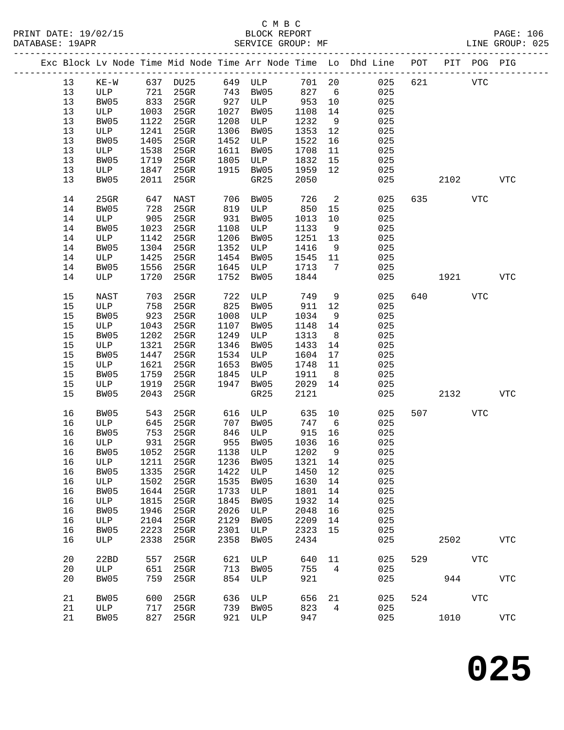|  |    |             |      |                                 |      |             |        |                              | Exc Block Lv Node Time Mid Node Time Arr Node Time Lo Dhd Line POT |     |      | PIT POG PIG |              |
|--|----|-------------|------|---------------------------------|------|-------------|--------|------------------------------|--------------------------------------------------------------------|-----|------|-------------|--------------|
|  | 13 | $KE-W$      |      | 637 DU25                        |      | 649 ULP     | 701 20 |                              | 025                                                                | 621 |      | <b>VTC</b>  |              |
|  | 13 | ULP         | 721  | 25GR                            | 743  | BW05        | 827    | 6                            | 025                                                                |     |      |             |              |
|  | 13 | BW05        | 833  | $25$ GR                         | 927  | ULP         | 953    | 10                           | 025                                                                |     |      |             |              |
|  | 13 | ULP         | 1003 | $25$ GR                         | 1027 | BW05        | 1108   | 14                           | 025                                                                |     |      |             |              |
|  | 13 | BW05        | 1122 | $25$ GR                         | 1208 | ULP         | 1232   | 9                            | 025                                                                |     |      |             |              |
|  | 13 |             | 1241 | 25GR                            | 1306 |             | 1353   |                              | 025                                                                |     |      |             |              |
|  |    | ULP         |      |                                 |      | BW05        |        | 12                           |                                                                    |     |      |             |              |
|  | 13 | BW05        | 1405 | $25$ GR                         | 1452 | ULP         | 1522   | 16                           | 025                                                                |     |      |             |              |
|  | 13 | ULP         | 1538 | $25$ GR                         | 1611 | BW05        | 1708   | 11                           | 025                                                                |     |      |             |              |
|  | 13 | BW05        | 1719 | 25GR                            | 1805 | ULP         | 1832   | 15                           | 025                                                                |     |      |             |              |
|  | 13 | ULP         | 1847 | 25GR                            | 1915 | BW05        | 1959   | 12                           | 025                                                                |     |      |             |              |
|  | 13 | BW05        | 2011 | 25GR                            |      | GR25        | 2050   |                              | 025                                                                |     | 2102 |             | <b>VTC</b>   |
|  | 14 | 25GR        | 647  | NAST                            | 706  | BW05        | 726    | $\overline{\phantom{a}}$     | 025                                                                | 635 |      | <b>VTC</b>  |              |
|  | 14 | BW05        | 728  | 25GR                            | 819  | ULP         | 850    | 15                           | 025                                                                |     |      |             |              |
|  | 14 | ULP         | 905  | $25$ GR                         | 931  | BW05        | 1013   | 10                           | 025                                                                |     |      |             |              |
|  | 14 | BW05        | 1023 | $25$ GR                         | 1108 | ULP         | 1133   | 9                            | 025                                                                |     |      |             |              |
|  | 14 | ULP         | 1142 | $25$ GR                         | 1206 | BW05        | 1251   | 13                           | 025                                                                |     |      |             |              |
|  |    |             |      | $25$ GR                         | 1352 |             |        |                              |                                                                    |     |      |             |              |
|  | 14 | BW05        | 1304 |                                 |      | ULP         | 1416   | - 9                          | 025                                                                |     |      |             |              |
|  | 14 | ULP         | 1425 | $25$ GR                         | 1454 | BW05        | 1545   | 11                           | 025                                                                |     |      |             |              |
|  | 14 | BW05        | 1556 | $25$ GR                         | 1645 | ULP         | 1713   | $7\phantom{.0}\phantom{.0}7$ | 025                                                                |     |      |             |              |
|  | 14 | ULP         | 1720 | 25GR                            | 1752 | BW05        | 1844   |                              | 025                                                                |     | 1921 |             | <b>VTC</b>   |
|  | 15 | <b>NAST</b> | 703  | 25GR                            | 722  | ULP         | 749    | 9                            | 025                                                                | 640 |      | VTC         |              |
|  | 15 | ULP         | 758  | $25$ GR                         | 825  | BW05        | 911    | 12                           | 025                                                                |     |      |             |              |
|  | 15 | BW05        | 923  | 25GR                            | 1008 | ULP         | 1034   | 9                            | 025                                                                |     |      |             |              |
|  | 15 | ULP         | 1043 | $25$ GR                         | 1107 | BW05        | 1148   | 14                           | 025                                                                |     |      |             |              |
|  | 15 | BW05        | 1202 | $25$ GR                         | 1249 | ULP         | 1313   | 8 <sup>8</sup>               | 025                                                                |     |      |             |              |
|  | 15 | ULP         | 1321 | 25GR                            | 1346 | BW05        | 1433   | 14                           | 025                                                                |     |      |             |              |
|  | 15 | BW05        | 1447 | 25GR                            | 1534 | ULP         | 1604   | 17                           | 025                                                                |     |      |             |              |
|  | 15 | ULP         | 1621 | 25GR                            | 1653 | BW05        | 1748   | 11                           | 025                                                                |     |      |             |              |
|  | 15 |             |      |                                 | 1845 |             |        |                              | 025                                                                |     |      |             |              |
|  |    | BW05        | 1759 | 25GR                            |      | ULP         | 1911   | 8                            |                                                                    |     |      |             |              |
|  | 15 | ULP         | 1919 | 25GR                            | 1947 | BW05        | 2029   | 14                           | 025                                                                |     |      |             |              |
|  | 15 | BW05        | 2043 | 25GR                            |      | GR25        | 2121   |                              | 025                                                                |     | 2132 |             | <b>VTC</b>   |
|  | 16 | BW05        | 543  | $25$ GR                         | 616  | ULP         | 635    | 10                           | 025                                                                | 507 |      | <b>VTC</b>  |              |
|  | 16 | ULP         | 645  | $25$ GR                         | 707  | BW05        | 747    | 6                            | 025                                                                |     |      |             |              |
|  | 16 | BW05        | 753  | $25$ GR                         | 846  | ULP         | 915    | 16                           | 025                                                                |     |      |             |              |
|  | 16 | ULP         | 931  | $25$ GR                         | 955  | BW05        | 1036   | 16                           | 025                                                                |     |      |             |              |
|  | 16 | BW05        | 1052 | 25GR                            |      | 1138 ULP    | 1202   | 9                            | 025                                                                |     |      |             |              |
|  | 16 |             |      | ULP 1211 25GR 1236 BW05 1321 14 |      |             |        |                              | 025                                                                |     |      |             |              |
|  | 16 | BW05        | 1335 | $25$ GR                         | 1422 | ULP         | 1450   | 12                           | 025                                                                |     |      |             |              |
|  | 16 | ULP         | 1502 | 25GR                            | 1535 | BW05        | 1630   | 14                           | 025                                                                |     |      |             |              |
|  | 16 | BW05        | 1644 | $25$ GR                         | 1733 | ULP         | 1801   | 14                           | 025                                                                |     |      |             |              |
|  | 16 | ULP         | 1815 | 25GR                            | 1845 | <b>BW05</b> | 1932   | 14                           | 025                                                                |     |      |             |              |
|  | 16 | BW05        | 1946 | 25GR                            | 2026 | ULP         | 2048   | 16                           | 025                                                                |     |      |             |              |
|  | 16 | ULP         | 2104 | $25$ GR                         | 2129 | BW05        | 2209   | 14                           | 025                                                                |     |      |             |              |
|  |    | BW05        |      |                                 |      |             |        |                              |                                                                    |     |      |             |              |
|  | 16 |             | 2223 | $25$ GR                         | 2301 | ULP         | 2323   | 15                           | 025                                                                |     |      |             |              |
|  | 16 | ULP         | 2338 | 25GR                            | 2358 | BW05        | 2434   |                              | 025                                                                |     | 2502 |             | ${\tt VTC}$  |
|  | 20 | 22BD        | 557  | 25GR                            | 621  | ULP         | 640    | 11                           | 025                                                                | 529 |      | <b>VTC</b>  |              |
|  | 20 | ULP         | 651  | 25GR                            | 713  | BW05        | 755    | $\overline{4}$               | 025                                                                |     |      |             |              |
|  | 20 | BW05        | 759  | 25GR                            | 854  | ULP         | 921    |                              | 025                                                                |     | 944  |             | $_{\rm VTC}$ |
|  |    |             |      |                                 |      |             |        |                              |                                                                    |     |      |             |              |
|  | 21 | BW05        | 600  | 25GR                            | 636  | ULP         | 656    | 21                           | 025                                                                | 524 |      | <b>VTC</b>  |              |
|  | 21 | ULP         | 717  | 25GR                            | 739  | BW05        | 823    | 4                            | 025                                                                |     |      |             |              |
|  | 21 | BW05        | 827  | 25GR                            | 921  | ULP         | 947    |                              | 025                                                                |     | 1010 |             | ${\tt VTC}$  |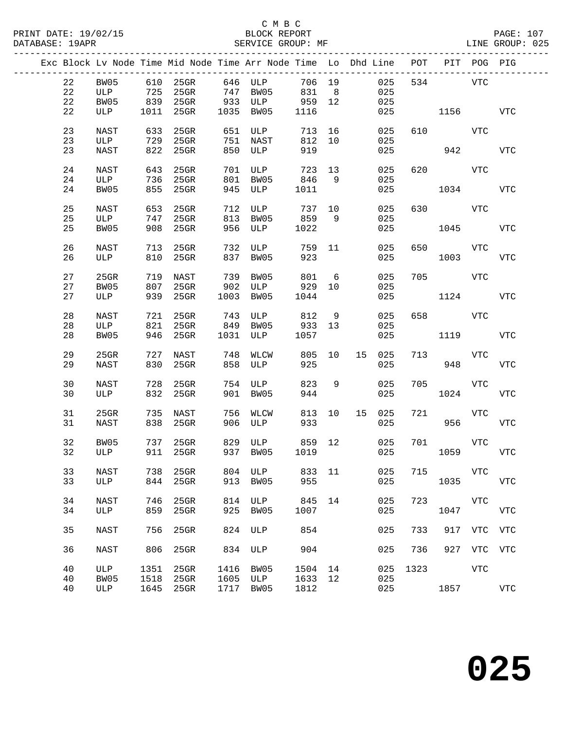|    |             |      |               |      | Exc Block Lv Node Time Mid Node Time Arr Node Time Lo Dhd Line POT PIT POG PIG |        |                |    |        |      |                    |             |            |
|----|-------------|------|---------------|------|--------------------------------------------------------------------------------|--------|----------------|----|--------|------|--------------------|-------------|------------|
| 22 | BW05        |      |               |      | 610 25GR 646 ULP                                                               | 706 19 |                |    | 025    |      | 534 VTC            |             |            |
| 22 | ULP         | 725  | 25GR 747 BW05 |      |                                                                                | 831    | 8 <sup>8</sup> |    | 025    |      |                    |             |            |
| 22 | BW05        |      | 839 25GR      |      | 933 ULP 959 12                                                                 |        |                |    | 025    |      |                    |             |            |
|    |             |      |               |      |                                                                                |        |                |    |        |      | 1156 VTC           |             |            |
| 22 | ULP         |      | 1011 25GR     |      | 1035 BW05                                                                      | 1116   |                |    | 025    |      |                    |             |            |
| 23 | NAST        | 633  | $25$ GR       | 651  | ULP                                                                            | 713    |                | 16 | 025    |      | 610 VTC            |             |            |
| 23 | ULP         | 729  | $25$ GR       | 751  | NAST                                                                           | 812    | 10             |    | 025    |      |                    |             |            |
| 23 | NAST        | 822  | $25$ GR       | 850  | ULP                                                                            | 919    |                |    | 025    |      | 942                |             | VTC        |
|    |             |      |               |      |                                                                                |        |                |    |        |      |                    |             |            |
| 24 | NAST        |      | 643 25GR      | 701  | ULP                                                                            | 723 13 |                |    | 025    |      | 620 VTC            |             |            |
| 24 | ULP         |      | 736 25GR      | 801  | BW05                                                                           | 846    | 9              |    | 025    |      |                    |             |            |
|    |             |      |               |      |                                                                                |        |                |    |        |      |                    |             |            |
| 24 | BW05        |      | 855 25GR      | 945  | ULP                                                                            | 1011   |                |    | 025    |      | 1034               |             | <b>VTC</b> |
| 25 | NAST        | 653  | 25GR          | 712  | ULP                                                                            | 737    | 10             |    | 025    |      |                    | VTC         |            |
| 25 | ULP         |      | 747 25GR      | 813  | BW05                                                                           | 859    | 9              |    | 025    |      |                    |             |            |
| 25 | BW05        | 908  |               |      |                                                                                |        |                |    |        |      | 1045               |             | <b>VTC</b> |
|    |             |      | 25GR          | 956  | ULP                                                                            | 1022   |                |    | 025    |      |                    |             |            |
| 26 | NAST        |      | 713 25GR      | 732  | ULP                                                                            | 759 11 |                |    | 025    |      | 650 VTC            |             |            |
|    |             |      |               |      |                                                                                |        |                |    |        |      |                    |             |            |
| 26 | ULP         |      | 810 25GR      | 837  | BW05                                                                           | 923    |                |    | 025    |      | 1003               |             | <b>VTC</b> |
|    |             |      |               |      |                                                                                |        |                |    |        |      | 705 VTC            |             |            |
| 27 | 25GR        | 719  | NAST          | 739  | BW05                                                                           | 801    | 6              |    | 025    |      |                    |             |            |
| 27 | BW05        | 807  | $25$ GR       | 902  | <b>ULP</b>                                                                     | 929    | 10             |    | 025    |      |                    |             |            |
| 27 | ULP         |      | 939 25GR      |      | 1003 BW05                                                                      | 1044   |                |    | 025    |      | 1124               |             | <b>VTC</b> |
|    |             |      |               |      |                                                                                |        |                |    |        |      |                    |             |            |
| 28 | NAST        | 721  | $25$ GR       | 743  | ULP                                                                            | 812    | 9              |    | 025    | 658  | <b>STATE STATE</b> |             |            |
| 28 | ULP         |      | 821 25GR      |      | 849 BW05                                                                       | 933    | 13             |    | 025    |      |                    |             |            |
| 28 | BW05        | 946  | $25$ GR       | 1031 | ULP                                                                            | 1057   |                |    | 025    |      | 1119               |             | VTC        |
|    |             |      |               |      |                                                                                |        |                |    |        |      |                    |             |            |
| 29 | 25GR        |      | 727 NAST      | 748  | WLCW                                                                           | 805 10 |                |    | 15 025 | 713  |                    | <b>VTC</b>  |            |
| 29 | NAST        | 830  | 25GR          | 858  | ULP                                                                            | 925    |                |    | 025    |      | 948                |             | <b>VTC</b> |
|    |             |      |               |      |                                                                                |        |                |    |        |      |                    |             |            |
| 30 | NAST        | 728  |               | 754  | ULP                                                                            | 823    | 9              |    | 025    | 705  |                    | VTC         |            |
|    |             |      | 25GR          |      |                                                                                |        |                |    |        |      |                    |             |            |
| 30 | ULP         | 832  | $25$ GR       | 901  | BW05                                                                           | 944    |                |    | 025    |      | 1024               |             | VTC        |
|    |             |      |               |      |                                                                                |        |                |    |        |      |                    |             |            |
| 31 | 25GR        |      | 735 NAST      |      | 756 WLCW                                                                       | 813    | 10             | 15 | 025    | 721  |                    | VTC         |            |
| 31 | NAST        |      | 838 25GR      | 906  | ULP                                                                            | 933    |                |    | 025    |      | 956                |             | <b>VTC</b> |
|    |             |      |               |      |                                                                                |        |                |    |        |      |                    |             |            |
| 32 | BW05        |      | 737 25GR      |      |                                                                                |        | 12             |    | 025    | 701  |                    | <b>VTC</b>  |            |
|    |             |      |               |      | 829 ULP 859<br>937 BW05 1019                                                   |        |                |    |        |      |                    |             |            |
| 32 | ULP         |      | 911 25GR      |      | 937 BW05                                                                       | 1019   |                |    | 025    |      | 1059               |             | <b>VTC</b> |
|    |             |      |               |      |                                                                                |        |                |    |        |      |                    |             |            |
| 33 | NAST        | 738  | $25$ GR       | 804  | ULP                                                                            | 833    | 11             |    | 025    | 715  |                    | VTC         |            |
| 33 | ULP         | 844  | $25$ GR       | 913  | BW05                                                                           | 955    |                |    | 025    |      | 1035               |             | VTC        |
|    |             |      |               |      |                                                                                |        |                |    |        |      |                    |             |            |
| 34 | <b>NAST</b> | 746  | 25GR          | 814  | ULP                                                                            | 845    | 14             |    | 025    | 723  |                    | VTC         |            |
|    |             |      |               |      |                                                                                |        |                |    |        |      |                    |             |            |
| 34 | ULP         | 859  | 25GR          | 925  | BW05                                                                           | 1007   |                |    | 025    |      | 1047               |             | <b>VTC</b> |
|    |             |      |               |      |                                                                                |        |                |    |        |      |                    |             |            |
| 35 | NAST        | 756  | 25GR          | 824  | ULP                                                                            | 854    |                |    | 025    | 733  |                    | 917 VTC     | VTC        |
|    |             |      |               |      |                                                                                |        |                |    |        |      |                    |             |            |
| 36 | <b>NAST</b> | 806  | 25GR          | 834  | ULP                                                                            | 904    |                |    | 025    | 736  |                    | 927 VTC VTC |            |
|    |             |      |               |      |                                                                                |        |                |    |        |      |                    |             |            |
| 40 | ULP         | 1351 | 25GR          | 1416 | BW05                                                                           | 1504   | 14             |    | 025    | 1323 |                    | VTC         |            |
|    |             |      |               |      |                                                                                |        |                |    |        |      |                    |             |            |
| 40 | BW05        | 1518 | 25GR          | 1605 | ULP                                                                            | 1633   | 12             |    | 025    |      |                    |             |            |
| 40 | ULP         | 1645 | $25$ GR       | 1717 | BW05                                                                           | 1812   |                |    | 025    |      | 1857               |             | <b>VTC</b> |
|    |             |      |               |      |                                                                                |        |                |    |        |      |                    |             |            |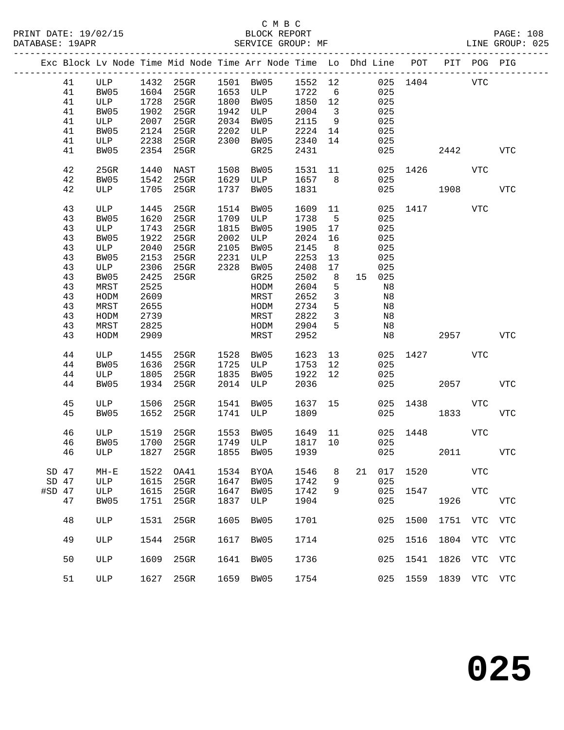|          |    |              |      |           |      | Exc Block Lv Node Time Mid Node Time Arr Node Time Lo Dhd Line POT |         |                         |    |        |          |                          | PIT POG PIG |             |
|----------|----|--------------|------|-----------|------|--------------------------------------------------------------------|---------|-------------------------|----|--------|----------|--------------------------|-------------|-------------|
|          | 41 | ULP          |      |           |      | 1432 25GR 1501 BW05 1552 12                                        |         |                         |    |        |          | 025 1404 VTC             |             |             |
|          | 41 | BW05         |      |           |      | 1604 25GR 1653 ULP 1722                                            |         | $6\overline{6}$         |    | 025    |          |                          |             |             |
|          | 41 | ULP          | 1728 | 25GR      |      | 1800 BW05                                                          | 1850 12 |                         |    | 025    |          |                          |             |             |
|          | 41 | BW05         | 1902 | $25$ GR   |      | 1942 ULP                                                           | 2004    | $\overline{\mathbf{3}}$ |    | 025    |          |                          |             |             |
|          | 41 | ULP          | 2007 | $25$ GR   |      | 2034 BW05                                                          | 2115    | 9                       |    | 025    |          |                          |             |             |
|          | 41 | BW05         | 2124 | $25$ GR   | 2202 | ULP                                                                | 2224 14 |                         |    | 025    |          |                          |             |             |
|          | 41 | ULP          | 2238 | $25$ GR   | 2300 | BW05                                                               | 2340    | 14                      |    | 025    |          |                          |             |             |
|          | 41 | BW05         | 2354 | 25GR      |      | GR25                                                               | 2431    |                         |    | 025    |          | 2442                     |             | <b>VTC</b>  |
|          |    |              |      |           |      |                                                                    |         |                         |    |        |          |                          |             |             |
|          | 42 | $25$ GR      | 1440 | NAST      |      | 1508 BW05                                                          | 1531 11 |                         |    |        |          | 025 1426                 | VTC         |             |
|          | 42 | BW05         | 1542 | 25GR      |      | 1629 ULP 1657 8                                                    |         |                         |    | 025    |          |                          |             |             |
|          | 42 | ULP          |      | 1705 25GR | 1737 | BW05                                                               | 1831    |                         |    | 025    | 1908     |                          |             | <b>VTC</b>  |
|          |    |              |      |           |      |                                                                    |         |                         |    |        |          |                          |             |             |
|          | 43 | ULP          | 1445 | 25GR      |      | 1514 BW05                                                          | 1609 11 |                         |    |        |          | 025 1417                 | <b>VTC</b>  |             |
|          | 43 | BW05         | 1620 | $25$ GR   |      | 1709 ULP                                                           | 1738    | $5^{\circ}$             |    | 025    |          |                          |             |             |
|          | 43 | ULP          | 1743 | $25$ GR   |      | 1815 BW05                                                          | 1905    | 17                      |    | 025    |          |                          |             |             |
|          | 43 | BW05         | 1922 | $25$ GR   |      | 2002 ULP                                                           | 2024    | 16                      |    | 025    |          |                          |             |             |
|          | 43 | ULP          | 2040 | $25$ GR   | 2105 | BW05                                                               | 2145    | 8                       |    | 025    |          |                          |             |             |
|          | 43 | BW05         | 2153 | 25GR      | 2231 | ULP                                                                | 2253    | 13                      |    | 025    |          |                          |             |             |
|          | 43 | ULP          | 2306 | $25$ GR   |      | 2328 BW05                                                          | 2408    | 17                      |    | 025    |          |                          |             |             |
|          | 43 | BW05         | 2425 | 25GR      |      | GR25                                                               | 2502    | 8                       |    | 15 025 |          |                          |             |             |
|          | 43 | MRST         | 2525 |           |      | HODM                                                               | 2604    | 5                       |    | N8     |          |                          |             |             |
|          | 43 | HODM         | 2609 |           |      | MRST                                                               | 2652    | $\mathbf{3}$            |    | N8     |          |                          |             |             |
|          | 43 | MRST         | 2655 |           |      | HODM                                                               | 2734    | 5                       |    | N8     |          |                          |             |             |
|          | 43 | HODM         | 2739 |           |      | MRST                                                               | 2822    | $\overline{3}$          |    | N8     |          |                          |             |             |
|          | 43 | MRST         | 2825 |           |      | HODM                                                               | 2904    | 5                       |    | Ν8     |          |                          |             |             |
|          | 43 | HODM         | 2909 |           |      | MRST                                                               | 2952    |                         |    | Ν8     |          | 2957                     |             | VTC         |
|          |    |              |      |           |      |                                                                    |         |                         |    |        |          |                          |             |             |
|          | 44 | ULP          | 1455 | 25GR      |      | 1528 BW05                                                          | 1623    | 13                      |    | 025    | 1427     | <b>Example 19 ST VTC</b> |             |             |
|          | 44 | BW05         | 1636 | $25$ GR   |      | 1725 ULP                                                           | 1753    | 12                      |    | 025    |          |                          |             |             |
|          | 44 | ULP          | 1805 | 25GR      | 1835 | BW05                                                               | 1922    | 12                      |    | 025    |          |                          |             |             |
|          | 44 | BW05         |      | 1934 25GR |      | 2014 ULP                                                           | 2036    |                         |    | 025    |          | 2057                     |             | <b>VTC</b>  |
|          |    |              |      |           |      |                                                                    |         |                         |    |        |          |                          |             |             |
|          | 45 | ULP          | 1506 | 25GR      |      |                                                                    | 1637 15 |                         |    |        |          | 025 1438 VTC             |             |             |
|          | 45 | BW05         |      | 1652 25GR |      | 1541 BW05<br>1741 ULP                                              | 1809    |                         |    | 025    |          | 1833                     |             | <b>VTC</b>  |
|          |    |              |      |           |      |                                                                    |         |                         |    |        |          |                          |             |             |
|          | 46 | ULP          | 1519 | 25GR      | 1553 | BW05                                                               | 1649 11 |                         |    |        | 025 1448 |                          | VTC         |             |
|          | 46 | BW05         | 1700 | $25$ GR   |      |                                                                    | 1817 10 |                         |    | 025    |          |                          |             |             |
|          | 46 | ULP          |      | 1827 25GR |      | -<br>1749 ULP 1817<br>1855 BW05 1939<br>1855 BW05                  |         |                         |    | 025    |          | 2011 2012                |             | VTC         |
|          |    |              |      |           |      |                                                                    |         |                         |    |        |          |                          |             |             |
| SD 47    |    | $MH-E$       | 1522 | OA41      | 1534 | <b>BYOA</b>                                                        | 1546    | 8                       | 21 | 017    | 1520     |                          | <b>VTC</b>  |             |
| $SD$ 47  |    | ULP          | 1615 | $25$ GR   | 1647 | BW05                                                               | 1742    | 9                       |    | 025    |          |                          |             |             |
| $#SD$ 47 |    | ULP          | 1615 | 25GR      | 1647 | BW05                                                               | 1742    | 9                       |    | 025    | 1547     |                          | <b>VTC</b>  |             |
|          | 47 | BW05         | 1751 | 25GR      | 1837 | ULP                                                                | 1904    |                         |    | 025    |          | 1926                     |             | ${\tt VTC}$ |
|          |    |              |      |           |      |                                                                    |         |                         |    |        |          |                          |             |             |
|          | 48 | ULP          | 1531 | 25GR      | 1605 | BW05                                                               | 1701    |                         |    | 025    | 1500     | 1751                     | VTC         | <b>VTC</b>  |
|          |    |              |      |           |      |                                                                    |         |                         |    |        |          |                          |             |             |
|          | 49 | ULP          | 1544 | 25GR      | 1617 | BW05                                                               | 1714    |                         |    | 025    | 1516     | 1804                     | VTC         | <b>VTC</b>  |
|          |    |              |      |           |      |                                                                    |         |                         |    |        |          |                          |             |             |
|          | 50 | ULP          | 1609 | $25$ GR   | 1641 | BW05                                                               | 1736    |                         |    | 025    | 1541     | 1826                     | VTC         | VTC         |
|          |    |              |      |           |      |                                                                    |         |                         |    |        |          |                          |             |             |
|          | 51 | $_{\rm ULP}$ | 1627 | 25GR      | 1659 | BW05                                                               | 1754    |                         |    | 025    | 1559     | 1839 VTC                 |             | VTC         |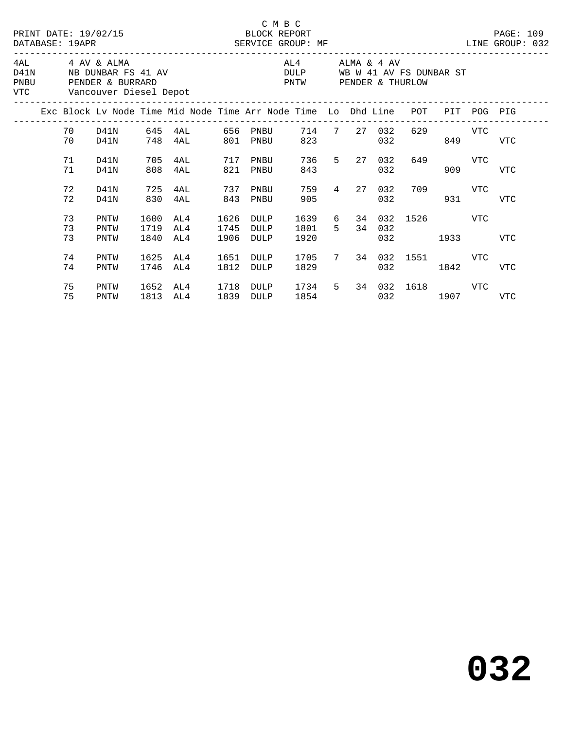|      |                |                                               |                      | PRINT DATE: 19/02/15 BLOCK REPORT<br>DATABASE: 19APR SERVICE GROUP: MF |                      | C M B C                                               |                 |                                                                                                            |            |                                       |                |             | PAGE: 109<br>LINE GROUP: 032 |  |
|------|----------------|-----------------------------------------------|----------------------|------------------------------------------------------------------------|----------------------|-------------------------------------------------------|-----------------|------------------------------------------------------------------------------------------------------------|------------|---------------------------------------|----------------|-------------|------------------------------|--|
| PNBU |                | 4AL 4 AV & ALMA<br>VTC Vancouver Diesel Depot |                      | D41N NB DUNBAR FS 41 AV<br>PENDER & BURRARD                            |                      | DULP WB W 41 AV FS DUNBAR ST<br>PNTW PENDER & THURLOW | AL4 ALMA & 4 AV |                                                                                                            |            |                                       |                |             |                              |  |
|      |                |                                               |                      | Exc Block Lv Node Time Mid Node Time Arr Node Time Lo Dhd Line POT     |                      |                                                       |                 |                                                                                                            |            |                                       |                | PIT POG PIG |                              |  |
|      | 70 D41N<br>70  | D41N                                          |                      | 748 4AL 801                                                            |                      | PNBU                                                  | 823             | 714 7 27 032                                                                                               | 032        |                                       | 629 VTC<br>849 |             | <b>VTC</b>                   |  |
|      | 71<br>71       | D41N<br>D41N                                  | 705<br>808           | 4AL 717 PNBU<br>4AL                                                    | 821                  | PNBU                                                  | 843             | 736 5 27 032                                                                                               | 032        | 649                                   | 909            | VTC         | <b>VTC</b>                   |  |
|      | 72<br>72       | D41N<br>D41N                                  | 725<br>830           | 4AL<br>4AL                                                             | 737<br>843           | PNBU<br>PNBU                                          | 759<br>905      | 4 27                                                                                                       | 032<br>032 |                                       | 709 VTC        | 931 7       | <b>VTC</b>                   |  |
|      | 73<br>73<br>73 | PNTW<br>PNTW<br>PNTW                          | 1600<br>1719<br>1840 | AL4<br>AL4<br>AL4                                                      | 1626<br>1745<br>1906 | DULP<br>DULP<br>DULP                                  | 1801 5<br>1920  |                                                                                                            | 34 032     | 1639 6 34 032 1526 VTC<br>032 and 032 | 1933   1933    |             | <b>VTC</b>                   |  |
|      | 74<br>74       | PNTW<br>PNTW                                  | 1625<br>1746         | AL4<br>AL4                                                             | 1651<br>1812         | DULP<br>DULP                                          | 1705<br>1829    |                                                                                                            | 032        | 7 34 032 1551 VTC<br>1842             |                |             | <b>VTC</b>                   |  |
|      | 75<br>75       | PNTW<br>PNTW                                  | 1652<br>1813         | AL4 1718<br>AL4                                                        | 1839                 | DULP<br>DULP                                          | 1734            | 1854   1860   1860   1860   1860   1860   1870   1870   1870   1870   1870   1870   1870   1870   1870   1 |            | 5 34 032 1618 VTC<br>032 1907         |                |             | VTC                          |  |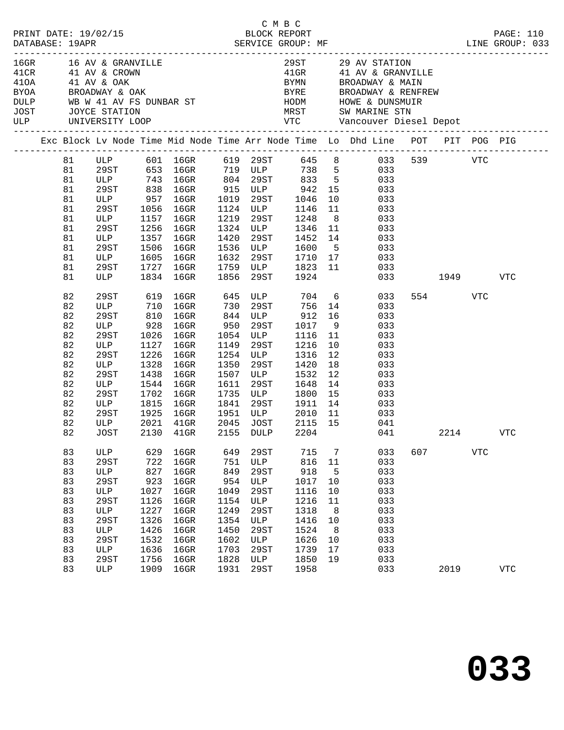| PRINT DATE: 19/02/15<br>DATABASE: 19APR |    |                                                                         |      | 2/15<br>BLOCK REPORT<br>SERVICE GROUP: MF                                 |      | C M B C   |                                                         |                | LINE GROUP: 033                                                                                           |     |          |            | PAGE: 110    |
|-----------------------------------------|----|-------------------------------------------------------------------------|------|---------------------------------------------------------------------------|------|-----------|---------------------------------------------------------|----------------|-----------------------------------------------------------------------------------------------------------|-----|----------|------------|--------------|
| $410A$ $41$ AV & OAK                    |    | BYOA BROADWAY & OAK                                                     |      | 16GR 16 AV & GRANVILLE<br>41CR 41 AV & CROWN                              |      |           |                                                         |                | 29 ST 29 AV STATION<br>41 GR 41 AV & GRANVILLE<br>BYMN BROADWAY & MAIN<br>BYRE BROADWAY & RENFREW         |     |          |            |              |
|                                         |    |                                                                         |      | DULP WB W 41 AV FS DUNBAR ST<br>JOST JOYCE STATION<br>ULP UNIVERSITY LOOP |      |           |                                                         |                |                                                                                                           |     |          |            |              |
|                                         |    |                                                                         |      |                                                                           |      |           |                                                         |                | Exc Block Lv Node Time Mid Node Time Arr Node Time Lo Dhd Line POT PIT POG PIG                            |     |          |            |              |
|                                         | 81 |                                                                         |      |                                                                           |      |           |                                                         |                | ULP 601 16GR 619 29ST 645 8 033 539 VTC                                                                   |     |          |            |              |
|                                         | 81 |                                                                         |      |                                                                           |      |           |                                                         |                | 29ST 653 16GR 719 ULP 738 5 033                                                                           |     |          |            |              |
|                                         | 81 |                                                                         |      |                                                                           |      |           |                                                         |                |                                                                                                           |     |          |            |              |
|                                         | 81 |                                                                         |      |                                                                           |      |           |                                                         |                | ULP 743 16GR 804 29ST 833 5 033<br>29ST 838 16GR 915 ULP 942 15 033<br>ULP 957 16GR 1019 29ST 1046 10 033 |     |          |            |              |
|                                         | 81 |                                                                         |      |                                                                           |      |           |                                                         |                |                                                                                                           |     |          |            |              |
|                                         | 81 | 29ST                                                                    |      | 1056 16GR                                                                 |      |           | 1124 ULP 1146                                           |                | 11<br>033                                                                                                 |     |          |            |              |
|                                         | 81 | ULP                                                                     |      | 1157 16GR                                                                 | 1219 |           | 29ST 1248                                               | 8 <sup>8</sup> | 033                                                                                                       |     |          |            |              |
|                                         | 81 | 29ST<br>ULP                                                             |      | 1256 16GR                                                                 |      |           |                                                         |                | 1324 ULP 1346 11 033<br>1420 29ST 1452 14 033                                                             |     |          |            |              |
|                                         | 81 |                                                                         |      | 1357 16GR                                                                 | 1420 |           |                                                         |                |                                                                                                           |     |          |            |              |
|                                         | 81 | 29ST                                                                    |      | 1506 16GR                                                                 | 1536 |           | ULP 1600 5                                              |                | 033                                                                                                       |     |          |            |              |
|                                         | 81 | ULP                                                                     | 1605 | $16$ GR                                                                   | 1632 |           |                                                         |                | 29ST 1710 17 033                                                                                          |     |          |            |              |
|                                         | 81 | 29ST                                                                    |      | 1727 16GR                                                                 |      |           | 1759 ULP 1823<br>1856 29ST 1924                         |                | 11 033                                                                                                    |     |          |            |              |
|                                         | 81 | $\begin{tabular}{c} \multicolumn{2}{c} {\textbf{ULP}} \\ \end{tabular}$ |      | 1834 16GR                                                                 |      |           |                                                         |                |                                                                                                           |     | 033 1949 |            | VTC          |
|                                         | 82 | 29ST                                                                    | 619  | 16GR                                                                      |      |           | 645 ULP 704 6                                           |                | 033                                                                                                       |     | 554      | VTC        |              |
|                                         | 82 | ULP 710<br>29ST 810                                                     |      | 16GR                                                                      |      |           | 730 29ST 756<br>844 ULP 912                             | 14             | 033                                                                                                       |     |          |            |              |
|                                         | 82 |                                                                         |      | 16GR                                                                      |      |           |                                                         | 16             | 033                                                                                                       |     |          |            |              |
|                                         | 82 | ULP 928 16GR                                                            |      |                                                                           | 950  |           | 29ST 1017                                               |                | 9<br>033                                                                                                  |     |          |            |              |
|                                         | 82 | 29ST                                                                    | 1026 | $16$ GR                                                                   |      |           | 1054 ULP 1116                                           | 11             | 033                                                                                                       |     |          |            |              |
|                                         | 82 | ULP                                                                     | 1127 | $16$ GR                                                                   | 1149 | 29ST      | 1216                                                    | 10             | 033                                                                                                       |     |          |            |              |
|                                         | 82 | 29ST                                                                    | 1226 | 16GR                                                                      |      |           | 1254 ULP 1316                                           | 12             | 033                                                                                                       |     |          |            |              |
|                                         | 82 | ULP                                                                     | 1328 | 16GR                                                                      | 1350 | 29ST      | 1420                                                    | 18             | 033                                                                                                       |     |          |            |              |
|                                         | 82 | 29ST                                                                    | 1438 | $16$ GR                                                                   |      | 1507 ULP  | 1532                                                    | 12             | 033                                                                                                       |     |          |            |              |
|                                         | 82 | ULP                                                                     | 1544 | 16GR                                                                      |      |           | 1611  29ST  1648<br>1735  ULP  1800<br>1841  29ST  1911 | 14             | 033                                                                                                       |     |          |            |              |
|                                         | 82 | 29ST                                                                    |      | 1702 16GR                                                                 |      |           |                                                         | 15             | 033                                                                                                       |     |          |            |              |
|                                         | 82 | ULP                                                                     |      | 1815 16GR                                                                 |      |           |                                                         |                | 14 033                                                                                                    |     |          |            |              |
|                                         | 82 | 29ST                                                                    |      | 1925 16GR                                                                 |      |           | 1951 ULP 2010 11                                        |                | 033                                                                                                       |     |          |            |              |
|                                         | 82 | ULP                                                                     |      | 2021 41GR                                                                 |      | 2045 JOST | 2115 15                                                 |                | 041                                                                                                       |     |          |            |              |
|                                         |    |                                                                         |      | 82 JOST 2130 41GR 2155 DULP 2204                                          |      |           |                                                         |                | 041                                                                                                       |     |          | 2214       | <b>VTC</b>   |
|                                         | 83 | ULP                                                                     | 629  | 16GR                                                                      | 649  | 29ST      | 715                                                     | 7              | 033                                                                                                       | 607 |          | <b>VTC</b> |              |
|                                         | 83 | 29ST                                                                    | 722  | 16GR                                                                      | 751  | ULP       | 816                                                     | $11\,$         | 033                                                                                                       |     |          |            |              |
|                                         | 83 | ULP                                                                     | 827  | 16GR                                                                      | 849  | 29ST      | 918                                                     | 5              | 033                                                                                                       |     |          |            |              |
|                                         | 83 | 29ST                                                                    | 923  | 16GR                                                                      | 954  | ULP       | 1017                                                    | 10             | 033                                                                                                       |     |          |            |              |
|                                         | 83 | ULP                                                                     | 1027 | 16GR                                                                      | 1049 | 29ST      | 1116                                                    | 10             | 033                                                                                                       |     |          |            |              |
|                                         | 83 | 29ST                                                                    | 1126 | $16$ GR                                                                   | 1154 | ULP       | 1216                                                    | 11             | 033                                                                                                       |     |          |            |              |
|                                         | 83 | $_{\rm ULP}$                                                            | 1227 | 16GR                                                                      | 1249 | 29ST      | 1318                                                    | 8              | 033                                                                                                       |     |          |            |              |
|                                         | 83 | 29ST                                                                    | 1326 | 16GR                                                                      | 1354 | ULP       | 1416                                                    | 10             | 033                                                                                                       |     |          |            |              |
|                                         | 83 | ULP                                                                     | 1426 | 16GR                                                                      | 1450 | 29ST      | 1524                                                    | 8              | 033                                                                                                       |     |          |            |              |
|                                         | 83 | 29ST                                                                    | 1532 | 16GR                                                                      | 1602 | ULP       | 1626                                                    | 10             | 033                                                                                                       |     |          |            |              |
|                                         | 83 | ULP                                                                     | 1636 | 16GR                                                                      | 1703 | 29ST      | 1739                                                    | 17             | 033                                                                                                       |     |          |            |              |
|                                         | 83 | 29ST                                                                    | 1756 | $16$ GR                                                                   | 1828 | ULP       | 1850                                                    | 19             | 033                                                                                                       |     |          |            |              |
|                                         | 83 | ULP                                                                     | 1909 | 16GR                                                                      | 1931 | 29ST      | 1958                                                    |                | 033                                                                                                       |     | 2019     |            | $_{\rm VTC}$ |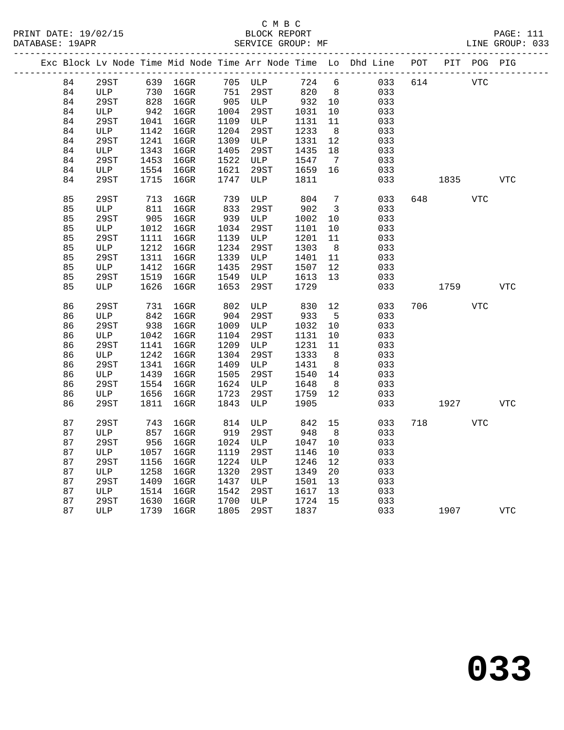|  |    |      |      |          |      |         |      |                   | Exc Block Lv Node Time Mid Node Time Arr Node Time Lo Dhd Line |     | POT PIT POG PIG |            |            |
|--|----|------|------|----------|------|---------|------|-------------------|----------------------------------------------------------------|-----|-----------------|------------|------------|
|  | 84 | 29ST |      | 639 16GR |      | 705 ULP | 724  | 6                 | 033                                                            | 614 |                 | <b>VTC</b> |            |
|  | 84 | ULP  | 730  | $16$ GR  | 751  | 29ST    | 820  | 8 <sup>8</sup>    | 033                                                            |     |                 |            |            |
|  | 84 | 29ST | 828  | $16$ GR  |      | 905 ULP | 932  | 10                | 033                                                            |     |                 |            |            |
|  | 84 | ULP  | 942  | $16$ GR  | 1004 | 29ST    | 1031 | 10                | 033                                                            |     |                 |            |            |
|  | 84 | 29ST | 1041 | $16$ GR  | 1109 | ULP     | 1131 | 11                | 033                                                            |     |                 |            |            |
|  | 84 | ULP  | 1142 | 16GR     | 1204 | 29ST    | 1233 | 8 <sup>8</sup>    | 033                                                            |     |                 |            |            |
|  | 84 | 29ST | 1241 | $16$ GR  | 1309 | ULP     | 1331 | 12                | 033                                                            |     |                 |            |            |
|  | 84 | ULP  | 1343 | $16$ GR  | 1405 | 29ST    | 1435 | 18                | 033                                                            |     |                 |            |            |
|  | 84 | 29ST | 1453 | 16GR     | 1522 | ULP     | 1547 | $7\overline{ }$   | 033                                                            |     |                 |            |            |
|  | 84 | ULP  | 1554 | 16GR     | 1621 | 29ST    | 1659 | 16                | 033                                                            |     |                 |            |            |
|  | 84 | 29ST | 1715 | $16$ GR  | 1747 | ULP     | 1811 |                   | 033                                                            |     | 1835            |            | <b>VTC</b> |
|  | 85 | 29ST | 713  | 16GR     | 739  | ULP     | 804  | $7\phantom{.0}$   | 033                                                            | 648 |                 | <b>VTC</b> |            |
|  | 85 | ULP  | 811  | $16$ GR  | 833  | 29ST    | 902  | $\overline{3}$    | 033                                                            |     |                 |            |            |
|  | 85 | 29ST | 905  | $16$ GR  | 939  | ULP     | 1002 | 10                | 033                                                            |     |                 |            |            |
|  | 85 | ULP  | 1012 | $16$ GR  | 1034 | 29ST    | 1101 | 10                | 033                                                            |     |                 |            |            |
|  | 85 | 29ST | 1111 | 16GR     | 1139 | ULP     | 1201 | 11                | 033                                                            |     |                 |            |            |
|  | 85 | ULP  | 1212 | 16GR     | 1234 | 29ST    | 1303 | 8                 | 033                                                            |     |                 |            |            |
|  | 85 | 29ST | 1311 | 16GR     | 1339 | ULP     | 1401 | 11                | 033                                                            |     |                 |            |            |
|  | 85 | ULP  | 1412 | $16$ GR  | 1435 | 29ST    | 1507 | 12                | 033                                                            |     |                 |            |            |
|  | 85 | 29ST | 1519 | 16GR     | 1549 | ULP     | 1613 | 13                | 033                                                            |     |                 |            |            |
|  | 85 | ULP  | 1626 | 16GR     | 1653 | 29ST    | 1729 |                   | 033                                                            |     | 1759            |            | <b>VTC</b> |
|  | 86 | 29ST | 731  | $16$ GR  | 802  | ULP     | 830  | 12                | 033                                                            | 706 |                 | VTC        |            |
|  | 86 | ULP  | 842  | $16$ GR  | 904  | 29ST    | 933  | 5                 | 033                                                            |     |                 |            |            |
|  | 86 | 29ST | 938  | $16$ GR  | 1009 | ULP     | 1032 | 10                | 033                                                            |     |                 |            |            |
|  | 86 | ULP  | 1042 | $16$ GR  | 1104 | 29ST    | 1131 | 10                | 033                                                            |     |                 |            |            |
|  | 86 | 29ST | 1141 | $16$ GR  | 1209 | ULP     | 1231 | 11                | 033                                                            |     |                 |            |            |
|  | 86 | ULP  | 1242 | $16$ GR  | 1304 | 29ST    | 1333 | 8 <sup>8</sup>    | 033                                                            |     |                 |            |            |
|  | 86 | 29ST | 1341 | $16$ GR  | 1409 | ULP     | 1431 | 8                 | 033                                                            |     |                 |            |            |
|  | 86 | ULP  | 1439 | $16$ GR  | 1505 | 29ST    | 1540 | 14                | 033                                                            |     |                 |            |            |
|  | 86 | 29ST | 1554 | $16$ GR  | 1624 | ULP     | 1648 | 8                 | 033                                                            |     |                 |            |            |
|  | 86 | ULP  | 1656 | 16GR     | 1723 | 29ST    | 1759 | $12 \overline{ }$ | 033                                                            |     |                 |            |            |
|  | 86 | 29ST | 1811 | 16GR     | 1843 | ULP     | 1905 |                   | 033                                                            |     | 1927            |            | <b>VTC</b> |
|  | 87 | 29ST | 743  | $16$ GR  | 814  | ULP     | 842  | 15                | 033                                                            | 718 |                 | VTC        |            |
|  | 87 | ULP  | 857  | $16$ GR  | 919  | 29ST    | 948  | 8                 | 033                                                            |     |                 |            |            |
|  | 87 | 29ST | 956  | $16$ GR  | 1024 | ULP     | 1047 | 10                | 033                                                            |     |                 |            |            |
|  | 87 | ULP  | 1057 | $16$ GR  | 1119 | 29ST    | 1146 | $10 \,$           | 033                                                            |     |                 |            |            |
|  | 87 | 29ST | 1156 | $16$ GR  | 1224 | ULP     | 1246 | 12                | 033                                                            |     |                 |            |            |
|  | 87 | ULP  | 1258 | $16$ GR  | 1320 | 29ST    | 1349 | 20                | 033                                                            |     |                 |            |            |
|  | 87 | 29ST | 1409 | $16$ GR  | 1437 | ULP     | 1501 | 13                | 033                                                            |     |                 |            |            |
|  | 87 | ULP  | 1514 | 16GR     | 1542 | 29ST    | 1617 | 13                | 033                                                            |     |                 |            |            |
|  | 87 | 29ST | 1630 | $16$ GR  | 1700 | ULP     | 1724 | 15                | 033                                                            |     |                 |            |            |
|  | 87 | ULP  | 1739 | $16$ GR  | 1805 | 29ST    | 1837 |                   | 033                                                            |     | 1907            |            | <b>VTC</b> |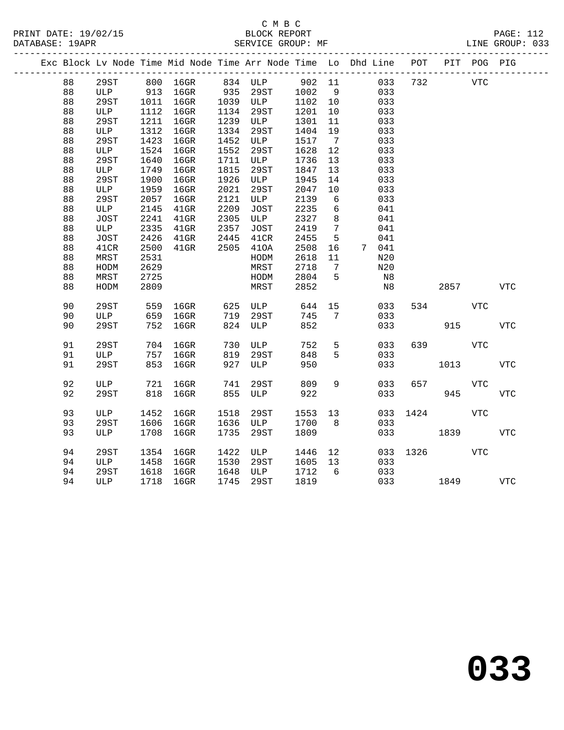### C M B C SERVICE GROUP: MF

| PRINT DATE: 19/02/15 | BLOCK REPORT      | <b>PAGE: 112</b> |
|----------------------|-------------------|------------------|
| DATABASE: 19APR      | SERVICE GROUP: MF | LINE GROUP: 033  |

|          |             |            |          |            |             |            |                 | Exc Block Lv Node Time Mid Node Time Arr Node Time Lo Dhd Line | POT  |      | PIT POG PIG |                |
|----------|-------------|------------|----------|------------|-------------|------------|-----------------|----------------------------------------------------------------|------|------|-------------|----------------|
| 88       | 29ST        |            | 800 16GR |            | 834 ULP     | 902 11     |                 | 033                                                            | 732  |      | VTC         |                |
| 88       | ULP         | 913        | $16$ GR  | 935        | 29ST        | 1002       | - 9             | 033                                                            |      |      |             |                |
| 88       | 29ST        | 1011       | $16$ GR  | 1039       | ULP         | 1102       | 10              | 033                                                            |      |      |             |                |
| 88       | ULP         | 1112       | $16$ GR  | 1134       | 29ST        | 1201       | 10              | 033                                                            |      |      |             |                |
| 88       | 29ST        | 1211       | $16$ GR  | 1239       | ULP         | 1301       | 11              | 033                                                            |      |      |             |                |
| 88       | ULP         | 1312       | $16$ GR  | 1334       | 29ST        | 1404       | 19              | 033                                                            |      |      |             |                |
| 88       | 29ST        | 1423       | $16$ GR  | 1452       | ULP         | 1517       | $7\overline{ }$ | 033                                                            |      |      |             |                |
| 88       | ULP         | 1524       | 16GR     | 1552       | 29ST        | 1628       | 12              | 033                                                            |      |      |             |                |
| 88       | 29ST        | 1640       | 16GR     | 1711       | ULP         | 1736       | 13              | 033                                                            |      |      |             |                |
| 88       | ULP         | 1749       | 16GR     | 1815       | 29ST        | 1847       | 13              | 033                                                            |      |      |             |                |
| 88       | 29ST        | 1900       | 16GR     | 1926       | ULP         | 1945       | 14              | 033                                                            |      |      |             |                |
| 88       | ULP         | 1959       | 16GR     | 2021       | 29ST        | 2047       | 10              | 033                                                            |      |      |             |                |
| 88       | 29ST        | 2057       | 16GR     | 2121       | ULP         | 2139       | 6               | 033                                                            |      |      |             |                |
| 88       | ULP         | 2145       | $41$ GR  | 2209       | JOST        | 2235       | 6               | 041                                                            |      |      |             |                |
| 88       | <b>JOST</b> | 2241       | $41$ GR  | 2305       | ULP         | 2327       | 8               | 041                                                            |      |      |             |                |
| 88       | ULP         | 2335       | $41$ GR  | 2357       | JOST        | 2419       | $7\phantom{.0}$ | 041                                                            |      |      |             |                |
| 88       | JOST        | 2426       | $41$ GR  | 2445       | 41CR        | 2455       | 5               | 041                                                            |      |      |             |                |
| 88       | 41CR        | 2500       | $41$ GR  | 2505       | 410A        | 2508       | 16              | 7 041                                                          |      |      |             |                |
| 88       | MRST        | 2531       |          |            | HODM        | 2618       | 11              | N20                                                            |      |      |             |                |
| 88       | HODM        | 2629       |          |            | MRST        | 2718       | 7               | N20                                                            |      |      |             |                |
| 88       | MRST        | 2725       |          |            | HODM        | 2804       | 5               | N8                                                             |      |      |             |                |
| 88       | HODM        | 2809       |          |            | MRST        | 2852       |                 | N8                                                             |      | 2857 |             | VTC            |
|          |             |            |          |            |             |            |                 |                                                                |      |      |             |                |
| 90       | 29ST        | 559        | $16$ GR  | 625        | ULP         | 644        | 15              | 033                                                            | 534  |      | VTC         |                |
| 90       | ULP         | 659        | $16$ GR  | 719        | 29ST        | 745        | $7\phantom{.0}$ | 033                                                            |      |      |             |                |
| 90       | 29ST        | 752        | $16$ GR  | 824        | ULP         | 852        |                 | 033                                                            |      | 915  |             | $_{\rm VTC}$   |
|          |             |            |          |            |             |            |                 |                                                                |      |      |             |                |
| 91       | 29ST        | 704        | $16$ GR  | 730        | ULP         | 752        | 5               | 033                                                            | 639  |      | VTC         |                |
| 91<br>91 | ULP<br>29ST | 757<br>853 | $16$ GR  | 819<br>927 | 29ST<br>ULP | 848<br>950 | 5               | 033<br>033                                                     |      | 1013 |             |                |
|          |             |            | $16$ GR  |            |             |            |                 |                                                                |      |      |             | ${\hbox{VTC}}$ |
| 92       | ULP         | 721        | $16$ GR  | 741        | 29ST        | 809        | 9               | 033                                                            | 657  |      | <b>VTC</b>  |                |
| 92       | 29ST        | 818        | $16$ GR  | 855        | ULP         | 922        |                 | 033                                                            |      | 945  |             | $_{\rm VTC}$   |
|          |             |            |          |            |             |            |                 |                                                                |      |      |             |                |
| 93       | ULP         | 1452       | 16GR     | 1518       | 29ST        | 1553       | 13              | 033                                                            | 1424 |      | VTC         |                |
| 93       | 29ST        | 1606       | $16$ GR  | 1636       | ULP         | 1700       | 8               | 033                                                            |      |      |             |                |
| 93       | ULP         | 1708       | $16$ GR  | 1735       | 29ST        | 1809       |                 | 033                                                            |      | 1839 |             | <b>VTC</b>     |
|          |             |            |          |            |             |            |                 |                                                                |      |      |             |                |
| 94       | 29ST        | 1354       | $16$ GR  | 1422       | ULP         | 1446       | 12              | 033                                                            | 1326 |      | <b>VTC</b>  |                |
| 94       | ULP         | 1458       | $16$ GR  | 1530       | 29ST        | 1605       | 13              | 033                                                            |      |      |             |                |
| 94       | 29ST        | 1618       | $16$ GR  | 1648       | ULP         | 1712       | 6               | 033                                                            |      |      |             |                |
| 94       | ULP         | 1718       | $16$ GR  | 1745       | 29ST        | 1819       |                 | 033                                                            |      | 1849 |             | VTC            |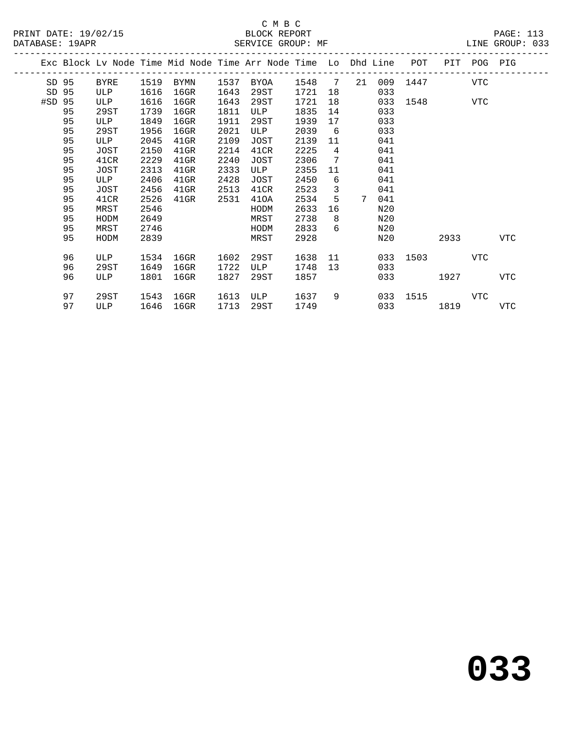### C M B C<br>BLOCK REPORT DATABASE: 19APR SERVICE GROUP: MF LINE GROUP: 033

|        |    |      |      | Exc Block Lv Node Time Mid Node Time Arr Node Time Lo Dhd Line |      |               |      |                 |                 |     | POT          |             | PIT POG PIG |            |
|--------|----|------|------|----------------------------------------------------------------|------|---------------|------|-----------------|-----------------|-----|--------------|-------------|-------------|------------|
| SD 95  |    | BYRE | 1519 | BYMN                                                           | 1537 | BYOA          | 1548 | $7\phantom{0}$  | 21              | 009 |              | 1447        | VTC         |            |
| SD 95  |    | ULP  | 1616 | 16GR                                                           | 1643 | 29ST          | 1721 | 18              |                 | 033 |              |             |             |            |
| #SD 95 |    | ULP  | 1616 | $16$ GR                                                        | 1643 | 29ST          | 1721 | 18              |                 | 033 |              | 1548 VTC    |             |            |
|        | 95 | 29ST | 1739 | 16GR                                                           | 1811 | ULP           | 1835 | 14              |                 | 033 |              |             |             |            |
|        | 95 | ULP  | 1849 | $16$ GR                                                        | 1911 | 29ST          | 1939 | 17              |                 | 033 |              |             |             |            |
|        | 95 | 29ST | 1956 | 16GR                                                           | 2021 | ULP           | 2039 | 6               |                 | 033 |              |             |             |            |
|        | 95 | ULP  | 2045 | $41$ GR                                                        | 2109 | JOST          | 2139 | 11              |                 | 041 |              |             |             |            |
|        | 95 | JOST | 2150 | $41$ GR                                                        | 2214 | 41CR          | 2225 | $4\overline{ }$ |                 | 041 |              |             |             |            |
|        | 95 | 41CR | 2229 | $41$ GR                                                        | 2240 | JOST          | 2306 | 7               |                 | 041 |              |             |             |            |
|        | 95 | JOST | 2313 | $41$ GR                                                        | 2333 | ULP           | 2355 | 11              |                 | 041 |              |             |             |            |
|        | 95 | ULP  | 2406 | $41$ GR                                                        | 2428 | JOST          | 2450 | 6               |                 | 041 |              |             |             |            |
|        | 95 | JOST | 2456 | $41$ GR                                                        | 2513 | 41CR          | 2523 | 3               |                 | 041 |              |             |             |            |
|        | 95 | 41CR | 2526 | $41$ GR                                                        | 2531 | 410A          | 2534 | 5               | $7\phantom{.0}$ | 041 |              |             |             |            |
|        | 95 | MRST | 2546 |                                                                |      | HODM          | 2633 | 16              |                 | N20 |              |             |             |            |
|        | 95 | HODM | 2649 |                                                                |      | MRST          | 2738 | 8               |                 | N20 |              |             |             |            |
|        | 95 | MRST | 2746 |                                                                |      | HODM          | 2833 | 6               |                 | N20 |              |             |             |            |
|        | 95 | HODM | 2839 |                                                                |      | MRST          | 2928 |                 |                 | N20 |              | 2933        |             | VTC        |
|        |    |      |      |                                                                |      |               |      |                 |                 |     |              |             |             |            |
|        | 96 | ULP  | 1534 | 16GR                                                           | 1602 | 29ST          | 1638 |                 | 11              |     | 033 1503     |             | VTC         |            |
|        | 96 | 29ST | 1649 | $16$ GR                                                        | 1722 | ULP           | 1748 | 13              |                 | 033 |              |             |             |            |
|        | 96 | ULP  | 1801 | $16$ GR                                                        | 1827 | 29ST          | 1857 |                 |                 |     | 033 and 0.33 | 1927 - 1920 |             | <b>VTC</b> |
|        | 97 | 29ST |      | 1543 16GR                                                      |      | 1613 ULP 1637 |      | 9               |                 |     | 033 1515     |             | VTC         |            |
|        |    |      |      |                                                                |      |               |      |                 |                 |     |              |             |             |            |

97 ULP 1646 16GR 1713 29ST 1749 033 1819 VTC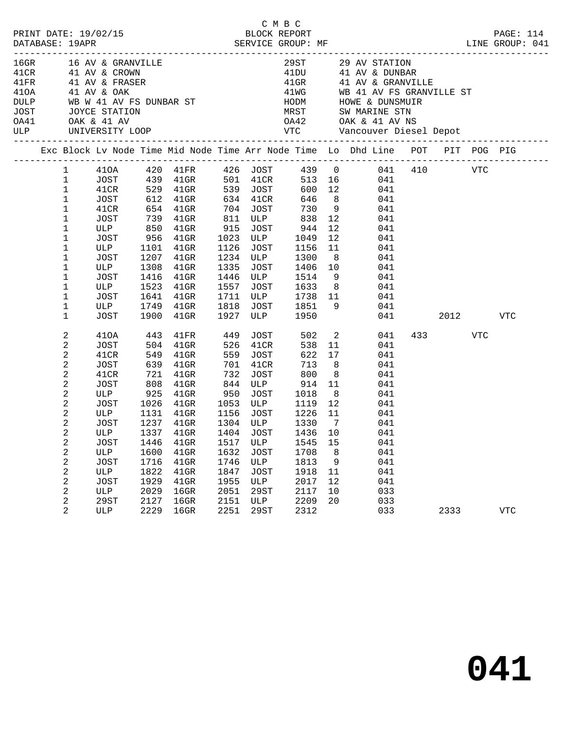| PRINT DATE: 19/02/15                                                   |              |             |      |                                                                                                                    |      |             | СМВС                                 |                |                                                                                |     |         |          | PAGE: 114   |  |
|------------------------------------------------------------------------|--------------|-------------|------|--------------------------------------------------------------------------------------------------------------------|------|-------------|--------------------------------------|----------------|--------------------------------------------------------------------------------|-----|---------|----------|-------------|--|
| DATABASE: 19APR                                                        |              |             |      | 2/15 BLOCK REPORT SERVICE GROUP: MF                                                                                |      |             |                                      |                | LINE GROUP: 041                                                                |     |         |          |             |  |
|                                                                        |              |             |      | 16GR 16 AV & GRANVILLE<br>41CR 41 AV & CROWN                                                                       |      |             |                                      |                | 29ST 29 AV STATION<br>41DU 41 AV & DUNBAR                                      |     |         |          |             |  |
| 41FR 41 AV & FRASER                                                    |              |             |      |                                                                                                                    |      |             |                                      |                | 41GR 41 AV & GRANVILLE                                                         |     |         |          |             |  |
|                                                                        |              |             |      |                                                                                                                    |      |             |                                      |                |                                                                                |     |         |          |             |  |
| 410A 41 AV & OAK                                                       |              |             |      |                                                                                                                    |      |             |                                      |                | 41WG WB 41 AV FS GRANVILLE ST                                                  |     |         |          |             |  |
|                                                                        |              |             |      |                                                                                                                    |      |             |                                      |                |                                                                                |     |         |          |             |  |
| DULP WB W 41 AV FS DUNBAR ST<br>JOST JOYCE STATION<br>0A41 OAK & 41 AV |              |             |      |                                                                                                                    |      |             |                                      |                | OA42 OAK & 41 AV NS                                                            |     |         |          |             |  |
| <b>ULP</b>                                                             |              |             |      |                                                                                                                    |      |             |                                      |                |                                                                                |     |         |          |             |  |
|                                                                        |              |             |      |                                                                                                                    |      |             |                                      |                | Exc Block Lv Node Time Mid Node Time Arr Node Time Lo Dhd Line POT PIT POG PIG |     |         |          |             |  |
|                                                                        |              |             |      |                                                                                                                    |      |             |                                      |                | 1 410A 420 41FR 426 JOST 439 0 041 410 VTC                                     |     |         |          |             |  |
|                                                                        | $\mathbf{1}$ |             |      |                                                                                                                    |      |             |                                      |                |                                                                                |     |         |          |             |  |
|                                                                        | $\mathbf{1}$ |             |      |                                                                                                                    |      |             |                                      |                |                                                                                |     |         |          |             |  |
|                                                                        | $\mathbf{1}$ |             |      |                                                                                                                    |      |             |                                      |                |                                                                                |     |         |          |             |  |
|                                                                        | $\mathbf{1}$ | 41CR        |      | 654  41GR  704  JOST                                                                                               |      |             |                                      |                | 730 9 041                                                                      |     |         |          |             |  |
|                                                                        | $\mathbf 1$  | JOST        |      | 739 41GR                                                                                                           |      |             | 811 ULP 838                          | 12             | 041                                                                            |     |         |          |             |  |
|                                                                        | 1            |             |      | ULP 850 41GR 915 JOST 944<br>JOST 956 41GR 1023 ULP 1049                                                           |      |             |                                      | 12             | 041                                                                            |     |         |          |             |  |
|                                                                        | 1            | ULP         |      |                                                                                                                    |      |             | JOST 1156                            | 12             | 041                                                                            |     |         |          |             |  |
|                                                                        | 1            |             |      | 1101 41GR                                                                                                          | 1126 |             |                                      | 11             | 041                                                                            |     |         |          |             |  |
|                                                                        | 1<br>1       | JOST<br>ULP | 1308 | 1207 41GR<br>41GR                                                                                                  |      |             | 1234 ULP 1300                        | 8 <sup>8</sup> | 041                                                                            |     |         |          |             |  |
|                                                                        | $1\,$        | JOST        |      | 1416 41GR                                                                                                          |      |             | 1335 JOST 1406 10<br>1446 ULP 1514 9 |                | 041<br>041                                                                     |     |         |          |             |  |
|                                                                        | 1            | ULP         |      | 1523 41GR                                                                                                          | 1557 |             |                                      |                | JOST 1633 8 041                                                                |     |         |          |             |  |
|                                                                        | 1            | JOST        |      | 1641 41GR                                                                                                          |      |             | 1711 ULP 1738 11                     |                | 041                                                                            |     |         |          |             |  |
|                                                                        | 1            |             |      |                                                                                                                    |      |             |                                      |                | 041                                                                            |     |         |          |             |  |
|                                                                        | $\mathbf 1$  | ULP<br>JOST |      | 1749    41GR         1818     JOST         1851       9<br>1900     41GR          1927    ULP            1950      |      |             |                                      |                |                                                                                | 041 |         | 2012 VTC |             |  |
|                                                                        | 2            | 410A        | 443  | $41\mathrm{FR}$                                                                                                    | 449  |             | JOST 502 2                           |                | 041                                                                            |     | 433 VTC |          |             |  |
|                                                                        | 2            | JOST        |      | $504$ $41$ GR                                                                                                      | 526  | 41CR        | 538                                  | 11             | 041                                                                            |     |         |          |             |  |
|                                                                        | 2            | 41CR        |      | 549 41GR                                                                                                           |      | 559 JOST    | 622                                  | 17             | 041                                                                            |     |         |          |             |  |
|                                                                        | 2            | JOST        |      | 639 41GR                                                                                                           | 701  | 41CR        | 713                                  | 8 <sup>8</sup> | 041                                                                            |     |         |          |             |  |
|                                                                        | 2            | 41CR        |      | 721 41GR                                                                                                           | 732  |             | JOST 800                             | 8 <sup>8</sup> | 041                                                                            |     |         |          |             |  |
|                                                                        | 2            |             |      | JOST 808 41GR<br>ULP 925 41GR<br>808 41GR 844 ULP 914 11<br>925 41GR 950 JOST 1018 8<br>1026 41GR 1053 ULP 1119 12 |      |             |                                      | 11             | 041                                                                            |     |         |          |             |  |
|                                                                        | 2            |             |      |                                                                                                                    |      |             |                                      | 8 <sup>1</sup> | 041<br>041                                                                     |     |         |          |             |  |
|                                                                        | 2            | JOST        |      | ULP 1131 41GR 1156 JOST 1226 11                                                                                    |      |             |                                      |                | 041                                                                            |     |         |          |             |  |
|                                                                        | 2<br>2       | JOST        |      | 1237 41GR                                                                                                          |      | 1304 ULP    |                                      | 1330 7         | 041                                                                            |     |         |          |             |  |
|                                                                        | 2            | ULP         |      | 1337 41GR 1404 JOST 1436 10                                                                                        |      |             |                                      |                | 041                                                                            |     |         |          |             |  |
|                                                                        | 2            | JOST        | 1446 | $41$ GR                                                                                                            | 1517 | ULP         | 1545                                 | 15             | 041                                                                            |     |         |          |             |  |
|                                                                        | 2            | ULP         | 1600 | $41$ GR                                                                                                            | 1632 | JOST        | 1708                                 | 8              | 041                                                                            |     |         |          |             |  |
|                                                                        | 2            | <b>JOST</b> | 1716 | $41$ GR                                                                                                            | 1746 | ULP         | 1813                                 | 9              | 041                                                                            |     |         |          |             |  |
|                                                                        | 2            | ULP         | 1822 | $41$ GR                                                                                                            | 1847 | <b>JOST</b> | 1918                                 | 11             | 041                                                                            |     |         |          |             |  |
|                                                                        | 2            | <b>JOST</b> | 1929 | 41GR                                                                                                               | 1955 | ULP         | 2017                                 | 12             | 041                                                                            |     |         |          |             |  |
|                                                                        | 2            | ULP         | 2029 | $16$ GR                                                                                                            | 2051 | 29ST        | 2117                                 | 10             | 033                                                                            |     |         |          |             |  |
|                                                                        | 2            | 29ST        | 2127 | $16$ GR                                                                                                            | 2151 | ULP         | 2209                                 | 20             | 033                                                                            |     |         |          |             |  |
|                                                                        | 2            | ULP         | 2229 | $16$ GR                                                                                                            | 2251 | <b>29ST</b> | 2312                                 |                | 033                                                                            |     | 2333    |          | ${\tt VTC}$ |  |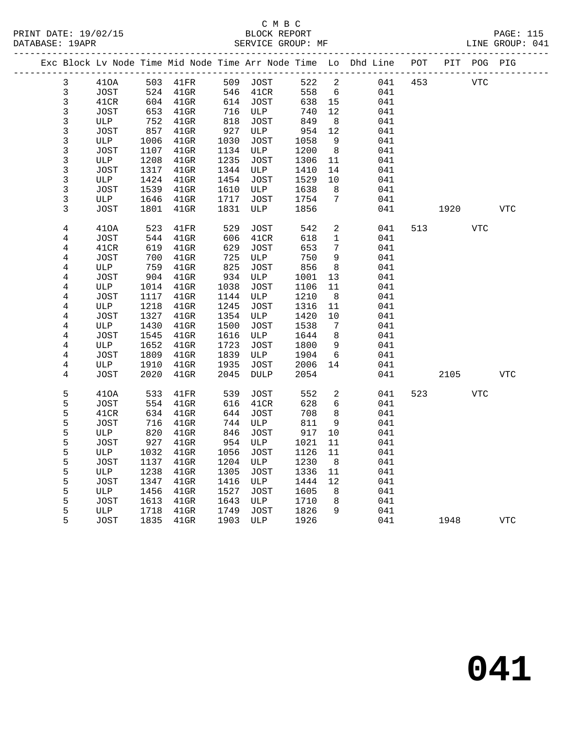|                |             |      |                 |      |             |      |                 | Exc Block Lv Node Time Mid Node Time Arr Node Time Lo Dhd Line POT |     |      | PIT POG PIG |            |
|----------------|-------------|------|-----------------|------|-------------|------|-----------------|--------------------------------------------------------------------|-----|------|-------------|------------|
| 3              | 410A        |      | 503 41FR        | 509  | JOST        | 522  | 2               | 041                                                                | 453 |      | <b>VTC</b>  |            |
| 3              | JOST        | 524  | $41$ GR         | 546  | 41CR        | 558  | 6               | 041                                                                |     |      |             |            |
| 3              | 41CR        | 604  | 41GR            | 614  | JOST        | 638  | 15              | 041                                                                |     |      |             |            |
| 3              | JOST        | 653  | 41GR            | 716  | ULP         | 740  | 12              | 041                                                                |     |      |             |            |
| 3              | ULP         | 752  | $41$ GR         | 818  | JOST        | 849  | 8               | 041                                                                |     |      |             |            |
| 3              | JOST        | 857  | 41GR            | 927  | ULP         | 954  | 12              | 041                                                                |     |      |             |            |
| $\mathfrak{Z}$ | ULP         | 1006 | 41GR            | 1030 | JOST        | 1058 | 9               | 041                                                                |     |      |             |            |
| 3              | JOST        | 1107 | $41$ GR         | 1134 | ULP         | 1200 | - 8             | 041                                                                |     |      |             |            |
| 3              | ULP         | 1208 | 41GR            | 1235 | JOST        | 1306 | 11              | 041                                                                |     |      |             |            |
| $\mathfrak{Z}$ | JOST        | 1317 | $41$ GR         | 1344 | ULP         | 1410 | 14              | 041                                                                |     |      |             |            |
| 3              | ULP         | 1424 | $41$ GR         | 1454 | JOST        | 1529 | 10              | 041                                                                |     |      |             |            |
| $\overline{3}$ | JOST        | 1539 | $41$ GR         | 1610 | ULP         | 1638 | 8               | 041                                                                |     |      |             |            |
| 3              | ULP         | 1646 | 41GR            | 1717 | JOST        | 1754 | $7\phantom{.0}$ | 041                                                                |     |      |             |            |
| 3              | JOST        | 1801 | $41$ GR         | 1831 | ULP         | 1856 |                 | 041                                                                |     | 1920 |             | <b>VTC</b> |
| $\bf 4$        | 410A        | 523  | $41\mathrm{FR}$ | 529  | JOST        | 542  | 2               | 041                                                                | 513 |      | <b>VTC</b>  |            |
| 4              | JOST        | 544  | 41GR            | 606  | 41CR        | 618  | 1               | 041                                                                |     |      |             |            |
| 4              | 41CR        | 619  | $41$ GR         | 629  | <b>JOST</b> | 653  | 7               | 041                                                                |     |      |             |            |
| 4              | <b>JOST</b> | 700  | $41$ GR         | 725  | ULP         | 750  | 9               | 041                                                                |     |      |             |            |
| 4              | ULP         | 759  | $41$ GR         | 825  | <b>JOST</b> | 856  | 8               | 041                                                                |     |      |             |            |
| 4              | JOST        | 904  | $41$ GR         | 934  | ULP         | 1001 | 13              | 041                                                                |     |      |             |            |
| $\,4$          | ULP         | 1014 | $41$ GR         | 1038 | JOST        | 1106 | 11              | 041                                                                |     |      |             |            |
| $\,4$          | JOST        | 1117 | $41$ GR         | 1144 | ULP         | 1210 | 8               | 041                                                                |     |      |             |            |
| 4              | ULP         | 1218 | $41$ GR         | 1245 | JOST        | 1316 | 11              | 041                                                                |     |      |             |            |
| $\bf 4$        | JOST        | 1327 | $41$ GR         | 1354 | ULP         | 1420 | 10              | 041                                                                |     |      |             |            |
| 4              | ULP         | 1430 | $41$ GR         | 1500 | JOST        | 1538 | 7               | 041                                                                |     |      |             |            |
| $\,4$          | JOST        | 1545 | 41GR            | 1616 | ULP         | 1644 | 8               | 041                                                                |     |      |             |            |
| 4              | ULP         | 1652 | $41$ GR         | 1723 | <b>JOST</b> | 1800 | 9               | 041                                                                |     |      |             |            |
| $\,4$          | JOST        | 1809 | $41$ GR         | 1839 | ULP         | 1904 | 6               | 041                                                                |     |      |             |            |
| 4              | ULP         | 1910 | $41$ GR         | 1935 | JOST        | 2006 | 14              | 041                                                                |     |      |             |            |
| 4              | JOST        | 2020 | $41$ GR         | 2045 | <b>DULP</b> | 2054 |                 | 041                                                                |     | 2105 |             | <b>VTC</b> |
| 5              | 410A        | 533  | 41FR            | 539  | JOST        | 552  | 2               | 041                                                                | 523 |      | <b>VTC</b>  |            |
| 5              | JOST        | 554  | $41$ GR         | 616  | 41CR        | 628  | 6               | 041                                                                |     |      |             |            |
| 5              | 41CR        | 634  | $41$ GR         | 644  | JOST        | 708  | 8               | 041                                                                |     |      |             |            |
| 5              | JOST        | 716  | $41$ GR         | 744  | ULP         | 811  | 9               | 041                                                                |     |      |             |            |
| 5              | ULP         | 820  | $41$ GR         | 846  | <b>JOST</b> | 917  | 10              | 041                                                                |     |      |             |            |
| 5              | JOST        | 927  | 41GR            | 954  | ULP         | 1021 | 11              | 041                                                                |     |      |             |            |
| 5              | ULP         | 1032 | 41GR            | 1056 | JOST        | 1126 | 11              | 041                                                                |     |      |             |            |
| 5              | JOST        | 1137 | $41$ GR         | 1204 | ULP         | 1230 | 8               | 041                                                                |     |      |             |            |
| 5              | ULP         | 1238 | $41$ GR         | 1305 | JOST        | 1336 | 11              | 041                                                                |     |      |             |            |
| 5              | <b>JOST</b> | 1347 | $41$ GR         | 1416 | ULP         | 1444 | 12              | 041                                                                |     |      |             |            |
| 5              | ULP         | 1456 | $41$ GR         | 1527 | JOST        | 1605 | 8               | 041                                                                |     |      |             |            |
| 5              | JOST        | 1613 | $41$ GR         | 1643 | ULP         | 1710 | 8               | 041                                                                |     |      |             |            |
| 5              | ULP         | 1718 | $41$ GR         | 1749 | <b>JOST</b> | 1826 | 9               | 041                                                                |     |      |             |            |
| 5              | JOST        | 1835 | $41$ GR         | 1903 | ULP         | 1926 |                 | 041                                                                |     | 1948 |             | <b>VTC</b> |
|                |             |      |                 |      |             |      |                 |                                                                    |     |      |             |            |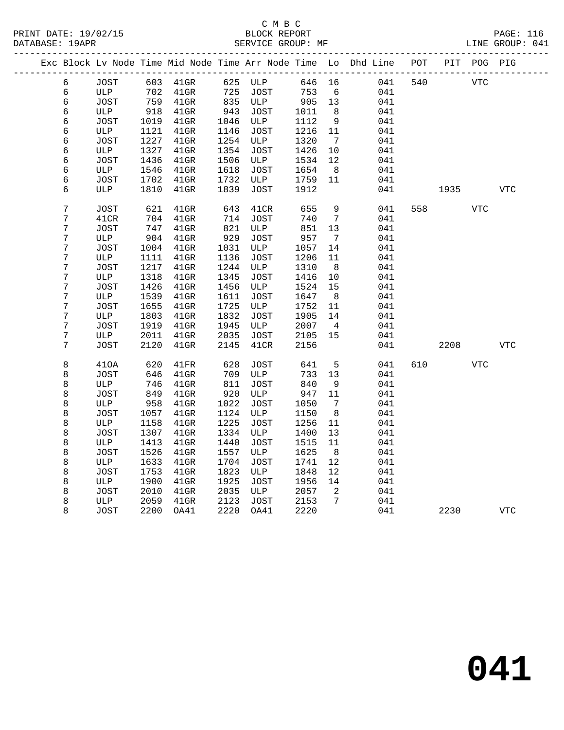|                  |             |      |          |      |             |        |                              | Exc Block Lv Node Time Mid Node Time Arr Node Time Lo Dhd Line POT PIT POG PIG |     |      |            |            |  |
|------------------|-------------|------|----------|------|-------------|--------|------------------------------|--------------------------------------------------------------------------------|-----|------|------------|------------|--|
| 6                | JOST        |      | 603 41GR | 625  | ULP         | 646 16 |                              | 041                                                                            | 540 |      | <b>VTC</b> |            |  |
| 6                | ULP         | 702  | $41$ GR  | 725  | <b>JOST</b> | 753    | 6                            | 041                                                                            |     |      |            |            |  |
| 6                | JOST        | 759  | $41$ GR  | 835  | ULP         | 905    | 13                           | 041                                                                            |     |      |            |            |  |
| 6                | ULP         | 918  | 41GR     | 943  | JOST        | 1011   | 8                            | 041                                                                            |     |      |            |            |  |
| 6                | JOST        | 1019 | 41GR     | 1046 | ULP         | 1112   | 9                            | 041                                                                            |     |      |            |            |  |
| 6                | ULP         | 1121 | $41$ GR  | 1146 | JOST        | 1216   | 11                           | 041                                                                            |     |      |            |            |  |
| 6                | JOST        | 1227 | $41$ GR  | 1254 | ULP         | 1320   | $7\phantom{.0}\phantom{.0}7$ | 041                                                                            |     |      |            |            |  |
| 6                | ULP         | 1327 | $41$ GR  | 1354 | JOST        | 1426   | 10                           | 041                                                                            |     |      |            |            |  |
| 6                | <b>JOST</b> | 1436 | $41$ GR  | 1506 | ULP         | 1534   | $12 \overline{ }$            | 041                                                                            |     |      |            |            |  |
| 6                | ULP         | 1546 | $41$ GR  | 1618 | JOST        | 1654   | 8 <sup>8</sup>               | 041                                                                            |     |      |            |            |  |
| 6                | JOST        | 1702 | $41$ GR  | 1732 | ULP         | 1759   | 11                           | 041                                                                            |     |      |            |            |  |
| 6                | ULP         | 1810 | $41$ GR  | 1839 | JOST        | 1912   |                              | 041                                                                            |     | 1935 |            | <b>VTC</b> |  |
| $\overline{7}$   | <b>JOST</b> | 621  | $41$ GR  | 643  | 41CR        | 655    | 9                            | 041                                                                            | 558 |      | <b>VTC</b> |            |  |
| 7                | 41CR        | 704  | $41$ GR  | 714  | JOST        | 740    | $7\phantom{.0}\phantom{.0}7$ | 041                                                                            |     |      |            |            |  |
| $\boldsymbol{7}$ | JOST        | 747  | $41$ GR  | 821  | ULP         | 851    | 13                           | 041                                                                            |     |      |            |            |  |
| $\overline{7}$   | ULP         | 904  | 41GR     | 929  | JOST        | 957    | 7                            | 041                                                                            |     |      |            |            |  |
| 7                | JOST        | 1004 | $41$ GR  | 1031 | ULP         | 1057   | 14                           | 041                                                                            |     |      |            |            |  |
| 7                | ULP         | 1111 | $41$ GR  | 1136 | JOST        | 1206   | 11                           | 041                                                                            |     |      |            |            |  |
| 7                | JOST        | 1217 | $41$ GR  | 1244 | ULP         | 1310   | 8                            | 041                                                                            |     |      |            |            |  |
| $\overline{7}$   | ULP         |      |          | 1345 |             |        |                              |                                                                                |     |      |            |            |  |
| 7                |             | 1318 | $41$ GR  |      | <b>JOST</b> | 1416   | 10<br>15                     | 041                                                                            |     |      |            |            |  |
|                  | JOST        | 1426 | $41$ GR  | 1456 | ULP         | 1524   |                              | 041                                                                            |     |      |            |            |  |
| $\overline{7}$   | ULP         | 1539 | $41$ GR  | 1611 | JOST        | 1647   | 8                            | 041                                                                            |     |      |            |            |  |
| $\overline{7}$   | JOST        | 1655 | $41$ GR  | 1725 | ULP         | 1752   | 11                           | 041                                                                            |     |      |            |            |  |
| 7                | ULP         | 1803 | $41$ GR  | 1832 | JOST        | 1905   | 14                           | 041                                                                            |     |      |            |            |  |
| 7                | JOST        | 1919 | $41$ GR  | 1945 | ULP         | 2007   | $\overline{4}$               | 041                                                                            |     |      |            |            |  |
| $\overline{7}$   | ULP         | 2011 | $41$ GR  | 2035 | JOST        | 2105   | 15                           | 041                                                                            |     |      |            |            |  |
| 7                | JOST        | 2120 | $41$ GR  | 2145 | 41CR        | 2156   |                              | 041                                                                            |     | 2208 |            | <b>VTC</b> |  |
| 8                | 410A        | 620  | 41FR     | 628  | JOST        | 641    | 5                            | 041                                                                            | 610 |      | VTC        |            |  |
| 8                | JOST        | 646  | $41$ GR  | 709  | ULP         | 733    | 13                           | 041                                                                            |     |      |            |            |  |
| 8                | ULP         | 746  | $41$ GR  | 811  | JOST        | 840    | 9                            | 041                                                                            |     |      |            |            |  |
| 8                | JOST        | 849  | $41$ GR  | 920  | ULP         | 947    | 11                           | 041                                                                            |     |      |            |            |  |
| 8                | ULP         | 958  | $41$ GR  | 1022 | JOST        | 1050   | $7\phantom{.0}\phantom{.0}7$ | 041                                                                            |     |      |            |            |  |
| 8                | JOST        | 1057 | $41$ GR  | 1124 | ULP         | 1150   | 8                            | 041                                                                            |     |      |            |            |  |
| 8                | ULP         | 1158 | $41$ GR  | 1225 | JOST        | 1256   | 11                           | 041                                                                            |     |      |            |            |  |
| 8                | JOST        | 1307 | 41GR     | 1334 | ULP         | 1400   | 13                           | 041                                                                            |     |      |            |            |  |
| 8                | ULP         | 1413 | $41$ GR  | 1440 | JOST        | 1515   | 11                           | 041                                                                            |     |      |            |            |  |
| 8                | JOST        | 1526 | $41$ GR  | 1557 | ULP         | 1625   | 8                            | 041                                                                            |     |      |            |            |  |
| 8                | ULP         | 1633 | $41$ GR  | 1704 | JOST        | 1741   | 12                           | 041                                                                            |     |      |            |            |  |
| 8                | <b>JOST</b> | 1753 | $41$ GR  | 1823 | ULP         | 1848   | 12                           | 041                                                                            |     |      |            |            |  |
| 8                | ULP         | 1900 | $41$ GR  | 1925 | JOST        | 1956   | 14                           | 041                                                                            |     |      |            |            |  |
| 8                | JOST        | 2010 | $41$ GR  | 2035 | ULP         | 2057   | 2                            | 041                                                                            |     |      |            |            |  |
| 8                | ULP         | 2059 | $41$ GR  | 2123 | JOST        | 2153   | $7\overline{ }$              | 041                                                                            |     |      |            |            |  |
| 8                | JOST        | 2200 | OA41     | 2220 | OA41        | 2220   |                              | 041                                                                            |     | 2230 |            | <b>VTC</b> |  |
|                  |             |      |          |      |             |        |                              |                                                                                |     |      |            |            |  |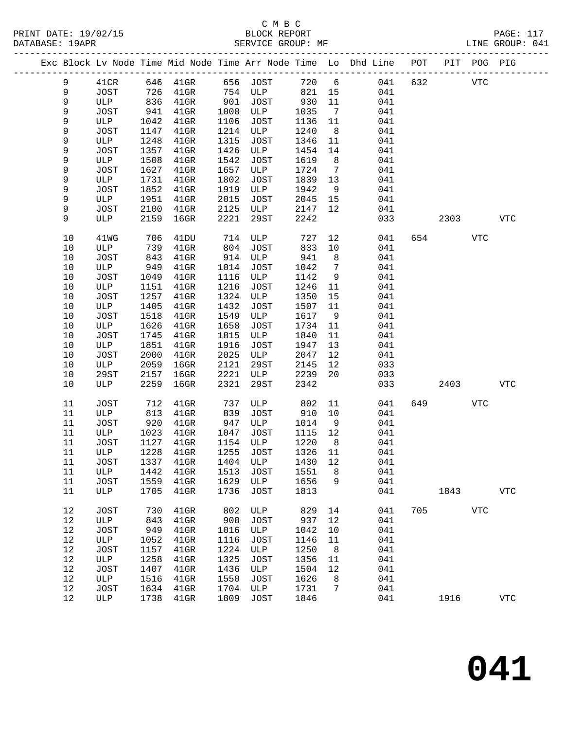|  |             |             |      |                                 |      |             |       |                 | Exc Block Lv Node Time Mid Node Time Arr Node Time Lo Dhd Line POT |     |      | PIT POG PIG  |            |
|--|-------------|-------------|------|---------------------------------|------|-------------|-------|-----------------|--------------------------------------------------------------------|-----|------|--------------|------------|
|  | $\mathsf 9$ | 41CR        |      | 646 41GR                        |      | 656 JOST    | 720 6 |                 | 041                                                                | 632 |      | $_{\rm VTC}$ |            |
|  | 9           | <b>JOST</b> |      |                                 |      | 754 ULP     | 821   | 15              | 041                                                                |     |      |              |            |
|  | 9           | ULP         |      | 726 41GR<br>836 41GR            | 901  | JOST        | 930   | 11              | 041                                                                |     |      |              |            |
|  | 9           | JOST        | 941  | $41$ GR                         | 1008 | ULP         | 1035  | $\overline{7}$  | 041                                                                |     |      |              |            |
|  | 9           | ULP         | 1042 | $41$ GR                         | 1106 | JOST        | 1136  | 11              | 041                                                                |     |      |              |            |
|  | 9           | <b>JOST</b> | 1147 | $41$ GR                         | 1214 | ULP         | 1240  | 8 <sup>8</sup>  | 041                                                                |     |      |              |            |
|  | 9           | ULP         | 1248 | $41$ GR                         | 1315 | JOST        | 1346  | 11              | 041                                                                |     |      |              |            |
|  | 9           | <b>JOST</b> | 1357 | $41$ GR                         | 1426 | ULP         | 1454  | 14              | 041                                                                |     |      |              |            |
|  | 9           | ULP         | 1508 | $41$ GR                         | 1542 | JOST        | 1619  | 8               | 041                                                                |     |      |              |            |
|  | 9           | <b>JOST</b> | 1627 | $41$ GR                         | 1657 | ULP         | 1724  | $\overline{7}$  | 041                                                                |     |      |              |            |
|  | 9           | ULP         | 1731 | $41$ GR                         | 1802 | JOST        | 1839  | 13              | 041                                                                |     |      |              |            |
|  | 9           | <b>JOST</b> | 1852 | $41$ GR                         | 1919 | ULP         | 1942  | 9               | 041                                                                |     |      |              |            |
|  | 9           | ULP         | 1951 | $41$ GR                         | 2015 | JOST        | 2045  | 15              | 041                                                                |     |      |              |            |
|  | 9           | <b>JOST</b> | 2100 | $41$ GR                         | 2125 | ULP         | 2147  | 12 <sup>°</sup> | 041                                                                |     |      |              |            |
|  | 9           | ULP         | 2159 | $16$ GR                         | 2221 | 29ST        | 2242  |                 | 033                                                                |     | 2303 |              | <b>VTC</b> |
|  | 10          | 41WG        | 706  | 41DU                            | 714  | ULP         | 727   | 12              | 041                                                                |     | 654  | <b>VTC</b>   |            |
|  | 10          | ULP         | 739  | $41$ GR                         | 804  | JOST        | 833   | 10              | 041                                                                |     |      |              |            |
|  | 10          | <b>JOST</b> | 843  | $41$ GR                         | 914  | ULP         | 941   | 8               | 041                                                                |     |      |              |            |
|  | 10          | ULP         | 949  | $41$ GR                         | 1014 | JOST        | 1042  | $7\overline{ }$ | 041                                                                |     |      |              |            |
|  | 10          | JOST        | 1049 | $41$ GR                         | 1116 | ULP         | 1142  | 9               | 041                                                                |     |      |              |            |
|  | 10          | ULP         | 1151 | $41$ GR                         | 1216 | JOST        | 1246  | 11              | 041                                                                |     |      |              |            |
|  | 10          | <b>JOST</b> | 1257 | $41$ GR                         | 1324 | ULP         | 1350  | 15              | 041                                                                |     |      |              |            |
|  | 10          | ULP         | 1405 | $41$ GR                         | 1432 | JOST        | 1507  | 11              | 041                                                                |     |      |              |            |
|  | 10          | <b>JOST</b> | 1518 | $41$ GR                         | 1549 | ULP         | 1617  | 9               | 041                                                                |     |      |              |            |
|  | 10          | ULP         | 1626 | $41$ GR                         | 1658 | JOST        | 1734  | 11              | 041                                                                |     |      |              |            |
|  | 10          | <b>JOST</b> | 1745 | $41$ GR                         | 1815 | ULP         | 1840  | 11              | 041                                                                |     |      |              |            |
|  | 10          | ULP         | 1851 | $41$ GR                         | 1916 | JOST        | 1947  | 13              | 041                                                                |     |      |              |            |
|  | 10          | <b>JOST</b> | 2000 | $41$ GR                         | 2025 | ULP         | 2047  | 12              | 041                                                                |     |      |              |            |
|  | 10          | ULP         | 2059 | $16$ GR                         | 2121 | 29ST        | 2145  | 12              | 033                                                                |     |      |              |            |
|  | 10          | 29ST        | 2157 | 16GR                            | 2221 | ULP         | 2239  | 20              | 033                                                                |     |      |              |            |
|  | 10          | ULP         | 2259 | $16$ GR                         | 2321 | 29ST        | 2342  |                 | 033                                                                |     | 2403 |              | <b>VTC</b> |
|  |             |             |      |                                 |      |             |       |                 |                                                                    |     |      |              |            |
|  | 11          | <b>JOST</b> | 712  | $41$ GR                         | 737  | ULP         | 802   | 11              | 041                                                                | 649 |      | <b>VTC</b>   |            |
|  | 11          | ULP         | 813  | $41$ GR                         | 839  | JOST        | 910   | 10              | 041                                                                |     |      |              |            |
|  | 11          | <b>JOST</b> | 920  | $41$ GR                         | 947  | ULP         | 1014  | 9               | 041                                                                |     |      |              |            |
|  | 11          | ULP         | 1023 | $41$ GR                         | 1047 | JOST        | 1115  | 12              | 041                                                                |     |      |              |            |
|  | 11          | <b>JOST</b> | 1127 | $41$ GR                         | 1154 | ULP         | 1220  | 8 <sup>8</sup>  | 041                                                                |     |      |              |            |
|  | 11          | ULP         | 1228 | $41$ GR                         | 1255 | JOST        | 1326  | 11              | 041                                                                |     |      |              |            |
|  | $11\,$      |             |      | JOST 1337 41GR 1404 ULP 1430 12 |      |             |       |                 | 041                                                                |     |      |              |            |
|  | 11          | ULP         | 1442 | $41$ GR                         | 1513 | JOST        | 1551  | 8               | 041                                                                |     |      |              |            |
|  | 11          | <b>JOST</b> | 1559 | $41$ GR                         | 1629 | ULP         | 1656  | 9               | 041                                                                |     |      |              |            |
|  | 11          | ULP         | 1705 | $41$ GR                         | 1736 | JOST        | 1813  |                 | 041                                                                |     | 1843 |              | <b>VTC</b> |
|  | 12          | <b>JOST</b> | 730  | $41$ GR                         | 802  | ULP         | 829   | 14              | 041                                                                | 705 |      | <b>VTC</b>   |            |
|  | 12          | ULP         | 843  | $41$ GR                         | 908  | JOST        | 937   | 12              | 041                                                                |     |      |              |            |
|  | 12          | <b>JOST</b> | 949  | $41$ GR                         | 1016 | ULP         | 1042  | 10              | 041                                                                |     |      |              |            |
|  | $12\,$      | ULP         | 1052 | $41$ GR                         | 1116 | <b>JOST</b> | 1146  | 11              | 041                                                                |     |      |              |            |
|  | 12          | <b>JOST</b> | 1157 | $41$ GR                         | 1224 | ULP         | 1250  | 8               | 041                                                                |     |      |              |            |
|  | 12          | ULP         | 1258 | $41$ GR                         | 1325 | JOST        | 1356  | 11              | 041                                                                |     |      |              |            |
|  | 12          | <b>JOST</b> | 1407 | $41$ GR                         | 1436 | ULP         | 1504  | 12              | 041                                                                |     |      |              |            |
|  | $12\,$      | ULP         | 1516 | $41$ GR                         | 1550 | <b>JOST</b> | 1626  | 8               | 041                                                                |     |      |              |            |
|  | $12$        | <b>JOST</b> | 1634 | $41$ GR                         | 1704 | ULP         | 1731  | 7               | 041                                                                |     |      |              |            |
|  | 12          | ULP         | 1738 | $41$ GR                         | 1809 | JOST        | 1846  |                 | 041                                                                |     | 1916 |              | <b>VTC</b> |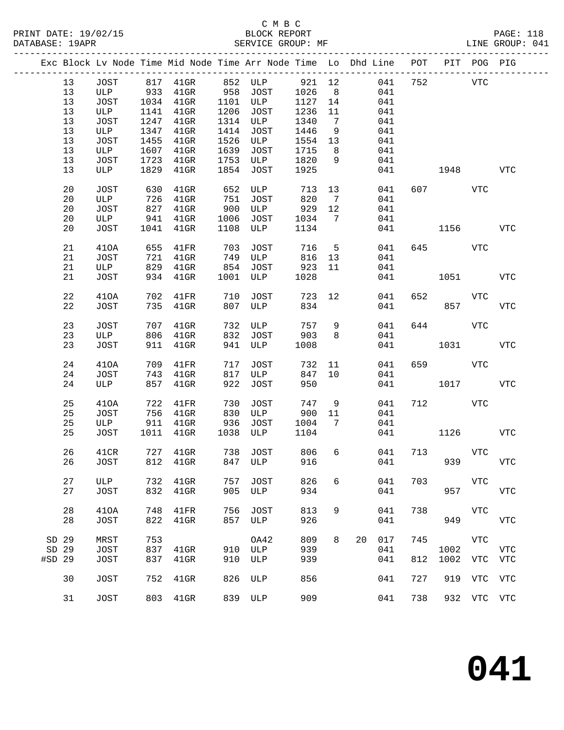|        |             |      | Exc Block Lv Node Time Mid Node Time Arr Node Time Lo Dhd Line POT |      |                |      |                |                 |     |     |         | PIT POG PIG |              |
|--------|-------------|------|--------------------------------------------------------------------|------|----------------|------|----------------|-----------------|-----|-----|---------|-------------|--------------|
| 13     | JOST        |      | 817 41GR                                                           |      | 852 ULP 921 12 |      |                |                 | 041 | 752 |         | <b>VTC</b>  |              |
| 13     | ULP         | 933  | $41$ GR                                                            | 958  | JOST           | 1026 | 8 <sup>8</sup> |                 | 041 |     |         |             |              |
| 13     | JOST        | 1034 | $41$ GR                                                            | 1101 | ULP            | 1127 | 14             |                 | 041 |     |         |             |              |
| 13     | ULP         | 1141 | $41$ GR                                                            | 1206 | JOST           | 1236 | 11             |                 | 041 |     |         |             |              |
| 13     | JOST        | 1247 | $41$ GR                                                            | 1314 | ULP            | 1340 | $\overline{7}$ |                 | 041 |     |         |             |              |
| 13     | ULP         | 1347 | $41$ GR                                                            | 1414 | JOST           | 1446 | 9              |                 | 041 |     |         |             |              |
| 13     | JOST        | 1455 | $41$ GR                                                            | 1526 | ULP            | 1554 | 13             |                 | 041 |     |         |             |              |
| 13     | ULP         | 1607 | 41GR                                                               | 1639 | JOST           | 1715 | 8 <sup>8</sup> |                 | 041 |     |         |             |              |
| 13     | JOST        | 1723 | 41GR                                                               | 1753 | ULP            | 1820 | 9              |                 | 041 |     |         |             |              |
| 13     | ULP         | 1829 | $41$ GR                                                            | 1854 | JOST           | 1925 |                |                 | 041 |     | 1948    |             | <b>VTC</b>   |
|        |             |      |                                                                    |      |                |      |                |                 |     |     |         |             |              |
| 20     | JOST        | 630  | $41$ GR                                                            | 652  | ULP            | 713  | 13             |                 | 041 |     | 607 VTC |             |              |
| 20     | ULP         | 726  | $41$ GR                                                            | 751  | JOST           | 820  | $\overline{7}$ |                 | 041 |     |         |             |              |
| 20     | JOST        | 827  | $41$ GR                                                            | 900  | ULP            | 929  | 12             |                 | 041 |     |         |             |              |
| 20     | ULP         | 941  | $41$ GR                                                            | 1006 | JOST           | 1034 | $\overline{7}$ |                 | 041 |     |         |             |              |
| 20     | JOST        | 1041 | $41$ GR                                                            | 1108 | ULP            | 1134 |                |                 | 041 |     | 1156    |             | <b>VTC</b>   |
|        |             |      |                                                                    |      |                |      |                |                 |     |     |         |             |              |
| 21     | 410A        | 655  | 41FR                                                               | 703  | JOST           | 716  | 5              |                 | 041 |     | 645     | VTC         |              |
| 21     | JOST        | 721  | $41$ GR                                                            | 749  | ULP            | 816  | 13             |                 | 041 |     |         |             |              |
| 21     | ULP         | 829  | $41$ GR                                                            | 854  | JOST           | 923  | 11             |                 | 041 |     |         |             |              |
| 21     | JOST        | 934  | $41$ GR                                                            | 1001 | ULP            | 1028 |                |                 | 041 |     | 1051    |             | VTC          |
|        |             |      |                                                                    |      |                |      |                |                 |     |     |         |             |              |
| 22     | 410A        | 702  | 41FR                                                               | 710  | <b>JOST</b>    | 723  | 12             |                 | 041 | 652 |         | VTC         |              |
| 22     | JOST        | 735  | $41$ GR                                                            | 807  | ULP            | 834  |                |                 | 041 |     | 857     |             | <b>VTC</b>   |
|        |             |      |                                                                    |      |                |      |                |                 |     |     |         |             |              |
| 23     | JOST        | 707  | $41$ GR                                                            | 732  | ULP            | 757  | 9              |                 | 041 |     | 644     | <b>VTC</b>  |              |
| 23     | ULP         | 806  | 41GR                                                               | 832  | JOST           | 903  | 8              |                 | 041 |     |         |             |              |
| 23     | JOST        | 911  | $41$ GR                                                            | 941  | ULP            | 1008 |                |                 | 041 |     | 1031    |             | VTC          |
|        |             |      |                                                                    |      |                |      |                |                 |     |     |         |             |              |
| 24     | 410A        | 709  | 41FR                                                               | 717  | JOST           | 732  | 11             |                 | 041 | 659 |         | VTC         |              |
| 24     | JOST        | 743  | 41GR                                                               | 817  | ULP            | 847  | 10             |                 | 041 |     |         |             |              |
| 24     | ULP         | 857  | $41$ GR                                                            | 922  | JOST           | 950  |                |                 | 041 |     | 1017    |             | <b>VTC</b>   |
| 25     | 410A        | 722  | 41FR                                                               | 730  | <b>JOST</b>    | 747  | 9              |                 | 041 |     | 712     | VTC         |              |
| 25     | JOST        | 756  | $41$ GR                                                            | 830  | ULP            | 900  | 11             |                 | 041 |     |         |             |              |
| 25     | ULP         | 911  | $41$ GR                                                            | 936  | JOST           | 1004 | 7              |                 | 041 |     |         |             |              |
| 25     | JOST        | 1011 | $41$ GR                                                            | 1038 | ULP            | 1104 |                |                 | 041 |     | 1126    |             | VTC          |
|        |             |      |                                                                    |      |                |      |                |                 |     |     |         |             |              |
| 26     | 41CR        |      | 727 41GR                                                           |      | 738 JOST       | 806  |                | $6\overline{6}$ | 041 |     | 713 VTC |             |              |
| 26     | JOST        |      | 812 41GR                                                           |      | 847 ULP        | 916  |                |                 | 041 |     | 939     |             | <b>VTC</b>   |
|        |             |      |                                                                    |      |                |      |                |                 |     |     |         |             |              |
| 27     | ULP         | 732  | $41$ GR                                                            | 757  | <b>JOST</b>    | 826  | 6              |                 | 041 | 703 |         | VTC         |              |
| 27     | JOST        | 832  | $41$ GR                                                            | 905  | ULP            | 934  |                |                 | 041 |     | 957     |             | $_{\rm VTC}$ |
|        |             |      |                                                                    |      |                |      |                |                 |     |     |         |             |              |
| 28     | 410A        | 748  | 41FR                                                               | 756  | JOST           | 813  | 9              |                 | 041 | 738 |         | <b>VTC</b>  |              |
| 28     | <b>JOST</b> | 822  | $41$ GR                                                            | 857  | ULP            | 926  |                |                 | 041 |     | 949     |             | ${\tt VTC}$  |
|        |             |      |                                                                    |      |                |      |                |                 |     |     |         |             |              |
| SD 29  | MRST        | 753  |                                                                    |      | OA42           | 809  | 8              | 20              | 017 | 745 |         | <b>VTC</b>  |              |
| SD 29  | <b>JOST</b> | 837  | $41$ GR                                                            | 910  | ULP            | 939  |                |                 | 041 |     | 1002    |             | <b>VTC</b>   |
| #SD 29 | <b>JOST</b> | 837  | $41$ GR                                                            | 910  | ULP            | 939  |                |                 | 041 | 812 | 1002    | VTC         | <b>VTC</b>   |
|        |             |      |                                                                    |      |                |      |                |                 |     |     |         |             |              |
| 30     | <b>JOST</b> | 752  | $41$ GR                                                            | 826  | ULP            | 856  |                |                 | 041 | 727 | 919     | VTC         | <b>VTC</b>   |
|        |             |      |                                                                    |      |                |      |                |                 |     |     |         |             |              |
| 31     | JOST        | 803  | $41$ GR                                                            | 839  | ULP            | 909  |                |                 | 041 | 738 |         | 932 VTC VTC |              |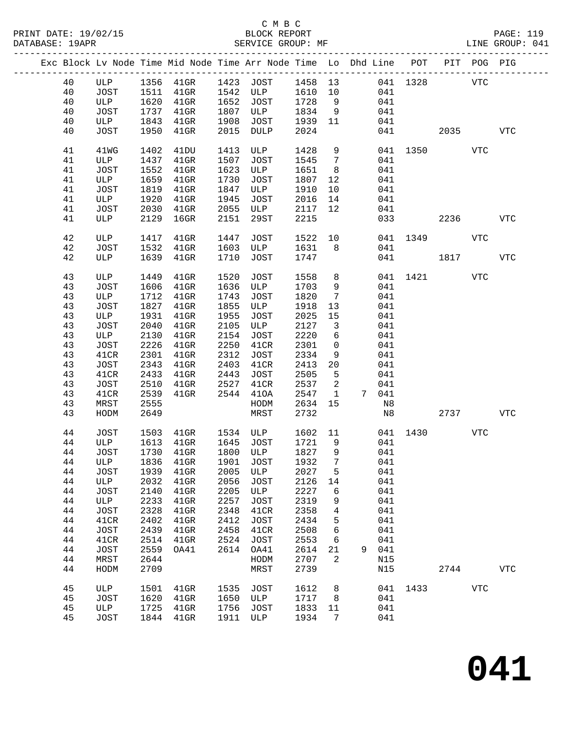# C M B C

| DATABASE: 19APR |          |              |              | SERVICE GROUP: MF                                                              |      |                       |              |                               |   |            |              |         |            | LINE GROUP: 041 |  |
|-----------------|----------|--------------|--------------|--------------------------------------------------------------------------------|------|-----------------------|--------------|-------------------------------|---|------------|--------------|---------|------------|-----------------|--|
|                 |          |              |              | Exc Block Lv Node Time Mid Node Time Arr Node Time Lo Dhd Line POT PIT POG PIG |      |                       |              |                               |   |            |              |         |            |                 |  |
|                 | 40       |              |              | ULP 1356 41GR 1423 JOST 1458 13                                                |      |                       |              |                               |   |            | 041 1328 VTC |         |            |                 |  |
|                 | 40       | JOST 1511    |              |                                                                                |      | 41GR 1542 ULP 1610 10 |              |                               |   | 041        |              |         |            |                 |  |
|                 | 40       | ULP          | 1620         | $41$ GR                                                                        |      | 1652 JOST             | 1728         | 9                             |   | 041        |              |         |            |                 |  |
|                 | 40       | JOST         | 1737         | $41$ GR                                                                        |      | 1807 ULP              | 1834         | 9                             |   | 041        |              |         |            |                 |  |
|                 | 40       | ULP          | 1843         | $41$ GR                                                                        | 1908 | JOST                  | 1939         | 11                            |   | 041        |              |         |            |                 |  |
|                 | 40       |              | 1950         |                                                                                |      | 2015 DULP             | 2024         |                               |   |            | 041 04       | 2035 70 |            | <b>VTC</b>      |  |
|                 |          | JOST         |              | $41$ GR                                                                        |      |                       |              |                               |   |            |              |         |            |                 |  |
|                 | 41       | 41WG         | 1402         | 41DU                                                                           |      | 1413 ULP              | 1428         | 9                             |   |            | 041 1350 VTC |         |            |                 |  |
|                 | 41       | ULP          | 1437         | $41$ GR                                                                        | 1507 | JOST                  | 1545         | $7\overline{ }$               |   | 041        |              |         |            |                 |  |
|                 | 41       | JOST         | 1552         | $41$ GR                                                                        | 1623 | ULP                   | 1651         | 8 <sup>8</sup>                |   | 041        |              |         |            |                 |  |
|                 | 41       | ULP          | 1659         | $41$ GR                                                                        | 1730 | JOST                  | 1807         | 12                            |   | 041        |              |         |            |                 |  |
|                 | 41       | JOST         | 1819         | $41$ GR                                                                        | 1847 | ULP                   | 1910         | 10                            |   | 041        |              |         |            |                 |  |
|                 | 41       | ULP          | 1920         | $41$ GR                                                                        | 1945 | JOST                  | 2016         | 14                            |   | 041        |              |         |            |                 |  |
|                 | 41       | JOST         | 2030         | $41$ GR                                                                        | 2055 | ULP                   | 2117         | 12                            |   | 041        |              |         |            |                 |  |
|                 | 41       | ULP          | 2129         | $16$ GR                                                                        | 2151 | 29ST                  | 2215         |                               |   |            | 033          | 2236    |            | <b>VTC</b>      |  |
|                 | 42       | ULP          | 1417         | $41$ GR                                                                        | 1447 | JOST                  | 1522 10      |                               |   |            | 041 1349     |         | VTC        |                 |  |
|                 | 42       | JOST         | 1532         | $41$ GR                                                                        | 1603 | ULP                   | 1631         | 8 <sup>8</sup>                |   | 041        |              |         |            |                 |  |
|                 | 42       | ULP          | 1639         | $41$ GR                                                                        | 1710 | JOST                  | 1747         |                               |   |            | 041 1817     |         |            | <b>VTC</b>      |  |
|                 | 43       | ULP          | 1449         | $41$ GR                                                                        | 1520 | JOST                  | 1558         | 8                             |   |            | 041 1421     |         | VTC        |                 |  |
|                 | 43       | JOST         | 1606         | $41$ GR                                                                        | 1636 | ULP                   | 1703         | 9                             |   | 041        |              |         |            |                 |  |
|                 | 43       | ULP          | 1712         | $41$ GR                                                                        | 1743 | JOST                  | 1820         | $7\overline{ }$               |   | 041        |              |         |            |                 |  |
|                 | 43       | JOST         | 1827         | $41$ GR                                                                        | 1855 | ULP                   | 1918         | 13                            |   | 041        |              |         |            |                 |  |
|                 | 43       | ULP          | 1931         |                                                                                | 1955 |                       | 2025         |                               |   |            |              |         |            |                 |  |
|                 | 43       |              | 2040         | $41$ GR                                                                        | 2105 | JOST                  | 2127         | 15<br>$\overline{\mathbf{3}}$ |   | 041        |              |         |            |                 |  |
|                 |          | JOST         |              | 41GR                                                                           |      | ULP                   |              |                               |   | 041        |              |         |            |                 |  |
|                 | 43       | ULP          | 2130         | $41$ GR                                                                        | 2154 | JOST                  | 2220         | 6                             |   | 041        |              |         |            |                 |  |
|                 | 43       | JOST         | 2226         | 41GR                                                                           | 2250 | 41CR                  | 2301         | $\mathsf{O}$                  |   | 041        |              |         |            |                 |  |
|                 | 43       | 41CR         | 2301         | $41$ GR                                                                        | 2312 | JOST                  | 2334         | 9                             |   | 041        |              |         |            |                 |  |
|                 | 43       | JOST         | 2343         | $41$ GR                                                                        | 2403 | 41CR                  | 2413         | 20                            |   | 041        |              |         |            |                 |  |
|                 | 43       | 41CR         | 2433         | $41$ GR                                                                        | 2443 | JOST                  | 2505         | 5                             |   | 041        |              |         |            |                 |  |
|                 | 43       | JOST         | 2510         | $41$ GR                                                                        | 2527 | 41CR                  | 2537         | 2                             |   | 041        |              |         |            |                 |  |
|                 | 43       | 41CR         | 2539         | $41$ GR                                                                        | 2544 | 410A                  | 2547         | $\mathbf{1}$                  |   | 7 041      |              |         |            |                 |  |
|                 | 43       | MRST         | 2555         |                                                                                |      | HODM                  | 2634         | 15                            |   | N8         |              |         |            |                 |  |
|                 | 43       | HODM         | 2649         |                                                                                |      | MRST                  | 2732         |                               |   | N8         |              | 2737    |            | VTC             |  |
|                 | 44       | JOST         | 1503         | 41GR 1534 ULP<br>1545 JOST                                                     |      |                       | 1602 11      |                               |   |            | 041 1430     |         | <b>VTC</b> |                 |  |
|                 | 44       | ULP          |              | 1613 41GR                                                                      |      | 1645 JOST             | 1721 9       |                               |   | 041        |              |         |            |                 |  |
|                 | 44       |              |              | JOST 1730 41GR 1800 ULP 1827 9 041                                             |      |                       |              |                               |   |            |              |         |            |                 |  |
|                 | 44       | ULP          | 1836         | $41$ GR                                                                        | 1901 | JOST                  | 1932         | 7                             |   | 041        |              |         |            |                 |  |
|                 | 44       | JOST         | 1939         | $41$ GR                                                                        | 2005 | ULP                   | 2027         | 5                             |   | 041        |              |         |            |                 |  |
|                 | 44       | ULP          | 2032         | $41$ GR                                                                        | 2056 | <b>JOST</b>           | 2126         | 14                            |   | 041        |              |         |            |                 |  |
|                 | 44       | JOST         | 2140         | $41$ GR                                                                        | 2205 | ULP                   | 2227         | 6                             |   | 041        |              |         |            |                 |  |
|                 | 44       | ULP          | 2233         | $41$ GR                                                                        | 2257 | JOST                  | 2319         | 9                             |   | 041        |              |         |            |                 |  |
|                 | 44       | JOST         | 2328         | $41$ GR                                                                        | 2348 | 41CR                  | 2358         | 4                             |   | 041        |              |         |            |                 |  |
|                 | 44       | 41CR         | 2402         |                                                                                | 2412 |                       | 2434         | 5                             |   | 041        |              |         |            |                 |  |
|                 |          |              |              | $41$ GR                                                                        |      | <b>JOST</b>           |              |                               |   |            |              |         |            |                 |  |
|                 | 44       | JOST         | 2439         | $41$ GR                                                                        | 2458 | 41CR                  | 2508         | 6                             |   | 041        |              |         |            |                 |  |
|                 | 44       | 41CR         | 2514         | $41$ GR                                                                        | 2524 | JOST                  | 2553         | 6                             |   | 041        |              |         |            |                 |  |
|                 | 44       | <b>JOST</b>  | 2559         | OA41                                                                           | 2614 | OA41                  | 2614         | 21                            | 9 | 041        |              |         |            |                 |  |
|                 | 44<br>44 | MRST<br>HODM | 2644<br>2709 |                                                                                |      | HODM<br>MRST          | 2707<br>2739 | 2                             |   | N15<br>N15 |              | 2744    |            | <b>VTC</b>      |  |
|                 |          |              |              |                                                                                |      |                       |              |                               |   |            |              |         |            |                 |  |
|                 | 45       | ULP          | 1501         | 41GR                                                                           | 1535 | JOST                  | 1612         | 8                             |   | 041        | 1433         |         | VTC        |                 |  |
|                 | 45       | JOST         | 1620         | $41$ GR                                                                        |      | 1650 ULP              | 1717         | 8 <sup>8</sup>                |   | 041        |              |         |            |                 |  |
|                 | 45       | ULP          | 1725         | $41$ GR                                                                        | 1756 | JOST                  | 1833         | 11                            |   | 041        |              |         |            |                 |  |
|                 | 45       | JOST         |              | 1844 41GR                                                                      | 1911 | ULP                   | 1934         | 7                             |   | 041        |              |         |            |                 |  |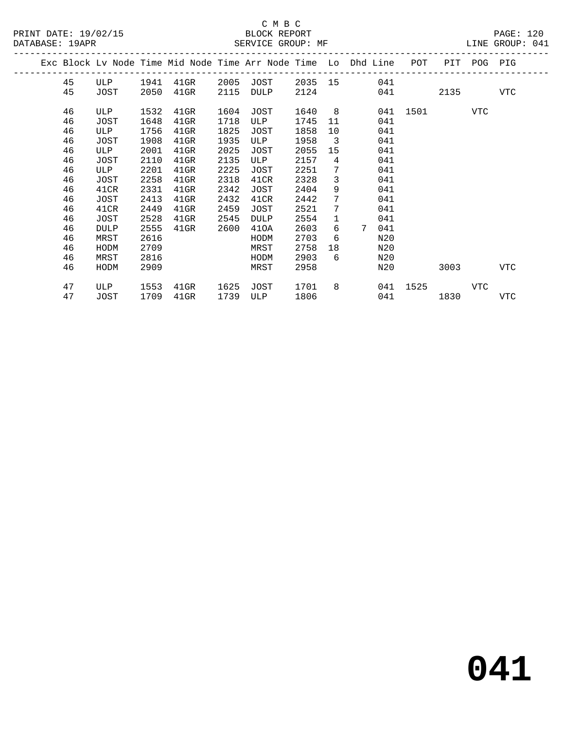|  |    |             |      |         |      |             |         |                | Exc Block Ly Node Time Mid Node Time Arr Node Time Lo Dhd Line | POT      | PIT        | POG | PIG |
|--|----|-------------|------|---------|------|-------------|---------|----------------|----------------------------------------------------------------|----------|------------|-----|-----|
|  | 45 | ULP         | 1941 | 41GR    | 2005 | JOST        | 2035 15 |                | 041                                                            |          |            |     |     |
|  | 45 | JOST        | 2050 | 41GR    | 2115 | DULP        | 2124    |                | 041                                                            |          | 2135       |     | VTC |
|  | 46 | ULP         | 1532 | 41GR    | 1604 | JOST        | 1640    | 8 <sup>8</sup> |                                                                | 041 1501 | <b>VTC</b> |     |     |
|  | 46 | JOST        | 1648 | $41$ GR | 1718 | ULP         | 1745    | 11             | 041                                                            |          |            |     |     |
|  | 46 | ULP         | 1756 | 41GR    | 1825 | JOST        | 1858    | 10             | 041                                                            |          |            |     |     |
|  | 46 | JOST        | 1908 | $41$ GR | 1935 | ULP         | 1958    | $\overline{3}$ | 041                                                            |          |            |     |     |
|  | 46 | ULP         | 2001 | $41$ GR | 2025 | JOST        | 2055    | 15             | 041                                                            |          |            |     |     |
|  | 46 | JOST        | 2110 | 41GR    | 2135 | ULP         | 2157    | $\overline{4}$ | 041                                                            |          |            |     |     |
|  | 46 | ULP         | 2201 | $41$ GR | 2225 | JOST        | 2251    | 7              | 041                                                            |          |            |     |     |
|  | 46 | JOST        | 2258 | $41$ GR | 2318 | 41CR        | 2328    | 3              | 041                                                            |          |            |     |     |
|  | 46 | 41CR        | 2331 | $41$ GR | 2342 | JOST        | 2404    | 9              | 041                                                            |          |            |     |     |
|  | 46 | JOST        | 2413 | 41GR    | 2432 | 41CR        | 2442    | 7              | 041                                                            |          |            |     |     |
|  | 46 | 41CR        | 2449 | $41$ GR | 2459 | JOST        | 2521    | 7              | 041                                                            |          |            |     |     |
|  | 46 | JOST        | 2528 | $41$ GR | 2545 | <b>DULP</b> | 2554    | $\mathbf{1}$   | 041                                                            |          |            |     |     |
|  | 46 | <b>DULP</b> | 2555 | 41GR    | 2600 | 410A        | 2603    | 6              | 7<br>041                                                       |          |            |     |     |
|  | 46 | MRST        | 2616 |         |      | HODM        | 2703    | 6              | N20                                                            |          |            |     |     |
|  | 46 | HODM        | 2709 |         |      | MRST        | 2758    | 18             | N20                                                            |          |            |     |     |
|  | 46 | MRST        | 2816 |         |      | HODM        | 2903    | 6              | N20                                                            |          |            |     |     |
|  | 46 | HODM        | 2909 |         |      | MRST        | 2958    |                | N20                                                            |          | 3003       |     | VTC |
|  | 47 | ULP         | 1553 | 41GR    | 1625 | JOST        | 1701    | 8              |                                                                | 041 1525 |            | VTC |     |
|  | 47 | JOST        | 1709 | 41GR    | 1739 | ULP         | 1806    |                | 041                                                            |          | 1830       |     | VTC |
|  |    |             |      |         |      |             |         |                |                                                                |          |            |     |     |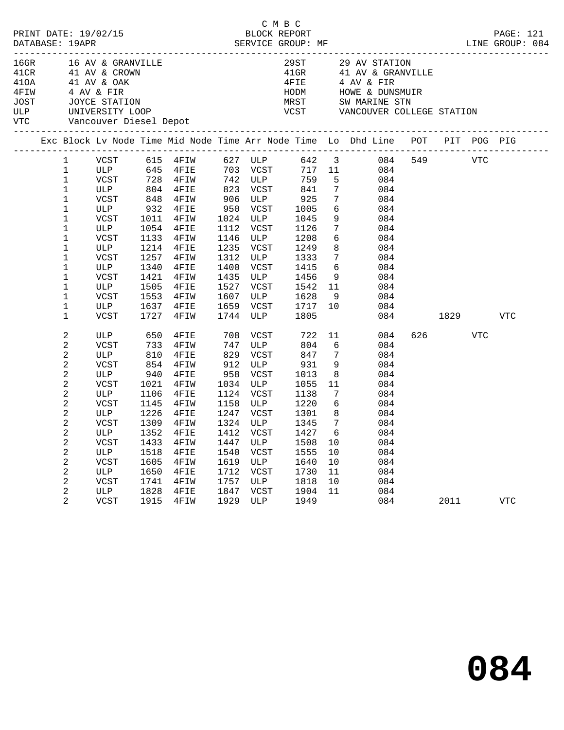|                                                    | DATABASE: 19APR         |                        |            |                                                                                                     |      |          |                                                 |                 |                                                                 |                                                                                |      |     | PRINT DATE: 19/02/15 BLOCK REPORT PAGE: 121<br>DATABASE: 19APR SERVICE GROUP: MF SERVER SERVICE ORE BERVICE SERVICE ORE BERT ME SERVICE SERVER SERVER SERVER |
|----------------------------------------------------|-------------------------|------------------------|------------|-----------------------------------------------------------------------------------------------------|------|----------|-------------------------------------------------|-----------------|-----------------------------------------------------------------|--------------------------------------------------------------------------------|------|-----|--------------------------------------------------------------------------------------------------------------------------------------------------------------|
| 16GR<br>41CR<br>410A<br>4FIW<br>JOST<br>ULP<br>VTC |                         | Vancouver Diesel Depot |            | 16 AV & GRANVILLE<br>41 AV & CROWN<br>41 AV & OAK<br>4 AV & FIR<br>JOYCE STATION<br>UNIVERSITY LOOP |      |          | 29ST<br>$41$ GR<br>4FIE<br>HODM<br>MRST<br>VCST |                 | 29 AV STATION<br>4 AV & FIR<br>HOWE & DUNSMUIR<br>SW MARINE STN | 41 AV & GRANVILLE<br>VANCOUVER COLLEGE STATION                                 |      |     |                                                                                                                                                              |
|                                                    |                         |                        |            |                                                                                                     |      |          |                                                 |                 |                                                                 | Exc Block Lv Node Time Mid Node Time Arr Node Time Lo Dhd Line POT PIT POG PIG |      |     |                                                                                                                                                              |
|                                                    |                         |                        |            |                                                                                                     |      | 627 ULP  |                                                 | 642 3           |                                                                 | 084<br>549                                                                     |      | VTC |                                                                                                                                                              |
|                                                    | $\mathbf 1$<br>1        | VCST<br>ULP            | 615<br>645 | $4$ FIW<br>4FIE                                                                                     |      | 703 VCST |                                                 | 717 11          |                                                                 | 084                                                                            |      |     |                                                                                                                                                              |
|                                                    | 1                       | <b>VCST</b>            | 728        | 4FIW                                                                                                | 742  | ULP      | 759                                             | 5               |                                                                 | 084                                                                            |      |     |                                                                                                                                                              |
|                                                    | $\mathbf 1$             | ULP                    | 804        | 4FIE                                                                                                | 823  | VCST     | 841                                             |                 | $7\phantom{.}$                                                  | 084                                                                            |      |     |                                                                                                                                                              |
|                                                    | $\mathbf 1$             | <b>VCST</b>            | 848        | 4FIW                                                                                                | 906  | ULP      | 925                                             | 7               |                                                                 | 084                                                                            |      |     |                                                                                                                                                              |
|                                                    | $\mathbf 1$             | ULP                    | 932        | 4FIE                                                                                                | 950  | VCST     | 1005                                            | 6               |                                                                 | 084                                                                            |      |     |                                                                                                                                                              |
|                                                    | 1                       | VCST                   | 1011       | 4FIW                                                                                                | 1024 | ULP      | 1045                                            | 9               |                                                                 | 084                                                                            |      |     |                                                                                                                                                              |
|                                                    | 1                       | ULP                    | 1054       | 4FIE                                                                                                | 1112 | VCST     | 1126                                            |                 | $7\overline{ }$                                                 | 084                                                                            |      |     |                                                                                                                                                              |
|                                                    | 1                       | <b>VCST</b>            | 1133       | 4FIW                                                                                                | 1146 | ULP      | 1208                                            | 6               |                                                                 | 084                                                                            |      |     |                                                                                                                                                              |
|                                                    | $1\,$                   | ULP                    | 1214       | 4FIE                                                                                                | 1235 | VCST     | 1249                                            | 8               |                                                                 | 084                                                                            |      |     |                                                                                                                                                              |
|                                                    | 1                       | <b>VCST</b>            | 1257       | 4FIW                                                                                                | 1312 | ULP      | 1333                                            |                 | 7                                                               | 084                                                                            |      |     |                                                                                                                                                              |
|                                                    | $1\,$                   | ULP                    | 1340       | 4FIE                                                                                                | 1400 | VCST     | 1415                                            | 6               |                                                                 | 084                                                                            |      |     |                                                                                                                                                              |
|                                                    | $1\,$                   | <b>VCST</b>            | 1421       | 4FIW                                                                                                | 1435 | ULP      | 1456                                            | 9               |                                                                 | 084                                                                            |      |     |                                                                                                                                                              |
|                                                    | $1\,$                   | ULP                    | 1505       | 4FIE                                                                                                | 1527 | VCST     | 1542                                            | 11              |                                                                 | 084                                                                            |      |     |                                                                                                                                                              |
|                                                    | $1\,$                   | <b>VCST</b>            | 1553       | 4FIW                                                                                                | 1607 | ULP      | 1628                                            | 9               |                                                                 | 084                                                                            |      |     |                                                                                                                                                              |
|                                                    | $\mathbf 1$             | ULP                    | 1637       | 4FIE                                                                                                | 1659 | VCST     | 1717                                            | 10              |                                                                 | 084                                                                            |      |     |                                                                                                                                                              |
|                                                    | $\mathbf 1$             | <b>VCST</b>            | 1727       | 4FIW                                                                                                | 1744 | ULP      | 1805                                            |                 |                                                                 | 084                                                                            | 1829 |     | <b>VTC</b>                                                                                                                                                   |
|                                                    | $\overline{c}$          | ULP                    | 650        | 4FIE                                                                                                | 708  | VCST     | 722                                             | 11              |                                                                 | 626<br>084                                                                     |      | VTC |                                                                                                                                                              |
|                                                    | $\mathbf{2}$            | VCST                   | 733        | 4FIW                                                                                                | 747  | ULP      | 804                                             | 6               |                                                                 | 084                                                                            |      |     |                                                                                                                                                              |
|                                                    | $\overline{c}$          | ULP                    | 810        | 4FIE                                                                                                | 829  | VCST     | 847                                             | 7               |                                                                 | 084                                                                            |      |     |                                                                                                                                                              |
|                                                    | $\mathbf 2$             | <b>VCST</b>            | 854        | 4FIW                                                                                                | 912  | ULP      | 931                                             | 9               |                                                                 | 084                                                                            |      |     |                                                                                                                                                              |
|                                                    | $\boldsymbol{2}$        | ULP                    | 940        | 4FIE                                                                                                | 958  | VCST     | 1013                                            | 8               |                                                                 | 084                                                                            |      |     |                                                                                                                                                              |
|                                                    | $\overline{c}$          | <b>VCST</b>            | 1021       | 4FIW                                                                                                | 1034 | ULP      | 1055                                            | 11              |                                                                 | 084                                                                            |      |     |                                                                                                                                                              |
|                                                    | $\overline{c}$          | ULP                    | 1106       | 4FIE                                                                                                | 1124 | VCST     | 1138                                            | 7               |                                                                 | 084                                                                            |      |     |                                                                                                                                                              |
|                                                    | $\overline{c}$          | <b>VCST</b>            | 1145       | 4FIW                                                                                                | 1158 | ULP      | 1220                                            | 6               |                                                                 | 084                                                                            |      |     |                                                                                                                                                              |
|                                                    | $\overline{\mathbf{c}}$ | ULP                    | 1226       | 4FIE                                                                                                | 1247 | VCST     | 1301                                            | 8               |                                                                 | 084                                                                            |      |     |                                                                                                                                                              |
|                                                    | $\overline{a}$          | <b>VCST</b>            | 1309       | 4FIW                                                                                                | 1324 | ULP      | 1345                                            | $7\phantom{.0}$ |                                                                 | 084                                                                            |      |     |                                                                                                                                                              |
|                                                    | $\overline{c}$          | ULP                    | 1352       | 4FIE                                                                                                | 1412 | VCST     | 1427                                            | 6               |                                                                 | 084                                                                            |      |     |                                                                                                                                                              |
|                                                    | $\overline{c}$          | VCST                   | 1433       | 4FIW                                                                                                | 1447 | ULP      | 1508                                            | 10              |                                                                 | 084                                                                            |      |     |                                                                                                                                                              |
|                                                    | $\overline{c}$          | ULP                    | 1518       | 4FIE                                                                                                | 1540 | VCST     | 1555                                            | 10              |                                                                 | 084                                                                            |      |     |                                                                                                                                                              |
|                                                    | $\overline{\mathbf{c}}$ | <b>VCST</b>            | 1605       | 4FIW                                                                                                | 1619 | ULP      | 1640                                            | 10              |                                                                 | 084                                                                            |      |     |                                                                                                                                                              |
|                                                    | $\overline{c}$          | ULP                    | 1650       | 4FIE                                                                                                | 1712 | VCST     | 1730                                            | 11              |                                                                 | 084                                                                            |      |     |                                                                                                                                                              |
|                                                    | $\overline{c}$          | <b>VCST</b>            | 1741       | 4FIW                                                                                                | 1757 | ULP      | 1818                                            | 10              |                                                                 | 084                                                                            |      |     |                                                                                                                                                              |
|                                                    | $\mathbf 2$             | ULP                    | 1828       | 4FIE                                                                                                | 1847 | VCST     | 1904                                            | 11              |                                                                 | 084                                                                            |      |     |                                                                                                                                                              |
|                                                    | $\overline{2}$          | <b>VCST</b>            | 1915       | 4FIW                                                                                                | 1929 | ULP      | 1949                                            |                 |                                                                 | 084                                                                            | 2011 |     | <b>VTC</b>                                                                                                                                                   |

C M B C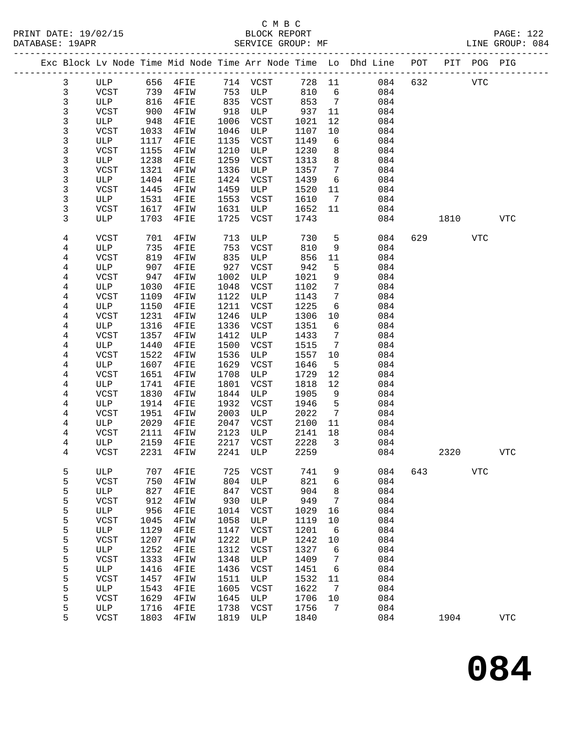|  |              |                             |              | Exc Block Lv Node Time Mid Node Time Arr Node Time Lo Dhd Line POT |              |                    |              |                 |            |     |      | PIT POG PIG |            |
|--|--------------|-----------------------------|--------------|--------------------------------------------------------------------|--------------|--------------------|--------------|-----------------|------------|-----|------|-------------|------------|
|  | 3            | ULP                         | 656          | 4FIE                                                               | 714          | VCST               | 728          | 11              | 084        | 632 |      | <b>VTC</b>  |            |
|  | $\mathsf{3}$ | <b>VCST</b>                 | 739          | 4FIW                                                               | 753          | ULP                | 810          | 6               | 084        |     |      |             |            |
|  | 3            | ULP                         | 816          | 4FIE                                                               | 835          | VCST               | 853          | 7               | 084        |     |      |             |            |
|  | 3            | <b>VCST</b>                 | 900          | 4FIW                                                               | 918          | ULP                | 937          | 11              | 084        |     |      |             |            |
|  | 3            | ULP                         | 948          | 4FIE                                                               | 1006         | VCST               | 1021         | 12              | 084        |     |      |             |            |
|  | 3            | <b>VCST</b>                 | 1033         | 4FIW                                                               | 1046         | ULP                | 1107         | 10              | 084        |     |      |             |            |
|  | 3            | ULP                         | 1117         | 4FIE                                                               | 1135         | VCST               | 1149         | 6               | 084        |     |      |             |            |
|  | 3            | <b>VCST</b>                 | 1155         | 4FIW                                                               | 1210         | ULP                | 1230         | 8               | 084        |     |      |             |            |
|  | 3            | ULP                         | 1238         | 4FIE                                                               | 1259         | <b>VCST</b>        | 1313         | 8               | 084        |     |      |             |            |
|  | 3            | <b>VCST</b>                 | 1321         | 4FIW                                                               | 1336         | ULP                | 1357         | 7               | 084        |     |      |             |            |
|  | 3            | ULP                         | 1404         | 4FIE                                                               | 1424         | <b>VCST</b>        | 1439         | 6               | 084        |     |      |             |            |
|  | 3            | VCST                        | 1445         | 4FIW                                                               | 1459         | ULP                | 1520         | 11              | 084        |     |      |             |            |
|  | 3            | ULP                         | 1531         | 4FIE                                                               | 1553         | VCST               | 1610         | $7\phantom{.0}$ | 084        |     |      |             |            |
|  | 3            | <b>VCST</b>                 | 1617         | 4FIW                                                               | 1631         | ULP                | 1652         | 11              | 084        |     |      |             |            |
|  | 3            | ULP                         | 1703         | 4FIE                                                               | 1725         | VCST               | 1743         |                 | 084        |     | 1810 |             | <b>VTC</b> |
|  | 4            | VCST                        | 701          | 4FIW                                                               | 713          | ULP                | 730          | 5               | 084        | 629 |      | <b>VTC</b>  |            |
|  | 4            | ULP                         | 735          | 4FIE                                                               | 753          | VCST               | 810          | 9               | 084        |     |      |             |            |
|  | 4            | <b>VCST</b>                 | 819          | 4FIW                                                               | 835          | ULP                | 856          | 11              | 084        |     |      |             |            |
|  | 4            | ULP                         | 907          | 4FIE                                                               | 927          | <b>VCST</b>        | 942          | 5               | 084        |     |      |             |            |
|  | 4            | <b>VCST</b>                 | 947          | 4FIW                                                               | 1002         | ULP                | 1021         | 9               | 084        |     |      |             |            |
|  | 4            | ULP                         | 1030         | 4FIE                                                               | 1048         | VCST               | 1102         | 7               | 084        |     |      |             |            |
|  | 4            | <b>VCST</b>                 | 1109         | 4FIW                                                               | 1122         | ULP                | 1143         | 7               | 084        |     |      |             |            |
|  | 4            | ULP                         | 1150         | 4FIE                                                               | 1211         | <b>VCST</b>        | 1225         | 6               | 084        |     |      |             |            |
|  | 4            | <b>VCST</b>                 | 1231         | 4FIW                                                               | 1246         | ULP                | 1306         | 10              | 084        |     |      |             |            |
|  | 4            | ULP                         | 1316<br>1357 | 4FIE                                                               | 1336<br>1412 | VCST               | 1351         | 6               | 084        |     |      |             |            |
|  | 4<br>4       | <b>VCST</b><br>ULP          | 1440         | 4FIW<br>4FIE                                                       | 1500         | ULP<br>VCST        | 1433<br>1515 | 7<br>7          | 084<br>084 |     |      |             |            |
|  | 4            | <b>VCST</b>                 | 1522         | 4FIW                                                               | 1536         | ULP                | 1557         | 10              | 084        |     |      |             |            |
|  | 4            | ULP                         | 1607         | 4FIE                                                               | 1629         | VCST               | 1646         | 5               | 084        |     |      |             |            |
|  | 4            | <b>VCST</b>                 | 1651         | 4FIW                                                               | 1708         | ULP                | 1729         | 12              | 084        |     |      |             |            |
|  | 4            | ULP                         | 1741         | 4FIE                                                               | 1801         | VCST               | 1818         | 12              | 084        |     |      |             |            |
|  | 4            | <b>VCST</b>                 | 1830         | 4FIW                                                               | 1844         | ULP                | 1905         | 9               | 084        |     |      |             |            |
|  | 4            | ULP                         | 1914         | 4FIE                                                               | 1932         | VCST               | 1946         | 5               | 084        |     |      |             |            |
|  | 4            | <b>VCST</b>                 | 1951         | 4FIW                                                               | 2003         | ULP                | 2022         | $7\phantom{.0}$ | 084        |     |      |             |            |
|  | 4            | ULP                         | 2029         | 4FIE                                                               | 2047         | <b>VCST</b>        | 2100         | 11              | 084        |     |      |             |            |
|  | 4            | VCST                        | 2111         | 4FIW                                                               | 2123         | ULP                | 2141         | 18              | 084        |     |      |             |            |
|  | 4            | ULP                         | 2159         | 4FIE                                                               | 2217         | VCST               | 2228         | 3               | 084        |     |      |             |            |
|  | 4            | <b>VCST</b>                 | 2231         | 4FIW                                                               | 2241         | ULP                | 2259         |                 | 084        |     | 2320 |             | <b>VTC</b> |
|  | 5            | ULP                         | 707          | 4FIE                                                               | 725          | <b>VCST</b>        | 741          | 9               | 084        | 643 |      | <b>VTC</b>  |            |
|  | 5            | <b>VCST</b>                 | 750          | 4FIW                                                               | 804          | $_{\rm ULP}$       | 821          | 6               | 084        |     |      |             |            |
|  | 5            | $_{\rm ULP}$                | 827          | 4FIE                                                               | 847          | <b>VCST</b>        | 904          | 8               | 084        |     |      |             |            |
|  | 5            | <b>VCST</b>                 | 912          | 4FIW                                                               | 930          | $_{\rm ULP}$       | 949          | 7               | 084        |     |      |             |            |
|  | 5            | $_{\rm ULP}$                | 956          | 4FIE                                                               | 1014         | <b>VCST</b>        | 1029         | 16              | 084        |     |      |             |            |
|  | 5            | <b>VCST</b>                 | 1045         | 4FIW                                                               | 1058         | $_{\rm ULP}$       | 1119         | 10              | 084        |     |      |             |            |
|  | 5            | $_{\rm ULP}$                | 1129         | 4FIE                                                               | 1147         | VCST               | 1201         | 6               | 084        |     |      |             |            |
|  | 5<br>5       | <b>VCST</b><br>$_{\rm ULP}$ | 1207<br>1252 | 4FIW<br>4FIE                                                       | 1222<br>1312 | ULP<br><b>VCST</b> | 1242<br>1327 | 10<br>6         | 084<br>084 |     |      |             |            |
|  | 5            | <b>VCST</b>                 | 1333         | 4FIW                                                               | 1348         | ULP                | 1409         | 7               | 084        |     |      |             |            |
|  | 5            | $_{\rm ULP}$                | 1416         | 4FIE                                                               | 1436         | VCST               | 1451         | 6               | 084        |     |      |             |            |
|  | 5            | <b>VCST</b>                 | 1457         | 4FIW                                                               | 1511         | ULP                | 1532         | 11              | 084        |     |      |             |            |
|  | 5            | ULP                         | 1543         | 4FIE                                                               | 1605         | <b>VCST</b>        | 1622         | 7               | 084        |     |      |             |            |
|  | 5            | <b>VCST</b>                 | 1629         | 4FIW                                                               | 1645         | ULP                | 1706         | $10$            | 084        |     |      |             |            |
|  | 5            | ULP                         | 1716         | 4FIE                                                               | 1738         | VCST               | 1756         | 7               | 084        |     |      |             |            |
|  | 5            | <b>VCST</b>                 | 1803         | 4FIW                                                               | 1819         | $_{\rm ULP}$       | 1840         |                 | 084        |     | 1904 |             | <b>VTC</b> |
|  |              |                             |              |                                                                    |              |                    |              |                 |            |     |      |             |            |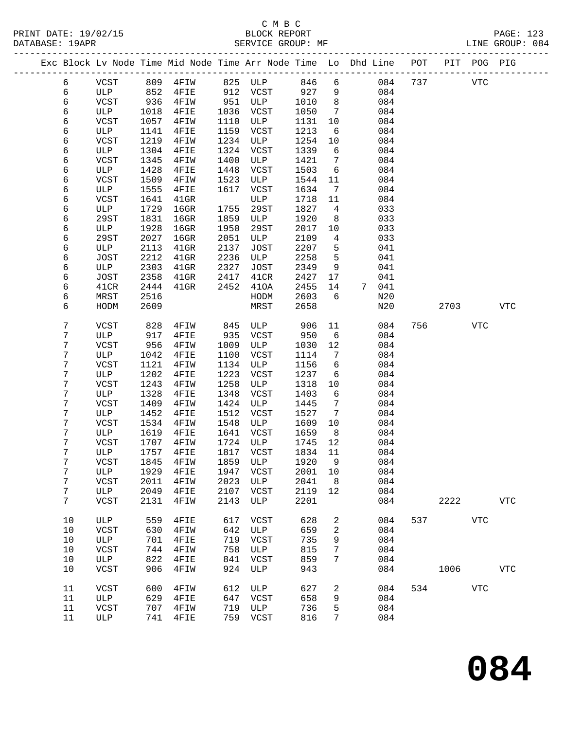|  |        |              |              |                       |              |              |              |                      | Exc Block Lv Node Time Mid Node Time Arr Node Time Lo Dhd Line POT PIT POG PIG |     |      |            |             |
|--|--------|--------------|--------------|-----------------------|--------------|--------------|--------------|----------------------|--------------------------------------------------------------------------------|-----|------|------------|-------------|
|  | 6      | VCST         | 809          | $4$ FIW               |              | 825 ULP      | 846          | 6                    | 084                                                                            | 737 |      | <b>VTC</b> |             |
|  | 6      | ULP          | 852          | $4$ FIE               |              | 912 VCST     | 927          | 9                    | 084                                                                            |     |      |            |             |
|  | 6      | VCST         | 936          | 4FIW                  | 951          | ULP          | 1010         | 8                    | 084                                                                            |     |      |            |             |
|  | 6      | ULP          | 1018         | 4FIE                  | 1036         | VCST         | 1050         | $7\phantom{.0}$      | 084                                                                            |     |      |            |             |
|  | 6      | VCST         | 1057         | 4FIW                  | 1110         | ULP          | 1131         | 10                   | 084                                                                            |     |      |            |             |
|  | 6      | ULP          | 1141         | 4FIE                  | 1159         | VCST         | 1213         | 6                    | 084                                                                            |     |      |            |             |
|  | 6      | <b>VCST</b>  | 1219         | 4FIW                  | 1234         | ULP          | 1254         | 10                   | 084                                                                            |     |      |            |             |
|  | 6      | ULP          | 1304         | 4FIE                  | 1324         | VCST         | 1339         | 6                    | 084                                                                            |     |      |            |             |
|  | 6      | <b>VCST</b>  | 1345         | 4FIW                  | 1400         | ULP          | 1421         | 7                    | 084                                                                            |     |      |            |             |
|  | 6      | ULP          | 1428         | 4FIE                  | 1448         | VCST         | 1503         | 6                    | 084                                                                            |     |      |            |             |
|  | 6      | VCST         | 1509         | 4FIW                  | 1523         | ULP          | 1544         | 11                   | 084                                                                            |     |      |            |             |
|  | 6      | ULP          | 1555         | 4FIE                  | 1617         | VCST         | 1634         | 7                    | 084                                                                            |     |      |            |             |
|  | 6      | VCST         | 1641         | $41$ GR               |              | ULP          | 1718         | 11                   | 084                                                                            |     |      |            |             |
|  | 6      | ULP          | 1729         | $16$ GR               | 1755         | 29ST         | 1827         | 4                    | 033                                                                            |     |      |            |             |
|  | 6      | 29ST         | 1831         | $16$ GR               | 1859         | ULP          | 1920         | 8                    | 033                                                                            |     |      |            |             |
|  | 6      | ULP          | 1928         | $16$ GR               | 1950         | 29ST         | 2017         | 10                   | 033                                                                            |     |      |            |             |
|  | 6      | 29ST         | 2027         | $16$ GR               | 2051         | ULP          | 2109         | 4                    | 033                                                                            |     |      |            |             |
|  | 6      | ULP          | 2113         | $41$ GR               | 2137         | JOST         | 2207         | 5                    | 041                                                                            |     |      |            |             |
|  | 6      | JOST         | 2212         | $41$ GR               | 2236<br>2327 | ULP          | 2258         | 5                    | 041                                                                            |     |      |            |             |
|  | 6      | ULP          | 2303<br>2358 | $41$ GR               |              | JOST<br>41CR | 2349         | 9<br>17              | 041<br>041                                                                     |     |      |            |             |
|  | 6<br>6 | JOST<br>41CR | 2444         | $41$ GR<br>$41$ GR    | 2417<br>2452 | 410A         | 2427<br>2455 | 14                   | $7\degree$<br>041                                                              |     |      |            |             |
|  | 6      | MRST         | 2516         |                       |              | HODM         | 2603         | 6                    | N20                                                                            |     |      |            |             |
|  | 6      | HODM         | 2609         |                       |              | MRST         | 2658         |                      | N20                                                                            |     | 2703 |            | <b>VTC</b>  |
|  |        |              |              |                       |              |              |              |                      |                                                                                |     |      |            |             |
|  | 7      | VCST         | 828          | 4FIW                  | 845          | ULP          | 906          | 11                   | 084                                                                            | 756 |      | <b>VTC</b> |             |
|  | 7      | ULP          | 917          | 4FIE                  | 935          | VCST         | 950          | 6                    | 084                                                                            |     |      |            |             |
|  | 7      | <b>VCST</b>  | 956          | 4FIW                  | 1009         | ULP          | 1030         | 12                   | 084                                                                            |     |      |            |             |
|  | 7      | ULP          | 1042         | 4FIE                  | 1100         | VCST         | 1114         | 7                    | 084                                                                            |     |      |            |             |
|  | 7      | <b>VCST</b>  | 1121         | 4FIW                  | 1134         | ULP          | 1156         | 6                    | 084                                                                            |     |      |            |             |
|  | 7      | ULP          | 1202         | 4FIE                  | 1223         | VCST         | 1237         | 6                    | 084                                                                            |     |      |            |             |
|  | 7      | <b>VCST</b>  | 1243         | 4FIW                  | 1258         | ULP          | 1318         | 10                   | 084                                                                            |     |      |            |             |
|  | 7      | ULP          | 1328         | 4FIE                  | 1348         | VCST         | 1403         | 6                    | 084                                                                            |     |      |            |             |
|  | 7      | <b>VCST</b>  | 1409         | 4FIW                  | 1424         | ULP          | 1445         | 7                    | 084                                                                            |     |      |            |             |
|  | 7      | ULP          | 1452         | 4FIE                  | 1512         | VCST         | 1527         | 7                    | 084                                                                            |     |      |            |             |
|  | 7<br>7 | VCST         | 1534         | 4FIW                  | 1548         | ULP          | 1609         | 10                   | 084                                                                            |     |      |            |             |
|  | 7      | ULP<br>VCST  | 1619<br>1707 | 4FIE                  | 1641<br>1724 | VCST<br>ULP  | 1659<br>1745 | 8 <sup>8</sup><br>12 | 084                                                                            |     |      |            |             |
|  | 7      | ULP          | 1757         | 4FIW<br>4FIE          |              | 1817 VCST    | 1834         | 11                   | 084<br>084                                                                     |     |      |            |             |
|  | 7      | VCST         |              | 1845  4FIW  1859  ULP |              |              | 1920 9       |                      | 084                                                                            |     |      |            |             |
|  | 7      | ULP          | 1929         | 4FIE                  | 1947         | VCST         | 2001         | 10                   | 084                                                                            |     |      |            |             |
|  | 7      | <b>VCST</b>  | 2011         | 4FIW                  | 2023         | ULP          | 2041         | 8                    | 084                                                                            |     |      |            |             |
|  | 7      | ULP          | 2049         | 4FIE                  | 2107         | VCST         | 2119         | 12                   | 084                                                                            |     |      |            |             |
|  | 7      | VCST         | 2131         | 4FIW                  | 2143         | ULP          | 2201         |                      | 084                                                                            |     | 2222 |            | <b>VTC</b>  |
|  |        |              |              |                       |              |              |              |                      |                                                                                |     |      |            |             |
|  | $10$   | ULP          | 559          | 4FIE                  | 617          | <b>VCST</b>  | 628          | 2                    | 084                                                                            | 537 |      | <b>VTC</b> |             |
|  | 10     | <b>VCST</b>  | 630          | 4FIW                  | 642          | ULP          | 659          | 2                    | 084                                                                            |     |      |            |             |
|  | 10     | ULP          | 701          | 4FIE                  | 719          | VCST         | 735          | 9                    | 084                                                                            |     |      |            |             |
|  | 10     | <b>VCST</b>  | 744          | 4FIW                  | 758          | ULP          | 815          | 7                    | 084                                                                            |     |      |            |             |
|  | 10     | ULP          | 822          | 4FIE                  | 841          | VCST         | 859          | 7                    | 084                                                                            |     |      |            |             |
|  | 10     | VCST         | 906          | 4FIW                  | 924          | ULP          | 943          |                      | 084                                                                            |     | 1006 |            | ${\tt VTC}$ |
|  | 11     | VCST         | 600          | 4FIW                  | 612          | ULP          | 627          | 2                    | 084                                                                            | 534 |      | <b>VTC</b> |             |
|  | 11     | ULP          | 629          | 4FIE                  | 647          | VCST         | 658          | 9                    | 084                                                                            |     |      |            |             |
|  | 11     | <b>VCST</b>  | 707          | 4FIW                  | 719          | ULP          | 736          | 5                    | 084                                                                            |     |      |            |             |
|  | 11     | ULP          | 741          | 4FIE                  | 759          | VCST         | 816          | 7                    | 084                                                                            |     |      |            |             |
|  |        |              |              |                       |              |              |              |                      |                                                                                |     |      |            |             |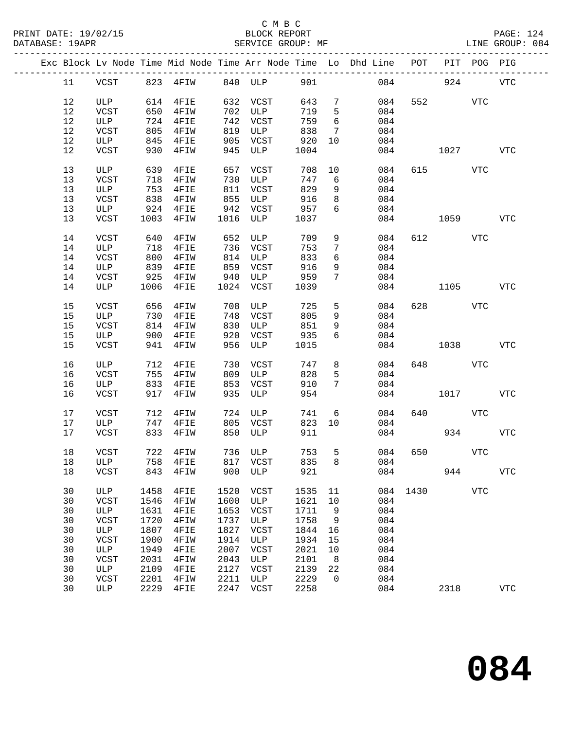|  |    |             |      |                         |      |              |      |                 | Exc Block Lv Node Time Mid Node Time Arr Node Time Lo Dhd Line POT |      |          | PIT POG PIG |             |
|--|----|-------------|------|-------------------------|------|--------------|------|-----------------|--------------------------------------------------------------------|------|----------|-------------|-------------|
|  | 11 | VCST        |      | 823 4FIW                |      | 840 ULP      | 901  |                 |                                                                    | 084  | 924      |             | VTC         |
|  | 12 | ULP         | 614  | $4$ FIE                 | 632  | VCST         | 643  | $7\phantom{.0}$ | 084                                                                | 552  |          | VTC         |             |
|  | 12 | VCST        | 650  | 4FIW                    | 702  | ULP          | 719  | 5               | 084                                                                |      |          |             |             |
|  | 12 | ULP         | 724  | 4FIE                    | 742  | VCST         | 759  | 6               | 084                                                                |      |          |             |             |
|  | 12 | VCST        | 805  |                         | 819  | ULP          | 838  | 7               | 084                                                                |      |          |             |             |
|  |    |             |      | 4FIW                    |      |              |      | 10              |                                                                    |      |          |             |             |
|  | 12 | ULP         | 845  | $4$ FIE                 | 905  | VCST         | 920  |                 | 084                                                                |      |          |             |             |
|  | 12 | VCST        | 930  | 4FIW                    | 945  | ULP          | 1004 |                 | 084                                                                |      | 1027     |             | <b>VTC</b>  |
|  | 13 | ULP         | 639  | $4$ FIE                 | 657  | VCST         | 708  | 10              | 084                                                                |      | 615 — 10 | VTC         |             |
|  | 13 | VCST        | 718  | 4FIW                    | 730  | ULP          | 747  | 6               | 084                                                                |      |          |             |             |
|  | 13 | ULP         | 753  | $4$ FIE                 | 811  | VCST         | 829  | 9               | 084                                                                |      |          |             |             |
|  | 13 | VCST        | 838  | 4FIW                    | 855  | ULP          | 916  | 8               | 084                                                                |      |          |             |             |
|  | 13 | ULP         | 924  | $4$ FIE                 | 942  | VCST         | 957  | 6               | 084                                                                |      |          |             |             |
|  | 13 | VCST        | 1003 | 4FIW                    | 1016 | ULP          | 1037 |                 | 084                                                                |      | 1059     |             | <b>VTC</b>  |
|  |    |             |      |                         |      |              |      |                 |                                                                    |      |          |             |             |
|  | 14 | VCST        | 640  | 4FIW                    | 652  | ULP          | 709  | 9               | 084                                                                |      | 612 2    | VTC         |             |
|  | 14 | ULP         | 718  | $4$ FIE                 | 736  | VCST         | 753  | $7\phantom{.0}$ | 084                                                                |      |          |             |             |
|  | 14 | VCST        | 800  | 4FIW                    | 814  | ULP          | 833  | 6               | 084                                                                |      |          |             |             |
|  | 14 | ULP         | 839  | $4$ FIE                 | 859  | VCST         | 916  | 9               | 084                                                                |      |          |             |             |
|  | 14 | VCST        | 925  | 4FIW                    | 940  | ULP          | 959  | $7\overline{ }$ | 084                                                                |      |          |             |             |
|  | 14 | ULP         | 1006 | 4FIE                    | 1024 | VCST         | 1039 |                 | 084                                                                |      | 1105     |             | VTC         |
|  |    |             |      |                         |      |              |      |                 |                                                                    |      |          |             |             |
|  | 15 | <b>VCST</b> | 656  | 4FIW                    | 708  | ULP          | 725  | 5               | 084                                                                |      | 628 3    | <b>VTC</b>  |             |
|  | 15 | ULP         | 730  | 4FIE                    | 748  | VCST         | 805  | 9               | 084                                                                |      |          |             |             |
|  | 15 | VCST        | 814  | 4FIW                    | 830  | ULP          | 851  | 9               | 084                                                                |      |          |             |             |
|  | 15 | ULP         | 900  | $4$ FIE                 | 920  | VCST         | 935  | 6               | 084                                                                |      |          |             |             |
|  | 15 | <b>VCST</b> | 941  | 4FIW                    | 956  | ULP          | 1015 |                 | 084                                                                |      | 1038     |             | VTC         |
|  |    |             |      |                         |      |              |      |                 |                                                                    |      |          |             |             |
|  | 16 | ULP         | 712  | 4FIE                    | 730  | VCST         | 747  | 8               | 084                                                                | 648  |          | VTC         |             |
|  | 16 | VCST        | 755  | 4FIW                    | 809  | ULP          | 828  | 5               | 084                                                                |      |          |             |             |
|  | 16 | ULP         | 833  | 4FIE                    | 853  | VCST         | 910  | $7\phantom{.0}$ | 084                                                                |      |          |             |             |
|  | 16 | VCST        | 917  | 4FIW                    | 935  | ULP          | 954  |                 | 084                                                                |      | 1017     |             | <b>VTC</b>  |
|  | 17 | VCST        | 712  | 4FIW                    | 724  | ULP          | 741  | 6               | 084                                                                | 640  |          | VTC         |             |
|  |    |             |      |                         |      |              |      |                 |                                                                    |      |          |             |             |
|  | 17 | ULP         | 747  | $4$ FIE                 | 805  | VCST         | 823  | 10              | 084                                                                |      |          |             |             |
|  | 17 | VCST        | 833  | 4FIW                    | 850  | ULP          | 911  |                 | 084                                                                |      | 934      |             | <b>VTC</b>  |
|  | 18 | VCST        |      | 722 4FIW                |      | 736 ULP      | 753  | 5               | 084                                                                | 650  |          | VTC         |             |
|  |    | 18 ULP      |      | 758 4FIE 817 VCST 835 8 |      |              |      |                 | 084                                                                |      |          |             |             |
|  | 18 | VCST        | 843  | 4FIW                    | 900  | ULP          | 921  |                 | 084                                                                |      | 944      |             | ${\tt VTC}$ |
|  | 30 | ULP         | 1458 | 4FIE                    | 1520 | VCST         | 1535 | 11              | 084                                                                | 1430 |          | <b>VTC</b>  |             |
|  | 30 | VCST        | 1546 | 4FIW                    | 1600 | ULP          | 1621 | 10              | 084                                                                |      |          |             |             |
|  | 30 |             |      |                         | 1653 |              |      | 9               | 084                                                                |      |          |             |             |
|  |    | ULP         | 1631 | 4FIE                    |      | VCST         | 1711 |                 |                                                                    |      |          |             |             |
|  | 30 | <b>VCST</b> | 1720 | 4FIW                    | 1737 | ULP          | 1758 | 9               | 084                                                                |      |          |             |             |
|  | 30 | ULP         | 1807 | 4FIE                    | 1827 | VCST         | 1844 | 16              | 084                                                                |      |          |             |             |
|  | 30 | VCST        | 1900 | 4FIW                    | 1914 | ULP          | 1934 | 15              | 084                                                                |      |          |             |             |
|  | 30 | ULP         | 1949 | 4FIE                    | 2007 | <b>VCST</b>  | 2021 | 10              | 084                                                                |      |          |             |             |
|  | 30 | VCST        | 2031 | 4FIW                    | 2043 | ULP          | 2101 | 8               | 084                                                                |      |          |             |             |
|  | 30 | ULP         | 2109 | 4FIE                    | 2127 | VCST         | 2139 | 22              | 084                                                                |      |          |             |             |
|  | 30 | VCST        | 2201 | 4FIW                    | 2211 | ULP          | 2229 | $\mathbf 0$     | 084                                                                |      |          |             |             |
|  | 30 | ULP         | 2229 | 4FIE                    | 2247 | ${\tt VCST}$ | 2258 |                 | 084                                                                |      | 2318     |             | ${\tt VTC}$ |
|  |    |             |      |                         |      |              |      |                 |                                                                    |      |          |             |             |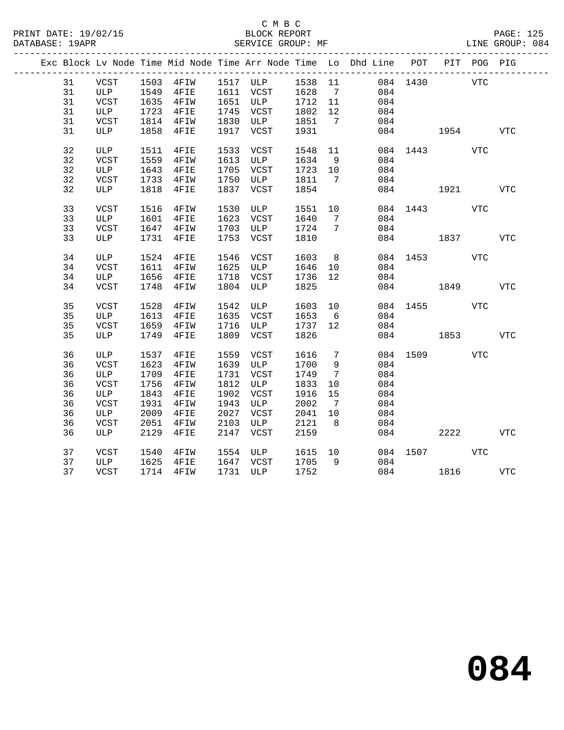### C M B C<br>BLOCK REPORT SERVICE GROUP: MF

|  |    |             |      | Exc Block Lv Node Time Mid Node Time Arr Node Time Lo Dhd Line POT PIT POG PIG |      |                                   |         |                 |     |              |            |            |            |
|--|----|-------------|------|--------------------------------------------------------------------------------|------|-----------------------------------|---------|-----------------|-----|--------------|------------|------------|------------|
|  | 31 | VCST        |      | 1503 4FIW 1517 ULP 1538 11                                                     |      |                                   |         |                 |     | 084 1430     | <b>VTC</b> |            |            |
|  | 31 | ULP         |      | 1549 4FIE                                                                      |      | 1611 VCST 1628                    |         | $7\overline{)}$ | 084 |              |            |            |            |
|  | 31 | VCST        | 1635 | 4FIW                                                                           |      | 1651 ULP<br>1651 ULP<br>1715 VCST | 1712 11 |                 | 084 |              |            |            |            |
|  | 31 | ULP         | 1723 | $4$ FIE                                                                        |      | 1745 VCST                         | 1802    | 12              | 084 |              |            |            |            |
|  | 31 | VCST        | 1814 | 4FIW                                                                           |      | 1830 ULP 1851                     |         | $7\phantom{0}$  |     | 084          |            |            |            |
|  | 31 | ULP         | 1858 | 4FIE                                                                           | 1917 | VCST                              | 1931    |                 |     | 084          | 1954       |            | <b>VTC</b> |
|  | 32 | ULP         | 1511 | 4FIE                                                                           | 1533 | VCST                              | 1548    | 11              |     | 084 1443     |            | VTC        |            |
|  | 32 | VCST        | 1559 | 4FIW                                                                           |      | 1613 ULP                          | 1634    | 9               |     | 084          |            |            |            |
|  | 32 | ULP         | 1643 | $4$ FIE                                                                        |      | 1705 VCST                         | 1723    | 10              | 084 |              |            |            |            |
|  | 32 | VCST        | 1733 | $4$ FIW                                                                        | 1750 | ULP                               | 1811    | $\overline{7}$  |     | 084          |            |            |            |
|  | 32 | ULP         | 1818 | 4FIE                                                                           | 1837 | VCST                              | 1854    |                 |     | 084          | 1921       |            | <b>VTC</b> |
|  | 33 | VCST        | 1516 | $4$ FIW                                                                        | 1530 | ULP                               | 1551    | 10              |     | 084 1443     |            | VTC        |            |
|  | 33 | ULP         | 1601 | 4FIE                                                                           | 1623 | VCST                              | 1640    | $7\overline{ }$ | 084 |              |            |            |            |
|  | 33 | VCST        | 1647 | 4FIW                                                                           |      | 1703 ULP                          | 1724    | 7               |     | 084          |            |            |            |
|  | 33 | ULP         |      | 1731 4FIE                                                                      | 1753 | VCST                              | 1810    |                 |     | 084 1837     |            |            | VTC        |
|  | 34 | ULP         | 1524 | $4$ FIE                                                                        | 1546 | VCST                              | 1603    | 8 <sup>8</sup>  |     | 084 1453     |            | VTC        |            |
|  | 34 | VCST        | 1611 | 4FIW                                                                           |      | 1625 ULP                          | 1646    | 10              |     | 084          |            |            |            |
|  | 34 | ULP         | 1656 | $4$ FIE                                                                        | 1718 | VCST                              | 1736    | 12              |     | 084          |            |            |            |
|  | 34 | VCST        | 1748 | 4FIW                                                                           | 1804 | ULP                               | 1825    |                 |     | 084 1849     |            |            | VTC        |
|  |    |             |      |                                                                                |      |                                   |         |                 |     |              |            |            |            |
|  | 35 | <b>VCST</b> | 1528 | 4FIW                                                                           | 1542 | ULP                               | 1603    | 10              |     | 084          | 1455 146   | <b>VTC</b> |            |
|  | 35 | ULP         | 1613 | $4$ FIE                                                                        |      | 1635 VCST                         | 1653    | 6               |     | 084          |            |            |            |
|  | 35 | VCST        | 1659 | $4$ FIW                                                                        |      | 1716 ULP                          | 1737    | 12              |     | 084          |            |            |            |
|  | 35 | ULP         | 1749 | 4FIE                                                                           |      | 1809 VCST                         | 1826    |                 |     | 084          | 1853       |            | VTC        |
|  | 36 | ULP         | 1537 | 4FIE                                                                           |      | 1559 VCST                         | 1616    | $7\phantom{.0}$ |     | 084 1509     |            | VTC        |            |
|  | 36 | VCST        | 1623 | 4FIW                                                                           |      | 1639 ULP                          | 1700    | $\overline{9}$  | 084 |              |            |            |            |
|  | 36 | ULP         | 1709 | $4$ FIE                                                                        |      | 1731 VCST                         | 1749    | $7\phantom{.0}$ | 084 |              |            |            |            |
|  | 36 | VCST        | 1756 | 4FIW                                                                           |      | 1812 ULP                          | 1833    | 10              | 084 |              |            |            |            |
|  | 36 | ULP         | 1843 | 4FIE                                                                           | 1902 | VCST                              | 1916    | 15              | 084 |              |            |            |            |
|  | 36 | VCST        | 1931 | 4FIW                                                                           | 1943 | ULP                               | 2002    | $\overline{7}$  | 084 |              |            |            |            |
|  | 36 | ULP         | 2009 | 4FIE                                                                           | 2027 | VCST                              | 2041    | 10              | 084 |              |            |            |            |
|  | 36 | VCST        | 2051 | 4FIW                                                                           | 2103 | ULP                               | 2121    | 8 <sup>8</sup>  |     | 084          |            |            |            |
|  | 36 | ULP         | 2129 | 4FIE                                                                           | 2147 | VCST                              | 2159    |                 |     | 084          | 2222       |            | <b>VTC</b> |
|  | 37 | VCST        | 1540 | 4FIW                                                                           |      | 1554 ULP                          | 1615 10 |                 |     | 084 1507 VTC |            |            |            |
|  | 37 | ULP         | 1625 | $4$ FIE                                                                        |      | 1647 VCST                         | 1705    | 9               |     | 084          |            |            |            |
|  | 37 | VCST        |      | 1714 4FIW                                                                      |      | 1731 ULP                          | 1752    |                 |     | 084 1816     |            |            | <b>VTC</b> |
|  |    |             |      |                                                                                |      |                                   |         |                 |     |              |            |            |            |

**084**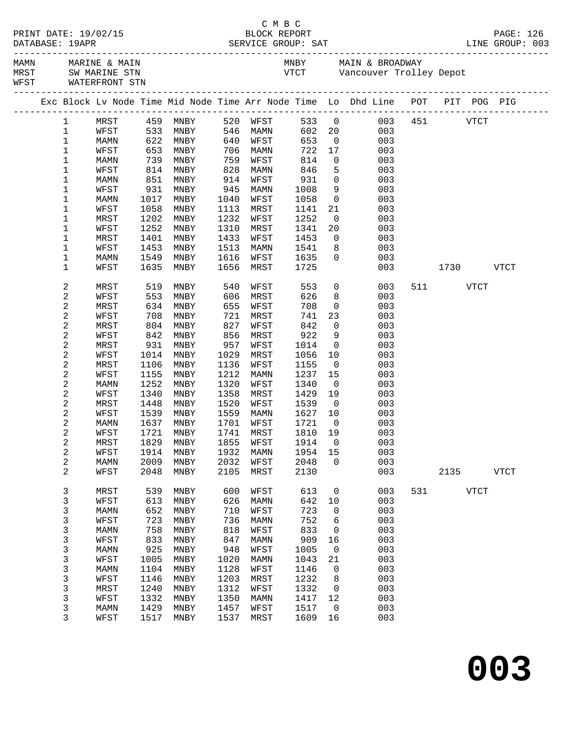|                       |                     |              |                     |              |              |              |                         |                                                                                     |     |       |             | PAGE: 126<br>LINE GROUP: 003 |
|-----------------------|---------------------|--------------|---------------------|--------------|--------------|--------------|-------------------------|-------------------------------------------------------------------------------------|-----|-------|-------------|------------------------------|
|                       | WFST WATERFRONT STN |              |                     |              |              |              |                         | MAMN MARINE & MAIN MARINE (MAIN MAIN & BROADWAY MAIN & BROADWAY MAST SWOW ARINE STN |     |       |             |                              |
|                       |                     |              |                     |              |              |              |                         | Exc Block Lv Node Time Mid Node Time Arr Node Time Lo Dhd Line POT PIT POG PIG      |     |       |             |                              |
| $\mathbf{1}$          |                     |              | MRST 459 MNBY       |              | 520 WFST     |              |                         | 533 0 003 451 VTCT                                                                  |     |       |             |                              |
| $\mathbf 1$           | WFST                |              | 533 MNBY            |              | 546 MAMN     |              |                         | 602 20<br>003                                                                       |     |       |             |                              |
| 1                     | MAMN                |              | 622 MNBY            | 640          | WFST         | 653          | $\overline{0}$          | 003                                                                                 |     |       |             |                              |
| 1                     | WFST                | 653          | MNBY                | 706          | MAMN         | 722          | 17                      | 003                                                                                 |     |       |             |                              |
| $\mathbf 1$           | MAMN                | 739          | MNBY                | 759          | WFST         | 814          | $\overline{0}$          | 003                                                                                 |     |       |             |                              |
| 1                     | WFST                | 814          | MNBY                | 828          | MAMN         | 846          | 5                       | 003                                                                                 |     |       |             |                              |
| 1                     | MAMN                | 851          | MNBY                | 914          | WFST         | 931          | $\overline{0}$          | 003                                                                                 |     |       |             |                              |
| 1                     | WFST                | 931          | MNBY                | 945          | MAMN         | 1008         | 9                       | 003                                                                                 |     |       |             |                              |
| 1                     | MAMN                | 1017         | MNBY                | 1040         | WFST         | 1058         | $\overline{0}$          | 003                                                                                 |     |       |             |                              |
| 1                     | WFST                | 1058         | MNBY                | 1113         | MRST         | 1141         | 21                      | 003                                                                                 |     |       |             |                              |
| 1                     | MRST                | 1202         | MNBY                | 1232         | WFST         | 1252         | $\overline{0}$          | 003                                                                                 |     |       |             |                              |
| 1                     | WFST                | 1252         | MNBY                | 1310         | MRST         | 1341         | 20 <sub>o</sub>         | 003                                                                                 |     |       |             |                              |
| 1                     | MRST                | 1401         | MNBY                | 1433         | WFST         | 1453         | $\overline{0}$          | 003                                                                                 |     |       |             |                              |
| 1                     | WFST                | 1453         | MNBY                | 1513         | MAMN         | 1541         | 8 <sup>8</sup>          | 003                                                                                 |     |       |             |                              |
| 1                     | MAMN                | 1549         | MNBY                | 1616         | WFST         | 1635         | $\Omega$                | 003                                                                                 |     |       |             |                              |
| 1                     | WFST                | 1635         | MNBY                | 1656         | MRST         | 1725         |                         | 003                                                                                 |     | 1730  |             | <b>VTCT</b>                  |
| $\sqrt{2}$            | MRST                | 519          | MNBY                | 540          | WFST         | 553          |                         | $\overline{0}$<br>003                                                               |     | 511 7 | <b>VTCT</b> |                              |
| $\sqrt{2}$            | WFST                | 553          | MNBY                | 606          | MRST         | 626          | 8                       | 003                                                                                 |     |       |             |                              |
| $\sqrt{2}$            | MRST                | 634          | MNBY                | 655          | WFST         | 708          | $\overline{0}$          | 003                                                                                 |     |       |             |                              |
| $\sqrt{2}$            | WFST                | 708          | MNBY                | 721          | MRST         | 741          | 23                      | 003                                                                                 |     |       |             |                              |
| $\sqrt{2}$            | MRST                | 804          | MNBY                | 827          | WFST         | 842          | $\overline{0}$          | 003                                                                                 |     |       |             |                              |
| $\sqrt{2}$            | WFST                | 842          | MNBY                | 856          | MRST         | 922          | 9                       | 003                                                                                 |     |       |             |                              |
| $\sqrt{2}$            | MRST                | 931          | MNBY                | 957          | WFST         | 1014         | $\overline{0}$          | 003                                                                                 |     |       |             |                              |
| $\sqrt{2}$            | WFST                | 1014         | MNBY                | 1029         | MRST         | 1056         | 10                      | 003                                                                                 |     |       |             |                              |
| $\sqrt{2}$            | MRST                | 1106         | MNBY                | 1136         | WFST         | 1155         | $\overline{0}$          | 003                                                                                 |     |       |             |                              |
| $\sqrt{2}$            | WFST                | 1155         | MNBY                | 1212         | MAMN         | 1237         | 15                      | 003                                                                                 |     |       |             |                              |
| $\sqrt{2}$            | MAMN                | 1252         | MNBY                | 1320         | WFST         | 1340         | $\overline{0}$          | 003                                                                                 |     |       |             |                              |
| $\sqrt{2}$            | WFST                | 1340         | MNBY                | 1358         | MRST         | 1429         | 19                      | 003                                                                                 |     |       |             |                              |
| $\sqrt{2}$            | MRST                | 1448         | MNBY                | 1520         | WFST         | 1539         | $\overline{0}$          | 003                                                                                 |     |       |             |                              |
| $\sqrt{2}$            | WFST                | 1539         | MNBY                | 1559         | MAMN         | 1627         | 10                      | 003                                                                                 |     |       |             |                              |
| $\sqrt{2}$            | MAMN                | 1637         | MNBY                | 1701         | WFST         | 1721         | $\overline{0}$          | 003                                                                                 |     |       |             |                              |
| 2                     | WFST                | 1721         | MNBY                | 1741         | MRST         | 1810         | 19                      | 003                                                                                 |     |       |             |                              |
| 2                     | MRST                |              | 1829 MNBY 1855 WFST |              |              |              |                         | 1914 0 003                                                                          |     |       |             |                              |
| 2                     | WFST                | 1914         | MNBY                | 1932         | MAMN         | 1954         | 15                      | 003                                                                                 |     |       |             |                              |
| $\boldsymbol{2}$<br>2 | MAMN<br>WFST        | 2009<br>2048 | MNBY<br>MNBY        | 2032<br>2105 | WFST<br>MRST | 2048<br>2130 | $\Omega$                | 003<br>003                                                                          |     | 2135  |             | VTCT                         |
|                       |                     |              |                     |              |              |              |                         |                                                                                     |     |       |             |                              |
| 3                     | MRST                | 539          | MNBY                | 600          | WFST         | 613          | $\mathbf 0$             | 003                                                                                 | 531 |       | <b>VTCT</b> |                              |
| $\mathsf{3}$          | WFST                | 613          | MNBY                | 626          | MAMN         | 642          | 10                      | 003                                                                                 |     |       |             |                              |
| $\mathsf{3}$          | MAMN                | 652          | MNBY                | 710          | WFST         | 723          | $\overline{0}$          | 003                                                                                 |     |       |             |                              |
| 3                     | WFST                | 723          | MNBY                | 736          | MAMN         | 752          | $\epsilon$              | 003                                                                                 |     |       |             |                              |
| 3                     | <b>MAMN</b>         | 758          | MNBY                | 818          | WFST         | 833          | 0                       | 003                                                                                 |     |       |             |                              |
| 3                     | WFST                | 833          | MNBY                | 847          | MAMN         | 909          | 16                      | 003                                                                                 |     |       |             |                              |
| 3                     | MAMN                | 925          | MNBY                | 948          | WFST         | 1005         | $\overline{0}$          | 003                                                                                 |     |       |             |                              |
| 3                     | WFST                | 1005         | MNBY                | 1020         | MAMN         | 1043         | 21                      | 003                                                                                 |     |       |             |                              |
| 3                     | MAMN                | 1104         | MNBY                | 1128         | WFST         | 1146         | $\overline{0}$          | 003                                                                                 |     |       |             |                              |
| 3                     | WFST                | 1146         | MNBY                | 1203         | MRST         | 1232         | 8                       | 003                                                                                 |     |       |             |                              |
| 3                     | MRST                | 1240         | MNBY                | 1312         | WFST         | 1332         | $\overline{\mathbf{0}}$ | 003                                                                                 |     |       |             |                              |
| 3                     | WFST                | 1332         | MNBY                | 1350         | MAMN         | 1417         | 12                      | 003                                                                                 |     |       |             |                              |
| 3                     | MAMN                | 1429         | MNBY                | 1457         | WFST         | 1517         | $\overline{0}$          | 003                                                                                 |     |       |             |                              |
| 3                     | WFST                | 1517         | MNBY                | 1537         | MRST         | 1609         | 16                      | 003                                                                                 |     |       |             |                              |

**003**

C M B C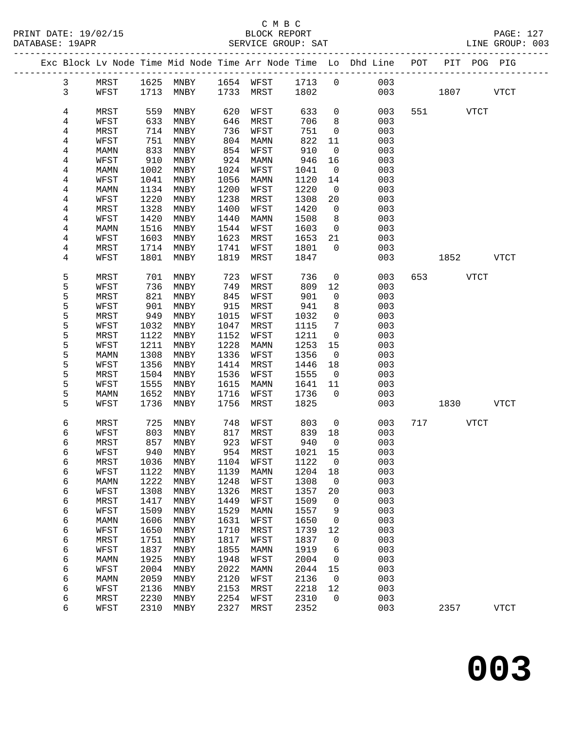|  |                |              |              |                            |              |              |              |                          | Exc Block Lv Node Time Mid Node Time Arr Node Time Lo Dhd Line POT |             | PIT POG PIG |             |
|--|----------------|--------------|--------------|----------------------------|--------------|--------------|--------------|--------------------------|--------------------------------------------------------------------|-------------|-------------|-------------|
|  | $\mathbf{3}$   | MRST         |              | 1625 MNBY 1654 WFST 1713 0 |              |              |              |                          | 003                                                                |             |             |             |
|  | $\mathsf{3}$   | WFST         |              | 1713 MNBY                  |              | 1733 MRST    | 1802         |                          | 003                                                                | 1807 - 1800 |             | <b>VTCT</b> |
|  |                |              |              |                            |              |              |              |                          |                                                                    |             |             |             |
|  | 4              | MRST         | 559          | MNBY                       | 620          | WFST         | 633          | $\overline{0}$           | 003                                                                | 551 VTCT    |             |             |
|  | 4              | WFST         | 633          | MNBY                       | 646          | MRST         | 706          | 8                        | 003                                                                |             |             |             |
|  | 4              | MRST         | 714          | MNBY                       | 736          | WFST         | 751          | $\mathsf{O}$             | 003                                                                |             |             |             |
|  | 4              | WFST         | 751          | MNBY                       | 804          | MAMN         | 822          | 11                       | 003                                                                |             |             |             |
|  | 4              | MAMN         | 833          | MNBY                       | 854          | WFST         | 910          | $\overline{0}$           | 003                                                                |             |             |             |
|  | $\overline{4}$ | WFST         | 910          | MNBY                       | 924          | MAMN         | 946          | 16                       | 003                                                                |             |             |             |
|  | 4              | MAMN         | 1002         | MNBY                       | 1024         | WFST         | 1041         | $\overline{0}$           | 003                                                                |             |             |             |
|  | 4              | WFST         | 1041         | MNBY                       | 1056         | MAMN         | 1120         | 14                       | 003                                                                |             |             |             |
|  | 4              | MAMN         | 1134         | MNBY                       | 1200         | WFST         | 1220         | $\overline{0}$           | 003                                                                |             |             |             |
|  | 4              | WFST         | 1220         | MNBY                       | 1238         | MRST         | 1308         | 20                       | 003                                                                |             |             |             |
|  | 4              | MRST         | 1328         | MNBY                       | 1400         | WFST         | 1420         | $\overline{0}$           | 003                                                                |             |             |             |
|  | 4              | WFST         | 1420         | MNBY                       | 1440         | MAMN         | 1508         | 8                        | 003                                                                |             |             |             |
|  | 4              | MAMN         | 1516         | MNBY                       | 1544         | WFST         | 1603         | $\overline{0}$           | 003                                                                |             |             |             |
|  | 4              | WFST         | 1603         | MNBY                       | 1623         | MRST         | 1653         | 21                       | 003                                                                |             |             |             |
|  | 4              | MRST         | 1714         | MNBY                       | 1741         | WFST         | 1801         | $\overline{0}$           | 003                                                                |             |             |             |
|  | 4              | WFST         | 1801         | MNBY                       | 1819         | MRST         | 1847         |                          | 003                                                                | 1852 VTCT   |             |             |
|  |                |              |              |                            |              |              |              |                          |                                                                    |             |             |             |
|  | 5              | MRST         | 701          | MNBY                       | 723          | WFST         | 736          | $\mathsf{O}$             | 003                                                                | 653 VTCT    |             |             |
|  | 5              | WFST         | 736          | MNBY                       | 749          | MRST         | 809          | 12                       | 003                                                                |             |             |             |
|  | 5              | MRST         | 821          | MNBY                       | 845          | WFST         | 901          | $\mathsf{O}$             | 003                                                                |             |             |             |
|  | 5              | WFST         | 901          | MNBY                       | 915          | MRST         | 941          | 8                        | 003                                                                |             |             |             |
|  | 5              | MRST         | 949          | MNBY                       | 1015         | WFST         | 1032         | $\mathsf{O}$             | 003                                                                |             |             |             |
|  | 5              | WFST         | 1032         | MNBY                       | 1047         | MRST         | 1115         | $7\phantom{.0}$          | 003                                                                |             |             |             |
|  | 5              | MRST         | 1122         | MNBY                       | 1152         | WFST         | 1211         | $\overline{0}$           | 003                                                                |             |             |             |
|  | 5              | WFST         | 1211         | MNBY                       | 1228         | MAMN         | 1253         | 15                       | 003                                                                |             |             |             |
|  | 5              | MAMN         | 1308         | MNBY                       | 1336         | WFST         | 1356         | $\overline{\phantom{0}}$ | 003                                                                |             |             |             |
|  | 5              | WFST         | 1356         | MNBY                       | 1414         | MRST         | 1446         | 18                       | 003                                                                |             |             |             |
|  | 5              | MRST         | 1504         | MNBY                       | 1536         | WFST         | 1555         | $\overline{0}$           | 003                                                                |             |             |             |
|  | 5              | WFST         | 1555         | MNBY                       | 1615         | MAMN         | 1641         | 11                       | 003                                                                |             |             |             |
|  | 5              | MAMN         | 1652         | MNBY                       | 1716         | WFST         | 1736         | $\Omega$                 | 003                                                                |             |             |             |
|  | 5              | WFST         | 1736         | MNBY                       | 1756         | MRST         | 1825         |                          | 003                                                                | 1830        |             | VTCT        |
|  |                |              |              |                            |              |              |              |                          |                                                                    |             |             |             |
|  | 6              | MRST         | 725          | MNBY                       | 748          | WFST         | 803          | $\overline{0}$           | 003                                                                | 717 VTCT    |             |             |
|  | 6              | WFST         | 803          | MNBY                       | 817          | MRST         | 839          | 18                       | 003                                                                |             |             |             |
|  | 6              | MRST         | 857          | MNBY                       | 923          | WFST         | 940          | $\overline{0}$           | 003                                                                |             |             |             |
|  | 6              | WFST         | 940          | MNBY                       |              | 954 MRST     | 1021         | 15                       | 003                                                                |             |             |             |
|  | 6              | MRST         |              | 1036 MNBY 1104 WFST        |              |              | 1122 0       |                          | 003                                                                |             |             |             |
|  | 6              | WFST         | 1122         | MNBY                       | 1139         | MAMN         | 1204         | 18                       | 003                                                                |             |             |             |
|  | 6              | MAMN         | 1222         | MNBY                       | 1248         | WFST         | 1308         | $\mathsf{O}$             | 003                                                                |             |             |             |
|  | 6              | WFST         | 1308         | MNBY                       | 1326         | MRST         | 1357         | 20                       | 003                                                                |             |             |             |
|  | 6              | MRST         | 1417         | MNBY                       | 1449         | WFST         | 1509         | $\mathsf{O}$             | 003                                                                |             |             |             |
|  | 6              | WFST         | 1509         | MNBY                       | 1529         | MAMN         | 1557         | 9                        | 003                                                                |             |             |             |
|  | 6              | MAMN         | 1606         | MNBY                       | 1631         | WFST         | 1650         | 0                        | 003                                                                |             |             |             |
|  | 6              | WFST         | 1650         | MNBY                       | 1710         | MRST         | 1739         | 12                       | 003                                                                |             |             |             |
|  | 6              | MRST         | 1751         | MNBY                       | 1817         | WFST         | 1837         | $\mathsf{O}$             | 003                                                                |             |             |             |
|  | 6              | WFST         | 1837         | MNBY                       | 1855         | MAMN         | 1919         | 6                        | 003                                                                |             |             |             |
|  | 6              | MAMN         | 1925<br>2004 | MNBY                       | 1948<br>2022 | WFST         | 2004<br>2044 | $\mathbf 0$              | 003<br>003                                                         |             |             |             |
|  | 6              | WFST         |              | MNBY                       |              | MAMN         |              | 15                       |                                                                    |             |             |             |
|  | 6              | MAMN         | 2059         | MNBY                       | 2120<br>2153 | WFST         | 2136<br>2218 | $\mathbf 0$              | 003<br>003                                                         |             |             |             |
|  | 6<br>6         | WFST<br>MRST | 2136<br>2230 | MNBY<br>MNBY               | 2254         | MRST<br>WFST | 2310         | 12<br>$\mathbf 0$        | 003                                                                |             |             |             |
|  | 6              | WFST         | 2310         | MNBY                       | 2327         | MRST         | 2352         |                          | 003                                                                | 2357        |             | <b>VTCT</b> |
|  |                |              |              |                            |              |              |              |                          |                                                                    |             |             |             |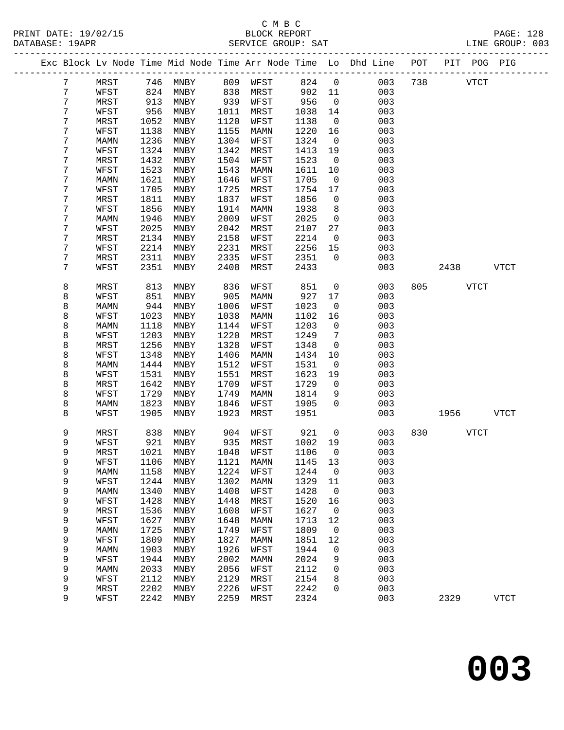# C M B C<br>BLOCK REPORT

PAGE: 128<br>T.INE GROUP: 003

|            |      |      |                   |      | PRINT DATE: 19/02/15 BLOCK REPORT DATABASE: 19APR SERVICE GROUP: SAT |             |                 | PAGE: 128<br>LINE GROUP: 003                                                   |              |          |           |  |
|------------|------|------|-------------------|------|----------------------------------------------------------------------|-------------|-----------------|--------------------------------------------------------------------------------|--------------|----------|-----------|--|
|            |      |      |                   |      |                                                                      |             |                 | Exc Block Lv Node Time Mid Node Time Arr Node Time Lo Dhd Line POT PIT POG PIG |              |          |           |  |
| 7          |      |      |                   |      | MRST 746 MNBY 809 WFST 824 0                                         |             |                 |                                                                                | 003 738 VTCT |          |           |  |
| $\sqrt{7}$ | WFST |      | 824 MNBY 838 MRST |      |                                                                      | 902 11      |                 | 003                                                                            |              |          |           |  |
| 7          | MRST |      |                   |      |                                                                      |             | $\overline{0}$  | 003                                                                            |              |          |           |  |
| 7          | WFST |      |                   |      |                                                                      | 956<br>1038 | 14              | 003                                                                            |              |          |           |  |
| 7          | MRST | 1052 | MNBY              | 1120 | WFST                                                                 | 1138        | $\overline{0}$  | 003                                                                            |              |          |           |  |
| 7          | WFST | 1138 | MNBY              | 1155 | MAMN                                                                 | 1220        | 16              | 003                                                                            |              |          |           |  |
| 7          | MAMN | 1236 | MNBY              | 1304 | WFST                                                                 | 1324        | $\overline{0}$  | 003                                                                            |              |          |           |  |
| 7          | WFST | 1324 | MNBY              | 1342 | MRST                                                                 | 1413        | 19              | 003                                                                            |              |          |           |  |
| 7          | MRST | 1432 | MNBY              | 1504 | WFST                                                                 | 1523        | $\overline{0}$  | 003                                                                            |              |          |           |  |
| 7          | WFST | 1523 | MNBY              | 1543 | MAMN                                                                 | 1611        | 10              | 003                                                                            |              |          |           |  |
| 7          | MAMN | 1621 | MNBY              | 1646 | WFST                                                                 | 1705        | $\overline{0}$  | 003                                                                            |              |          |           |  |
| 7          | WFST | 1705 | MNBY              | 1725 | MRST                                                                 | 1754        | 17              | 003                                                                            |              |          |           |  |
| 7          | MRST | 1811 | MNBY              | 1837 | WFST                                                                 | 1856        | $\overline{0}$  | 003                                                                            |              |          |           |  |
| 7          | WFST | 1856 | MNBY              | 1914 | MAMN                                                                 | 1938        | 8               | 003                                                                            |              |          |           |  |
| 7          | MAMN | 1946 | MNBY              | 2009 | WFST                                                                 | 2025        | $\overline{0}$  | 003                                                                            |              |          |           |  |
| 7          | WFST | 2025 | MNBY              | 2042 | MRST                                                                 | 2107        | 27              | 003                                                                            |              |          |           |  |
| 7          | MRST | 2134 | MNBY              | 2158 | WFST                                                                 | 2214        | $\overline{0}$  | 003                                                                            |              |          |           |  |
| 7          | WFST | 2214 | MNBY              | 2231 | MRST                                                                 | 2256        | 15              | 003                                                                            |              |          |           |  |
| 7          | MRST | 2311 | MNBY              | 2335 | WFST                                                                 | 2351        | $\overline{0}$  | 003                                                                            |              |          |           |  |
| 7          | WFST | 2351 | MNBY              | 2408 | MRST                                                                 | 2433        |                 | 003                                                                            |              |          | 2438 VTCT |  |
| 8          | MRST | 813  | MNBY              | 836  | WFST                                                                 | 851         | $\overline{0}$  | 003                                                                            |              | 805 VTCT |           |  |
| 8          | WFST | 851  | MNBY              | 905  | MAMN                                                                 | 927         | 17              | 003                                                                            |              |          |           |  |
| 8          | MAMN | 944  | MNBY              | 1006 | WFST                                                                 | 1023        | $\overline{0}$  | 003                                                                            |              |          |           |  |
| 8          | WFST | 1023 | MNBY              | 1038 | MAMN                                                                 | 1102        | 16              | 003                                                                            |              |          |           |  |
| 8          | MAMN | 1118 | MNBY              | 1144 | WFST                                                                 | 1203        | $\overline{0}$  | 003                                                                            |              |          |           |  |
| 8          | WFST | 1203 | MNBY              | 1220 | MRST                                                                 | 1249        | $7\phantom{.0}$ | 003                                                                            |              |          |           |  |
| 8          | MRST | 1256 | MNBY              | 1328 | WFST                                                                 | 1348        | $\overline{0}$  | 003                                                                            |              |          |           |  |
| 8          | WFST | 1348 | MNBY              | 1406 | MAMN                                                                 | 1434        | 10              | 003                                                                            |              |          |           |  |
| 8          | MAMN | 1444 | MNBY              | 1512 | WFST                                                                 | 1531        | $\overline{0}$  | 003                                                                            |              |          |           |  |
| 8          | WFST | 1531 | MNBY              | 1551 | MRST                                                                 | 1623        | 19              | 003                                                                            |              |          |           |  |
| 8          | MRST | 1642 | MNBY              | 1709 | WFST                                                                 | 1729        | $\overline{0}$  | 003                                                                            |              |          |           |  |
| 8          | WFST | 1729 | MNBY              | 1749 | MAMN                                                                 | 1814        | 9               | 003                                                                            |              |          |           |  |
| 8          | MAMN | 1823 | MNBY              | 1846 | WFST                                                                 | 1905        | $\overline{0}$  | 003                                                                            |              |          |           |  |
| 8          | WFST | 1905 | MNBY              | 1923 | MRST                                                                 | 1951        |                 | 003                                                                            |              |          | 1956 VTCT |  |
| 9          | MRST |      | 838 MNBY          |      | 904 WFST                                                             | 921         | $\mathsf{O}$    | 003                                                                            |              | 830 VTCT |           |  |
| 9          |      |      |                   |      |                                                                      |             |                 | WFST 921 MNBY 935 MRST 1002 19 003                                             |              |          |           |  |
| 9          | MRST | 1021 | MNBY              | 1048 | WFST                                                                 | 1106        | $\mathbf 0$     | 003                                                                            |              |          |           |  |
| 9          | WFST | 1106 | MNBY              | 1121 | MAMN                                                                 | 1145        | 13              | 003                                                                            |              |          |           |  |
| 9          | MAMN | 1158 | MNBY              | 1224 | WFST                                                                 | 1244        | $\overline{0}$  | 003                                                                            |              |          |           |  |
| 9          | WFST | 1244 | MNBY              | 1302 | MAMN                                                                 | 1329        | 11              | 003                                                                            |              |          |           |  |
| 9          | MAMN | 1340 | MNBY              | 1408 | WFST                                                                 | 1428        | $\mathbf{0}$    | 003                                                                            |              |          |           |  |
| 9          | WFST | 1428 | MNBY              | 1448 | MRST                                                                 | 1520        | 16              | 003                                                                            |              |          |           |  |
| 9          | MRST | 1536 | MNBY              | 1608 | WFST                                                                 | 1627        | $\overline{0}$  | 003                                                                            |              |          |           |  |
| 9          | WFST | 1627 | MNBY              | 1648 | MAMN                                                                 | 1713        | 12              | 003                                                                            |              |          |           |  |
| 9          | MAMN | 1725 | MNBY              | 1749 | WFST                                                                 | 1809        | $\mathsf{O}$    | 003                                                                            |              |          |           |  |
| 9          | WFST | 1809 | MNBY              | 1827 | MAMN                                                                 | 1851        | 12              | 003                                                                            |              |          |           |  |
| 9          | MAMN | 1903 | MNBY              | 1926 | WFST                                                                 | 1944        | 0               | 003                                                                            |              |          |           |  |
| 9          | WFST | 1944 | MNBY              | 2002 | MAMN                                                                 | 2024        | 9               | 003                                                                            |              |          |           |  |
| 9          | MAMN | 2033 | MNBY              | 2056 | WFST                                                                 | 2112        | 0               | 003                                                                            |              |          |           |  |
| 9          | WFST | 2112 | MNBY              | 2129 | MRST                                                                 | 2154        | 8               | 003                                                                            |              |          |           |  |

9 MRST 2202 MNBY 2226 WFST 2242 0 003

9 WFST 2242 MNBY 2259 MRST 2324 003 2329 VTCT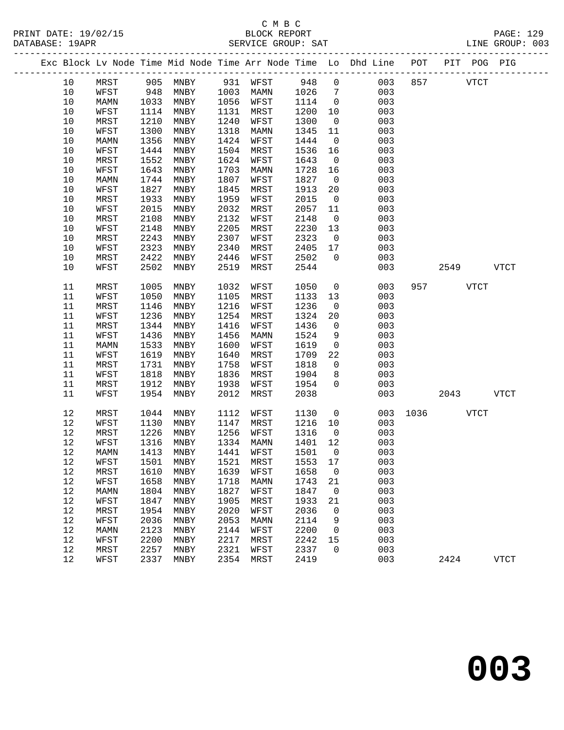PRINT DATE: 19/02/15 BLOCK REPORT BATABASE: 19APR

# C M B C<br>BLOCK REPORT

PAGE: 129<br>LINE GROUP: 003

|  |      |      |      |                              |      |             |      |                | --------------------------                                         |      |      |             |             |
|--|------|------|------|------------------------------|------|-------------|------|----------------|--------------------------------------------------------------------|------|------|-------------|-------------|
|  |      |      |      |                              |      |             |      |                | Exc Block Lv Node Time Mid Node Time Arr Node Time Lo Dhd Line POT |      |      | PIT POG PIG |             |
|  | 10   | MRST | 905  | MNBY                         |      | 931 WFST    | 948  | $\overline{0}$ | 003                                                                | 857  |      | <b>VTCT</b> |             |
|  | 10   | WFST | 948  | MNBY                         | 1003 | MAMN        | 1026 | $\overline{7}$ | 003                                                                |      |      |             |             |
|  | 10   | MAMN | 1033 | MNBY                         | 1056 | WFST        | 1114 | $\overline{0}$ | 003                                                                |      |      |             |             |
|  | 10   | WFST | 1114 | MNBY                         | 1131 | MRST        | 1200 | 10             | 003                                                                |      |      |             |             |
|  | 10   | MRST | 1210 | MNBY                         | 1240 | WFST        | 1300 | $\overline{0}$ | 003                                                                |      |      |             |             |
|  | $10$ | WFST | 1300 | MNBY                         | 1318 | MAMN        | 1345 | 11             | 003                                                                |      |      |             |             |
|  | 10   | MAMN | 1356 | MNBY                         | 1424 | WFST        | 1444 | $\mathsf{O}$   | 003                                                                |      |      |             |             |
|  | 10   | WFST | 1444 | MNBY                         | 1504 | MRST        | 1536 | 16             | 003                                                                |      |      |             |             |
|  | $10$ | MRST | 1552 | MNBY                         | 1624 | WFST        | 1643 | $\overline{0}$ | 003                                                                |      |      |             |             |
|  | $10$ | WFST | 1643 | MNBY                         | 1703 | MAMN        | 1728 | 16             | 003                                                                |      |      |             |             |
|  | 10   | MAMN | 1744 | MNBY                         | 1807 | WFST        | 1827 | $\overline{0}$ | 003                                                                |      |      |             |             |
|  | 10   | WFST | 1827 | MNBY                         | 1845 | MRST        | 1913 | 20             | 003                                                                |      |      |             |             |
|  | 10   | MRST | 1933 | MNBY                         | 1959 | WFST        | 2015 | $\overline{0}$ | 003                                                                |      |      |             |             |
|  | $10$ | WFST | 2015 | MNBY                         | 2032 | MRST        | 2057 | 11             | 003                                                                |      |      |             |             |
|  | 10   | MRST | 2108 | MNBY                         | 2132 | WFST        | 2148 | $\overline{0}$ | 003                                                                |      |      |             |             |
|  | $10$ | WFST | 2148 | MNBY                         | 2205 | MRST        | 2230 | 13             | 003                                                                |      |      |             |             |
|  | $10$ | MRST | 2243 | MNBY                         | 2307 | WFST        | 2323 | $\overline{0}$ | 003                                                                |      |      |             |             |
|  | $10$ | WFST | 2323 | MNBY                         | 2340 | MRST        | 2405 | 17             | 003                                                                |      |      |             |             |
|  | 10   | MRST | 2422 | MNBY                         | 2446 | WFST        | 2502 | $\Omega$       | 003                                                                |      |      |             |             |
|  | 10   | WFST | 2502 | MNBY                         | 2519 | MRST        | 2544 |                | 003                                                                |      | 2549 |             | <b>VTCT</b> |
|  | 11   | MRST | 1005 | MNBY                         | 1032 | WFST        | 1050 | $\mathsf{O}$   | 003                                                                | 957  |      | VTCT        |             |
|  | 11   | WFST | 1050 | MNBY                         | 1105 | MRST        | 1133 | 13             | 003                                                                |      |      |             |             |
|  | 11   | MRST | 1146 | MNBY                         | 1216 | WFST        | 1236 | $\overline{0}$ | 003                                                                |      |      |             |             |
|  | 11   | WFST | 1236 | MNBY                         | 1254 | MRST        | 1324 | 20             | 003                                                                |      |      |             |             |
|  | 11   | MRST | 1344 | MNBY                         | 1416 | WFST        | 1436 | $\overline{0}$ | 003                                                                |      |      |             |             |
|  | 11   | WFST | 1436 | MNBY                         | 1456 | MAMN        | 1524 | 9              | 003                                                                |      |      |             |             |
|  | 11   | MAMN | 1533 | MNBY                         | 1600 | WFST        | 1619 | $\overline{0}$ | 003                                                                |      |      |             |             |
|  | 11   | WFST | 1619 | MNBY                         | 1640 | MRST        | 1709 | 22             | 003                                                                |      |      |             |             |
|  | 11   | MRST | 1731 | MNBY                         | 1758 | WFST        | 1818 | $\overline{0}$ | 003                                                                |      |      |             |             |
|  | 11   | WFST | 1818 | MNBY                         | 1836 | MRST        | 1904 | 8              | 003                                                                |      |      |             |             |
|  | 11   | MRST | 1912 | MNBY                         | 1938 | WFST        | 1954 | $\Omega$       | 003                                                                |      |      |             |             |
|  | 11   | WFST | 1954 | MNBY                         | 2012 | MRST        | 2038 |                | 003                                                                |      | 2043 |             | VTCT        |
|  | 12   | MRST | 1044 | MNBY                         | 1112 | WFST        | 1130 | $\mathsf{O}$   | 003                                                                | 1036 |      | VTCT        |             |
|  | 12   | WFST | 1130 | MNBY                         | 1147 | MRST        | 1216 | 10             | 003                                                                |      |      |             |             |
|  | 12   | MRST | 1226 | MNBY                         | 1256 | WFST        | 1316 | $\overline{0}$ | 003                                                                |      |      |             |             |
|  | 12   | WFST | 1316 | MNBY                         | 1334 | MAMN        | 1401 | 12             | 003                                                                |      |      |             |             |
|  | 12   | MAMN | 1413 | MNBY                         | 1441 | WFST        | 1501 | $\Omega$       | 003                                                                |      |      |             |             |
|  | 12   | WFST | 1501 | MNBY                         | 1521 | MRST        | 1553 | 17             | 003                                                                |      |      |             |             |
|  | 12   | MRST | 1610 | MNBY                         | 1639 | WFST        | 1658 | 0              | 003                                                                |      |      |             |             |
|  | 12   | WFST | 1658 | MNBY                         | 1718 | <b>MAMN</b> | 1743 | 21             | 003                                                                |      |      |             |             |
|  | 12   | MAMN | 1804 | MNBY                         | 1827 | WFST        | 1847 | 0              | 003                                                                |      |      |             |             |
|  | 12   | WFST | 1847 | MNBY                         | 1905 | MRST        | 1933 | 21             | 003                                                                |      |      |             |             |
|  | $12$ | MRST | 1954 | $\ensuremath{\mathsf{MNBY}}$ | 2020 | WFST        | 2036 | 0              | 003                                                                |      |      |             |             |
|  | $12$ | WFST | 2036 | MNBY                         | 2053 | <b>MAMN</b> | 2114 | 9              | 003                                                                |      |      |             |             |
|  | 12   | MAMN | 2123 | MNBY                         | 2144 | WFST        | 2200 | 0              | 003                                                                |      |      |             |             |
|  | 12   | WFST | 2200 | MNBY                         | 2217 | MRST        | 2242 | 15             | 003                                                                |      |      |             |             |
|  | 12   | MRST | 2257 | MNBY                         | 2321 | WFST        | 2337 | 0              | 003                                                                |      |      |             |             |
|  | $12$ | WFST | 2337 | $\ensuremath{\mathsf{MNBY}}$ | 2354 | MRST        | 2419 |                | 003                                                                |      | 2424 |             | <b>VTCT</b> |
|  |      |      |      |                              |      |             |      |                |                                                                    |      |      |             |             |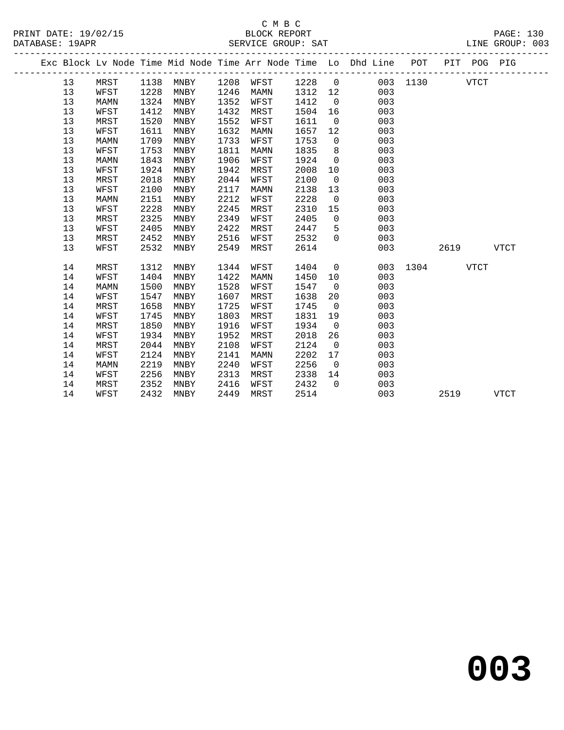|  |    |      |      |      |      |      |         |                | Exc Block Lv Node Time Mid Node Time Arr Node Time Lo Dhd Line POT |          |      | PIT POG PIG |             |
|--|----|------|------|------|------|------|---------|----------------|--------------------------------------------------------------------|----------|------|-------------|-------------|
|  | 13 | MRST | 1138 | MNBY | 1208 | WFST | 1228    | $\overline{0}$ |                                                                    | 003 1130 |      | <b>VTCT</b> |             |
|  | 13 | WFST | 1228 | MNBY | 1246 | MAMN | 1312 12 |                | 003                                                                |          |      |             |             |
|  | 13 | MAMN | 1324 | MNBY | 1352 | WFST | 1412    | $\overline{0}$ | 003                                                                |          |      |             |             |
|  | 13 | WFST | 1412 | MNBY | 1432 | MRST | 1504    | 16             | 003                                                                |          |      |             |             |
|  | 13 | MRST | 1520 | MNBY | 1552 | WFST | 1611    | $\overline{0}$ | 003                                                                |          |      |             |             |
|  | 13 | WFST | 1611 | MNBY | 1632 | MAMN | 1657    | 12             | 003                                                                |          |      |             |             |
|  | 13 | MAMN | 1709 | MNBY | 1733 | WFST | 1753    | $\overline{0}$ | 003                                                                |          |      |             |             |
|  | 13 | WFST | 1753 | MNBY | 1811 | MAMN | 1835    | 8 <sup>8</sup> | 003                                                                |          |      |             |             |
|  | 13 | MAMN | 1843 | MNBY | 1906 | WFST | 1924    | $\overline{0}$ | 003                                                                |          |      |             |             |
|  | 13 | WFST | 1924 | MNBY | 1942 | MRST | 2008    | 10             | 003                                                                |          |      |             |             |
|  | 13 | MRST | 2018 | MNBY | 2044 | WFST | 2100    | $\overline{0}$ | 003                                                                |          |      |             |             |
|  | 13 | WFST | 2100 | MNBY | 2117 | MAMN | 2138    | 13             | 003                                                                |          |      |             |             |
|  | 13 | MAMN | 2151 | MNBY | 2212 | WFST | 2228    | $\overline{0}$ | 003                                                                |          |      |             |             |
|  | 13 | WFST | 2228 | MNBY | 2245 | MRST | 2310    | 15             | 003                                                                |          |      |             |             |
|  | 13 | MRST | 2325 | MNBY | 2349 | WFST | 2405    | $\overline{0}$ | 003                                                                |          |      |             |             |
|  | 13 | WFST | 2405 | MNBY | 2422 | MRST | 2447    | 5              | 003                                                                |          |      |             |             |
|  | 13 | MRST | 2452 | MNBY | 2516 | WFST | 2532    | $\Omega$       | 003                                                                |          |      |             |             |
|  | 13 | WFST | 2532 | MNBY | 2549 | MRST | 2614    |                | 003                                                                |          | 2619 |             | <b>VTCT</b> |
|  | 14 | MRST | 1312 | MNBY | 1344 | WFST | 1404    | $\overline{0}$ | 003                                                                | 1304     |      | <b>VTCT</b> |             |
|  | 14 | WFST | 1404 | MNBY | 1422 | MAMN | 1450    | 10             | 003                                                                |          |      |             |             |
|  | 14 | MAMN | 1500 | MNBY | 1528 | WFST | 1547    | $\overline{0}$ | 003                                                                |          |      |             |             |
|  | 14 | WFST | 1547 | MNBY | 1607 | MRST | 1638    | 20             | 003                                                                |          |      |             |             |
|  | 14 | MRST | 1658 | MNBY | 1725 | WFST | 1745    | $\overline{0}$ | 003                                                                |          |      |             |             |
|  | 14 | WFST | 1745 | MNBY | 1803 | MRST | 1831    | 19             | 003                                                                |          |      |             |             |
|  | 14 | MRST | 1850 | MNBY | 1916 | WFST | 1934    | $\overline{0}$ | 003                                                                |          |      |             |             |
|  | 14 | WFST | 1934 | MNBY | 1952 | MRST | 2018    | 26             | 003                                                                |          |      |             |             |
|  | 14 | MRST | 2044 | MNBY | 2108 | WFST | 2124    | $\overline{0}$ | 003                                                                |          |      |             |             |
|  | 14 | WFST | 2124 | MNBY | 2141 | MAMN | 2202    | 17             | 003                                                                |          |      |             |             |
|  | 14 | MAMN | 2219 | MNBY | 2240 | WFST | 2256    | $\overline{0}$ | 003                                                                |          |      |             |             |
|  | 14 | WFST | 2256 | MNBY | 2313 | MRST | 2338    | 14             | 003                                                                |          |      |             |             |
|  | 14 | MRST | 2352 | MNBY | 2416 | WFST | 2432    | $\Omega$       | 003                                                                |          |      |             |             |
|  | 14 | WFST | 2432 | MNBY | 2449 | MRST | 2514    |                | 003                                                                |          | 2519 |             | <b>VTCT</b> |
|  |    |      |      |      |      |      |         |                |                                                                    |          |      |             |             |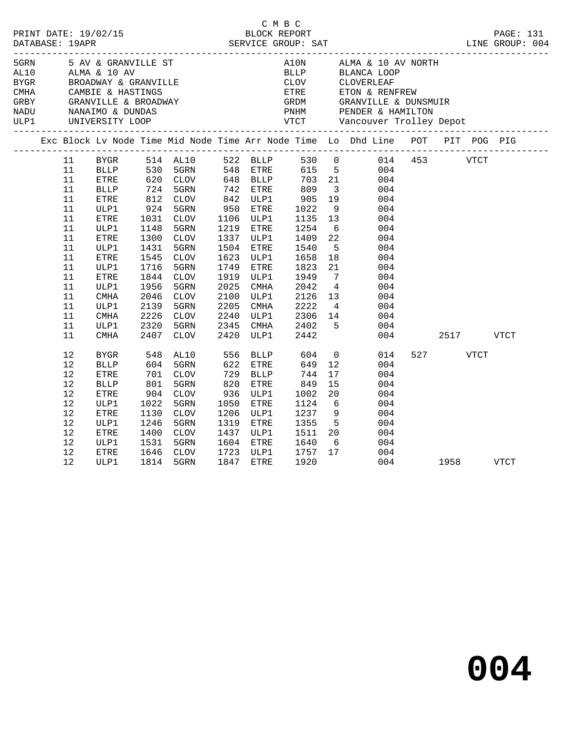|      |          |                     |            |                                                                              |            |             | C M B C              |                 |                                                                                                           |          |      |      |  |
|------|----------|---------------------|------------|------------------------------------------------------------------------------|------------|-------------|----------------------|-----------------|-----------------------------------------------------------------------------------------------------------|----------|------|------|--|
| 5GRN |          | 5 AV & GRANVILLE ST |            |                                                                              |            |             |                      |                 | A10N ALMA & 10 AV NORTH                                                                                   |          |      |      |  |
|      |          |                     |            | AL10 ALMA & 10 AV<br>BYGR BROADWAY & GRANVILLE                               |            |             |                      |                 |                                                                                                           |          |      |      |  |
|      |          |                     |            |                                                                              |            |             |                      |                 |                                                                                                           |          |      |      |  |
|      |          |                     |            |                                                                              |            |             |                      |                 |                                                                                                           |          |      |      |  |
|      |          |                     |            | CMHA CAMBIE & HASTINGS<br>GRBY GRANVILLE & BROADWAY<br>NADU NANAIMO & DUNDAS |            |             |                      |                 |                                                                                                           |          |      |      |  |
| ULP1 |          | UNIVERSITY LOOP     |            |                                                                              |            |             |                      |                 |                                                                                                           |          |      |      |  |
|      |          |                     |            |                                                                              |            |             |                      |                 | Exc Block Lv Node Time Mid Node Time Arr Node Time Lo Dhd Line POT PIT POG PIG                            |          |      |      |  |
|      |          |                     |            |                                                                              |            |             |                      |                 |                                                                                                           |          |      |      |  |
|      | 11       |                     |            |                                                                              |            |             |                      |                 | BYGR 514 AL10 522 BLLP 530 0 014 453 VTCT                                                                 |          |      |      |  |
|      | 11       |                     |            |                                                                              |            |             |                      |                 |                                                                                                           |          |      |      |  |
|      | 11       |                     |            |                                                                              |            |             |                      |                 | BLLP 530 5GRN 548 ETRE 615 5 004<br>ETRE 620 CLOV 648 BLLP 703 21 004<br>BLLP 724 5GRN 742 ETRE 809 3 004 |          |      |      |  |
|      | 11<br>11 | ETRE                |            | 724 5GRN<br>812 CLOV<br>924 5GRN                                             |            | 842 ULP1    |                      | 19              | 004                                                                                                       |          |      |      |  |
|      | 11       | ULP1                |            |                                                                              |            | 950 ETRE    | 905<br>1022          |                 | 9<br>004                                                                                                  |          |      |      |  |
|      | 11       | ETRE                | 1031       | CLOV                                                                         |            | 1106 ULP1   | 1135                 | 13              | 004                                                                                                       |          |      |      |  |
|      | 11       | ULP1                | 1148       | 5GRN                                                                         |            | 1219 ETRE   | 1254                 | 6               | 004                                                                                                       |          |      |      |  |
|      | 11       | ETRE                | 1300       | CLOV                                                                         | 1337       | ULP1        | 1409                 | 22              | 004                                                                                                       |          |      |      |  |
|      | 11       | ULP1                | 1431       | 5GRN                                                                         | 1504       | ETRE        | 1540                 | $5^{\circ}$     | 004                                                                                                       |          |      |      |  |
|      | 11       | ETRE                | 1545       | <b>CLOV</b>                                                                  | 1623       | ULP1        | 1658                 | 18              | 004                                                                                                       |          |      |      |  |
|      | 11       | ULP1                | 1716       | 5GRN                                                                         | 1749       | ETRE        | 1823                 | 21              | 004                                                                                                       |          |      |      |  |
|      | 11       | ETRE                | 1844       | CLOV                                                                         | 1919       | ULP1        |                      | $\overline{7}$  | 004                                                                                                       |          |      |      |  |
|      | 11       | ULP1                | 1956       | 5GRN                                                                         | 2025       | CMHA        | 1949<br>2042<br>2042 | $\overline{4}$  | 004                                                                                                       |          |      |      |  |
|      | 11       | <b>CMHA</b>         | 2046       | <b>CLOV</b>                                                                  | 2100       | ULP1        | 2126                 | 13              | 004                                                                                                       |          |      |      |  |
|      | 11       | ULP1                | 2139       | 5GRN                                                                         | 2205       | CMHA        | 2222                 | $4\overline{4}$ | 004                                                                                                       |          |      |      |  |
|      | 11       | CMHA                | 2226       | CLOV                                                                         | 2240       | ULP1        | 2306                 |                 | 14<br>004                                                                                                 |          |      |      |  |
|      | 11       | ULP1                | 2320       | 5GRN                                                                         | 2345       | CMHA        | 2402                 | 5 <sub>5</sub>  | 004                                                                                                       |          |      |      |  |
|      | 11       | <b>CMHA</b>         | 2407       | CLOV                                                                         | 2420       | ULP1        | 2442                 |                 | 004                                                                                                       |          | 2517 | VTCT |  |
|      | 12       | <b>BYGR</b>         |            | AL10                                                                         | 556<br>622 | BLLP        |                      | $\overline{0}$  | 014                                                                                                       | 527 VTCT |      |      |  |
|      | 12       | <b>BLLP</b>         | 548<br>604 | 5GRN                                                                         |            | 622 ETRE    | 604<br>649           | 12              | 004                                                                                                       |          |      |      |  |
|      | 12       | ETRE                | 701<br>801 | CLOV                                                                         | 729        | <b>BLLP</b> | 744                  | 17              | 004                                                                                                       |          |      |      |  |
|      | 12       | <b>BLLP</b>         |            | 5GRN                                                                         | 820        | ETRE        | 849                  | 15              | 004                                                                                                       |          |      |      |  |
|      | 12       | ETRE                | 904        | CLOV                                                                         | 936        | ULP1        | 1002                 | 20              | 004                                                                                                       |          |      |      |  |
|      | 12       | ULP1                | 1022       | 5GRN                                                                         | 1050       | ETRE        | 1124                 | 6               | 004                                                                                                       |          |      |      |  |
|      | 12       | ETRE                | 1130       | CLOV                                                                         | 1206       | ULP1        | 1237                 | 9               | 004                                                                                                       |          |      |      |  |
|      | 12       | ULP1                | 1246       | 5GRN                                                                         | 1319       | ETRE        | 1355                 | $5^{\circ}$     | 004                                                                                                       |          |      |      |  |
|      | 12       | ETRE                | 1400       | CLOV                                                                         | 1437       | ULP1        | 1511                 | 20              | 004                                                                                                       |          |      |      |  |
|      | 12       | ULP1                | 1531       | 5GRN                                                                         | 1604       | ETRE        | 1640                 | $6\overline{6}$ | 004                                                                                                       |          |      |      |  |
|      | 12       | ETRE                | 1646       | CLOV                                                                         |            | 1723 ULP1   | 1757                 | 17              | 004                                                                                                       |          |      |      |  |
|      | 12       | ULP1                | 1814       | 5GRN                                                                         |            | 1847 ETRE   | 1920                 |                 | 004                                                                                                       | 1958     |      | VTCT |  |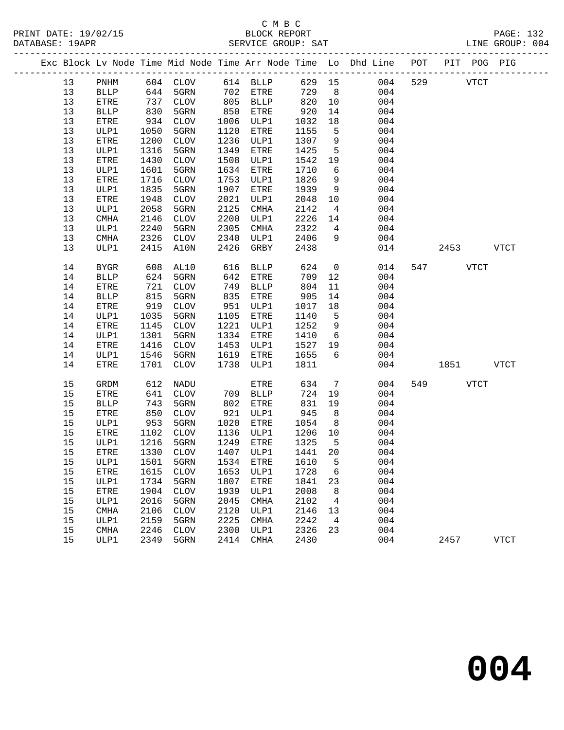|    |                              |      |             |      |                  |        |                 | Exc Block Lv Node Time Mid Node Time Arr Node Time Lo Dhd Line POT |     | PIT POG PIG |             |              |
|----|------------------------------|------|-------------|------|------------------|--------|-----------------|--------------------------------------------------------------------|-----|-------------|-------------|--------------|
| 13 | $\mathop{\rm PNHM}\nolimits$ |      | 604 CLOV    |      | 614 BLLP         | 629 15 |                 | 004                                                                | 529 |             | <b>VTCT</b> |              |
| 13 | <b>BLLP</b>                  | 644  | 5GRN        | 702  | ETRE             | 729    | 8               | 004                                                                |     |             |             |              |
| 13 | ${\tt ETRE}$                 | 737  | CLOV        | 805  | <b>BLLP</b>      | 820    | 10              | 004                                                                |     |             |             |              |
| 13 | <b>BLLP</b>                  | 830  | 5GRN        | 850  | ETRE             | 920    | 14              | 004                                                                |     |             |             |              |
| 13 | ETRE                         | 934  | CLOV        | 1006 | ULP1             | 1032   | 18              | 004                                                                |     |             |             |              |
| 13 | ULP1                         | 1050 | 5GRN        | 1120 | ETRE             | 1155   | 5               | 004                                                                |     |             |             |              |
| 13 | ETRE                         | 1200 | CLOV        | 1236 | ULP1             | 1307   | 9               | 004                                                                |     |             |             |              |
| 13 | ULP1                         | 1316 | 5GRN        | 1349 | ETRE             | 1425   | 5               | 004                                                                |     |             |             |              |
| 13 | ETRE                         | 1430 | CLOV        | 1508 | ULP1             | 1542   | 19              | 004                                                                |     |             |             |              |
| 13 | ULP1                         | 1601 | 5GRN        | 1634 | ${\tt ETRE}$     | 1710   | 6               | 004                                                                |     |             |             |              |
| 13 | <b>ETRE</b>                  | 1716 | <b>CLOV</b> | 1753 | ULP1             | 1826   | 9               | 004                                                                |     |             |             |              |
| 13 | ULP1                         | 1835 | 5GRN        | 1907 | ETRE             | 1939   | 9               | 004                                                                |     |             |             |              |
| 13 | ETRE                         | 1948 | CLOV        | 2021 | ULP1             | 2048   | 10              | 004                                                                |     |             |             |              |
| 13 | ULP1                         | 2058 | 5GRN        | 2125 | CMHA             | 2142   | 4               | 004                                                                |     |             |             |              |
| 13 | <b>CMHA</b>                  | 2146 | CLOV        | 2200 | ULP1             | 2226   | 14              | 004                                                                |     |             |             |              |
| 13 | ULP1                         | 2240 | 5GRN        | 2305 | CMHA             | 2322   | $4\overline{ }$ | 004                                                                |     |             |             |              |
| 13 | CMHA                         | 2326 | CLOV        | 2340 | ULP1             | 2406   | 9               | 004                                                                |     |             |             |              |
| 13 | ULP1                         | 2415 | A10N        | 2426 | GRBY             | 2438   |                 | 014                                                                |     | 2453        |             | ${\tt VTCT}$ |
| 14 | BYGR                         | 608  | AL10        | 616  | BLLP             | 624    | $\mathsf{O}$    | 014                                                                | 547 |             | <b>VTCT</b> |              |
| 14 | <b>BLLP</b>                  | 624  | 5GRN        | 642  | <b>ETRE</b>      | 709    | 12              | 004                                                                |     |             |             |              |
| 14 | ETRE                         | 721  | CLOV        | 749  | <b>BLLP</b>      | 804    | 11              | 004                                                                |     |             |             |              |
| 14 | <b>BLLP</b>                  | 815  | 5GRN        | 835  | ETRE             | 905    | 14              | 004                                                                |     |             |             |              |
| 14 | ETRE                         | 919  | CLOV        | 951  | ULP1             | 1017   | 18              | 004                                                                |     |             |             |              |
| 14 | ULP1                         | 1035 | 5GRN        | 1105 | ETRE             | 1140   | $5^{\circ}$     | 004                                                                |     |             |             |              |
| 14 | ETRE                         | 1145 | CLOV        | 1221 | ULP1             | 1252   | 9               | 004                                                                |     |             |             |              |
| 14 | ULP1                         | 1301 | 5GRN        | 1334 | ETRE             | 1410   | $6\overline{6}$ | 004                                                                |     |             |             |              |
| 14 | ETRE                         | 1416 | CLOV        | 1453 | ULP1             | 1527   | 19              | 004                                                                |     |             |             |              |
| 14 | ULP1                         | 1546 | 5GRN        | 1619 | ETRE             | 1655   | 6               | 004                                                                |     |             |             |              |
| 14 | ETRE                         | 1701 | CLOV        | 1738 | ULP1             | 1811   |                 | 004                                                                |     | 1851        |             | VTCT         |
| 15 | GRDM                         | 612  | NADU        |      | ETRE             | 634    | $7\phantom{.0}$ | 004                                                                | 549 |             | <b>VTCT</b> |              |
| 15 | <b>ETRE</b>                  | 641  | CLOV        | 709  | <b>BLLP</b>      | 724    | 19              | 004                                                                |     |             |             |              |
| 15 | <b>BLLP</b>                  | 743  | 5GRN        | 802  | ETRE             | 831    | 19              | 004                                                                |     |             |             |              |
| 15 | ETRE                         | 850  | <b>CLOV</b> | 921  | ULP1             | 945    | 8               | 004                                                                |     |             |             |              |
| 15 | ULP1                         | 953  | 5GRN        | 1020 | ETRE             | 1054   | 8 <sup>8</sup>  | 004                                                                |     |             |             |              |
| 15 | ${\tt ETRE}$                 | 1102 | CLOV        | 1136 | ULP1             | 1206   | 10              | 004                                                                |     |             |             |              |
| 15 | ULP1                         | 1216 | 5GRN        | 1249 | ETRE             | 1325   | $5^{\circ}$     | 004                                                                |     |             |             |              |
| 15 | <b>ETRE</b>                  | 1330 | CLOV        | 1407 | ULP1             | 1441   | 20              | 004                                                                |     |             |             |              |
| 15 | ULP1                         |      | 1501 5GRN   |      | 1534 ETRE 1610 5 |        |                 | 004                                                                |     |             |             |              |
| 15 | ETRE                         | 1615 | <b>CLOV</b> | 1653 | ULP1             | 1728   | 6               | 004                                                                |     |             |             |              |
| 15 | ULP1                         | 1734 | 5GRN        | 1807 | <b>ETRE</b>      | 1841   | 23              | 004                                                                |     |             |             |              |
| 15 | ETRE                         | 1904 | <b>CLOV</b> | 1939 | ULP1             | 2008   | 8               | 004                                                                |     |             |             |              |
| 15 | ULP1                         | 2016 | 5GRN        | 2045 | <b>CMHA</b>      | 2102   | 4               | 004                                                                |     |             |             |              |
| 15 | CMHA                         | 2106 | $\rm CLOV$  | 2120 | ULP1             | 2146   | 13              | 004                                                                |     |             |             |              |
| 15 | ULP1                         | 2159 | 5GRN        | 2225 | <b>CMHA</b>      | 2242   | 4               | 004                                                                |     |             |             |              |
| 15 | CMHA                         | 2246 | <b>CLOV</b> | 2300 | ULP1             | 2326   | 23              | 004                                                                |     |             |             |              |
| 15 | ULP1                         | 2349 | 5GRN        | 2414 | <b>CMHA</b>      | 2430   |                 | 004                                                                |     | 2457        |             | <b>VTCT</b>  |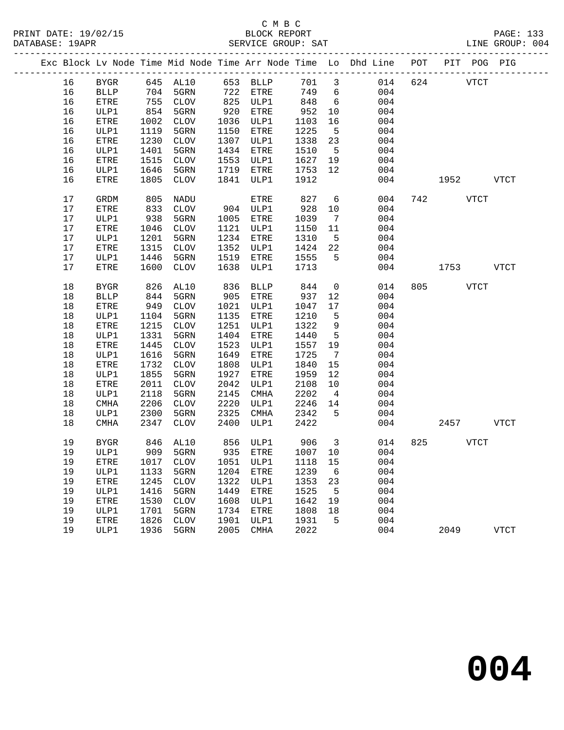### C M B C<br>BLOCK REPORT DATABASE: 19APR SERVICE GROUP: SAT LINE GROUP: 004

|  |    |              |      |                 |      |             |         |                 | Exc Block Lv Node Time Mid Node Time Arr Node Time Lo Dhd Line POT |     |      | PIT POG PIG |              |
|--|----|--------------|------|-----------------|------|-------------|---------|-----------------|--------------------------------------------------------------------|-----|------|-------------|--------------|
|  | 16 | <b>BYGR</b>  | 645  | AL10            | 653  | <b>BLLP</b> | 701     | $\mathbf{3}$    | 014                                                                | 624 |      | <b>VTCT</b> |              |
|  | 16 | <b>BLLP</b>  | 704  | 5GRN            | 722  | ETRE        | 749     | 6               | 004                                                                |     |      |             |              |
|  | 16 | ${\tt ETRE}$ | 755  | $\mathtt{CLOV}$ | 825  | ULP1        | 848     | 6               | 004                                                                |     |      |             |              |
|  | 16 | ULP1         | 854  | 5GRN            | 920  | ETRE        | 952     | 10              | 004                                                                |     |      |             |              |
|  | 16 | ETRE         | 1002 | CLOV            | 1036 | ULP1        | 1103    | 16              | 004                                                                |     |      |             |              |
|  | 16 | ULP1         | 1119 | 5GRN            | 1150 | ETRE        | 1225    | 5               | 004                                                                |     |      |             |              |
|  | 16 | ETRE         | 1230 | CLOV            | 1307 | ULP1        | 1338    | 23              | 004                                                                |     |      |             |              |
|  | 16 | ULP1         | 1401 | 5GRN            | 1434 | ETRE        | 1510    | 5               | 004                                                                |     |      |             |              |
|  | 16 | ETRE         | 1515 | $\mathtt{CLOV}$ | 1553 | ULP1        | 1627    | 19              | 004                                                                |     |      |             |              |
|  | 16 | ULP1         | 1646 | 5GRN            | 1719 | ETRE        | 1753    | 12              | 004                                                                |     |      |             |              |
|  | 16 | ETRE         | 1805 | CLOV            | 1841 | ULP1        | 1912    |                 | 004                                                                |     | 1952 |             | <b>VTCT</b>  |
|  | 17 | GRDM         | 805  | NADU            |      | ETRE        | 827     | 6               | 004                                                                | 742 |      | <b>VTCT</b> |              |
|  | 17 | ETRE         | 833  | CLOV            |      | 904 ULP1    | 928     | 10              | 004                                                                |     |      |             |              |
|  | 17 | ULP1         | 938  | 5GRN            | 1005 | ETRE        | 1039    | 7               | 004                                                                |     |      |             |              |
|  | 17 | ${\tt ETRE}$ | 1046 | $\mathtt{CLOV}$ | 1121 | ULP1        | 1150    | 11              | 004                                                                |     |      |             |              |
|  | 17 | ULP1         | 1201 | 5GRN            | 1234 | ETRE        | 1310    | 5               | 004                                                                |     |      |             |              |
|  | 17 | ETRE         | 1315 | $\mathtt{CLOV}$ | 1352 | ULP1        | 1424    | 22              | 004                                                                |     |      |             |              |
|  | 17 | ULP1         | 1446 | 5GRN            | 1519 | ETRE        | 1555    | 5               | 004                                                                |     |      |             |              |
|  | 17 | ETRE         | 1600 | CLOV            | 1638 | ULP1        | 1713    |                 | 004                                                                |     | 1753 |             | <b>VTCT</b>  |
|  | 18 | <b>BYGR</b>  | 826  | AL10            | 836  | <b>BLLP</b> | 844     | $\mathsf{O}$    | 014                                                                | 805 |      | <b>VTCT</b> |              |
|  | 18 | <b>BLLP</b>  | 844  | 5GRN            | 905  | ETRE        | 937     | 12              | 004                                                                |     |      |             |              |
|  | 18 | ETRE         | 949  | $\mathtt{CLOV}$ | 1021 | ULP1        | 1047    | 17              | 004                                                                |     |      |             |              |
|  | 18 | ULP1         | 1104 | 5GRN            | 1135 | ETRE        | 1210    | $\overline{5}$  | 004                                                                |     |      |             |              |
|  | 18 | <b>ETRE</b>  | 1215 | $\mathtt{CLOV}$ | 1251 | ULP1        | 1322    | $\,9$           | 004                                                                |     |      |             |              |
|  | 18 | ULP1         | 1331 | 5GRN            | 1404 | ETRE        | 1440    | $5\phantom{.0}$ | 004                                                                |     |      |             |              |
|  | 18 | ETRE         | 1445 | $\mathtt{CLOV}$ | 1523 | ULP1        | 1557    | 19              | 004                                                                |     |      |             |              |
|  | 18 | ULP1         | 1616 | 5GRN            | 1649 | ETRE        | 1725    | $\overline{7}$  | 004                                                                |     |      |             |              |
|  | 18 | ETRE         | 1732 | $\mathtt{CLOV}$ | 1808 | ULP1        | 1840    | 15              | 004                                                                |     |      |             |              |
|  | 18 | ULP1         | 1855 | 5GRN            | 1927 | ETRE        | 1959    | 12              | 004                                                                |     |      |             |              |
|  | 18 | ETRE         | 2011 | $\mathtt{CLOV}$ | 2042 | ULP1        | 2108    | 10              | 004                                                                |     |      |             |              |
|  | 18 | ULP1         | 2118 | 5GRN            | 2145 | CMHA        | 2202    | $\overline{4}$  | 004                                                                |     |      |             |              |
|  | 18 | CMHA         | 2206 | $\mathtt{CLOV}$ | 2220 | ULP1        | 2246    | 14              | 004                                                                |     |      |             |              |
|  | 18 | ULP1         | 2300 | 5GRN            | 2325 | CMHA        | 2342    | 5               | 004                                                                |     |      |             |              |
|  | 18 | CMHA         | 2347 | CLOV            | 2400 | ULP1        | 2422    |                 | 004                                                                |     | 2457 |             | <b>VTCT</b>  |
|  | 19 | <b>BYGR</b>  | 846  | AL10            | 856  | ULP1        | 906     | 3               | 014                                                                | 825 |      | <b>VTCT</b> |              |
|  | 19 | ULP1         |      | 909 5GRN        | 935  | ETRE        | 1007 10 |                 | 004                                                                |     |      |             |              |
|  | 19 | ETRE         | 1017 | <b>CLOV</b>     | 1051 | ULP1        | 1118    | 15              | 004                                                                |     |      |             |              |
|  | 19 | ULP1         | 1133 | 5GRN            | 1204 | <b>ETRE</b> | 1239    | 6               | 004                                                                |     |      |             |              |
|  | 19 | ETRE         | 1245 | <b>CLOV</b>     | 1322 | ULP1        | 1353    | 23              | 004                                                                |     |      |             |              |
|  | 19 | ULP1         | 1416 | 5GRN            | 1449 | <b>ETRE</b> | 1525    | 5               | 004                                                                |     |      |             |              |
|  | 19 | ETRE         | 1530 | <b>CLOV</b>     | 1608 | ULP1        | 1642    | 19              | 004                                                                |     |      |             |              |
|  | 19 | ULP1         | 1701 | 5GRN            | 1734 | <b>ETRE</b> | 1808    | 18              | 004                                                                |     |      |             |              |
|  | 19 | ETRE         | 1826 | ${\tt CLOV}$    | 1901 | ULP1        | 1931    | 5               | 004                                                                |     |      |             |              |
|  | 19 | ULP1         | 1936 | 5GRN            | 2005 | CMHA        | 2022    |                 | 004                                                                |     | 2049 |             | ${\tt VTCT}$ |
|  |    |              |      |                 |      |             |         |                 |                                                                    |     |      |             |              |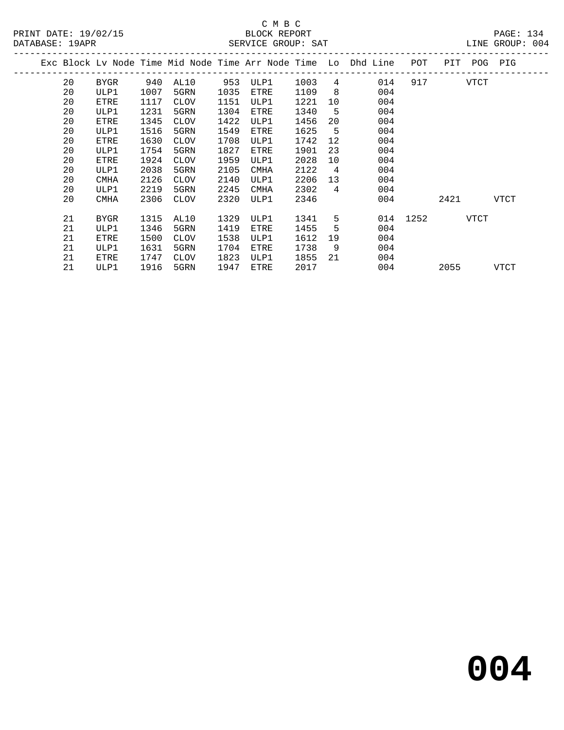### C M B C<br>BLOCK REPORT DATABASE: 19APR SERVICE GROUP: SAT LINE GROUP: 004

|    |             |      |             |      |             |      |                | Exc Block Lv Node Time Mid Node Time Arr Node Time Lo Dhd Line | POT  | PIT  | POG  | PIG  |
|----|-------------|------|-------------|------|-------------|------|----------------|----------------------------------------------------------------|------|------|------|------|
| 20 | BYGR        | 940  | AL10        | 953  | ULP1        | 1003 | 4              | 014                                                            | 917  |      | VTCT |      |
| 20 | ULP1        | 1007 | 5GRN        | 1035 | ETRE        | 1109 | 8              | 004                                                            |      |      |      |      |
| 20 | ETRE        | 1117 | <b>CLOV</b> | 1151 | ULP1        | 1221 | 10             | 004                                                            |      |      |      |      |
| 20 | ULP1        | 1231 | 5GRN        | 1304 | ETRE        | 1340 | 5              | 004                                                            |      |      |      |      |
| 20 | ETRE        | 1345 | <b>CLOV</b> | 1422 | ULP1        | 1456 | 20             | 004                                                            |      |      |      |      |
| 20 | ULP1        | 1516 | 5GRN        | 1549 | ETRE        | 1625 | 5              | 004                                                            |      |      |      |      |
| 20 | ETRE        | 1630 | <b>CLOV</b> | 1708 | ULP1        | 1742 | 12             | 004                                                            |      |      |      |      |
| 20 | ULP1        | 1754 | 5GRN        | 1827 | ETRE        | 1901 | 23             | 004                                                            |      |      |      |      |
| 20 | ETRE        | 1924 | <b>CLOV</b> | 1959 | ULP1        | 2028 | 10             | 004                                                            |      |      |      |      |
| 20 | ULP1        | 2038 | 5GRN        | 2105 | <b>CMHA</b> | 2122 | $\overline{4}$ | 004                                                            |      |      |      |      |
| 20 | <b>CMHA</b> | 2126 | <b>CLOV</b> | 2140 | ULP1        | 2206 | 13             | 004                                                            |      |      |      |      |
| 20 | ULP1        | 2219 | 5GRN        | 2245 | <b>CMHA</b> | 2302 | 4              | 004                                                            |      |      |      |      |
| 20 | <b>CMHA</b> | 2306 | <b>CLOV</b> | 2320 | ULP1        | 2346 |                | 004                                                            |      | 2421 |      | VTCT |
| 21 | BYGR        | 1315 | AL10        | 1329 | ULP1        | 1341 | 5              | 014                                                            | 1252 |      | VTCT |      |
| 21 | ULP1        | 1346 | 5GRN        | 1419 | ETRE        | 1455 | 5              | 004                                                            |      |      |      |      |
| 21 | ETRE        | 1500 | <b>CLOV</b> | 1538 | ULP1        | 1612 | 19             | 004                                                            |      |      |      |      |
| 21 | ULP1        | 1631 | 5GRN        | 1704 | ETRE        | 1738 | 9              | 004                                                            |      |      |      |      |
| 21 | ETRE        | 1747 | <b>CLOV</b> | 1823 | ULP1        | 1855 | 21             | 004                                                            |      |      |      |      |
| 21 | ULP1        | 1916 | 5GRN        | 1947 | ETRE        | 2017 |                | 004                                                            |      | 2055 |      | VTCT |
|    |             |      |             |      |             |      |                |                                                                |      |      |      |      |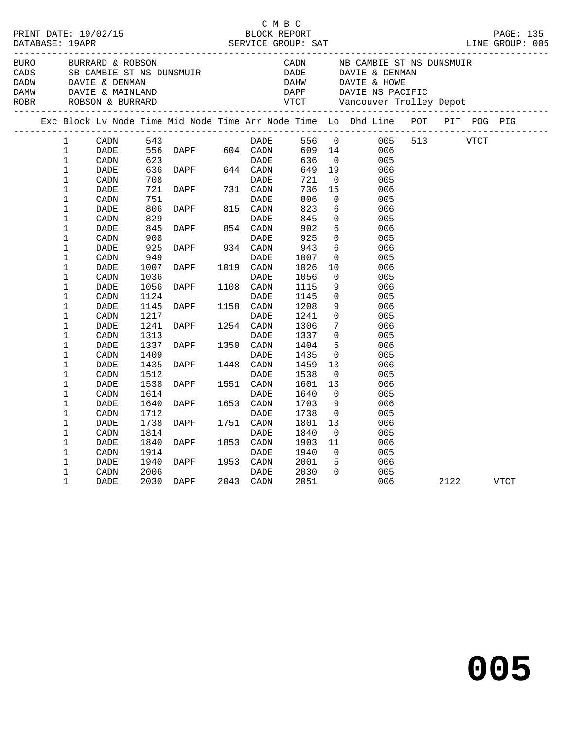| BURO BURRARD & ROBSON<br>DAMW DAVIE & MAINLAND<br>ROBR ROBSON & BURRARD |                  |      |                | CADS          SB CAMBIE ST NS DUNSMUIR<br>DADW         DAVIE & DENMAN                   |           |             |             |        |                         | DADE DAVIE & DENMAN<br>DAHW DAVIE & HOWE |         | CADN NB CAMBIE ST NS DUNSMUIR |      |      |  |
|-------------------------------------------------------------------------|------------------|------|----------------|-----------------------------------------------------------------------------------------|-----------|-------------|-------------|--------|-------------------------|------------------------------------------|---------|-------------------------------|------|------|--|
|                                                                         |                  |      |                | Exc Block Lv Node Time Mid Node Time Arr Node Time Lo Dhd Line POT PIT POG PIG          |           |             |             |        |                         |                                          |         |                               |      |      |  |
|                                                                         | $\mathbf{1}$     | CADN |                |                                                                                         |           |             |             |        |                         |                                          |         |                               |      |      |  |
|                                                                         | $\mathbf{1}$     | DADE |                |                                                                                         |           |             |             |        |                         |                                          |         |                               |      |      |  |
|                                                                         | $\mathbf{1}$     | CADN | $623$<br>$636$ | 523 DADE<br>523 DADE<br>536 DAPF 544 CADN<br>708 DADE<br>721 DAPF 731 CADN<br>751 CADNE |           |             | <b>DADE</b> | 636    | $\overline{0}$          | 005                                      |         |                               |      |      |  |
|                                                                         | $\mathbf 1$      | DADE |                |                                                                                         |           |             |             |        | 649 19                  | 006                                      |         |                               |      |      |  |
|                                                                         | 1                | CADN |                |                                                                                         |           |             |             | 721    | $\overline{\mathbf{0}}$ | 005                                      |         |                               |      |      |  |
|                                                                         | $\mathbf{1}$     | DADE |                |                                                                                         |           |             |             | 736 15 |                         | 006                                      |         |                               |      |      |  |
|                                                                         | $\mathbf 1$      | CADN | 751            |                                                                                         |           | DADE        |             | 806    | $\overline{0}$          | 005                                      |         |                               |      |      |  |
|                                                                         | 1                | DADE | 806            | DAPF 815 CADN                                                                           |           |             |             | 823    | 6                       | 006                                      |         |                               |      |      |  |
|                                                                         | $\mathbf{1}$     | CADN | 829            |                                                                                         |           | DADE        |             | 845    | $\overline{0}$          | 005                                      |         |                               |      |      |  |
|                                                                         | $\mathbf 1$      | DADE | 845            | DAPF 854 CADN                                                                           |           |             |             | 902    | $6\overline{6}$         | 006                                      |         |                               |      |      |  |
|                                                                         | 1                | CADN | 908            |                                                                                         |           | DADE        |             | 925    | $\overline{0}$          | 005                                      |         |                               |      |      |  |
|                                                                         | $\mathbf 1$      | DADE | 925            | DAPF 934 CADN                                                                           |           |             |             | 943    | 6                       | 006                                      |         |                               |      |      |  |
|                                                                         | 1                | CADN | 949            |                                                                                         |           | DADE        |             | 1007   | $\overline{0}$          | 005                                      |         |                               |      |      |  |
|                                                                         | 1                | DADE | 1007           | <b>DAPF</b>                                                                             |           | 1019 CADN   |             | 1026   | 10                      | 006                                      |         |                               |      |      |  |
|                                                                         | $\mathbf 1$      | CADN | 1036           |                                                                                         |           | DADE        |             | 1056   | $\mathbf{0}$            | 005                                      |         |                               |      |      |  |
|                                                                         | $\mathbf 1$      | DADE | 1056           | DAPF                                                                                    | 1108 CADN |             |             | 1115   | 9                       | 006                                      |         |                               |      |      |  |
|                                                                         | 1                | CADN | 1124           |                                                                                         |           | DADE        |             | 1145   | $\mathbf 0$             | 005                                      |         |                               |      |      |  |
|                                                                         | 1                | DADE | 1145           | DAPF                                                                                    |           | 1158 CADN   |             | 1208   | 9                       | 006                                      |         |                               |      |      |  |
|                                                                         | $\mathbf 1$      | CADN | 1217           |                                                                                         |           | <b>DADE</b> |             | 1241   | $\overline{0}$          | 005                                      |         |                               |      |      |  |
|                                                                         | $\mathbf 1$      | DADE | 1241           | <b>DAPF</b>                                                                             | 1254 CADN |             |             | 1306   | $7\overline{ }$         | 006                                      |         |                               |      |      |  |
|                                                                         | $\mathbf{1}$     | CADN | 1313           |                                                                                         |           | DADE        |             | 1337   | $\overline{0}$          | 005                                      |         |                               |      |      |  |
|                                                                         | $\mathbf 1$      | DADE | 1337           | <b>DAPF</b>                                                                             |           | 1350 CADN   |             | 1404   | 5                       | 006                                      |         |                               |      |      |  |
|                                                                         | 1                | CADN | 1409           |                                                                                         |           | DADE        |             | 1435   | $\overline{0}$          | 005                                      |         |                               |      |      |  |
|                                                                         | 1                | DADE | 1435           | <b>DAPF</b>                                                                             |           | 1448 CADN   |             | 1459   | 13                      | 006                                      |         |                               |      |      |  |
|                                                                         | 1                | CADN | 1512           |                                                                                         |           | DADE        |             | 1538   | $\overline{0}$          | 005                                      |         |                               |      |      |  |
|                                                                         | $\mathbf 1$      | DADE | 1538           | DAPF 1551 CADN                                                                          |           |             |             | 1601   | 13                      | 006                                      |         |                               |      |      |  |
|                                                                         | 1                | CADN | 1614           |                                                                                         |           | DADE        |             | 1640   | $\mathbf 0$             | 005                                      |         |                               |      |      |  |
|                                                                         | $\mathbf 1$      | DADE | 1640           | DAPF                                                                                    |           | 1653 CADN   |             | 1703   | 9                       | 006                                      |         |                               |      |      |  |
|                                                                         | 1                |      | 1712           |                                                                                         |           | DADE        |             | 1738   | $\overline{0}$          | 005                                      |         |                               |      |      |  |
|                                                                         |                  | CADN | 1738           | <b>DAPF</b>                                                                             |           | 1751 CADN   |             | 1801   | 13                      | 006                                      |         |                               |      |      |  |
|                                                                         | 1<br>$\mathbf 1$ | DADE | 1814           |                                                                                         |           | DADE        |             | 1840   |                         | 005                                      |         |                               |      |      |  |
|                                                                         |                  | CADN |                |                                                                                         |           |             |             |        | $\overline{0}$          |                                          |         |                               |      |      |  |
|                                                                         | 1<br>$\mathbf 1$ | DADE | 1840           | <b>DAPF</b>                                                                             | 1853 CADN |             |             | 1903   | 11<br>$\overline{0}$    | 006                                      |         |                               |      |      |  |
|                                                                         |                  | CADN | 1914           |                                                                                         |           | DADE        |             | 1940   |                         | 005                                      |         |                               |      |      |  |
|                                                                         | $\mathbf 1$      | DADE | 1940           | DAPF 1953 CADN                                                                          |           |             |             | 2001   | 5 <sup>5</sup>          | 006                                      |         |                               |      |      |  |
|                                                                         | 1                | CADN | 2006           |                                                                                         |           | DADE        |             | 2030   | $\Omega$                | 005                                      |         |                               |      |      |  |
|                                                                         | $\mathbf 1$      | DADE |                | 2030 DAPF 2043 CADN                                                                     |           |             |             | 2051   |                         |                                          | 006 700 |                               | 2122 | VTCT |  |
|                                                                         |                  |      |                |                                                                                         |           |             |             |        |                         |                                          |         |                               |      |      |  |

C M B C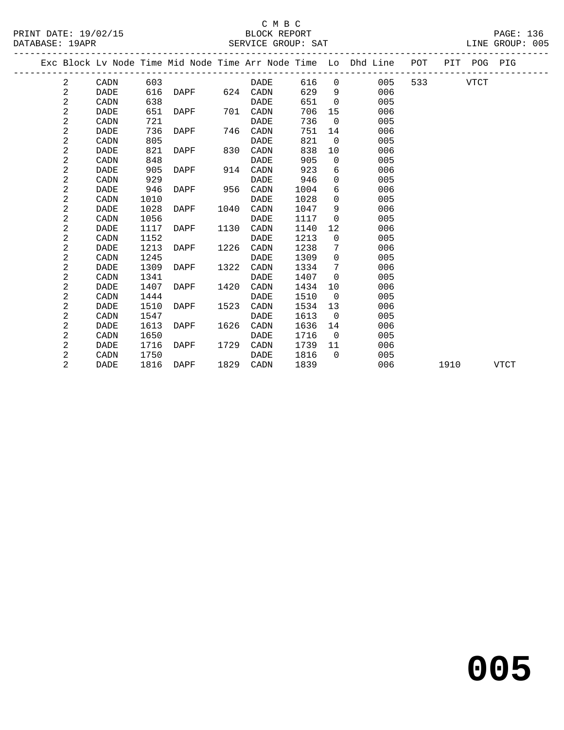## C M B C

|  | ___ |  |
|--|-----|--|
|  |     |  |

| DATABASE: 19APR |                |             |      |             |      | SERVICE GROUP: SAT |      |                |                                                                                |     |      |             | LINE GROUP: 005 |  |
|-----------------|----------------|-------------|------|-------------|------|--------------------|------|----------------|--------------------------------------------------------------------------------|-----|------|-------------|-----------------|--|
|                 |                |             |      |             |      |                    |      |                | Exc Block Lv Node Time Mid Node Time Arr Node Time Lo Dhd Line POT PIT POG PIG |     |      |             |                 |  |
|                 | 2              | CADN        | 603  |             |      | DADE               | 616  | $\Omega$       | 005                                                                            | 533 |      | <b>VTCT</b> |                 |  |
|                 | $\overline{c}$ | <b>DADE</b> | 616  | DAPF        |      | 624 CADN           | 629  | 9              | 006                                                                            |     |      |             |                 |  |
|                 | $\overline{c}$ | CADN        | 638  |             |      | <b>DADE</b>        | 651  | $\Omega$       | 005                                                                            |     |      |             |                 |  |
|                 | $\overline{a}$ | DADE        | 651  | DAPF        | 701  | CADN               | 706  | 15             | 006                                                                            |     |      |             |                 |  |
|                 | $\overline{c}$ | CADN        | 721  |             |      | DADE               | 736  | $\mathbf 0$    | 005                                                                            |     |      |             |                 |  |
|                 | 2              | <b>DADE</b> | 736  | DAPF        | 746  | CADN               | 751  | 14             | 006                                                                            |     |      |             |                 |  |
|                 | 2              | CADN        | 805  |             |      | DADE               | 821  | $\overline{0}$ | 005                                                                            |     |      |             |                 |  |
|                 | $\mathbf{2}$   | DADE        | 821  | DAPF        | 830  | CADN               | 838  | 10             | 006                                                                            |     |      |             |                 |  |
|                 | 2              | CADN        | 848  |             |      | <b>DADE</b>        | 905  | $\mathbf 0$    | 005                                                                            |     |      |             |                 |  |
|                 | 2              | <b>DADE</b> | 905  | DAPF        | 914  | CADN               | 923  | 6              | 006                                                                            |     |      |             |                 |  |
|                 | 2              | CADN        | 929  |             |      | <b>DADE</b>        | 946  | $\Omega$       | 005                                                                            |     |      |             |                 |  |
|                 | $\mathbf 2$    | <b>DADE</b> | 946  | DAPF        | 956  | CADN               | 1004 | 6              | 006                                                                            |     |      |             |                 |  |
|                 | $\overline{a}$ | CADN        | 1010 |             |      | <b>DADE</b>        | 1028 | $\mathbf 0$    | 005                                                                            |     |      |             |                 |  |
|                 | 2              | <b>DADE</b> | 1028 | DAPF        | 1040 | CADN               | 1047 | 9              | 006                                                                            |     |      |             |                 |  |
|                 | 2              | CADN        | 1056 |             |      | DADE               | 1117 | $\mathbf 0$    | 005                                                                            |     |      |             |                 |  |
|                 | 2              | <b>DADE</b> | 1117 | DAPF        | 1130 | CADN               | 1140 | 12             | 006                                                                            |     |      |             |                 |  |
|                 | 2              | CADN        | 1152 |             |      | <b>DADE</b>        | 1213 | $\Omega$       | 005                                                                            |     |      |             |                 |  |
|                 | 2              | DADE        | 1213 | DAPF        | 1226 | CADN               | 1238 | 7              | 006                                                                            |     |      |             |                 |  |
|                 | 2              | CADN        | 1245 |             |      | DADE               | 1309 | $\mathbf 0$    | 005                                                                            |     |      |             |                 |  |
|                 | 2              | DADE        | 1309 | DAPF        | 1322 | CADN               | 1334 | 7              | 006                                                                            |     |      |             |                 |  |
|                 | 2              | CADN        | 1341 |             |      | DADE               | 1407 | $\mathbf 0$    | 005                                                                            |     |      |             |                 |  |
|                 | 2              | <b>DADE</b> | 1407 | DAPF        | 1420 | CADN               | 1434 | 10             | 006                                                                            |     |      |             |                 |  |
|                 | $\mathbf 2$    | CADN        | 1444 |             |      | <b>DADE</b>        | 1510 | $\overline{0}$ | 005                                                                            |     |      |             |                 |  |
|                 | 2              | <b>DADE</b> | 1510 | <b>DAPF</b> | 1523 | CADN               | 1534 | 13             | 006                                                                            |     |      |             |                 |  |
|                 | 2              | CADN        | 1547 |             |      | DADE               | 1613 | $\Omega$       | 005                                                                            |     |      |             |                 |  |
|                 | $\overline{c}$ | <b>DADE</b> | 1613 | DAPF        | 1626 | CADN               | 1636 | 14             | 006                                                                            |     |      |             |                 |  |
|                 | 2              | CADN        | 1650 |             |      | DADE               | 1716 | $\overline{0}$ | 005                                                                            |     |      |             |                 |  |
|                 | 2              | <b>DADE</b> | 1716 | DAPF        | 1729 | CADN               | 1739 | 11             | 006                                                                            |     |      |             |                 |  |
|                 | 2              | CADN        | 1750 |             |      | <b>DADE</b>        | 1816 | $\Omega$       | 005                                                                            |     |      |             |                 |  |
|                 | 2              | DADE        | 1816 | DAPF        | 1829 | CADN               | 1839 |                | 006                                                                            |     | 1910 |             | <b>VTCT</b>     |  |
|                 |                |             |      |             |      |                    |      |                |                                                                                |     |      |             |                 |  |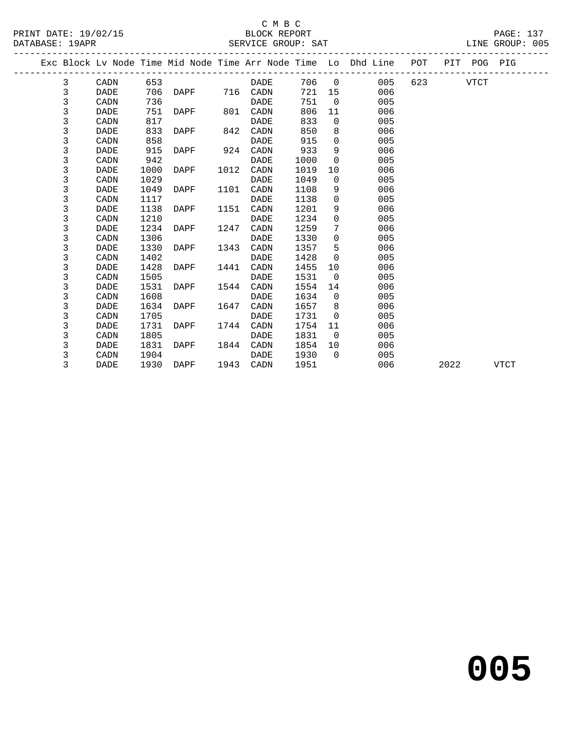# C M B C<br>BLOCK REPORT

|  | PAG. |
|--|------|
|  |      |
|  |      |

| DATABASE: 19APR | PRINT DATE: 19/02/15                                                           |      | SERVICE GROUP: SAT<br>_________________________ | BLOCK REPORT |      |                |                       |         |           | PAGE: 137<br>LINE GROUP: 005 |  |
|-----------------|--------------------------------------------------------------------------------|------|-------------------------------------------------|--------------|------|----------------|-----------------------|---------|-----------|------------------------------|--|
|                 | Exc Block Lv Node Time Mid Node Time Arr Node Time Lo Dhd Line POT PIT POG PIG |      |                                                 |              |      |                |                       |         |           |                              |  |
| 3               | CADN                                                                           | 653  |                                                 | DADE         |      |                | 706 0 005             |         | 623 VTCT  |                              |  |
| $\mathsf{3}$    | DADE                                                                           |      | 706 DAPF 716 CADN                               |              |      |                | 721 15<br>006         |         |           |                              |  |
| $\mathfrak{Z}$  | CADN                                                                           | 736  |                                                 | DADE         | 751  | $\overline{0}$ | 005                   |         |           |                              |  |
| 3               | DADE                                                                           |      | 751 DAPF 801 CADN                               |              | 806  | 11             | 006                   |         |           |                              |  |
| 3               | CADN                                                                           | 817  |                                                 | <b>DADE</b>  | 833  |                | $\overline{0}$<br>005 |         |           |                              |  |
| $\mathfrak{Z}$  | DADE                                                                           | 833  | DAPF 842 CADN                                   |              | 850  |                | 006                   |         |           |                              |  |
| $\mathfrak{Z}$  | CADN                                                                           | 858  |                                                 | DADE         | 915  | $\Omega$       | 005                   |         |           |                              |  |
| 3               | <b>DADE</b>                                                                    | 915  | DAPF                                            | 924 CADN     | 933  | 9              | 006                   |         |           |                              |  |
| 3               | CADN                                                                           | 942  |                                                 | <b>DADE</b>  | 1000 | $\overline{0}$ | 005                   |         |           |                              |  |
| 3               | <b>DADE</b>                                                                    | 1000 | DAPF 1012 CADN                                  |              | 1019 | 10             | 006                   |         |           |                              |  |
| 3               | CADN                                                                           | 1029 |                                                 | <b>DADE</b>  | 1049 | $\overline{0}$ | 005                   |         |           |                              |  |
| $\mathfrak{Z}$  | DADE                                                                           | 1049 | DAPF                                            | 1101 CADN    | 1108 | 9              | 006                   |         |           |                              |  |
| 3               | CADN                                                                           | 1117 |                                                 | DADE         | 1138 | $\Omega$       | 005                   |         |           |                              |  |
| 3               | <b>DADE</b>                                                                    | 1138 | DAPF 1151 CADN                                  |              | 1201 | 9              | 006                   |         |           |                              |  |
| 3               | CADN                                                                           | 1210 |                                                 | <b>DADE</b>  | 1234 | $\mathbf 0$    | 005                   |         |           |                              |  |
| 3               | DADE                                                                           |      | 1234 DAPF 1247 CADN                             |              | 1259 | 7              | 006                   |         |           |                              |  |
| 3               | CADN                                                                           | 1306 |                                                 | DADE         | 1330 | $\overline{0}$ | 005                   |         |           |                              |  |
| 3               | <b>DADE</b>                                                                    | 1330 | DAPF 1343 CADN                                  |              | 1357 | 5              | 006                   |         |           |                              |  |
| 3               | CADN                                                                           | 1402 |                                                 | <b>DADE</b>  | 1428 | $\overline{0}$ | 005                   |         |           |                              |  |
| 3               | <b>DADE</b>                                                                    | 1428 | DAPF 1441                                       | CADN         | 1455 | 10             | 006                   |         |           |                              |  |
| 3               | CADN                                                                           | 1505 |                                                 | DADE         | 1531 | $\overline{0}$ | 005                   |         |           |                              |  |
| 3               | <b>DADE</b>                                                                    | 1531 | DAPF 1544 CADN                                  |              | 1554 | 14             | 006                   |         |           |                              |  |
| $\mathfrak{Z}$  | CADN                                                                           | 1608 |                                                 | DADE         | 1634 | $\overline{0}$ | 005                   |         |           |                              |  |
| 3               | <b>DADE</b>                                                                    | 1634 | DAPF 1647 CADN                                  |              | 1657 | 8 <sup>8</sup> | 006                   |         |           |                              |  |
| 3               | CADN                                                                           | 1705 |                                                 | <b>DADE</b>  | 1731 | $\overline{0}$ | 005                   |         |           |                              |  |
| 3               | DADE                                                                           | 1731 | DAPF 1744 CADN                                  |              | 1754 | 11             | 006                   |         |           |                              |  |
| 3               | CADN                                                                           | 1805 |                                                 | DADE         | 1831 | $\overline{0}$ | 005                   |         |           |                              |  |
| 3               | DADE                                                                           | 1831 | DAPF                                            | 1844 CADN    | 1854 | 10             | 006                   |         |           |                              |  |
| 3               | CADN                                                                           | 1904 |                                                 | DADE         | 1930 |                | $\Omega$<br>005       |         |           |                              |  |
| 3               | DADE                                                                           |      | 1930 DAPF 1943 CADN                             |              | 1951 |                |                       | 006 100 | 2022 VTCT |                              |  |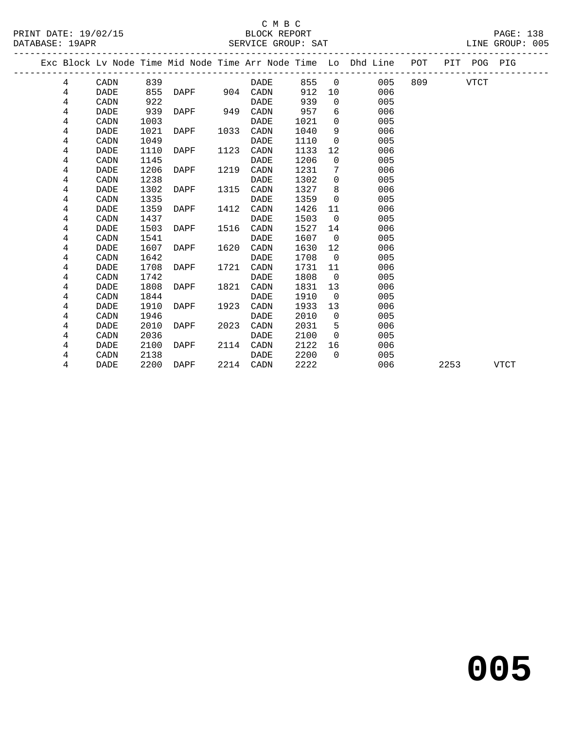# C M B C

| DATABASE: 19APR |      |      |      |      | SERVICE GROUP: SAT |      |                          |                                                                |     |     |         | LINE GROUP: 005 |  |
|-----------------|------|------|------|------|--------------------|------|--------------------------|----------------------------------------------------------------|-----|-----|---------|-----------------|--|
|                 |      |      |      |      |                    |      |                          | Exc Block Lv Node Time Mid Node Time Arr Node Time Lo Dhd Line | POT | PIT | POG PIG |                 |  |
| 4               | CADN | 839  |      |      | DADE               | 855  | $\overline{\phantom{0}}$ | 005                                                            | 809 |     | VTCT    |                 |  |
| 4               | DADE | 855  | DAPF | 904  | CADN               | 912  | 10                       | 006                                                            |     |     |         |                 |  |
| 4               | CADN | 922  |      |      | DADE               | 939  | $\Omega$                 | 005                                                            |     |     |         |                 |  |
| 4               | DADE | 939  | DAPF | 949  | CADN               | 957  | 6                        | 006                                                            |     |     |         |                 |  |
| 4               | CADN | 1003 |      |      | DADE               | 1021 | $\Omega$                 | 005                                                            |     |     |         |                 |  |
| 4               | DADE | 1021 | DAPF | 1033 | CADN               | 1040 | 9                        | 006                                                            |     |     |         |                 |  |
| 4               | CADN | 1049 |      |      | DADE               | 1110 | $\Omega$                 | 005                                                            |     |     |         |                 |  |
| 4               | DADE | 1110 | DAPF | 1123 | CADN               | 1133 | 12                       | 006                                                            |     |     |         |                 |  |
| 4               | CADN | 1145 |      |      | DADE               | 1206 | $\Omega$                 | 005                                                            |     |     |         |                 |  |
| 4               | DADE | 1206 | DAPF | 1219 | CADN               | 1231 | 7                        | 006                                                            |     |     |         |                 |  |
| 4               | CADN | 1238 |      |      | DADE               | 1302 | $\Omega$                 | 005                                                            |     |     |         |                 |  |
| 4               | DADE | 1302 | DAPF | 1315 | CADN               | 1327 | 8                        | 006                                                            |     |     |         |                 |  |
| 4               | CADN | 1335 |      |      | <b>DADE</b>        | 1359 | $\Omega$                 | 005                                                            |     |     |         |                 |  |

4 DADE 1359 DAPF 1412 CADN 1426 11 006

4 DADE 1503 DAPF 1516 CADN 1527 14 006

4 DADE 1607 DAPF 1620 CADN 1630 12 006

4 DADE 1708 DAPF 1721 CADN 1731 11 006

4 DADE 1808 DAPF 1821 CADN 1831 13 006

4 DADE 1910 DAPF 1923 CADN 1933 13 006

4 DADE 2010 DAPF 2023 CADN 2031 5 006

 4 DADE 2100 DAPF 2114 CADN 2122 16 006 4 CADN 2138 DADE 2200 0 005

4 CADN 1437 DADE 1503 0 005

4 CADN 1541 DADE 1607 0 005

4 CADN 1642 DADE 1708 0 005

4 CADN 1742 DADE 1808 0 005

4 CADN 1844 DADE 1910 0 005

4 CADN 1946 DADE 2010 0 005

4 CADN 2036 DADE 2100 0 005

4 DADE 2200 DAPF 2214 CADN 2222 006 2253 VTCT

**005**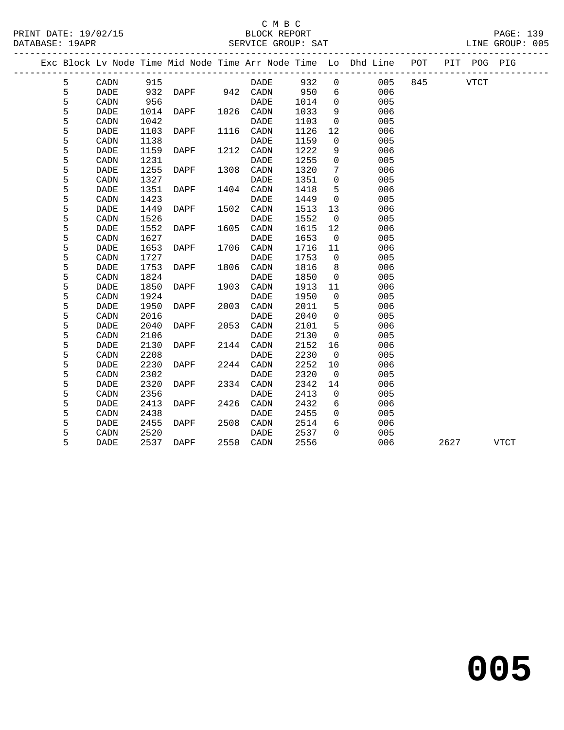### C M B C<br>BLOCK REPORT SERVICE GROUP: SAT

|  |   |             |      |      |      |             |      |                | Exc Block Lv Node Time Mid Node Time Arr Node Time Lo Dhd Line POT |     |      | PIT POG PIG |             |
|--|---|-------------|------|------|------|-------------|------|----------------|--------------------------------------------------------------------|-----|------|-------------|-------------|
|  | 5 | CADN        | 915  |      |      | DADE        | 932  | $\mathbf 0$    | 005                                                                | 845 |      | <b>VTCT</b> |             |
|  | 5 | <b>DADE</b> | 932  | DAPF |      | 942 CADN    | 950  | 6              | 006                                                                |     |      |             |             |
|  | 5 | CADN        | 956  |      |      | <b>DADE</b> | 1014 | $\mathbf 0$    | 005                                                                |     |      |             |             |
|  | 5 | <b>DADE</b> | 1014 | DAPF |      | 1026 CADN   | 1033 | 9              | 006                                                                |     |      |             |             |
|  | 5 | CADN        | 1042 |      |      | <b>DADE</b> | 1103 | $\mathbf 0$    | 005                                                                |     |      |             |             |
|  | 5 | <b>DADE</b> | 1103 | DAPF | 1116 | CADN        | 1126 | 12             | 006                                                                |     |      |             |             |
|  | 5 | CADN        | 1138 |      |      | DADE        | 1159 | $\Omega$       | 005                                                                |     |      |             |             |
|  | 5 | <b>DADE</b> | 1159 | DAPF |      | 1212 CADN   | 1222 | 9              | 006                                                                |     |      |             |             |
|  | 5 | CADN        | 1231 |      |      | <b>DADE</b> | 1255 | $\mathbf 0$    | 005                                                                |     |      |             |             |
|  | 5 | DADE        | 1255 | DAPF | 1308 | CADN        | 1320 | 7              | 006                                                                |     |      |             |             |
|  | 5 | CADN        | 1327 |      |      | <b>DADE</b> | 1351 | $\mathbf 0$    | 005                                                                |     |      |             |             |
|  | 5 | <b>DADE</b> | 1351 | DAPF | 1404 | CADN        | 1418 | 5              | 006                                                                |     |      |             |             |
|  | 5 | CADN        | 1423 |      |      | DADE        | 1449 | $\mathbf 0$    | 005                                                                |     |      |             |             |
|  | 5 | <b>DADE</b> | 1449 | DAPF | 1502 | CADN        | 1513 | 13             | 006                                                                |     |      |             |             |
|  | 5 | CADN        | 1526 |      |      | <b>DADE</b> | 1552 | $\overline{0}$ | 005                                                                |     |      |             |             |
|  | 5 | <b>DADE</b> | 1552 | DAPF | 1605 | CADN        | 1615 | 12             | 006                                                                |     |      |             |             |
|  | 5 | CADN        | 1627 |      |      | <b>DADE</b> | 1653 | $\overline{0}$ | 005                                                                |     |      |             |             |
|  | 5 | <b>DADE</b> | 1653 | DAPF | 1706 | CADN        | 1716 | 11             | 006                                                                |     |      |             |             |
|  | 5 | CADN        | 1727 |      |      | DADE        | 1753 | $\mathbf 0$    | 005                                                                |     |      |             |             |
|  | 5 | <b>DADE</b> | 1753 | DAPF | 1806 | CADN        | 1816 | 8              | 006                                                                |     |      |             |             |
|  | 5 | CADN        | 1824 |      |      | <b>DADE</b> | 1850 | $\mathbf 0$    | 005                                                                |     |      |             |             |
|  | 5 | <b>DADE</b> | 1850 | DAPF | 1903 | CADN        | 1913 | 11             | 006                                                                |     |      |             |             |
|  | 5 | CADN        | 1924 |      |      | <b>DADE</b> | 1950 | $\mathbf 0$    | 005                                                                |     |      |             |             |
|  | 5 | <b>DADE</b> | 1950 | DAPF | 2003 | CADN        | 2011 | 5              | 006                                                                |     |      |             |             |
|  | 5 | CADN        | 2016 |      |      | <b>DADE</b> | 2040 | $\mathbf 0$    | 005                                                                |     |      |             |             |
|  | 5 | DADE        | 2040 | DAPF | 2053 | CADN        | 2101 | 5              | 006                                                                |     |      |             |             |
|  | 5 | CADN        | 2106 |      |      | <b>DADE</b> | 2130 | $\mathbf 0$    | 005                                                                |     |      |             |             |
|  | 5 | <b>DADE</b> | 2130 | DAPF | 2144 | CADN        | 2152 | 16             | 006                                                                |     |      |             |             |
|  | 5 | CADN        | 2208 |      |      | DADE        | 2230 | 0              | 005                                                                |     |      |             |             |
|  | 5 | <b>DADE</b> | 2230 | DAPF |      | 2244 CADN   | 2252 | 10             | 006                                                                |     |      |             |             |
|  | 5 | CADN        | 2302 |      |      | <b>DADE</b> | 2320 | $\mathbf 0$    | 005                                                                |     |      |             |             |
|  | 5 | <b>DADE</b> | 2320 | DAPF |      | 2334 CADN   | 2342 | 14             | 006                                                                |     |      |             |             |
|  | 5 | CADN        | 2356 |      |      | <b>DADE</b> | 2413 | 0              | 005                                                                |     |      |             |             |
|  | 5 | <b>DADE</b> | 2413 | DAPF | 2426 | CADN        | 2432 | 6              | 006                                                                |     |      |             |             |
|  | 5 | CADN        | 2438 |      |      | <b>DADE</b> | 2455 | $\mathbf{0}$   | 005                                                                |     |      |             |             |
|  | 5 | <b>DADE</b> | 2455 | DAPF | 2508 | CADN        | 2514 | 6              | 006                                                                |     |      |             |             |
|  | 5 | CADN        | 2520 |      |      | DADE        | 2537 | $\Omega$       | 005                                                                |     |      |             |             |
|  | 5 | DADE        | 2537 | DAPF |      | 2550 CADN   | 2556 |                | 006                                                                |     | 2627 |             | <b>VTCT</b> |

**005**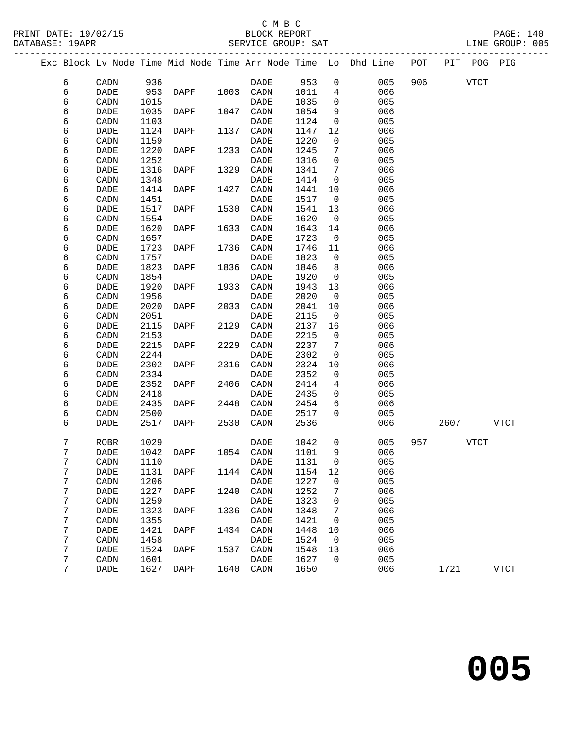|  |        |                       |              |             |      |                              |              |                | Exc Block Lv Node Time Mid Node Time Arr Node Time Lo Dhd Line POT |     |      | PIT POG PIG |             |  |
|--|--------|-----------------------|--------------|-------------|------|------------------------------|--------------|----------------|--------------------------------------------------------------------|-----|------|-------------|-------------|--|
|  | 6      | CADN                  | 936          |             |      | DADE                         | 953          | 0              | 005                                                                | 906 |      | <b>VTCT</b> |             |  |
|  | 6      | <b>DADE</b>           | 953          | DAPF        | 1003 | CADN                         | 1011         | 4              | 006                                                                |     |      |             |             |  |
|  | 6      | CADN                  | 1015         |             |      | <b>DADE</b>                  | 1035         | $\mathbf 0$    | 005                                                                |     |      |             |             |  |
|  | 6      | DADE                  | 1035         | DAPF        | 1047 | CADN                         | 1054         | 9              | 006                                                                |     |      |             |             |  |
|  | 6      | CADN                  | 1103         |             |      | DADE                         | 1124         | 0              | 005                                                                |     |      |             |             |  |
|  | 6      | DADE                  | 1124         | DAPF        | 1137 | CADN                         | 1147         | 12             | 006                                                                |     |      |             |             |  |
|  | 6      | CADN                  | 1159         |             |      | DADE                         | 1220         | 0              | 005                                                                |     |      |             |             |  |
|  | 6      | DADE                  | 1220         | DAPF        | 1233 | CADN                         | 1245         | 7              | 006                                                                |     |      |             |             |  |
|  | 6      | CADN                  | 1252         |             |      | DADE                         | 1316         | 0              | 005                                                                |     |      |             |             |  |
|  | 6      | DADE                  | 1316         | DAPF        | 1329 | CADN                         | 1341         | 7              | 006                                                                |     |      |             |             |  |
|  | 6      | CADN                  | 1348         |             |      | DADE                         | 1414         | $\mathbf 0$    | 005                                                                |     |      |             |             |  |
|  | 6      | DADE                  | 1414         | DAPF        | 1427 | CADN                         | 1441         | 10             | 006                                                                |     |      |             |             |  |
|  | 6      | CADN                  | 1451         |             |      | DADE                         | 1517         | 0              | 005                                                                |     |      |             |             |  |
|  | 6      | DADE                  | 1517         | DAPF        | 1530 | CADN                         | 1541         | 13             | 006                                                                |     |      |             |             |  |
|  | 6      | CADN                  | 1554         |             |      | DADE                         | 1620         | $\mathsf{O}$   | 005                                                                |     |      |             |             |  |
|  | 6      | DADE                  | 1620         | DAPF        | 1633 | CADN                         | 1643         | 14             | 006                                                                |     |      |             |             |  |
|  | 6      | CADN                  | 1657         |             |      | <b>DADE</b>                  | 1723         | 0              | 005                                                                |     |      |             |             |  |
|  | 6      | DADE                  | 1723         | DAPF        | 1736 | CADN                         | 1746         | 11             | 006                                                                |     |      |             |             |  |
|  | 6      | CADN                  | 1757         |             |      | DADE                         | 1823         | 0              | 005                                                                |     |      |             |             |  |
|  | 6      | DADE                  | 1823         | DAPF        | 1836 | CADN                         | 1846         | 8              | 006                                                                |     |      |             |             |  |
|  | 6      | CADN                  | 1854         |             |      | <b>DADE</b>                  | 1920         | $\mathbf 0$    | 005                                                                |     |      |             |             |  |
|  | 6      | DADE                  | 1920         | DAPF        | 1933 | CADN                         | 1943         | 13             | 006                                                                |     |      |             |             |  |
|  | 6      | CADN                  | 1956         |             |      | DADE                         | 2020         | $\mathbf 0$    | 005                                                                |     |      |             |             |  |
|  | 6      | DADE                  | 2020         | DAPF        | 2033 | CADN                         | 2041         | 10             | 006                                                                |     |      |             |             |  |
|  | 6      | CADN                  | 2051         |             |      | <b>DADE</b>                  | 2115         | $\mathbf 0$    | 005                                                                |     |      |             |             |  |
|  | 6      | DADE                  | 2115         | DAPF        | 2129 | CADN                         | 2137         | 16             | 006                                                                |     |      |             |             |  |
|  | 6      | CADN                  | 2153         |             |      | DADE                         | 2215         | 0              | 005                                                                |     |      |             |             |  |
|  | 6      | DADE                  | 2215         | DAPF        | 2229 | CADN                         | 2237         | 7              | 006                                                                |     |      |             |             |  |
|  | 6      | CADN                  | 2244         |             |      | DADE                         | 2302         | $\mathbf 0$    | 005                                                                |     |      |             |             |  |
|  | 6      | DADE                  | 2302         | DAPF        | 2316 | CADN                         | 2324         | 10             | 006                                                                |     |      |             |             |  |
|  | 6      | CADN                  | 2334         |             |      | DADE                         | 2352         | 0              | 005                                                                |     |      |             |             |  |
|  | 6      | DADE                  | 2352         | DAPF        | 2406 | CADN                         | 2414         | 4              | 006                                                                |     |      |             |             |  |
|  | 6      | CADN                  | 2418         |             |      | DADE                         | 2435         | 0              | 005                                                                |     |      |             |             |  |
|  | 6      | DADE                  | 2435         | DAPF        | 2448 | CADN                         | 2454         | 6<br>$\Omega$  | 006                                                                |     |      |             |             |  |
|  | 6<br>6 | CADN<br>DADE          | 2500<br>2517 |             | 2530 | DADE<br>CADN                 | 2517<br>2536 |                | 005<br>006                                                         |     | 2607 |             | <b>VTCT</b> |  |
|  |        |                       |              | DAPF        |      |                              |              |                |                                                                    |     |      |             |             |  |
|  | 7      | ROBR                  | 1029         |             |      | DADE                         | 1042         | $\mathbf 0$    | 005                                                                | 957 |      | <b>VTCT</b> |             |  |
|  | 7      | DADE                  | 1042         | DAPF        | 1054 | CADN                         | 1101         | 9              | 006                                                                |     |      |             |             |  |
|  | 7      | $\operatorname{CADN}$ | 1110         |             |      | $\ensuremath{\mathsf{DADE}}$ | 1131         | $\overline{0}$ | 005                                                                |     |      |             |             |  |
|  | 7      | DADE                  | 1131         | DAPF        | 1144 | CADN                         | 1154         | 12             | 006                                                                |     |      |             |             |  |
|  | 7      | CADN                  | 1206         |             |      | <b>DADE</b>                  | 1227         | 0              | 005                                                                |     |      |             |             |  |
|  | 7      | DADE                  | 1227         | DAPF        | 1240 | CADN                         | 1252         | 7              | 006                                                                |     |      |             |             |  |
|  | 7      | CADN                  | 1259         |             |      | <b>DADE</b>                  | 1323         | 0              | 005                                                                |     |      |             |             |  |
|  | 7      | DADE                  | 1323         | DAPF        | 1336 | CADN                         | 1348         | 7              | 006                                                                |     |      |             |             |  |
|  | 7      | CADN                  | 1355         |             |      | <b>DADE</b>                  | 1421         | 0              | 005                                                                |     |      |             |             |  |
|  | 7      | DADE                  | 1421         | <b>DAPF</b> | 1434 | CADN                         | 1448         | 10             | 006                                                                |     |      |             |             |  |
|  | 7      | CADN                  | 1458         |             |      | DADE                         | 1524         | 0              | 005                                                                |     |      |             |             |  |
|  | 7      | DADE                  | 1524         | DAPF        | 1537 | CADN                         | 1548         | 13             | 006                                                                |     |      |             |             |  |
|  | 7      | CADN                  | 1601         |             |      | <b>DADE</b>                  | 1627         | 0              | 005                                                                |     |      |             |             |  |
|  | 7      | DADE                  | 1627         | DAPF        | 1640 | $\texttt{CADN}\xspace$       | 1650         |                | 006                                                                |     | 1721 |             | <b>VTCT</b> |  |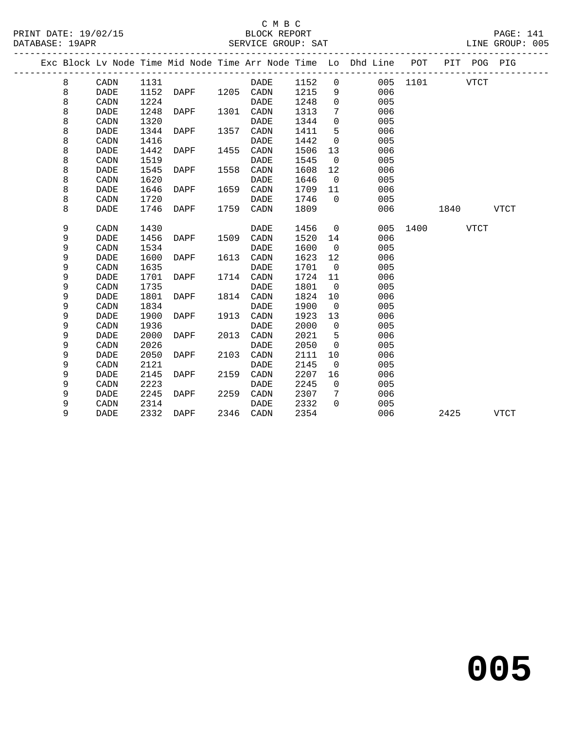|  |   |             |      |                |      |             |      |                | Exc Block Lv Node Time Mid Node Time Arr Node Time Lo Dhd Line POT |          |      | PIT POG PIG |             |
|--|---|-------------|------|----------------|------|-------------|------|----------------|--------------------------------------------------------------------|----------|------|-------------|-------------|
|  | 8 | CADN        | 1131 |                |      | DADE        | 1152 | $\mathbf 0$    |                                                                    | 005 1101 |      | VTCT        |             |
|  | 8 | DADE        | 1152 | DAPF 1205 CADN |      |             | 1215 | 9              | 006                                                                |          |      |             |             |
|  | 8 | CADN        | 1224 |                |      | <b>DADE</b> | 1248 | $\mathbf 0$    | 005                                                                |          |      |             |             |
|  | 8 | <b>DADE</b> | 1248 | DAPF           | 1301 | CADN        | 1313 | 7              | 006                                                                |          |      |             |             |
|  | 8 | CADN        | 1320 |                |      | <b>DADE</b> | 1344 | $\mathbf 0$    | 005                                                                |          |      |             |             |
|  | 8 | <b>DADE</b> | 1344 | DAPF           | 1357 | CADN        | 1411 | 5              | 006                                                                |          |      |             |             |
|  | 8 | CADN        | 1416 |                |      | <b>DADE</b> | 1442 | $\mathbf 0$    | 005                                                                |          |      |             |             |
|  | 8 | <b>DADE</b> | 1442 | DAPF           | 1455 | CADN        | 1506 | 13             | 006                                                                |          |      |             |             |
|  | 8 | CADN        | 1519 |                |      | <b>DADE</b> | 1545 | $\overline{0}$ | 005                                                                |          |      |             |             |
|  | 8 | DADE        | 1545 | DAPF           | 1558 | CADN        | 1608 | 12             | 006                                                                |          |      |             |             |
|  | 8 | CADN        | 1620 |                |      | <b>DADE</b> | 1646 | $\overline{0}$ | 005                                                                |          |      |             |             |
|  | 8 | <b>DADE</b> | 1646 | DAPF           | 1659 | CADN        | 1709 | 11             | 006                                                                |          |      |             |             |
|  | 8 | CADN        | 1720 |                |      | DADE        | 1746 | $\Omega$       | 005                                                                |          |      |             |             |
|  | 8 | <b>DADE</b> | 1746 | DAPF           | 1759 | CADN        | 1809 |                | 006                                                                |          | 1840 |             | <b>VTCT</b> |
|  | 9 | CADN        | 1430 |                |      | <b>DADE</b> | 1456 | $\overline{0}$ | 005                                                                | 1400     |      | <b>VTCT</b> |             |
|  | 9 | <b>DADE</b> | 1456 | DAPF           | 1509 | CADN        | 1520 | 14             | 006                                                                |          |      |             |             |
|  | 9 | CADN        | 1534 |                |      | <b>DADE</b> | 1600 | $\overline{0}$ | 005                                                                |          |      |             |             |
|  | 9 | <b>DADE</b> | 1600 | DAPF           | 1613 | CADN        | 1623 | 12             | 006                                                                |          |      |             |             |
|  | 9 | CADN        | 1635 |                |      | DADE        | 1701 | $\overline{0}$ | 005                                                                |          |      |             |             |
|  | 9 | <b>DADE</b> | 1701 | DAPF           |      | 1714 CADN   | 1724 | 11             | 006                                                                |          |      |             |             |
|  | 9 | CADN        | 1735 |                |      | <b>DADE</b> | 1801 | $\overline{0}$ | 005                                                                |          |      |             |             |
|  | 9 | <b>DADE</b> | 1801 | DAPF           | 1814 | CADN        | 1824 | 10             | 006                                                                |          |      |             |             |
|  | 9 | CADN        | 1834 |                |      | DADE        | 1900 | $\overline{0}$ | 005                                                                |          |      |             |             |
|  | 9 | <b>DADE</b> | 1900 | DAPF           | 1913 | CADN        | 1923 | 13             | 006                                                                |          |      |             |             |
|  | 9 | CADN        | 1936 |                |      | DADE        | 2000 | $\overline{0}$ | 005                                                                |          |      |             |             |
|  | 9 | <b>DADE</b> | 2000 | DAPF           | 2013 | CADN        | 2021 | 5              | 006                                                                |          |      |             |             |
|  | 9 | CADN        | 2026 |                |      | <b>DADE</b> | 2050 | $\mathbf 0$    | 005                                                                |          |      |             |             |
|  | 9 | <b>DADE</b> | 2050 | DAPF           | 2103 | CADN        | 2111 | 10             | 006                                                                |          |      |             |             |
|  | 9 | CADN        | 2121 |                |      | DADE        | 2145 | 0              | 005                                                                |          |      |             |             |
|  | 9 | <b>DADE</b> | 2145 | <b>DAPF</b>    | 2159 | CADN        | 2207 | 16             | 006                                                                |          |      |             |             |
|  | 9 | CADN        | 2223 |                |      | <b>DADE</b> | 2245 | $\mathbf 0$    | 005                                                                |          |      |             |             |
|  | 9 | DADE        | 2245 | DAPF           | 2259 | CADN        | 2307 | 7              | 006                                                                |          |      |             |             |
|  | 9 | CADN        | 2314 |                |      | DADE        | 2332 | $\Omega$       | 005                                                                |          |      |             |             |
|  | 9 | <b>DADE</b> | 2332 | DAPF           |      | 2346 CADN   | 2354 |                | 006                                                                |          | 2425 |             | VTCT        |
|  |   |             |      |                |      |             |      |                |                                                                    |          |      |             |             |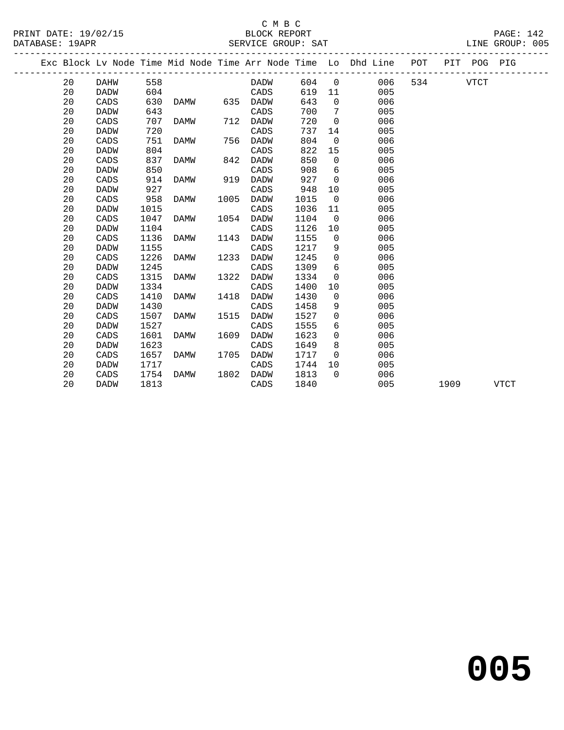#### C M B C<br>C M B C<br>PLOCK PEDOTA PAGE: 142

| PRINT DATE: 19/02/15 | BLOCK REPORT       | PAGE:<br>142       |
|----------------------|--------------------|--------------------|
| DATABASE:<br>19APR   | SERVICE GROUP: SAT | 005<br>LINE GROUP: |

------------------------------------------------------------------------------------------------- Exc Block Lv Node Time Mid Node Time Arr Node Time Lo Dhd Line POT PIT POG PIG -------------------------------------------------------------------------------------------------

| 20 | DAHW        | 558  |             |      | <b>DADW</b> | 604  | 0              | 006 | 534 | <b>VTCT</b> |             |  |
|----|-------------|------|-------------|------|-------------|------|----------------|-----|-----|-------------|-------------|--|
| 20 | <b>DADW</b> | 604  |             |      | CADS        | 619  | 11             | 005 |     |             |             |  |
| 20 | CADS        | 630  | <b>DAMW</b> | 635  | <b>DADW</b> | 643  | 0              | 006 |     |             |             |  |
| 20 | DADW        | 643  |             |      | CADS        | 700  | 7              | 005 |     |             |             |  |
| 20 | CADS        | 707  | <b>DAMW</b> | 712  | <b>DADW</b> | 720  | $\mathbf 0$    | 006 |     |             |             |  |
| 20 | <b>DADW</b> | 720  |             |      | CADS        | 737  | 14             | 005 |     |             |             |  |
| 20 | CADS        | 751  | <b>DAMW</b> | 756  | <b>DADW</b> | 804  | $\overline{0}$ | 006 |     |             |             |  |
| 20 | <b>DADW</b> | 804  |             |      | CADS        | 822  | 15             | 005 |     |             |             |  |
| 20 | CADS        | 837  | <b>DAMW</b> | 842  | <b>DADW</b> | 850  | $\mathbf 0$    | 006 |     |             |             |  |
| 20 | DADW        | 850  |             |      | CADS        | 908  | 6              | 005 |     |             |             |  |
| 20 | CADS        | 914  | <b>DAMW</b> | 919  | <b>DADW</b> | 927  | $\mathbf 0$    | 006 |     |             |             |  |
| 20 | DADW        | 927  |             |      | CADS        | 948  | 10             | 005 |     |             |             |  |
| 20 | CADS        | 958  | <b>DAMW</b> | 1005 | <b>DADW</b> | 1015 | $\mathbf 0$    | 006 |     |             |             |  |
| 20 | <b>DADW</b> | 1015 |             |      | CADS        | 1036 | 11             | 005 |     |             |             |  |
| 20 | CADS        | 1047 | <b>DAMW</b> | 1054 | <b>DADW</b> | 1104 | $\overline{0}$ | 006 |     |             |             |  |
| 20 | <b>DADW</b> | 1104 |             |      | CADS        | 1126 | 10             | 005 |     |             |             |  |
| 20 | CADS        | 1136 | <b>DAMW</b> | 1143 | <b>DADW</b> | 1155 | 0              | 006 |     |             |             |  |
| 20 | <b>DADW</b> | 1155 |             |      | CADS        | 1217 | 9              | 005 |     |             |             |  |
| 20 | CADS        | 1226 | <b>DAMW</b> | 1233 | <b>DADW</b> | 1245 | $\mathbf 0$    | 006 |     |             |             |  |
| 20 | <b>DADW</b> | 1245 |             |      | CADS        | 1309 | 6              | 005 |     |             |             |  |
| 20 | CADS        | 1315 | DAMW        | 1322 | <b>DADW</b> | 1334 | $\Omega$       | 006 |     |             |             |  |
| 20 | <b>DADW</b> | 1334 |             |      | CADS        | 1400 | 10             | 005 |     |             |             |  |
| 20 | CADS        | 1410 | <b>DAMW</b> | 1418 | DADW        | 1430 | $\mathbf 0$    | 006 |     |             |             |  |
| 20 | <b>DADW</b> | 1430 |             |      | CADS        | 1458 | 9              | 005 |     |             |             |  |
| 20 | CADS        | 1507 | <b>DAMW</b> | 1515 | <b>DADW</b> | 1527 | $\mathbf 0$    | 006 |     |             |             |  |
| 20 | <b>DADW</b> | 1527 |             |      | CADS        | 1555 | 6              | 005 |     |             |             |  |
| 20 | CADS        | 1601 | <b>DAMW</b> | 1609 | <b>DADW</b> | 1623 | 0              | 006 |     |             |             |  |
| 20 | <b>DADW</b> | 1623 |             |      | CADS        | 1649 | 8              | 005 |     |             |             |  |
| 20 | CADS        | 1657 | <b>DAMW</b> | 1705 | DADW        | 1717 | $\Omega$       | 006 |     |             |             |  |
| 20 | DADW        | 1717 |             |      | CADS        | 1744 | 10             | 005 |     |             |             |  |
| 20 | CADS        | 1754 | <b>DAMW</b> | 1802 | <b>DADW</b> | 1813 | $\Omega$       | 006 |     |             |             |  |
| 20 | <b>DADW</b> | 1813 |             |      | CADS        | 1840 |                | 005 |     | 1909        | <b>VTCT</b> |  |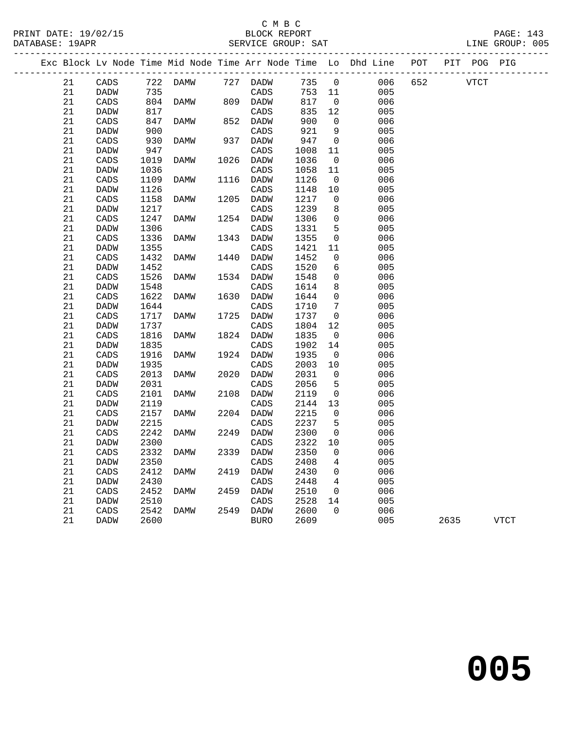|          |              |              |          |      |              |              |                  | Exc Block Lv Node Time Mid Node Time Arr Node Time Lo Dhd Line | POT |      | PIT POG PIG |             |
|----------|--------------|--------------|----------|------|--------------|--------------|------------------|----------------------------------------------------------------|-----|------|-------------|-------------|
| 21       | CADS         |              | 722 DAMW |      | 727 DADW     | 735          | $\overline{0}$   | 006                                                            | 652 |      | VTCT        |             |
| 21       | DADW         | 735          |          |      | CADS         | 753 11       |                  | 005                                                            |     |      |             |             |
| 21       | CADS         | 804          | DAMW     | 809  | DADW         | 817          | $\overline{0}$   | 006                                                            |     |      |             |             |
| 21       | DADW         | 817          |          |      | CADS         | 835          | 12               | 005                                                            |     |      |             |             |
| 21       | CADS         | 847          | DAMW     | 852  | DADW         | 900          | $\Omega$         | 006                                                            |     |      |             |             |
| 21       | DADW         | 900          |          |      | CADS         | 921          | 9                | 005                                                            |     |      |             |             |
| 21       | CADS         | 930          | DAMW     | 937  | DADW         | 947          | $\mathbf 0$      | 006                                                            |     |      |             |             |
| 21       | DADW         | 947          |          |      | CADS         | 1008         | 11               | 005                                                            |     |      |             |             |
| 21       | CADS         | 1019         | DAMW     | 1026 | DADW         | 1036         | $\mathbf 0$      | 006                                                            |     |      |             |             |
| 21       | DADW         | 1036         |          |      | CADS         | 1058         | 11               | 005                                                            |     |      |             |             |
| 21       | CADS         | 1109         | DAMW     | 1116 | DADW         | 1126         | 0                | 006                                                            |     |      |             |             |
| 21       | <b>DADW</b>  | 1126         |          |      | CADS         | 1148         | 10               | 005                                                            |     |      |             |             |
| 21       | CADS         | 1158         | DAMW     | 1205 | <b>DADW</b>  | 1217         | $\mathbf 0$      | 006                                                            |     |      |             |             |
| 21       | DADW         | 1217         |          |      | CADS         | 1239         | 8                | 005                                                            |     |      |             |             |
| 21       | CADS         | 1247         | DAMW     | 1254 | DADW         | 1306         | $\mathbf 0$      | 006                                                            |     |      |             |             |
| 21       | <b>DADW</b>  | 1306         |          |      | CADS         | 1331         | 5                | 005                                                            |     |      |             |             |
| 21       | CADS         | 1336         | DAMW     | 1343 | DADW         | 1355         | $\mathbf 0$      | 006                                                            |     |      |             |             |
| 21       | DADW         | 1355         |          |      | CADS         | 1421         | 11               | 005                                                            |     |      |             |             |
| 21       | CADS         | 1432         | DAMW     | 1440 | DADW         | 1452         | $\mathbf 0$      | 006                                                            |     |      |             |             |
| 21       | DADW         | 1452         |          |      | CADS         | 1520         | 6                | 005                                                            |     |      |             |             |
| 21       | CADS         | 1526         | DAMW     | 1534 | DADW         | 1548         | $\mathbf 0$      | 006                                                            |     |      |             |             |
| 21       | DADW         | 1548         |          |      | CADS         | 1614         | 8                | 005                                                            |     |      |             |             |
| 21       | CADS         | 1622         | DAMW     | 1630 | DADW         | 1644         | $\mathbf 0$      | 006                                                            |     |      |             |             |
| 21       | DADW         | 1644         |          |      | CADS         | 1710         | 7                | 005                                                            |     |      |             |             |
| 21       | CADS         | 1717         | DAMW     | 1725 | DADW         | 1737         | $\mathbf 0$      | 006                                                            |     |      |             |             |
| 21       | DADW         | 1737         |          |      | CADS         | 1804         | 12               | 005                                                            |     |      |             |             |
| 21       | CADS         | 1816         | DAMW     | 1824 | DADW         | 1835         | $\mathbf 0$      | 006                                                            |     |      |             |             |
| 21       | DADW         | 1835         |          |      | CADS         | 1902         | 14               | 005                                                            |     |      |             |             |
| 21       | CADS         | 1916         | DAMW     | 1924 | DADW         | 1935         | $\mathsf{O}$     | 006                                                            |     |      |             |             |
| 21       | DADW         | 1935         |          |      | CADS         | 2003         | 10               | 005                                                            |     |      |             |             |
| 21       | CADS         | 2013         | DAMW     | 2020 | DADW         | 2031         | $\mathbf 0$      | 006                                                            |     |      |             |             |
| 21<br>21 | DADW         | 2031         | DAMW     | 2108 | CADS         | 2056         | 5<br>$\mathbf 0$ | 005<br>006                                                     |     |      |             |             |
| 21       | CADS         | 2101<br>2119 |          |      | DADW         | 2119<br>2144 | 13               | 005                                                            |     |      |             |             |
| 21       | DADW<br>CADS | 2157         | DAMW     | 2204 | CADS<br>DADW | 2215         | $\mathbf 0$      | 006                                                            |     |      |             |             |
| 21       | DADW         | 2215         |          |      | CADS         | 2237         | 5                | 005                                                            |     |      |             |             |
| 21       | CADS         | 2242         | DAMW     | 2249 | <b>DADW</b>  | 2300         | $\mathbf 0$      | 006                                                            |     |      |             |             |
| 21       | DADW         | 2300         |          |      | CADS         | 2322         | 10               | 005                                                            |     |      |             |             |
| 21       | CADS         | 2332         | DAMW     | 2339 | DADW         | 2350         | $\mathbf 0$      | 006                                                            |     |      |             |             |
| 21       | DADW         | 2350         |          |      | CADS         | 2408         | 4                | 005                                                            |     |      |             |             |
| 21       | CADS         | 2412         | DAMW     | 2419 | DADW         | 2430         | 0                | 006                                                            |     |      |             |             |
| 21       | DADW         | 2430         |          |      | CADS         | 2448         | 4                | 005                                                            |     |      |             |             |
| 21       | CADS         | 2452         | DAMW     | 2459 | DADW         | 2510         | $\mathbf 0$      | 006                                                            |     |      |             |             |
| 21       | DADW         | 2510         |          |      | CADS         | 2528         | 14               | 005                                                            |     |      |             |             |
| 21       | CADS         | 2542         | DAMW     | 2549 | DADW         | 2600         | $\Omega$         | 006                                                            |     |      |             |             |
| 21       | DADW         | 2600         |          |      | <b>BURO</b>  | 2609         |                  | 005                                                            |     | 2635 |             | <b>VTCT</b> |
|          |              |              |          |      |              |              |                  |                                                                |     |      |             |             |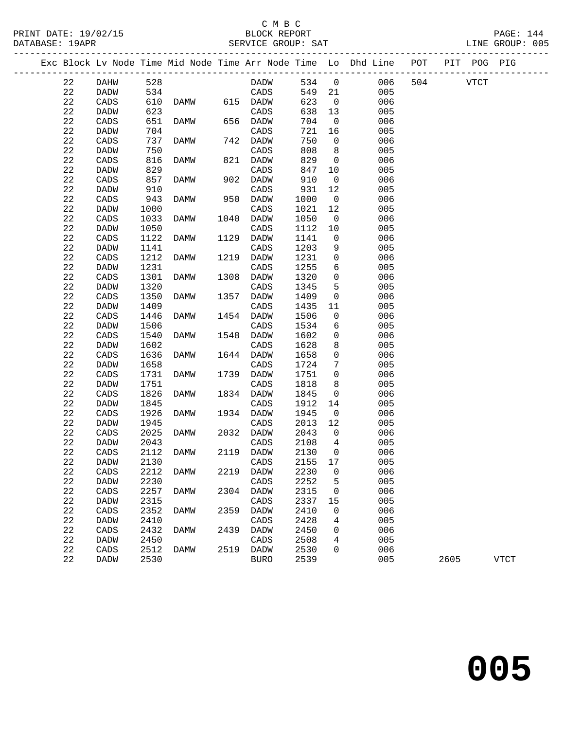| PRINT DATE: 19/02/15<br>DATABASE: 19APR |    |                 | C M B C<br>BLOCK REPORT<br>SERVICE GROUP: SAT |             |      |             |            |                |                                                                                |  |  |          | PAGE: 144<br>LINE GROUP: 005 |  |
|-----------------------------------------|----|-----------------|-----------------------------------------------|-------------|------|-------------|------------|----------------|--------------------------------------------------------------------------------|--|--|----------|------------------------------|--|
|                                         |    |                 |                                               |             |      |             |            |                | Exc Block Lv Node Time Mid Node Time Arr Node Time Lo Dhd Line POT PIT POG PIG |  |  |          |                              |  |
|                                         | 22 | DAHW 528        |                                               |             |      | DADW 534 0  |            |                | 006                                                                            |  |  | 504 VTCT |                              |  |
|                                         | 22 | DADW            | 534                                           |             |      | CADS        | 549 21     |                | 005                                                                            |  |  |          |                              |  |
|                                         | 22 | CADS            |                                               | 610 DAMW    |      | 615 DADW    | 623<br>638 | $\overline{0}$ | 006                                                                            |  |  |          |                              |  |
|                                         | 22 | <b>DADW</b>     | 623                                           |             |      | CADS        | 638        | 13             | 005                                                                            |  |  |          |                              |  |
|                                         | 22 | CADS            | 651                                           | <b>DAMW</b> |      | 656 DADW    | 704        | $\overline{0}$ | 006                                                                            |  |  |          |                              |  |
|                                         | 22 | DADW            | 704                                           |             |      | CADS        | 721        | 16             | 005                                                                            |  |  |          |                              |  |
|                                         | 22 | CADS            | 737                                           | DAMW        |      | 742 DADW    | 750<br>808 | $\overline{0}$ | 006                                                                            |  |  |          |                              |  |
|                                         | 22 | DADW            | 750                                           |             |      | CADS        |            | 8              | 005                                                                            |  |  |          |                              |  |
|                                         | 22 | CADS            | 816                                           | DAMW        | 821  | DADW        | 829        | $\overline{0}$ | 006                                                                            |  |  |          |                              |  |
|                                         | 22 | DADW            | 829                                           |             |      | CADS        | 847        | 10             | 005                                                                            |  |  |          |                              |  |
|                                         | 22 | CADS            | 857                                           | DAMW        | 902  | DADW        | 910        | $\overline{0}$ | 006                                                                            |  |  |          |                              |  |
|                                         | 22 | <b>DADW</b>     | 910                                           |             |      | CADS        | 931        | 12             | 005                                                                            |  |  |          |                              |  |
|                                         | 22 | CADS            | 943                                           | DAMW        | 950  | DADW        | 1000       | $\overline{0}$ | 006                                                                            |  |  |          |                              |  |
|                                         | 22 | <b>DADW</b>     | 1000                                          |             |      | CADS        | 1021       | 12             | 005                                                                            |  |  |          |                              |  |
|                                         | 22 | CADS            | 1033                                          | DAMW        | 1040 | DADW        | 1050       | $\overline{0}$ | 006                                                                            |  |  |          |                              |  |
|                                         | 22 | DADW            | 1050                                          |             |      | CADS        | 1112       | 10             | 005                                                                            |  |  |          |                              |  |
|                                         | 22 | CADS            | 1122                                          | DAMW        | 1129 | DADW        | 1141       | $\overline{0}$ | 006                                                                            |  |  |          |                              |  |
|                                         | 22 | DADW            | 1141                                          |             |      | CADS        | 1203       | 9              | 005                                                                            |  |  |          |                              |  |
|                                         | 22 | CADS            | 1212                                          | DAMW        | 1219 | DADW        | 1231       | $\overline{0}$ | 006                                                                            |  |  |          |                              |  |
|                                         | 22 | DADW            | 1231                                          |             |      | CADS        | 1255       | 6              | 005                                                                            |  |  |          |                              |  |
|                                         | 22 | CADS            | 1301                                          | DAMW        | 1308 | DADW        | 1320       | $\mathsf{O}$   | 006                                                                            |  |  |          |                              |  |
|                                         | 22 | DADW            | 1320                                          |             |      | CADS        | 1345       | 5              | 005                                                                            |  |  |          |                              |  |
|                                         | 22 | CADS            | 1350                                          | DAMW        | 1357 | DADW        | 1409       | $\mathsf{O}$   | 006                                                                            |  |  |          |                              |  |
|                                         | 22 | DADW            | 1409                                          |             |      | CADS        | 1435       | 11             | 005                                                                            |  |  |          |                              |  |
|                                         | 22 | CADS            | 1446                                          | DAMW        |      | 1454 DADW   | 1506       | $\overline{0}$ | 006                                                                            |  |  |          |                              |  |
|                                         | 22 | DADW            | 1506                                          |             |      | CADS        | 1534       | 6              | 005                                                                            |  |  |          |                              |  |
|                                         | 22 | CADS            | 1540                                          | DAMW        | 1548 | <b>DADW</b> | 1602       | $\overline{0}$ | 006                                                                            |  |  |          |                              |  |
|                                         | 22 | DADW            | 1602                                          |             |      | CADS        | 1628       | 8              | 005                                                                            |  |  |          |                              |  |
|                                         | 22 | CADS            | 1636                                          | DAMW        |      | 1644 DADW   | 1658       | $\mathsf 0$    | 006                                                                            |  |  |          |                              |  |
|                                         | 22 | DADW            | 1658                                          |             |      | CADS        | 1724       | 7              | 005                                                                            |  |  |          |                              |  |
|                                         | 22 | CADS            | 1731                                          | DAMW        |      | 1739 DADW   | 1751       | $\mathbf 0$    | 006                                                                            |  |  |          |                              |  |
|                                         | 22 | <b>DADW</b>     | 1751                                          |             |      | CADS        | 1818       | 8              | 005                                                                            |  |  |          |                              |  |
|                                         | 22 | CADS            | 1826                                          | DAMW        |      | 1834 DADW   | 1845       | $\overline{0}$ | 006                                                                            |  |  |          |                              |  |
|                                         | 22 | DADW            | 1845                                          |             |      | CADS        | 1912       | 14             | 005                                                                            |  |  |          |                              |  |
|                                         | 22 | CADS            | 1926                                          | DAMW        |      | 1934 DADW   | 1945       | $\overline{0}$ | 006                                                                            |  |  |          |                              |  |
|                                         | 22 | DADW            | 1945                                          |             |      | CADS        | 2013       | 12             | 005                                                                            |  |  |          |                              |  |
|                                         | 22 | CADS            |                                               | 2025 DAMW   |      | 2032 DADW   | 2043 0     |                | 006                                                                            |  |  |          |                              |  |
|                                         | 22 | DADW            | 2043                                          |             |      | CADS        | 2108       | 4              | 005                                                                            |  |  |          |                              |  |
|                                         | 22 | CADS            | 2112                                          | DAMW        | 2119 | DADW        | 2130       | 0              | 006                                                                            |  |  |          |                              |  |
|                                         | 22 | DADW            | 2130                                          |             |      | CADS        | 2155       | 17             | 005                                                                            |  |  |          |                              |  |
|                                         | 22 | CADS            | 2212                                          | <b>DAMW</b> | 2219 | DADW        | 2230       | 0              | 006                                                                            |  |  |          |                              |  |
|                                         | 22 | <b>DADW</b>     | 2230                                          |             |      | CADS        | 2252       | 5              | 005                                                                            |  |  |          |                              |  |
|                                         | 22 | CADS            | 2257                                          | DAMW        | 2304 | DADW        | 2315       | 0              | 006                                                                            |  |  |          |                              |  |
|                                         | 22 | DADW            | 2315                                          |             |      | CADS        | 2337       | 15             | 005                                                                            |  |  |          |                              |  |
|                                         | 22 | CADS            | 2352                                          | DAMW        | 2359 | DADW        | 2410       | 0              | 006                                                                            |  |  |          |                              |  |
|                                         | 22 | DADW            | 2410                                          |             |      | CADS        | 2428       | 4              | 005                                                                            |  |  |          |                              |  |
|                                         | 22 | $\mathtt{CADS}$ | 2432                                          | DAMW        | 2439 | DADW        | 2450       | 0              | 006                                                                            |  |  |          |                              |  |

 22 DADW 2450 CADS 2508 4 005 22 CADS 2512 DAMW 2519 DADW 2530 0 006

22 DADW 2530 BURO 2539 005 2605 VTCT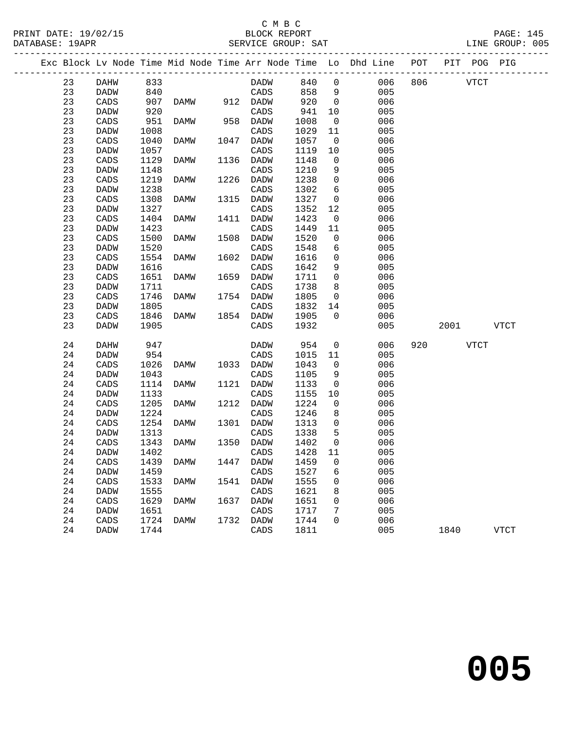## C M B C<br>BLOCK REPORT SERVICE GROUP: SAT

PRINT DATE: 19/02/15 BLOCK REPORT PAGE: 145

|    |             |      |             |      |             |        |                | Exc Block Lv Node Time Mid Node Time Arr Node Time Lo Dhd Line POT |     |        | PIT POG PIG |             |
|----|-------------|------|-------------|------|-------------|--------|----------------|--------------------------------------------------------------------|-----|--------|-------------|-------------|
| 23 | DAHW        | 833  |             |      | DADW        | 840    | $\overline{0}$ | 006                                                                |     | 806 80 | <b>VTCT</b> |             |
| 23 | <b>DADW</b> | 840  |             |      | CADS        | 858    | 9              | 005                                                                |     |        |             |             |
| 23 | CADS        | 907  | DAMW        |      | 912 DADW    | 920    | $\overline{0}$ | 006                                                                |     |        |             |             |
| 23 | <b>DADW</b> | 920  |             |      | CADS        | 941    | 10             | 005                                                                |     |        |             |             |
| 23 | CADS        | 951  | DAMW        |      | 958 DADW    | 1008   | $\mathsf{O}$   | 006                                                                |     |        |             |             |
| 23 | DADW        | 1008 |             |      | CADS        | 1029   | 11             | 005                                                                |     |        |             |             |
| 23 | CADS        | 1040 | DAMW        | 1047 | DADW        | 1057   | $\overline{0}$ | 006                                                                |     |        |             |             |
| 23 | DADW        | 1057 |             |      | CADS        | 1119   | $10\,$         | 005                                                                |     |        |             |             |
| 23 | CADS        | 1129 | DAMW        | 1136 | DADW        | 1148   | $\mathbf 0$    | 006                                                                |     |        |             |             |
| 23 | DADW        | 1148 |             |      | CADS        | 1210   | 9              | 005                                                                |     |        |             |             |
| 23 | CADS        | 1219 | DAMW        | 1226 | DADW        | 1238   | $\mathsf{O}$   | 006                                                                |     |        |             |             |
| 23 | DADW        | 1238 |             |      | CADS        | 1302   | 6              | 005                                                                |     |        |             |             |
| 23 | CADS        | 1308 | DAMW        | 1315 | DADW        | 1327   | $\mathsf{O}$   | 006                                                                |     |        |             |             |
| 23 | DADW        | 1327 |             |      | CADS        | 1352   | 12             | 005                                                                |     |        |             |             |
| 23 | CADS        | 1404 | DAMW        | 1411 | DADW        | 1423   | $\mathbf 0$    | 006                                                                |     |        |             |             |
| 23 | DADW        | 1423 |             |      | CADS        | 1449   | 11             | 005                                                                |     |        |             |             |
| 23 | CADS        | 1500 | DAMW        | 1508 | DADW        | 1520   | $\mathbf 0$    | 006                                                                |     |        |             |             |
| 23 | DADW        | 1520 |             |      | CADS        | 1548   | 6              | 005                                                                |     |        |             |             |
| 23 | CADS        | 1554 | DAMW        | 1602 | DADW        | 1616   | $\mathsf{O}$   | 006                                                                |     |        |             |             |
| 23 | DADW        | 1616 |             |      | CADS        | 1642   | 9              | 005                                                                |     |        |             |             |
| 23 | CADS        | 1651 | DAMW        | 1659 | <b>DADW</b> | 1711   | $\mathbf 0$    | 006                                                                |     |        |             |             |
| 23 | DADW        | 1711 |             |      | CADS        | 1738   | 8              | 005                                                                |     |        |             |             |
| 23 | CADS        | 1746 | DAMW        |      | 1754 DADW   | 1805   | $\overline{0}$ | 006                                                                |     |        |             |             |
| 23 | DADW        | 1805 |             |      | CADS        | 1832   | 14             | 005                                                                |     |        |             |             |
| 23 | CADS        | 1846 | DAMW        |      | 1854 DADW   | 1905   | $\Omega$       | 006                                                                |     |        |             |             |
| 23 | <b>DADW</b> | 1905 |             |      | CADS        | 1932   |                | 005                                                                |     | 2001   |             | <b>VTCT</b> |
| 24 | DAHW        | 947  |             |      | <b>DADW</b> | 954    | $\mathsf{O}$   | 006                                                                | 920 |        | VTCT        |             |
| 24 | DADW        | 954  |             |      | CADS        | 1015   | 11             | 005                                                                |     |        |             |             |
| 24 | CADS        | 1026 | DAMW        | 1033 | DADW        | 1043   | 0              | 006                                                                |     |        |             |             |
| 24 | DADW        | 1043 |             |      | CADS        | 1105   | 9              | 005                                                                |     |        |             |             |
| 24 | CADS        | 1114 | DAMW        | 1121 | DADW        | 1133   | $\mathsf{O}$   | 006                                                                |     |        |             |             |
| 24 | DADW        | 1133 |             |      | CADS        | 1155   | $10\,$         | 005                                                                |     |        |             |             |
| 24 | CADS        | 1205 | DAMW        | 1212 | DADW        | 1224   | $\mathbf 0$    | 006                                                                |     |        |             |             |
| 24 | DADW        | 1224 |             |      | CADS        | 1246   | 8              | 005                                                                |     |        |             |             |
| 24 | CADS        | 1254 | DAMW        | 1301 | DADW        | 1313   | $\overline{0}$ | 006                                                                |     |        |             |             |
| 24 | DADW        | 1313 |             |      | CADS        | 1338   | 5              | 005                                                                |     |        |             |             |
| 24 | CADS        | 1343 | DAMW        | 1350 | DADW        | 1402   | $\overline{0}$ | 006                                                                |     |        |             |             |
| 24 | DADW        | 1402 |             |      | CADS        | 1428   | 11             | 005                                                                |     |        |             |             |
| 24 | CADS        |      | 1439 DAMW   |      | 1447 DADW   | 1459 0 |                | 006                                                                |     |        |             |             |
| 24 | DADW        | 1459 |             |      | CADS        | 1527   | 6              | 005                                                                |     |        |             |             |
| 24 | CADS        | 1533 | DAMW        | 1541 | DADW        | 1555   | 0              | 006                                                                |     |        |             |             |
| 24 | DADW        | 1555 |             |      | CADS        | 1621   | 8              | 005                                                                |     |        |             |             |
| 24 | CADS        | 1629 | DAMW        | 1637 | DADW        | 1651   | 0              | 006                                                                |     |        |             |             |
| 24 | DADW        | 1651 |             |      | CADS        | 1717   | 7              | 005                                                                |     |        |             |             |
| 24 | CADS        | 1724 | <b>DAMW</b> | 1732 | <b>DADW</b> | 1744   | 0              | 006                                                                |     |        |             |             |
| 24 | DADW        | 1744 |             |      | CADS        | 1811   |                | 005                                                                |     | 1840   |             | <b>VTCT</b> |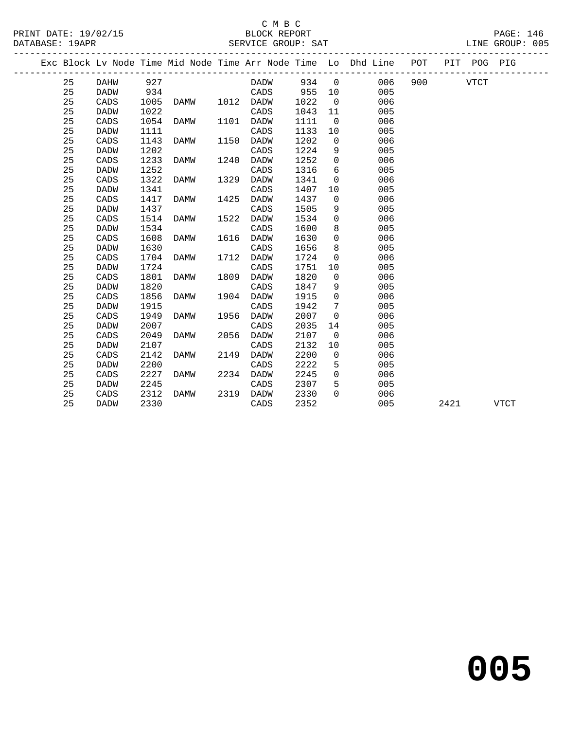## C M B C SERVICE GROUP: SAT

| PRINT DATE: 19/02/15 | BLOCK REPORT       | PAGE: 146       |
|----------------------|--------------------|-----------------|
| DATABASE: 19APR      | SERVICE GROUP: SAT | LINE GROUP: 005 |

|  |    |             |      |      |      |             |       |                 | Exc Block Lv Node Time Mid Node Time Arr Node Time Lo Dhd Line POT |              |      | PIT POG PIG |             |
|--|----|-------------|------|------|------|-------------|-------|-----------------|--------------------------------------------------------------------|--------------|------|-------------|-------------|
|  | 25 | DAHW        | 927  |      |      | DADW        | 934 0 |                 |                                                                    | 006 900 VTCT |      |             |             |
|  | 25 | DADW        | 934  |      |      | CADS        | 955   | 10              | 005                                                                |              |      |             |             |
|  | 25 | CADS        | 1005 | DAMW |      | 1012 DADW   | 1022  | $\overline{0}$  | 006                                                                |              |      |             |             |
|  | 25 | <b>DADW</b> | 1022 |      |      | CADS        | 1043  | 11              | 005                                                                |              |      |             |             |
|  | 25 | CADS        | 1054 | DAMW | 1101 | DADW        | 1111  | $\overline{0}$  | 006                                                                |              |      |             |             |
|  | 25 | <b>DADW</b> | 1111 |      |      | CADS        | 1133  | 10              | 005                                                                |              |      |             |             |
|  | 25 | CADS        | 1143 | DAMW | 1150 | DADW        | 1202  | $\overline{0}$  | 006                                                                |              |      |             |             |
|  | 25 | <b>DADW</b> | 1202 |      |      | CADS        | 1224  | 9               | 005                                                                |              |      |             |             |
|  | 25 | CADS        | 1233 | DAMW | 1240 | DADW        | 1252  | $\mathbf 0$     | 006                                                                |              |      |             |             |
|  | 25 | <b>DADW</b> | 1252 |      |      | CADS        | 1316  | 6               | 005                                                                |              |      |             |             |
|  | 25 | CADS        | 1322 | DAMW | 1329 | DADW        | 1341  | $\mathbf 0$     | 006                                                                |              |      |             |             |
|  | 25 | <b>DADW</b> | 1341 |      |      | CADS        | 1407  | 10              | 005                                                                |              |      |             |             |
|  | 25 | CADS        | 1417 | DAMW | 1425 | DADW        | 1437  | $\mathbf 0$     | 006                                                                |              |      |             |             |
|  | 25 | <b>DADW</b> | 1437 |      |      | CADS        | 1505  | 9               | 005                                                                |              |      |             |             |
|  | 25 | CADS        | 1514 | DAMW | 1522 | DADW        | 1534  | $\mathbf 0$     | 006                                                                |              |      |             |             |
|  | 25 | <b>DADW</b> | 1534 |      |      | CADS        | 1600  | 8               | 005                                                                |              |      |             |             |
|  | 25 | CADS        | 1608 | DAMW | 1616 | DADW        | 1630  | $\Omega$        | 006                                                                |              |      |             |             |
|  | 25 | <b>DADW</b> | 1630 |      |      | CADS        | 1656  | 8               | 005                                                                |              |      |             |             |
|  | 25 | CADS        | 1704 | DAMW | 1712 | DADW        | 1724  | $\mathbf 0$     | 006                                                                |              |      |             |             |
|  | 25 | <b>DADW</b> | 1724 |      |      | CADS        | 1751  | 10              | 005                                                                |              |      |             |             |
|  | 25 | CADS        | 1801 | DAMW | 1809 | <b>DADW</b> | 1820  | $\mathbf 0$     | 006                                                                |              |      |             |             |
|  | 25 | <b>DADW</b> | 1820 |      |      | CADS        | 1847  | 9               | 005                                                                |              |      |             |             |
|  | 25 | CADS        | 1856 | DAMW | 1904 | <b>DADW</b> | 1915  | $\mathbf 0$     | 006                                                                |              |      |             |             |
|  | 25 | <b>DADW</b> | 1915 |      |      | CADS        | 1942  | $7\phantom{.0}$ | 005                                                                |              |      |             |             |
|  | 25 | CADS        | 1949 | DAMW | 1956 | <b>DADW</b> | 2007  | $\mathbf 0$     | 006                                                                |              |      |             |             |
|  | 25 | <b>DADW</b> | 2007 |      |      | CADS        | 2035  | 14              | 005                                                                |              |      |             |             |
|  | 25 | CADS        | 2049 | DAMW | 2056 | DADW        | 2107  | $\overline{0}$  | 006                                                                |              |      |             |             |
|  | 25 | <b>DADW</b> | 2107 |      |      | CADS        | 2132  | 10              | 005                                                                |              |      |             |             |
|  | 25 | CADS        | 2142 | DAMW | 2149 | <b>DADW</b> | 2200  | $\mathbf 0$     | 006                                                                |              |      |             |             |
|  | 25 | <b>DADW</b> | 2200 |      |      | CADS        | 2222  | 5               | 005                                                                |              |      |             |             |
|  | 25 | CADS        | 2227 | DAMW | 2234 | DADW        | 2245  | $\Omega$        | 006                                                                |              |      |             |             |
|  | 25 | <b>DADW</b> | 2245 |      |      | CADS        | 2307  | 5               | 005                                                                |              |      |             |             |
|  | 25 | CADS        | 2312 | DAMW | 2319 | DADW        | 2330  | $\Omega$        | 006                                                                |              |      |             |             |
|  | 25 | <b>DADW</b> | 2330 |      |      | CADS        | 2352  |                 | 005                                                                |              | 2421 |             | <b>VTCT</b> |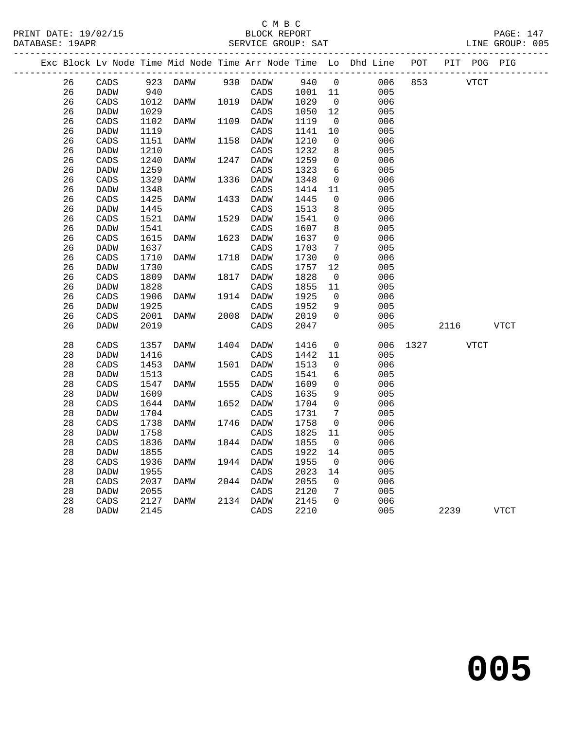## $\begin{array}{c} \texttt{C} \texttt{M} \texttt{B} \texttt{C} \\ \texttt{BLOCK} \texttt{PPT} \end{array}$ SERVICE GROUP: SAT

| PRINT DATE: 19/02/15 | BLOCK REPORT       | $\mathtt{PAGE}$ : |
|----------------------|--------------------|-------------------|
| DATABASE: 19APR      | SERVICE GROUP: SAT | LINE GROUP: 005   |

|  |    |                 |      |          |      |                 |         |                 | Exc Block Lv Node Time Mid Node Time Arr Node Time Lo Dhd Line POT |      | PIT POG PIG |      |             |  |
|--|----|-----------------|------|----------|------|-----------------|---------|-----------------|--------------------------------------------------------------------|------|-------------|------|-------------|--|
|  | 26 | CADS            |      | 923 DAMW |      | 930 DADW        | 940     | $\overline{0}$  | 006                                                                | 853  | <b>VTCT</b> |      |             |  |
|  | 26 | DADW            | 940  |          |      | CADS            | 1001 11 |                 | 005                                                                |      |             |      |             |  |
|  | 26 | CADS            | 1012 | DAMW     |      | 1019 DADW       | 1029    | $\overline{0}$  | 006                                                                |      |             |      |             |  |
|  | 26 | <b>DADW</b>     | 1029 |          |      | CADS            | 1050    | 12              | 005                                                                |      |             |      |             |  |
|  | 26 | CADS            | 1102 | DAMW     |      | 1109 DADW       | 1119    | $\mathbf 0$     | 006                                                                |      |             |      |             |  |
|  | 26 | DADW            | 1119 |          |      | CADS            | 1141    | $10$            | 005                                                                |      |             |      |             |  |
|  | 26 | CADS            | 1151 | DAMW     | 1158 | DADW            | 1210    | 0               | 006                                                                |      |             |      |             |  |
|  | 26 | DADW            | 1210 |          |      | CADS            | 1232    | 8               | 005                                                                |      |             |      |             |  |
|  | 26 | CADS            | 1240 | DAMW     | 1247 | <b>DADW</b>     | 1259    | $\mathbf 0$     | 006                                                                |      |             |      |             |  |
|  | 26 | <b>DADW</b>     | 1259 |          |      | CADS            | 1323    | 6               | 005                                                                |      |             |      |             |  |
|  | 26 | CADS            | 1329 | DAMW     | 1336 | DADW            | 1348    | $\mathbf 0$     | 006                                                                |      |             |      |             |  |
|  | 26 | DADW            | 1348 |          |      | CADS            | 1414    | 11              | 005                                                                |      |             |      |             |  |
|  | 26 | CADS            | 1425 | DAMW     | 1433 | DADW            | 1445    | $\mathbf 0$     | 006                                                                |      |             |      |             |  |
|  | 26 | <b>DADW</b>     | 1445 |          |      | $\mathtt{CADS}$ | 1513    | 8               | 005                                                                |      |             |      |             |  |
|  | 26 | CADS            | 1521 | DAMW     | 1529 | DADW            | 1541    | $\mathbf 0$     | 006                                                                |      |             |      |             |  |
|  | 26 | DADW            | 1541 |          |      | CADS            | 1607    | 8               | 005                                                                |      |             |      |             |  |
|  | 26 | CADS            | 1615 | DAMW     | 1623 | DADW            | 1637    | $\Omega$        | 006                                                                |      |             |      |             |  |
|  | 26 | <b>DADW</b>     | 1637 |          |      | CADS            | 1703    | $7\phantom{.0}$ | 005                                                                |      |             |      |             |  |
|  | 26 | CADS            | 1710 | DAMW     | 1718 | DADW            | 1730    | $\mathbf 0$     | 006                                                                |      |             |      |             |  |
|  | 26 | DADW            | 1730 |          |      | CADS            | 1757    | 12              | 005                                                                |      |             |      |             |  |
|  | 26 | CADS            | 1809 | DAMW     | 1817 | <b>DADW</b>     | 1828    | $\mathbf 0$     | 006                                                                |      |             |      |             |  |
|  | 26 | DADW            | 1828 |          |      | CADS            | 1855    | 11              | 005                                                                |      |             |      |             |  |
|  | 26 | CADS            | 1906 | DAMW     |      | 1914 DADW       | 1925    | 0               | 006                                                                |      |             |      |             |  |
|  | 26 | DADW            | 1925 |          |      | CADS            | 1952    | 9               | 005                                                                |      |             |      |             |  |
|  | 26 | CADS            | 2001 | DAMW     |      | 2008 DADW       | 2019    | $\Omega$        | 006                                                                |      |             |      |             |  |
|  | 26 | <b>DADW</b>     | 2019 |          |      | CADS            | 2047    |                 | 005                                                                |      | 2116        |      | <b>VTCT</b> |  |
|  |    |                 |      |          |      |                 |         |                 |                                                                    |      |             |      |             |  |
|  | 28 | CADS            | 1357 | DAMW     |      | 1404 DADW       | 1416    | 0               | 006                                                                | 1327 |             | VTCT |             |  |
|  | 28 | <b>DADW</b>     | 1416 |          |      | CADS            | 1442    | 11              | 005                                                                |      |             |      |             |  |
|  | 28 | CADS            | 1453 | DAMW     |      | 1501 DADW       | 1513    | $\mathbf 0$     | 006                                                                |      |             |      |             |  |
|  | 28 | <b>DADW</b>     | 1513 |          |      | CADS            | 1541    | 6               | 005                                                                |      |             |      |             |  |
|  | 28 | CADS            | 1547 | DAMW     | 1555 | DADW            | 1609    | $\mathbf 0$     | 006                                                                |      |             |      |             |  |
|  | 28 | DADW            | 1609 |          |      | CADS            | 1635    | 9               | 005                                                                |      |             |      |             |  |
|  | 28 | $\mathtt{CADS}$ | 1644 | DAMW     | 1652 | DADW            | 1704    | $\mathbf 0$     | 006                                                                |      |             |      |             |  |
|  | 28 | <b>DADW</b>     | 1704 |          |      | CADS            | 1731    | 7               | 005                                                                |      |             |      |             |  |
|  | 28 | CADS            | 1738 | DAMW     |      | 1746 DADW       | 1758    | $\mathbf 0$     | 006                                                                |      |             |      |             |  |
|  | 28 | <b>DADW</b>     | 1758 |          |      | CADS            | 1825    | 11              | 005                                                                |      |             |      |             |  |
|  | 28 | CADS            | 1836 | DAMW     |      | 1844 DADW       | 1855    | 0               | 006                                                                |      |             |      |             |  |
|  | 28 | <b>DADW</b>     | 1855 |          |      | CADS            | 1922    | 14              | 005                                                                |      |             |      |             |  |
|  | 28 | CADS            | 1936 | DAMW     |      | 1944 DADW       | 1955    | $\overline{0}$  | 006                                                                |      |             |      |             |  |
|  | 28 | DADW            | 1955 |          |      | CADS            | 2023    | 14              | 005                                                                |      |             |      |             |  |
|  | 28 | $\mathtt{CADS}$ | 2037 | DAMW     | 2044 | DADW            | 2055    | $\Omega$        | 006                                                                |      |             |      |             |  |
|  | 28 | <b>DADW</b>     | 2055 |          |      | CADS            | 2120    | 7               | 005                                                                |      |             |      |             |  |
|  | 28 | CADS            | 2127 | DAMW     |      | 2134 DADW       | 2145    | $\Omega$        | 006                                                                |      |             |      |             |  |
|  | 28 | DADW            | 2145 |          |      | CADS            | 2210    |                 | 005                                                                |      | 2239        |      | <b>VTCT</b> |  |
|  |    |                 |      |          |      |                 |         |                 |                                                                    |      |             |      |             |  |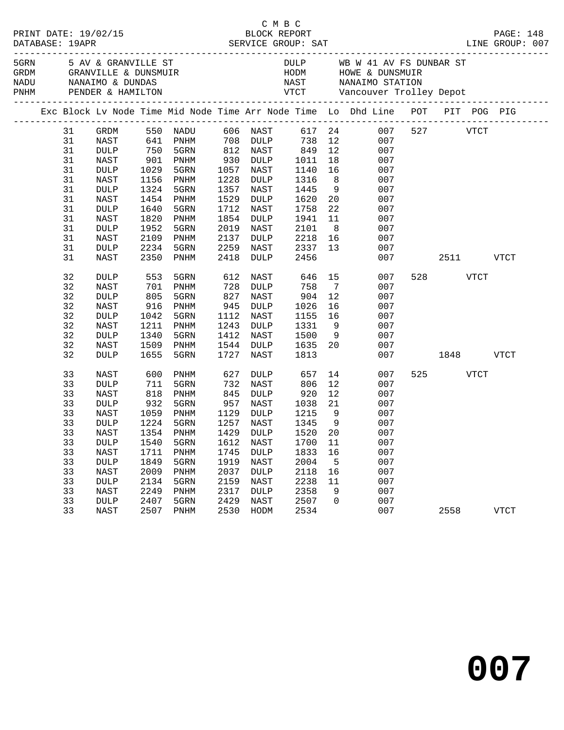|         |                 |                   |                             |      |             |                      |    | C M B C<br>PRINT DATE: 19/02/15<br>DATABASE: 19APR<br>DATABASE: 19APR<br>SERVICE GROUP: SAT<br>SERVICE GROUP: SAT<br>DATABASE: 19APR<br>LINE GROUP: 007                                                                        |           |             |
|---------|-----------------|-------------------|-----------------------------|------|-------------|----------------------|----|--------------------------------------------------------------------------------------------------------------------------------------------------------------------------------------------------------------------------------|-----------|-------------|
|         |                 |                   |                             |      |             |                      |    | 5 AV & GRANVILLE ST AND STRING STRING STRING STRING STRING STRING STRING STRING STRING STRING STRING STRING STRING STRING STRING STRING STRING STRING STRING STRING STRING STRING STRING STRING STRING STRING STRING STRING ST |           |             |
|         |                 |                   |                             |      |             |                      |    |                                                                                                                                                                                                                                |           |             |
|         |                 |                   |                             |      |             |                      |    |                                                                                                                                                                                                                                |           |             |
|         |                 |                   |                             |      |             |                      |    |                                                                                                                                                                                                                                |           |             |
|         |                 |                   |                             |      |             |                      |    | Exc Block Lv Node Time Mid Node Time Arr Node Time Lo Dhd Line POT PIT POG PIG                                                                                                                                                 |           |             |
| 31      | GRDM            |                   |                             |      |             |                      |    | 550 NADU 606 NAST 617 24 007 527 VTCT                                                                                                                                                                                          |           |             |
| 31      | NAST            |                   |                             |      |             |                      |    |                                                                                                                                                                                                                                |           |             |
| 31      | DULP            |                   |                             |      |             |                      |    | 641 PNHM 708 DULP 738 12 007<br>750 5GRN 812 NAST 849 12 007<br>901 PNHM 930 DULP 1011 18 007                                                                                                                                  |           |             |
| 31      | NAST            |                   |                             |      |             |                      |    |                                                                                                                                                                                                                                |           |             |
| 31      | <b>DULP</b>     | 1029              | 5GRN                        | 1057 | NAST        | 1140                 |    | 16 007                                                                                                                                                                                                                         |           |             |
| 31      | NAST            | 1156              | PNHM                        | 1228 | DULP        | 1316                 |    | $\begin{array}{ccc} 8 & 007 \\ 9 & 007 \\ 20 & 007 \end{array}$                                                                                                                                                                |           |             |
| 31      | <b>DULP</b>     | 1324              | 5GRN                        | 1357 | NAST        | 1445                 |    |                                                                                                                                                                                                                                |           |             |
| 31      | NAST            | 1454              | PNHM                        | 1529 | DULP        | 1620                 |    |                                                                                                                                                                                                                                |           |             |
| 31      | $\texttt{DULP}$ | 1640              | 5GRN                        | 1712 | NAST        | 1758                 |    | 22<br>007                                                                                                                                                                                                                      |           |             |
| 31      | NAST            | 1820              | PNHM                        | 1854 | DULP        | 1941                 |    | 11<br>007                                                                                                                                                                                                                      |           |             |
| 31      | <b>DULP</b>     | 1952              | 5GRN                        | 2019 | NAST        | 2101                 |    | $\begin{array}{c} 8 \\ 16 \end{array}$<br>007                                                                                                                                                                                  |           |             |
| 31      | NAST            | 2109              | PNHM                        | 2137 |             | DULP 2218            |    | 007                                                                                                                                                                                                                            |           |             |
| 31      | <b>DULP</b>     | 2234              | 5GRN                        | 2259 |             | NAST 2337 13         |    | 007                                                                                                                                                                                                                            |           |             |
| 31      | NAST            | 2350              | PNHM                        | 2418 | DULP        | 2456                 |    | 007                                                                                                                                                                                                                            | 2511 VTCT |             |
| 32      | <b>DULP</b>     | 553               | 5GRN                        | 612  | NAST        |                      |    | 646 15<br>007                                                                                                                                                                                                                  | 528 VTCT  |             |
| 32      | NAST            | 701               | PNHM                        | 728  | DULP        |                      |    | 758 7<br>007                                                                                                                                                                                                                   |           |             |
| 32      | <b>DULP</b>     | 805               | 5GRN                        | 827  | NAST        | 904                  | 12 | 007                                                                                                                                                                                                                            |           |             |
| 32      | NAST            | 916               | PNHM                        | 945  | DULP        |                      |    | 007                                                                                                                                                                                                                            |           |             |
| 32      | <b>DULP</b>     | 1042              | 5GRN                        | 1112 | NAST        | 1026  16<br>1155  16 |    | 007                                                                                                                                                                                                                            |           |             |
| 32      | NAST            | 1211              | PNHM                        | 1243 | DULP        | 1331                 |    | 9<br>007                                                                                                                                                                                                                       |           |             |
| 32      | $\texttt{DULP}$ | 1340              | 5GRN                        | 1412 | NAST        |                      |    | 1500 9<br>007                                                                                                                                                                                                                  |           |             |
| 32      | NAST            | 1509              | PNHM                        | 1544 | DULP        | 1635 20              |    | 007                                                                                                                                                                                                                            |           |             |
| 32      | <b>DULP</b>     | 1655              | 5GRN                        | 1727 | NAST        | 1813                 |    | 007                                                                                                                                                                                                                            | 1848      | VTCT        |
| 33      | <b>NAST</b>     | 600               | PNHM                        | 627  | DULP        | 657                  |    | 14 \,<br>007                                                                                                                                                                                                                   | 525 VTCT  |             |
| 33      | <b>DULP</b>     |                   | 5GRN                        | 732  | NAST        | 806                  |    | 12<br>007                                                                                                                                                                                                                      |           |             |
| 33      | NAST            | 711<br>818<br>932 | PNHM                        | 845  | DULP        |                      | 12 | 007                                                                                                                                                                                                                            |           |             |
| 33      | DULP            |                   | 5GRN                        |      | 957 NAST    | 920<br>1038          |    | $21$ 007                                                                                                                                                                                                                       |           |             |
| 33      | NAST            |                   | 1059 PNHM                   |      |             |                      |    | 1129 DULP 1215 9 007                                                                                                                                                                                                           |           |             |
| 33      | <b>DULP</b>     |                   | 1224 5GRN                   |      | 1257 NAST   | 1345 9               |    | 007                                                                                                                                                                                                                            |           |             |
| 33 NAST |                 |                   | 1354 PNHM 1429 DULP 1520 20 |      |             |                      |    | 007                                                                                                                                                                                                                            |           |             |
| 33      | <b>DULP</b>     | 1540              | 5GRN                        | 1612 | NAST        | 1700                 | 11 | 007                                                                                                                                                                                                                            |           |             |
| 33      | NAST            | 1711              | PNHM                        | 1745 | <b>DULP</b> | 1833                 | 16 | 007                                                                                                                                                                                                                            |           |             |
| 33      | <b>DULP</b>     | 1849              | 5GRN                        | 1919 | NAST        | 2004                 | 5  | 007                                                                                                                                                                                                                            |           |             |
| 33      | NAST            | 2009              | PNHM                        | 2037 | <b>DULP</b> | 2118                 | 16 | 007                                                                                                                                                                                                                            |           |             |
| 33      | <b>DULP</b>     | 2134              | 5GRN                        | 2159 | NAST        | 2238                 | 11 | 007                                                                                                                                                                                                                            |           |             |
| 33      | <b>NAST</b>     | 2249              | PNHM                        | 2317 | <b>DULP</b> | 2358                 | 9  | 007                                                                                                                                                                                                                            |           |             |
| 33      | <b>DULP</b>     | 2407              | 5GRN                        | 2429 | NAST        | 2507                 | 0  | 007                                                                                                                                                                                                                            |           |             |
| 33      | NAST            | 2507              | PNHM                        | 2530 | HODM        | 2534                 |    | 007                                                                                                                                                                                                                            | 2558      | <b>VTCT</b> |

**007**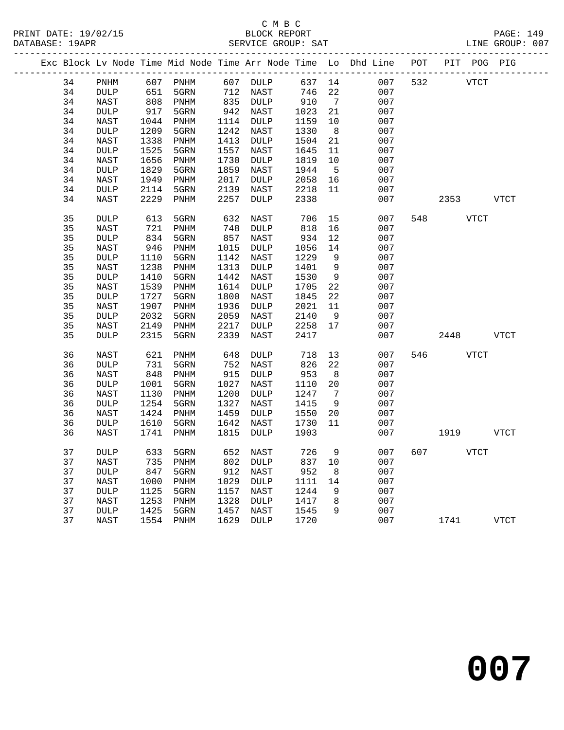## C M B C

|  | DATABASE: 19APR |                 |                 |      |      | SERVICE GROUP: SAT       |         |                 | LINE GROUP: 007                                                                |              |             |  |
|--|-----------------|-----------------|-----------------|------|------|--------------------------|---------|-----------------|--------------------------------------------------------------------------------|--------------|-------------|--|
|  |                 |                 |                 |      |      |                          |         |                 | Exc Block Lv Node Time Mid Node Time Arr Node Time Lo Dhd Line POT PIT POG PIG |              |             |  |
|  | 34              | PNHM            |                 |      |      | 607 PNHM 607 DULP 637 14 |         |                 |                                                                                | 007 532 VTCT |             |  |
|  | 34              | DULP            | 651             |      |      | 5GRN 712 NAST 746        |         | 22              | 007                                                                            |              |             |  |
|  | 34              | NAST            | 808             | PNHM |      | 835 DULP                 | 910     | $7\overline{ }$ | 007                                                                            |              |             |  |
|  | 34              | <b>DULP</b>     | 917             | 5GRN |      | 942 NAST                 | 1023    | 21              | 007                                                                            |              |             |  |
|  | 34              | NAST            | 1044            | PNHM |      | 1114 DULP                | 1159    | 10              | 007                                                                            |              |             |  |
|  | 34              | DULP            | 1209            | 5GRN | 1242 | NAST                     | 1330    | 8 <sup>8</sup>  | 007                                                                            |              |             |  |
|  | 34              | NAST            | 1338            | PNHM | 1413 | DULP                     | 1504    | 21              | 007                                                                            |              |             |  |
|  | 34              | <b>DULP</b>     | 1525            | 5GRN | 1557 | NAST                     | 1645    | 11              | 007                                                                            |              |             |  |
|  | 34              | NAST            | 1656            | PNHM | 1730 | DULP                     | 1819    | 10              | 007                                                                            |              |             |  |
|  | 34              | <b>DULP</b>     | 1829            | 5GRN | 1859 | NAST                     | 1944    | $5^{\circ}$     | 007                                                                            |              |             |  |
|  | 34              | NAST            | 1949            | PNHM | 2017 | DULP                     | 2058    | 16              | 007                                                                            |              |             |  |
|  | 34              | <b>DULP</b>     | 2114            | 5GRN | 2139 | NAST                     | 2218    | 11              | 007                                                                            |              |             |  |
|  | 34              | NAST            | 2229            | PNHM | 2257 | DULP                     | 2338    |                 | 007                                                                            | 2353         | VTCT        |  |
|  | 35              | <b>DULP</b>     | 613             | 5GRN | 632  | NAST                     | 706     | 15              | 007                                                                            | 548 VTCT     |             |  |
|  | 35              | NAST            | $\frac{1}{834}$ | PNHM | 748  | DULP                     | 818     | 16              | 007                                                                            |              |             |  |
|  | 35              | <b>DULP</b>     |                 | 5GRN | 857  | NAST                     | 934     | 12              | 007                                                                            |              |             |  |
|  | 35              | NAST            | 946             | PNHM | 1015 | DULP                     | 1056    | 14              | 007                                                                            |              |             |  |
|  | 35              | <b>DULP</b>     | 1110            | 5GRN | 1142 | NAST                     | 1229    | 9               | 007                                                                            |              |             |  |
|  | 35              | NAST            | 1238            | PNHM | 1313 | DULP                     | 1401    | 9               | 007                                                                            |              |             |  |
|  | 35              | $\texttt{DULP}$ | 1410            | 5GRN | 1442 | NAST                     | 1530    | 9               | 007                                                                            |              |             |  |
|  | 35              | NAST            | 1539            | PNHM | 1614 | DULP                     | 1705    | 22              | 007                                                                            |              |             |  |
|  | 35              | <b>DULP</b>     | 1727            | 5GRN | 1800 | NAST                     | 1845    | 22              | 007                                                                            |              |             |  |
|  | 35              | NAST            | 1907            | PNHM | 1936 | DULP                     | 2021    | 11              | 007                                                                            |              |             |  |
|  | 35              | <b>DULP</b>     | 2032            | 5GRN | 2059 | NAST                     | 2140    | 9               | 007                                                                            |              |             |  |
|  | 35              | NAST            | 2149            | PNHM | 2217 | DULP                     | 2258 17 |                 | 007                                                                            |              |             |  |
|  | 35              | <b>DULP</b>     | 2315            | 5GRN | 2339 | NAST                     | 2417    |                 | 007                                                                            | 2448 VTCT    |             |  |
|  | 36              | NAST            | 621             | PNHM | 648  | DULP                     | 718     | 13              | 007                                                                            | 546 VTCT     |             |  |
|  | 36              | <b>DULP</b>     | 731             | 5GRN | 752  | NAST                     | 826     | 22              | 007                                                                            |              |             |  |
|  | 36              | NAST            | 848             | PNHM | 915  | DULP                     | 953     | 8 <sup>8</sup>  | 007                                                                            |              |             |  |
|  | 36              | <b>DULP</b>     | 1001            | 5GRN | 1027 | NAST                     | 1110    | 20              | 007                                                                            |              |             |  |
|  | 36              | NAST            | 1130            | PNHM | 1200 | DULP                     | 1247    | $\overline{7}$  | 007                                                                            |              |             |  |
|  | 36              | <b>DULP</b>     | 1254            | 5GRN | 1327 | NAST                     | 1415    | 9               | 007                                                                            |              |             |  |
|  | 36              | NAST            | 1424            | PNHM | 1459 | DULP                     | 1550    | 20              | 007                                                                            |              |             |  |
|  | 36              | <b>DULP</b>     | 1610            | 5GRN | 1642 | NAST                     | 1730    | 11              | 007                                                                            |              |             |  |
|  | 36              | NAST            | 1741            | PNHM | 1815 | DULP                     | 1903    |                 | 007                                                                            | 1919         | VTCT        |  |
|  | 37              | <b>DULP</b>     |                 |      |      |                          |         |                 | 633 5GRN 652 NAST 726 9 007 607 VTCT                                           |              |             |  |
|  | 37              | NAST            | 735             | PNHM | 802  | <b>DULP</b>              | 837     | 10              | 007                                                                            |              |             |  |
|  | 37              | <b>DULP</b>     | 847             | 5GRN | 912  | NAST                     | 952     | 8               | 007                                                                            |              |             |  |
|  | 37              | NAST            | 1000            | PNHM | 1029 | <b>DULP</b>              | 1111    | 14              | 007                                                                            |              |             |  |
|  | 37              | <b>DULP</b>     | 1125            | 5GRN | 1157 | NAST                     | 1244    | 9               | 007                                                                            |              |             |  |
|  | 37              | NAST            | 1253            | PNHM | 1328 | <b>DULP</b>              | 1417    | 8               | 007                                                                            |              |             |  |
|  | 37              | DULP            | 1425            | 5GRN | 1457 | NAST                     | 1545    | 9               | 007                                                                            |              |             |  |
|  | 37              | <b>NAST</b>     | 1554            | PNHM | 1629 | <b>DULP</b>              | 1720    |                 | 007                                                                            | 1741         | <b>VTCT</b> |  |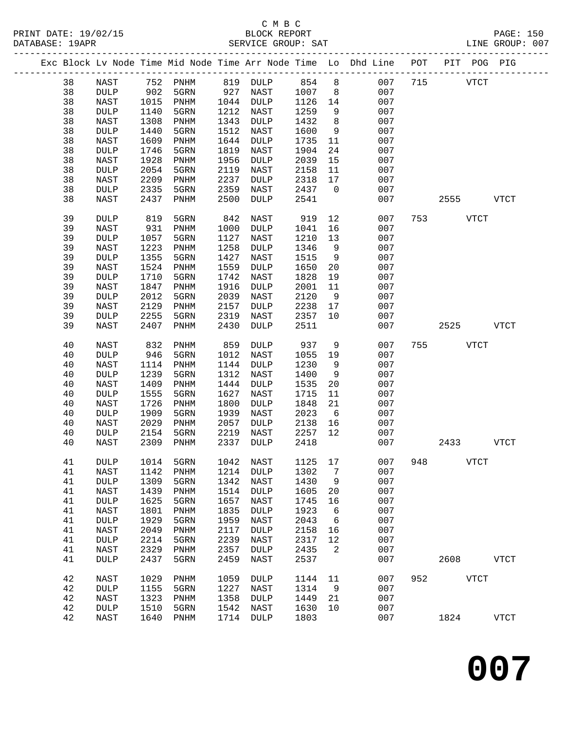|  |    |                 |      |              |      |                 |              |             | Exc Block Lv Node Time Mid Node Time Arr Node Time Lo Dhd Line POT |     |      | PIT POG PIG |              |
|--|----|-----------------|------|--------------|------|-----------------|--------------|-------------|--------------------------------------------------------------------|-----|------|-------------|--------------|
|  | 38 | NAST            | 752  | PNHM         | 819  | $\texttt{DULP}$ | 854          | 8           | 007                                                                | 715 |      | <b>VTCT</b> |              |
|  | 38 | $\texttt{DULP}$ | 902  | 5GRN         | 927  | NAST            | 1007         | 8           | 007                                                                |     |      |             |              |
|  | 38 | NAST            | 1015 | PNHM         | 1044 | $\texttt{DULP}$ | 1126         | 14          | 007                                                                |     |      |             |              |
|  | 38 | <b>DULP</b>     | 1140 | 5GRN         | 1212 | NAST            | 1259         | 9           | 007                                                                |     |      |             |              |
|  | 38 | NAST            | 1308 | PNHM         | 1343 | DULP            | 1432         | 8           | 007                                                                |     |      |             |              |
|  | 38 | DULP            | 1440 | 5GRN         | 1512 | NAST            | 1600         | 9           | 007                                                                |     |      |             |              |
|  | 38 |                 | 1609 |              | 1644 |                 |              |             | 007                                                                |     |      |             |              |
|  | 38 | NAST            | 1746 | PNHM<br>5GRN | 1819 | <b>DULP</b>     | 1735<br>1904 | 11<br>24    | 007                                                                |     |      |             |              |
|  |    | <b>DULP</b>     |      |              | 1956 | NAST            |              |             |                                                                    |     |      |             |              |
|  | 38 | NAST            | 1928 | PNHM         | 2119 | <b>DULP</b>     | 2039         | 15          | 007                                                                |     |      |             |              |
|  | 38 | DULP            | 2054 | 5GRN         |      | NAST            | 2158         | 11          | 007                                                                |     |      |             |              |
|  | 38 | NAST            | 2209 | PNHM         | 2237 | <b>DULP</b>     | 2318         | 17          | 007                                                                |     |      |             |              |
|  | 38 | DULP            | 2335 | 5GRN         | 2359 | NAST            | 2437         | $\mathbf 0$ | 007                                                                |     |      |             |              |
|  | 38 | <b>NAST</b>     | 2437 | PNHM         | 2500 | <b>DULP</b>     | 2541         |             | 007                                                                |     | 2555 |             | <b>VTCT</b>  |
|  | 39 | <b>DULP</b>     | 819  | 5GRN         | 842  | NAST            | 919          | 12          | 007                                                                | 753 |      | <b>VTCT</b> |              |
|  | 39 | <b>NAST</b>     | 931  | PNHM         | 1000 | <b>DULP</b>     | 1041         | 16          | 007                                                                |     |      |             |              |
|  | 39 | <b>DULP</b>     | 1057 | 5GRN         | 1127 | NAST            | 1210         | 13          | 007                                                                |     |      |             |              |
|  | 39 | <b>NAST</b>     | 1223 | PNHM         | 1258 | <b>DULP</b>     | 1346         | 9           | 007                                                                |     |      |             |              |
|  | 39 | <b>DULP</b>     | 1355 | 5GRN         | 1427 | NAST            | 1515         | 9           | 007                                                                |     |      |             |              |
|  | 39 | NAST            | 1524 | PNHM         | 1559 | DULP            | 1650         | 20          | 007                                                                |     |      |             |              |
|  | 39 | <b>DULP</b>     | 1710 | 5GRN         | 1742 | NAST            | 1828         | 19          | 007                                                                |     |      |             |              |
|  | 39 | NAST            | 1847 | PNHM         | 1916 | <b>DULP</b>     | 2001         | 11          | 007                                                                |     |      |             |              |
|  | 39 | <b>DULP</b>     | 2012 | 5GRN         | 2039 | NAST            | 2120         | 9           | 007                                                                |     |      |             |              |
|  | 39 | NAST            | 2129 | PNHM         | 2157 | <b>DULP</b>     | 2238         | 17          | 007                                                                |     |      |             |              |
|  | 39 | <b>DULP</b>     | 2255 | 5GRN         | 2319 | NAST            | 2357         | 10          | 007                                                                |     |      |             |              |
|  | 39 | <b>NAST</b>     | 2407 | PNHM         | 2430 | <b>DULP</b>     | 2511         |             | 007                                                                |     | 2525 |             | <b>VTCT</b>  |
|  | 40 | NAST            | 832  | PNHM         | 859  | DULP            | 937          | 9           | 007                                                                | 755 |      | <b>VTCT</b> |              |
|  | 40 | <b>DULP</b>     | 946  | 5GRN         | 1012 | NAST            | 1055         | 19          | 007                                                                |     |      |             |              |
|  | 40 | NAST            | 1114 | PNHM         | 1144 | DULP            | 1230         | 9           | 007                                                                |     |      |             |              |
|  | 40 | DULP            | 1239 | 5GRN         | 1312 | NAST            | 1400         | 9           | 007                                                                |     |      |             |              |
|  | 40 | NAST            | 1409 | PNHM         | 1444 | <b>DULP</b>     | 1535         | 20          | 007                                                                |     |      |             |              |
|  | 40 | <b>DULP</b>     | 1555 | 5GRN         | 1627 | NAST            | 1715         | 11          | 007                                                                |     |      |             |              |
|  | 40 | NAST            | 1726 | PNHM         | 1800 | <b>DULP</b>     | 1848         | 21          | 007                                                                |     |      |             |              |
|  | 40 | $\texttt{DULP}$ | 1909 | 5GRN         | 1939 | NAST            | 2023         | 6           | 007                                                                |     |      |             |              |
|  | 40 | NAST            | 2029 | PNHM         | 2057 | <b>DULP</b>     | 2138         | 16          | 007                                                                |     |      |             |              |
|  | 40 | DULP            | 2154 | 5GRN         | 2219 | NAST            | 2257         | 12          | 007                                                                |     |      |             |              |
|  | 40 | NAST            | 2309 | PNHM         | 2337 | <b>DULP</b>     | 2418         |             | 007                                                                |     | 2433 |             | <b>VTCT</b>  |
|  |    |                 |      |              |      |                 |              |             |                                                                    |     |      |             |              |
|  | 41 | DULP            | 1014 | 5GRN         | 1042 | NAST            | 1125         | 17          | 007                                                                | 948 |      | VTCT        |              |
|  | 41 | NAST            | 1142 | PNHM         | 1214 | <b>DULP</b>     | 1302         | 7           | 007                                                                |     |      |             |              |
|  | 41 | DULP            | 1309 | 5GRN         | 1342 | NAST            | 1430         | 9           | 007                                                                |     |      |             |              |
|  | 41 | NAST            | 1439 | PNHM         | 1514 | <b>DULP</b>     | 1605         | 20          | 007                                                                |     |      |             |              |
|  | 41 | DULP            | 1625 | 5GRN         | 1657 | NAST            | 1745         | 16          | 007                                                                |     |      |             |              |
|  | 41 | NAST            | 1801 | PNHM         | 1835 | <b>DULP</b>     | 1923         | 6           | 007                                                                |     |      |             |              |
|  | 41 | <b>DULP</b>     | 1929 | 5GRN         | 1959 | NAST            | 2043         | 6           | 007                                                                |     |      |             |              |
|  | 41 | NAST            | 2049 | PNHM         | 2117 | DULP            | 2158         | 16          | 007                                                                |     |      |             |              |
|  | 41 | <b>DULP</b>     | 2214 | 5GRN         | 2239 | NAST            | 2317         | 12          | 007                                                                |     |      |             |              |
|  | 41 | NAST            | 2329 | PNHM         | 2357 | <b>DULP</b>     | 2435         | 2           | 007                                                                |     |      |             |              |
|  | 41 | <b>DULP</b>     | 2437 | 5GRN         | 2459 | NAST            | 2537         |             | 007                                                                |     | 2608 |             | <b>VTCT</b>  |
|  | 42 | NAST            | 1029 | PNHM         | 1059 | <b>DULP</b>     | 1144         | 11          | 007                                                                | 952 |      | <b>VTCT</b> |              |
|  | 42 | DULP            | 1155 | 5GRN         | 1227 | NAST            | 1314         | 9           | 007                                                                |     |      |             |              |
|  | 42 | NAST            | 1323 | PNHM         | 1358 | <b>DULP</b>     | 1449         | 21          | 007                                                                |     |      |             |              |
|  | 42 | DULP            | 1510 | 5GRN         | 1542 | NAST            | 1630         | 10          | 007                                                                |     |      |             |              |
|  | 42 | NAST            | 1640 | PNHM         | 1714 | <b>DULP</b>     | 1803         |             | 007                                                                |     | 1824 |             | ${\tt VTCT}$ |
|  |    |                 |      |              |      |                 |              |             |                                                                    |     |      |             |              |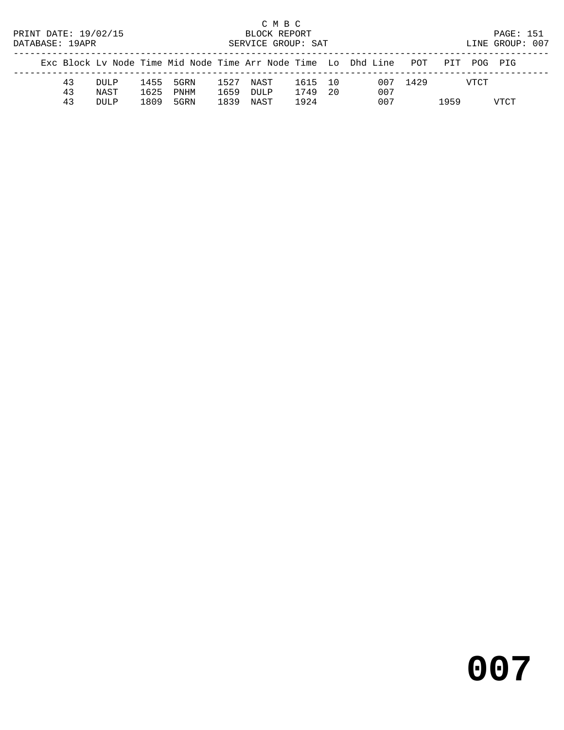C M B C<br>BLOCK REPORT PRINT DATE: 19/02/15 BLOCK REPORT PAGE: 151 SERVICE GROUP: SAT

|  |    |      |      |           |      |           |         | Exc Block Ly Node Time Mid Node Time Arr Node Time Lo Dhd Line POT PIT POG PIG |          |      |      |
|--|----|------|------|-----------|------|-----------|---------|--------------------------------------------------------------------------------|----------|------|------|
|  | 43 | DULP |      | 1455 5GRN |      | 1527 NAST | 1615 10 |                                                                                | 007 1429 | VTCT |      |
|  | 43 | NAST | 1625 | PNHM      |      | 1659 DULP | 1749 20 | 007                                                                            |          |      |      |
|  | 43 | DULP | 1809 | 5GRN      | 1839 | NAST      | 1924    | 007                                                                            |          | 1959 | VTCT |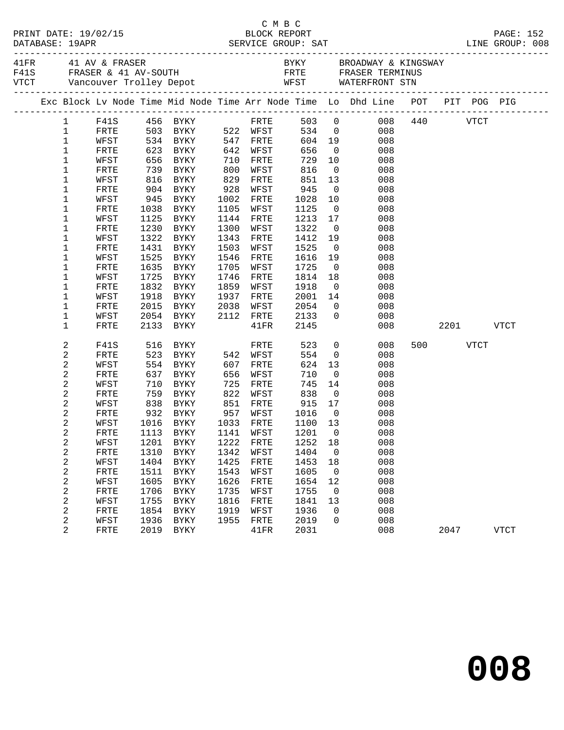|                  |                 |              |                                                                            |              |                   |              |                | Exc Block Lv Node Time Mid Node Time Arr Node Time Lo Dhd Line POT PIT POG PIG |          |      |           |             |
|------------------|-----------------|--------------|----------------------------------------------------------------------------|--------------|-------------------|--------------|----------------|--------------------------------------------------------------------------------|----------|------|-----------|-------------|
|                  | 1 F41S 456 BYKY |              |                                                                            |              | FRTE              |              |                | 503 0 008 440 VTCT                                                             |          |      |           |             |
| $\mathbf{1}$     | FRTE            |              | 503 BYKY 522 WFST                                                          |              |                   |              |                | 534 0<br>008                                                                   |          |      |           |             |
| $\mathbf{1}$     | WFST            |              |                                                                            |              |                   |              |                | 604 19<br>008                                                                  |          |      |           |             |
| $\mathbf{1}$     | FRTE            |              |                                                                            |              | 642 WFST          | 656          | $\overline{0}$ | 008                                                                            |          |      |           |             |
| 1                | WFST            |              |                                                                            |              | FRTE              |              |                | 729 10<br>008                                                                  |          |      |           |             |
| 1                | FRTE            |              | 739 BYKY 800                                                               |              | WFST              | 816          |                | $\overline{0}$<br>008                                                          |          |      |           |             |
| 1                | WFST            |              | 816 BYKY                                                                   | 829          | FRTE              | 851          | 13             | 008                                                                            |          |      |           |             |
| $\mathbf 1$      | FRTE            |              | 904 BYKY                                                                   | 928          | WFST              | 945          | $\overline{0}$ | 008<br>10                                                                      |          |      |           |             |
| $\mathbf 1$      | WFST            |              | 945 BYKY<br>BYKY                                                           | 1002<br>1105 | FRTE              | 1028<br>1125 | $\overline{0}$ | 008                                                                            |          |      |           |             |
| 1<br>$\mathbf 1$ | FRTE<br>WFST    | 1038<br>1125 | BYKY                                                                       |              | WFST<br>1144 FRTE | 1213         | 17             | 008<br>008                                                                     |          |      |           |             |
| 1                | FRTE            |              | 1230 BYKY                                                                  | 1300         | WFST              | 1322         | $\overline{0}$ | 008                                                                            |          |      |           |             |
| $\mathbf 1$      | WFST            |              | 1322 BYKY                                                                  | 1343         | FRTE              | 1412         | 19             | 008                                                                            |          |      |           |             |
| $\mathbf 1$      | FRTE            | 1431         | BYKY                                                                       | 1503         | WFST              | 1525         | $\overline{0}$ | 008                                                                            |          |      |           |             |
| $\mathbf 1$      | WFST            | 1525         | BYKY                                                                       | 1546         | FRTE              | 1616         | 19             | 008                                                                            |          |      |           |             |
| 1                | FRTE            | 1635         | BYKY                                                                       | 1705         | WFST              | 1725         | $\overline{0}$ | 008                                                                            |          |      |           |             |
| $\mathbf 1$      | WFST            |              | 1725 BYKY                                                                  |              | 1746 FRTE         | 1814         | 18             | 008                                                                            |          |      |           |             |
| 1                | FRTE            |              | 1832 BYKY                                                                  | 1859         | WFST              | 1918         | $\overline{0}$ | 008                                                                            |          |      |           |             |
| $\mathbf 1$      | WFST            | 1918         | BYKY                                                                       | 1937         | FRTE              | 2001         |                | 14<br>008                                                                      |          |      |           |             |
| $\mathbf 1$      | FRTE            |              |                                                                            |              |                   | 2054         |                | $\overline{0}$<br>008                                                          |          |      |           |             |
| 1                | WFST            |              | 2015 BYKY 2038 WFST<br>2054 BYKY 2112 FRTE                                 |              |                   | 2133         | $\overline{0}$ | 008                                                                            |          |      |           |             |
| 1                | FRTE            |              | 2133 BYKY                                                                  |              | $41\mathrm{FR}$   | 2145         |                | 008                                                                            |          |      | 2201 VTCT |             |
| 2                | F41S            | 516          | $523$ BYKY 54<br>554 PV                                                    |              | FRTE              | 523          | $\overline{0}$ | 008                                                                            | 500 VTCT |      |           |             |
| 2                | FRTE            |              |                                                                            |              | 542 WFST          | 554          | $\overline{0}$ | 008                                                                            |          |      |           |             |
| 2                | WFST            |              | 554 BYKY                                                                   |              | 607 FRTE          | 624          | 13             | 008                                                                            |          |      |           |             |
| 2                | FRTE            | 637          | BYKY                                                                       | 656          | WFST              | 710          | $\overline{0}$ | 008                                                                            |          |      |           |             |
| 2                | WFST            |              |                                                                            |              |                   | 745          | 14             | 008                                                                            |          |      |           |             |
| 2                | FRTE            |              | 710 BYKY      725 FRTE<br>759 BYKY      822 WFST<br>838 BYKY      851 FRTE |              |                   | 838          | $\overline{0}$ | 008                                                                            |          |      |           |             |
| 2                | WFST            |              |                                                                            |              |                   | 915          | 17             | 008                                                                            |          |      |           |             |
| 2                | FRTE            |              | 932 BYKY 957 WFST                                                          |              |                   | 1016 0       |                | 008                                                                            |          |      |           |             |
| 2                | WFST            |              | 1016 BYKY                                                                  |              | 1033 FRTE         | 1100 13      |                | 008                                                                            |          |      |           |             |
| 2                |                 |              | FRTE 1113 BYKY 1141 WFST 1201 0                                            |              |                   |              |                | 008                                                                            |          |      |           |             |
| 2                | WFST<br>FRTE    | 1201<br>1310 | BYKY                                                                       | 1222<br>1342 | FRTE<br>WFST      | 1252<br>1404 | 18<br>0        | 008<br>008                                                                     |          |      |           |             |
| 2<br>2           | WFST            | 1404         | <b>BYKY</b><br><b>BYKY</b>                                                 | 1425         | FRTE              | 1453         | 18             | 008                                                                            |          |      |           |             |
| 2                | FRTE            | 1511         | <b>BYKY</b>                                                                | 1543         | WFST              | 1605         | $\mathbf 0$    | 008                                                                            |          |      |           |             |
| 2                | WFST            | 1605         | <b>BYKY</b>                                                                | 1626         | FRTE              | 1654         | 12             | 008                                                                            |          |      |           |             |
| 2                | FRTE            | 1706         | <b>BYKY</b>                                                                | 1735         | WFST              | 1755         | 0              | 008                                                                            |          |      |           |             |
| 2                | WFST            | 1755         | <b>BYKY</b>                                                                | 1816         | FRTE              | 1841         | 13             | 008                                                                            |          |      |           |             |
| 2                | FRTE            | 1854         | BYKY                                                                       | 1919         | WFST              | 1936         | 0              | 008                                                                            |          |      |           |             |
| 2                | WFST            | 1936         | <b>BYKY</b>                                                                | 1955         | FRTE              | 2019         | 0              | 008                                                                            |          |      |           |             |
| 2                | FRTE            | 2019         | <b>BYKY</b>                                                                |              | 41FR              | 2031         |                | 008                                                                            |          | 2047 |           | <b>VTCT</b> |
|                  |                 |              |                                                                            |              |                   |              |                |                                                                                |          |      |           |             |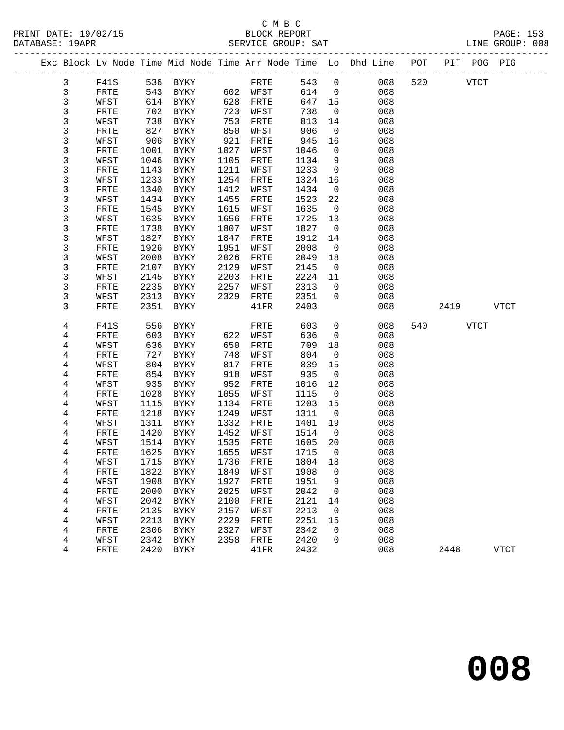## C M B C<br>BLOCK REPORT

LINE GROUP: 008

|  | DAIABASL · IYAPK |      |          | SEKVICE GKOUP. SAI |        |                                                                                |     |      | LINE GROUP. UU8 |  |
|--|------------------|------|----------|--------------------|--------|--------------------------------------------------------------------------------|-----|------|-----------------|--|
|  |                  |      |          |                    |        | Exc Block Lv Node Time Mid Node Time Arr Node Time Lo Dhd Line POT PIT POG PIG |     |      |                 |  |
|  |                  | F41S | 536 BYKY | FRTF.              | 543 0  | 00.8 L                                                                         | 520 | VTCT |                 |  |
|  |                  | FRTE | 543 RYKY | 602 WFST           | 614    | 008                                                                            |     |      |                 |  |
|  |                  | WFST | 614 RYKY | 628 FRTE           | 647 15 | 008                                                                            |     |      |                 |  |

 3 FRTE 702 BYKY 723 WFST 738 0 008 3 WFST 738 BYKY 753 FRTE 813 14 008 3 FRTE 827 BYKY 850 WFST 906 0 008 3 WFST 906 BYKY 921 FRTE 945 16 008

| 3              | ${\tt FRTE}$ | 1001 | <b>BYKY</b>  | 1027 | WFST         | 1046 | 0           | 008 |     |      |             |             |
|----------------|--------------|------|--------------|------|--------------|------|-------------|-----|-----|------|-------------|-------------|
| 3              | WFST         | 1046 | <b>BYKY</b>  | 1105 | FRTE         | 1134 | 9           | 008 |     |      |             |             |
| 3              | FRTE         | 1143 | <b>BYKY</b>  | 1211 | WFST         | 1233 | $\mathbf 0$ | 008 |     |      |             |             |
| 3              | WFST         | 1233 | <b>BYKY</b>  | 1254 | FRTE         | 1324 | 16          | 008 |     |      |             |             |
| 3              | FRTE         | 1340 | BYKY         | 1412 | WFST         | 1434 | $\mathbf 0$ | 008 |     |      |             |             |
| 3              | WFST         | 1434 | BYKY         | 1455 | FRTE         | 1523 | 22          | 008 |     |      |             |             |
| 3              | FRTE         | 1545 | <b>BYKY</b>  | 1615 | WFST         | 1635 | $\mathbf 0$ | 008 |     |      |             |             |
| 3              | WFST         | 1635 | <b>BYKY</b>  | 1656 | FRTE         | 1725 | 13          | 008 |     |      |             |             |
| 3              | FRTE         | 1738 | <b>BYKY</b>  | 1807 | WFST         | 1827 | $\mathbf 0$ | 008 |     |      |             |             |
| 3              | WFST         | 1827 | <b>BYKY</b>  | 1847 | FRTE         | 1912 | 14          | 008 |     |      |             |             |
| 3              | FRTE         | 1926 | <b>BYKY</b>  | 1951 | WFST         | 2008 | $\mathbf 0$ | 008 |     |      |             |             |
| 3              | WFST         | 2008 | <b>BYKY</b>  | 2026 | ${\tt FRTE}$ | 2049 | 18          | 008 |     |      |             |             |
| 3              | FRTE         | 2107 | BYKY         | 2129 | WFST         | 2145 | $\mathbf 0$ | 008 |     |      |             |             |
| 3              | WFST         | 2145 | <b>BYKY</b>  | 2203 | FRTE         | 2224 | 11          | 008 |     |      |             |             |
| 3              | FRTE         | 2235 | <b>BYKY</b>  | 2257 | WFST         | 2313 | $\mathbf 0$ | 008 |     |      |             |             |
| 3              | WFST         | 2313 | <b>BYKY</b>  | 2329 | ${\tt FRTE}$ | 2351 | 0           | 008 |     |      |             |             |
| 3              | FRTE         | 2351 | <b>BYKY</b>  |      | 41FR         | 2403 |             | 008 |     | 2419 |             | <b>VTCT</b> |
|                |              |      |              |      |              |      |             |     |     |      |             |             |
| $\,4$          | F41S         | 556  | <b>BYKY</b>  |      | FRTE         | 603  | 0           | 008 | 540 |      | <b>VTCT</b> |             |
| $\,4$          | FRTE         | 603  | <b>BYKY</b>  | 622  | WFST         | 636  | 0           | 008 |     |      |             |             |
| 4              | WFST         | 636  | BYKY         | 650  | FRTE         | 709  | 18          | 008 |     |      |             |             |
| 4              | FRTE         | 727  | <b>BYKY</b>  | 748  | WFST         | 804  | $\mathbf 0$ | 008 |     |      |             |             |
| 4              | WFST         | 804  | <b>BYKY</b>  | 817  | FRTE         | 839  | 15          | 008 |     |      |             |             |
| $\overline{4}$ | ${\tt FRTE}$ | 854  | <b>BYKY</b>  | 918  | WFST         | 935  | $\mathbf 0$ | 008 |     |      |             |             |
| 4              | WFST         | 935  | <b>BYKY</b>  | 952  | FRTE         | 1016 | 12          | 008 |     |      |             |             |
| 4              | FRTE         | 1028 | <b>BYKY</b>  | 1055 | WFST         | 1115 | $\mathbf 0$ | 008 |     |      |             |             |
| $\overline{4}$ | WFST         | 1115 | <b>BYKY</b>  | 1134 | FRTE         | 1203 | 15          | 008 |     |      |             |             |
| $\overline{4}$ | FRTE         | 1218 | <b>BYKY</b>  | 1249 | WFST         | 1311 | $\mathbf 0$ | 008 |     |      |             |             |
| 4              | WFST         | 1311 | <b>BYKY</b>  | 1332 | FRTE         | 1401 | 19          | 008 |     |      |             |             |
| 4              | FRTE         | 1420 | <b>BYKY</b>  | 1452 | WFST         | 1514 | $\mathbf 0$ | 008 |     |      |             |             |
| 4              | WFST         | 1514 | <b>BYKY</b>  | 1535 | FRTE         | 1605 | 20          | 008 |     |      |             |             |
| $\overline{4}$ | FRTE         | 1625 | ${\tt BYKY}$ | 1655 | WFST         | 1715 | 0           | 008 |     |      |             |             |
| 4              | WFST         | 1715 | <b>BYKY</b>  | 1736 | FRTE         | 1804 | 18          | 008 |     |      |             |             |
| 4              | FRTE         | 1822 | <b>BYKY</b>  | 1849 | WFST         | 1908 | 0           | 008 |     |      |             |             |
| 4              | WFST         | 1908 | <b>BYKY</b>  | 1927 | FRTE         | 1951 | 9           | 008 |     |      |             |             |
| $\overline{4}$ | FRTE         | 2000 | <b>BYKY</b>  | 2025 | WFST         | 2042 | 0           | 008 |     |      |             |             |
| 4              | WFST         | 2042 | <b>BYKY</b>  | 2100 | FRTE         | 2121 | 14          | 008 |     |      |             |             |
| 4              | FRTE         | 2135 | <b>BYKY</b>  | 2157 | WFST         | 2213 | 0           | 008 |     |      |             |             |
| $\overline{4}$ | WFST         | 2213 | <b>BYKY</b>  | 2229 | FRTE         | 2251 | 15          | 008 |     |      |             |             |
| 4              | FRTE         | 2306 | BYKY         | 2327 | WFST         | 2342 | 0           | 008 |     |      |             |             |
| 4              | WFST         | 2342 | BYKY         | 2358 | FRTE         | 2420 | 0           | 008 |     |      |             |             |
| 4              | FRTE         | 2420 | <b>BYKY</b>  |      | 41FR         | 2432 |             | 008 |     | 2448 |             | <b>VTCT</b> |
|                |              |      |              |      |              |      |             |     |     |      |             |             |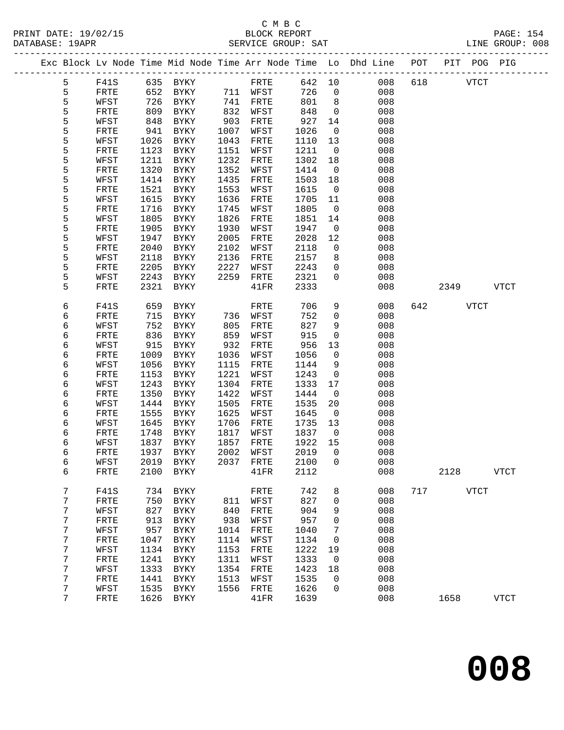## C M B C<br>BLOCK REPORT DATABASE: 19APR SERVICE GROUP: SAT LINE GROUP: 008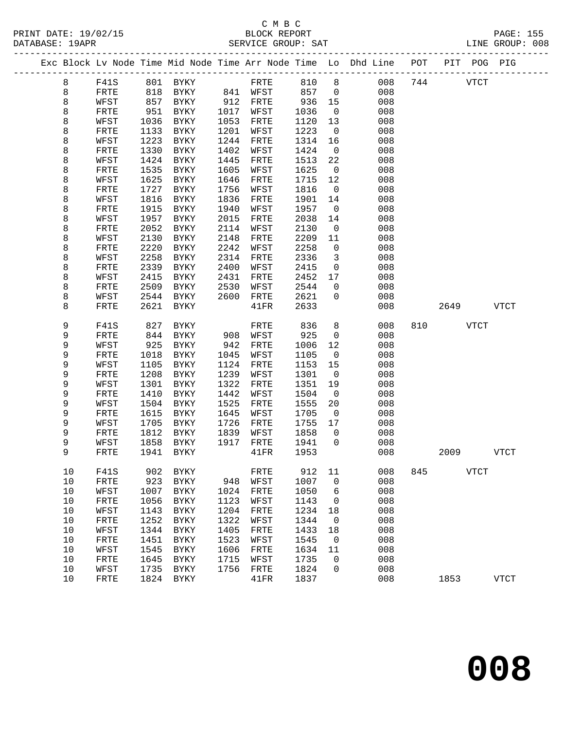## C M B C<br>BLOCK REPORT

|        |              |              |                            |              |              |              |                      | Exc Block Lv Node Time Mid Node Time Arr Node Time Lo Dhd Line | POT | PIT  | POG         | PIG         |
|--------|--------------|--------------|----------------------------|--------------|--------------|--------------|----------------------|----------------------------------------------------------------|-----|------|-------------|-------------|
| 8      | F41S         | 801          | BYKY                       |              | FRTE         | 810          | 8                    | 008                                                            | 744 |      | <b>VTCT</b> |             |
| 8      | FRTE         | 818          | BYKY                       | 841          | WFST         | 857          | $\mathbf 0$          | 008                                                            |     |      |             |             |
| 8      | WFST         | 857          | BYKY                       | 912          | FRTE         | 936          | 15                   | 008                                                            |     |      |             |             |
| 8      | FRTE         | 951          | BYKY                       | 1017         | WFST         | 1036         | $\overline{0}$       | 008                                                            |     |      |             |             |
| 8      | WFST         | 1036         | $\rm BYKY$                 | 1053         | FRTE         | 1120         | 13                   | 008                                                            |     |      |             |             |
| 8      | FRTE         | 1133         | BYKY                       | 1201         | WFST         | 1223         | $\overline{0}$       | 008                                                            |     |      |             |             |
| 8      | WFST         | 1223         | BYKY                       | 1244         | FRTE         | 1314         | 16                   | 008                                                            |     |      |             |             |
| 8      | FRTE         | 1330         | BYKY                       | 1402         | WFST         | 1424         | $\overline{0}$       | 008                                                            |     |      |             |             |
| 8      | WFST         | 1424         | <b>BYKY</b>                | 1445         | FRTE         | 1513         | 22                   | 008                                                            |     |      |             |             |
| 8      | FRTE         | 1535         | <b>BYKY</b>                | 1605         | WFST         | 1625         | $\overline{0}$       | 008                                                            |     |      |             |             |
| 8      | WFST         | 1625         | <b>BYKY</b>                | 1646         | FRTE         | 1715         | 12                   | 008                                                            |     |      |             |             |
| 8<br>8 | FRTE<br>WFST | 1727<br>1816 | <b>BYKY</b><br><b>BYKY</b> | 1756<br>1836 | WFST<br>FRTE | 1816<br>1901 | $\overline{0}$<br>14 | 008<br>008                                                     |     |      |             |             |
| 8      | ${\tt FRTE}$ | 1915         | <b>BYKY</b>                | 1940         | WFST         | 1957         | $\overline{0}$       | 008                                                            |     |      |             |             |
| 8      | WFST         | 1957         | BYKY                       | 2015         | FRTE         | 2038         | 14                   | 008                                                            |     |      |             |             |
| 8      | FRTE         | 2052         | <b>BYKY</b>                | 2114         | WFST         | 2130         | $\mathbf 0$          | 008                                                            |     |      |             |             |
| 8      | WFST         | 2130         | <b>BYKY</b>                | 2148         | FRTE         | 2209         | 11                   | 008                                                            |     |      |             |             |
| 8      | ${\tt FRTE}$ | 2220         | BYKY                       | 2242         | WFST         | 2258         | $\mathbf 0$          | 008                                                            |     |      |             |             |
| 8      | WFST         | 2258         | <b>BYKY</b>                | 2314         | FRTE         | 2336         | 3                    | 008                                                            |     |      |             |             |
| 8      | FRTE         | 2339         | <b>BYKY</b>                | 2400         | WFST         | 2415         | 0                    | 008                                                            |     |      |             |             |
| 8      | WFST         | 2415         | BYKY                       | 2431         | FRTE         | 2452         | 17                   | 008                                                            |     |      |             |             |
| 8      | FRTE         | 2509         | BYKY                       | 2530         | WFST         | 2544         | $\mathsf{O}$         | 008                                                            |     |      |             |             |
| 8      | WFST         | 2544         | <b>BYKY</b>                | 2600         | FRTE         | 2621         | 0                    | 008                                                            |     |      |             |             |
| 8      | FRTE         | 2621         | <b>BYKY</b>                |              | 41FR         | 2633         |                      | 008                                                            |     | 2649 |             | <b>VTCT</b> |
| 9      | F41S         | 827          | <b>BYKY</b>                |              | FRTE         | 836          | 8                    | 008                                                            | 810 |      | <b>VTCT</b> |             |
| 9      | FRTE         | 844          | BYKY                       | 908          | WFST         | 925          | $\mathbf 0$          | 008                                                            |     |      |             |             |
| 9      | WFST         | 925          | <b>BYKY</b>                | 942          | FRTE         | 1006         | 12                   | 008                                                            |     |      |             |             |
| 9      | FRTE         | 1018         | BYKY                       | 1045         | WFST         | 1105         | $\overline{0}$       | 008                                                            |     |      |             |             |
| 9      | WFST         | 1105         | BYKY                       | 1124         | FRTE         | 1153         | 15                   | 008                                                            |     |      |             |             |
| 9      | ${\tt FRTE}$ | 1208         | BYKY                       | 1239         | WFST         | 1301         | $\overline{0}$       | 008                                                            |     |      |             |             |
| 9      | WFST         | 1301         | BYKY                       | 1322         | FRTE         | 1351         | 19                   | 008                                                            |     |      |             |             |
| 9      | FRTE         | 1410         | BYKY                       | 1442         | WFST         | 1504         | $\overline{0}$       | 008                                                            |     |      |             |             |
| 9      | WFST         | 1504         | <b>BYKY</b>                | 1525         | FRTE         | 1555         | 20                   | 008                                                            |     |      |             |             |
| 9      | FRTE         | 1615         | <b>BYKY</b>                | 1645         | WFST         | 1705         | $\overline{0}$       | 008                                                            |     |      |             |             |
| 9      | WFST         | 1705         | <b>BYKY</b>                | 1726         | FRTE         | 1755         | 17                   | 008                                                            |     |      |             |             |
| 9      | FRTE         | 1812         | BYKY                       | 1839         | WFST         | 1858         | 0                    | 008                                                            |     |      |             |             |
| 9      | WFST         | 1858         | BYKY                       | 1917         | FRTE         | 1941         | $\mathbf 0$          | 008                                                            |     |      |             |             |
| 9      | FRTE         | 1941         | BYKY                       |              | 41FR         | 1953         |                      | 008                                                            |     | 2009 |             | <b>VTCT</b> |
| 10     | F41S         | 902          | BYKY                       |              | FRTE         | 912          | 11                   | 008                                                            | 845 |      | VTCT        |             |
| 10     | FRTE         | 923          | <b>BYKY</b>                | 948          | WFST         | 1007         | 0                    | 008                                                            |     |      |             |             |
| $10$   | WFST         | 1007         | <b>BYKY</b>                | 1024         | FRTE         | 1050         | 6                    | 008                                                            |     |      |             |             |
| 10     | FRTE         | 1056         | BYKY                       | 1123         | WFST         | 1143         | 0                    | 008                                                            |     |      |             |             |
| 10     | WFST         | 1143         | <b>BYKY</b>                | 1204         | FRTE         | 1234         | 18                   | 008                                                            |     |      |             |             |
| $10$   | FRTE         | 1252         | <b>BYKY</b>                | 1322         | WFST         | 1344         | $\mathbf 0$          | 008                                                            |     |      |             |             |
| $10$   | WFST         | 1344         | <b>BYKY</b>                | 1405         | FRTE         | 1433         | 18                   | 008                                                            |     |      |             |             |
| $10$   | FRTE         | 1451         | <b>BYKY</b>                | 1523         | WFST         | 1545         | 0                    | 008                                                            |     |      |             |             |
| 10     | WFST         | 1545         | <b>BYKY</b>                | 1606         | FRTE         | 1634         | 11                   | 008                                                            |     |      |             |             |
| $10$   | FRTE         | 1645         | BYKY                       | 1715         | WFST         | 1735         | 0                    | 008                                                            |     |      |             |             |
| 10     | WFST         | 1735         | <b>BYKY</b>                | 1756         | FRTE         | 1824         | 0                    | 008                                                            |     |      |             |             |
| 10     | FRTE         | 1824         | <b>BYKY</b>                |              | 41FR         | 1837         |                      | 008                                                            |     | 1853 |             | <b>VTCT</b> |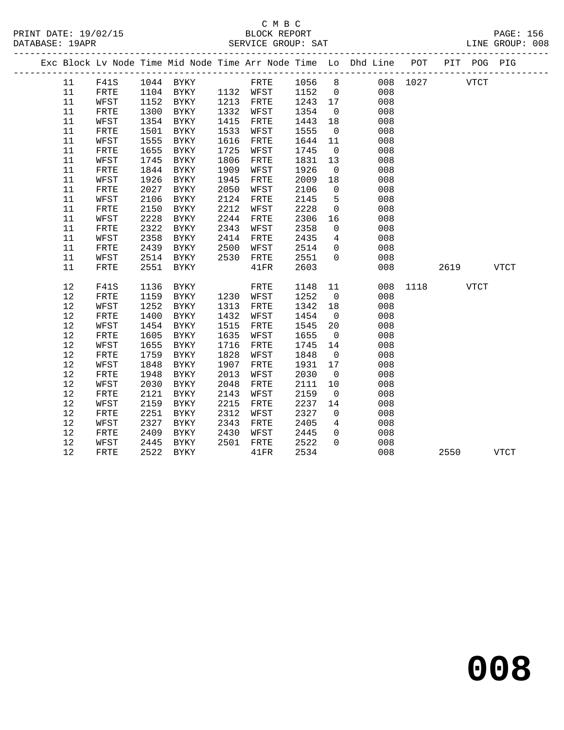|  |    |              |      |                     |      |             |         |                | Exc Block Lv Node Time Mid Node Time Arr Node Time Lo Dhd Line POT |          |      | PIT POG PIG |             |  |
|--|----|--------------|------|---------------------|------|-------------|---------|----------------|--------------------------------------------------------------------|----------|------|-------------|-------------|--|
|  | 11 | F41S         |      | 1044 BYKY           |      | FRTE 1056 8 |         |                |                                                                    | 008 1027 |      | <b>VTCT</b> |             |  |
|  | 11 | FRTE         |      | 1104 BYKY 1132 WFST |      |             | 1152    | $\overline{0}$ | 008                                                                |          |      |             |             |  |
|  | 11 | WFST         | 1152 | BYKY                |      | 1213 FRTE   | 1243 17 |                | 008                                                                |          |      |             |             |  |
|  | 11 | FRTE         | 1300 | BYKY                | 1332 | WFST        | 1354    | $\overline{0}$ | 008                                                                |          |      |             |             |  |
|  | 11 | WFST         | 1354 | BYKY                | 1415 | FRTE        | 1443    | 18             | 008                                                                |          |      |             |             |  |
|  | 11 | ${\tt FRTE}$ | 1501 | BYKY                | 1533 | WFST        | 1555    | $\overline{0}$ | 008                                                                |          |      |             |             |  |
|  | 11 | WFST         | 1555 | BYKY                | 1616 | FRTE        | 1644    | 11             | 008                                                                |          |      |             |             |  |
|  | 11 | FRTE         | 1655 | BYKY                | 1725 | WFST        | 1745    | $\overline{0}$ | 008                                                                |          |      |             |             |  |
|  | 11 | WFST         | 1745 | BYKY                | 1806 | FRTE        | 1831    | 13             | 008                                                                |          |      |             |             |  |
|  | 11 | FRTE         | 1844 | BYKY                | 1909 | WFST        | 1926    | $\overline{0}$ | 008                                                                |          |      |             |             |  |
|  | 11 | WFST         | 1926 | BYKY                | 1945 | FRTE        | 2009    | 18             | 008                                                                |          |      |             |             |  |
|  | 11 | FRTE         | 2027 | BYKY                | 2050 | WFST        | 2106    | $\overline{0}$ | 008                                                                |          |      |             |             |  |
|  | 11 | WFST         | 2106 | BYKY                | 2124 | FRTE        | 2145    | 5              | 008                                                                |          |      |             |             |  |
|  | 11 | FRTE         | 2150 | BYKY                | 2212 | WFST        | 2228    | $\mathbf 0$    | 008                                                                |          |      |             |             |  |
|  | 11 | WFST         | 2228 | BYKY                | 2244 | FRTE        | 2306    | 16             | 008                                                                |          |      |             |             |  |
|  | 11 | FRTE         | 2322 | BYKY                | 2343 | WFST        | 2358    | $\overline{0}$ | 008                                                                |          |      |             |             |  |
|  | 11 | WFST         | 2358 | BYKY                | 2414 | FRTE        | 2435    | $\overline{4}$ | 008                                                                |          |      |             |             |  |
|  | 11 | FRTE         | 2439 | BYKY                | 2500 | WFST        | 2514    | $\overline{0}$ | 008                                                                |          |      |             |             |  |
|  | 11 | WFST         | 2514 | BYKY                | 2530 | FRTE        | 2551    | $\Omega$       | 008                                                                |          |      |             |             |  |
|  | 11 | FRTE         | 2551 | BYKY                |      | 41FR        | 2603    |                | 008                                                                |          | 2619 |             | <b>VTCT</b> |  |
|  | 12 | F41S         | 1136 | BYKY                |      | FRTE        | 1148    | 11             |                                                                    | 008 1118 |      | VTCT        |             |  |
|  | 12 | FRTE         | 1159 | BYKY                |      | 1230 WFST   | 1252    | $\overline{0}$ | 008                                                                |          |      |             |             |  |
|  | 12 | WFST         | 1252 | BYKY                | 1313 | FRTE        | 1342    | 18             | 008                                                                |          |      |             |             |  |
|  | 12 | FRTE         | 1400 | BYKY                | 1432 | WFST        | 1454    | $\overline{0}$ | 008                                                                |          |      |             |             |  |
|  | 12 | WFST         | 1454 | BYKY                | 1515 | FRTE        | 1545    | 20             | 008                                                                |          |      |             |             |  |
|  | 12 | ${\tt FRTE}$ | 1605 | BYKY                | 1635 | WFST        | 1655    | $\overline{0}$ | 008                                                                |          |      |             |             |  |
|  | 12 | WFST         | 1655 | BYKY                | 1716 | FRTE        | 1745    | 14             | 008                                                                |          |      |             |             |  |
|  | 12 | FRTE         | 1759 | BYKY                | 1828 | WFST        | 1848    | $\overline{0}$ | 008                                                                |          |      |             |             |  |
|  | 12 | WFST         | 1848 | BYKY                | 1907 | FRTE        | 1931    | 17             | 008                                                                |          |      |             |             |  |
|  | 12 | ${\tt FRTE}$ | 1948 | BYKY                | 2013 | WFST        | 2030    | $\overline{0}$ | 008                                                                |          |      |             |             |  |
|  | 12 | WFST         | 2030 | BYKY                | 2048 | FRTE        | 2111    | 10             | 008                                                                |          |      |             |             |  |
|  | 12 | FRTE         | 2121 | <b>BYKY</b>         | 2143 | WFST        | 2159    | $\overline{0}$ | 008                                                                |          |      |             |             |  |
|  | 12 | WFST         | 2159 | BYKY                | 2215 | FRTE        | 2237    | 14             | 008                                                                |          |      |             |             |  |
|  | 12 | ${\tt FRTE}$ | 2251 | BYKY                | 2312 | WFST        | 2327    | $\overline{0}$ | 008                                                                |          |      |             |             |  |
|  | 12 | WFST         | 2327 | BYKY                | 2343 | FRTE        | 2405    | $\overline{4}$ | 008                                                                |          |      |             |             |  |
|  | 12 | FRTE         | 2409 | BYKY                | 2430 | WFST        | 2445    | $\Omega$       | 008                                                                |          |      |             |             |  |
|  | 12 | WFST         | 2445 | BYKY                | 2501 | FRTE        | 2522    | $\Omega$       | 008                                                                |          |      |             |             |  |
|  | 12 | FRTE         | 2522 | BYKY                |      | 41FR        | 2534    |                | 008                                                                |          | 2550 |             | <b>VTCT</b> |  |
|  |    |              |      |                     |      |             |         |                |                                                                    |          |      |             |             |  |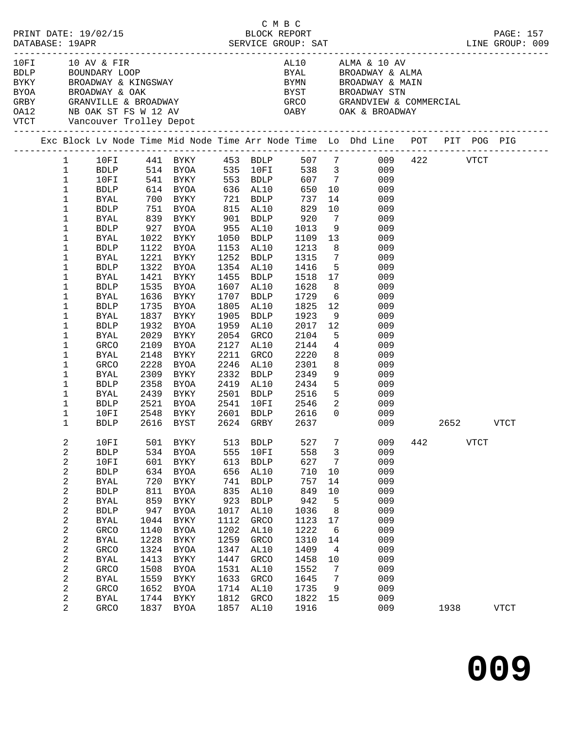|      |                                             |                             |            |                                                          |            |                        | C M B C            |                          |                                                                                                                                                                                                                                                                                                                                                                                                   |     |      |             |             |  |
|------|---------------------------------------------|-----------------------------|------------|----------------------------------------------------------|------------|------------------------|--------------------|--------------------------|---------------------------------------------------------------------------------------------------------------------------------------------------------------------------------------------------------------------------------------------------------------------------------------------------------------------------------------------------------------------------------------------------|-----|------|-------------|-------------|--|
| 10FI | 10 AV & FIR<br>VTCT Vancouver Trolley Depot |                             |            |                                                          |            |                        |                    |                          | AL10 ALMA & 10 AV<br>TUFI TURY & FIRM ALLO ALLO ALLO ALLO AND BE ALLO AND BE ALLO AND BE ALLO AND BE ALLO AND BE ALLO AND BE ALLO AN<br>BYAN BE ALLO BE BE ALLO BYAN BE ALLO AND BE ALLO AND BE ALLO AND BE ALLO AND BE ALLO BY STUDY ON BE ALLO AND<br>BYAL BROADWAY & ALMA<br>BYMN            BROADWAY  &  MAIN<br>BYST              BROADWAY  STN<br>GRCO             GRANDVIEW  &  COMMERCIAL |     |      |             |             |  |
|      |                                             |                             |            |                                                          |            |                        |                    |                          | Exc Block Lv Node Time Mid Node Time Arr Node Time Lo Dhd Line POT PIT POG PIG                                                                                                                                                                                                                                                                                                                    |     |      |             |             |  |
|      | $\mathbf{1}$                                |                             |            |                                                          |            |                        |                    |                          | 10FI 441 BYKY 453 BDLP 507 7 009 422 VTCT                                                                                                                                                                                                                                                                                                                                                         |     |      |             |             |  |
|      | $\mathbf{1}$                                |                             |            |                                                          |            |                        |                    |                          | BDLP 514 BYOA 535 10FI 538 3 009<br>10FI 541 BYKY 553 BDLP 607 7 009<br>BDLP 614 BYOA 636 AL10 650 10 009                                                                                                                                                                                                                                                                                         |     |      |             |             |  |
|      | $\mathbf{1}$                                |                             |            |                                                          |            |                        |                    |                          |                                                                                                                                                                                                                                                                                                                                                                                                   |     |      |             |             |  |
|      | $\mathbf 1$                                 |                             |            |                                                          |            |                        |                    |                          |                                                                                                                                                                                                                                                                                                                                                                                                   |     |      |             |             |  |
|      | 1                                           | BYAL                        |            | 700 BYKY 721 BDLP                                        |            |                        | 737                |                          | 14<br>009                                                                                                                                                                                                                                                                                                                                                                                         |     |      |             |             |  |
|      | 1                                           | <b>BDLP</b>                 |            | 751 BYOA       815  AL10<br>839   BYKY        901   BDLP |            |                        |                    |                          | 10<br>009                                                                                                                                                                                                                                                                                                                                                                                         |     |      |             |             |  |
|      | 1                                           | BYAL                        |            |                                                          |            |                        | 829<br>920<br>1013 | $7\overline{ }$          | 009<br>9                                                                                                                                                                                                                                                                                                                                                                                          |     |      |             |             |  |
|      | 1                                           | <b>BDLP</b>                 |            | 927 BYOA 955 AL10                                        |            |                        |                    |                          | 009                                                                                                                                                                                                                                                                                                                                                                                               |     |      |             |             |  |
|      | 1                                           | BYAL                        |            | 1022 BYKY                                                |            | 1050 BDLP              | 1109               |                          | 13<br>009                                                                                                                                                                                                                                                                                                                                                                                         |     |      |             |             |  |
|      | 1                                           | <b>BDLP</b>                 |            | 1122 BYOA                                                |            | 1153 AL10<br>1252 BDLP | 1213<br>1315       |                          | 8<br>009                                                                                                                                                                                                                                                                                                                                                                                          |     |      |             |             |  |
|      | 1<br>1                                      | <b>BYAL</b>                 |            | 1221 BYKY<br>1322 BYOA                                   |            | 1354 AL10              | 1416               | $7\overline{ }$          | 009<br>5 <sup>1</sup>                                                                                                                                                                                                                                                                                                                                                                             |     |      |             |             |  |
|      |                                             | <b>BDLP</b>                 |            | 1421 BYKY                                                |            | 1455 BDLP              | 1518               |                          | 009<br>17<br>009                                                                                                                                                                                                                                                                                                                                                                                  |     |      |             |             |  |
|      | 1<br>1                                      | BYAL<br><b>BDLP</b>         |            | 1535 BYOA                                                |            | 1607 AL10              | 1628               | 8                        | 009                                                                                                                                                                                                                                                                                                                                                                                               |     |      |             |             |  |
|      | 1                                           | <b>BYAL</b>                 |            | 1636 BYKY                                                |            | 1707 BDLP              | 1729               | $6\overline{6}$          | 009                                                                                                                                                                                                                                                                                                                                                                                               |     |      |             |             |  |
|      | $\mathbf 1$                                 | <b>BDLP</b>                 |            | 1735 BYOA                                                | 1805       | AL10                   | 1825               | 12                       | 009                                                                                                                                                                                                                                                                                                                                                                                               |     |      |             |             |  |
|      | $\mathbf 1$                                 | BYAL                        |            | 1837 BYKY                                                | 1905       | BDLP                   | 1923               |                          | 9<br>009                                                                                                                                                                                                                                                                                                                                                                                          |     |      |             |             |  |
|      | 1                                           | <b>BDLP</b>                 | 1932       | BYOA                                                     | 1959       | AL10                   | 2017               | 12                       | 009                                                                                                                                                                                                                                                                                                                                                                                               |     |      |             |             |  |
|      | 1                                           | <b>BYAL</b>                 | 2029       | BYKY                                                     | 2054       | GRCO                   | 2104               |                          | 5 <sub>5</sub><br>009                                                                                                                                                                                                                                                                                                                                                                             |     |      |             |             |  |
|      | $\mathbf 1$                                 | GRCO                        | 2109       | BYOA                                                     |            | 2127 AL10              | 2144               |                          | $4\overline{ }$<br>009                                                                                                                                                                                                                                                                                                                                                                            |     |      |             |             |  |
|      | 1                                           | BYAL                        | 2148       | BYKY                                                     | 2211       | GRCO                   | 2220               |                          | 8<br>009                                                                                                                                                                                                                                                                                                                                                                                          |     |      |             |             |  |
|      | 1                                           | GRCO                        | 2228       | BYOA                                                     | 2246       | AL10                   | 2301               | 8                        | 009                                                                                                                                                                                                                                                                                                                                                                                               |     |      |             |             |  |
|      | 1                                           | <b>BYAL</b>                 | 2309       | BYKY                                                     | 2332       | <b>BDLP</b>            | 2349               |                          | 9<br>009                                                                                                                                                                                                                                                                                                                                                                                          |     |      |             |             |  |
|      | $\mathbf 1$                                 | BDLP                        |            | 2358 BYOA                                                |            | 2419 AL10              | 2434               |                          | 5 <sup>1</sup><br>009                                                                                                                                                                                                                                                                                                                                                                             |     |      |             |             |  |
|      | 1                                           | BYAL                        |            | 2439 BYKY                                                |            | 2501 BDLP              | 2516               |                          | 5 <sub>1</sub><br>009                                                                                                                                                                                                                                                                                                                                                                             |     |      |             |             |  |
|      | 1                                           | BDLP                        | 2521       | BYOA                                                     |            | 2541 10FI              | 2546               | $\overline{\phantom{a}}$ | 009                                                                                                                                                                                                                                                                                                                                                                                               |     |      |             |             |  |
|      | 1                                           | 10FI                        | 2548       | BYKY                                                     |            | 2601 BDLP              | 2616               | $\overline{0}$           | 009                                                                                                                                                                                                                                                                                                                                                                                               |     |      |             |             |  |
|      | 1                                           | <b>BDLP</b>                 |            | 2616 BYST 2624 GRBY                                      |            |                        | 2637               |                          | 009                                                                                                                                                                                                                                                                                                                                                                                               |     | 2652 |             | VTCT        |  |
|      | 2                                           | 10FI                        | 501        | <b>BYKY</b>                                              | 513        | <b>BDLP</b>            | 527                | 7                        | 009                                                                                                                                                                                                                                                                                                                                                                                               | 442 |      | <b>VTCT</b> |             |  |
|      | 2                                           | ${\tt BDLP}$                | 534        | <b>BYOA</b>                                              | 555        | 10FI                   | 558                | 3                        | 009                                                                                                                                                                                                                                                                                                                                                                                               |     |      |             |             |  |
|      | 2                                           | 10FI                        | 601        | <b>BYKY</b>                                              | 613        | ${\tt BDLP}$           | 627                | 7                        | 009                                                                                                                                                                                                                                                                                                                                                                                               |     |      |             |             |  |
|      | 2                                           | ${\tt BDLP}$                | 634        | <b>BYOA</b>                                              | 656        | AL10                   | 710                | $10$                     | 009                                                                                                                                                                                                                                                                                                                                                                                               |     |      |             |             |  |
|      | 2                                           | <b>BYAL</b>                 | 720        | <b>BYKY</b>                                              | 741<br>835 | <b>BDLP</b>            | 757<br>849         | 14                       | 009<br>009                                                                                                                                                                                                                                                                                                                                                                                        |     |      |             |             |  |
|      | 2<br>2                                      | ${\tt BDLP}$<br><b>BYAL</b> | 811<br>859 | <b>BYOA</b><br>${\tt BYKY}$                              | 923        | AL10<br><b>BDLP</b>    | 942                | 10<br>5                  | 009                                                                                                                                                                                                                                                                                                                                                                                               |     |      |             |             |  |
|      | 2                                           | ${\tt BDLP}$                | 947        | <b>BYOA</b>                                              | 1017       | AL10                   | 1036               |                          | 009                                                                                                                                                                                                                                                                                                                                                                                               |     |      |             |             |  |
|      | 2                                           | <b>BYAL</b>                 | 1044       | <b>BYKY</b>                                              | 1112       | GRCO                   | 1123               | 8<br>17                  | 009                                                                                                                                                                                                                                                                                                                                                                                               |     |      |             |             |  |
|      |                                             | GRCO                        | 1140       | <b>BYOA</b>                                              | 1202       | AL10                   | 1222               | 6                        | 009                                                                                                                                                                                                                                                                                                                                                                                               |     |      |             |             |  |
|      | 2<br>2                                      | <b>BYAL</b>                 | 1228       | <b>BYKY</b>                                              | 1259       | GRCO                   | 1310               | 14                       | 009                                                                                                                                                                                                                                                                                                                                                                                               |     |      |             |             |  |
|      | 2                                           | GRCO                        | 1324       | <b>BYOA</b>                                              | 1347       | AL10                   | 1409               | 4                        | 009                                                                                                                                                                                                                                                                                                                                                                                               |     |      |             |             |  |
|      | 2                                           | <b>BYAL</b>                 | 1413       | BYKY                                                     | 1447       | GRCO                   | 1458               | 10                       | 009                                                                                                                                                                                                                                                                                                                                                                                               |     |      |             |             |  |
|      | 2                                           | GRCO                        | 1508       | BYOA                                                     | 1531       | AL10                   | 1552               | 7                        | 009                                                                                                                                                                                                                                                                                                                                                                                               |     |      |             |             |  |
|      | 2                                           | <b>BYAL</b>                 | 1559       | BYKY                                                     | 1633       | GRCO                   | 1645               | 7                        | 009                                                                                                                                                                                                                                                                                                                                                                                               |     |      |             |             |  |
|      | 2                                           | GRCO                        | 1652       | <b>BYOA</b>                                              | 1714       | AL10                   | 1735               | 9                        | 009                                                                                                                                                                                                                                                                                                                                                                                               |     |      |             |             |  |
|      | 2                                           | <b>BYAL</b>                 | 1744       | BYKY                                                     | 1812       | GRCO                   | 1822               | 15                       | 009                                                                                                                                                                                                                                                                                                                                                                                               |     |      |             |             |  |
|      | 2                                           | GRCO                        | 1837       | BYOA                                                     | 1857       | AL10                   | 1916               |                          | 009                                                                                                                                                                                                                                                                                                                                                                                               |     | 1938 |             | <b>VTCT</b> |  |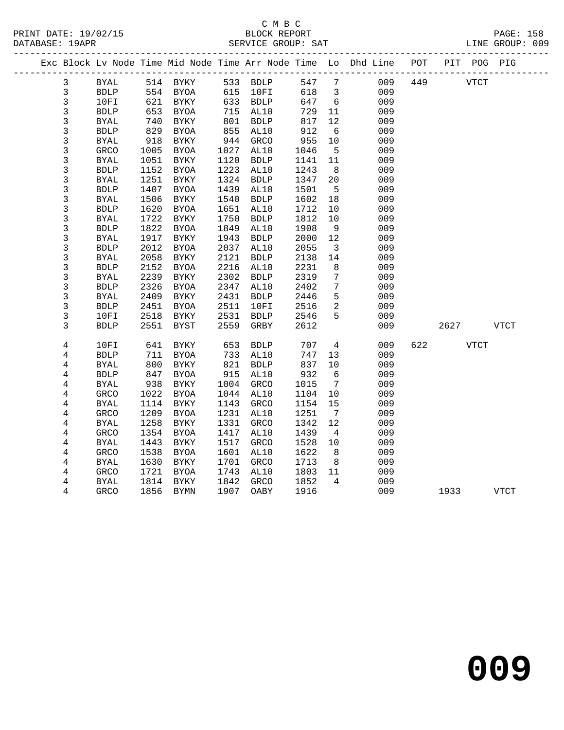|                |              |      | Exc Block Lv Node Time Mid Node Time Arr Node Time Lo Dhd Line |      |             |          |      |                         |     | POT |      | PIT POG PIG |             |  |
|----------------|--------------|------|----------------------------------------------------------------|------|-------------|----------|------|-------------------------|-----|-----|------|-------------|-------------|--|
| $\mathbf{3}$   | BYAL         |      | 514 BYKY                                                       |      |             | 533 BDLP | 547  | $\overline{7}$          | 009 | 449 | VTCT |             |             |  |
| 3              | <b>BDLP</b>  | 554  | BYOA                                                           | 615  | 10FI        |          | 618  | $\overline{\mathbf{3}}$ | 009 |     |      |             |             |  |
| $\mathfrak{Z}$ | 10FI         | 621  | BYKY                                                           |      | 633 BDLP    |          | 647  | $6\overline{6}$         | 009 |     |      |             |             |  |
| $\mathfrak{Z}$ | <b>BDLP</b>  | 653  | BYOA                                                           | 715  | AL10        |          | 729  | 11                      | 009 |     |      |             |             |  |
| 3              | <b>BYAL</b>  | 740  | BYKY                                                           | 801  | <b>BDLP</b> |          | 817  | 12                      | 009 |     |      |             |             |  |
| 3              | <b>BDLP</b>  | 829  | BYOA                                                           | 855  | AL10        |          | 912  | 6                       | 009 |     |      |             |             |  |
| 3              | <b>BYAL</b>  | 918  | BYKY                                                           | 944  | GRCO        |          | 955  | 10                      | 009 |     |      |             |             |  |
| 3              | GRCO         | 1005 | <b>BYOA</b>                                                    | 1027 | AL10        |          | 1046 | $5^{\circ}$             | 009 |     |      |             |             |  |
| $\mathfrak{Z}$ | BYAL         | 1051 | BYKY                                                           | 1120 | <b>BDLP</b> |          | 1141 | 11                      | 009 |     |      |             |             |  |
| 3              | <b>BDLP</b>  | 1152 | <b>BYOA</b>                                                    | 1223 | AL10        |          | 1243 | 8                       | 009 |     |      |             |             |  |
| $\mathfrak{Z}$ | <b>BYAL</b>  | 1251 | BYKY                                                           | 1324 | <b>BDLP</b> |          | 1347 | 20                      | 009 |     |      |             |             |  |
| 3              | ${\tt BDLP}$ | 1407 | <b>BYOA</b>                                                    | 1439 | AL10        |          | 1501 | 5                       | 009 |     |      |             |             |  |
| 3              | BYAL         | 1506 | BYKY                                                           | 1540 | <b>BDLP</b> |          | 1602 | 18                      | 009 |     |      |             |             |  |
| $\mathfrak{Z}$ | <b>BDLP</b>  | 1620 | BYOA                                                           | 1651 | AL10        |          | 1712 | 10                      | 009 |     |      |             |             |  |
| 3              | <b>BYAL</b>  | 1722 | BYKY                                                           | 1750 | <b>BDLP</b> |          | 1812 | 10                      | 009 |     |      |             |             |  |
| 3              | <b>BDLP</b>  | 1822 | BYOA                                                           | 1849 | AL10        |          | 1908 | 9                       | 009 |     |      |             |             |  |
| 3              | <b>BYAL</b>  | 1917 | BYKY                                                           | 1943 | <b>BDLP</b> |          | 2000 | 12                      | 009 |     |      |             |             |  |
| 3              | <b>BDLP</b>  | 2012 | <b>BYOA</b>                                                    | 2037 | AL10        |          | 2055 | $\overline{\mathbf{3}}$ | 009 |     |      |             |             |  |
| $\mathfrak{Z}$ | <b>BYAL</b>  | 2058 | BYKY                                                           | 2121 | <b>BDLP</b> |          | 2138 | 14                      | 009 |     |      |             |             |  |
| 3              | <b>BDLP</b>  | 2152 | <b>BYOA</b>                                                    | 2216 | AL10        |          | 2231 | 8                       | 009 |     |      |             |             |  |
| $\mathfrak{Z}$ | <b>BYAL</b>  | 2239 | BYKY                                                           | 2302 | <b>BDLP</b> |          | 2319 | $\overline{7}$          | 009 |     |      |             |             |  |
| $\mathfrak{Z}$ | <b>BDLP</b>  | 2326 | BYOA                                                           | 2347 | AL10        |          | 2402 | $7\phantom{.0}$         | 009 |     |      |             |             |  |
| 3              | <b>BYAL</b>  | 2409 | BYKY                                                           | 2431 | <b>BDLP</b> |          | 2446 | 5                       | 009 |     |      |             |             |  |
| 3              | <b>BDLP</b>  | 2451 | BYOA                                                           | 2511 | 10FI        |          | 2516 | 2                       | 009 |     |      |             |             |  |
| 3              | 10FI         | 2518 | BYKY                                                           | 2531 | <b>BDLP</b> |          | 2546 | 5                       | 009 |     |      |             |             |  |
| 3              | <b>BDLP</b>  | 2551 | <b>BYST</b>                                                    | 2559 | GRBY        |          | 2612 |                         | 009 |     | 2627 |             | <b>VTCT</b> |  |
|                |              |      |                                                                |      |             |          |      |                         |     |     |      |             |             |  |
| $\overline{4}$ | 10FI         | 641  | BYKY                                                           | 653  | <b>BDLP</b> |          | 707  | $\overline{4}$          | 009 | 622 |      | <b>VTCT</b> |             |  |
| 4              | ${\tt BDLP}$ | 711  | <b>BYOA</b>                                                    | 733  | AL10        |          | 747  | 13                      | 009 |     |      |             |             |  |
| $\overline{4}$ | $\rm BYAL$   | 800  | BYKY                                                           | 821  | <b>BDLP</b> |          | 837  | 10                      | 009 |     |      |             |             |  |
| 4              | <b>BDLP</b>  | 847  | BYOA                                                           | 915  | AL10        |          | 932  | $6\overline{6}$         | 009 |     |      |             |             |  |
| 4              | BYAL         | 938  | BYKY                                                           | 1004 | GRCO        |          | 1015 | $7\overline{ }$         | 009 |     |      |             |             |  |
| 4              | GRCO         | 1022 | BYOA                                                           | 1044 | AL10        |          | 1104 | 10                      | 009 |     |      |             |             |  |
| 4              | <b>BYAL</b>  | 1114 | BYKY                                                           | 1143 | <b>GRCO</b> |          | 1154 | 15                      | 009 |     |      |             |             |  |
| 4              | GRCO         | 1209 | <b>BYOA</b>                                                    | 1231 | AL10        |          | 1251 | $\overline{7}$          | 009 |     |      |             |             |  |
| 4              | <b>BYAL</b>  | 1258 | BYKY                                                           | 1331 | GRCO        |          | 1342 | 12                      | 009 |     |      |             |             |  |
| 4              | <b>GRCO</b>  | 1354 | <b>BYOA</b>                                                    | 1417 | AL10        |          | 1439 | $\overline{4}$          | 009 |     |      |             |             |  |
| 4              | <b>BYAL</b>  | 1443 | BYKY                                                           | 1517 | GRCO        |          | 1528 | 10                      | 009 |     |      |             |             |  |
| 4              | GRCO         | 1538 | BYOA                                                           | 1601 | AL10        |          | 1622 | 8 <sup>8</sup>          | 009 |     |      |             |             |  |
| 4              | BYAL         | 1630 | <b>BYKY</b>                                                    | 1701 | GRCO        |          | 1713 | 8                       | 009 |     |      |             |             |  |
| 4              | GRCO         | 1721 | <b>BYOA</b>                                                    | 1743 | AL10        |          | 1803 | 11                      | 009 |     |      |             |             |  |
| 4              | <b>BYAL</b>  | 1814 | BYKY                                                           | 1842 | GRCO        |          | 1852 | 4                       | 009 |     |      |             |             |  |
| 4              | <b>GRCO</b>  | 1856 | BYMN                                                           | 1907 | OABY        |          | 1916 |                         | 009 |     | 1933 |             | <b>VTCT</b> |  |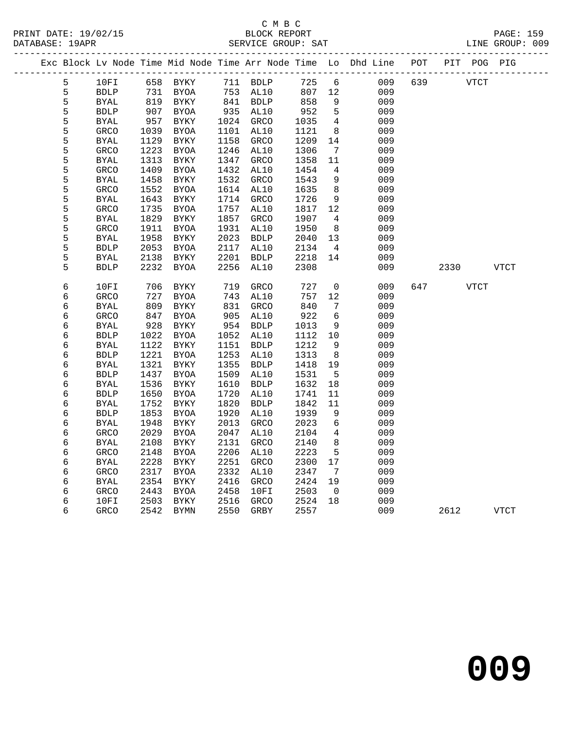|  |   |              |      | Exc Block Lv Node Time Mid Node Time Arr Node Time Lo Dhd Line POT |           |             |        |                 |     |     |             | PIT POG PIG |             |
|--|---|--------------|------|--------------------------------------------------------------------|-----------|-------------|--------|-----------------|-----|-----|-------------|-------------|-------------|
|  | 5 | 10FI         |      | 658 BYKY                                                           |           | 711 BDLP    | 725    | 6               | 009 | 639 | <b>VTCT</b> |             |             |
|  | 5 | ${\tt BDLP}$ | 731  | <b>BYOA</b>                                                        |           | 753 AL10    | 807 12 |                 | 009 |     |             |             |             |
|  | 5 | <b>BYAL</b>  |      | 819 BYKY                                                           | 841 BDLP  |             | 858    | 9               | 009 |     |             |             |             |
|  | 5 | <b>BDLP</b>  | 907  | BYOA                                                               | 935 AL10  |             | 952    | 5               | 009 |     |             |             |             |
|  | 5 | BYAL         | 957  | BYKY                                                               | 1024 GRCO |             | 1035   | $\overline{4}$  | 009 |     |             |             |             |
|  | 5 | GRCO         | 1039 | BYOA                                                               | 1101      | AL10        | 1121   | 8 <sup>8</sup>  | 009 |     |             |             |             |
|  | 5 | BYAL         | 1129 | BYKY                                                               | 1158      | GRCO        | 1209   | 14              | 009 |     |             |             |             |
|  | 5 | GRCO         | 1223 | <b>BYOA</b>                                                        | 1246      | AL10        | 1306   | $\overline{7}$  | 009 |     |             |             |             |
|  | 5 | BYAL         | 1313 | <b>BYKY</b>                                                        | 1347      | GRCO        | 1358   | 11              | 009 |     |             |             |             |
|  | 5 | <b>GRCO</b>  | 1409 | BYOA                                                               | 1432      | AL10        | 1454   | $\overline{4}$  | 009 |     |             |             |             |
|  | 5 | <b>BYAL</b>  | 1458 | BYKY                                                               | 1532      | <b>GRCO</b> | 1543   | 9               | 009 |     |             |             |             |
|  | 5 | GRCO         | 1552 | BYOA                                                               | 1614      | AL10        | 1635   | 8               | 009 |     |             |             |             |
|  | 5 | <b>BYAL</b>  | 1643 | BYKY                                                               | 1714      | GRCO        | 1726   | 9               | 009 |     |             |             |             |
|  | 5 | GRCO         | 1735 | BYOA                                                               | 1757      | AL10        | 1817   | 12              | 009 |     |             |             |             |
|  | 5 | BYAL         | 1829 | BYKY                                                               | 1857      | GRCO        | 1907   | $\overline{4}$  | 009 |     |             |             |             |
|  | 5 | GRCO         | 1911 | <b>BYOA</b>                                                        | 1931      | AL10        | 1950   | 8 <sup>8</sup>  | 009 |     |             |             |             |
|  | 5 | BYAL         | 1958 | BYKY                                                               | 2023      | <b>BDLP</b> | 2040   | 13              | 009 |     |             |             |             |
|  | 5 | <b>BDLP</b>  | 2053 | <b>BYOA</b>                                                        | 2117      | AL10        | 2134   | $\overline{4}$  | 009 |     |             |             |             |
|  | 5 | BYAL         | 2138 | BYKY                                                               | 2201      | <b>BDLP</b> | 2218   | 14              | 009 |     |             |             |             |
|  | 5 | <b>BDLP</b>  | 2232 | BYOA                                                               | 2256      | AL10        | 2308   |                 | 009 |     | 2330        |             | VTCT        |
|  | 6 | 10FI         | 706  | BYKY                                                               | 719       | GRCO        | 727    | $\overline{0}$  | 009 | 647 |             | VTCT        |             |
|  | 6 | GRCO         | 727  | BYOA                                                               | 743       | AL10        | 757    | 12              | 009 |     |             |             |             |
|  | 6 | <b>BYAL</b>  | 809  | BYKY                                                               | 831       | GRCO        | 840    | 7               | 009 |     |             |             |             |
|  | 6 | GRCO         | 847  | BYOA                                                               | 905       | AL10        | 922    | 6               | 009 |     |             |             |             |
|  | 6 | BYAL         | 928  | <b>BYKY</b>                                                        | 954       | <b>BDLP</b> | 1013   | 9               | 009 |     |             |             |             |
|  | 6 | BDLP         | 1022 | BYOA                                                               | 1052      | AL10        | 1112   | 10              | 009 |     |             |             |             |
|  | 6 | <b>BYAL</b>  | 1122 | BYKY                                                               | 1151      | BDLP        | 1212   | 9               | 009 |     |             |             |             |
|  | 6 | <b>BDLP</b>  | 1221 | <b>BYOA</b>                                                        | 1253      | AL10        | 1313   | 8               | 009 |     |             |             |             |
|  | 6 | BYAL         | 1321 | BYKY                                                               | 1355      | <b>BDLP</b> | 1418   | 19              | 009 |     |             |             |             |
|  | 6 | <b>BDLP</b>  | 1437 | <b>BYOA</b>                                                        | 1509      | AL10        | 1531   | $-5$            | 009 |     |             |             |             |
|  | 6 | <b>BYAL</b>  | 1536 | BYKY                                                               | 1610      | <b>BDLP</b> | 1632   | 18              | 009 |     |             |             |             |
|  | 6 | <b>BDLP</b>  | 1650 | BYOA                                                               | 1720      | AL10        | 1741   | 11              | 009 |     |             |             |             |
|  | 6 | <b>BYAL</b>  | 1752 | BYKY                                                               | 1820      | <b>BDLP</b> | 1842   | 11              | 009 |     |             |             |             |
|  | 6 | <b>BDLP</b>  | 1853 | BYOA                                                               | 1920      | AL10        | 1939   | 9               | 009 |     |             |             |             |
|  | 6 | <b>BYAL</b>  | 1948 | <b>BYKY</b>                                                        | 2013      | GRCO        | 2023   | $\epsilon$      | 009 |     |             |             |             |
|  | 6 | GRCO         | 2029 | BYOA                                                               | 2047      | AL10        | 2104   | $\overline{4}$  | 009 |     |             |             |             |
|  | 6 | <b>BYAL</b>  | 2108 | BYKY                                                               | 2131      | <b>GRCO</b> | 2140   | 8               | 009 |     |             |             |             |
|  | 6 | GRCO         | 2148 | BYOA                                                               | 2206      | AL10        | 2223   | $5\phantom{.0}$ | 009 |     |             |             |             |
|  | 6 | <b>BYAL</b>  | 2228 | <b>BYKY</b>                                                        | 2251      | GRCO        | 2300   | 17              | 009 |     |             |             |             |
|  | 6 | <b>GRCO</b>  | 2317 | BYOA                                                               | 2332      | AL10        | 2347   | $\overline{7}$  | 009 |     |             |             |             |
|  | 6 | BYAL         | 2354 | BYKY                                                               | 2416      | GRCO        | 2424   | 19              | 009 |     |             |             |             |
|  | 6 | GRCO         | 2443 | BYOA                                                               | 2458      | 10FI        | 2503   | $\overline{0}$  | 009 |     |             |             |             |
|  | 6 | 10FI         | 2503 | BYKY                                                               | 2516      | GRCO        | 2524   | 18              | 009 |     |             |             |             |
|  | 6 | <b>GRCO</b>  | 2542 | BYMN                                                               | 2550      | GRBY        | 2557   |                 | 009 |     | 2612        |             | <b>VTCT</b> |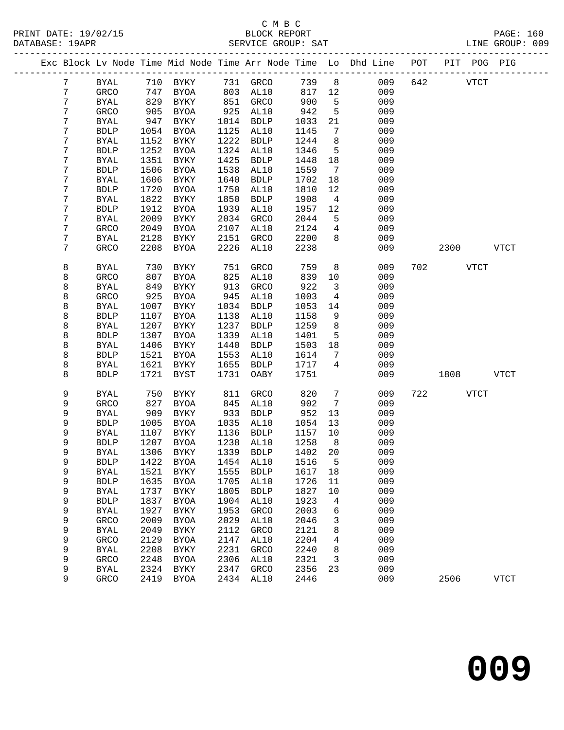## C M B C<br>BLOCK REPORT

| PRINT DATE: 19/02/15 | BLOCK REPORT                                                                   | PAGE: 160       |
|----------------------|--------------------------------------------------------------------------------|-----------------|
| DATABASE: 19APR      | SERVICE GROUP: SAT                                                             | LINE GROUP: 009 |
|                      | Exc Block Lv Node Time Mid Node Time Arr Node Time Lo Dhd Line POT PIT POG PIG |                 |

|  |                  |                     |              | Exc Block Lv Node Time Mid Node Time Arr Node Time Lo |              |                     |              |                | Dhd Line   | POT | PIT  | POG         | PIG          |
|--|------------------|---------------------|--------------|-------------------------------------------------------|--------------|---------------------|--------------|----------------|------------|-----|------|-------------|--------------|
|  | 7                | BYAL                | 710          | BYKY                                                  | 731          | GRCO                | 739          | $\,8\,$        | 009        | 642 |      | <b>VTCT</b> |              |
|  | $\boldsymbol{7}$ | GRCO                | 747          | <b>BYOA</b>                                           | 803          | AL10                | 817          | 12             | 009        |     |      |             |              |
|  | 7                | <b>BYAL</b>         | 829          | BYKY                                                  | 851          | GRCO                | 900          | 5              | 009        |     |      |             |              |
|  | 7                | GRCO                | 905          | <b>BYOA</b>                                           | 925          | AL10                | 942          | 5              | 009        |     |      |             |              |
|  | 7                | <b>BYAL</b>         | 947          | BYKY                                                  | 1014         | <b>BDLP</b>         | 1033         | 21             | 009        |     |      |             |              |
|  | 7                | <b>BDLP</b>         | 1054         | <b>BYOA</b>                                           | 1125         | AL10                | 1145         | 7              | 009        |     |      |             |              |
|  | 7                | <b>BYAL</b>         | 1152         | BYKY                                                  | 1222         | <b>BDLP</b>         | 1244         | 8              | 009        |     |      |             |              |
|  | $\boldsymbol{7}$ | ${\tt BDLP}$        | 1252         | <b>BYOA</b>                                           | 1324         | AL10                | 1346         | 5              | 009        |     |      |             |              |
|  | $\boldsymbol{7}$ | <b>BYAL</b>         | 1351         | BYKY                                                  | 1425         | <b>BDLP</b>         | 1448         | 18             | 009        |     |      |             |              |
|  | 7                | ${\tt BDLP}$        | 1506         | <b>BYOA</b>                                           | 1538         | AL10                | 1559         | 7              | 009        |     |      |             |              |
|  | 7                | <b>BYAL</b>         | 1606         | ${\tt BYKY}$                                          | 1640         | <b>BDLP</b>         | 1702         | 18             | 009        |     |      |             |              |
|  | $\boldsymbol{7}$ | <b>BDLP</b>         | 1720         | <b>BYOA</b>                                           | 1750         | AL10                | 1810         | 12             | 009        |     |      |             |              |
|  | $\boldsymbol{7}$ | <b>BYAL</b>         | 1822         | BYKY                                                  | 1850         | <b>BDLP</b>         | 1908         | $\overline{4}$ | 009        |     |      |             |              |
|  | 7                | <b>BDLP</b>         | 1912         | <b>BYOA</b>                                           | 1939         | AL10                | 1957         | 12             | 009        |     |      |             |              |
|  | 7                | <b>BYAL</b>         | 2009         | BYKY                                                  | 2034         | GRCO                | 2044         | 5              | 009        |     |      |             |              |
|  | 7                | GRCO                | 2049         | <b>BYOA</b>                                           | 2107         | AL10                | 2124         | 4              | 009        |     |      |             |              |
|  | $\boldsymbol{7}$ | <b>BYAL</b>         | 2128         | BYKY                                                  | 2151         | GRCO                | 2200         | 8              | 009        |     |      |             |              |
|  | 7                | GRCO                | 2208         | <b>BYOA</b>                                           | 2226         | AL10                | 2238         |                | 009        |     | 2300 |             | <b>VTCT</b>  |
|  | 8                | BYAL                | 730          | BYKY                                                  | 751          | GRCO                | 759          | 8              | 009        | 702 |      | <b>VTCT</b> |              |
|  | 8                | GRCO                | 807          | <b>BYOA</b>                                           | 825          | AL10                | 839          | 10             | 009        |     |      |             |              |
|  | 8                | <b>BYAL</b>         | 849          | BYKY                                                  | 913          | GRCO                | 922          | 3              | 009        |     |      |             |              |
|  | 8                | GRCO                | 925          | <b>BYOA</b>                                           | 945          | AL10                | 1003         | 4              | 009        |     |      |             |              |
|  | 8                | <b>BYAL</b>         | 1007         | BYKY                                                  | 1034         | <b>BDLP</b>         | 1053         | 14             | 009        |     |      |             |              |
|  | 8                | <b>BDLP</b>         | 1107         | <b>BYOA</b>                                           | 1138         | AL10                | 1158         | 9              | 009        |     |      |             |              |
|  | 8                | <b>BYAL</b>         | 1207         | BYKY                                                  | 1237         | <b>BDLP</b>         | 1259         | 8              | 009        |     |      |             |              |
|  | 8                | <b>BDLP</b>         | 1307         | <b>BYOA</b>                                           | 1339         | AL10                | 1401         | 5              | 009        |     |      |             |              |
|  | 8                | <b>BYAL</b>         | 1406         | BYKY                                                  | 1440         | <b>BDLP</b>         | 1503         | 18             | 009        |     |      |             |              |
|  | 8                | <b>BDLP</b>         | 1521         | <b>BYOA</b>                                           | 1553         | AL10                | 1614         | 7              | 009        |     |      |             |              |
|  | 8                | <b>BYAL</b>         | 1621         | BYKY                                                  | 1655         | <b>BDLP</b>         | 1717         | 4              | 009        |     |      |             |              |
|  | 8                | <b>BDLP</b>         | 1721         | <b>BYST</b>                                           | 1731         | OABY                | 1751         |                | 009        |     | 1808 |             | <b>VTCT</b>  |
|  | 9                | <b>BYAL</b>         | 750          | BYKY                                                  | 811          | <b>GRCO</b>         | 820          | 7              | 009        | 722 |      | VTCT        |              |
|  | 9                | GRCO                | 827          | <b>BYOA</b>                                           | 845          | AL10                | 902          | 7              | 009        |     |      |             |              |
|  | 9                | <b>BYAL</b>         | 909          | BYKY                                                  | 933          | <b>BDLP</b>         | 952          | 13             | 009        |     |      |             |              |
|  | 9                | <b>BDLP</b>         | 1005         | <b>BYOA</b>                                           | 1035         | AL10                | 1054         | 13             | 009        |     |      |             |              |
|  | 9                | <b>BYAL</b>         | 1107         | BYKY                                                  | 1136         | ${\tt BDLP}$        | 1157         | 10             | 009        |     |      |             |              |
|  | 9                | ${\tt BDLP}$        | 1207         | <b>BYOA</b>                                           | 1238         | AL10                | 1258         | 8              | 009        |     |      |             |              |
|  | 9                | BYAL                | 1306         | BYKY                                                  | 1339         | <b>BDLP</b>         | 1402         | 20             | 009        |     |      |             |              |
|  | 9                | <b>BDLP</b>         | 1422         | <b>BYOA</b>                                           | 1454         | AL10                | 1516         | 5              | 009        |     |      |             |              |
|  | 9                | BYAL                | 1521         | BYKY                                                  | 1555         | <b>BDLP</b>         | 1617         | 18             | 009        |     |      |             |              |
|  | 9                | ${\tt BDLP}$        | 1635         | <b>BYOA</b>                                           | 1705         | AL10                | 1726         | 11             | 009        |     |      |             |              |
|  | 9                | <b>BYAL</b>         | 1737         | BYKY                                                  | 1805         | <b>BDLP</b>         | 1827         | 10             | 009        |     |      |             |              |
|  | 9                | <b>BDLP</b>         | 1837         | <b>BYOA</b>                                           | 1904         | AL10                | 1923         | 4              | 009        |     |      |             |              |
|  | 9                | <b>BYAL</b>         | 1927         | <b>BYKY</b>                                           | 1953         | <b>GRCO</b>         | 2003         | 6              | 009        |     |      |             |              |
|  | 9                | GRCO                | 2009         | <b>BYOA</b>                                           | 2029         | AL10                | 2046         | 3              | 009        |     |      |             |              |
|  | 9                | <b>BYAL</b>         | 2049         | <b>BYKY</b>                                           | 2112         | <b>GRCO</b>         | 2121         | 8              | 009        |     |      |             |              |
|  | 9<br>9           | GRCO<br><b>BYAL</b> | 2129<br>2208 | <b>BYOA</b><br><b>BYKY</b>                            | 2147<br>2231 | AL10<br><b>GRCO</b> | 2204<br>2240 | 4<br>8         | 009<br>009 |     |      |             |              |
|  | 9                | GRCO                | 2248         | <b>BYOA</b>                                           | 2306         | AL10                | 2321         | 3              | 009        |     |      |             |              |
|  | 9                | <b>BYAL</b>         | 2324         | BYKY                                                  | 2347         | <b>GRCO</b>         | 2356         | 23             | 009        |     |      |             |              |
|  | 9                | GRCO                | 2419         | <b>BYOA</b>                                           | 2434         | AL10                | 2446         |                | 009        |     | 2506 |             | ${\tt VTCT}$ |
|  |                  |                     |              |                                                       |              |                     |              |                |            |     |      |             |              |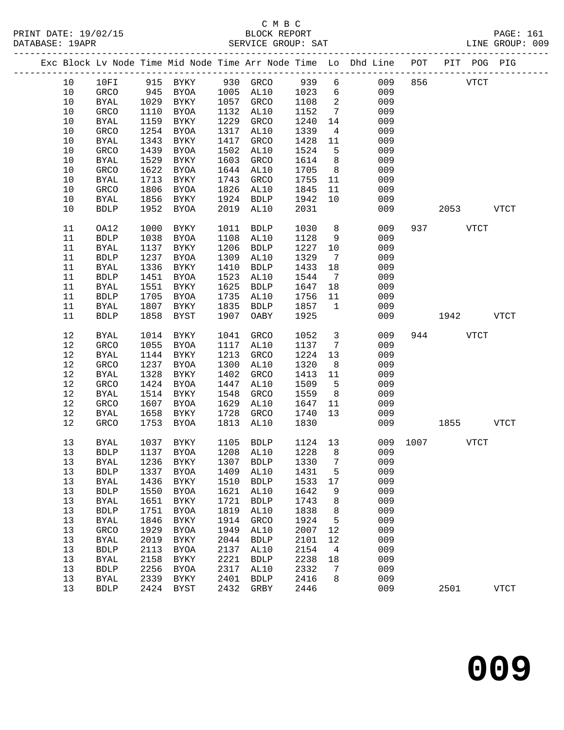## C M B C<br>BLOCK REPORT DATABASE: 19APR SERVICE GROUP: SAT LINE GROUP: 009

|  |      |              |      |              |      |              |      |                 | Exc Block Lv Node Time Mid Node Time Arr Node Time Lo Dhd Line POT |      | PIT POG PIG |             |             |
|--|------|--------------|------|--------------|------|--------------|------|-----------------|--------------------------------------------------------------------|------|-------------|-------------|-------------|
|  | 10   | 10FI         | 915  | BYKY         |      | 930 GRCO     | 939  | 6               | 009                                                                | 856  |             | <b>VTCT</b> |             |
|  | 10   | GRCO         | 945  | BYOA         | 1005 | AL10         | 1023 | $6\overline{6}$ | 009                                                                |      |             |             |             |
|  | 10   | <b>BYAL</b>  | 1029 | BYKY         | 1057 | GRCO         | 1108 | 2               | 009                                                                |      |             |             |             |
|  | 10   | GRCO         | 1110 | BYOA         | 1132 | AL10         | 1152 | $7\overline{ }$ | 009                                                                |      |             |             |             |
|  | 10   | <b>BYAL</b>  | 1159 | BYKY         | 1229 | GRCO         | 1240 | 14              | 009                                                                |      |             |             |             |
|  | $10$ | GRCO         | 1254 | BYOA         | 1317 | AL10         | 1339 | $\overline{4}$  | 009                                                                |      |             |             |             |
|  | 10   | <b>BYAL</b>  | 1343 | <b>BYKY</b>  | 1417 | GRCO         | 1428 | 11              | 009                                                                |      |             |             |             |
|  | 10   | GRCO         | 1439 | <b>BYOA</b>  | 1502 | AL10         | 1524 | 5               | 009                                                                |      |             |             |             |
|  | 10   | $\rm BYAL$   | 1529 | BYKY         | 1603 | GRCO         | 1614 | 8               | 009                                                                |      |             |             |             |
|  | $10$ | GRCO         | 1622 | BYOA         | 1644 | AL10         | 1705 | 8               | 009                                                                |      |             |             |             |
|  | 10   | <b>BYAL</b>  | 1713 | BYKY         | 1743 | GRCO         | 1755 | 11              | 009                                                                |      |             |             |             |
|  | 10   | GRCO         | 1806 | BYOA         | 1826 | AL10         | 1845 | 11              | 009                                                                |      |             |             |             |
|  | 10   | <b>BYAL</b>  | 1856 | BYKY         | 1924 | BDLP         | 1942 | 10              | 009                                                                |      |             |             |             |
|  | 10   | <b>BDLP</b>  | 1952 | BYOA         | 2019 | AL10         | 2031 |                 | 009                                                                |      | 2053        |             | <b>VTCT</b> |
|  |      |              |      |              |      |              |      |                 |                                                                    |      |             |             |             |
|  | 11   | OA12         | 1000 | BYKY         | 1011 | <b>BDLP</b>  | 1030 | 8               | 009                                                                | 937  |             | VTCT        |             |
|  | 11   | ${\tt BDLP}$ | 1038 | BYOA         | 1108 | AL10         | 1128 | 9               | 009                                                                |      |             |             |             |
|  | 11   | <b>BYAL</b>  | 1137 | BYKY         | 1206 | <b>BDLP</b>  | 1227 | 10              | 009                                                                |      |             |             |             |
|  | 11   | <b>BDLP</b>  | 1237 | BYOA         | 1309 | AL10         | 1329 | 7               | 009                                                                |      |             |             |             |
|  | 11   | <b>BYAL</b>  | 1336 | BYKY         | 1410 | <b>BDLP</b>  | 1433 | 18              | 009                                                                |      |             |             |             |
|  | 11   | ${\tt BDLP}$ | 1451 | BYOA         | 1523 | AL10         | 1544 | $\overline{7}$  | 009                                                                |      |             |             |             |
|  | 11   | <b>BYAL</b>  | 1551 | BYKY         | 1625 | <b>BDLP</b>  | 1647 | 18              | 009                                                                |      |             |             |             |
|  | 11   | <b>BDLP</b>  | 1705 | BYOA         | 1735 | AL10         | 1756 | 11              | 009                                                                |      |             |             |             |
|  | 11   | <b>BYAL</b>  | 1807 | BYKY         | 1835 | <b>BDLP</b>  | 1857 | 1               | 009                                                                |      |             |             |             |
|  | 11   | <b>BDLP</b>  | 1858 | <b>BYST</b>  | 1907 | OABY         | 1925 |                 | 009                                                                |      | 1942        |             | <b>VTCT</b> |
|  |      |              |      |              |      |              |      |                 |                                                                    |      |             |             |             |
|  | 12   | <b>BYAL</b>  | 1014 | BYKY         | 1041 | GRCO         | 1052 | $\mathbf{3}$    | 009                                                                | 944  |             | <b>VTCT</b> |             |
|  | 12   | GRCO         | 1055 | <b>BYOA</b>  | 1117 | AL10         | 1137 | $7\phantom{.0}$ | 009                                                                |      |             |             |             |
|  | $12$ | <b>BYAL</b>  | 1144 | BYKY         | 1213 | GRCO         | 1224 | 13              | 009                                                                |      |             |             |             |
|  | 12   | GRCO         | 1237 | BYOA         | 1300 | AL10         | 1320 | 8               | 009                                                                |      |             |             |             |
|  | 12   | <b>BYAL</b>  | 1328 | BYKY         | 1402 | GRCO         | 1413 | 11              | 009                                                                |      |             |             |             |
|  | 12   | GRCO         | 1424 | BYOA         | 1447 | AL10         | 1509 | 5               | 009                                                                |      |             |             |             |
|  | 12   | <b>BYAL</b>  | 1514 | BYKY         | 1548 | GRCO         | 1559 | 8               | 009                                                                |      |             |             |             |
|  | 12   | GRCO         | 1607 | <b>BYOA</b>  | 1629 | AL10         | 1647 | 11              | 009                                                                |      |             |             |             |
|  | $12$ | BYAL         | 1658 | BYKY         | 1728 | GRCO         | 1740 | 13              | 009                                                                |      |             |             |             |
|  | 12   | GRCO         | 1753 | BYOA         | 1813 | AL10         | 1830 |                 | 009                                                                |      | 1855        |             | <b>VTCT</b> |
|  |      |              |      |              |      |              |      |                 |                                                                    |      |             |             |             |
|  | 13   | BYAL         | 1037 | BYKY         | 1105 | BDLP         | 1124 | 13              | 009                                                                | 1007 |             | <b>VTCT</b> |             |
|  | 13   | <b>BDLP</b>  |      | 1137 BYOA    |      | 1208 AL10    | 1228 | 8               | 009                                                                |      |             |             |             |
|  | 13   | BYAL         | 1236 | BYKY         | 1307 | <b>BDLP</b>  | 1330 | 7               | 009                                                                |      |             |             |             |
|  | 13   | <b>BDLP</b>  | 1337 | <b>BYOA</b>  | 1409 | AL10         | 1431 | 5               | 009                                                                |      |             |             |             |
|  | 13   | <b>BYAL</b>  | 1436 | BYKY         | 1510 | <b>BDLP</b>  | 1533 | 17              | 009                                                                |      |             |             |             |
|  | 13   | ${\tt BDLP}$ | 1550 | <b>BYOA</b>  | 1621 | AL10         | 1642 | 9               | 009                                                                |      |             |             |             |
|  | 13   | <b>BYAL</b>  | 1651 | <b>BYKY</b>  | 1721 | <b>BDLP</b>  | 1743 | 8               | 009                                                                |      |             |             |             |
|  | 13   | ${\tt BDLP}$ | 1751 | <b>BYOA</b>  | 1819 | AL10         | 1838 | 8               | 009                                                                |      |             |             |             |
|  | 13   | <b>BYAL</b>  | 1846 | <b>BYKY</b>  | 1914 | GRCO         | 1924 | 5               | 009                                                                |      |             |             |             |
|  | 13   | GRCO         | 1929 | <b>BYOA</b>  | 1949 | AL10         | 2007 | 12              | 009                                                                |      |             |             |             |
|  | 13   | <b>BYAL</b>  | 2019 | <b>BYKY</b>  | 2044 | <b>BDLP</b>  | 2101 | 12              | 009                                                                |      |             |             |             |
|  | 13   | <b>BDLP</b>  | 2113 | <b>BYOA</b>  | 2137 | AL10         | 2154 | 4               | 009                                                                |      |             |             |             |
|  | 13   | <b>BYAL</b>  | 2158 | ${\tt BYKY}$ | 2221 | <b>BDLP</b>  | 2238 | 18              | 009                                                                |      |             |             |             |
|  | 13   | ${\tt BDLP}$ | 2256 | <b>BYOA</b>  | 2317 | AL10         | 2332 | 7               | 009                                                                |      |             |             |             |
|  | 13   | BYAL         | 2339 | <b>BYKY</b>  | 2401 | <b>BDLP</b>  | 2416 | 8               | 009                                                                |      |             |             |             |
|  | 13   | <b>BDLP</b>  | 2424 | <b>BYST</b>  | 2432 | ${\tt GRBY}$ | 2446 |                 | 009                                                                |      | 2501        |             | <b>VTCT</b> |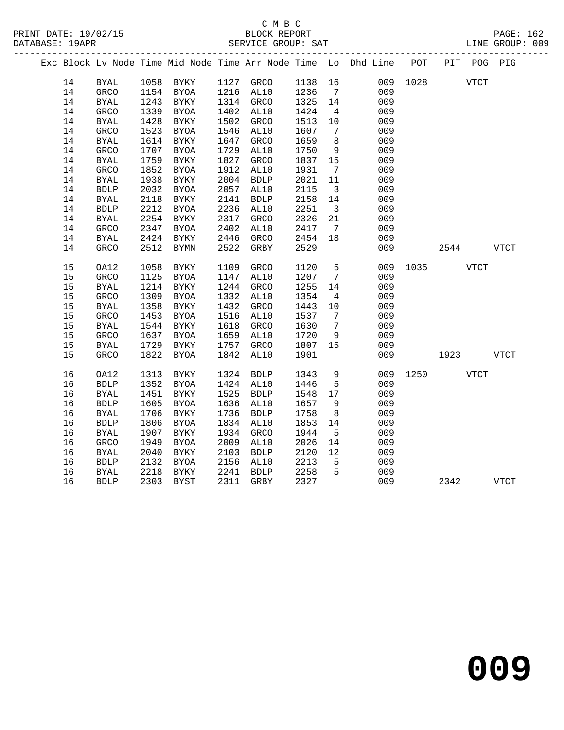|  |    |              |      |             |      |                     |         |                         | Exc Block Lv Node Time Mid Node Time Arr Node Time Lo Dhd Line POT PIT POG PIG |           |      |             |             |
|--|----|--------------|------|-------------|------|---------------------|---------|-------------------------|--------------------------------------------------------------------------------|-----------|------|-------------|-------------|
|  | 14 | <b>BYAL</b>  |      |             |      | 1058 BYKY 1127 GRCO |         |                         | 1138  16<br>1236  7                                                            | 009 1028  |      | <b>VTCT</b> |             |
|  | 14 | GRCO         |      | 1154 BYOA   |      | 1216 AL10           |         |                         | 009                                                                            |           |      |             |             |
|  | 14 | BYAL         | 1243 | BYKY        |      | 1314 GRCO           | 1325 14 |                         | 009                                                                            |           |      |             |             |
|  | 14 | GRCO         | 1339 | BYOA        |      | 1402 AL10           | 1424    | $\overline{4}$          | 009                                                                            |           |      |             |             |
|  | 14 | BYAL         | 1428 | BYKY        | 1502 | GRCO                | 1513    | 10                      | 009                                                                            |           |      |             |             |
|  | 14 | GRCO         | 1523 | BYOA        | 1546 | AL10                | 1607    | $\overline{7}$          | 009                                                                            |           |      |             |             |
|  | 14 | <b>BYAL</b>  | 1614 | BYKY        | 1647 | GRCO                | 1659    | 8 <sup>8</sup>          | 009                                                                            |           |      |             |             |
|  | 14 | GRCO         | 1707 | BYOA        | 1729 | AL10                | 1750    | 9                       | 009                                                                            |           |      |             |             |
|  | 14 | <b>BYAL</b>  | 1759 | <b>BYKY</b> | 1827 | GRCO                | 1837    | 15                      | 009                                                                            |           |      |             |             |
|  | 14 | GRCO         | 1852 | BYOA        | 1912 | AL10                | 1931    | $7\overline{ }$         | 009                                                                            |           |      |             |             |
|  | 14 | <b>BYAL</b>  | 1938 | BYKY        | 2004 | <b>BDLP</b>         | 2021    | 11                      | 009                                                                            |           |      |             |             |
|  | 14 | <b>BDLP</b>  | 2032 | BYOA        | 2057 | AL10                | 2115    | $\overline{\mathbf{3}}$ | 009                                                                            |           |      |             |             |
|  | 14 | <b>BYAL</b>  | 2118 | BYKY        | 2141 | <b>BDLP</b>         | 2158    | 14                      | 009                                                                            |           |      |             |             |
|  | 14 | ${\tt BDLP}$ | 2212 | BYOA        | 2236 | AL10                | 2251    | $\overline{\mathbf{3}}$ | 009                                                                            |           |      |             |             |
|  | 14 | <b>BYAL</b>  | 2254 | BYKY        | 2317 | GRCO                | 2326    | 21                      | 009                                                                            |           |      |             |             |
|  | 14 | GRCO         | 2347 | BYOA        | 2402 | AL10                | 2417    | $7\overline{ }$         | 009                                                                            |           |      |             |             |
|  | 14 | <b>BYAL</b>  | 2424 | BYKY        | 2446 | GRCO                | 2454    | 18                      | 009                                                                            |           |      |             |             |
|  | 14 | <b>GRCO</b>  | 2512 | BYMN        | 2522 | GRBY                | 2529    |                         | 009                                                                            |           | 2544 |             | <b>VTCT</b> |
|  |    |              |      |             |      |                     |         |                         |                                                                                |           |      |             |             |
|  | 15 | OA12         | 1058 | BYKY        | 1109 | GRCO                | 1120    | 5 <sub>5</sub>          | 009                                                                            | 1035 VTCT |      |             |             |
|  | 15 | GRCO         | 1125 | <b>BYOA</b> | 1147 | AL10                | 1207    | $7\overline{ }$         | 009                                                                            |           |      |             |             |
|  | 15 | <b>BYAL</b>  | 1214 | BYKY        | 1244 | GRCO                | 1255    | 14                      | 009                                                                            |           |      |             |             |
|  | 15 | GRCO         | 1309 | BYOA        | 1332 | AL10                | 1354    | $\overline{4}$          | 009                                                                            |           |      |             |             |
|  | 15 | <b>BYAL</b>  | 1358 | BYKY        | 1432 | GRCO                | 1443    | 10                      | 009                                                                            |           |      |             |             |
|  | 15 | GRCO         | 1453 | BYOA        | 1516 | AL10                | 1537    | $\overline{7}$          | 009                                                                            |           |      |             |             |
|  | 15 | <b>BYAL</b>  | 1544 | BYKY        | 1618 | GRCO                | 1630    | $\overline{7}$          | 009                                                                            |           |      |             |             |
|  | 15 | GRCO         | 1637 | <b>BYOA</b> | 1659 | AL10                | 1720    | 9                       | 009                                                                            |           |      |             |             |
|  | 15 | BYAL         | 1729 | BYKY        | 1757 | GRCO                | 1807    | 15                      | 009                                                                            |           |      |             |             |
|  | 15 | GRCO         | 1822 | BYOA        | 1842 | AL10                | 1901    |                         | 009                                                                            |           | 1923 |             | <b>VTCT</b> |
|  | 16 | OA12         | 1313 | BYKY        | 1324 | BDLP                | 1343    | 9                       | 009                                                                            | 1250 VTCT |      |             |             |
|  | 16 | <b>BDLP</b>  | 1352 | BYOA        |      | 1424 AL10           | 1446    | $5\overline{)}$         | 009                                                                            |           |      |             |             |
|  | 16 | <b>BYAL</b>  | 1451 | BYKY        |      | 1525 BDLP           | 1548    | 17                      | 009                                                                            |           |      |             |             |
|  | 16 | ${\tt BDLP}$ | 1605 | BYOA        | 1636 | AL10                | 1657    | 9                       | 009                                                                            |           |      |             |             |
|  | 16 | <b>BYAL</b>  | 1706 | BYKY        | 1736 | BDLP                | 1758    | 8 <sup>8</sup>          | 009                                                                            |           |      |             |             |
|  | 16 | ${\tt BDLP}$ | 1806 | BYOA        | 1834 | AL10                | 1853    | 14                      | 009                                                                            |           |      |             |             |
|  | 16 | <b>BYAL</b>  | 1907 | BYKY        | 1934 | GRCO                | 1944    | 5                       | 009                                                                            |           |      |             |             |
|  | 16 | GRCO         | 1949 | BYOA        | 2009 | AL10                | 2026    | 14                      | 009                                                                            |           |      |             |             |
|  | 16 | <b>BYAL</b>  | 2040 | BYKY        | 2103 | <b>BDLP</b>         | 2120    | 12                      | 009                                                                            |           |      |             |             |
|  | 16 | ${\tt BDLP}$ | 2132 | BYOA        | 2156 | AL10                | 2213    | $5^{\circ}$             | 009                                                                            |           |      |             |             |
|  | 16 | BYAL         | 2218 | BYKY        | 2241 | BDLP                | 2258    | 5                       | 009                                                                            |           |      |             |             |
|  | 16 | <b>BDLP</b>  | 2303 | BYST        | 2311 | GRBY                | 2327    |                         | 009                                                                            |           | 2342 |             | VTCT        |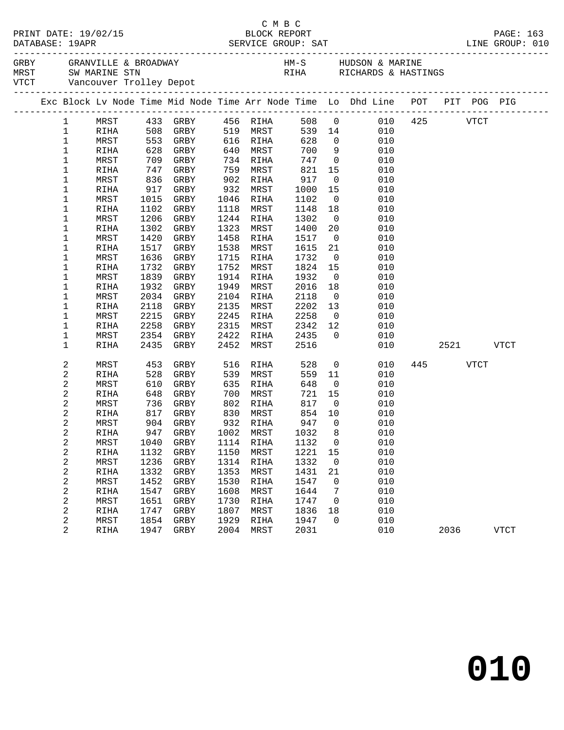|                 |              |              |                        |              |                       |              |                      | GREY GRANVILLE & BROADWAY MARINE HM-S HUDSON & MARINE THANGERS AND SUMPLIFY ON A SUMPLIFY SUMPLIFY ON A SUMPLIF<br>THANGERS WARINE STRINGS WITCHNERS & HASTINGS WITCHNERS AND MARINE TROLLEY Depot |         |             |             |
|-----------------|--------------|--------------|------------------------|--------------|-----------------------|--------------|----------------------|----------------------------------------------------------------------------------------------------------------------------------------------------------------------------------------------------|---------|-------------|-------------|
|                 |              |              |                        |              |                       |              |                      | Exc Block Lv Node Time Mid Node Time Arr Node Time Lo Dhd Line POT PIT POG PIG                                                                                                                     |         |             |             |
| $\mathbf{1}$    |              |              | MRST 433 GRBY 456 RIHA |              |                       |              |                      | 508 0 010 425                                                                                                                                                                                      |         | VTCT        |             |
| $\mathbf{1}$    | RIHA         | 508 GRBY     |                        |              | 519 MRST              |              |                      | 539 14<br>010                                                                                                                                                                                      |         |             |             |
| $\mathbf 1$     | MRST         |              | 553 GRBY               |              | 616 RIHA              | 628          |                      | $\frac{0}{2}$<br>010                                                                                                                                                                               |         |             |             |
| $\mathbf 1$     | RIHA         |              | 628 GRBY               | 640          | MRST                  | 700          | 9                    | 010                                                                                                                                                                                                |         |             |             |
| 1               | MRST         |              | 709 GRBY               | 734          | RIHA                  | 747          |                      | $\overline{0}$<br>010                                                                                                                                                                              |         |             |             |
| 1               | RIHA         | 747          | GRBY                   | 759          | MRST                  | 821          | 15                   | 010                                                                                                                                                                                                |         |             |             |
| 1               | MRST         | 836          | GRBY                   | 902          | RIHA                  | 917          | $\overline{0}$       | 010                                                                                                                                                                                                |         |             |             |
| 1               | RIHA         | 917          | GRBY                   | 932          | MRST                  | 1000         | 15                   | 010                                                                                                                                                                                                |         |             |             |
| 1               | MRST         | 1015         | GRBY                   | 1046         | RIHA                  | 1102         | $\overline{0}$       | 010                                                                                                                                                                                                |         |             |             |
| 1               | RIHA         | 1102         | GRBY                   | 1118         | MRST                  | 1148         | 18                   | 010                                                                                                                                                                                                |         |             |             |
| 1               | MRST         | 1206         | GRBY                   | 1244         | RIHA                  | 1302         | $\overline{0}$       | 010                                                                                                                                                                                                |         |             |             |
| 1               | RIHA         | 1302         | GRBY                   | 1323         | MRST                  | 1400         | 20                   | 010                                                                                                                                                                                                |         |             |             |
| 1               | MRST         | 1420         | GRBY                   | 1458         | RIHA                  | 1517         | $\overline{0}$       | 010                                                                                                                                                                                                |         |             |             |
| 1               | RIHA         | 1517         | GRBY                   | 1538         | MRST                  | 1615         | 21                   | 010                                                                                                                                                                                                |         |             |             |
| 1               | MRST         | 1636         | GRBY                   | 1715         | RIHA                  | 1732         | $\overline{0}$       | 010                                                                                                                                                                                                |         |             |             |
| 1               | RIHA         | 1732         | GRBY                   | 1752         | MRST                  | 1824         | 15                   | 010                                                                                                                                                                                                |         |             |             |
| 1               | MRST         | 1839         | GRBY                   | 1914         | RIHA                  | 1932         | $\overline{0}$       | 010                                                                                                                                                                                                |         |             |             |
| 1               | RIHA         | 1932         | GRBY                   | 1949         | MRST                  | 2016         | 18                   | 010                                                                                                                                                                                                |         |             |             |
| 1<br>1          | MRST         | 2034<br>2118 | GRBY                   | 2104         | RIHA                  | 2118<br>2202 | $\overline{0}$       | 010<br>010                                                                                                                                                                                         |         |             |             |
| 1               | RIHA<br>MRST | 2215         | GRBY<br>GRBY           | 2135<br>2245 | MRST<br>RIHA          | 2258         | 13<br>$\overline{0}$ | 010                                                                                                                                                                                                |         |             |             |
| 1               | RIHA         | 2258         | GRBY                   | 2315         | MRST                  | 2342         | 12                   | 010                                                                                                                                                                                                |         |             |             |
| 1               | MRST         | 2354         | GRBY                   | 2422         | RIHA                  | 2435         | $\overline{0}$       | 010                                                                                                                                                                                                |         |             |             |
| 1               | <b>RIHA</b>  | 2435         | GRBY                   | 2452         | MRST                  | 2516         |                      | 010                                                                                                                                                                                                | 2521 25 |             | VTCT        |
|                 |              |              |                        |              |                       |              |                      |                                                                                                                                                                                                    |         |             |             |
| 2               | MRST         | 453          | GRBY                   | 516          | RIHA                  | 528          |                      | $\overline{0}$<br>010                                                                                                                                                                              | 445     | <b>VTCT</b> |             |
| $\sqrt{2}$      | RIHA         | 528          | GRBY                   | 539          | MRST                  | 559          | 11                   | 010                                                                                                                                                                                                |         |             |             |
| $\sqrt{2}$      | MRST         | 610          | GRBY                   | 635          | RIHA                  | 648          | $\overline{0}$       | 010                                                                                                                                                                                                |         |             |             |
| 2               | RIHA         | 648          | GRBY                   | 700          | MRST                  | 721          | 15                   | 010                                                                                                                                                                                                |         |             |             |
| 2               | MRST         | 736          | GRBY                   | 802          | RIHA                  | 817          | $\overline{0}$       | 010                                                                                                                                                                                                |         |             |             |
| 2               | RIHA         | 817 GRBY     |                        | 830          | MRST                  | 854          | 10                   | 010                                                                                                                                                                                                |         |             |             |
| 2               | MRST         |              | $904$ GRBY             |              | 932 RIHA<br>1002 MRST | 947<br>1032  | $\overline{0}$       | 010                                                                                                                                                                                                |         |             |             |
| 2               | RIHA         |              | 947 GRBY               |              |                       |              | 8 <sup>8</sup>       | 010<br>MRST 1040 GRBY 1114 RIHA 1132 0 010                                                                                                                                                         |         |             |             |
| 2               |              |              |                        |              |                       |              |                      |                                                                                                                                                                                                    |         |             |             |
| 2               | RIHA         | 1132<br>1236 | GRBY                   | 1150         | MRST                  | 1221<br>1332 | 15                   | 010<br>010                                                                                                                                                                                         |         |             |             |
| 2               | MRST         | 1332         | GRBY                   | 1314<br>1353 | RIHA                  |              | $\overline{0}$       | 010                                                                                                                                                                                                |         |             |             |
| $\sqrt{2}$<br>2 | RIHA<br>MRST | 1452         | GRBY<br>GRBY           | 1530         | MRST<br>RIHA          | 1431<br>1547 | 21<br>$\overline{0}$ | 010                                                                                                                                                                                                |         |             |             |
| 2               | RIHA         | 1547         | GRBY                   | 1608         | MRST                  | 1644         | 7                    | 010                                                                                                                                                                                                |         |             |             |
| 2               | MRST         | 1651         | GRBY                   | 1730         | RIHA                  | 1747         | $\overline{0}$       | 010                                                                                                                                                                                                |         |             |             |
| $\sqrt{2}$      | RIHA         | 1747         | GRBY                   | 1807         | MRST                  | 1836         | 18                   | 010                                                                                                                                                                                                |         |             |             |
| 2               | MRST         | 1854         | GRBY                   | 1929         | RIHA                  | 1947         | $\mathbf 0$          | 010                                                                                                                                                                                                |         |             |             |
| 2               | RIHA         | 1947         | GRBY                   | 2004         | MRST                  | 2031         |                      | 010                                                                                                                                                                                                | 2036    |             | <b>VTCT</b> |
|                 |              |              |                        |              |                       |              |                      |                                                                                                                                                                                                    |         |             |             |

C M B C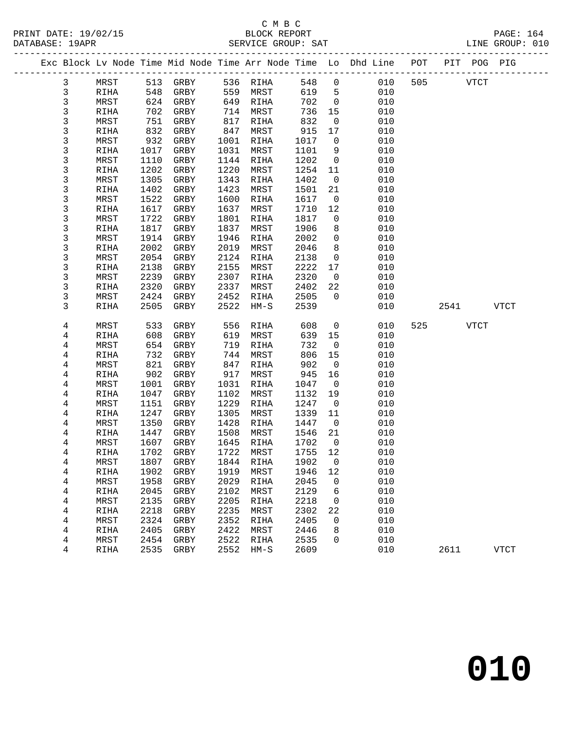#### C M B C<br>BLOCK REPORT PRINT DATE: 19/02/15 BLOCK REPORT PAGE: 164 SERVICE GROUP: SAT

|                   |             |      |                     |      |          |        |                         | Exc Block Lv Node Time Mid Node Time Arr Node Time Lo Dhd Line POT |     | PIT POG PIG |             |             |
|-------------------|-------------|------|---------------------|------|----------|--------|-------------------------|--------------------------------------------------------------------|-----|-------------|-------------|-------------|
|                   | MRST        |      | 513 GRBY            |      | 536 RIHA | 548    | $\mathsf{O}$            | 010                                                                | 505 |             | <b>VTCT</b> |             |
| 3<br>$\mathsf{3}$ | RIHA        | 548  | GRBY                | 559  | MRST     | 619    | 5                       | 010                                                                |     |             |             |             |
| 3                 | MRST        |      | 624 GRBY            | 649  | RIHA     | 702    | $\overline{0}$          | 010                                                                |     |             |             |             |
| $\mathbf{3}$      | RIHA        | 702  | GRBY                | 714  | MRST     | 736    | 15                      | 010                                                                |     |             |             |             |
| $\mathsf{3}$      | MRST        | 751  | GRBY                | 817  | RIHA     | 832    | $\mathbf 0$             | 010                                                                |     |             |             |             |
| 3                 | RIHA        | 832  | GRBY                | 847  | MRST     | 915    | 17                      | 010                                                                |     |             |             |             |
| 3                 | MRST        | 932  | GRBY                | 1001 | RIHA     | 1017   | $\overline{0}$          | 010                                                                |     |             |             |             |
| 3                 | RIHA        | 1017 | GRBY                | 1031 | MRST     | 1101   | 9                       | 010                                                                |     |             |             |             |
| 3                 | MRST        | 1110 | GRBY                | 1144 | RIHA     | 1202   | $\mathsf{O}$            | 010                                                                |     |             |             |             |
| $\mathsf 3$       | RIHA        | 1202 | GRBY                | 1220 | MRST     | 1254   | 11                      | 010                                                                |     |             |             |             |
| 3                 | MRST        | 1305 | GRBY                | 1343 | RIHA     | 1402   | $\overline{0}$          | 010                                                                |     |             |             |             |
| 3                 | RIHA        | 1402 | GRBY                | 1423 | MRST     | 1501   | 21                      | 010                                                                |     |             |             |             |
| 3                 | MRST        | 1522 | GRBY                | 1600 | RIHA     | 1617   | $\overline{0}$          | 010                                                                |     |             |             |             |
| $\mathsf 3$       | RIHA        | 1617 | GRBY                | 1637 | MRST     | 1710   | 12                      | 010                                                                |     |             |             |             |
| 3                 | MRST        | 1722 | GRBY                | 1801 | RIHA     | 1817   | $\mathsf{O}$            | 010                                                                |     |             |             |             |
| 3                 | RIHA        | 1817 | GRBY                | 1837 | MRST     | 1906   | 8                       | 010                                                                |     |             |             |             |
| 3                 | MRST        | 1914 | GRBY                | 1946 | RIHA     | 2002   | $\mathsf{O}$            | 010                                                                |     |             |             |             |
| 3                 | RIHA        | 2002 | GRBY                | 2019 | MRST     | 2046   | 8                       | 010                                                                |     |             |             |             |
| 3                 | MRST        | 2054 | GRBY                | 2124 | RIHA     | 2138   | $\mathbf 0$             | 010                                                                |     |             |             |             |
| 3                 | RIHA        | 2138 | GRBY                | 2155 | MRST     | 2222   | 17                      | 010                                                                |     |             |             |             |
| 3                 | MRST        | 2239 | GRBY                | 2307 | RIHA     | 2320   | $\overline{0}$          | 010                                                                |     |             |             |             |
| 3                 | RIHA        | 2320 | GRBY                | 2337 | MRST     | 2402   | 22                      | 010                                                                |     |             |             |             |
| 3                 | MRST        | 2424 | GRBY                | 2452 | RIHA     | 2505   | $\overline{0}$          | 010                                                                |     |             |             |             |
| 3                 | RIHA        | 2505 | GRBY                | 2522 | $HM-S$   | 2539   |                         | 010                                                                |     | 2541        |             | <b>VTCT</b> |
| 4                 | MRST        | 533  | GRBY                | 556  | RIHA     | 608    | $\mathbf 0$             | 010                                                                | 525 |             | VTCT        |             |
| 4                 | RIHA        | 608  | GRBY                | 619  | MRST     | 639    | 15                      | 010                                                                |     |             |             |             |
| 4                 | MRST        | 654  | GRBY                | 719  | RIHA     | 732    | $\overline{0}$          | 010                                                                |     |             |             |             |
| 4                 | RIHA        | 732  | GRBY                | 744  | MRST     | 806    | 15                      | 010                                                                |     |             |             |             |
| 4                 | MRST        | 821  | GRBY                | 847  | RIHA     | 902    | $\overline{0}$          | 010                                                                |     |             |             |             |
| 4                 | RIHA        | 902  | GRBY                | 917  | MRST     | 945    | 16                      | 010                                                                |     |             |             |             |
| 4                 | MRST        | 1001 | GRBY                | 1031 | RIHA     | 1047   | $\overline{0}$          | 010                                                                |     |             |             |             |
| 4                 | RIHA        | 1047 | GRBY                | 1102 | MRST     | 1132   | 19                      | 010                                                                |     |             |             |             |
| 4                 | MRST        | 1151 | GRBY                | 1229 | RIHA     | 1247   | $\overline{\mathbf{0}}$ | 010                                                                |     |             |             |             |
| 4                 | RIHA        | 1247 | GRBY                | 1305 | MRST     | 1339   | 11                      | 010                                                                |     |             |             |             |
| 4                 | MRST        | 1350 | GRBY                | 1428 | RIHA     | 1447   | $\overline{0}$          | 010                                                                |     |             |             |             |
| 4                 | RIHA        | 1447 | GRBY                | 1508 | MRST     | 1546   | 21                      | 010                                                                |     |             |             |             |
| 4                 | MRST        | 1607 | GRBY                | 1645 | RIHA     | 1702   | $\overline{0}$          | 010                                                                |     |             |             |             |
| 4                 | RIHA        | 1702 | GRBY                | 1722 | MRST     | 1755   | 12                      | 010                                                                |     |             |             |             |
| 4                 | MRST        |      | 1807 GRBY 1844 RIHA |      |          | 1902 0 |                         | 010                                                                |     |             |             |             |
| 4                 | RIHA        | 1902 | GRBY                | 1919 | MRST     | 1946   | 12                      | 010                                                                |     |             |             |             |
| 4                 | MRST        | 1958 | GRBY                | 2029 | RIHA     | 2045   | 0                       | 010                                                                |     |             |             |             |
| 4                 | <b>RIHA</b> | 2045 | ${\tt GRBY}$        | 2102 | MRST     | 2129   | 6                       | 010                                                                |     |             |             |             |
| $\bf 4$           | MRST        | 2135 | GRBY                | 2205 | RIHA     | 2218   | 0                       | 010                                                                |     |             |             |             |
| 4                 | <b>RIHA</b> | 2218 | ${\tt GRBY}$        | 2235 | MRST     | 2302   | 22                      | 010                                                                |     |             |             |             |
| 4                 | MRST        | 2324 | GRBY                | 2352 | RIHA     | 2405   | 0                       | 010                                                                |     |             |             |             |
| 4                 | RIHA        | 2405 | ${\tt GRBY}$        | 2422 | MRST     | 2446   | 8                       | 010                                                                |     |             |             |             |
| 4                 | MRST        | 2454 | GRBY                | 2522 | RIHA     | 2535   | 0                       | 010                                                                |     |             |             |             |
| 4                 | RIHA        | 2535 | GRBY                | 2552 | $HM-S$   | 2609   |                         | 010                                                                |     | 2611        |             | <b>VTCT</b> |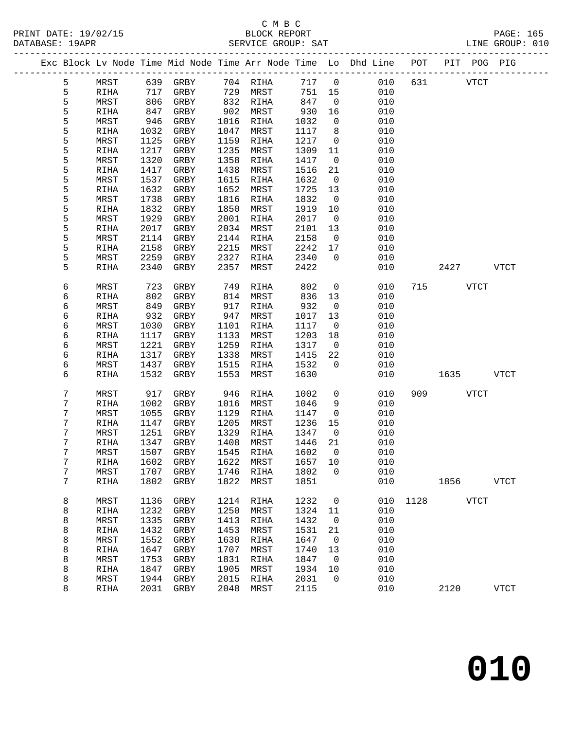### C M B C<br>BLOCK REPORT SERVICE GROUP: SAT

|  |        |              |              |              |              |                   |              |                          | Exc Block Lv Node Time Mid Node Time Arr Node Time Lo Dhd Line POT PIT POG PIG |      |                       |             |
|--|--------|--------------|--------------|--------------|--------------|-------------------|--------------|--------------------------|--------------------------------------------------------------------------------|------|-----------------------|-------------|
|  | 5      | MRST         |              | 639 GRBY     |              | 704 RIHA          | 717 0        |                          | 010                                                                            |      | <b>VTCT</b><br>631 63 |             |
|  | 5      | RIHA         | 717          | GRBY         | 729          | MRST              | 751          | 15                       | 010                                                                            |      |                       |             |
|  | 5      | MRST         | 806          | GRBY         | 832          | RIHA              | 847          | $\overline{0}$           | 010                                                                            |      |                       |             |
|  | 5      | RIHA         | 847          | GRBY         | 902          | MRST              | 930          | 16                       | 010                                                                            |      |                       |             |
|  | 5      | MRST         | 946          | GRBY         | 1016         | RIHA              | 1032         | $\overline{0}$           | 010                                                                            |      |                       |             |
|  | 5      | RIHA         | 1032         | GRBY         | 1047         | MRST              | 1117         | 8                        | 010                                                                            |      |                       |             |
|  | 5      | MRST         | 1125         | GRBY         | 1159         | RIHA              | 1217         | $\overline{0}$           | 010                                                                            |      |                       |             |
|  | 5      | RIHA         | 1217         | GRBY         | 1235         | MRST              | 1309         | 11                       | 010                                                                            |      |                       |             |
|  | 5      | MRST         | 1320         | GRBY         | 1358         | RIHA              | 1417         | $\overline{0}$           | 010                                                                            |      |                       |             |
|  | 5      | RIHA         | 1417         | GRBY         | 1438         | MRST              | 1516         | 21                       | 010                                                                            |      |                       |             |
|  | 5      | MRST         | 1537         | GRBY         | 1615         | RIHA              | 1632         | $\overline{0}$           | 010                                                                            |      |                       |             |
|  | 5      | RIHA         | 1632         | GRBY         | 1652         | MRST              | 1725         | 13                       | 010                                                                            |      |                       |             |
|  | 5      | MRST         | 1738         | GRBY         | 1816         | RIHA              | 1832         | $\overline{0}$           | 010                                                                            |      |                       |             |
|  | 5      | RIHA         | 1832         | GRBY         | 1850         | MRST              | 1919         | $10\,$                   | 010                                                                            |      |                       |             |
|  | 5      | MRST         | 1929         | GRBY         | 2001         | RIHA              | 2017         | $\overline{0}$           | 010                                                                            |      |                       |             |
|  | 5      | RIHA         | 2017         | GRBY         | 2034         | MRST              | 2101         | 13                       | 010                                                                            |      |                       |             |
|  | 5      | MRST         | 2114         | GRBY         | 2144         | RIHA              | 2158         | $\overline{0}$           | 010                                                                            |      |                       |             |
|  | 5<br>5 | RIHA         | 2158         | GRBY         | 2215         | MRST              | 2242         | 17                       | 010                                                                            |      |                       |             |
|  | 5      | MRST         | 2259         | GRBY         | 2327         | RIHA              | 2340         | $\overline{0}$           | 010                                                                            |      |                       | <b>VTCT</b> |
|  |        | RIHA         | 2340         | GRBY         | 2357         | MRST              | 2422         |                          | 010                                                                            |      | 2427                  |             |
|  | 6      | MRST         | 723          | GRBY         | 749          | RIHA              | 802          | $\overline{0}$           | 010                                                                            |      | 715<br><b>VTCT</b>    |             |
|  | 6      | RIHA         | 802          | GRBY         | 814          | MRST              | 836          | 13                       | 010                                                                            |      |                       |             |
|  | 6      | MRST         | 849          | GRBY         | 917          | RIHA              | 932          | $\overline{0}$           | 010                                                                            |      |                       |             |
|  | 6      | RIHA         | 932          | GRBY         | 947          | MRST              | 1017         | 13                       | 010                                                                            |      |                       |             |
|  | 6      | MRST         | 1030         | GRBY         | 1101         | RIHA              | 1117         | $\overline{\phantom{0}}$ | 010                                                                            |      |                       |             |
|  | 6      | RIHA         | 1117         | GRBY         | 1133         | MRST              | 1203         | 18                       | 010                                                                            |      |                       |             |
|  | 6      | MRST         | 1221         | GRBY         | 1259         | RIHA              | 1317         | $\overline{0}$           | 010                                                                            |      |                       |             |
|  | 6      | RIHA         | 1317         | GRBY         | 1338         | MRST              | 1415         | 22                       | 010                                                                            |      |                       |             |
|  | 6      | MRST         | 1437         | GRBY         | 1515         | RIHA              | 1532         | $\overline{0}$           | 010                                                                            |      |                       |             |
|  | 6      | RIHA         | 1532         | GRBY         | 1553         | MRST              | 1630         |                          | 010                                                                            |      | 1635                  | <b>VTCT</b> |
|  | 7      | MRST         | 917          | GRBY         | 946          | RIHA              | 1002         | $\mathbf 0$              | 010                                                                            | 909  | <b>VTCT</b>           |             |
|  | 7      | RIHA         | 1002         | GRBY         | 1016         | MRST              | 1046         | 9                        | 010                                                                            |      |                       |             |
|  | 7      | MRST         | 1055         | GRBY         | 1129         | RIHA              | 1147         | $\overline{0}$           | 010                                                                            |      |                       |             |
|  | 7      | RIHA         | 1147         | GRBY         | 1205         | MRST              | 1236         | 15                       | 010                                                                            |      |                       |             |
|  | 7      | MRST         | 1251         | GRBY         | 1329         | RIHA              | 1347         | $\overline{0}$           | 010                                                                            |      |                       |             |
|  | 7      | RIHA         | 1347         | GRBY         | 1408         | MRST              | 1446         | 21                       | 010                                                                            |      |                       |             |
|  | 7      | MRST         | 1507         | GRBY         | 1545         | RIHA              | 1602         | $\overline{0}$           | 010                                                                            |      |                       |             |
|  | 7      | RIHA         |              | 1602 GRBY    |              | 1622 MRST 1657 10 |              |                          | 010                                                                            |      |                       |             |
|  | 7      | MRST         | 1707         | GRBY         | 1746         | RIHA              | 1802         | 0                        | 010                                                                            |      |                       |             |
|  | 7      | RIHA         | 1802         | GRBY         | 1822         | MRST              | 1851         |                          | 010                                                                            |      | 1856                  | <b>VTCT</b> |
|  |        |              |              |              |              |                   |              |                          |                                                                                |      |                       |             |
|  | 8<br>8 | MRST<br>RIHA | 1136<br>1232 | GRBY<br>GRBY | 1214<br>1250 | RIHA<br>MRST      | 1232<br>1324 | 0<br>11                  | 010<br>010                                                                     | 1128 | <b>VTCT</b>           |             |
|  | 8      | MRST         | 1335         | GRBY         | 1413         | RIHA              | 1432         | 0                        | 010                                                                            |      |                       |             |
|  | 8      | RIHA         | 1432         | GRBY         | 1453         | MRST              | 1531         | 21                       | 010                                                                            |      |                       |             |
|  | 8      | MRST         | 1552         | GRBY         | 1630         | RIHA              | 1647         | 0                        | 010                                                                            |      |                       |             |
|  |        |              |              |              |              |                   |              |                          |                                                                                |      |                       |             |

 8 RIHA 1647 GRBY 1707 MRST 1740 13 010 8 MRST 1753 GRBY 1831 RIHA 1847 0 010 8 RIHA 1847 GRBY 1905 MRST 1934 10 010 8 MRST 1944 GRBY 2015 RIHA 2031 0 010

8 RIHA 2031 GRBY 2048 MRST 2115 010 2120 VTCT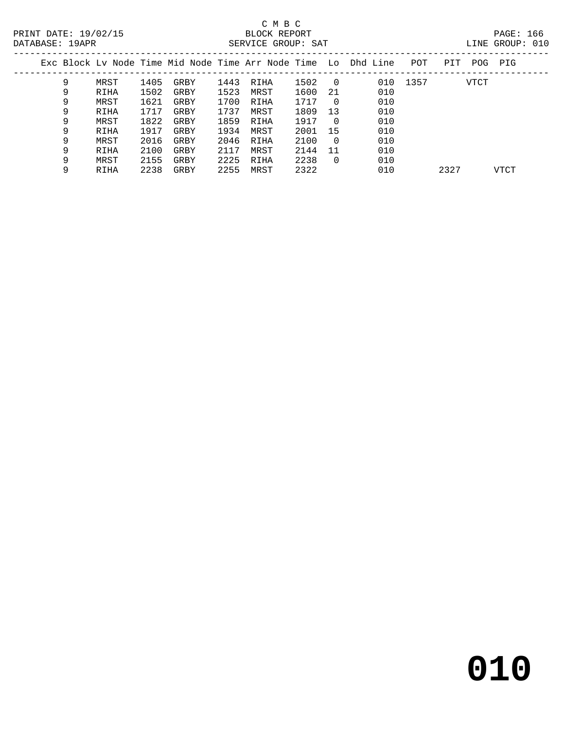| Exc Block Lv Node Time Mid Node Time Arr Node Time  Lo  Dhd Line<br>POT<br>PIT<br>PIG<br>POG<br>9<br>010 1357<br>1405<br>1443<br>1502<br><b>VTCT</b><br>MRST<br>GRBY<br>RIHA<br>$\overline{0}$<br>1523<br>1502<br>010<br>9<br>1600<br>MRST<br>-21<br>GRBY<br>RIHA<br>010<br>9<br>1621<br>1700<br>1717<br>MRST<br>GRBY<br>RIHA<br>$\Omega$<br>9<br>1737<br>1809<br>010<br>1717<br>13<br>MRST<br>RIHA<br>GRBY<br>1822<br>1859<br>010<br>9<br>1917<br>MRST<br>GRBY<br>RIHA<br>- 0<br>9<br>1934<br>010<br>1917<br>2001<br>MRST<br>-15<br>RIHA<br>GRBY<br>010<br>9<br>2100<br>2016<br>2046<br>MRST<br>GRBY<br>$\Omega$<br>RIHA<br>010<br>9<br>2100<br>2144<br>2117<br>MRST<br>11<br>RIHA<br>GRBY<br>2225<br>2238<br>010<br>9<br>2155<br>MRST<br>RIHA<br>$\Omega$<br>GRBY<br>2238<br>2255<br>010<br>2322<br>2327<br>9<br>MRST<br>GRBY<br>VTCT<br>RIHA |  |  |  |  |  |  |  |  |
|-------------------------------------------------------------------------------------------------------------------------------------------------------------------------------------------------------------------------------------------------------------------------------------------------------------------------------------------------------------------------------------------------------------------------------------------------------------------------------------------------------------------------------------------------------------------------------------------------------------------------------------------------------------------------------------------------------------------------------------------------------------------------------------------------------------------------------------------------|--|--|--|--|--|--|--|--|
|                                                                                                                                                                                                                                                                                                                                                                                                                                                                                                                                                                                                                                                                                                                                                                                                                                                 |  |  |  |  |  |  |  |  |
|                                                                                                                                                                                                                                                                                                                                                                                                                                                                                                                                                                                                                                                                                                                                                                                                                                                 |  |  |  |  |  |  |  |  |
|                                                                                                                                                                                                                                                                                                                                                                                                                                                                                                                                                                                                                                                                                                                                                                                                                                                 |  |  |  |  |  |  |  |  |
|                                                                                                                                                                                                                                                                                                                                                                                                                                                                                                                                                                                                                                                                                                                                                                                                                                                 |  |  |  |  |  |  |  |  |
|                                                                                                                                                                                                                                                                                                                                                                                                                                                                                                                                                                                                                                                                                                                                                                                                                                                 |  |  |  |  |  |  |  |  |
|                                                                                                                                                                                                                                                                                                                                                                                                                                                                                                                                                                                                                                                                                                                                                                                                                                                 |  |  |  |  |  |  |  |  |
|                                                                                                                                                                                                                                                                                                                                                                                                                                                                                                                                                                                                                                                                                                                                                                                                                                                 |  |  |  |  |  |  |  |  |
|                                                                                                                                                                                                                                                                                                                                                                                                                                                                                                                                                                                                                                                                                                                                                                                                                                                 |  |  |  |  |  |  |  |  |
|                                                                                                                                                                                                                                                                                                                                                                                                                                                                                                                                                                                                                                                                                                                                                                                                                                                 |  |  |  |  |  |  |  |  |
|                                                                                                                                                                                                                                                                                                                                                                                                                                                                                                                                                                                                                                                                                                                                                                                                                                                 |  |  |  |  |  |  |  |  |
|                                                                                                                                                                                                                                                                                                                                                                                                                                                                                                                                                                                                                                                                                                                                                                                                                                                 |  |  |  |  |  |  |  |  |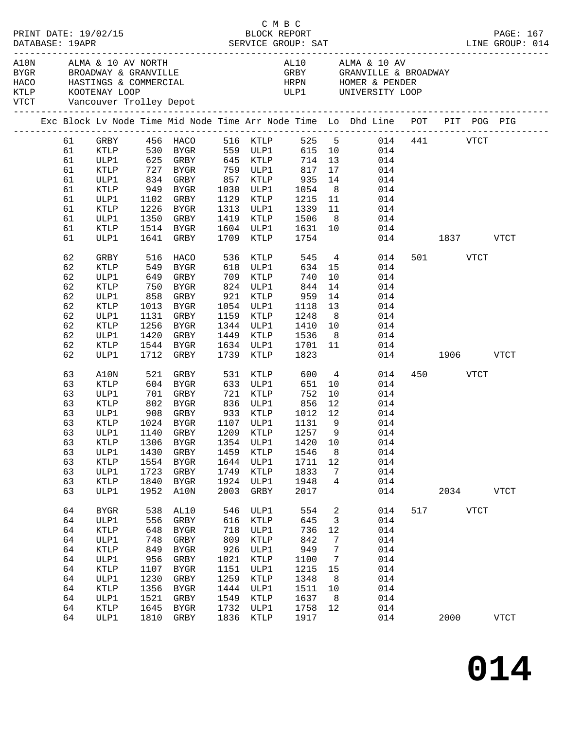|  | DATABASE: 19APR | PRINT DATE: 19/02/15                                                                                                |                      |             |           |      |                               | C M B C                   |                |                 |     |               |          |             | PAGE: 167<br>LINE GROUP: 014 |
|--|-----------------|---------------------------------------------------------------------------------------------------------------------|----------------------|-------------|-----------|------|-------------------------------|---------------------------|----------------|-----------------|-----|---------------|----------|-------------|------------------------------|
|  |                 | KTLP KOOTENAY LOOP<br>VTCT Vancouver Trolley Depot                                                                  |                      |             |           |      |                               | ULP1 UNIVERSITY LOOP      |                |                 |     |               |          |             |                              |
|  |                 | Exc Block Lv Node Time Mid Node Time Arr Node Time Lo Dhd Line POT PIT POG PIG                                      |                      |             |           |      |                               | -------------------       |                |                 |     |               |          |             |                              |
|  | 61              | GRBY 456 HACO 516 KTLP 525 5 014 441 VTCT<br>KTLP 530 BYGR 559 ULP1 615 10 014<br>ULP1 625 GRBY 645 KTLP 714 13 014 |                      |             |           |      |                               |                           |                |                 |     |               |          |             |                              |
|  | 61              |                                                                                                                     |                      |             |           |      |                               |                           |                |                 |     |               |          |             |                              |
|  | 61              |                                                                                                                     |                      |             |           |      |                               |                           |                |                 |     |               |          |             |                              |
|  | 61              | KTLP                                                                                                                | 727 BYGR             |             |           |      | 759 ULP1                      | 817 17                    |                |                 | 014 |               |          |             |                              |
|  | 61              | ULP1                                                                                                                | 834 GRBY             |             |           |      | 857 KTLP                      | $935$<br>$1054$<br>$1215$ | 14             |                 | 014 |               |          |             |                              |
|  | 61              | KTLP                                                                                                                | 949 BYGR             |             |           |      | 1030 ULP1                     |                           | 8 <sup>8</sup> |                 | 014 |               |          |             |                              |
|  | 61              | ULP1                                                                                                                | 1102 GRBY            |             |           |      | 1129 KTLP                     |                           |                | 11              | 014 |               |          |             |                              |
|  | 61              | KTLP                                                                                                                | 1226 BYGR            |             |           |      | 1313 ULP1                     | 1339                      |                | 11              | 014 |               |          |             |                              |
|  | 61              | ULP1                                                                                                                | 1350 GRBY            |             |           |      | 1419 KTLP                     | 1506                      |                | 8               | 014 |               |          |             |                              |
|  | 61              | KTLP                                                                                                                | 1514 BYGR            |             |           |      | 1604 ULP1                     |                           |                |                 | 014 |               |          |             |                              |
|  | 61              | ULP1                                                                                                                | 1641 GRBY            |             |           |      | 1709 KTLP                     | 1631 10<br>1754           |                |                 |     | 014 1837 VTCT |          |             |                              |
|  | 62              | GRBY                                                                                                                | 516                  | HACO        |           | 536  | KTLP                          | 545                       |                | $4\overline{ }$ | 014 |               | 501 VTCT |             |                              |
|  | 62              | KTLP                                                                                                                |                      |             |           |      | KILP مار<br>618 ULP1<br>700 - | $634$ 15                  |                |                 | 014 |               |          |             |                              |
|  | 62              | ULP1                                                                                                                | 549 BYGR<br>649 GRBY |             |           |      |                               | 740                       | 10             |                 | 014 |               |          |             |                              |
|  | 62              | KTLP                                                                                                                | 750 BYGR             |             |           |      | 824 ULP1                      | 844                       | 14             |                 | 014 |               |          |             |                              |
|  | 62              | ULP1                                                                                                                |                      |             |           |      | 858 GRBY 921 KTLP             | 959                       | 14             |                 | 014 |               |          |             |                              |
|  | 62              | KTLP                                                                                                                | 1013 BYGR            |             |           |      | 1054 ULP1                     |                           | 13             |                 | 014 |               |          |             |                              |
|  | 62              | ULP1                                                                                                                | 1131 GRBY            |             |           |      | 1159 KTLP                     | 1118<br>1248              | 8 <sup>8</sup> |                 | 014 |               |          |             |                              |
|  | 62              | KTLP                                                                                                                | 1256 BYGR            |             |           |      | 1344 ULP1                     | 1410                      |                | 10              | 014 |               |          |             |                              |
|  | 62              | ULP1                                                                                                                | 1420 GRBY            |             |           |      | 1449 KTLP                     | 1536                      | 8 <sup>8</sup> |                 | 014 |               |          |             |                              |
|  | 62              | KTLP                                                                                                                | 1544 BYGR            |             |           |      | 1634 ULP1                     |                           | 11             |                 | 014 |               |          |             |                              |
|  | 62              | ULP1                                                                                                                | 1712 GRBY            |             |           |      | 1739 KTLP                     | 1701<br>1823              |                |                 |     | 014 1906 VTCT |          |             |                              |
|  | 63              | A10N                                                                                                                | 521                  | GRBY        |           |      | 531 KTLP                      | 600                       |                | $4\overline{ }$ | 014 |               | 450 VTCT |             |                              |
|  | 63              | <b>KTLP</b>                                                                                                         |                      |             |           |      | 633 ULP1                      | 651                       | 10             |                 | 014 |               |          |             |                              |
|  | 63              | ULP1                                                                                                                |                      |             |           |      |                               | 752                       | 10             |                 | 014 |               |          |             |                              |
|  | 63              | KTLP                                                                                                                |                      |             |           |      |                               | 856                       | 12             |                 | 014 |               |          |             |                              |
|  | 63              | ULP1                                                                                                                |                      |             |           |      | 908 GRBY 933 KTLP             | 1012 12                   |                |                 | 014 |               |          |             |                              |
|  | 63              | KTLP                                                                                                                |                      |             | 1024 BYGR |      | 1107 ULP1                     | 1131                      | - 9            |                 | 014 |               |          |             |                              |
|  |                 | 63 ULP1 1140 GRBY 1209 KTLP 1257 9 014                                                                              |                      |             |           |      |                               |                           |                |                 |     |               |          |             |                              |
|  | 63              | KTLP                                                                                                                | 1306                 | BYGR        |           | 1354 | ULP1                          | 1420                      | 10             |                 | 014 |               |          |             |                              |
|  | 63              | ULP1                                                                                                                | 1430                 | GRBY        |           | 1459 | KTLP                          | 1546                      | 8              |                 | 014 |               |          |             |                              |
|  | 63              | <b>KTLP</b>                                                                                                         | 1554                 | <b>BYGR</b> |           | 1644 | ULP1                          | 1711                      | 12             |                 | 014 |               |          |             |                              |
|  | 63              | ULP1                                                                                                                | 1723                 | GRBY        |           | 1749 | KTLP                          | 1833                      | 7              |                 | 014 |               |          |             |                              |
|  | 63              | KTLP                                                                                                                | 1840                 | <b>BYGR</b> |           | 1924 | ULP1                          | 1948                      | 4              |                 | 014 |               |          |             |                              |
|  | 63              | ULP1                                                                                                                | 1952                 | A10N        |           | 2003 | GRBY                          | 2017                      |                |                 | 014 |               | 2034     |             | <b>VTCT</b>                  |
|  | 64              | <b>BYGR</b>                                                                                                         | 538                  | AL10        |           | 546  | ULP1                          | 554                       | 2              |                 | 014 | 517           |          | <b>VTCT</b> |                              |
|  | 64              | ULP1                                                                                                                | 556                  | GRBY        |           | 616  | KTLP                          | 645                       | 3              |                 | 014 |               |          |             |                              |
|  | 64              | KTLP                                                                                                                | 648                  | BYGR        |           | 718  | ULP1                          | 736                       | 12             |                 | 014 |               |          |             |                              |
|  | 64              | ULP1                                                                                                                | 748                  | GRBY        |           | 809  | KTLP                          | 842                       | 7              |                 | 014 |               |          |             |                              |
|  | 64              | KTLP                                                                                                                | 849                  | <b>BYGR</b> |           | 926  | ULP1                          | 949                       | 7              |                 | 014 |               |          |             |                              |
|  | 64              | ULP1                                                                                                                | 956                  | GRBY        |           | 1021 | KTLP                          | 1100                      | 7              |                 | 014 |               |          |             |                              |
|  | 64              | KTLP                                                                                                                | 1107                 | <b>BYGR</b> |           | 1151 | ULP1                          | 1215                      | 15             |                 | 014 |               |          |             |                              |
|  | 64              | ULP1                                                                                                                | 1230                 | GRBY        |           | 1259 | $\texttt{KTLP}$               | 1348                      | 8              |                 | 014 |               |          |             |                              |
|  | 64              | KTLP                                                                                                                | 1356                 | <b>BYGR</b> |           | 1444 | ULP1                          | 1511                      | 10             |                 | 014 |               |          |             |                              |
|  | 64              | ULP1                                                                                                                | 1521                 | GRBY        |           | 1549 | KTLP                          | 1637                      | 8              |                 | 014 |               |          |             |                              |
|  | 64              | KTLP                                                                                                                | 1645                 | <b>BYGR</b> |           | 1732 | ULP1                          | 1758                      | 12             |                 | 014 |               |          |             |                              |
|  | 64              | ULP1                                                                                                                | 1810                 | GRBY        |           | 1836 | KTLP                          | 1917                      |                |                 | 014 |               | 2000     |             | <b>VTCT</b>                  |
|  |                 |                                                                                                                     |                      |             |           |      |                               |                           |                |                 |     |               |          |             |                              |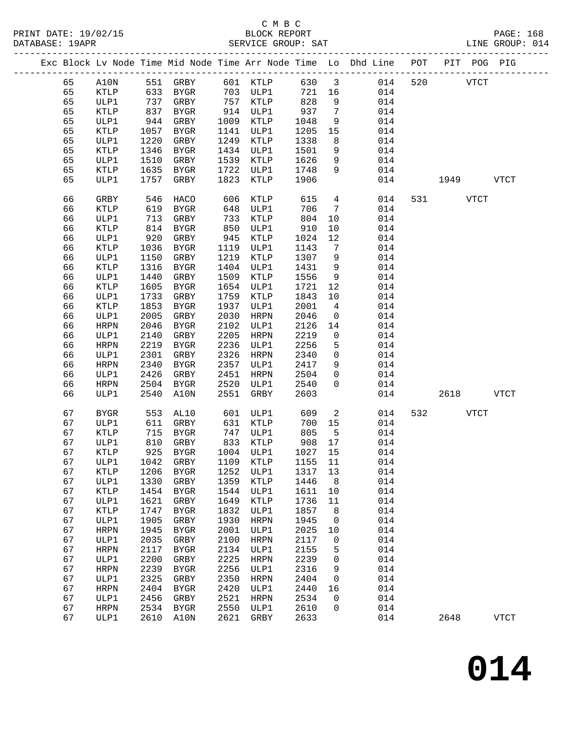## C M B C

| DATABASE: 19APR |    |                 |            |           |      | SERVICE GROUP: SAT           |         |                          | LINE GROUP: 014                                                                |              |          |      |             |  |
|-----------------|----|-----------------|------------|-----------|------|------------------------------|---------|--------------------------|--------------------------------------------------------------------------------|--------------|----------|------|-------------|--|
|                 |    |                 |            |           |      |                              |         |                          | Exc Block Lv Node Time Mid Node Time Arr Node Time Lo Dhd Line POT PIT POG PIG |              |          |      |             |  |
|                 | 65 |                 |            |           |      | A10N 551 GRBY 601 KTLP 630 3 |         |                          |                                                                                | 014 520 VTCT |          |      |             |  |
|                 | 65 | KTLP            |            |           |      | 633 BYGR 703 ULP1            | 721 16  |                          | 014                                                                            |              |          |      |             |  |
|                 | 65 | ULP1            | 737        | GRBY      |      | 757 KTLP                     | 828     | 9                        | 014                                                                            |              |          |      |             |  |
|                 | 65 | KTLP            | 837<br>944 | BYGR      |      | 914 ULP1                     | 937     | $7\overline{ }$          | 014                                                                            |              |          |      |             |  |
|                 | 65 | ULP1            |            | GRBY      |      | 1009 KTLP                    | 1048    | 9                        | 014                                                                            |              |          |      |             |  |
|                 | 65 | KTLP            | 1057       | BYGR      |      | 1141 ULP1                    | 1205    | 15                       | 014                                                                            |              |          |      |             |  |
|                 | 65 | ULP1            | 1220       | GRBY      |      | 1249 KTLP                    | 1338    | 8                        | 014                                                                            |              |          |      |             |  |
|                 | 65 | KTLP            | 1346       | BYGR      |      | 1434 ULP1                    | 1501    | 9                        | 014                                                                            |              |          |      |             |  |
|                 | 65 | ULP1            | 1510       | GRBY      |      | 1539 KTLP                    | 1626    | 9                        | 014                                                                            |              |          |      |             |  |
|                 | 65 | KTLP            | 1635       | BYGR      |      | 1722 ULP1                    | 1748    | 9                        | 014                                                                            |              |          |      |             |  |
|                 | 65 | ULP1            | 1757       | GRBY      | 1823 | KTLP                         | 1906    |                          | 014                                                                            | 1949 VTCT    |          |      |             |  |
|                 | 66 | GRBY            | 546        | HACO      | 606  | KTLP                         | 615     | $4\overline{4}$          | 014                                                                            |              | 531 VTCT |      |             |  |
|                 | 66 | KTLP            | 619        | BYGR      | 648  | ULP1                         | 706     | $\overline{7}$           | 014                                                                            |              |          |      |             |  |
|                 | 66 | ULP1            | 713        | GRBY      |      | 733 KTLP                     | 804     | 10                       | 014                                                                            |              |          |      |             |  |
|                 | 66 | KTLP            | 814        | BYGR      | 850  | ULP1                         | 910     | 10                       | 014                                                                            |              |          |      |             |  |
|                 | 66 | ULP1            | 920        | GRBY      | 945  | KTLP                         | 1024    | 12                       | 014                                                                            |              |          |      |             |  |
|                 | 66 | KTLP            | 1036       | BYGR      |      | 1119 ULP1                    | 1143    | $\overline{7}$           | 014                                                                            |              |          |      |             |  |
|                 | 66 | ULP1            | 1150       | GRBY      | 1219 | KTLP                         | 1307    | 9                        | 014                                                                            |              |          |      |             |  |
|                 | 66 | KTLP            | 1316       | BYGR      |      | 1404 ULP1                    | 1431    | 9                        | 014                                                                            |              |          |      |             |  |
|                 | 66 | ULP1            | 1440       | GRBY      | 1509 | KTLP                         | 1556    | 9                        | 014                                                                            |              |          |      |             |  |
|                 | 66 | KTLP            | 1605       | BYGR      | 1654 | ULP1                         | 1721    | 12                       | 014                                                                            |              |          |      |             |  |
|                 | 66 | ULP1            | 1733       | GRBY      | 1759 | KTLP                         | 1843    | 10                       | 014                                                                            |              |          |      |             |  |
|                 | 66 | KTLP            | 1853       | BYGR      | 1937 | ULP1                         | 2001    | $\overline{4}$           | 014                                                                            |              |          |      |             |  |
|                 | 66 | ULP1            | 2005       | GRBY      | 2030 | HRPN                         | 2046    | $\overline{0}$           | 014                                                                            |              |          |      |             |  |
|                 | 66 | HRPN            | 2046       | BYGR      | 2102 | ULP1                         | 2126    | 14                       | 014                                                                            |              |          |      |             |  |
|                 | 66 | ULP1            | 2140       | GRBY      | 2205 | HRPN                         | 2219    | $\overline{\mathbf{0}}$  | 014                                                                            |              |          |      |             |  |
|                 | 66 | HRPN            | 2219       | BYGR      | 2236 | ULP1                         | 2256    | 5                        | 014                                                                            |              |          |      |             |  |
|                 | 66 | ULP1            | 2301       | GRBY      | 2326 | HRPN                         | 2340    | $\overline{0}$           | 014                                                                            |              |          |      |             |  |
|                 | 66 | HRPN            | 2340       | BYGR      |      | 2357 ULP1                    | 2417    | 9                        | 014                                                                            |              |          |      |             |  |
|                 | 66 | ULP1            | 2426       | GRBY      | 2451 | HRPN                         | 2504    | $\overline{0}$           | 014                                                                            |              |          |      |             |  |
|                 | 66 | HRPN            | 2504       | BYGR      | 2520 | ULP1                         | 2540    | $\Omega$                 | 014                                                                            |              |          |      |             |  |
|                 | 66 | ULP1            | 2540       | A10N      | 2551 | GRBY                         | 2603    |                          | 014                                                                            |              |          | 2618 | <b>VTCT</b> |  |
|                 | 67 | BYGR            | 553        | AL10      |      | 601 ULP1                     | 609     | $\overline{\phantom{a}}$ | 014                                                                            |              | 532      | VTCT |             |  |
|                 | 67 | ULP1            | 611        | GRBY      |      | 631 KTLP                     | 700     | 15                       | 014                                                                            |              |          |      |             |  |
|                 | 67 | KTLP            | 715        | BYGR      |      | 747 ULP1<br>833 KTLP         | 805     | $-5$                     | 014                                                                            |              |          |      |             |  |
|                 | 67 | ULP1            |            | 810 GRBY  |      |                              | 908 17  |                          | 014                                                                            |              |          |      |             |  |
|                 | 67 | KTLP            |            |           |      |                              |         |                          | 925 BYGR 1004 ULP1 1027 15 014                                                 |              |          |      |             |  |
|                 | 67 | ULP1            | 1042       | GRBY      | 1109 | KTLP                         | 1155 11 |                          | 014                                                                            |              |          |      |             |  |
|                 | 67 | KTLP            | 1206       | BYGR      | 1252 | ULP1                         | 1317    | 13                       | 014                                                                            |              |          |      |             |  |
|                 | 67 | ULP1            | 1330       | GRBY      | 1359 | KTLP                         | 1446    | 8 <sup>8</sup>           | 014                                                                            |              |          |      |             |  |
|                 | 67 | $\texttt{KTLP}$ | 1454       | BYGR      | 1544 | ULP1                         | 1611    | 10                       | 014                                                                            |              |          |      |             |  |
|                 | 67 | ULP1            | 1621       | GRBY      | 1649 | KTLP                         | 1736    | 11                       | 014                                                                            |              |          |      |             |  |
|                 | 67 | KTLP            | 1747       | BYGR      | 1832 | ULP1                         | 1857    | 8                        | 014                                                                            |              |          |      |             |  |
|                 | 67 | ULP1            | 1905       | GRBY      | 1930 | <b>HRPN</b>                  | 1945    | $\overline{0}$           | 014                                                                            |              |          |      |             |  |
|                 | 67 | <b>HRPN</b>     | 1945       | BYGR      | 2001 | ULP1                         | 2025    | 10                       | 014                                                                            |              |          |      |             |  |
|                 | 67 | ULP1            | 2035       | GRBY      | 2100 | HRPN                         | 2117    | $\mathbf 0$              | 014                                                                            |              |          |      |             |  |
|                 | 67 | <b>HRPN</b>     | 2117       | BYGR      | 2134 | ULP1                         | 2155    | 5                        | 014                                                                            |              |          |      |             |  |
|                 | 67 | ULP1            | 2200       | GRBY      | 2225 | HRPN                         | 2239    | 0                        | 014                                                                            |              |          |      |             |  |
|                 | 67 | <b>HRPN</b>     | 2239       | BYGR      | 2256 | ULP1                         | 2316    | 9                        | 014                                                                            |              |          |      |             |  |
|                 | 67 | ULP1            | 2325       | GRBY      | 2350 | HRPN                         | 2404    | $\mathsf{O}$             | 014                                                                            |              |          |      |             |  |
|                 | 67 | <b>HRPN</b>     | 2404       | BYGR      | 2420 | ULP1                         | 2440    | 16                       | 014                                                                            |              |          |      |             |  |
|                 | 67 | ULP1            | 2456       | GRBY      | 2521 | HRPN                         | 2534    | 0                        | 014                                                                            |              |          |      |             |  |
|                 | 67 | HRPN            | 2534       | BYGR      | 2550 | ULP1                         | 2610    | $\mathbf 0$              | 014                                                                            |              |          |      |             |  |
|                 | 67 | ULP1            |            | 2610 A10N | 2621 | GRBY                         | 2633    |                          | 014                                                                            |              | 2648     |      | <b>VTCT</b> |  |
|                 |    |                 |            |           |      |                              |         |                          |                                                                                |              |          |      |             |  |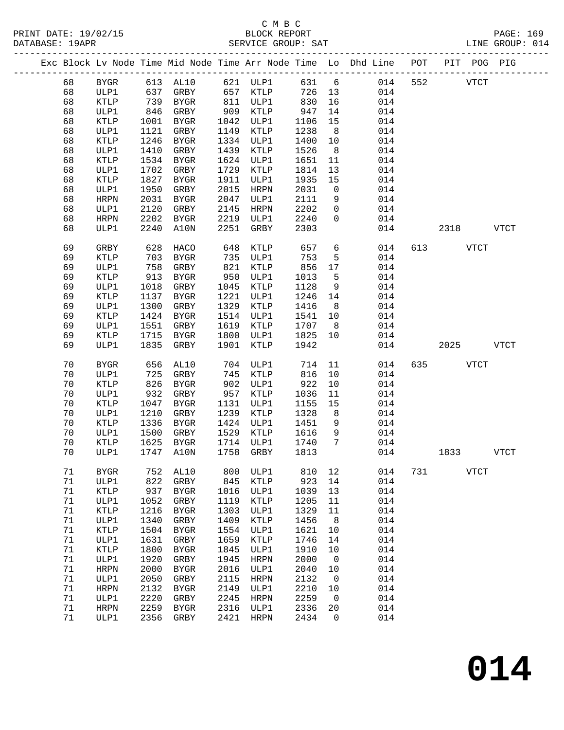PRINT DATE: 19/02/15 BLOCK REPORT BATE: 19/02/15

## C M B C

PAGE: 169<br>LINE GROUP: 014

|  | DATABASE: 19APR |                 |      |              |      | SERVICE GROUP: SAI |      |                |                                                                    |             |      |             | TINE GKOOL: 014 |  |
|--|-----------------|-----------------|------|--------------|------|--------------------|------|----------------|--------------------------------------------------------------------|-------------|------|-------------|-----------------|--|
|  |                 |                 |      |              |      |                    |      |                | Exc Block Lv Node Time Mid Node Time Arr Node Time Lo Dhd Line POT | ___________ |      | PIT POG PIG |                 |  |
|  | 68              | <b>BYGR</b>     |      | 613 AL10     |      | 621 ULP1           | 631  | 6              | 014                                                                | 552         |      | <b>VTCT</b> |                 |  |
|  | 68              | ULP1            | 637  | GRBY         | 657  | KTLP               | 726  | 13             | 014                                                                |             |      |             |                 |  |
|  | 68              | KTLP            | 739  | BYGR         | 811  | ULP1               | 830  | 16             | 014                                                                |             |      |             |                 |  |
|  | 68              | ULP1            | 846  | GRBY         | 909  | KTLP               | 947  | 14             | 014                                                                |             |      |             |                 |  |
|  | 68              | KTLP            | 1001 | BYGR         | 1042 | ULP1               | 1106 | 15             | 014                                                                |             |      |             |                 |  |
|  | 68              | ULP1            | 1121 | GRBY         | 1149 | KTLP               | 1238 | 8 <sup>8</sup> | 014                                                                |             |      |             |                 |  |
|  | 68              | KTLP            | 1246 | <b>BYGR</b>  | 1334 | ULP1               | 1400 | 10             | 014                                                                |             |      |             |                 |  |
|  | 68              | ULP1            | 1410 | GRBY         | 1439 | KTLP               | 1526 | 8              | 014                                                                |             |      |             |                 |  |
|  | 68              | KTLP            | 1534 | BYGR         | 1624 | ULP1               | 1651 | 11             | 014                                                                |             |      |             |                 |  |
|  | 68              | ULP1            | 1702 | GRBY         | 1729 | KTLP               | 1814 | 13             | 014                                                                |             |      |             |                 |  |
|  | 68              | KTLP            | 1827 | BYGR         | 1911 | ULP1               | 1935 | 15             | 014                                                                |             |      |             |                 |  |
|  | 68              | ULP1            | 1950 | GRBY         | 2015 | HRPN               | 2031 | $\overline{0}$ | 014                                                                |             |      |             |                 |  |
|  | 68              | <b>HRPN</b>     | 2031 | BYGR         | 2047 | ULP1               | 2111 | 9              | 014                                                                |             |      |             |                 |  |
|  | 68              | ULP1            | 2120 | GRBY         | 2145 | HRPN               | 2202 | $\mathbf 0$    | 014                                                                |             |      |             |                 |  |
|  | 68              | <b>HRPN</b>     | 2202 | BYGR         | 2219 | ULP1               | 2240 | $\mathbf 0$    | 014                                                                |             |      |             |                 |  |
|  | 68              | ULP1            | 2240 | A10N         | 2251 | GRBY               | 2303 |                | 014                                                                |             | 2318 |             | <b>VTCT</b>     |  |
|  | 69              | GRBY            | 628  | HACO         | 648  | KTLP               | 657  | 6              | 014                                                                | 613         |      | VTCT        |                 |  |
|  | 69              | KTLP            | 703  | BYGR         | 735  | ULP1               | 753  | 5              | 014                                                                |             |      |             |                 |  |
|  | 69              | ULP1            | 758  | GRBY         | 821  | KTLP               | 856  | 17             | 014                                                                |             |      |             |                 |  |
|  | 69              | <b>KTLP</b>     | 913  | BYGR         | 950  | ULP1               | 1013 | 5              | 014                                                                |             |      |             |                 |  |
|  | 69              | ULP1            | 1018 | GRBY         | 1045 | KTLP               | 1128 | 9              | 014                                                                |             |      |             |                 |  |
|  | 69              | KTLP            | 1137 | BYGR         | 1221 | ULP1               | 1246 | 14             | 014                                                                |             |      |             |                 |  |
|  | 69              | ULP1            | 1300 | GRBY         | 1329 | KTLP               | 1416 | 8              | 014                                                                |             |      |             |                 |  |
|  | 69              | KTLP            | 1424 | BYGR         | 1514 | ULP1               | 1541 | 10             | 014                                                                |             |      |             |                 |  |
|  | 69              | ULP1            | 1551 | GRBY         | 1619 | KTLP               | 1707 | - 8            | 014                                                                |             |      |             |                 |  |
|  | 69              | KTLP            | 1715 | BYGR         | 1800 | ULP1               | 1825 | 10             | 014                                                                |             |      |             |                 |  |
|  | 69              | ULP1            | 1835 | GRBY         | 1901 | KTLP               | 1942 |                | 014                                                                |             | 2025 |             | <b>VTCT</b>     |  |
|  | 70              | <b>BYGR</b>     | 656  | AL10         | 704  | ULP1               | 714  | 11             | 014                                                                | 635         |      | <b>VTCT</b> |                 |  |
|  | 70              | ULP1            | 725  | GRBY         | 745  | KTLP               | 816  | 10             | 014                                                                |             |      |             |                 |  |
|  | 70              | KTLP            | 826  | BYGR         | 902  | ULP1               | 922  | 10             | 014                                                                |             |      |             |                 |  |
|  | 70              | ULP1            | 932  | GRBY         | 957  | KTLP               | 1036 | 11             | 014                                                                |             |      |             |                 |  |
|  | 70              | KTLP            | 1047 | BYGR         | 1131 | ULP1               | 1155 | 15             | 014                                                                |             |      |             |                 |  |
|  | 70              | ULP1            | 1210 | GRBY         | 1239 | KTLP               | 1328 | 8              | 014                                                                |             |      |             |                 |  |
|  | 70              | $\texttt{KTLP}$ | 1336 | BYGR         | 1424 | ULP1               | 1451 | 9              | 014                                                                |             |      |             |                 |  |
|  | 70              | ULP1            | 1500 | GRBY         | 1529 | KTLP               | 1616 | 9              | 014                                                                |             |      |             |                 |  |
|  | 70              | KTLP            | 1625 | BYGR         | 1714 | ULP1               | 1740 | 7              | 014                                                                |             |      |             |                 |  |
|  | 70              | ULP1            | 1747 | A10N         | 1758 | GRBY               | 1813 |                | 014                                                                |             | 1833 |             | <b>VTCT</b>     |  |
|  | 71              | <b>BYGR</b>     | 752  | AL10         | 800  | ULP1               | 810  | 12             | 014                                                                | 731         |      | <b>VTCT</b> |                 |  |
|  | $71\,$          | ULP1            | 822  | GRBY         | 845  | KTLP               | 923  | 14             | 014                                                                |             |      |             |                 |  |
|  | $71\,$          | KTLP            | 937  | <b>BYGR</b>  | 1016 | ULP1               | 1039 | 13             | 014                                                                |             |      |             |                 |  |
|  | 71              | ULP1            | 1052 | GRBY         | 1119 | KTLP               | 1205 | 11             | 014                                                                |             |      |             |                 |  |
|  | 71              | KTLP            | 1216 | ${\tt BYGR}$ | 1303 | ULP1               | 1329 | 11             | 014                                                                |             |      |             |                 |  |
|  | 71              | ULP1            | 1340 | GRBY         | 1409 | KTLP               | 1456 | 8              | 014                                                                |             |      |             |                 |  |
|  | 71              | KTLP            | 1504 | ${\tt BYGR}$ | 1554 | ULP1               | 1621 | 10             | 014                                                                |             |      |             |                 |  |
|  | 71              | ULP1            | 1631 | ${\tt GRBY}$ | 1659 | KTLP               | 1746 | 14             | 014                                                                |             |      |             |                 |  |
|  | 71              | KTLP            | 1800 | ${\tt BYGR}$ | 1845 | ULP1               | 1910 | 10             | 014                                                                |             |      |             |                 |  |
|  | 71              | ULP1            | 1920 | ${\tt GRBY}$ | 1945 | <b>HRPN</b>        | 2000 | 0              | 014                                                                |             |      |             |                 |  |
|  | 71              | <b>HRPN</b>     | 2000 | ${\tt BYGR}$ | 2016 | ULP1               | 2040 | 10             | 014                                                                |             |      |             |                 |  |
|  | 71              | ULP1            | 2050 | GRBY         | 2115 | <b>HRPN</b>        | 2132 | 0              | 014                                                                |             |      |             |                 |  |
|  | $7\,1$          | <b>HRPN</b>     | 2132 | ${\tt BYGR}$ | 2149 | ULP1               | 2210 | 10             | 014                                                                |             |      |             |                 |  |
|  | 71              | ULP1            | 2220 | GRBY         | 2245 | <b>HRPN</b>        | 2259 | 0              | 014                                                                |             |      |             |                 |  |
|  | 71              | <b>HRPN</b>     | 2259 | ${\tt BYGR}$ | 2316 | ULP1               | 2336 | 20             | 014                                                                |             |      |             |                 |  |
|  | 71              | ULP1            | 2356 | ${\tt GRBY}$ | 2421 | <b>HRPN</b>        | 2434 | 0              | 014                                                                |             |      |             |                 |  |

**014**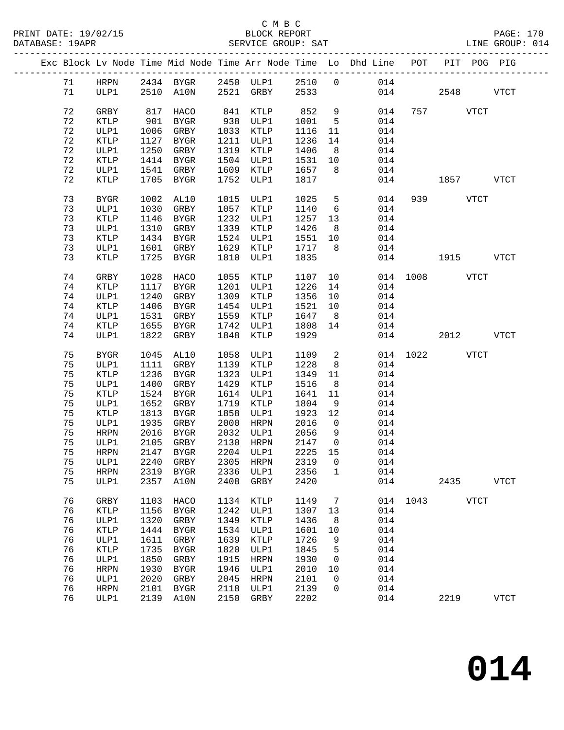## C M B C<br>BLOCK REPORT

PRINT DATE: 19/02/15 BLOCK REPORT PAGE: 170 DATABASE: 19APR SERVICE GROUP: SAT LINE GROUP: 014 ------------------------------------------------------------------------------------------------- Exc Block Lv Node Time Mid Node Time Arr Node Time Lo Dhd Line POT PIT POG PIG ------------------------------------------------------------------------------------------------- 71 HRPN 2434 BYGR 2450 ULP1 2510 0 014 71 ULP1 2510 A10N 2521 GRBY 2533 014 2548 VTCT 72 GRBY 817 HACO 841 KTLP 852 9 014 757 VTCT 72 KTLP 901 BYGR 938 ULP1 1001 5 014 72 ULP1 1006 GRBY 1033 KTLP 1116 11 014 72 KTLP 1127 BYGR 1211 ULP1 1236 14 014 72 ULP1 1250 GRBY 1319 KTLP 1406 8 014 72 KTLP 1414 BYGR 1504 ULP1 1531 10 014 72 ULP1 1541 GRBY 1609 KTLP 1657 8 014 72 KTLP 1705 BYGR 1752 ULP1 1817 014 1857 VTCT 73 BYGR 1002 AL10 1015 ULP1 1025 5 014 939 VTCT 73 ULP1 1030 GRBY 1057 KTLP 1140 6 014 73 KTLP 1146 BYGR 1232 ULP1 1257 13 014 73 ULP1 1310 GRBY 1339 KTLP 1426 8 014 73 KTLP 1434 BYGR 1524 ULP1 1551 10 014 73 ULP1 1601 GRBY 1629 KTLP 1717 8 014 73 KTLP 1725 BYGR 1810 ULP1 1835 014 1915 VTCT 74 GRBY 1028 HACO 1055 KTLP 1107 10 014 1008 VTCT 74 KTLP 1117 BYGR 1201 ULP1 1226 14 014 74 ULP1 1240 GRBY 1309 KTLP 1356 10 014 74 KTLP 1406 BYGR 1454 ULP1 1521 10 014 74 ULP1 1531 GRBY 1559 KTLP 1647 8 014 74 KTLP 1655 BYGR 1742 ULP1 1808 14 014 74 ULP1 1822 GRBY 1848 KTLP 1929 014 2012 VTCT 75 BYGR 1045 AL10 1058 ULP1 1109 2 014 1022 VTCT 75 ULP1 1111 GRBY 1139 KTLP 1228 8 014 75 KTLP 1236 BYGR 1323 ULP1 1349 11 014 75 ULP1 1400 GRBY 1429 KTLP 1516 8 014 75 KTLP 1524 BYGR 1614 ULP1 1641 11 014 75 ULP1 1652 GRBY 1719 KTLP 1804 9 014 75 KTLP 1813 BYGR 1858 ULP1 1923 12 014 75 ULP1 1935 GRBY 2000 HRPN 2016 0 014 75 HRPN 2016 BYGR 2032 ULP1 2056 9 014 75 ULP1 2105 GRBY 2130 HRPN 2147 0 014 75 HRPN 2147 BYGR 2204 ULP1 2225 15 014 75 ULP1 2240 GRBY 2305 HRPN 2319 0 014 75 HRPN 2319 BYGR 2336 ULP1 2356 1 014

75 ULP1 2357 A10N 2408 GRBY 2420 014 2435 VTCT

76 ULP1 2139 A10N 2150 GRBY 2202 014 2219 VTCT

76 GRBY 1103 HACO 1134 KTLP 1149 7 014 1043 VTCT

 76 KTLP 1156 BYGR 1242 ULP1 1307 13 014 76 ULP1 1320 GRBY 1349 KTLP 1436 8 014 76 KTLP 1444 BYGR 1534 ULP1 1601 10 014 76 ULP1 1611 GRBY 1639 KTLP 1726 9 014 76 KTLP 1735 BYGR 1820 ULP1 1845 5 014 76 ULP1 1850 GRBY 1915 HRPN 1930 0 014 76 HRPN 1930 BYGR 1946 ULP1 2010 10 014 76 ULP1 2020 GRBY 2045 HRPN 2101 0 014 76 HRPN 2101 BYGR 2118 ULP1 2139 0 014

**014**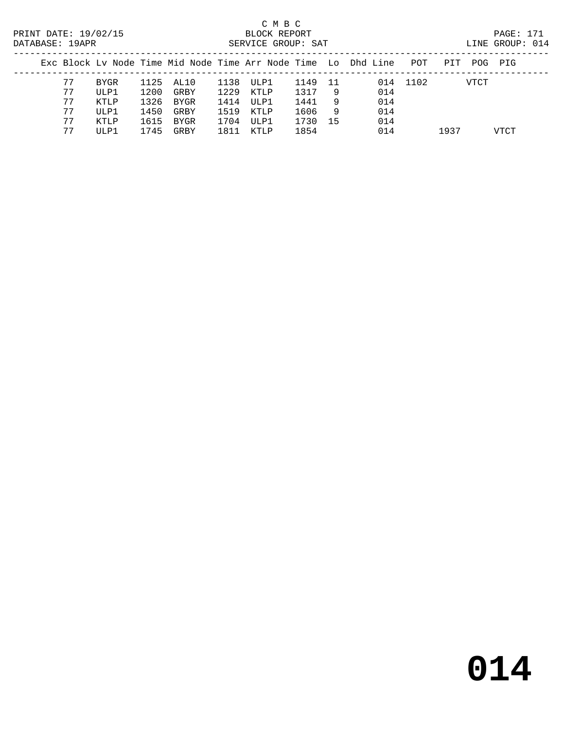## C M B C<br>BLOCK REPORT

|  | FRINI DAIL. IJ/VZ/IJ<br>DATABASE: 19APR |      |      |           |      | DUVUN NEFUNI<br>SERVICE GROUP: SAT |         |     |                                                                    |          |     |      | FAUL · III<br>LINE GROUP: 014 |  |
|--|-----------------------------------------|------|------|-----------|------|------------------------------------|---------|-----|--------------------------------------------------------------------|----------|-----|------|-------------------------------|--|
|  |                                         |      |      |           |      |                                    |         |     | Exc Block Ly Node Time Mid Node Time Arr Node Time Lo Dhd Line POT |          | PIT |      | POG PIG                       |  |
|  | 77                                      | BYGR |      | 1125 AL10 | 1138 | ULP1                               | 1149 11 |     |                                                                    | 014 1102 |     | VTCT |                               |  |
|  | 77                                      | ULP1 | 1200 | GRBY      |      | 1229 KTLP                          | 1317    | - 9 | 014                                                                |          |     |      |                               |  |
|  | 77                                      | KTLP | 1326 | BYGR      | 1414 | ULP1                               | 1441    | - 9 | 014                                                                |          |     |      |                               |  |
|  | 77                                      | ULP1 | 1450 | GRBY      | 1519 | KTLP                               | 1606    | - 9 | 014                                                                |          |     |      |                               |  |
|  |                                         | KTLP | 1615 | BYGR      | 1704 | ULP1                               | 1730    | 15  | 014                                                                |          |     |      |                               |  |

77 ULP1 1745 GRBY 1811 KTLP 1854 014 1937 VTCT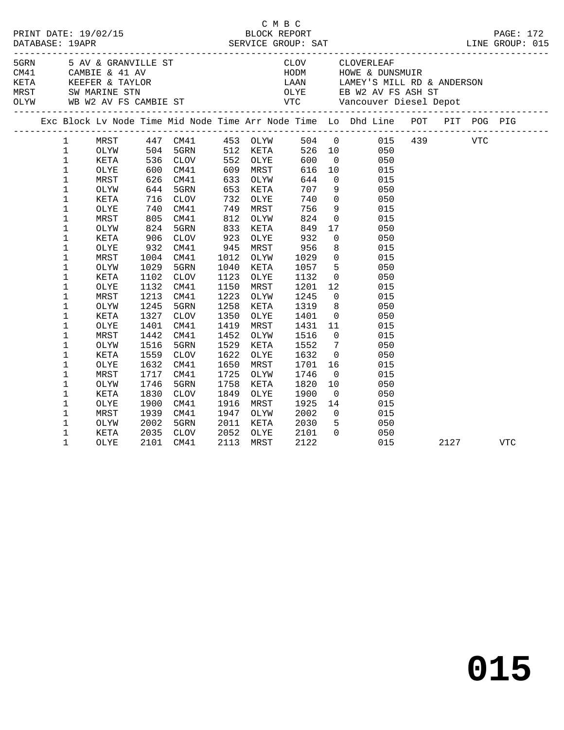| Exc Block Lv Node Time Mid Node Time Arr Node Time Lo Dhd Line POT PIT POG PIG                                                                                |                    |
|---------------------------------------------------------------------------------------------------------------------------------------------------------------|--------------------|
| MRST 447 CM41 453 OLYW 504 0 015 439 VTC<br>OLYW 504 5GRN 512 KETA 526 10 050<br>KETA 536 CLOV 552 OLYE 600 0 050<br>$\mathbf{1}$                             |                    |
| $\mathbf{1}$                                                                                                                                                  |                    |
| $\mathbf{1}$                                                                                                                                                  |                    |
| 600 CM41<br>626 CM41<br>644 5GRN<br>$\mathbf{1}$<br>10 015<br>616<br>OLYE<br>609 MRST                                                                         |                    |
| $\mathbf{1}$<br>644<br>MRST<br>633<br>OLYW                                                                                                                    |                    |
| 0 015<br>9 050<br>653<br>$\mathbf 1$<br>707<br>OLYW<br>KETA                                                                                                   |                    |
| 716<br>$0\qquad \qquad 050$<br>$\mathbf 1$<br>732<br>740<br>KETA<br><b>CLOV</b><br>OLYE                                                                       |                    |
| 740<br>805<br>$\mathbf 1$<br>756<br>OLYE<br>CM41<br>749<br>MRST                                                                                               |                    |
| 9 015<br>0 015<br>$\frac{1}{812}$<br>$\mathbf 1$<br>824<br>MRST<br>CM41<br>OLYW                                                                               |                    |
| 17 050<br>824<br>833<br>849<br>1<br>5GRN<br>OLYW<br>KETA                                                                                                      |                    |
| 932<br>1<br>923<br>KETA<br>CLOV<br>OLYE                                                                                                                       |                    |
| 906<br>932<br>$\begin{array}{ccc} 0 & \hspace{1.5cm} & 050 \\ 8 & \hspace{1.5cm} & 015 \end{array}$<br>$\mathbf 1$<br>8<br>CM41<br>945<br>MRST<br>015<br>OLYE |                    |
| 956<br>1029<br>$0$ $015$<br>1<br>MRST<br>1004<br>CM41<br>1012<br>OLYW<br>1029                                                                                 |                    |
| $\mathbf 1$<br>5 050<br>5GRN<br>1040<br>1057<br>OLYW<br>1029<br>KETA                                                                                          |                    |
| $\mathbf 1$<br>1123<br>1102<br>CLOV<br>1132<br>KETA<br>OLYE                                                                                                   |                    |
| $\begin{array}{ccc} 0 & \quad & 050 \\ 12 & \quad & 015 \end{array}$<br>$\mathbf 1$<br>1132<br>CM41<br>1150<br>1201<br>OLYE<br>MRST                           |                    |
| $0$ 015<br>$\mathbf 1$<br>1213<br>1223<br>CM41<br>1245<br>MRST<br>OLYW                                                                                        |                    |
| $\mathbf 1$<br>1245<br>5GRN<br>1258<br>1319<br>OLYW<br>KETA                                                                                                   |                    |
| $\mathbf 1$<br>1327<br>1350<br>KETA<br>CLOV<br>OLYE<br>1401                                                                                                   |                    |
| 1431 11<br>1401<br>1419<br>1<br>CM41<br>MRST<br>015<br>OLYE                                                                                                   |                    |
| $\mathbf 1$<br>1442<br>1452<br>MRST<br>CM41<br>OLYW<br>1516<br>$\overline{0}$<br>015                                                                          |                    |
| $\mathbf 1$<br>1516<br>1529<br>1552<br>$7\overline{ }$<br>050<br>OLYW<br>5GRN<br>KETA                                                                         |                    |
| $\overline{0}$<br>1559<br>1622<br>1632<br>050<br>$\mathbf 1$<br>KETA<br>CLOV<br>OLYE                                                                          |                    |
| $\mathbf 1$<br>1632<br>CM41<br>1650<br>MRST<br>1701<br>16 10<br>015<br>OLYE                                                                                   |                    |
| $\mathbf 1$<br>1725<br>MRST<br>1717<br>CM41<br>1746<br>015<br>OLYW                                                                                            |                    |
| $\begin{array}{c} 0 \\ 10 \end{array}$<br>$\mathbf 1$<br>1746<br>5GRN<br>1758<br>1820<br>050<br>OLYW<br>KETA                                                  |                    |
| $\overline{0}$<br>1<br>1830<br>CLOV<br>1849<br>1900<br>050<br>KETA<br>OLYE                                                                                    |                    |
| 1916<br>1<br>1900<br>CM41<br>MRST<br>1925<br>OLYE                                                                                                             |                    |
| $\begin{array}{ccc} 14 & & & 015 \\ 0 & & & 015 \\ 5 & & & 050 \end{array}$<br>$\mathbf 1$<br>MRST<br>1939<br>CM41<br>1947<br>2002<br>OLYW                    |                    |
| $\mathbf 1$<br>2002<br>5GRN<br>2011<br>2030<br>OLYW<br>KETA                                                                                                   |                    |
| $0\qquad \qquad 050$<br>$\mathbf 1$<br>2035<br>2052<br>KETA<br>CLOV<br>OLYE<br>2101                                                                           |                    |
| $\mathbf{1}$<br>2122<br>2101<br>CM41<br>2113<br>MRST<br>015<br>OLYE                                                                                           | 2127<br><b>VTC</b> |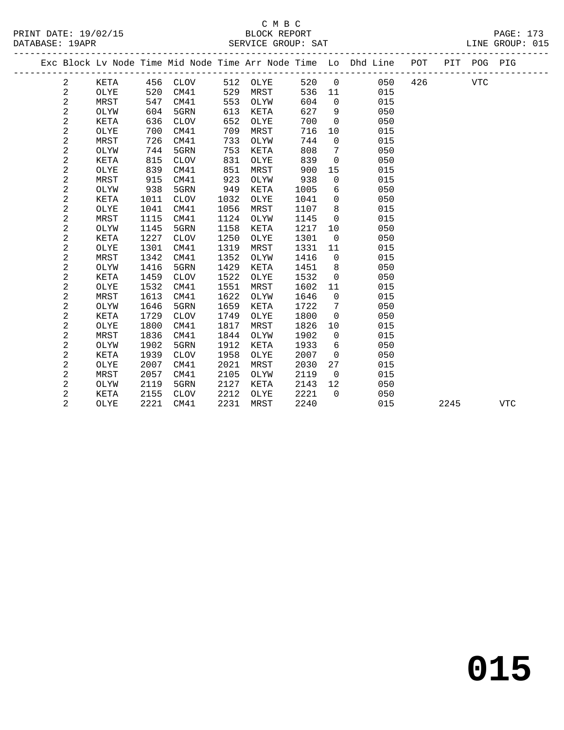|  |                |             |      |             |      |          |      |                | Exc Block Lv Node Time Mid Node Time Arr Node Time Lo Dhd Line POT<br>------------ |      | PIT POG PIG |            |  |
|--|----------------|-------------|------|-------------|------|----------|------|----------------|------------------------------------------------------------------------------------|------|-------------|------------|--|
|  | $\overline{a}$ | KETA        |      | 456 CLOV    |      | 512 OLYE | 520  | $\overline{0}$ | 050 426                                                                            |      | <b>VTC</b>  |            |  |
|  | 2              | OLYE        | 520  | CM41        | 529  | MRST     | 536  | 11             | 015                                                                                |      |             |            |  |
|  | 2              | MRST        | 547  | CM41        | 553  | OLYW     | 604  | $\mathbf 0$    | 015                                                                                |      |             |            |  |
|  | $\overline{a}$ | OLYW        | 604  | 5GRN        | 613  | KETA     | 627  | 9              | 050                                                                                |      |             |            |  |
|  | $\sqrt{2}$     | KETA        | 636  | CLOV        | 652  | OLYE     | 700  | $\mathbf 0$    | 050                                                                                |      |             |            |  |
|  | $\sqrt{2}$     | OLYE        | 700  | CM41        | 709  | MRST     | 716  | 10             | 015                                                                                |      |             |            |  |
|  | $\overline{a}$ | MRST        | 726  | CM41        | 733  | OLYW     | 744  | $\mathbf 0$    | 015                                                                                |      |             |            |  |
|  | $\sqrt{2}$     | OLYW        | 744  | 5GRN        | 753  | KETA     | 808  | 7              | 050                                                                                |      |             |            |  |
|  | $\overline{a}$ | <b>KETA</b> | 815  | <b>CLOV</b> | 831  | OLYE     | 839  | $\mathbf 0$    | 050                                                                                |      |             |            |  |
|  | $\overline{a}$ | OLYE        | 839  | CM41        | 851  | MRST     | 900  | 15             | 015                                                                                |      |             |            |  |
|  | $\sqrt{2}$     | MRST        | 915  | CM41        | 923  | OLYW     | 938  | 0              | 015                                                                                |      |             |            |  |
|  | $\overline{a}$ | OLYW        | 938  | 5GRN        | 949  | KETA     | 1005 | 6              | 050                                                                                |      |             |            |  |
|  | $\overline{a}$ | <b>KETA</b> | 1011 | <b>CLOV</b> | 1032 | OLYE     | 1041 | $\mathbf 0$    | 050                                                                                |      |             |            |  |
|  | $\overline{a}$ | OLYE        | 1041 | CM41        | 1056 | MRST     | 1107 | 8              | 015                                                                                |      |             |            |  |
|  | $\sqrt{2}$     | MRST        | 1115 | CM41        | 1124 | OLYW     | 1145 | $\mathbf 0$    | 015                                                                                |      |             |            |  |
|  | $\sqrt{2}$     | OLYW        | 1145 | 5GRN        | 1158 | KETA     | 1217 | 10             | 050                                                                                |      |             |            |  |
|  | $\sqrt{2}$     | KETA        | 1227 | <b>CLOV</b> | 1250 | OLYE     | 1301 | $\overline{0}$ | 050                                                                                |      |             |            |  |
|  | $\sqrt{2}$     | OLYE        | 1301 | CM41        | 1319 | MRST     | 1331 | 11             | 015                                                                                |      |             |            |  |
|  | $\sqrt{2}$     | MRST        | 1342 | CM41        | 1352 | OLYW     | 1416 | $\mathbf 0$    | 015                                                                                |      |             |            |  |
|  | $\overline{a}$ | OLYW        | 1416 | 5GRN        | 1429 | KETA     | 1451 | 8              | 050                                                                                |      |             |            |  |
|  | $\mathbf{2}$   | <b>KETA</b> | 1459 | <b>CLOV</b> | 1522 | OLYE     | 1532 | $\mathbf 0$    | 050                                                                                |      |             |            |  |
|  | $\mathbf{2}$   | OLYE        | 1532 | CM41        | 1551 | MRST     | 1602 | 11             | 015                                                                                |      |             |            |  |
|  | $\mathbf{2}$   | MRST        | 1613 | CM41        | 1622 | OLYW     | 1646 | $\Omega$       | 015                                                                                |      |             |            |  |
|  | $\mathbf 2$    | OLYW        | 1646 | 5GRN        | 1659 | KETA     | 1722 | 7              | 050                                                                                |      |             |            |  |
|  | $\mathbf{2}$   | KETA        | 1729 | <b>CLOV</b> | 1749 | OLYE     | 1800 | $\Omega$       | 050                                                                                |      |             |            |  |
|  | $\mathbf{2}$   | OLYE        | 1800 | CM41        | 1817 | MRST     | 1826 | 10             | 015                                                                                |      |             |            |  |
|  | 2              | MRST        | 1836 | CM41        | 1844 | OLYW     | 1902 | $\mathbf 0$    | 015                                                                                |      |             |            |  |
|  | $\mathbf{2}$   | OLYW        | 1902 | 5GRN        | 1912 | KETA     | 1933 | 6              | 050                                                                                |      |             |            |  |
|  | $\mathbf{2}$   | KETA        | 1939 | <b>CLOV</b> | 1958 | OLYE     | 2007 | $\mathbf 0$    | 050                                                                                |      |             |            |  |
|  | $\mathbf{2}$   | OLYE        | 2007 | CM41        | 2021 | MRST     | 2030 | 27             | 015                                                                                |      |             |            |  |
|  | $\mathbf{2}$   | MRST        | 2057 | CM41        | 2105 | OLYW     | 2119 | $\overline{0}$ | 015                                                                                |      |             |            |  |
|  | $\sqrt{2}$     | OLYW        | 2119 | 5GRN        | 2127 | KETA     | 2143 | 12             | 050                                                                                |      |             |            |  |
|  | 2              | KETA        | 2155 | <b>CLOV</b> | 2212 | OLYE     | 2221 | $\Omega$       | 050                                                                                |      |             |            |  |
|  | $\overline{2}$ | OLYE        | 2221 | CM41        | 2231 | MRST     | 2240 |                | 015                                                                                | 2245 |             | <b>VTC</b> |  |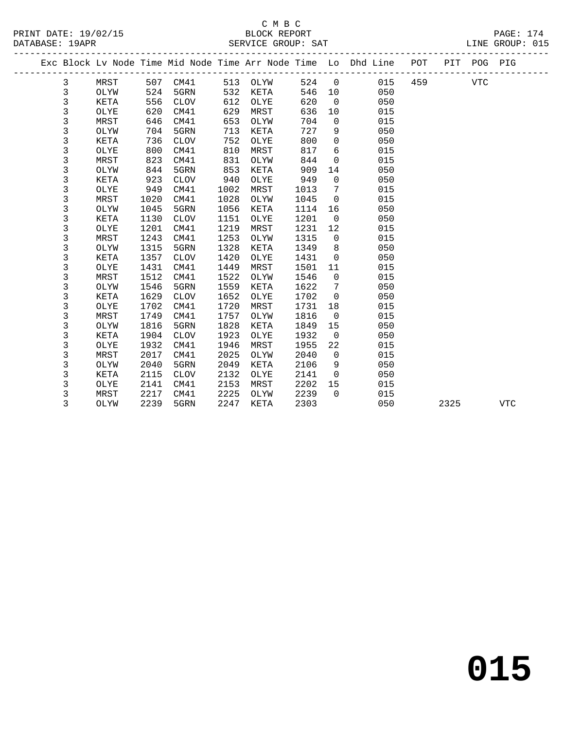|  |              |             |      |             |      |          |      |                | Exc Block Lv Node Time Mid Node Time Arr Node Time Lo Dhd Line POT<br>______________________________ |         |      | PIT POG PIG |            |
|--|--------------|-------------|------|-------------|------|----------|------|----------------|------------------------------------------------------------------------------------------------------|---------|------|-------------|------------|
|  | 3            | MRST        |      | 507 CM41    |      | 513 OLYW | 524  | $\overline{0}$ |                                                                                                      | 015 459 |      | <b>VTC</b>  |            |
|  | 3            | OLYW        | 524  | 5GRN        | 532  | KETA     | 546  | 10             | 050                                                                                                  |         |      |             |            |
|  | $\mathbf{3}$ | KETA        | 556  | <b>CLOV</b> | 612  | OLYE     | 620  | $\overline{0}$ | 050                                                                                                  |         |      |             |            |
|  | 3            | OLYE        | 620  | CM41        | 629  | MRST     | 636  | 10             | 015                                                                                                  |         |      |             |            |
|  | 3            | MRST        | 646  | CM41        | 653  | OLYW     | 704  | $\mathbf 0$    | 015                                                                                                  |         |      |             |            |
|  | 3            | OLYW        | 704  | 5GRN        | 713  | KETA     | 727  | 9              | 050                                                                                                  |         |      |             |            |
|  | 3            | KETA        | 736  | <b>CLOV</b> | 752  | OLYE     | 800  | 0              | 050                                                                                                  |         |      |             |            |
|  | 3            | OLYE        | 800  | CM41        | 810  | MRST     | 817  | 6              | 015                                                                                                  |         |      |             |            |
|  | 3            | MRST        | 823  | CM41        | 831  | OLYW     | 844  | $\mathbf 0$    | 015                                                                                                  |         |      |             |            |
|  | 3            | OLYW        | 844  | 5GRN        | 853  | KETA     | 909  | 14             | 050                                                                                                  |         |      |             |            |
|  | 3            | <b>KETA</b> | 923  | <b>CLOV</b> | 940  | OLYE     | 949  | 0              | 050                                                                                                  |         |      |             |            |
|  | 3            | OLYE        | 949  | CM41        | 1002 | MRST     | 1013 | 7              | 015                                                                                                  |         |      |             |            |
|  | 3            | MRST        | 1020 | CM41        | 1028 | OLYW     | 1045 | $\mathbf 0$    | 015                                                                                                  |         |      |             |            |
|  | 3            | OLYW        | 1045 | 5GRN        | 1056 | KETA     | 1114 | 16             | 050                                                                                                  |         |      |             |            |
|  | 3            | KETA        | 1130 | <b>CLOV</b> | 1151 | OLYE     | 1201 | $\mathbf 0$    | 050                                                                                                  |         |      |             |            |
|  | 3            | OLYE        | 1201 | CM41        | 1219 | MRST     | 1231 | 12             | 015                                                                                                  |         |      |             |            |
|  | 3            | MRST        | 1243 | CM41        | 1253 | OLYW     | 1315 | $\mathbf 0$    | 015                                                                                                  |         |      |             |            |
|  | 3            | OLYW        | 1315 | 5GRN        | 1328 | KETA     | 1349 | 8              | 050                                                                                                  |         |      |             |            |
|  | 3            | KETA        | 1357 | <b>CLOV</b> | 1420 | OLYE     | 1431 | $\mathbf 0$    | 050                                                                                                  |         |      |             |            |
|  | 3            | OLYE        | 1431 | CM41        | 1449 | MRST     | 1501 | 11             | 015                                                                                                  |         |      |             |            |
|  | 3            | MRST        | 1512 | CM41        | 1522 | OLYW     | 1546 | $\Omega$       | 015                                                                                                  |         |      |             |            |
|  | 3            | OLYW        | 1546 | 5GRN        | 1559 | KETA     | 1622 | 7              | 050                                                                                                  |         |      |             |            |
|  | 3            | KETA        | 1629 | <b>CLOV</b> | 1652 | OLYE     | 1702 | $\Omega$       | 050                                                                                                  |         |      |             |            |
|  | 3            | OLYE        | 1702 | CM41        | 1720 | MRST     | 1731 | 18             | 015                                                                                                  |         |      |             |            |
|  | 3            | MRST        | 1749 | CM41        | 1757 | OLYW     | 1816 | $\mathbf 0$    | 015                                                                                                  |         |      |             |            |
|  | 3            | OLYW        | 1816 | 5GRN        | 1828 | KETA     | 1849 | 15             | 050                                                                                                  |         |      |             |            |
|  | 3            | KETA        | 1904 | <b>CLOV</b> | 1923 | OLYE     | 1932 | $\mathbf 0$    | 050                                                                                                  |         |      |             |            |
|  | 3            | OLYE        | 1932 | CM41        | 1946 | MRST     | 1955 | 22             | 015                                                                                                  |         |      |             |            |
|  | 3            | MRST        | 2017 | CM41        | 2025 | OLYW     | 2040 | $\Omega$       | 015                                                                                                  |         |      |             |            |
|  | 3            | OLYW        | 2040 | 5GRN        | 2049 | KETA     | 2106 | 9              | 050                                                                                                  |         |      |             |            |
|  | 3            | KETA        | 2115 | <b>CLOV</b> | 2132 | OLYE     | 2141 | $\mathbf 0$    | 050                                                                                                  |         |      |             |            |
|  | 3            | OLYE        | 2141 | CM41        | 2153 | MRST     | 2202 | 15             | 015                                                                                                  |         |      |             |            |
|  | 3            | MRST        | 2217 | CM41        | 2225 | OLYW     | 2239 | $\Omega$       | 015                                                                                                  |         |      |             |            |
|  | 3            | OLYW        | 2239 | 5GRN        | 2247 | KETA     | 2303 |                | 050                                                                                                  |         | 2325 |             | <b>VTC</b> |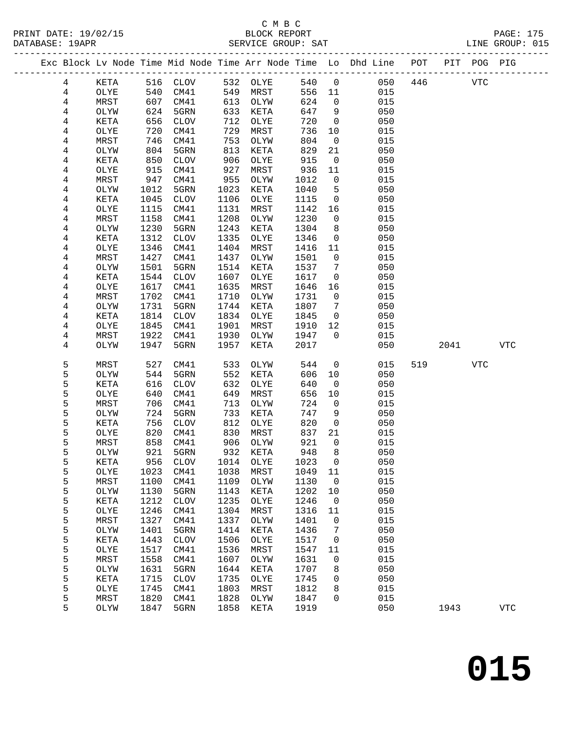|                |              |              |                     |              |              |              |                | Exc Block Lv Node Time Mid Node Time Arr Node Time Lo Dhd Line POT |         |      | PIT POG PIG |            |  |
|----------------|--------------|--------------|---------------------|--------------|--------------|--------------|----------------|--------------------------------------------------------------------|---------|------|-------------|------------|--|
| 4              | KETA         | 516          | CLOV                | 532          | OLYE         | 540          | $\overline{0}$ |                                                                    | 050 446 |      | <b>VTC</b>  |            |  |
| $\overline{4}$ | OLYE         | 540          | CM41                | 549          | MRST         | 556          | 11             | 015                                                                |         |      |             |            |  |
| $\overline{4}$ | MRST         | 607          | CM41                | 613          | OLYW         | 624          | $\mathsf{O}$   | 015                                                                |         |      |             |            |  |
| 4              | OLYW         | 624          | 5GRN                | 633          | KETA         | 647          | 9              | 050                                                                |         |      |             |            |  |
| 4              | KETA         | 656          | CLOV                | 712          | OLYE         | 720          | $\overline{0}$ | 050                                                                |         |      |             |            |  |
| 4              | OLYE         | 720          | CM41                | 729          | MRST         | 736          | 10             | 015                                                                |         |      |             |            |  |
| 4              | MRST         | 746          | CM41                | 753          | OLYW         | 804          | $\overline{0}$ | 015                                                                |         |      |             |            |  |
| 4              | OLYW         | 804          | 5GRN                | 813          | KETA         | 829          | 21             | 050                                                                |         |      |             |            |  |
| 4              | KETA         | 850          | CLOV                | 906          | OLYE         | 915          | $\mathsf{O}$   | 050                                                                |         |      |             |            |  |
| 4              | OLYE         | 915          | CM41                | 927          | MRST         | 936          | 11             | 015                                                                |         |      |             |            |  |
| 4              | MRST         | 947          | CM41                | 955          | OLYW         | 1012         | $\mathbf 0$    | 015                                                                |         |      |             |            |  |
| 4              | OLYW         | 1012         | 5GRN                | 1023         | KETA         | 1040         | 5              | 050                                                                |         |      |             |            |  |
| 4              | KETA         | 1045         | CLOV                | 1106         | OLYE         | 1115         | $\mathsf{O}$   | 050                                                                |         |      |             |            |  |
| 4              | OLYE         | 1115         | CM41                | 1131         | MRST         | 1142         | 16             | 015                                                                |         |      |             |            |  |
| 4              | MRST         | 1158         | CM41                | 1208         | OLYW         | 1230         | $\mathbf 0$    | 015                                                                |         |      |             |            |  |
| 4              | OLYW         | 1230         | 5GRN                | 1243         | KETA         | 1304         | 8              | 050                                                                |         |      |             |            |  |
| 4              | KETA         | 1312         | <b>CLOV</b>         | 1335         | OLYE         | 1346         | $\mathsf{O}$   | 050                                                                |         |      |             |            |  |
| 4              | OLYE         | 1346         | CM41                | 1404         | MRST         | 1416         | 11             | 015                                                                |         |      |             |            |  |
| 4              | MRST         | 1427         | CM41                | 1437         | OLYW         | 1501         | $\mathbf 0$    | 015                                                                |         |      |             |            |  |
| 4              | OLYW         | 1501         | 5GRN                | 1514         | KETA         | 1537         | 7              | 050                                                                |         |      |             |            |  |
| 4              | KETA         | 1544         | CLOV                | 1607         | OLYE         | 1617         | $\mathsf{O}$   | 050                                                                |         |      |             |            |  |
| 4              | OLYE         | 1617         | CM41                | 1635<br>1710 | MRST         | 1646         | 16             | 015<br>015                                                         |         |      |             |            |  |
| 4<br>4         | MRST<br>OLYW | 1702<br>1731 | CM41<br>5GRN        | 1744         | OLYW<br>KETA | 1731<br>1807 | 0<br>7         | 050                                                                |         |      |             |            |  |
| 4              | KETA         | 1814         | CLOV                | 1834         | OLYE         | 1845         | $\overline{0}$ | 050                                                                |         |      |             |            |  |
| 4              | OLYE         | 1845         | CM41                | 1901         | MRST         | 1910         | 12             | 015                                                                |         |      |             |            |  |
| 4              | MRST         | 1922         | CM41                | 1930         | OLYW         | 1947         | $\Omega$       | 015                                                                |         |      |             |            |  |
| 4              | OLYW         | 1947         | 5GRN                | 1957         | KETA         | 2017         |                | 050                                                                |         | 2041 |             | <b>VTC</b> |  |
|                |              |              |                     |              |              |              |                |                                                                    |         |      |             |            |  |
| 5              | MRST         | 527          | CM41                | 533          | OLYW         | 544          | $\mathbf 0$    | 015                                                                | 519     |      | VTC         |            |  |
| 5              | OLYW         | 544          | 5GRN                | 552          | KETA         | 606          | 10             | 050                                                                |         |      |             |            |  |
| 5              | KETA         | 616          | CLOV                | 632          | OLYE         | 640          | $\overline{0}$ | 050                                                                |         |      |             |            |  |
| 5              | OLYE         | 640          | CM41                | 649          | MRST         | 656          | 10             | 015                                                                |         |      |             |            |  |
| 5              | MRST         | 706          | CM41                | 713          | OLYW         | 724          | $\overline{0}$ | 015                                                                |         |      |             |            |  |
| 5              | OLYW         | 724          | 5GRN                | 733          | KETA         | 747          | 9              | 050                                                                |         |      |             |            |  |
| 5              | KETA         | 756          | CLOV                | 812          | OLYE         | 820          | $\mathsf{O}$   | 050                                                                |         |      |             |            |  |
| 5              | OLYE         | 820          | CM41                | 830          | MRST         | 837          | 21             | 015                                                                |         |      |             |            |  |
| 5              | MRST         | 858          | CM41                | 906          | OLYW         | 921          | $\overline{0}$ | 015                                                                |         |      |             |            |  |
| 5              | OLYW         | 921          | 5GRN                | 932          | KETA         | 948          | 8              | 050                                                                |         |      |             |            |  |
| 5              | KETA         |              | 956 CLOV            | 1014         | OLYE         | 1023 0       |                | 050                                                                |         |      |             |            |  |
| 5              | OLYE         | 1023         | CM41                | 1038         | MRST         | 1049         | 11             | 015                                                                |         |      |             |            |  |
| 5              | MRST         | 1100         | CM41                | 1109         | OLYW         | 1130         | 0              | 015                                                                |         |      |             |            |  |
| 5              | OLYW         | 1130         | 5GRN                | 1143         | KETA         | 1202         | 10             | 050                                                                |         |      |             |            |  |
| 5              | KETA         | 1212         | $\rm CLOV$          | 1235         | OLYE         | 1246         | 0              | 050                                                                |         |      |             |            |  |
| 5              | OLYE         | 1246         | CM41                | 1304         | MRST         | 1316         | 11             | 015                                                                |         |      |             |            |  |
| 5              | MRST         | 1327         | CM41                | 1337         | OLYW         | 1401         | 0              | 015                                                                |         |      |             |            |  |
| 5              | OLYW         | 1401         | 5GRN                | 1414         | KETA         | 1436         | 7              | 050                                                                |         |      |             |            |  |
| 5              | KETA         | 1443         | <b>CLOV</b>         | 1506         | OLYE         | 1517         | 0              | 050                                                                |         |      |             |            |  |
| 5              | OLYE         | 1517         | CM41                | 1536         | MRST         | 1547         | 11             | 015                                                                |         |      |             |            |  |
| 5              | MRST         | 1558         | CM41                | 1607         | OLYW         | 1631         | 0              | 015                                                                |         |      |             |            |  |
| 5              | OLYW         | 1631         | 5GRN                | 1644         | KETA         | 1707         | 8              | 050                                                                |         |      |             |            |  |
| 5<br>5         | KETA<br>OLYE | 1715<br>1745 | <b>CLOV</b><br>CM41 | 1735<br>1803 | OLYE<br>MRST | 1745<br>1812 | 0<br>8         | 050<br>015                                                         |         |      |             |            |  |
| 5              | MRST         | 1820         | CM41                | 1828         | OLYW         | 1847         | 0              | 015                                                                |         |      |             |            |  |
| 5              | OLYW         | 1847         | 5GRN                | 1858         | KETA         | 1919         |                | 050                                                                |         | 1943 |             | <b>VTC</b> |  |
|                |              |              |                     |              |              |              |                |                                                                    |         |      |             |            |  |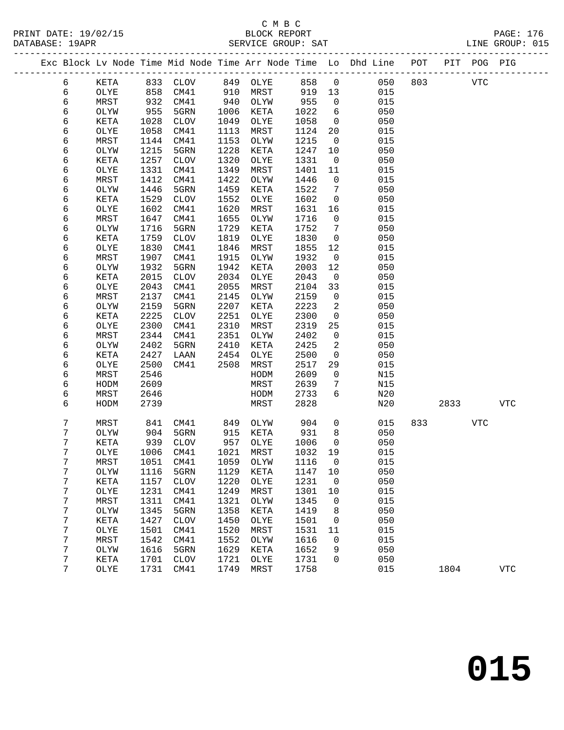|        |              |              |             |      |              |              |                | Exc Block Lv Node Time Mid Node Time Arr Node Time Lo Dhd Line POT |     |      | PIT POG PIG |            |
|--------|--------------|--------------|-------------|------|--------------|--------------|----------------|--------------------------------------------------------------------|-----|------|-------------|------------|
| 6      | KETA         | 833          | <b>CLOV</b> | 849  | OLYE         | 858          | $\mathsf{O}$   | 050                                                                | 803 |      | <b>VTC</b>  |            |
| 6      | OLYE         | 858          | CM41        | 910  | MRST         | 919          | 13             | 015                                                                |     |      |             |            |
| 6      | MRST         | 932          | CM41        | 940  | OLYW         | 955          | $\mathsf{O}$   | 015                                                                |     |      |             |            |
| 6      | OLYW         | 955          | 5GRN        | 1006 | KETA         | 1022         | 6              | 050                                                                |     |      |             |            |
| 6      | KETA         | 1028         | <b>CLOV</b> | 1049 | OLYE         | 1058         | $\mathsf{O}$   | 050                                                                |     |      |             |            |
| 6      | OLYE         | 1058         | CM41        | 1113 | MRST         | 1124         | 20             | 015                                                                |     |      |             |            |
| 6      | MRST         | 1144         | CM41        | 1153 | OLYW         | 1215         | $\mathbf 0$    | 015                                                                |     |      |             |            |
| 6      | OLYW         | 1215         | 5GRN        | 1228 | KETA         | 1247         | 10             | 050                                                                |     |      |             |            |
| 6      | KETA         | 1257         | <b>CLOV</b> | 1320 | OLYE         | 1331         | $\mathsf{O}$   | 050                                                                |     |      |             |            |
| 6      | OLYE         | 1331         | CM41        | 1349 | MRST         | 1401         | 11             | 015                                                                |     |      |             |            |
| 6      | MRST         | 1412         | CM41        | 1422 | OLYW         | 1446         | $\mathbf 0$    | 015                                                                |     |      |             |            |
| 6      | OLYW         | 1446         | 5GRN        | 1459 | KETA         | 1522         | 7              | 050                                                                |     |      |             |            |
| 6      | KETA         | 1529         | <b>CLOV</b> | 1552 | OLYE         | 1602         | $\mathsf{O}$   | 050                                                                |     |      |             |            |
| 6      | OLYE         | 1602         | CM41        | 1620 | MRST         | 1631         | 16             | 015                                                                |     |      |             |            |
| 6      | MRST         | 1647         | CM41        | 1655 | OLYW         | 1716         | $\mathbf 0$    | 015                                                                |     |      |             |            |
| 6      | OLYW         | 1716         | 5GRN        | 1729 | KETA         | 1752         | 7              | 050                                                                |     |      |             |            |
| 6      | KETA         | 1759         | <b>CLOV</b> | 1819 | OLYE         | 1830         | $\mathbf 0$    | 050                                                                |     |      |             |            |
| 6      | OLYE         | 1830         | CM41        | 1846 | MRST         | 1855         | 12             | 015                                                                |     |      |             |            |
| 6      | MRST         | 1907         | CM41        | 1915 | OLYW         | 1932         | $\overline{0}$ | 015                                                                |     |      |             |            |
| 6      | OLYW         | 1932         | 5GRN        | 1942 | KETA         | 2003         | 12             | 050                                                                |     |      |             |            |
| 6      | KETA         | 2015         | <b>CLOV</b> | 2034 | OLYE         | 2043         | $\mathsf{O}$   | 050                                                                |     |      |             |            |
| 6      | OLYE         | 2043         | CM41        | 2055 | MRST         | 2104         | 33             | 015                                                                |     |      |             |            |
| 6      | MRST         | 2137         | CM41        | 2145 | OLYW         | 2159         | $\mathbf 0$    | 015                                                                |     |      |             |            |
| 6      | OLYW         | 2159         | 5GRN        | 2207 | KETA         | 2223         | 2              | 050                                                                |     |      |             |            |
| 6      | KETA         | 2225         | <b>CLOV</b> | 2251 | OLYE         | 2300         | $\mathbf 0$    | 050                                                                |     |      |             |            |
| 6      | OLYE         | 2300         | CM41        | 2310 | MRST         | 2319         | 25             | 015                                                                |     |      |             |            |
| 6      | MRST         | 2344         | CM41        | 2351 | OLYW         | 2402         | $\mathsf{O}$   | 015                                                                |     |      |             |            |
| 6      | OLYW         | 2402         | 5GRN        | 2410 | KETA         | 2425         | 2              | 050                                                                |     |      |             |            |
| 6      | KETA         | 2427         | LAAN        | 2454 | OLYE         | 2500         | $\mathsf{O}$   | 050                                                                |     |      |             |            |
| 6      | OLYE         | 2500         | CM41        | 2508 | MRST         | 2517         | 29             | 015                                                                |     |      |             |            |
| 6      | MRST         | 2546         |             |      | HODM         | 2609         | $\mathsf{O}$   | N15                                                                |     |      |             |            |
| 6      | HODM         | 2609         |             |      | MRST         | 2639         | 7<br>6         | N15                                                                |     |      |             |            |
| 6<br>6 | MRST<br>HODM | 2646<br>2739 |             |      | HODM<br>MRST | 2733<br>2828 |                | N20<br>N20                                                         |     | 2833 |             | <b>VTC</b> |
|        |              |              |             |      |              |              |                |                                                                    |     |      |             |            |
| 7      | MRST         | 841          | CM41        | 849  | OLYW         | 904          | $\mathbf 0$    | 015                                                                | 833 |      | VTC         |            |
| 7      | OLYW         | 904          | 5GRN        | 915  | KETA         | 931          | 8              | 050                                                                |     |      |             |            |
| 7      | KETA         | 939          | <b>CLOV</b> | 957  | OLYE         | 1006         | $\mathsf{O}$   | 050                                                                |     |      |             |            |
| 7      | OLYE         | 1006         | CM41        | 1021 | MRST         | 1032         | 19             | 015                                                                |     |      |             |            |
| 7      | MRST         |              | 1051 CM41   |      | 1059 OLYW    | 1116 0       |                | 015                                                                |     |      |             |            |
| 7      | OLYW         | 1116         | 5GRN        | 1129 | <b>KETA</b>  | 1147         | 10             | 050                                                                |     |      |             |            |
| 7      | KETA         | 1157         | <b>CLOV</b> | 1220 | OLYE         | 1231         | 0              | 050                                                                |     |      |             |            |
| 7      | OLYE         | 1231         | CM41        | 1249 | MRST         | 1301         | 10             | 015                                                                |     |      |             |            |
| 7      | MRST         | 1311         | CM41        | 1321 | OLYW         | 1345         | 0              | 015                                                                |     |      |             |            |
| 7      | OLYW         | 1345         | 5GRN        | 1358 | KETA         | 1419         | 8              | 050                                                                |     |      |             |            |
| 7      | KETA         | 1427         | <b>CLOV</b> | 1450 | OLYE         | 1501         | 0              | 050                                                                |     |      |             |            |
| 7      | OLYE         | 1501         | CM41        | 1520 | MRST         | 1531         | 11             | 015                                                                |     |      |             |            |
| 7      | MRST         | 1542         | CM41        | 1552 | OLYW         | 1616         | 0              | 015                                                                |     |      |             |            |
| 7      | OLYW         | 1616         | 5GRN        | 1629 | KETA         | 1652         | 9              | 050                                                                |     |      |             |            |
| 7      | KETA         | 1701         | <b>CLOV</b> | 1721 | OLYE         | 1731         | 0              | 050                                                                |     |      |             |            |
| 7      | OLYE         | 1731         | CM41        | 1749 | MRST         | 1758         |                | 015                                                                |     | 1804 |             | <b>VTC</b> |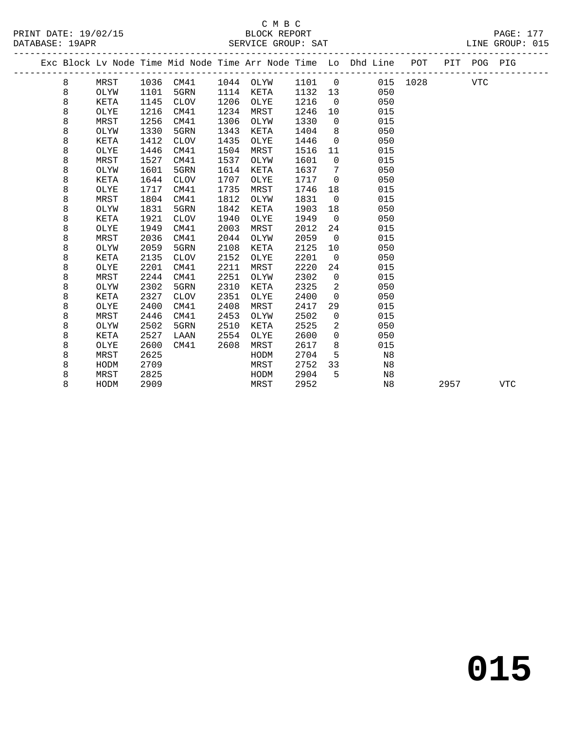PRINT DATE: 19/02/15 BLOCK REPORT<br>DATABASE: 19APR PAGE: 1778 BERVICE GROUP: SAT

## C M B C<br>BLOCK REPORT

PAGE: 177<br>LINE GROUP: 015

|   |      |      |           |      | DEILATOR GILOOF . DUI |         |                |                                                                                |          |      |            |            |
|---|------|------|-----------|------|-----------------------|---------|----------------|--------------------------------------------------------------------------------|----------|------|------------|------------|
|   |      |      |           |      |                       |         |                | Exc Block Lv Node Time Mid Node Time Arr Node Time Lo Dhd Line POT PIT POG PIG |          |      |            |            |
| 8 | MRST |      | 1036 CM41 |      | 1044 OLYW 1101 0      |         |                |                                                                                | 015 1028 |      | <b>VTC</b> |            |
| 8 | OLYW | 1101 | 5GRN      |      | 1114 KETA             | 1132 13 |                | 050                                                                            |          |      |            |            |
| 8 | KETA | 1145 | CLOV      | 1206 | OLYE                  | 1216    | $\overline{0}$ | 050                                                                            |          |      |            |            |
| 8 | OLYE | 1216 | CM41      | 1234 | MRST                  | 1246    | 10             | 015                                                                            |          |      |            |            |
| 8 | MRST | 1256 | CM41      | 1306 | OLYW                  | 1330    | $\overline{0}$ | 015                                                                            |          |      |            |            |
| 8 | OLYW | 1330 | 5GRN      | 1343 | KETA                  | 1404    | 8 <sup>8</sup> | 050                                                                            |          |      |            |            |
| 8 | KETA | 1412 | CLOV      | 1435 | OLYE                  | 1446    | $\overline{0}$ | 050                                                                            |          |      |            |            |
| 8 | OLYE | 1446 | CM41      | 1504 | MRST                  | 1516    | 11             | 015                                                                            |          |      |            |            |
| 8 | MRST | 1527 | CM41      | 1537 | OLYW                  | 1601    | $\overline{0}$ | 015                                                                            |          |      |            |            |
| 8 | OLYW | 1601 | 5GRN      | 1614 | KETA                  | 1637    | 7              | 050                                                                            |          |      |            |            |
| 8 | KETA | 1644 | CLOV      | 1707 | OLYE                  | 1717    | $\overline{0}$ | 050                                                                            |          |      |            |            |
| 8 | OLYE | 1717 | CM41      | 1735 | MRST                  | 1746    | 18             | 015                                                                            |          |      |            |            |
| 8 | MRST | 1804 | CM41      | 1812 | OLYW                  | 1831    | $\overline{0}$ | 015                                                                            |          |      |            |            |
| 8 | OLYW | 1831 | 5GRN      | 1842 | KETA                  | 1903    | 18             | 050                                                                            |          |      |            |            |
| 8 | KETA | 1921 | CLOV      | 1940 | OLYE                  | 1949    | $\overline{0}$ | 050                                                                            |          |      |            |            |
| 8 | OLYE | 1949 | CM41      | 2003 | MRST                  | 2012    | 24             | 015                                                                            |          |      |            |            |
| 8 | MRST | 2036 | CM41      | 2044 | OLYW                  | 2059    | $\overline{0}$ | 015                                                                            |          |      |            |            |
| 8 | OLYW | 2059 | 5GRN      | 2108 | KETA                  | 2125    | 10             | 050                                                                            |          |      |            |            |
| 8 | KETA | 2135 | CLOV      | 2152 | OLYE                  | 2201    | $\mathbf 0$    | 050                                                                            |          |      |            |            |
| 8 | OLYE | 2201 | CM41      | 2211 | MRST                  | 2220    | 24             | 015                                                                            |          |      |            |            |
| 8 | MRST | 2244 | CM41      | 2251 | OLYW                  | 2302    | $\overline{0}$ | 015                                                                            |          |      |            |            |
| 8 | OLYW | 2302 | 5GRN      | 2310 | KETA                  | 2325    | 2              | 050                                                                            |          |      |            |            |
| 8 | KETA | 2327 | CLOV      | 2351 | OLYE                  | 2400    | $\overline{0}$ | 050                                                                            |          |      |            |            |
| 8 | OLYE | 2400 | CM41      | 2408 | MRST                  | 2417    | 29             | 015                                                                            |          |      |            |            |
| 8 | MRST | 2446 | CM41      | 2453 | OLYW                  | 2502    | $\mathbf 0$    | 015                                                                            |          |      |            |            |
| 8 | OLYW | 2502 | 5GRN      | 2510 | KETA                  | 2525    | 2              | 050                                                                            |          |      |            |            |
| 8 | KETA | 2527 | LAAN      | 2554 | OLYE                  | 2600    | $\Omega$       | 050                                                                            |          |      |            |            |
| 8 | OLYE | 2600 | CM41      | 2608 | MRST                  | 2617    | 8              | 015                                                                            |          |      |            |            |
| 8 | MRST | 2625 |           |      | HODM                  | 2704    | 5              | N8                                                                             |          |      |            |            |
| 8 | HODM | 2709 |           |      | MRST                  | 2752    | 33             | N8                                                                             |          |      |            |            |
| 8 | MRST | 2825 |           |      | HODM                  | 2904    | 5              | N8                                                                             |          |      |            |            |
| 8 | HODM | 2909 |           |      | MRST                  | 2952    |                | N8                                                                             |          | 2957 |            | <b>VTC</b> |
|   |      |      |           |      |                       |         |                |                                                                                |          |      |            |            |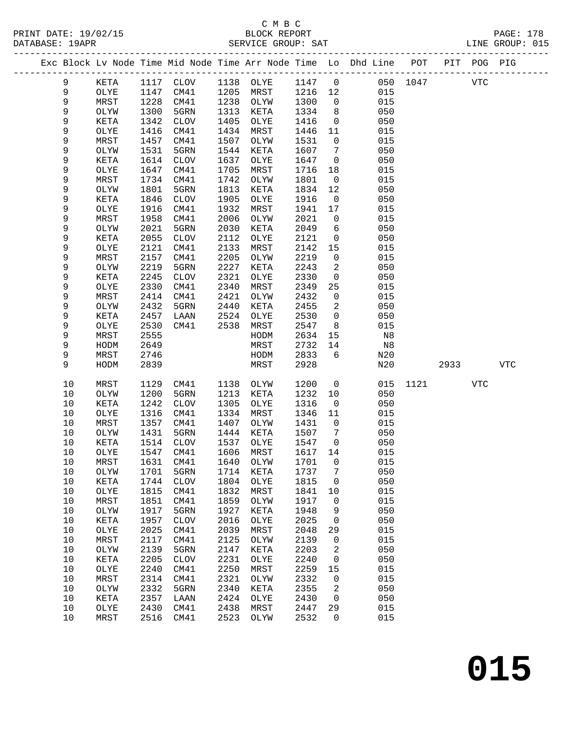## C M B C<br>BLOCK REPORT SERVICE GROUP: SAT

PRINT DATE: 19/02/15 BLOCK REPORT PAGE: 178

| Exc Block Ly Node Time Mid Node Time Arr Node Time Lo Dhd Line POT PIT POG PIG                  |      |  |
|-------------------------------------------------------------------------------------------------|------|--|
|                                                                                                 |      |  |
| 1117 CLOV 1138 OLYE<br>050 1047<br>1147 0<br>КЕТА<br>1147 CM41 1205 MRST 1216 12<br>OLYE<br>015 | VTC. |  |

| 9    | KETA        | 1117 | <b>CLOV</b>  | 1138 | OLYE         | 1147 | 0                   | 050            | 1047 |      | <b>VTC</b> |             |
|------|-------------|------|--------------|------|--------------|------|---------------------|----------------|------|------|------------|-------------|
| 9    | OLYE        | 1147 | CM41         | 1205 | MRST         | 1216 | $12$                | 015            |      |      |            |             |
|      |             |      |              |      |              |      |                     |                |      |      |            |             |
| 9    | MRST        | 1228 | CM41         | 1238 | OLYW         | 1300 | $\mathsf{O}\xspace$ | 015            |      |      |            |             |
| 9    | OLYW        | 1300 | 5GRN         | 1313 | KETA         | 1334 | 8                   | 050            |      |      |            |             |
| 9    | KETA        | 1342 | $\rm CLOV$   | 1405 | OLYE         | 1416 | 0                   | 050            |      |      |            |             |
|      |             |      |              |      |              |      |                     |                |      |      |            |             |
| 9    | OLYE        | 1416 | CM41         | 1434 | MRST         | 1446 | 11                  | 015            |      |      |            |             |
| 9    | MRST        | 1457 | CM41         | 1507 | OLYW         | 1531 | $\mathsf{O}\xspace$ | 015            |      |      |            |             |
| 9    | OLYW        | 1531 | 5GRN         | 1544 | KETA         | 1607 | $7\phantom{.0}$     | 050            |      |      |            |             |
|      |             |      |              |      |              |      |                     |                |      |      |            |             |
| 9    | KETA        | 1614 | $\rm CLOV$   | 1637 | OLYE         | 1647 | $\mathsf 0$         | 050            |      |      |            |             |
| 9    | OLYE        | 1647 | CM41         | 1705 | MRST         | 1716 | 18                  | 015            |      |      |            |             |
| 9    | MRST        | 1734 | CM41         | 1742 | OLYW         | 1801 | $\mathsf 0$         | 015            |      |      |            |             |
| 9    | OLYW        | 1801 | 5GRN         | 1813 | KETA         | 1834 | $12$                | 050            |      |      |            |             |
|      |             |      |              |      |              |      |                     |                |      |      |            |             |
| 9    | KETA        | 1846 | $\rm CLOV$   | 1905 | OLYE         | 1916 | $\mathsf 0$         | 050            |      |      |            |             |
| 9    | OLYE        | 1916 | CM41         | 1932 | MRST         | 1941 | $17$                | 015            |      |      |            |             |
| 9    | MRST        | 1958 | CM41         | 2006 | OLYW         | 2021 | $\mathsf{O}\xspace$ | 015            |      |      |            |             |
|      |             |      |              |      |              |      |                     |                |      |      |            |             |
| 9    | OLYW        | 2021 | 5GRN         | 2030 | KETA         | 2049 | 6                   | 050            |      |      |            |             |
| 9    | KETA        | 2055 | <b>CLOV</b>  | 2112 | OLYE         | 2121 | 0                   | 050            |      |      |            |             |
| 9    | OLYE        | 2121 | CM41         | 2133 | MRST         | 2142 | 15                  | 015            |      |      |            |             |
| 9    | MRST        | 2157 | CM41         | 2205 | OLYW         | 2219 | $\mathsf 0$         | 015            |      |      |            |             |
|      |             |      |              |      |              |      |                     |                |      |      |            |             |
| 9    | OLYW        | 2219 | 5GRN         | 2227 | KETA         | 2243 | 2                   | 050            |      |      |            |             |
| 9    | KETA        | 2245 | ${\tt CLOV}$ | 2321 | OLYE         | 2330 | $\mathsf 0$         | 050            |      |      |            |             |
| 9    | OLYE        | 2330 | CM41         | 2340 | MRST         | 2349 | 25                  | 015            |      |      |            |             |
| 9    | MRST        | 2414 | CM41         | 2421 | OLYW         | 2432 | $\mathsf 0$         | 015            |      |      |            |             |
|      |             |      |              |      |              |      |                     |                |      |      |            |             |
| 9    | OLYW        | 2432 | 5GRN         | 2440 | KETA         | 2455 | 2                   | 050            |      |      |            |             |
| 9    | KETA        | 2457 | LAAN         | 2524 | OLYE         | 2530 | $\mathsf{O}$        | 050            |      |      |            |             |
| 9    | OLYE        | 2530 | CM41         | 2538 | MRST         | 2547 | 8                   | 015            |      |      |            |             |
|      |             |      |              |      |              |      |                     |                |      |      |            |             |
| 9    | MRST        | 2555 |              |      | ${\tt HODM}$ | 2634 | 15                  | N <sub>8</sub> |      |      |            |             |
|      |             |      |              |      |              |      | 14                  |                |      |      |            |             |
| 9    | HODM        | 2649 |              |      | MRST         | 2732 |                     | N8             |      |      |            |             |
|      |             |      |              |      |              |      |                     |                |      |      |            |             |
| 9    | MRST        | 2746 |              |      | HODM         | 2833 | 6                   | N20            |      |      |            |             |
| 9    | HODM        | 2839 |              |      | MRST         | 2928 |                     | N20            |      | 2933 |            | ${\tt VTC}$ |
|      |             |      |              |      |              |      |                     |                |      |      |            |             |
| 10   | MRST        | 1129 | CM41         | 1138 | OLYW         | 1200 | $\mathsf 0$         | 015            | 1121 |      | <b>VTC</b> |             |
|      |             |      |              |      |              |      |                     |                |      |      |            |             |
| $10$ | OLYW        | 1200 | 5GRN         | 1213 | KETA         | 1232 | 10                  | 050            |      |      |            |             |
| 10   | KETA        | 1242 | <b>CLOV</b>  | 1305 | OLYE         | 1316 | $\mathsf 0$         | 050            |      |      |            |             |
| $10$ | OLYE        | 1316 | CM41         | 1334 | MRST         | 1346 | 11                  | 015            |      |      |            |             |
| 10   | MRST        | 1357 | CM41         | 1407 | OLYW         | 1431 | $\mathsf 0$         | 015            |      |      |            |             |
|      |             |      |              |      |              |      |                     |                |      |      |            |             |
| $10$ | OLYW        | 1431 | 5GRN         | 1444 | KETA         | 1507 | $7\phantom{.0}$     | 050            |      |      |            |             |
| 10   | KETA        | 1514 | $\rm CLOV$   | 1537 | OLYE         | 1547 | 0                   | 050            |      |      |            |             |
| $10$ | OLYE        | 1547 | CM41         | 1606 | MRST         | 1617 | 14                  | 015            |      |      |            |             |
| 10   | MRST        | 1631 | CM41         | 1640 | OLYW         | 1701 |                     | 015            |      |      |            |             |
|      |             |      |              |      |              |      | $\mathsf 0$         |                |      |      |            |             |
| 10   | OLYW        | 1701 | 5GRN         | 1714 | KETA         | 1737 | 7                   | 050            |      |      |            |             |
| 10   | KETA        | 1744 | <b>CLOV</b>  | 1804 | OLYE         | 1815 | 0                   | 050            |      |      |            |             |
| $10$ | OLXE        | 1815 | CM41         | 1832 | MRST         | 1841 | 10                  | 015            |      |      |            |             |
|      |             |      |              |      |              |      |                     |                |      |      |            |             |
| 10   | MRST        | 1851 | CM41         | 1859 | OLYW         | 1917 | 0                   | 015            |      |      |            |             |
| 10   | OLYW        | 1917 | 5GRN         | 1927 | KETA         | 1948 | 9                   | 050            |      |      |            |             |
| 10   | <b>KETA</b> | 1957 | <b>CLOV</b>  | 2016 | OLYE         | 2025 | 0                   | 050            |      |      |            |             |
| 10   | OLYE        | 2025 | CM41         | 2039 | MRST         | 2048 | 29                  | 015            |      |      |            |             |
|      |             |      |              |      |              |      |                     |                |      |      |            |             |
| 10   | MRST        | 2117 | CM41         | 2125 | OLYW         | 2139 | $\mathsf 0$         | 015            |      |      |            |             |
| 10   | OLYW        | 2139 | 5GRN         | 2147 | KETA         | 2203 | 2                   | 050            |      |      |            |             |
| 10   | KETA        | 2205 | <b>CLOV</b>  | 2231 | OLYE         | 2240 | 0                   | 050            |      |      |            |             |
| 10   | OLYE        | 2240 | CM41         | 2250 | MRST         | 2259 | 15                  | 015            |      |      |            |             |
|      |             |      |              |      |              |      |                     |                |      |      |            |             |
| 10   | MRST        | 2314 | CM41         | 2321 | OLYW         | 2332 | 0                   | 015            |      |      |            |             |
| 10   | OLYW        | 2332 | 5GRN         | 2340 | KETA         | 2355 | 2                   | 050            |      |      |            |             |
| 10   | KETA        | 2357 | LAAN         | 2424 | OLYE         | 2430 | 0                   | 050            |      |      |            |             |
| 10   | OLYE        | 2430 | CM41         | 2438 | MRST         | 2447 | 29                  | 015            |      |      |            |             |
| 10   | MRST        | 2516 | CM41         | 2523 | OLYW         | 2532 | 0                   | 015            |      |      |            |             |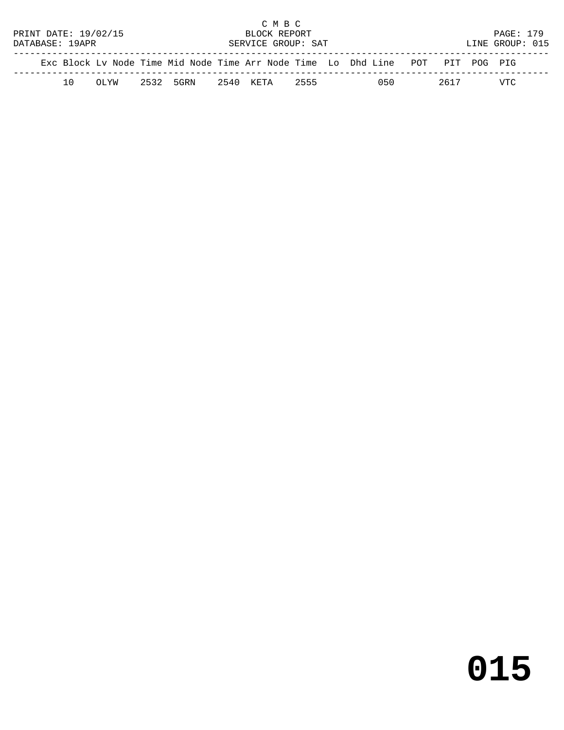|                                      |     |       |                    |           |  | C M B C   |      |  |                                                                                |  |      |  |                  |  |
|--------------------------------------|-----|-------|--------------------|-----------|--|-----------|------|--|--------------------------------------------------------------------------------|--|------|--|------------------|--|
| PRINT DATE: 19/02/15<br>BLOCK REPORT |     |       |                    |           |  |           |      |  |                                                                                |  |      |  | <b>PAGE: 179</b> |  |
| DATABASE: 19APR                      |     |       | SERVICE GROUP: SAT |           |  |           |      |  |                                                                                |  |      |  | LINE GROUP: 015  |  |
|                                      |     |       |                    |           |  |           |      |  | Exc Block Ly Node Time Mid Node Time Arr Node Time Lo Dhd Line POT PIT POG PIG |  |      |  |                  |  |
|                                      | 1 O | UL'AN |                    | 2532 5GRN |  | 2540 KETA | 2555 |  | 050                                                                            |  | 2617 |  | VTC              |  |

# **015**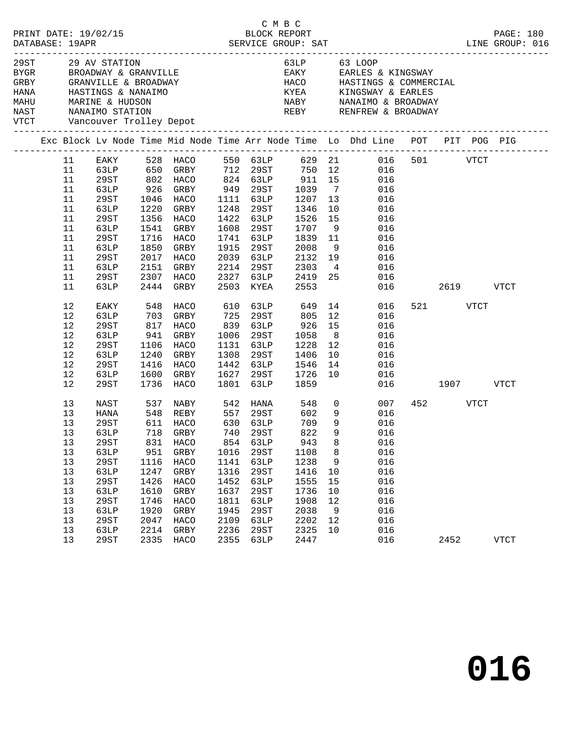|                              |                                                                         |             |      |                            | C M B C |                       |              |                |                                                                                                             |               |          |      |             |
|------------------------------|-------------------------------------------------------------------------|-------------|------|----------------------------|---------|-----------------------|--------------|----------------|-------------------------------------------------------------------------------------------------------------|---------------|----------|------|-------------|
|                              | 29ST 29 AV STATION<br>BYGR BROADWAY & GRANVILLE<br>NAST NANAIMO STATION |             |      |                            |         |                       |              |                | 63LP 63 LOOP<br>EAKY EARLES & KINGSWAY                                                                      |               |          |      |             |
|                              |                                                                         |             |      |                            |         |                       |              |                |                                                                                                             |               |          |      |             |
| VTCT Vancouver Trolley Depot |                                                                         |             |      |                            |         |                       |              |                | REBY RENFREW & BROADWAY                                                                                     |               |          |      |             |
|                              |                                                                         |             |      |                            |         |                       |              |                | Exc Block Lv Node Time Mid Node Time Arr Node Time Lo Dhd Line POT PIT POG PIG                              |               |          |      |             |
|                              | 11                                                                      |             |      |                            |         |                       |              |                | EAKY 528 HACO 550 63LP 629 21 016 501 VTCT                                                                  |               |          |      |             |
|                              | 11                                                                      |             |      |                            |         |                       |              |                |                                                                                                             |               |          |      |             |
|                              | 11                                                                      |             |      |                            |         |                       |              |                | 63LP 650 GRBY 712 29ST 750 12 016<br>29ST 802 HACO 824 63LP 911 15 016<br>63LP 926 GRBY 949 29ST 1039 7 016 |               |          |      |             |
|                              | 11                                                                      |             |      | 926 GRBY 949 29ST          |         |                       |              |                |                                                                                                             |               |          |      |             |
|                              | 11                                                                      | 29ST        |      | 1046 HACO                  |         | 1111 63LP             | 1207         | 13             | 016                                                                                                         |               |          |      |             |
|                              | 11                                                                      | 63LP        |      | 1220 GRBY                  |         | 1248 29ST             | 1346<br>1526 |                | 10<br>016                                                                                                   |               |          |      |             |
|                              | 11                                                                      | 29ST        |      | 1356 HACO                  |         | 1422 63LP             |              | 15             | 016                                                                                                         |               |          |      |             |
|                              | 11                                                                      | 63LP        |      | 1541 GRBY                  |         | 1608 29ST             | 1707         | 9              | 016                                                                                                         |               |          |      |             |
|                              | 11                                                                      | 29ST        |      | 1716 HACO                  |         | 1741 63LP             | 1839 11      |                | 016                                                                                                         |               |          |      |             |
|                              | 11                                                                      | 63LP        | 1850 | GRBY                       |         | 1915 29ST             | 2008         | 9              | 016                                                                                                         |               |          |      |             |
|                              | 11                                                                      | 29ST        |      | 2017 HACO                  |         | 2039 63LP             | 2132         | 19             | 016                                                                                                         |               |          |      |             |
|                              | 11                                                                      | 63LP        |      | 2151 GRBY                  |         | 2214 29ST             | 2303         |                | $4\overline{ }$<br>016                                                                                      |               |          |      |             |
|                              | 11                                                                      | 29ST        |      | 2307 HACO                  |         | 2327 63LP             | 2419 25      |                | 016                                                                                                         |               |          |      |             |
|                              | 11                                                                      | 63LP        |      | 2444 GRBY                  |         | 2503 KYEA             | 2553         |                |                                                                                                             | 016 01        |          | 2619 | <b>VTCT</b> |
|                              | 12                                                                      | EAKY        |      | 548 HACO                   |         | 610 63LP 649 14       |              |                | 016                                                                                                         |               | 521 VTCT |      |             |
|                              | 12                                                                      | 63LP        |      | 703 GRBY                   | 725     | 29ST                  | 805          |                | 12<br>016                                                                                                   |               |          |      |             |
|                              | 12                                                                      | 29ST        |      | 817 HACO                   | 839     | 63LP                  | 926          | 15             | 016                                                                                                         |               |          |      |             |
|                              | $12$                                                                    | 63LP        | 941  | GRBY                       | 1006    | 29ST                  | 1058         | 8 <sup>8</sup> | 016                                                                                                         |               |          |      |             |
|                              | 12                                                                      | 29ST        |      | 1106 HACO                  |         | 1131 63LP             | 1228         | 12             | 016                                                                                                         |               |          |      |             |
|                              | $12$                                                                    | 63LP        |      | 1240 GRBY                  | 1308    | 29ST                  | 1406         | 10             | 016                                                                                                         |               |          |      |             |
|                              | $12$                                                                    | 29ST        |      | 1416 HACO                  |         | 1442 63LP             | 1546         | 14             | 016                                                                                                         |               |          |      |             |
|                              | 12                                                                      | 63LP        |      | 1600 GRBY                  |         | 1627 29ST             | 1726         | 10             | 016                                                                                                         |               |          |      |             |
|                              | 12                                                                      | 29ST        |      | 1736 HACO                  | 1801    | 63LP                  | 1859         |                |                                                                                                             | 016 1907 VTCT |          |      |             |
|                              | 13                                                                      | NAST        |      | 537 NABY 542 HANA 548 0    |         |                       |              |                | 007                                                                                                         |               | 452 VTCT |      |             |
|                              | 13                                                                      | HANA        |      | 548    REBY<br>611    HACO |         | 557 29ST<br>630 631.P | 602<br>709   | 9              | 016                                                                                                         |               |          |      |             |
|                              | 13                                                                      | 29ST        |      |                            |         | 630 63LP              | 709          | 9              | 016                                                                                                         |               |          |      |             |
|                              | 13                                                                      |             |      | 63LP 718 GRBY 740 29ST     |         |                       | 822          |                | 9 016                                                                                                       |               |          |      |             |
|                              | 13                                                                      | 29ST        | 831  | HACO                       | 854     | 63LP                  | 943          | 8              | 016                                                                                                         |               |          |      |             |
|                              | 13                                                                      | 63LP        | 951  | GRBY                       | 1016    | 29ST                  | 1108         | 8              | 016                                                                                                         |               |          |      |             |
|                              | 13                                                                      | <b>29ST</b> | 1116 | HACO                       | 1141    | 63LP                  | 1238         | 9              | 016                                                                                                         |               |          |      |             |
|                              | 13                                                                      | 63LP        | 1247 | GRBY                       | 1316    | 29ST                  | 1416         | 10             | 016                                                                                                         |               |          |      |             |
|                              | 13                                                                      | <b>29ST</b> | 1426 | HACO                       | 1452    | 63LP                  | 1555         | 15             | 016                                                                                                         |               |          |      |             |
|                              | 13                                                                      | 63LP        | 1610 | ${\tt GRBY}$               | 1637    | 29ST                  | 1736         | 10             | 016                                                                                                         |               |          |      |             |
|                              | 13                                                                      | 29ST        | 1746 | HACO                       | 1811    | 63LP                  | 1908         | 12             | 016                                                                                                         |               |          |      |             |
|                              | 13                                                                      | 63LP        | 1920 | GRBY                       | 1945    | 29ST                  | 2038         | 9              | 016                                                                                                         |               |          |      |             |
|                              | 13                                                                      | 29ST        | 2047 | HACO                       | 2109    | 63LP                  | 2202         | 12             | 016                                                                                                         |               |          |      |             |
|                              | 13                                                                      | 63LP        | 2214 | GRBY                       | 2236    | 29ST                  | 2325         | 10             | 016                                                                                                         |               |          |      |             |
|                              | 13                                                                      |             | 2335 | HACO                       | 2355    |                       | 2447         |                | 016                                                                                                         |               | 2452     |      |             |
|                              |                                                                         | 29ST        |      |                            |         | 63LP                  |              |                |                                                                                                             |               |          |      | VTCT        |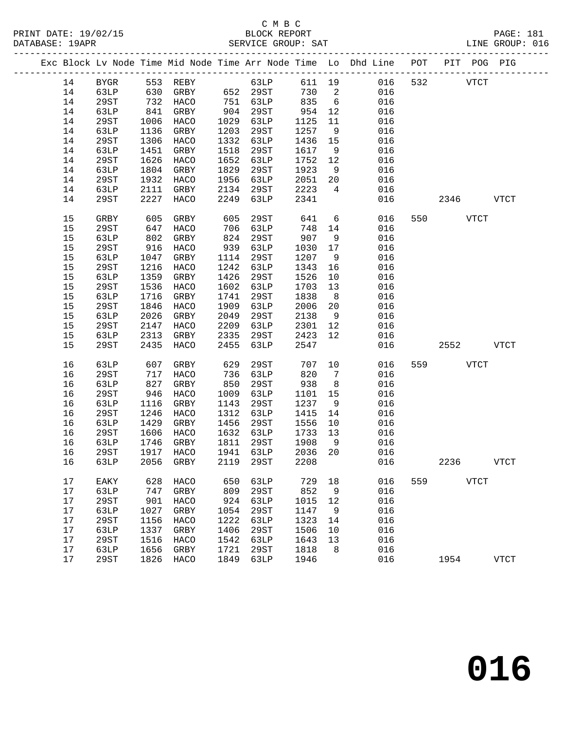|    |             |      |                     |      |          |        |                | Exc Block Lv Node Time Mid Node Time Arr Node Time Lo Dhd Line POT |     |        |              | PIT POG PIG  |
|----|-------------|------|---------------------|------|----------|--------|----------------|--------------------------------------------------------------------|-----|--------|--------------|--------------|
| 14 | BYGR        |      | 553 REBY            |      | 63LP     | 611 19 |                | 016                                                                | 532 |        | <b>VTCT</b>  |              |
| 14 | 63LP        | 630  | GRBY                |      | 652 29ST | 730 2  |                | 016                                                                |     |        |              |              |
| 14 | 29ST        |      | $732$ HACO          |      | 751 63LP | 835    | 6              | 016                                                                |     |        |              |              |
| 14 | 63LP        | 841  | GRBY                | 904  | 29ST     | 954    | 12             | 016                                                                |     |        |              |              |
| 14 | 29ST        | 1006 | HACO                | 1029 | 63LP     | 1125   | 11             | 016                                                                |     |        |              |              |
| 14 | 63LP        | 1136 | GRBY                | 1203 | 29ST     | 1257   | 9              | 016                                                                |     |        |              |              |
| 14 | 29ST        | 1306 | HACO                | 1332 | 63LP     | 1436   | 15             | 016                                                                |     |        |              |              |
| 14 | 63LP        | 1451 | GRBY                | 1518 | 29ST     | 1617   | 9              | 016                                                                |     |        |              |              |
| 14 | 29ST        | 1626 | HACO                | 1652 | 63LP     | 1752   | 12             | 016                                                                |     |        |              |              |
| 14 | 63LP        | 1804 | GRBY                | 1829 | 29ST     | 1923   | 9              | 016                                                                |     |        |              |              |
| 14 | 29ST        | 1932 | HACO                | 1956 | 63LP     | 2051   | 20             | 016                                                                |     |        |              |              |
| 14 | 63LP        | 2111 | GRBY                | 2134 | 29ST     | 2223   | $\overline{4}$ | 016                                                                |     |        |              |              |
| 14 | 29ST        | 2227 | HACO                | 2249 | 63LP     | 2341   |                | 016                                                                |     | 2346   |              | <b>VTCT</b>  |
| 15 | GRBY        | 605  | GRBY                | 605  | 29ST     | 641    | 6              | 016                                                                |     | 550 35 | VTCT         |              |
| 15 | 29ST        | 647  | HACO                | 706  | 63LP     | 748    | 14             | 016                                                                |     |        |              |              |
| 15 | 63LP        | 802  | GRBY                | 824  | 29ST     | 907    | 9              | 016                                                                |     |        |              |              |
| 15 | 29ST        | 916  | HACO                | 939  | 63LP     | 1030   | 17             | 016                                                                |     |        |              |              |
| 15 | 63LP        | 1047 | GRBY                | 1114 | 29ST     | 1207   | 9              | 016                                                                |     |        |              |              |
| 15 | 29ST        | 1216 | HACO                | 1242 | 63LP     | 1343   | 16             | 016                                                                |     |        |              |              |
| 15 | 63LP        | 1359 | GRBY                | 1426 | 29ST     | 1526   | 10             | 016                                                                |     |        |              |              |
| 15 | <b>29ST</b> | 1536 | HACO                | 1602 | 63LP     | 1703   | 13             | 016                                                                |     |        |              |              |
| 15 | 63LP        | 1716 | GRBY                | 1741 | 29ST     | 1838   | 8              | 016                                                                |     |        |              |              |
| 15 | <b>29ST</b> | 1846 | HACO                | 1909 | 63LP     | 2006   | 20             | 016                                                                |     |        |              |              |
| 15 | 63LP        | 2026 | GRBY                | 2049 | 29ST     | 2138   | 9              | 016                                                                |     |        |              |              |
| 15 | <b>29ST</b> | 2147 | HACO                | 2209 | 63LP     | 2301   | 12             | 016                                                                |     |        |              |              |
| 15 | 63LP        | 2313 | GRBY                | 2335 | 29ST     | 2423   | 12             | 016                                                                |     |        |              |              |
| 15 | 29ST        | 2435 | HACO                | 2455 | 63LP     | 2547   |                | 016                                                                |     | 2552   |              | <b>VTCT</b>  |
| 16 | 63LP        | 607  | GRBY                | 629  | 29ST     | 707    | 10             | 016                                                                |     | 559 75 | <b>VTCT</b>  |              |
| 16 | 29ST        | 717  | HACO                | 736  | 63LP     | 820    | $\overline{7}$ | 016                                                                |     |        |              |              |
| 16 | 63LP        | 827  | GRBY                | 850  | 29ST     | 938    | 8 <sup>8</sup> | 016                                                                |     |        |              |              |
| 16 | 29ST        | 946  | HACO                | 1009 | 63LP     | 1101   | 15             | 016                                                                |     |        |              |              |
| 16 | 63LP        | 1116 | GRBY                | 1143 | 29ST     | 1237   | 9              | 016                                                                |     |        |              |              |
| 16 | 29ST        | 1246 | HACO                | 1312 | 63LP     | 1415   | 14             | 016                                                                |     |        |              |              |
| 16 | 63LP        | 1429 | GRBY                | 1456 | 29ST     | 1556   | 10             | 016                                                                |     |        |              |              |
| 16 | 29ST        | 1606 | HACO                | 1632 | 63LP     | 1733   | 13             | 016                                                                |     |        |              |              |
| 16 | 63LP        | 1746 | GRBY                | 1811 | 29ST     | 1908   | 9              | 016                                                                |     |        |              |              |
| 16 | 29ST        | 1917 | HACO                | 1941 | 63LP     | 2036   | 20             | 016                                                                |     |        |              |              |
|    | 16 63LP     |      | 2056 GRBY 2119 29ST |      |          | 2208   |                | 016                                                                |     | 2236   |              | <b>VTCT</b>  |
| 17 | EAKY        | 628  | HACO                | 650  | 63LP     | 729    | 18             | 016                                                                | 559 |        | ${\tt VTCT}$ |              |
| 17 | 63LP        | 747  | GRBY                | 809  | 29ST     | 852    | 9              | 016                                                                |     |        |              |              |
| 17 | <b>29ST</b> | 901  | HACO                | 924  | 63LP     | 1015   | 12             | 016                                                                |     |        |              |              |
| 17 | 63LP        | 1027 | ${\tt GRBY}$        | 1054 | 29ST     | 1147   | 9              | 016                                                                |     |        |              |              |
| 17 | <b>29ST</b> | 1156 | HACO                | 1222 | 63LP     | 1323   | 14             | 016                                                                |     |        |              |              |
| 17 | 63LP        | 1337 | GRBY                | 1406 | 29ST     | 1506   | 10             | 016                                                                |     |        |              |              |
| 17 | <b>29ST</b> | 1516 | HACO                | 1542 | 63LP     | 1643   | 13             | 016                                                                |     |        |              |              |
| 17 | 63LP        | 1656 | GRBY                | 1721 | 29ST     | 1818   | 8              | 016                                                                |     |        |              |              |
| 17 | 29ST        | 1826 | HACO                | 1849 | 63LP     | 1946   |                | 016                                                                |     | 1954   |              | ${\tt VTCT}$ |
|    |             |      |                     |      |          |        |                |                                                                    |     |        |              |              |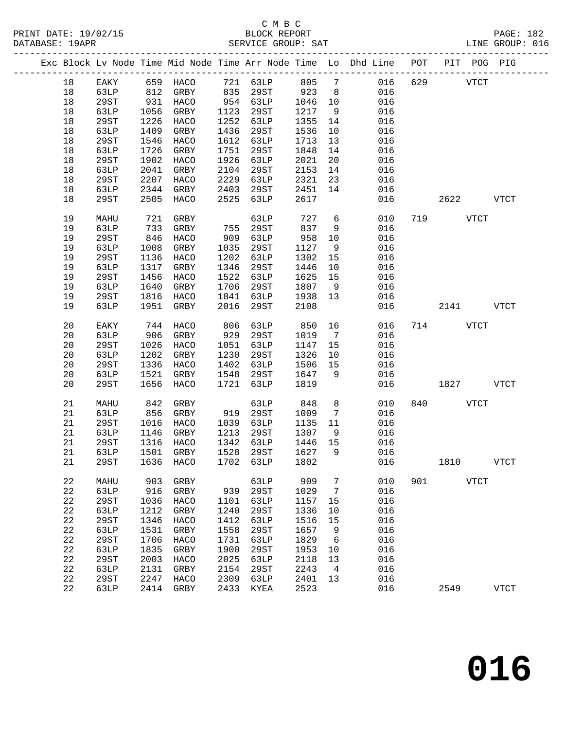|             |             |      |                                        |      |                |         |                | Exc Block Lv Node Time Mid Node Time Arr Node Time Lo Dhd Line POT PIT POG PIG |     |                |              |             |
|-------------|-------------|------|----------------------------------------|------|----------------|---------|----------------|--------------------------------------------------------------------------------|-----|----------------|--------------|-------------|
| 18          | EAKY        |      | 659 HACO                               |      | 721 63LP 805 7 |         |                | 016                                                                            | 629 |                | ${\tt VTCT}$ |             |
| 18          | 63LP        | 812  | GRBY                                   |      | 835 29ST       | 923     | 8 <sup>8</sup> | 016                                                                            |     |                |              |             |
| $18\,$      | 29ST        | 931  | HACO                                   |      | 954 63LP       | 1046    | 10             | 016                                                                            |     |                |              |             |
| $18\,$      | 63LP        | 1056 | GRBY                                   | 1123 | 29ST           | 1217    | 9              | 016                                                                            |     |                |              |             |
| 18          | 29ST        | 1226 | HACO                                   | 1252 | 63LP           | 1355    | 14             | 016                                                                            |     |                |              |             |
| $18\,$      | 63LP        | 1409 | GRBY                                   | 1436 | 29ST           | 1536    | 10             | 016                                                                            |     |                |              |             |
| $18\,$      | 29ST        | 1546 | HACO                                   | 1612 | 63LP           | 1713    | 13             | 016                                                                            |     |                |              |             |
| $18\,$      | 63LP        | 1726 | GRBY                                   | 1751 | 29ST           | 1848    | 14             | 016                                                                            |     |                |              |             |
| $18\,$      | 29ST        | 1902 | HACO                                   | 1926 | 63LP           | 2021    | 20             | 016                                                                            |     |                |              |             |
| 18          | 63LP        | 2041 | GRBY                                   | 2104 | 29ST           | 2153    | 14             | 016                                                                            |     |                |              |             |
| $18\,$      | 29ST        | 2207 | HACO                                   | 2229 | 63LP           | 2321    | 23             | 016                                                                            |     |                |              |             |
| 18          | 63LP        | 2344 | GRBY                                   | 2403 | 29ST           | 2451    | 14             | 016                                                                            |     |                |              |             |
| 18          | 29ST        | 2505 | HACO                                   | 2525 | 63LP           | 2617    |                | 016                                                                            |     | 2622 VTCT      |              |             |
| 19          | MAHU        | 721  | GRBY                                   |      | 63LP           | 727     | 6              | 010                                                                            |     | 719 VTCT       |              |             |
| 19          | 63LP        | 733  | GRBY                                   | 755  | 29ST           | 837     | 9              | 016                                                                            |     |                |              |             |
| 19          | 29ST        | 846  | HACO                                   | 909  | 63LP           | 958     | 10             | 016                                                                            |     |                |              |             |
| 19          | 63LP        | 1008 | GRBY                                   | 1035 | 29ST           | 1127    | 9              | 016                                                                            |     |                |              |             |
| 19          | 29ST        | 1136 | HACO                                   | 1202 | 63LP           | 1302    | 15             | 016                                                                            |     |                |              |             |
| 19          | 63LP        | 1317 | GRBY                                   | 1346 | 29ST           | 1446    | 10             | 016                                                                            |     |                |              |             |
| 19          | 29ST        | 1456 | HACO                                   | 1522 | 63LP           | 1625    | 15             | 016                                                                            |     |                |              |             |
| 19          | 63LP        | 1640 | GRBY                                   | 1706 | 29ST           | 1807    | 9              | 016                                                                            |     |                |              |             |
| 19          | 29ST        | 1816 | HACO                                   | 1841 | 63LP           | 1938    | 13             | 016                                                                            |     |                |              |             |
| 19          | 63LP        | 1951 | GRBY                                   | 2016 | 29ST           | 2108    |                | 016                                                                            |     | 2141           |              | <b>VTCT</b> |
| 20          | EAKY        | 744  | HACO                                   | 806  | 63LP           | 850     | 16             | 016                                                                            |     | 714 VTCT       |              |             |
| 20          | 63LP        | 906  | GRBY                                   | 929  | 29ST           | 1019    | $\overline{7}$ | 016                                                                            |     |                |              |             |
| 20          | 29ST        | 1026 | HACO                                   | 1051 | 63LP           | 1147    | 15             | 016                                                                            |     |                |              |             |
| 20          | 63LP        | 1202 | GRBY                                   | 1230 | 29ST           | 1326    | 10             | 016                                                                            |     |                |              |             |
| 20          | 29ST        | 1336 | HACO                                   | 1402 | 63LP           | 1506    | 15             | 016                                                                            |     |                |              |             |
| 20          | 63LP        | 1521 | GRBY                                   | 1548 | 29ST           | 1647    | - 9            | 016                                                                            |     |                |              |             |
| 20          | 29ST        | 1656 | HACO                                   | 1721 | 63LP           | 1819    |                | 016                                                                            |     | 1827           |              | <b>VTCT</b> |
| 21          | MAHU        | 842  | GRBY                                   |      | 63LP           | 848     | 8              | 010                                                                            |     | 840 and $\sim$ | <b>VTCT</b>  |             |
| 21          | 63LP        | 856  | GRBY                                   | 919  | 29ST           | 1009    | 7              | 016                                                                            |     |                |              |             |
| 21          | 29ST        | 1016 | HACO                                   | 1039 | 63LP           | 1135    | 11             | 016                                                                            |     |                |              |             |
| 21          | 63LP        | 1146 | GRBY                                   | 1213 | 29ST           | 1307    | 9              | 016                                                                            |     |                |              |             |
| 21          | 29ST        |      | 1316 HACO                              |      | 1342 63LP      | 1446 15 |                | 016                                                                            |     |                |              |             |
| 21          | 63LP        |      | 1501 GRBY                              |      | 1528 29ST      | 1627    | 9              | 016                                                                            |     |                |              |             |
|             |             |      | 21  29ST  1636  HACO  1702  63LP  1802 |      |                |         |                | 016                                                                            |     | 1810           |              | <b>VTCT</b> |
| 22          | MAHU        | 903  | GRBY                                   |      | 63LP           | 909     | 7              | 010                                                                            | 901 |                | <b>VTCT</b>  |             |
| $2\sqrt{2}$ | 63LP        | 916  | GRBY                                   | 939  | 29ST           | 1029    | 7              | 016                                                                            |     |                |              |             |
| 22          | 29ST        | 1036 | HACO                                   | 1101 | <b>63LP</b>    | 1157    | 15             | 016                                                                            |     |                |              |             |
| $2\sqrt{2}$ | 63LP        | 1212 | GRBY                                   | 1240 | 29ST           | 1336    | 10             | 016                                                                            |     |                |              |             |
| 22          | <b>29ST</b> | 1346 | HACO                                   | 1412 | <b>63LP</b>    | 1516    | 15             | 016                                                                            |     |                |              |             |
| 22          | 63LP        | 1531 | GRBY                                   | 1558 | 29ST           | 1657    | 9              | 016                                                                            |     |                |              |             |
| 22          | <b>29ST</b> | 1706 | HACO                                   | 1731 | 63LP           | 1829    | 6              | 016                                                                            |     |                |              |             |
| 22          | 63LP        | 1835 | ${\tt GRBY}$                           | 1900 | 29ST           | 1953    | 10             | 016                                                                            |     |                |              |             |
| 22          | 29ST        | 2003 | HACO                                   | 2025 | <b>63LP</b>    | 2118    | 13             | 016                                                                            |     |                |              |             |
| 22          | 63LP        | 2131 | GRBY                                   | 2154 | 29ST           | 2243    | 4              | 016                                                                            |     |                |              |             |
| $2\sqrt{2}$ | 29ST        | 2247 | HACO                                   | 2309 | 63LP           | 2401    | 13             | 016                                                                            |     |                |              |             |
| 22          | 63LP        | 2414 | GRBY                                   | 2433 | KYEA           | 2523    |                | 016                                                                            |     | 2549           |              | <b>VTCT</b> |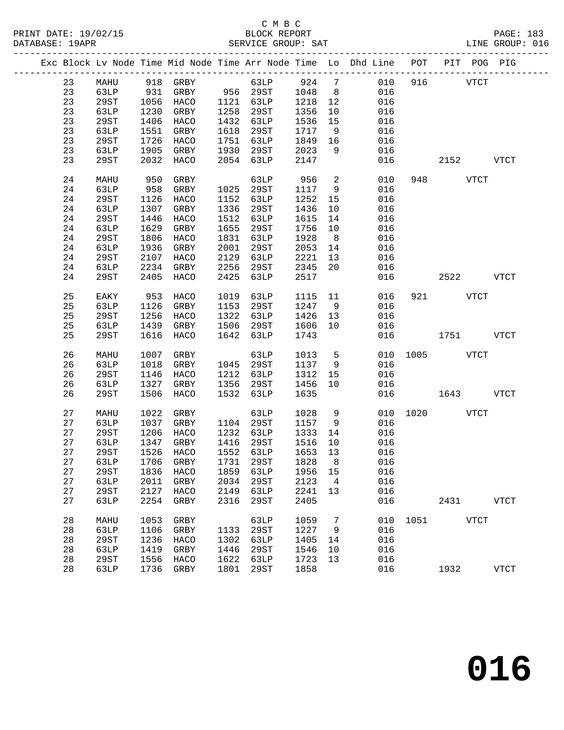|  |    |             |      |             |      |                                    |                      |                | Exc Block Lv Node Time Mid Node Time Arr Node Time Lo Dhd Line POT PIT POG PIG |               |           |             |             |
|--|----|-------------|------|-------------|------|------------------------------------|----------------------|----------------|--------------------------------------------------------------------------------|---------------|-----------|-------------|-------------|
|  | 23 | MAHU        |      | 918 GRBY    |      | 63LP                               |                      |                | 924 7 010                                                                      |               | 916       | <b>VTCT</b> |             |
|  | 23 | 63LP        |      |             |      |                                    |                      | 8 <sup>8</sup> | 016                                                                            |               |           |             |             |
|  | 23 | 29ST        |      |             |      |                                    | 1048<br>1218<br>1218 | 12             | 016                                                                            |               |           |             |             |
|  | 23 | 63LP        | 1230 | GRBY        |      | 1258 29ST                          | 1356                 | 10             | 016                                                                            |               |           |             |             |
|  | 23 | 29ST        | 1406 | HACO        | 1432 | 63LP                               | 1536                 | 15             | 016                                                                            |               |           |             |             |
|  | 23 | 63LP        | 1551 |             | 1618 |                                    | 1717                 |                | 016                                                                            |               |           |             |             |
|  |    |             |      | GRBY        |      | 29ST                               |                      | 9              |                                                                                |               |           |             |             |
|  | 23 | 29ST        | 1726 | HACO        | 1751 | 63LP                               | 1849                 | 16             | 016                                                                            |               |           |             |             |
|  | 23 | 63LP        | 1905 | GRBY        | 1930 | 29ST                               | 2023                 | 9              | 016                                                                            |               |           |             |             |
|  | 23 | 29ST        | 2032 | HACO        | 2054 | 63LP                               | 2147                 |                | 016                                                                            |               | 2152      |             | <b>VTCT</b> |
|  | 24 | MAHU        | 950  | GRBY        |      | 63LP                               | 956                  | $\overline{a}$ | 010                                                                            |               | 948 VTCT  |             |             |
|  | 24 | 63LP        | 958  | GRBY        |      | 1025 29ST                          | 1117                 | 9              | 016                                                                            |               |           |             |             |
|  | 24 | 29ST        | 1126 | HACO        | 1152 | 63LP                               | 1252                 | 15             | 016                                                                            |               |           |             |             |
|  | 24 | 63LP        | 1307 | GRBY        | 1336 | 29ST                               | 1436                 | 10             | 016                                                                            |               |           |             |             |
|  | 24 | 29ST        | 1446 | HACO        | 1512 | 63LP                               | 1615                 | 14             | 016                                                                            |               |           |             |             |
|  | 24 | 63LP        | 1629 | GRBY        | 1655 | 29ST                               | 1756                 | 10             | 016                                                                            |               |           |             |             |
|  | 24 | 29ST        | 1806 | HACO        | 1831 | 63LP                               | 1928                 | 8 <sup>8</sup> | 016                                                                            |               |           |             |             |
|  | 24 | 63LP        | 1936 | GRBY        | 2001 | 29ST                               | 2053                 | 14             | 016                                                                            |               |           |             |             |
|  | 24 | 29ST        | 2107 | HACO        | 2129 | 63LP                               | 2221                 | 13             | 016                                                                            |               |           |             |             |
|  | 24 | 63LP        | 2234 | GRBY        | 2256 | 29ST                               | 2345                 | 20             | 016                                                                            |               |           |             |             |
|  | 24 | 29ST        | 2405 | HACO        | 2425 | 63LP                               | 2517                 |                | 016                                                                            |               | 2522 VTCT |             |             |
|  |    |             |      |             |      |                                    |                      |                |                                                                                |               |           |             |             |
|  | 25 | EAKY        | 953  | HACO        | 1019 | 63LP                               | 1115                 |                | 11<br>016                                                                      |               | 921 VTCT  |             |             |
|  | 25 | 63LP        | 1126 | GRBY        | 1153 | 29ST                               | 1247                 | 9              | 016                                                                            |               |           |             |             |
|  | 25 | 29ST        | 1256 | HACO        | 1322 | 63LP                               | 1426                 | 13             | 016                                                                            |               |           |             |             |
|  | 25 | 63LP        | 1439 | GRBY        | 1506 | 29ST                               | 1606                 | 10             | 016                                                                            |               |           |             |             |
|  | 25 | 29ST        | 1616 | HACO        | 1642 | 63LP                               | 1743                 |                | 016                                                                            |               | 1751      |             | <b>VTCT</b> |
|  |    |             |      |             |      |                                    |                      |                |                                                                                |               |           |             |             |
|  | 26 | MAHU        | 1007 | GRBY        |      | 63LP                               | 1013                 |                | 5 <sub>1</sub>                                                                 | 010 1005 VTCT |           |             |             |
|  | 26 | 63LP        | 1018 | GRBY        |      | 1045 29ST                          | 1137                 | 9              | 016                                                                            |               |           |             |             |
|  | 26 | 29ST        | 1146 | HACO        |      | 1212 63LP                          | 1312                 | 15             | 016                                                                            |               |           |             |             |
|  | 26 | 63LP        | 1327 | GRBY        | 1356 | 29ST                               | 1456                 | 10             | 016                                                                            |               |           |             |             |
|  | 26 | 29ST        | 1506 | HACO        | 1532 | 63LP                               | 1635                 |                | 016                                                                            |               | 1643      |             | <b>VTCT</b> |
|  | 27 | MAHU        | 1022 | GRBY        |      | 63LP                               | 1028                 | 9              |                                                                                | 010 1020 VTCT |           |             |             |
|  | 27 | 63LP        |      | 1037 GRBY   |      | 1104 29ST                          | 1157                 | 9              | 016                                                                            |               |           |             |             |
|  | 27 | 29ST        | 1206 | HACO        |      | 1232 63LP                          | 1333                 | 14             | 016                                                                            |               |           |             |             |
|  | 27 | 63LP        | 1347 | GRBY        |      | 1416 29ST                          | 1516                 | 10             | 016                                                                            |               |           |             |             |
|  | 27 | 29ST        |      | 1526 HACO   |      | 1552 63LP                          | 1653                 | 13             | 016                                                                            |               |           |             |             |
|  |    |             |      |             |      | 27 63LP 1706 GRBY 1731 29ST 1828 8 |                      |                | 016                                                                            |               |           |             |             |
|  | 27 | 29ST        | 1836 | HACO        | 1859 | 63LP                               | 1956                 | 15             | 016                                                                            |               |           |             |             |
|  | 27 | 63LP        | 2011 | GRBY        | 2034 | 29ST                               | 2123                 | $\overline{4}$ | 016                                                                            |               |           |             |             |
|  | 27 | 29ST        | 2127 | HACO        | 2149 | 63LP                               | 2241                 | 13             | 016                                                                            |               |           |             |             |
|  | 27 | 63LP        | 2254 | GRBY        | 2316 | 29ST                               | 2405                 |                | 016                                                                            |               | 2431      |             | <b>VTCT</b> |
|  | 28 | MAHU        | 1053 | GRBY        |      | 63LP                               | 1059                 | 7              | 010                                                                            | 1051          |           | <b>VTCT</b> |             |
|  | 28 | 63LP        | 1106 | GRBY        | 1133 | 29ST                               | 1227                 | 9              | 016                                                                            |               |           |             |             |
|  | 28 | <b>29ST</b> | 1236 | HACO        | 1302 | 63LP                               | 1405                 | 14             | 016                                                                            |               |           |             |             |
|  | 28 | 63LP        | 1419 | GRBY        | 1446 | 29ST                               | 1546                 | 10             | 016                                                                            |               |           |             |             |
|  | 28 | 29ST        | 1556 | <b>HACO</b> | 1622 | 63LP                               | 1723                 | 13             | 016                                                                            |               |           |             |             |
|  | 28 | 63LP        | 1736 | GRBY        | 1801 | 29ST                               | 1858                 |                | 016                                                                            |               | 1932      |             | <b>VTCT</b> |
|  |    |             |      |             |      |                                    |                      |                |                                                                                |               |           |             |             |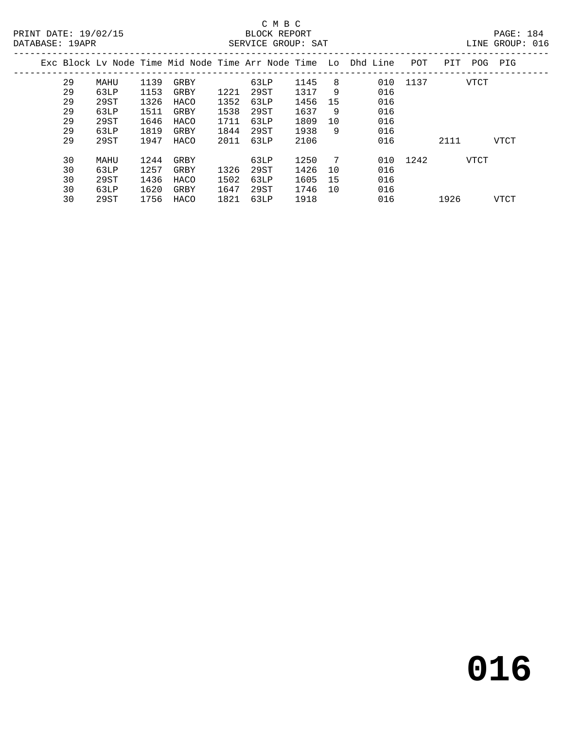## C M B C<br>BLOCK REPORT DATABASE: 1988<br>SERVICE GROUP: SAT

| ----------- | — <i>211</i> 11 |      |      |      |      | DARVICA OROCI DILI |      |    |                                                                |          |      |             | ------ ---- |  |
|-------------|-----------------|------|------|------|------|--------------------|------|----|----------------------------------------------------------------|----------|------|-------------|-------------|--|
|             |                 |      |      |      |      |                    |      |    | Exc Block Ly Node Time Mid Node Time Arr Node Time Lo Dhd Line | POT      | PIT  | POG         | PIG         |  |
|             | 29              | MAHU | 1139 | GRBY |      | 63LP               | 1145 | 8  | 010                                                            | 1137     |      | VTCT        |             |  |
|             | 29              | 63LP | 1153 | GRBY | 1221 | 29ST               | 1317 | 9  | 016                                                            |          |      |             |             |  |
|             | 29              | 29ST | 1326 | HACO | 1352 | 63LP               | 1456 | 15 | 016                                                            |          |      |             |             |  |
|             | 29              | 63LP | 1511 | GRBY | 1538 | 29ST               | 1637 | 9  | 016                                                            |          |      |             |             |  |
|             | 29              | 29ST | 1646 | HACO | 1711 | 63LP               | 1809 | 10 | 016                                                            |          |      |             |             |  |
|             | 29              | 63LP | 1819 | GRBY | 1844 | 29ST               | 1938 | 9  | 016                                                            |          |      |             |             |  |
|             | 29              | 29ST | 1947 | HACO | 2011 | 63LP               | 2106 |    | 016                                                            |          | 2111 |             | VTCT        |  |
|             | 30              | MAHU | 1244 | GRBY |      | 63LP               | 1250 | 7  |                                                                | 010 1242 |      | <b>VTCT</b> |             |  |
|             | 30              | 63LP | 1257 | GRBY | 1326 | 29ST               | 1426 | 10 | 016                                                            |          |      |             |             |  |
|             | 30              | 29ST | 1436 | HACO | 1502 | 63LP               | 1605 | 15 | 016                                                            |          |      |             |             |  |
|             | 30              | 63LP | 1620 | GRBY | 1647 | 29ST               | 1746 | 10 | 016                                                            |          |      |             |             |  |
|             | 30              | 29ST | 1756 | HACO | 1821 | 63LP               | 1918 |    | 016                                                            |          | 1926 |             | VTCT        |  |
|             |                 |      |      |      |      |                    |      |    |                                                                |          |      |             |             |  |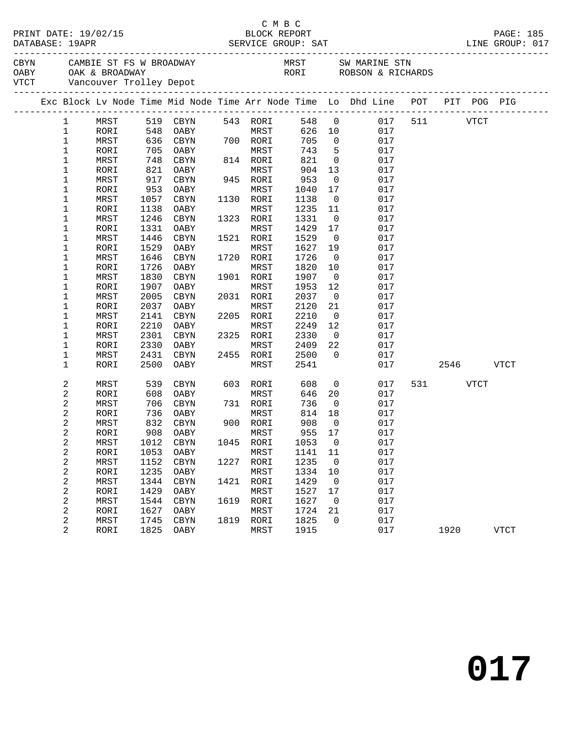|              |              |            |                                      |      |                  |            |                               | CBYN CAMBIE ST FS W BROADWAY MRST SW MARINE STN OABY OAK & BROADWAY RORI ROBSON & RICHARDS VTCT Vancouver Trolley Depot |              |          |             |
|--------------|--------------|------------|--------------------------------------|------|------------------|------------|-------------------------------|-------------------------------------------------------------------------------------------------------------------------|--------------|----------|-------------|
|              |              |            |                                      |      |                  |            |                               | Exc Block Lv Node Time Mid Node Time Arr Node Time Lo Dhd Line POT PIT POG PIG                                          |              |          |             |
| $\mathbf{1}$ |              |            | MRST 519 CBYN                        |      | 543 RORI         |            |                               | 548 0                                                                                                                   | 017 511 VTCT |          |             |
| $\mathbf{1}$ | RORI         |            |                                      |      | <b>MRST</b>      |            |                               | 626 10<br>017                                                                                                           |              |          |             |
| $\mathbf 1$  | MRST         |            | 548 OABY<br>636 CBYN 700<br>535 SABY |      | 700 RORI         | 705        | $\overline{0}$                | 017                                                                                                                     |              |          |             |
| $\mathbf 1$  | RORI         |            | 705 OABY                             |      | MRST             | 743        | $5^{\circ}$                   | 017                                                                                                                     |              |          |             |
| $\mathbf 1$  | MRST         | 748        | CBYN                                 |      | 814 RORI         | 821        | $\overline{0}$                | 017                                                                                                                     |              |          |             |
| $\mathbf 1$  | RORI         | 821        | OABY                                 |      | MRST             | 904        | 13                            | 017                                                                                                                     |              |          |             |
| 1            | MRST         | 917        | CBYN                                 |      | 945 RORI         | 953        | $\overline{0}$                | 017                                                                                                                     |              |          |             |
| $\mathbf 1$  | RORI         | 953        | OABY                                 |      | MRST             | 1040       | 17                            | 017                                                                                                                     |              |          |             |
| 1            | MRST         | 1057       | CBYN                                 |      | 1130 RORI        | 1138       | $\overline{0}$                | 017                                                                                                                     |              |          |             |
| 1            | RORI         | 1138       | OABY                                 |      | MRST             | 1235       | 11                            | 017                                                                                                                     |              |          |             |
| 1            | MRST         | 1246       | CBYN                                 |      | 1323 RORI        | 1331       | $\overline{0}$                | 017                                                                                                                     |              |          |             |
| 1            | RORI         | 1331       | OABY                                 |      | MRST             | 1429       | 17                            | 017                                                                                                                     |              |          |             |
| 1            | MRST         | 1446       | CBYN                                 |      | 1521 RORI        | 1529       | $\overline{0}$                | 017                                                                                                                     |              |          |             |
| 1            | RORI         | 1529       | OABY                                 |      | MRST             | 1627       | 19                            | 017                                                                                                                     |              |          |             |
| 1            | MRST         | 1646       | CBYN                                 |      | 1720 RORI        | 1726       | $\overline{\mathbf{0}}$       | 017                                                                                                                     |              |          |             |
| 1            | RORI         | 1726       | OABY                                 |      | MRST             | 1820       | 10                            | 017                                                                                                                     |              |          |             |
| 1            | MRST         | 1830       | CBYN                                 |      | 1901 RORI        | 1907       | $\overline{0}$                | 017                                                                                                                     |              |          |             |
| 1            | RORI         | 1907       | OABY                                 |      | MRST             | 1953       | 12                            | 017                                                                                                                     |              |          |             |
| $\mathbf 1$  | MRST         | 2005       | CBYN                                 |      | 2031 RORI        | 2037       | $\overline{\mathbf{0}}$       | 017                                                                                                                     |              |          |             |
| 1            | RORI         | 2037       | OABY                                 |      | MRST             | 2120       | 21                            | 017                                                                                                                     |              |          |             |
| $\mathbf 1$  | MRST         | 2141       | CBYN                                 |      | 2205 RORI        | 2210       | $\overline{0}$                | 017                                                                                                                     |              |          |             |
| $\mathbf 1$  | RORI         | 2210       | OABY                                 |      | MRST             | 2249       | 12                            | 017                                                                                                                     |              |          |             |
| $\mathbf 1$  | MRST         | 2301       | CBYN                                 |      | 2325 RORI        | 2330       | $\overline{0}$                | 017                                                                                                                     |              |          |             |
| 1            | RORI         | 2330       | OABY                                 |      | MRST             | 2409       | 22                            | 017                                                                                                                     |              |          |             |
| 1            | MRST         | 2431       | CBYN                                 |      | 2455 RORI        | 2500       | $\overline{0}$                | 017                                                                                                                     |              |          |             |
| $\mathbf 1$  | RORI         | 2500       | OABY                                 |      | MRST             | 2541       |                               | 017                                                                                                                     |              | 2546     | <b>VTCT</b> |
| 2            | MRST         | 539        | CBYN                                 |      | 603 RORI         | 608        | $\overline{0}$                | 017                                                                                                                     |              | 531 VTCT |             |
| 2            | RORI         | 608        | OABY                                 |      | MRST             | 646        | 20                            | 017                                                                                                                     |              |          |             |
| 2            | MRST         | 706        | CBYN                                 |      | 731 RORI         | 736        | $\overline{0}$                | 017                                                                                                                     |              |          |             |
| 2            | RORI         | 736        | OABY                                 |      | MRST             | 814        | 18                            | 017                                                                                                                     |              |          |             |
| 2<br>2       | MRST<br>RORI | 832<br>908 | CBYN<br>OABY                         |      | 900 RORI<br>MRST | 908<br>955 | $\overline{\mathbf{0}}$<br>17 | 017<br>017                                                                                                              |              |          |             |
| 2            | MRST         |            |                                      |      |                  |            |                               | 1012 CBYN 1045 RORI 1053 0 017                                                                                          |              |          |             |
| 2            | RORI         | 1053       | OABY                                 |      | MRST             | 1141       | 11                            | 017                                                                                                                     |              |          |             |
| 2            | MRST         | 1152       | CBYN                                 | 1227 | RORI             | 1235       | $\overline{0}$                | 017                                                                                                                     |              |          |             |
| 2            | RORI         | 1235       | OABY                                 |      | MRST             | 1334       | 10                            | 017                                                                                                                     |              |          |             |
| 2            | MRST         | 1344       | CBYN                                 | 1421 | RORI             | 1429       | $\overline{\phantom{0}}$      | 017                                                                                                                     |              |          |             |
| 2            | RORI         | 1429       | OABY                                 |      | MRST             | 1527       | 17                            | 017                                                                                                                     |              |          |             |
| 2            | MRST         | 1544       | CBYN                                 | 1619 | RORI             | 1627       | $\overline{\phantom{0}}$      | 017                                                                                                                     |              |          |             |
| 2            | RORI         | 1627       | OABY                                 |      | MRST             | 1724       | 21                            | 017                                                                                                                     |              |          |             |
| 2            | MRST         | 1745       | CBYN                                 |      | 1819 RORI        | 1825       | $\mathbf 0$                   | 017                                                                                                                     |              |          |             |
| 2            | RORI         | 1825       | OABY                                 |      | MRST             | 1915       |                               | 017                                                                                                                     |              | 1920     | <b>VTCT</b> |
|              |              |            |                                      |      |                  |            |                               |                                                                                                                         |              |          |             |

C M B C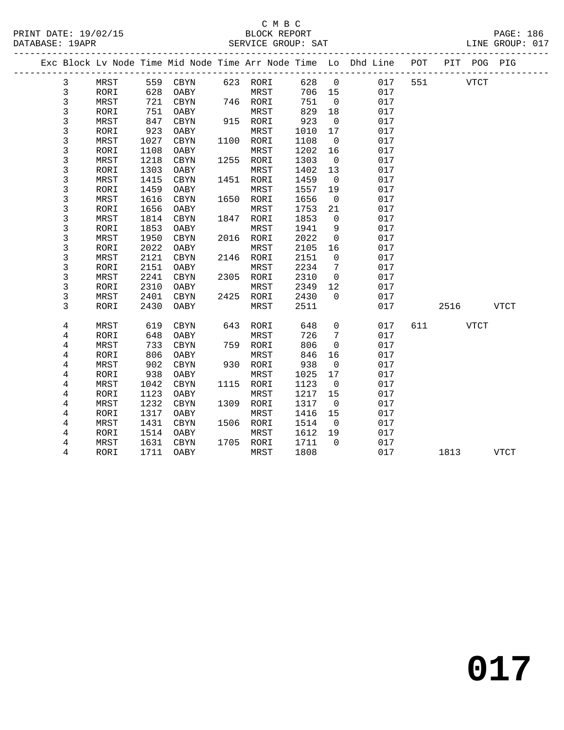### C M B C<br>BLOCK REPORT PRINT DATE: 19/02/15 BLOCK REPORT PAGE: 186 SERVICE GROUP: SAT

|             |      |      |            |      |           |      |                | Exc Block Lv Node Time Mid Node Time Arr Node Time Lo Dhd Line POT |     |          | PIT POG PIG |             |  |
|-------------|------|------|------------|------|-----------|------|----------------|--------------------------------------------------------------------|-----|----------|-------------|-------------|--|
| 3           | MRST |      | 559 CBYN   |      | 623 RORI  | 628  | $\overline{0}$ | 017                                                                | 551 |          | VTCT        |             |  |
| 3           | RORI | 628  | OABY       |      | MRST      | 706  | 15             | 017                                                                |     |          |             |             |  |
| 3           | MRST | 721  | CBYN       |      | 746 RORI  | 751  | $\overline{0}$ | 017                                                                |     |          |             |             |  |
| 3           | RORI | 751  | OABY       |      | MRST      | 829  | 18             | 017                                                                |     |          |             |             |  |
| 3           | MRST | 847  | CBYN       |      | 915 RORI  | 923  | $\overline{0}$ | 017                                                                |     |          |             |             |  |
| 3           | RORI | 923  | OABY       |      | MRST      | 1010 | 17             | 017                                                                |     |          |             |             |  |
| $\mathsf 3$ | MRST | 1027 | $\tt CBYN$ |      | 1100 RORI | 1108 | $\overline{0}$ | 017                                                                |     |          |             |             |  |
| 3           | RORI | 1108 | OABY       |      | MRST      | 1202 | 16             | 017                                                                |     |          |             |             |  |
| 3           | MRST | 1218 | CBYN       | 1255 | RORI      | 1303 | $\overline{0}$ | 017                                                                |     |          |             |             |  |
| 3           | RORI | 1303 | OABY       |      | MRST      | 1402 | 13             | 017                                                                |     |          |             |             |  |
| 3           | MRST | 1415 | CBYN       |      | 1451 RORI | 1459 | $\overline{0}$ | 017                                                                |     |          |             |             |  |
| $\mathsf 3$ | RORI | 1459 | OABY       |      | MRST      | 1557 | 19             | 017                                                                |     |          |             |             |  |
| 3           | MRST | 1616 | CBYN       | 1650 | RORI      | 1656 | $\overline{0}$ | 017                                                                |     |          |             |             |  |
| 3           | RORI | 1656 | OABY       |      | MRST      | 1753 | 21             | 017                                                                |     |          |             |             |  |
| 3           | MRST | 1814 | CBYN       | 1847 | RORI      | 1853 | $\mathbf 0$    | 017                                                                |     |          |             |             |  |
| $\mathsf 3$ | RORI | 1853 | OABY       |      | MRST      | 1941 | 9              | 017                                                                |     |          |             |             |  |
| 3           | MRST | 1950 | CBYN       |      | 2016 RORI | 2022 | $\mathbf 0$    | 017                                                                |     |          |             |             |  |
| 3           | RORI | 2022 | OABY       |      | MRST      | 2105 | 16             | 017                                                                |     |          |             |             |  |
| 3           | MRST | 2121 | CBYN       | 2146 | RORI      | 2151 | $\mathsf{O}$   | 017                                                                |     |          |             |             |  |
| 3           | RORI | 2151 | OABY       |      | MRST      | 2234 | 7              | 017                                                                |     |          |             |             |  |
| 3           | MRST | 2241 | CBYN       |      | 2305 RORI | 2310 | $\overline{0}$ | 017                                                                |     |          |             |             |  |
| 3           | RORI | 2310 | OABY       |      | MRST      | 2349 | 12             | 017                                                                |     |          |             |             |  |
| 3           | MRST | 2401 | CBYN       | 2425 | RORI      | 2430 | $\Omega$       | 017                                                                |     |          |             |             |  |
| 3           | RORI | 2430 | OABY       |      | MRST      | 2511 |                | 017                                                                |     | 2516     |             | VTCT        |  |
| 4           | MRST | 619  | CBYN       | 643  | RORI      | 648  | $\mathbf 0$    | 017                                                                |     | 611 VTCT |             |             |  |
| 4           | RORI | 648  | OABY       |      | MRST      | 726  | 7              | 017                                                                |     |          |             |             |  |
| 4           | MRST | 733  | CBYN       | 759  | RORI      | 806  | $\mathbf 0$    | 017                                                                |     |          |             |             |  |
| 4           | RORI | 806  | OABY       |      | MRST      | 846  | 16             | 017                                                                |     |          |             |             |  |
| 4           | MRST | 902  | CBYN       |      | 930 RORI  | 938  | $\overline{0}$ | 017                                                                |     |          |             |             |  |
| 4           | RORI | 938  | OABY       |      | MRST      | 1025 | 17             | 017                                                                |     |          |             |             |  |
| 4           | MRST | 1042 | CBYN       | 1115 | RORI      | 1123 | $\overline{0}$ | 017                                                                |     |          |             |             |  |
| 4           | RORI | 1123 | OABY       |      | MRST      | 1217 | 15             | 017                                                                |     |          |             |             |  |
| $\,4$       | MRST | 1232 | CBYN       |      | 1309 RORI | 1317 | $\overline{0}$ | 017                                                                |     |          |             |             |  |
| 4           | RORI | 1317 | OABY       |      | MRST      | 1416 | 15             | 017                                                                |     |          |             |             |  |
| 4           | MRST | 1431 | CBYN       |      | 1506 RORI | 1514 | $\overline{0}$ | 017                                                                |     |          |             |             |  |
| 4           | RORI | 1514 | OABY       |      | MRST      | 1612 | 19             | 017                                                                |     |          |             |             |  |
| 4           | MRST | 1631 | CBYN       |      | 1705 RORI | 1711 | $\Omega$       | 017                                                                |     |          |             |             |  |
| 4           | RORI | 1711 | OABY       |      | MRST      | 1808 |                | 017                                                                |     | 1813     |             | <b>VTCT</b> |  |

**017**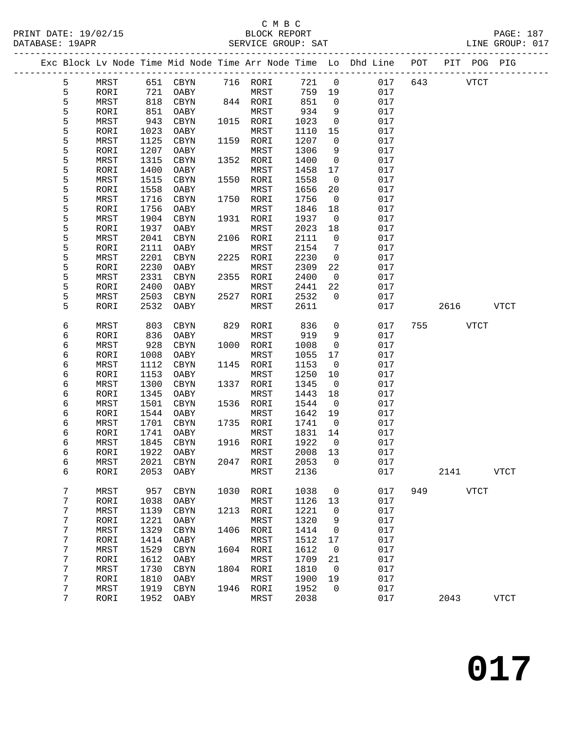## C M B C<br>BLOCK REPORT SERVICE GROUP: SAT

|  |        |      |              |              |      |              |        |                    | Exc Block Lv Node Time Mid Node Time Arr Node Time Lo Dhd Line POT |     |      | PIT POG PIG |             |
|--|--------|------|--------------|--------------|------|--------------|--------|--------------------|--------------------------------------------------------------------|-----|------|-------------|-------------|
|  | 5      |      | 651          |              |      | 716 RORI     | 721    | $\overline{0}$     | 017                                                                | 643 |      | <b>VTCT</b> |             |
|  | 5      | MRST | 721          | CBYN         |      | MRST         | 759    |                    | 017                                                                |     |      |             |             |
|  | 5      | RORI | 818          | OABY<br>CBYN |      |              | 851    | 19<br>$\mathsf{O}$ | 017                                                                |     |      |             |             |
|  | 5      | MRST |              |              |      | 844 RORI     | 934    |                    |                                                                    |     |      |             |             |
|  | 5      | RORI | 851<br>943   | OABY         | 1015 | MRST<br>RORI |        | 9                  | 017<br>017                                                         |     |      |             |             |
|  |        | MRST |              | CBYN         |      |              | 1023   | $\mathsf{O}$       |                                                                    |     |      |             |             |
|  | 5      | RORI | 1023         | OABY         |      | MRST         | 1110   | 15                 | 017                                                                |     |      |             |             |
|  | 5      | MRST | 1125         | CBYN         | 1159 | RORI         | 1207   | $\mathbf 0$        | 017                                                                |     |      |             |             |
|  | 5      | RORI | 1207         | OABY         |      | MRST         | 1306   | 9                  | 017                                                                |     |      |             |             |
|  | 5      | MRST | 1315         | CBYN         | 1352 | RORI         | 1400   | $\mathbf 0$        | 017                                                                |     |      |             |             |
|  | 5      | RORI | 1400         | OABY         |      | MRST         | 1458   | 17                 | 017                                                                |     |      |             |             |
|  | 5      | MRST | 1515         | CBYN         | 1550 | RORI         | 1558   | $\overline{0}$     | 017                                                                |     |      |             |             |
|  | 5      | RORI | 1558         | OABY         |      | MRST         | 1656   | 20                 | 017                                                                |     |      |             |             |
|  | 5      | MRST | 1716         | CBYN         | 1750 | RORI         | 1756   | $\overline{0}$     | 017                                                                |     |      |             |             |
|  | 5      | RORI | 1756         | OABY         |      | MRST         | 1846   | 18                 | 017                                                                |     |      |             |             |
|  | 5      | MRST | 1904         | CBYN         | 1931 | RORI         | 1937   | $\overline{0}$     | 017                                                                |     |      |             |             |
|  | 5      | RORI | 1937         | OABY         |      | MRST         | 2023   | 18                 | 017                                                                |     |      |             |             |
|  | 5      | MRST | 2041         | CBYN         | 2106 | RORI         | 2111   | $\mathsf{O}$       | 017                                                                |     |      |             |             |
|  | 5      | RORI | 2111         | OABY         |      | MRST         | 2154   | 7                  | 017                                                                |     |      |             |             |
|  | 5      | MRST | 2201         | CBYN         | 2225 | RORI         | 2230   | $\mathsf{O}$       | 017                                                                |     |      |             |             |
|  | 5      | RORI | 2230         | OABY         |      | MRST         | 2309   | 22                 | 017                                                                |     |      |             |             |
|  | 5      | MRST | 2331         | CBYN         | 2355 | RORI         | 2400   | $\overline{0}$     | 017                                                                |     |      |             |             |
|  | 5      | RORI | 2400         | OABY         |      | MRST         | 2441   | 22                 | 017                                                                |     |      |             |             |
|  | 5      | MRST | 2503         | CBYN         | 2527 | RORI         | 2532   | $\Omega$           | 017                                                                |     |      |             |             |
|  | 5      | RORI | 2532         | OABY         |      | MRST         | 2611   |                    | 017                                                                |     | 2616 |             | VTCT        |
|  | 6      | MRST | 803          | CBYN         | 829  | RORI         | 836    | 0                  | 017                                                                | 755 |      | <b>VTCT</b> |             |
|  | 6      | RORI | 836          | OABY         |      | MRST         | 919    | 9                  | 017                                                                |     |      |             |             |
|  | 6      | MRST | 928          | CBYN         | 1000 | RORI         | 1008   | $\mathsf{O}$       | 017                                                                |     |      |             |             |
|  | 6      | RORI | 1008         | OABY         |      | MRST         | 1055   | 17                 | 017                                                                |     |      |             |             |
|  | 6      | MRST | 1112         | CBYN         | 1145 | RORI         | 1153   | $\mathbf 0$        | 017                                                                |     |      |             |             |
|  | 6      | RORI | 1153         | OABY         |      | MRST         | 1250   | 10                 | 017                                                                |     |      |             |             |
|  | 6      | MRST | 1300         | CBYN         | 1337 | RORI         | 1345   | $\overline{0}$     | 017                                                                |     |      |             |             |
|  | 6      | RORI | 1345         | OABY         |      | MRST         | 1443   | 18                 | 017                                                                |     |      |             |             |
|  | 6      | MRST | 1501         | CBYN         | 1536 | RORI         | 1544   | $\overline{0}$     | 017                                                                |     |      |             |             |
|  | 6      | RORI | 1544         | OABY         |      | MRST         | 1642   | 19                 | 017                                                                |     |      |             |             |
|  | 6      | MRST | 1701         |              | 1735 | RORI         | 1741   | $\overline{0}$     | 017                                                                |     |      |             |             |
|  | 6      | RORI | 1741         | CBYN<br>OABY |      | MRST         | 1831   | 14                 | 017                                                                |     |      |             |             |
|  | 6      | MRST | 1845         | CBYN         |      | 1916 RORI    | 1922   | $\overline{0}$     | 017                                                                |     |      |             |             |
|  | 6      | RORI | 1922         | OABY         |      | MRST         | 2008   | 13                 | 017                                                                |     |      |             |             |
|  | 6      | MRST |              | 2021 CBYN    |      | 2047 RORI    | 2053 0 |                    | 017                                                                |     |      |             |             |
|  | 6      | RORI | 2053         | OABY         |      | MRST         | 2136   |                    | 017                                                                |     | 2141 |             | <b>VTCT</b> |
|  |        |      |              |              |      |              |        |                    |                                                                    |     |      |             |             |
|  | 7      | MRST | 957          | CBYN         | 1030 | RORI         | 1038   | 0                  | 017                                                                | 949 |      | <b>VTCT</b> |             |
|  | 7      | RORI | 1038         | OABY         |      | MRST         | 1126   | 13                 | 017                                                                |     |      |             |             |
|  | 7      | MRST | 1139         | $\rm CBYN$   | 1213 | RORI         | 1221   | 0                  | 017                                                                |     |      |             |             |
|  | 7      | RORI | 1221         | OABY         |      | MRST         | 1320   | 9                  | 017                                                                |     |      |             |             |
|  | 7      | MRST | 1329         | $\tt CBYN$   | 1406 | RORI         | 1414   | 0                  | 017                                                                |     |      |             |             |
|  | 7      | RORI | 1414         | OABY         |      | MRST         | 1512   | 17                 | 017                                                                |     |      |             |             |
|  | 7      | MRST | 1529         | CBYN         | 1604 | RORI         | 1612   | 0                  | 017                                                                |     |      |             |             |
|  | 7      | RORI | 1612         | OABY         |      | MRST         | 1709   | 21                 | 017                                                                |     |      |             |             |
|  | 7      | MRST | 1730         | $\rm CBYN$   | 1804 | RORI         | 1810   | 0                  | 017                                                                |     |      |             |             |
|  |        |      |              |              |      |              | 1900   |                    | 017                                                                |     |      |             |             |
|  | 7<br>7 | RORI | 1810<br>1919 | OABY         |      | MRST         |        | 19<br>0            | 017                                                                |     |      |             |             |
|  |        | MRST |              | $\rm CBYN$   | 1946 | RORI         | 1952   |                    |                                                                    |     |      |             |             |

7 RORI 1952 OABY MRST 2038 017 2043 VTCT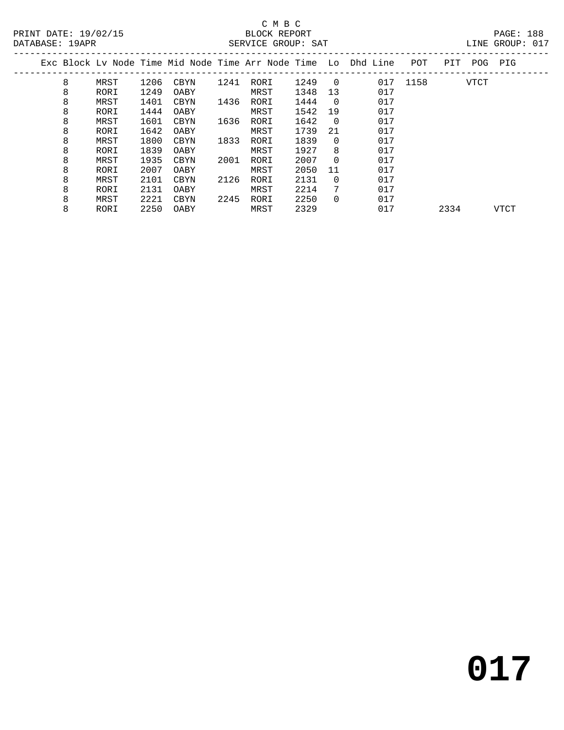## C M B C<br>BLOCK REPORT SERVICE GROUP: SAT

|  |   |      |      |      |      |      |      |                | Exc Block Lv Node Time Mid Node Time Arr Node Time Lo Dhd Line | POT  | PIT | POG         | PIG |  |
|--|---|------|------|------|------|------|------|----------------|----------------------------------------------------------------|------|-----|-------------|-----|--|
|  | 8 | MRST | 1206 | CBYN | 1241 | RORI | 1249 | $\overline{0}$ | 017                                                            | 1158 |     | <b>VTCT</b> |     |  |
|  | 8 | RORI | 1249 | OABY |      | MRST | 1348 | 13             | 017                                                            |      |     |             |     |  |
|  | 8 | MRST | 1401 | CBYN | 1436 | RORI | 1444 | $\overline{0}$ | 017                                                            |      |     |             |     |  |
|  | 8 | RORI | 1444 | OABY |      | MRST | 1542 | 19             | 017                                                            |      |     |             |     |  |
|  | 8 | MRST | 1601 | CBYN | 1636 | RORI | 1642 | - 0            | 017                                                            |      |     |             |     |  |
|  | 8 | RORI | 1642 | OABY |      | MRST | 1739 | 21             | 017                                                            |      |     |             |     |  |
|  | 8 | MRST | 1800 | CBYN | 1833 | RORI | 1839 | $\Omega$       | 017                                                            |      |     |             |     |  |
|  | 8 | RORI | 1839 | OABY |      | MRST | 1927 | 8              | 017                                                            |      |     |             |     |  |
|  | 8 | MRST | 1935 | CBYN | 2001 | RORI | 2007 | $\Omega$       | 017                                                            |      |     |             |     |  |
|  | 8 | RORI | 2007 | OABY |      | MRST | 2050 | 11             | 017                                                            |      |     |             |     |  |
|  | 8 | MRST | 2101 | CBYN | 2126 | RORI | 2131 | 0              | 017                                                            |      |     |             |     |  |
|  | 8 | RORI | 2131 | OABY |      | MRST | 2214 | 7              | 017                                                            |      |     |             |     |  |
|  | 8 | MRST | 2221 | CBYN | 2245 | RORI | 2250 | 0              | 017                                                            |      |     |             |     |  |

8 RORI 2250 OABY MRST 2329 017 2334 VTCT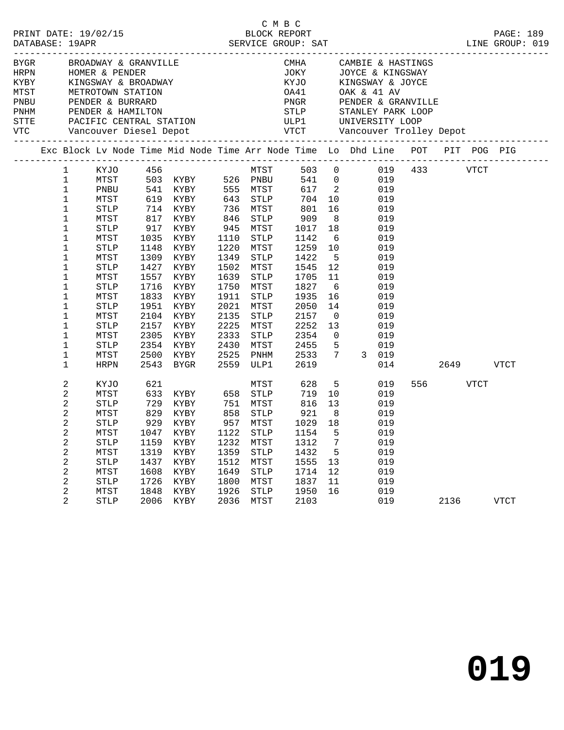|  |                            |              |                                           |                               |      |                   |              |                 | CMHA CAMBIE & HASTINGS<br>JOKY JOYCE & KINGSWAY                                                                                                                                                                                                                         |          |             |  |
|--|----------------------------|--------------|-------------------------------------------|-------------------------------|------|-------------------|--------------|-----------------|-------------------------------------------------------------------------------------------------------------------------------------------------------------------------------------------------------------------------------------------------------------------------|----------|-------------|--|
|  |                            |              |                                           |                               |      |                   |              |                 |                                                                                                                                                                                                                                                                         |          |             |  |
|  |                            |              |                                           |                               |      |                   |              |                 |                                                                                                                                                                                                                                                                         |          |             |  |
|  |                            |              |                                           |                               |      |                   |              |                 |                                                                                                                                                                                                                                                                         |          |             |  |
|  |                            |              |                                           |                               |      |                   |              |                 |                                                                                                                                                                                                                                                                         |          |             |  |
|  |                            |              |                                           |                               |      |                   |              |                 |                                                                                                                                                                                                                                                                         |          |             |  |
|  |                            |              |                                           |                               |      |                   |              |                 |                                                                                                                                                                                                                                                                         |          |             |  |
|  |                            |              |                                           |                               |      |                   |              |                 | ENGAN BROADWAY & GRANVILLE CAMBLE A HASTINGS<br>HRPN HOMER & PENDER JOKY JOYCE & KINGSWAY<br>KINGSWAY & BROADWAY KYJO KINGSWAY & JOYCE & KINGSWAY<br>KINGSWAY & BROADWAY KYJO KINGSWAY & JOYCE<br>MTST METROTOWN STATION OA41 OAK & 41                                  |          |             |  |
|  |                            |              |                                           |                               |      |                   |              |                 | Exc Block Lv Node Time Mid Node Time Arr Node Time Lo Dhd Line POT PIT POG PIG                                                                                                                                                                                          |          |             |  |
|  | $1 \quad \blacksquare$     |              |                                           |                               |      |                   |              |                 | MTST 503 0 019 433 VTCT<br>XYJO 456<br>MTST 503 KYBY 526 PNBU 541 0 019<br>PNBU 541 KYBY 555 MTST 617 2 019<br>MTST 619 KYBY 643 STLP 704 10 019<br>STLP 714 KYBY 736 MTST 801 16 019<br>MTST 817 KYBY 846 STLP 909 8 019<br>STLP 917 KYBY 945 MTST 1017 18 019<br>STLP |          |             |  |
|  | $\mathbf{1}$               |              |                                           |                               |      |                   |              |                 |                                                                                                                                                                                                                                                                         |          |             |  |
|  | $\mathbf{1}$               |              |                                           |                               |      |                   |              |                 |                                                                                                                                                                                                                                                                         |          |             |  |
|  | $\mathbf{1}$               |              |                                           |                               |      |                   |              |                 |                                                                                                                                                                                                                                                                         |          |             |  |
|  | $\mathbf 1$                |              |                                           |                               |      |                   |              |                 |                                                                                                                                                                                                                                                                         |          |             |  |
|  | $\mathbf 1$                |              |                                           |                               |      |                   |              |                 |                                                                                                                                                                                                                                                                         |          |             |  |
|  | $\mathbf 1$                |              |                                           |                               |      |                   |              |                 |                                                                                                                                                                                                                                                                         |          |             |  |
|  | $\mathbf{1}$               |              |                                           |                               |      |                   |              |                 |                                                                                                                                                                                                                                                                         |          |             |  |
|  | $\mathbf{1}$               | STLP         | 1148                                      | KYBY                          |      | 1220 MTST         | 1259         | 10              | 019                                                                                                                                                                                                                                                                     |          |             |  |
|  | $\mathbf{1}$               | MTST         |                                           | 1309 KYBY                     | 1349 | STLP              | 1422         | $5^{\circ}$     | 019                                                                                                                                                                                                                                                                     |          |             |  |
|  | $\mathbf{1}$               | <b>STLP</b>  | 1427                                      | KYBY                          |      | 1502 MTST         | 1545         | 12              | 019                                                                                                                                                                                                                                                                     |          |             |  |
|  | $\mathbf 1$                | MTST         | 1557                                      | KYBY                          | 1639 | STLP              | 1705<br>1827 | 11<br>6         | 019                                                                                                                                                                                                                                                                     |          |             |  |
|  | $\mathbf 1$<br>$\mathbf 1$ | STLP<br>MTST | 1716<br>1833                              | KYBY<br>KYBY                  | 1911 | 1750 MTST<br>STLP | 1935         | 16              | 019<br>019                                                                                                                                                                                                                                                              |          |             |  |
|  | $\mathbf{1}$               | STLP         | 1951                                      | KYBY                          | 2021 | MTST              | 2050         | 14              | 019                                                                                                                                                                                                                                                                     |          |             |  |
|  | $\mathbf 1$                | MTST         |                                           | 2104 KYBY                     | 2135 | STLP              | 2157         | $\overline{0}$  | 019                                                                                                                                                                                                                                                                     |          |             |  |
|  | $\mathbf 1$                | STLP         | 2157                                      | KYBY                          | 2225 | MTST              | 2252         | 13              | 019                                                                                                                                                                                                                                                                     |          |             |  |
|  | $\mathbf 1$                | MTST         | 2305                                      | KYBY                          | 2333 | STLP              | 2354         | $\overline{0}$  | 019                                                                                                                                                                                                                                                                     |          |             |  |
|  | $\mathbf 1$                | STLP         | 2354                                      | KYBY                          |      | 2430 MTST         | 2455         | 5               |                                                                                                                                                                                                                                                                         |          |             |  |
|  | $\mathbf 1$                | MTST         | 2500                                      | KYBY                          | 2525 | PNHM              | 2533         | $7\overline{ }$ | $\begin{array}{cc}\n & 019 \\ 3 & 019\n\end{array}$                                                                                                                                                                                                                     |          |             |  |
|  | $\mathbf{1}$               | <b>HRPN</b>  | 2543                                      | BYGR                          |      | 2559 ULP1         | 2619         |                 | 014                                                                                                                                                                                                                                                                     | 2649     | <b>VTCT</b> |  |
|  | 2                          | KYJO         | $\begin{array}{c} 621 \\ 633 \end{array}$ |                               |      | MTST              | 628          | $5^{\circ}$     | 019                                                                                                                                                                                                                                                                     | 556 VTCT |             |  |
|  | 2                          | MTST         |                                           | 021 MISI<br>633 KYBY 658 STLP |      |                   | 719          | 10              | 019                                                                                                                                                                                                                                                                     |          |             |  |
|  | 2                          | STLP         | 729                                       | KYBY                          |      | 751 MTST          | 816          | 13              | 019                                                                                                                                                                                                                                                                     |          |             |  |
|  | $\overline{c}$             | MTST         | 829                                       | KYBY                          | 858  | STLP              | 921          | 8 <sup>8</sup>  | 019                                                                                                                                                                                                                                                                     |          |             |  |
|  | 2                          | STLP         | 929                                       | KYBY                          |      | 957 MTST          | 1029         | 18              | 019                                                                                                                                                                                                                                                                     |          |             |  |
|  | 2                          | MTST         | 1047                                      | KYBY                          | 1122 | STLP              | 1154         | $5^{\circ}$     | 019                                                                                                                                                                                                                                                                     |          |             |  |
|  | $\overline{2}$             | STLP         | 1159                                      | KYBY                          |      | 1232 MTST         | 1312         | $7\overline{ }$ | 019                                                                                                                                                                                                                                                                     |          |             |  |
|  | $\overline{2}$             | MTST         | 1319                                      | KYBY                          | 1359 | STLP              | 1432         | $5^{\circ}$     | 019                                                                                                                                                                                                                                                                     |          |             |  |
|  | 2                          | STLP         | 1437                                      | KYBY                          |      | 1512 MTST         | 1555         | 13              | 019                                                                                                                                                                                                                                                                     |          |             |  |
|  | 2                          | MTST         | 1608                                      | KYBY                          | 1649 | STLP              | 1714         | 12              | 019                                                                                                                                                                                                                                                                     |          |             |  |
|  | 2                          | STLP         | 1726                                      | KYBY                          |      | 1800 MTST         | 1837         | 11              | 019                                                                                                                                                                                                                                                                     |          |             |  |
|  | $\overline{2}$             | MTST         | 1848                                      | KYBY                          | 1926 | STLP              | 1950         | 16              | 019                                                                                                                                                                                                                                                                     |          |             |  |
|  | $\overline{2}$             | STLP         |                                           | 2006 KYBY                     |      | 2036 MTST         | 2103         |                 | 019                                                                                                                                                                                                                                                                     | 2136     | VTCT        |  |

C M B C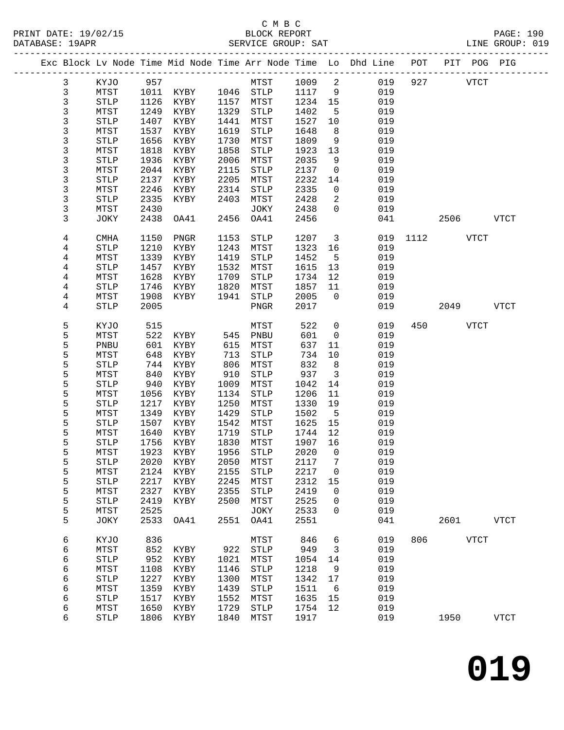## C M B C<br>BLOCK REPORT

|  | DATABASE: 19APR |              |              |                     |              | SERVICE GROUP: SAT              |              |                |                                                                                |      |        |              | LINE GROUP: 019 |  |
|--|-----------------|--------------|--------------|---------------------|--------------|---------------------------------|--------------|----------------|--------------------------------------------------------------------------------|------|--------|--------------|-----------------|--|
|  |                 |              |              |                     |              |                                 |              |                | Exc Block Lv Node Time Mid Node Time Arr Node Time Lo Dhd Line POT PIT POG PIG |      |        |              |                 |  |
|  | 3               | KYJO         | 957          |                     |              | <b>MTST</b>                     | 1009 2       |                | 019                                                                            |      | 927    | <b>VTCT</b>  |                 |  |
|  | 3               | MTST         |              | 1011 KYBY 1046 STLP |              |                                 | 1117 9       |                | 019                                                                            |      |        |              |                 |  |
|  | 3               | ${\tt STLP}$ | 1126         | KYBY                |              | 1157 MTST                       | 1234 15      |                | 019                                                                            |      |        |              |                 |  |
|  | 3               | MTST         | 1249         | KYBY                | 1329         | STLP                            | 1402         | 5              | 019                                                                            |      |        |              |                 |  |
|  | 3               | <b>STLP</b>  | 1407         | KYBY                | 1441         | MTST                            | 1527         | 10             | 019                                                                            |      |        |              |                 |  |
|  | 3               | MTST         | 1537         | KYBY                | 1619         | STLP                            | 1648         | 8              | 019                                                                            |      |        |              |                 |  |
|  | 3               | STLP         | 1656         | KYBY                | 1730         | MTST                            | 1809         | 9              | 019                                                                            |      |        |              |                 |  |
|  | 3               | MTST         | 1818         | KYBY                | 1858         | STLP                            | 1923         | 13             | 019                                                                            |      |        |              |                 |  |
|  | 3               | <b>STLP</b>  | 1936         | KYBY                | 2006         | MTST                            | 2035         | 9              | 019                                                                            |      |        |              |                 |  |
|  | 3               | MTST         | 2044         | KYBY                | 2115         | STLP                            | 2137         | $\overline{0}$ | 019                                                                            |      |        |              |                 |  |
|  | 3               | STLP         | 2137         | KYBY                | 2205         | MTST                            | 2232         | 14             | 019                                                                            |      |        |              |                 |  |
|  | 3               | MTST         | 2246         | KYBY                | 2314         | STLP                            | 2335         | $\overline{0}$ | 019                                                                            |      |        |              |                 |  |
|  | 3               | <b>STLP</b>  | 2335         | KYBY                | 2403         | MTST                            | 2428         | 2              | 019                                                                            |      |        |              |                 |  |
|  | 3               | MTST         | 2430         |                     |              | JOKY                            | 2438         | $\Omega$       | 019                                                                            |      |        |              |                 |  |
|  | 3               | JOKY         | 2438         | OA41                | 2456         | OA41                            | 2456         |                | 041                                                                            |      | 2506   |              | VTCT            |  |
|  |                 |              |              |                     |              |                                 |              |                |                                                                                |      |        |              |                 |  |
|  | 4               | <b>CMHA</b>  | 1150         | PNGR                | 1153         | STLP                            | 1207         | $\overline{3}$ | 019                                                                            | 1112 |        | VTCT         |                 |  |
|  | 4               | <b>STLP</b>  | 1210         | KYBY                | 1243         | MTST                            | 1323         | 16             | 019                                                                            |      |        |              |                 |  |
|  | 4               | MTST         | 1339         | KYBY                | 1419         | STLP                            | 1452         | $5^{\circ}$    | 019                                                                            |      |        |              |                 |  |
|  | 4               | STLP         | 1457         | KYBY                | 1532         | MTST                            | 1615         | 13             | 019                                                                            |      |        |              |                 |  |
|  | 4               | MTST         | 1628         | KYBY                | 1709         | STLP                            | 1734         | 12             | 019                                                                            |      |        |              |                 |  |
|  | 4               | <b>STLP</b>  | 1746         | KYBY                | 1820         | MTST                            | 1857         | 11             | 019                                                                            |      |        |              |                 |  |
|  | 4               | MTST         | 1908         | KYBY                | 1941         | STLP                            | 2005         | $\overline{0}$ | 019                                                                            |      |        |              |                 |  |
|  | 4               | <b>STLP</b>  | 2005         |                     |              | PNGR                            | 2017         |                | 019                                                                            |      | 2049   |              | VTCT            |  |
|  | 5               | KYJO         | 515          |                     |              | MTST                            | 522          | $\mathsf{O}$   | 019                                                                            |      | 450 30 | <b>VTCT</b>  |                 |  |
|  | 5               | MTST         | 522          | KYBY                |              | 545 PNBU                        | 601          | $\overline{0}$ | 019                                                                            |      |        |              |                 |  |
|  | 5               | PNBU         | 601          | KYBY                | 615          | MTST                            | 637          | 11             | 019                                                                            |      |        |              |                 |  |
|  | 5               | MTST         | 648          | KYBY                | 713          | STLP                            | 734          | 10             | 019                                                                            |      |        |              |                 |  |
|  | 5               | <b>STLP</b>  | 744          | KYBY                | 806          | MTST                            | 832          | 8 <sup>8</sup> | 019                                                                            |      |        |              |                 |  |
|  | 5               | MTST         | 840          | KYBY                | 910          | STLP                            | 937          | $\overline{3}$ | 019                                                                            |      |        |              |                 |  |
|  | 5               | STLP         | 940          | KYBY                | 1009         | MTST                            | 1042         | 14             | 019                                                                            |      |        |              |                 |  |
|  | 5               | MTST         | 1056         | KYBY                | 1134         | STLP                            | 1206         | 11             | 019                                                                            |      |        |              |                 |  |
|  | 5               | <b>STLP</b>  | 1217         |                     | 1250         |                                 |              | 19             | 019                                                                            |      |        |              |                 |  |
|  | 5               | MTST         | 1349         | KYBY<br>KYBY        | 1429         | MTST<br>STLP                    | 1330<br>1502 | $-5$           | 019                                                                            |      |        |              |                 |  |
|  | 5               |              | 1507         |                     |              |                                 |              |                | 019                                                                            |      |        |              |                 |  |
|  | 5               | STLP<br>MTST | 1640         | KYBY                | 1542<br>1719 | MTST<br>STLP                    | 1625<br>1744 | 15<br>12       | 019                                                                            |      |        |              |                 |  |
|  | 5               | <b>STLP</b>  |              | KYBY<br>1756 KYBY   |              | 1830 MTST                       | 1907 16      |                | 019                                                                            |      |        |              |                 |  |
|  | 5               |              |              |                     |              | MTST 1923 KYBY 1956 STLP 2020 0 |              |                | 019                                                                            |      |        |              |                 |  |
|  |                 |              |              |                     |              |                                 |              |                |                                                                                |      |        |              |                 |  |
|  | 5               | STLP         | 2020<br>2124 | KYBY                | 2050         | MTST                            | 2117<br>2217 | 7              | 019<br>019                                                                     |      |        |              |                 |  |
|  | 5               | MTST         |              | KYBY                | 2155         | <b>STLP</b>                     |              | 0              |                                                                                |      |        |              |                 |  |
|  | 5               | STLP         | 2217         | KYBY                | 2245         | MTST                            | 2312         | 15             | 019                                                                            |      |        |              |                 |  |
|  | 5               | MTST         | 2327         | KYBY                | 2355         | <b>STLP</b>                     | 2419         | 0              | 019<br>019                                                                     |      |        |              |                 |  |
|  | 5               | STLP         | 2419         | KYBY                | 2500         | MTST                            | 2525         | 0              |                                                                                |      |        |              |                 |  |
|  | 5<br>5          | MTST<br>JOKY | 2525<br>2533 | OA41                | 2551         | JOKY<br>OA41                    | 2533<br>2551 | 0              | 019<br>041                                                                     |      | 2601   |              | <b>VTCT</b>     |  |
|  |                 |              |              |                     |              |                                 |              |                |                                                                                |      |        |              |                 |  |
|  | 6               | KYJO         | 836          |                     |              | MTST                            | 846          | 6              | 019                                                                            | 806  |        | ${\tt VTCT}$ |                 |  |
|  | 6               | MTST         | 852          | KYBY                | 922          | <b>STLP</b>                     | 949          | 3              | 019                                                                            |      |        |              |                 |  |
|  | 6               | STLP         | 952          | KYBY                | 1021         | MTST                            | 1054         | 14             | 019                                                                            |      |        |              |                 |  |
|  | 6               | MTST         | 1108         | KYBY                | 1146         | <b>STLP</b>                     | 1218         | 9              | 019                                                                            |      |        |              |                 |  |
|  | 6               | STLP         | 1227         | KYBY                | 1300         | MTST                            | 1342         | 17             | 019                                                                            |      |        |              |                 |  |
|  | 6               | MTST         | 1359         | KYBY                | 1439         | <b>STLP</b>                     | 1511         | 6              | 019                                                                            |      |        |              |                 |  |
|  | 6               | <b>STLP</b>  | 1517         | KYBY                | 1552         | MTST                            | 1635         | 15             | 019                                                                            |      |        |              |                 |  |
|  | 6               | MTST         | 1650         | KYBY                | 1729         | <b>STLP</b>                     | 1754         | 12             | 019                                                                            |      |        |              |                 |  |
|  | 6               | <b>STLP</b>  | 1806         | KYBY                | 1840         | MTST                            | 1917         |                | 019                                                                            |      | 1950   |              | <b>VTCT</b>     |  |
|  |                 |              |              |                     |              |                                 |              |                |                                                                                |      |        |              |                 |  |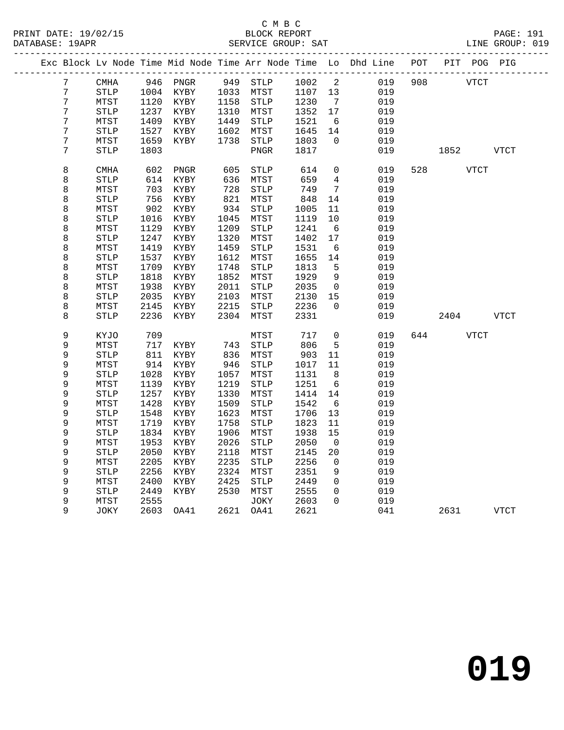### C M B C<br>BLOCK REPORT SERVICE GROUP: SAT

|                 |                       |      |                     |      |                       |         |                 | Exc Block Lv Node Time Mid Node Time Arr Node Time Lo Dhd Line POT PIT POG PIG |                             |             |      |
|-----------------|-----------------------|------|---------------------|------|-----------------------|---------|-----------------|--------------------------------------------------------------------------------|-----------------------------|-------------|------|
| $7\overline{ }$ | CMHA                  |      | 946 PNGR 949 STLP   |      |                       |         |                 | 1002 2<br>019                                                                  | 908 VTCT                    |             |      |
| $7\overline{ }$ | <b>STLP</b>           |      | 1004 KYBY 1033 MTST |      |                       | 1107 13 |                 | 019                                                                            |                             |             |      |
| 7               | MTST                  | 1120 | KYBY                | 1158 | STLP                  | 1230    | $\overline{7}$  | 019                                                                            |                             |             |      |
| 7               | <b>STLP</b>           | 1237 | KYBY                | 1310 | MTST                  | 1352    | 17              | 019                                                                            |                             |             |      |
| 7               | MTST                  | 1409 | KYBY                | 1449 | STLP                  | 1521    | 6               | 019                                                                            |                             |             |      |
| 7               | <b>STLP</b>           | 1527 | KYBY                | 1602 | MTST                  | 1645    | 14              | 019                                                                            |                             |             |      |
| 7               | MTST                  | 1659 | KYBY                | 1738 | STLP                  | 1803    | $\overline{0}$  | 019                                                                            |                             |             |      |
| 7               | <b>STLP</b>           | 1803 |                     |      | PNGR                  | 1817    |                 | 019                                                                            | 1852 VTCT                   |             |      |
|                 |                       |      |                     |      |                       |         |                 |                                                                                |                             |             |      |
| 8               | <b>CMHA</b>           | 602  | PNGR                | 605  | <b>STLP</b>           | 614     | $\overline{0}$  | 019                                                                            | 528 and the state of $\sim$ | <b>VTCT</b> |      |
| 8               | <b>STLP</b>           | 614  | KYBY                | 636  | MTST                  | 659     | $4\overline{4}$ | 019                                                                            |                             |             |      |
| 8               | MTST                  | 703  | KYBY                | 728  | STLP                  | 749     | 7               | 019                                                                            |                             |             |      |
| 8               | $\operatorname{STLP}$ | 756  | KYBY                | 821  | MTST                  | 848     | 14              | 019                                                                            |                             |             |      |
| 8               | MTST                  | 902  | KYBY                | 934  | ${\tt STLP}$          | 1005    | 11              | 019                                                                            |                             |             |      |
| 8               | <b>STLP</b>           | 1016 | KYBY                | 1045 | MTST                  | 1119    | 10              | 019                                                                            |                             |             |      |
| 8               | MTST                  | 1129 | KYBY                | 1209 | STLP                  | 1241    | - 6             | 019                                                                            |                             |             |      |
| 8               | STLP                  | 1247 | KYBY                | 1320 | MTST                  | 1402    | 17              | 019                                                                            |                             |             |      |
| 8               | MTST                  | 1419 | KYBY                | 1459 | ${\tt STLP}$          | 1531    | 6               | 019                                                                            |                             |             |      |
| 8               | <b>STLP</b>           | 1537 | KYBY                | 1612 | MTST                  | 1655    | 14              | 019                                                                            |                             |             |      |
| 8               | MTST                  | 1709 | KYBY                | 1748 | STLP                  | 1813    | 5               | 019                                                                            |                             |             |      |
| 8               | STLP                  | 1818 | KYBY                | 1852 | MTST                  | 1929    | $\overline{9}$  | 019                                                                            |                             |             |      |
| 8               | MTST                  | 1938 | KYBY                | 2011 | STLP                  | 2035    | $\overline{0}$  | 019                                                                            |                             |             |      |
| 8               | <b>STLP</b>           | 2035 | KYBY                | 2103 | MTST                  | 2130    | 15              | 019                                                                            |                             |             |      |
| 8               | MTST                  | 2145 | KYBY                | 2215 | STLP                  | 2236    | $\Omega$        | 019                                                                            |                             |             |      |
| 8               | <b>STLP</b>           | 2236 | KYBY                | 2304 | MTST                  | 2331    |                 | 019                                                                            | 2404                        |             | VTCT |
| 9               | KYJO                  | 709  |                     |      | MTST                  | 717     | $\overline{0}$  | 019                                                                            | 644 VTCT                    |             |      |
| 9               | MTST                  | 717  | KYBY                | 743  | STLP                  | 806     | 5               | 019                                                                            |                             |             |      |
| 9               | STLP                  | 811  | KYBY                | 836  | MTST                  | 903     | 11              | 019                                                                            |                             |             |      |
| 9               | MTST                  | 914  | KYBY                | 946  | STLP                  | 1017    | 11              | 019                                                                            |                             |             |      |
| 9               | <b>STLP</b>           | 1028 | KYBY                | 1057 | MTST                  | 1131    | 8 <sup>8</sup>  | 019                                                                            |                             |             |      |
| 9               | MTST                  | 1139 | KYBY                | 1219 | STLP                  | 1251    | 6               | 019                                                                            |                             |             |      |
| 9               | STLP                  | 1257 | KYBY                | 1330 | MTST                  | 1414    | 14              | 019                                                                            |                             |             |      |
| 9               | MTST                  | 1428 | KYBY                | 1509 | $\operatorname{STLP}$ | 1542    | 6               | 019                                                                            |                             |             |      |
| 9               | <b>STLP</b>           | 1548 | KYBY                | 1623 | MTST                  | 1706    | 13              | 019                                                                            |                             |             |      |
| 9               | MTST                  | 1719 | KYBY                | 1758 | <b>STLP</b>           | 1823    | 11              | 019                                                                            |                             |             |      |
| 9               | STLP                  | 1834 | KYBY                | 1906 | MTST                  | 1938    | 15              | 019                                                                            |                             |             |      |
| 9               | MTST                  | 1953 | KYBY                | 2026 | $\operatorname{STLP}$ | 2050    | $\overline{0}$  | 019                                                                            |                             |             |      |
| 9               | <b>STLP</b>           | 2050 | KYBY                | 2118 | MTST                  | 2145    | 20              | 019                                                                            |                             |             |      |
| 9               | MTST                  | 2205 | KYBY                | 2235 | ${\tt STLP}$          | 2256    | $\overline{0}$  | 019                                                                            |                             |             |      |
| 9               | $\operatorname{STLP}$ | 2256 | KYBY                | 2324 | MTST                  | 2351    | 9               | 019                                                                            |                             |             |      |
| 9               | MTST                  | 2400 | KYBY                | 2425 | ${\tt STLP}$          | 2449    | $\Omega$        | 019                                                                            |                             |             |      |
| 9               | <b>STLP</b>           | 2449 | KYBY                | 2530 | MTST                  | 2555    | $\Omega$        | 019                                                                            |                             |             |      |

9 MTST 2555 JOKY 2603 0 019

9 JOKY 2603 OA41 2621 OA41 2621 041 2631 VTCT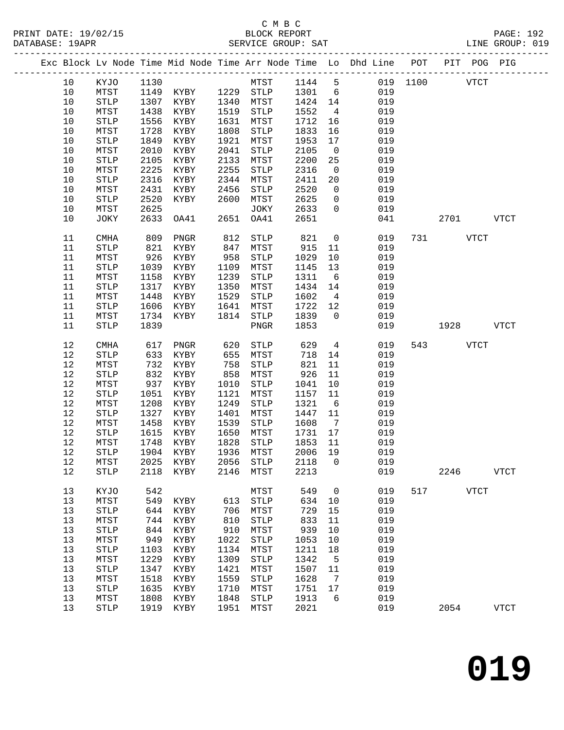|          |                               |            |                   |              |                       |              |                              | Exc Block Lv Node Time Mid Node Time Arr Node Time Lo Dhd Line POT |          |      | PIT POG PIG |             |
|----------|-------------------------------|------------|-------------------|--------------|-----------------------|--------------|------------------------------|--------------------------------------------------------------------|----------|------|-------------|-------------|
| 10       | KYJO                          | 1130       |                   |              | MTST                  | 1144 5       |                              |                                                                    | 019 1100 |      | <b>VTCT</b> |             |
| 10       | MTST                          | 1149       | KYBY              | 1229         | STLP                  | 1301         | 6                            | 019                                                                |          |      |             |             |
| 10       | <b>STLP</b>                   | 1307       | KYBY              | 1340         | MTST                  | 1424         | 14                           | 019                                                                |          |      |             |             |
| $10$     | MTST                          | 1438       | KYBY              | 1519         | STLP                  | 1552         | $\overline{4}$               | 019                                                                |          |      |             |             |
| $10$     | <b>STLP</b>                   | 1556       | KYBY              | 1631         | MTST                  | 1712         | 16                           | 019                                                                |          |      |             |             |
| 10       | MTST                          | 1728       | KYBY              | 1808         | STLP                  | 1833         | 16                           | 019                                                                |          |      |             |             |
| $10$     | <b>STLP</b>                   | 1849       | KYBY              | 1921         | MTST                  | 1953         | 17                           | 019                                                                |          |      |             |             |
| $10$     | MTST                          | 2010       | KYBY              | 2041         | STLP                  | 2105         | $\overline{0}$               | 019                                                                |          |      |             |             |
| $10$     | $\operatorname{STLP}$         | 2105       | KYBY              | 2133         | MTST                  | 2200         | 25                           | 019                                                                |          |      |             |             |
| 10       | MTST                          | 2225       | KYBY              | 2255         | STLP                  | 2316         | $\mathbf 0$                  | 019                                                                |          |      |             |             |
| 10       | <b>STLP</b>                   | 2316       | KYBY              | 2344         | MTST                  | 2411         | 20                           | 019                                                                |          |      |             |             |
| $10$     | MTST                          | 2431       | KYBY              | 2456         | STLP                  | 2520         | $\overline{0}$               | 019                                                                |          |      |             |             |
| $10$     | <b>STLP</b>                   | 2520       | KYBY              | 2600         | MTST                  | 2625         | $\mathsf{O}$                 | 019                                                                |          |      |             |             |
| 10       | MTST                          | 2625       |                   |              | JOKY                  | 2633         | $\Omega$                     | 019                                                                |          |      |             |             |
| 10       | JOKY                          | 2633       | OA41              | 2651         | OA41                  | 2651         |                              | 041                                                                |          | 2701 |             | <b>VTCT</b> |
| 11       | <b>CMHA</b>                   | 809        | PNGR              | 812          | STLP                  | 821          | $\mathsf{O}$                 | 019                                                                | 731      |      | <b>VTCT</b> |             |
| 11       | <b>STLP</b>                   | 821        | KYBY              | 847          | MTST                  | 915          | 11                           | 019                                                                |          |      |             |             |
| 11       | MTST                          | 926        | KYBY              | 958          | STLP                  | 1029         | 10                           | 019                                                                |          |      |             |             |
| 11       | <b>STLP</b>                   | 1039       | KYBY              | 1109         | MTST                  | 1145         | 13                           | 019                                                                |          |      |             |             |
| 11       | MTST                          | 1158       | KYBY              | 1239         | STLP                  | 1311         | 6                            | 019                                                                |          |      |             |             |
| 11       | <b>STLP</b>                   | 1317       | KYBY              | 1350         | MTST                  | 1434         | 14                           | 019                                                                |          |      |             |             |
| 11       | MTST                          | 1448       | KYBY              | 1529         | STLP                  | 1602         | $\overline{4}$               | 019                                                                |          |      |             |             |
| 11       | <b>STLP</b>                   | 1606       | KYBY              | 1641         | MTST                  | 1722         | 12                           | 019                                                                |          |      |             |             |
| 11       | MTST                          | 1734       | KYBY              | 1814         | STLP                  | 1839         | $\Omega$                     | 019                                                                |          |      |             |             |
| 11       | <b>STLP</b>                   | 1839       |                   |              | ${\tt PNGR}$          | 1853         |                              | 019                                                                |          | 1928 |             | <b>VTCT</b> |
| 12       | <b>CMHA</b>                   | 617        | PNGR              | 620          | STLP                  | 629          | $\overline{4}$               | 019                                                                | 543      |      | <b>VTCT</b> |             |
| 12       | <b>STLP</b>                   | 633        | KYBY              | 655          | MTST                  | 718          | 14                           | 019                                                                |          |      |             |             |
| 12       | MTST                          | 732        | KYBY              | 758          | STLP                  | 821          | 11                           | 019                                                                |          |      |             |             |
| 12       | <b>STLP</b>                   | 832        | KYBY              | 858          | MTST                  | 926          | 11                           | 019                                                                |          |      |             |             |
| 12       | MTST                          | 937        | KYBY              | 1010         | STLP                  | 1041         | 10                           | 019                                                                |          |      |             |             |
| 12       | <b>STLP</b>                   | 1051       | KYBY              | 1121         | MTST                  | 1157         | 11                           | 019                                                                |          |      |             |             |
| 12       | MTST                          | 1208       | KYBY              | 1249         | STLP                  | 1321         | 6                            | 019                                                                |          |      |             |             |
| 12       | $\operatorname{STLP}$         | 1327       | KYBY              | 1401         | MTST                  | 1447         | 11                           | 019                                                                |          |      |             |             |
| 12       | MTST                          | 1458       | KYBY              | 1539         | <b>STLP</b>           | 1608         | $7\phantom{.0}\phantom{.0}7$ | 019                                                                |          |      |             |             |
| 12       | <b>STLP</b>                   | 1615       | KYBY              | 1650         | MTST                  | 1731         | 17                           | 019                                                                |          |      |             |             |
| 12<br>12 | MTST<br>$\operatorname{STLP}$ | 1748       | KYBY<br>1904 KYBY | 1828<br>1936 | STLP<br>MTST          | 1853<br>2006 | 11<br>19                     | 019<br>019                                                         |          |      |             |             |
| 12       |                               | 2025       |                   | 2056         |                       | 2118         | $\overline{0}$               | 019                                                                |          |      |             |             |
| $1\,2$   | MTST<br><b>STLP</b>           | 2118       | KYBY<br>KYBY      | 2146         | STLP<br>MTST          | 2213         |                              | 019                                                                |          | 2246 |             | <b>VTCT</b> |
|          |                               |            |                   |              |                       |              |                              |                                                                    |          |      |             |             |
| 13<br>13 | KYJO                          | 542        |                   |              | MTST                  | 549          | 0                            | 019<br>019                                                         | 517      |      | <b>VTCT</b> |             |
| 13       | MTST<br><b>STLP</b>           | 549<br>644 | KYBY<br>KYBY      | 613<br>706   | <b>STLP</b><br>MTST   | 634<br>729   | 10<br>15                     | 019                                                                |          |      |             |             |
| 13       | MTST                          | 744        | KYBY              | 810          | $\operatorname{STLP}$ | 833          | 11                           | 019                                                                |          |      |             |             |
| 13       | STLP                          | 844        | KYBY              | 910          | MTST                  | 939          | 10                           | 019                                                                |          |      |             |             |
| 13       | MTST                          | 949        | KYBY              | 1022         | STLP                  | 1053         | 10                           | 019                                                                |          |      |             |             |
| 13       | <b>STLP</b>                   | 1103       | KYBY              | 1134         | MTST                  | 1211         | 18                           | 019                                                                |          |      |             |             |
| 13       | MTST                          | 1229       | KYBY              | 1309         | <b>STLP</b>           | 1342         | 5                            | 019                                                                |          |      |             |             |
| 13       | <b>STLP</b>                   | 1347       | KYBY              | 1421         | MTST                  | 1507         | 11                           | 019                                                                |          |      |             |             |
| 13       | MTST                          | 1518       | KYBY              | 1559         | STLP                  | 1628         | 7                            | 019                                                                |          |      |             |             |
| 13       | <b>STLP</b>                   | 1635       | KYBY              | 1710         | MTST                  | 1751         | 17                           | 019                                                                |          |      |             |             |
| 13       | MTST                          | 1808       | KYBY              | 1848         | STLP                  | 1913         | 6                            | 019                                                                |          |      |             |             |
| 13       | STLP                          | 1919       | KYBY              | 1951         | MTST                  | 2021         |                              | 019                                                                |          | 2054 |             | <b>VTCT</b> |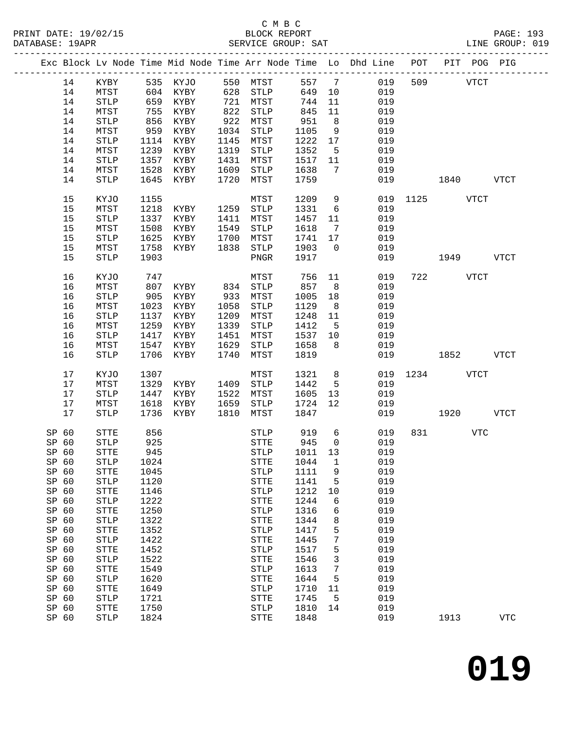## C M B C

| DATABASE: 19APR |       |                       |      |                              |      | SERVICE GROUP: SAT   |            |                 | LINE GROUP: 019                                                                |               |           |            |            |  |
|-----------------|-------|-----------------------|------|------------------------------|------|----------------------|------------|-----------------|--------------------------------------------------------------------------------|---------------|-----------|------------|------------|--|
|                 |       |                       |      |                              |      |                      |            |                 | Exc Block Lv Node Time Mid Node Time Arr Node Time Lo Dhd Line POT PIT POG PIG |               |           |            |            |  |
|                 | 14    |                       |      | KYBY 535 KYJO 550 MTST 557 7 |      |                      |            |                 | 019                                                                            |               | 509 VTCT  |            |            |  |
|                 | 14    | MTST                  |      | 604 KYBY 628 STLP            |      |                      | 649 10     |                 | 019                                                                            |               |           |            |            |  |
|                 | 14    | ${\tt STLP}$          |      | 659 KYBY                     |      | 721 MTST             | 744        | 11              | 019                                                                            |               |           |            |            |  |
|                 | 14    | MTST                  |      |                              |      |                      | 845<br>951 | 11              | 019                                                                            |               |           |            |            |  |
|                 | 14    | ${\tt STLP}$          |      | 755 KYBY<br>856 KYBY         |      | 822 STLP<br>922 MTST |            | 8 <sup>8</sup>  | 019                                                                            |               |           |            |            |  |
|                 | 14    | MTST                  | 959  | KYBY                         |      | 1034 STLP            | 1105       | 9               | 019                                                                            |               |           |            |            |  |
|                 | 14    | STLP                  |      | 1114 KYBY                    |      | 1145 MTST            | 1222       | 17              | 019                                                                            |               |           |            |            |  |
|                 | 14    | MTST                  | 1239 | KYBY                         |      | 1319 STLP            | 1352       | $5^{\circ}$     | 019                                                                            |               |           |            |            |  |
|                 | 14    | STLP                  | 1357 | KYBY                         |      | 1431 MTST            | 1517 11    |                 | 019                                                                            |               |           |            |            |  |
|                 | 14    | MTST                  | 1528 | KYBY                         | 1609 | STLP                 | 1638       | $\overline{7}$  | 019                                                                            |               |           |            |            |  |
|                 | 14    | STLP                  | 1645 | KYBY                         | 1720 | MTST                 | 1759       |                 |                                                                                | 019 1840 VTCT |           |            |            |  |
|                 | 15    | KYJO                  | 1155 |                              |      | MTST                 | 1209       | 9               |                                                                                | 019 1125 VTCT |           |            |            |  |
|                 | 15    | MTST                  | 1218 | KYBY                         | 1259 | STLP                 | 1331       | $6\overline{6}$ | 019                                                                            |               |           |            |            |  |
|                 | 15    | $\operatorname{STLP}$ | 1337 | KYBY                         |      | 1411 MTST            | 1457       | 11              | 019                                                                            |               |           |            |            |  |
|                 | 15    | MTST                  | 1508 | KYBY                         |      | 1549 STLP            | 1618       | $\overline{7}$  | 019                                                                            |               |           |            |            |  |
|                 | 15    | STLP                  | 1625 | KYBY                         |      | 1700 MTST            | 1741 17    |                 | 019                                                                            |               |           |            |            |  |
|                 | 15    | MTST                  | 1758 | KYBY                         | 1838 | STLP                 | 1903       | $\overline{0}$  | 019                                                                            |               |           |            |            |  |
|                 | 15    | STLP                  | 1903 |                              |      | PNGR                 | 1917       |                 | 019                                                                            | 1949 VTCT     |           |            |            |  |
|                 | 16    | KYJO                  | 747  |                              |      | MTST                 | 756        | 11              | 019                                                                            |               | 722 VTCT  |            |            |  |
|                 | 16    | MTST                  | 807  | KYBY 834 STLP                |      |                      | 857        | 8 <sup>8</sup>  | 019                                                                            |               |           |            |            |  |
|                 | 16    | <b>STLP</b>           | 905  | KYBY                         |      | 933 MTST             | 1005       | 18              | 019                                                                            |               |           |            |            |  |
|                 | 16    | MTST                  | 1023 | KYBY                         |      | 1058 STLP            | 1129       | 8 <sup>8</sup>  | 019                                                                            |               |           |            |            |  |
|                 | 16    | STLP                  | 1137 | KYBY                         | 1209 | MTST                 | 1248       | 11              | 019                                                                            |               |           |            |            |  |
|                 | 16    | MTST                  | 1259 | KYBY                         | 1339 | STLP                 | 1412       | $5^{\circ}$     | 019                                                                            |               |           |            |            |  |
|                 | 16    | STLP                  | 1417 | KYBY                         | 1451 | MTST                 | 1537       | 10              | 019                                                                            |               |           |            |            |  |
|                 | 16    | MTST                  | 1547 | KYBY                         | 1629 | STLP                 | 1658       | 8 <sup>8</sup>  | 019                                                                            |               |           |            |            |  |
|                 | 16    | <b>STLP</b>           | 1706 | KYBY                         | 1740 | MTST                 | 1819       |                 |                                                                                | 019 1852 VTCT |           |            |            |  |
|                 | 17    | KYJO                  | 1307 |                              |      | MTST                 | 1321       | 8 <sup>8</sup>  |                                                                                | 019 1234 VTCT |           |            |            |  |
|                 | 17    | MTST                  | 1329 | KYBY                         |      | 1409 STLP            | 1442       | $5^{\circ}$     | 019                                                                            |               |           |            |            |  |
|                 | 17    | STLP                  | 1447 | KYBY                         |      | 1522 MTST            | 1605       | 13              | 019                                                                            |               |           |            |            |  |
|                 | 17    | MTST                  |      | 1618 KYBY                    |      | 1659 STLP            | 1724       | 12              | 019                                                                            |               |           |            |            |  |
|                 | 17    | <b>STLP</b>           |      | 1736 KYBY                    | 1810 | MTST                 | 1847       |                 |                                                                                | 019 1920 VTCT |           |            |            |  |
| SP 60           |       | STTE                  | 856  |                              |      | STLP                 |            | 6               | 019                                                                            |               | 831 — 100 | <b>VTC</b> |            |  |
| SP 60           |       | <b>STLP</b>           | 925  |                              |      | STTE                 | 919<br>945 | $\overline{0}$  | 019                                                                            |               |           |            |            |  |
|                 | SP 60 | STTE                  |      | 945                          |      |                      |            |                 | STLP 1011 13 019                                                               |               |           |            |            |  |
| SP 60           |       | <b>STLP</b>           | 1024 |                              |      | STTE                 | 1044       | 1               | 019                                                                            |               |           |            |            |  |
| SP 60           |       | <b>STTE</b>           | 1045 |                              |      | STLP                 | 1111       | 9               | 019                                                                            |               |           |            |            |  |
| SP 60           |       | <b>STLP</b>           | 1120 |                              |      | STTE                 | 1141       | 5               | 019                                                                            |               |           |            |            |  |
| SP 60           |       | ${\tt STTE}$          | 1146 |                              |      | STLP                 | 1212       | 10              | 019                                                                            |               |           |            |            |  |
| SP 60           |       | <b>STLP</b>           | 1222 |                              |      | STTE                 | 1244       | 6               | 019                                                                            |               |           |            |            |  |
| SP 60           |       | ${\tt STTE}$          | 1250 |                              |      | ${\tt STLP}$         | 1316       | 6               | 019                                                                            |               |           |            |            |  |
| SP 60           |       | <b>STLP</b>           | 1322 |                              |      | STTE                 | 1344       | 8               | 019                                                                            |               |           |            |            |  |
| SP 60           |       | ${\tt STTE}$          | 1352 |                              |      | ${\tt STLP}$         | 1417       | 5               | 019                                                                            |               |           |            |            |  |
| SP 60           |       | <b>STLP</b>           | 1422 |                              |      | STTE                 | 1445       | 7               | 019                                                                            |               |           |            |            |  |
| SP 60           |       | STTE                  | 1452 |                              |      | STLP                 | 1517       | 5               | 019                                                                            |               |           |            |            |  |
| SP 60           |       | STLP                  | 1522 |                              |      | STTE                 | 1546       | 3               | 019                                                                            |               |           |            |            |  |
| SP 60           |       | ${\tt STTE}$          | 1549 |                              |      | STLP                 | 1613       | 7               | 019                                                                            |               |           |            |            |  |
| SP 60           |       | <b>STLP</b>           | 1620 |                              |      | <b>STTE</b>          | 1644       | 5               | 019                                                                            |               |           |            |            |  |
| SP 60           |       | STTE                  | 1649 |                              |      | STLP                 | 1710       | 11              | 019                                                                            |               |           |            |            |  |
| SP 60           |       | STLP                  | 1721 |                              |      | STTE                 | 1745       | 5               | 019                                                                            |               |           |            |            |  |
| SP 60           |       | STTE                  | 1750 |                              |      | STLP                 | 1810       | 14              | 019                                                                            |               |           |            |            |  |
| SP 60           |       | <b>STLP</b>           | 1824 |                              |      | <b>STTE</b>          | 1848       |                 | 019                                                                            |               | 1913      |            | <b>VTC</b> |  |
|                 |       |                       |      |                              |      |                      |            |                 |                                                                                |               |           |            |            |  |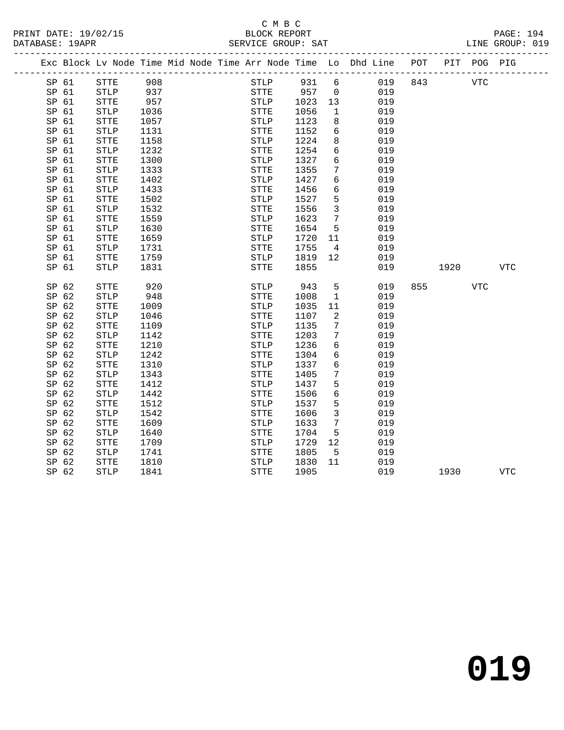### C M B C<br>BLOCK REPORT SERVICE GROUP: SAT

| PAIAPACH · ISAIN |                    |     |  |       | DERVICE OROOL PAI |                                                                                |  |      | ALINO OIROOL : 017 |  |
|------------------|--------------------|-----|--|-------|-------------------|--------------------------------------------------------------------------------|--|------|--------------------|--|
|                  |                    |     |  |       |                   | Exc Block Ly Node Time Mid Node Time Arr Node Time Lo Dhd Line POT PIT POG PIG |  |      |                    |  |
| SP 61            | $STT$ $\mathbb{F}$ | 908 |  | STI.P | 931 6             | 019 843                                                                        |  | VTC. |                    |  |
| SP <sub>61</sub> | STI.P              | 937 |  | STTF. | 957 O             |                                                                                |  |      |                    |  |

| SP 61 | <b>STTE</b>  | 908  | <b>STLP</b>           | 931  | 6                | 019 | 843 |      | <b>VTC</b>   |              |
|-------|--------------|------|-----------------------|------|------------------|-----|-----|------|--------------|--------------|
| SP 61 | STLP         | 937  | ${\tt STTE}$          | 957  | $\mathbf 0$      | 019 |     |      |              |              |
| SP 61 | <b>STTE</b>  | 957  | $\operatorname{STLP}$ | 1023 | $13$             | 019 |     |      |              |              |
| SP 61 | STLP         | 1036 | ${\tt STTE}$          | 1056 | 1                | 019 |     |      |              |              |
| SP 61 | <b>STTE</b>  | 1057 | <b>STLP</b>           | 1123 | 8                | 019 |     |      |              |              |
| SP 61 | STLP         | 1131 | ${\tt STTE}$          | 1152 | $\epsilon$       | 019 |     |      |              |              |
| SP 61 | STTE         | 1158 | STLP                  | 1224 | 8                | 019 |     |      |              |              |
| SP 61 | STLP         | 1232 | STTE                  | 1254 | 6                | 019 |     |      |              |              |
| SP 61 | <b>STTE</b>  | 1300 | ${\tt STLP}$          | 1327 | 6                | 019 |     |      |              |              |
| SP 61 | STLP         | 1333 | ${\tt STTE}$          | 1355 | 7                | 019 |     |      |              |              |
| SP 61 | ${\tt STTE}$ | 1402 | ${\tt STLP}$          | 1427 | 6                | 019 |     |      |              |              |
| SP 61 | <b>STLP</b>  | 1433 | ${\tt STTE}$          | 1456 | 6                | 019 |     |      |              |              |
| SP 61 | <b>STTE</b>  | 1502 | ${\tt STLP}$          | 1527 | 5                | 019 |     |      |              |              |
| SP 61 | STLP         | 1532 | ${\tt STTE}$          | 1556 | $\mathsf{3}$     | 019 |     |      |              |              |
| SP 61 | <b>STTE</b>  | 1559 | $\operatorname{STLP}$ | 1623 | 7                | 019 |     |      |              |              |
| SP 61 | <b>STLP</b>  | 1630 | ${\tt STTE}$          | 1654 | 5                | 019 |     |      |              |              |
| SP 61 | <b>STTE</b>  | 1659 | $\operatorname{STLP}$ | 1720 | 11               | 019 |     |      |              |              |
| SP 61 | <b>STLP</b>  | 1731 | STTE                  | 1755 | $\,4$            | 019 |     |      |              |              |
| SP 61 | STTE         | 1759 | $\operatorname{STLP}$ | 1819 | 12               | 019 |     |      |              |              |
| SP 61 | STLP         | 1831 | <b>STTE</b>           | 1855 |                  | 019 |     | 1920 |              | $_{\rm VTC}$ |
|       |              |      |                       |      |                  |     |     |      |              |              |
| SP 62 | <b>STTE</b>  | 920  | $\operatorname{STLP}$ | 943  | 5                | 019 | 855 |      | $_{\rm VTC}$ |              |
| SP 62 | <b>STLP</b>  | 948  | <b>STTE</b>           | 1008 | $\mathbf 1$      | 019 |     |      |              |              |
| SP 62 | <b>STTE</b>  | 1009 | STLP                  | 1035 | $11\,$           | 019 |     |      |              |              |
| SP 62 | STLP         | 1046 | STTE                  | 1107 | $\overline{a}$   | 019 |     |      |              |              |
| SP 62 | <b>STTE</b>  | 1109 | $\operatorname{STLP}$ | 1135 | $\boldsymbol{7}$ | 019 |     |      |              |              |
| SP 62 | <b>STLP</b>  | 1142 | <b>STTE</b>           | 1203 | 7                | 019 |     |      |              |              |
| SP 62 | <b>STTE</b>  | 1210 | <b>STLP</b>           | 1236 | 6                | 019 |     |      |              |              |
| SP 62 | STLP         | 1242 | ${\tt STTE}$          | 1304 | 6                | 019 |     |      |              |              |
| SP 62 | <b>STTE</b>  | 1310 | $\operatorname{STLP}$ | 1337 | $\epsilon$       | 019 |     |      |              |              |
| SP 62 | <b>STLP</b>  | 1343 | ${\tt STTE}$          | 1405 | 7                | 019 |     |      |              |              |
| SP 62 | <b>STTE</b>  | 1412 | <b>STLP</b>           | 1437 | 5                | 019 |     |      |              |              |
| SP 62 | <b>STLP</b>  | 1442 | ${\tt STTE}$          | 1506 | $\sqrt{6}$       | 019 |     |      |              |              |
| SP 62 | <b>STTE</b>  | 1512 | STLP                  | 1537 | 5                | 019 |     |      |              |              |
| SP 62 | <b>STLP</b>  | 1542 | ${\tt STTE}$          | 1606 | 3                | 019 |     |      |              |              |
| SP 62 | <b>STTE</b>  | 1609 | <b>STLP</b>           | 1633 | $\boldsymbol{7}$ | 019 |     |      |              |              |
| SP 62 | STLP         | 1640 | <b>STTE</b>           | 1704 | 5                | 019 |     |      |              |              |
| SP 62 | <b>STTE</b>  | 1709 | STLP                  | 1729 | $1\,2$           | 019 |     |      |              |              |
| SP 62 | STLP         | 1741 | ${\tt STTE}$          | 1805 | 5                | 019 |     |      |              |              |
| SP 62 | <b>STTE</b>  | 1810 | $\operatorname{STLP}$ | 1830 | 11               | 019 |     |      |              |              |
| SP 62 | ${\tt STLP}$ | 1841 | ${\tt STTE}$          | 1905 |                  | 019 |     | 1930 |              | <b>VTC</b>   |
|       |              |      |                       |      |                  |     |     |      |              |              |

**019**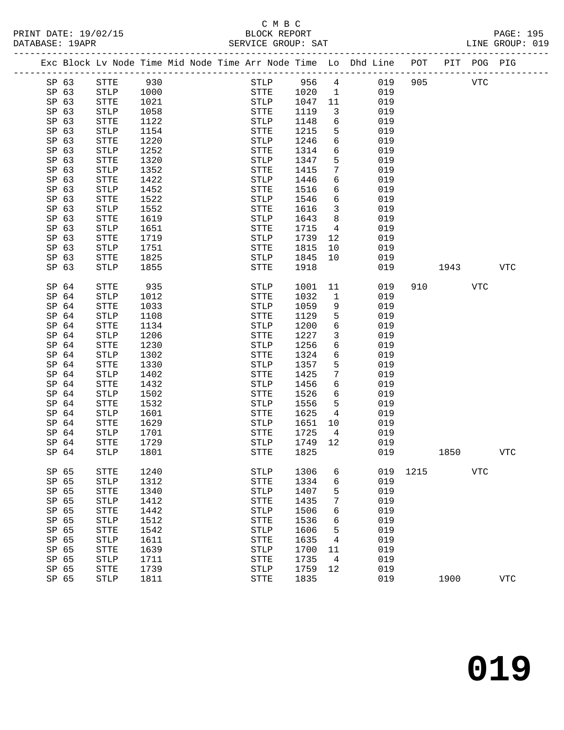|                  | Exc Block Lv Node Time Mid Node Time Arr Node Time Lo Dhd Line POT |      |  |             |      |                 |     |      |      | PIT POG PIG |            |
|------------------|--------------------------------------------------------------------|------|--|-------------|------|-----------------|-----|------|------|-------------|------------|
| SP 63            | STTE                                                               | 930  |  | STLP        | 956  | $4\overline{ }$ | 019 | 905  |      | <b>VTC</b>  |            |
| SP 63            | STLP                                                               | 1000 |  | STTE        | 1020 | $\overline{1}$  | 019 |      |      |             |            |
| SP 63            | STTE                                                               | 1021 |  | STLP        | 1047 | 11              | 019 |      |      |             |            |
| SP 63            | STLP                                                               | 1058 |  | STTE        | 1119 | $\overline{3}$  | 019 |      |      |             |            |
| SP 63            | STTE                                                               | 1122 |  | STLP        | 1148 | 6               | 019 |      |      |             |            |
| SP 63            | STLP                                                               | 1154 |  | STTE        | 1215 | 5               | 019 |      |      |             |            |
| SP 63            | STTE                                                               | 1220 |  | STLP        | 1246 | 6               | 019 |      |      |             |            |
| SP 63            | STLP                                                               | 1252 |  | STTE        | 1314 | 6               | 019 |      |      |             |            |
| SP 63            | STTE                                                               | 1320 |  | <b>STLP</b> | 1347 | 5               | 019 |      |      |             |            |
| SP 63            | STLP                                                               | 1352 |  | STTE        | 1415 | 7               | 019 |      |      |             |            |
| SP 63            | STTE                                                               | 1422 |  | STLP        | 1446 | 6               | 019 |      |      |             |            |
| SP 63            | STLP                                                               | 1452 |  | STTE        | 1516 | 6               | 019 |      |      |             |            |
| SP 63            | STTE                                                               | 1522 |  | STLP        | 1546 | 6               | 019 |      |      |             |            |
| SP 63            | STLP                                                               | 1552 |  | STTE        | 1616 | 3               | 019 |      |      |             |            |
| SP 63            | STTE                                                               | 1619 |  | <b>STLP</b> | 1643 | 8               | 019 |      |      |             |            |
| SP 63            | STLP                                                               | 1651 |  | STTE        | 1715 | $\overline{4}$  | 019 |      |      |             |            |
| SP 63            | STTE                                                               | 1719 |  | STLP        | 1739 | 12              | 019 |      |      |             |            |
| SP 63            | STLP                                                               | 1751 |  | STTE        | 1815 | 10              | 019 |      |      |             |            |
| SP 63            | STTE                                                               | 1825 |  | STLP        | 1845 | 10              | 019 |      |      |             |            |
| SP 63            | <b>STLP</b>                                                        | 1855 |  | STTE        | 1918 |                 | 019 |      | 1943 |             | <b>VTC</b> |
|                  |                                                                    |      |  |             |      |                 |     |      |      |             |            |
| SP <sub>64</sub> | STTE                                                               | 935  |  | STLP        | 1001 | 11              | 019 | 910  |      | VTC         |            |
| SP 64            | STLP                                                               | 1012 |  | STTE        | 1032 | 1               | 019 |      |      |             |            |
| SP <sub>64</sub> | STTE                                                               | 1033 |  | STLP        | 1059 | 9               | 019 |      |      |             |            |
| SP 64            | STLP                                                               | 1108 |  | STTE        | 1129 | 5               | 019 |      |      |             |            |
| SP 64            | STTE                                                               | 1134 |  | STLP        | 1200 | 6               | 019 |      |      |             |            |
| SP <sub>64</sub> | STLP                                                               | 1206 |  | STTE        | 1227 | 3               | 019 |      |      |             |            |
| SP <sub>64</sub> | ${\tt STTE}$                                                       | 1230 |  | STLP        | 1256 | 6               | 019 |      |      |             |            |
| SP 64            | STLP                                                               | 1302 |  | STTE        | 1324 | 6               | 019 |      |      |             |            |
| SP 64            | STTE                                                               | 1330 |  | STLP        | 1357 | 5               | 019 |      |      |             |            |
| SP 64            | STLP                                                               | 1402 |  | STTE        | 1425 | 7               | 019 |      |      |             |            |
| SP <sub>64</sub> | STTE                                                               | 1432 |  | STLP        | 1456 | 6               | 019 |      |      |             |            |
| SP 64            | STLP                                                               | 1502 |  | STTE        | 1526 | 6               | 019 |      |      |             |            |
| SP <sub>64</sub> | STTE                                                               | 1532 |  | <b>STLP</b> | 1556 | 5               | 019 |      |      |             |            |
| SP <sub>64</sub> | STLP                                                               | 1601 |  | STTE        | 1625 | 4               | 019 |      |      |             |            |
| SP 64            | STTE                                                               | 1629 |  | STLP        | 1651 | 10              | 019 |      |      |             |            |
| SP 64            | STLP                                                               | 1701 |  | STTE        | 1725 | $\overline{4}$  | 019 |      |      |             |            |
| SP 64            | STTE                                                               | 1729 |  | STLP        | 1749 | 12              | 019 |      |      |             |            |
| SP <sub>64</sub> | <b>STLP</b>                                                        | 1801 |  | STTE        | 1825 |                 | 019 |      | 1850 |             | <b>VTC</b> |
|                  |                                                                    |      |  |             |      |                 |     |      |      |             |            |
| SP 65            | STTE                                                               | 1240 |  | STLP        | 1306 | 6               | 019 | 1215 |      | <b>VTC</b>  |            |
| SP 65            | STLP                                                               | 1312 |  | <b>STTE</b> | 1334 | 6               | 019 |      |      |             |            |
| SP 65            | <b>STTE</b>                                                        | 1340 |  | <b>STLP</b> | 1407 | 5               | 019 |      |      |             |            |
| SP 65            | <b>STLP</b>                                                        | 1412 |  | STTE        | 1435 | 7               | 019 |      |      |             |            |
| SP 65            | <b>STTE</b>                                                        | 1442 |  | <b>STLP</b> | 1506 | 6               | 019 |      |      |             |            |
| SP 65            | <b>STLP</b>                                                        | 1512 |  | <b>STTE</b> | 1536 | 6               | 019 |      |      |             |            |
| SP 65            | STTE                                                               | 1542 |  | <b>STLP</b> | 1606 | 5               | 019 |      |      |             |            |
| SP 65            | <b>STLP</b>                                                        | 1611 |  | STTE        | 1635 | 4               | 019 |      |      |             |            |
| SP 65            | <b>STTE</b>                                                        | 1639 |  | <b>STLP</b> | 1700 | 11              | 019 |      |      |             |            |
| SP 65            | <b>STLP</b>                                                        | 1711 |  | STTE        | 1735 | 4               | 019 |      |      |             |            |
| SP 65            | STTE                                                               | 1739 |  | <b>STLP</b> | 1759 | 12              | 019 |      |      |             |            |
| SP 65            | <b>STLP</b>                                                        | 1811 |  | <b>STTE</b> | 1835 |                 | 019 |      | 1900 |             | <b>VTC</b> |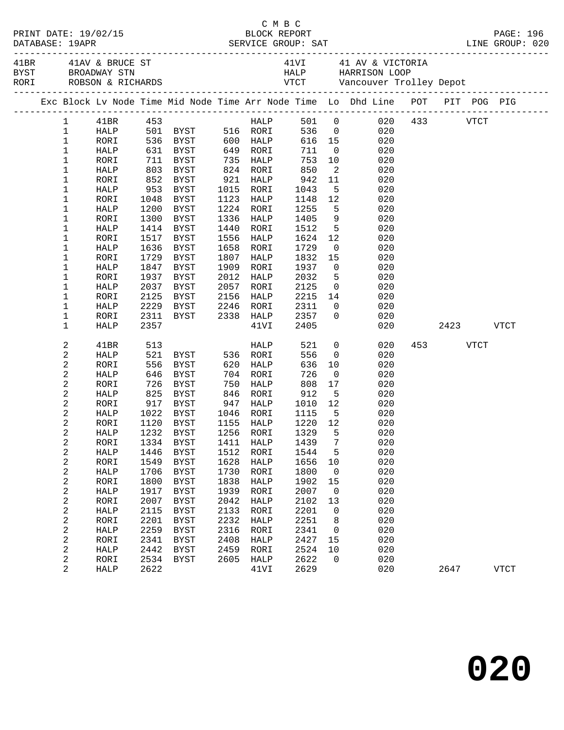| 41BR 41AV & BRUCE ST 41VI 41 AV & VICTORIA<br>BYST BROADWAY STN 52 HALP HARRISON LOOP<br>RORI ROBSON & RICHARDS 52 VTCT Vancouver Trolley Depot<br>Exc Block Lv Node Time Mid Node Time Arr Node Time Lo Dhd Line POT PIT POG PIG<br>HALP 501 0 020 433 VTCT<br>41BR 453<br>$1 \quad$<br>501 BYST 516 RORI<br>536 0<br>$\mathbf{1}$<br>020<br>HALP<br>$\mathbf{1}$<br>616  15<br>711  0<br>020<br>RORI<br>$1\,$<br>711<br>HALP<br>020<br>711 BYST<br>735 HALP<br>$\mathbf 1$<br>753<br>RORI<br>10<br>020<br>1<br>850<br>$\overline{\mathbf{c}}$<br>HALP<br>803 BYST<br>824 RORI<br>020<br>$\mathbf 1$<br>852 BYST<br>921 HALP<br>942<br>RORI<br>11<br>020<br>942<br>1043<br>1<br>1015 RORI<br>5 <sub>5</sub><br>HALP<br>953 BYST<br>020<br>1123<br>1<br>RORI<br>1048 BYST<br>HALP<br>1148<br>12<br>020<br>1<br>1224 RORI<br>$5^{\circ}$<br>HALP<br>1200<br>BYST<br>1255<br>020<br>1<br>1300<br>BYST<br>1336<br>1405<br>9<br>020<br>RORI<br>HALP<br>5 <sub>5</sub><br>1<br>1414 BYST<br>1440<br>1512<br>020<br>HALP<br>RORI<br>1<br>1624<br>12<br>RORI<br>1517 BYST<br>1556<br>HALP<br>020<br>1<br>1636<br>BYST<br>1658<br>1729<br>HALP<br>RORI<br>$\overline{0}$<br>020<br>1729<br>1807<br>1832<br>1<br>RORI<br>BYST<br>HALP<br>15<br>020<br>1<br>1909<br>1937<br>$\overline{0}$<br>020<br>HALP<br>1847<br>BYST<br>RORI<br>5 <sub>5</sub><br>1<br>1937<br>2012<br>2032<br>020<br>RORI<br>BYST<br>HALP<br>1<br>2037<br>2057<br>2125<br>020<br>HALP<br>BYST<br>RORI<br>$\overline{0}$<br>1<br>2125<br>2156<br>2215<br>14<br>RORI<br>BYST<br>HALP<br>020<br>1<br>2229<br>2246 RORI<br>2311<br>020<br>HALP<br>BYST<br>$\overline{0}$<br>$2338$ HALP<br>1<br>2311<br>2357<br>$\overline{0}$<br>BYST<br>020<br>RORI<br>1<br>2357<br>2405<br>2423 VTCT<br>HALP<br>41VI<br>020<br>2<br>521<br>$\overline{0}$<br>453 VTCT<br>41BR<br>513<br>HALP<br>020<br>521 BYST<br>$\sqrt{2}$<br>556<br>HALP<br>536 RORI<br>$\overline{0}$<br>020<br>2<br>556<br>620 HALP<br>636<br>RORI<br>BYST<br>10<br>020<br>2<br>646<br>BYST<br>704 RORI<br>726<br>020<br>HALP<br>$\overline{\phantom{0}}$<br>$\sqrt{2}$<br>808<br>726<br>BYST<br>750<br>17<br>020<br>RORI<br>HALP<br>$\sqrt{2}$<br>825 BYST<br>912<br>$5^{\circ}$<br>HALP<br>846<br>RORI<br>020<br>917 BYST<br>$\sqrt{2}$<br>1010<br>RORI<br>947<br>HALP<br>12<br>020<br>2<br>HALP<br>1022<br>BYST<br>1046 RORI<br>1115<br>$5^{\circ}$<br>020<br>$\sqrt{2}$<br>1120<br>$\frac{1220}{1329}$ $\frac{12}{7}$<br>RORI<br>BYST<br>1155 HALP<br>020<br>2<br>$5^{\circ}$<br>1232 BYST<br>1256 RORI<br>1329<br>HALP<br>020<br>2<br>RORI 1334 BYST 1411 HALP 1439 7<br>020<br>2<br>5<br>020<br>HALP<br>1446<br>BYST<br>1512<br>RORI<br>1544<br>2<br>1549<br>1628<br>1656<br>020<br>RORI<br>BYST<br>HALP<br>10<br>2<br>1730<br>1800<br>020<br>HALP<br>1706<br>BYST<br>RORI<br>$\overline{\mathbf{0}}$<br>2<br>1800<br>1838<br>1902<br>020<br>RORI<br><b>BYST</b><br>HALP<br>15<br>2<br>1939<br>2007<br>020<br>HALP<br>1917<br><b>BYST</b><br>RORI<br>$\overline{0}$<br>$\sqrt{2}$<br>2007<br>2042<br>020<br>RORI<br><b>BYST</b><br>2102<br>13<br>HALP<br>$\sqrt{2}$<br>2115<br>2133<br>2201<br>020<br>HALP<br><b>BYST</b><br>RORI<br>$\overline{0}$<br>$\sqrt{2}$<br>2201<br>2232<br>2251<br>020<br>RORI<br><b>BYST</b><br>HALP<br>8<br>2<br>2259<br>2316<br>2341<br>020<br><b>BYST</b><br>RORI<br>HALP<br>0<br>2<br>2341<br>2427<br>020<br>2408<br>15<br>RORI<br>BYST<br>HALP<br>$\sqrt{2}$<br>2442<br>2524<br>020<br>HALP<br><b>BYST</b><br>2459<br>RORI<br>10<br>2<br>2534<br>2605<br>2622<br>020<br>HALP<br>$\mathbf 0$<br>RORI<br>BYST<br>2<br>2622<br>2629<br>020<br>41VI<br>2647<br><b>VTCT</b><br>HALP |  |  |  |  |  |  |  |  |
|---------------------------------------------------------------------------------------------------------------------------------------------------------------------------------------------------------------------------------------------------------------------------------------------------------------------------------------------------------------------------------------------------------------------------------------------------------------------------------------------------------------------------------------------------------------------------------------------------------------------------------------------------------------------------------------------------------------------------------------------------------------------------------------------------------------------------------------------------------------------------------------------------------------------------------------------------------------------------------------------------------------------------------------------------------------------------------------------------------------------------------------------------------------------------------------------------------------------------------------------------------------------------------------------------------------------------------------------------------------------------------------------------------------------------------------------------------------------------------------------------------------------------------------------------------------------------------------------------------------------------------------------------------------------------------------------------------------------------------------------------------------------------------------------------------------------------------------------------------------------------------------------------------------------------------------------------------------------------------------------------------------------------------------------------------------------------------------------------------------------------------------------------------------------------------------------------------------------------------------------------------------------------------------------------------------------------------------------------------------------------------------------------------------------------------------------------------------------------------------------------------------------------------------------------------------------------------------------------------------------------------------------------------------------------------------------------------------------------------------------------------------------------------------------------------------------------------------------------------------------------------------------------------------------------------------------------------------------------------------------------------------------------------------------------------------------------------------------------------------------------------------------------------------------------------------------------------------------------------------------------------------------------------------------------------------------------------------------------------------------------------------------------------------------------------------------------------------------------------------------------------------------------------------------------------------------------------------------------------------------------------------|--|--|--|--|--|--|--|--|
|                                                                                                                                                                                                                                                                                                                                                                                                                                                                                                                                                                                                                                                                                                                                                                                                                                                                                                                                                                                                                                                                                                                                                                                                                                                                                                                                                                                                                                                                                                                                                                                                                                                                                                                                                                                                                                                                                                                                                                                                                                                                                                                                                                                                                                                                                                                                                                                                                                                                                                                                                                                                                                                                                                                                                                                                                                                                                                                                                                                                                                                                                                                                                                                                                                                                                                                                                                                                                                                                                                                                                                                                                                       |  |  |  |  |  |  |  |  |
|                                                                                                                                                                                                                                                                                                                                                                                                                                                                                                                                                                                                                                                                                                                                                                                                                                                                                                                                                                                                                                                                                                                                                                                                                                                                                                                                                                                                                                                                                                                                                                                                                                                                                                                                                                                                                                                                                                                                                                                                                                                                                                                                                                                                                                                                                                                                                                                                                                                                                                                                                                                                                                                                                                                                                                                                                                                                                                                                                                                                                                                                                                                                                                                                                                                                                                                                                                                                                                                                                                                                                                                                                                       |  |  |  |  |  |  |  |  |
|                                                                                                                                                                                                                                                                                                                                                                                                                                                                                                                                                                                                                                                                                                                                                                                                                                                                                                                                                                                                                                                                                                                                                                                                                                                                                                                                                                                                                                                                                                                                                                                                                                                                                                                                                                                                                                                                                                                                                                                                                                                                                                                                                                                                                                                                                                                                                                                                                                                                                                                                                                                                                                                                                                                                                                                                                                                                                                                                                                                                                                                                                                                                                                                                                                                                                                                                                                                                                                                                                                                                                                                                                                       |  |  |  |  |  |  |  |  |
|                                                                                                                                                                                                                                                                                                                                                                                                                                                                                                                                                                                                                                                                                                                                                                                                                                                                                                                                                                                                                                                                                                                                                                                                                                                                                                                                                                                                                                                                                                                                                                                                                                                                                                                                                                                                                                                                                                                                                                                                                                                                                                                                                                                                                                                                                                                                                                                                                                                                                                                                                                                                                                                                                                                                                                                                                                                                                                                                                                                                                                                                                                                                                                                                                                                                                                                                                                                                                                                                                                                                                                                                                                       |  |  |  |  |  |  |  |  |
|                                                                                                                                                                                                                                                                                                                                                                                                                                                                                                                                                                                                                                                                                                                                                                                                                                                                                                                                                                                                                                                                                                                                                                                                                                                                                                                                                                                                                                                                                                                                                                                                                                                                                                                                                                                                                                                                                                                                                                                                                                                                                                                                                                                                                                                                                                                                                                                                                                                                                                                                                                                                                                                                                                                                                                                                                                                                                                                                                                                                                                                                                                                                                                                                                                                                                                                                                                                                                                                                                                                                                                                                                                       |  |  |  |  |  |  |  |  |
|                                                                                                                                                                                                                                                                                                                                                                                                                                                                                                                                                                                                                                                                                                                                                                                                                                                                                                                                                                                                                                                                                                                                                                                                                                                                                                                                                                                                                                                                                                                                                                                                                                                                                                                                                                                                                                                                                                                                                                                                                                                                                                                                                                                                                                                                                                                                                                                                                                                                                                                                                                                                                                                                                                                                                                                                                                                                                                                                                                                                                                                                                                                                                                                                                                                                                                                                                                                                                                                                                                                                                                                                                                       |  |  |  |  |  |  |  |  |
|                                                                                                                                                                                                                                                                                                                                                                                                                                                                                                                                                                                                                                                                                                                                                                                                                                                                                                                                                                                                                                                                                                                                                                                                                                                                                                                                                                                                                                                                                                                                                                                                                                                                                                                                                                                                                                                                                                                                                                                                                                                                                                                                                                                                                                                                                                                                                                                                                                                                                                                                                                                                                                                                                                                                                                                                                                                                                                                                                                                                                                                                                                                                                                                                                                                                                                                                                                                                                                                                                                                                                                                                                                       |  |  |  |  |  |  |  |  |
|                                                                                                                                                                                                                                                                                                                                                                                                                                                                                                                                                                                                                                                                                                                                                                                                                                                                                                                                                                                                                                                                                                                                                                                                                                                                                                                                                                                                                                                                                                                                                                                                                                                                                                                                                                                                                                                                                                                                                                                                                                                                                                                                                                                                                                                                                                                                                                                                                                                                                                                                                                                                                                                                                                                                                                                                                                                                                                                                                                                                                                                                                                                                                                                                                                                                                                                                                                                                                                                                                                                                                                                                                                       |  |  |  |  |  |  |  |  |
|                                                                                                                                                                                                                                                                                                                                                                                                                                                                                                                                                                                                                                                                                                                                                                                                                                                                                                                                                                                                                                                                                                                                                                                                                                                                                                                                                                                                                                                                                                                                                                                                                                                                                                                                                                                                                                                                                                                                                                                                                                                                                                                                                                                                                                                                                                                                                                                                                                                                                                                                                                                                                                                                                                                                                                                                                                                                                                                                                                                                                                                                                                                                                                                                                                                                                                                                                                                                                                                                                                                                                                                                                                       |  |  |  |  |  |  |  |  |
|                                                                                                                                                                                                                                                                                                                                                                                                                                                                                                                                                                                                                                                                                                                                                                                                                                                                                                                                                                                                                                                                                                                                                                                                                                                                                                                                                                                                                                                                                                                                                                                                                                                                                                                                                                                                                                                                                                                                                                                                                                                                                                                                                                                                                                                                                                                                                                                                                                                                                                                                                                                                                                                                                                                                                                                                                                                                                                                                                                                                                                                                                                                                                                                                                                                                                                                                                                                                                                                                                                                                                                                                                                       |  |  |  |  |  |  |  |  |
|                                                                                                                                                                                                                                                                                                                                                                                                                                                                                                                                                                                                                                                                                                                                                                                                                                                                                                                                                                                                                                                                                                                                                                                                                                                                                                                                                                                                                                                                                                                                                                                                                                                                                                                                                                                                                                                                                                                                                                                                                                                                                                                                                                                                                                                                                                                                                                                                                                                                                                                                                                                                                                                                                                                                                                                                                                                                                                                                                                                                                                                                                                                                                                                                                                                                                                                                                                                                                                                                                                                                                                                                                                       |  |  |  |  |  |  |  |  |
|                                                                                                                                                                                                                                                                                                                                                                                                                                                                                                                                                                                                                                                                                                                                                                                                                                                                                                                                                                                                                                                                                                                                                                                                                                                                                                                                                                                                                                                                                                                                                                                                                                                                                                                                                                                                                                                                                                                                                                                                                                                                                                                                                                                                                                                                                                                                                                                                                                                                                                                                                                                                                                                                                                                                                                                                                                                                                                                                                                                                                                                                                                                                                                                                                                                                                                                                                                                                                                                                                                                                                                                                                                       |  |  |  |  |  |  |  |  |
|                                                                                                                                                                                                                                                                                                                                                                                                                                                                                                                                                                                                                                                                                                                                                                                                                                                                                                                                                                                                                                                                                                                                                                                                                                                                                                                                                                                                                                                                                                                                                                                                                                                                                                                                                                                                                                                                                                                                                                                                                                                                                                                                                                                                                                                                                                                                                                                                                                                                                                                                                                                                                                                                                                                                                                                                                                                                                                                                                                                                                                                                                                                                                                                                                                                                                                                                                                                                                                                                                                                                                                                                                                       |  |  |  |  |  |  |  |  |
|                                                                                                                                                                                                                                                                                                                                                                                                                                                                                                                                                                                                                                                                                                                                                                                                                                                                                                                                                                                                                                                                                                                                                                                                                                                                                                                                                                                                                                                                                                                                                                                                                                                                                                                                                                                                                                                                                                                                                                                                                                                                                                                                                                                                                                                                                                                                                                                                                                                                                                                                                                                                                                                                                                                                                                                                                                                                                                                                                                                                                                                                                                                                                                                                                                                                                                                                                                                                                                                                                                                                                                                                                                       |  |  |  |  |  |  |  |  |
|                                                                                                                                                                                                                                                                                                                                                                                                                                                                                                                                                                                                                                                                                                                                                                                                                                                                                                                                                                                                                                                                                                                                                                                                                                                                                                                                                                                                                                                                                                                                                                                                                                                                                                                                                                                                                                                                                                                                                                                                                                                                                                                                                                                                                                                                                                                                                                                                                                                                                                                                                                                                                                                                                                                                                                                                                                                                                                                                                                                                                                                                                                                                                                                                                                                                                                                                                                                                                                                                                                                                                                                                                                       |  |  |  |  |  |  |  |  |
|                                                                                                                                                                                                                                                                                                                                                                                                                                                                                                                                                                                                                                                                                                                                                                                                                                                                                                                                                                                                                                                                                                                                                                                                                                                                                                                                                                                                                                                                                                                                                                                                                                                                                                                                                                                                                                                                                                                                                                                                                                                                                                                                                                                                                                                                                                                                                                                                                                                                                                                                                                                                                                                                                                                                                                                                                                                                                                                                                                                                                                                                                                                                                                                                                                                                                                                                                                                                                                                                                                                                                                                                                                       |  |  |  |  |  |  |  |  |
|                                                                                                                                                                                                                                                                                                                                                                                                                                                                                                                                                                                                                                                                                                                                                                                                                                                                                                                                                                                                                                                                                                                                                                                                                                                                                                                                                                                                                                                                                                                                                                                                                                                                                                                                                                                                                                                                                                                                                                                                                                                                                                                                                                                                                                                                                                                                                                                                                                                                                                                                                                                                                                                                                                                                                                                                                                                                                                                                                                                                                                                                                                                                                                                                                                                                                                                                                                                                                                                                                                                                                                                                                                       |  |  |  |  |  |  |  |  |
|                                                                                                                                                                                                                                                                                                                                                                                                                                                                                                                                                                                                                                                                                                                                                                                                                                                                                                                                                                                                                                                                                                                                                                                                                                                                                                                                                                                                                                                                                                                                                                                                                                                                                                                                                                                                                                                                                                                                                                                                                                                                                                                                                                                                                                                                                                                                                                                                                                                                                                                                                                                                                                                                                                                                                                                                                                                                                                                                                                                                                                                                                                                                                                                                                                                                                                                                                                                                                                                                                                                                                                                                                                       |  |  |  |  |  |  |  |  |
|                                                                                                                                                                                                                                                                                                                                                                                                                                                                                                                                                                                                                                                                                                                                                                                                                                                                                                                                                                                                                                                                                                                                                                                                                                                                                                                                                                                                                                                                                                                                                                                                                                                                                                                                                                                                                                                                                                                                                                                                                                                                                                                                                                                                                                                                                                                                                                                                                                                                                                                                                                                                                                                                                                                                                                                                                                                                                                                                                                                                                                                                                                                                                                                                                                                                                                                                                                                                                                                                                                                                                                                                                                       |  |  |  |  |  |  |  |  |
|                                                                                                                                                                                                                                                                                                                                                                                                                                                                                                                                                                                                                                                                                                                                                                                                                                                                                                                                                                                                                                                                                                                                                                                                                                                                                                                                                                                                                                                                                                                                                                                                                                                                                                                                                                                                                                                                                                                                                                                                                                                                                                                                                                                                                                                                                                                                                                                                                                                                                                                                                                                                                                                                                                                                                                                                                                                                                                                                                                                                                                                                                                                                                                                                                                                                                                                                                                                                                                                                                                                                                                                                                                       |  |  |  |  |  |  |  |  |
|                                                                                                                                                                                                                                                                                                                                                                                                                                                                                                                                                                                                                                                                                                                                                                                                                                                                                                                                                                                                                                                                                                                                                                                                                                                                                                                                                                                                                                                                                                                                                                                                                                                                                                                                                                                                                                                                                                                                                                                                                                                                                                                                                                                                                                                                                                                                                                                                                                                                                                                                                                                                                                                                                                                                                                                                                                                                                                                                                                                                                                                                                                                                                                                                                                                                                                                                                                                                                                                                                                                                                                                                                                       |  |  |  |  |  |  |  |  |
|                                                                                                                                                                                                                                                                                                                                                                                                                                                                                                                                                                                                                                                                                                                                                                                                                                                                                                                                                                                                                                                                                                                                                                                                                                                                                                                                                                                                                                                                                                                                                                                                                                                                                                                                                                                                                                                                                                                                                                                                                                                                                                                                                                                                                                                                                                                                                                                                                                                                                                                                                                                                                                                                                                                                                                                                                                                                                                                                                                                                                                                                                                                                                                                                                                                                                                                                                                                                                                                                                                                                                                                                                                       |  |  |  |  |  |  |  |  |
|                                                                                                                                                                                                                                                                                                                                                                                                                                                                                                                                                                                                                                                                                                                                                                                                                                                                                                                                                                                                                                                                                                                                                                                                                                                                                                                                                                                                                                                                                                                                                                                                                                                                                                                                                                                                                                                                                                                                                                                                                                                                                                                                                                                                                                                                                                                                                                                                                                                                                                                                                                                                                                                                                                                                                                                                                                                                                                                                                                                                                                                                                                                                                                                                                                                                                                                                                                                                                                                                                                                                                                                                                                       |  |  |  |  |  |  |  |  |
|                                                                                                                                                                                                                                                                                                                                                                                                                                                                                                                                                                                                                                                                                                                                                                                                                                                                                                                                                                                                                                                                                                                                                                                                                                                                                                                                                                                                                                                                                                                                                                                                                                                                                                                                                                                                                                                                                                                                                                                                                                                                                                                                                                                                                                                                                                                                                                                                                                                                                                                                                                                                                                                                                                                                                                                                                                                                                                                                                                                                                                                                                                                                                                                                                                                                                                                                                                                                                                                                                                                                                                                                                                       |  |  |  |  |  |  |  |  |
|                                                                                                                                                                                                                                                                                                                                                                                                                                                                                                                                                                                                                                                                                                                                                                                                                                                                                                                                                                                                                                                                                                                                                                                                                                                                                                                                                                                                                                                                                                                                                                                                                                                                                                                                                                                                                                                                                                                                                                                                                                                                                                                                                                                                                                                                                                                                                                                                                                                                                                                                                                                                                                                                                                                                                                                                                                                                                                                                                                                                                                                                                                                                                                                                                                                                                                                                                                                                                                                                                                                                                                                                                                       |  |  |  |  |  |  |  |  |
|                                                                                                                                                                                                                                                                                                                                                                                                                                                                                                                                                                                                                                                                                                                                                                                                                                                                                                                                                                                                                                                                                                                                                                                                                                                                                                                                                                                                                                                                                                                                                                                                                                                                                                                                                                                                                                                                                                                                                                                                                                                                                                                                                                                                                                                                                                                                                                                                                                                                                                                                                                                                                                                                                                                                                                                                                                                                                                                                                                                                                                                                                                                                                                                                                                                                                                                                                                                                                                                                                                                                                                                                                                       |  |  |  |  |  |  |  |  |
|                                                                                                                                                                                                                                                                                                                                                                                                                                                                                                                                                                                                                                                                                                                                                                                                                                                                                                                                                                                                                                                                                                                                                                                                                                                                                                                                                                                                                                                                                                                                                                                                                                                                                                                                                                                                                                                                                                                                                                                                                                                                                                                                                                                                                                                                                                                                                                                                                                                                                                                                                                                                                                                                                                                                                                                                                                                                                                                                                                                                                                                                                                                                                                                                                                                                                                                                                                                                                                                                                                                                                                                                                                       |  |  |  |  |  |  |  |  |
|                                                                                                                                                                                                                                                                                                                                                                                                                                                                                                                                                                                                                                                                                                                                                                                                                                                                                                                                                                                                                                                                                                                                                                                                                                                                                                                                                                                                                                                                                                                                                                                                                                                                                                                                                                                                                                                                                                                                                                                                                                                                                                                                                                                                                                                                                                                                                                                                                                                                                                                                                                                                                                                                                                                                                                                                                                                                                                                                                                                                                                                                                                                                                                                                                                                                                                                                                                                                                                                                                                                                                                                                                                       |  |  |  |  |  |  |  |  |
|                                                                                                                                                                                                                                                                                                                                                                                                                                                                                                                                                                                                                                                                                                                                                                                                                                                                                                                                                                                                                                                                                                                                                                                                                                                                                                                                                                                                                                                                                                                                                                                                                                                                                                                                                                                                                                                                                                                                                                                                                                                                                                                                                                                                                                                                                                                                                                                                                                                                                                                                                                                                                                                                                                                                                                                                                                                                                                                                                                                                                                                                                                                                                                                                                                                                                                                                                                                                                                                                                                                                                                                                                                       |  |  |  |  |  |  |  |  |
|                                                                                                                                                                                                                                                                                                                                                                                                                                                                                                                                                                                                                                                                                                                                                                                                                                                                                                                                                                                                                                                                                                                                                                                                                                                                                                                                                                                                                                                                                                                                                                                                                                                                                                                                                                                                                                                                                                                                                                                                                                                                                                                                                                                                                                                                                                                                                                                                                                                                                                                                                                                                                                                                                                                                                                                                                                                                                                                                                                                                                                                                                                                                                                                                                                                                                                                                                                                                                                                                                                                                                                                                                                       |  |  |  |  |  |  |  |  |
|                                                                                                                                                                                                                                                                                                                                                                                                                                                                                                                                                                                                                                                                                                                                                                                                                                                                                                                                                                                                                                                                                                                                                                                                                                                                                                                                                                                                                                                                                                                                                                                                                                                                                                                                                                                                                                                                                                                                                                                                                                                                                                                                                                                                                                                                                                                                                                                                                                                                                                                                                                                                                                                                                                                                                                                                                                                                                                                                                                                                                                                                                                                                                                                                                                                                                                                                                                                                                                                                                                                                                                                                                                       |  |  |  |  |  |  |  |  |
|                                                                                                                                                                                                                                                                                                                                                                                                                                                                                                                                                                                                                                                                                                                                                                                                                                                                                                                                                                                                                                                                                                                                                                                                                                                                                                                                                                                                                                                                                                                                                                                                                                                                                                                                                                                                                                                                                                                                                                                                                                                                                                                                                                                                                                                                                                                                                                                                                                                                                                                                                                                                                                                                                                                                                                                                                                                                                                                                                                                                                                                                                                                                                                                                                                                                                                                                                                                                                                                                                                                                                                                                                                       |  |  |  |  |  |  |  |  |
|                                                                                                                                                                                                                                                                                                                                                                                                                                                                                                                                                                                                                                                                                                                                                                                                                                                                                                                                                                                                                                                                                                                                                                                                                                                                                                                                                                                                                                                                                                                                                                                                                                                                                                                                                                                                                                                                                                                                                                                                                                                                                                                                                                                                                                                                                                                                                                                                                                                                                                                                                                                                                                                                                                                                                                                                                                                                                                                                                                                                                                                                                                                                                                                                                                                                                                                                                                                                                                                                                                                                                                                                                                       |  |  |  |  |  |  |  |  |
|                                                                                                                                                                                                                                                                                                                                                                                                                                                                                                                                                                                                                                                                                                                                                                                                                                                                                                                                                                                                                                                                                                                                                                                                                                                                                                                                                                                                                                                                                                                                                                                                                                                                                                                                                                                                                                                                                                                                                                                                                                                                                                                                                                                                                                                                                                                                                                                                                                                                                                                                                                                                                                                                                                                                                                                                                                                                                                                                                                                                                                                                                                                                                                                                                                                                                                                                                                                                                                                                                                                                                                                                                                       |  |  |  |  |  |  |  |  |
|                                                                                                                                                                                                                                                                                                                                                                                                                                                                                                                                                                                                                                                                                                                                                                                                                                                                                                                                                                                                                                                                                                                                                                                                                                                                                                                                                                                                                                                                                                                                                                                                                                                                                                                                                                                                                                                                                                                                                                                                                                                                                                                                                                                                                                                                                                                                                                                                                                                                                                                                                                                                                                                                                                                                                                                                                                                                                                                                                                                                                                                                                                                                                                                                                                                                                                                                                                                                                                                                                                                                                                                                                                       |  |  |  |  |  |  |  |  |
|                                                                                                                                                                                                                                                                                                                                                                                                                                                                                                                                                                                                                                                                                                                                                                                                                                                                                                                                                                                                                                                                                                                                                                                                                                                                                                                                                                                                                                                                                                                                                                                                                                                                                                                                                                                                                                                                                                                                                                                                                                                                                                                                                                                                                                                                                                                                                                                                                                                                                                                                                                                                                                                                                                                                                                                                                                                                                                                                                                                                                                                                                                                                                                                                                                                                                                                                                                                                                                                                                                                                                                                                                                       |  |  |  |  |  |  |  |  |
|                                                                                                                                                                                                                                                                                                                                                                                                                                                                                                                                                                                                                                                                                                                                                                                                                                                                                                                                                                                                                                                                                                                                                                                                                                                                                                                                                                                                                                                                                                                                                                                                                                                                                                                                                                                                                                                                                                                                                                                                                                                                                                                                                                                                                                                                                                                                                                                                                                                                                                                                                                                                                                                                                                                                                                                                                                                                                                                                                                                                                                                                                                                                                                                                                                                                                                                                                                                                                                                                                                                                                                                                                                       |  |  |  |  |  |  |  |  |
|                                                                                                                                                                                                                                                                                                                                                                                                                                                                                                                                                                                                                                                                                                                                                                                                                                                                                                                                                                                                                                                                                                                                                                                                                                                                                                                                                                                                                                                                                                                                                                                                                                                                                                                                                                                                                                                                                                                                                                                                                                                                                                                                                                                                                                                                                                                                                                                                                                                                                                                                                                                                                                                                                                                                                                                                                                                                                                                                                                                                                                                                                                                                                                                                                                                                                                                                                                                                                                                                                                                                                                                                                                       |  |  |  |  |  |  |  |  |
|                                                                                                                                                                                                                                                                                                                                                                                                                                                                                                                                                                                                                                                                                                                                                                                                                                                                                                                                                                                                                                                                                                                                                                                                                                                                                                                                                                                                                                                                                                                                                                                                                                                                                                                                                                                                                                                                                                                                                                                                                                                                                                                                                                                                                                                                                                                                                                                                                                                                                                                                                                                                                                                                                                                                                                                                                                                                                                                                                                                                                                                                                                                                                                                                                                                                                                                                                                                                                                                                                                                                                                                                                                       |  |  |  |  |  |  |  |  |
|                                                                                                                                                                                                                                                                                                                                                                                                                                                                                                                                                                                                                                                                                                                                                                                                                                                                                                                                                                                                                                                                                                                                                                                                                                                                                                                                                                                                                                                                                                                                                                                                                                                                                                                                                                                                                                                                                                                                                                                                                                                                                                                                                                                                                                                                                                                                                                                                                                                                                                                                                                                                                                                                                                                                                                                                                                                                                                                                                                                                                                                                                                                                                                                                                                                                                                                                                                                                                                                                                                                                                                                                                                       |  |  |  |  |  |  |  |  |
|                                                                                                                                                                                                                                                                                                                                                                                                                                                                                                                                                                                                                                                                                                                                                                                                                                                                                                                                                                                                                                                                                                                                                                                                                                                                                                                                                                                                                                                                                                                                                                                                                                                                                                                                                                                                                                                                                                                                                                                                                                                                                                                                                                                                                                                                                                                                                                                                                                                                                                                                                                                                                                                                                                                                                                                                                                                                                                                                                                                                                                                                                                                                                                                                                                                                                                                                                                                                                                                                                                                                                                                                                                       |  |  |  |  |  |  |  |  |
|                                                                                                                                                                                                                                                                                                                                                                                                                                                                                                                                                                                                                                                                                                                                                                                                                                                                                                                                                                                                                                                                                                                                                                                                                                                                                                                                                                                                                                                                                                                                                                                                                                                                                                                                                                                                                                                                                                                                                                                                                                                                                                                                                                                                                                                                                                                                                                                                                                                                                                                                                                                                                                                                                                                                                                                                                                                                                                                                                                                                                                                                                                                                                                                                                                                                                                                                                                                                                                                                                                                                                                                                                                       |  |  |  |  |  |  |  |  |
|                                                                                                                                                                                                                                                                                                                                                                                                                                                                                                                                                                                                                                                                                                                                                                                                                                                                                                                                                                                                                                                                                                                                                                                                                                                                                                                                                                                                                                                                                                                                                                                                                                                                                                                                                                                                                                                                                                                                                                                                                                                                                                                                                                                                                                                                                                                                                                                                                                                                                                                                                                                                                                                                                                                                                                                                                                                                                                                                                                                                                                                                                                                                                                                                                                                                                                                                                                                                                                                                                                                                                                                                                                       |  |  |  |  |  |  |  |  |
|                                                                                                                                                                                                                                                                                                                                                                                                                                                                                                                                                                                                                                                                                                                                                                                                                                                                                                                                                                                                                                                                                                                                                                                                                                                                                                                                                                                                                                                                                                                                                                                                                                                                                                                                                                                                                                                                                                                                                                                                                                                                                                                                                                                                                                                                                                                                                                                                                                                                                                                                                                                                                                                                                                                                                                                                                                                                                                                                                                                                                                                                                                                                                                                                                                                                                                                                                                                                                                                                                                                                                                                                                                       |  |  |  |  |  |  |  |  |
|                                                                                                                                                                                                                                                                                                                                                                                                                                                                                                                                                                                                                                                                                                                                                                                                                                                                                                                                                                                                                                                                                                                                                                                                                                                                                                                                                                                                                                                                                                                                                                                                                                                                                                                                                                                                                                                                                                                                                                                                                                                                                                                                                                                                                                                                                                                                                                                                                                                                                                                                                                                                                                                                                                                                                                                                                                                                                                                                                                                                                                                                                                                                                                                                                                                                                                                                                                                                                                                                                                                                                                                                                                       |  |  |  |  |  |  |  |  |
|                                                                                                                                                                                                                                                                                                                                                                                                                                                                                                                                                                                                                                                                                                                                                                                                                                                                                                                                                                                                                                                                                                                                                                                                                                                                                                                                                                                                                                                                                                                                                                                                                                                                                                                                                                                                                                                                                                                                                                                                                                                                                                                                                                                                                                                                                                                                                                                                                                                                                                                                                                                                                                                                                                                                                                                                                                                                                                                                                                                                                                                                                                                                                                                                                                                                                                                                                                                                                                                                                                                                                                                                                                       |  |  |  |  |  |  |  |  |
|                                                                                                                                                                                                                                                                                                                                                                                                                                                                                                                                                                                                                                                                                                                                                                                                                                                                                                                                                                                                                                                                                                                                                                                                                                                                                                                                                                                                                                                                                                                                                                                                                                                                                                                                                                                                                                                                                                                                                                                                                                                                                                                                                                                                                                                                                                                                                                                                                                                                                                                                                                                                                                                                                                                                                                                                                                                                                                                                                                                                                                                                                                                                                                                                                                                                                                                                                                                                                                                                                                                                                                                                                                       |  |  |  |  |  |  |  |  |

C M B C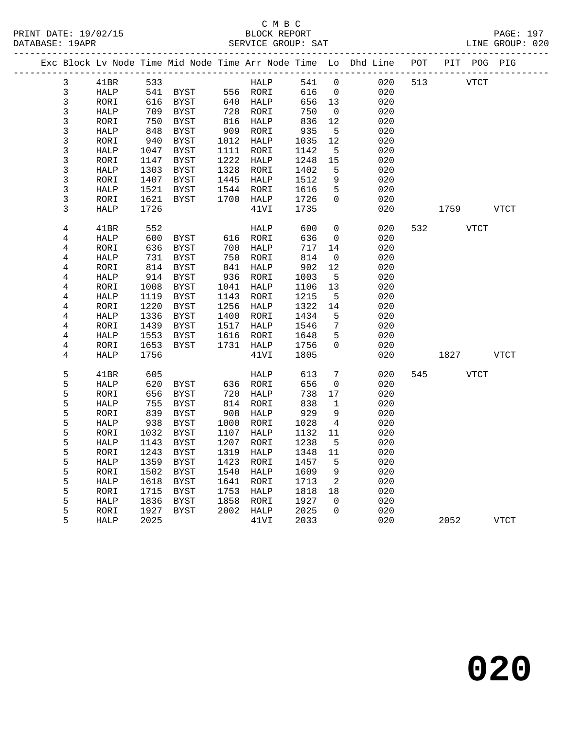#### C M B C<br>BLOCK REPORT PRINT DATE: 19/02/15 BLOCK REPORT PAGE: 197 DATABASE: 19APR SERVICE GROUP: SAT LINE GROUP: 020

| י שטחת בתע |                                  |                     |              |                                                                       |      |                                                                                                                                |              |                            |                                                                                |     |             |      |             |
|------------|----------------------------------|---------------------|--------------|-----------------------------------------------------------------------|------|--------------------------------------------------------------------------------------------------------------------------------|--------------|----------------------------|--------------------------------------------------------------------------------|-----|-------------|------|-------------|
|            |                                  |                     |              |                                                                       |      |                                                                                                                                |              |                            | Exc Block Lv Node Time Mid Node Time Arr Node Time Lo Dhd Line POT PIT POG PIG |     |             |      |             |
|            | $\mathbf{3}$                     | 41BR                | 533          |                                                                       |      | <b>HALP</b>                                                                                                                    | 541 0        |                            | 020                                                                            | 513 | <b>VTCT</b> |      |             |
|            | $\mathfrak{Z}$                   | HALP                |              |                                                                       |      |                                                                                                                                | 616          | $\overline{0}$             | 020                                                                            |     |             |      |             |
|            | $\mathsf{3}$                     | RORI                |              | 541   BYST           556    RORI<br>616    BYST           640    HALP |      |                                                                                                                                | 656 13       |                            | 020                                                                            |     |             |      |             |
|            | 3                                | HALP                |              |                                                                       |      |                                                                                                                                | 750          | $\overline{0}$             | 020                                                                            |     |             |      |             |
|            | $\overline{3}$                   | RORI                |              | ـدره 709<br>750 BYST<br>سمبرج                                         |      | 728    RORI<br>816    HALP                                                                                                     | 836          | 12                         | 020                                                                            |     |             |      |             |
|            | 3                                | HALP                | 848          | BYST                                                                  |      | 909 RORI                                                                                                                       | 935          | $5^{\circ}$                | 020                                                                            |     |             |      |             |
|            | 3                                | RORI                | 940          | BYST                                                                  |      | 1012 HALP                                                                                                                      | 1035         | 12                         | 020                                                                            |     |             |      |             |
|            | 3                                | HALP                | 1047         | BYST                                                                  |      | 1111 RORI                                                                                                                      | 1142         | $5^{\circ}$                | 020                                                                            |     |             |      |             |
|            | $\overline{3}$                   | RORI                | 1147         | BYST                                                                  |      | 1222 HALP                                                                                                                      | 1248         | 15                         | 020                                                                            |     |             |      |             |
|            | 3                                | HALP                | 1303         | BYST                                                                  |      | 1328 RORI                                                                                                                      | 1402         | $5^{\circ}$                | 020                                                                            |     |             |      |             |
|            | $\mathfrak{Z}$                   | RORI                | 1407         | BYST                                                                  |      | 1445 HALP                                                                                                                      | 1512         | 9                          | 020                                                                            |     |             |      |             |
|            | 3                                | HALP                | 1521         | BYST                                                                  |      | 1544 RORI                                                                                                                      | 1616         | 5                          | 020                                                                            |     |             |      |             |
|            | 3                                | RORI                | 1621         | BYST                                                                  |      | 1700 HALP                                                                                                                      | 1726         | $\mathbf 0$                | 020                                                                            |     |             |      |             |
|            | 3                                | HALP                | 1726         |                                                                       |      | 41VI                                                                                                                           | 1735         |                            | 020                                                                            |     | 1759 VTCT   |      |             |
|            |                                  |                     |              |                                                                       |      |                                                                                                                                |              | $\overline{0}$             |                                                                                |     | 532         |      |             |
|            | $\overline{4}$                   | 41BR                | 552          |                                                                       |      | HALP                                                                                                                           | 600<br>636   |                            | 020                                                                            |     |             | VTCT |             |
|            | 4                                | HALP                | 600          |                                                                       |      |                                                                                                                                |              | $\overline{0}$             | 020                                                                            |     |             |      |             |
|            | 4                                | RORI                | 636          |                                                                       |      |                                                                                                                                | 717          | 14                         | 020                                                                            |     |             |      |             |
|            | 4                                | HALP                | 731          | BYST                                                                  |      | 750 RORI<br>841 HALP                                                                                                           | 814<br>902   | $\overline{0}$             | 020                                                                            |     |             |      |             |
|            | 4                                | RORI                |              | 814 BYST                                                              |      |                                                                                                                                |              | 12                         | 020                                                                            |     |             |      |             |
|            | 4                                | HALP                | 914<br>1008  | BYST                                                                  |      | 936 RORI                                                                                                                       | 1003<br>1106 | $5^{\circ}$<br>13          | 020                                                                            |     |             |      |             |
|            | 4                                | RORI                |              | BYST<br><b>BYST</b>                                                   |      | 1041 HALP                                                                                                                      | 1215         | $5\overline{5}$            | 020                                                                            |     |             |      |             |
|            | $\overline{4}$                   | HALP                | 1119<br>1220 |                                                                       |      | 1143 RORI                                                                                                                      |              |                            | 020<br>020                                                                     |     |             |      |             |
|            | $\overline{4}$<br>$\overline{4}$ | RORI                | 1336         | BYST                                                                  |      | 1256 HALP<br>1400 RORI                                                                                                         | 1322<br>1434 | 14<br>5                    | 020                                                                            |     |             |      |             |
|            | $\overline{4}$                   | HALP<br>RORI        | 1439         | BYST<br>BYST                                                          |      | 1517 HALP                                                                                                                      | 1546         | $7\overline{ }$            | 020                                                                            |     |             |      |             |
|            | $\overline{4}$                   |                     | 1553         | BYST                                                                  |      | 1616 RORI                                                                                                                      | 1648         | 5                          | 020                                                                            |     |             |      |             |
|            | $\overline{4}$                   | HALP                | 1653         | BYST                                                                  |      | 1731 HALP                                                                                                                      | 1756         | $\overline{0}$             | 020                                                                            |     |             |      |             |
|            | 4                                | RORI<br><b>HALP</b> |              |                                                                       |      | 41VI                                                                                                                           | 1805         |                            | 020                                                                            |     |             |      |             |
|            |                                  |                     | 1756         |                                                                       |      |                                                                                                                                |              |                            |                                                                                |     | 1827 VTCT   |      |             |
|            | 5                                | 41BR                | 605          |                                                                       |      | HALP                                                                                                                           | 613          | $7\overline{ }$            | 020                                                                            |     | 545 VTCT    |      |             |
|            | 5                                | HALP                | 620          | BYST                                                                  |      | 636 RORI                                                                                                                       | 656          | $\overline{0}$             | 020                                                                            |     |             |      |             |
|            | 5                                | RORI                | 656          | BYST                                                                  |      | $\begin{array}{cc}\n 720 & \dots \\  814 & \text{RORI} \\  & \dots \\  914 & \text{PORI} \\  & \dots \\  9111111\n\end{array}$ | 738          | 17                         | 020                                                                            |     |             |      |             |
|            | 5                                | HALP                | 755          | BYST                                                                  |      |                                                                                                                                | 838          | $\mathbf{1}$               | 020                                                                            |     |             |      |             |
|            | 5                                | RORI                | 839          | BYST                                                                  |      | 908 HALP                                                                                                                       | 929          | 9                          | 020                                                                            |     |             |      |             |
|            | 5                                | HALP                | 938          | BYST                                                                  |      | 1000 RORI                                                                                                                      | 1028         | 4                          | 020                                                                            |     |             |      |             |
|            | 5                                | RORI                | 1032         | BYST                                                                  |      | 1107 HALP                                                                                                                      | 1132         | 11                         | 020                                                                            |     |             |      |             |
|            | 5                                | HALP                | 1143         | BYST                                                                  | 1207 | RORI                                                                                                                           | 1238         | $-5$                       | 020                                                                            |     |             |      |             |
|            | 5                                | RORI                | 1243         | BYST                                                                  | 1319 | HALP                                                                                                                           | 1348         | 11                         | 020                                                                            |     |             |      |             |
|            | 5                                | HALP                | 1359         | BYST                                                                  | 1423 | RORI                                                                                                                           | 1457         | $5^{\circ}$                | 020                                                                            |     |             |      |             |
|            | 5                                | RORI                | 1502         | BYST                                                                  |      | 1540 HALP                                                                                                                      | 1609         | 9                          | 020                                                                            |     |             |      |             |
|            | 5                                | HALP                | 1618         | BYST                                                                  |      | 1641 RORI                                                                                                                      | 1713         | $\overline{\phantom{a}}^2$ | 020                                                                            |     |             |      |             |
|            | 5                                | RORI                | 1715         | <b>BYST</b>                                                           | 1753 | HALP                                                                                                                           | 1818         | 18                         | 020                                                                            |     |             |      |             |
|            | 5                                | HALP                | 1836         | <b>BYST</b>                                                           |      | 1858 RORI                                                                                                                      | 1927         | $\overline{0}$             | 020                                                                            |     |             |      |             |
|            | 5                                | RORI                | 1927         | BYST                                                                  |      | 2002 HALP                                                                                                                      | 2025         | $\Omega$                   | 020                                                                            |     |             |      |             |
|            | 5                                | HALP                | 2025         |                                                                       |      | 41VI                                                                                                                           | 2033         |                            | 020                                                                            |     | 2052        |      | <b>VTCT</b> |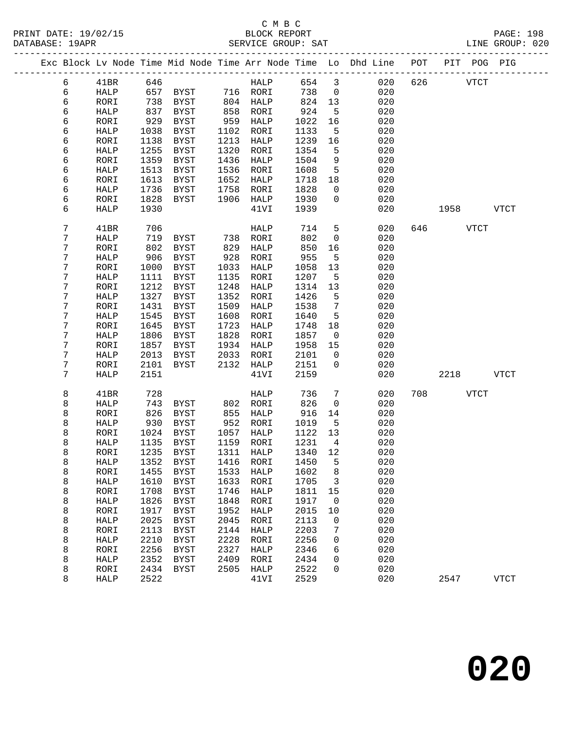## C M B C PRINT DATE: 19/02/15 BLOCK REPORT BATE: 19/02/15

|            |             |      |                                                                                |      |             |         |                 |     |     |          |      | <b>PAGE: 198</b> |
|------------|-------------|------|--------------------------------------------------------------------------------|------|-------------|---------|-----------------|-----|-----|----------|------|------------------|
|            |             |      |                                                                                |      |             |         |                 |     |     |          |      | LINE GROUP: 020  |
|            |             |      | Exc Block Lv Node Time Mid Node Time Arr Node Time Lo Dhd Line POT PIT POG PIG |      |             |         |                 |     |     |          |      |                  |
| 6          | 41BR        | 646  |                                                                                |      | HALP        |         | 654 3           |     | 020 | 626 70   | VTCT |                  |
| $\epsilon$ | HALP        |      | 657 BYST 716 RORI                                                              |      |             | 738     | $\overline{0}$  | 020 |     |          |      |                  |
| 6          | RORI        | 738  | BYST                                                                           |      | 804 HALP    | 824     | 13              | 020 |     |          |      |                  |
| 6          | HALP        |      | 837 BYST                                                                       |      | 858 RORI    | 924     | $5\overline{)}$ | 020 |     |          |      |                  |
| 6          | RORI        | 929  | BYST                                                                           | 959  | HALP        | 1022    | 16              | 020 |     |          |      |                  |
| 6          | HALP        | 1038 | BYST                                                                           | 1102 | RORI        | 1133    | 5               | 020 |     |          |      |                  |
| 6          | RORI        | 1138 | BYST                                                                           | 1213 | HALP        | 1239    | 16              | 020 |     |          |      |                  |
| 6          | HALP        | 1255 | <b>BYST</b>                                                                    | 1320 | RORI        | 1354    | 5               | 020 |     |          |      |                  |
| 6          | RORI        | 1359 | BYST                                                                           | 1436 | HALP        | 1504    | 9               | 020 |     |          |      |                  |
| 6          | HALP        | 1513 | BYST                                                                           | 1536 | RORI        | 1608    | $5^{\circ}$     | 020 |     |          |      |                  |
| 6          | RORI        | 1613 | BYST                                                                           | 1652 | HALP        | 1718    | 18              | 020 |     |          |      |                  |
| 6          | HALP        | 1736 | BYST                                                                           | 1758 | RORI        | 1828    | $\overline{0}$  | 020 |     |          |      |                  |
| 6          | RORI        | 1828 | BYST                                                                           | 1906 | HALP        | 1930    | $\overline{0}$  | 020 |     |          |      |                  |
| 6          | HALP        | 1930 |                                                                                |      | 41VI        | 1939    |                 | 020 |     |          |      | 1958 VTCT        |
| 7          | 41BR        | 706  |                                                                                |      | HALP        | 714     | 5 <sub>5</sub>  | 020 |     | 646 VTCT |      |                  |
| 7          | HALP        | 719  | BYST                                                                           |      | 738 RORI    | 802     | $\overline{0}$  | 020 |     |          |      |                  |
| 7          | RORI        | 802  | <b>BYST</b>                                                                    | 829  | HALP        | 850     | 16              | 020 |     |          |      |                  |
| 7          | HALP        | 906  | <b>BYST</b>                                                                    | 928  | RORI        | 955     | 5               | 020 |     |          |      |                  |
| 7          | RORI        | 1000 | BYST                                                                           | 1033 | HALP        | 1058    | 13              | 020 |     |          |      |                  |
| 7          | HALP        | 1111 | BYST                                                                           | 1135 | RORI        | 1207    | 5               | 020 |     |          |      |                  |
| 7          | RORI        | 1212 | <b>BYST</b>                                                                    | 1248 | HALP        | 1314    | 13              | 020 |     |          |      |                  |
| 7          | HALP        | 1327 | BYST                                                                           | 1352 | RORI        | 1426    | 5               | 020 |     |          |      |                  |
| 7          | RORI        | 1431 | <b>BYST</b>                                                                    | 1509 | HALP        | 1538    | $7\overline{ }$ | 020 |     |          |      |                  |
| 7          | HALP        | 1545 | BYST                                                                           | 1608 | RORI        | 1640    | 5               | 020 |     |          |      |                  |
| 7          | RORI        | 1645 | BYST                                                                           | 1723 | HALP        | 1748    | 18              | 020 |     |          |      |                  |
| 7          | HALP        | 1806 | BYST                                                                           | 1828 | RORI        | 1857    | $\overline{0}$  | 020 |     |          |      |                  |
| 7          | RORI        | 1857 | BYST                                                                           | 1934 | HALP        | 1958    | 15              | 020 |     |          |      |                  |
| 7          | HALP        | 2013 | BYST                                                                           | 2033 | RORI        | 2101    | $\overline{0}$  | 020 |     |          |      |                  |
| 7          | RORI        | 2101 | BYST                                                                           | 2132 | HALP        | 2151    | $\overline{0}$  | 020 |     |          |      |                  |
| 7          | HALP        | 2151 |                                                                                |      | 41VI        | 2159    |                 | 020 |     |          |      | 2218 VTCT        |
|            |             |      |                                                                                |      |             |         |                 |     |     |          |      |                  |
| 8          | 41BR        | 728  |                                                                                |      | HALP        | 736     | 7               | 020 |     | 708 VTCT |      |                  |
| 8          | <b>HALP</b> | 743  | BYST                                                                           |      | 802 RORI    | 826     | $\overline{0}$  | 020 |     |          |      |                  |
| 8          | RORI        | 826  | BYST                                                                           | 855  | HALP        | 916     | 14              | 020 |     |          |      |                  |
| 8          | HALP        | 930  | BYST                                                                           | 952  | RORI        | 1019    | $5^{\circ}$     | 020 |     |          |      |                  |
| 8          | RORI        |      | 1024 BYST                                                                      |      | 1057 HALP   | 1122 13 |                 | 020 |     |          |      |                  |
| 8          | HALP        | 1135 | <b>BYST</b>                                                                    | 1159 | RORI        | 1231    | 4               | 020 |     |          |      |                  |
| 8          | RORI        | 1235 | <b>BYST</b>                                                                    | 1311 | <b>HALP</b> | 1340    | 12              | 020 |     |          |      |                  |
| 8          | HALP        | 1352 | <b>BYST</b>                                                                    | 1416 | RORI        | 1450    | 5               | 020 |     |          |      |                  |
| 8          | RORI        | 1455 | <b>BYST</b>                                                                    | 1533 | HALP        | 1602    | 8               | 020 |     |          |      |                  |
| 8          | HALP        | 1610 | <b>BYST</b>                                                                    | 1633 | RORI        | 1705    | 3               | 020 |     |          |      |                  |
| 8          | RORI        | 1708 | <b>BYST</b>                                                                    | 1746 | HALP        | 1811    | 15              | 020 |     |          |      |                  |
| 8          | HALP        | 1826 | <b>BYST</b>                                                                    | 1848 | RORI        | 1917    | 0               | 020 |     |          |      |                  |
| 8          | RORI        | 1917 | <b>BYST</b>                                                                    | 1952 | HALP        | 2015    | 10              | 020 |     |          |      |                  |
| 8          | HALP        | 2025 | <b>BYST</b>                                                                    | 2045 | RORI        | 2113    | 0               | 020 |     |          |      |                  |
| 8          | RORI        | 2113 | <b>BYST</b>                                                                    | 2144 | <b>HALP</b> | 2203    | 7               | 020 |     |          |      |                  |
| 8          | HALP        | 2210 | <b>BYST</b>                                                                    | 2228 | RORI        | 2256    | 0               | 020 |     |          |      |                  |
| 8          | RORI        | 2256 | <b>BYST</b>                                                                    | 2327 | <b>HALP</b> | 2346    | 6               | 020 |     |          |      |                  |
| 8          | HALP        | 2352 | <b>BYST</b>                                                                    | 2409 | RORI        | 2434    | 0               | 020 |     |          |      |                  |
| 8          | RORI        | 2434 | <b>BYST</b>                                                                    | 2505 | <b>HALP</b> | 2522    | 0               | 020 |     |          |      |                  |
| 8          | HALP        | 2522 |                                                                                |      | 41VI        | 2529    |                 | 020 |     | 2547     |      | <b>VTCT</b>      |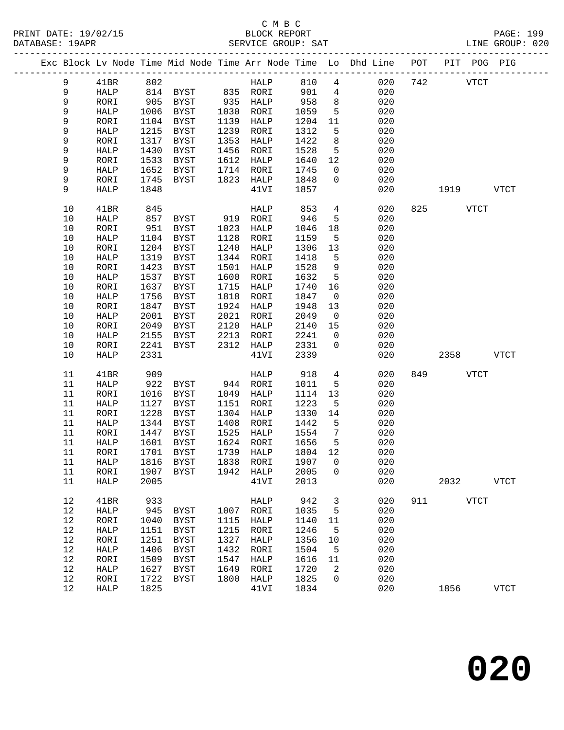#### C M B C<br>BLOCK REPORT PRINT DATE: 19/02/15 BLOCK REPORT PAGE: 199 SERVICE GROUP: SAT

|  |            |              |              |                            |              |              |              |                 | Exc Block Lv Node Time Mid Node Time Arr Node Time Lo Dhd Line POT |     | PIT POG PIG |             |
|--|------------|--------------|--------------|----------------------------|--------------|--------------|--------------|-----------------|--------------------------------------------------------------------|-----|-------------|-------------|
|  | 9          | 41BR         | 802          |                            |              | HALP         | 810          | $4\overline{ }$ | 020                                                                | 742 | <b>VTCT</b> |             |
|  | 9          | HALP         |              | 814 BYST                   |              | 835 RORI     | 901          | $\overline{4}$  | 020                                                                |     |             |             |
|  | 9          | RORI         | 905          | BYST                       | 935          | HALP         | 958          | 8               | 020                                                                |     |             |             |
|  | 9          | HALP         | 1006         | BYST                       |              | 1030 RORI    | 1059         | $5\overline{5}$ | 020                                                                |     |             |             |
|  | 9          | RORI         | 1104         | BYST                       | 1139         | HALP         | 1204         | 11              | 020                                                                |     |             |             |
|  | 9          | HALP         | 1215         | BYST                       | 1239         | RORI         | 1312         | 5               | 020                                                                |     |             |             |
|  | 9          | RORI         | 1317         | <b>BYST</b>                | 1353         | HALP         | 1422         | 8               | 020                                                                |     |             |             |
|  | 9          | ${\tt HALP}$ | 1430         | BYST                       | 1456         | RORI         | 1528         | $5\overline{5}$ | 020                                                                |     |             |             |
|  | 9          | RORI         | 1533         | BYST                       | 1612         | HALP         | 1640         | 12              | 020                                                                |     |             |             |
|  | 9          | HALP         | 1652         | BYST                       | 1714         | RORI         | 1745         | $\overline{0}$  | 020                                                                |     |             |             |
|  | 9          | RORI         | 1745         | BYST                       | 1823         | HALP         | 1848         | $\mathbf{0}$    | 020                                                                |     |             |             |
|  | 9          | <b>HALP</b>  | 1848         |                            |              | 41VI         | 1857         |                 | 020                                                                |     | 1919        | <b>VTCT</b> |
|  |            |              |              |                            |              |              |              |                 |                                                                    |     |             |             |
|  | 10         | 41BR         | 845          |                            |              | HALP         | 853          | $4\overline{ }$ | 020                                                                | 825 | <b>VTCT</b> |             |
|  | 10         | HALP         | 857          | BYST                       | 919          | RORI         | 946          | 5               | 020                                                                |     |             |             |
|  | 10         | RORI         | 951          | BYST                       | 1023         | HALP         | 1046         | 18              | 020                                                                |     |             |             |
|  | $10$       | HALP         | 1104         | BYST                       | 1128         | RORI         | 1159         | $5^{\circ}$     | 020                                                                |     |             |             |
|  | $10$       | RORI         | 1204         | BYST                       | 1240         | HALP         | 1306         | 13              | 020                                                                |     |             |             |
|  | 10         | HALP         | 1319         | BYST                       | 1344         | RORI         | 1418         | 5               | 020                                                                |     |             |             |
|  | 10         | RORI         | 1423         | <b>BYST</b>                | 1501         | HALP         | 1528         | 9               | 020                                                                |     |             |             |
|  | $10$       | ${\tt HALP}$ | 1537         | BYST                       | 1600         | RORI         | 1632         | $5\overline{5}$ | 020                                                                |     |             |             |
|  | $10$       | RORI         | 1637         | BYST                       | 1715         | HALP         | 1740         | 16              | 020                                                                |     |             |             |
|  | 10         | HALP         | 1756         | <b>BYST</b>                | 1818         | RORI         | 1847         | $\overline{0}$  | 020                                                                |     |             |             |
|  | 10         | RORI         | 1847         | <b>BYST</b>                | 1924         | HALP         | 1948         | 13              | 020                                                                |     |             |             |
|  | $10$       | HALP         | 2001         | BYST                       | 2021         | RORI         | 2049         | $\overline{0}$  | 020                                                                |     |             |             |
|  | $10$       | RORI         | 2049         | BYST                       | 2120         | HALP         | 2140         | 15              | 020                                                                |     |             |             |
|  | $10$       | HALP         | 2155         | BYST                       | 2213         | RORI         | 2241         | $\mathsf{O}$    | 020                                                                |     |             |             |
|  | 10         | RORI         | 2241         | BYST                       | 2312         | HALP         | 2331         | $\mathbf 0$     | 020                                                                |     |             |             |
|  | 10         | <b>HALP</b>  | 2331         |                            |              | 41VI         | 2339         |                 | 020                                                                |     | 2358        | <b>VTCT</b> |
|  |            |              |              |                            |              |              |              |                 |                                                                    |     |             |             |
|  | 11         | 41BR         | 909          |                            |              | HALP         | 918          | 4               | 020                                                                | 849 | <b>VTCT</b> |             |
|  | 11         | HALP         | 922          | BYST                       |              | 944 RORI     | 1011         | 5               | 020                                                                |     |             |             |
|  | 11         | RORI         | 1016         | BYST                       | 1049         | HALP         | 1114         | 13              | 020                                                                |     |             |             |
|  | 11         | HALP         | 1127         | BYST                       | 1151         | RORI         | 1223         | 5               | 020                                                                |     |             |             |
|  | 11         | RORI         | 1228         | BYST                       | 1304         | HALP         | 1330         | 14              | 020                                                                |     |             |             |
|  | 11         | HALP         | 1344         | BYST                       | 1408         | RORI         | 1442         | 5               | 020                                                                |     |             |             |
|  | 11         | RORI         | 1447         | BYST                       | 1525         | HALP         | 1554         | $7\overline{ }$ | 020                                                                |     |             |             |
|  | 11         | HALP         | 1601         | BYST                       | 1624         | RORI         | 1656         | 5               | 020                                                                |     |             |             |
|  | 11         | RORI         |              | 1701 BYST                  | 1739         | HALP         | 1804 12      |                 | 020                                                                |     |             |             |
|  | 11         | HALP         | 1816         | <b>BYST</b>                | 1838         | RORI         | 1907         | 0               | 020                                                                |     |             |             |
|  | 11         | RORI         | 1907         | <b>BYST</b>                | 1942         | HALP         | 2005         | 0               | 020                                                                |     |             |             |
|  | 11         | HALP         | 2005         |                            |              | 41VI         | 2013         |                 | 020                                                                |     | 2032        | <b>VTCT</b> |
|  |            |              |              |                            |              |              |              |                 | 020                                                                | 911 | <b>VTCT</b> |             |
|  | 12         | 41BR         | 933          |                            |              | HALP         | 942          | 3               |                                                                    |     |             |             |
|  | 12<br>$12$ | HALP         | 945          | BYST                       | 1007<br>1115 | RORI         | 1035<br>1140 | 5               | 020<br>020                                                         |     |             |             |
|  | 12         | RORI         | 1040         | BYST                       | 1215         | HALP<br>RORI | 1246         | 11              | 020                                                                |     |             |             |
|  | 12         | HALP<br>RORI | 1151<br>1251 | <b>BYST</b><br><b>BYST</b> | 1327         | HALP         | 1356         | 5<br>10         | 020                                                                |     |             |             |
|  | 12         | HALP         | 1406         | <b>BYST</b>                | 1432         | RORI         | 1504         | 5               | 020                                                                |     |             |             |
|  | 12         | RORI         | 1509         | <b>BYST</b>                | 1547         | HALP         | 1616         | 11              | 020                                                                |     |             |             |
|  | 12         | HALP         | 1627         | BYST                       | 1649         | RORI         | 1720         | 2               | 020                                                                |     |             |             |
|  | 12         | RORI         | 1722         | <b>BYST</b>                | 1800         | <b>HALP</b>  | 1825         | 0               | 020                                                                |     |             |             |
|  | 12         | HALP         | 1825         |                            |              | 41VI         | 1834         |                 | 020                                                                |     | 1856        | <b>VTCT</b> |
|  |            |              |              |                            |              |              |              |                 |                                                                    |     |             |             |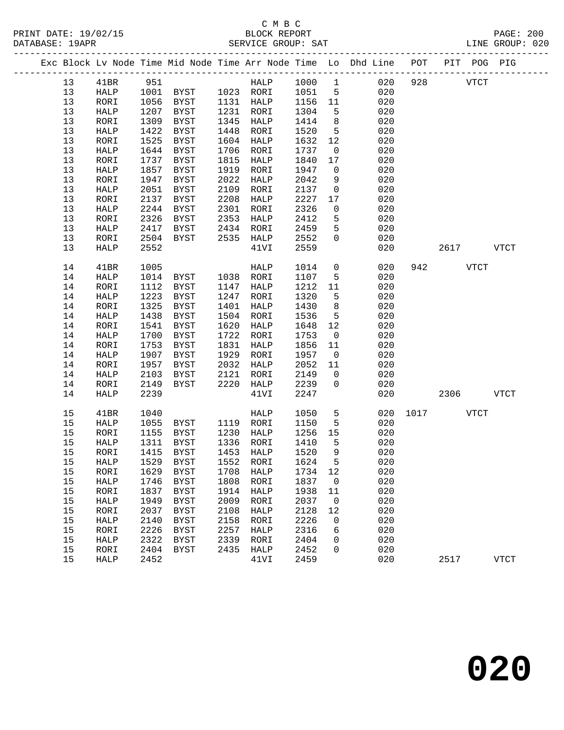# C M B C<br>BLOCK REPORT

| DATABASE: 19APR |  |    |              |      |                |      | SERVICE GROUP: SAT            |        |                 | LINE GROUP: 020                                                                |               |           |             |  |
|-----------------|--|----|--------------|------|----------------|------|-------------------------------|--------|-----------------|--------------------------------------------------------------------------------|---------------|-----------|-------------|--|
|                 |  |    |              |      |                |      |                               |        |                 | Exc Block Lv Node Time Mid Node Time Arr Node Time Lo Dhd Line POT PIT POG PIG |               |           |             |  |
|                 |  | 13 | 41BR         | 951  |                |      | HALP 1000 1                   |        |                 | 020                                                                            |               | 928 VTCT  |             |  |
|                 |  | 13 | HALP         |      |                |      | 1001 BYST 1023 RORI           | 1051 5 |                 | 020                                                                            |               |           |             |  |
|                 |  | 13 | RORI         | 1056 | BYST 1131 HALP |      |                               | 1156   | 11              | 020                                                                            |               |           |             |  |
|                 |  | 13 | HALP         | 1207 | BYST           |      | 1231 RORI                     | 1304   | $5^{\circ}$     | 020                                                                            |               |           |             |  |
|                 |  | 13 | RORI         | 1309 | BYST           | 1345 | HALP                          | 1414   | 8 <sup>8</sup>  | 020                                                                            |               |           |             |  |
|                 |  | 13 | HALP         | 1422 | BYST           | 1448 | RORI                          | 1520   | $5^{\circ}$     | 020                                                                            |               |           |             |  |
|                 |  | 13 | RORI         | 1525 | BYST           |      | 1604 HALP                     | 1632   | 12              | 020                                                                            |               |           |             |  |
|                 |  | 13 | HALP         | 1644 | BYST           | 1706 | RORI                          | 1737   | $\overline{0}$  | 020                                                                            |               |           |             |  |
|                 |  | 13 | RORI         | 1737 | BYST           | 1815 | HALP                          | 1840   | 17              | 020                                                                            |               |           |             |  |
|                 |  | 13 | HALP         | 1857 | BYST           | 1919 | RORI                          | 1947   | $\overline{0}$  | 020                                                                            |               |           |             |  |
|                 |  | 13 | RORI         | 1947 | BYST           | 2022 | HALP                          | 2042   | 9               | 020                                                                            |               |           |             |  |
|                 |  | 13 | HALP         | 2051 | BYST           | 2109 | RORI                          | 2137   | $\overline{0}$  | 020                                                                            |               |           |             |  |
|                 |  | 13 | RORI         | 2137 | BYST           | 2208 | HALP                          | 2227   | 17              | 020                                                                            |               |           |             |  |
|                 |  | 13 | ${\tt HALP}$ | 2244 | BYST           | 2301 | RORI                          | 2326   | $\mathsf{O}$    | 020                                                                            |               |           |             |  |
|                 |  | 13 | RORI         | 2326 | BYST           | 2353 | HALP                          | 2412   | 5               | 020                                                                            |               |           |             |  |
|                 |  | 13 | HALP         | 2417 | BYST           |      | 2434 RORI                     | 2459   | 5               | 020                                                                            |               |           |             |  |
|                 |  | 13 | RORI         | 2504 | BYST           |      | 2535 HALP                     | 2552   | $\mathbf 0$     | 020                                                                            |               |           |             |  |
|                 |  | 13 | HALP         | 2552 |                |      | 41VI                          | 2559   |                 | 020                                                                            |               | 2617 VTCT |             |  |
|                 |  | 14 | 41BR         | 1005 |                |      | HALP                          | 1014   | $\overline{0}$  | 020                                                                            |               | 942 VTCT  |             |  |
|                 |  | 14 | HALP         | 1014 | BYST 1038 RORI |      |                               | 1107   | $5^{\circ}$     | 020                                                                            |               |           |             |  |
|                 |  | 14 | RORI         | 1112 | BYST           |      | 1147 HALP                     | 1212   | 11              | 020                                                                            |               |           |             |  |
|                 |  | 14 | HALP         | 1223 | BYST           |      | 1247 RORI                     | 1320   | $5^{\circ}$     | 020                                                                            |               |           |             |  |
|                 |  | 14 | RORI         | 1325 | BYST           | 1401 | HALP                          | 1430   | 8 <sup>8</sup>  | 020                                                                            |               |           |             |  |
|                 |  | 14 | HALP         | 1438 | BYST           | 1504 | RORI                          | 1536   | $5^{\circ}$     | 020                                                                            |               |           |             |  |
|                 |  | 14 | RORI         | 1541 | BYST           | 1620 | HALP                          | 1648   | 12              | 020                                                                            |               |           |             |  |
|                 |  | 14 | HALP         | 1700 | BYST           | 1722 | RORI                          | 1753   | $\overline{0}$  | 020                                                                            |               |           |             |  |
|                 |  | 14 | RORI         | 1753 | BYST           | 1831 | HALP                          | 1856   | 11              | 020                                                                            |               |           |             |  |
|                 |  | 14 | HALP         | 1907 | BYST           | 1929 | RORI                          | 1957   | $\overline{0}$  | 020                                                                            |               |           |             |  |
|                 |  | 14 | RORI         | 1957 | BYST           |      | 2032 HALP                     | 2052   | 11              | 020                                                                            |               |           |             |  |
|                 |  | 14 | HALP         | 2103 | BYST           | 2121 | RORI                          | 2149   | $\overline{0}$  | 020                                                                            |               |           |             |  |
|                 |  | 14 | RORI         | 2149 | BYST           | 2220 | HALP                          | 2239   | $\Omega$        | 020                                                                            |               |           |             |  |
|                 |  | 14 | HALP         | 2239 |                |      | 41VI                          | 2247   |                 | 020                                                                            |               | 2306      | VTCT        |  |
|                 |  | 15 | 41BR         | 1040 |                |      | HALP                          | 1050   | $5\overline{)}$ |                                                                                | 020 1017 VTCT |           |             |  |
|                 |  | 15 | HALP         | 1055 | BYST 1119 RORI |      |                               | 1150   | $5^{\circ}$     | 020                                                                            |               |           |             |  |
|                 |  | 15 | RORI         | 1155 | BYST           |      | 1230 HALP<br>1336 RORI        | 1256   | 15              | 020                                                                            |               |           |             |  |
|                 |  | 15 | HALP         |      | 1311 BYST      |      |                               | 1410   | $5^{\circ}$     | 020                                                                            |               |           |             |  |
|                 |  | 15 |              |      |                |      | RORI 1415 BYST 1453 HALP 1520 |        | 9               | 020                                                                            |               |           |             |  |
|                 |  | 15 | HALP         | 1529 | BYST           | 1552 | RORI                          | 1624   | 5               | 020                                                                            |               |           |             |  |
|                 |  | 15 | RORI         | 1629 | BYST           | 1708 | HALP                          | 1734   | 12              | 020                                                                            |               |           |             |  |
|                 |  | 15 | HALP         | 1746 | BYST           | 1808 | RORI                          | 1837   | $\overline{0}$  | 020                                                                            |               |           |             |  |
|                 |  | 15 | RORI         | 1837 | <b>BYST</b>    | 1914 | HALP                          | 1938   | 11              | 020                                                                            |               |           |             |  |
|                 |  | 15 | HALP         | 1949 | BYST           | 2009 | RORI                          | 2037   | $\mathbf 0$     | 020                                                                            |               |           |             |  |
|                 |  | 15 | RORI         | 2037 | <b>BYST</b>    | 2108 | ${\tt HALP}$                  | 2128   | 12              | 020                                                                            |               |           |             |  |
|                 |  | 15 | HALP         | 2140 | BYST           | 2158 | RORI                          | 2226   | 0               | 020                                                                            |               |           |             |  |
|                 |  | 15 | RORI         | 2226 | <b>BYST</b>    | 2257 | HALP                          | 2316   | 6               | 020                                                                            |               |           |             |  |
|                 |  | 15 | HALP         | 2322 | BYST           | 2339 | RORI                          | 2404   | 0               | 020                                                                            |               |           |             |  |
|                 |  | 15 | RORI         | 2404 | BYST           | 2435 | HALP                          | 2452   | $\Omega$        | 020                                                                            |               |           |             |  |
|                 |  | 15 | <b>HALP</b>  | 2452 |                |      | 41VI                          | 2459   |                 | 020                                                                            |               | 2517      | <b>VTCT</b> |  |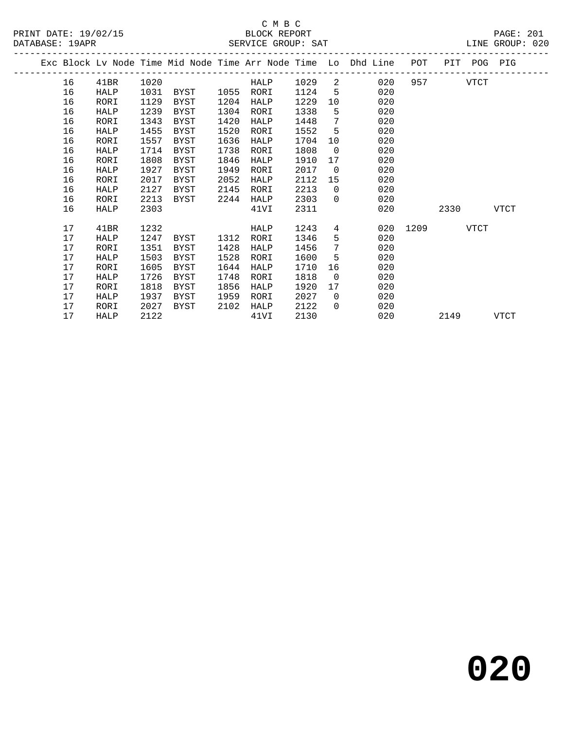PRINT DATE: 19/02/15 BLOCK REPORT BATABASE: 19APR

# C M B C<br>BLOCK REPORT

PAGE: 201<br>LINE GROUP: 020

|    |             |      |             |      | DERVICE GROOT, DAI |      |                 |                                                                                |          |      |             |             |
|----|-------------|------|-------------|------|--------------------|------|-----------------|--------------------------------------------------------------------------------|----------|------|-------------|-------------|
|    |             |      |             |      |                    |      |                 | Exc Block Lv Node Time Mid Node Time Arr Node Time Lo Dhd Line POT PIT POG PIG |          |      |             |             |
| 16 | 41BR        | 1020 |             |      | HALP               | 1029 | 2               | 020                                                                            | 957 — 10 |      | VTCT        |             |
| 16 | HALP        | 1031 | BYST        | 1055 | RORI               | 1124 | $5^{\circ}$     | 020                                                                            |          |      |             |             |
| 16 | RORI        | 1129 | BYST        | 1204 | HALP               | 1229 | 10              | 020                                                                            |          |      |             |             |
| 16 | HALP        | 1239 | BYST        | 1304 | RORI               | 1338 | 5               | 020                                                                            |          |      |             |             |
| 16 | RORI        | 1343 | BYST        | 1420 | HALP               | 1448 | $7\phantom{.0}$ | 020                                                                            |          |      |             |             |
| 16 | HALP        | 1455 | BYST        | 1520 | RORI               | 1552 | 5               | 020                                                                            |          |      |             |             |
| 16 | RORI        | 1557 | BYST        | 1636 | HALP               | 1704 | 10 <sup>°</sup> | 020                                                                            |          |      |             |             |
| 16 | <b>HALP</b> | 1714 | <b>BYST</b> | 1738 | RORI               | 1808 | $\overline{0}$  | 020                                                                            |          |      |             |             |
| 16 | RORI        | 1808 | <b>BYST</b> | 1846 | HALP               | 1910 | 17              | 020                                                                            |          |      |             |             |
| 16 | HALP        | 1927 | BYST        | 1949 | RORI               | 2017 | $\Omega$        | 020                                                                            |          |      |             |             |
| 16 | RORI        | 2017 | BYST        | 2052 | HALP               | 2112 | 15              | 020                                                                            |          |      |             |             |
| 16 | HALP        | 2127 | BYST        | 2145 | RORI               | 2213 | $\Omega$        | 020                                                                            |          |      |             |             |
| 16 | RORI        | 2213 | BYST        | 2244 | HALP               | 2303 | $\Omega$        | 020                                                                            |          |      |             |             |
| 16 | HALP        | 2303 |             |      | 41VI               | 2311 |                 | 020                                                                            |          | 2330 |             | <b>VTCT</b> |
| 17 | 41BR        | 1232 |             |      | HALP               | 1243 | 4               | 020                                                                            | 1209     |      | <b>VTCT</b> |             |
| 17 | HALP        | 1247 | BYST        | 1312 | RORI               | 1346 | 5               | 020                                                                            |          |      |             |             |
| 17 | RORI        | 1351 | BYST        | 1428 | HALP               | 1456 | $7\phantom{.0}$ | 020                                                                            |          |      |             |             |
| 17 | HALP        | 1503 | BYST        | 1528 | RORI               | 1600 | 5               | 020                                                                            |          |      |             |             |
| 17 | RORI        | 1605 | <b>BYST</b> | 1644 | HALP               | 1710 | 16              | 020                                                                            |          |      |             |             |
| 17 | HALP        | 1726 | <b>BYST</b> | 1748 | RORI               | 1818 | $\mathbf 0$     | 020                                                                            |          |      |             |             |
| 17 | RORI        | 1818 | <b>BYST</b> | 1856 | HALP               | 1920 | 17              | 020                                                                            |          |      |             |             |
| 17 | HALP        | 1937 | <b>BYST</b> | 1959 | RORI               | 2027 | $\overline{0}$  | 020                                                                            |          |      |             |             |
| 17 | RORI        | 2027 | BYST        | 2102 | HALP               | 2122 | $\Omega$        | 020                                                                            |          |      |             |             |
| 17 | HALP        | 2122 |             |      | 41VI               | 2130 |                 | 020                                                                            |          | 2149 |             | <b>VTCT</b> |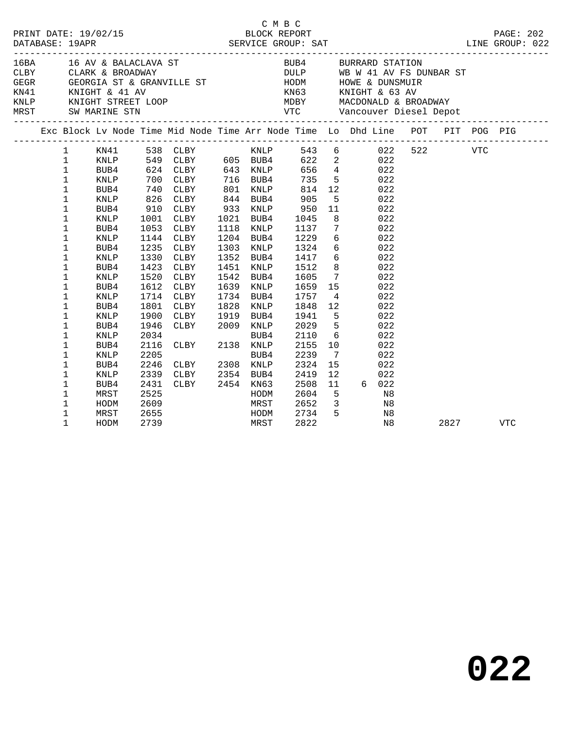|  |                                                                                                                                                                                                                                                                                    |                                                                                                                                                                     |                                                                                      |                                                                                                                                                                                                                                                                             |                      |                                                                                                                                                                          | CMBC                                                                                                                                                              |                                                                                                                                                             |                                                                                                                                                                                                                                                                                                              |          |  |
|--|------------------------------------------------------------------------------------------------------------------------------------------------------------------------------------------------------------------------------------------------------------------------------------|---------------------------------------------------------------------------------------------------------------------------------------------------------------------|--------------------------------------------------------------------------------------|-----------------------------------------------------------------------------------------------------------------------------------------------------------------------------------------------------------------------------------------------------------------------------|----------------------|--------------------------------------------------------------------------------------------------------------------------------------------------------------------------|-------------------------------------------------------------------------------------------------------------------------------------------------------------------|-------------------------------------------------------------------------------------------------------------------------------------------------------------|--------------------------------------------------------------------------------------------------------------------------------------------------------------------------------------------------------------------------------------------------------------------------------------------------------------|----------|--|
|  |                                                                                                                                                                                                                                                                                    |                                                                                                                                                                     |                                                                                      | 16BA 16 AV & BALACLAVA ST                                                                                                                                                                                                                                                   |                      |                                                                                                                                                                          |                                                                                                                                                                   |                                                                                                                                                             | BUB4 BURRARD STATION<br>CLBY CLARK & BROADWAY DULP WB W 41 AV FS DUNBAR ST GEGR GEORGIA ST & GRANVILLE ST HODM HOWE & DUNSMUIR KN41 KNIGHT & 41 AV<br>KNLP<br>KNIGHT STREET LOOP<br>MEST SW MARINE STN THE STREET VIC VANCOONALD & BROADWAY<br>MEST SW MARINE STN VTC Vancouver Diesel Depot                 |          |  |
|  |                                                                                                                                                                                                                                                                                    |                                                                                                                                                                     |                                                                                      |                                                                                                                                                                                                                                                                             |                      |                                                                                                                                                                          |                                                                                                                                                                   |                                                                                                                                                             |                                                                                                                                                                                                                                                                                                              |          |  |
|  | $\mathbf{1}$<br>$\mathbf{1}$<br>$\mathbf{1}$<br>$\mathbf 1$<br>$\mathbf 1$<br>$\mathbf 1$<br>1<br>1<br>$\mathbf 1$<br>$\mathbf 1$<br>$\mathbf 1$<br>$\mathbf 1$<br>$\mathbf 1$<br>$\mathbf 1$<br>1<br>1<br>$\mathbf 1$<br>1<br>1<br>$\mathbf 1$<br>$\mathbf 1$<br>1<br>$\mathbf 1$ | KNLP<br>BUB4<br>KNLP<br>BUB4<br>KNLP<br>BUB4<br>KNLP<br>BUB4<br>KNLP<br>BUB4<br>KNLP<br>BUB4<br>KNLP<br>BUB4<br>KNLP<br>BUB4<br>KNLP<br>BUB4<br><b>KNLP</b><br>BUB4 | 1330<br>1423<br>1520<br>1801<br>1900<br>1946<br>2034<br>2116<br>2205<br>2246<br>2339 | 700 CLBY 716 BUB4<br>740 CLBY<br>826 CLBY<br>910 CLBY<br>1001 CLBY<br>1053 CLBY<br>1144 CLBY<br>1235 CLBY<br>CLBY<br>CLBY<br>CLBY<br>1612 CLBY<br>1714 CLBY<br>CLBY<br>CLBY<br>CLBY 1919 BUB4<br>CLBY 2009 KNLP<br>BUB4<br>CLBY<br>CLBY 2138 KNLP<br>CLBY 2308 KNLP<br>CLBY | 1451<br>1542<br>1828 | 801 KNLP<br>844 BUB4<br>933 KNLP<br>1021 BUB4<br>1118 KNLP<br>1204 BUB4<br>1303 KNLP<br>1352 BUB4<br>KNLP<br>BUB4<br>1639 KNLP<br>1734 BUB4<br>KNLP<br>BUB4<br>2354 BUB4 | 814<br>905<br>950<br>1045<br>1137<br>1229<br>1324<br>1417<br>1512<br>1605<br>1659<br>1757<br>1848<br>1941<br>2029<br>2029<br>2110<br>2155<br>2239<br>2324<br>2419 | 5 <sub>5</sub><br>11<br>8 <sup>8</sup><br>$7\overline{ }$<br>$\overline{4}$<br>12<br>$5^{\circ}$<br>5 <sup>5</sup><br>6<br>10<br>$\overline{7}$<br>15<br>12 | 735 5 022<br>$\begin{array}{ccc} 12 & 022 \end{array}$<br>022<br>022<br>022<br>022<br>$\begin{array}{c} 6 \\ 6 \end{array}$<br>022<br>022<br>6 <sup>6</sup><br>022<br>8<br>022<br>$\frac{7}{15}$<br>022<br>022<br>022<br>022<br>$\begin{array}{c} 022 \\ 022 \end{array}$<br>022<br>022<br>022<br>022<br>022 |          |  |
|  | 1<br>$\mathbf 1$<br>1<br>$\mathbf 1$<br>1<br>$\mathbf 1$                                                                                                                                                                                                                           | KNLP<br>BUB4<br>MRST<br>HODM<br>MRST<br>HODM                                                                                                                        | 2431<br>2525<br>2609<br>2655<br>2739                                                 | CLBY 2454 KN63<br>MRST<br>HODM<br>MRST                                                                                                                                                                                                                                      |                      | HODM                                                                                                                                                                     | 2508<br>2604<br>2652<br>2734<br>2822                                                                                                                              | 11<br>$5^{\circ}$                                                                                                                                           | 6 022<br>N <sub>8</sub><br>$\begin{array}{ccc} 3 & \hspace{1.5cm} & \text{N8} \\ 5 & \hspace{1.5cm} & \text{N8} \end{array}$<br>N8                                                                                                                                                                           | 2827 VTC |  |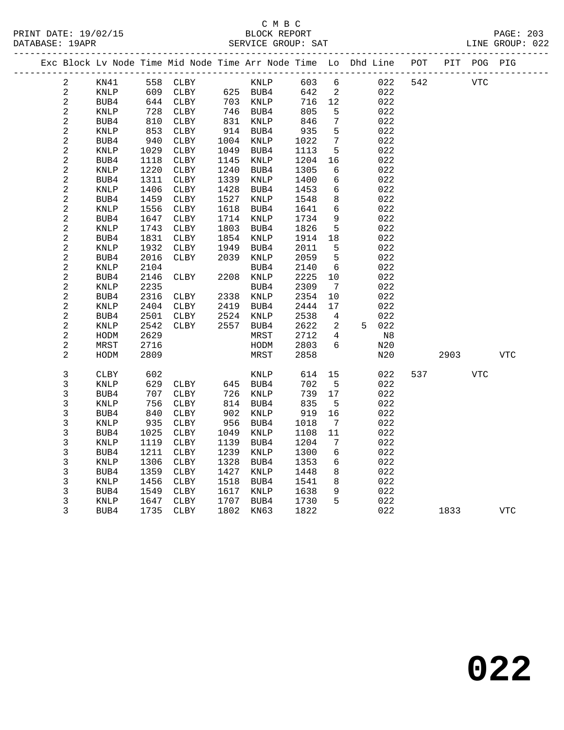### C M B C<br>BLOCK REPORT PRINT DATE: 19/02/15 BLOCK REPORT PAGE: 203 SERVICE GROUP: SAT

|  |                         |             |      | Exc Block Lv Node Time Mid Node Time Arr Node Time Lo Dhd Line POT |           |          |      |                              |       |     |            | PIT POG PIG |            |  |
|--|-------------------------|-------------|------|--------------------------------------------------------------------|-----------|----------|------|------------------------------|-------|-----|------------|-------------|------------|--|
|  | 2                       | KN41        |      | 558 CLBY                                                           |           | KNLP     | 603  | 6                            | 022   | 542 | <b>VTC</b> |             |            |  |
|  | $\overline{a}$          | <b>KNLP</b> | 609  | CLBY                                                               |           | 625 BUB4 | 642  | $\overline{2}$               | 022   |     |            |             |            |  |
|  | $\overline{\mathbf{c}}$ | BUB4        | 644  | CLBY                                                               |           | 703 KNLP | 716  | 12                           | 022   |     |            |             |            |  |
|  | $\overline{c}$          | KNLP        | 728  | CLBY                                                               |           | 746 BUB4 | 805  | 5                            | 022   |     |            |             |            |  |
|  | $\overline{c}$          | BUB4        | 810  | CLBY                                                               | 831       | KNLP     | 846  | $7\phantom{.0}$              | 022   |     |            |             |            |  |
|  | 2                       | KNLP        | 853  | CLBY                                                               | 914       | BUB4     | 935  | 5                            | 022   |     |            |             |            |  |
|  | $\sqrt{2}$              | BUB4        | 940  | CLBY                                                               | 1004      | KNLP     | 1022 | 7                            | 022   |     |            |             |            |  |
|  | 2                       | KNLP        | 1029 | CLBY                                                               | 1049      | BUB4     | 1113 | 5                            | 022   |     |            |             |            |  |
|  | $\sqrt{2}$              | BUB4        | 1118 | CLBY                                                               | 1145      | KNLP     | 1204 | 16                           | 022   |     |            |             |            |  |
|  | $\mathbf{2}$            | KNLP        | 1220 | CLBY                                                               | 1240      | BUB4     | 1305 | 6                            | 022   |     |            |             |            |  |
|  | $\sqrt{2}$              | BUB4        | 1311 | CLBY                                                               | 1339      | KNLP     | 1400 | 6                            | 022   |     |            |             |            |  |
|  | 2                       | <b>KNLP</b> | 1406 | ${\tt CLBY}$                                                       | 1428      | BUB4     | 1453 | 6                            | 022   |     |            |             |            |  |
|  | $\sqrt{2}$              | BUB4        | 1459 | CLBY                                                               | 1527      | KNLP     | 1548 | 8                            | 022   |     |            |             |            |  |
|  | $\sqrt{2}$              | KNLP        | 1556 | CLBY                                                               | 1618      | BUB4     | 1641 | 6                            | 022   |     |            |             |            |  |
|  | $\sqrt{2}$              | BUB4        | 1647 | CLBY                                                               | 1714      | KNLP     | 1734 | 9                            | 022   |     |            |             |            |  |
|  | $\sqrt{2}$              | <b>KNLP</b> | 1743 | CLBY                                                               | 1803      | BUB4     | 1826 | 5                            | 022   |     |            |             |            |  |
|  | $\sqrt{2}$              | BUB4        | 1831 | CLBY                                                               | 1854      | KNLP     | 1914 | 18                           | 022   |     |            |             |            |  |
|  | $\sqrt{2}$              | KNLP        | 1932 | CLBY                                                               | 1949      | BUB4     | 2011 | 5                            | 022   |     |            |             |            |  |
|  | $\overline{\mathbf{c}}$ | BUB4        | 2016 | CLBY                                                               | 2039      | KNLP     | 2059 | 5                            | 022   |     |            |             |            |  |
|  | $\sqrt{2}$              | KNLP        | 2104 |                                                                    |           | BUB4     | 2140 | - 6                          | 022   |     |            |             |            |  |
|  | $\sqrt{2}$              | BUB4        | 2146 | CLBY                                                               | 2208      | KNLP     | 2225 | 10                           | 022   |     |            |             |            |  |
|  | $\sqrt{2}$              | KNLP        | 2235 |                                                                    |           | BUB4     | 2309 | $7\phantom{.0}\phantom{.0}7$ | 022   |     |            |             |            |  |
|  | $\sqrt{2}$              | BUB4        | 2316 | CLBY                                                               | 2338 KNLP |          | 2354 | 10                           | 022   |     |            |             |            |  |
|  | $\sqrt{2}$              | KNLP        | 2404 | CLBY                                                               | 2419      | BUB4     | 2444 | 17                           | 022   |     |            |             |            |  |
|  | $\sqrt{2}$              | BUB4        | 2501 | CLBY                                                               | 2524      | KNLP     | 2538 | $\overline{4}$               | 022   |     |            |             |            |  |
|  | $\sqrt{2}$              | KNLP        | 2542 | CLBY                                                               | 2557      | BUB4     | 2622 | 2                            | 5 022 |     |            |             |            |  |
|  | $\sqrt{2}$              | HODM        | 2629 |                                                                    |           | MRST     | 2712 | 4                            | N8    |     |            |             |            |  |
|  | $\sqrt{2}$              | MRST        | 2716 |                                                                    |           | HODM     | 2803 | 6                            | N20   |     |            |             |            |  |
|  | 2                       | HODM        | 2809 |                                                                    |           | MRST     | 2858 |                              | N20   |     | 2903       |             | VTC        |  |
|  | 3                       | <b>CLBY</b> | 602  |                                                                    |           | KNLP     | 614  | 15                           | 022   | 537 |            | VTC         |            |  |
|  | 3                       | KNLP        | 629  | CLBY                                                               | 645 BUB4  |          | 702  | $5^{\circ}$                  | 022   |     |            |             |            |  |
|  | 3                       | BUB4        | 707  | CLBY                                                               | 726       | KNLP     | 739  | 17                           | 022   |     |            |             |            |  |
|  | 3                       | <b>KNLP</b> | 756  | CLBY                                                               | 814       | BUB4     | 835  | $5^{\circ}$                  | 022   |     |            |             |            |  |
|  | 3                       | BUB4        | 840  | CLBY                                                               | 902       | KNLP     | 919  | 16                           | 022   |     |            |             |            |  |
|  | $\mathsf{3}$            | KNLP        | 935  | CLBY                                                               | 956       | BUB4     | 1018 | $\overline{7}$               | 022   |     |            |             |            |  |
|  | 3                       | BUB4        | 1025 | CLBY                                                               | 1049      | KNLP     | 1108 | 11                           | 022   |     |            |             |            |  |
|  | 3                       | <b>KNLP</b> | 1119 | CLBY                                                               | 1139      | BUB4     | 1204 | 7                            | 022   |     |            |             |            |  |
|  | 3                       | BUB4        | 1211 | CLBY                                                               | 1239      | KNLP     | 1300 | 6                            | 022   |     |            |             |            |  |
|  | $\mathsf{3}$            | KNLP        | 1306 | CLBY                                                               | 1328      | BUB4     | 1353 | 6                            | 022   |     |            |             |            |  |
|  | $\mathsf{3}$            | BUB4        | 1359 | CLBY                                                               | 1427      | KNLP     | 1448 | 8                            | 022   |     |            |             |            |  |
|  | 3                       | KNLP        | 1456 | CLBY                                                               | 1518      | BUB4     | 1541 | 8                            | 022   |     |            |             |            |  |
|  | $\mathsf 3$             | BUB4        | 1549 | CLBY                                                               | 1617      | KNLP     | 1638 | 9                            | 022   |     |            |             |            |  |
|  | 3                       | KNLP        | 1647 | CLBY                                                               | 1707      | BUB4     | 1730 | 5                            | 022   |     |            |             |            |  |
|  | 3                       | BUB4        | 1735 | ${\tt CLBY}$                                                       | 1802      | KN63     | 1822 |                              | 022   |     | 1833       |             | <b>VTC</b> |  |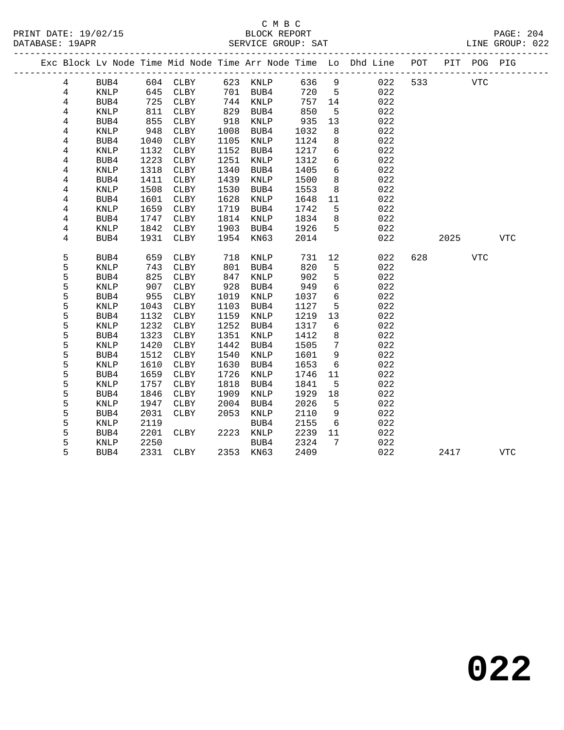## C M B C<br>BLOCK REPORT DATABASE: 19APR SERVICE GROUP: SAT LINE GROUP: 022

|  |   |             |      |             |      |           |      |                 | Exc Block Lv Node Time Mid Node Time Arr Node Time Lo Dhd Line POT |     |      | PIT POG PIG |            |
|--|---|-------------|------|-------------|------|-----------|------|-----------------|--------------------------------------------------------------------|-----|------|-------------|------------|
|  | 4 | BUB4        |      | 604 CLBY    |      | 623 KNLP  | 636  | 9               | 022                                                                | 533 |      | <b>VTC</b>  |            |
|  | 4 | KNLP        | 645  | CLBY        |      | 701 BUB4  | 720  | $5^{\circ}$     | 022                                                                |     |      |             |            |
|  | 4 | BUB4        | 725  | CLBY        | 744  | KNLP      | 757  | 14              | 022                                                                |     |      |             |            |
|  | 4 | <b>KNLP</b> | 811  | CLBY        | 829  | BUB4      | 850  | 5               | 022                                                                |     |      |             |            |
|  | 4 | BUB4        | 855  | CLBY        | 918  | KNLP      | 935  | 13              | 022                                                                |     |      |             |            |
|  | 4 | KNLP        | 948  | CLBY        | 1008 | BUB4      | 1032 | 8               | 022                                                                |     |      |             |            |
|  | 4 | BUB4        | 1040 | CLBY        | 1105 | KNLP      | 1124 | 8               | 022                                                                |     |      |             |            |
|  | 4 | <b>KNLP</b> | 1132 | CLBY        | 1152 | BUB4      | 1217 | $6\overline{6}$ | 022                                                                |     |      |             |            |
|  | 4 | BUB4        | 1223 | CLBY        | 1251 | KNLP      | 1312 | $\epsilon$      | 022                                                                |     |      |             |            |
|  | 4 | <b>KNLP</b> | 1318 | CLBY        | 1340 | BUB4      | 1405 | 6               | 022                                                                |     |      |             |            |
|  | 4 | BUB4        | 1411 | CLBY        | 1439 | KNLP      | 1500 | 8               | 022                                                                |     |      |             |            |
|  | 4 | KNLP        | 1508 | CLBY        | 1530 | BUB4      | 1553 | 8               | 022                                                                |     |      |             |            |
|  | 4 | BUB4        | 1601 | CLBY        | 1628 | KNLP      | 1648 | 11              | 022                                                                |     |      |             |            |
|  | 4 | KNLP        | 1659 | CLBY        | 1719 | BUB4      | 1742 | 5               | 022                                                                |     |      |             |            |
|  | 4 | BUB4        | 1747 | CLBY        | 1814 | KNLP      | 1834 | 8               | 022                                                                |     |      |             |            |
|  | 4 | <b>KNLP</b> | 1842 | CLBY        | 1903 | BUB4      | 1926 | 5               | 022                                                                |     |      |             |            |
|  | 4 | BUB4        | 1931 | CLBY        | 1954 | KN63      | 2014 |                 | 022                                                                |     | 2025 |             | <b>VTC</b> |
|  | 5 | BUB4        | 659  | <b>CLBY</b> | 718  | KNLP      | 731  | 12              | 022                                                                | 628 |      | <b>VTC</b>  |            |
|  | 5 | <b>KNLP</b> | 743  | CLBY        | 801  | BUB4      | 820  | 5               | 022                                                                |     |      |             |            |
|  | 5 | BUB4        | 825  | CLBY        | 847  | KNLP      | 902  | 5               | 022                                                                |     |      |             |            |
|  | 5 | KNLP        | 907  | CLBY        | 928  | BUB4      | 949  | 6               | 022                                                                |     |      |             |            |
|  | 5 | BUB4        | 955  | CLBY        | 1019 | KNLP      | 1037 | 6               | 022                                                                |     |      |             |            |
|  | 5 | <b>KNLP</b> | 1043 | CLBY        | 1103 | BUB4      | 1127 | 5               | 022                                                                |     |      |             |            |
|  | 5 | BUB4        | 1132 | CLBY        | 1159 | KNLP      | 1219 | 13              | 022                                                                |     |      |             |            |
|  | 5 | <b>KNLP</b> | 1232 | CLBY        | 1252 | BUB4      | 1317 | 6               | 022                                                                |     |      |             |            |
|  | 5 | BUB4        | 1323 | CLBY        | 1351 | KNLP      | 1412 | 8               | 022                                                                |     |      |             |            |
|  | 5 | <b>KNLP</b> | 1420 | CLBY        | 1442 | BUB4      | 1505 | 7               | 022                                                                |     |      |             |            |
|  | 5 | BUB4        | 1512 | CLBY        | 1540 | KNLP      | 1601 | 9               | 022                                                                |     |      |             |            |
|  | 5 | KNLP        | 1610 | CLBY        | 1630 | BUB4      | 1653 | 6               | 022                                                                |     |      |             |            |
|  | 5 | BUB4        | 1659 | CLBY        | 1726 | KNLP      | 1746 | 11              | 022                                                                |     |      |             |            |
|  | 5 | <b>KNLP</b> | 1757 | CLBY        | 1818 | BUB4      | 1841 | 5               | 022                                                                |     |      |             |            |
|  | 5 | BUB4        | 1846 | <b>CLBY</b> | 1909 | KNLP      | 1929 | 18              | 022                                                                |     |      |             |            |
|  | 5 | KNLP        | 1947 | CLBY        | 2004 | BUB4      | 2026 | 5               | 022                                                                |     |      |             |            |
|  | 5 | BUB4        | 2031 | <b>CLBY</b> | 2053 | KNLP      | 2110 | 9               | 022                                                                |     |      |             |            |
|  | 5 | <b>KNLP</b> | 2119 |             |      | BUB4      | 2155 | 6               | 022                                                                |     |      |             |            |
|  | 5 | BUB4        | 2201 | CLBY        | 2223 | KNLP      | 2239 | 11              | 022                                                                |     |      |             |            |
|  | 5 | KNLP        | 2250 |             |      | BUB4      | 2324 | 7               | 022                                                                |     |      |             |            |
|  | 5 | BUB4        | 2331 | CLBY        |      | 2353 KN63 | 2409 |                 | 022                                                                |     | 2417 |             | <b>VTC</b> |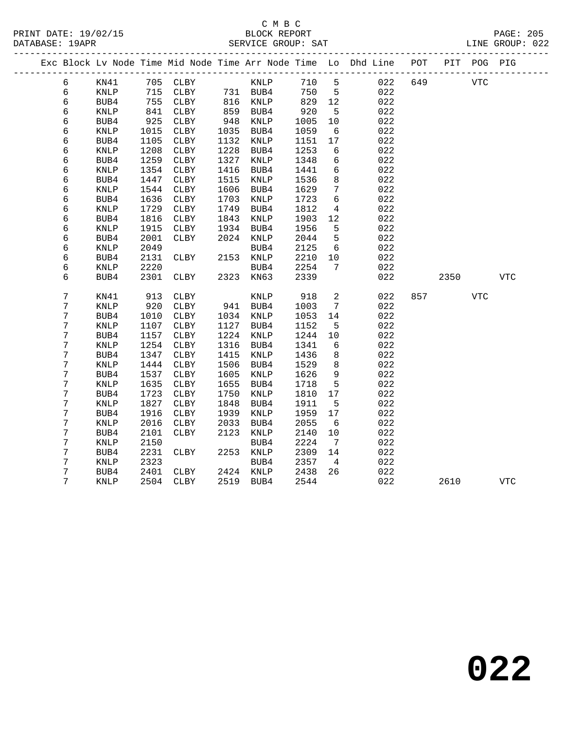|  |   |                 |      |          |      |                      |      |                 | Exc Block Lv Node Time Mid Node Time Arr Node Time Lo Dhd Line POT |     |      | PIT POG PIG |            |
|--|---|-----------------|------|----------|------|----------------------|------|-----------------|--------------------------------------------------------------------|-----|------|-------------|------------|
|  | 6 | KN41            |      | 705 CLBY |      | KNLP                 | 710  | $5^{\circ}$     | 022                                                                | 649 |      | VTC         |            |
|  | 6 | KNLP            |      | 715 CLBY |      | 731 BUB4<br>816 KNLP | 750  | $5^{\circ}$     | 022                                                                |     |      |             |            |
|  | 6 | BUB4            |      | 755 CLBY |      |                      | 829  | 12              | 022                                                                |     |      |             |            |
|  | 6 | KNLP            | 841  | CLBY     |      | 859 BUB4             | 920  | $5^{\circ}$     | 022                                                                |     |      |             |            |
|  | 6 | BUB4            | 925  | CLBY     | 948  | KNLP                 | 1005 | 10              | 022                                                                |     |      |             |            |
|  | 6 | KNLP            | 1015 | CLBY     | 1035 | BUB4                 | 1059 | 6               | 022                                                                |     |      |             |            |
|  | 6 | BUB4            | 1105 | CLBY     | 1132 | KNLP                 | 1151 | 17              | 022                                                                |     |      |             |            |
|  | 6 | KNLP            | 1208 | CLBY     | 1228 | BUB4                 | 1253 | 6               | 022                                                                |     |      |             |            |
|  | б | BUB4            | 1259 | CLBY     | 1327 | KNLP                 | 1348 | $6\overline{6}$ | 022                                                                |     |      |             |            |
|  | 6 | KNLP            | 1354 | CLBY     | 1416 | BUB4                 | 1441 | 6               | 022                                                                |     |      |             |            |
|  | 6 | BUB4            | 1447 | CLBY     | 1515 | KNLP                 | 1536 | 8               | 022                                                                |     |      |             |            |
|  | 6 | KNLP            | 1544 | CLBY     | 1606 | BUB4                 | 1629 | $7\phantom{.0}$ | 022                                                                |     |      |             |            |
|  | 6 | BUB4            | 1636 | CLBY     | 1703 | KNLP                 | 1723 | 6               | 022                                                                |     |      |             |            |
|  | б | $\texttt{KNLP}$ | 1729 | CLBY     | 1749 | BUB4                 | 1812 | $\overline{4}$  | 022                                                                |     |      |             |            |
|  | 6 | BUB4            | 1816 | CLBY     | 1843 | KNLP                 | 1903 | 12              | 022                                                                |     |      |             |            |
|  | 6 | <b>KNLP</b>     | 1915 | CLBY     | 1934 | BUB4                 | 1956 | 5               | 022                                                                |     |      |             |            |
|  | 6 | BUB4            | 2001 | CLBY     |      | 2024 KNLP            | 2044 | 5               | 022                                                                |     |      |             |            |
|  | 6 | KNLP            | 2049 |          |      | BUB4                 | 2125 | - 6             | 022                                                                |     |      |             |            |
|  | 6 | BUB4            | 2131 | CLBY     |      | 2153 KNLP            | 2210 | 10<br>7         | 022                                                                |     |      |             |            |
|  | 6 | $\texttt{KNLP}$ | 2220 |          | 2323 | BUB4                 | 2254 |                 | 022<br>022                                                         |     |      |             |            |
|  | 6 | BUB4            | 2301 | CLBY     |      | KN63                 | 2339 |                 |                                                                    |     | 2350 |             | <b>VTC</b> |
|  | 7 | KN41            | 913  | CLBY     |      | KNLP                 | 918  | 2               | 022                                                                | 857 |      | VTC         |            |
|  | 7 | $\texttt{KNLP}$ | 920  | CLBY     |      | 941 BUB4             | 1003 | $7\phantom{.0}$ | 022                                                                |     |      |             |            |
|  | 7 | BUB4            | 1010 | CLBY     |      | 1034 KNLP            | 1053 | 14              | 022                                                                |     |      |             |            |
|  | 7 | KNLP            | 1107 | CLBY     | 1127 | BUB4                 | 1152 | 5               | 022                                                                |     |      |             |            |
|  | 7 | BUB4            | 1157 | CLBY     | 1224 | KNLP                 | 1244 | 10              | 022                                                                |     |      |             |            |
|  | 7 | KNLP            | 1254 | CLBY     | 1316 | BUB4                 | 1341 | 6               | 022                                                                |     |      |             |            |
|  | 7 | BUB4            | 1347 | CLBY     | 1415 | KNLP                 | 1436 | 8               | 022                                                                |     |      |             |            |
|  | 7 | KNLP            | 1444 | CLBY     | 1506 | BUB4                 | 1529 | 8               | 022                                                                |     |      |             |            |
|  | 7 | BUB4            | 1537 | CLBY     | 1605 | KNLP                 | 1626 | 9               | 022                                                                |     |      |             |            |
|  | 7 | KNLP            | 1635 | CLBY     | 1655 | BUB4                 | 1718 | $5\phantom{.0}$ | 022                                                                |     |      |             |            |
|  | 7 | BUB4            | 1723 | CLBY     | 1750 | KNLP                 | 1810 | 17              | 022                                                                |     |      |             |            |
|  | 7 | $\textsc{KNLP}$ | 1827 | CLBY     | 1848 | BUB4                 | 1911 | 5               | 022                                                                |     |      |             |            |
|  | 7 | BUB4            | 1916 | CLBY     | 1939 | KNLP                 | 1959 | 17              | 022                                                                |     |      |             |            |
|  | 7 | <b>KNLP</b>     | 2016 | CLBY     | 2033 | BUB4                 | 2055 | 6               | 022                                                                |     |      |             |            |
|  | 7 | BUB4            | 2101 | CLBY     | 2123 | KNLP                 | 2140 | 10              | 022                                                                |     |      |             |            |
|  | 7 | KNLP            | 2150 |          |      | BUB4                 | 2224 | $\overline{7}$  | 022                                                                |     |      |             |            |
|  | 7 | BUB4            | 2231 | CLBY     |      | 2253 KNLP            | 2309 | 14              | 022                                                                |     |      |             |            |
|  | 7 | $\texttt{KNLP}$ | 2323 |          |      | BUB4                 | 2357 | $\overline{4}$  | 022                                                                |     |      |             |            |
|  | 7 | BUB4            | 2401 | CLBY     |      | 2424 KNLP            | 2438 | 26              | 022                                                                |     |      |             |            |
|  | 7 | KNLP            | 2504 | CLBY     |      | 2519 BUB4            | 2544 |                 | 022                                                                |     | 2610 |             | <b>VTC</b> |
|  |   |                 |      |          |      |                      |      |                 |                                                                    |     |      |             |            |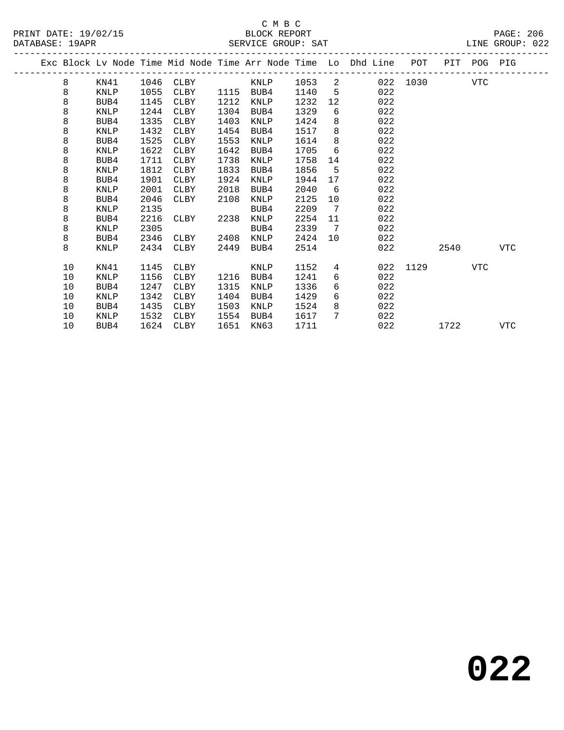## C M B C<br>BLOCK REPORT

PAGE: 206<br>LINE GROUP: 022

|  | DAIADAJE. IJAFR |             |      |             |      | OBRATOR GROOF. OHT |      |                |                                                                    |              |      |             | DINE GROOF. 022 |
|--|-----------------|-------------|------|-------------|------|--------------------|------|----------------|--------------------------------------------------------------------|--------------|------|-------------|-----------------|
|  |                 |             |      |             |      |                    |      |                | Exc Block Lv Node Time Mid Node Time Arr Node Time Lo Dhd Line POT |              |      | PIT POG PIG |                 |
|  | 8               | KN41        | 1046 | <b>CLBY</b> |      | KNLP 1053          |      |                | $\overline{2}$                                                     | 022 1030 VTC |      |             |                 |
|  | 8               | KNLP        | 1055 | CLBY        |      | 1115 BUB4          | 1140 | $-5$           | 022                                                                |              |      |             |                 |
|  | 8               | BUB4        | 1145 | CLBY        | 1212 | KNLP               | 1232 | 12             | 022                                                                |              |      |             |                 |
|  | 8               | <b>KNLP</b> | 1244 | CLBY        | 1304 | BUB4               | 1329 | 6              | 022                                                                |              |      |             |                 |
|  | 8               | BUB4        | 1335 | CLBY        | 1403 | KNLP               | 1424 | 8              | 022                                                                |              |      |             |                 |
|  | 8               | KNLP        | 1432 | CLBY        | 1454 | BUB4               | 1517 | 8              | 022                                                                |              |      |             |                 |
|  | 8               | BUB4        | 1525 | CLBY        | 1553 | KNLP               | 1614 | 8              | 022                                                                |              |      |             |                 |
|  | 8               | KNLP        | 1622 | CLBY        | 1642 | BUB4               | 1705 | 6              | 022                                                                |              |      |             |                 |
|  | 8               | BUB4        | 1711 | CLBY        | 1738 | KNLP               | 1758 | 14             | 022                                                                |              |      |             |                 |
|  | 8               | KNLP        | 1812 | CLBY        | 1833 | BUB4               | 1856 | 5              | 022                                                                |              |      |             |                 |
|  | 8               | BUB4        | 1901 | CLBY        | 1924 | KNLP               | 1944 | 17             | 022                                                                |              |      |             |                 |
|  | 8               | KNLP        | 2001 | CLBY        | 2018 | BUB4               | 2040 | 6              | 022                                                                |              |      |             |                 |
|  | 8               | BUB4        | 2046 | CLBY        | 2108 | KNLP               | 2125 | 10             | 022                                                                |              |      |             |                 |
|  | 8               | KNLP        | 2135 |             |      | BUB4               | 2209 | $\overline{7}$ | 022                                                                |              |      |             |                 |
|  | 8               | BUB4        | 2216 | CLBY        | 2238 | KNLP               | 2254 | 11             | 022                                                                |              |      |             |                 |
|  | 8               | KNLP        | 2305 |             |      | BUB4               | 2339 | $7\phantom{0}$ | 022                                                                |              |      |             |                 |
|  | 8               | BUB4        | 2346 | CLBY        | 2408 | KNLP               | 2424 | 10             | 022                                                                |              |      |             |                 |
|  | 8               | KNLP        | 2434 | CLBY        | 2449 | BUB4               | 2514 |                | 022                                                                |              | 2540 |             | VTC             |
|  | 10              | KN41        | 1145 | CLBY        |      | KNLP               | 1152 | 4              |                                                                    | 022 1129     |      | VTC         |                 |
|  | 10              | KNLP        | 1156 | CLBY        | 1216 | BUB4               | 1241 | 6              | 022                                                                |              |      |             |                 |
|  | 10              | BUB4        | 1247 | CLBY        | 1315 | KNLP               | 1336 | 6              | 022                                                                |              |      |             |                 |
|  | 10              | <b>KNLP</b> | 1342 | CLBY        | 1404 | BUB4               | 1429 | 6              | 022                                                                |              |      |             |                 |
|  | 10              | BUB4        | 1435 | CLBY        | 1503 | KNLP               | 1524 | 8              | 022                                                                |              |      |             |                 |
|  | 10              | KNLP        | 1532 | CLBY        | 1554 | BUB4               | 1617 | 7              | 022                                                                |              |      |             |                 |

10 BUB4 1624 CLBY 1651 KN63 1711 022 1722 VTC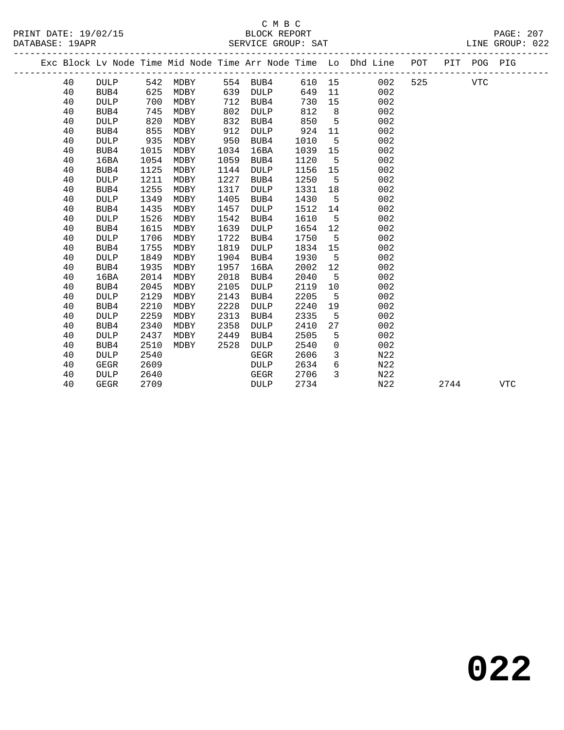|  |    |             |      | Exc Block Lv Node Time Mid Node Time Arr Node Time Lo Dhd Line POT |      |             |        |                 |                  |     |      | PIT POG PIG |            |
|--|----|-------------|------|--------------------------------------------------------------------|------|-------------|--------|-----------------|------------------|-----|------|-------------|------------|
|  | 40 | DULP        | 542  | MDBY                                                               |      | 554 BUB4    | 610 15 |                 | 002              | 525 |      | VTC         |            |
|  | 40 | BUB4        | 625  | MDBY                                                               | 639  | DULP        | 649    | 11              | 002              |     |      |             |            |
|  | 40 | <b>DULP</b> | 700  | MDBY                                                               | 712  | BUB4        | 730    | 15              | 002              |     |      |             |            |
|  | 40 | BUB4        | 745  | MDBY                                                               | 802  | <b>DULP</b> | 812    | 8               | 002              |     |      |             |            |
|  | 40 | <b>DULP</b> | 820  | MDBY                                                               | 832  | BUB4        | 850    | 5               | 002              |     |      |             |            |
|  | 40 | BUB4        | 855  | MDBY                                                               | 912  | <b>DULP</b> | 924    | 11              | 002              |     |      |             |            |
|  | 40 | <b>DULP</b> | 935  | MDBY                                                               | 950  | BUB4        | 1010   | 5               | 002              |     |      |             |            |
|  | 40 | BUB4        | 1015 | MDBY                                                               | 1034 | 16BA        | 1039   | 15              | 002              |     |      |             |            |
|  | 40 | 16BA        | 1054 | MDBY                                                               | 1059 | BUB4        | 1120   | 5               | 002              |     |      |             |            |
|  | 40 | BUB4        | 1125 | MDBY                                                               | 1144 | DULP        | 1156   | 15              | 002              |     |      |             |            |
|  | 40 | <b>DULP</b> | 1211 | MDBY                                                               | 1227 | BUB4        | 1250   | 5               | 002              |     |      |             |            |
|  | 40 | BUB4        | 1255 | MDBY                                                               | 1317 | <b>DULP</b> | 1331   | 18              | 002              |     |      |             |            |
|  | 40 | <b>DULP</b> | 1349 | MDBY                                                               | 1405 | BUB4        | 1430   | $5\overline{5}$ | 002              |     |      |             |            |
|  | 40 | BUB4        | 1435 | MDBY                                                               | 1457 | <b>DULP</b> | 1512   | 14              | 002              |     |      |             |            |
|  | 40 | <b>DULP</b> | 1526 | MDBY                                                               | 1542 | BUB4        | 1610   | 5               | 002              |     |      |             |            |
|  | 40 | BUB4        | 1615 | MDBY                                                               | 1639 | <b>DULP</b> | 1654   | 12              | 002              |     |      |             |            |
|  | 40 | <b>DULP</b> | 1706 | MDBY                                                               | 1722 | BUB4        | 1750   | 5               | 002              |     |      |             |            |
|  | 40 | BUB4        | 1755 | MDBY                                                               | 1819 | DULP        | 1834   | 15              | 002              |     |      |             |            |
|  | 40 | <b>DULP</b> | 1849 | MDBY                                                               | 1904 | BUB4        | 1930   | 5               | 002              |     |      |             |            |
|  | 40 | BUB4        | 1935 | MDBY                                                               | 1957 | 16BA        | 2002   | 12              | 002              |     |      |             |            |
|  | 40 | 16BA        | 2014 | MDBY                                                               | 2018 | BUB4        | 2040   | 5               | 002              |     |      |             |            |
|  | 40 | BUB4        | 2045 | MDBY                                                               | 2105 | <b>DULP</b> | 2119   | 10              | 002              |     |      |             |            |
|  | 40 | <b>DULP</b> | 2129 | MDBY                                                               | 2143 | BUB4        | 2205   | 5               | 002              |     |      |             |            |
|  | 40 | BUB4        | 2210 | MDBY                                                               | 2228 | <b>DULP</b> | 2240   | 19              | 002              |     |      |             |            |
|  | 40 | <b>DULP</b> | 2259 | MDBY                                                               | 2313 | BUB4        | 2335   | 5               | 002              |     |      |             |            |
|  | 40 | BUB4        | 2340 | MDBY                                                               | 2358 | <b>DULP</b> | 2410   | 27              | 002              |     |      |             |            |
|  | 40 | <b>DULP</b> | 2437 | MDBY                                                               | 2449 | BUB4        | 2505   | 5               | 002              |     |      |             |            |
|  | 40 | BUB4        | 2510 | MDBY                                                               | 2528 | <b>DULP</b> | 2540   | $\mathsf{O}$    | 002              |     |      |             |            |
|  | 40 | <b>DULP</b> | 2540 |                                                                    |      | GEGR        | 2606   | 3               | N22              |     |      |             |            |
|  | 40 | <b>GEGR</b> | 2609 |                                                                    |      | DULP        | 2634   | 6               | N <sub>2</sub> 2 |     |      |             |            |
|  | 40 | <b>DULP</b> | 2640 |                                                                    |      | <b>GEGR</b> | 2706   | 3               | N22              |     |      |             |            |
|  | 40 | GEGR        | 2709 |                                                                    |      | DULP        | 2734   |                 | N22              |     | 2744 |             | <b>VTC</b> |
|  |    |             |      |                                                                    |      |             |        |                 |                  |     |      |             |            |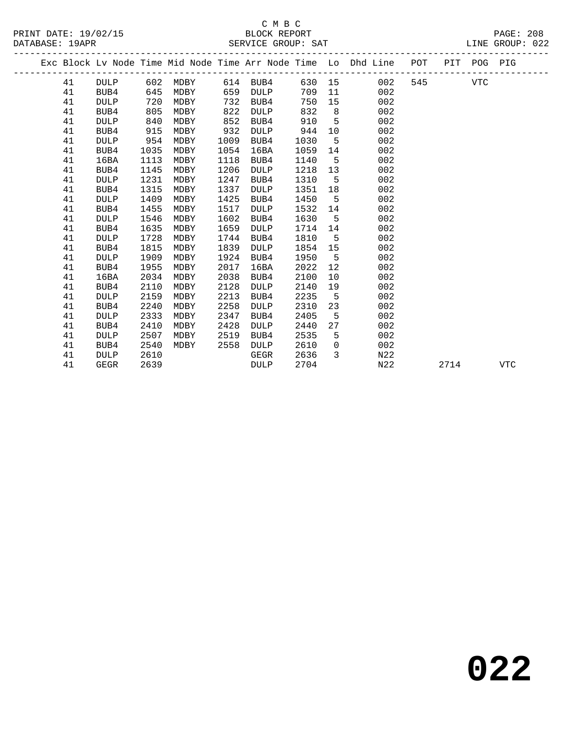|  |    |             |      |          |      |             |      |                 | Exc Block Lv Node Time Mid Node Time Arr Node Time Lo Dhd Line POT |     |      | PIT POG PIG |            |
|--|----|-------------|------|----------|------|-------------|------|-----------------|--------------------------------------------------------------------|-----|------|-------------|------------|
|  | 41 | DULP        |      | 602 MDBY |      | 614 BUB4    |      |                 | 630 15<br>002                                                      | 545 |      | VTC         |            |
|  | 41 | BUB4        | 645  | MDBY     | 659  | DULP        | 709  | 11              | 002                                                                |     |      |             |            |
|  | 41 | <b>DULP</b> | 720  | MDBY     | 732  | BUB4        | 750  | 15              | 002                                                                |     |      |             |            |
|  | 41 | BUB4        | 805  | MDBY     | 822  | DULP        | 832  | 8 <sup>8</sup>  | 002                                                                |     |      |             |            |
|  | 41 | <b>DULP</b> | 840  | MDBY     | 852  | BUB4        | 910  | $5^{\circ}$     | 002                                                                |     |      |             |            |
|  | 41 | BUB4        | 915  | MDBY     | 932  | <b>DULP</b> | 944  | 10              | 002                                                                |     |      |             |            |
|  | 41 | <b>DULP</b> | 954  | MDBY     | 1009 | BUB4        | 1030 | 5               | 002                                                                |     |      |             |            |
|  | 41 | BUB4        | 1035 | MDBY     | 1054 | 16BA        | 1059 | 14              | 002                                                                |     |      |             |            |
|  | 41 | 16BA        | 1113 | MDBY     | 1118 | BUB4        | 1140 | $5\overline{)}$ | 002                                                                |     |      |             |            |
|  | 41 | BUB4        | 1145 | MDBY     | 1206 | <b>DULP</b> | 1218 | 13              | 002                                                                |     |      |             |            |
|  | 41 | <b>DULP</b> | 1231 | MDBY     | 1247 | BUB4        | 1310 | - 5             | 002                                                                |     |      |             |            |
|  | 41 | BUB4        | 1315 | MDBY     | 1337 | <b>DULP</b> | 1351 | 18              | 002                                                                |     |      |             |            |
|  | 41 | <b>DULP</b> | 1409 | MDBY     | 1425 | BUB4        | 1450 | $5\overline{)}$ | 002                                                                |     |      |             |            |
|  | 41 | BUB4        | 1455 | MDBY     | 1517 | DULP        | 1532 | 14              | 002                                                                |     |      |             |            |
|  | 41 | DULP        | 1546 | MDBY     | 1602 | BUB4        | 1630 | $-5$            | 002                                                                |     |      |             |            |
|  | 41 | BUB4        | 1635 | MDBY     | 1659 | <b>DULP</b> | 1714 | 14              | 002                                                                |     |      |             |            |
|  | 41 | <b>DULP</b> | 1728 | MDBY     | 1744 | BUB4        | 1810 | 5               | 002                                                                |     |      |             |            |
|  | 41 | BUB4        | 1815 | MDBY     | 1839 | <b>DULP</b> | 1854 | 15              | 002                                                                |     |      |             |            |
|  | 41 | <b>DULP</b> | 1909 | MDBY     | 1924 | BUB4        | 1950 | $5^{\circ}$     | 002                                                                |     |      |             |            |
|  | 41 | BUB4        | 1955 | MDBY     | 2017 | 16BA        | 2022 | 12              | 002                                                                |     |      |             |            |
|  | 41 | 16BA        | 2034 | MDBY     | 2038 | BUB4        | 2100 | 10 <sup>°</sup> | 002                                                                |     |      |             |            |
|  | 41 | BUB4        | 2110 | MDBY     | 2128 | DULP        | 2140 | 19              | 002                                                                |     |      |             |            |
|  | 41 | <b>DULP</b> | 2159 | MDBY     | 2213 | BUB4        | 2235 | $-5$            | 002                                                                |     |      |             |            |
|  | 41 | BUB4        | 2240 | MDBY     | 2258 | <b>DULP</b> | 2310 | 23              | 002                                                                |     |      |             |            |
|  | 41 | <b>DULP</b> | 2333 | MDBY     | 2347 | BUB4        | 2405 | 5               | 002                                                                |     |      |             |            |
|  | 41 | BUB4        | 2410 | MDBY     | 2428 | DULP        | 2440 | 27              | 002                                                                |     |      |             |            |
|  | 41 | <b>DULP</b> | 2507 | MDBY     | 2519 | BUB4        | 2535 | 5               | 002                                                                |     |      |             |            |
|  | 41 | BUB4        | 2540 | MDBY     | 2558 | <b>DULP</b> | 2610 | $\overline{0}$  | 002                                                                |     |      |             |            |
|  | 41 | <b>DULP</b> | 2610 |          |      | GEGR        | 2636 | 3               | N22                                                                |     |      |             |            |
|  | 41 | <b>GEGR</b> | 2639 |          |      | <b>DULP</b> | 2704 |                 | N22                                                                |     | 2714 |             | <b>VTC</b> |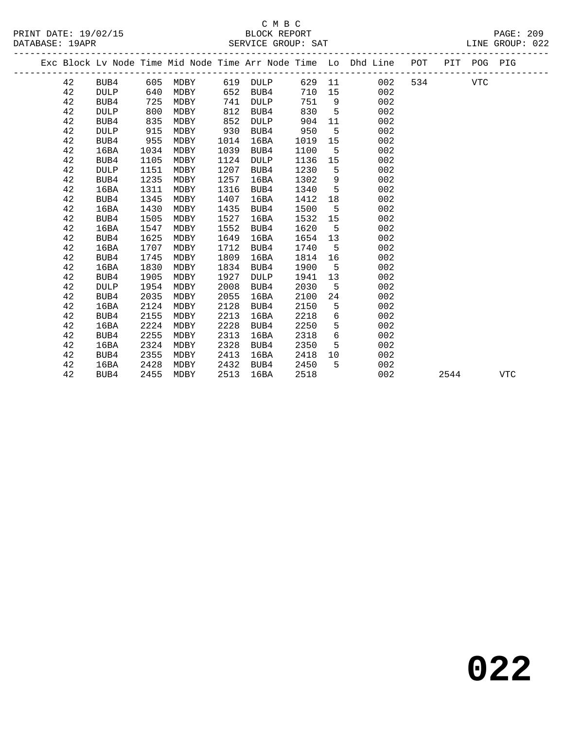|  |    |             |      |      |      |             |      |                 | Exc Block Lv Node Time Mid Node Time Arr Node Time Lo Dhd Line POT |     |      | PIT POG PIG |            |  |
|--|----|-------------|------|------|------|-------------|------|-----------------|--------------------------------------------------------------------|-----|------|-------------|------------|--|
|  | 42 | BUB4        | 605  | MDBY |      | 619 DULP    |      |                 | 629 11<br>002                                                      | 534 |      | <b>VTC</b>  |            |  |
|  | 42 | <b>DULP</b> | 640  | MDBY | 652  | BUB4        | 710  | 15              | 002                                                                |     |      |             |            |  |
|  | 42 | BUB4        | 725  | MDBY | 741  | DULP        | 751  | 9               | 002                                                                |     |      |             |            |  |
|  | 42 | <b>DULP</b> | 800  | MDBY | 812  | BUB4        | 830  | 5               | 002                                                                |     |      |             |            |  |
|  | 42 | BUB4        | 835  | MDBY | 852  | DULP        | 904  | 11              | 002                                                                |     |      |             |            |  |
|  | 42 | <b>DULP</b> | 915  | MDBY | 930  | BUB4        | 950  | 5               | 002                                                                |     |      |             |            |  |
|  | 42 | BUB4        | 955  | MDBY | 1014 | 16BA        | 1019 | 15              | 002                                                                |     |      |             |            |  |
|  | 42 | 16BA        | 1034 | MDBY | 1039 | BUB4        | 1100 | 5               | 002                                                                |     |      |             |            |  |
|  | 42 | BUB4        | 1105 | MDBY | 1124 | DULP        | 1136 | 15              | 002                                                                |     |      |             |            |  |
|  | 42 | <b>DULP</b> | 1151 | MDBY | 1207 | BUB4        | 1230 | 5               | 002                                                                |     |      |             |            |  |
|  | 42 | BUB4        | 1235 | MDBY | 1257 | 16BA        | 1302 | 9               | 002                                                                |     |      |             |            |  |
|  | 42 | 16BA        | 1311 | MDBY | 1316 | BUB4        | 1340 | $5^{\circ}$     | 002                                                                |     |      |             |            |  |
|  | 42 | BUB4        | 1345 | MDBY | 1407 | 16BA        | 1412 | 18              | 002                                                                |     |      |             |            |  |
|  | 42 | 16BA        | 1430 | MDBY | 1435 | BUB4        | 1500 | 5               | 002                                                                |     |      |             |            |  |
|  | 42 | BUB4        | 1505 | MDBY | 1527 | 16BA        | 1532 | 15              | 002                                                                |     |      |             |            |  |
|  | 42 | 16BA        | 1547 | MDBY | 1552 | BUB4        | 1620 | $5^{\circ}$     | 002                                                                |     |      |             |            |  |
|  | 42 | BUB4        | 1625 | MDBY | 1649 | 16BA        | 1654 | 13              | 002                                                                |     |      |             |            |  |
|  | 42 | 16BA        | 1707 | MDBY | 1712 | BUB4        | 1740 | 5               | 002                                                                |     |      |             |            |  |
|  | 42 | BUB4        | 1745 | MDBY | 1809 | 16BA        | 1814 | 16              | 002                                                                |     |      |             |            |  |
|  | 42 | 16BA        | 1830 | MDBY | 1834 | BUB4        | 1900 | - 5             | 002                                                                |     |      |             |            |  |
|  | 42 | BUB4        | 1905 | MDBY | 1927 | <b>DULP</b> | 1941 | 13              | 002                                                                |     |      |             |            |  |
|  | 42 | <b>DULP</b> | 1954 | MDBY | 2008 | BUB4        | 2030 | 5               | 002                                                                |     |      |             |            |  |
|  | 42 | BUB4        | 2035 | MDBY | 2055 | 16BA        | 2100 | 24              | 002                                                                |     |      |             |            |  |
|  | 42 | 16BA        | 2124 | MDBY | 2128 | BUB4        | 2150 | 5               | 002                                                                |     |      |             |            |  |
|  | 42 | BUB4        | 2155 | MDBY | 2213 | 16BA        | 2218 | 6               | 002                                                                |     |      |             |            |  |
|  | 42 | 16BA        | 2224 | MDBY | 2228 | BUB4        | 2250 | 5               | 002                                                                |     |      |             |            |  |
|  | 42 | BUB4        | 2255 | MDBY | 2313 | 16BA        | 2318 | $6\overline{6}$ | 002                                                                |     |      |             |            |  |
|  | 42 | 16BA        | 2324 | MDBY | 2328 | BUB4        | 2350 | 5               | 002                                                                |     |      |             |            |  |
|  | 42 | BUB4        | 2355 | MDBY | 2413 | 16BA        | 2418 | 10              | 002                                                                |     |      |             |            |  |
|  | 42 | 16BA        | 2428 | MDBY | 2432 | BUB4        | 2450 | 5               | 002                                                                |     |      |             |            |  |
|  | 42 | BUB4        | 2455 | MDBY | 2513 | 16BA        | 2518 |                 | 002                                                                |     | 2544 |             | <b>VTC</b> |  |
|  |    |             |      |      |      |             |      |                 |                                                                    |     |      |             |            |  |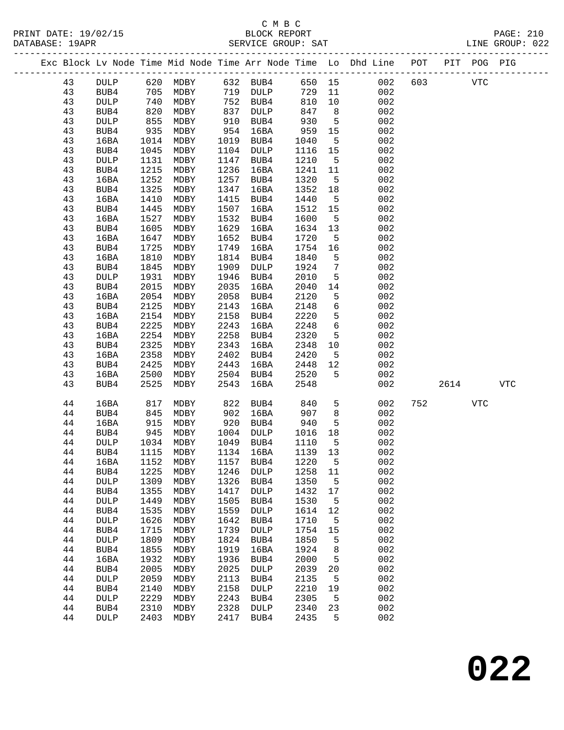### C M B C<br>BLOCK REPORT DATABASE: 19APR SERVICE GROUP: SAT LINE GROUP: 022

### ------------------------------------------------------------------------------------------------- Exc Block Lv Node Time Mid Node Time Arr Node Time Lo Dhd Line POT PIT POG PIG ------------------------------------------------------------------------------------------------- 43 DULP 620 MDBY 632 BUB4 650 15 002 603 VTC 43 BUB4 705 MDBY 719 DULP 729 11 002 43 DULP 740 MDBY 752 BUB4 810 10 002 43 BUB4 820 MDBY 837 DULP 847 8 002 43 DULP 855 MDBY 910 BUB4 930 5 002 43 BUB4 935 MDBY 954 16BA 959 15 002 43 16BA 1014 MDBY 1019 BUB4 1040 5 002 43 BUB4 1045 MDBY 1104 DULP 1116 15 002 43 DULP 1131 MDBY 1147 BUB4 1210 5 002 43 BUB4 1215 MDBY 1236 16BA 1241 11 002 43 16BA 1252 MDBY 1257 BUB4 1320 5 002 43 BUB4 1325 MDBY 1347 16BA 1352 18 002 43 16BA 1410 MDBY 1415 BUB4 1440 5 002 43 BUB4 1445 MDBY 1507 16BA 1512 15 002 43 16BA 1527 MDBY 1532 BUB4 1600 5 002 43 BUB4 1605 MDBY 1629 16BA 1634 13 002 43 16BA 1647 MDBY 1652 BUB4 1720 5 002 43 BUB4 1725 MDBY 1749 16BA 1754 16 002 43 16BA 1810 MDBY 1814 BUB4 1840 5 002 43 BUB4 1845 MDBY 1909 DULP 1924 7 002 43 DULP 1931 MDBY 1946 BUB4 2010 5 002 43 BUB4 2015 MDBY 2035 16BA 2040 14 002 43 16BA 2054 MDBY 2058 BUB4 2120 5 002 43 BUB4 2125 MDBY 2143 16BA 2148 6 002 43 16BA 2154 MDBY 2158 BUB4 2220 5 002 43 BUB4 2225 MDBY 2243 16BA 2248 6 002 43 16BA 2254 MDBY 2258 BUB4 2320 5 002 43 BUB4 2325 MDBY 2343 16BA 2348 10 002 43 16BA 2358 MDBY 2402 BUB4 2420 5 002 43 BUB4 2425 MDBY 2443 16BA 2448 12 002 43 16BA 2500 MDBY 2504 BUB4 2520 5 002 43 BUB4 2525 MDBY 2543 16BA 2548 002 2614 VTC 44 16BA 817 MDBY 822 BUB4 840 5 002 752 VTC 44 BUB4 845 MDBY 902 16BA 907 8 002 44 16BA 915 MDBY 920 BUB4 940 5 002 44 BUB4 945 MDBY 1004 DULP 1016 18 002 44 DULP 1034 MDBY 1049 BUB4 1110 5 002 44 BUB4 1115 MDBY 1134 16BA 1139 13 002 44 16BA 1152 MDBY 1157 BUB4 1220 5 002 44 BUB4 1225 MDBY 1246 DULP 1258 11 002 44 DULP 1309 MDBY 1326 BUB4 1350 5 002 44 BUB4 1355 MDBY 1417 DULP 1432 17 002 44 DULP 1449 MDBY 1505 BUB4 1530 5 002 44 BUB4 1535 MDBY 1559 DULP 1614 12 002 44 DULP 1626 MDBY 1642 BUB4 1710 5 002 44 BUB4 1715 MDBY 1739 DULP 1754 15 002 44 DULP 1809 MDBY 1824 BUB4 1850 5 002 44 BUB4 1855 MDBY 1919 16BA 1924 8 002 44 16BA 1932 MDBY 1936 BUB4 2000 5 002 44 BUB4 2005 MDBY 2025 DULP 2039 20 002 44 DULP 2059 MDBY 2113 BUB4 2135 5 002 44 BUB4 2140 MDBY 2158 DULP 2210 19 002 44 DULP 2229 MDBY 2243 BUB4 2305 5 002

 44 BUB4 2310 MDBY 2328 DULP 2340 23 002 44 DULP 2403 MDBY 2417 BUB4 2435 5 002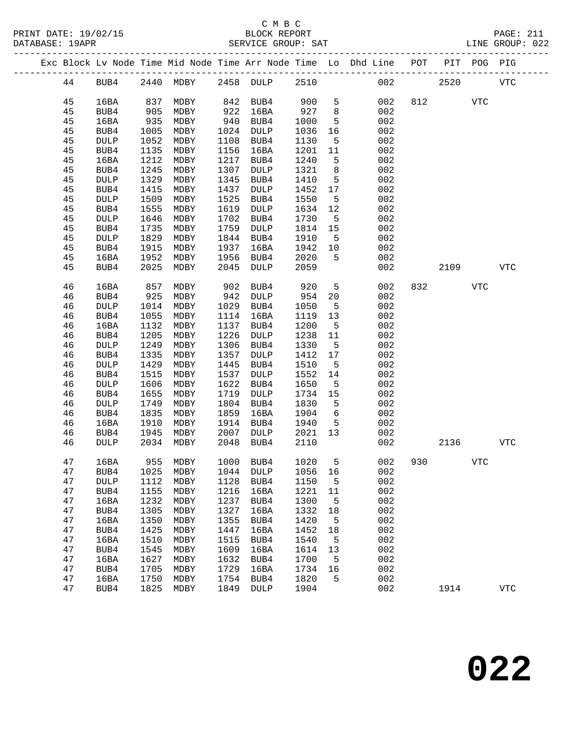|  |          |                     |              |                          |              |              |              |                       | Exc Block Lv Node Time Mid Node Time Arr Node Time Lo Dhd Line POT |     | PIT  | POG PIG |             |
|--|----------|---------------------|--------------|--------------------------|--------------|--------------|--------------|-----------------------|--------------------------------------------------------------------|-----|------|---------|-------------|
|  | 44       | BUB4                |              | 2440 MDBY 2458 DULP 2510 |              |              |              |                       | 002                                                                |     | 2520 |         | <b>VTC</b>  |
|  | 45       | 16BA                | 837          | MDBY                     | 842          | BUB4         | 900          | 5                     | 002                                                                | 812 |      | VTC     |             |
|  | 45       | BUB4                | 905          | MDBY                     | 922          | 16BA         | 927          | 8                     | 002                                                                |     |      |         |             |
|  | 45       | 16BA                | 935          | MDBY                     | 940          | BUB4         | 1000         | 5                     | 002                                                                |     |      |         |             |
|  | 45       | BUB4                | 1005         | MDBY                     | 1024         | DULP         | 1036         | 16                    | 002                                                                |     |      |         |             |
|  | 45       | <b>DULP</b>         | 1052         | MDBY                     | 1108         | BUB4         | 1130         | 5                     | 002                                                                |     |      |         |             |
|  | 45       | BUB4                | 1135         | MDBY                     | 1156         | 16BA         | 1201         | 11                    | 002                                                                |     |      |         |             |
|  | 45       | 16BA                | 1212         | MDBY                     | 1217         | BUB4         | 1240         | 5                     | 002                                                                |     |      |         |             |
|  | 45       | BUB4                | 1245         | MDBY                     | 1307         | DULP         | 1321         | 8                     | 002                                                                |     |      |         |             |
|  | 45       | <b>DULP</b>         | 1329         | MDBY                     | 1345         | BUB4         | 1410         | 5                     | 002                                                                |     |      |         |             |
|  | 45       | BUB4                | 1415         | MDBY                     | 1437         | DULP         | 1452         | 17                    | 002                                                                |     |      |         |             |
|  | 45       | <b>DULP</b>         | 1509         | MDBY                     | 1525         | BUB4         | 1550         | 5                     | 002                                                                |     |      |         |             |
|  | 45       | BUB4                | 1555         | MDBY                     | 1619         | DULP         | 1634         | 12                    | 002                                                                |     |      |         |             |
|  | 45       | <b>DULP</b>         | 1646         | MDBY                     | 1702         | BUB4         | 1730         | $5^{\circ}$           | 002                                                                |     |      |         |             |
|  | 45       | BUB4                | 1735         | MDBY                     | 1759         | DULP         | 1814         | 15                    | 002                                                                |     |      |         |             |
|  | 45       | DULP                | 1829         | MDBY                     | 1844         | BUB4         | 1910         | $5^{\circ}$           | 002                                                                |     |      |         |             |
|  | 45<br>45 | BUB4                | 1915<br>1952 | MDBY                     | 1937<br>1956 | 16BA         | 1942         | 10<br>$5^{\circ}$     | 002                                                                |     |      |         |             |
|  | 45       | 16BA<br>BUB4        | 2025         | MDBY<br>MDBY             | 2045         | BUB4<br>DULP | 2020<br>2059 |                       | 002<br>002                                                         |     | 2109 |         | <b>VTC</b>  |
|  |          |                     |              |                          |              |              |              |                       |                                                                    |     |      |         |             |
|  | 46       | 16BA                | 857          | MDBY                     | 902          | BUB4         | 920          | $5^{\circ}$           | 002                                                                | 832 |      | VTC     |             |
|  | 46       | BUB4                | 925          | MDBY                     | 942          | DULP         | 954          | 20                    | 002                                                                |     |      |         |             |
|  | 46       | <b>DULP</b>         | 1014         | MDBY                     | 1029         | BUB4         | 1050         | $5^{\circ}$           | 002                                                                |     |      |         |             |
|  | 46       | BUB4                | 1055         | MDBY                     | 1114         | 16BA         | 1119         | 13                    | 002                                                                |     |      |         |             |
|  | 46       | 16BA                | 1132         | MDBY                     | 1137         | BUB4         | 1200         | $5^{\circ}$           | 002                                                                |     |      |         |             |
|  | 46       | BUB4                | 1205         | MDBY                     | 1226         | DULP         | 1238         | 11                    | 002                                                                |     |      |         |             |
|  | 46       | <b>DULP</b>         | 1249         | MDBY                     | 1306         | BUB4         | 1330         | $5^{\circ}$           | 002                                                                |     |      |         |             |
|  | 46<br>46 | BUB4<br><b>DULP</b> | 1335<br>1429 | MDBY<br>MDBY             | 1357<br>1445 | DULP<br>BUB4 | 1412<br>1510 | 17<br>$5^{\circ}$     | 002<br>002                                                         |     |      |         |             |
|  | 46       | BUB4                | 1515         | MDBY                     | 1537         | DULP         | 1552         | 14                    | 002                                                                |     |      |         |             |
|  | 46       | <b>DULP</b>         | 1606         | MDBY                     | 1622         | BUB4         | 1650         | $5^{\circ}$           | 002                                                                |     |      |         |             |
|  | 46       | BUB4                | 1655         | MDBY                     | 1719         | DULP         | 1734         | 15                    | 002                                                                |     |      |         |             |
|  | 46       | <b>DULP</b>         | 1749         | MDBY                     | 1804         | BUB4         | 1830         | 5                     | 002                                                                |     |      |         |             |
|  | 46       | BUB4                | 1835         | MDBY                     | 1859         | 16BA         | 1904         | $6\overline{6}$       | 002                                                                |     |      |         |             |
|  | 46       | 16BA                | 1910         | MDBY                     | 1914         | BUB4         | 1940         | $5^{\circ}$           | 002                                                                |     |      |         |             |
|  | 46       | BUB4                | 1945         | MDBY                     | 2007         | DULP         | 2021         | 13                    | 002                                                                |     |      |         |             |
|  | 46       | <b>DULP</b>         | 2034         | MDBY                     | 2048         | BUB4         | 2110         |                       | 002                                                                |     | 2136 |         | <b>VTC</b>  |
|  | 47       | 16BA                |              |                          |              |              |              |                       | 955 MDBY 1000 BUB4 1020 5 002 930                                  |     |      | VTC     |             |
|  | 47       | BUB4                | 1025         | MDBY                     | 1044         | DULP         | 1056         | 16                    | 002                                                                |     |      |         |             |
|  | 47       | <b>DULP</b>         | 1112         | MDBY                     | 1128         | BUB4         | 1150         | 5                     | 002                                                                |     |      |         |             |
|  | 47       | BUB4                | 1155         | MDBY                     | 1216         | 16BA         | 1221         | 11                    | 002                                                                |     |      |         |             |
|  | 47       | 16BA                | 1232         | MDBY                     | 1237         | BUB4         | 1300         | 5                     | 002                                                                |     |      |         |             |
|  | 47       | BUB4                | 1305         | MDBY                     | 1327         | 16BA         | 1332         | 18                    | 002                                                                |     |      |         |             |
|  | 47       | 16BA                | 1350         | MDBY                     | 1355         | BUB4         | 1420         | 5                     | 002                                                                |     |      |         |             |
|  | 47<br>47 | BUB4<br>16BA        | 1425<br>1510 | MDBY<br>MDBY             | 1447<br>1515 | 16BA<br>BUB4 | 1452<br>1540 | 18<br>$5\overline{5}$ | 002<br>002                                                         |     |      |         |             |
|  | 47       | BUB4                | 1545         | MDBY                     | 1609         | 16BA         | 1614         | 13                    | 002                                                                |     |      |         |             |
|  | 47       | 16BA                | 1627         | MDBY                     | 1632         | BUB4         | 1700         | 5                     | 002                                                                |     |      |         |             |
|  | 47       | BUB4                | 1705         | MDBY                     | 1729         | 16BA         | 1734         | 16                    | 002                                                                |     |      |         |             |
|  | 47       | 16BA                | 1750         | MDBY                     | 1754         | BUB4         | 1820         | 5                     | 002                                                                |     |      |         |             |
|  | 47       | BUB4                | 1825         | MDBY                     | 1849         | <b>DULP</b>  | 1904         |                       | 002                                                                |     | 1914 |         | ${\tt VTC}$ |
|  |          |                     |              |                          |              |              |              |                       |                                                                    |     |      |         |             |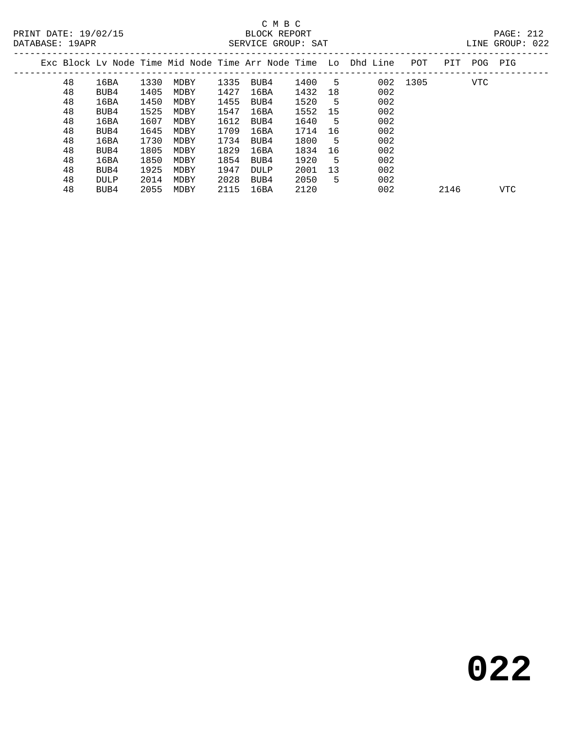|  |    |      |      |      |      |      |      |    | Exc Block Ly Node Time Mid Node Time Arr Node Time Lo Dhd Line | POT      | PIT  | POG        | PIG        |
|--|----|------|------|------|------|------|------|----|----------------------------------------------------------------|----------|------|------------|------------|
|  | 48 | 16BA | 1330 | MDBY | 1335 | BUB4 | 1400 | 5  |                                                                | 002 1305 |      | <b>VTC</b> |            |
|  | 48 | BUB4 | 1405 | MDBY | 1427 | 16BA | 1432 | 18 | 002                                                            |          |      |            |            |
|  | 48 | 16BA | 1450 | MDBY | 1455 | BUB4 | 1520 | 5  | 002                                                            |          |      |            |            |
|  | 48 | BUB4 | 1525 | MDBY | 1547 | 16BA | 1552 | 15 | 002                                                            |          |      |            |            |
|  | 48 | 16BA | 1607 | MDBY | 1612 | BUB4 | 1640 | 5  | 002                                                            |          |      |            |            |
|  | 48 | BUB4 | 1645 | MDBY | 1709 | 16BA | 1714 | 16 | 002                                                            |          |      |            |            |
|  | 48 | 16BA | 1730 | MDBY | 1734 | BUB4 | 1800 | 5  | 002                                                            |          |      |            |            |
|  | 48 | BUB4 | 1805 | MDBY | 1829 | 16BA | 1834 | 16 | 002                                                            |          |      |            |            |
|  | 48 | 16BA | 1850 | MDBY | 1854 | BUB4 | 1920 | 5  | 002                                                            |          |      |            |            |
|  | 48 | BUB4 | 1925 | MDBY | 1947 | DULP | 2001 | 13 | 002                                                            |          |      |            |            |
|  | 48 | DULP | 2014 | MDBY | 2028 | BUB4 | 2050 | 5  | 002                                                            |          |      |            |            |
|  | 48 | BUB4 | 2055 | MDBY | 2115 | 16BA | 2120 |    | 002                                                            |          | 2146 |            | <b>VTC</b> |
|  |    |      |      |      |      |      |      |    |                                                                |          |      |            |            |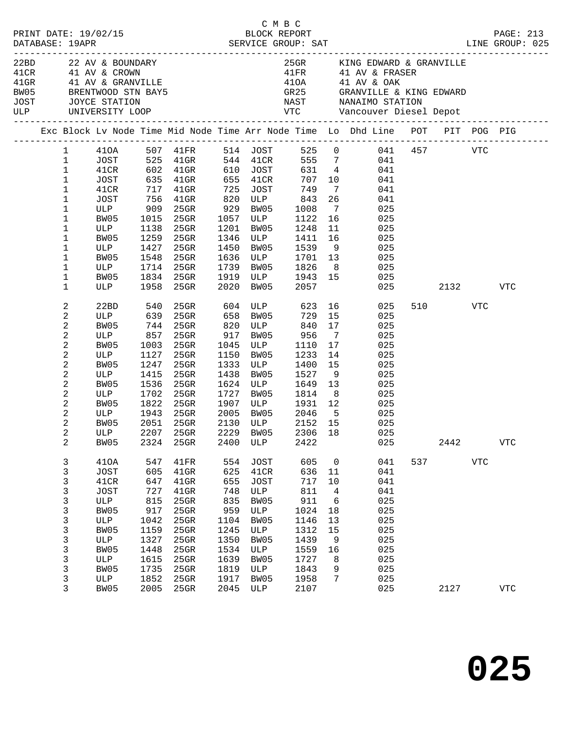|                                                                                                                                                                                                                |                                                                                                                                        |                                                                                                                |                                                                                                                            |                                                                                                                |                                                                                                                                      | C M B C                                                                                                          |                                                                     | PRINT DATE: 19/02/15<br>BLOCK REPORT BLOCK REPORT DATABASE: 19APR SERVICE GROUP: SAT LINE GROUP: 025                                                                                                                                                                                                                                                                    |     |              |            |                            |  |
|----------------------------------------------------------------------------------------------------------------------------------------------------------------------------------------------------------------|----------------------------------------------------------------------------------------------------------------------------------------|----------------------------------------------------------------------------------------------------------------|----------------------------------------------------------------------------------------------------------------------------|----------------------------------------------------------------------------------------------------------------|--------------------------------------------------------------------------------------------------------------------------------------|------------------------------------------------------------------------------------------------------------------|---------------------------------------------------------------------|-------------------------------------------------------------------------------------------------------------------------------------------------------------------------------------------------------------------------------------------------------------------------------------------------------------------------------------------------------------------------|-----|--------------|------------|----------------------------|--|
|                                                                                                                                                                                                                | JOST JOYCE STATION                                                                                                                     |                                                                                                                | 22BD 22 AV & BOUNDARY<br>41 CR 41 AV & CROWN<br>41 GRANVILLE<br>BW05 BRENTWOOD STN BAY5<br>ULP UNIVERSITY LOOP             |                                                                                                                |                                                                                                                                      |                                                                                                                  |                                                                     | 25GR KING EDWARD & GRANVILLE<br>$\begin{array}{lll} \texttt{41FR} & \texttt{41 AV} & \texttt{& FRASER} \\ \texttt{41OA} & \texttt{41 AV} & \texttt{0AK} \end{array}$<br>GR25 GRANVILLE & KING EDWARD                                                                                                                                                                    |     |              |            |                            |  |
|                                                                                                                                                                                                                |                                                                                                                                        |                                                                                                                |                                                                                                                            |                                                                                                                |                                                                                                                                      |                                                                                                                  |                                                                     | Exc Block Lv Node Time Mid Node Time Arr Node Time Lo Dhd Line POT PIT POG PIG                                                                                                                                                                                                                                                                                          |     |              |            |                            |  |
| $\mathbf 1$<br>$\mathbf 1$<br>$\mathbf 1$<br>1<br>1<br>1<br>1<br>1<br>1<br>1                                                                                                                                   | BW05<br>$ULP$ 1138 $2000$<br>RW05 1259 25GR<br>ULP<br>BW05<br>ULP                                                                      | 1015<br>1548<br>1714                                                                                           | $25$ GR<br>1427 25GR<br>25GR<br>25GR                                                                                       | 1450<br>1636                                                                                                   |                                                                                                                                      | 1057 ULP 1122<br>ULP 1701 13                                                                                     |                                                                     | 1 410A 507 41FR 514 JOST 525 0 041 457 VTC<br>1 JOST 525 41GR 544 41CR 555 7 041<br>1 41CR 602 41GR 610 JOST 631 4 041<br>1081 635 41GR 655 41CR 707 10 041<br>41CR 717 41GR 725 JOST 749 7 041<br>JOST 756 41GR 820 ULP 843 26 041<br>ULP 909 25GR 929 BW05 1008 7 025<br>16 10<br>025<br>1201 BW05 1248 11 025<br>1346 ULP 1411 16 025<br>1450 BW05 1539 9 025<br>025 |     |              |            |                            |  |
| 1<br>1                                                                                                                                                                                                         | BW05 1834 25GR<br>ULP 1958 25GR                                                                                                        |                                                                                                                |                                                                                                                            | 2020                                                                                                           |                                                                                                                                      |                                                                                                                  |                                                                     | 1739 BW05 1826 8 025<br>1919 ULP 1943 15 025<br>2020 BW05 2057 025                                                                                                                                                                                                                                                                                                      | 025 | 2132         |            | VTC                        |  |
| 2<br>$\sqrt{2}$<br>$\overline{c}$<br>$\sqrt{2}$<br>$\boldsymbol{2}$<br>$\sqrt{2}$<br>$\boldsymbol{2}$<br>$\overline{c}$<br>$\sqrt{2}$<br>$\sqrt{2}$<br>$\overline{c}$<br>$\overline{c}$<br>2<br>$\overline{a}$ | 22BD<br>ULP<br>BW05<br>ULP<br>BW05<br>ULP<br>BW05<br>ULP<br>BW05<br>011P 1702 2545<br>RW05 1822 25GR<br>ULP 1943 25GR<br>BW05<br>ULP   | 540<br>639<br>1003<br>1127<br>1247<br>1415<br>1536                                                             | 744 25GR<br>857 25GR<br>25GR<br>25GR<br>25GR<br>25GR<br>25GR<br>2051 25GR<br>2207 25GR 2229 BW05 2306 18                   |                                                                                                                | 1438 BW05                                                                                                                            | 917 BW05 956<br>1045 ULP 1110<br>1150 BW05 1233<br>1333 ULP 1400<br>1527<br>1624 ULP 1649 13<br>2130 ULP 2152 15 | $\overline{7}$<br>17<br>14<br>15<br>9                               | 25GR 604 ULP 623 16 025<br>25GR 658 BW05 729 15 025<br>25GR 820 ULP 840 17 025<br>025<br>025<br>025<br>025<br>025<br>025<br>1727 BW05 1814 8 025<br>1907 ULP 1931 12 025<br>2005 BW05 2046 5 025<br>025<br>025                                                                                                                                                          |     | 510 VTC      |            |                            |  |
| 2<br>3<br>3<br>3<br>3<br>3<br>3<br>3<br>3<br>3<br>3<br>3<br>3<br>3<br>3                                                                                                                                        | BW05<br>410A<br><b>JOST</b><br>41CR<br><b>JOST</b><br>ULP<br>BW05<br>$_{\rm ULP}$<br>BW05<br>ULP<br>BW05<br>ULP<br>BW05<br>ULP<br>BW05 | 2324<br>547<br>605<br>647<br>727<br>815<br>917<br>1042<br>1159<br>1327<br>1448<br>1615<br>1735<br>1852<br>2005 | 25GR<br>41FR<br>$41$ GR<br>41GR<br>$41$ GR<br>25GR<br>25GR<br>25GR<br>25GR<br>25GR<br>25GR<br>25GR<br>25GR<br>25GR<br>25GR | 2400<br>554<br>625<br>655<br>748<br>835<br>959<br>1104<br>1245<br>1350<br>1534<br>1639<br>1819<br>1917<br>2045 | ULP<br><b>JOST</b><br>41CR<br><b>JOST</b><br>ULP<br>BW05<br>$_{\rm ULP}$<br>BW05<br>ULP<br>BW05<br>ULP<br>BW05<br>ULP<br>BW05<br>ULP | 2422<br>605<br>636<br>717<br>811<br>911<br>1024<br>1146<br>1312<br>1439<br>1559<br>1727<br>1843<br>1958<br>2107  | 0<br>11<br>10<br>4<br>6<br>18<br>13<br>15<br>9<br>16<br>8<br>9<br>7 | 025<br>041<br>041<br>041<br>041<br>025<br>025<br>025<br>025<br>025<br>025<br>025<br>025<br>025<br>025                                                                                                                                                                                                                                                                   | 537 | 2442<br>2127 | <b>VTC</b> | ${\tt VTC}$<br>${\tt VTC}$ |  |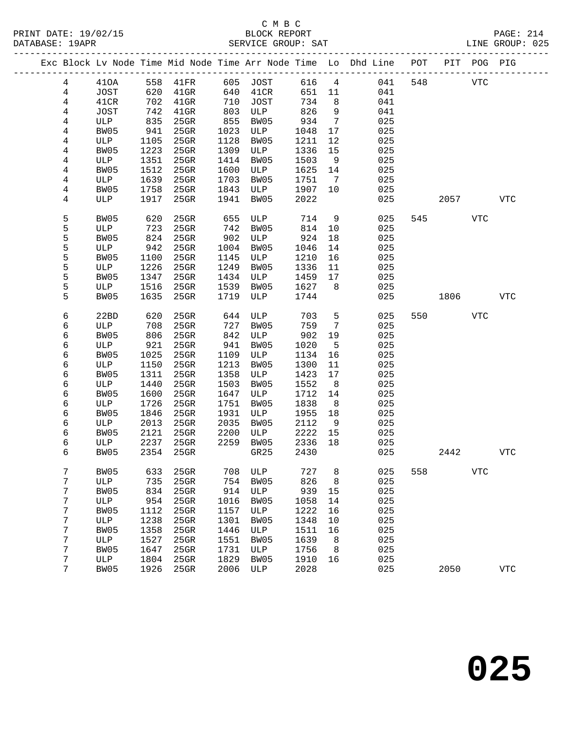|  |                |             |      | Exc Block Lv Node Time Mid Node Time Arr Node Time Lo Dhd Line POT |      |          |      |                 |     |     |         | PIT POG PIG |            |
|--|----------------|-------------|------|--------------------------------------------------------------------|------|----------|------|-----------------|-----|-----|---------|-------------|------------|
|  | $\overline{4}$ | 410A        |      | 558 41FR                                                           |      | 605 JOST | 616  | $\overline{4}$  | 041 | 548 |         | <b>VTC</b>  |            |
|  | $\overline{4}$ | JOST        |      |                                                                    | 640  | 41CR     | 651  | 11              | 041 |     |         |             |            |
|  | $\overline{4}$ | 41CR        |      | 620 41GR<br>702 41GR                                               | 710  | JOST     | 734  | 8 <sup>8</sup>  | 041 |     |         |             |            |
|  | 4              | JOST        | 742  | $41$ GR                                                            | 803  | ULP      | 826  | 9               | 041 |     |         |             |            |
|  | 4              | ULP         | 835  | 25GR                                                               | 855  | BW05     | 934  | $\overline{7}$  | 025 |     |         |             |            |
|  | 4              | BW05        | 941  | 25GR                                                               | 1023 | ULP      | 1048 | 17              | 025 |     |         |             |            |
|  | 4              | ULP         | 1105 | 25GR                                                               | 1128 | BW05     | 1211 | 12              | 025 |     |         |             |            |
|  | 4              | BW05        | 1223 | 25GR                                                               | 1309 | ULP      | 1336 | 15              | 025 |     |         |             |            |
|  | 4              | ULP         | 1351 | 25GR                                                               | 1414 | BW05     | 1503 | 9               | 025 |     |         |             |            |
|  | 4              | BW05        | 1512 | $25$ GR                                                            | 1600 | ULP      | 1625 | 14              | 025 |     |         |             |            |
|  | 4              | ULP         | 1639 | $25$ GR                                                            | 1703 | BW05     | 1751 | $\overline{7}$  | 025 |     |         |             |            |
|  | 4              | BW05        | 1758 | 25GR                                                               | 1843 | ULP      | 1907 | 10              | 025 |     |         |             |            |
|  | 4              | ULP         | 1917 | 25GR                                                               | 1941 | BW05     | 2022 |                 | 025 |     | 2057    |             | <b>VTC</b> |
|  | 5              | BW05        | 620  | 25GR                                                               | 655  | ULP      | 714  | 9               | 025 |     | 545     | <b>VTC</b>  |            |
|  | 5              | ULP         | 723  | 25GR                                                               | 742  | BW05     | 814  | 10              | 025 |     |         |             |            |
|  | 5              | BW05        | 824  | $25$ GR                                                            | 902  | ULP      | 924  | 18              | 025 |     |         |             |            |
|  | 5              | ULP         | 942  | $25$ GR                                                            | 1004 | BW05     | 1046 | 14              | 025 |     |         |             |            |
|  | 5              | BW05        | 1100 | 25GR                                                               | 1145 | ULP      | 1210 | 16              | 025 |     |         |             |            |
|  | 5              | ULP         | 1226 | 25GR                                                               | 1249 | BW05     | 1336 | 11              | 025 |     |         |             |            |
|  | 5              | BW05        | 1347 | $25$ GR                                                            | 1434 | ULP      | 1459 | 17              | 025 |     |         |             |            |
|  | 5              | ULP         | 1516 | 25GR                                                               | 1539 | BW05     | 1627 | 8               | 025 |     |         |             |            |
|  | 5              | BW05        | 1635 | 25GR                                                               | 1719 | ULP      | 1744 |                 | 025 |     | 1806    |             | <b>VTC</b> |
|  | 6              | 22BD        | 620  | 25GR                                                               | 644  | ULP      | 703  | 5               | 025 |     | 550 350 | <b>VTC</b>  |            |
|  | 6              | ULP         | 708  | 25GR                                                               | 727  | BW05     | 759  | $7\phantom{.0}$ | 025 |     |         |             |            |
|  | 6              | BW05        | 806  | 25GR                                                               | 842  | ULP      | 902  | 19              | 025 |     |         |             |            |
|  | 6              | ULP         | 921  | 25GR                                                               | 941  | BW05     | 1020 | $5^{\circ}$     | 025 |     |         |             |            |
|  | 6              | BW05        | 1025 | 25GR                                                               | 1109 | ULP      | 1134 | 16              | 025 |     |         |             |            |
|  | 6              | ULP         | 1150 | 25GR                                                               | 1213 | BW05     | 1300 | 11              | 025 |     |         |             |            |
|  | 6              | BW05        | 1311 | 25GR                                                               | 1358 | ULP      | 1423 | 17              | 025 |     |         |             |            |
|  | 6              | ULP         | 1440 | 25GR                                                               | 1503 | BW05     | 1552 | 8               | 025 |     |         |             |            |
|  | 6              | BW05        | 1600 | 25GR                                                               | 1647 | ULP      | 1712 | 14              | 025 |     |         |             |            |
|  | 6              | ULP         | 1726 | 25GR                                                               | 1751 | BW05     | 1838 | 8 <sup>8</sup>  | 025 |     |         |             |            |
|  | 6              | BW05        | 1846 | $25$ GR                                                            | 1931 | ULP      | 1955 | 18              | 025 |     |         |             |            |
|  | 6              | ULP         | 2013 | 25GR                                                               | 2035 | BW05     | 2112 | 9               | 025 |     |         |             |            |
|  | 6              | BW05        | 2121 | $25$ GR                                                            | 2200 | ULP      | 2222 | 15              | 025 |     |         |             |            |
|  | 6              | ULP         | 2237 | 25GR                                                               | 2259 | BW05     | 2336 | 18              | 025 |     |         |             |            |
|  | 6              | BW05        | 2354 | 25GR                                                               |      | GR25     | 2430 |                 | 025 |     | 2442    |             | <b>VTC</b> |
|  | 7              | <b>BW05</b> | 633  | 25GR                                                               | 708  | ULP      | 727  | 8               | 025 | 558 |         | <b>VTC</b>  |            |
|  | 7              | ULP         | 735  | 25GR                                                               | 754  | BW05     | 826  | 8               | 025 |     |         |             |            |
|  | 7              | <b>BW05</b> | 834  | 25GR                                                               | 914  | ULP      | 939  | 15              | 025 |     |         |             |            |
|  | 7              | ULP         | 954  | 25GR                                                               | 1016 | BW05     | 1058 | 14              | 025 |     |         |             |            |
|  | 7              | <b>BW05</b> | 1112 | 25GR                                                               | 1157 | ULP      | 1222 | 16              | 025 |     |         |             |            |
|  | 7              | ULP         | 1238 | 25GR                                                               | 1301 | BW05     | 1348 | 10              | 025 |     |         |             |            |
|  | 7              | BW05        | 1358 | 25GR                                                               | 1446 | ULP      | 1511 | 16              | 025 |     |         |             |            |
|  | 7              | ULP         | 1527 | 25GR                                                               | 1551 | BW05     | 1639 | 8               | 025 |     |         |             |            |
|  | 7              | BW05        | 1647 | 25GR                                                               | 1731 | ULP      | 1756 | 8               | 025 |     |         |             |            |
|  | 7              | ULP         | 1804 | 25GR                                                               | 1829 | BW05     | 1910 | 16              | 025 |     |         |             |            |
|  | 7              | <b>BW05</b> | 1926 | 25GR                                                               | 2006 | ULP      | 2028 |                 | 025 |     | 2050    |             | <b>VTC</b> |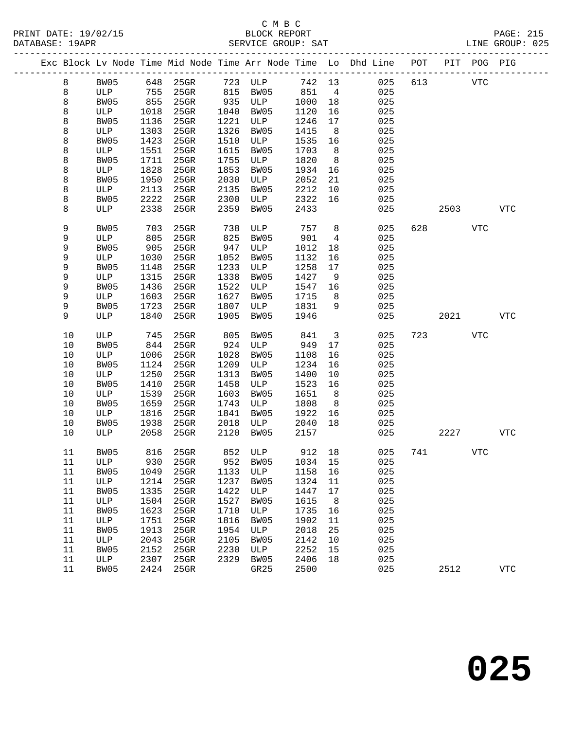PRINT DATE: 19/02/15 BLOCK REPORT BATABASE: 19APR

## C M B C<br>BLOCK REPORT

PAGE: 215<br>LINE GROUP: 025

|          |             |              | Exc Block Lv Node Time Mid Node Time Arr Node Time Lo Dhd Line POT |              |             |              |                | ---------------------------- |     |      | PIT POG PIG |              |
|----------|-------------|--------------|--------------------------------------------------------------------|--------------|-------------|--------------|----------------|------------------------------|-----|------|-------------|--------------|
| 8        | BW05        | 648          | $25$ GR                                                            | 723          | ULP         | 742 13       |                | 025                          | 613 |      | <b>VTC</b>  |              |
| 8        | ULP         | 755          | 25GR                                                               | 815          | BW05        | 851          | $\overline{4}$ | 025                          |     |      |             |              |
| 8        | BW05        | 855          | $25$ GR                                                            | 935          | ULP         | 1000         | 18             | 025                          |     |      |             |              |
| 8        | ULP         | 1018         | 25GR                                                               | 1040         | BW05        | 1120         | 16             | 025                          |     |      |             |              |
| 8        | BW05        | 1136         | 25GR                                                               | 1221         | ULP         | 1246         | 17             | 025                          |     |      |             |              |
| 8        | ULP         | 1303         | 25GR                                                               | 1326         | BW05        | 1415         | 8              | 025                          |     |      |             |              |
| 8        | BW05        | 1423         | 25GR                                                               | 1510         | ULP         | 1535         | 16             | 025                          |     |      |             |              |
| 8        | ULP         | 1551         | 25GR                                                               | 1615         | BW05        | 1703         | 8              | 025                          |     |      |             |              |
| 8        | BW05        | 1711         | 25GR                                                               | 1755         | ULP         | 1820         | 8              | 025                          |     |      |             |              |
| 8        | ULP         | 1828         | 25GR                                                               | 1853         | BW05        | 1934         | 16             | 025                          |     |      |             |              |
| 8        | BW05        | 1950         | 25GR                                                               | 2030         | ULP         | 2052         | 21             | 025                          |     |      |             |              |
| 8        | ULP         | 2113         | 25GR                                                               | 2135         | BW05        | 2212         | 10             | 025                          |     |      |             |              |
| 8        | BW05        | 2222         | 25GR                                                               | 2300         | ULP         | 2322         | 16             | 025                          |     |      |             |              |
| 8        | ULP         | 2338         | 25GR                                                               | 2359         | BW05        | 2433         |                | 025                          |     | 2503 |             | <b>VTC</b>   |
| 9        | BW05        | 703          | 25GR                                                               | 738          | ULP         | 757          | 8              | 025                          | 628 |      | <b>VTC</b>  |              |
| 9        | ULP         | 805          | 25GR                                                               | 825          | BW05        | 901          | 4              | 025                          |     |      |             |              |
| 9        | BW05        | 905          | $25$ GR                                                            | 947          | ULP         | 1012         | 18             | 025                          |     |      |             |              |
| 9        | ULP         | 1030         | 25GR                                                               | 1052         | BW05        | 1132         | 16             | 025                          |     |      |             |              |
| 9        | BW05        | 1148         | 25GR                                                               | 1233         | ULP         | 1258         | 17             | 025                          |     |      |             |              |
| 9        | ULP         | 1315         | 25GR                                                               | 1338         | BW05        | 1427         | 9              | 025                          |     |      |             |              |
| 9        | BW05        | 1436         | $25$ GR                                                            | 1522         | ULP         | 1547         | 16             | 025                          |     |      |             |              |
| 9        | ULP         | 1603         | 25GR                                                               | 1627         | BW05        | 1715         | 8              | 025                          |     |      |             |              |
| 9        | BW05        | 1723         | 25GR                                                               | 1807         | ULP         | 1831         | 9              | 025                          |     |      |             |              |
| 9        | ULP         | 1840         | 25GR                                                               | 1905         | BW05        | 1946         |                | 025                          |     | 2021 |             | <b>VTC</b>   |
| 10       | ULP         | 745          | 25GR                                                               | 805          | BW05        | 841          | 3              | 025                          | 723 |      | <b>VTC</b>  |              |
| $10$     | BW05        | 844          | 25GR                                                               | 924          | ULP         | 949          | 17             | 025                          |     |      |             |              |
| 10       | ULP         | 1006         | 25GR                                                               | 1028         | BW05        | 1108         | 16             | 025                          |     |      |             |              |
| 10       | BW05        | 1124         | 25GR                                                               | 1209         | ULP         | 1234         | 16             | 025                          |     |      |             |              |
| 10       | ULP         | 1250         | 25GR                                                               | 1313         | BW05        | 1400         | $10\,$         | 025                          |     |      |             |              |
| 10       | BW05        | 1410         | 25GR                                                               | 1458         | ULP         | 1523         | 16             | 025                          |     |      |             |              |
| 10       | ULP         | 1539         | 25GR                                                               | 1603         | BW05        | 1651         | 8              | 025                          |     |      |             |              |
| 10       | BW05        | 1659         | 25GR                                                               | 1743         | ULP         | 1808         | 8              | 025                          |     |      |             |              |
| 10       | ULP         | 1816         | 25GR                                                               | 1841         | BW05        | 1922         | 16             | 025                          |     |      |             |              |
| 10       | BW05        | 1938         | 25GR                                                               | 2018         | ULP         | 2040         | 18             | 025                          |     |      |             |              |
| 10       | ULP         | 2058         | $25$ GR                                                            | 2120         | BW05        | 2157         |                | 025                          |     | 2227 |             | <b>VTC</b>   |
| 11       | BW05        | 816          | 25GR                                                               |              | 852 ULP     | 912 18       |                | 025                          | 741 |      | <b>VTC</b>  |              |
| 11       | ULP         | 930          | 25GR                                                               | 952          | BW05        | 1034         | 15             | 025                          |     |      |             |              |
| 11       | BW05        | 1049         | 25GR                                                               | 1133         | ULP         | 1158         | 16             | 025                          |     |      |             |              |
| 11       | ULP         | 1214         | 25GR                                                               | 1237         | BW05        | 1324         | 11             | 025                          |     |      |             |              |
| 11       | BW05        | 1335         | 25GR                                                               | 1422         | ULP         | 1447         | 17             | 025                          |     |      |             |              |
| 11       | ULP         | 1504         | 25GR                                                               | 1527         | BW05        | 1615         | 8              | 025                          |     |      |             |              |
| 11       | BW05        | 1623         | 25GR                                                               | 1710         | ULP         | 1735         | 16             | 025                          |     |      |             |              |
| 11       | ULP         | 1751         | 25GR                                                               | 1816         | BW05        | 1902         | 11             | 025                          |     |      |             |              |
| 11<br>11 | BW05        | 1913         | 25GR<br>25GR                                                       | 1954<br>2105 | ULP         | 2018         | 25<br>10       | 025<br>025                   |     |      |             |              |
| 11       | ULP<br>BW05 | 2043<br>2152 | 25GR                                                               | 2230         | BW05<br>ULP | 2142<br>2252 | 15             | 025                          |     |      |             |              |
| 11       | ULP         | 2307         | 25GR                                                               | 2329         | BW05        | 2406         | 18             | 025                          |     |      |             |              |
| 11       | BW05        | 2424         | 25GR                                                               |              | GR25        | 2500         |                | 025                          |     | 2512 |             | $_{\rm VTC}$ |
|          |             |              |                                                                    |              |             |              |                |                              |     |      |             |              |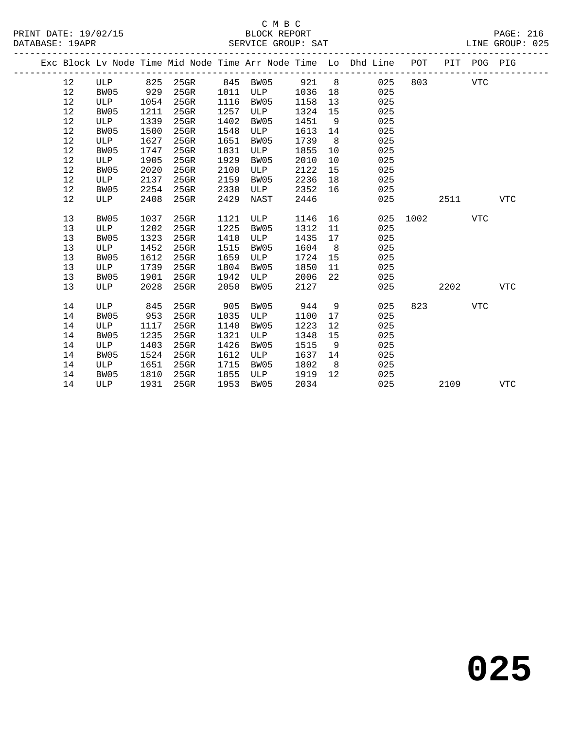|  |    |      |      |         |      |          |      |                | Exc Block Lv Node Time Mid Node Time Arr Node Time Lo Dhd Line POT |      |      | PIT POG PIG |            |
|--|----|------|------|---------|------|----------|------|----------------|--------------------------------------------------------------------|------|------|-------------|------------|
|  | 12 | ULP  | 825  | 25GR    |      | 845 BW05 | 921  | 8 <sup>8</sup> | 025                                                                | 803  |      | <b>VTC</b>  |            |
|  | 12 | BW05 | 929  | $25$ GR | 1011 | ULP      | 1036 | 18             | 025                                                                |      |      |             |            |
|  | 12 | ULP  | 1054 | 25GR    | 1116 | BW05     | 1158 | 13             | 025                                                                |      |      |             |            |
|  | 12 | BW05 | 1211 | 25GR    | 1257 | ULP      | 1324 | 15             | 025                                                                |      |      |             |            |
|  | 12 | ULP  | 1339 | $25$ GR | 1402 | BW05     | 1451 | 9              | 025                                                                |      |      |             |            |
|  | 12 | BW05 | 1500 | 25GR    | 1548 | ULP      | 1613 | 14             | 025                                                                |      |      |             |            |
|  | 12 | ULP  | 1627 | 25GR    | 1651 | BW05     | 1739 | 8 <sup>8</sup> | 025                                                                |      |      |             |            |
|  | 12 | BW05 | 1747 | 25GR    | 1831 | ULP      | 1855 | 10             | 025                                                                |      |      |             |            |
|  | 12 | ULP  | 1905 | $25$ GR | 1929 | BW05     | 2010 | 10             | 025                                                                |      |      |             |            |
|  | 12 | BW05 | 2020 | 25GR    | 2100 | ULP      | 2122 | 15             | 025                                                                |      |      |             |            |
|  | 12 | ULP  | 2137 | 25GR    | 2159 | BW05     | 2236 | 18             | 025                                                                |      |      |             |            |
|  | 12 | BW05 | 2254 | 25GR    | 2330 | ULP      | 2352 | 16             | 025                                                                |      |      |             |            |
|  | 12 | ULP  | 2408 | 25GR    | 2429 | NAST     | 2446 |                | 025                                                                |      | 2511 |             | <b>VTC</b> |
|  |    |      |      |         |      |          |      |                |                                                                    |      |      |             |            |
|  | 13 | BW05 | 1037 | 25GR    | 1121 | ULP      | 1146 | 16             | 025                                                                | 1002 |      | <b>VTC</b>  |            |
|  | 13 | ULP  | 1202 | 25GR    | 1225 | BW05     | 1312 | 11             | 025                                                                |      |      |             |            |
|  | 13 | BW05 | 1323 | 25GR    | 1410 | ULP      | 1435 | 17             | 025                                                                |      |      |             |            |
|  | 13 | ULP  | 1452 | $25$ GR | 1515 | BW05     | 1604 | 8              | 025                                                                |      |      |             |            |
|  | 13 | BW05 | 1612 | $25$ GR | 1659 | ULP      | 1724 | 15             | 025                                                                |      |      |             |            |
|  | 13 | ULP  | 1739 | 25GR    | 1804 | BW05     | 1850 | 11             | 025                                                                |      |      |             |            |
|  | 13 | BW05 | 1901 | 25GR    | 1942 | ULP      | 2006 | 22             | 025                                                                |      |      |             |            |
|  | 13 | ULP  | 2028 | $25$ GR | 2050 | BW05     | 2127 |                | 025                                                                |      | 2202 |             | <b>VTC</b> |
|  |    |      |      |         |      |          |      |                |                                                                    |      |      |             |            |
|  | 14 | ULP  | 845  | $25$ GR | 905  | BW05     | 944  | 9              | 025                                                                | 823  |      | <b>VTC</b>  |            |
|  | 14 | BW05 | 953  | 25GR    | 1035 | ULP      | 1100 | 17             | 025                                                                |      |      |             |            |
|  | 14 | ULP  | 1117 | 25GR    | 1140 | BW05     | 1223 | 12             | 025                                                                |      |      |             |            |
|  | 14 | BW05 | 1235 | 25GR    | 1321 | ULP      | 1348 | 15             | 025                                                                |      |      |             |            |
|  | 14 | ULP  | 1403 | 25GR    | 1426 | BW05     | 1515 | - 9            | 025                                                                |      |      |             |            |
|  | 14 | BW05 | 1524 | 25GR    | 1612 | ULP      | 1637 | 14             | 025                                                                |      |      |             |            |
|  | 14 | ULP  | 1651 | 25GR    | 1715 | BW05     | 1802 | 8 <sup>8</sup> | 025                                                                |      |      |             |            |
|  | 14 | BW05 | 1810 | 25GR    | 1855 | ULP      | 1919 | 12             | 025                                                                |      |      |             |            |
|  | 14 | ULP  | 1931 | $25$ GR | 1953 | BW05     | 2034 |                | 025                                                                |      | 2109 |             | <b>VTC</b> |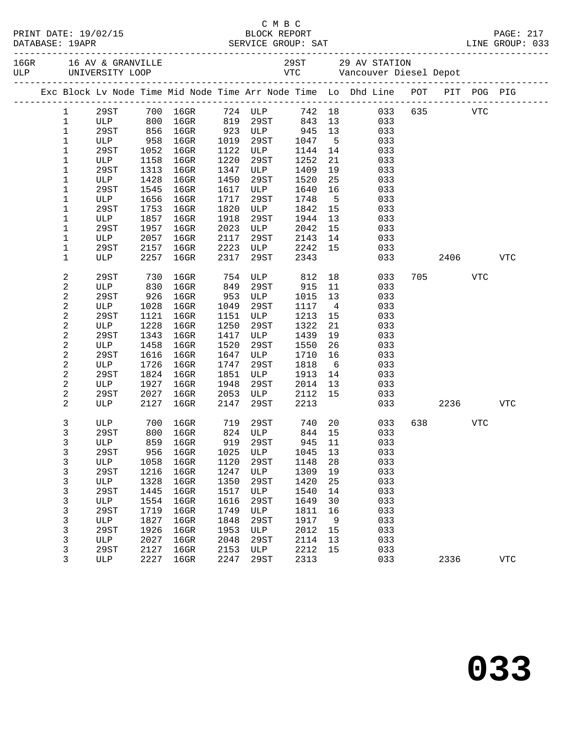|  |                  |         |              |                  |              |                     |              |                | Exc Block Lv Node Time Mid Node Time Arr Node Time Lo Dhd Line POT PIT POG PIG |         |            |            |
|--|------------------|---------|--------------|------------------|--------------|---------------------|--------------|----------------|--------------------------------------------------------------------------------|---------|------------|------------|
|  | $\mathbf{1}$     | 29ST    |              | 700 16GR 724 ULP |              |                     |              |                | 742 18 033 635 VTC                                                             |         |            |            |
|  | $\mathbf{1}$     | ULP 800 |              | $16$ GR          |              | 819 29ST            | 843 13       |                | 033                                                                            |         |            |            |
|  | $\mathbf 1$      | 29ST    |              | 856 16GR         |              | 923 ULP             | 945          | 13             | 033                                                                            |         |            |            |
|  | $\mathbf 1$      | ULP     | 958          | $16$ GR          | 1019         | 29ST                | 1047         | $5^{\circ}$    | 033                                                                            |         |            |            |
|  | 1                | 29ST    | 1052         | $16$ GR          | 1122         | ULP                 | 1144         | 14             | 033                                                                            |         |            |            |
|  | 1                | ULP     | 1158         | $16$ GR          | 1220         | 29ST                | 1252         | 21             | 033                                                                            |         |            |            |
|  | $\mathbf 1$      | 29ST    | 1313         | $16$ GR          | 1347         | ULP                 | 1409         | 19             | 033                                                                            |         |            |            |
|  | 1                | ULP     | 1428         | $16$ GR          | 1450         | 29ST                | 1520         | 25             | 033                                                                            |         |            |            |
|  | 1                | 29ST    | 1545         | $16$ GR          | 1617         | ULP                 | 1640         | 16             | 033                                                                            |         |            |            |
|  | 1                | ULP     | 1656         | $16$ GR          | 1717         | 29ST                | 1748         | $5^{\circ}$    | 033                                                                            |         |            |            |
|  | 1                | 29ST    | 1753         | $16$ GR          | 1820         | ULP                 | 1842         | 15             | 033                                                                            |         |            |            |
|  | 1                | ULP     | 1857         | $16$ GR          | 1918         | 29ST                | 1944         | 13             | 033                                                                            |         |            |            |
|  | 1                | 29ST    | 1957         | $16$ GR          | 2023         | ULP                 | 2042         | 15             | 033                                                                            |         |            |            |
|  | $\mathbf 1$      | ULP     | 2057         | 16GR             | 2117         | 29ST                | 2143         | 14             | 033                                                                            |         |            |            |
|  | 1                | 29ST    | 2157         | 16GR             | 2223         | <b>ULP</b>          | 2242         | 15             | 033                                                                            |         |            |            |
|  | 1                | ULP     | 2257         | 16GR             | 2317         | 29ST                | 2343         |                | 033                                                                            | 2406    |            | <b>VTC</b> |
|  | $\boldsymbol{2}$ | 29ST    | 730          | 16GR             | 754          | ULP                 | 812          |                | 18<br>033                                                                      | 705 700 | <b>VTC</b> |            |
|  | 2                | ULP     | 830          | 16GR             | 849          | 29ST                | 915          | 11             | 033                                                                            |         |            |            |
|  | $\boldsymbol{2}$ | 29ST    | 926          | 16GR             | 953          | ULP                 | 1015         | 13             | 033                                                                            |         |            |            |
|  | $\overline{c}$   | ULP     | 1028         | $16$ GR          | 1049         | 29ST                | 1117         | $\overline{4}$ | 033                                                                            |         |            |            |
|  | $\boldsymbol{2}$ | 29ST    | 1121         | 16GR             | 1151         | ULP                 | 1213         | 15             | 033                                                                            |         |            |            |
|  | 2                | ULP     | 1228         | $16$ GR          | 1250         | 29ST                | 1322         | 21             | 033                                                                            |         |            |            |
|  | 2                | 29ST    | 1343         | $16$ GR          | 1417         | ULP                 | 1439         | 19             | 033                                                                            |         |            |            |
|  | 2                | ULP     | 1458         | $16$ GR          | 1520         | 29ST                | 1550         | 26             | 033                                                                            |         |            |            |
|  | $\overline{c}$   | 29ST    | 1616         | $16$ GR          | 1647         | ULP                 | 1710         | 16             | 033                                                                            |         |            |            |
|  | 2                | ULP     | 1726         | $16$ GR          | 1747         | 29ST                | 1818         | 6              | 033                                                                            |         |            |            |
|  | 2                | 29ST    | 1824         | $16$ GR          | 1851         | ULP                 | 1913         | 14             | 033                                                                            |         |            |            |
|  | 2                | ULP     | 1927         | $16$ GR          | 1948         | 29ST                | 2014         | 13             | 033                                                                            |         |            |            |
|  | $\overline{c}$   | 29ST    | 2027         | 16GR             | 2053         | ULP                 | 2112         | 15             | 033                                                                            |         |            |            |
|  | 2                | ULP     | 2127         | $16$ GR          | 2147         | 29ST                | 2213         |                | 033                                                                            | 2236    |            | VTC        |
|  | 3                | ULP     | 700          | 16GR             |              | 719 29ST<br>824 ULP | 740 20       |                | 033                                                                            | 638 8   | <b>VTC</b> |            |
|  | 3                | 29ST    | 800          | $16$ GR          |              |                     | 844 15       |                | 033                                                                            |         |            |            |
|  | 3                |         |              |                  |              |                     |              |                | ULP 859 16GR 919 29ST 945 11 033                                               |         |            |            |
|  | 3                | 29ST    | 956          | $16$ GR          | 1025         | ULP                 | 1045         | 13             | 033                                                                            |         |            |            |
|  | 3                | ULP     | 1058         | $16$ GR          | 1120         | 29ST                | 1148         | 28             | 033                                                                            |         |            |            |
|  | $\mathsf{3}$     | 29ST    | 1216         | $16$ GR          | 1247         | ULP                 | 1309         | 19             | 033                                                                            |         |            |            |
|  | 3                | ULP     | 1328         | 16GR             | 1350         | 29ST                | 1420         | 25             | 033                                                                            |         |            |            |
|  | 3                | 29ST    | 1445         | $16$ GR          | 1517         | ULP                 | 1540         | 14             | 033                                                                            |         |            |            |
|  | 3                | ULP     | 1554         | $16$ GR          | 1616         | 29ST                | 1649         | 30             | 033                                                                            |         |            |            |
|  | $\mathsf{3}$     | 29ST    | 1719         | $16$ GR          | 1749         | ULP                 | 1811         | 16             | 033                                                                            |         |            |            |
|  | 3                | ULP     | 1827         | $16$ GR          | 1848         | 29ST                | 1917         | 9              | 033                                                                            |         |            |            |
|  | 3                | 29ST    | 1926         | $16$ GR          | 1953         | ULP                 | 2012         | 15             | 033                                                                            |         |            |            |
|  | 3                | ULP     | 2027         | $16$ GR          | 2048         | 29ST                | 2114         | 13             | 033                                                                            |         |            |            |
|  | 3<br>3           | 29ST    | 2127<br>2227 | $16$ GR          | 2153<br>2247 | ULP<br>29ST         | 2212<br>2313 | 15             | 033<br>033                                                                     |         |            |            |
|  |                  | ULP     |              | $16$ GR          |              |                     |              |                |                                                                                | 2336    |            | <b>VTC</b> |

C M B C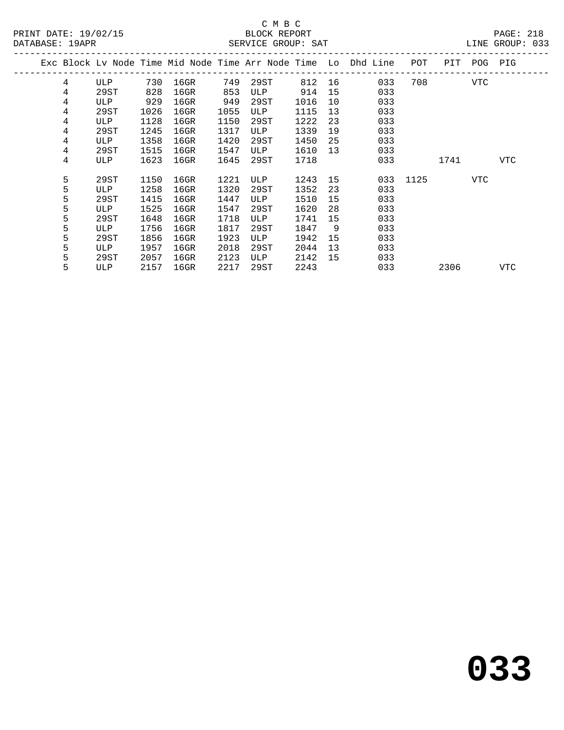## C M B C

| DATABASE: 19APR |   |      |      |           |      | SERVICE GROUP: SAT |         |    |                                                                    |              |           |             | LINE GROUP: 033 |  |
|-----------------|---|------|------|-----------|------|--------------------|---------|----|--------------------------------------------------------------------|--------------|-----------|-------------|-----------------|--|
|                 |   |      |      |           |      |                    |         |    | Exc Block Lv Node Time Mid Node Time Arr Node Time Lo Dhd Line POT |              |           | PIT POG PIG |                 |  |
|                 | 4 | ULP  |      | 730 16GR  | 749  | 29ST 812 16        |         |    | 033                                                                |              | 708 — 108 | VTC         |                 |  |
|                 | 4 | 29ST | 828  | 16GR      | 853  | ULP                | 914     |    | 15<br>033                                                          |              |           |             |                 |  |
|                 | 4 | ULP  | 929  | $16$ GR   | 949  | 29ST               | 1016    | 10 | 033                                                                |              |           |             |                 |  |
|                 | 4 | 29ST | 1026 | 16GR      | 1055 | ULP                | 1115    | 13 | 033                                                                |              |           |             |                 |  |
|                 | 4 | ULP  | 1128 | 16GR      | 1150 | 29ST               | 1222    | 23 | 033                                                                |              |           |             |                 |  |
|                 | 4 | 29ST | 1245 | 16GR      | 1317 | ULP                | 1339    | 19 | 033                                                                |              |           |             |                 |  |
|                 | 4 | ULP  | 1358 | 16GR      | 1420 | 29ST               | 1450    | 25 | 033                                                                |              |           |             |                 |  |
|                 | 4 | 29ST | 1515 | 16GR      | 1547 | ULP                | 1610    |    | 033<br>13                                                          |              |           |             |                 |  |
|                 | 4 | ULP  | 1623 | 16GR      | 1645 | 29ST               | 1718    |    | 033                                                                |              | 1741      |             | VTC             |  |
|                 | 5 | 29ST | 1150 | 16GR      | 1221 | ULP                | 1243 15 |    |                                                                    | 033 1125 VTC |           |             |                 |  |
|                 | 5 | ULP  | 1258 | $16$ GR   | 1320 | 29ST               | 1352    | 23 | 033                                                                |              |           |             |                 |  |
|                 | 5 | 29ST | 1415 | 16GR      | 1447 | ULP                | 1510    | 15 | 033                                                                |              |           |             |                 |  |
|                 | 5 | ULP  | 1525 | 16GR      | 1547 | 29ST               | 1620    | 28 | 033                                                                |              |           |             |                 |  |
|                 | 5 | 29ST | 1648 | $16$ GR   | 1718 | ULP                | 1741    | 15 | 033                                                                |              |           |             |                 |  |
|                 | 5 | ULP  | 1756 | 16GR      | 1817 | 29ST               | 1847    | 9  | 033                                                                |              |           |             |                 |  |
|                 | 5 | 29ST | 1856 | 16GR      | 1923 | ULP                | 1942    | 15 | 033                                                                |              |           |             |                 |  |
|                 | 5 | ULP  | 1957 | 16GR      | 2018 | 29ST               | 2044    | 13 | 033                                                                |              |           |             |                 |  |
|                 | 5 | 29ST | 2057 | $16$ GR   | 2123 | ULP                | 2142    | 15 | 033                                                                |              |           |             |                 |  |
|                 | 5 | ULP  |      | 2157 16GR | 2217 | 29ST               | 2243    |    | 033                                                                |              | 2306      |             | VTC             |  |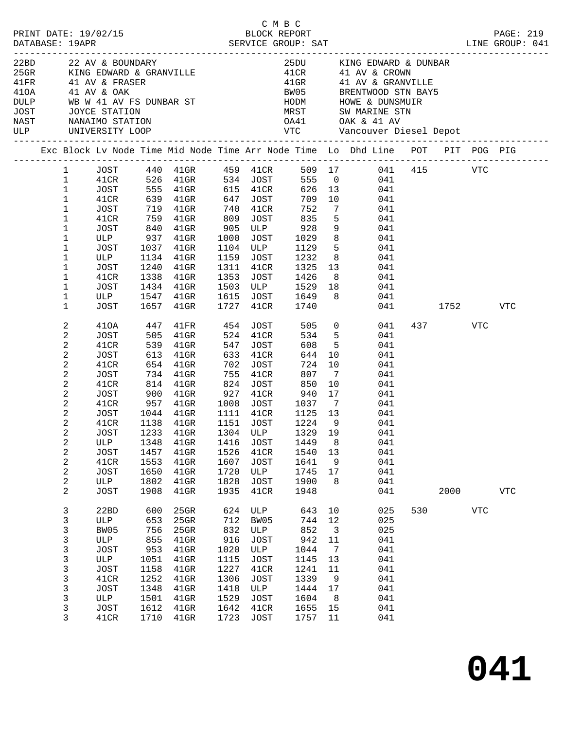|                  |                                                                                                                                                                                                                                     |                                                                                                                                                                 |                                                                                         |                                                                                                                                                                                                                                                                                                                 |                                                                                          | C M B C                                                                                                                                                                               |                                                                                          |                                                                             |                                                                                                                                                                                                                                                                                                                                                                                                                                                                                                        |     |                 |             |                       |
|------------------|-------------------------------------------------------------------------------------------------------------------------------------------------------------------------------------------------------------------------------------|-----------------------------------------------------------------------------------------------------------------------------------------------------------------|-----------------------------------------------------------------------------------------|-----------------------------------------------------------------------------------------------------------------------------------------------------------------------------------------------------------------------------------------------------------------------------------------------------------------|------------------------------------------------------------------------------------------|---------------------------------------------------------------------------------------------------------------------------------------------------------------------------------------|------------------------------------------------------------------------------------------|-----------------------------------------------------------------------------|--------------------------------------------------------------------------------------------------------------------------------------------------------------------------------------------------------------------------------------------------------------------------------------------------------------------------------------------------------------------------------------------------------------------------------------------------------------------------------------------------------|-----|-----------------|-------------|-----------------------|
| 410A 41 AV & OAK |                                                                                                                                                                                                                                     | DULP WB W 41 AV FS DUNBAR ST<br>JOST JOYCE STATION<br>NAST NANAIMO STATION<br>ULP UNIVERSITY LOOP                                                               |                                                                                         | 22BD 22 AV & BOUNDARY<br>25GR KING EDWARD & GRANVILLE<br>41FR 41 AV & FRASER                                                                                                                                                                                                                                    |                                                                                          |                                                                                                                                                                                       |                                                                                          |                                                                             | 25DU KING EDWARD & DUNBAR<br>41CR             41  AV  &  CROWN<br>41GR             41  AV  &  GRANVILLE<br>BW05 BRENTWOOD STN BAY5<br>HODM HOWE & DUNSMUIR<br>MRST SW MARINE STN<br>OA41 OAK & 41 AV<br>VTC Vancouver Diesel Depot                                                                                                                                                                                                                                                                     |     |                 |             |                       |
|                  |                                                                                                                                                                                                                                     |                                                                                                                                                                 |                                                                                         |                                                                                                                                                                                                                                                                                                                 |                                                                                          |                                                                                                                                                                                       |                                                                                          |                                                                             | Exc Block Lv Node Time Mid Node Time Arr Node Time Lo Dhd Line POT PIT POG PIG                                                                                                                                                                                                                                                                                                                                                                                                                         |     |                 |             |                       |
|                  | $1 \quad \blacksquare$<br>$\mathbf{1}$<br>$\mathbf{1}$<br>$\mathbf{1}$<br>$\mathbf{1}$<br>$\mathbf{1}$<br>$\mathbf{1}$<br>$\mathbf{1}$<br>$\mathbf 1$<br>$\mathbf 1$<br>$\mathbf{1}$<br>$\mathbf{1}$<br>$\mathbf{1}$<br>$\mathbf 1$ | JOST 719 41GR<br>41CR<br><b>ULP</b><br>JOST<br>41CR<br>JOST                                                                                                     | 1240                                                                                    | 759 41GR<br>1134 41GR 1159 JOST 1232<br>$41$ GR<br>$1338$ $4191$<br>$1434$ $41$ GR                                                                                                                                                                                                                              |                                                                                          | 740 41CR<br>809 JOST 835<br>1311 41CR                                                                                                                                                 | 752                                                                                      | 5 <sup>5</sup>                                                              | JOST 440 41GR 459 41CR 509 17 041 415 VTC<br>41CR 526 41GR 534 JOST 555 0 041<br>JOST 555 41GR 615 41CR 626 13 041<br>41CR 639 41GR 647 JOST 709 10 041<br>7 041<br>041<br>$\begin{tabular}{cccccc} JOST & 840 & 41GR & 905 & ULP & 928 & 9 & 041 \\ \text{ULP} & 937 & 41GR & 1000 & JOST & 1029 & 8 & 041 \\ JOST & 1037 & 41GR & 1104 & ULP & 1129 & 5 & 041 \end{tabular}$<br>8 041<br>1311 41CR 1325 13 041<br>1353 JOST 1426 8 041<br>1503 ULP 1529 18 041<br>ULP 1547 41GR 1615 JOST 1649 8 041 |     |                 |             |                       |
|                  | $\mathbf{1}$<br>2<br>2<br>2<br>2<br>2<br>2<br>2<br>$\overline{c}$<br>2<br>2<br>$\overline{2}$<br>$\overline{a}$<br>2<br>2<br>$\mathbf{2}$<br>$\boldsymbol{2}$<br>$\overline{\mathbf{c}}$                                            | JOST<br>JOST<br>41CR<br>JOST<br>41CR<br>JOST<br>41CR<br>JOST<br>41CR<br>JOST<br>41CR<br>JOST<br>ULP<br><b>JOST</b><br>41CR<br><b>JOST</b><br>ULP<br><b>JOST</b> | 1657<br>539<br>1348<br>1457<br>1553<br>1650<br>1802<br>1908                             | $41$ GR<br>505 41GR<br>$41$ GR<br>613 41GR<br>654 41GR<br>734 41GR<br>814 41GR<br>900    41GR            927     41CR             940     17<br>957     41GR         1008    JOST         1037       7<br>1044 41GR<br>1138 41GR<br>1233 41GR 1304 ULP 1329 19<br>41GR<br>$41$ GR<br>$41$ GR<br>41GR<br>$41$ GR | 1416<br>1526<br>1607<br>1720<br>1828<br>1935                                             | 1727 41CR 1740<br>524 41CR<br>547 JOST<br>633 41CR<br>702 JOST<br>755 41CR<br>824 JOST<br>1111 41CR 1125 13<br>1151 JOST<br><b>JOST</b><br>41CR<br>JOST<br>ULP<br><b>JOST</b><br>41CR | 608<br>644<br>807<br>850<br>1224 9<br>1449<br>1540<br>1641<br>1745<br>1900<br>1948       | $5^{\circ}$<br>10<br>$\overline{7}$<br>10<br>17<br>8<br>13<br>9<br>17<br>8  | 410A 447 41FR 454 JOST 505 0 041<br>534 5<br>041<br>041<br>041<br>$\begin{array}{c}\n724 \\ \hline\n10\n\end{array}$<br>041<br>041<br>041<br>041<br>041<br>041<br>041<br>041<br>041<br>041<br>041<br>041<br>041<br>041                                                                                                                                                                                                                                                                                 | 041 | 437 VTC<br>2000 | 1752        | VTC<br>${\hbox{VTC}}$ |
|                  | 2<br>3<br>$\mathsf{3}$<br>3<br>3<br>3<br>3<br>3<br>3<br>3<br>3<br>3<br>3                                                                                                                                                            | 22BD<br>ULP<br>BW05<br>ULP<br><b>JOST</b><br>ULP<br>JOST<br>41CR<br><b>JOST</b><br>ULP<br>JOST<br>41CR                                                          | 600<br>653<br>756<br>855<br>953<br>1051<br>1158<br>1252<br>1348<br>1501<br>1612<br>1710 | 41GR<br>25GR<br>25GR<br>25GR<br>$41$ GR<br>$41$ GR<br>$41$ GR<br>$41$ GR<br>41GR<br>41GR<br>41GR<br>$41$ GR<br>$41$ GR                                                                                                                                                                                          | 624<br>712<br>832<br>916<br>1020<br>1115<br>1227<br>1306<br>1418<br>1529<br>1642<br>1723 | ULP<br>BW05<br>ULP<br><b>JOST</b><br>ULP<br><b>JOST</b><br>41CR<br>JOST<br>ULP<br><b>JOST</b><br>41CR<br>JOST                                                                         | 643<br>744<br>852<br>942<br>1044<br>1145<br>1241<br>1339<br>1444<br>1604<br>1655<br>1757 | 10<br>12<br>$\mathbf{3}$<br>11<br>7<br>13<br>11<br>9<br>17<br>8<br>15<br>11 | 025<br>025<br>025<br>041<br>041<br>041<br>041<br>041<br>041<br>041<br>041<br>041                                                                                                                                                                                                                                                                                                                                                                                                                       | 530 |                 | ${\tt VTC}$ |                       |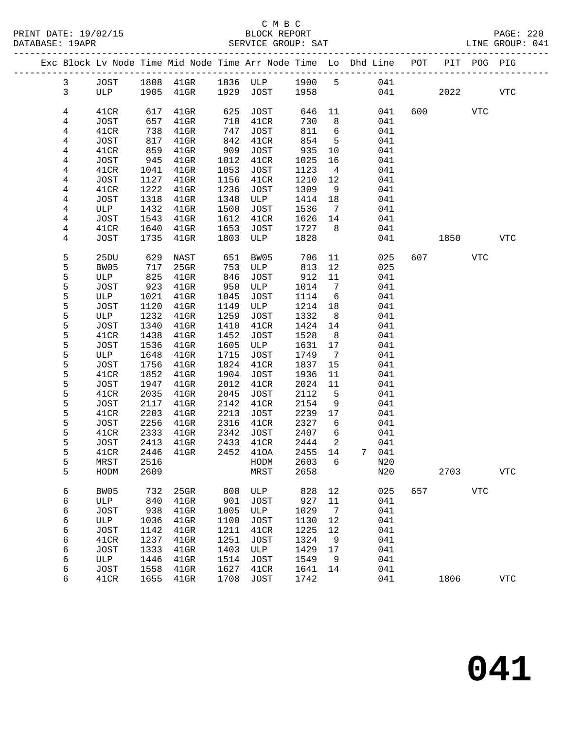|              |             |      | Exc Block Lv Node Time Mid Node Time Arr Node Time Lo Dhd Line POT |            |                 |            |                              |       |            | PIT  | POG PIG    |             |
|--------------|-------------|------|--------------------------------------------------------------------|------------|-----------------|------------|------------------------------|-------|------------|------|------------|-------------|
| $\mathbf{3}$ | JOST        |      | 1808 41GR                                                          |            | 1836 ULP 1900 5 |            |                              |       | 041        |      |            |             |
| 3            | ULP         | 1905 | $41$ GR                                                            | 1929       | JOST            | 1958       |                              |       | 041        | 2022 |            | <b>VTC</b>  |
|              |             |      |                                                                    |            |                 |            |                              |       |            |      |            |             |
| 4            | 41CR        | 617  | $41$ GR                                                            | 625        | JOST            | 646        | 11                           |       | 600<br>041 |      | <b>VTC</b> |             |
| 4            | JOST        | 657  | $41$ GR                                                            | 718        | 41CR            | 730        | 8                            |       | 041        |      |            |             |
| 4            | 41CR        | 738  | $41$ GR                                                            | 747        | JOST            | 811        | $6\overline{6}$              |       | 041        |      |            |             |
| 4            | JOST        | 817  | $41$ GR                                                            | 842        | 41CR            | 854        | 5                            |       | 041        |      |            |             |
| 4            | 41CR        | 859  | $41$ GR                                                            | 909        | JOST            | 935        | $10 \,$                      |       | 041        |      |            |             |
| 4            | JOST        | 945  | $41$ GR                                                            | 1012       | 41CR            | 1025       | 16                           |       | 041        |      |            |             |
| 4            | 41CR        | 1041 | $41$ GR                                                            | 1053       | JOST            | 1123       | $\overline{4}$               |       | 041        |      |            |             |
| 4            | JOST        | 1127 | $41$ GR                                                            | 1156       | 41CR            | 1210       | 12                           |       | 041        |      |            |             |
| 4            | 41CR        | 1222 | $41$ GR                                                            | 1236       | JOST            | 1309       | 9                            |       | 041        |      |            |             |
| 4            | JOST        | 1318 | $41$ GR                                                            | 1348       | ULP             | 1414       | 18                           |       | 041        |      |            |             |
| 4            | ULP         | 1432 | $41$ GR                                                            | 1500       | JOST            | 1536       | $\overline{7}$               |       | 041        |      |            |             |
| 4            | JOST        | 1543 | $41$ GR                                                            | 1612       | 41CR            | 1626       | 14                           |       | 041        |      |            |             |
| 4            | 41CR        | 1640 | $41$ GR                                                            | 1653       | JOST            | 1727       | - 8                          |       | 041        |      |            |             |
| 4            | JOST        | 1735 | $41$ GR                                                            | 1803       | ULP             | 1828       |                              |       | 041        | 1850 |            | <b>VTC</b>  |
|              |             |      |                                                                    |            |                 |            |                              |       |            |      |            |             |
| 5            | 25DU        | 629  | NAST                                                               | 651        | BW05            | 706        | 11                           |       | 025<br>607 |      | VTC        |             |
| 5            | BW05        | 717  | 25GR                                                               | 753        | ULP             | 813        | 12                           |       | 025        |      |            |             |
| 5            | ULP         | 825  | $41$ GR                                                            | 846        | JOST            | 912        | 11                           |       | 041        |      |            |             |
| 5            | JOST        | 923  | $41$ GR                                                            | 950        | ULP             | 1014       | $7\phantom{.0}\phantom{.0}7$ |       | 041        |      |            |             |
| 5            | ULP         | 1021 | $41$ GR                                                            | 1045       | <b>JOST</b>     | 1114       | 6                            |       | 041        |      |            |             |
| 5            | JOST        | 1120 | $41$ GR                                                            | 1149       | ULP             | 1214       | 18                           |       | 041        |      |            |             |
| 5            | ULP         | 1232 | $41$ GR                                                            | 1259       | JOST            | 1332       | 8                            |       | 041        |      |            |             |
| 5            | JOST        | 1340 | $41$ GR                                                            | 1410       | 41CR            | 1424       | 14                           |       | 041        |      |            |             |
| 5            | 41CR        | 1438 | $41$ GR                                                            | 1452       | JOST            | 1528       | 8                            |       | 041        |      |            |             |
| 5            | JOST        | 1536 | $41$ GR                                                            | 1605       | ULP             | 1631       | 17                           |       | 041        |      |            |             |
| 5            | ULP         | 1648 | $41$ GR                                                            | 1715       | JOST            | 1749       | $7\phantom{.0}\phantom{.0}7$ |       | 041        |      |            |             |
| 5            | JOST        | 1756 | $41$ GR                                                            | 1824       | 41CR            | 1837       | 15                           |       | 041        |      |            |             |
| 5            | 41CR        | 1852 | $41$ GR                                                            | 1904       | <b>JOST</b>     | 1936       | 11                           |       | 041        |      |            |             |
| 5            | JOST        | 1947 | $41$ GR                                                            | 2012       | 41CR            | 2024       | 11                           |       | 041        |      |            |             |
| 5            | 41CR        | 2035 | $41$ GR                                                            | 2045       | JOST            | 2112       | 5                            |       | 041        |      |            |             |
| 5            | JOST        | 2117 | $41$ GR                                                            | 2142       | 41CR            | 2154       | 9                            |       | 041        |      |            |             |
| 5            | 41CR        | 2203 | $41$ GR                                                            | 2213       | JOST            | 2239       | 17                           |       | 041        |      |            |             |
| 5            | JOST        | 2256 | $41$ GR                                                            | 2316       | 41CR            | 2327       | 6                            |       | 041        |      |            |             |
| 5            | 41CR        | 2333 | $41$ GR                                                            | 2342       | JOST            | 2407       | 6                            |       | 041        |      |            |             |
| 5            | JOST        | 2413 | $41$ GR                                                            | 2433       | 41CR            | 2444       | 2                            |       | 041        |      |            |             |
| 5            | 41CR        | 2446 | $41$ GR                                                            | 2452       | 410A            | 2455       | 14                           | 7 041 |            |      |            |             |
| 5            | MRST        |      | 2516                                                               |            | HODM            | 2603 6     |                              | N20   |            |      |            |             |
| 5            | HODM        | 2609 |                                                                    |            | MRST            | 2658       |                              |       | N20        | 2703 |            | ${\tt VTC}$ |
|              | BW05        | 732  |                                                                    |            | ULP             |            |                              |       | 657        |      | <b>VTC</b> |             |
| 6<br>6       | ULP         | 840  | $25$ GR<br>$41$ GR                                                 | 808<br>901 | <b>JOST</b>     | 828<br>927 | 12<br>11                     |       | 025<br>041 |      |            |             |
| 6            | <b>JOST</b> | 938  | $41$ GR                                                            | 1005       | ULP             | 1029       | 7                            |       | 041        |      |            |             |
| 6            | ULP         | 1036 | $41$ GR                                                            | 1100       | JOST            | 1130       | 12                           |       | 041        |      |            |             |
| 6            | <b>JOST</b> | 1142 | $41$ GR                                                            | 1211       | 41CR            | 1225       | 12                           |       | 041        |      |            |             |
| 6            | 41CR        | 1237 | $41$ GR                                                            | 1251       | <b>JOST</b>     | 1324       | 9                            |       | 041        |      |            |             |
| 6            | <b>JOST</b> | 1333 | $41$ GR                                                            | 1403       | ULP             | 1429       | 17                           |       | 041        |      |            |             |
| 6            | ULP         | 1446 | $41$ GR                                                            | 1514       | JOST            | 1549       | 9                            |       | 041        |      |            |             |
| 6            | JOST        | 1558 | $41$ GR                                                            | 1627       | 41CR            | 1641       | 14                           |       | 041        |      |            |             |
| 6            | 41CR        | 1655 | $41$ GR                                                            | 1708       | JOST            | 1742       |                              |       | 041        | 1806 |            | ${\tt VTC}$ |
|              |             |      |                                                                    |            |                 |            |                              |       |            |      |            |             |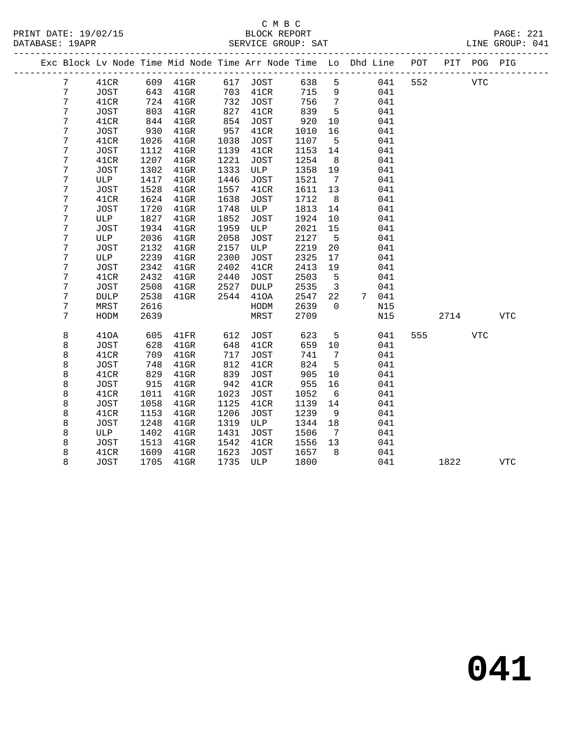|   |             |      |          |      |               |      |                         | Exc Block Lv Node Time Mid Node Time Arr Node Time Lo Dhd Line POT |     |      | PIT POG PIG |            |  |
|---|-------------|------|----------|------|---------------|------|-------------------------|--------------------------------------------------------------------|-----|------|-------------|------------|--|
| 7 | 41CR        |      | 609 41GR |      | 617 JOST      | 638  | 5                       | 041                                                                | 552 |      | <b>VTC</b>  |            |  |
| 7 | JOST        | 643  | $41$ GR  | 703  | 41CR          | 715  | 9                       | 041                                                                |     |      |             |            |  |
| 7 | 41CR        | 724  | $41$ GR  |      | 732 JOST      | 756  | $\overline{7}$          | 041                                                                |     |      |             |            |  |
| 7 | JOST        | 803  | $41$ GR  | 827  | 41CR          | 839  | $5^{\circ}$             | 041                                                                |     |      |             |            |  |
| 7 | 41CR        | 844  | $41$ GR  | 854  | JOST          | 920  | 10                      | 041                                                                |     |      |             |            |  |
| 7 | JOST        | 930  | $41$ GR  | 957  | 41CR          | 1010 | 16                      | 041                                                                |     |      |             |            |  |
| 7 | 41CR        | 1026 | $41$ GR  | 1038 | <b>JOST</b>   | 1107 | $5^{\circ}$             | 041                                                                |     |      |             |            |  |
| 7 | JOST        | 1112 | $41$ GR  | 1139 | 41CR          | 1153 | 14                      | 041                                                                |     |      |             |            |  |
| 7 | 41CR        | 1207 | $41$ GR  | 1221 | JOST          | 1254 | 8 <sup>8</sup>          | 041                                                                |     |      |             |            |  |
| 7 | JOST        | 1302 | $41$ GR  | 1333 | ULP           | 1358 | 19                      | 041                                                                |     |      |             |            |  |
| 7 | ULP         | 1417 | $41$ GR  | 1446 | JOST          | 1521 | $\overline{7}$          | 041                                                                |     |      |             |            |  |
| 7 | JOST        | 1528 | $41$ GR  | 1557 | 41CR          | 1611 | 13                      | 041                                                                |     |      |             |            |  |
| 7 | 41CR        | 1624 | $41$ GR  | 1638 | JOST          | 1712 | 8 <sup>8</sup>          | 041                                                                |     |      |             |            |  |
| 7 | JOST        | 1720 | $41$ GR  | 1748 | ULP           | 1813 | 14                      | 041                                                                |     |      |             |            |  |
| 7 | ULP         | 1827 | $41$ GR  | 1852 | JOST          | 1924 | 10                      | 041                                                                |     |      |             |            |  |
| 7 | JOST        | 1934 | $41$ GR  | 1959 | ULP           | 2021 | 15                      | 041                                                                |     |      |             |            |  |
| 7 | ULP         | 2036 | $41$ GR  | 2058 | JOST          | 2127 | $5^{\circ}$             | 041                                                                |     |      |             |            |  |
| 7 | JOST        | 2132 | $41$ GR  | 2157 | ULP           | 2219 | 20                      | 041                                                                |     |      |             |            |  |
| 7 | ULP         | 2239 | $41$ GR  | 2300 | JOST          | 2325 | 17                      | 041                                                                |     |      |             |            |  |
| 7 | JOST        | 2342 | $41$ GR  | 2402 | 41CR          | 2413 | 19                      | 041                                                                |     |      |             |            |  |
| 7 | 41CR        | 2432 | $41$ GR  | 2440 | <b>JOST</b>   | 2503 | 5                       | 041                                                                |     |      |             |            |  |
| 7 | JOST        | 2508 | $41$ GR  | 2527 | DULP          | 2535 | $\overline{\mathbf{3}}$ | 041                                                                |     |      |             |            |  |
| 7 | DULP        | 2538 | $41$ GR  | 2544 | 410A          | 2547 | 22                      | 7 041                                                              |     |      |             |            |  |
| 7 | MRST        | 2616 |          |      | HODM          | 2639 | $\Omega$                | N15                                                                |     |      |             |            |  |
| 7 | HODM        | 2639 |          |      | MRST          | 2709 |                         | N15                                                                |     | 2714 |             | <b>VTC</b> |  |
| 8 | 410A        | 605  | 41FR     | 612  | JOST          | 623  | $5\phantom{.0}$         | 041                                                                | 555 |      | VTC         |            |  |
| 8 | JOST        | 628  | $41$ GR  | 648  | 41CR          | 659  | 10                      | 041                                                                |     |      |             |            |  |
| 8 | 41CR        | 709  | 41GR     | 717  | JOST          | 741  | $\overline{7}$          | 041                                                                |     |      |             |            |  |
| 8 | JOST        | 748  | $41$ GR  | 812  | 41CR          | 824  | $5^{\circ}$             | 041                                                                |     |      |             |            |  |
| 8 | 41CR        | 829  | $41$ GR  | 839  | $_{\rm JOST}$ | 905  | 10                      | 041                                                                |     |      |             |            |  |
| 8 | JOST        | 915  | $41$ GR  | 942  | 41CR          | 955  | 16                      | 041                                                                |     |      |             |            |  |
| 8 | 41CR        | 1011 | $41$ GR  | 1023 | JOST          | 1052 | 6                       | 041                                                                |     |      |             |            |  |
| 8 | JOST        | 1058 | $41$ GR  | 1125 | 41CR          | 1139 | 14                      | 041                                                                |     |      |             |            |  |
| 8 | 41CR        | 1153 | $41$ GR  | 1206 | JOST          | 1239 | - 9                     | 041                                                                |     |      |             |            |  |
| 8 | JOST        | 1248 | $41$ GR  | 1319 | ULP           | 1344 | 18                      | 041                                                                |     |      |             |            |  |
| 8 | ULP         | 1402 | $41$ GR  | 1431 | JOST          | 1506 | $\overline{7}$          | 041                                                                |     |      |             |            |  |
| 8 | JOST        | 1513 | $41$ GR  | 1542 | 41CR          | 1556 | 13                      | 041                                                                |     |      |             |            |  |
| 8 | 41CR        | 1609 | $41$ GR  | 1623 | JOST          | 1657 | 8                       | 041                                                                |     |      |             |            |  |
| 8 | <b>JOST</b> | 1705 | $41$ GR  | 1735 | ULP           | 1800 |                         | 041                                                                |     | 1822 |             | <b>VTC</b> |  |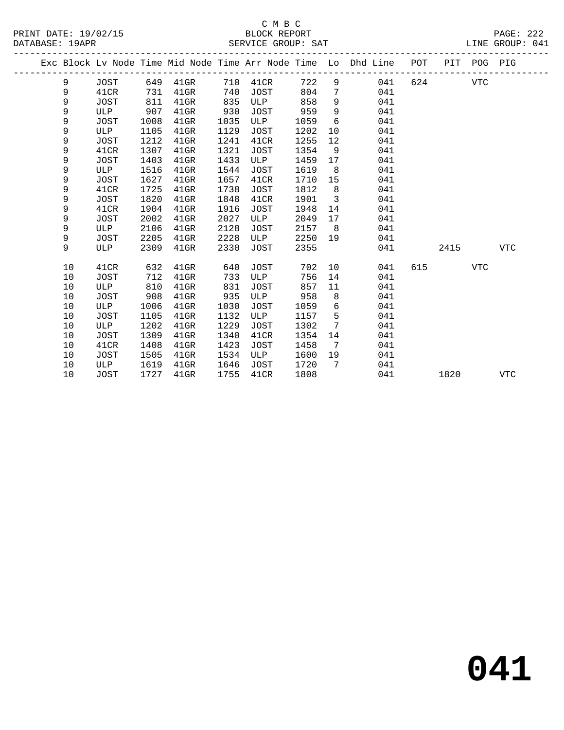|  |    |      |      |                   |      |      |        |                         | Exc Block Lv Node Time Mid Node Time Arr Node Time Lo Dhd Line POT PIT POG PIG |     |      |            |     |
|--|----|------|------|-------------------|------|------|--------|-------------------------|--------------------------------------------------------------------------------|-----|------|------------|-----|
|  | 9  | JOST |      | 649 41GR 710 41CR |      |      | 722    |                         | $9 \left( \frac{1}{2} \right)$<br>041                                          | 624 |      | VTC        |     |
|  | 9  | 41CR | 731  | 41GR              | 740  | JOST | 804    | $7\phantom{0}$          | 041                                                                            |     |      |            |     |
|  | 9  | JOST | 811  | $41$ GR           | 835  | ULP  | 858    | 9                       | 041                                                                            |     |      |            |     |
|  | 9  | ULP  | 907  | $41$ GR           | 930  | JOST | 959    | 9                       | 041                                                                            |     |      |            |     |
|  | 9  | JOST | 1008 | $41$ GR           | 1035 | ULP  | 1059   | 6                       | 041                                                                            |     |      |            |     |
|  | 9  | ULP  | 1105 | $41$ GR           | 1129 | JOST | 1202   | 10                      | 041                                                                            |     |      |            |     |
|  | 9  | JOST | 1212 | $41$ GR           | 1241 | 41CR | 1255   | 12                      | 041                                                                            |     |      |            |     |
|  | 9  | 41CR | 1307 | $41$ GR           | 1321 | JOST | 1354   | 9                       | 041                                                                            |     |      |            |     |
|  | 9  | JOST | 1403 | $41$ GR           | 1433 | ULP  | 1459   | 17                      | 041                                                                            |     |      |            |     |
|  | 9  | ULP  | 1516 | $41$ GR           | 1544 | JOST | 1619   | 8 <sup>8</sup>          | 041                                                                            |     |      |            |     |
|  | 9  | JOST | 1627 | $41$ GR           | 1657 | 41CR | 1710   | 15                      | 041                                                                            |     |      |            |     |
|  | 9  | 41CR | 1725 | $41$ GR           | 1738 | JOST | 1812   | 8 <sup>8</sup>          | 041                                                                            |     |      |            |     |
|  | 9  | JOST | 1820 | $41$ GR           | 1848 | 41CR | 1901   | $\overline{\mathbf{3}}$ | 041                                                                            |     |      |            |     |
|  | 9  | 41CR | 1904 | 41GR              | 1916 | JOST | 1948   | 14                      | 041                                                                            |     |      |            |     |
|  | 9  | JOST | 2002 | $41$ GR           | 2027 | ULP  | 2049   | 17                      | 041                                                                            |     |      |            |     |
|  | 9  | ULP  | 2106 | $41$ GR           | 2128 | JOST | 2157   | 8 <sup>8</sup>          | 041                                                                            |     |      |            |     |
|  | 9  | JOST | 2205 | $41$ GR           | 2228 | ULP  | 2250   | 19                      | 041                                                                            |     |      |            |     |
|  | 9  | ULP  | 2309 | $41$ GR           | 2330 | JOST | 2355   |                         | 041                                                                            |     | 2415 |            | VTC |
|  | 10 | 41CR | 632  | $41$ GR           | 640  | JOST | 702 10 |                         | 041                                                                            | 615 |      | <b>VTC</b> |     |
|  | 10 | JOST | 712  | 41GR              | 733  | ULP  | 756    | 14                      | 041                                                                            |     |      |            |     |
|  | 10 | ULP  | 810  | $41$ GR           | 831  | JOST | 857    | 11                      | 041                                                                            |     |      |            |     |
|  | 10 | JOST | 908  | $41$ GR           | 935  | ULP  | 958    | 8                       | 041                                                                            |     |      |            |     |
|  | 10 | ULP  | 1006 | $41$ GR           | 1030 | JOST | 1059   | 6                       | 041                                                                            |     |      |            |     |
|  | 10 | JOST | 1105 | $41$ GR           | 1132 | ULP  | 1157   | 5                       | 041                                                                            |     |      |            |     |
|  | 10 | ULP  | 1202 | $41$ GR           | 1229 | JOST | 1302   | $7\phantom{.0}$         | 041                                                                            |     |      |            |     |
|  | 10 | JOST | 1309 | $41$ GR           | 1340 | 41CR | 1354   | 14                      | 041                                                                            |     |      |            |     |
|  | 10 | 41CR | 1408 | $41$ GR           | 1423 | JOST | 1458   | 7                       | 041                                                                            |     |      |            |     |
|  | 10 | JOST | 1505 | $41$ GR           | 1534 | ULP  | 1600   | 19                      | 041                                                                            |     |      |            |     |
|  | 10 | ULP  | 1619 | 41GR              | 1646 | JOST | 1720   | $7\overline{ }$         | 041                                                                            |     |      |            |     |
|  | 10 | JOST | 1727 | $41$ GR           | 1755 | 41CR | 1808   |                         | 041                                                                            |     | 1820 |            | VTC |
|  |    |      |      |                   |      |      |        |                         |                                                                                |     |      |            |     |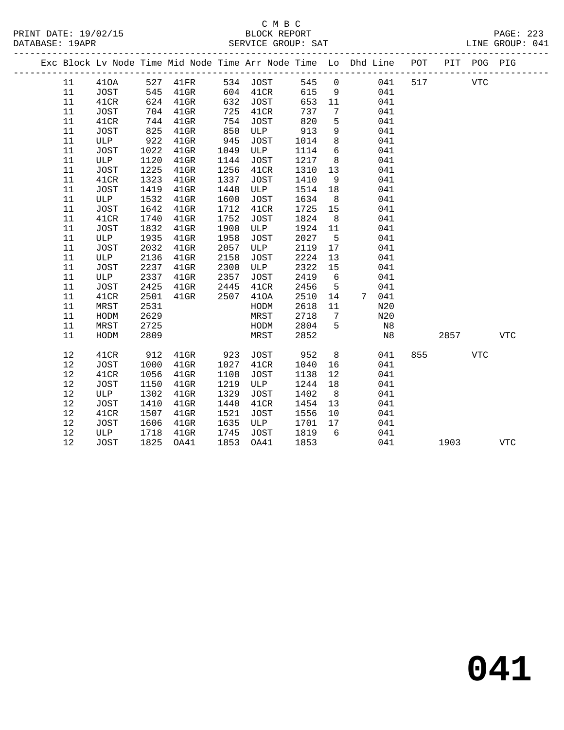### C M B C DATABASE: 19APR SERVICE GROUP: SAT LINE GROUP: 041

|  | - - - - - |             |  |  |  |
|--|-----------|-------------|--|--|--|
|  |           |             |  |  |  |
|  |           | ידס∩ם בם שי |  |  |  |
|  |           |             |  |  |  |

|  |    |             |      |          |      |          |         |                 | Exc Block Lv Node Time Mid Node Time Arr Node Time Lo Dhd Line POT |     | PIT  | POG PIG    |            |
|--|----|-------------|------|----------|------|----------|---------|-----------------|--------------------------------------------------------------------|-----|------|------------|------------|
|  | 11 | 410A        |      | 527 41FR |      | 534 JOST | 545     | $\overline{0}$  | 041                                                                | 517 |      | <b>VTC</b> |            |
|  | 11 | JOST        | 545  | $41$ GR  |      | 604 41CR | 615     | 9               | 041                                                                |     |      |            |            |
|  | 11 | 41CR        | 624  | $41$ GR  | 632  | JOST     | 653     | 11              | 041                                                                |     |      |            |            |
|  | 11 | JOST        | 704  | $41$ GR  | 725  | 41CR     | 737     | $7\phantom{.0}$ | 041                                                                |     |      |            |            |
|  | 11 | 41CR        | 744  | $41$ GR  | 754  | JOST     | 820     | 5               | 041                                                                |     |      |            |            |
|  | 11 | JOST        | 825  | $41$ GR  | 850  | ULP      | 913     | 9               | 041                                                                |     |      |            |            |
|  | 11 | ULP         | 922  | $41$ GR  | 945  | JOST     | 1014    | 8               | 041                                                                |     |      |            |            |
|  | 11 | <b>JOST</b> | 1022 | $41$ GR  | 1049 | ULP      | 1114    | 6               | 041                                                                |     |      |            |            |
|  | 11 | ULP         | 1120 | $41$ GR  | 1144 | JOST     | 1217    | 8 <sup>8</sup>  | 041                                                                |     |      |            |            |
|  | 11 | JOST        | 1225 | $41$ GR  | 1256 | 41CR     | 1310    | 13              | 041                                                                |     |      |            |            |
|  | 11 | 41CR        | 1323 | $41$ GR  | 1337 | JOST     | 1410    | 9               | 041                                                                |     |      |            |            |
|  | 11 | JOST        | 1419 | $41$ GR  | 1448 | ULP      | 1514    | 18              | 041                                                                |     |      |            |            |
|  | 11 | ULP         | 1532 | $41$ GR  | 1600 | JOST     | 1634    | 8 <sup>8</sup>  | 041                                                                |     |      |            |            |
|  | 11 | JOST        | 1642 | $41$ GR  | 1712 | 41CR     | 1725    | 15              | 041                                                                |     |      |            |            |
|  | 11 | 41CR        | 1740 | $41$ GR  | 1752 | JOST     | 1824    | 8 <sup>8</sup>  | 041                                                                |     |      |            |            |
|  | 11 | <b>JOST</b> | 1832 | $41$ GR  | 1900 | ULP      | 1924 11 |                 | 041                                                                |     |      |            |            |
|  | 11 | ULP         | 1935 | $41$ GR  | 1958 | JOST     | 2027    | $-5$            | 041                                                                |     |      |            |            |
|  | 11 | JOST        | 2032 | $41$ GR  | 2057 | ULP      | 2119    | 17              | 041                                                                |     |      |            |            |
|  | 11 | ULP         | 2136 | $41$ GR  | 2158 | JOST     | 2224    | 13              | 041                                                                |     |      |            |            |
|  | 11 | JOST        | 2237 | $41$ GR  | 2300 | ULP      | 2322    | 15              | 041                                                                |     |      |            |            |
|  | 11 | ULP         | 2337 | $41$ GR  | 2357 | JOST     | 2419    | $6\overline{6}$ | 041                                                                |     |      |            |            |
|  | 11 | JOST        | 2425 | $41$ GR  | 2445 | 41CR     | 2456    | $5\overline{)}$ | 041                                                                |     |      |            |            |
|  | 11 | 41CR        | 2501 | $41$ GR  | 2507 | 410A     | 2510    | 14              | 7 041                                                              |     |      |            |            |
|  | 11 | MRST        | 2531 |          |      | HODM     | 2618    | 11              | N20                                                                |     |      |            |            |
|  | 11 | HODM        | 2629 |          |      | MRST     | 2718    | $\overline{7}$  | N20                                                                |     |      |            |            |
|  | 11 | MRST        | 2725 |          |      | HODM     | 2804    | $5^{\circ}$     | N8                                                                 |     |      |            |            |
|  | 11 | HODM        | 2809 |          |      | MRST     | 2852    |                 | N8                                                                 |     | 2857 |            | <b>VTC</b> |
|  | 12 | 41CR        | 912  | $41$ GR  | 923  | JOST     | 952     | 8 <sup>8</sup>  | 041                                                                | 855 |      | VTC        |            |
|  | 12 | JOST        | 1000 | $41$ GR  | 1027 | 41CR     | 1040    | 16              | 041                                                                |     |      |            |            |
|  | 12 | 41CR        | 1056 | $41$ GR  | 1108 | JOST     | 1138    | 12              | 041                                                                |     |      |            |            |
|  | 12 | <b>JOST</b> | 1150 | $41$ GR  | 1219 | ULP      | 1244    | 18              | 041                                                                |     |      |            |            |
|  | 12 | ULP         | 1302 | $41$ GR  | 1329 | JOST     | 1402    | 8               | 041                                                                |     |      |            |            |
|  | 12 | <b>JOST</b> | 1410 | $41$ GR  | 1440 | 41CR     | 1454    | 13              | 041                                                                |     |      |            |            |
|  | 12 | 41CR        | 1507 | $41$ GR  | 1521 | JOST     | 1556    | 10              | 041                                                                |     |      |            |            |
|  | 12 | JOST        | 1606 | $41$ GR  | 1635 | ULP      | 1701    | 17              | 041                                                                |     |      |            |            |
|  | 12 | ULP         | 1718 | $41$ GR  | 1745 | JOST     | 1819    | 6               | 041                                                                |     |      |            |            |
|  | 12 | <b>JOST</b> | 1825 | OA41     | 1853 | OA41     | 1853    |                 | 041                                                                |     | 1903 |            | <b>VTC</b> |
|  |    |             |      |          |      |          |         |                 |                                                                    |     |      |            |            |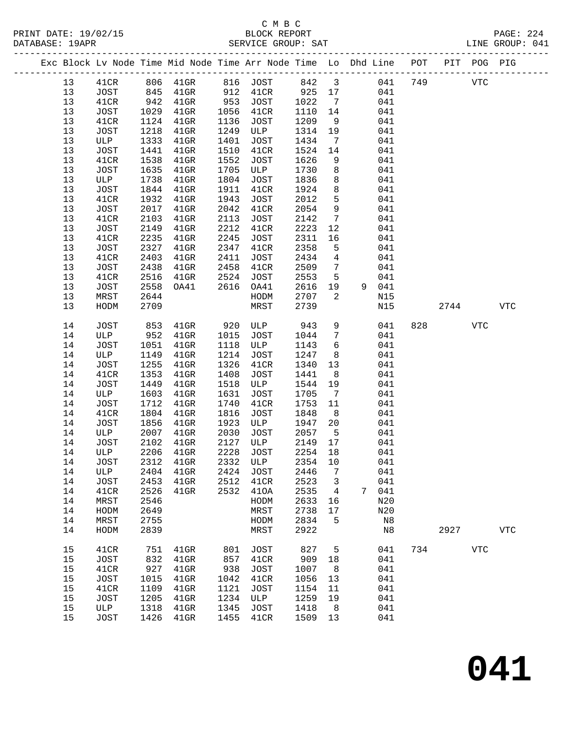|  |          |              |              |                         |              |                          |                 |                         | Exc Block Lv Node Time Mid Node Time Arr Node Time Lo Dhd Line POT |     |      | PIT POG PIG    |            |
|--|----------|--------------|--------------|-------------------------|--------------|--------------------------|-----------------|-------------------------|--------------------------------------------------------------------|-----|------|----------------|------------|
|  | 13       | 41CR         |              | 806 41GR 816 JOST 842 3 |              |                          |                 |                         | 041                                                                | 749 |      | ${\hbox{VTC}}$ |            |
|  | 13       | JOST         | 845          | $41$ GR                 | 912          | 41CR                     | 925 17          |                         | 041                                                                |     |      |                |            |
|  | 13       | 41CR         | 942          | $41$ GR                 | 953          | JOST                     | 1022            | $\overline{7}$          | 041                                                                |     |      |                |            |
|  | 13       | JOST         | 1029         | $41$ GR                 | 1056         | 41CR                     | 1110            | 14                      | 041                                                                |     |      |                |            |
|  | 13       | 41CR         | 1124         | $41$ GR                 | 1136         | JOST                     | 1209            | 9                       | 041                                                                |     |      |                |            |
|  | 13       | JOST         | 1218         | $41$ GR                 | 1249         | ULP                      | 1314            | 19                      | 041                                                                |     |      |                |            |
|  | 13       | ULP          | 1333         | $41$ GR                 | 1401         | JOST                     | 1434            | $\overline{7}$          | 041                                                                |     |      |                |            |
|  | 13       | JOST         | 1441         | $41$ GR                 | 1510         | 41CR                     | 1524            | 14                      | 041                                                                |     |      |                |            |
|  | 13       | 41CR         | 1538         | $41$ GR                 | 1552         | JOST                     | 1626            | 9                       | 041                                                                |     |      |                |            |
|  | 13       | JOST         | 1635         | $41$ GR                 | 1705         | ULP                      | 1730            | 8                       | 041                                                                |     |      |                |            |
|  | 13       | ULP          | 1738         | $41$ GR                 | 1804         | JOST                     | 1836            | 8                       | 041                                                                |     |      |                |            |
|  | 13       | JOST         | 1844         | $41$ GR                 | 1911         | 41CR                     | 1924            | 8                       | 041                                                                |     |      |                |            |
|  | 13       | 41CR         | 1932         | $41$ GR                 | 1943         | JOST                     | 2012            | 5                       | 041                                                                |     |      |                |            |
|  | 13       | JOST         | 2017         | $41$ GR                 | 2042         | 41CR                     | 2054            | 9                       | 041                                                                |     |      |                |            |
|  | 13       | 41CR         | 2103<br>2149 | $41$ GR                 | 2113<br>2212 | JOST                     | 2142<br>2223    | $7\overline{ }$<br>12   | 041<br>041                                                         |     |      |                |            |
|  | 13<br>13 | JOST<br>41CR | 2235         | $41$ GR<br>$41$ GR      | 2245         | 41CR<br>JOST             | 2311            | 16                      | 041                                                                |     |      |                |            |
|  | 13       | JOST         | 2327         | $41$ GR                 | 2347         | 41CR                     | 2358            | 5                       | 041                                                                |     |      |                |            |
|  | 13       | 41CR         | 2403         | $41$ GR                 | 2411         | JOST                     | 2434            | $\overline{4}$          | 041                                                                |     |      |                |            |
|  | 13       | JOST         | 2438         | $41$ GR                 | 2458         | 41CR                     | 2509            | $7\phantom{.0}$         | 041                                                                |     |      |                |            |
|  | 13       | 41CR         | 2516         | $41$ GR                 | 2524         | JOST                     | 2553            | $5\overline{5}$         | 041                                                                |     |      |                |            |
|  | 13       | JOST         | 2558         | OA41                    | 2616         | OA41                     | 2616            | 19                      | 9 041                                                              |     |      |                |            |
|  | 13       | MRST         | 2644         |                         |              | HODM                     | 2707            | 2                       | N15                                                                |     |      |                |            |
|  | 13       | HODM         | 2709         |                         |              | MRST                     | 2739            |                         | N15                                                                |     | 2744 |                | <b>VTC</b> |
|  | 14       | JOST         | 853          | $41$ GR                 | 920          | ULP                      | 943             | 9                       | 041                                                                | 828 |      | VTC            |            |
|  | 14       | ULP          | 952          | $41$ GR                 | 1015         | JOST                     | 1044            | $7\phantom{.0}$         | 041                                                                |     |      |                |            |
|  | 14       | JOST         | 1051         | $41$ GR                 | 1118         | ULP                      | 1143            | 6                       | 041                                                                |     |      |                |            |
|  | 14       | ULP          | 1149         | $41$ GR                 | 1214         | JOST                     | 1247            | 8                       | 041                                                                |     |      |                |            |
|  | 14       | JOST         | 1255         | $41$ GR                 | 1326         | 41CR                     | 1340            | 13                      | 041                                                                |     |      |                |            |
|  | 14       | 41CR         | 1353         | $41$ GR                 | 1408         | JOST                     | 1441            | 8                       | 041                                                                |     |      |                |            |
|  | 14       | JOST         | 1449         | $41$ GR                 | 1518         | ULP                      | 1544            | 19                      | 041                                                                |     |      |                |            |
|  | 14       | ULP          | 1603         | $41$ GR                 | 1631         | JOST                     | 1705            | $\overline{7}$          | 041                                                                |     |      |                |            |
|  | 14       | JOST         | 1712         | $41$ GR                 | 1740         | 41CR                     | 1753            | 11                      | 041                                                                |     |      |                |            |
|  | 14       | 41CR         | 1804         | $41$ GR                 | 1816         | JOST                     | 1848            | 8 <sup>8</sup>          | 041                                                                |     |      |                |            |
|  | 14       | JOST         | 1856         | $41$ GR                 | 1923         | ULP                      | 1947            | 20                      | 041                                                                |     |      |                |            |
|  | 14       | ULP          | 2007         | $41$ GR                 | 2030         | JOST                     | 2057            | $5^{\circ}$             | 041                                                                |     |      |                |            |
|  | 14<br>14 | JOST<br>ULP  | 2102<br>2206 | $41$ GR                 | 2127<br>2228 | ULP                      | 2149<br>2254 18 | 17                      | 041<br>041                                                         |     |      |                |            |
|  | 14       | JOST         |              | $41$ GR<br>2312 41GR    |              | JOST<br>2332 ULP 2354 10 |                 |                         | 041                                                                |     |      |                |            |
|  | 14       | ULP          | 2404         | $41$ GR                 |              | 2424 JOST                | 2446            | 7                       | 041                                                                |     |      |                |            |
|  | 14       | JOST         | 2453         | $41$ GR                 | 2512         | 41CR                     | 2523            | $\overline{\mathbf{3}}$ | 041                                                                |     |      |                |            |
|  | 14       | 41CR         | 2526         | $41$ GR                 |              | 2532 410A                | 2535            | $\overline{4}$          | 7 041                                                              |     |      |                |            |
|  | 14       | MRST         | 2546         |                         |              | HODM                     | 2633            | 16                      | N20                                                                |     |      |                |            |
|  | 14       | HODM         | 2649         |                         |              | MRST                     | 2738            | 17                      | N20                                                                |     |      |                |            |
|  | 14       | MRST         | 2755         |                         |              | HODM                     | 2834            | 5                       | N8                                                                 |     |      |                |            |
|  | 14       | HODM         | 2839         |                         |              | MRST                     | 2922            |                         | N8                                                                 |     | 2927 |                | <b>VTC</b> |
|  | 15       | 41CR         | 751          | $41$ GR                 | 801          | JOST                     | 827             | 5                       | 041                                                                |     | 734  | <b>VTC</b>     |            |
|  | 15       | JOST         | 832          | $41$ GR                 | 857          | 41CR                     | 909             | 18                      | 041                                                                |     |      |                |            |
|  | 15       | 41CR         | 927          | $41$ GR                 | 938          | JOST                     | 1007            | 8 <sup>8</sup>          | 041                                                                |     |      |                |            |
|  | 15       | JOST         | 1015         | $41$ GR                 | 1042         | 41CR                     | 1056            | 13                      | 041                                                                |     |      |                |            |
|  | 15       | 41CR         | 1109         | $41$ GR                 | 1121         | JOST                     | 1154            | 11                      | 041                                                                |     |      |                |            |
|  | 15       | JOST         | 1205         | $41$ GR                 | 1234         | ULP                      | 1259            | 19                      | 041                                                                |     |      |                |            |
|  | 15       | ULP          | 1318         | $41$ GR                 | 1345         | JOST                     | 1418            | 8                       | 041                                                                |     |      |                |            |
|  | 15       | JOST         | 1426         | $41$ GR                 | 1455         | 41CR                     | 1509 13         |                         | 041                                                                |     |      |                |            |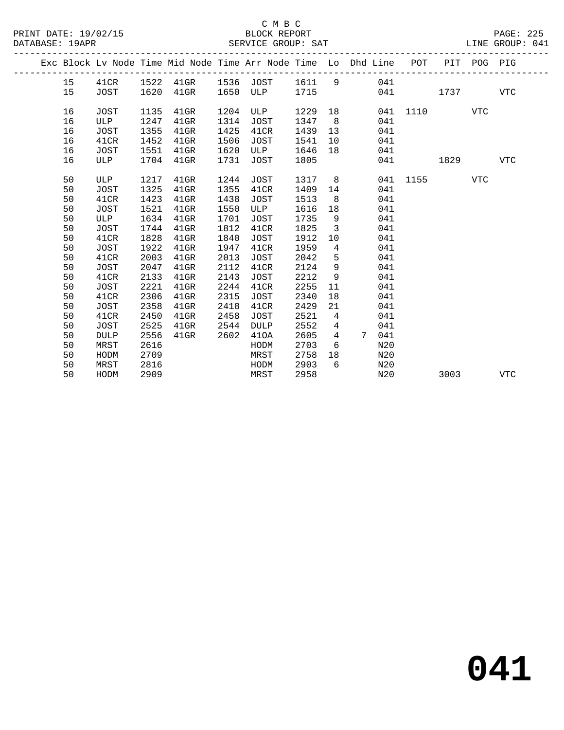|  |    |             |      |         |      |             |      |                | Exc Block Lv Node Time Mid Node Time Arr Node Time Lo Dhd Line | POT  | PIT  | POG PIG    |            |
|--|----|-------------|------|---------|------|-------------|------|----------------|----------------------------------------------------------------|------|------|------------|------------|
|  | 15 | 41CR        | 1522 | 41GR    | 1536 | JOST        | 1611 | 9              | 041                                                            |      |      |            |            |
|  | 15 | <b>JOST</b> | 1620 | $41$ GR | 1650 | ULP         | 1715 |                | 041                                                            |      | 1737 |            | <b>VTC</b> |
|  | 16 | JOST        | 1135 | $41$ GR | 1204 | ULP         | 1229 | 18             | 041                                                            | 1110 |      | <b>VTC</b> |            |
|  | 16 | ULP         | 1247 | $41$ GR | 1314 | <b>JOST</b> | 1347 | - 8            | 041                                                            |      |      |            |            |
|  | 16 | JOST        | 1355 | $41$ GR | 1425 | 41CR        | 1439 | 13             | 041                                                            |      |      |            |            |
|  | 16 | 41CR        | 1452 | $41$ GR | 1506 | JOST        | 1541 | 10             | 041                                                            |      |      |            |            |
|  | 16 | JOST        | 1551 | $41$ GR | 1620 | ULP         | 1646 | 18             | 041                                                            |      |      |            |            |
|  | 16 | ULP         | 1704 | $41$ GR | 1731 | JOST        | 1805 |                | 041                                                            |      | 1829 |            | <b>VTC</b> |
|  |    |             |      |         |      |             |      |                |                                                                |      |      |            |            |
|  | 50 | ULP         | 1217 | $41$ GR | 1244 | JOST        | 1317 | 8              | 041                                                            | 1155 |      | VTC        |            |
|  | 50 | <b>JOST</b> | 1325 | $41$ GR | 1355 | 41CR        | 1409 | 14             | 041                                                            |      |      |            |            |
|  | 50 | 41CR        | 1423 | $41$ GR | 1438 | JOST        | 1513 | 8              | 041                                                            |      |      |            |            |
|  | 50 | JOST        | 1521 | $41$ GR | 1550 | ULP         | 1616 | 18             | 041                                                            |      |      |            |            |
|  | 50 | ULP         | 1634 | $41$ GR | 1701 | <b>JOST</b> | 1735 | 9              | 041                                                            |      |      |            |            |
|  | 50 | <b>JOST</b> | 1744 | $41$ GR | 1812 | 41CR        | 1825 | 3              | 041                                                            |      |      |            |            |
|  | 50 | 41CR        | 1828 | $41$ GR | 1840 | <b>JOST</b> | 1912 | 10             | 041                                                            |      |      |            |            |
|  | 50 | JOST        | 1922 | $41$ GR | 1947 | 41CR        | 1959 | 4              | 041                                                            |      |      |            |            |
|  | 50 | 41CR        | 2003 | $41$ GR | 2013 | <b>JOST</b> | 2042 | 5              | 041                                                            |      |      |            |            |
|  | 50 | JOST        | 2047 | $41$ GR | 2112 | 41CR        | 2124 | 9              | 041                                                            |      |      |            |            |
|  | 50 | 41CR        | 2133 | $41$ GR | 2143 | <b>JOST</b> | 2212 | 9              | 041                                                            |      |      |            |            |
|  | 50 | <b>JOST</b> | 2221 | $41$ GR | 2244 | 41CR        | 2255 | 11             | 041                                                            |      |      |            |            |
|  | 50 | 41CR        | 2306 | $41$ GR | 2315 | JOST        | 2340 | 18             | 041                                                            |      |      |            |            |
|  | 50 | JOST        | 2358 | $41$ GR | 2418 | 41CR        | 2429 | 21             | 041                                                            |      |      |            |            |
|  | 50 | 41CR        | 2450 | $41$ GR | 2458 | JOST        | 2521 | 4              | 041                                                            |      |      |            |            |
|  | 50 | <b>JOST</b> | 2525 | $41$ GR | 2544 | <b>DULP</b> | 2552 | $\overline{4}$ | 041                                                            |      |      |            |            |
|  | 50 | <b>DULP</b> | 2556 | $41$ GR | 2602 | 410A        | 2605 | $\overline{4}$ | 041<br>7                                                       |      |      |            |            |
|  | 50 | MRST        | 2616 |         |      | HODM        | 2703 | 6              | N20                                                            |      |      |            |            |
|  | 50 | HODM        | 2709 |         |      | MRST        | 2758 | 18             | N20                                                            |      |      |            |            |
|  | 50 | MRST        | 2816 |         |      | HODM        | 2903 | 6              | N20                                                            |      |      |            |            |
|  | 50 | HODM        | 2909 |         |      | MRST        | 2958 |                | N20                                                            |      | 3003 |            | VTC        |
|  |    |             |      |         |      |             |      |                |                                                                |      |      |            |            |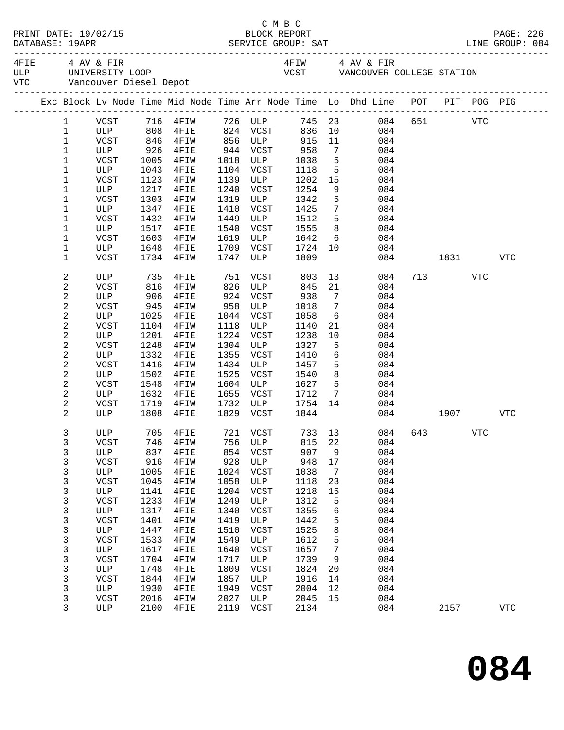|                          | PRINT DATE: 19/02/15                          |              |              |              | C M B C<br>BLOCK REPORT                                           |              |                              |                                                                                                                                                                                                                                                                                                                                  |     |                                                                                                                                                                                                                                 |            | PAGE: 226  |
|--------------------------|-----------------------------------------------|--------------|--------------|--------------|-------------------------------------------------------------------|--------------|------------------------------|----------------------------------------------------------------------------------------------------------------------------------------------------------------------------------------------------------------------------------------------------------------------------------------------------------------------------------|-----|---------------------------------------------------------------------------------------------------------------------------------------------------------------------------------------------------------------------------------|------------|------------|
|                          | 4FIE 4 AV & FIR<br>VTC Vancouver Diesel Depot |              |              |              |                                                                   |              |                              | 4FIW 4 AV & FIR<br>$T_{\text{H}}$ and $T_{\text{H}}$ and $T_{\text{H}}$ and $T_{\text{H}}$ and $T_{\text{H}}$ and $T_{\text{H}}$ and $T_{\text{H}}$ and $T_{\text{H}}$ and $T_{\text{H}}$ and $T_{\text{H}}$ and $T_{\text{H}}$ and $T_{\text{H}}$ and $T_{\text{H}}$ and $T_{\text{H}}$ and $T_{\text{H}}$ and $T_{\text{H}}$ a |     |                                                                                                                                                                                                                                 |            |            |
|                          |                                               |              |              |              |                                                                   |              |                              | Exc Block Lv Node Time Mid Node Time Arr Node Time Lo Dhd Line POT PIT POG PIG                                                                                                                                                                                                                                                   |     |                                                                                                                                                                                                                                 |            |            |
| $\mathbf{1}$             |                                               |              |              |              |                                                                   |              |                              | VCST 716 4FIW 726 ULP 745 23 084 651 VTC                                                                                                                                                                                                                                                                                         |     |                                                                                                                                                                                                                                 |            |            |
| $\mathbf{1}$             | ULP 808 4FIE<br>VCST 846 4FIW                 |              |              |              | 824   VCST          836    10<br>856    ULP             915    11 |              |                              | $\begin{array}{ccc} 10 & \quad & 084 \\ 11 & \quad & 084 \end{array}$                                                                                                                                                                                                                                                            |     |                                                                                                                                                                                                                                 |            |            |
| $\mathbf 1$              |                                               |              |              |              |                                                                   |              |                              |                                                                                                                                                                                                                                                                                                                                  |     |                                                                                                                                                                                                                                 |            |            |
| 1                        | ULP                                           |              | 926 4FIE     |              | 944 VCST 958                                                      |              |                              | $7\overline{ }$<br>084                                                                                                                                                                                                                                                                                                           |     |                                                                                                                                                                                                                                 |            |            |
| 1                        | VCST                                          | 1005         | 4FIW         | 1018         | ULP                                                               | 1038         | $5^{\circ}$                  | 084                                                                                                                                                                                                                                                                                                                              |     |                                                                                                                                                                                                                                 |            |            |
| 1                        | ULP                                           | 1043         | 4FIE         |              | 1104 VCST                                                         | 1118         |                              | $\begin{array}{ccc} 5 & 084 \\ 15 & 084 \end{array}$                                                                                                                                                                                                                                                                             |     |                                                                                                                                                                                                                                 |            |            |
| 1                        | VCST<br>ULP                                   | 1123<br>1217 | 4FIW         | 1139<br>1240 | ULP                                                               | 1202<br>1254 | 15<br>9                      | 084                                                                                                                                                                                                                                                                                                                              |     |                                                                                                                                                                                                                                 |            |            |
| 1<br>$\mathbf 1$         | VCST                                          | 1303         | 4FIE<br>4FIW | 1319         | VCST<br>ULP                                                       | 1342         | 5                            | 084<br>084                                                                                                                                                                                                                                                                                                                       |     |                                                                                                                                                                                                                                 |            |            |
| 1                        | ULP                                           | 1347         | 4FIE         | 1410         | VCST                                                              | 1425         | $7\overline{ }$              | 084                                                                                                                                                                                                                                                                                                                              |     |                                                                                                                                                                                                                                 |            |            |
| 1                        | VCST                                          | 1432         | 4FIW         | 1449         | ULP                                                               | 1512         | 5 <sub>5</sub>               | 084                                                                                                                                                                                                                                                                                                                              |     |                                                                                                                                                                                                                                 |            |            |
| 1                        | ULP                                           | 1517         | 4FIE         | 1540         | VCST                                                              | 1555         |                              | $8 - 1$<br>084                                                                                                                                                                                                                                                                                                                   |     |                                                                                                                                                                                                                                 |            |            |
| 1                        | VCST                                          | 1603         | 4FIW         | 1619         | ULP                                                               | 1642         |                              | $6\overline{6}$<br>084                                                                                                                                                                                                                                                                                                           |     |                                                                                                                                                                                                                                 |            |            |
| 1                        | ULP                                           | 1648         | 4FIE         | 1709         | VCST                                                              | 1724         |                              | 10<br>084                                                                                                                                                                                                                                                                                                                        |     |                                                                                                                                                                                                                                 |            |            |
| 1                        | VCST                                          | 1734         | 4FIW         | 1747         | ULP                                                               | 1809         |                              |                                                                                                                                                                                                                                                                                                                                  | 084 | 1831 — 1831 — 1840 — 1840 — 1840 — 1840 — 1851 — 1852 — 1853 — 1854 — 1855 — 1855 — 1855 — 1855 — 1855 — 1855 — 1855 — 1855 — 1855 — 1855 — 1855 — 1855 — 1855 — 1855 — 1855 — 1855 — 1855 — 1855 — 1855 — 1855 — 1855 — 1855 — |            | VTC        |
| $\sqrt{2}$               | ULP                                           | 735          | 4FIE         | 751          | VCST                                                              | 803          |                              | 13 and $\overline{\phantom{a}}$ 13<br>084                                                                                                                                                                                                                                                                                        |     | 713                                                                                                                                                                                                                             | <b>VTC</b> |            |
| $\mathbf{2}$             | VCST                                          | 816          | 4FIW         | 826          | ULP                                                               | 845          | 21                           | 084                                                                                                                                                                                                                                                                                                                              |     |                                                                                                                                                                                                                                 |            |            |
| $\sqrt{2}$               | ULP                                           | 906          | $4$ FIE      |              | 924 VCST                                                          | 938          | $7\overline{ }$              | 084                                                                                                                                                                                                                                                                                                                              |     |                                                                                                                                                                                                                                 |            |            |
| $\sqrt{2}$               | VCST                                          | 945          | 4FIW         | 958          | ULP                                                               | 1018         | $\overline{7}$               | 084                                                                                                                                                                                                                                                                                                                              |     |                                                                                                                                                                                                                                 |            |            |
| $\sqrt{2}$               | ULP                                           | 1025         | 4FIE         |              | 1044 VCST                                                         | 1058         | 6                            | 084                                                                                                                                                                                                                                                                                                                              |     |                                                                                                                                                                                                                                 |            |            |
| $\mathbf{2}$             | VCST                                          | 1104         | 4FIW         | 1118         | ULP                                                               | 1140         | 21                           | 084                                                                                                                                                                                                                                                                                                                              |     |                                                                                                                                                                                                                                 |            |            |
| $\sqrt{2}$<br>$\sqrt{2}$ | ULP                                           | 1201<br>1248 | 4FIE         | 1224         | VCST<br>1304 ULP                                                  | 1238<br>1327 | 10<br>5                      | 084<br>084                                                                                                                                                                                                                                                                                                                       |     |                                                                                                                                                                                                                                 |            |            |
| $\sqrt{2}$               | VCST<br>ULP                                   | 1332         | 4FIW<br>4FIE | 1355         | VCST                                                              | 1410         | 6                            | 084                                                                                                                                                                                                                                                                                                                              |     |                                                                                                                                                                                                                                 |            |            |
| $\mathbf{2}$             | <b>VCST</b>                                   | 1416         | 4FIW         | 1434         | ULP                                                               | 1457         | 5                            | 084                                                                                                                                                                                                                                                                                                                              |     |                                                                                                                                                                                                                                 |            |            |
| $\sqrt{2}$               | ULP                                           | 1502         | 4FIE         | 1525         | VCST                                                              | 1540         | 8                            | 084                                                                                                                                                                                                                                                                                                                              |     |                                                                                                                                                                                                                                 |            |            |
| $\sqrt{2}$               | VCST                                          | 1548         | 4FIW         | 1604         | ULP                                                               | 1627         | 5 <sup>5</sup>               | 084                                                                                                                                                                                                                                                                                                                              |     |                                                                                                                                                                                                                                 |            |            |
| $\overline{c}$           | ULP                                           | 1632         | 4FIE         | 1655         | VCST                                                              | 1712         | $7\overline{ }$              | 084                                                                                                                                                                                                                                                                                                                              |     |                                                                                                                                                                                                                                 |            |            |
| 2                        | VCST                                          | 1719         | 4FIW         | 1732         | ULP                                                               |              |                              | 1754 14 084                                                                                                                                                                                                                                                                                                                      |     |                                                                                                                                                                                                                                 |            |            |
| 2                        | ULP                                           | 1808         | 4FIE         | 1829         | VCST                                                              | 1844         |                              |                                                                                                                                                                                                                                                                                                                                  |     | 084 1907                                                                                                                                                                                                                        |            | VTC        |
| $\mathbf{3}$             |                                               |              |              |              |                                                                   |              |                              | ULP 705 4FIE 721 VCST 733 13 084 643 VTC                                                                                                                                                                                                                                                                                         |     |                                                                                                                                                                                                                                 |            |            |
| 3                        | VCST                                          | 746          | 4FIW         | 756          | ULP                                                               | 815          | 22                           | 084                                                                                                                                                                                                                                                                                                                              |     |                                                                                                                                                                                                                                 |            |            |
| 3                        | ULP                                           | 837          | 4FIE         | 854          | VCST                                                              | 907          | 9                            | 084                                                                                                                                                                                                                                                                                                                              |     |                                                                                                                                                                                                                                 |            |            |
| 3                        | <b>VCST</b>                                   | 916          | 4FIW         | 928          | ULP                                                               | 948          | 17                           | 084                                                                                                                                                                                                                                                                                                                              |     |                                                                                                                                                                                                                                 |            |            |
| 3                        | ULP                                           | 1005         | 4FIE         | 1024         | VCST                                                              | 1038         | $7\phantom{.0}\phantom{.0}7$ | 084                                                                                                                                                                                                                                                                                                                              |     |                                                                                                                                                                                                                                 |            |            |
| 3                        | VCST                                          | 1045         | 4FIW         | 1058         | ULP                                                               | 1118         | 23                           | 084                                                                                                                                                                                                                                                                                                                              |     |                                                                                                                                                                                                                                 |            |            |
| 3                        | ULP                                           | 1141<br>1233 | 4FIE         | 1204<br>1249 | VCST                                                              | 1218<br>1312 | 15<br>5                      | 084<br>084                                                                                                                                                                                                                                                                                                                       |     |                                                                                                                                                                                                                                 |            |            |
| 3<br>3                   | VCST<br>ULP                                   | 1317         | 4FIW<br>4FIE | 1340         | ULP<br>VCST                                                       | 1355         | 6                            | 084                                                                                                                                                                                                                                                                                                                              |     |                                                                                                                                                                                                                                 |            |            |
| 3                        | VCST                                          | 1401         | 4FIW         | 1419         | ULP                                                               | 1442         | 5                            | 084                                                                                                                                                                                                                                                                                                                              |     |                                                                                                                                                                                                                                 |            |            |
| 3                        | ULP                                           | 1447         | 4FIE         | 1510         | VCST                                                              | 1525         | 8                            | 084                                                                                                                                                                                                                                                                                                                              |     |                                                                                                                                                                                                                                 |            |            |
| 3                        | <b>VCST</b>                                   | 1533         | 4FIW         | 1549         | ULP                                                               | 1612         | 5                            | 084                                                                                                                                                                                                                                                                                                                              |     |                                                                                                                                                                                                                                 |            |            |
| 3                        | ULP                                           | 1617         | 4FIE         | 1640         | VCST                                                              | 1657         | 7                            | 084                                                                                                                                                                                                                                                                                                                              |     |                                                                                                                                                                                                                                 |            |            |
| 3                        | <b>VCST</b>                                   | 1704         | 4FIW         | 1717         | ULP                                                               | 1739         | 9                            | 084                                                                                                                                                                                                                                                                                                                              |     |                                                                                                                                                                                                                                 |            |            |
| 3                        | ULP                                           | 1748         | 4FIE         | 1809         | VCST                                                              | 1824         | 20                           | 084                                                                                                                                                                                                                                                                                                                              |     |                                                                                                                                                                                                                                 |            |            |
| $\mathsf{3}$             | <b>VCST</b>                                   | 1844         | 4FIW         | 1857         | ULP                                                               | 1916         | 14                           | 084                                                                                                                                                                                                                                                                                                                              |     |                                                                                                                                                                                                                                 |            |            |
| 3                        | ULP                                           | 1930         | 4FIE         | 1949         | VCST                                                              | 2004         | 12                           | 084                                                                                                                                                                                                                                                                                                                              |     |                                                                                                                                                                                                                                 |            |            |
| 3                        | VCST                                          | 2016         | 4FIW         | 2027         | ULP                                                               | 2045         | 15                           | 084                                                                                                                                                                                                                                                                                                                              |     |                                                                                                                                                                                                                                 |            |            |
| 3                        | ULP                                           | 2100         | 4FIE         | 2119         | VCST                                                              | 2134         |                              | 084                                                                                                                                                                                                                                                                                                                              |     | 2157                                                                                                                                                                                                                            |            | <b>VTC</b> |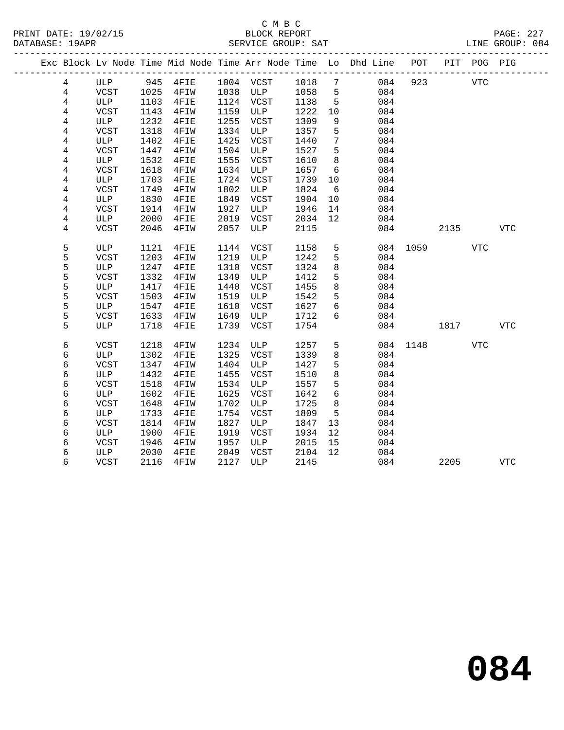|  |                |              |      |         |      |                |      |                 | Exc Block Lv Node Time Mid Node Time Arr Node Time Lo Dhd Line POT PIT POG PIG |          |      |            |            |  |
|--|----------------|--------------|------|---------|------|----------------|------|-----------------|--------------------------------------------------------------------------------|----------|------|------------|------------|--|
|  | 4              | ULP 945 4FIE |      |         |      | 1004 VCST 1018 |      | $\overline{7}$  | 084                                                                            | 923      | VTC  |            |            |  |
|  | $\overline{4}$ | VCST         | 1025 | 4FIW    |      | 1038 ULP       | 1058 | 5               | 084                                                                            |          |      |            |            |  |
|  | 4              | ULP          | 1103 | $4$ FIE |      | 1124 VCST      | 1138 | 5               | 084                                                                            |          |      |            |            |  |
|  | 4              | VCST         | 1143 | 4FIW    | 1159 | ULP            | 1222 | 10              | 084                                                                            |          |      |            |            |  |
|  | 4              | ULP          | 1232 | 4FIE    | 1255 | VCST           | 1309 | 9               | 084                                                                            |          |      |            |            |  |
|  | 4              | <b>VCST</b>  | 1318 | 4FIW    | 1334 | ULP            | 1357 | 5               | 084                                                                            |          |      |            |            |  |
|  | 4              | ULP          | 1402 | 4FIE    | 1425 | VCST           | 1440 | $7\phantom{.0}$ | 084                                                                            |          |      |            |            |  |
|  | 4              | VCST         | 1447 | 4FIW    | 1504 | ULP            | 1527 | 5               | 084                                                                            |          |      |            |            |  |
|  | $\overline{4}$ | ULP          | 1532 | 4FIE    | 1555 | VCST           | 1610 | 8               | 084                                                                            |          |      |            |            |  |
|  | 4              | VCST         | 1618 | 4FIW    | 1634 | ULP            | 1657 | 6               | 084                                                                            |          |      |            |            |  |
|  | 4              | ULP          | 1703 | 4FIE    | 1724 | VCST           | 1739 | 10              | 084                                                                            |          |      |            |            |  |
|  | $\overline{4}$ | <b>VCST</b>  | 1749 | 4FIW    | 1802 | ULP            | 1824 | 6               | 084                                                                            |          |      |            |            |  |
|  | 4              | ULP          | 1830 | 4FIE    | 1849 | VCST           | 1904 | 10              | 084                                                                            |          |      |            |            |  |
|  | 4              | <b>VCST</b>  | 1914 | 4FIW    | 1927 | ULP            | 1946 | 14              | 084                                                                            |          |      |            |            |  |
|  | 4              | ULP          | 2000 | 4FIE    | 2019 | VCST           | 2034 | 12              | 084                                                                            |          |      |            |            |  |
|  | 4              | VCST         | 2046 | 4FIW    | 2057 | ULP            | 2115 |                 | 084                                                                            |          | 2135 |            | VTC        |  |
|  | 5              | ULP          | 1121 | 4FIE    | 1144 | VCST           | 1158 | 5               | 084                                                                            | 1059     |      | <b>VTC</b> |            |  |
|  | 5              | VCST         | 1203 | 4FIW    | 1219 | ULP            | 1242 | 5               | 084                                                                            |          |      |            |            |  |
|  | 5              | ULP          | 1247 | 4FIE    | 1310 | VCST           | 1324 | 8               | 084                                                                            |          |      |            |            |  |
|  | 5              | VCST         | 1332 | 4FIW    | 1349 | ULP            | 1412 | 5               | 084                                                                            |          |      |            |            |  |
|  | 5              | ULP          | 1417 | 4FIE    | 1440 | VCST           | 1455 | 8               | 084                                                                            |          |      |            |            |  |
|  | 5              | VCST         | 1503 | 4FIW    | 1519 | ULP            | 1542 | 5               | 084                                                                            |          |      |            |            |  |
|  | 5              | ULP          | 1547 | 4FIE    | 1610 | VCST           | 1627 | 6               | 084                                                                            |          |      |            |            |  |
|  | 5              | VCST         | 1633 | 4FIW    | 1649 | ULP            | 1712 | 6               | 084                                                                            |          |      |            |            |  |
|  | 5              | ULP          | 1718 | 4FIE    | 1739 | VCST           | 1754 |                 | 084                                                                            |          | 1817 |            | <b>VTC</b> |  |
|  | 6              | VCST         | 1218 | 4FIW    | 1234 | ULP            | 1257 | 5               |                                                                                | 084 1148 |      | VTC        |            |  |
|  | 6              | ULP          | 1302 | 4FIE    | 1325 | VCST           | 1339 | 8               | 084                                                                            |          |      |            |            |  |
|  | 6              | VCST         | 1347 | 4FIW    | 1404 | ULP            | 1427 | 5               | 084                                                                            |          |      |            |            |  |
|  | 6              | ULP          | 1432 | 4FIE    | 1455 | VCST           | 1510 | $\,8\,$         | 084                                                                            |          |      |            |            |  |
|  | 6              | <b>VCST</b>  | 1518 | 4FIW    | 1534 | ULP            | 1557 | 5               | 084                                                                            |          |      |            |            |  |
|  | 6              | ULP          | 1602 | 4FIE    | 1625 | VCST           | 1642 | 6               | 084                                                                            |          |      |            |            |  |
|  | 6              | <b>VCST</b>  | 1648 | 4FIW    | 1702 | ULP            | 1725 | 8               | 084                                                                            |          |      |            |            |  |
|  | 6              | ULP          | 1733 | 4FIE    | 1754 | VCST           | 1809 | 5               | 084                                                                            |          |      |            |            |  |
|  | 6              | VCST         | 1814 | 4FIW    | 1827 | ULP            | 1847 | 13              | 084                                                                            |          |      |            |            |  |
|  | 6              | ULP          | 1900 | 4FIE    | 1919 | VCST           | 1934 | 12              | 084                                                                            |          |      |            |            |  |
|  | 6              | <b>VCST</b>  | 1946 | 4FIW    | 1957 | ULP            | 2015 | 15              | 084                                                                            |          |      |            |            |  |
|  | 6              | ULP          | 2030 | 4FIE    | 2049 | VCST           | 2104 | 12              | 084                                                                            |          |      |            |            |  |
|  | 6              | VCST         | 2116 | 4FIW    | 2127 | ULP            | 2145 |                 | 084                                                                            |          | 2205 |            | <b>VTC</b> |  |
|  |                |              |      |         |      |                |      |                 |                                                                                |          |      |            |            |  |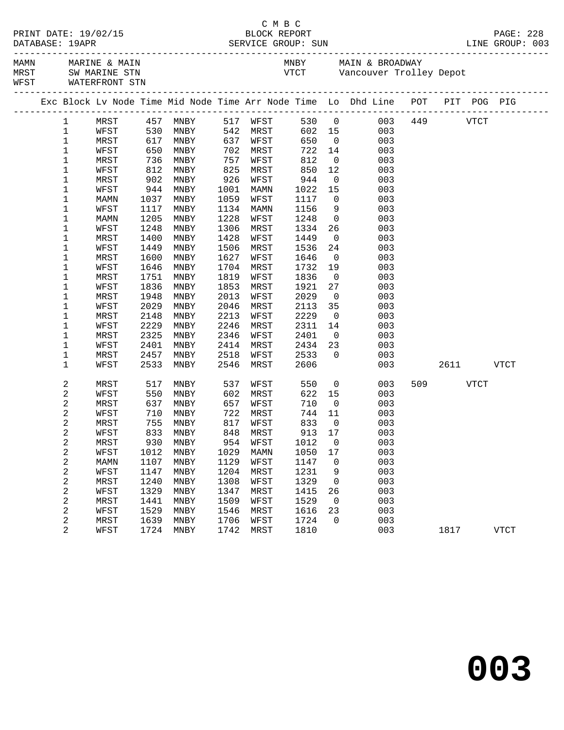| WEST WATERFRONT STN<br>Exc Block Lv Node Time Mid Node Time Arr Node Time Lo Dhd Line POT PIT POG PIG<br>530 0 003 449 VTCT<br>MRST 457 MNBY 517 WFST<br>$1 \quad$<br>530<br>$\mathbf{1}$<br>WFST<br>MNBY<br>542 MRST<br>602 15 003<br>$\mathbf 1$<br>617<br>650<br>736<br>637<br>650<br>$\begin{array}{ccc} 0 & 003 \\ 14 & 003 \end{array}$<br>MRST<br>MNBY<br>WFST<br>MRST<br>WFST<br>1<br>722 14<br>WFST<br>MNBY<br>702<br>MRST<br>$\begin{bmatrix} 0 & 0 & 0 \\ 0 & 0 & 0 \end{bmatrix}$<br>812<br>$\mathbf 1$<br>757<br>MRST<br>MNBY<br>812<br>850 12<br>003<br>$\mathbf 1$<br>825<br>WFST<br>MNBY<br>MRST<br>944<br>1<br>902<br>926<br>MNBY<br>WFST<br>$\overline{0}$<br>003<br>MRST<br>1<br>944<br>$\begin{array}{cccc} 1022 & 15 & & 003 \\ 1117 & 0 & & 003 \end{array}$<br>WFST<br>MNBY<br>1001<br>MAMN<br>1<br>1059<br>1037<br>MNBY<br>WFST<br>MAMN<br>9 003<br>1<br>1117<br>1134<br>1156<br>WFST<br>MNBY<br>MAMN<br>1<br>1205<br>1228<br>WFST<br>1248 0<br>MNBY<br>003<br>MAMN<br>1<br>1248<br>1306<br>$\begin{array}{c} 26 \\ 0 \end{array}$<br>003<br>WFST<br>MNBY<br>MRST<br>1334<br>1<br>1428<br>003<br>MRST<br>1400<br>MNBY<br>WFST<br>1449<br>1506<br>003<br>1<br>1449<br>MNBY<br>MRST<br>1536<br>24<br>WFST<br>1<br>1627<br>MRST<br>1600<br>MNBY<br>WFST<br>1646<br>003<br>$\overline{0}$<br>1646<br>1704<br>1<br>WFST<br>MNBY<br>MRST<br>1732<br>19<br>003<br>1<br>1751<br>1819<br>WFST<br>1836<br>$\overline{0}$<br>003<br>MRST<br>MNBY<br>1836<br>1853<br>27<br>003<br>1<br>WFST<br>MNBY<br>MRST<br>1921<br>1<br>WFST<br>MRST<br>1948<br>MNBY<br>2013<br>2029<br>$\overline{0}$<br>003<br>1<br>2029<br>2113<br>35<br>WFST<br>MNBY<br>2046<br>MRST<br>003<br>1<br>2229<br>$\overline{0}$<br>MRST<br>2148<br>MNBY<br>2213<br>WFST<br>003<br>2229<br>1<br>WFST<br>MNBY<br>2246<br>MRST<br>2311<br>14<br>003<br>1<br>2325<br>2346<br>2401<br>$\overline{0}$<br>MRST<br>MNBY<br>WFST<br>003<br>2401<br>2414<br>2434<br>23<br>003<br>1<br>WFST<br>MNBY<br>MRST<br>1<br>2457<br>2518<br>2533<br>$\overline{0}$<br>003<br>MRST<br>MNBY<br>WFST<br>2533<br>2546<br>2606<br>003<br>2611<br>1<br>WFST<br>MNBY<br>MRST<br>VTCT<br>2<br>509 VTCT<br>MRST<br>517<br>MNBY<br>537<br>WFST<br>550<br>$\overline{0}$<br>003<br>$\sqrt{2}$<br>550<br>622 15<br>WFST<br>MNBY<br>602<br>MRST<br>003<br>637<br>$\overline{0}$<br>2<br>WFST<br>710<br>MRST<br>MNBY<br>657<br>003<br>710<br>2<br>722 MRST<br>744 11<br>WFST<br>MNBY<br>003<br>755<br>2<br>WFST<br>833 0<br>MRST<br>MNBY<br>817<br>003<br>$\boldsymbol{2}$<br>WFST<br>833 MNBY 848 MRST 913 17<br>003<br>$\boldsymbol{2}$<br>MRST<br>930<br>954<br>WFST<br>1012<br>0<br>003<br>MNBY<br>$\sqrt{2}$<br>1029<br>1050<br>003<br>WFST<br>1012<br>MNBY<br>MAMN<br>17<br>$\boldsymbol{2}$<br>1129<br>1147<br>003<br>1107<br>MNBY<br>WFST<br>0<br>MAMN<br>$\boldsymbol{2}$<br>1204<br>1147<br>1231<br>003<br>WFST<br>MNBY<br>MRST<br>9<br>$\sqrt{2}$<br>1308<br>003<br>1240<br>WFST<br>1329<br>MRST<br>MNBY<br>0<br>$\boldsymbol{2}$<br>003<br>1329<br>1347<br>WFST<br>MNBY<br><b>MRST</b><br>1415<br>26<br>2<br>1441<br>1509<br>MRST<br>WFST<br>1529<br>$\mathbf 0$<br>003<br>MNBY<br>$\boldsymbol{2}$<br>1529<br>1546<br>1616<br>003<br>WFST<br>MRST<br>23<br>MNBY<br>$\overline{c}$<br>1639<br>1706<br>1724<br>$\mathbf 0$<br>003<br>MRST<br>MNBY<br>WFST<br>2<br>1724<br>1810<br>003<br>WFST<br>MNBY<br>1742<br>MRST<br>1817<br><b>VTCT</b> |  |  |  |  |  |  |  |  |
|-------------------------------------------------------------------------------------------------------------------------------------------------------------------------------------------------------------------------------------------------------------------------------------------------------------------------------------------------------------------------------------------------------------------------------------------------------------------------------------------------------------------------------------------------------------------------------------------------------------------------------------------------------------------------------------------------------------------------------------------------------------------------------------------------------------------------------------------------------------------------------------------------------------------------------------------------------------------------------------------------------------------------------------------------------------------------------------------------------------------------------------------------------------------------------------------------------------------------------------------------------------------------------------------------------------------------------------------------------------------------------------------------------------------------------------------------------------------------------------------------------------------------------------------------------------------------------------------------------------------------------------------------------------------------------------------------------------------------------------------------------------------------------------------------------------------------------------------------------------------------------------------------------------------------------------------------------------------------------------------------------------------------------------------------------------------------------------------------------------------------------------------------------------------------------------------------------------------------------------------------------------------------------------------------------------------------------------------------------------------------------------------------------------------------------------------------------------------------------------------------------------------------------------------------------------------------------------------------------------------------------------------------------------------------------------------------------------------------------------------------------------------------------------------------------------------------------------------------------------------------------------------------------------------------------------------------------------------------------------------------------------------------------------------------------------------------------------------------------------------------------------------------------------------------------------------------------------------------------------------------------------------------------------------------------------------------------------------------------------------------------------------------------|--|--|--|--|--|--|--|--|
|                                                                                                                                                                                                                                                                                                                                                                                                                                                                                                                                                                                                                                                                                                                                                                                                                                                                                                                                                                                                                                                                                                                                                                                                                                                                                                                                                                                                                                                                                                                                                                                                                                                                                                                                                                                                                                                                                                                                                                                                                                                                                                                                                                                                                                                                                                                                                                                                                                                                                                                                                                                                                                                                                                                                                                                                                                                                                                                                                                                                                                                                                                                                                                                                                                                                                                                                                                                                       |  |  |  |  |  |  |  |  |
|                                                                                                                                                                                                                                                                                                                                                                                                                                                                                                                                                                                                                                                                                                                                                                                                                                                                                                                                                                                                                                                                                                                                                                                                                                                                                                                                                                                                                                                                                                                                                                                                                                                                                                                                                                                                                                                                                                                                                                                                                                                                                                                                                                                                                                                                                                                                                                                                                                                                                                                                                                                                                                                                                                                                                                                                                                                                                                                                                                                                                                                                                                                                                                                                                                                                                                                                                                                                       |  |  |  |  |  |  |  |  |
|                                                                                                                                                                                                                                                                                                                                                                                                                                                                                                                                                                                                                                                                                                                                                                                                                                                                                                                                                                                                                                                                                                                                                                                                                                                                                                                                                                                                                                                                                                                                                                                                                                                                                                                                                                                                                                                                                                                                                                                                                                                                                                                                                                                                                                                                                                                                                                                                                                                                                                                                                                                                                                                                                                                                                                                                                                                                                                                                                                                                                                                                                                                                                                                                                                                                                                                                                                                                       |  |  |  |  |  |  |  |  |
|                                                                                                                                                                                                                                                                                                                                                                                                                                                                                                                                                                                                                                                                                                                                                                                                                                                                                                                                                                                                                                                                                                                                                                                                                                                                                                                                                                                                                                                                                                                                                                                                                                                                                                                                                                                                                                                                                                                                                                                                                                                                                                                                                                                                                                                                                                                                                                                                                                                                                                                                                                                                                                                                                                                                                                                                                                                                                                                                                                                                                                                                                                                                                                                                                                                                                                                                                                                                       |  |  |  |  |  |  |  |  |
|                                                                                                                                                                                                                                                                                                                                                                                                                                                                                                                                                                                                                                                                                                                                                                                                                                                                                                                                                                                                                                                                                                                                                                                                                                                                                                                                                                                                                                                                                                                                                                                                                                                                                                                                                                                                                                                                                                                                                                                                                                                                                                                                                                                                                                                                                                                                                                                                                                                                                                                                                                                                                                                                                                                                                                                                                                                                                                                                                                                                                                                                                                                                                                                                                                                                                                                                                                                                       |  |  |  |  |  |  |  |  |
|                                                                                                                                                                                                                                                                                                                                                                                                                                                                                                                                                                                                                                                                                                                                                                                                                                                                                                                                                                                                                                                                                                                                                                                                                                                                                                                                                                                                                                                                                                                                                                                                                                                                                                                                                                                                                                                                                                                                                                                                                                                                                                                                                                                                                                                                                                                                                                                                                                                                                                                                                                                                                                                                                                                                                                                                                                                                                                                                                                                                                                                                                                                                                                                                                                                                                                                                                                                                       |  |  |  |  |  |  |  |  |
|                                                                                                                                                                                                                                                                                                                                                                                                                                                                                                                                                                                                                                                                                                                                                                                                                                                                                                                                                                                                                                                                                                                                                                                                                                                                                                                                                                                                                                                                                                                                                                                                                                                                                                                                                                                                                                                                                                                                                                                                                                                                                                                                                                                                                                                                                                                                                                                                                                                                                                                                                                                                                                                                                                                                                                                                                                                                                                                                                                                                                                                                                                                                                                                                                                                                                                                                                                                                       |  |  |  |  |  |  |  |  |
|                                                                                                                                                                                                                                                                                                                                                                                                                                                                                                                                                                                                                                                                                                                                                                                                                                                                                                                                                                                                                                                                                                                                                                                                                                                                                                                                                                                                                                                                                                                                                                                                                                                                                                                                                                                                                                                                                                                                                                                                                                                                                                                                                                                                                                                                                                                                                                                                                                                                                                                                                                                                                                                                                                                                                                                                                                                                                                                                                                                                                                                                                                                                                                                                                                                                                                                                                                                                       |  |  |  |  |  |  |  |  |
|                                                                                                                                                                                                                                                                                                                                                                                                                                                                                                                                                                                                                                                                                                                                                                                                                                                                                                                                                                                                                                                                                                                                                                                                                                                                                                                                                                                                                                                                                                                                                                                                                                                                                                                                                                                                                                                                                                                                                                                                                                                                                                                                                                                                                                                                                                                                                                                                                                                                                                                                                                                                                                                                                                                                                                                                                                                                                                                                                                                                                                                                                                                                                                                                                                                                                                                                                                                                       |  |  |  |  |  |  |  |  |
|                                                                                                                                                                                                                                                                                                                                                                                                                                                                                                                                                                                                                                                                                                                                                                                                                                                                                                                                                                                                                                                                                                                                                                                                                                                                                                                                                                                                                                                                                                                                                                                                                                                                                                                                                                                                                                                                                                                                                                                                                                                                                                                                                                                                                                                                                                                                                                                                                                                                                                                                                                                                                                                                                                                                                                                                                                                                                                                                                                                                                                                                                                                                                                                                                                                                                                                                                                                                       |  |  |  |  |  |  |  |  |
|                                                                                                                                                                                                                                                                                                                                                                                                                                                                                                                                                                                                                                                                                                                                                                                                                                                                                                                                                                                                                                                                                                                                                                                                                                                                                                                                                                                                                                                                                                                                                                                                                                                                                                                                                                                                                                                                                                                                                                                                                                                                                                                                                                                                                                                                                                                                                                                                                                                                                                                                                                                                                                                                                                                                                                                                                                                                                                                                                                                                                                                                                                                                                                                                                                                                                                                                                                                                       |  |  |  |  |  |  |  |  |
|                                                                                                                                                                                                                                                                                                                                                                                                                                                                                                                                                                                                                                                                                                                                                                                                                                                                                                                                                                                                                                                                                                                                                                                                                                                                                                                                                                                                                                                                                                                                                                                                                                                                                                                                                                                                                                                                                                                                                                                                                                                                                                                                                                                                                                                                                                                                                                                                                                                                                                                                                                                                                                                                                                                                                                                                                                                                                                                                                                                                                                                                                                                                                                                                                                                                                                                                                                                                       |  |  |  |  |  |  |  |  |
|                                                                                                                                                                                                                                                                                                                                                                                                                                                                                                                                                                                                                                                                                                                                                                                                                                                                                                                                                                                                                                                                                                                                                                                                                                                                                                                                                                                                                                                                                                                                                                                                                                                                                                                                                                                                                                                                                                                                                                                                                                                                                                                                                                                                                                                                                                                                                                                                                                                                                                                                                                                                                                                                                                                                                                                                                                                                                                                                                                                                                                                                                                                                                                                                                                                                                                                                                                                                       |  |  |  |  |  |  |  |  |
|                                                                                                                                                                                                                                                                                                                                                                                                                                                                                                                                                                                                                                                                                                                                                                                                                                                                                                                                                                                                                                                                                                                                                                                                                                                                                                                                                                                                                                                                                                                                                                                                                                                                                                                                                                                                                                                                                                                                                                                                                                                                                                                                                                                                                                                                                                                                                                                                                                                                                                                                                                                                                                                                                                                                                                                                                                                                                                                                                                                                                                                                                                                                                                                                                                                                                                                                                                                                       |  |  |  |  |  |  |  |  |
|                                                                                                                                                                                                                                                                                                                                                                                                                                                                                                                                                                                                                                                                                                                                                                                                                                                                                                                                                                                                                                                                                                                                                                                                                                                                                                                                                                                                                                                                                                                                                                                                                                                                                                                                                                                                                                                                                                                                                                                                                                                                                                                                                                                                                                                                                                                                                                                                                                                                                                                                                                                                                                                                                                                                                                                                                                                                                                                                                                                                                                                                                                                                                                                                                                                                                                                                                                                                       |  |  |  |  |  |  |  |  |
|                                                                                                                                                                                                                                                                                                                                                                                                                                                                                                                                                                                                                                                                                                                                                                                                                                                                                                                                                                                                                                                                                                                                                                                                                                                                                                                                                                                                                                                                                                                                                                                                                                                                                                                                                                                                                                                                                                                                                                                                                                                                                                                                                                                                                                                                                                                                                                                                                                                                                                                                                                                                                                                                                                                                                                                                                                                                                                                                                                                                                                                                                                                                                                                                                                                                                                                                                                                                       |  |  |  |  |  |  |  |  |
|                                                                                                                                                                                                                                                                                                                                                                                                                                                                                                                                                                                                                                                                                                                                                                                                                                                                                                                                                                                                                                                                                                                                                                                                                                                                                                                                                                                                                                                                                                                                                                                                                                                                                                                                                                                                                                                                                                                                                                                                                                                                                                                                                                                                                                                                                                                                                                                                                                                                                                                                                                                                                                                                                                                                                                                                                                                                                                                                                                                                                                                                                                                                                                                                                                                                                                                                                                                                       |  |  |  |  |  |  |  |  |
|                                                                                                                                                                                                                                                                                                                                                                                                                                                                                                                                                                                                                                                                                                                                                                                                                                                                                                                                                                                                                                                                                                                                                                                                                                                                                                                                                                                                                                                                                                                                                                                                                                                                                                                                                                                                                                                                                                                                                                                                                                                                                                                                                                                                                                                                                                                                                                                                                                                                                                                                                                                                                                                                                                                                                                                                                                                                                                                                                                                                                                                                                                                                                                                                                                                                                                                                                                                                       |  |  |  |  |  |  |  |  |
|                                                                                                                                                                                                                                                                                                                                                                                                                                                                                                                                                                                                                                                                                                                                                                                                                                                                                                                                                                                                                                                                                                                                                                                                                                                                                                                                                                                                                                                                                                                                                                                                                                                                                                                                                                                                                                                                                                                                                                                                                                                                                                                                                                                                                                                                                                                                                                                                                                                                                                                                                                                                                                                                                                                                                                                                                                                                                                                                                                                                                                                                                                                                                                                                                                                                                                                                                                                                       |  |  |  |  |  |  |  |  |
|                                                                                                                                                                                                                                                                                                                                                                                                                                                                                                                                                                                                                                                                                                                                                                                                                                                                                                                                                                                                                                                                                                                                                                                                                                                                                                                                                                                                                                                                                                                                                                                                                                                                                                                                                                                                                                                                                                                                                                                                                                                                                                                                                                                                                                                                                                                                                                                                                                                                                                                                                                                                                                                                                                                                                                                                                                                                                                                                                                                                                                                                                                                                                                                                                                                                                                                                                                                                       |  |  |  |  |  |  |  |  |
|                                                                                                                                                                                                                                                                                                                                                                                                                                                                                                                                                                                                                                                                                                                                                                                                                                                                                                                                                                                                                                                                                                                                                                                                                                                                                                                                                                                                                                                                                                                                                                                                                                                                                                                                                                                                                                                                                                                                                                                                                                                                                                                                                                                                                                                                                                                                                                                                                                                                                                                                                                                                                                                                                                                                                                                                                                                                                                                                                                                                                                                                                                                                                                                                                                                                                                                                                                                                       |  |  |  |  |  |  |  |  |
|                                                                                                                                                                                                                                                                                                                                                                                                                                                                                                                                                                                                                                                                                                                                                                                                                                                                                                                                                                                                                                                                                                                                                                                                                                                                                                                                                                                                                                                                                                                                                                                                                                                                                                                                                                                                                                                                                                                                                                                                                                                                                                                                                                                                                                                                                                                                                                                                                                                                                                                                                                                                                                                                                                                                                                                                                                                                                                                                                                                                                                                                                                                                                                                                                                                                                                                                                                                                       |  |  |  |  |  |  |  |  |
|                                                                                                                                                                                                                                                                                                                                                                                                                                                                                                                                                                                                                                                                                                                                                                                                                                                                                                                                                                                                                                                                                                                                                                                                                                                                                                                                                                                                                                                                                                                                                                                                                                                                                                                                                                                                                                                                                                                                                                                                                                                                                                                                                                                                                                                                                                                                                                                                                                                                                                                                                                                                                                                                                                                                                                                                                                                                                                                                                                                                                                                                                                                                                                                                                                                                                                                                                                                                       |  |  |  |  |  |  |  |  |
|                                                                                                                                                                                                                                                                                                                                                                                                                                                                                                                                                                                                                                                                                                                                                                                                                                                                                                                                                                                                                                                                                                                                                                                                                                                                                                                                                                                                                                                                                                                                                                                                                                                                                                                                                                                                                                                                                                                                                                                                                                                                                                                                                                                                                                                                                                                                                                                                                                                                                                                                                                                                                                                                                                                                                                                                                                                                                                                                                                                                                                                                                                                                                                                                                                                                                                                                                                                                       |  |  |  |  |  |  |  |  |
|                                                                                                                                                                                                                                                                                                                                                                                                                                                                                                                                                                                                                                                                                                                                                                                                                                                                                                                                                                                                                                                                                                                                                                                                                                                                                                                                                                                                                                                                                                                                                                                                                                                                                                                                                                                                                                                                                                                                                                                                                                                                                                                                                                                                                                                                                                                                                                                                                                                                                                                                                                                                                                                                                                                                                                                                                                                                                                                                                                                                                                                                                                                                                                                                                                                                                                                                                                                                       |  |  |  |  |  |  |  |  |
|                                                                                                                                                                                                                                                                                                                                                                                                                                                                                                                                                                                                                                                                                                                                                                                                                                                                                                                                                                                                                                                                                                                                                                                                                                                                                                                                                                                                                                                                                                                                                                                                                                                                                                                                                                                                                                                                                                                                                                                                                                                                                                                                                                                                                                                                                                                                                                                                                                                                                                                                                                                                                                                                                                                                                                                                                                                                                                                                                                                                                                                                                                                                                                                                                                                                                                                                                                                                       |  |  |  |  |  |  |  |  |
|                                                                                                                                                                                                                                                                                                                                                                                                                                                                                                                                                                                                                                                                                                                                                                                                                                                                                                                                                                                                                                                                                                                                                                                                                                                                                                                                                                                                                                                                                                                                                                                                                                                                                                                                                                                                                                                                                                                                                                                                                                                                                                                                                                                                                                                                                                                                                                                                                                                                                                                                                                                                                                                                                                                                                                                                                                                                                                                                                                                                                                                                                                                                                                                                                                                                                                                                                                                                       |  |  |  |  |  |  |  |  |
|                                                                                                                                                                                                                                                                                                                                                                                                                                                                                                                                                                                                                                                                                                                                                                                                                                                                                                                                                                                                                                                                                                                                                                                                                                                                                                                                                                                                                                                                                                                                                                                                                                                                                                                                                                                                                                                                                                                                                                                                                                                                                                                                                                                                                                                                                                                                                                                                                                                                                                                                                                                                                                                                                                                                                                                                                                                                                                                                                                                                                                                                                                                                                                                                                                                                                                                                                                                                       |  |  |  |  |  |  |  |  |
|                                                                                                                                                                                                                                                                                                                                                                                                                                                                                                                                                                                                                                                                                                                                                                                                                                                                                                                                                                                                                                                                                                                                                                                                                                                                                                                                                                                                                                                                                                                                                                                                                                                                                                                                                                                                                                                                                                                                                                                                                                                                                                                                                                                                                                                                                                                                                                                                                                                                                                                                                                                                                                                                                                                                                                                                                                                                                                                                                                                                                                                                                                                                                                                                                                                                                                                                                                                                       |  |  |  |  |  |  |  |  |
|                                                                                                                                                                                                                                                                                                                                                                                                                                                                                                                                                                                                                                                                                                                                                                                                                                                                                                                                                                                                                                                                                                                                                                                                                                                                                                                                                                                                                                                                                                                                                                                                                                                                                                                                                                                                                                                                                                                                                                                                                                                                                                                                                                                                                                                                                                                                                                                                                                                                                                                                                                                                                                                                                                                                                                                                                                                                                                                                                                                                                                                                                                                                                                                                                                                                                                                                                                                                       |  |  |  |  |  |  |  |  |
|                                                                                                                                                                                                                                                                                                                                                                                                                                                                                                                                                                                                                                                                                                                                                                                                                                                                                                                                                                                                                                                                                                                                                                                                                                                                                                                                                                                                                                                                                                                                                                                                                                                                                                                                                                                                                                                                                                                                                                                                                                                                                                                                                                                                                                                                                                                                                                                                                                                                                                                                                                                                                                                                                                                                                                                                                                                                                                                                                                                                                                                                                                                                                                                                                                                                                                                                                                                                       |  |  |  |  |  |  |  |  |
|                                                                                                                                                                                                                                                                                                                                                                                                                                                                                                                                                                                                                                                                                                                                                                                                                                                                                                                                                                                                                                                                                                                                                                                                                                                                                                                                                                                                                                                                                                                                                                                                                                                                                                                                                                                                                                                                                                                                                                                                                                                                                                                                                                                                                                                                                                                                                                                                                                                                                                                                                                                                                                                                                                                                                                                                                                                                                                                                                                                                                                                                                                                                                                                                                                                                                                                                                                                                       |  |  |  |  |  |  |  |  |
|                                                                                                                                                                                                                                                                                                                                                                                                                                                                                                                                                                                                                                                                                                                                                                                                                                                                                                                                                                                                                                                                                                                                                                                                                                                                                                                                                                                                                                                                                                                                                                                                                                                                                                                                                                                                                                                                                                                                                                                                                                                                                                                                                                                                                                                                                                                                                                                                                                                                                                                                                                                                                                                                                                                                                                                                                                                                                                                                                                                                                                                                                                                                                                                                                                                                                                                                                                                                       |  |  |  |  |  |  |  |  |
|                                                                                                                                                                                                                                                                                                                                                                                                                                                                                                                                                                                                                                                                                                                                                                                                                                                                                                                                                                                                                                                                                                                                                                                                                                                                                                                                                                                                                                                                                                                                                                                                                                                                                                                                                                                                                                                                                                                                                                                                                                                                                                                                                                                                                                                                                                                                                                                                                                                                                                                                                                                                                                                                                                                                                                                                                                                                                                                                                                                                                                                                                                                                                                                                                                                                                                                                                                                                       |  |  |  |  |  |  |  |  |
|                                                                                                                                                                                                                                                                                                                                                                                                                                                                                                                                                                                                                                                                                                                                                                                                                                                                                                                                                                                                                                                                                                                                                                                                                                                                                                                                                                                                                                                                                                                                                                                                                                                                                                                                                                                                                                                                                                                                                                                                                                                                                                                                                                                                                                                                                                                                                                                                                                                                                                                                                                                                                                                                                                                                                                                                                                                                                                                                                                                                                                                                                                                                                                                                                                                                                                                                                                                                       |  |  |  |  |  |  |  |  |
|                                                                                                                                                                                                                                                                                                                                                                                                                                                                                                                                                                                                                                                                                                                                                                                                                                                                                                                                                                                                                                                                                                                                                                                                                                                                                                                                                                                                                                                                                                                                                                                                                                                                                                                                                                                                                                                                                                                                                                                                                                                                                                                                                                                                                                                                                                                                                                                                                                                                                                                                                                                                                                                                                                                                                                                                                                                                                                                                                                                                                                                                                                                                                                                                                                                                                                                                                                                                       |  |  |  |  |  |  |  |  |
|                                                                                                                                                                                                                                                                                                                                                                                                                                                                                                                                                                                                                                                                                                                                                                                                                                                                                                                                                                                                                                                                                                                                                                                                                                                                                                                                                                                                                                                                                                                                                                                                                                                                                                                                                                                                                                                                                                                                                                                                                                                                                                                                                                                                                                                                                                                                                                                                                                                                                                                                                                                                                                                                                                                                                                                                                                                                                                                                                                                                                                                                                                                                                                                                                                                                                                                                                                                                       |  |  |  |  |  |  |  |  |
|                                                                                                                                                                                                                                                                                                                                                                                                                                                                                                                                                                                                                                                                                                                                                                                                                                                                                                                                                                                                                                                                                                                                                                                                                                                                                                                                                                                                                                                                                                                                                                                                                                                                                                                                                                                                                                                                                                                                                                                                                                                                                                                                                                                                                                                                                                                                                                                                                                                                                                                                                                                                                                                                                                                                                                                                                                                                                                                                                                                                                                                                                                                                                                                                                                                                                                                                                                                                       |  |  |  |  |  |  |  |  |
|                                                                                                                                                                                                                                                                                                                                                                                                                                                                                                                                                                                                                                                                                                                                                                                                                                                                                                                                                                                                                                                                                                                                                                                                                                                                                                                                                                                                                                                                                                                                                                                                                                                                                                                                                                                                                                                                                                                                                                                                                                                                                                                                                                                                                                                                                                                                                                                                                                                                                                                                                                                                                                                                                                                                                                                                                                                                                                                                                                                                                                                                                                                                                                                                                                                                                                                                                                                                       |  |  |  |  |  |  |  |  |
|                                                                                                                                                                                                                                                                                                                                                                                                                                                                                                                                                                                                                                                                                                                                                                                                                                                                                                                                                                                                                                                                                                                                                                                                                                                                                                                                                                                                                                                                                                                                                                                                                                                                                                                                                                                                                                                                                                                                                                                                                                                                                                                                                                                                                                                                                                                                                                                                                                                                                                                                                                                                                                                                                                                                                                                                                                                                                                                                                                                                                                                                                                                                                                                                                                                                                                                                                                                                       |  |  |  |  |  |  |  |  |
|                                                                                                                                                                                                                                                                                                                                                                                                                                                                                                                                                                                                                                                                                                                                                                                                                                                                                                                                                                                                                                                                                                                                                                                                                                                                                                                                                                                                                                                                                                                                                                                                                                                                                                                                                                                                                                                                                                                                                                                                                                                                                                                                                                                                                                                                                                                                                                                                                                                                                                                                                                                                                                                                                                                                                                                                                                                                                                                                                                                                                                                                                                                                                                                                                                                                                                                                                                                                       |  |  |  |  |  |  |  |  |
|                                                                                                                                                                                                                                                                                                                                                                                                                                                                                                                                                                                                                                                                                                                                                                                                                                                                                                                                                                                                                                                                                                                                                                                                                                                                                                                                                                                                                                                                                                                                                                                                                                                                                                                                                                                                                                                                                                                                                                                                                                                                                                                                                                                                                                                                                                                                                                                                                                                                                                                                                                                                                                                                                                                                                                                                                                                                                                                                                                                                                                                                                                                                                                                                                                                                                                                                                                                                       |  |  |  |  |  |  |  |  |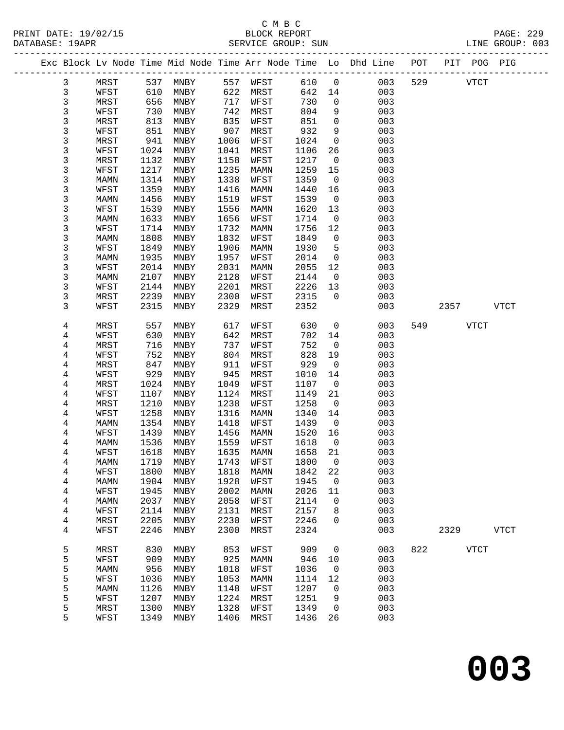PRINT DATE: 19/02/15 BLOCK REPORT<br>
DATABASE: 19APR<br>
SERVICE GROUP: SUN

### C M B C<br>BLOCK REPORT

|  | DAIADASE · IJAPR        |              |              |              |              | DERATCE GROOF. SOM |              |                         |                                                                |     |      | ᆈᅶᄓ          | GROUP. 005  |
|--|-------------------------|--------------|--------------|--------------|--------------|--------------------|--------------|-------------------------|----------------------------------------------------------------|-----|------|--------------|-------------|
|  |                         |              |              |              |              |                    |              |                         | Exc Block Lv Node Time Mid Node Time Arr Node Time Lo Dhd Line | POT |      | PIT POG PIG  |             |
|  | 3                       | MRST         | 537          | MNBY         | 557          | WFST               | 610          | $\overline{0}$          | 003                                                            | 529 |      | ${\tt VTCT}$ |             |
|  | 3                       | WFST         | 610          | MNBY         | 622          | MRST               | 642          | 14                      | 003                                                            |     |      |              |             |
|  | 3                       | MRST         | 656          | MNBY         | 717          | WFST               | 730          | $\mathsf{O}$            | 003                                                            |     |      |              |             |
|  | 3                       | WFST         | 730          | MNBY         | 742          | MRST               | 804          | 9                       | 003                                                            |     |      |              |             |
|  | 3                       | MRST         | 813          | MNBY         | 835          | WFST               | 851          | $\mathbf 0$             | 003                                                            |     |      |              |             |
|  | 3                       | WFST         | 851          | MNBY         | 907          | MRST               | 932          | 9                       | 003                                                            |     |      |              |             |
|  | 3                       | MRST         | 941          | MNBY         | 1006         | WFST               | 1024         | $\mathsf{O}$            | 003                                                            |     |      |              |             |
|  | 3                       | WFST         | 1024         | MNBY         | 1041         | MRST               | 1106         | 26                      | 003                                                            |     |      |              |             |
|  | 3                       | MRST         | 1132         | MNBY         | 1158         | WFST               | 1217         | $\mathbf 0$             | 003                                                            |     |      |              |             |
|  | 3                       | WFST         | 1217         | MNBY         | 1235         | MAMN               | 1259         | 15                      | 003                                                            |     |      |              |             |
|  | 3                       | MAMN         | 1314         | MNBY         | 1338         | WFST               | 1359         | $\mathsf{O}$            | 003                                                            |     |      |              |             |
|  | 3                       | WFST         | 1359         | MNBY         | 1416         | MAMN               | 1440         | 16                      | 003                                                            |     |      |              |             |
|  | 3                       | MAMN         | 1456         | MNBY         | 1519         | WFST               | 1539         | $\overline{0}$          | 003                                                            |     |      |              |             |
|  | 3                       | WFST         | 1539         | MNBY         | 1556         | MAMN               | 1620         | 13                      | 003                                                            |     |      |              |             |
|  | 3                       | MAMN         | 1633         | MNBY         | 1656         | WFST               | 1714         | $\mathsf{O}$            | 003                                                            |     |      |              |             |
|  | 3                       | WFST         | 1714         | MNBY         | 1732         | MAMN               | 1756         | 12                      | 003                                                            |     |      |              |             |
|  | 3                       | MAMN         | 1808         | MNBY         | 1832         | WFST               | 1849         | $\mathsf{O}$            | 003                                                            |     |      |              |             |
|  | 3<br>3                  | WFST         | 1849<br>1935 | MNBY         | 1906<br>1957 | MAMN               | 1930         | 5<br>$\mathsf{O}$       | 003<br>003                                                     |     |      |              |             |
|  | 3                       | MAMN<br>WFST | 2014         | MNBY<br>MNBY | 2031         | WFST               | 2014<br>2055 | 12                      | 003                                                            |     |      |              |             |
|  | 3                       | MAMN         | 2107         | MNBY         | 2128         | MAMN<br>WFST       | 2144         | $\overline{0}$          | 003                                                            |     |      |              |             |
|  | 3                       | WFST         | 2144         | MNBY         | 2201         | MRST               | 2226         | 13                      | 003                                                            |     |      |              |             |
|  | 3                       | MRST         | 2239         | MNBY         | 2300         | WFST               | 2315         | $\mathbf{0}$            | 003                                                            |     |      |              |             |
|  | 3                       | WFST         | 2315         | MNBY         | 2329         | MRST               | 2352         |                         | 003                                                            |     | 2357 |              | <b>VTCT</b> |
|  |                         |              |              |              |              |                    |              |                         |                                                                |     |      |              |             |
|  | 4                       | MRST         | 557          | MNBY         | 617          | WFST               | 630          | $\mathsf{O}$            | 003                                                            | 549 |      | <b>VTCT</b>  |             |
|  | 4                       | WFST         | 630          | MNBY         | 642          | MRST               | 702          | 14                      | 003                                                            |     |      |              |             |
|  | 4                       | MRST         | 716          | MNBY         | 737          | WFST               | 752          | 0                       | 003                                                            |     |      |              |             |
|  | 4                       | WFST         | 752          | MNBY         | 804          | MRST               | 828          | 19                      | 003                                                            |     |      |              |             |
|  | 4                       | MRST         | 847          | MNBY         | 911          | WFST               | 929          | $\overline{0}$          | 003                                                            |     |      |              |             |
|  | 4                       | WFST         | 929          | MNBY         | 945          | MRST               | 1010         | 14                      | 003                                                            |     |      |              |             |
|  | 4                       | MRST         | 1024         | MNBY         | 1049         | WFST               | 1107         | $\overline{0}$          | 003                                                            |     |      |              |             |
|  | 4                       | WFST         | 1107         | MNBY         | 1124         | MRST               | 1149         | 21                      | 003                                                            |     |      |              |             |
|  | 4                       | MRST         | 1210         | MNBY         | 1238         | WFST               | 1258         | $\mathsf{O}$            | 003                                                            |     |      |              |             |
|  | 4                       | WFST         | 1258         | MNBY         | 1316         | MAMN               | 1340         | 14                      | 003                                                            |     |      |              |             |
|  | 4                       | MAMN         | 1354         | MNBY         | 1418         | WFST               | 1439         | $\overline{0}$          | 003                                                            |     |      |              |             |
|  | 4                       | WFST         | 1439         | MNBY         | 1456         | MAMN               | 1520         | 16                      | 003                                                            |     |      |              |             |
|  | 4                       | MAMN         | 1536         | MNBY         | 1559         | WFST               | 1618         | $\overline{\mathbf{0}}$ | 003                                                            |     |      |              |             |
|  | 4                       | WFST         | 1618         | MNBY         | 1635<br>1743 | MAMN<br>WFST       | 1658         | 21                      | 003<br>003                                                     |     |      |              |             |
|  | 4<br>4                  | MAMN<br>WFST | 1719<br>1800 | MNBY<br>MNBY | 1818         | MAMN               | 1800<br>1842 | 0<br>22                 | 003                                                            |     |      |              |             |
|  | $\overline{\mathbf{4}}$ | MAMN         | 1904         | MNBY         | 1928         | WFST               | 1945         | 0                       | 003                                                            |     |      |              |             |
|  | $\overline{\mathbf{4}}$ | WFST         | 1945         | MNBY         | 2002         | MAMN               | 2026         | 11                      | 003                                                            |     |      |              |             |
|  | 4                       | MAMN         | 2037         | MNBY         | 2058         | WFST               | 2114         | 0                       | 003                                                            |     |      |              |             |
|  | 4                       | WFST         | 2114         | MNBY         | 2131         | MRST               | 2157         | 8                       | 003                                                            |     |      |              |             |
|  | $\overline{\mathbf{4}}$ | MRST         | 2205         | MNBY         | 2230         | WFST               | 2246         | 0                       | 003                                                            |     |      |              |             |
|  | 4                       | WFST         | 2246         | MNBY         | 2300         | MRST               | 2324         |                         | 003                                                            |     | 2329 |              | <b>VTCT</b> |
|  |                         |              |              |              |              |                    |              |                         |                                                                |     |      |              |             |
|  | 5                       | MRST         | 830          | MNBY         | 853          | WFST               | 909          | 0                       | 003                                                            | 822 |      | <b>VTCT</b>  |             |
|  | 5                       | WFST         | 909          | MNBY         | 925          | <b>MAMN</b>        | 946          | 10                      | 003                                                            |     |      |              |             |
|  | 5                       | <b>MAMN</b>  | 956          | MNBY         | 1018         | WFST               | 1036         | 0                       | 003                                                            |     |      |              |             |
|  | 5                       | WFST         | 1036         | MNBY         | 1053         | MAMN               | 1114         | 12                      | 003                                                            |     |      |              |             |
|  | 5                       | MAMN         | 1126         | MNBY         | 1148         | WFST               | 1207         | 0                       | 003                                                            |     |      |              |             |
|  | 5                       | WFST         | 1207         | MNBY         | 1224         | MRST               | 1251         | 9                       | 003                                                            |     |      |              |             |
|  | 5                       | MRST         | 1300         | MNBY         | 1328         | WFST               | 1349         | 0                       | 003                                                            |     |      |              |             |
|  | 5                       | WFST         | 1349         | MNBY         | 1406         | MRST               | 1436         | 26                      | 003                                                            |     |      |              |             |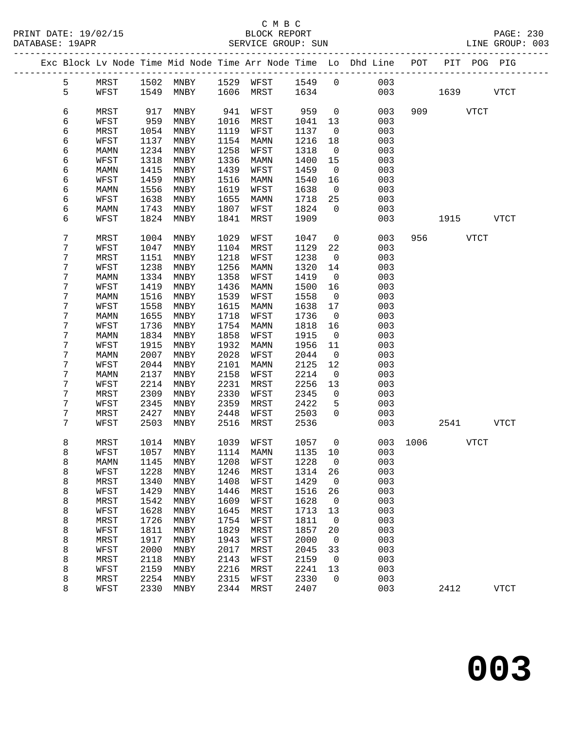|  |        |              |              |                            |              |              |              |                          | Exc Block Lv Node Time Mid Node Time Arr Node Time Lo Dhd Line POT |          |             | PIT POG PIG |
|--|--------|--------------|--------------|----------------------------|--------------|--------------|--------------|--------------------------|--------------------------------------------------------------------|----------|-------------|-------------|
|  | 5      | MRST         |              | 1502 MNBY 1529 WFST 1549 0 |              |              |              |                          | 003                                                                |          |             |             |
|  | 5      | WFST         | 1549         | MNBY                       |              | 1606 MRST    | 1634         |                          | 003                                                                |          | 1639        | <b>VTCT</b> |
|  |        |              |              |                            |              |              |              |                          |                                                                    |          |             |             |
|  | 6      | MRST         | 917          | MNBY                       | 941          | WFST         | 959          | $\overline{0}$           | 003                                                                |          | 909 VTCT    |             |
|  | 6      | WFST         | 959          | MNBY                       | 1016         | MRST         | 1041         | 13                       | 003                                                                |          |             |             |
|  | 6      | MRST         | 1054         | MNBY                       | 1119         | WFST         | 1137         | $\overline{0}$           | 003                                                                |          |             |             |
|  | 6      | WFST         | 1137         | MNBY                       | 1154         | MAMN         | 1216         | 18                       | 003                                                                |          |             |             |
|  | 6      | MAMN         | 1234         | MNBY                       | 1258         | WFST         | 1318         | $\overline{\phantom{0}}$ | 003                                                                |          |             |             |
|  | 6      | WFST         | 1318         | MNBY                       | 1336         | MAMN         | 1400         | 15                       | 003                                                                |          |             |             |
|  | 6      | MAMN         | 1415         | MNBY                       | 1439         | WFST         | 1459         | $\overline{0}$           | 003                                                                |          |             |             |
|  | 6      | WFST         | 1459         | MNBY                       | 1516         | MAMN         | 1540         | 16                       | 003                                                                |          |             |             |
|  | 6<br>6 | MAMN<br>WFST | 1556<br>1638 | MNBY<br>MNBY               | 1619<br>1655 | WFST<br>MAMN | 1638<br>1718 | $\overline{0}$<br>25     | 003<br>003                                                         |          |             |             |
|  | 6      | MAMN         | 1743         | MNBY                       | 1807         | WFST         | 1824         | $\Omega$                 | 003                                                                |          |             |             |
|  | 6      | WFST         | 1824         | MNBY                       | 1841         | MRST         | 1909         |                          | 003                                                                |          | 1915        | VTCT        |
|  |        |              |              |                            |              |              |              |                          |                                                                    |          |             |             |
|  | 7      | MRST         | 1004         | MNBY                       | 1029         | WFST         | 1047         | $\overline{0}$           | 003                                                                |          | 956 VTCT    |             |
|  | 7      | WFST         | 1047         | MNBY                       | 1104         | MRST         | 1129         | 22                       | 003                                                                |          |             |             |
|  | 7      | MRST         | 1151         | MNBY                       | 1218         | WFST         | 1238         | $\overline{0}$           | 003                                                                |          |             |             |
|  | 7      | WFST         | 1238         | MNBY                       | 1256         | MAMN         | 1320         | 14                       | 003                                                                |          |             |             |
|  | 7      | MAMN         | 1334         | MNBY                       | 1358         | WFST         | 1419         | $\overline{0}$           | 003                                                                |          |             |             |
|  | 7      | WFST         | 1419         | MNBY                       | 1436         | MAMN         | 1500         | 16                       | 003                                                                |          |             |             |
|  | 7      | MAMN         | 1516         | MNBY                       | 1539         | WFST         | 1558         | $\overline{0}$           | 003                                                                |          |             |             |
|  | 7      | WFST         | 1558         | MNBY                       | 1615         | MAMN         | 1638         | 17                       | 003                                                                |          |             |             |
|  | 7      | MAMN         | 1655         | MNBY                       | 1718         | WFST         | 1736         | $\overline{\phantom{0}}$ | 003                                                                |          |             |             |
|  | 7      | WFST         | 1736         | MNBY                       | 1754         | MAMN         | 1818         | 16                       | 003                                                                |          |             |             |
|  | 7<br>7 | MAMN         | 1834         | MNBY                       | 1858         | WFST         | 1915         | $\overline{0}$           | 003                                                                |          |             |             |
|  | 7      | WFST<br>MAMN | 1915<br>2007 | MNBY<br>MNBY               | 1932<br>2028 | MAMN<br>WFST | 1956<br>2044 | 11<br>$\overline{0}$     | 003<br>003                                                         |          |             |             |
|  | 7      | WFST         | 2044         | MNBY                       | 2101         | MAMN         | 2125         | 12                       | 003                                                                |          |             |             |
|  | 7      | MAMN         | 2137         | MNBY                       | 2158         | WFST         | 2214         | $\overline{0}$           | 003                                                                |          |             |             |
|  | 7      | WFST         | 2214         | MNBY                       | 2231         | MRST         | 2256         | 13                       | 003                                                                |          |             |             |
|  | 7      | MRST         | 2309         | MNBY                       | 2330         | WFST         | 2345         | $\mathbf{0}$             | 003                                                                |          |             |             |
|  | 7      | WFST         | 2345         | MNBY                       | 2359         | MRST         | 2422         | 5                        | 003                                                                |          |             |             |
|  | 7      | MRST         | 2427         | MNBY                       | 2448         | WFST         | 2503         | $\mathbf{0}$             | 003                                                                |          |             |             |
|  | 7      | WFST         | 2503         | MNBY                       | 2516         | MRST         | 2536         |                          | 003                                                                |          | 2541        | VTCT        |
|  |        |              |              |                            |              |              |              |                          |                                                                    |          |             |             |
|  | 8      | MRST         | 1014         | MNBY                       | 1039         | WFST         | 1057         | $\overline{0}$           |                                                                    | 003 1006 | <b>VTCT</b> |             |
|  | 8      | WFST         | 1057         | MNBY                       | 1114         | MAMN         | 1135 10      |                          | 003                                                                |          |             |             |
|  | 8      |              |              | MAMN 1145 MNBY 1208 WFST   |              |              | 1228 0       |                          | 003                                                                |          |             |             |
|  | 8<br>8 | WFST<br>MRST | 1228<br>1340 | MNBY<br>MNBY               | 1246<br>1408 | MRST<br>WFST | 1314<br>1429 | 26<br>$\overline{0}$     | 003<br>003                                                         |          |             |             |
|  | 8      | WFST         | 1429         | MNBY                       | 1446         | MRST         | 1516         | 26                       | 003                                                                |          |             |             |
|  | 8      | MRST         | 1542         | MNBY                       | 1609         | WFST         | 1628         | $\mathbf 0$              | 003                                                                |          |             |             |
|  | 8      | WFST         | 1628         | MNBY                       | 1645         | MRST         | 1713         | 13                       | 003                                                                |          |             |             |
|  | 8      | MRST         | 1726         | MNBY                       | 1754         | WFST         | 1811         | 0                        | 003                                                                |          |             |             |
|  | 8      | WFST         | 1811         | MNBY                       | 1829         | MRST         | 1857         | 20                       | 003                                                                |          |             |             |
|  | 8      | MRST         | 1917         | MNBY                       | 1943         | WFST         | 2000         | $\overline{0}$           | 003                                                                |          |             |             |
|  | 8      | WFST         | 2000         | MNBY                       | 2017         | MRST         | 2045         | 33                       | 003                                                                |          |             |             |
|  | 8      | MRST         | 2118         | MNBY                       | 2143         | WFST         | 2159         | $\mathbf 0$              | 003                                                                |          |             |             |
|  | 8      | WFST         | 2159         | MNBY                       | 2216         | MRST         | 2241         | 13                       | 003                                                                |          |             |             |
|  | 8      | MRST         | 2254         | MNBY                       | 2315         | WFST         | 2330         | $\mathbf 0$              | 003                                                                |          |             |             |
|  | 8      | WFST         | 2330         | MNBY                       | 2344         | MRST         | 2407         |                          | 003                                                                |          | 2412        | <b>VTCT</b> |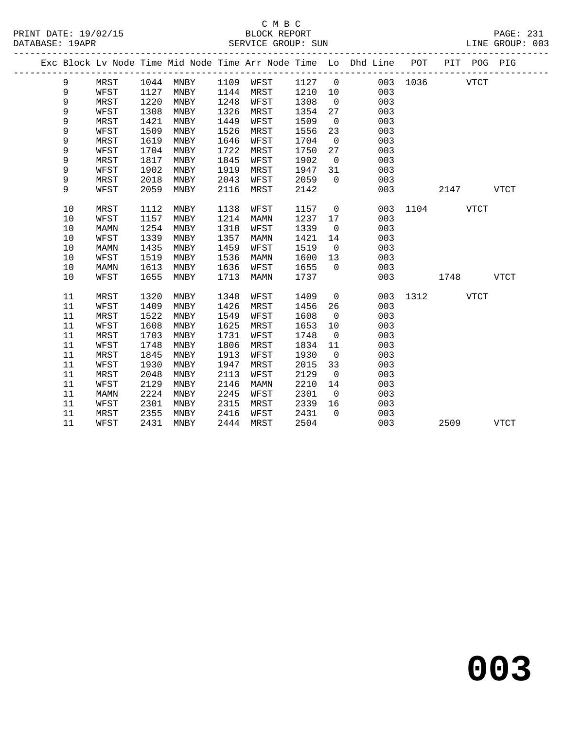|  |    |             |      |           |      |      |      |                | Exc Block Lv Node Time Mid Node Time Arr Node Time Lo Dhd Line POT |               |           | PIT POG PIG |      |  |
|--|----|-------------|------|-----------|------|------|------|----------------|--------------------------------------------------------------------|---------------|-----------|-------------|------|--|
|  | 9  | MRST        |      | 1044 MNBY | 1109 | WFST | 1127 | $\overline{0}$ |                                                                    | 003 1036 VTCT |           |             |      |  |
|  | 9  | WFST        | 1127 | MNBY      | 1144 | MRST | 1210 | 10             | 003                                                                |               |           |             |      |  |
|  | 9  | MRST        | 1220 | MNBY      | 1248 | WFST | 1308 | $\overline{0}$ | 003                                                                |               |           |             |      |  |
|  | 9  | WFST        | 1308 | MNBY      | 1326 | MRST | 1354 | 27             | 003                                                                |               |           |             |      |  |
|  | 9  | MRST        | 1421 | MNBY      | 1449 | WFST | 1509 | $\overline{0}$ | 003                                                                |               |           |             |      |  |
|  | 9  | WFST        | 1509 | MNBY      | 1526 | MRST | 1556 | 23             | 003                                                                |               |           |             |      |  |
|  | 9  | MRST        | 1619 | MNBY      | 1646 | WFST | 1704 | $\overline{0}$ | 003                                                                |               |           |             |      |  |
|  | 9  | WFST        | 1704 | MNBY      | 1722 | MRST | 1750 | 27             | 003                                                                |               |           |             |      |  |
|  | 9  | MRST        | 1817 | MNBY      | 1845 | WFST | 1902 | $\overline{0}$ | 003                                                                |               |           |             |      |  |
|  | 9  | WFST        | 1902 | MNBY      | 1919 | MRST | 1947 | 31             | 003                                                                |               |           |             |      |  |
|  | 9  | MRST        | 2018 | MNBY      | 2043 | WFST | 2059 | $\overline{0}$ | 003                                                                |               |           |             |      |  |
|  | 9  | WFST        | 2059 | MNBY      | 2116 | MRST | 2142 |                | 003                                                                |               | 2147 VTCT |             |      |  |
|  | 10 | MRST        | 1112 | MNBY      | 1138 | WFST | 1157 | $\overline{0}$ |                                                                    | 003 1104 VTCT |           |             |      |  |
|  | 10 | WFST        | 1157 | MNBY      | 1214 | MAMN | 1237 | 17             | 003                                                                |               |           |             |      |  |
|  | 10 | <b>MAMN</b> | 1254 | MNBY      | 1318 | WFST | 1339 | $\overline{0}$ | 003                                                                |               |           |             |      |  |
|  | 10 | WFST        | 1339 | MNBY      | 1357 | MAMN | 1421 | 14             | 003                                                                |               |           |             |      |  |
|  | 10 | MAMN        | 1435 | MNBY      | 1459 | WFST | 1519 | $\overline{0}$ | 003                                                                |               |           |             |      |  |
|  | 10 | WFST        | 1519 | MNBY      | 1536 | MAMN | 1600 | 13             | 003                                                                |               |           |             |      |  |
|  | 10 | <b>MAMN</b> | 1613 | MNBY      | 1636 | WFST | 1655 | $\overline{0}$ | 003                                                                |               |           |             |      |  |
|  | 10 | WFST        | 1655 | MNBY      | 1713 | MAMN | 1737 |                | 003                                                                |               | 1748 VTCT |             |      |  |
|  | 11 | MRST        | 1320 | MNBY      | 1348 | WFST | 1409 | $\overline{0}$ |                                                                    | 003 1312 VTCT |           |             |      |  |
|  | 11 | WFST        | 1409 | MNBY      | 1426 | MRST | 1456 | 26             | 003                                                                |               |           |             |      |  |
|  | 11 | MRST        | 1522 | MNBY      | 1549 | WFST | 1608 | $\overline{0}$ | 003                                                                |               |           |             |      |  |
|  | 11 | WFST        | 1608 | MNBY      | 1625 | MRST | 1653 | 10             | 003                                                                |               |           |             |      |  |
|  | 11 | MRST        | 1703 | MNBY      | 1731 | WFST | 1748 | $\overline{0}$ | 003                                                                |               |           |             |      |  |
|  | 11 | WFST        | 1748 | MNBY      | 1806 | MRST | 1834 | 11             | 003                                                                |               |           |             |      |  |
|  | 11 | MRST        | 1845 | MNBY      | 1913 | WFST | 1930 | $\overline{0}$ | 003                                                                |               |           |             |      |  |
|  | 11 | WFST        | 1930 | MNBY      | 1947 | MRST | 2015 | 33             | 003                                                                |               |           |             |      |  |
|  | 11 | MRST        | 2048 | MNBY      | 2113 | WFST | 2129 | $\overline{0}$ | 003                                                                |               |           |             |      |  |
|  | 11 | WFST        | 2129 | MNBY      | 2146 | MAMN | 2210 | 14             | 003                                                                |               |           |             |      |  |
|  | 11 | MAMN        | 2224 | MNBY      | 2245 | WFST | 2301 | $\overline{0}$ | 003                                                                |               |           |             |      |  |
|  | 11 | WFST        | 2301 | MNBY      | 2315 | MRST | 2339 | 16             | 003                                                                |               |           |             |      |  |
|  | 11 | MRST        | 2355 | MNBY      | 2416 | WFST | 2431 | $\overline{0}$ | 003                                                                |               |           |             |      |  |
|  | 11 | WFST        | 2431 | MNBY      | 2444 | MRST | 2504 |                | 003                                                                |               | 2509      |             | VTCT |  |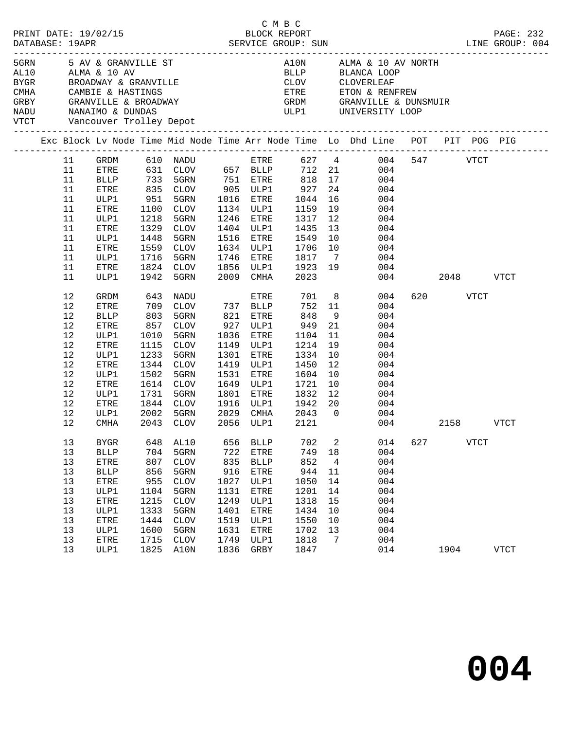| PRINT DATE: 19/02/15<br>DATABASE: 19APR                                                                                                                                                                  |                                                                                  |                                                                                                                           |                                                                                         | 2/15<br>BLOCK REPORT<br>SERVICE GROUP: SUN                                                                                                                         |                                                                                          |                                                                                                                    | СМВС                                                                                                                                 |                                                                           | LINE GROUP: 004                                                                                                                                    |               |          |             | PAGE: 232   |
|----------------------------------------------------------------------------------------------------------------------------------------------------------------------------------------------------------|----------------------------------------------------------------------------------|---------------------------------------------------------------------------------------------------------------------------|-----------------------------------------------------------------------------------------|--------------------------------------------------------------------------------------------------------------------------------------------------------------------|------------------------------------------------------------------------------------------|--------------------------------------------------------------------------------------------------------------------|--------------------------------------------------------------------------------------------------------------------------------------|---------------------------------------------------------------------------|----------------------------------------------------------------------------------------------------------------------------------------------------|---------------|----------|-------------|-------------|
| 5 GRN 5 AV & GRANVILLE ST<br>AL10      ALMA & 10 AV<br>BYGR         BROADWAY & GRANVILLE<br>CMHA CAMBIE & HASTINGS<br>GRBY GRANVILLE & BROADWAY<br>NADU MANAIMO & DUNDAS<br>VTCT Vancouver Trolley Depot |                                                                                  |                                                                                                                           |                                                                                         |                                                                                                                                                                    |                                                                                          |                                                                                                                    |                                                                                                                                      |                                                                           | A10N ALMA & 10 AV NORTH<br>BLLP BLANCA LOOP<br>CLOV CLOVERLEAF<br>ETRE FTON & RENFREW                                                              |               |          |             |             |
|                                                                                                                                                                                                          |                                                                                  |                                                                                                                           |                                                                                         |                                                                                                                                                                    |                                                                                          |                                                                                                                    |                                                                                                                                      |                                                                           | Exc Block Lv Node Time Mid Node Time Arr Node Time Lo Dhd Line POT PIT POG PIG                                                                     |               |          |             |             |
|                                                                                                                                                                                                          | 11<br>11<br>11<br>11<br>11<br>11<br>11<br>11<br>11<br>11<br>11<br>11<br>11       | ETRE<br><b>BLLP</b><br>ETRE<br>ULP1<br>ETRE<br>ULP1<br>ETRE<br>ULP1<br>ETRE<br>ULP1<br>ETRE<br>ULP1                       | 1100<br>1218<br>1329<br>1448<br>1716<br>1824 CLOV<br>1942 5GRN                          | 733 5GRN 751 ETRE 818<br>835 CLOV 905 ULP1 927<br>951 5GRN 1016 ETRE 1044<br>CLOV<br>5GRN<br>CLOV<br>5GRN<br>1559 CLOV<br>5GRN<br>1824 CLOV                        |                                                                                          | 1134 ULP1<br>1246 ETRE<br>1404 ULP1<br>1516 ETRE                                                                   | 1159<br>1317<br>1435<br>1549<br>1634 ULP1 1706<br>1746 ETRE 1817 7<br>1856 ULP1 1923 19<br>2009 CMHA 2023                            | 24<br>16<br>19<br>12<br>13<br>10<br>10                                    | GRDM 610 NADU ETRE 627 4 004 547 VTCT<br>631 CLOV 657 BLLP 712 21 004<br>818 17 004<br>004<br>004<br>004<br>004<br>004<br>004<br>004<br>004<br>004 | 004 2048 VTCT |          |             |             |
|                                                                                                                                                                                                          | 12<br>12<br>12<br>12<br>12<br>12<br>12<br>12<br>12<br>12<br>12<br>12<br>12<br>12 | GRDM<br>ETRE<br><b>BLLP</b><br>ETRE<br>ULP1<br>ETRE<br>ULP1<br>ETRE<br>ULP1<br>ETRE<br>ULP1<br>ETRE<br>ULP1<br>CMHA       | 643<br>1010<br>1115<br>1233<br>1502<br>1614<br>1731<br>2002                             | NADU<br>709 CLOV 737 BLLP<br>803 5GRN 821 ETRE<br>857 CLOV 927 ULP1<br>5GRN<br>CLOV<br>5GRN<br>1344 CLOV<br>5GRN<br>CLOV<br>5GRN<br>1844 CLOV<br>5GRN<br>2043 CLOV | 1531<br>1801<br>2029                                                                     | ETRE<br>927 ULP1<br>1036 ETRE<br>1149 ULP1<br>1301 ETRE<br>1419 ULP1<br>ETRE<br>1649 ULP1<br>ETRE                  | 701<br>752<br>848<br>949<br>1104<br>1214<br>1334<br>1450<br>1604<br>1721<br>1832<br>1916 ULP1 1942 20<br>CMHA 2043<br>2056 ULP1 2121 | 11<br>9<br>21<br>11<br>19<br>10<br>12<br>10<br>10<br>12<br>$\overline{0}$ | 8<br>004<br>004<br>004<br>004<br>004<br>004<br>004<br>004<br>004<br>004<br>$\begin{array}{c} 004 \\ 004 \end{array}$<br>004                        | 004           | 620 VTCT | 2158 VTCT   |             |
|                                                                                                                                                                                                          | 13<br>13<br>13<br>13<br>13<br>13<br>13<br>13<br>13<br>13<br>13<br>13             | <b>BYGR</b><br><b>BLLP</b><br>ETRE<br><b>BLLP</b><br>${\tt ETRE}$<br>ULP1<br>ETRE<br>ULP1<br>ETRE<br>ULP1<br>ETRE<br>ULP1 | 648<br>704<br>807<br>856<br>955<br>1104<br>1215<br>1333<br>1444<br>1600<br>1715<br>1825 | AL10<br>5GRN<br><b>CLOV</b><br>5GRN<br><b>CLOV</b><br>5GRN<br>$\rm CLOV$<br>5GRN<br><b>CLOV</b><br>5GRN<br><b>CLOV</b><br>A10N                                     | 656<br>722<br>835<br>916<br>1027<br>1131<br>1249<br>1401<br>1519<br>1631<br>1749<br>1836 | <b>BLLP</b><br>ETRE<br><b>BLLP</b><br>ETRE<br>ULP1<br>ETRE<br>ULP1<br>ETRE<br>ULP1<br>ETRE<br>ULP1<br>${\tt GRBY}$ | 702<br>749<br>852<br>944<br>1050<br>1201<br>1318<br>1434<br>1550<br>1702<br>1818<br>1847                                             | 2<br>18<br>4<br>11<br>14<br>14<br>15<br>10<br>10<br>13<br>7               | 014<br>004<br>004<br>004<br>004<br>004<br>004<br>004<br>004<br>004<br>004<br>014                                                                   | 627           | 1904     | <b>VTCT</b> | <b>VTCT</b> |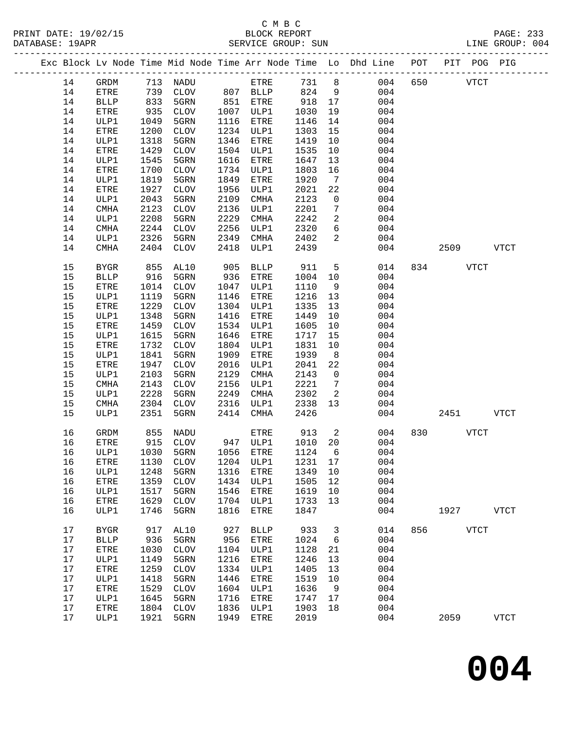|  |      |              |      |                                  |      |              |      |                 | Exc Block Lv Node Time Mid Node Time Arr Node Time Lo Dhd Line POT |     |      | PIT POG PIG  |               |
|--|------|--------------|------|----------------------------------|------|--------------|------|-----------------|--------------------------------------------------------------------|-----|------|--------------|---------------|
|  | 14   | GRDM         |      | 713 NADU                         |      | ETRE         | 731  | 8               | 004                                                                | 650 |      | <b>VTCT</b>  |               |
|  | 14   | ${\tt ETRE}$ | 739  | CLOV                             |      | 807 BLLP     | 824  | 9               | 004                                                                |     |      |              |               |
|  | 14   | <b>BLLP</b>  | 833  | 5GRN                             | 851  | ETRE         | 918  | 17              | 004                                                                |     |      |              |               |
|  | 14   | ${\tt ETRE}$ | 935  | <b>CLOV</b>                      | 1007 | ULP1         | 1030 | 19              | 004                                                                |     |      |              |               |
|  | 14   | ULP1         | 1049 | 5GRN                             | 1116 | ETRE         | 1146 | 14              | 004                                                                |     |      |              |               |
|  | 14   | ETRE         | 1200 | CLOV                             | 1234 | ULP1         | 1303 | 15              | 004                                                                |     |      |              |               |
|  | 14   | ULP1         | 1318 | 5GRN                             | 1346 | ETRE         | 1419 | 10              | 004                                                                |     |      |              |               |
|  | 14   | ${\tt ETRE}$ | 1429 | CLOV                             | 1504 | ULP1         | 1535 | 10              | 004                                                                |     |      |              |               |
|  | 14   | ULP1         | 1545 | 5GRN                             | 1616 | ETRE         | 1647 | 13              | 004                                                                |     |      |              |               |
|  | 14   | ETRE         | 1700 | CLOV                             | 1734 | ULP1         | 1803 | 16              | 004                                                                |     |      |              |               |
|  | 14   | ULP1         | 1819 | 5GRN                             | 1849 | ETRE         | 1920 | $\overline{7}$  | 004                                                                |     |      |              |               |
|  | 14   | ${\tt ETRE}$ | 1927 | CLOV                             | 1956 | ULP1         | 2021 | 22              | 004                                                                |     |      |              |               |
|  | 14   | ULP1         | 2043 | 5GRN                             | 2109 | CMHA         | 2123 | $\mathsf{O}$    | 004                                                                |     |      |              |               |
|  | 14   | CMHA         | 2123 | CLOV                             | 2136 | ULP1         | 2201 | $7\phantom{.0}$ | 004                                                                |     |      |              |               |
|  | 14   | ULP1         | 2208 | 5GRN                             | 2229 | CMHA         | 2242 | 2               | 004                                                                |     |      |              |               |
|  | 14   | CMHA         | 2244 | <b>CLOV</b>                      | 2256 | ULP1         | 2320 | $6\overline{6}$ | 004                                                                |     |      |              |               |
|  | 14   | ULP1         | 2326 | 5GRN                             | 2349 | CMHA         | 2402 | 2               | 004                                                                |     |      |              |               |
|  | 14   | <b>CMHA</b>  | 2404 | CLOV                             | 2418 | ULP1         | 2439 |                 | 004                                                                |     | 2509 |              | <b>VTCT</b>   |
|  |      |              |      |                                  |      |              |      |                 |                                                                    |     |      |              |               |
|  | 15   | <b>BYGR</b>  | 855  | AL10                             | 905  | <b>BLLP</b>  | 911  | $5\overline{)}$ | 014                                                                | 834 |      | VTCT         |               |
|  | 15   | <b>BLLP</b>  | 916  | 5GRN                             | 936  | ETRE         | 1004 | 10              | 004                                                                |     |      |              |               |
|  | 15   | ETRE         | 1014 | CLOV                             | 1047 | ULP1         | 1110 | 9               | 004                                                                |     |      |              |               |
|  | 15   | ULP1         | 1119 | 5GRN                             | 1146 | ETRE         | 1216 | 13              | 004                                                                |     |      |              |               |
|  | 15   | ETRE         | 1229 | <b>CLOV</b>                      | 1304 | ULP1         | 1335 | 13              | 004                                                                |     |      |              |               |
|  | 15   | ULP1         | 1348 | 5GRN                             | 1416 | ${\tt ETRE}$ | 1449 | 10              | 004                                                                |     |      |              |               |
|  | 15   | ETRE         | 1459 | CLOV                             | 1534 | ULP1         | 1605 | 10              | 004                                                                |     |      |              |               |
|  | 15   | ULP1         | 1615 | 5GRN                             | 1646 | ETRE         | 1717 | 15              | 004                                                                |     |      |              |               |
|  | 15   | ETRE         | 1732 | $\mathtt{CLOV}$                  | 1804 | ULP1         | 1831 | 10              | 004                                                                |     |      |              |               |
|  | 15   | ULP1         | 1841 | 5GRN                             | 1909 | ETRE         | 1939 | 8               | 004                                                                |     |      |              |               |
|  | 15   | ETRE         | 1947 | $\mathtt{CLOV}$                  | 2016 | ULP1         | 2041 | 22              | 004                                                                |     |      |              |               |
|  | 15   | ULP1         | 2103 | 5GRN                             | 2129 | CMHA         | 2143 | $\overline{0}$  | 004                                                                |     |      |              |               |
|  | 15   | CMHA         | 2143 | CLOV                             | 2156 | ULP1         | 2221 | $7\phantom{.0}$ | 004                                                                |     |      |              |               |
|  | 15   | ULP1         | 2228 | 5GRN                             | 2249 | CMHA         | 2302 | 2               | 004                                                                |     |      |              |               |
|  | 15   | CMHA         | 2304 | CLOV                             | 2316 | ULP1         | 2338 | 13              | 004                                                                |     |      |              |               |
|  | 15   | ULP1         | 2351 | 5GRN                             | 2414 | CMHA         | 2426 |                 | 004                                                                |     | 2451 |              | <b>VTCT</b>   |
|  | 16   | GRDM         | 855  | NADU                             |      | ETRE         | 913  | 2               | 004                                                                | 830 |      | <b>VTCT</b>  |               |
|  | 16   | ETRE         | 915  | CLOV                             |      | 947 ULP1     | 1010 | 20              | 004                                                                |     |      |              |               |
|  | 16   | ULP1         | 1030 | 5GRN                             |      | 1056 ETRE    | 1124 | 6               | 004                                                                |     |      |              |               |
|  | 16   |              |      | ETRE 1130 CLOV 1204 ULP1 1231 17 |      |              |      |                 | 004                                                                |     |      |              |               |
|  | 16   | ULP1         | 1248 | 5GRN                             | 1316 | ETRE         | 1349 | 10              | 004                                                                |     |      |              |               |
|  | 16   | ETRE         | 1359 | ${\tt CLOV}$                     | 1434 | ULP1         | 1505 | 12              | 004                                                                |     |      |              |               |
|  | 16   | ULP1         | 1517 | 5GRN                             | 1546 | ETRE         | 1619 | 10              | 004                                                                |     |      |              |               |
|  | 16   | ETRE         | 1629 | <b>CLOV</b>                      | 1704 | ULP1         | 1733 | 13              | 004                                                                |     |      |              |               |
|  | 16   | ULP1         | 1746 | 5GRN                             | 1816 | ETRE         | 1847 |                 | 004                                                                |     | 1927 |              | <b>VTCT</b>   |
|  |      |              |      |                                  |      |              |      |                 |                                                                    |     |      |              |               |
|  | $17$ | <b>BYGR</b>  | 917  | AL10                             | 927  | <b>BLLP</b>  | 933  | 3               | 014                                                                | 856 |      | ${\tt VTCT}$ |               |
|  | 17   | <b>BLLP</b>  | 936  | 5GRN                             | 956  | ETRE         | 1024 | 6               | 004                                                                |     |      |              |               |
|  | 17   | ETRE         | 1030 | ${\tt CLOV}$                     | 1104 | ULP1         | 1128 | 21              | 004                                                                |     |      |              |               |
|  | 17   | ULP1         | 1149 | 5GRN                             | 1216 | ETRE         | 1246 | 13              | 004                                                                |     |      |              |               |
|  | 17   | ETRE         | 1259 | <b>CLOV</b>                      | 1334 | ULP1         | 1405 | 13              | 004                                                                |     |      |              |               |
|  | 17   | ULP1         | 1418 | 5GRN                             | 1446 | ETRE         | 1519 | 10              | 004                                                                |     |      |              |               |
|  | 17   | ETRE         | 1529 | $\mathtt{CLOV}$                  | 1604 | ULP1         | 1636 | 9               | 004                                                                |     |      |              |               |
|  | 17   | ULP1         | 1645 | 5GRN                             | 1716 | ETRE         | 1747 | 17              | 004                                                                |     |      |              |               |
|  | $17$ | ETRE         | 1804 | <b>CLOV</b>                      | 1836 | ULP1         | 1903 | 18              | 004                                                                |     |      |              |               |
|  | 17   | ULP1         | 1921 | 5GRN                             | 1949 | ETRE         | 2019 |                 | 004                                                                |     | 2059 |              | $_{\rm VTCT}$ |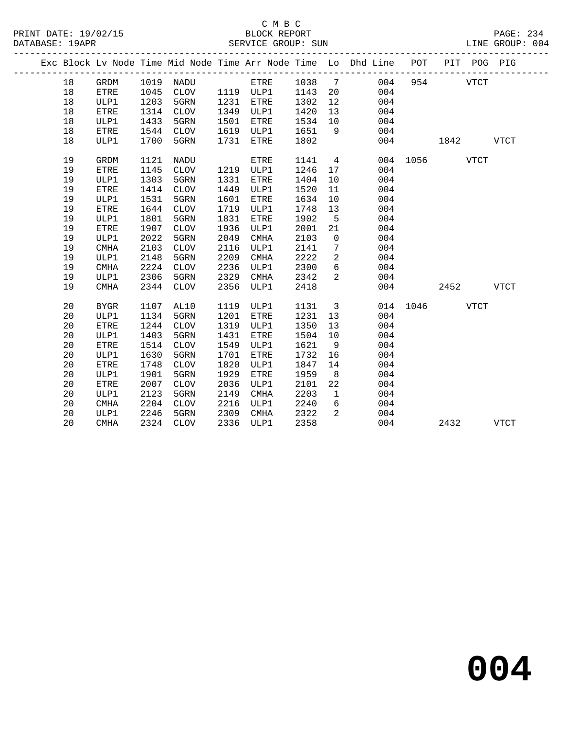#### C M B C<br>BLOCK REPORT SERVICE GROUP: SUN

|  |    |                       |      |                 |      |             |      |                 | Exc Block Lv Node Time Mid Node Time Arr Node Time Lo Dhd Line POT PIT POG PIG |      |      |             |             |
|--|----|-----------------------|------|-----------------|------|-------------|------|-----------------|--------------------------------------------------------------------------------|------|------|-------------|-------------|
|  | 18 | $\operatorname{GRDM}$ | 1019 | NADU            |      | ETRE        | 1038 | $7\overline{ }$ | 004                                                                            | 954  |      | <b>VTCT</b> |             |
|  | 18 | <b>ETRE</b>           | 1045 | CLOV            |      | 1119 ULP1   | 1143 | 20              | 004                                                                            |      |      |             |             |
|  | 18 | ULP1                  | 1203 | 5GRN            | 1231 | ETRE        | 1302 | 12              | 004                                                                            |      |      |             |             |
|  | 18 | ETRE                  | 1314 | <b>CLOV</b>     | 1349 | ULP1        | 1420 | 13              | 004                                                                            |      |      |             |             |
|  | 18 | ULP1                  | 1433 | 5GRN            | 1501 | ETRE        | 1534 | 10              | 004                                                                            |      |      |             |             |
|  | 18 | <b>ETRE</b>           | 1544 | CLOV            | 1619 | ULP1        | 1651 | 9               | 004                                                                            |      |      |             |             |
|  | 18 | ULP1                  | 1700 | 5GRN            | 1731 | ETRE        | 1802 |                 | 004                                                                            |      | 1842 |             | <b>VTCT</b> |
|  | 19 | <b>GRDM</b>           | 1121 | NADU            |      | <b>ETRE</b> | 1141 | $\overline{4}$  | 004                                                                            | 1056 |      | <b>VTCT</b> |             |
|  | 19 | ETRE                  | 1145 | $\mathtt{CLOV}$ | 1219 | ULP1        | 1246 | 17              | 004                                                                            |      |      |             |             |
|  | 19 | ULP1                  | 1303 | 5GRN            | 1331 | ETRE        | 1404 | 10              | 004                                                                            |      |      |             |             |
|  | 19 | ETRE                  | 1414 | $\mathtt{CLOV}$ | 1449 | ULP1        | 1520 | 11              | 004                                                                            |      |      |             |             |
|  | 19 | ULP1                  | 1531 | 5GRN            | 1601 | ETRE        | 1634 | 10              | 004                                                                            |      |      |             |             |
|  | 19 | ETRE                  | 1644 | $\mathtt{CLOV}$ | 1719 | ULP1        | 1748 | 13              | 004                                                                            |      |      |             |             |
|  | 19 | ULP1                  | 1801 | 5GRN            | 1831 | ETRE        | 1902 | 5               | 004                                                                            |      |      |             |             |
|  | 19 | <b>ETRE</b>           | 1907 | <b>CLOV</b>     | 1936 | ULP1        | 2001 | 21              | 004                                                                            |      |      |             |             |
|  | 19 | ULP1                  | 2022 | 5GRN            | 2049 | <b>CMHA</b> | 2103 | $\mathbf 0$     | 004                                                                            |      |      |             |             |
|  | 19 | <b>CMHA</b>           | 2103 | <b>CLOV</b>     | 2116 | ULP1        | 2141 | 7               | 004                                                                            |      |      |             |             |
|  | 19 | ULP1                  | 2148 | 5GRN            | 2209 | <b>CMHA</b> | 2222 | 2               | 004                                                                            |      |      |             |             |
|  | 19 | <b>CMHA</b>           | 2224 | <b>CLOV</b>     | 2236 | ULP1        | 2300 | 6               | 004                                                                            |      |      |             |             |
|  | 19 | ULP1                  | 2306 | 5GRN            | 2329 | <b>CMHA</b> | 2342 | 2               | 004                                                                            |      |      |             |             |
|  | 19 | <b>CMHA</b>           | 2344 | <b>CLOV</b>     | 2356 | ULP1        | 2418 |                 | 004                                                                            |      | 2452 |             | <b>VTCT</b> |
|  | 20 | <b>BYGR</b>           | 1107 | AL10            | 1119 | ULP1        | 1131 | $\overline{3}$  | 014                                                                            | 1046 |      | <b>VTCT</b> |             |
|  | 20 | ULP1                  | 1134 | 5GRN            | 1201 | ETRE        | 1231 | 13              | 004                                                                            |      |      |             |             |
|  | 20 | <b>ETRE</b>           | 1244 | <b>CLOV</b>     | 1319 | ULP1        | 1350 | 13              | 004                                                                            |      |      |             |             |
|  | 20 | ULP1                  | 1403 | 5GRN            | 1431 | ETRE        | 1504 | 10              | 004                                                                            |      |      |             |             |
|  | 20 | <b>ETRE</b>           | 1514 | <b>CLOV</b>     | 1549 | ULP1        | 1621 | 9               | 004                                                                            |      |      |             |             |
|  | 20 | ULP1                  | 1630 | 5GRN            | 1701 | ETRE        | 1732 | 16              | 004                                                                            |      |      |             |             |
|  | 20 | <b>ETRE</b>           | 1748 | <b>CLOV</b>     | 1820 | ULP1        | 1847 | 14              | 004                                                                            |      |      |             |             |
|  | 20 | ULP1                  | 1901 | 5GRN            | 1929 | ETRE        | 1959 | 8               | 004                                                                            |      |      |             |             |
|  | 20 | <b>ETRE</b>           | 2007 | <b>CLOV</b>     | 2036 | ULP1        | 2101 | 22              | 004                                                                            |      |      |             |             |
|  | 20 | ULP1                  | 2123 | 5GRN            | 2149 | CMHA        | 2203 | $\mathbf 1$     | 004                                                                            |      |      |             |             |
|  | 20 | <b>CMHA</b>           | 2204 | <b>CLOV</b>     | 2216 | ULP1        | 2240 | 6               | 004                                                                            |      |      |             |             |
|  | 20 | ULP1                  | 2246 | 5GRN            | 2309 | <b>CMHA</b> | 2322 | 2               | 004                                                                            |      |      |             |             |
|  | 20 | <b>CMHA</b>           | 2324 | <b>CLOV</b>     | 2336 | ULP1        | 2358 |                 | 004                                                                            |      | 2432 |             | <b>VTCT</b> |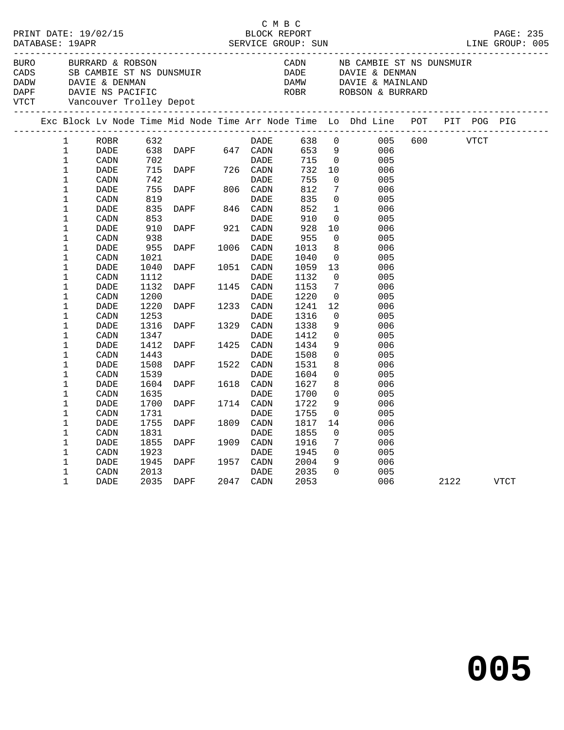|                                                                                      | PRINT DATE: 19/02/15<br>BURRARD & ROBSON<br>BURO BURRARD & ROBSON<br>CADS SB CAMBIE ST NS DUNSMUIR      |                                                      |                                     |                                                            |  | C M B C                                |                                                     |                                                                |                                                                                |           |  |  |
|--------------------------------------------------------------------------------------|---------------------------------------------------------------------------------------------------------|------------------------------------------------------|-------------------------------------|------------------------------------------------------------|--|----------------------------------------|-----------------------------------------------------|----------------------------------------------------------------|--------------------------------------------------------------------------------|-----------|--|--|
| BURO<br>DADW DAVIE & DENMAN<br>DAPF DAVIE NS PACIFIC<br>VTCT Vancouver Trolley Depot |                                                                                                         |                                                      |                                     |                                                            |  |                                        |                                                     |                                                                | CADN           NB CAMBIE ST NS DUNSMUIR<br>DADE          DAVIE & DENMAN        |           |  |  |
|                                                                                      |                                                                                                         |                                                      |                                     |                                                            |  |                                        |                                                     |                                                                | Exc Block Lv Node Time Mid Node Time Arr Node Time Lo Dhd Line POT PIT POG PIG |           |  |  |
|                                                                                      | $\mathbf{1}$<br>$\mathbf{1}$<br>$\mathbf 1$<br>$\mathbf 1$<br>$\mathbf 1$<br>$\mathbf 1$<br>$\mathbf 1$ | ROBR<br>DADE<br>CADN<br>DADE<br>CADN<br>DADE<br>CADN | 819                                 |                                                            |  | <b>DADE</b>                            | 638 0<br>653 9<br>715 0<br>732<br>755<br>812<br>835 | 10<br>$\overline{0}$<br>$7\phantom{.0}$<br>$\overline{0}$      | 005<br>006<br>005<br>006<br>005<br>006<br>005                                  | 600 VTCT  |  |  |
|                                                                                      | $\mathbf 1$<br>$\mathbf 1$<br>$\mathbf 1$<br>1                                                          | DADE<br>CADN<br>DADE<br>CADN                         | 835<br>853<br>910<br>938            | DADE DADE<br>DAPF 846 CADN<br>DAPF 921 CADN<br><b>DAPF</b> |  | DADE<br>DADE                           | 852<br>910<br>928<br>955                            | $\mathbf{1}$<br>$\overline{0}$<br>10<br>$\overline{0}$         | 006<br>005<br>006<br>005                                                       |           |  |  |
|                                                                                      | $\mathbf 1$<br>1<br>1<br>$\mathbf 1$<br>$\mathbf 1$                                                     | DADE<br>CADN<br>DADE<br>CADN<br>DADE                 | 955<br>1021<br>1040<br>1112<br>1132 | <b>DAPF</b><br>DAPF 1145 CADN                              |  | 1006 CADN<br>DADE<br>1051 CADN<br>DADE | 1013<br>1040<br>1059<br>1132<br>1153                | 8<br>$\overline{0}$<br>13<br>$\overline{0}$<br>$7\overline{ }$ | 006<br>005<br>006<br>005<br>006                                                |           |  |  |
|                                                                                      | $\mathbf 1$<br>$\mathbf 1$<br>1<br>$\mathbf 1$                                                          | CADN<br>DADE<br>CADN<br>DADE                         | 1200<br>1220<br>1253<br>1316        | <b>DAPF</b>                                                |  | DADE<br>1329 CADN                      | 1220<br>1241<br>1316<br>1338                        | $\overline{0}$<br>12<br>$\overline{0}$<br>9                    | 005<br>006<br>005<br>006                                                       |           |  |  |
|                                                                                      | $\mathbf 1$<br>1<br>$\mathbf 1$<br>1                                                                    | CADN<br>DADE<br>CADN<br>DADE                         | 1347<br>1412<br>1443<br>1508        | <b>DAPF</b><br><b>DAPF</b>                                 |  | DADE<br>1425 CADN<br>DADE<br>1522 CADN | 1412<br>1434<br>1508<br>1531                        | $\overline{0}$<br>9<br>$\mathsf{O}$<br>8                       | 005<br>006<br>005<br>006                                                       |           |  |  |
|                                                                                      | $\mathbf 1$<br>1<br>$\mathbf 1$<br>$\mathbf 1$                                                          | CADN<br>DADE<br>CADN<br>DADE                         | 1539<br>1604<br>1635<br>1700        | DAPF<br>DAPF 1714 CADN                                     |  | DADE<br>1618 CADN<br>DADE              | 1604<br>1627<br>1700<br>1722                        | $\overline{0}$<br>8<br>$\overline{0}$<br>9                     | 005<br>006<br>005<br>006                                                       |           |  |  |
|                                                                                      | $\mathbf 1$<br>1<br>1                                                                                   | CADN<br>DADE<br>CADN                                 | 1731<br>1755<br>1831                | DAPF                                                       |  | DADE<br>1809 CADN<br>$\mathtt{DADE}$   | 1755<br>1817<br>1855                                | $\overline{0}$<br>14<br>$\overline{0}$                         | 005<br>006<br>005                                                              |           |  |  |
|                                                                                      | $\mathbf 1$<br>1<br>1<br>1                                                                              | DADE<br>CADN<br>DADE<br>CADN                         | 1855<br>1923<br>1945<br>2013        | <b>DAPF</b><br>DAPF 1957 CADN                              |  | 1909 CADN<br>DADE<br>DADE              | 1916<br>1945<br>2004<br>2035                        | $7\phantom{.0}$<br>$\overline{0}$<br>9<br>$\Omega$             | 006<br>005<br>006<br>005                                                       |           |  |  |
|                                                                                      | $\mathbf 1$                                                                                             | DADE                                                 |                                     | 2035 DAPF 2047 CADN                                        |  |                                        | 2053                                                |                                                                | 006                                                                            | 2122 VTCT |  |  |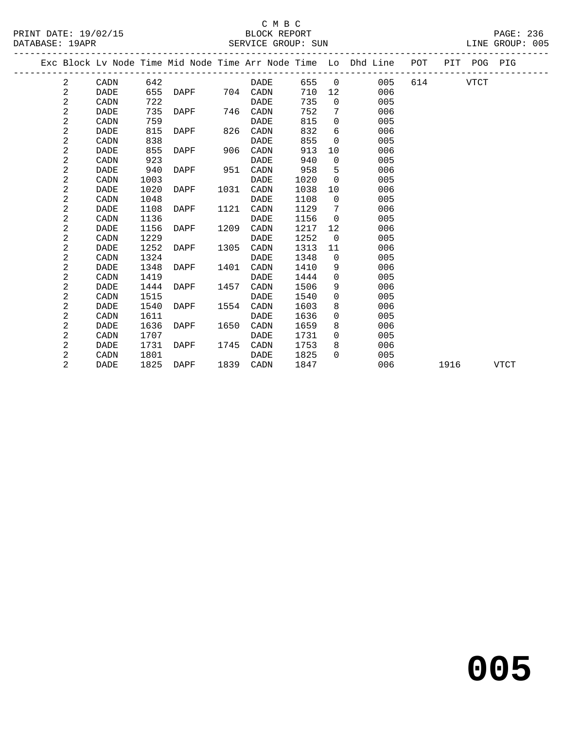|  |                |             |      |      |      |             |      |                | Exc Block Lv Node Time Mid Node Time Arr Node Time Lo Dhd Line POT PIT POG PIG |        |      |      |             |
|--|----------------|-------------|------|------|------|-------------|------|----------------|--------------------------------------------------------------------------------|--------|------|------|-------------|
|  | 2              | CADN        | 642  |      |      | DADE        |      |                | 655 0<br>005                                                                   | 614 61 |      | VTCT |             |
|  | 2              | DADE        | 655  | DAPF | 704  | CADN        | 710  | 12             | 006                                                                            |        |      |      |             |
|  | $\overline{a}$ | CADN        | 722  |      |      | DADE        | 735  | $\overline{0}$ | 005                                                                            |        |      |      |             |
|  | 2              | <b>DADE</b> | 735  | DAPF |      | 746 CADN    | 752  | 7              | 006                                                                            |        |      |      |             |
|  | 2              | CADN        | 759  |      |      | DADE        | 815  | $\mathbf 0$    | 005                                                                            |        |      |      |             |
|  | 2              | <b>DADE</b> | 815  | DAPF | 826  | CADN        | 832  | 6              | 006                                                                            |        |      |      |             |
|  | 2              | CADN        | 838  |      |      | DADE        | 855  | $\Omega$       | 005                                                                            |        |      |      |             |
|  | 2              | <b>DADE</b> | 855  | DAPF | 906  | CADN        | 913  | 10             | 006                                                                            |        |      |      |             |
|  | 2              | CADN        | 923  |      |      | DADE        | 940  | $\Omega$       | 005                                                                            |        |      |      |             |
|  | 2              | <b>DADE</b> | 940  | DAPF | 951  | CADN        | 958  | 5              | 006                                                                            |        |      |      |             |
|  | 2              | CADN        | 1003 |      |      | DADE        | 1020 | $\Omega$       | 005                                                                            |        |      |      |             |
|  | 2              | DADE        | 1020 | DAPF | 1031 | CADN        | 1038 | 10             | 006                                                                            |        |      |      |             |
|  | 2              | CADN        | 1048 |      |      | DADE        | 1108 | $\overline{0}$ | 005                                                                            |        |      |      |             |
|  | 2              | DADE        | 1108 | DAPF | 1121 | CADN        | 1129 | 7              | 006                                                                            |        |      |      |             |
|  | 2              | CADN        | 1136 |      |      | <b>DADE</b> | 1156 | $\Omega$       | 005                                                                            |        |      |      |             |
|  | 2              | DADE        | 1156 | DAPF | 1209 | CADN        | 1217 | 12             | 006                                                                            |        |      |      |             |
|  | $\overline{a}$ | CADN        | 1229 |      |      | DADE        | 1252 | $\overline{0}$ | 005                                                                            |        |      |      |             |
|  | 2              | DADE        | 1252 | DAPF | 1305 | CADN        | 1313 | 11             | 006                                                                            |        |      |      |             |
|  | 2              | CADN        | 1324 |      |      | DADE        | 1348 | $\mathbf 0$    | 005                                                                            |        |      |      |             |
|  | 2              | DADE        | 1348 | DAPF | 1401 | CADN        | 1410 | 9              | 006                                                                            |        |      |      |             |
|  | 2              | CADN        | 1419 |      |      | DADE        | 1444 | $\Omega$       | 005                                                                            |        |      |      |             |
|  | 2              | <b>DADE</b> | 1444 | DAPF | 1457 | CADN        | 1506 | 9              | 006                                                                            |        |      |      |             |
|  | 2              | CADN        | 1515 |      |      | DADE        | 1540 | $\mathbf 0$    | 005                                                                            |        |      |      |             |
|  | 2              | <b>DADE</b> | 1540 | DAPF | 1554 | CADN        | 1603 | 8              | 006                                                                            |        |      |      |             |
|  | 2              | CADN        | 1611 |      |      | DADE        | 1636 | $\mathbf 0$    | 005                                                                            |        |      |      |             |
|  | 2              | DADE        | 1636 | DAPF | 1650 | CADN        | 1659 | 8              | 006                                                                            |        |      |      |             |
|  | 2              | CADN        | 1707 |      |      | DADE        | 1731 | $\overline{0}$ | 005                                                                            |        |      |      |             |
|  | 2              | <b>DADE</b> | 1731 | DAPF | 1745 | CADN        | 1753 | 8              | 006                                                                            |        |      |      |             |
|  | 2              | CADN        | 1801 |      |      | DADE        | 1825 | $\Omega$       | 005                                                                            |        |      |      |             |
|  | 2              | <b>DADE</b> | 1825 | DAPF | 1839 | CADN        | 1847 |                | 006                                                                            |        | 1916 |      | <b>VTCT</b> |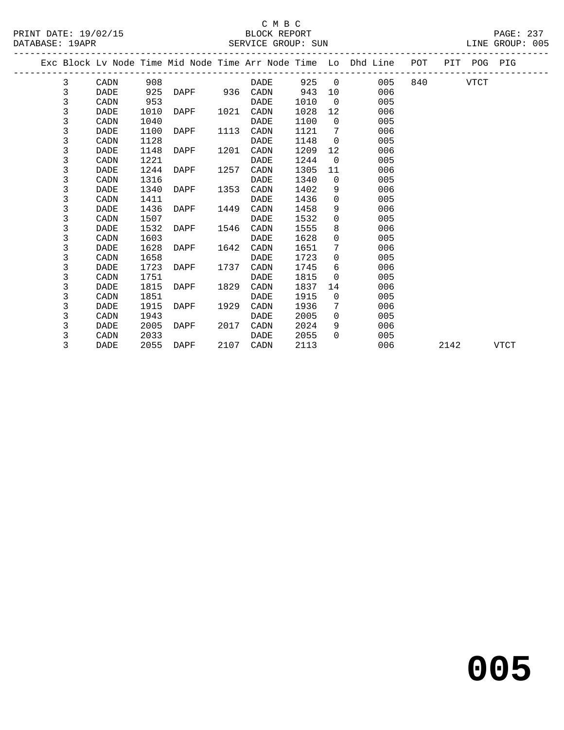|  |              |             |      |               |      |           |      |                 | Exc Block Lv Node Time Mid Node Time Arr Node Time Lo Dhd Line POT |          |      | PIT POG PIG |             |
|--|--------------|-------------|------|---------------|------|-----------|------|-----------------|--------------------------------------------------------------------|----------|------|-------------|-------------|
|  | 3            | CADN        | 908  |               |      | DADE      |      |                 | 925 0<br>005                                                       | 840 — 10 |      | VTCT        |             |
|  | $\mathsf{3}$ | <b>DADE</b> | 925  | DAPF 936 CADN |      |           | 943  | 10              | 006                                                                |          |      |             |             |
|  | 3            | CADN        | 953  |               |      | DADE      | 1010 | $\overline{0}$  | 005                                                                |          |      |             |             |
|  | 3            | DADE        | 1010 | DAPF          | 1021 | CADN      | 1028 | 12              | 006                                                                |          |      |             |             |
|  | 3            | CADN        | 1040 |               |      | DADE      | 1100 | $\overline{0}$  | 005                                                                |          |      |             |             |
|  | 3            | DADE        | 1100 | DAPF          | 1113 | CADN      | 1121 | 7               | 006                                                                |          |      |             |             |
|  | 3            | CADN        | 1128 |               |      | DADE      | 1148 | $\Omega$        | 005                                                                |          |      |             |             |
|  | 3            | DADE        | 1148 | DAPF          | 1201 | CADN      | 1209 | 12 <sup>°</sup> | 006                                                                |          |      |             |             |
|  | 3            | CADN        | 1221 |               |      | DADE      | 1244 | $\Omega$        | 005                                                                |          |      |             |             |
|  | 3            | DADE        | 1244 | DAPF          | 1257 | CADN      | 1305 | 11              | 006                                                                |          |      |             |             |
|  | 3            | CADN        | 1316 |               |      | DADE      | 1340 | $\Omega$        | 005                                                                |          |      |             |             |
|  | 3            | DADE        | 1340 | DAPF          | 1353 | CADN      | 1402 | 9               | 006                                                                |          |      |             |             |
|  | 3            | CADN        | 1411 |               |      | DADE      | 1436 | $\Omega$        | 005                                                                |          |      |             |             |
|  | 3            | DADE        | 1436 | DAPF          | 1449 | CADN      | 1458 | 9               | 006                                                                |          |      |             |             |
|  | 3            | CADN        | 1507 |               |      | DADE      | 1532 | $\Omega$        | 005                                                                |          |      |             |             |
|  | 3            | DADE        | 1532 | DAPF          | 1546 | CADN      | 1555 | 8               | 006                                                                |          |      |             |             |
|  | 3            | CADN        | 1603 |               |      | DADE      | 1628 | $\mathbf 0$     | 005                                                                |          |      |             |             |
|  | 3            | DADE        | 1628 | DAPF          | 1642 | CADN      | 1651 | $7^{\circ}$     | 006                                                                |          |      |             |             |
|  | 3            | CADN        | 1658 |               |      | DADE      | 1723 | $\Omega$        | 005                                                                |          |      |             |             |
|  | 3            | DADE        | 1723 | DAPF          | 1737 | CADN      | 1745 | 6               | 006                                                                |          |      |             |             |
|  | 3            | CADN        | 1751 |               |      | DADE      | 1815 | $\Omega$        | 005                                                                |          |      |             |             |
|  | 3            | DADE        | 1815 | DAPF          | 1829 | CADN      | 1837 | 14              | 006                                                                |          |      |             |             |
|  | 3            | CADN        | 1851 |               |      | DADE      | 1915 | $\Omega$        | 005                                                                |          |      |             |             |
|  | 3            | DADE        | 1915 | DAPF          | 1929 | CADN      | 1936 | 7               | 006                                                                |          |      |             |             |
|  | 3            | CADN        | 1943 |               |      | DADE      | 2005 | $\Omega$        | 005                                                                |          |      |             |             |
|  | 3            | DADE        | 2005 | DAPF          | 2017 | CADN      | 2024 | 9               | 006                                                                |          |      |             |             |
|  | 3            | CADN        | 2033 |               |      | DADE      | 2055 | $\Omega$        | 005                                                                |          |      |             |             |
|  | 3            | DADE        | 2055 | DAPF          |      | 2107 CADN | 2113 |                 | 006                                                                |          | 2142 |             | <b>VTCT</b> |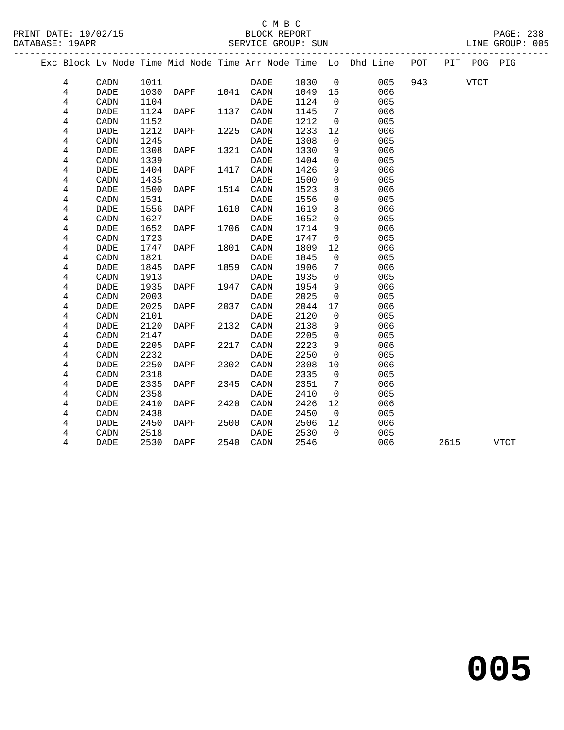#### C M B C<br>BLOCK REPORT SERVICE GROUP: SUN

|  |                |                              |      |      |      |             |      |                | Exc Block Lv Node Time Mid Node Time Arr Node Time Lo Dhd Line POT |     |      | PIT POG PIG |             |
|--|----------------|------------------------------|------|------|------|-------------|------|----------------|--------------------------------------------------------------------|-----|------|-------------|-------------|
|  | 4              | CADN                         | 1011 |      |      | DADE        | 1030 | $\mathbf 0$    | 005                                                                | 943 |      | <b>VTCT</b> |             |
|  | 4              | <b>DADE</b>                  | 1030 | DAPF |      | 1041 CADN   | 1049 | 15             | 006                                                                |     |      |             |             |
|  | 4              | CADN                         | 1104 |      |      | <b>DADE</b> | 1124 | $\overline{0}$ | 005                                                                |     |      |             |             |
|  | 4              | <b>DADE</b>                  | 1124 | DAPF | 1137 | CADN        | 1145 | 7              | 006                                                                |     |      |             |             |
|  | 4              | CADN                         | 1152 |      |      | <b>DADE</b> | 1212 | $\mathbf 0$    | 005                                                                |     |      |             |             |
|  | 4              | <b>DADE</b>                  | 1212 | DAPF | 1225 | CADN        | 1233 | 12             | 006                                                                |     |      |             |             |
|  | 4              | CADN                         | 1245 |      |      | DADE        | 1308 | $\mathbf 0$    | 005                                                                |     |      |             |             |
|  | 4              | <b>DADE</b>                  | 1308 | DAPF | 1321 | CADN        | 1330 | 9              | 006                                                                |     |      |             |             |
|  | 4              | CADN                         | 1339 |      |      | <b>DADE</b> | 1404 | $\mathbf 0$    | 005                                                                |     |      |             |             |
|  | 4              | <b>DADE</b>                  | 1404 | DAPF | 1417 | CADN        | 1426 | 9              | 006                                                                |     |      |             |             |
|  | 4              | CADN                         | 1435 |      |      | DADE        | 1500 | $\mathbf 0$    | 005                                                                |     |      |             |             |
|  | 4              | DADE                         | 1500 | DAPF | 1514 | CADN        | 1523 | 8              | 006                                                                |     |      |             |             |
|  | 4              | CADN                         | 1531 |      |      | DADE        | 1556 | $\mathbf 0$    | 005                                                                |     |      |             |             |
|  | 4              | DADE                         | 1556 | DAPF | 1610 | CADN        | 1619 | 8              | 006                                                                |     |      |             |             |
|  | 4              | CADN                         | 1627 |      |      | <b>DADE</b> | 1652 | $\mathbf 0$    | 005                                                                |     |      |             |             |
|  | 4              | DADE                         | 1652 | DAPF | 1706 | CADN        | 1714 | 9              | 006                                                                |     |      |             |             |
|  | 4              | CADN                         | 1723 |      |      | <b>DADE</b> | 1747 | $\mathsf{O}$   | 005                                                                |     |      |             |             |
|  | 4              | <b>DADE</b>                  | 1747 | DAPF | 1801 | CADN        | 1809 | 12             | 006                                                                |     |      |             |             |
|  | $\overline{4}$ | CADN                         | 1821 |      |      | <b>DADE</b> | 1845 | $\mathsf{O}$   | 005                                                                |     |      |             |             |
|  | 4              | $\ensuremath{\mathsf{DADE}}$ | 1845 | DAPF | 1859 | CADN        | 1906 | 7              | 006                                                                |     |      |             |             |
|  | 4              | CADN                         | 1913 |      |      | <b>DADE</b> | 1935 | $\mathbf 0$    | 005                                                                |     |      |             |             |
|  | 4              | <b>DADE</b>                  | 1935 | DAPF | 1947 | CADN        | 1954 | 9              | 006                                                                |     |      |             |             |
|  | 4              | CADN                         | 2003 |      |      | <b>DADE</b> | 2025 | $\mathsf{O}$   | 005                                                                |     |      |             |             |
|  | 4              | <b>DADE</b>                  | 2025 | DAPF | 2037 | CADN        | 2044 | 17             | 006                                                                |     |      |             |             |
|  | 4              | CADN                         | 2101 |      |      | <b>DADE</b> | 2120 | $\mathbf 0$    | 005                                                                |     |      |             |             |
|  | 4              | <b>DADE</b>                  | 2120 | DAPF | 2132 | CADN        | 2138 | 9              | 006                                                                |     |      |             |             |
|  | 4              | CADN                         | 2147 |      |      | <b>DADE</b> | 2205 | $\Omega$       | 005                                                                |     |      |             |             |
|  | 4              | <b>DADE</b>                  | 2205 | DAPF | 2217 | CADN        | 2223 | 9              | 006                                                                |     |      |             |             |
|  | 4              | CADN                         | 2232 |      |      | <b>DADE</b> | 2250 | $\mathbf 0$    | 005                                                                |     |      |             |             |
|  | 4              | <b>DADE</b>                  | 2250 | DAPF | 2302 | CADN        | 2308 | 10             | 006                                                                |     |      |             |             |
|  | 4              | CADN                         | 2318 |      |      | <b>DADE</b> | 2335 | $\mathbf 0$    | 005                                                                |     |      |             |             |
|  | 4              | <b>DADE</b>                  | 2335 | DAPF | 2345 | CADN        | 2351 | 7              | 006                                                                |     |      |             |             |
|  | 4              | CADN                         | 2358 |      |      | <b>DADE</b> | 2410 | $\mathbf 0$    | 005                                                                |     |      |             |             |
|  | 4              | DADE                         | 2410 | DAPF | 2420 | CADN        | 2426 | 12             | 006                                                                |     |      |             |             |
|  | 4              | CADN                         | 2438 |      |      | DADE        | 2450 | $\overline{0}$ | 005                                                                |     |      |             |             |
|  | 4              | DADE                         | 2450 | DAPF | 2500 | CADN        | 2506 | 12             | 006                                                                |     |      |             |             |
|  | 4              | CADN                         | 2518 |      |      | DADE        | 2530 | $\Omega$       | 005                                                                |     |      |             |             |
|  | 4              | DADE                         | 2530 | DAPF |      | 2540 CADN   | 2546 |                | 006                                                                |     | 2615 |             | <b>VTCT</b> |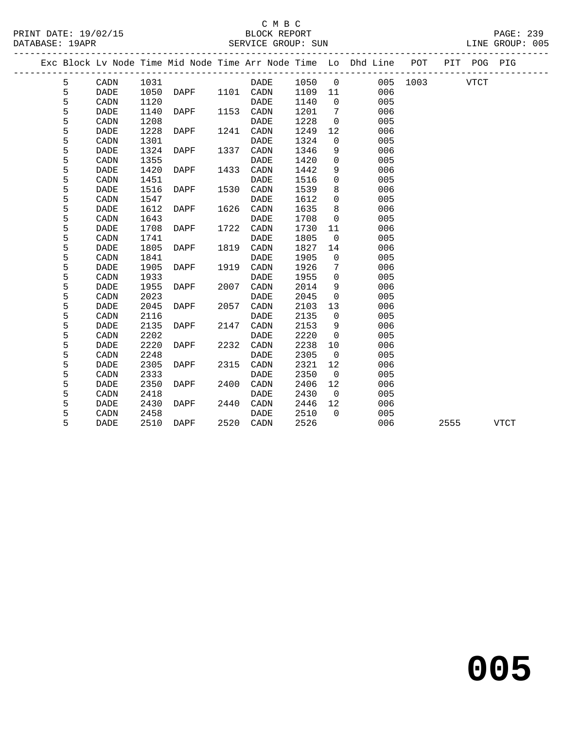#### C M B C<br>BLOCK REPORT SERVICE GROUP: SUN

|  |   |             |      |      |      |                        |      |                   | Exc Block Lv Node Time Mid Node Time Arr Node Time Lo Dhd Line POT |               |      | PIT POG PIG |             |
|--|---|-------------|------|------|------|------------------------|------|-------------------|--------------------------------------------------------------------|---------------|------|-------------|-------------|
|  | 5 | CADN        | 1031 |      |      | DADE                   | 1050 | $\overline{0}$    |                                                                    | 005 1003 VTCT |      |             |             |
|  | 5 | <b>DADE</b> | 1050 | DAPF |      | 1101 CADN              | 1109 | 11                | 006                                                                |               |      |             |             |
|  | 5 | CADN        | 1120 |      |      | DADE                   | 1140 | $\Omega$          | 005                                                                |               |      |             |             |
|  | 5 | <b>DADE</b> | 1140 | DAPF | 1153 | CADN                   | 1201 | 7                 | 006                                                                |               |      |             |             |
|  | 5 | CADN        | 1208 |      |      | DADE                   | 1228 | $\mathbf 0$       | 005                                                                |               |      |             |             |
|  | 5 | <b>DADE</b> | 1228 | DAPF | 1241 | CADN                   | 1249 | 12                | 006                                                                |               |      |             |             |
|  | 5 | CADN        | 1301 |      |      | <b>DADE</b>            | 1324 | $\mathbf 0$       | 005                                                                |               |      |             |             |
|  | 5 | DADE        | 1324 | DAPF | 1337 | CADN                   | 1346 | 9                 | 006                                                                |               |      |             |             |
|  | 5 | CADN        | 1355 |      |      | <b>DADE</b>            | 1420 | $\mathbf 0$       | 005                                                                |               |      |             |             |
|  | 5 | DADE        | 1420 | DAPF | 1433 | CADN                   | 1442 | 9                 | 006                                                                |               |      |             |             |
|  | 5 | CADN        | 1451 |      |      | <b>DADE</b>            | 1516 | $\mathbf 0$       | 005                                                                |               |      |             |             |
|  | 5 | <b>DADE</b> | 1516 | DAPF | 1530 | CADN                   | 1539 | 8                 | 006                                                                |               |      |             |             |
|  | 5 | CADN        | 1547 |      |      | DADE                   | 1612 | $\Omega$          | 005                                                                |               |      |             |             |
|  | 5 | <b>DADE</b> | 1612 | DAPF | 1626 | CADN                   | 1635 | 8                 | 006                                                                |               |      |             |             |
|  | 5 | CADN        | 1643 |      |      | DADE                   | 1708 | $\Omega$          | 005                                                                |               |      |             |             |
|  | 5 | DADE        | 1708 | DAPF | 1722 | CADN                   | 1730 | 11                | 006                                                                |               |      |             |             |
|  | 5 | CADN        | 1741 |      |      | <b>DADE</b>            | 1805 | $\mathbf 0$       | 005                                                                |               |      |             |             |
|  | 5 | <b>DADE</b> | 1805 | DAPF | 1819 | CADN                   | 1827 | 14                | 006                                                                |               |      |             |             |
|  | 5 | CADN        | 1841 |      |      | DADE                   | 1905 | $\mathbf 0$       | 005                                                                |               |      |             |             |
|  | 5 | DADE        | 1905 | DAPF | 1919 | CADN                   | 1926 | 7                 | 006                                                                |               |      |             |             |
|  | 5 | CADN        | 1933 |      |      | <b>DADE</b>            | 1955 | $\Omega$          | 005                                                                |               |      |             |             |
|  | 5 | <b>DADE</b> | 1955 | DAPF | 2007 | $\texttt{CADN}\xspace$ | 2014 | 9                 | 006                                                                |               |      |             |             |
|  | 5 | CADN        | 2023 |      |      | <b>DADE</b>            | 2045 | $\mathbf 0$       | 005                                                                |               |      |             |             |
|  | 5 | DADE        | 2045 | DAPF | 2057 | CADN                   | 2103 | 13                | 006                                                                |               |      |             |             |
|  | 5 | CADN        | 2116 |      |      | <b>DADE</b>            | 2135 | $\mathbf 0$       | 005                                                                |               |      |             |             |
|  | 5 | DADE        | 2135 | DAPF | 2147 | CADN                   | 2153 | 9                 | 006                                                                |               |      |             |             |
|  | 5 | CADN        | 2202 |      |      | DADE                   | 2220 | $\mathbf 0$       | 005                                                                |               |      |             |             |
|  | 5 | <b>DADE</b> | 2220 | DAPF | 2232 | CADN                   | 2238 | 10                | 006                                                                |               |      |             |             |
|  | 5 | CADN        | 2248 |      |      | <b>DADE</b>            | 2305 | $\overline{0}$    | 005                                                                |               |      |             |             |
|  | 5 | <b>DADE</b> | 2305 | DAPF | 2315 | CADN                   | 2321 | 12                | 006                                                                |               |      |             |             |
|  | 5 | CADN        | 2333 |      |      | <b>DADE</b>            | 2350 | $\overline{0}$    | 005                                                                |               |      |             |             |
|  | 5 | DADE        | 2350 | DAPF | 2400 | CADN                   | 2406 | $12 \overline{ }$ | 006                                                                |               |      |             |             |
|  | 5 | CADN        | 2418 |      |      | <b>DADE</b>            | 2430 | $\overline{0}$    | 005                                                                |               |      |             |             |
|  | 5 | <b>DADE</b> | 2430 | DAPF | 2440 | CADN                   | 2446 | $12 \overline{ }$ | 006                                                                |               |      |             |             |
|  | 5 | CADN        | 2458 |      |      | DADE                   | 2510 | $\Omega$          | 005                                                                |               |      |             |             |
|  | 5 | <b>DADE</b> | 2510 | DAPF | 2520 | CADN                   | 2526 |                   | 006                                                                |               | 2555 |             | <b>VTCT</b> |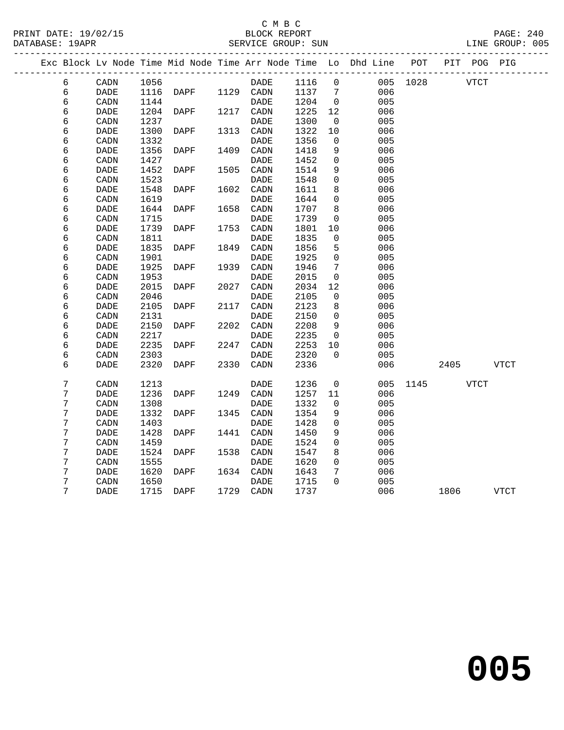### C M B C<br>BLOCK REPORT<br>SERVICE GROUP: SUN

| DATABASE: 19APR |                              |      |      |      | SERVICE GROUP: SUN     |      |                |                                                                                |          |      |             | LINE GROUP: 005 |  |
|-----------------|------------------------------|------|------|------|------------------------|------|----------------|--------------------------------------------------------------------------------|----------|------|-------------|-----------------|--|
|                 |                              |      |      |      | ______________________ |      |                | Exc Block Lv Node Time Mid Node Time Arr Node Time Lo Dhd Line POT PIT POG PIG |          |      |             |                 |  |
| 6               | CADN                         | 1056 |      |      | DADE                   | 1116 | $\overline{0}$ |                                                                                | 005 1028 |      | VTCT        |                 |  |
| 6               | DADE                         | 1116 | DAPF |      | 1129 CADN              | 1137 | 7              | 006                                                                            |          |      |             |                 |  |
| 6               | CADN                         | 1144 |      |      | <b>DADE</b>            | 1204 | $\overline{0}$ | 005                                                                            |          |      |             |                 |  |
| 6               | DADE                         | 1204 | DAPF | 1217 | CADN                   | 1225 | 12             | 006                                                                            |          |      |             |                 |  |
| 6               | CADN                         | 1237 |      |      | DADE                   | 1300 | $\overline{0}$ | 005                                                                            |          |      |             |                 |  |
| 6               | DADE                         | 1300 | DAPF | 1313 | CADN                   | 1322 | 10             | 006                                                                            |          |      |             |                 |  |
| 6               | CADN                         | 1332 |      |      | <b>DADE</b>            | 1356 | $\mathbf 0$    | 005                                                                            |          |      |             |                 |  |
| 6               | DADE                         | 1356 | DAPF | 1409 | CADN                   | 1418 | 9              | 006                                                                            |          |      |             |                 |  |
| 6               | CADN                         | 1427 |      |      | DADE                   | 1452 | 0              | 005                                                                            |          |      |             |                 |  |
| 6               | DADE                         | 1452 | DAPF | 1505 | CADN                   | 1514 | 9              | 006                                                                            |          |      |             |                 |  |
| 6               | CADN                         | 1523 |      |      | DADE                   | 1548 | 0              | 005                                                                            |          |      |             |                 |  |
| 6               | <b>DADE</b>                  | 1548 | DAPF | 1602 | CADN                   | 1611 | 8              | 006                                                                            |          |      |             |                 |  |
| 6               | CADN                         | 1619 |      |      | DADE                   | 1644 | $\mathbf 0$    | 005                                                                            |          |      |             |                 |  |
| 6               | DADE                         | 1644 | DAPF | 1658 | CADN                   | 1707 | 8              | 006                                                                            |          |      |             |                 |  |
| 6               | CADN                         | 1715 |      |      | DADE                   | 1739 | $\mathbf 0$    | 005                                                                            |          |      |             |                 |  |
| 6               | DADE                         | 1739 | DAPF | 1753 | CADN                   | 1801 | 10             | 006                                                                            |          |      |             |                 |  |
| 6               | CADN                         | 1811 |      |      | <b>DADE</b>            | 1835 | 0              | 005                                                                            |          |      |             |                 |  |
| 6               | DADE                         | 1835 | DAPF | 1849 | CADN                   | 1856 | 5              | 006                                                                            |          |      |             |                 |  |
| 6               | CADN                         | 1901 |      |      | DADE                   | 1925 | 0              | 005                                                                            |          |      |             |                 |  |
| 6               | <b>DADE</b>                  | 1925 | DAPF | 1939 | CADN                   | 1946 | 7              | 006                                                                            |          |      |             |                 |  |
| 6               | CADN                         | 1953 |      |      | DADE                   | 2015 | $\mathbf 0$    | 005                                                                            |          |      |             |                 |  |
| 6               | <b>DADE</b>                  | 2015 | DAPF | 2027 | CADN                   | 2034 | 12             | 006                                                                            |          |      |             |                 |  |
| 6               | CADN                         | 2046 |      |      | DADE                   | 2105 | 0              | 005                                                                            |          |      |             |                 |  |
| 6               | DADE                         | 2105 | DAPF | 2117 | CADN                   | 2123 | 8              | 006                                                                            |          |      |             |                 |  |
| 6               | CADN                         | 2131 |      |      | DADE                   | 2150 | $\mathbf 0$    | 005                                                                            |          |      |             |                 |  |
| 6               | $\ensuremath{\mathsf{DADE}}$ | 2150 | DAPF | 2202 | CADN                   | 2208 | 9              | 006                                                                            |          |      |             |                 |  |
| 6               | CADN                         | 2217 |      |      | <b>DADE</b>            | 2235 | 0              | 005                                                                            |          |      |             |                 |  |
| 6               | DADE                         | 2235 | DAPF | 2247 | CADN                   | 2253 | 10             | 006                                                                            |          |      |             |                 |  |
| 6               | CADN                         | 2303 |      |      | DADE                   | 2320 | $\mathbf 0$    | 005                                                                            |          |      |             |                 |  |
| 6               | <b>DADE</b>                  | 2320 | DAPF | 2330 | CADN                   | 2336 |                | 006                                                                            |          | 2405 |             | VTCT            |  |
| 7               | CADN                         | 1213 |      |      | <b>DADE</b>            | 1236 | 0              | 005                                                                            | 1145     |      | <b>VTCT</b> |                 |  |
| 7               | <b>DADE</b>                  | 1236 | DAPF | 1249 | CADN                   | 1257 | 11             | 006                                                                            |          |      |             |                 |  |
| 7               | CADN                         | 1308 |      |      | DADE                   | 1332 | 0              | 005                                                                            |          |      |             |                 |  |
| 7               | <b>DADE</b>                  | 1332 | DAPF | 1345 | CADN                   | 1354 | 9              | 006                                                                            |          |      |             |                 |  |
| 7               | CADN                         | 1403 |      |      | DADE                   | 1428 | 0              | 005                                                                            |          |      |             |                 |  |
| 7               | DADE                         | 1428 | DAPF | 1441 | CADN                   | 1450 | 9              | 006                                                                            |          |      |             |                 |  |
| 7               | CADN                         | 1459 |      |      | <b>DADE</b>            | 1524 | $\mathbf 0$    | 005                                                                            |          |      |             |                 |  |
| 7               | DADE                         | 1524 | DAPF | 1538 | CADN                   | 1547 | 8              | 006                                                                            |          |      |             |                 |  |
| 7               | CADN                         | 1555 |      |      | DADE                   | 1620 | 0              | 005                                                                            |          |      |             |                 |  |
| 7               | $\ensuremath{\mathsf{DADE}}$ | 1620 | DAPF | 1634 | CADN                   | 1643 | 7              | 006                                                                            |          |      |             |                 |  |
| 7               | CADN                         | 1650 |      |      | DADE                   | 1715 | $\Omega$       | 005                                                                            |          |      |             |                 |  |
| 7               | <b>DADE</b>                  | 1715 | DAPF |      | 1729 CADN              | 1737 |                | 006                                                                            |          | 1806 |             | <b>VTCT</b>     |  |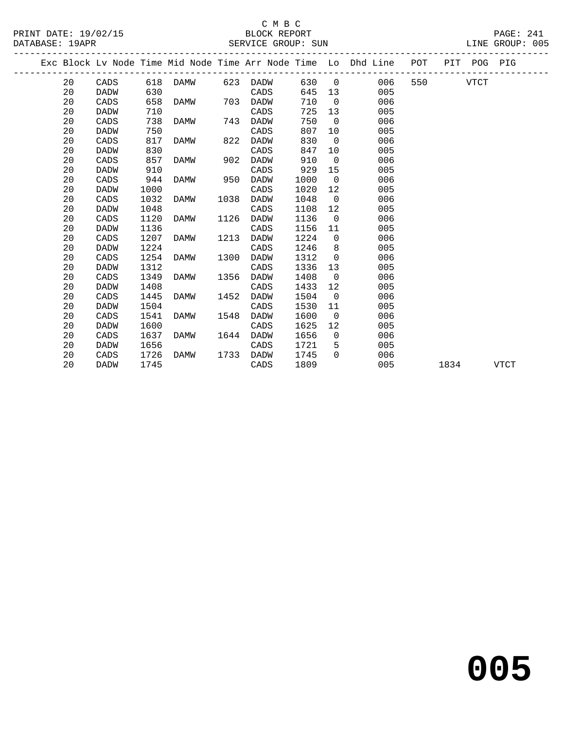|  |    |             |      |             |      |             |      |                | Exc Block Lv Node Time Mid Node Time Arr Node Time Lo Dhd Line | POT |      | PIT POG PIG |             |
|--|----|-------------|------|-------------|------|-------------|------|----------------|----------------------------------------------------------------|-----|------|-------------|-------------|
|  | 20 | CADS        | 618  | DAMW        | 623  | DADW        | 630  | $\overline{0}$ | 006                                                            | 550 |      | <b>VTCT</b> |             |
|  | 20 | DADW        | 630  |             |      | CADS        | 645  | 13             | 005                                                            |     |      |             |             |
|  | 20 | CADS        | 658  | DAMW        | 703  | <b>DADW</b> | 710  | $\Omega$       | 006                                                            |     |      |             |             |
|  | 20 | DADW        | 710  |             |      | CADS        | 725  | 13             | 005                                                            |     |      |             |             |
|  | 20 | CADS        | 738  | DAMW        | 743  | DADW        | 750  | $\overline{0}$ | 006                                                            |     |      |             |             |
|  | 20 | <b>DADW</b> | 750  |             |      | CADS        | 807  | 10             | 005                                                            |     |      |             |             |
|  | 20 | CADS        | 817  | DAMW        | 822  | <b>DADW</b> | 830  | $\overline{0}$ | 006                                                            |     |      |             |             |
|  | 20 | DADW        | 830  |             |      | CADS        | 847  | 10             | 005                                                            |     |      |             |             |
|  | 20 | CADS        | 857  | DAMW        | 902  | <b>DADW</b> | 910  | $\overline{0}$ | 006                                                            |     |      |             |             |
|  | 20 | <b>DADW</b> | 910  |             |      | CADS        | 929  | 15             | 005                                                            |     |      |             |             |
|  | 20 | CADS        | 944  | <b>DAMW</b> | 950  | <b>DADW</b> | 1000 | $\overline{0}$ | 006                                                            |     |      |             |             |
|  | 20 | <b>DADW</b> | 1000 |             |      | CADS        | 1020 | 12             | 005                                                            |     |      |             |             |
|  | 20 | CADS        | 1032 | DAMW        | 1038 | <b>DADW</b> | 1048 | $\overline{0}$ | 006                                                            |     |      |             |             |
|  | 20 | <b>DADW</b> | 1048 |             |      | CADS        | 1108 | 12             | 005                                                            |     |      |             |             |
|  | 20 | CADS        | 1120 | DAMW        | 1126 | <b>DADW</b> | 1136 | $\mathbf 0$    | 006                                                            |     |      |             |             |
|  | 20 | <b>DADW</b> | 1136 |             |      | CADS        | 1156 | 11             | 005                                                            |     |      |             |             |
|  | 20 | CADS        | 1207 | DAMW        | 1213 | <b>DADW</b> | 1224 | $\overline{0}$ | 006                                                            |     |      |             |             |
|  | 20 | <b>DADW</b> | 1224 |             |      | CADS        | 1246 | 8              | 005                                                            |     |      |             |             |
|  | 20 | CADS        | 1254 | <b>DAMW</b> | 1300 | <b>DADW</b> | 1312 | $\Omega$       | 006                                                            |     |      |             |             |
|  | 20 | <b>DADW</b> | 1312 |             |      | CADS        | 1336 | 13             | 005                                                            |     |      |             |             |
|  | 20 | CADS        | 1349 | DAMW        | 1356 | <b>DADW</b> | 1408 | $\overline{0}$ | 006                                                            |     |      |             |             |
|  | 20 | DADW        | 1408 |             |      | CADS        | 1433 | 12             | 005                                                            |     |      |             |             |
|  | 20 | CADS        | 1445 | DAMW        | 1452 | <b>DADW</b> | 1504 | $\overline{0}$ | 006                                                            |     |      |             |             |
|  | 20 | DADW        | 1504 |             |      | CADS        | 1530 | 11             | 005                                                            |     |      |             |             |
|  | 20 | CADS        | 1541 | DAMW        | 1548 | DADW        | 1600 | $\overline{0}$ | 006                                                            |     |      |             |             |
|  | 20 | DADW        | 1600 |             |      | CADS        | 1625 | 12             | 005                                                            |     |      |             |             |
|  | 20 | CADS        | 1637 | DAMW        | 1644 | <b>DADW</b> | 1656 | $\Omega$       | 006                                                            |     |      |             |             |
|  | 20 | <b>DADW</b> | 1656 |             |      | CADS        | 1721 | 5              | 005                                                            |     |      |             |             |
|  | 20 | CADS        | 1726 | DAMW        | 1733 | DADW        | 1745 | $\Omega$       | 006                                                            |     |      |             |             |
|  | 20 | <b>DADW</b> | 1745 |             |      | CADS        | 1809 |                | 005                                                            |     | 1834 |             | <b>VTCT</b> |
|  |    |             |      |             |      |             |      |                |                                                                |     |      |             |             |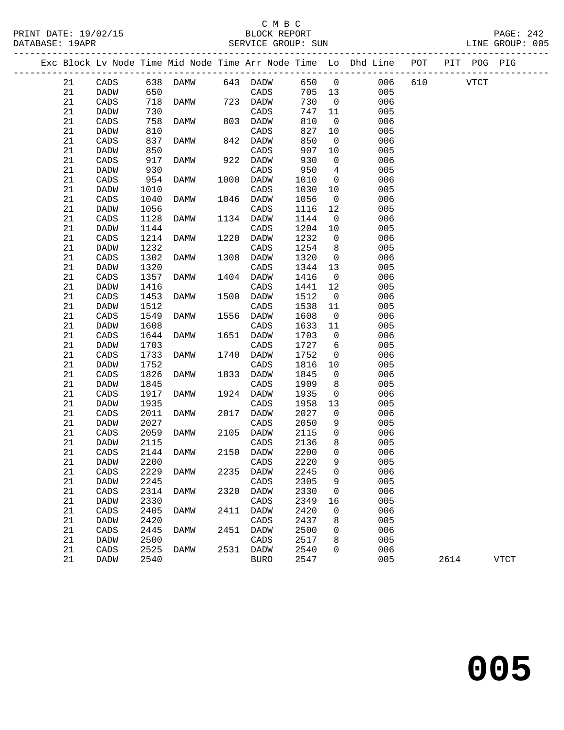### C M B C

21 CADS 1644 DAMW 1651 DADW 1703 0 006

21 CADS 1917 DAMW 1924 DADW 1935<br>21 DADW 1935 CADS 1958 13 005<br>21 CADS 2011 DAMW 2017 DADW 2027 0 006<br>21 DADW 2027 CADS 2050 9 005

21 CADS 2059 DAMW 2105 DADW 2115 0 006<br>21 DADW 2115 CADS 2136 8 005<br>21 CADS 2144 DAMW 2150 DADW 2200 0 006

21 CADS 2144 DAMW 2150 DADW 2200 0 006<br>21 DADW 2200 CADS 2220 9 005<br>21 CADS 2229 DAMW 2235 DADW 2245 0 006 21 CADS 2229 DAMW 2235 DADW 2245 0 006 21 CADS 2229 DAMW 2235 DADW 2245 0<br>
21 DADW 2245 CADS 2305 9 005<br>
21 CADS 2314 DAMW 2320 DADW 2330 0<br>
21 DADW 2330 CADS 2349 16 005<br>
21 CADS 2405 DAMW 2411 DADW 2420 0 006

 21 DADW 1703 CADS 1727 6 005 21 CADS 1733 DAMW 1740 DADW 1752 0 006 21 DADW 1752 CADS 1816 10 005 21 CADS 1826 DAMW 1833 DADW 1845 0 006 21 DADW 1845 CADS 1909 8 005 21 CADS 1917 DAMW 1924 DADW 1935 0 006 21 DADW 1935 CADS 1958 13 005

21 DADW 2027 CADS 2050 9<br>21 CADS 2059 DAMW 2105 DADW 2115 0

21 DADW 2330 CADS 2349 16<br>21 CADS 2405 DAMW 2411 DADW 2420 0 21 CADS 2405 DAMW 2411 DADW 2420 0 006 21 DADW 2420 CADS 2437 8 005 21 CADS 2445 DAMW 2451 DADW 2500 0 006 21 DADW 2500 CADS 2517 8 005 21 CADS 2525 DAMW 2531 DADW 2540 0 006

21 DADW 2115 CADS 2136<br>21 CADS 2144 DAMW 2150 DADW 2200 21 CADS 2144 DAMW 2150 DADW 2200 0<br>21 DADW 2200 0 CADS 2220 9

21 CADS 2314 DAMW 2320 DADW<br>21 DADW 2330 CADS

PRINT DATE: 19/02/15 BLOCK REPORT PAGE: 242 DATABASE: 19APR SERVICE GROUP: SUN LINE GROUP: 005 ------------------------------------------------------------------------------------------------- Exc Block Lv Node Time Mid Node Time Arr Node Time Lo Dhd Line POT PIT POG PIG ------------------------------------------------------------------------------------------------- 21 CADS 638 DAMW 643 DADW 650 0 006 610 VTCT 21 DADW 650 CADS 705 13 005 21 CADS 718 DAMW 723 DADW 730 0 006 21 DADW 730 CADS 747 11 005 21 CADS 758 DAMW 803 DADW 810 0 006 21 DADW 810 CADS 827 10 005 21 CADS 837 DAMW 842 DADW 850 0 006<br>21 DADW 850 CADS 907 10 005<br>21 CADS 917 DAMW 922 DADW 930 0 006 21 DADW 850 CADS 907 10 005 21 CADS 917 DAMW 922 DADW 930 0 006<br>21 DADW 930 CADS 950 4 005<br>21 CADS 954 DAMW 1000 DADW 1010 0 006 21 DADW 930 CADS 950 4 005 21 CADS 954 DAMW 1000 DADW 1010 0 006 21 DADW 1010 CADS 1030 10 005 21 DADW 1010 CADS 1030 10 005<br>21 CADS 1040 DAMW 1046 DADW 1056 0 006<br>21 DADW 1056 CADS 1116 12 005 21 DADW 1010<br>
21 CADS 1040 DAMW 1046 DADW 1056 0 006<br>
21 DADW 1056 CADS 1116 12 005<br>
21 CADS 1128 DAMW 1134 DADW 1144 0 006<br>
21 DADW 1144 CADS 1204 10 005<br>
21 DADW 1144 CADS 1204 10 005 21 CADS 1128 DAMW 1134 DADW<br>21 DADW 1144 CADS 21 CADS 1128 DAMW 1134 DADW 1144 0 006<br>21 DADW 1144 CADS 1204 10 005<br>21 CADS 1214 DAMW 1220 DADW 1232 0 006<br>21 DADW 1232 CADS 1254 8 005 21 CADS 1214 DAMW 1220 DADW 1232 0 006<br>21 DADW 1232 CADS 1254 8 005 21 DADW 1232 CADS 1254 8 005 21 CADS 1302 DAMW 1308 DADW 1320 0 006 21 DADW 1320 CADS 1344 13 005 21 CADS 1357 DAMW 1404 DADW 1416 0 006 21 DADW 1416 CADS 1441 12 005 21 CADS 1337 DAMW 1101 DADW 1110 000<br>
21 DADW 1416 CADS 1441 12 005<br>
21 CADS 1453 DAMW 1500 DADW 1512 0 006<br>
21 DADW 1512 CADS 1538 11 005 21 DADW 1512 CADS 1538 11 005<br>21 CADS 1549 DAMW 1556 DADW 1608 0 006<br>21 DADW 1608 CADS 1633 11 005 21 CADS 1549 DAMW 1556 DADW 1608 0 006 21 CADS 1549 DAMW 1556 DADW 1608 0 006<br>21 DADW 1608 CADS 1633 11 005<br>21 CADS 1644 DAMW 1651 DADW 1703 0 006<br>21 DADW 1703 CADS 1727 6 005

21 DADW 2540 BURO 2547 005 2614 VTCT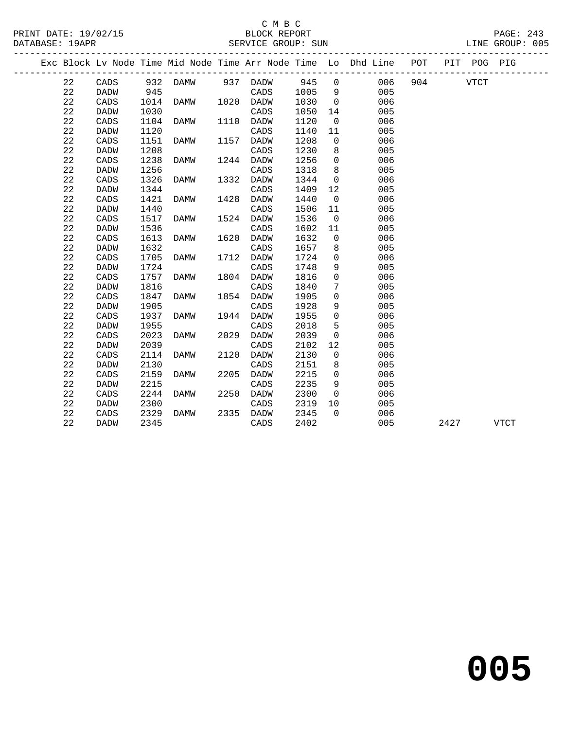### C M B C

DATABASE: 19APR SERVICE GROUP: SUN LINE GROUP: 005 ------------------------------------------------------------------------------------------------- Exc Block Lv Node Time Mid Node Time Arr Node Time Lo Dhd Line POT PIT POG PIG ------------------------------------------------------------------------------------------------- 22 CADS 932 DAMW 937 DADW 945 0 006 904 VTCT<br>22 DADW 945 CADS 1005 9 005<br>22 CADS 1014 DAMW 1020 DADW 1030 0 006 22 DADW 945 CADS 1005 9 005 22 CADS 1014 DAMW 1020 DADW 1030 0 006 22 DADW 1030 CADS 1050 14 005 22 CADS 1104 DAMW 1110 DADW 1120 0 006 22 DADW 1120 CADS 1140 11 005 22 CADS 1151 DAMW 1157 DADW 1208 0 006 22 DADW 1208 CADS 1230 8 005 22 CADS 1238 DAMW 1244 DADW 1256 0 006 22 DADW 1256 CADS 1318 8 005 22 CADS 1238 DAMW 1244 DADW 1256 0<br>
22 DADW 1256 CADS 1318 8 005<br>
22 CADS 1326 DAMW 1332 DADW 1344 0<br>
22 DADW 1344 CADS 1409 12 005 22 DADW 1344 CADS 1409 12<br>22 CADS 1421 DAMW 1428 DADW 1440 0 22 CADS 1421 DAMW 1428 DADW 1440 0 006 22 CADS 1421 DAMW 1428 DADW 1440 0 006<br>22 DADW 1440 CADS 1506 11 005<br>22 CADS 1517 DAMW 1524 DADW 1536 0 006 22 CADS 1517 DAMW 1524 DADW 1536 0 006 22 DADW 1536 CADS 1602 11 005 22 CADS 1613 DAMW 1620 DADW 1632 0 006 22 DADW 1632 CADS 1657 8 005 22 CADS 1705 DAMW 1712 DADW 1724 0 006<br>22 DADW 1724 CADS 1748 9 005<br>22 CADS 1757 DAMW 1804 DADW 1816 0 006<br>22 DADW 1816 CADS 1840 7 005 22 DADW 1724 CADS 1748 9 005 22 CADS 1757 DAMW 1804 DADW 1816 0 006 22 DADW 1816 CADS 1840 7 005 22 DADW 1816<br>22 CADS 1847 DAMW 1854 DADW 1905 0 006<br>22 DADW 1905 CADS 1928 9 005 22 DADW 1905 CADS 1928 9 005 22 CADS 1937 DAMW 1944 DADW 1955 0 006 22 DADW 1955 CADS 2018 5 005 22 DADW 1955 CADS 2018 5 005<br>22 CADS 2023 DAMW 2029 DADW 2039 0 006<br>22 DADW 2039 CADS 2102 12 005 22 DADW 2039 CADS 2102 12<br>22 CADS 2114 DAMW 2120 DADW 2130 0 22 CADS 2114 DAMW 2120 DADW 2130 0 006<br>22 DADW 2130 0 CADS 2151 8 005<br>22 CADS 2159 DAMW 2205 DADW 2215 0 006 22 DADW 2130 CADS 2151 8 005 22 CADS 2159 DAMW 2205 DADW 2215 0 006<br>22 DADW 2215 CADS 2235 9 005<br>22 CADS 2244 DAMW 2250 DADW 2300 0 006 22 DADW 2215 CADS 2235 9 005 22 CADS 2244 DAMW 2250 DADW 2300 0 006<br>22 DADW 2300 0 CADS 2319 10 005<br>22 CADS 2329 DAMW 2335 DADW 2345 0 006 22 DADW 2300 CADS 2319 10<br>22 CADS 2329 DAMW 2335 DADW 2345 0 22 CADS 2329 DAMW 2335 DADW 2345 0 006 22 DADW 2345 CADS 2402 005 2427 VTCT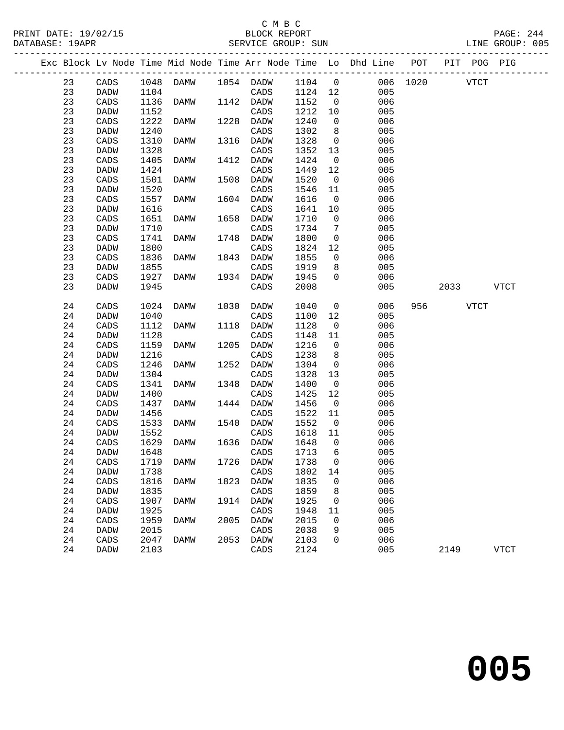### C M B C<br>BLOCK REPORT

PRINT DATE: 19/02/15 BLOCK REPORT PAGE: 244 SERVICE GROUP: SUN

|  |    |             |      |                            |      |                  |         |                | Exc Block Lv Node Time Mid Node Time Arr Node Time Lo Dhd Line POT |          |             | PIT POG PIG |             |
|--|----|-------------|------|----------------------------|------|------------------|---------|----------------|--------------------------------------------------------------------|----------|-------------|-------------|-------------|
|  | 23 | CADS        |      | 1048 DAMW 1054 DADW 1104 0 |      |                  |         |                |                                                                    | 006 1020 | <b>VTCT</b> |             |             |
|  | 23 | DADW        | 1104 |                            |      | CADS             | 1124 12 |                | 005                                                                |          |             |             |             |
|  | 23 | CADS        | 1136 | DAMW                       |      | 1142 DADW        | 1152    | $\overline{0}$ | 006                                                                |          |             |             |             |
|  | 23 | DADW        | 1152 |                            |      | CADS             | 1212    | 10             | 005                                                                |          |             |             |             |
|  | 23 | CADS        | 1222 | DAMW                       |      | 1228 DADW        | 1240    | $\overline{0}$ | 006                                                                |          |             |             |             |
|  | 23 | DADW        | 1240 |                            |      | CADS             | 1302    | 8              | 005                                                                |          |             |             |             |
|  | 23 | CADS        | 1310 | DAMW                       |      | 1316 DADW        | 1328    | $\overline{0}$ | 006                                                                |          |             |             |             |
|  | 23 | DADW        | 1328 |                            |      | CADS             | 1352    | 13             | 005                                                                |          |             |             |             |
|  | 23 | CADS        | 1405 | DAMW                       |      | 1412 DADW        | 1424    | $\overline{0}$ | 006                                                                |          |             |             |             |
|  | 23 | DADW        | 1424 |                            |      | CADS             | 1449    | 12             | 005                                                                |          |             |             |             |
|  | 23 | CADS        | 1501 | DAMW                       | 1508 | DADW             | 1520    | $\overline{0}$ | 006                                                                |          |             |             |             |
|  | 23 | DADW        | 1520 |                            |      | CADS             | 1546    | 11             | 005                                                                |          |             |             |             |
|  | 23 | CADS        | 1557 | DAMW                       |      | 1604 DADW        | 1616    | $\overline{0}$ | 006                                                                |          |             |             |             |
|  | 23 | DADW        | 1616 |                            |      | CADS             | 1641    | 10             | 005                                                                |          |             |             |             |
|  | 23 | CADS        | 1651 | DAMW                       | 1658 | DADW             | 1710    | $\overline{0}$ | 006                                                                |          |             |             |             |
|  | 23 | DADW        | 1710 |                            |      | CADS             | 1734    | $\overline{7}$ | 005                                                                |          |             |             |             |
|  | 23 | CADS        | 1741 | DAMW                       | 1748 | DADW             | 1800    | $\overline{0}$ | 006                                                                |          |             |             |             |
|  | 23 | DADW        | 1800 |                            |      | CADS             | 1824    | 12             | 005                                                                |          |             |             |             |
|  | 23 | CADS        | 1836 | DAMW                       |      | 1843 DADW        | 1855    | $\overline{0}$ | 006                                                                |          |             |             |             |
|  | 23 | DADW        | 1855 |                            |      | CADS             | 1919    | 8              | 005                                                                |          |             |             |             |
|  | 23 | CADS        | 1927 | DAMW                       |      | 1934 DADW        | 1945    | $\Omega$       | 006                                                                |          |             |             |             |
|  | 23 | <b>DADW</b> | 1945 |                            |      | CADS             | 2008    |                | 005                                                                |          | 2033        |             | <b>VTCT</b> |
|  |    |             |      |                            |      |                  |         |                |                                                                    |          |             |             |             |
|  | 24 | CADS        | 1024 | DAMW                       | 1030 | DADW             | 1040    | $\overline{0}$ | 006                                                                |          | 956 VTCT    |             |             |
|  | 24 | <b>DADW</b> | 1040 |                            |      | CADS             | 1100    | 12             | 005                                                                |          |             |             |             |
|  | 24 | CADS        | 1112 | DAMW                       |      | 1118 DADW        | 1128    | $\overline{0}$ | 006                                                                |          |             |             |             |
|  | 24 | DADW        | 1128 |                            |      | CADS             | 1148    | 11             | 005                                                                |          |             |             |             |
|  | 24 | CADS        | 1159 | DAMW                       | 1205 | DADW             | 1216    | $\overline{0}$ | 006                                                                |          |             |             |             |
|  | 24 | <b>DADW</b> | 1216 |                            |      | CADS             | 1238    | 8              | 005                                                                |          |             |             |             |
|  | 24 | CADS        | 1246 | DAMW                       | 1252 | DADW             | 1304    | $\overline{0}$ | 006                                                                |          |             |             |             |
|  | 24 | DADW        | 1304 |                            |      | CADS             | 1328    | 13             | 005                                                                |          |             |             |             |
|  | 24 | CADS        | 1341 | DAMW                       | 1348 | DADW             | 1400    | $\overline{0}$ | 006                                                                |          |             |             |             |
|  | 24 | DADW        | 1400 |                            |      | CADS             | 1425    | 12             | 005                                                                |          |             |             |             |
|  | 24 | CADS        | 1437 | DAMW                       |      | 1444 DADW        | 1456    | $\overline{0}$ | 006                                                                |          |             |             |             |
|  | 24 | DADW        | 1456 |                            |      | CADS             | 1522    | 11             | 005                                                                |          |             |             |             |
|  | 24 | CADS        | 1533 | DAMW                       | 1540 | DADW             | 1552    | $\overline{0}$ | 006                                                                |          |             |             |             |
|  | 24 | DADW        | 1552 |                            |      | CADS             | 1618    | 11             | 005                                                                |          |             |             |             |
|  | 24 | CADS        | 1629 | DAMW                       |      | 1636 DADW        | 1648    | $\overline{0}$ | 006                                                                |          |             |             |             |
|  | 24 | <b>DADW</b> | 1648 |                            |      | CADS             | 1713    | 6              | 005                                                                |          |             |             |             |
|  | 24 | CADS        |      | 1719 DAMW                  |      | 1726 DADW 1738 0 |         |                | 006                                                                |          |             |             |             |
|  | 24 | DADW        | 1738 |                            |      | CADS             | 1802    | 14             | 005                                                                |          |             |             |             |
|  | 24 | CADS        | 1816 | DAMW                       | 1823 | DADW             | 1835    | 0              | 006                                                                |          |             |             |             |
|  | 24 | DADW        | 1835 |                            |      | CADS             | 1859    | 8              | 005                                                                |          |             |             |             |
|  | 24 | CADS        | 1907 | DAMW                       | 1914 | DADW             | 1925    | 0              | 006                                                                |          |             |             |             |
|  | 24 | DADW        | 1925 |                            |      | CADS             | 1948    | 11             | 005                                                                |          |             |             |             |
|  | 24 | CADS        | 1959 | DAMW                       | 2005 | DADW             | 2015    | 0              | 006                                                                |          |             |             |             |
|  | 24 | DADW        | 2015 |                            |      | CADS             | 2038    | 9              | 005                                                                |          |             |             |             |
|  | 24 | CADS        | 2047 | DAMW                       | 2053 | DADW             | 2103    | 0              | 006                                                                |          |             |             |             |
|  | 24 | DADW        | 2103 |                            |      | CADS             | 2124    |                | 005                                                                |          | 2149        |             | <b>VTCT</b> |
|  |    |             |      |                            |      |                  |         |                |                                                                    |          |             |             |             |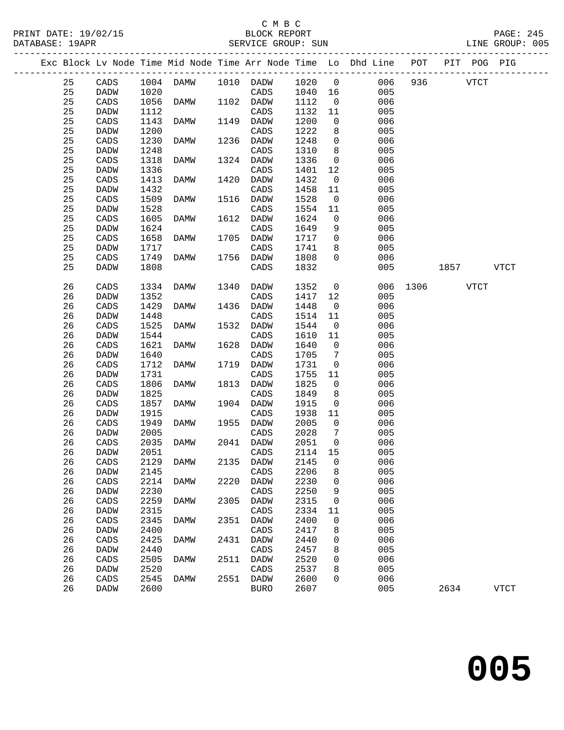### C M B C<br>BLOCK REPORT

| DATABASE: 19APR |                 |      |             |      | SERVICE GROUP: SUN |         |                              |                                                                                |      |         |             | LINE GROUP: 005 |
|-----------------|-----------------|------|-------------|------|--------------------|---------|------------------------------|--------------------------------------------------------------------------------|------|---------|-------------|-----------------|
|                 |                 |      |             |      |                    |         |                              | Exc Block Lv Node Time Mid Node Time Arr Node Time Lo Dhd Line POT PIT POG PIG |      |         |             |                 |
| 25              | CADS            |      | 1004 DAMW   |      | 1010 DADW          | 1020 0  |                              | 006                                                                            |      | 936 000 | <b>VTCT</b> |                 |
| 25              | DADW            | 1020 |             |      | CADS               | 1040 16 |                              | 005                                                                            |      |         |             |                 |
| 25              | CADS            | 1056 | DAMW        |      | 1102 DADW          | 1112    | $\overline{0}$               | 006                                                                            |      |         |             |                 |
| 25              | DADW            | 1112 |             |      | CADS               | 1132    | 11                           | 005                                                                            |      |         |             |                 |
| 25              | CADS            | 1143 | DAMW        | 1149 | DADW               | 1200    | $\overline{0}$               | 006                                                                            |      |         |             |                 |
| 25              | DADW            | 1200 |             |      | CADS               | 1222    | 8                            | 005                                                                            |      |         |             |                 |
| 25              | CADS            | 1230 | DAMW        | 1236 | DADW               | 1248    | $\overline{0}$               | 006                                                                            |      |         |             |                 |
| 25              | DADW            | 1248 |             |      | CADS               | 1310    | 8 <sup>8</sup>               | 005                                                                            |      |         |             |                 |
| 25              | CADS            | 1318 | DAMW        | 1324 | DADW               | 1336    | $\overline{0}$               | 006                                                                            |      |         |             |                 |
| 25              | DADW            | 1336 |             |      | CADS               | 1401    | 12                           | 005                                                                            |      |         |             |                 |
| 25              | CADS            | 1413 | DAMW        | 1420 | DADW               | 1432    | $\overline{0}$               | 006                                                                            |      |         |             |                 |
| 25              | DADW            | 1432 |             |      | CADS               | 1458    | 11                           | 005                                                                            |      |         |             |                 |
| 25              | CADS            | 1509 | DAMW        | 1516 | DADW               | 1528    | $\overline{0}$               | 006                                                                            |      |         |             |                 |
| 25              | DADW            | 1528 |             |      | CADS               | 1554    | 11                           | 005                                                                            |      |         |             |                 |
| 25              | CADS            | 1605 | DAMW        | 1612 | DADW               | 1624    | $\overline{0}$               | 006                                                                            |      |         |             |                 |
| 25              | DADW            | 1624 |             |      | CADS               | 1649    | 9                            | 005                                                                            |      |         |             |                 |
| 25              | CADS            | 1658 | DAMW        | 1705 | DADW               | 1717    | $\overline{0}$               | 006                                                                            |      |         |             |                 |
| 25              | DADW            | 1717 |             |      | CADS               | 1741    | 8                            | 005                                                                            |      |         |             |                 |
| 25              | CADS            | 1749 | DAMW        | 1756 | DADW               | 1808    | $\mathbf 0$                  | 006                                                                            |      |         |             |                 |
| 25              | DADW            | 1808 |             |      | CADS               | 1832    |                              | 005                                                                            |      |         | 1857 VTCT   |                 |
| 26              | CADS            | 1334 | DAMW        | 1340 | DADW               | 1352    |                              | $\overline{0}$<br>006                                                          | 1306 | VTCT    |             |                 |
| 26              | DADW            | 1352 |             |      | CADS               | 1417    | 12                           | 005                                                                            |      |         |             |                 |
| 26              | CADS            | 1429 | DAMW        | 1436 | DADW               | 1448    | $\overline{0}$               | 006                                                                            |      |         |             |                 |
| 26              | DADW            | 1448 |             |      | CADS               | 1514    | 11                           | 005                                                                            |      |         |             |                 |
| 26              | CADS            | 1525 | DAMW        | 1532 | DADW               | 1544    | $\overline{0}$               | 006                                                                            |      |         |             |                 |
| 26              | DADW            | 1544 |             |      | CADS               | 1610    | 11                           | 005                                                                            |      |         |             |                 |
| 26              | CADS            | 1621 | DAMW        | 1628 | DADW               | 1640    | $\overline{0}$               | 006                                                                            |      |         |             |                 |
| 26              | DADW            | 1640 |             |      | CADS               | 1705    | $7\phantom{.0}\phantom{.0}7$ | 005                                                                            |      |         |             |                 |
| 26              | CADS            | 1712 | DAMW        | 1719 | DADW               | 1731    | $\mathsf{O}$                 | 006                                                                            |      |         |             |                 |
| 26              | DADW            | 1731 |             |      | CADS               | 1755    | 11                           | 005                                                                            |      |         |             |                 |
| 26              | CADS            | 1806 | DAMW        | 1813 | DADW               | 1825    | $\overline{0}$               | 006                                                                            |      |         |             |                 |
| 26              | DADW            | 1825 |             |      | CADS               | 1849    | 8                            | 005                                                                            |      |         |             |                 |
| 26              | CADS            | 1857 | DAMW        | 1904 | DADW               | 1915    | $\mathsf{O}$                 | 006                                                                            |      |         |             |                 |
| 26              | DADW            | 1915 |             |      | CADS               | 1938    | 11                           | 005                                                                            |      |         |             |                 |
| 26              | CADS            | 1949 | DAMW        |      | 1955 DADW          | 2005    | $\overline{0}$               | 006                                                                            |      |         |             |                 |
| 26              | DADW            | 2005 |             |      | CADS               | 2028    | 7                            | 005                                                                            |      |         |             |                 |
| 26              | CADS            | 2035 | DAMW        |      | 2041 DADW          | 2051    | $\overline{0}$               | 006                                                                            |      |         |             |                 |
| 26              | <b>DADW</b>     | 2051 |             |      | CADS               | 2114 15 |                              | 005                                                                            |      |         |             |                 |
| 26              | CADS            | 2129 | DAMW        | 2135 | <b>DADW</b>        | 2145    | 0                            | 006                                                                            |      |         |             |                 |
| 26              | DADW            | 2145 |             |      | $\mathtt{CADS}$    | 2206    | 8                            | 005                                                                            |      |         |             |                 |
| 26              | CADS            | 2214 | DAMW        | 2220 | DADW               | 2230    | 0                            | 006                                                                            |      |         |             |                 |
| 26              | DADW            | 2230 |             |      | CADS               | 2250    | 9                            | 005                                                                            |      |         |             |                 |
| 26              | $\mathtt{CADS}$ | 2259 | DAMW        | 2305 | DADW               | 2315    | 0                            | 006                                                                            |      |         |             |                 |
| 26              | DADW            | 2315 |             |      | CADS               | 2334    | 11                           | 005                                                                            |      |         |             |                 |
| 26              | CADS            | 2345 | <b>DAMW</b> | 2351 | <b>DADW</b>        | 2400    | 0                            | 006                                                                            |      |         |             |                 |
| 26              | <b>DADW</b>     | 2400 |             |      | CADS               | 2417    | 8                            | 005                                                                            |      |         |             |                 |

 26 CADS 2425 DAMW 2431 DADW 2440 0 006 26 DADW 2440 CADS 2457 8 005 26 CADS 2505 DAMW 2511 DADW 2520 0 006 26 DADW 2520 CADS 2537 8 005

26 CADS 2545 DAMW 2551 DADW 2600 0 006

26 DADW 2600 BURO 2607 005 2634 VTCT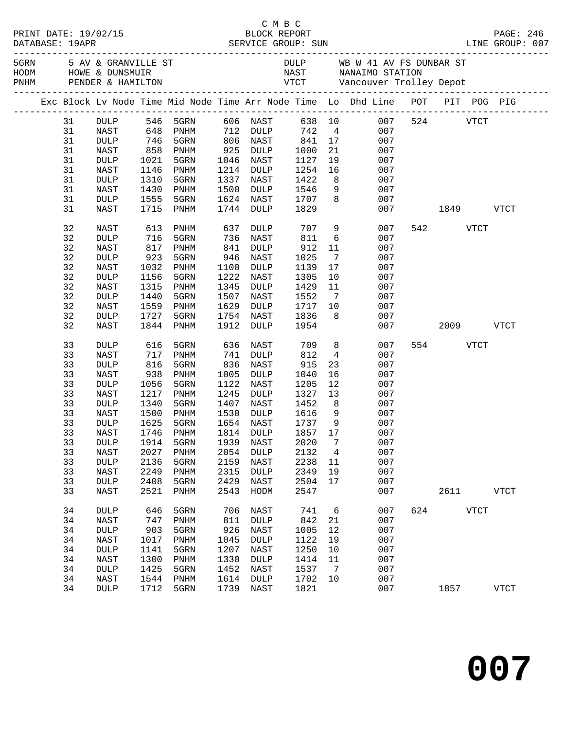|    |                 |      |                               |      |                      |                 |                 |                                                                                                                                                                                                                                                                                        |          |           |             | PAGE: 246<br>LINE GROUP: 007 |
|----|-----------------|------|-------------------------------|------|----------------------|-----------------|-----------------|----------------------------------------------------------------------------------------------------------------------------------------------------------------------------------------------------------------------------------------------------------------------------------------|----------|-----------|-------------|------------------------------|
|    |                 |      |                               |      |                      |                 |                 | DULP WB W 41 AV FS DUNBAR ST<br>NAST NANAIMO STATION<br>5 AV & GRANVILLE ST AN UNIVERSITY AND ME WAS TRIDUNE A DUNSMUIR MAST MANAIMO STATION PRIME A DUNSMUIR CHARGE TO DULP AND MAST MANAIMO STATION PRIME A HAMILTON CHARGE TO DURE A MANAIMO STATION AND DEMORE A HAMILTON CHARGE T |          |           |             |                              |
|    |                 |      |                               |      |                      |                 |                 | Exc Block Lv Node Time Mid Node Time Arr Node Time Lo Dhd Line POT PIT POG PIG                                                                                                                                                                                                         |          |           |             |                              |
| 31 |                 |      | DULP 546 5GRN 606 NAST 638 10 |      |                      |                 |                 | 007                                                                                                                                                                                                                                                                                    |          | 524 VTCT  |             |                              |
| 31 | NAST            |      | 648 PNHM                      |      | 712 DULP             | 742 4           |                 | 007                                                                                                                                                                                                                                                                                    |          |           |             |                              |
| 31 | <b>DULP</b>     |      |                               |      |                      |                 |                 | 007                                                                                                                                                                                                                                                                                    |          |           |             |                              |
| 31 | NAST            |      | 746 5GRN<br>858 PNHM          |      | 806 NAST<br>925 DULP | $841$<br>$1000$ | 21              | $\frac{17}{21}$<br>007                                                                                                                                                                                                                                                                 |          |           |             |                              |
| 31 | DULP            | 1021 | 5GRN                          | 1046 | NAST                 | 1127            |                 | 19<br>007                                                                                                                                                                                                                                                                              |          |           |             |                              |
| 31 | NAST            | 1146 | PNHM                          | 1214 | DULP                 | 1254            | 16              | 007                                                                                                                                                                                                                                                                                    |          |           |             |                              |
| 31 | DULP            | 1310 | 5GRN                          | 1337 | NAST                 | 1422            |                 | 007                                                                                                                                                                                                                                                                                    |          |           |             |                              |
| 31 | NAST            | 1430 | PNHM                          | 1500 | DULP                 | 1546            |                 | $\begin{array}{c} 8 \\ 9 \end{array}$<br>007                                                                                                                                                                                                                                           |          |           |             |                              |
| 31 | DULP            | 1555 | 5GRN                          | 1624 | NAST                 | 1707            | 8 <sup>8</sup>  | 007                                                                                                                                                                                                                                                                                    |          |           |             |                              |
| 31 | NAST            | 1715 | PNHM                          | 1744 | DULP                 | 1829            |                 |                                                                                                                                                                                                                                                                                        | 007 1849 |           |             | <b>VTCT</b>                  |
| 32 | NAST            | 613  | PNHM                          | 637  | DULP                 | 707             |                 | 9<br>007                                                                                                                                                                                                                                                                               |          | 542       | VTCT        |                              |
| 32 | $\texttt{DULP}$ | 716  | 5GRN                          | 736  | NAST                 | 811             | $6\overline{6}$ | 007                                                                                                                                                                                                                                                                                    |          |           |             |                              |
| 32 | NAST            | 817  | PNHM                          | 841  | DULP                 | 912             | 11              | 007                                                                                                                                                                                                                                                                                    |          |           |             |                              |
| 32 | DULP            | 923  | 5GRN                          | 946  | NAST                 | 1025            | $\overline{7}$  | 007                                                                                                                                                                                                                                                                                    |          |           |             |                              |
| 32 | NAST            | 1032 | PNHM                          | 1100 | DULP                 | 1139            | 17              | 007                                                                                                                                                                                                                                                                                    |          |           |             |                              |
| 32 | $\texttt{DULP}$ | 1156 | 5GRN                          | 1222 | NAST                 | 1305            | 10              | 007                                                                                                                                                                                                                                                                                    |          |           |             |                              |
| 32 | NAST            | 1315 | PNHM                          | 1345 | DULP                 | 1429            | 11              | 007                                                                                                                                                                                                                                                                                    |          |           |             |                              |
| 32 | DULP            | 1440 | 5GRN                          | 1507 | NAST                 | 1552            | $\overline{7}$  | 007                                                                                                                                                                                                                                                                                    |          |           |             |                              |
| 32 | NAST            | 1559 | PNHM                          | 1629 | DULP                 | 1717            | 10              | 007                                                                                                                                                                                                                                                                                    |          |           |             |                              |
| 32 | DULP            | 1727 | 5GRN                          | 1754 | NAST                 | 1836            | 8 <sup>8</sup>  | 007                                                                                                                                                                                                                                                                                    |          |           |             |                              |
| 32 | NAST            | 1844 | PNHM                          | 1912 | DULP                 | 1954            |                 | 007                                                                                                                                                                                                                                                                                    |          | 2009 VTCT |             |                              |
| 33 | <b>DULP</b>     | 616  | 5GRN                          | 636  | NAST                 | 709             | 8 <sup>8</sup>  | 007                                                                                                                                                                                                                                                                                    |          | 554 VTCT  |             |                              |
| 33 | NAST            | 717  | PNHM                          | 741  | DULP                 | 812             | $4\overline{4}$ | 007                                                                                                                                                                                                                                                                                    |          |           |             |                              |
| 33 | <b>DULP</b>     | 816  | 5GRN                          | 836  | NAST                 | 915             | 23              | 007                                                                                                                                                                                                                                                                                    |          |           |             |                              |
| 33 | NAST            | 938  | PNHM                          | 1005 | DULP                 | 1040            | 16              | 007                                                                                                                                                                                                                                                                                    |          |           |             |                              |
| 33 | <b>DULP</b>     | 1056 | 5GRN                          | 1122 | NAST                 | 1205            | 12              | 007                                                                                                                                                                                                                                                                                    |          |           |             |                              |
| 33 | NAST            | 1217 | PNHM                          | 1245 | DULP                 | 1327            | 13              | 007                                                                                                                                                                                                                                                                                    |          |           |             |                              |
| 33 | $\texttt{DULP}$ | 1340 | 5GRN                          | 1407 | NAST                 | 1452            | 8 <sup>8</sup>  | 007                                                                                                                                                                                                                                                                                    |          |           |             |                              |
| 33 | NAST            | 1500 | PNHM                          | 1530 | DULP                 | 1616            | 9               | 007                                                                                                                                                                                                                                                                                    |          |           |             |                              |
| 33 | DULP            | 1625 | 5GRN                          | 1654 | NAST                 | 1737            | 9               | 007                                                                                                                                                                                                                                                                                    |          |           |             |                              |
| 33 | NAST            | 1746 | PNHM                          |      | 1814 DULP            | 1857 17         |                 | 007                                                                                                                                                                                                                                                                                    |          |           |             |                              |
| 33 | DULP            | 1914 | 5GRN 1939 NAST                |      |                      |                 |                 | 2020 7 007                                                                                                                                                                                                                                                                             |          |           |             |                              |
| 33 | NAST            | 2027 | PNHM                          | 2054 | <b>DULP</b>          | 2132            | $\overline{4}$  | 007                                                                                                                                                                                                                                                                                    |          |           |             |                              |
| 33 | DULP            | 2136 | 5GRN                          | 2159 | NAST                 | 2238            | 11              | 007                                                                                                                                                                                                                                                                                    |          |           |             |                              |
| 33 | NAST            | 2249 | PNHM                          | 2315 | <b>DULP</b>          | 2349            | 19              | 007                                                                                                                                                                                                                                                                                    |          |           |             |                              |
| 33 | DULP            | 2408 | 5GRN                          | 2429 | NAST                 | 2504            | 17              | 007                                                                                                                                                                                                                                                                                    |          |           |             |                              |
| 33 | NAST            | 2521 | PNHM                          | 2543 | HODM                 | 2547            |                 | 007                                                                                                                                                                                                                                                                                    |          | 2611      |             | <b>VTCT</b>                  |
| 34 | DULP            | 646  | 5GRN                          | 706  | NAST                 | 741             | 6               | 007                                                                                                                                                                                                                                                                                    | 624      |           | <b>VTCT</b> |                              |
| 34 | NAST            | 747  | PNHM                          | 811  | <b>DULP</b>          | 842             | 21              | 007                                                                                                                                                                                                                                                                                    |          |           |             |                              |
| 34 | $\texttt{DULP}$ | 903  | 5GRN                          | 926  | NAST                 | 1005            | 12              | 007                                                                                                                                                                                                                                                                                    |          |           |             |                              |
| 34 | NAST            | 1017 | PNHM                          | 1045 | <b>DULP</b>          | 1122            | 19              | 007                                                                                                                                                                                                                                                                                    |          |           |             |                              |
| 34 | DULP            | 1141 | 5GRN                          | 1207 | NAST                 | 1250            | 10              | 007                                                                                                                                                                                                                                                                                    |          |           |             |                              |
| 34 | NAST            | 1300 | PNHM                          | 1330 | <b>DULP</b>          | 1414            | 11              | 007                                                                                                                                                                                                                                                                                    |          |           |             |                              |
| 34 | DULP            | 1425 | 5GRN                          | 1452 | NAST                 | 1537            | $\overline{7}$  | 007                                                                                                                                                                                                                                                                                    |          |           |             |                              |
| 34 | NAST            | 1544 | PNHM                          | 1614 | <b>DULP</b>          | 1702            | 10              | 007                                                                                                                                                                                                                                                                                    |          |           |             |                              |
| 34 | DULP            | 1712 | 5GRN                          | 1739 | NAST                 | 1821            |                 | 007                                                                                                                                                                                                                                                                                    |          | 1857      |             | <b>VTCT</b>                  |

C M B C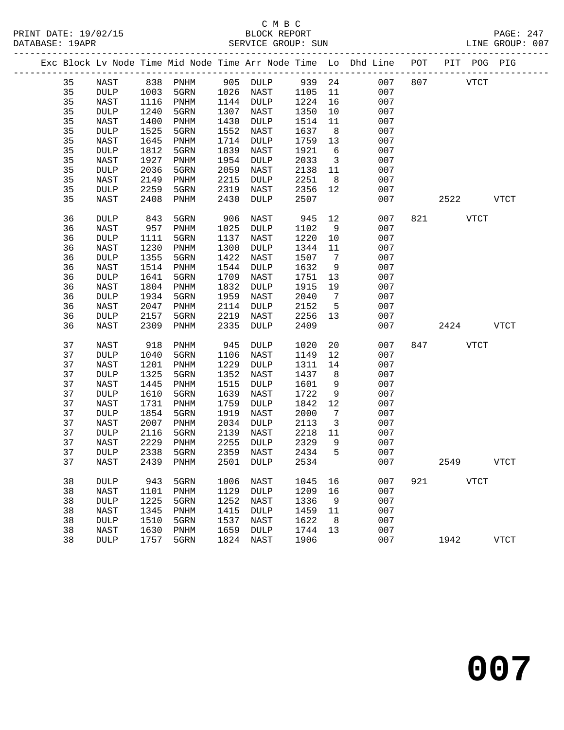### C M B C<br>BLOCK REPORT

|    |                 |      |                              |      |             |      |                         |                                                                                |                                 |      |             | PAGE: 247<br>LINE GROUP: 007 |
|----|-----------------|------|------------------------------|------|-------------|------|-------------------------|--------------------------------------------------------------------------------|---------------------------------|------|-------------|------------------------------|
|    |                 |      |                              |      |             |      |                         | Exc Block Lv Node Time Mid Node Time Arr Node Time Lo Dhd Line POT PIT POG PIG | . _ _ _ _ _ _ _ _ _ _ _ _ _ _ _ |      |             |                              |
| 35 | NAST            | 838  | PNHM                         |      | 905 DULP    | 939  | 24                      | 007                                                                            | 807                             |      | <b>VTCT</b> |                              |
| 35 | <b>DULP</b>     | 1003 | 5GRN                         |      | 1026 NAST   | 1105 | 11                      | 007                                                                            |                                 |      |             |                              |
| 35 | NAST            | 1116 | PNHM                         |      | 1144 DULP   | 1224 | 16                      | 007                                                                            |                                 |      |             |                              |
| 35 | <b>DULP</b>     | 1240 | 5GRN                         | 1307 | NAST        | 1350 | 10                      | 007                                                                            |                                 |      |             |                              |
| 35 | NAST            | 1400 | PNHM                         | 1430 | DULP        | 1514 | 11                      | 007                                                                            |                                 |      |             |                              |
| 35 | $\texttt{DULP}$ | 1525 | 5GRN                         | 1552 | NAST        | 1637 | 8                       | 007                                                                            |                                 |      |             |                              |
| 35 | NAST            | 1645 | PNHM                         | 1714 | DULP        | 1759 | 13                      | 007                                                                            |                                 |      |             |                              |
| 35 | DULP            | 1812 | 5GRN                         | 1839 | NAST        | 1921 | 6                       | 007                                                                            |                                 |      |             |                              |
| 35 | NAST            | 1927 | PNHM                         | 1954 | DULP        | 2033 | $\overline{\mathbf{3}}$ | 007                                                                            |                                 |      |             |                              |
| 35 | <b>DULP</b>     | 2036 | 5GRN                         | 2059 | NAST        | 2138 | 11                      | 007                                                                            |                                 |      |             |                              |
| 35 | NAST            | 2149 | $\mathop{\rm PNHM}\nolimits$ | 2215 | <b>DULP</b> | 2251 | 8                       | 007                                                                            |                                 |      |             |                              |
| 35 | DULP            | 2259 | 5GRN                         | 2319 | NAST        | 2356 | 12                      | 007                                                                            |                                 |      |             |                              |
| 35 | NAST            | 2408 | PNHM                         | 2430 | DULP        | 2507 |                         | 007                                                                            |                                 | 2522 |             | <b>VTCT</b>                  |
| 36 | <b>DULP</b>     | 843  | 5GRN                         | 906  | NAST        | 945  | 12                      | 007                                                                            | 821                             |      | VTCT        |                              |
| 36 | <b>NAST</b>     | 957  | PNHM                         | 1025 | DULP        | 1102 | 9                       | 007                                                                            |                                 |      |             |                              |
| 36 | $\texttt{DULP}$ | 1111 | 5GRN                         | 1137 | NAST        | 1220 | 10                      | 007                                                                            |                                 |      |             |                              |
| 36 | <b>NAST</b>     | 1230 | PNHM                         | 1300 | <b>DULP</b> | 1344 | 11                      | 007                                                                            |                                 |      |             |                              |
| 36 | DULP            | 1355 | 5GRN                         | 1422 | NAST        | 1507 | 7                       | 007                                                                            |                                 |      |             |                              |
| 36 | <b>NAST</b>     | 1514 | PNHM                         | 1544 | <b>DULP</b> | 1632 | 9                       | 007                                                                            |                                 |      |             |                              |
| 36 | <b>DULP</b>     | 1641 | 5GRN                         | 1709 | NAST        | 1751 | 13                      | 007                                                                            |                                 |      |             |                              |
| 36 | NAST            | 1804 | PNHM                         | 1832 | DULP        | 1915 | 19                      | 007                                                                            |                                 |      |             |                              |
| 36 | DULP            | 1934 | 5GRN                         | 1959 | NAST        | 2040 | $\overline{7}$          | 007                                                                            |                                 |      |             |                              |
| 36 | NAST            | 2047 | PNHM                         | 2114 | DULP        | 2152 | 5                       | 007                                                                            |                                 |      |             |                              |
| 36 | <b>DULP</b>     | 2157 | 5GRN                         | 2219 | NAST        | 2256 | 13                      | 007                                                                            |                                 |      |             |                              |
| 36 | NAST            | 2309 | PNHM                         | 2335 | <b>DULP</b> | 2409 |                         | 007                                                                            |                                 | 2424 |             | VTCT                         |
| 37 | NAST            | 918  | PNHM                         | 945  | DULP        | 1020 | 20                      | 007                                                                            | 847                             |      | <b>VTCT</b> |                              |
| 37 | <b>DULP</b>     | 1040 | 5GRN                         | 1106 | NAST        | 1149 | 12                      | 007                                                                            |                                 |      |             |                              |
| 37 | NAST            | 1201 | $\mathop{\rm PNHM}\nolimits$ | 1229 | DULP        | 1311 | 14                      | 007                                                                            |                                 |      |             |                              |
| 37 | <b>DULP</b>     | 1325 | 5GRN                         | 1352 | NAST        | 1437 | 8                       | 007                                                                            |                                 |      |             |                              |
| 37 | NAST            | 1445 | $\mathop{\rm PNHM}\nolimits$ | 1515 | DULP        | 1601 | 9                       | 007                                                                            |                                 |      |             |                              |
| 37 | <b>DULP</b>     | 1610 | 5GRN                         | 1639 | NAST        | 1722 | 9                       | 007                                                                            |                                 |      |             |                              |
| 37 | <b>NAST</b>     | 1731 | $\mathop{\rm PNHM}\nolimits$ | 1759 | <b>DULP</b> | 1842 | 12                      | 007                                                                            |                                 |      |             |                              |
| 37 | DULP            | 1854 | 5GRN                         | 1919 | NAST        | 2000 | 7                       | 007                                                                            |                                 |      |             |                              |
| 37 | NAST            | 2007 | PNHM                         | 2034 | <b>DULP</b> | 2113 | $\overline{\mathbf{3}}$ | 007                                                                            |                                 |      |             |                              |
| 37 | <b>DULP</b>     | 2116 | 5GRN                         | 2139 | NAST        | 2218 | 11                      | 007                                                                            |                                 |      |             |                              |
| 37 | NAST            | 2229 | $\mathop{\rm PNHM}\nolimits$ | 2255 | <b>DULP</b> | 2329 | 9                       | 007                                                                            |                                 |      |             |                              |
| 37 | <b>DULP</b>     | 2338 | 5GRN                         | 2359 | NAST        | 2434 | 5                       | 007                                                                            |                                 |      |             |                              |
| 37 | <b>NAST</b>     | 2439 | PNHM                         | 2501 | <b>DULP</b> | 2534 |                         | 007                                                                            |                                 | 2549 |             | <b>VTCT</b>                  |
| 38 | <b>DULP</b>     | 943  | 5GRN                         | 1006 | NAST        | 1045 | 16                      | 007                                                                            | 921                             |      | <b>VTCT</b> |                              |
| 38 | <b>NAST</b>     | 1101 | PNHM                         | 1129 | <b>DULP</b> | 1209 | 16                      | 007                                                                            |                                 |      |             |                              |
| 38 | DULP            | 1225 | 5GRN                         |      | 1252 NAST   | 1336 | 9                       | 007                                                                            |                                 |      |             |                              |

 38 NAST 1345 PNHM 1415 DULP 1459 11 007 38 DULP 1510 5GRN 1537 NAST 1622 8 007 38 NAST 1630 PNHM 1659 DULP 1744 13 007

38 DULP 1757 5GRN 1824 NAST 1906 007 1942 VTCT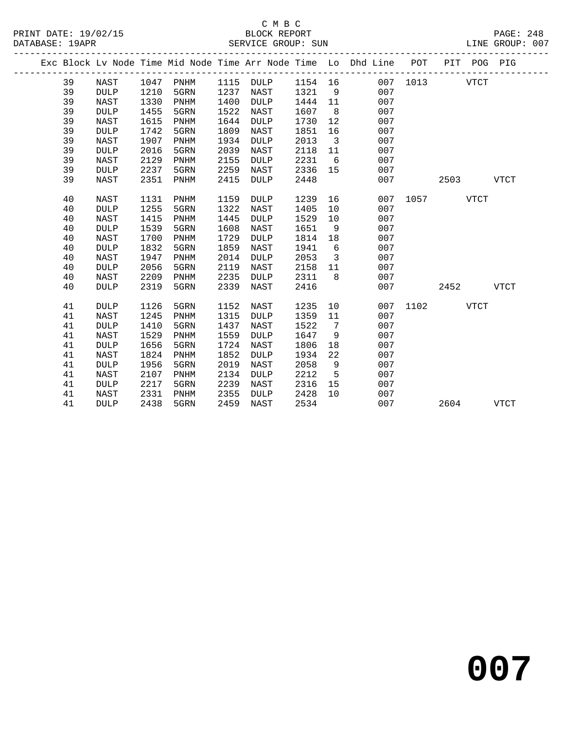|  |    |             |      |      |      |             |      |    | Exc Block Lv Node Time Mid Node Time Arr Node Time Lo Dhd Line | POT  | PIT  | POG PIG     |             |
|--|----|-------------|------|------|------|-------------|------|----|----------------------------------------------------------------|------|------|-------------|-------------|
|  | 39 | NAST        | 1047 | PNHM | 1115 | <b>DULP</b> | 1154 | 16 | 007                                                            | 1013 |      | <b>VTCT</b> |             |
|  | 39 | <b>DULP</b> | 1210 | 5GRN | 1237 | NAST        | 1321 | 9  | 007                                                            |      |      |             |             |
|  | 39 | <b>NAST</b> | 1330 | PNHM | 1400 | <b>DULP</b> | 1444 | 11 | 007                                                            |      |      |             |             |
|  | 39 | <b>DULP</b> | 1455 | 5GRN | 1522 | NAST        | 1607 | 8  | 007                                                            |      |      |             |             |
|  | 39 | <b>NAST</b> | 1615 | PNHM | 1644 | <b>DULP</b> | 1730 | 12 | 007                                                            |      |      |             |             |
|  | 39 | <b>DULP</b> | 1742 | 5GRN | 1809 | NAST        | 1851 | 16 | 007                                                            |      |      |             |             |
|  | 39 | <b>NAST</b> | 1907 | PNHM | 1934 | <b>DULP</b> | 2013 | 3  | 007                                                            |      |      |             |             |
|  | 39 | <b>DULP</b> | 2016 | 5GRN | 2039 | NAST        | 2118 | 11 | 007                                                            |      |      |             |             |
|  | 39 | <b>NAST</b> | 2129 | PNHM | 2155 | <b>DULP</b> | 2231 | 6  | 007                                                            |      |      |             |             |
|  | 39 | DULP        | 2237 | 5GRN | 2259 | NAST        | 2336 | 15 | 007                                                            |      |      |             |             |
|  | 39 | <b>NAST</b> | 2351 | PNHM | 2415 | <b>DULP</b> | 2448 |    | 007                                                            |      | 2503 |             | <b>VTCT</b> |
|  | 40 | <b>NAST</b> | 1131 | PNHM | 1159 | <b>DULP</b> | 1239 | 16 | 007                                                            | 1057 |      | <b>VTCT</b> |             |
|  | 40 | <b>DULP</b> | 1255 | 5GRN | 1322 | NAST        | 1405 | 10 | 007                                                            |      |      |             |             |
|  | 40 | <b>NAST</b> | 1415 | PNHM | 1445 | <b>DULP</b> | 1529 | 10 | 007                                                            |      |      |             |             |
|  | 40 | <b>DULP</b> | 1539 | 5GRN | 1608 | NAST        | 1651 | 9  | 007                                                            |      |      |             |             |
|  | 40 | <b>NAST</b> | 1700 | PNHM | 1729 | <b>DULP</b> | 1814 | 18 | 007                                                            |      |      |             |             |
|  | 40 | <b>DULP</b> | 1832 | 5GRN | 1859 | NAST        | 1941 | 6  | 007                                                            |      |      |             |             |
|  | 40 | <b>NAST</b> | 1947 | PNHM | 2014 | <b>DULP</b> | 2053 | 3  | 007                                                            |      |      |             |             |
|  | 40 | <b>DULP</b> | 2056 | 5GRN | 2119 | NAST        | 2158 | 11 | 007                                                            |      |      |             |             |
|  | 40 | <b>NAST</b> | 2209 | PNHM | 2235 | <b>DULP</b> | 2311 | 8  | 007                                                            |      |      |             |             |
|  | 40 | <b>DULP</b> | 2319 | 5GRN | 2339 | NAST        | 2416 |    | 007                                                            |      | 2452 |             | <b>VTCT</b> |
|  | 41 | <b>DULP</b> | 1126 | 5GRN | 1152 | NAST        | 1235 | 10 | 007                                                            | 1102 |      | <b>VTCT</b> |             |
|  | 41 | <b>NAST</b> | 1245 | PNHM | 1315 | <b>DULP</b> | 1359 | 11 | 007                                                            |      |      |             |             |
|  | 41 | DULP        | 1410 | 5GRN | 1437 | NAST        | 1522 | 7  | 007                                                            |      |      |             |             |
|  | 41 | <b>NAST</b> | 1529 | PNHM | 1559 | <b>DULP</b> | 1647 | 9  | 007                                                            |      |      |             |             |
|  | 41 | <b>DULP</b> | 1656 | 5GRN | 1724 | NAST        | 1806 | 18 | 007                                                            |      |      |             |             |
|  | 41 | NAST        | 1824 | PNHM | 1852 | <b>DULP</b> | 1934 | 22 | 007                                                            |      |      |             |             |
|  | 41 | <b>DULP</b> | 1956 | 5GRN | 2019 | NAST        | 2058 | 9  | 007                                                            |      |      |             |             |
|  | 41 | NAST        | 2107 | PNHM | 2134 | <b>DULP</b> | 2212 | 5  | 007                                                            |      |      |             |             |
|  | 41 | <b>DULP</b> | 2217 | 5GRN | 2239 | NAST        | 2316 | 15 | 007                                                            |      |      |             |             |
|  | 41 | NAST        | 2331 | PNHM | 2355 | <b>DULP</b> | 2428 | 10 | 007                                                            |      |      |             |             |
|  | 41 | <b>DULP</b> | 2438 | 5GRN | 2459 | NAST        | 2534 |    | 007                                                            |      | 2604 |             | <b>VTCT</b> |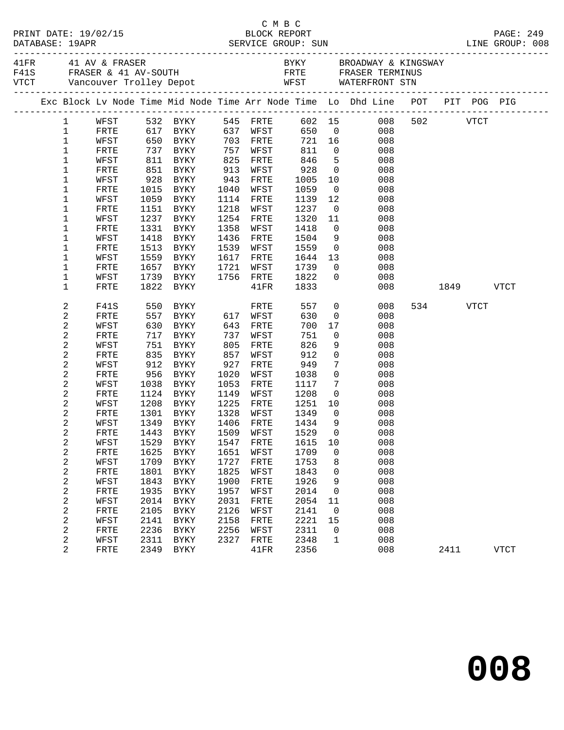|              |               |            |                                  |      |                 |      |                 | PAGE: 249<br>LINE GROUP: 008                                                   |          |      |             |  |
|--------------|---------------|------------|----------------------------------|------|-----------------|------|-----------------|--------------------------------------------------------------------------------|----------|------|-------------|--|
|              |               |            |                                  |      |                 |      |                 |                                                                                |          |      |             |  |
|              |               |            |                                  |      |                 |      |                 | Exc Block Lv Node Time Mid Node Time Arr Node Time Lo Dhd Line POT PIT POG PIG |          |      |             |  |
| $\mathbf{1}$ | WFST 532 BYKY |            |                                  |      |                 |      |                 | 545 FRTE 602 15 008                                                            | 502 VTCT |      |             |  |
| $\mathbf{1}$ | FRTE          |            | 617 BYKY                         |      | 637 WFST        |      |                 | 650 0<br>008                                                                   |          |      |             |  |
| $\mathbf{1}$ | WFST          |            |                                  |      | 703 FRTE        | 721  |                 | 16<br>008                                                                      |          |      |             |  |
| $1\,$        | FRTE          |            | 650 BYKY<br>737 BYKY<br>811 BYKY |      | 757 WFST        | 811  | $\overline{0}$  | 008                                                                            |          |      |             |  |
| 1            | WFST          |            |                                  | 825  | FRTE            | 846  | 5 <sub>5</sub>  | 008                                                                            |          |      |             |  |
| 1            | FRTE          |            | 851 BYKY                         | 913  | WFST            | 928  | $\overline{0}$  | 008                                                                            |          |      |             |  |
| $\mathbf 1$  | WFST          | 928        | <b>BYKY</b>                      | 943  | FRTE            | 1005 | 10              | 008                                                                            |          |      |             |  |
| 1            | FRTE          | 1015       | BYKY                             | 1040 | WFST            | 1059 | $\overline{0}$  | 008                                                                            |          |      |             |  |
| $\mathbf 1$  | WFST          |            | 1059 BYKY                        | 1114 | FRTE            | 1139 | 12              | 008                                                                            |          |      |             |  |
| 1            | FRTE          |            | 1151 BYKY                        | 1218 | WFST            | 1237 | $\overline{0}$  | 008                                                                            |          |      |             |  |
| $\mathbf 1$  | WFST          | 1237       | BYKY                             | 1254 | FRTE            | 1320 | 11              | 008                                                                            |          |      |             |  |
| 1            | FRTE          | 1331       | BYKY                             | 1358 | WFST            | 1418 | $\overline{0}$  | 008                                                                            |          |      |             |  |
| $\mathbf 1$  | WFST          |            | 1418 BYKY                        | 1436 | FRTE            | 1504 | 9               | 008                                                                            |          |      |             |  |
| $\mathbf 1$  | FRTE          | 1513       | BYKY                             | 1539 | WFST            | 1559 | $\overline{0}$  | 008                                                                            |          |      |             |  |
| 1            | WFST          | 1559       | BYKY                             | 1617 | FRTE            | 1644 | 13              | 008                                                                            |          |      |             |  |
| 1            | FRTE          | 1657       | BYKY                             | 1721 | WFST            | 1739 | $\overline{0}$  | 008                                                                            |          |      |             |  |
| $\mathbf 1$  | WFST          | 1739       | BYKY                             |      | 1756 FRTE       | 1822 | $\overline{0}$  | 008                                                                            |          |      |             |  |
| $\mathbf 1$  | FRTE          |            | 1822 BYKY                        |      | $41\mathrm{FR}$ | 1833 |                 | 008                                                                            | 1849     |      | <b>VTCT</b> |  |
| 2            | F41S          | 550        | BYKY                             |      | FRTE            | 557  | $\overline{0}$  | 008                                                                            | 534      | VTCT |             |  |
| 2            | FRTE          |            | 557 BYKY                         |      | 617 WFST        | 630  | $\overline{0}$  | 008                                                                            |          |      |             |  |
| 2            | WFST          |            | 630 BYKY                         | 643  | FRTE            | 700  | 17              | 008                                                                            |          |      |             |  |
| 2            | FRTE          | 717        | BYKY                             | 737  | WFST            | 751  | $\overline{0}$  | 008                                                                            |          |      |             |  |
| 2            | WFST          | 751<br>835 | BYKY                             | 805  | FRTE            | 826  | 9               | 008                                                                            |          |      |             |  |
| 2            | ${\tt FRTE}$  |            | BYKY                             | 857  | WFST            | 912  | $\overline{0}$  | 008                                                                            |          |      |             |  |
| 2            | WFST          |            | 912 BYKY                         | 927  | FRTE            | 949  | $7\phantom{.0}$ | 008                                                                            |          |      |             |  |
| 2            | FRTE          | 956        | BYKY                             | 1020 | WFST            | 1038 | $\mathsf{O}$    | 008                                                                            |          |      |             |  |
| 2            | WFST          | 1038       | BYKY                             | 1053 | FRTE            | 1117 | $7\phantom{.0}$ | 008                                                                            |          |      |             |  |
| 2            | FRTE          |            | 1124 BYKY                        | 1149 | WFST            | 1208 | $\overline{0}$  | 008                                                                            |          |      |             |  |
| 2            | WFST          | 1208       | BYKY                             | 1225 | FRTE            | 1251 |                 | 10<br>008                                                                      |          |      |             |  |
| 2            | FRTE          |            | 1301 BYKY                        | 1328 | WFST            | 1349 | $\overline{0}$  | 008                                                                            |          |      |             |  |
| 2            | WFST          | 1349       | <b>BYKY</b>                      | 1406 | FRTE            | 1434 | 9               | 008                                                                            |          |      |             |  |
| 2            | FRTE          |            | 1443 BYKY                        |      | 1509 WFST       | 1529 | $\overline{0}$  | 008                                                                            |          |      |             |  |
| 2            | WFST          |            |                                  |      |                 |      |                 | 1529 BYKY 1547 FRTE 1615 10 008                                                |          |      |             |  |
| 2            | FRTE          | 1625       | BYKY                             | 1651 | WFST            | 1709 | 0               | 008                                                                            |          |      |             |  |
| 2            | WFST          | 1709       | BYKY                             | 1727 | FRTE            | 1753 | 8               | 008                                                                            |          |      |             |  |
| 2            | FRTE          | 1801       | BYKY                             | 1825 | WFST            | 1843 | 0               | 008                                                                            |          |      |             |  |
| 2            | WFST          | 1843       | BYKY                             | 1900 | FRTE            | 1926 | 9               | 008                                                                            |          |      |             |  |
| 2            | FRTE          | 1935       | BYKY                             | 1957 | WFST            | 2014 | 0               | 008                                                                            |          |      |             |  |
| 2            | WFST          | 2014       | BYKY                             | 2031 | FRTE            | 2054 | 11              | 008                                                                            |          |      |             |  |
| 2            | FRTE          | 2105       | BYKY                             | 2126 | WFST            | 2141 | $\mathsf{O}$    | 008                                                                            |          |      |             |  |
| 2            | WFST          | 2141       | BYKY                             | 2158 | FRTE            | 2221 | 15              | 008                                                                            |          |      |             |  |
| 2            | FRTE          | 2236       | BYKY                             | 2256 | WFST            | 2311 | 0               | 008                                                                            |          |      |             |  |
| 2            | WFST          | 2311       | <b>BYKY</b>                      | 2327 | FRTE            | 2348 | $\mathbf{1}$    | 008                                                                            |          |      |             |  |
| 2            | FRTE          | 2349       | <b>BYKY</b>                      |      | 41FR            | 2356 |                 | 008                                                                            | 2411     |      | <b>VTCT</b> |  |

C M B C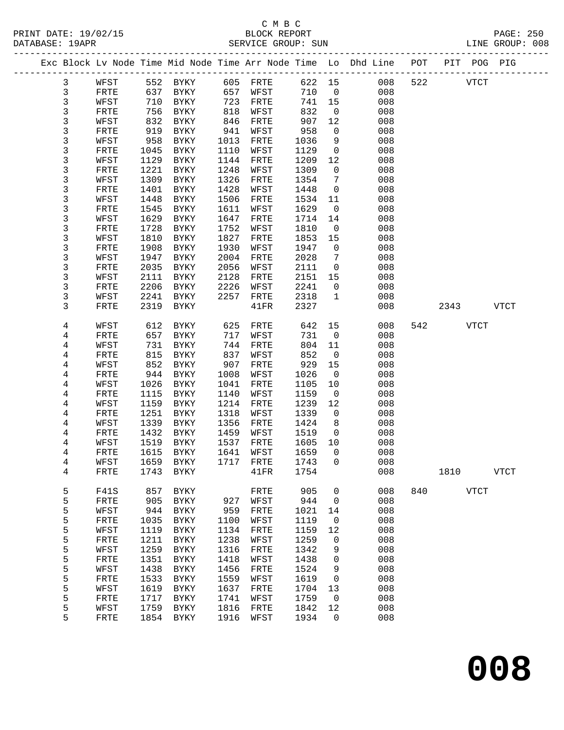#### C M B C<br>BLOCK REPORT PRINT DATE: 19/02/15 BLOCK REPORT BATABASE: 19APR

PAGE: 250<br>LINE GROUP: 008

|  |        |              |              |                              |              |                      |              |                    | Exc Block Lv Node Time Mid Node Time Arr Node Time Lo Dhd Line POT<br>_______________________________ |     |      | PIT POG PIG  |             |
|--|--------|--------------|--------------|------------------------------|--------------|----------------------|--------------|--------------------|-------------------------------------------------------------------------------------------------------|-----|------|--------------|-------------|
|  | 3      | WFST         | 552          | BYKY                         | 605          | FRTE                 | 622 15       |                    | 008                                                                                                   | 522 |      | <b>VTCT</b>  |             |
|  | 3      | FRTE         | 637          | BYKY                         | 657          | WFST                 | 710          | $\overline{0}$     | 008                                                                                                   |     |      |              |             |
|  | 3      | WFST         | 710          | BYKY                         | 723          | FRTE                 | 741          | 15                 | 008                                                                                                   |     |      |              |             |
|  | 3      | FRTE         | 756          | BYKY                         | 818          | WFST                 | 832          | $\overline{0}$     | 008                                                                                                   |     |      |              |             |
|  | 3      | WFST         | 832          | BYKY                         | 846          | FRTE                 | 907          | 12                 | 008                                                                                                   |     |      |              |             |
|  | 3      | FRTE         | 919          | BYKY                         | 941          | WFST                 | 958          | $\mathbf 0$        | 008                                                                                                   |     |      |              |             |
|  | 3      | WFST         | 958          | BYKY                         | 1013         | FRTE                 | 1036         | 9                  | 008                                                                                                   |     |      |              |             |
|  | 3      | FRTE         | 1045         | BYKY                         | 1110         | WFST                 | 1129         | $\mathbf 0$        | 008                                                                                                   |     |      |              |             |
|  | 3      | WFST         | 1129         | BYKY                         | 1144         | FRTE                 | 1209         | 12                 | 008                                                                                                   |     |      |              |             |
|  | 3      | FRTE         | 1221         | BYKY                         | 1248         | WFST                 | 1309         | $\mathbf 0$        | 008                                                                                                   |     |      |              |             |
|  | 3      | WFST         | 1309         | BYKY                         | 1326         | FRTE                 | 1354         | 7                  | 008                                                                                                   |     |      |              |             |
|  | 3      | FRTE         | 1401         | BYKY                         | 1428         | WFST                 | 1448         | $\mathbf 0$        | 008                                                                                                   |     |      |              |             |
|  | 3<br>3 | WFST<br>FRTE | 1448<br>1545 | BYKY<br>BYKY                 | 1506<br>1611 | ${\tt FRTE}$<br>WFST | 1534<br>1629 | 11<br>$\mathsf{O}$ | 008<br>008                                                                                            |     |      |              |             |
|  | 3      | WFST         | 1629         | BYKY                         | 1647         | FRTE                 | 1714         | 14                 | 008                                                                                                   |     |      |              |             |
|  | 3      | FRTE         | 1728         | BYKY                         | 1752         | WFST                 | 1810         | $\overline{0}$     | 008                                                                                                   |     |      |              |             |
|  | 3      | WFST         | 1810         | BYKY                         | 1827         | FRTE                 | 1853         | 15                 | 008                                                                                                   |     |      |              |             |
|  | 3      | FRTE         | 1908         | BYKY                         | 1930         | WFST                 | 1947         | $\mathbf 0$        | 008                                                                                                   |     |      |              |             |
|  | 3      | WFST         | 1947         | BYKY                         | 2004         | FRTE                 | 2028         | 7                  | 008                                                                                                   |     |      |              |             |
|  | 3      | FRTE         | 2035         | <b>BYKY</b>                  | 2056         | WFST                 | 2111         | $\mathsf{O}$       | 008                                                                                                   |     |      |              |             |
|  | 3      | WFST         | 2111         | BYKY                         | 2128         | FRTE                 | 2151         | 15                 | 008                                                                                                   |     |      |              |             |
|  | 3      | FRTE         | 2206         | BYKY                         | 2226         | WFST                 | 2241         | $\mathbf 0$        | 008                                                                                                   |     |      |              |             |
|  | 3      | WFST         | 2241         | BYKY                         | 2257         | FRTE                 | 2318         | $\mathbf 1$        | 008                                                                                                   |     |      |              |             |
|  | 3      | FRTE         | 2319         | BYKY                         |              | 41FR                 | 2327         |                    | 008                                                                                                   |     | 2343 |              | <b>VTCT</b> |
|  |        |              |              |                              |              |                      |              |                    |                                                                                                       |     |      |              |             |
|  | 4      | WFST         | 612          | BYKY                         | 625          | FRTE                 | 642          | 15                 | 008                                                                                                   | 542 |      | VTCT         |             |
|  | 4<br>4 | FRTE<br>WFST | 657<br>731   | BYKY<br>BYKY                 | 717<br>744   | WFST<br>FRTE         | 731<br>804   | $\mathbf 0$<br>11  | 008<br>008                                                                                            |     |      |              |             |
|  | 4      | FRTE         | 815          | BYKY                         | 837          | WFST                 | 852          | $\overline{0}$     | 008                                                                                                   |     |      |              |             |
|  | 4      | WFST         | 852          | BYKY                         | 907          | FRTE                 | 929          | 15                 | 008                                                                                                   |     |      |              |             |
|  | 4      | FRTE         | 944          | BYKY                         | 1008         | WFST                 | 1026         | $\overline{0}$     | 008                                                                                                   |     |      |              |             |
|  | 4      | WFST         | 1026         | BYKY                         | 1041         | FRTE                 | 1105         | 10                 | 008                                                                                                   |     |      |              |             |
|  | 4      | FRTE         | 1115         | BYKY                         | 1140         | WFST                 | 1159         | $\overline{0}$     | 008                                                                                                   |     |      |              |             |
|  | 4      | WFST         | 1159         | BYKY                         | 1214         | FRTE                 | 1239         | 12                 | 008                                                                                                   |     |      |              |             |
|  | 4      | FRTE         | 1251         | BYKY                         | 1318         | WFST                 | 1339         | $\mathbf 0$        | 008                                                                                                   |     |      |              |             |
|  | 4      | WFST         | 1339         | <b>BYKY</b>                  | 1356         | ${\tt FRTE}$         | 1424         | 8                  | 008                                                                                                   |     |      |              |             |
|  | 4      | FRTE         | 1432         | BYKY                         | 1459         | WFST                 | 1519         | $\mathsf{O}$       | 008                                                                                                   |     |      |              |             |
|  | 4      | WFST         | 1519         | BYKY                         | 1537         | FRTE                 | 1605         | 10                 | 008                                                                                                   |     |      |              |             |
|  | 4      | FRTE         | 1615         | BYKY                         | 1641         | WFST                 | 1659         | $\Omega$           | 008                                                                                                   |     |      |              |             |
|  | 4      | WFST         | 1659         | BYKY                         | 1717         | FRTE                 | 1743         | 0                  | 008                                                                                                   |     |      |              |             |
|  | 4      | FRTE         | 1743         | <b>BYKY</b>                  |              | 41FR                 | 1754         |                    | 008                                                                                                   |     | 1810 |              | <b>VTCT</b> |
|  | 5      | F41S         | 857          | BYKY                         |              | FRTE                 | 905          | 0                  | 008                                                                                                   | 840 |      | ${\tt VTCT}$ |             |
|  | 5      | FRTE         | 905          | ${\tt BYKY}$                 | 927          | WFST                 | 944          | 0                  | 008                                                                                                   |     |      |              |             |
|  | 5      | WFST         | 944          | <b>BYKY</b>                  | 959          | FRTE                 | 1021         | 14                 | 008                                                                                                   |     |      |              |             |
|  | 5      | FRTE         | 1035         | ${\tt BYKY}$                 | 1100         | WFST                 | 1119         | 0                  | 008                                                                                                   |     |      |              |             |
|  | 5      | WFST         | 1119         | <b>BYKY</b>                  | 1134         | FRTE                 | 1159         | 12                 | 008                                                                                                   |     |      |              |             |
|  | 5      | ${\tt FRTE}$ | 1211         | ${\tt BYKY}$                 | 1238         | WFST                 | 1259         | 0                  | 008                                                                                                   |     |      |              |             |
|  | 5      | WFST         | 1259         | ${\tt BYKY}$                 | 1316         | FRTE                 | 1342         | 9                  | 008                                                                                                   |     |      |              |             |
|  | 5      | ${\tt FRTE}$ | 1351         | ${\tt BYKY}$                 | 1418         | WFST                 | 1438         | 0                  | 008                                                                                                   |     |      |              |             |
|  | 5      | WFST         | 1438         | BYKY                         | 1456         | FRTE                 | 1524         | 9                  | 008                                                                                                   |     |      |              |             |
|  | 5      | FRTE         | 1533         | ${\tt BYKY}$                 | 1559         | WFST                 | 1619         | 0                  | 008                                                                                                   |     |      |              |             |
|  | 5      | WFST         | 1619         | ${\tt BYKY}$                 | 1637         | FRTE                 | 1704         | 13                 | 008                                                                                                   |     |      |              |             |
|  | 5      | FRTE         | 1717         | ${\tt BYKY}$                 | 1741<br>1816 | WFST                 | 1759<br>1842 | 0                  | 008<br>008                                                                                            |     |      |              |             |
|  | 5<br>5 | WFST<br>FRTE | 1759<br>1854 | ${\tt BYKY}$<br>${\tt BYKY}$ | 1916         | ${\tt FRTE}$<br>WFST | 1934         | 12<br>0            | 008                                                                                                   |     |      |              |             |
|  |        |              |              |                              |              |                      |              |                    |                                                                                                       |     |      |              |             |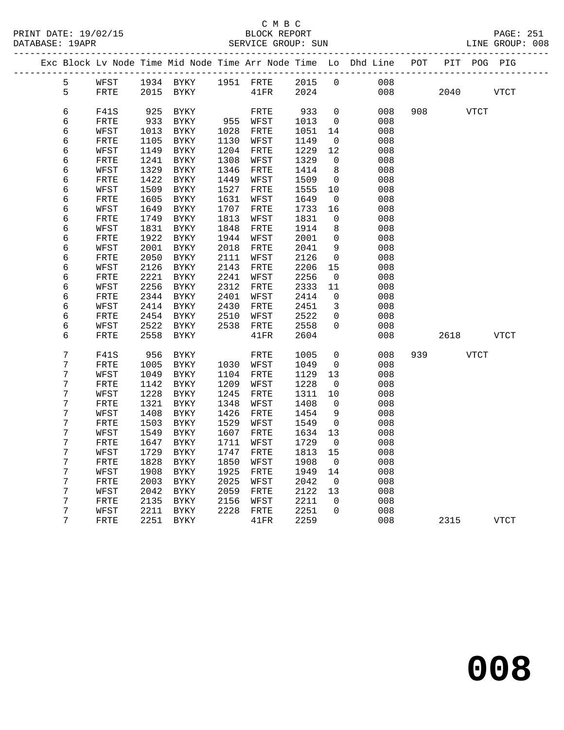|  |                |              |              |                     |              |              |              |                   | Exc Block Lv Node Time Mid Node Time Arr Node Time Lo Dhd Line POT |     |      |             | PIT POG PIG |
|--|----------------|--------------|--------------|---------------------|--------------|--------------|--------------|-------------------|--------------------------------------------------------------------|-----|------|-------------|-------------|
|  | 5              | WFST         |              | 1934 BYKY 1951 FRTE |              |              | 2015         | $\overline{0}$    | 008                                                                |     |      |             |             |
|  | 5              | FRTE         | 2015         | BYKY                |              | 41FR         | 2024         |                   | 008                                                                |     | 2040 |             | <b>VTCT</b> |
|  |                |              |              |                     |              |              |              |                   |                                                                    |     |      |             |             |
|  | 6              | F41S         | 925          | BYKY                |              | FRTE         | 933          | $\mathbf 0$       | 008                                                                | 908 |      | <b>VTCT</b> |             |
|  | 6              | FRTE         | 933          | <b>BYKY</b>         |              | 955 WFST     | 1013         | $\overline{0}$    | 008                                                                |     |      |             |             |
|  | 6              | WFST         | 1013         | BYKY                | 1028         | FRTE         | 1051         | 14                | 008                                                                |     |      |             |             |
|  | 6              | FRTE         | 1105         | BYKY                | 1130         | WFST         | 1149         | 0                 | 008                                                                |     |      |             |             |
|  | 6<br>6         | WFST<br>FRTE | 1149<br>1241 | BYKY<br>BYKY        | 1204<br>1308 | FRTE<br>WFST | 1229<br>1329 | 12<br>$\Omega$    | 008<br>008                                                         |     |      |             |             |
|  | б              | WFST         | 1329         | $\rm BYKY$          | 1346         | FRTE         | 1414         | 8                 | 008                                                                |     |      |             |             |
|  | 6              | FRTE         | 1422         | BYKY                | 1449         | WFST         | 1509         | $\mathbf 0$       | 008                                                                |     |      |             |             |
|  | 6              | WFST         | 1509         | <b>BYKY</b>         | 1527         | FRTE         | 1555         | 10                | 008                                                                |     |      |             |             |
|  | 6              | FRTE         | 1605         | BYKY                | 1631         | WFST         | 1649         | 0                 | 008                                                                |     |      |             |             |
|  | 6              | WFST         | 1649         | BYKY                | 1707         | FRTE         | 1733         | 16                | 008                                                                |     |      |             |             |
|  | 6              | FRTE         | 1749         | BYKY                | 1813         | WFST         | 1831         | 0                 | 008                                                                |     |      |             |             |
|  | б              | WFST         | 1831         | BYKY                | 1848         | FRTE         | 1914         | 8                 | 008                                                                |     |      |             |             |
|  | 6              | FRTE         | 1922         | BYKY                | 1944         | WFST         | 2001         | 0                 | 008                                                                |     |      |             |             |
|  | 6              | WFST         | 2001         | BYKY                | 2018         | FRTE         | 2041         | 9                 | 008                                                                |     |      |             |             |
|  | 6              | FRTE         | 2050         | BYKY                | 2111         | WFST         | 2126         | $\mathbf 0$       | 008                                                                |     |      |             |             |
|  | 6              | WFST         | 2126         | BYKY                | 2143         | FRTE         | 2206         | 15                | 008                                                                |     |      |             |             |
|  | 6              | FRTE         | 2221         | BYKY                | 2241         | WFST         | 2256         | 0                 | 008                                                                |     |      |             |             |
|  | 6              | WFST         | 2256         | BYKY                | 2312         | FRTE         | 2333         | 11                | 008                                                                |     |      |             |             |
|  | 6              | FRTE         | 2344         | BYKY                | 2401         | WFST         | 2414         | 0                 | 008                                                                |     |      |             |             |
|  | 6              | WFST         | 2414<br>2454 | BYKY                | 2430         | FRTE         | 2451         | 3                 | 008                                                                |     |      |             |             |
|  | 6<br>6         | FRTE<br>WFST | 2522         | BYKY<br>BYKY        | 2510<br>2538 | WFST<br>FRTE | 2522<br>2558 | 0<br>$\Omega$     | 008<br>008                                                         |     |      |             |             |
|  | 6              | FRTE         | 2558         | BYKY                |              | 41FR         | 2604         |                   | 008                                                                |     | 2618 |             | VTCT        |
|  |                |              |              |                     |              |              |              |                   |                                                                    |     |      |             |             |
|  | $\overline{7}$ | F41S         | 956          | BYKY                |              | FRTE         | 1005         | $\overline{0}$    | 008                                                                | 939 |      | VTCT        |             |
|  | 7              | FRTE         | 1005         | BYKY                | 1030         | WFST         | 1049         | 0                 | 008                                                                |     |      |             |             |
|  | 7              | WFST         | 1049         | BYKY                | 1104         | FRTE         | 1129         | 13                | 008                                                                |     |      |             |             |
|  | 7<br>7         | FRTE         | 1142         | BYKY                | 1209         | WFST         | 1228         | $\overline{0}$    | 008                                                                |     |      |             |             |
|  | 7              | WFST<br>FRTE | 1228<br>1321 | BYKY<br>BYKY        | 1245<br>1348 | FRTE<br>WFST | 1311<br>1408 | 10<br>$\mathbf 0$ | 008<br>008                                                         |     |      |             |             |
|  | 7              | WFST         | 1408         | BYKY                | 1426         | FRTE         | 1454         | 9                 | 008                                                                |     |      |             |             |
|  | 7              | FRTE         | 1503         | BYKY                | 1529         | WFST         | 1549         | $\mathbf 0$       | 008                                                                |     |      |             |             |
|  | 7              | WFST         | 1549         | BYKY                | 1607         | FRTE         | 1634         | 13                | 008                                                                |     |      |             |             |
|  | 7              | FRTE         | 1647         | <b>BYKY</b>         | 1711         | WFST         | 1729         | $\overline{0}$    | 008                                                                |     |      |             |             |
|  | 7              | WFST         | 1729         | <b>BYKY</b>         | 1747         | FRTE         | 1813         | 15                | 008                                                                |     |      |             |             |
|  | 7              | FRTE         | 1828         | BYKY                | 1850         | WFST         | 1908         | 0                 | 008                                                                |     |      |             |             |
|  | 7              | WFST         | 1908         | BYKY                | 1925         | FRTE         | 1949         | 14                | 008                                                                |     |      |             |             |
|  | 7              | FRTE         | 2003         | BYKY                | 2025         | WFST         | 2042         | 0                 | 008                                                                |     |      |             |             |
|  | 7              | WFST         | 2042         | BYKY                | 2059         | FRTE         | 2122         | 13                | 008                                                                |     |      |             |             |
|  | 7              | FRTE         | 2135         | BYKY                | 2156         | WFST         | 2211         | $\mathbf 0$       | 008                                                                |     |      |             |             |
|  | 7              | WFST         | 2211         | BYKY                | 2228         | FRTE         | 2251         | $\mathbf 0$       | 008                                                                |     |      |             |             |
|  | 7              | FRTE         | 2251         | BYKY                |              | 41FR         | 2259         |                   | 008                                                                |     | 2315 |             | VTCT        |
|  |                |              |              |                     |              |              |              |                   |                                                                    |     |      |             |             |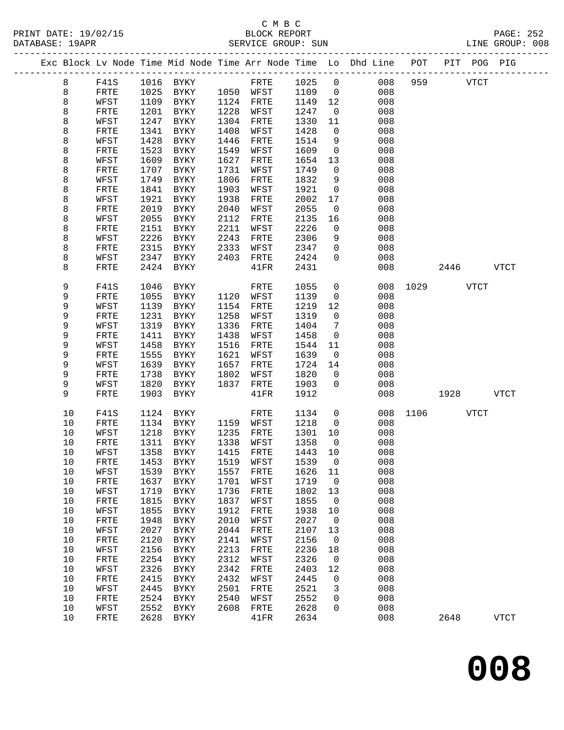|  |      |              |      |                     |      |           |        |                | Exc Block Lv Node Time Mid Node Time Arr Node Time Lo Dhd Line POT |      |           | PIT POG PIG |             |
|--|------|--------------|------|---------------------|------|-----------|--------|----------------|--------------------------------------------------------------------|------|-----------|-------------|-------------|
|  | 8    | F41S         |      | 1016 BYKY           |      | FRTE      | 1025   | $\overline{0}$ | 008                                                                | 959  |           | <b>VTCT</b> |             |
|  | 8    | FRTE         | 1025 | BYKY                |      | 1050 WFST | 1109   | $\overline{0}$ | 008                                                                |      |           |             |             |
|  | 8    | WFST         | 1109 | BYKY                | 1124 | FRTE      | 1149   | 12             | 008                                                                |      |           |             |             |
|  | 8    | FRTE         | 1201 | BYKY                | 1228 | WFST      | 1247   | $\overline{0}$ | 008                                                                |      |           |             |             |
|  | 8    | WFST         | 1247 | BYKY                | 1304 | FRTE      | 1330   | 11             | 008                                                                |      |           |             |             |
|  | 8    | FRTE         | 1341 | BYKY                | 1408 | WFST      | 1428   | $\mathbf 0$    | 008                                                                |      |           |             |             |
|  | 8    | WFST         | 1428 | BYKY                | 1446 | FRTE      | 1514   | 9              | 008                                                                |      |           |             |             |
|  | 8    | FRTE         | 1523 | BYKY                | 1549 | WFST      | 1609   | $\mathbf 0$    | 008                                                                |      |           |             |             |
|  | 8    | WFST         | 1609 | BYKY                | 1627 | FRTE      | 1654   | 13             | 008                                                                |      |           |             |             |
|  | 8    | FRTE         | 1707 | BYKY                | 1731 | WFST      | 1749   | $\mathbf{0}$   | 008                                                                |      |           |             |             |
|  | 8    | WFST         | 1749 | BYKY                | 1806 | FRTE      | 1832   | 9              | 008                                                                |      |           |             |             |
|  | 8    | FRTE         | 1841 | BYKY                | 1903 | WFST      | 1921   | $\overline{0}$ | 008                                                                |      |           |             |             |
|  | 8    | WFST         | 1921 | BYKY                | 1938 | FRTE      | 2002   | 17             | 008                                                                |      |           |             |             |
|  | 8    | FRTE         | 2019 | BYKY                | 2040 | WFST      | 2055   | 0              | 008                                                                |      |           |             |             |
|  | 8    | WFST         | 2055 | BYKY                | 2112 | FRTE      | 2135   | 16             | 008                                                                |      |           |             |             |
|  | 8    | FRTE         | 2151 | BYKY                | 2211 | WFST      | 2226   | $\mathbf 0$    | 008                                                                |      |           |             |             |
|  | 8    | WFST         | 2226 | BYKY                | 2243 | FRTE      | 2306   | 9              | 008                                                                |      |           |             |             |
|  | 8    | FRTE         | 2315 | BYKY                | 2333 | WFST      | 2347   | $\mathbf 0$    | 008                                                                |      |           |             |             |
|  | 8    | WFST         | 2347 | BYKY                | 2403 | FRTE      | 2424   | $\mathbf 0$    | 008                                                                |      |           |             |             |
|  | 8    | FRTE         | 2424 | BYKY                |      | 41FR      | 2431   |                | 008                                                                |      | 2446      |             | <b>VTCT</b> |
|  |      |              |      |                     |      |           |        |                |                                                                    |      |           |             |             |
|  | 9    | <b>F41S</b>  | 1046 | BYKY                |      | FRTE      | 1055   | $\mathbf 0$    | 008                                                                |      | 1029 VTCT |             |             |
|  | 9    | FRTE         | 1055 | BYKY                | 1120 | WFST      | 1139   | $\mathsf{O}$   | 008                                                                |      |           |             |             |
|  | 9    | WFST         | 1139 | BYKY                | 1154 | FRTE      | 1219   | 12             | 008                                                                |      |           |             |             |
|  | 9    | FRTE         | 1231 | BYKY                | 1258 | WFST      | 1319   | $\mathbf 0$    | 008                                                                |      |           |             |             |
|  | 9    | WFST         | 1319 | BYKY                | 1336 | FRTE      | 1404   | 7              | 008                                                                |      |           |             |             |
|  | 9    | FRTE         | 1411 | BYKY                | 1438 | WFST      | 1458   | $\mathbf 0$    | 008                                                                |      |           |             |             |
|  | 9    | WFST         | 1458 | BYKY                | 1516 | FRTE      | 1544   | 11             | 008                                                                |      |           |             |             |
|  | 9    | FRTE         | 1555 | BYKY                | 1621 | WFST      | 1639   | 0              | 008                                                                |      |           |             |             |
|  | 9    | WFST         | 1639 | BYKY                | 1657 | FRTE      | 1724   | 14             | 008                                                                |      |           |             |             |
|  | 9    | FRTE         | 1738 | BYKY                | 1802 | WFST      | 1820   | $\mathbf{0}$   | 008                                                                |      |           |             |             |
|  | 9    | WFST         | 1820 | BYKY                | 1837 | FRTE      | 1903   | $\mathbf 0$    | 008                                                                |      |           |             |             |
|  | 9    | FRTE         | 1903 | BYKY                |      | 41FR      | 1912   |                | 008                                                                |      | 1928      |             | <b>VTCT</b> |
|  | 10   | F41S         | 1124 | BYKY                |      | FRTE      | 1134   | $\mathsf{O}$   | 008                                                                | 1106 |           | VTCT        |             |
|  | 10   | FRTE         | 1134 | BYKY                |      | 1159 WFST | 1218   | $\mathsf{O}$   | 008                                                                |      |           |             |             |
|  | 10   | WFST         | 1218 | BYKY                | 1235 | FRTE      | 1301   | 10             | 008                                                                |      |           |             |             |
|  | 10   | FRTE         | 1311 | BYKY                | 1338 | WFST      | 1358   | $\overline{0}$ | 008                                                                |      |           |             |             |
|  | 10   | WFST         | 1358 | BYKY                |      | 1415 FRTE | 1443   | 10             | 008                                                                |      |           |             |             |
|  | 10   | ${\tt FRTE}$ |      | 1453 BYKY 1519 WFST |      |           | 1539 0 |                | 008                                                                |      |           |             |             |
|  | 10   | WFST         | 1539 | BYKY                | 1557 | FRTE      | 1626   | 11             | 008                                                                |      |           |             |             |
|  | 10   | FRTE         | 1637 | BYKY                | 1701 | WFST      | 1719   | 0              | 008                                                                |      |           |             |             |
|  | 10   | WFST         | 1719 | BYKY                | 1736 | FRTE      | 1802   | 13             | 008                                                                |      |           |             |             |
|  | $10$ | FRTE         | 1815 | BYKY                | 1837 | WFST      | 1855   | $\mathbf 0$    | 008                                                                |      |           |             |             |
|  | $10$ | WFST         | 1855 | BYKY                | 1912 | FRTE      | 1938   | 10             | 008                                                                |      |           |             |             |
|  | $10$ | FRTE         | 1948 | BYKY                | 2010 | WFST      | 2027   | 0              | 008                                                                |      |           |             |             |
|  | 10   | WFST         | 2027 | BYKY                | 2044 | FRTE      | 2107   | 13             | 008                                                                |      |           |             |             |
|  | 10   | FRTE         | 2120 | BYKY                | 2141 | WFST      | 2156   | $\mathbf 0$    | 008                                                                |      |           |             |             |
|  | $10$ | WFST         | 2156 | BYKY                | 2213 | FRTE      | 2236   | 18             | 008                                                                |      |           |             |             |
|  | 10   | FRTE         | 2254 | BYKY                | 2312 | WFST      | 2326   | 0              | 008                                                                |      |           |             |             |
|  | 10   | WFST         | 2326 | <b>BYKY</b>         | 2342 | FRTE      | 2403   | 12             | 008                                                                |      |           |             |             |
|  | 10   | FRTE         | 2415 | BYKY                | 2432 | WFST      | 2445   | 0              | 008                                                                |      |           |             |             |
|  | 10   | WFST         | 2445 | BYKY                | 2501 | FRTE      | 2521   | 3              | 008                                                                |      |           |             |             |
|  | $10$ | FRTE         | 2524 | BYKY                | 2540 | WFST      | 2552   | 0              | 008                                                                |      |           |             |             |
|  | 10   | WFST         | 2552 | BYKY                | 2608 | FRTE      | 2628   | 0              | 008                                                                |      |           |             |             |
|  | 10   | FRTE         | 2628 | BYKY                |      | 41FR      | 2634   |                | 008                                                                |      | 2648      |             | <b>VTCT</b> |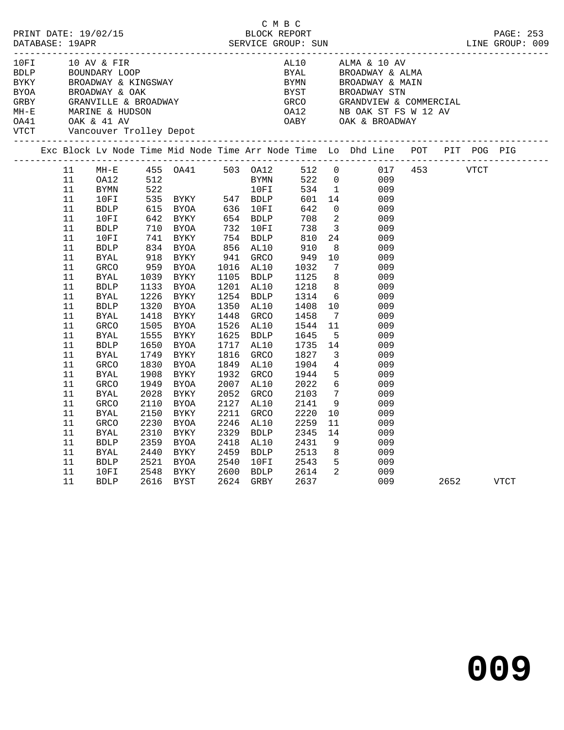| PRINT DATE: 19/02/15<br>BLOCK REPORT BLOCE SUN BLOCE SUN DATABASE: 19APR SERVICE GROUP: SUN DATABASE: 19APR DENTRIAL DESCRIPT DATE: 253                        |                                                                                                                                                                                                                                                            |                                      |                                                                                                                                                                                     |                                                                                                                              |                                                                                         | C M B C                                                                                                                                    |                                                                                    |                                                                                                                                                                                                                                                                                                                                                                                                                                                                                                                                                                                                                           |     |  |           |  |
|----------------------------------------------------------------------------------------------------------------------------------------------------------------|------------------------------------------------------------------------------------------------------------------------------------------------------------------------------------------------------------------------------------------------------------|--------------------------------------|-------------------------------------------------------------------------------------------------------------------------------------------------------------------------------------|------------------------------------------------------------------------------------------------------------------------------|-----------------------------------------------------------------------------------------|--------------------------------------------------------------------------------------------------------------------------------------------|------------------------------------------------------------------------------------|---------------------------------------------------------------------------------------------------------------------------------------------------------------------------------------------------------------------------------------------------------------------------------------------------------------------------------------------------------------------------------------------------------------------------------------------------------------------------------------------------------------------------------------------------------------------------------------------------------------------------|-----|--|-----------|--|
|                                                                                                                                                                |                                                                                                                                                                                                                                                            |                                      |                                                                                                                                                                                     |                                                                                                                              |                                                                                         |                                                                                                                                            |                                                                                    | $\begin{tabular}{lllllllllllllllllllllll} \multicolumn{2}{c}{\begin{tabular}{l} \multicolumn{2}{c}{\textbf{1.0~\textbf{N}V}} & $\textbf{1.0~\textbf{A}V}$ & $\textbf{1.0~\textbf{A}V}$ & $\textbf{1.0~\textbf{A}V}$ & $\textbf{1.0~\textbf{A}V}$ & $\textbf{1.0~\textbf{A}V}$ \\ \multicolumn{2}{c}{\begin{tabular}{l} \multicolumn{2}{c}{\textbf{1.0~\textbf{N}V}} & $\textbf{1.0~\textbf{A}V}$ & $\textbf{1.0~\textbf{A}$                                                                                                                                                                                               |     |  |           |  |
|                                                                                                                                                                |                                                                                                                                                                                                                                                            |                                      |                                                                                                                                                                                     |                                                                                                                              |                                                                                         |                                                                                                                                            |                                                                                    | Exc Block Lv Node Time Mid Node Time Arr Node Time Lo Dhd Line POT PIT POG PIG                                                                                                                                                                                                                                                                                                                                                                                                                                                                                                                                            |     |  |           |  |
| 11<br>11<br>11<br>11<br>11<br>11<br>11<br>11<br>11<br>11<br>11<br>11<br>11<br>11<br>11<br>11<br>11<br>11<br>11<br>11<br>11<br>11<br>11<br>11<br>11<br>11<br>11 | <b>BDLP</b><br>10FI<br>BDLP<br>10FI<br>BDLP<br>BYAL<br>GRCO<br><b>BYAL</b><br><b>BDLP</b><br><b>BYAL</b><br><b>BDLP</b><br>BYAL<br>GRCO<br><b>BYAL</b><br>BDLP<br><b>BYAL</b><br>GRCO<br><b>BYAL</b><br>GRCO<br><b>BYAL</b><br>GRCO<br><b>BYAL</b><br>GRCO | 1226<br>1418<br>1949<br>2110<br>2230 | 1039 BYKY<br>1133 BYOA<br>BYKY<br>1320 BYOA<br>BYKY<br>1505 BYOA<br>1555 BYKY<br>1650 BYOA<br>1749 BYKY<br>1830 BYOA<br>1908 BYKY<br>BYOA<br>2028 BYKY<br>BYOA<br>2150 BYKY<br>BYOA | 1201 AL10<br>1254 BDLP<br>1350 AL10<br>1448 GRCO<br>1526 AL10<br>1625 BDLP<br>1816 GRCO<br>1932 GRCO<br>2052<br>2127<br>2211 | $1105$ BDLP<br>1717 AL10<br>1849 AL10<br>2007 AL10<br>GRCO<br>AL10<br>GRCO<br>2246 AL10 | 1125<br>1218<br>1314<br>1408<br>1458 7<br>1544 11<br>1645 5<br>1735 14<br>$1827$<br>$1904$<br>1944<br>2022<br>2103<br>2141<br>2220<br>2259 | 8 <sup>8</sup><br>$4\overline{4}$<br>$6\overline{6}$<br>$7\overline{ }$<br>9<br>11 | MH-E 455 OA41 503 OA12 512 0 017 453 VTCT<br>OA12 512 BYMN 522 0 009<br>BYMN 522 10FI 534 1 009<br>10FI 535 BYKY 547 BDLP 601 14 009<br>535 BYA 547 BDLP 601 14 009<br>615 BYA 636 10FI 642 0 009<br>642 BYKY 654 BDLP 708 2 009<br>710 BYA 732 10FI 738 3 009<br>741 BYKY 754 BDLP 810 24 009<br>834 BYA 856 AL10 910 8 009<br>918 BYKY 941 GRCO 949 10 009<br>959 BYA 1016 AL10 1032 7 00<br>009<br>$\frac{3}{8}$<br>009<br>$\begin{array}{c} 6 \\ 10 \end{array}$<br>009<br>009<br>009<br>009<br>009<br>009<br>$\overline{\mathbf{3}}$<br>009<br>009<br>5 <sub>1</sub><br>009<br>009<br>009<br>009<br>10<br>009<br>009 |     |  |           |  |
| 11<br>11<br>11<br>11<br>11<br>11                                                                                                                               | BYAL<br><b>BDLP</b><br>BYAL<br><b>BDLP</b><br>10FI<br>BDLP 2616 BYST                                                                                                                                                                                       | 2359                                 | 2310 BYKY<br>BYOA<br>2440 BYKY<br>2521 BYOA<br>2548 BYKY                                                                                                                            | 2329 BDLP<br>2418 AL10<br>2459 BDLP<br>2540 10FI<br>2600 BDLP<br>2624 GRBY                                                   |                                                                                         | 2345<br>2431<br>2513<br>2543<br>2614<br>2637                                                                                               | 8 <sup>8</sup><br>$\overline{\phantom{a}}$                                         | 14<br>009<br>9<br>009<br>009<br>5 <sub>1</sub><br>009<br>009                                                                                                                                                                                                                                                                                                                                                                                                                                                                                                                                                              | 009 |  | 2652 VTCT |  |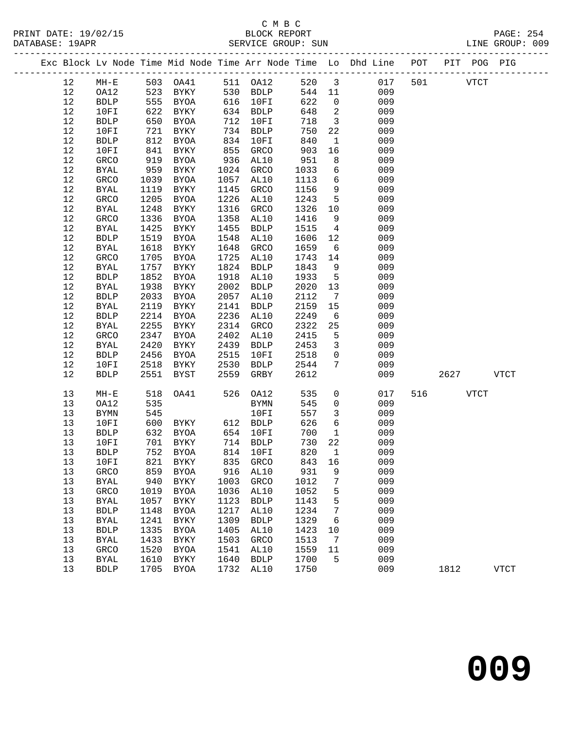### C M B C<br>BLOCK REPORT<br>CROTID: SIIN

|  | DATABASE: 19APR |             |      | SERVICE GROUP: SUN |      |             |        |                         |                                                                                |  | LINE GROUP: 009 |  |
|--|-----------------|-------------|------|--------------------|------|-------------|--------|-------------------------|--------------------------------------------------------------------------------|--|-----------------|--|
|  |                 |             |      |                    |      |             |        |                         | Exc Block Lv Node Time Mid Node Time Arr Node Time Lo Dhd Line POT PIT POG PIG |  |                 |  |
|  | 12              | $MH - E$    |      | 503 OA41           |      | 511 OA12    |        |                         | 520 3 017 501 VTCT                                                             |  |                 |  |
|  | 12              | OA12        |      | 523 BYKY           |      | 530 BDLP    | 544 11 |                         | 009                                                                            |  |                 |  |
|  | 12              | <b>BDLP</b> | 555  | BYOA               | 616  | 10FI        | 622    |                         | $\overline{0}$<br>009                                                          |  |                 |  |
|  | 12              | 10FI        | 622  | BYKY               | 634  | BDLP        | 648    | $\overline{2}$          | 009                                                                            |  |                 |  |
|  | 12              | <b>BDLP</b> | 650  | BYOA               | 712  | 10FI        | 718    | $\overline{\mathbf{3}}$ | 009                                                                            |  |                 |  |
|  | 12              | 10FI        | 721  | BYKY               | 734  | <b>BDLP</b> | 750    | 22                      | 009                                                                            |  |                 |  |
|  | 12              | <b>BDLP</b> | 812  | BYOA               | 834  | 10FI        | 840    | $\mathbf{1}$            | 009                                                                            |  |                 |  |
|  | 12              | 10FI        | 841  | BYKY               | 855  | GRCO        | 903    |                         | 009<br>16 1                                                                    |  |                 |  |
|  | 12              | GRCO        | 919  | BYOA               | 936  | AL10        | 951    | 8                       | 009                                                                            |  |                 |  |
|  | 12              | BYAL        | 959  | BYKY               | 1024 | <b>GRCO</b> | 1033   |                         | $6\overline{}$<br>009                                                          |  |                 |  |
|  | 12              | GRCO        | 1039 | BYOA               | 1057 | AL10        | 1113   | 6                       | 009                                                                            |  |                 |  |
|  | 12              | BYAL        | 1119 | BYKY               | 1145 | <b>GRCO</b> | 1156   |                         | 9<br>009                                                                       |  |                 |  |
|  | 12              | GRCO        | 1205 | BYOA               | 1226 | AL10        | 1243   | 5 <sup>5</sup>          | 009                                                                            |  |                 |  |
|  | 12              | BYAL        | 1248 | BYKY               | 1316 | <b>GRCO</b> | 1326   | 10                      | 009                                                                            |  |                 |  |
|  | 12              | GRCO        | 1336 | BYOA               | 1358 | AL10        | 1416   | 9                       | 009                                                                            |  |                 |  |
|  | 12              | BYAL        | 1425 | BYKY               | 1455 | BDLP        | 1515   | $\overline{4}$          | 009                                                                            |  |                 |  |
|  | 12              | <b>BDLP</b> | 1519 | BYOA               | 1548 | AL10        | 1606   |                         | 12<br>009                                                                      |  |                 |  |
|  | 12              | BYAL        | 1618 | BYKY               | 1648 | GRCO        | 1659   | 6                       | 009                                                                            |  |                 |  |
|  | 12              | GRCO        | 1705 | BYOA               | 1725 | AL10        | 1743   | 14                      | 009                                                                            |  |                 |  |
|  | 12              | BYAL        | 1757 | BYKY               | 1824 | <b>BDLP</b> | 1843   | 9                       | 009                                                                            |  |                 |  |
|  | 12              | <b>BDLP</b> | 1852 | BYOA               | 1918 | AL10        | 1933   | 5 <sup>5</sup>          | 009                                                                            |  |                 |  |
|  | 12              | BYAL        | 1938 | BYKY               | 2002 | <b>BDLP</b> | 2020   |                         | 13<br>009                                                                      |  |                 |  |
|  | 12              | <b>BDLP</b> | 2033 | BYOA               | 2057 | AL10        | 2112   | 7                       | 009                                                                            |  |                 |  |
|  | 12              | BYAL        | 2119 | BYKY               | 2141 | <b>BDLP</b> | 2159   | 15                      | 009                                                                            |  |                 |  |
|  | 12              | <b>BDLP</b> | 2214 | BYOA               | 2236 | AL10        | 2249   | 6                       | 009                                                                            |  |                 |  |
|  | 12              | BYAL        | 2255 | BYKY               | 2314 | GRCO        | 2322   | 25                      | 009                                                                            |  |                 |  |
|  | 12              | <b>GRCO</b> |      | 2347 BYOA          |      | 2402 AL10   | 2415   | $5^{\circ}$             | 009                                                                            |  |                 |  |

| 12 | BYAL        | 2420 | BYKY        | 2439 | <b>BDLP</b> | 2453 | 3        | 009 |             |             |
|----|-------------|------|-------------|------|-------------|------|----------|-----|-------------|-------------|
| 12 | <b>BDLP</b> | 2456 | BYOA        | 2515 | 10FI        | 2518 | $\Omega$ | 009 |             |             |
| 12 | 10FI        | 2518 | BYKY        | 2530 | <b>BDLP</b> | 2544 | 7        | 009 |             |             |
| 12 | <b>BDLP</b> | 2551 | BYST        | 2559 | GRBY        | 2612 |          | 009 | 2627        | VTCT        |
|    |             |      |             |      |             |      |          |     |             |             |
| 13 | $MH-E$      | 518  | OA41        | 526  | OA12        | 535  | 0        | 017 | 516<br>VTCT |             |
| 13 | OA12        | 535  |             |      | BYMN        | 545  | 0        | 009 |             |             |
| 13 | BYMN        | 545  |             |      | 10FI        | 557  | 3        | 009 |             |             |
| 13 | 10FI        | 600  | BYKY        | 612  | BDLP        | 626  | 6        | 009 |             |             |
| 13 | <b>BDLP</b> | 632  | BYOA        | 654  | 10FI        | 700  | 1        | 009 |             |             |
| 13 | 10FI        | 701  | BYKY        | 714  | BDLP        | 730  | 22       | 009 |             |             |
| 13 | BDLP        | 752  | BYOA        | 814  | 10FI        | 820  | 1        | 009 |             |             |
| 13 | 10FI        | 821  | BYKY        | 835  | GRCO        | 843  | 16       | 009 |             |             |
| 13 | GRCO        | 859  | BYOA        | 916  | AL10        | 931  | 9        | 009 |             |             |
| 13 | BYAL        | 940  | BYKY        | 1003 | GRCO        | 1012 | 7        | 009 |             |             |
| 13 | GRCO        | 1019 | BYOA        | 1036 | AL10        | 1052 | 5        | 009 |             |             |
| 13 | BYAL        | 1057 | BYKY        | 1123 | BDLP        | 1143 | 5        | 009 |             |             |
| 13 | <b>BDLP</b> | 1148 | <b>BYOA</b> | 1217 | AL10        | 1234 | 7        | 009 |             |             |
| 13 | BYAL        | 1241 | BYKY        | 1309 | <b>BDLP</b> | 1329 | 6        | 009 |             |             |
| 13 | <b>BDLP</b> | 1335 | <b>BYOA</b> | 1405 | AL10        | 1423 | 10       | 009 |             |             |
| 13 | BYAL        | 1433 | BYKY        | 1503 | GRCO        | 1513 | 7        | 009 |             |             |
| 13 | GRCO        | 1520 | <b>BYOA</b> | 1541 | AL10        | 1559 | 11       | 009 |             |             |
| 13 | BYAL        | 1610 | BYKY        | 1640 | <b>BDLP</b> | 1700 | -5       | 009 |             |             |
| 13 | <b>BDLP</b> | 1705 | BYOA        | 1732 | AL10        | 1750 |          | 009 | 1812        | <b>VTCT</b> |
|    |             |      |             |      |             |      |          |     |             |             |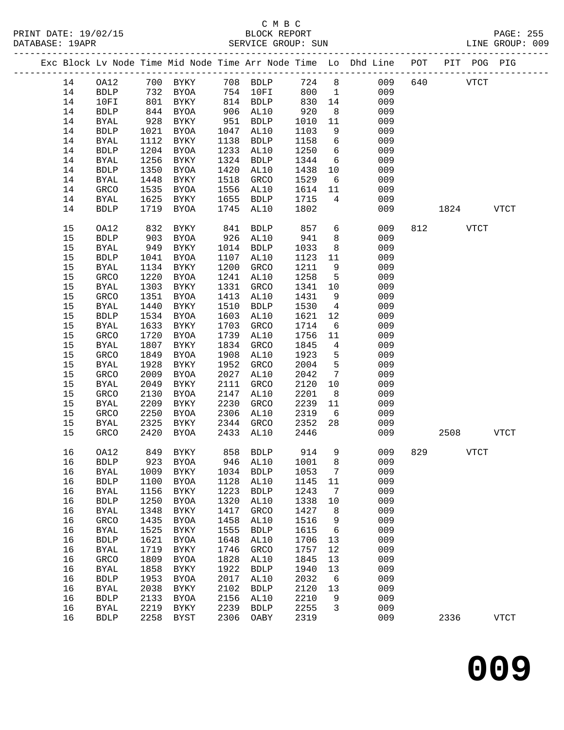| Exc Block Lv Node Time Mid Node Time Arr Node Time Lo Dhd Line POT PIT POG PIG<br>724<br>8<br>640<br>OA12<br>700 BYKY<br>708 BDLP<br>009<br>14<br>14<br>732 BYOA<br>754 10FI<br>800<br>009<br><b>BDLP</b><br>$\mathbf{1}$<br>$\begin{array}{c} \n \overline{\phantom{0}} \\  801 \\  \end{array}$<br>14<br>814 BDLP<br>830<br>009<br>10FI<br>BYKY<br>14<br>844<br>920<br>14<br><b>BDLP</b><br>BYOA<br>906<br>AL10<br>8 <sup>8</sup><br>009<br>928<br>14<br><b>BYAL</b><br>BYKY<br>951<br>BDLP<br>1010<br>11<br>009<br>9<br>009<br>14<br><b>BDLP</b><br>1021<br>BYOA<br>1047<br>AL10<br>1103<br>14<br>1138<br>6<br>009<br><b>BYAL</b><br>1112<br>BYKY<br><b>BDLP</b><br>1158<br>1204<br>1233<br>1250<br>$6\overline{6}$<br>009<br>14<br>${\tt BDLP}$<br>BYOA<br>AL10<br>$6\overline{6}$<br>1256<br>1324<br>1344<br>009<br>14<br><b>BYAL</b><br>BYKY<br><b>BDLP</b><br>1350<br>1420<br>1438<br>10<br>009<br>14<br><b>BDLP</b><br>BYOA<br>AL10<br>14<br>1448<br>1518<br>1529<br>009<br><b>BYAL</b><br>BYKY<br>GRCO<br>6<br>1535<br>1556<br>009<br>14<br>GRCO<br>BYOA<br>AL10<br>1614<br>11<br>1625<br>1655<br>1715<br>009<br>14<br>BYKY<br>BDLP<br>$4\overline{ }$<br>BYAL<br>1719<br>1745<br>1802<br>009<br>14<br><b>BDLP</b><br>BYOA<br>AL10<br>15<br>857<br>6<br>009<br>OA12<br>832<br>BYKY<br>841<br><b>BDLP</b><br>812 VTCT<br>15<br>903<br>BYOA<br>926<br>AL10<br>941<br>8<br>009<br><b>BDLP</b><br>15<br>949<br>1014<br>8<br>009<br><b>BYAL</b><br>BYKY<br>BDLP<br>1033<br>15<br>1107<br>1123<br>009<br><b>BDLP</b><br>1041<br>BYOA<br>AL10<br>11<br>15<br>1134<br>1200<br>009<br>BYKY<br>GRCO<br>1211<br>9<br>BYAL<br>1220<br>1241<br>1258<br>5<br>009<br>15<br>GRCO<br>BYOA<br>AL10<br>1303<br>1331<br>15<br>BYKY<br>GRCO<br>1341<br>10<br>009<br><b>BYAL</b><br>15<br>1351<br>1413<br>1431<br>009<br>GRCO<br>BYOA<br>AL10<br>9<br>15<br>1440<br>1510<br>009<br><b>BYAL</b><br>BYKY<br><b>BDLP</b><br>1530<br>4<br>15<br>1603<br>1621<br>009<br><b>BDLP</b><br>1534<br>BYOA<br>AL10<br>12<br>15<br>1633<br>BYKY<br>1703<br>GRCO<br>1714<br>6<br>009<br><b>BYAL</b><br>15<br>1720<br>1739<br>1756<br>009<br>GRCO<br>BYOA<br>AL10<br>11<br>15<br>1807<br>1834<br>$\overline{4}$<br>009<br><b>BYAL</b><br>BYKY<br>GRCO<br>1845<br>15<br>1849<br>1908<br>1923<br>009<br>GRCO<br>BYOA<br>AL10<br>5<br>5<br>15<br>1952<br><b>BYAL</b><br>1928<br>BYKY<br>GRCO<br>2004<br>009<br>15<br>2009<br>2027<br>2042<br>009<br>GRCO<br><b>BYOA</b><br>AL10<br>$7\phantom{.0}\,$<br>15<br>2049<br>2111<br>009<br><b>BYAL</b><br>BYKY<br>GRCO<br>2120<br>10<br>15<br>2201<br>009<br>GRCO<br>2130<br>BYOA<br>2147<br>AL10<br>8<br>15<br>2209<br><b>BYKY</b><br>2230<br>2239<br>009<br><b>BYAL</b><br>GRCO<br>11<br>15<br>2250<br>2306<br>2319<br>009<br>GRCO<br>BYOA<br>AL10<br>6<br>15<br>2325<br>2352<br>28<br>009<br>BYKY<br>2344<br>GRCO<br>BYAL<br>15<br>2420<br>2433<br>2446<br>009<br>GRCO<br>BYOA<br>AL10<br>858 BDLP<br>914<br>9<br>009<br>829<br>16<br>OA12<br>849 BYKY<br>BDLP 923 BYOA 946 AL10 1001 8<br>009<br>16<br>7<br>009<br>16<br>1009<br>1034<br><b>BDLP</b><br>1053<br><b>BYAL</b><br><b>BYKY</b><br>009<br>1128<br>AL10<br>16<br><b>BDLP</b><br>1100<br><b>BYOA</b><br>1145<br>11<br>1223<br>1243<br>009<br>16<br><b>BYAL</b><br>1156<br><b>BYKY</b><br><b>BDLP</b><br>7<br>009<br>16<br>1250<br>1320<br>AL10<br>1338<br><b>BDLP</b><br><b>BYOA</b><br>10<br>009<br>16<br>1348<br>1417<br>1427<br>8<br><b>BYAL</b><br><b>BYKY</b><br>GRCO<br>009<br>16<br>1435<br>1458<br>AL10<br>1516<br>GRCO<br><b>BYOA</b><br>9<br>16<br>1525<br>1555<br>1615<br>6<br>009<br><b>BYAL</b><br>BYKY<br><b>BDLP</b><br>16<br>1621<br>1648<br>AL10<br>1706<br>009<br><b>BDLP</b><br>BYOA<br>13<br>1719<br>1746<br>1757<br>12<br>009<br>16<br><b>BYAL</b><br>BYKY<br>GRCO<br>1809<br>1828<br>1845<br>009<br>16<br>GRCO<br>BYOA<br>AL10<br>13<br>1922<br>009<br>16<br><b>BYAL</b><br>1858<br><b>BYKY</b><br><b>BDLP</b><br>1940<br>13<br>16<br>1953<br>2017<br>AL10<br>2032<br>6<br>009<br><b>BDLP</b><br><b>BYOA</b><br>2102<br>009<br>16<br><b>BYAL</b><br>2038<br>${\tt BDLP}$<br>2120<br>13<br><b>BYKY</b><br>009<br>16<br>2156<br>AL10<br>2210<br>9<br>${\tt BDLP}$<br>2133<br><b>BYOA</b><br>16<br>2219<br>2239<br>2255<br>3<br>009<br><b>BYAL</b><br><b>BYKY</b><br><b>BDLP</b><br>16<br>2258<br>2306<br>2319<br>009<br><b>BDLP</b><br><b>BYST</b><br>OABY |  |  |  |  |  |  |      |             |             |
|--------------------------------------------------------------------------------------------------------------------------------------------------------------------------------------------------------------------------------------------------------------------------------------------------------------------------------------------------------------------------------------------------------------------------------------------------------------------------------------------------------------------------------------------------------------------------------------------------------------------------------------------------------------------------------------------------------------------------------------------------------------------------------------------------------------------------------------------------------------------------------------------------------------------------------------------------------------------------------------------------------------------------------------------------------------------------------------------------------------------------------------------------------------------------------------------------------------------------------------------------------------------------------------------------------------------------------------------------------------------------------------------------------------------------------------------------------------------------------------------------------------------------------------------------------------------------------------------------------------------------------------------------------------------------------------------------------------------------------------------------------------------------------------------------------------------------------------------------------------------------------------------------------------------------------------------------------------------------------------------------------------------------------------------------------------------------------------------------------------------------------------------------------------------------------------------------------------------------------------------------------------------------------------------------------------------------------------------------------------------------------------------------------------------------------------------------------------------------------------------------------------------------------------------------------------------------------------------------------------------------------------------------------------------------------------------------------------------------------------------------------------------------------------------------------------------------------------------------------------------------------------------------------------------------------------------------------------------------------------------------------------------------------------------------------------------------------------------------------------------------------------------------------------------------------------------------------------------------------------------------------------------------------------------------------------------------------------------------------------------------------------------------------------------------------------------------------------------------------------------------------------------------------------------------------------------------------------------------------------------------------------------------------------------------------------------------------------------------------------------------------------------------------------------------------------------------------------------------------------------------------------------------------------------------------------------------------------------------------------------------------------------------------------------------------------------------------------------------------------------------------------------------------------------------------------------------------------------------------------------------------------------------------------------------------------------------------------------------------|--|--|--|--|--|--|------|-------------|-------------|
|                                                                                                                                                                                                                                                                                                                                                                                                                                                                                                                                                                                                                                                                                                                                                                                                                                                                                                                                                                                                                                                                                                                                                                                                                                                                                                                                                                                                                                                                                                                                                                                                                                                                                                                                                                                                                                                                                                                                                                                                                                                                                                                                                                                                                                                                                                                                                                                                                                                                                                                                                                                                                                                                                                                                                                                                                                                                                                                                                                                                                                                                                                                                                                                                                                                                                                                                                                                                                                                                                                                                                                                                                                                                                                                                                                                                                                                                                                                                                                                                                                                                                                                                                                                                                                                                                                                                                        |  |  |  |  |  |  |      |             |             |
|                                                                                                                                                                                                                                                                                                                                                                                                                                                                                                                                                                                                                                                                                                                                                                                                                                                                                                                                                                                                                                                                                                                                                                                                                                                                                                                                                                                                                                                                                                                                                                                                                                                                                                                                                                                                                                                                                                                                                                                                                                                                                                                                                                                                                                                                                                                                                                                                                                                                                                                                                                                                                                                                                                                                                                                                                                                                                                                                                                                                                                                                                                                                                                                                                                                                                                                                                                                                                                                                                                                                                                                                                                                                                                                                                                                                                                                                                                                                                                                                                                                                                                                                                                                                                                                                                                                                                        |  |  |  |  |  |  |      | <b>VTCT</b> |             |
|                                                                                                                                                                                                                                                                                                                                                                                                                                                                                                                                                                                                                                                                                                                                                                                                                                                                                                                                                                                                                                                                                                                                                                                                                                                                                                                                                                                                                                                                                                                                                                                                                                                                                                                                                                                                                                                                                                                                                                                                                                                                                                                                                                                                                                                                                                                                                                                                                                                                                                                                                                                                                                                                                                                                                                                                                                                                                                                                                                                                                                                                                                                                                                                                                                                                                                                                                                                                                                                                                                                                                                                                                                                                                                                                                                                                                                                                                                                                                                                                                                                                                                                                                                                                                                                                                                                                                        |  |  |  |  |  |  |      |             |             |
|                                                                                                                                                                                                                                                                                                                                                                                                                                                                                                                                                                                                                                                                                                                                                                                                                                                                                                                                                                                                                                                                                                                                                                                                                                                                                                                                                                                                                                                                                                                                                                                                                                                                                                                                                                                                                                                                                                                                                                                                                                                                                                                                                                                                                                                                                                                                                                                                                                                                                                                                                                                                                                                                                                                                                                                                                                                                                                                                                                                                                                                                                                                                                                                                                                                                                                                                                                                                                                                                                                                                                                                                                                                                                                                                                                                                                                                                                                                                                                                                                                                                                                                                                                                                                                                                                                                                                        |  |  |  |  |  |  |      |             |             |
|                                                                                                                                                                                                                                                                                                                                                                                                                                                                                                                                                                                                                                                                                                                                                                                                                                                                                                                                                                                                                                                                                                                                                                                                                                                                                                                                                                                                                                                                                                                                                                                                                                                                                                                                                                                                                                                                                                                                                                                                                                                                                                                                                                                                                                                                                                                                                                                                                                                                                                                                                                                                                                                                                                                                                                                                                                                                                                                                                                                                                                                                                                                                                                                                                                                                                                                                                                                                                                                                                                                                                                                                                                                                                                                                                                                                                                                                                                                                                                                                                                                                                                                                                                                                                                                                                                                                                        |  |  |  |  |  |  |      |             |             |
|                                                                                                                                                                                                                                                                                                                                                                                                                                                                                                                                                                                                                                                                                                                                                                                                                                                                                                                                                                                                                                                                                                                                                                                                                                                                                                                                                                                                                                                                                                                                                                                                                                                                                                                                                                                                                                                                                                                                                                                                                                                                                                                                                                                                                                                                                                                                                                                                                                                                                                                                                                                                                                                                                                                                                                                                                                                                                                                                                                                                                                                                                                                                                                                                                                                                                                                                                                                                                                                                                                                                                                                                                                                                                                                                                                                                                                                                                                                                                                                                                                                                                                                                                                                                                                                                                                                                                        |  |  |  |  |  |  |      |             |             |
|                                                                                                                                                                                                                                                                                                                                                                                                                                                                                                                                                                                                                                                                                                                                                                                                                                                                                                                                                                                                                                                                                                                                                                                                                                                                                                                                                                                                                                                                                                                                                                                                                                                                                                                                                                                                                                                                                                                                                                                                                                                                                                                                                                                                                                                                                                                                                                                                                                                                                                                                                                                                                                                                                                                                                                                                                                                                                                                                                                                                                                                                                                                                                                                                                                                                                                                                                                                                                                                                                                                                                                                                                                                                                                                                                                                                                                                                                                                                                                                                                                                                                                                                                                                                                                                                                                                                                        |  |  |  |  |  |  |      |             |             |
|                                                                                                                                                                                                                                                                                                                                                                                                                                                                                                                                                                                                                                                                                                                                                                                                                                                                                                                                                                                                                                                                                                                                                                                                                                                                                                                                                                                                                                                                                                                                                                                                                                                                                                                                                                                                                                                                                                                                                                                                                                                                                                                                                                                                                                                                                                                                                                                                                                                                                                                                                                                                                                                                                                                                                                                                                                                                                                                                                                                                                                                                                                                                                                                                                                                                                                                                                                                                                                                                                                                                                                                                                                                                                                                                                                                                                                                                                                                                                                                                                                                                                                                                                                                                                                                                                                                                                        |  |  |  |  |  |  |      |             |             |
|                                                                                                                                                                                                                                                                                                                                                                                                                                                                                                                                                                                                                                                                                                                                                                                                                                                                                                                                                                                                                                                                                                                                                                                                                                                                                                                                                                                                                                                                                                                                                                                                                                                                                                                                                                                                                                                                                                                                                                                                                                                                                                                                                                                                                                                                                                                                                                                                                                                                                                                                                                                                                                                                                                                                                                                                                                                                                                                                                                                                                                                                                                                                                                                                                                                                                                                                                                                                                                                                                                                                                                                                                                                                                                                                                                                                                                                                                                                                                                                                                                                                                                                                                                                                                                                                                                                                                        |  |  |  |  |  |  |      |             |             |
|                                                                                                                                                                                                                                                                                                                                                                                                                                                                                                                                                                                                                                                                                                                                                                                                                                                                                                                                                                                                                                                                                                                                                                                                                                                                                                                                                                                                                                                                                                                                                                                                                                                                                                                                                                                                                                                                                                                                                                                                                                                                                                                                                                                                                                                                                                                                                                                                                                                                                                                                                                                                                                                                                                                                                                                                                                                                                                                                                                                                                                                                                                                                                                                                                                                                                                                                                                                                                                                                                                                                                                                                                                                                                                                                                                                                                                                                                                                                                                                                                                                                                                                                                                                                                                                                                                                                                        |  |  |  |  |  |  |      |             |             |
|                                                                                                                                                                                                                                                                                                                                                                                                                                                                                                                                                                                                                                                                                                                                                                                                                                                                                                                                                                                                                                                                                                                                                                                                                                                                                                                                                                                                                                                                                                                                                                                                                                                                                                                                                                                                                                                                                                                                                                                                                                                                                                                                                                                                                                                                                                                                                                                                                                                                                                                                                                                                                                                                                                                                                                                                                                                                                                                                                                                                                                                                                                                                                                                                                                                                                                                                                                                                                                                                                                                                                                                                                                                                                                                                                                                                                                                                                                                                                                                                                                                                                                                                                                                                                                                                                                                                                        |  |  |  |  |  |  |      |             |             |
|                                                                                                                                                                                                                                                                                                                                                                                                                                                                                                                                                                                                                                                                                                                                                                                                                                                                                                                                                                                                                                                                                                                                                                                                                                                                                                                                                                                                                                                                                                                                                                                                                                                                                                                                                                                                                                                                                                                                                                                                                                                                                                                                                                                                                                                                                                                                                                                                                                                                                                                                                                                                                                                                                                                                                                                                                                                                                                                                                                                                                                                                                                                                                                                                                                                                                                                                                                                                                                                                                                                                                                                                                                                                                                                                                                                                                                                                                                                                                                                                                                                                                                                                                                                                                                                                                                                                                        |  |  |  |  |  |  |      |             |             |
|                                                                                                                                                                                                                                                                                                                                                                                                                                                                                                                                                                                                                                                                                                                                                                                                                                                                                                                                                                                                                                                                                                                                                                                                                                                                                                                                                                                                                                                                                                                                                                                                                                                                                                                                                                                                                                                                                                                                                                                                                                                                                                                                                                                                                                                                                                                                                                                                                                                                                                                                                                                                                                                                                                                                                                                                                                                                                                                                                                                                                                                                                                                                                                                                                                                                                                                                                                                                                                                                                                                                                                                                                                                                                                                                                                                                                                                                                                                                                                                                                                                                                                                                                                                                                                                                                                                                                        |  |  |  |  |  |  |      |             |             |
|                                                                                                                                                                                                                                                                                                                                                                                                                                                                                                                                                                                                                                                                                                                                                                                                                                                                                                                                                                                                                                                                                                                                                                                                                                                                                                                                                                                                                                                                                                                                                                                                                                                                                                                                                                                                                                                                                                                                                                                                                                                                                                                                                                                                                                                                                                                                                                                                                                                                                                                                                                                                                                                                                                                                                                                                                                                                                                                                                                                                                                                                                                                                                                                                                                                                                                                                                                                                                                                                                                                                                                                                                                                                                                                                                                                                                                                                                                                                                                                                                                                                                                                                                                                                                                                                                                                                                        |  |  |  |  |  |  |      |             |             |
|                                                                                                                                                                                                                                                                                                                                                                                                                                                                                                                                                                                                                                                                                                                                                                                                                                                                                                                                                                                                                                                                                                                                                                                                                                                                                                                                                                                                                                                                                                                                                                                                                                                                                                                                                                                                                                                                                                                                                                                                                                                                                                                                                                                                                                                                                                                                                                                                                                                                                                                                                                                                                                                                                                                                                                                                                                                                                                                                                                                                                                                                                                                                                                                                                                                                                                                                                                                                                                                                                                                                                                                                                                                                                                                                                                                                                                                                                                                                                                                                                                                                                                                                                                                                                                                                                                                                                        |  |  |  |  |  |  | 1824 |             | <b>VTCT</b> |
|                                                                                                                                                                                                                                                                                                                                                                                                                                                                                                                                                                                                                                                                                                                                                                                                                                                                                                                                                                                                                                                                                                                                                                                                                                                                                                                                                                                                                                                                                                                                                                                                                                                                                                                                                                                                                                                                                                                                                                                                                                                                                                                                                                                                                                                                                                                                                                                                                                                                                                                                                                                                                                                                                                                                                                                                                                                                                                                                                                                                                                                                                                                                                                                                                                                                                                                                                                                                                                                                                                                                                                                                                                                                                                                                                                                                                                                                                                                                                                                                                                                                                                                                                                                                                                                                                                                                                        |  |  |  |  |  |  |      |             |             |
|                                                                                                                                                                                                                                                                                                                                                                                                                                                                                                                                                                                                                                                                                                                                                                                                                                                                                                                                                                                                                                                                                                                                                                                                                                                                                                                                                                                                                                                                                                                                                                                                                                                                                                                                                                                                                                                                                                                                                                                                                                                                                                                                                                                                                                                                                                                                                                                                                                                                                                                                                                                                                                                                                                                                                                                                                                                                                                                                                                                                                                                                                                                                                                                                                                                                                                                                                                                                                                                                                                                                                                                                                                                                                                                                                                                                                                                                                                                                                                                                                                                                                                                                                                                                                                                                                                                                                        |  |  |  |  |  |  |      |             |             |
|                                                                                                                                                                                                                                                                                                                                                                                                                                                                                                                                                                                                                                                                                                                                                                                                                                                                                                                                                                                                                                                                                                                                                                                                                                                                                                                                                                                                                                                                                                                                                                                                                                                                                                                                                                                                                                                                                                                                                                                                                                                                                                                                                                                                                                                                                                                                                                                                                                                                                                                                                                                                                                                                                                                                                                                                                                                                                                                                                                                                                                                                                                                                                                                                                                                                                                                                                                                                                                                                                                                                                                                                                                                                                                                                                                                                                                                                                                                                                                                                                                                                                                                                                                                                                                                                                                                                                        |  |  |  |  |  |  |      |             |             |
|                                                                                                                                                                                                                                                                                                                                                                                                                                                                                                                                                                                                                                                                                                                                                                                                                                                                                                                                                                                                                                                                                                                                                                                                                                                                                                                                                                                                                                                                                                                                                                                                                                                                                                                                                                                                                                                                                                                                                                                                                                                                                                                                                                                                                                                                                                                                                                                                                                                                                                                                                                                                                                                                                                                                                                                                                                                                                                                                                                                                                                                                                                                                                                                                                                                                                                                                                                                                                                                                                                                                                                                                                                                                                                                                                                                                                                                                                                                                                                                                                                                                                                                                                                                                                                                                                                                                                        |  |  |  |  |  |  |      |             |             |
|                                                                                                                                                                                                                                                                                                                                                                                                                                                                                                                                                                                                                                                                                                                                                                                                                                                                                                                                                                                                                                                                                                                                                                                                                                                                                                                                                                                                                                                                                                                                                                                                                                                                                                                                                                                                                                                                                                                                                                                                                                                                                                                                                                                                                                                                                                                                                                                                                                                                                                                                                                                                                                                                                                                                                                                                                                                                                                                                                                                                                                                                                                                                                                                                                                                                                                                                                                                                                                                                                                                                                                                                                                                                                                                                                                                                                                                                                                                                                                                                                                                                                                                                                                                                                                                                                                                                                        |  |  |  |  |  |  |      |             |             |
|                                                                                                                                                                                                                                                                                                                                                                                                                                                                                                                                                                                                                                                                                                                                                                                                                                                                                                                                                                                                                                                                                                                                                                                                                                                                                                                                                                                                                                                                                                                                                                                                                                                                                                                                                                                                                                                                                                                                                                                                                                                                                                                                                                                                                                                                                                                                                                                                                                                                                                                                                                                                                                                                                                                                                                                                                                                                                                                                                                                                                                                                                                                                                                                                                                                                                                                                                                                                                                                                                                                                                                                                                                                                                                                                                                                                                                                                                                                                                                                                                                                                                                                                                                                                                                                                                                                                                        |  |  |  |  |  |  |      |             |             |
|                                                                                                                                                                                                                                                                                                                                                                                                                                                                                                                                                                                                                                                                                                                                                                                                                                                                                                                                                                                                                                                                                                                                                                                                                                                                                                                                                                                                                                                                                                                                                                                                                                                                                                                                                                                                                                                                                                                                                                                                                                                                                                                                                                                                                                                                                                                                                                                                                                                                                                                                                                                                                                                                                                                                                                                                                                                                                                                                                                                                                                                                                                                                                                                                                                                                                                                                                                                                                                                                                                                                                                                                                                                                                                                                                                                                                                                                                                                                                                                                                                                                                                                                                                                                                                                                                                                                                        |  |  |  |  |  |  |      |             |             |
|                                                                                                                                                                                                                                                                                                                                                                                                                                                                                                                                                                                                                                                                                                                                                                                                                                                                                                                                                                                                                                                                                                                                                                                                                                                                                                                                                                                                                                                                                                                                                                                                                                                                                                                                                                                                                                                                                                                                                                                                                                                                                                                                                                                                                                                                                                                                                                                                                                                                                                                                                                                                                                                                                                                                                                                                                                                                                                                                                                                                                                                                                                                                                                                                                                                                                                                                                                                                                                                                                                                                                                                                                                                                                                                                                                                                                                                                                                                                                                                                                                                                                                                                                                                                                                                                                                                                                        |  |  |  |  |  |  |      |             |             |
|                                                                                                                                                                                                                                                                                                                                                                                                                                                                                                                                                                                                                                                                                                                                                                                                                                                                                                                                                                                                                                                                                                                                                                                                                                                                                                                                                                                                                                                                                                                                                                                                                                                                                                                                                                                                                                                                                                                                                                                                                                                                                                                                                                                                                                                                                                                                                                                                                                                                                                                                                                                                                                                                                                                                                                                                                                                                                                                                                                                                                                                                                                                                                                                                                                                                                                                                                                                                                                                                                                                                                                                                                                                                                                                                                                                                                                                                                                                                                                                                                                                                                                                                                                                                                                                                                                                                                        |  |  |  |  |  |  |      |             |             |
|                                                                                                                                                                                                                                                                                                                                                                                                                                                                                                                                                                                                                                                                                                                                                                                                                                                                                                                                                                                                                                                                                                                                                                                                                                                                                                                                                                                                                                                                                                                                                                                                                                                                                                                                                                                                                                                                                                                                                                                                                                                                                                                                                                                                                                                                                                                                                                                                                                                                                                                                                                                                                                                                                                                                                                                                                                                                                                                                                                                                                                                                                                                                                                                                                                                                                                                                                                                                                                                                                                                                                                                                                                                                                                                                                                                                                                                                                                                                                                                                                                                                                                                                                                                                                                                                                                                                                        |  |  |  |  |  |  |      |             |             |
|                                                                                                                                                                                                                                                                                                                                                                                                                                                                                                                                                                                                                                                                                                                                                                                                                                                                                                                                                                                                                                                                                                                                                                                                                                                                                                                                                                                                                                                                                                                                                                                                                                                                                                                                                                                                                                                                                                                                                                                                                                                                                                                                                                                                                                                                                                                                                                                                                                                                                                                                                                                                                                                                                                                                                                                                                                                                                                                                                                                                                                                                                                                                                                                                                                                                                                                                                                                                                                                                                                                                                                                                                                                                                                                                                                                                                                                                                                                                                                                                                                                                                                                                                                                                                                                                                                                                                        |  |  |  |  |  |  |      |             |             |
|                                                                                                                                                                                                                                                                                                                                                                                                                                                                                                                                                                                                                                                                                                                                                                                                                                                                                                                                                                                                                                                                                                                                                                                                                                                                                                                                                                                                                                                                                                                                                                                                                                                                                                                                                                                                                                                                                                                                                                                                                                                                                                                                                                                                                                                                                                                                                                                                                                                                                                                                                                                                                                                                                                                                                                                                                                                                                                                                                                                                                                                                                                                                                                                                                                                                                                                                                                                                                                                                                                                                                                                                                                                                                                                                                                                                                                                                                                                                                                                                                                                                                                                                                                                                                                                                                                                                                        |  |  |  |  |  |  |      |             |             |
|                                                                                                                                                                                                                                                                                                                                                                                                                                                                                                                                                                                                                                                                                                                                                                                                                                                                                                                                                                                                                                                                                                                                                                                                                                                                                                                                                                                                                                                                                                                                                                                                                                                                                                                                                                                                                                                                                                                                                                                                                                                                                                                                                                                                                                                                                                                                                                                                                                                                                                                                                                                                                                                                                                                                                                                                                                                                                                                                                                                                                                                                                                                                                                                                                                                                                                                                                                                                                                                                                                                                                                                                                                                                                                                                                                                                                                                                                                                                                                                                                                                                                                                                                                                                                                                                                                                                                        |  |  |  |  |  |  |      |             |             |
|                                                                                                                                                                                                                                                                                                                                                                                                                                                                                                                                                                                                                                                                                                                                                                                                                                                                                                                                                                                                                                                                                                                                                                                                                                                                                                                                                                                                                                                                                                                                                                                                                                                                                                                                                                                                                                                                                                                                                                                                                                                                                                                                                                                                                                                                                                                                                                                                                                                                                                                                                                                                                                                                                                                                                                                                                                                                                                                                                                                                                                                                                                                                                                                                                                                                                                                                                                                                                                                                                                                                                                                                                                                                                                                                                                                                                                                                                                                                                                                                                                                                                                                                                                                                                                                                                                                                                        |  |  |  |  |  |  |      |             |             |
|                                                                                                                                                                                                                                                                                                                                                                                                                                                                                                                                                                                                                                                                                                                                                                                                                                                                                                                                                                                                                                                                                                                                                                                                                                                                                                                                                                                                                                                                                                                                                                                                                                                                                                                                                                                                                                                                                                                                                                                                                                                                                                                                                                                                                                                                                                                                                                                                                                                                                                                                                                                                                                                                                                                                                                                                                                                                                                                                                                                                                                                                                                                                                                                                                                                                                                                                                                                                                                                                                                                                                                                                                                                                                                                                                                                                                                                                                                                                                                                                                                                                                                                                                                                                                                                                                                                                                        |  |  |  |  |  |  |      |             |             |
|                                                                                                                                                                                                                                                                                                                                                                                                                                                                                                                                                                                                                                                                                                                                                                                                                                                                                                                                                                                                                                                                                                                                                                                                                                                                                                                                                                                                                                                                                                                                                                                                                                                                                                                                                                                                                                                                                                                                                                                                                                                                                                                                                                                                                                                                                                                                                                                                                                                                                                                                                                                                                                                                                                                                                                                                                                                                                                                                                                                                                                                                                                                                                                                                                                                                                                                                                                                                                                                                                                                                                                                                                                                                                                                                                                                                                                                                                                                                                                                                                                                                                                                                                                                                                                                                                                                                                        |  |  |  |  |  |  |      |             |             |
|                                                                                                                                                                                                                                                                                                                                                                                                                                                                                                                                                                                                                                                                                                                                                                                                                                                                                                                                                                                                                                                                                                                                                                                                                                                                                                                                                                                                                                                                                                                                                                                                                                                                                                                                                                                                                                                                                                                                                                                                                                                                                                                                                                                                                                                                                                                                                                                                                                                                                                                                                                                                                                                                                                                                                                                                                                                                                                                                                                                                                                                                                                                                                                                                                                                                                                                                                                                                                                                                                                                                                                                                                                                                                                                                                                                                                                                                                                                                                                                                                                                                                                                                                                                                                                                                                                                                                        |  |  |  |  |  |  |      |             |             |
|                                                                                                                                                                                                                                                                                                                                                                                                                                                                                                                                                                                                                                                                                                                                                                                                                                                                                                                                                                                                                                                                                                                                                                                                                                                                                                                                                                                                                                                                                                                                                                                                                                                                                                                                                                                                                                                                                                                                                                                                                                                                                                                                                                                                                                                                                                                                                                                                                                                                                                                                                                                                                                                                                                                                                                                                                                                                                                                                                                                                                                                                                                                                                                                                                                                                                                                                                                                                                                                                                                                                                                                                                                                                                                                                                                                                                                                                                                                                                                                                                                                                                                                                                                                                                                                                                                                                                        |  |  |  |  |  |  |      |             |             |
|                                                                                                                                                                                                                                                                                                                                                                                                                                                                                                                                                                                                                                                                                                                                                                                                                                                                                                                                                                                                                                                                                                                                                                                                                                                                                                                                                                                                                                                                                                                                                                                                                                                                                                                                                                                                                                                                                                                                                                                                                                                                                                                                                                                                                                                                                                                                                                                                                                                                                                                                                                                                                                                                                                                                                                                                                                                                                                                                                                                                                                                                                                                                                                                                                                                                                                                                                                                                                                                                                                                                                                                                                                                                                                                                                                                                                                                                                                                                                                                                                                                                                                                                                                                                                                                                                                                                                        |  |  |  |  |  |  |      |             |             |
|                                                                                                                                                                                                                                                                                                                                                                                                                                                                                                                                                                                                                                                                                                                                                                                                                                                                                                                                                                                                                                                                                                                                                                                                                                                                                                                                                                                                                                                                                                                                                                                                                                                                                                                                                                                                                                                                                                                                                                                                                                                                                                                                                                                                                                                                                                                                                                                                                                                                                                                                                                                                                                                                                                                                                                                                                                                                                                                                                                                                                                                                                                                                                                                                                                                                                                                                                                                                                                                                                                                                                                                                                                                                                                                                                                                                                                                                                                                                                                                                                                                                                                                                                                                                                                                                                                                                                        |  |  |  |  |  |  |      |             |             |
|                                                                                                                                                                                                                                                                                                                                                                                                                                                                                                                                                                                                                                                                                                                                                                                                                                                                                                                                                                                                                                                                                                                                                                                                                                                                                                                                                                                                                                                                                                                                                                                                                                                                                                                                                                                                                                                                                                                                                                                                                                                                                                                                                                                                                                                                                                                                                                                                                                                                                                                                                                                                                                                                                                                                                                                                                                                                                                                                                                                                                                                                                                                                                                                                                                                                                                                                                                                                                                                                                                                                                                                                                                                                                                                                                                                                                                                                                                                                                                                                                                                                                                                                                                                                                                                                                                                                                        |  |  |  |  |  |  | 2508 |             | <b>VTCT</b> |
|                                                                                                                                                                                                                                                                                                                                                                                                                                                                                                                                                                                                                                                                                                                                                                                                                                                                                                                                                                                                                                                                                                                                                                                                                                                                                                                                                                                                                                                                                                                                                                                                                                                                                                                                                                                                                                                                                                                                                                                                                                                                                                                                                                                                                                                                                                                                                                                                                                                                                                                                                                                                                                                                                                                                                                                                                                                                                                                                                                                                                                                                                                                                                                                                                                                                                                                                                                                                                                                                                                                                                                                                                                                                                                                                                                                                                                                                                                                                                                                                                                                                                                                                                                                                                                                                                                                                                        |  |  |  |  |  |  | VTCT |             |             |
|                                                                                                                                                                                                                                                                                                                                                                                                                                                                                                                                                                                                                                                                                                                                                                                                                                                                                                                                                                                                                                                                                                                                                                                                                                                                                                                                                                                                                                                                                                                                                                                                                                                                                                                                                                                                                                                                                                                                                                                                                                                                                                                                                                                                                                                                                                                                                                                                                                                                                                                                                                                                                                                                                                                                                                                                                                                                                                                                                                                                                                                                                                                                                                                                                                                                                                                                                                                                                                                                                                                                                                                                                                                                                                                                                                                                                                                                                                                                                                                                                                                                                                                                                                                                                                                                                                                                                        |  |  |  |  |  |  |      |             |             |
|                                                                                                                                                                                                                                                                                                                                                                                                                                                                                                                                                                                                                                                                                                                                                                                                                                                                                                                                                                                                                                                                                                                                                                                                                                                                                                                                                                                                                                                                                                                                                                                                                                                                                                                                                                                                                                                                                                                                                                                                                                                                                                                                                                                                                                                                                                                                                                                                                                                                                                                                                                                                                                                                                                                                                                                                                                                                                                                                                                                                                                                                                                                                                                                                                                                                                                                                                                                                                                                                                                                                                                                                                                                                                                                                                                                                                                                                                                                                                                                                                                                                                                                                                                                                                                                                                                                                                        |  |  |  |  |  |  |      |             |             |
|                                                                                                                                                                                                                                                                                                                                                                                                                                                                                                                                                                                                                                                                                                                                                                                                                                                                                                                                                                                                                                                                                                                                                                                                                                                                                                                                                                                                                                                                                                                                                                                                                                                                                                                                                                                                                                                                                                                                                                                                                                                                                                                                                                                                                                                                                                                                                                                                                                                                                                                                                                                                                                                                                                                                                                                                                                                                                                                                                                                                                                                                                                                                                                                                                                                                                                                                                                                                                                                                                                                                                                                                                                                                                                                                                                                                                                                                                                                                                                                                                                                                                                                                                                                                                                                                                                                                                        |  |  |  |  |  |  |      |             |             |
|                                                                                                                                                                                                                                                                                                                                                                                                                                                                                                                                                                                                                                                                                                                                                                                                                                                                                                                                                                                                                                                                                                                                                                                                                                                                                                                                                                                                                                                                                                                                                                                                                                                                                                                                                                                                                                                                                                                                                                                                                                                                                                                                                                                                                                                                                                                                                                                                                                                                                                                                                                                                                                                                                                                                                                                                                                                                                                                                                                                                                                                                                                                                                                                                                                                                                                                                                                                                                                                                                                                                                                                                                                                                                                                                                                                                                                                                                                                                                                                                                                                                                                                                                                                                                                                                                                                                                        |  |  |  |  |  |  |      |             |             |
|                                                                                                                                                                                                                                                                                                                                                                                                                                                                                                                                                                                                                                                                                                                                                                                                                                                                                                                                                                                                                                                                                                                                                                                                                                                                                                                                                                                                                                                                                                                                                                                                                                                                                                                                                                                                                                                                                                                                                                                                                                                                                                                                                                                                                                                                                                                                                                                                                                                                                                                                                                                                                                                                                                                                                                                                                                                                                                                                                                                                                                                                                                                                                                                                                                                                                                                                                                                                                                                                                                                                                                                                                                                                                                                                                                                                                                                                                                                                                                                                                                                                                                                                                                                                                                                                                                                                                        |  |  |  |  |  |  |      |             |             |
|                                                                                                                                                                                                                                                                                                                                                                                                                                                                                                                                                                                                                                                                                                                                                                                                                                                                                                                                                                                                                                                                                                                                                                                                                                                                                                                                                                                                                                                                                                                                                                                                                                                                                                                                                                                                                                                                                                                                                                                                                                                                                                                                                                                                                                                                                                                                                                                                                                                                                                                                                                                                                                                                                                                                                                                                                                                                                                                                                                                                                                                                                                                                                                                                                                                                                                                                                                                                                                                                                                                                                                                                                                                                                                                                                                                                                                                                                                                                                                                                                                                                                                                                                                                                                                                                                                                                                        |  |  |  |  |  |  |      |             |             |
|                                                                                                                                                                                                                                                                                                                                                                                                                                                                                                                                                                                                                                                                                                                                                                                                                                                                                                                                                                                                                                                                                                                                                                                                                                                                                                                                                                                                                                                                                                                                                                                                                                                                                                                                                                                                                                                                                                                                                                                                                                                                                                                                                                                                                                                                                                                                                                                                                                                                                                                                                                                                                                                                                                                                                                                                                                                                                                                                                                                                                                                                                                                                                                                                                                                                                                                                                                                                                                                                                                                                                                                                                                                                                                                                                                                                                                                                                                                                                                                                                                                                                                                                                                                                                                                                                                                                                        |  |  |  |  |  |  |      |             |             |
|                                                                                                                                                                                                                                                                                                                                                                                                                                                                                                                                                                                                                                                                                                                                                                                                                                                                                                                                                                                                                                                                                                                                                                                                                                                                                                                                                                                                                                                                                                                                                                                                                                                                                                                                                                                                                                                                                                                                                                                                                                                                                                                                                                                                                                                                                                                                                                                                                                                                                                                                                                                                                                                                                                                                                                                                                                                                                                                                                                                                                                                                                                                                                                                                                                                                                                                                                                                                                                                                                                                                                                                                                                                                                                                                                                                                                                                                                                                                                                                                                                                                                                                                                                                                                                                                                                                                                        |  |  |  |  |  |  |      |             |             |
|                                                                                                                                                                                                                                                                                                                                                                                                                                                                                                                                                                                                                                                                                                                                                                                                                                                                                                                                                                                                                                                                                                                                                                                                                                                                                                                                                                                                                                                                                                                                                                                                                                                                                                                                                                                                                                                                                                                                                                                                                                                                                                                                                                                                                                                                                                                                                                                                                                                                                                                                                                                                                                                                                                                                                                                                                                                                                                                                                                                                                                                                                                                                                                                                                                                                                                                                                                                                                                                                                                                                                                                                                                                                                                                                                                                                                                                                                                                                                                                                                                                                                                                                                                                                                                                                                                                                                        |  |  |  |  |  |  |      |             |             |
|                                                                                                                                                                                                                                                                                                                                                                                                                                                                                                                                                                                                                                                                                                                                                                                                                                                                                                                                                                                                                                                                                                                                                                                                                                                                                                                                                                                                                                                                                                                                                                                                                                                                                                                                                                                                                                                                                                                                                                                                                                                                                                                                                                                                                                                                                                                                                                                                                                                                                                                                                                                                                                                                                                                                                                                                                                                                                                                                                                                                                                                                                                                                                                                                                                                                                                                                                                                                                                                                                                                                                                                                                                                                                                                                                                                                                                                                                                                                                                                                                                                                                                                                                                                                                                                                                                                                                        |  |  |  |  |  |  |      |             |             |
|                                                                                                                                                                                                                                                                                                                                                                                                                                                                                                                                                                                                                                                                                                                                                                                                                                                                                                                                                                                                                                                                                                                                                                                                                                                                                                                                                                                                                                                                                                                                                                                                                                                                                                                                                                                                                                                                                                                                                                                                                                                                                                                                                                                                                                                                                                                                                                                                                                                                                                                                                                                                                                                                                                                                                                                                                                                                                                                                                                                                                                                                                                                                                                                                                                                                                                                                                                                                                                                                                                                                                                                                                                                                                                                                                                                                                                                                                                                                                                                                                                                                                                                                                                                                                                                                                                                                                        |  |  |  |  |  |  |      |             |             |
|                                                                                                                                                                                                                                                                                                                                                                                                                                                                                                                                                                                                                                                                                                                                                                                                                                                                                                                                                                                                                                                                                                                                                                                                                                                                                                                                                                                                                                                                                                                                                                                                                                                                                                                                                                                                                                                                                                                                                                                                                                                                                                                                                                                                                                                                                                                                                                                                                                                                                                                                                                                                                                                                                                                                                                                                                                                                                                                                                                                                                                                                                                                                                                                                                                                                                                                                                                                                                                                                                                                                                                                                                                                                                                                                                                                                                                                                                                                                                                                                                                                                                                                                                                                                                                                                                                                                                        |  |  |  |  |  |  |      |             |             |
|                                                                                                                                                                                                                                                                                                                                                                                                                                                                                                                                                                                                                                                                                                                                                                                                                                                                                                                                                                                                                                                                                                                                                                                                                                                                                                                                                                                                                                                                                                                                                                                                                                                                                                                                                                                                                                                                                                                                                                                                                                                                                                                                                                                                                                                                                                                                                                                                                                                                                                                                                                                                                                                                                                                                                                                                                                                                                                                                                                                                                                                                                                                                                                                                                                                                                                                                                                                                                                                                                                                                                                                                                                                                                                                                                                                                                                                                                                                                                                                                                                                                                                                                                                                                                                                                                                                                                        |  |  |  |  |  |  |      |             |             |
|                                                                                                                                                                                                                                                                                                                                                                                                                                                                                                                                                                                                                                                                                                                                                                                                                                                                                                                                                                                                                                                                                                                                                                                                                                                                                                                                                                                                                                                                                                                                                                                                                                                                                                                                                                                                                                                                                                                                                                                                                                                                                                                                                                                                                                                                                                                                                                                                                                                                                                                                                                                                                                                                                                                                                                                                                                                                                                                                                                                                                                                                                                                                                                                                                                                                                                                                                                                                                                                                                                                                                                                                                                                                                                                                                                                                                                                                                                                                                                                                                                                                                                                                                                                                                                                                                                                                                        |  |  |  |  |  |  |      |             |             |
|                                                                                                                                                                                                                                                                                                                                                                                                                                                                                                                                                                                                                                                                                                                                                                                                                                                                                                                                                                                                                                                                                                                                                                                                                                                                                                                                                                                                                                                                                                                                                                                                                                                                                                                                                                                                                                                                                                                                                                                                                                                                                                                                                                                                                                                                                                                                                                                                                                                                                                                                                                                                                                                                                                                                                                                                                                                                                                                                                                                                                                                                                                                                                                                                                                                                                                                                                                                                                                                                                                                                                                                                                                                                                                                                                                                                                                                                                                                                                                                                                                                                                                                                                                                                                                                                                                                                                        |  |  |  |  |  |  |      |             |             |
|                                                                                                                                                                                                                                                                                                                                                                                                                                                                                                                                                                                                                                                                                                                                                                                                                                                                                                                                                                                                                                                                                                                                                                                                                                                                                                                                                                                                                                                                                                                                                                                                                                                                                                                                                                                                                                                                                                                                                                                                                                                                                                                                                                                                                                                                                                                                                                                                                                                                                                                                                                                                                                                                                                                                                                                                                                                                                                                                                                                                                                                                                                                                                                                                                                                                                                                                                                                                                                                                                                                                                                                                                                                                                                                                                                                                                                                                                                                                                                                                                                                                                                                                                                                                                                                                                                                                                        |  |  |  |  |  |  |      |             |             |
|                                                                                                                                                                                                                                                                                                                                                                                                                                                                                                                                                                                                                                                                                                                                                                                                                                                                                                                                                                                                                                                                                                                                                                                                                                                                                                                                                                                                                                                                                                                                                                                                                                                                                                                                                                                                                                                                                                                                                                                                                                                                                                                                                                                                                                                                                                                                                                                                                                                                                                                                                                                                                                                                                                                                                                                                                                                                                                                                                                                                                                                                                                                                                                                                                                                                                                                                                                                                                                                                                                                                                                                                                                                                                                                                                                                                                                                                                                                                                                                                                                                                                                                                                                                                                                                                                                                                                        |  |  |  |  |  |  | 2336 |             | <b>VTCT</b> |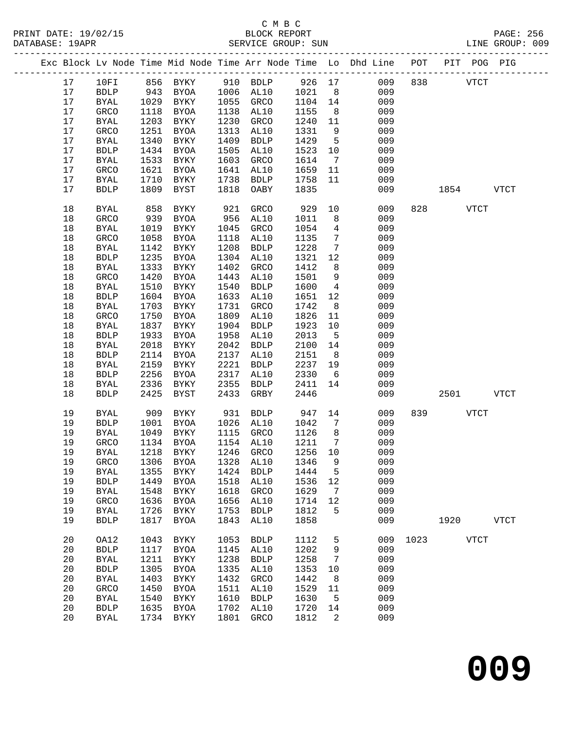## C M B C

| DATABASE: 19APR |    |              |      |                               |      | SERVICE GROUP: SUN  |         |                 | LINE GROUP: 009                                                                |      |             |           |      |  |
|-----------------|----|--------------|------|-------------------------------|------|---------------------|---------|-----------------|--------------------------------------------------------------------------------|------|-------------|-----------|------|--|
|                 |    |              |      |                               |      |                     |         |                 | Exc Block Lv Node Time Mid Node Time Arr Node Time Lo Dhd Line POT PIT POG PIG |      |             |           |      |  |
|                 | 17 |              |      | 10FI 856 BYKY 910 BDLP 926 17 |      |                     |         |                 | 009                                                                            |      | 838 VTCT    |           |      |  |
|                 | 17 | BDLP         | 943  |                               |      | BYOA 1006 AL10 1021 |         | 8 <sup>8</sup>  | 009                                                                            |      |             |           |      |  |
|                 | 17 | BYAL         | 1029 | BYKY                          |      | 1055 GRCO           | 1104 14 |                 | 009                                                                            |      |             |           |      |  |
|                 | 17 | GRCO         | 1118 | BYOA                          |      | 1138 AL10           | 1155    | 8 <sup>8</sup>  | 009                                                                            |      |             |           |      |  |
|                 | 17 | BYAL         | 1203 | BYKY                          | 1230 | GRCO                | 1240    | 11              | 009                                                                            |      |             |           |      |  |
|                 | 17 | GRCO         | 1251 | BYOA                          | 1313 | AL10                | 1331    | 9               | 009                                                                            |      |             |           |      |  |
|                 | 17 | <b>BYAL</b>  | 1340 | BYKY                          | 1409 | BDLP                | 1429    | $5^{\circ}$     | 009                                                                            |      |             |           |      |  |
|                 | 17 | <b>BDLP</b>  | 1434 | BYOA                          | 1505 | AL10                | 1523    | 10              | 009                                                                            |      |             |           |      |  |
|                 | 17 | BYAL         | 1533 | BYKY                          | 1603 | GRCO                | 1614    | $7\overline{ }$ | 009                                                                            |      |             |           |      |  |
|                 | 17 | GRCO         | 1621 | BYOA                          | 1641 | AL10                | 1659    | 11              | 009                                                                            |      |             |           |      |  |
|                 | 17 | <b>BYAL</b>  | 1710 | BYKY                          | 1738 | BDLP                | 1758    | 11              | 009                                                                            |      |             |           |      |  |
|                 | 17 | <b>BDLP</b>  | 1809 | BYST                          |      | 1818 OABY           | 1835    |                 | 009                                                                            |      |             | 1854 VTCT |      |  |
|                 | 18 | <b>BYAL</b>  | 858  | BYKY                          | 921  | GRCO                | 929     | 10              | 009                                                                            |      | 828 VTCT    |           |      |  |
|                 | 18 | GRCO         | 939  | BYOA                          | 956  | AL10                | 1011    | 8               | 009                                                                            |      |             |           |      |  |
|                 | 18 | BYAL         | 1019 | BYKY                          | 1045 | GRCO                | 1054    | $\overline{4}$  | 009                                                                            |      |             |           |      |  |
|                 | 18 | GRCO         | 1058 | BYOA                          | 1118 | AL10                | 1135    | $7\overline{ }$ | 009                                                                            |      |             |           |      |  |
|                 | 18 | BYAL         | 1142 | BYKY                          | 1208 | BDLP                | 1228    | $\overline{7}$  | 009                                                                            |      |             |           |      |  |
|                 | 18 | <b>BDLP</b>  | 1235 | BYOA                          |      | 1304 AL10           | 1321    | 12              | 009                                                                            |      |             |           |      |  |
|                 | 18 | <b>BYAL</b>  | 1333 | BYKY                          | 1402 | GRCO                | 1412    | 8               | 009                                                                            |      |             |           |      |  |
|                 | 18 | GRCO         | 1420 | BYOA                          | 1443 | AL10                | 1501    | 9               | 009                                                                            |      |             |           |      |  |
|                 | 18 | <b>BYAL</b>  | 1510 | BYKY                          | 1540 | BDLP                | 1600    | $\overline{4}$  | 009                                                                            |      |             |           |      |  |
|                 | 18 | <b>BDLP</b>  | 1604 | BYOA                          | 1633 | AL10                | 1651    | 12              | 009                                                                            |      |             |           |      |  |
|                 | 18 | <b>BYAL</b>  | 1703 | BYKY                          | 1731 | GRCO                | 1742    | 8 <sup>8</sup>  | 009                                                                            |      |             |           |      |  |
|                 | 18 | GRCO         | 1750 | BYOA                          | 1809 | AL10                | 1826    | 11              | 009                                                                            |      |             |           |      |  |
|                 | 18 | BYAL         | 1837 | BYKY                          | 1904 | BDLP                | 1923    | 10              | 009                                                                            |      |             |           |      |  |
|                 | 18 | <b>BDLP</b>  | 1933 | BYOA                          | 1958 | AL10                | 2013    | $5^{\circ}$     | 009                                                                            |      |             |           |      |  |
|                 | 18 | <b>BYAL</b>  | 2018 | BYKY                          | 2042 | BDLP                | 2100    | 14              | 009                                                                            |      |             |           |      |  |
|                 | 18 | <b>BDLP</b>  | 2114 | BYOA                          | 2137 | AL10                | 2151    | 8 <sup>8</sup>  | 009                                                                            |      |             |           |      |  |
|                 | 18 | <b>BYAL</b>  | 2159 | BYKY                          | 2221 | BDLP                | 2237    | 19              | 009                                                                            |      |             |           |      |  |
|                 | 18 | <b>BDLP</b>  | 2256 | BYOA                          | 2317 | AL10                | 2330    | 6               | 009                                                                            |      |             |           |      |  |
|                 | 18 | BYAL         | 2336 | BYKY                          | 2355 | BDLP                | 2411    | 14              | 009                                                                            |      |             |           |      |  |
|                 | 18 | <b>BDLP</b>  | 2425 | BYST                          | 2433 | GRBY                | 2446    |                 | 009                                                                            |      |             | 2501 7    | VTCT |  |
|                 | 19 | BYAL         | 909  | BYKY                          | 931  | BDLP 947            |         | 14              | 009                                                                            |      | 839 — 10    | VTCT      |      |  |
|                 | 19 | <b>BDLP</b>  | 1001 | BYOA                          |      | 1026 AL10           | 1042    | $\overline{7}$  | 009                                                                            |      |             |           |      |  |
|                 | 19 | BYAL         | 1049 | BYKY                          |      | 1115 GRCO           | 1126    | 8 <sup>8</sup>  | 009                                                                            |      |             |           |      |  |
|                 | 19 | <b>GRCO</b>  |      | 1134 BYOA                     |      | 1154 AL10           | 1211    | $\overline{7}$  | 009                                                                            |      |             |           |      |  |
|                 | 19 |              |      |                               |      |                     |         |                 | BYAL 1218 BYKY 1246 GRCO 1256 10 009                                           |      |             |           |      |  |
|                 | 19 | GRCO         | 1306 | BYOA                          | 1328 | AL10                | 1346    | 9               | 009                                                                            |      |             |           |      |  |
|                 | 19 | <b>BYAL</b>  | 1355 | BYKY                          | 1424 | <b>BDLP</b>         | 1444    | 5               | 009                                                                            |      |             |           |      |  |
|                 | 19 | <b>BDLP</b>  | 1449 | <b>BYOA</b>                   | 1518 | AL10                | 1536    | 12              | 009                                                                            |      |             |           |      |  |
|                 | 19 | <b>BYAL</b>  | 1548 | BYKY                          | 1618 | GRCO                | 1629    | 7               | 009                                                                            |      |             |           |      |  |
|                 | 19 | GRCO         | 1636 | BYOA                          | 1656 | AL10                | 1714    | 12              | 009                                                                            |      |             |           |      |  |
|                 | 19 | <b>BYAL</b>  | 1726 | BYKY                          | 1753 | ${\tt BDLP}$        | 1812    | 5               | 009                                                                            |      |             |           |      |  |
|                 | 19 | <b>BDLP</b>  | 1817 | BYOA                          | 1843 | AL10                | 1858    |                 | 009                                                                            |      | 1920        |           | VTCT |  |
|                 | 20 | OA12         | 1043 | BYKY                          | 1053 | <b>BDLP</b>         | 1112    | 5               | 009                                                                            | 1023 | <b>VTCT</b> |           |      |  |
|                 | 20 | ${\tt BDLP}$ | 1117 | BYOA                          | 1145 | AL10                | 1202    | 9               | 009                                                                            |      |             |           |      |  |
|                 | 20 | <b>BYAL</b>  | 1211 | BYKY                          | 1238 | <b>BDLP</b>         | 1258    | $7\phantom{.0}$ | 009                                                                            |      |             |           |      |  |
|                 | 20 | ${\tt BDLP}$ | 1305 | <b>BYOA</b>                   | 1335 | AL10                | 1353    | 10              | 009                                                                            |      |             |           |      |  |
|                 | 20 | <b>BYAL</b>  | 1403 | BYKY                          | 1432 | GRCO                | 1442    | 8               | 009                                                                            |      |             |           |      |  |
|                 | 20 | GRCO         | 1450 | BYOA                          | 1511 | AL10                | 1529    | 11              | 009                                                                            |      |             |           |      |  |
|                 | 20 | <b>BYAL</b>  | 1540 | BYKY                          | 1610 | <b>BDLP</b>         | 1630    | $5^{\circ}$     | 009                                                                            |      |             |           |      |  |
|                 | 20 | <b>BDLP</b>  | 1635 | <b>BYOA</b>                   | 1702 | AL10                | 1720    | 14              | 009                                                                            |      |             |           |      |  |
|                 | 20 | <b>BYAL</b>  |      | 1734 BYKY                     | 1801 | GRCO                | 1812    | $\overline{2}$  | 009                                                                            |      |             |           |      |  |
|                 |    |              |      |                               |      |                     |         |                 |                                                                                |      |             |           |      |  |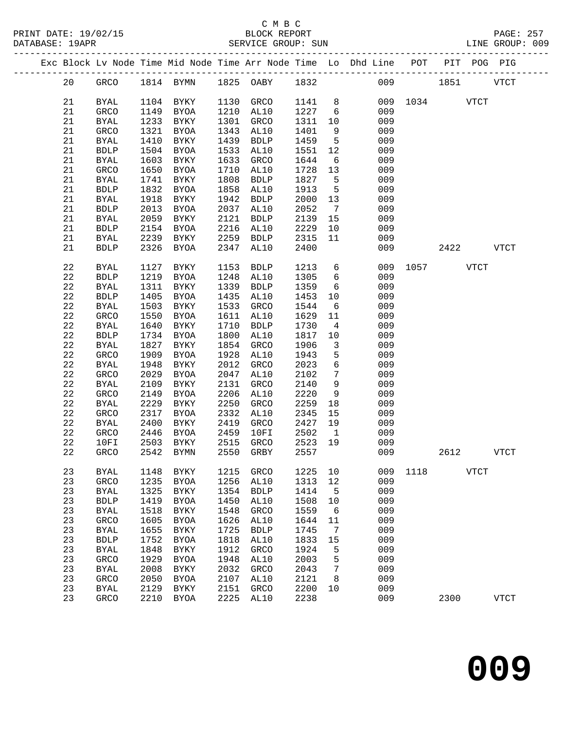|  |             |             |      |              |      |             |      |                              | Exc Block Lv Node Time Mid Node Time Arr Node Time Lo Dhd Line POT<br>-------------------------- |      |      | PIT POG PIG |              |
|--|-------------|-------------|------|--------------|------|-------------|------|------------------------------|--------------------------------------------------------------------------------------------------|------|------|-------------|--------------|
|  | 20          | GRCO        |      | 1814 BYMN    | 1825 | OABY        | 1832 |                              | 009                                                                                              |      | 1851 |             | <b>VTCT</b>  |
|  | 21          | <b>BYAL</b> | 1104 | BYKY         | 1130 | GRCO        | 1141 | 8                            | 009                                                                                              | 1034 |      | <b>VTCT</b> |              |
|  | 21          | GRCO        | 1149 | BYOA         | 1210 | AL10        | 1227 | 6                            | 009                                                                                              |      |      |             |              |
|  | 21          | <b>BYAL</b> | 1233 | BYKY         | 1301 | GRCO        | 1311 | 10                           | 009                                                                                              |      |      |             |              |
|  | 21          | GRCO        | 1321 | BYOA         | 1343 | AL10        | 1401 | 9                            | 009                                                                                              |      |      |             |              |
|  | 21          | <b>BYAL</b> | 1410 | BYKY         | 1439 | <b>BDLP</b> | 1459 | 5                            | 009                                                                                              |      |      |             |              |
|  | 21          | <b>BDLP</b> | 1504 | BYOA         | 1533 | AL10        | 1551 | 12                           | 009                                                                                              |      |      |             |              |
|  | 21          | <b>BYAL</b> | 1603 | BYKY         | 1633 | GRCO        | 1644 | 6                            | 009                                                                                              |      |      |             |              |
|  | 21          | GRCO        | 1650 | BYOA         | 1710 | AL10        | 1728 | 13                           | 009                                                                                              |      |      |             |              |
|  | 21          | <b>BYAL</b> | 1741 | BYKY         | 1808 | <b>BDLP</b> | 1827 | 5                            | 009                                                                                              |      |      |             |              |
|  | 21          | <b>BDLP</b> | 1832 | BYOA         | 1858 | AL10        | 1913 | 5                            | 009                                                                                              |      |      |             |              |
|  | 21          | <b>BYAL</b> | 1918 | BYKY         | 1942 | <b>BDLP</b> | 2000 | 13                           | 009                                                                                              |      |      |             |              |
|  | 21          | <b>BDLP</b> | 2013 | BYOA         | 2037 | AL10        | 2052 | $7\phantom{.0}\phantom{.0}7$ | 009                                                                                              |      |      |             |              |
|  | 21          | <b>BYAL</b> | 2059 | BYKY         | 2121 | <b>BDLP</b> | 2139 | 15                           | 009                                                                                              |      |      |             |              |
|  | 21          | <b>BDLP</b> | 2154 | BYOA         | 2216 | AL10        | 2229 | 10                           | 009                                                                                              |      |      |             |              |
|  | 21          | <b>BYAL</b> | 2239 | BYKY         | 2259 | <b>BDLP</b> | 2315 | 11                           | 009                                                                                              |      |      |             |              |
|  | 21          | <b>BDLP</b> | 2326 | BYOA         | 2347 | AL10        | 2400 |                              | 009                                                                                              |      | 2422 |             | <b>VTCT</b>  |
|  | 22          | <b>BYAL</b> | 1127 | BYKY         | 1153 | <b>BDLP</b> | 1213 | 6                            | 009                                                                                              | 1057 |      | <b>VTCT</b> |              |
|  | $2\sqrt{2}$ | <b>BDLP</b> | 1219 | BYOA         | 1248 | AL10        | 1305 | 6                            | 009                                                                                              |      |      |             |              |
|  | 22          | <b>BYAL</b> | 1311 | BYKY         | 1339 | <b>BDLP</b> | 1359 | 6                            | 009                                                                                              |      |      |             |              |
|  | $2\sqrt{2}$ | <b>BDLP</b> | 1405 | BYOA         | 1435 | AL10        | 1453 | 10                           | 009                                                                                              |      |      |             |              |
|  | 22          | <b>BYAL</b> | 1503 | BYKY         | 1533 | GRCO        | 1544 | 6                            | 009                                                                                              |      |      |             |              |
|  | 22          | GRCO        | 1550 | BYOA         | 1611 | AL10        | 1629 | 11                           | 009                                                                                              |      |      |             |              |
|  | 22          | <b>BYAL</b> | 1640 | BYKY         | 1710 | <b>BDLP</b> | 1730 | 4                            | 009                                                                                              |      |      |             |              |
|  | 22          | <b>BDLP</b> | 1734 | BYOA         | 1800 | AL10        | 1817 | 10                           | 009                                                                                              |      |      |             |              |
|  | 22          | <b>BYAL</b> | 1827 | BYKY         | 1854 | GRCO        | 1906 | 3                            | 009                                                                                              |      |      |             |              |
|  | 22          | GRCO        | 1909 | BYOA         | 1928 | AL10        | 1943 | 5                            | 009                                                                                              |      |      |             |              |
|  | 22          | <b>BYAL</b> | 1948 | BYKY         | 2012 | GRCO        | 2023 | 6                            | 009                                                                                              |      |      |             |              |
|  | $2\sqrt{2}$ | GRCO        | 2029 | BYOA         | 2047 | AL10        | 2102 | 7                            | 009                                                                                              |      |      |             |              |
|  | 22          | <b>BYAL</b> | 2109 | BYKY         | 2131 | GRCO        | 2140 | 9                            | 009                                                                                              |      |      |             |              |
|  | 22          | GRCO        | 2149 | BYOA         | 2206 | AL10        | 2220 | 9                            | 009                                                                                              |      |      |             |              |
|  | 22          | <b>BYAL</b> | 2229 | BYKY         | 2250 | GRCO        | 2259 | 18                           | 009                                                                                              |      |      |             |              |
|  | 22          | GRCO        | 2317 | BYOA         | 2332 | AL10        | 2345 | 15                           | 009                                                                                              |      |      |             |              |
|  | 22          | <b>BYAL</b> | 2400 | BYKY         | 2419 | GRCO        | 2427 | 19                           | 009                                                                                              |      |      |             |              |
|  | 22          | GRCO        | 2446 | BYOA         | 2459 | 10FI        | 2502 | $\mathbf{1}$                 | 009                                                                                              |      |      |             |              |
|  | 22          | 10FI        | 2503 | BYKY         | 2515 | GRCO        | 2523 | 19                           | 009                                                                                              |      |      |             |              |
|  | 22          | GRCO        | 2542 | BYMN         | 2550 | GRBY        | 2557 |                              | 009                                                                                              |      | 2612 |             | <b>VTCT</b>  |
|  | 23          | <b>BYAL</b> | 1148 | BYKY         | 1215 | GRCO        | 1225 | 10                           | 009                                                                                              | 1118 |      | <b>VTCT</b> |              |
|  | 23          | GRCO        | 1235 | <b>BYOA</b>  | 1256 | AL10        | 1313 | 12                           | 009                                                                                              |      |      |             |              |
|  | 23          | <b>BYAL</b> | 1325 | <b>BYKY</b>  | 1354 | <b>BDLP</b> | 1414 | 5                            | 009                                                                                              |      |      |             |              |
|  | 23          | <b>BDLP</b> | 1419 | BYOA         | 1450 | AL10        | 1508 | 10                           | 009                                                                                              |      |      |             |              |
|  | 23          | <b>BYAL</b> | 1518 | BYKY         | 1548 | <b>GRCO</b> | 1559 | 6                            | 009                                                                                              |      |      |             |              |
|  | 23          | GRCO        | 1605 | <b>BYOA</b>  | 1626 | AL10        | 1644 | 11                           | 009                                                                                              |      |      |             |              |
|  | 23          | <b>BYAL</b> | 1655 | BYKY         | 1725 | <b>BDLP</b> | 1745 | 7                            | 009                                                                                              |      |      |             |              |
|  | 23          | <b>BDLP</b> | 1752 | BYOA         | 1818 | AL10        | 1833 | 15                           | 009                                                                                              |      |      |             |              |
|  | 23          | <b>BYAL</b> | 1848 | ${\tt BYKY}$ | 1912 | <b>GRCO</b> | 1924 | 5                            | 009                                                                                              |      |      |             |              |
|  | 23          | GRCO        | 1929 | <b>BYOA</b>  | 1948 | AL10        | 2003 | 5                            | 009                                                                                              |      |      |             |              |
|  | 23          | <b>BYAL</b> | 2008 | BYKY         | 2032 | GRCO        | 2043 | 7                            | 009                                                                                              |      |      |             |              |
|  | 23          | GRCO        | 2050 | <b>BYOA</b>  | 2107 | AL10        | 2121 | 8                            | 009                                                                                              |      |      |             |              |
|  | 23          | <b>BYAL</b> | 2129 | ${\tt BYKY}$ | 2151 | GRCO        | 2200 | 10                           | 009                                                                                              |      |      |             |              |
|  | 23          | GRCO        | 2210 | <b>BYOA</b>  | 2225 | AL10        | 2238 |                              | 009                                                                                              |      | 2300 |             | ${\tt VTCT}$ |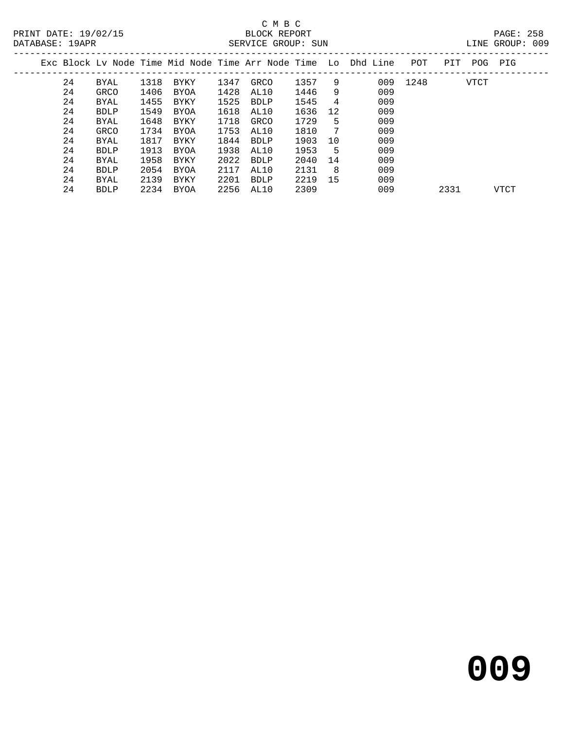| LINE | GROUP: |  | nns |
|------|--------|--|-----|

|    |      |      |      |      |      |      |    | Exc Block Lv Node Time Mid Node Time Arr Node Time Lo Dhd Line | POT  | PIT  | POG         | PIG  |
|----|------|------|------|------|------|------|----|----------------------------------------------------------------|------|------|-------------|------|
| 24 | BYAL | 1318 | BYKY | 1347 | GRCO | 1357 | 9  | 009                                                            | 1248 |      | <b>VTCT</b> |      |
| 24 | GRCO | 1406 | BYOA | 1428 | AL10 | 1446 | 9  | 009                                                            |      |      |             |      |
| 24 | BYAL | 1455 | BYKY | 1525 | BDLP | 1545 | 4  | 009                                                            |      |      |             |      |
| 24 | BDLP | 1549 | BYOA | 1618 | AL10 | 1636 | 12 | 009                                                            |      |      |             |      |
| 24 | BYAL | 1648 | BYKY | 1718 | GRCO | 1729 | 5  | 009                                                            |      |      |             |      |
| 24 | GRCO | 1734 | BYOA | 1753 | AL10 | 1810 | -7 | 009                                                            |      |      |             |      |
| 24 | BYAL | 1817 | BYKY | 1844 | BDLP | 1903 | 10 | 009                                                            |      |      |             |      |
| 24 | BDLP | 1913 | BYOA | 1938 | AL10 | 1953 | 5  | 009                                                            |      |      |             |      |
| 24 | BYAL | 1958 | BYKY | 2022 | BDLP | 2040 | 14 | 009                                                            |      |      |             |      |
| 24 | BDLP | 2054 | BYOA | 2117 | AL10 | 2131 | -8 | 009                                                            |      |      |             |      |
| 24 | BYAL | 2139 | BYKY | 2201 | BDLP | 2219 | 15 | 009                                                            |      |      |             |      |
| 24 | BDLP | 2234 | BYOA | 2256 | AL10 | 2309 |    | 009                                                            |      | 2331 |             | VTCT |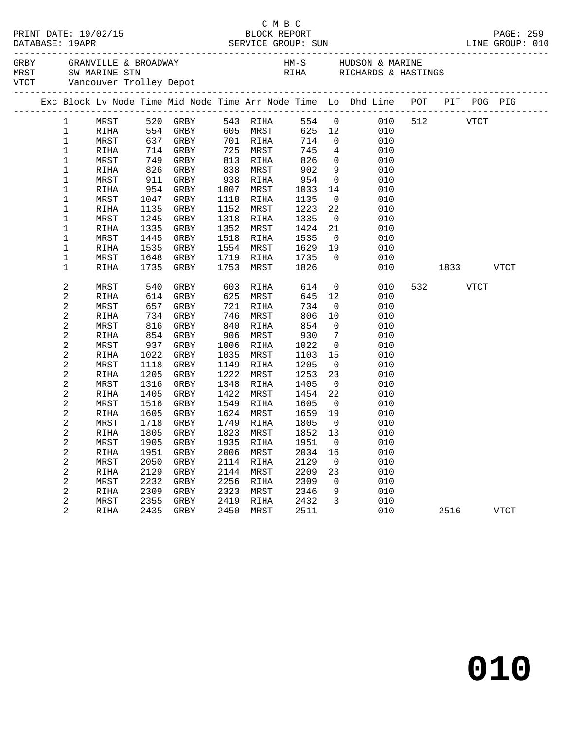|             |              |      |                                                                                                                                |              |                   |               |                                                          | GRBY GRANVILLE & BROADWAY (MARINE HM-S HUDSON & MARINE MRST SW MARINE STN (MARINE RICHARDS & HASTINGS) |     |                                                                                                                                                                                                                               |      |             |
|-------------|--------------|------|--------------------------------------------------------------------------------------------------------------------------------|--------------|-------------------|---------------|----------------------------------------------------------|--------------------------------------------------------------------------------------------------------|-----|-------------------------------------------------------------------------------------------------------------------------------------------------------------------------------------------------------------------------------|------|-------------|
|             |              |      |                                                                                                                                |              |                   |               |                                                          | Exc Block Lv Node Time Mid Node Time Arr Node Time Lo Dhd Line POT PIT POG PIG                         |     |                                                                                                                                                                                                                               |      |             |
| 1           |              |      | MRST 520 GRBY                                                                                                                  |              | 543 RIHA          |               |                                                          | 554 0 010 512 VTCT                                                                                     |     |                                                                                                                                                                                                                               |      |             |
| $\mathbf 1$ | RIHA         |      | 554 GRBY 605 MRST                                                                                                              |              |                   |               |                                                          | 625 12<br>010                                                                                          |     |                                                                                                                                                                                                                               |      |             |
| $\mathbf 1$ | MRST         |      | $637$ $637$ $GRBY$ $714$ $714$ $714$ $714$ $714$ $714$ $714$ $714$ $714$ $714$ $714$ $714$ $714$ $714$ $714$ $714$ $714$ $714$ |              | 701 RIHA          |               |                                                          | 010                                                                                                    |     |                                                                                                                                                                                                                               |      |             |
| $\mathbf 1$ | RIHA         |      | 714 GRBY                                                                                                                       |              | 725 MRST          |               |                                                          | $\begin{array}{ccc} 714 & & 0 \\ 745 & & 4 \end{array}$<br>010                                         |     |                                                                                                                                                                                                                               |      |             |
| $\mathbf 1$ | MRST         | 749  | GRBY                                                                                                                           | 813          | RIHA              | 826           |                                                          | $\overline{0}$<br>010                                                                                  |     |                                                                                                                                                                                                                               |      |             |
| $\mathbf 1$ | RIHA         | 826  | GRBY                                                                                                                           | 838          | MRST              | 902           | 9                                                        | 010                                                                                                    |     |                                                                                                                                                                                                                               |      |             |
| 1           | MRST         | 911  | GRBY                                                                                                                           |              | 938 RIHA          | $954$<br>1033 | $\overline{0}$<br>$\begin{array}{c} 0 \\ 14 \end{array}$ | 010                                                                                                    |     |                                                                                                                                                                                                                               |      |             |
| $\mathbf 1$ | RIHA         | 954  | GRBY                                                                                                                           |              | 1007 MRST         | 1033          |                                                          | 010                                                                                                    |     |                                                                                                                                                                                                                               |      |             |
| 1           | MRST         | 1047 | GRBY                                                                                                                           | 1118         | RIHA              | 1135          | $\overline{0}$                                           | 010                                                                                                    |     |                                                                                                                                                                                                                               |      |             |
| $\mathbf 1$ | RIHA         | 1135 | GRBY                                                                                                                           | 1152         | MRST              | 1223          | 22                                                       | 010                                                                                                    |     |                                                                                                                                                                                                                               |      |             |
| 1           | MRST         | 1245 | GRBY                                                                                                                           | 1318         | RIHA              | 1335          | $\overline{0}$                                           | 010                                                                                                    |     |                                                                                                                                                                                                                               |      |             |
| 1           | RIHA         | 1335 | GRBY                                                                                                                           | 1352         | MRST              | 1424          | 21                                                       | 010                                                                                                    |     |                                                                                                                                                                                                                               |      |             |
| 1           | MRST         |      | 1445 GRBY                                                                                                                      | 1518         | RIHA              | 1535          | $\overline{0}$                                           | 010                                                                                                    |     |                                                                                                                                                                                                                               |      |             |
| $\mathbf 1$ | RIHA         | 1535 | GRBY                                                                                                                           | 1554         | MRST              | 1629          | 19                                                       | 010                                                                                                    |     |                                                                                                                                                                                                                               |      |             |
| 1           | MRST         | 1648 | GRBY                                                                                                                           |              | 1719 RIHA         | 1735          | $\overline{0}$                                           | 010                                                                                                    |     |                                                                                                                                                                                                                               |      |             |
| $\mathbf 1$ | RIHA         | 1735 | GRBY                                                                                                                           |              | 1753 MRST         | 1826          |                                                          | 010                                                                                                    |     | 1833   1834   1845   1846   1847   1848   1848   1848   1848   1848   1848   1848   1848   1848   1848   1848   1848   1848   1848   1848   1848   1848   1848   1848   1848   1848   1848   1848   1848   1848   1848   1848 |      | VTCT        |
| 2           | MRST         | 540  | GRBY                                                                                                                           |              | 603 RIHA          | 614           |                                                          | $\overline{0}$<br>010                                                                                  | 532 |                                                                                                                                                                                                                               | VTCT |             |
| 2           | <b>RIHA</b>  | 614  | GRBY                                                                                                                           | 625          | MRST              | 645           | 12                                                       | 010                                                                                                    |     |                                                                                                                                                                                                                               |      |             |
| 2           | MRST         | 657  | GRBY                                                                                                                           | 721          | RIHA              | 734           | $\overline{0}$                                           | 010                                                                                                    |     |                                                                                                                                                                                                                               |      |             |
| 2           | RIHA         | 734  | GRBY                                                                                                                           | 746          | MRST              | 806           | 10                                                       | 010                                                                                                    |     |                                                                                                                                                                                                                               |      |             |
| 2           | MRST         | 816  | GRBY                                                                                                                           | 840          | RIHA              | 854           | $\overline{0}$                                           | 010                                                                                                    |     |                                                                                                                                                                                                                               |      |             |
| 2           | RIHA         | 854  | GRBY                                                                                                                           | 906          | MRST              | 930           | $\overline{7}$                                           | 010                                                                                                    |     |                                                                                                                                                                                                                               |      |             |
| 2           | MRST         | 937  | GRBY                                                                                                                           | 1006         | RIHA              | 1022          | $\overline{0}$                                           | 010                                                                                                    |     |                                                                                                                                                                                                                               |      |             |
| 2           | RIHA         | 1022 | GRBY                                                                                                                           | 1035         | MRST              | 1103          | 15                                                       | 010                                                                                                    |     |                                                                                                                                                                                                                               |      |             |
| 2           | MRST         | 1118 | GRBY                                                                                                                           | 1149         | RIHA              | 1205          | $\overline{\mathbf{0}}$                                  | 010                                                                                                    |     |                                                                                                                                                                                                                               |      |             |
| 2           | RIHA         | 1205 | GRBY                                                                                                                           | 1222         | MRST              | 1253          | 23                                                       | 010                                                                                                    |     |                                                                                                                                                                                                                               |      |             |
| 2           | MRST         | 1316 | GRBY                                                                                                                           | 1348         | RIHA              | 1405          | $\overline{0}$                                           | 010                                                                                                    |     |                                                                                                                                                                                                                               |      |             |
| 2           | RIHA         | 1405 | GRBY                                                                                                                           | 1422         | MRST              | 1454          | 22                                                       | 010                                                                                                    |     |                                                                                                                                                                                                                               |      |             |
| 2           | MRST         | 1516 | GRBY                                                                                                                           | 1549<br>1624 | RIHA              | 1605          | $\overline{0}$<br>19                                     | 010<br>010                                                                                             |     |                                                                                                                                                                                                                               |      |             |
| 2           | RIHA         | 1605 | GRBY                                                                                                                           |              | MRST<br>1749 RIHA | 1659<br>1805  | $\overline{0}$                                           |                                                                                                        |     |                                                                                                                                                                                                                               |      |             |
| 2<br>2      | MRST<br>RIHA | 1718 | GRBY<br>1805 GRBY                                                                                                              |              | 1823 MRST         | 1852          | 13                                                       | 010<br>010                                                                                             |     |                                                                                                                                                                                                                               |      |             |
| 2           | MRST         |      |                                                                                                                                |              |                   |               |                                                          | 1905 GRBY 1935 RIHA 1951 0 010                                                                         |     |                                                                                                                                                                                                                               |      |             |
|             | RIHA         | 1951 | GRBY                                                                                                                           | 2006         | MRST              | 2034          | 16                                                       | 010                                                                                                    |     |                                                                                                                                                                                                                               |      |             |
| 2<br>2      | MRST         | 2050 | GRBY                                                                                                                           | 2114         | RIHA              | 2129          | $\overline{0}$                                           | 010                                                                                                    |     |                                                                                                                                                                                                                               |      |             |
| 2           | RIHA         | 2129 | GRBY                                                                                                                           | 2144         | MRST              | 2209          | 23                                                       | 010                                                                                                    |     |                                                                                                                                                                                                                               |      |             |
| 2           | MRST         | 2232 | GRBY                                                                                                                           | 2256         | RIHA              | 2309          | $\mathbf 0$                                              | 010                                                                                                    |     |                                                                                                                                                                                                                               |      |             |
| 2           | RIHA         | 2309 | GRBY                                                                                                                           | 2323         | MRST              | 2346          | 9                                                        | 010                                                                                                    |     |                                                                                                                                                                                                                               |      |             |
| 2           | MRST         | 2355 | GRBY                                                                                                                           | 2419         | RIHA              | 2432          | 3                                                        | 010                                                                                                    |     |                                                                                                                                                                                                                               |      |             |
| 2           | RIHA         | 2435 | GRBY                                                                                                                           | 2450         | MRST              | 2511          |                                                          | 010                                                                                                    |     | 2516                                                                                                                                                                                                                          |      | <b>VTCT</b> |
|             |              |      |                                                                                                                                |              |                   |               |                                                          |                                                                                                        |     |                                                                                                                                                                                                                               |      |             |

C M B C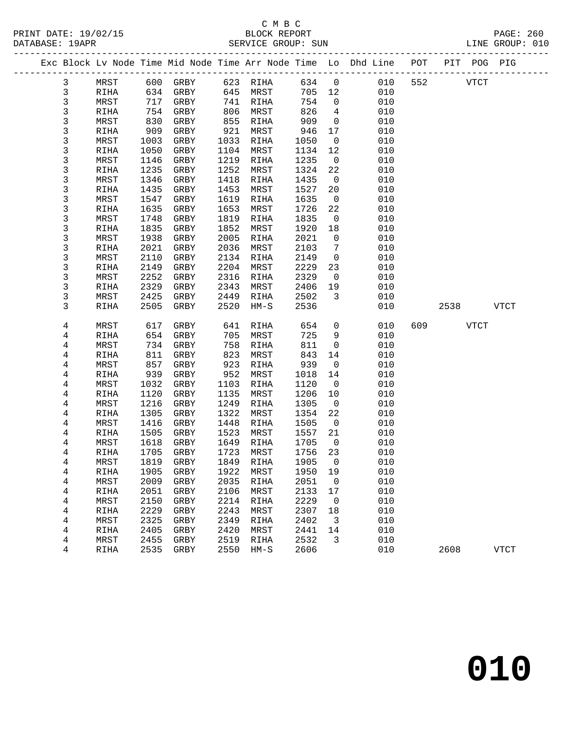#### C M B C<br>BLOCK REPORT PRINT DATE: 19/02/15 BLOCK REPORT PAGE: 260 SERVICE GROUP: SUN

|              |              |      |           |      |           |        |                          | Exc Block Lv Node Time Mid Node Time Arr Node Time Lo Dhd Line POT |     |             | PIT POG PIG |  |
|--------------|--------------|------|-----------|------|-----------|--------|--------------------------|--------------------------------------------------------------------|-----|-------------|-------------|--|
| 3            | MRST         |      | 600 GRBY  |      | 623 RIHA  | 634 0  |                          | 010                                                                | 552 | <b>VTCT</b> |             |  |
| $\mathsf 3$  | RIHA         | 634  | GRBY      | 645  | MRST      | 705 12 |                          | 010                                                                |     |             |             |  |
| 3            | MRST         | 717  | GRBY      | 741  | RIHA      | 754    | $\overline{0}$           | 010                                                                |     |             |             |  |
| 3            | RIHA         | 754  | GRBY      | 806  | MRST      | 826    | $\overline{4}$           | 010                                                                |     |             |             |  |
| 3            | MRST         | 830  | GRBY      | 855  | RIHA      | 909    | $\overline{0}$           | 010                                                                |     |             |             |  |
| 3            | RIHA         | 909  | GRBY      | 921  | MRST      | 946    | 17                       | 010                                                                |     |             |             |  |
| 3            | MRST         | 1003 | GRBY      | 1033 | RIHA      | 1050   | $\overline{0}$           | 010                                                                |     |             |             |  |
| 3            | RIHA         | 1050 | GRBY      | 1104 | MRST      | 1134   | 12                       | 010                                                                |     |             |             |  |
| $\mathsf{3}$ | MRST         | 1146 | GRBY      | 1219 | RIHA      | 1235   | $\overline{0}$           | 010                                                                |     |             |             |  |
| 3            | RIHA         | 1235 | GRBY      | 1252 | MRST      | 1324   | 22                       | 010                                                                |     |             |             |  |
| 3            | MRST         | 1346 | GRBY      | 1418 | RIHA      | 1435   | $\overline{0}$           | 010                                                                |     |             |             |  |
| 3            | RIHA         | 1435 | GRBY      | 1453 | MRST      | 1527   | 20                       | 010                                                                |     |             |             |  |
| 3            | MRST         | 1547 | GRBY      | 1619 | RIHA      | 1635   | $\overline{0}$           | 010                                                                |     |             |             |  |
| 3            | RIHA         | 1635 | GRBY      | 1653 | MRST      | 1726   | 22                       | 010                                                                |     |             |             |  |
| 3            | MRST         | 1748 | GRBY      | 1819 | RIHA      | 1835   | $\overline{0}$           | 010                                                                |     |             |             |  |
| 3            | RIHA         | 1835 | GRBY      | 1852 | MRST      | 1920   | 18                       | 010                                                                |     |             |             |  |
| 3            | MRST         | 1938 | GRBY      | 2005 | RIHA      | 2021   | $\mathsf{O}$             | 010                                                                |     |             |             |  |
| 3            | RIHA         | 2021 | GRBY      | 2036 | MRST      | 2103   | 7                        | 010                                                                |     |             |             |  |
| 3            | MRST         | 2110 | GRBY      | 2134 | RIHA      | 2149   | $\overline{0}$           | 010                                                                |     |             |             |  |
| 3            | RIHA         | 2149 | GRBY      | 2204 | MRST      | 2229   | 23                       | 010                                                                |     |             |             |  |
| 3            | MRST         | 2252 | GRBY      | 2316 | RIHA      | 2329   | $\overline{0}$           | 010                                                                |     |             |             |  |
| 3            | RIHA         | 2329 | GRBY      | 2343 | MRST      | 2406   | 19                       | 010                                                                |     |             |             |  |
| 3            | MRST         | 2425 | GRBY      | 2449 | RIHA      | 2502   | $\overline{3}$           | 010                                                                |     |             |             |  |
| 3            | RIHA         | 2505 | GRBY      | 2520 | $HM-S$    | 2536   |                          | 010                                                                |     | 2538        | <b>VTCT</b> |  |
| 4            | MRST         | 617  | GRBY      | 641  | RIHA      | 654    | $\mathsf{O}$             | 010                                                                | 609 |             | VTCT        |  |
| 4            | RIHA         | 654  | GRBY      | 705  | MRST      | 725    | 9                        | 010                                                                |     |             |             |  |
| 4            | MRST         | 734  | GRBY      | 758  | RIHA      | 811    | $\mathsf{O}$             | 010                                                                |     |             |             |  |
| 4            | RIHA         | 811  | GRBY      | 823  | MRST      | 843    | 14                       | 010                                                                |     |             |             |  |
| 4            | MRST         | 857  | GRBY      | 923  | RIHA      | 939    | $\overline{0}$           | 010                                                                |     |             |             |  |
| 4            | RIHA         | 939  | GRBY      | 952  | MRST      | 1018   | 14                       | 010                                                                |     |             |             |  |
| 4            | MRST         | 1032 | GRBY      | 1103 | RIHA      | 1120   | $\overline{0}$           | 010                                                                |     |             |             |  |
| 4            | RIHA         | 1120 | GRBY      | 1135 | MRST      | 1206   | 10                       | 010                                                                |     |             |             |  |
| 4            | MRST         | 1216 | GRBY      | 1249 | RIHA      | 1305   | $\overline{0}$           | 010                                                                |     |             |             |  |
| 4            | RIHA         | 1305 | GRBY      | 1322 | MRST      | 1354   | 22                       | 010                                                                |     |             |             |  |
| 4            | MRST         | 1416 | GRBY      | 1448 | RIHA      | 1505   | $\overline{0}$           | 010                                                                |     |             |             |  |
| 4            | RIHA         | 1505 | GRBY      | 1523 | MRST      | 1557   | 21                       | 010                                                                |     |             |             |  |
| 4            | MRST         | 1618 | GRBY      | 1649 | RIHA      | 1705   | $\overline{0}$           | 010                                                                |     |             |             |  |
| 4            | RIHA         | 1705 | GRBY      | 1723 | MRST      | 1756   | 23                       | 010                                                                |     |             |             |  |
| 4            | ${\tt MRST}$ |      | 1819 GRBY |      | 1849 RIHA | 1905 0 |                          | 010                                                                |     |             |             |  |
| 4            | RIHA         | 1905 | GRBY      | 1922 | MRST      | 1950   | 19                       | 010                                                                |     |             |             |  |
| 4            | MRST         | 2009 | GRBY      | 2035 | RIHA      | 2051   | $\overline{\phantom{0}}$ | 010                                                                |     |             |             |  |
| 4            | RIHA         | 2051 | GRBY      | 2106 | MRST      | 2133   | 17                       | 010                                                                |     |             |             |  |
| 4            | MRST         | 2150 | GRBY      | 2214 | RIHA      | 2229   | $\mathbf 0$              | 010                                                                |     |             |             |  |
| 4            | RIHA         | 2229 | GRBY      | 2243 | MRST      | 2307   | 18                       | 010                                                                |     |             |             |  |
| 4            | MRST         | 2325 | GRBY      | 2349 | RIHA      | 2402   | 3                        | 010                                                                |     |             |             |  |
| 4            | RIHA         | 2405 | GRBY      | 2420 | MRST      | 2441   | 14                       | 010                                                                |     |             |             |  |
| 4            | MRST         | 2455 | GRBY      | 2519 | RIHA      | 2532   | 3                        | 010                                                                |     |             |             |  |
| 4            | RIHA         | 2535 | GRBY      | 2550 | $HM-S$    | 2606   |                          | 010                                                                |     | 2608        | <b>VTCT</b> |  |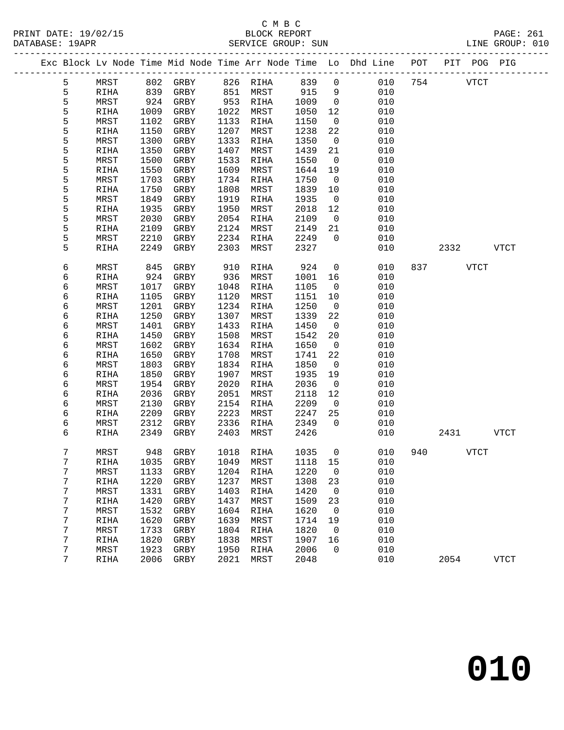#### C M B C<br>BLOCK REPORT PRINT DATE: 19/02/15 BLOCK REPORT PAGE: 261 SERVICE GROUP: SUN

|  |        |              |              |              |              |                   |              |                          | Exc Block Lv Node Time Mid Node Time Arr Node Time Lo Dhd Line POT |     | PIT POG PIG |             |              |
|--|--------|--------------|--------------|--------------|--------------|-------------------|--------------|--------------------------|--------------------------------------------------------------------|-----|-------------|-------------|--------------|
|  | 5      | MRST         | 802          | GRBY         |              | 826 RIHA          | 839          | $\mathsf{O}$             | 010                                                                | 754 |             | <b>VTCT</b> |              |
|  | 5      | RIHA         | 839          | GRBY         | 851          | MRST              | 915          | 9                        | 010                                                                |     |             |             |              |
|  | 5      | MRST         | 924          | GRBY         | 953          | RIHA              | 1009         | $\overline{0}$           | 010                                                                |     |             |             |              |
|  | 5      | RIHA         | 1009         | GRBY         | 1022         | MRST              | 1050         | 12                       | 010                                                                |     |             |             |              |
|  | 5      | MRST         | 1102         | GRBY         | 1133         | RIHA              | 1150         | $\overline{0}$           | 010                                                                |     |             |             |              |
|  | 5      | RIHA         | 1150         | GRBY         | 1207         | MRST              | 1238         | 22                       | 010                                                                |     |             |             |              |
|  | 5      | MRST         | 1300         | GRBY         | 1333         | RIHA              | 1350         | $\overline{0}$           | 010                                                                |     |             |             |              |
|  | 5      | RIHA         | 1350         | GRBY         | 1407         | MRST              | 1439         | 21                       | 010                                                                |     |             |             |              |
|  | 5      | MRST         | 1500         | GRBY         | 1533         | RIHA              | 1550         | $\overline{0}$           | 010                                                                |     |             |             |              |
|  | 5      | RIHA         | 1550         | GRBY         | 1609         | MRST              | 1644         | 19                       | 010                                                                |     |             |             |              |
|  | 5      | MRST         | 1703         | GRBY         | 1734         | RIHA              | 1750         | $\overline{\phantom{0}}$ | 010                                                                |     |             |             |              |
|  | 5      | RIHA         | 1750         | GRBY         | 1808         | MRST              | 1839         | 10                       | 010                                                                |     |             |             |              |
|  | 5      | MRST         | 1849         | GRBY         | 1919         | RIHA              | 1935         | $\overline{0}$           | 010                                                                |     |             |             |              |
|  | 5      | RIHA         | 1935         | GRBY         | 1950         | MRST              | 2018         | 12                       | 010                                                                |     |             |             |              |
|  | 5      | MRST         | 2030         | GRBY         | 2054         | RIHA              | 2109         | $\overline{0}$           | 010                                                                |     |             |             |              |
|  | 5      | RIHA         | 2109         | GRBY         | 2124         | MRST              | 2149         | 21                       | 010                                                                |     |             |             |              |
|  | 5      | MRST         | 2210         | GRBY         | 2234         | RIHA              | 2249         | $\overline{0}$           | 010                                                                |     |             |             |              |
|  | 5      | RIHA         | 2249         | GRBY         | 2303         | MRST              | 2327         |                          | 010                                                                |     | 2332        |             | <b>VTCT</b>  |
|  | 6      | MRST         | 845          | GRBY         | 910          | RIHA              | 924          | $\mathsf{O}$             | 010                                                                | 837 |             | <b>VTCT</b> |              |
|  | 6      | RIHA         | 924          | GRBY         | 936          | MRST              | 1001         | 16                       | 010                                                                |     |             |             |              |
|  | 6      | MRST         | 1017         | GRBY         | 1048         | RIHA              | 1105         | $\mathbf 0$              | 010                                                                |     |             |             |              |
|  | 6      | RIHA         | 1105         | GRBY         | 1120         | MRST              | 1151         | 10                       | 010                                                                |     |             |             |              |
|  | 6      | MRST         | 1201         | GRBY         | 1234         | RIHA              | 1250         | $\overline{0}$           | 010                                                                |     |             |             |              |
|  | 6      | RIHA         | 1250         | GRBY         | 1307         | MRST              | 1339         | 22                       | 010                                                                |     |             |             |              |
|  | 6      | MRST         | 1401         | GRBY         | 1433         | RIHA              | 1450         | $\overline{0}$           | 010                                                                |     |             |             |              |
|  | 6      | RIHA         | 1450         | GRBY         | 1508         | MRST              | 1542         | 20                       | 010                                                                |     |             |             |              |
|  | 6      | MRST         | 1602         | GRBY         | 1634         | RIHA              | 1650         | $\overline{0}$           | 010                                                                |     |             |             |              |
|  | 6      | RIHA         | 1650         | GRBY         | 1708         | MRST              | 1741         | 22                       | 010                                                                |     |             |             |              |
|  | 6      | MRST         | 1803<br>1850 | GRBY         | 1834         | RIHA              | 1850         | $\overline{0}$           | 010<br>010                                                         |     |             |             |              |
|  | 6<br>6 | RIHA<br>MRST | 1954         | GRBY<br>GRBY | 1907<br>2020 | MRST<br>RIHA      | 1935<br>2036 | 19<br>$\overline{0}$     | 010                                                                |     |             |             |              |
|  | 6      | RIHA         | 2036         | GRBY         | 2051         | MRST              | 2118         | 12                       | 010                                                                |     |             |             |              |
|  | 6      | MRST         | 2130         | GRBY         | 2154         | RIHA              | 2209         | $\overline{0}$           | 010                                                                |     |             |             |              |
|  | 6      | RIHA         | 2209         | GRBY         | 2223         | MRST              | 2247         | 25                       | 010                                                                |     |             |             |              |
|  | 6      | MRST         | 2312         | GRBY         | 2336         | RIHA              | 2349         | $\Omega$                 | 010                                                                |     |             |             |              |
|  | 6      | RIHA         | 2349         | GRBY         | 2403         | MRST              | 2426         |                          | 010                                                                |     | 2431        |             | VTCT         |
|  |        |              |              |              |              |                   |              |                          |                                                                    |     |             |             |              |
|  | 7      | MRST         |              | 948 GRBY     |              | 1018 RIHA         | 1035         | $\overline{0}$           | 010                                                                | 940 | VTCT        |             |              |
|  | 7      | RIHA         |              | 1035 GRBY    |              | 1049 MRST 1118 15 |              |                          | 010                                                                |     |             |             |              |
|  | 7      | MRST         | 1133         | GRBY         | 1204         | <b>RIHA</b>       | 1220         | 0                        | 010                                                                |     |             |             |              |
|  | 7      | RIHA         | 1220         | GRBY         | 1237         | MRST              | 1308         | 23                       | 010                                                                |     |             |             |              |
|  | 7      | MRST         | 1331         | GRBY         | 1403         | RIHA              | 1420         | 0                        | 010                                                                |     |             |             |              |
|  | 7      | RIHA         | 1420         | ${\tt GRBY}$ | 1437         | MRST              | 1509         | 23                       | 010                                                                |     |             |             |              |
|  | 7      | MRST         | 1532         | ${\tt GRBY}$ | 1604         | RIHA              | 1620         | 0                        | 010                                                                |     |             |             |              |
|  | 7      | RIHA         | 1620         | GRBY         | 1639         | MRST              | 1714         | 19                       | 010                                                                |     |             |             |              |
|  | 7      | MRST         | 1733         | GRBY         | 1804         | RIHA              | 1820         | 0                        | 010                                                                |     |             |             |              |
|  | 7<br>7 | RIHA         | 1820<br>1923 | ${\tt GRBY}$ | 1838<br>1950 | MRST              | 1907<br>2006 | 16<br>0                  | 010<br>010                                                         |     |             |             |              |
|  | 7      | MRST<br>RIHA | 2006         | GRBY<br>GRBY | 2021         | RIHA<br>MRST      | 2048         |                          | 010                                                                |     | 2054        |             | ${\tt VTCT}$ |
|  |        |              |              |              |              |                   |              |                          |                                                                    |     |             |             |              |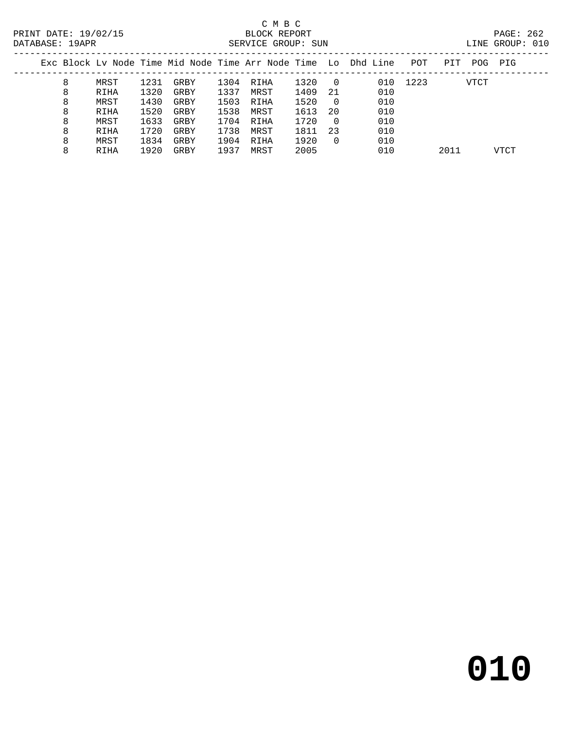# C M B C<br>BLOCK REPORT

PAGE: 262<br>LINE GROUP: 010

| DAIABASE: 19APR |  |                          | SERVICE GROUP: SUN |        |                                                                                |          |      | TITNE GKOUL: 010 |  |
|-----------------|--|--------------------------|--------------------|--------|--------------------------------------------------------------------------------|----------|------|------------------|--|
|                 |  |                          |                    |        | Exc Block Ly Node Time Mid Node Time Arr Node Time Lo Dhd Line POT PIT POG PIG |          |      |                  |  |
|                 |  | MRST 1231 GRBY 1304 RIHA |                    | 1320 0 |                                                                                | 010 1223 | VTCT |                  |  |

|   | .    | _ _ _ _ |      | _ _ _ _ _ | ------- |      | ັ   | ◡∸◡ | ---- | .    |
|---|------|---------|------|-----------|---------|------|-----|-----|------|------|
| 8 | RIHA | 1320    | GRBY | 1337      | MRST    | 1409 | 21  | 010 |      |      |
| 8 | MRST | 1430    | GRBY | 1503      | RIHA    | 1520 |     | 010 |      |      |
| 8 | RIHA | 1520    | GRBY | 1538      | MRST    | 1613 | -20 | 010 |      |      |
| 8 | MRST | 1633    | GRBY | 1704      | RIHA    | 1720 |     | 010 |      |      |
| 8 | RIHA | 1720    | GRBY | 1738      | MRST    | 1811 | 23  | 010 |      |      |
| 8 | MRST | 1834    | GRBY | 1904      | RIHA    | 1920 |     | 010 |      |      |
| 8 | RIHA | 1920    | GRBY | 1937      | MRST    | 2005 |     | 010 | 2011 | VTCT |
|   |      |         |      |           |         |      |     |     |      |      |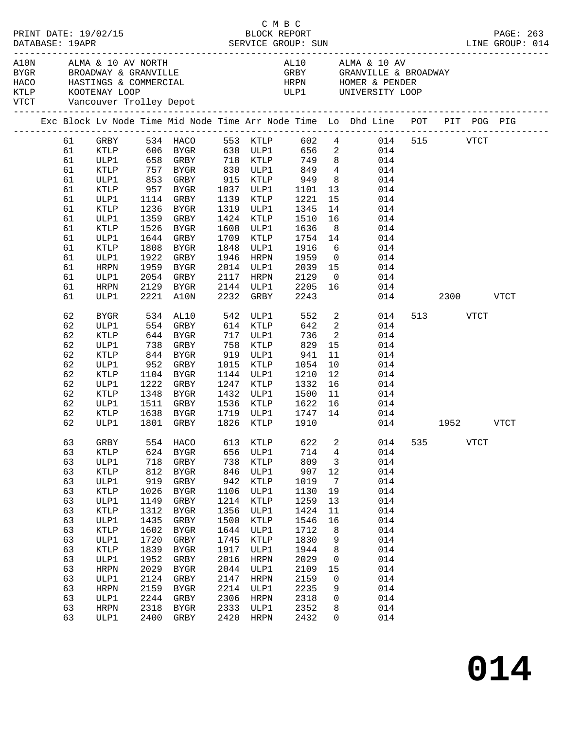| PRINT DATE: 19/02/15 |    |                              |            |                      |      |                      | C M B C      |                         |                                                                                |     |               |             | PRINT DATE: 19/02/15<br>BLOCK REPORT BLOCK PERT DATABASE: 19APR SERVICE GROUP: SUN LINE GROUP: 014 |
|----------------------|----|------------------------------|------------|----------------------|------|----------------------|--------------|-------------------------|--------------------------------------------------------------------------------|-----|---------------|-------------|----------------------------------------------------------------------------------------------------|
|                      |    | VTCT Vancouver Trolley Depot |            |                      |      |                      |              |                         |                                                                                |     |               |             |                                                                                                    |
|                      |    |                              |            |                      |      |                      |              |                         | Exc Block Lv Node Time Mid Node Time Arr Node Time Lo Dhd Line POT PIT POG PIG |     |               |             |                                                                                                    |
|                      | 61 | GRBY                         |            |                      |      |                      |              |                         | 534 HACO 553 KTLP 602 4 014                                                    |     | 515 VTCT      |             |                                                                                                    |
|                      | 61 | KTLP                         |            |                      |      |                      |              |                         |                                                                                |     |               |             |                                                                                                    |
|                      | 61 | ULP1                         |            |                      |      |                      |              |                         |                                                                                |     |               |             |                                                                                                    |
|                      | 61 | KTLP                         |            |                      |      | 830 ULP1             |              |                         |                                                                                |     |               |             |                                                                                                    |
|                      | 61 | ULP1                         | 853        | GRBY                 |      | 915 KTLP             | 949          |                         | 8 014                                                                          |     |               |             |                                                                                                    |
|                      | 61 | KTLP                         | 957        | BYGR                 |      | 1037 ULP1            | 1101<br>1221 |                         | $\begin{array}{cc} 13 & 014 \\ 15 & 014 \end{array}$                           |     |               |             |                                                                                                    |
|                      | 61 | ULP1                         |            | 1114 GRBY            |      | 1139 KTLP            |              | 15                      | 014                                                                            |     |               |             |                                                                                                    |
|                      | 61 | KTLP                         | 1236       | BYGR                 | 1319 | ULP1                 | 1345         | 14                      | 014                                                                            |     |               |             |                                                                                                    |
|                      | 61 | ULP1                         | 1359       | GRBY                 | 1424 | KTLP                 | 1510         | 16                      | 014                                                                            |     |               |             |                                                                                                    |
|                      | 61 | KTLP                         | 1526       | BYGR                 | 1608 | ULP1                 | 1636<br>1754 | 8 <sup>8</sup>          | 014                                                                            |     |               |             |                                                                                                    |
|                      | 61 | ULP1                         | 1644       | GRBY                 | 1709 | KTLP                 |              | 14                      | 014                                                                            |     |               |             |                                                                                                    |
|                      | 61 | KTLP                         | 1808       | BYGR                 | 1848 | ULP1                 | 1916         | 6                       | 014                                                                            |     |               |             |                                                                                                    |
|                      | 61 | ULP1                         | 1922       | GRBY                 | 1946 | HRPN                 | 1959         | $\overline{0}$          | 014                                                                            |     |               |             |                                                                                                    |
|                      | 61 | HRPN                         | 1959       | BYGR                 | 2014 | ULP1                 | 2039         | 15                      | 014                                                                            |     |               |             |                                                                                                    |
|                      | 61 | ULP1                         | 2054       | GRBY                 | 2117 | HRPN                 | 2129         |                         | $\begin{array}{c} 0 \\ 16 \end{array}$<br>014                                  |     |               |             |                                                                                                    |
|                      | 61 | HRPN                         | 2129       | BYGR                 |      | 2144 ULP1            | 2205         |                         | 014                                                                            |     |               |             |                                                                                                    |
|                      | 61 | ULP1                         |            | 2221 A10N            | 2232 | GRBY                 | 2243         |                         |                                                                                |     | 014 2300 VTCT |             |                                                                                                    |
|                      | 62 | BYGR                         |            | 534 AL10<br>554 GRBY |      | 542 ULP1<br>614 KTLP | 552          |                         | $\frac{2}{2}$<br>014                                                           |     | 513 VTCT      |             |                                                                                                    |
|                      | 62 | ULP1                         |            |                      |      |                      | 642          |                         | 014                                                                            |     |               |             |                                                                                                    |
|                      | 62 | KTLP                         |            | 644 BYGR             |      | 717 ULP1             | 736          | $\overline{\mathbf{2}}$ | 014                                                                            |     |               |             |                                                                                                    |
|                      | 62 | ULP1                         | 738        | GRBY                 | 758  | KTLP                 | 829          | 15                      | 014                                                                            |     |               |             |                                                                                                    |
|                      | 62 | KTLP                         | 844<br>952 | BYGR                 |      | 919 ULP1             | 941          | 11                      | 014                                                                            |     |               |             |                                                                                                    |
|                      | 62 | ULP1                         |            | GRBY                 | 1015 | KTLP                 | 1054         | 10                      | 014                                                                            |     |               |             |                                                                                                    |
|                      | 62 | KTLP                         |            | 1104 BYGR            |      | 1144 ULP1            | 1210         | 12                      | 014                                                                            |     |               |             |                                                                                                    |
|                      | 62 | ULP1                         | 1222       | GRBY                 | 1247 | KTLP                 | 1332         | 16                      | 014                                                                            |     |               |             |                                                                                                    |
|                      | 62 | KTLP                         | 1348       | BYGR                 | 1432 | ULP1                 | 1500         |                         | $\frac{11}{15}$<br>014                                                         |     |               |             |                                                                                                    |
|                      | 62 | ULP1                         |            | 1511 GRBY            | 1536 | KTLP                 | 1622         | 16                      | 014                                                                            |     |               |             |                                                                                                    |
|                      | 62 | KTLP                         | 1638       | BYGR                 | 1719 | ULP1                 | 1747         | 14                      | 014                                                                            |     |               |             |                                                                                                    |
|                      | 62 | ULP1                         |            | 1801 GRBY            | 1826 | KTLP                 | 1910         |                         |                                                                                |     | 014 1952 VTCT |             |                                                                                                    |
|                      | 63 | GRBY                         | 554        | HACO                 | 613  | KTLP                 | 622          | 2                       | 014                                                                            | 535 |               | <b>VTCT</b> |                                                                                                    |
|                      | 63 | <b>KTLP</b>                  | 624        | ${\tt BYGR}$         | 656  | ULP1                 | 714          | 4                       | 014                                                                            |     |               |             |                                                                                                    |
|                      | 63 | ULP1                         | 718        | GRBY                 | 738  | KTLP                 | 809          | 3                       | 014                                                                            |     |               |             |                                                                                                    |
|                      | 63 | <b>KTLP</b>                  | 812        | ${\tt BYGR}$         | 846  | ULP1                 | 907          | $12$                    | 014                                                                            |     |               |             |                                                                                                    |
|                      | 63 | ULP1                         | 919        | ${\tt GRBY}$         | 942  | KTLP                 | 1019         | $7\phantom{.0}$         | 014                                                                            |     |               |             |                                                                                                    |
|                      | 63 | <b>KTLP</b>                  | 1026       | ${\tt BYGR}$         | 1106 | ULP1                 | 1130         | 19                      | 014                                                                            |     |               |             |                                                                                                    |
|                      | 63 | ULP1                         | 1149       | GRBY                 | 1214 | KTLP                 | 1259         | 13                      | 014                                                                            |     |               |             |                                                                                                    |
|                      | 63 | <b>KTLP</b>                  | 1312       | ${\tt BYGR}$         | 1356 | ULP1                 | 1424         | 11                      | 014                                                                            |     |               |             |                                                                                                    |
|                      | 63 | ULP1                         | 1435       | ${\tt GRBY}$         | 1500 | KTLP                 | 1546         | 16                      | 014                                                                            |     |               |             |                                                                                                    |
|                      | 63 | <b>KTLP</b>                  | 1602       | ${\tt BYGR}$         | 1644 | ULP1                 | 1712         | 8                       | 014                                                                            |     |               |             |                                                                                                    |
|                      | 63 | ULP1                         | 1720       | GRBY                 | 1745 | KTLP                 | 1830         | 9                       | 014                                                                            |     |               |             |                                                                                                    |
|                      | 63 | <b>KTLP</b>                  | 1839       | ${\tt BYGR}$         | 1917 | ULP1                 | 1944         | 8                       | 014                                                                            |     |               |             |                                                                                                    |
|                      | 63 | ULP1                         | 1952       | ${\tt GRBY}$         | 2016 | <b>HRPN</b>          | 2029         | 0                       | 014                                                                            |     |               |             |                                                                                                    |
|                      | 63 | <b>HRPN</b>                  | 2029       | ${\tt BYGR}$         | 2044 | ULP1                 | 2109         | 15                      | 014                                                                            |     |               |             |                                                                                                    |
|                      | 63 | ULP1                         | 2124       | GRBY                 | 2147 | <b>HRPN</b>          | 2159         | 0                       | 014                                                                            |     |               |             |                                                                                                    |
|                      | 63 | <b>HRPN</b>                  | 2159       | <b>BYGR</b>          | 2214 | ULP1                 | 2235         | 9                       | 014                                                                            |     |               |             |                                                                                                    |
|                      | 63 | ULP1                         | 2244       | ${\tt GRBY}$         | 2306 | <b>HRPN</b>          | 2318         | 0                       | 014                                                                            |     |               |             |                                                                                                    |
|                      | 63 | HRPN                         | 2318       | ${\tt BYGR}$         | 2333 | ULP1                 | 2352         | 8                       | 014                                                                            |     |               |             |                                                                                                    |
|                      | 63 | ULP1                         | 2400       | ${\tt GRBY}$         | 2420 | HRPN                 | 2432         | 0                       | 014                                                                            |     |               |             |                                                                                                    |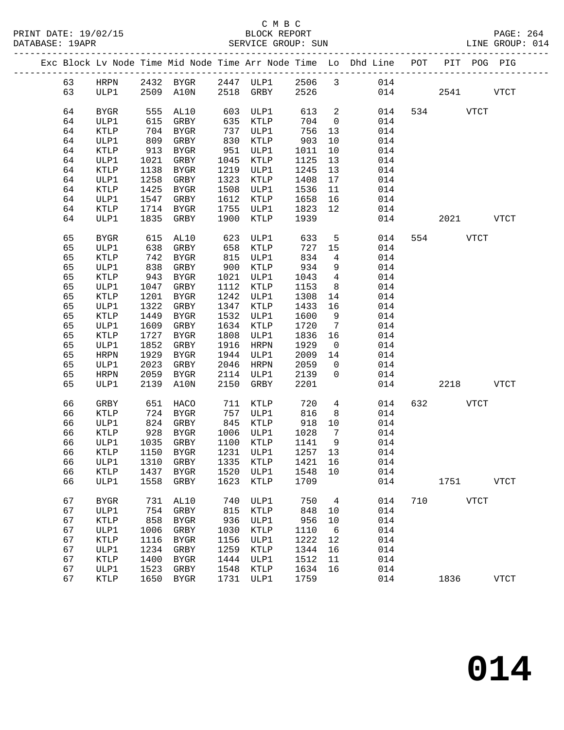### C M B C<br>BLOCK REPORT

|    |             |            |                      |            |           |            |                          | Exc Block Lv Node Time Mid Node Time Arr Node Time Lo Dhd Line POT       |     |          |           | PIT POG PIG  |
|----|-------------|------------|----------------------|------------|-----------|------------|--------------------------|--------------------------------------------------------------------------|-----|----------|-----------|--------------|
| 63 |             |            |                      |            |           |            |                          |                                                                          |     |          |           |              |
| 63 |             |            |                      |            |           |            |                          | HRPN 2432 BYGR 2447 ULP1 2506 3 014<br>ULP1 2509 A10N 2518 GRBY 2526 014 | 014 |          | 2541 VTCT |              |
| 64 | BYGR        | 555        | AL10                 |            | 603 ULP1  | 613        | $\overline{\phantom{a}}$ | 014                                                                      |     | 534 VTCT |           |              |
| 64 | ULP1        | 615        | GRBY                 |            | 635 KTLP  | 704        | $\overline{0}$           | 014                                                                      |     |          |           |              |
| 64 | KTLP        | 704        | BYGR                 |            | 737 ULP1  | 756        | 13                       | 014                                                                      |     |          |           |              |
| 64 | ULP1        | 809        | GRBY                 | 830        | KTLP      | 903        | 10                       | 014                                                                      |     |          |           |              |
| 64 | KTLP        | 913        | BYGR                 |            | 951 ULP1  | 1011       | 10                       | 014                                                                      |     |          |           |              |
| 64 | ULP1        | 1021       | GRBY                 | 1045       | KTLP      | 1125       | 13                       | 014                                                                      |     |          |           |              |
| 64 | KTLP        | 1138       | BYGR                 |            | 1219 ULP1 | 1245       | 13                       | 014                                                                      |     |          |           |              |
| 64 | ULP1        | 1258       | GRBY                 | 1323       | KTLP      | 1408       | 17                       | 014                                                                      |     |          |           |              |
| 64 | KTLP        | 1425       | BYGR                 | 1508       | ULP1      | 1536       | 11                       | 014                                                                      |     |          |           |              |
| 64 | ULP1        | 1547       | GRBY                 | 1612       | KTLP      | 1658       | 16                       | 014                                                                      |     |          |           |              |
| 64 | KTLP        | 1714       | BYGR                 | 1755       | ULP1      | 1823       | 12                       | 014                                                                      |     |          |           |              |
| 64 | ULP1        | 1835       | GRBY                 | 1900       | KTLP      | 1939       |                          | 014                                                                      |     |          | 2021 VTCT |              |
| 65 | <b>BYGR</b> |            | AL10                 | 623<br>658 | ULP1      | 633        | 5 <sup>5</sup>           | 014                                                                      |     | 554 VTCT |           |              |
| 65 | ULP1        | 615<br>638 | GRBY                 |            | KTLP      | 727 15     |                          | 014                                                                      |     |          |           |              |
| 65 | KTLP        | 742        | BYGR                 |            | 815 ULP1  | 834        | $\overline{4}$           | 014                                                                      |     |          |           |              |
| 65 | ULP1        | 838        | GRBY                 |            | 900 KTLP  | 934        | 9                        | 014                                                                      |     |          |           |              |
| 65 | KTLP        | 943        | BYGR                 |            | 1021 ULP1 | 1043       | $\overline{4}$           | 014                                                                      |     |          |           |              |
| 65 | ULP1        | 1047       | GRBY                 |            | 1112 KTLP | 1153       | 8 <sup>8</sup>           | 014                                                                      |     |          |           |              |
| 65 | KTLP        | 1201       | BYGR                 |            | 1242 ULP1 | 1308       | 14                       | 014                                                                      |     |          |           |              |
| 65 | ULP1        | 1322       | GRBY                 |            | 1347 KTLP | 1433       | 16                       | 014                                                                      |     |          |           |              |
| 65 | KTLP        | 1449       | BYGR                 |            | 1532 ULP1 | 1600       | 9                        | 014                                                                      |     |          |           |              |
| 65 | ULP1        | 1609       | GRBY                 |            | 1634 KTLP | 1720       | $\overline{7}$           | 014                                                                      |     |          |           |              |
| 65 | KTLP        | 1727       | BYGR                 | 1808       | ULP1      | 1836       | 16                       | 014                                                                      |     |          |           |              |
| 65 | ULP1        | 1852       | GRBY                 |            | 1916 HRPN | 1929       | $\overline{0}$           | 014                                                                      |     |          |           |              |
| 65 | HRPN        | 1929       | BYGR                 |            | 1944 ULP1 | 2009       | 14                       | 014                                                                      |     |          |           |              |
| 65 | ULP1        | 2023       | GRBY                 | 2046       | HRPN      | 2059       | $\overline{0}$           | 014                                                                      |     |          |           |              |
| 65 | HRPN        | 2059       | BYGR                 |            | 2114 ULP1 | 2139       | $\overline{0}$           | 014                                                                      |     |          |           |              |
| 65 | ULP1        |            | 2139 A10N            | 2150       | GRBY      | 2201       |                          | 014                                                                      |     |          | 2218 VTCT |              |
| 66 | GRBY        |            | 651 HACO<br>724 BYGR | 711        | KTLP      | 720<br>816 | $\overline{4}$           | 014                                                                      |     | 632 639  | VTCT      |              |
| 66 | KTLP        |            |                      |            | 757 ULP1  | 816        | 8 <sup>8</sup>           | 014                                                                      |     |          |           |              |
| 66 | ULP1        | 824        | GRBY                 |            | 845 KTLP  | 918        | 10                       | 014                                                                      |     |          |           |              |
| 66 | KTLP        | 928        | BYGR                 |            | 1006 ULP1 | 1028       | $\overline{7}$           | 014                                                                      |     |          |           |              |
| 66 | ULP1        | 1035       | GRBY                 |            | 1100 KTLP | 1141       | 9                        | 014                                                                      |     |          |           |              |
| 66 | KTLP        |            | 1150 BYGR            |            | 1231 ULP1 | 1257 13    |                          | 014                                                                      |     |          |           |              |
| 66 |             |            |                      |            |           |            |                          | ULP1 1310 GRBY 1335 KTLP 1421 16 014                                     |     |          |           |              |
| 66 | KTLP        | 1437       | BYGR                 |            | 1520 ULP1 | 1548 10    |                          | 014                                                                      |     |          |           |              |
| 66 | ULP1        | 1558       | GRBY                 | 1623       | KTLP      | 1709       |                          | 014                                                                      |     |          | 1751 VTCT |              |
| 67 | <b>BYGR</b> | 731        | AL10                 | 740        | ULP1      | 750        | $\overline{4}$           | 014                                                                      |     | 710 VTCT |           |              |
| 67 | ULP1        | 754        | GRBY                 | 815        | KTLP      | 848        | 10                       | 014                                                                      |     |          |           |              |
| 67 | KTLP        | 858        | BYGR                 | 936        | ULP1      | 956        | 10                       | 014                                                                      |     |          |           |              |
| 67 | ULP1        | 1006       | GRBY                 | 1030       | KTLP      | 1110       | 6                        | 014                                                                      |     |          |           |              |
| 67 | KTLP        | 1116       | BYGR                 | 1156       | ULP1      | 1222       | 12                       | 014                                                                      |     |          |           |              |
| 67 | ULP1        | 1234       | GRBY                 | 1259       | KTLP      | 1344       | 16                       | 014                                                                      |     |          |           |              |
| 67 | KTLP        | 1400       | BYGR                 | 1444       | ULP1      | 1512       | 11                       | 014                                                                      |     |          |           |              |
| 67 | ULP1        | 1523       | GRBY                 | 1548       | KTLP      | 1634 16    |                          | 014                                                                      |     |          |           |              |
| 67 | KTLP        |            | 1650 BYGR            | 1731       | ULP1      | 1759       |                          | 014                                                                      |     | 1836     |           | ${\tt VTCT}$ |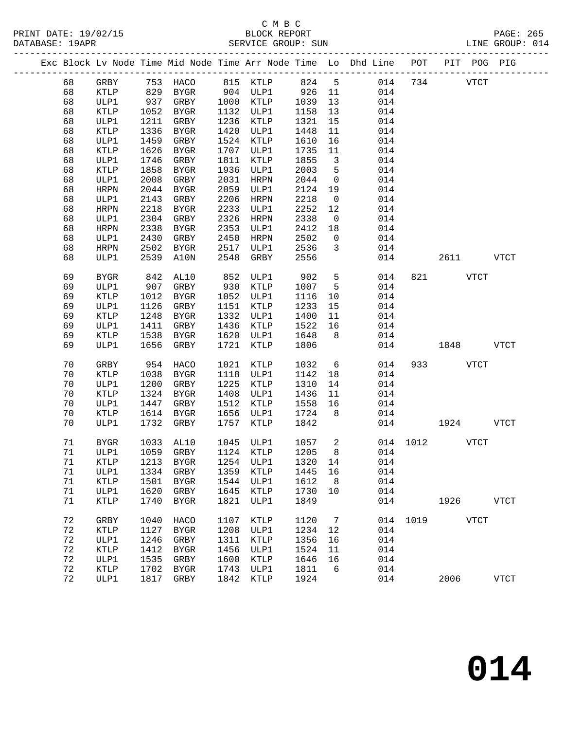|  |    |             |      |                      |      |                                  |      |                         | Exc Block Lv Node Time Mid Node Time Arr Node Time Lo Dhd Line POT PIT POG PIG |               |          |             |             |
|--|----|-------------|------|----------------------|------|----------------------------------|------|-------------------------|--------------------------------------------------------------------------------|---------------|----------|-------------|-------------|
|  | 68 | GRBY        |      | 753 HACO             |      | 815 KTLP                         |      |                         | 824 5 014                                                                      | 734           |          | <b>VTCT</b> |             |
|  | 68 | KTLP        |      |                      |      | 904 ULP1                         | 926  | 11                      | 014                                                                            |               |          |             |             |
|  | 68 | ULP1        |      | 829 BYGR<br>937 GRBY | 1000 | KTLP                             | 1039 | 13                      | 014                                                                            |               |          |             |             |
|  | 68 | KTLP        |      | 1052 BYGR            | 1132 | ULP1                             | 1158 | 13                      | 014                                                                            |               |          |             |             |
|  | 68 | ULP1        | 1211 | GRBY                 | 1236 | KTLP                             | 1321 | 15                      | 014                                                                            |               |          |             |             |
|  | 68 | KTLP        | 1336 | BYGR                 | 1420 | ULP1                             | 1448 | 11                      | 014                                                                            |               |          |             |             |
|  | 68 | ULP1        | 1459 | GRBY                 | 1524 | KTLP                             | 1610 | 16                      | 014                                                                            |               |          |             |             |
|  | 68 | KTLP        | 1626 | BYGR                 | 1707 | ULP1                             | 1735 | 11                      | 014                                                                            |               |          |             |             |
|  | 68 | ULP1        | 1746 | GRBY                 | 1811 | KTLP                             | 1855 | $\overline{\mathbf{3}}$ | 014                                                                            |               |          |             |             |
|  | 68 | KTLP        | 1858 | BYGR                 | 1936 | ULP1                             | 2003 | 5                       | 014                                                                            |               |          |             |             |
|  | 68 | ULP1        | 2008 | GRBY                 | 2031 | HRPN                             | 2044 | $\overline{0}$          | 014                                                                            |               |          |             |             |
|  | 68 | HRPN        |      | 2044 BYGR            | 2059 | ULP1                             | 2124 | 19                      | 014                                                                            |               |          |             |             |
|  | 68 | ULP1        | 2143 | GRBY                 | 2206 | HRPN                             | 2218 | $\overline{0}$          | 014                                                                            |               |          |             |             |
|  | 68 | <b>HRPN</b> | 2218 | BYGR                 | 2233 | ULP1                             | 2252 | 12                      | 014                                                                            |               |          |             |             |
|  | 68 | ULP1        | 2304 | GRBY                 | 2326 | HRPN                             | 2338 | $\overline{0}$          | 014                                                                            |               |          |             |             |
|  | 68 | <b>HRPN</b> | 2338 | BYGR                 | 2353 | ULP1                             | 2412 | 18                      | 014                                                                            |               |          |             |             |
|  | 68 | ULP1        | 2430 | GRBY                 | 2450 | HRPN                             | 2502 | $\overline{0}$          | 014                                                                            |               |          |             |             |
|  | 68 | <b>HRPN</b> | 2502 | BYGR                 | 2517 | ULP1                             | 2536 | $\overline{3}$          | 014                                                                            |               |          |             |             |
|  | 68 | ULP1        | 2539 | A10N                 | 2548 | GRBY                             | 2556 |                         | 014                                                                            |               | 2611     |             | <b>VTCT</b> |
|  |    |             |      |                      |      |                                  |      |                         |                                                                                |               |          |             |             |
|  | 69 | <b>BYGR</b> | 842  | AL10                 | 852  | ULP1                             | 902  | 5 <sup>5</sup>          | 014                                                                            |               | 821 VTCT |             |             |
|  | 69 | ULP1        | 907  | GRBY                 | 930  | KTLP                             | 1007 | $5^{\circ}$             | 014                                                                            |               |          |             |             |
|  | 69 | <b>KTLP</b> | 1012 | BYGR                 | 1052 | ULP1                             | 1116 | 10                      | 014                                                                            |               |          |             |             |
|  | 69 | ULP1        | 1126 | GRBY                 | 1151 | KTLP                             | 1233 | 15                      | 014                                                                            |               |          |             |             |
|  | 69 | <b>KTLP</b> | 1248 | BYGR                 | 1332 | ULP1                             | 1400 | 11                      | 014                                                                            |               |          |             |             |
|  | 69 | ULP1        | 1411 | GRBY                 | 1436 | KTLP                             | 1522 | 16                      | 014                                                                            |               |          |             |             |
|  | 69 | KTLP        | 1538 | BYGR                 | 1620 | ULP1                             | 1648 | 8                       | 014                                                                            |               |          |             |             |
|  | 69 | ULP1        | 1656 | GRBY                 | 1721 | KTLP                             | 1806 |                         | 014                                                                            |               | 1848     |             | <b>VTCT</b> |
|  |    |             |      |                      |      |                                  |      |                         |                                                                                |               |          |             |             |
|  | 70 | GRBY        | 954  | HACO                 | 1021 | KTLP                             | 1032 | $6\overline{6}$         | 014                                                                            |               | 933 VTCT |             |             |
|  | 70 | KTLP        | 1038 | BYGR                 | 1118 | ULP1                             | 1142 | 18                      | 014                                                                            |               |          |             |             |
|  | 70 | ULP1        | 1200 | GRBY                 | 1225 | KTLP                             | 1310 | 14                      | 014                                                                            |               |          |             |             |
|  | 70 | KTLP        | 1324 | BYGR                 | 1408 | ULP1                             | 1436 | 11                      | 014                                                                            |               |          |             |             |
|  | 70 | ULP1        | 1447 | GRBY                 | 1512 | KTLP                             | 1558 | 16                      | 014                                                                            |               |          |             |             |
|  | 70 | KTLP        | 1614 | BYGR                 | 1656 | ULP1                             | 1724 | 8 <sup>8</sup>          | 014                                                                            |               |          |             |             |
|  | 70 | ULP1        | 1732 | GRBY                 | 1757 | KTLP                             | 1842 |                         | 014                                                                            |               | 1924     |             | <b>VTCT</b> |
|  | 71 | <b>BYGR</b> |      | 1033 AL10            | 1045 | ULP1                             | 1057 | $\overline{\mathbf{c}}$ |                                                                                | 014 1012 VTCT |          |             |             |
|  | 71 | ULP1        |      | 1059 GRBY            |      | 1124 KTLP                        | 1205 | 8 <sup>8</sup>          | 014                                                                            |               |          |             |             |
|  | 71 |             |      |                      |      | KTLP 1213 BYGR 1254 ULP1 1320 14 |      |                         | 014                                                                            |               |          |             |             |
|  | 71 | ULP1        | 1334 | GRBY                 | 1359 | KTLP                             | 1445 | 16                      | 014                                                                            |               |          |             |             |
|  | 71 | <b>KTLP</b> | 1501 | <b>BYGR</b>          | 1544 | ULP1                             | 1612 | 8                       | 014                                                                            |               |          |             |             |
|  | 71 | ULP1        | 1620 | GRBY                 | 1645 | KTLP                             | 1730 | 10                      | 014                                                                            |               |          |             |             |
|  | 71 | <b>KTLP</b> | 1740 | <b>BYGR</b>          | 1821 | ULP1                             | 1849 |                         | 014                                                                            |               | 1926     |             | <b>VTCT</b> |
|  | 72 | GRBY        | 1040 | HACO                 | 1107 | <b>KTLP</b>                      | 1120 | 7                       | 014                                                                            | 1019          |          | <b>VTCT</b> |             |
|  | 72 | KTLP        | 1127 | <b>BYGR</b>          | 1208 | ULP1                             | 1234 | 12                      | 014                                                                            |               |          |             |             |
|  | 72 | ULP1        | 1246 | GRBY                 | 1311 | <b>KTLP</b>                      | 1356 | 16                      | 014                                                                            |               |          |             |             |
|  | 72 | <b>KTLP</b> | 1412 | <b>BYGR</b>          | 1456 | ULP1                             | 1524 | 11                      | 014                                                                            |               |          |             |             |
|  | 72 | ULP1        | 1535 | GRBY                 | 1600 | KTLP                             | 1646 | 16                      | 014                                                                            |               |          |             |             |
|  | 72 | KTLP        | 1702 | <b>BYGR</b>          | 1743 | ULP1                             | 1811 | 6                       | 014                                                                            |               |          |             |             |
|  | 72 | ULP1        | 1817 | GRBY                 | 1842 | <b>KTLP</b>                      | 1924 |                         | 014                                                                            |               | 2006     |             | <b>VTCT</b> |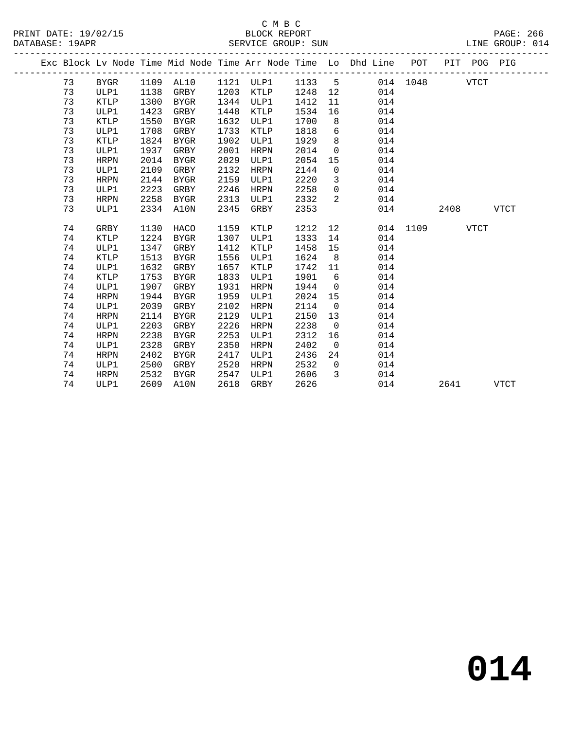|  |    |             |      |           |      |                     |        |                | Exc Block Lv Node Time Mid Node Time Arr Node Time Lo Dhd Line POT |          | PIT POG PIG |             |             |
|--|----|-------------|------|-----------|------|---------------------|--------|----------------|--------------------------------------------------------------------|----------|-------------|-------------|-------------|
|  | 73 | BYGR        |      |           |      | 1109 AL10 1121 ULP1 | 1133 5 |                |                                                                    | 014 1048 |             | <b>VTCT</b> |             |
|  | 73 | ULP1        | 1138 | GRBY      |      | 1203 KTLP           | 1248   | 12             | 014                                                                |          |             |             |             |
|  | 73 | KTLP        | 1300 | BYGR      | 1344 | ULP1                | 1412   | 11             | 014                                                                |          |             |             |             |
|  | 73 | ULP1        | 1423 | GRBY      | 1448 | KTLP                | 1534   | 16             | 014                                                                |          |             |             |             |
|  | 73 | KTLP        | 1550 | BYGR      | 1632 | ULP1                | 1700   | 8              | 014                                                                |          |             |             |             |
|  | 73 | ULP1        | 1708 | GRBY      | 1733 | KTLP                | 1818   | 6              | 014                                                                |          |             |             |             |
|  | 73 | KTLP        | 1824 | BYGR      | 1902 | ULP1                | 1929   | 8              | 014                                                                |          |             |             |             |
|  | 73 | ULP1        | 1937 | GRBY      | 2001 | HRPN                | 2014   | $\overline{0}$ | 014                                                                |          |             |             |             |
|  | 73 | HRPN        | 2014 | BYGR      | 2029 | ULP1                | 2054   | 15             | 014                                                                |          |             |             |             |
|  | 73 | ULP1        | 2109 | GRBY      | 2132 | HRPN                | 2144   | $\overline{0}$ | 014                                                                |          |             |             |             |
|  | 73 | HRPN        | 2144 | BYGR      | 2159 | ULP1                | 2220   | $\overline{3}$ | 014                                                                |          |             |             |             |
|  | 73 | ULP1        | 2223 | GRBY      | 2246 | HRPN                | 2258   | $\overline{0}$ | 014                                                                |          |             |             |             |
|  | 73 | HRPN        | 2258 | BYGR      | 2313 | ULP1                | 2332   | 2              | 014                                                                |          |             |             |             |
|  | 73 | ULP1        | 2334 | A10N      | 2345 | GRBY                | 2353   |                | 014                                                                |          | 2408        |             | <b>VTCT</b> |
|  |    |             |      |           |      |                     |        |                |                                                                    |          |             |             |             |
|  | 74 | GRBY        | 1130 | HACO      | 1159 | KTLP                | 1212   | 12             |                                                                    | 014 1109 |             | <b>VTCT</b> |             |
|  | 74 | KTLP        | 1224 | BYGR      | 1307 | ULP1                | 1333   | 14             | 014                                                                |          |             |             |             |
|  | 74 | ULP1        | 1347 | GRBY      | 1412 | KTLP                | 1458   | 15             | 014                                                                |          |             |             |             |
|  | 74 | KTLP        | 1513 | BYGR      | 1556 | ULP1                | 1624   | 8 <sup>8</sup> | 014                                                                |          |             |             |             |
|  | 74 | ULP1        | 1632 | GRBY      | 1657 | KTLP                | 1742   | 11             | 014                                                                |          |             |             |             |
|  | 74 | KTLP        | 1753 | BYGR      | 1833 | ULP1                | 1901   | 6              | 014                                                                |          |             |             |             |
|  | 74 | ULP1        | 1907 | GRBY      | 1931 | HRPN                | 1944   | $\overline{0}$ | 014                                                                |          |             |             |             |
|  | 74 | HRPN        | 1944 | BYGR      | 1959 | ULP1                | 2024   | 15             | 014                                                                |          |             |             |             |
|  | 74 | ULP1        | 2039 | GRBY      | 2102 | HRPN                | 2114   | $\overline{0}$ | 014                                                                |          |             |             |             |
|  | 74 | HRPN        | 2114 | BYGR      | 2129 | ULP1                | 2150   | 13             | 014                                                                |          |             |             |             |
|  | 74 | ULP1        | 2203 | GRBY      | 2226 | HRPN                | 2238   | $\overline{0}$ | 014                                                                |          |             |             |             |
|  | 74 | <b>HRPN</b> | 2238 | BYGR      | 2253 | ULP1                | 2312   | 16             | 014                                                                |          |             |             |             |
|  | 74 | ULP1        | 2328 | GRBY      | 2350 | HRPN                | 2402   | $\overline{0}$ | 014                                                                |          |             |             |             |
|  | 74 | <b>HRPN</b> | 2402 | BYGR      | 2417 | ULP1                | 2436   | 24             | 014                                                                |          |             |             |             |
|  | 74 | ULP1        | 2500 | GRBY      | 2520 | HRPN                | 2532   | $\overline{0}$ | 014                                                                |          |             |             |             |
|  | 74 | HRPN        | 2532 | BYGR      | 2547 | ULP1                | 2606   | 3              | 014                                                                |          |             |             |             |
|  | 74 | ULP1        |      | 2609 A10N | 2618 | GRBY                | 2626   |                | 014                                                                |          | 2641        |             | <b>VTCT</b> |
|  |    |             |      |           |      |                     |        |                |                                                                    |          |             |             |             |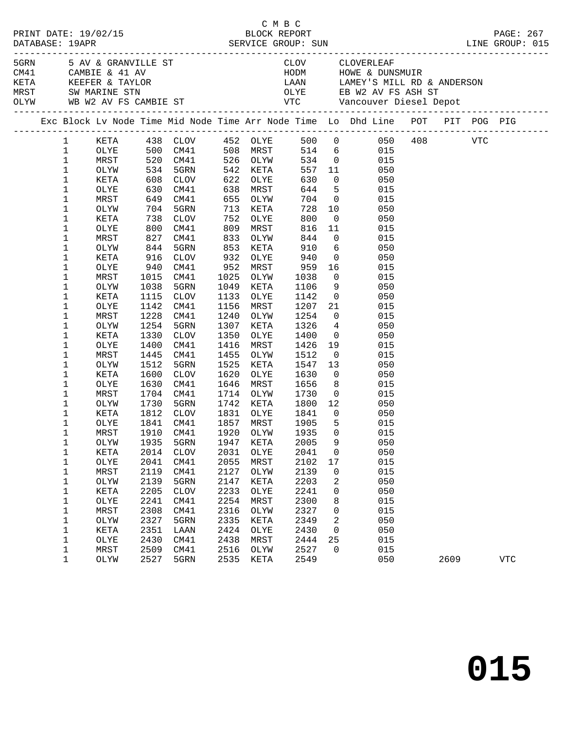|                             |              |      |                      |      |              |              |                 | 5 AV & GRANVILLE ST CLOV CLOVERLEAF<br>CM41 CAMBIE & 41 AV HODM HOWE & DUNSMUIR<br>KETA KEEFER & TAYLOR LAAN LAMEY'S MILL RD & ANDERSON<br>MRST SWIMARINE STN OLYE EB W2 AV FS ASH ST<br>OLYW WB W2 AV FS CAMBIE ST VTC Vancouver Dies |      |            |
|-----------------------------|--------------|------|----------------------|------|--------------|--------------|-----------------|----------------------------------------------------------------------------------------------------------------------------------------------------------------------------------------------------------------------------------------|------|------------|
|                             |              |      |                      |      |              |              |                 | Exc Block Lv Node Time Mid Node Time Arr Node Time Lo Dhd Line POT PIT POG PIG                                                                                                                                                         |      |            |
| $\mathbf{1}$<br>$\mathbf 1$ |              |      |                      |      |              |              |                 | KETA 438 CLOV 452 OLYE 500 0 050 408 VTC<br>OLYE 500 CM41 508 MRST 514 6 015                                                                                                                                                           |      |            |
| $\mathbf{1}$                |              |      | 520 CM41 526 OLYW    |      |              |              |                 | 534 0                                                                                                                                                                                                                                  |      |            |
|                             | MRST         |      |                      |      |              | 557          |                 | 015                                                                                                                                                                                                                                    |      |            |
| 1<br>$\mathbf 1$            | OLYW         |      | 534 5GRN             | 622  | 542 KETA     | 630          | $\overline{0}$  | 11 050<br>050                                                                                                                                                                                                                          |      |            |
| 1                           | KETA<br>OLYE |      | 608 CLOV<br>630 CM41 | 638  | OLYE<br>MRST | 644          |                 | $\frac{3}{5}$<br>015                                                                                                                                                                                                                   |      |            |
| $\mathbf 1$                 | MRST         |      | 649 CM41             | 655  | OLYW         | 704          |                 | $\overline{0}$<br>015                                                                                                                                                                                                                  |      |            |
| 1                           | OLYW         |      | 704 5GRN             | 713  | KETA         | 728          |                 | 10<br>050                                                                                                                                                                                                                              |      |            |
| 1                           | KETA         |      | 738 CLOV             | 752  | OLYE         | 800          | $\overline{0}$  | 050                                                                                                                                                                                                                                    |      |            |
| $\mathbf 1$                 | OLYE         |      | 800 CM41             | 809  | MRST         | 816          | 11              | 015                                                                                                                                                                                                                                    |      |            |
| 1                           | MRST         |      | 827 CM41             | 833  | OLYW         | 844          | $\overline{0}$  | 015                                                                                                                                                                                                                                    |      |            |
| 1                           | OLYW         | 844  | 5GRN                 | 853  | KETA         | 910          | $6\overline{6}$ | 050                                                                                                                                                                                                                                    |      |            |
| 1                           | KETA         |      |                      | 932  | OLYE         | 940          |                 | 050                                                                                                                                                                                                                                    |      |            |
| $\mathbf 1$                 | OLYE         |      | 916 CLOV<br>940 CM41 | 952  | MRST         | 959          |                 | $\begin{array}{c} 0 \\ 16 \end{array}$<br>015                                                                                                                                                                                          |      |            |
| 1                           | MRST         |      | 1015 CM41            | 1025 | OLYW         | 1038         | $\overline{0}$  | 015                                                                                                                                                                                                                                    |      |            |
| 1                           | OLYW         | 1038 | 5GRN                 | 1049 | KETA         | 1106         | 9               | 050                                                                                                                                                                                                                                    |      |            |
| 1                           | KETA         |      | 1115 CLOV            | 1133 | OLYE         | 1142         | $\overline{0}$  | 050                                                                                                                                                                                                                                    |      |            |
| $\mathbf 1$                 | OLYE         |      | 1142 CM41            | 1156 | MRST         | 1207         | 21              | 015                                                                                                                                                                                                                                    |      |            |
| 1                           | MRST         | 1228 | CM41                 | 1240 | OLYW         | 1254         | $\overline{0}$  | 015                                                                                                                                                                                                                                    |      |            |
| 1                           | OLYW         | 1254 | 5GRN                 | 1307 | KETA         | 1326         | $\overline{4}$  | 050                                                                                                                                                                                                                                    |      |            |
| 1                           | KETA         | 1330 | CLOV                 | 1350 | OLYE         | 1400         |                 | $\overline{0}$<br>050                                                                                                                                                                                                                  |      |            |
| $\mathbf 1$                 | OLYE         | 1400 | CM41                 | 1416 | MRST         | 1426         | 19              | 015                                                                                                                                                                                                                                    |      |            |
| 1                           | MRST         | 1445 | CM41                 | 1455 | OLYW         | 1512         | $\overline{0}$  | 015                                                                                                                                                                                                                                    |      |            |
| $\mathbf 1$                 | OLYW         | 1512 | 5GRN                 | 1525 | KETA         | 1547         | 13              | 050                                                                                                                                                                                                                                    |      |            |
| 1                           | KETA         | 1600 | CLOV                 | 1620 | OLYE         | 1630         | $\overline{0}$  | 050                                                                                                                                                                                                                                    |      |            |
| $\mathbf 1$                 | OLYE         | 1630 | CM41                 | 1646 | MRST         | 1656         | 8 <sup>1</sup>  | 015                                                                                                                                                                                                                                    |      |            |
| 1                           | MRST         |      | 1704 CM41            | 1714 | OLYW         | 1730         |                 | $\overline{0}$<br>015                                                                                                                                                                                                                  |      |            |
| 1                           | OLYW         | 1730 | 5GRN                 |      | 1742 KETA    | 1800         | 12              | 050                                                                                                                                                                                                                                    |      |            |
| 1                           | KETA         |      | 1812 CLOV            | 1831 | OLYE         | 1841<br>1905 | $\overline{0}$  | 050                                                                                                                                                                                                                                    |      |            |
| 1                           | OLYE         |      | 1841 CM41            |      | 1857 MRST    | 1905         | $5^{\circ}$     | 015                                                                                                                                                                                                                                    |      |            |
| 1                           | $\tt MRST$   |      |                      |      |              |              |                 | 1910 CM41 1920 OLYW 1935 0 015                                                                                                                                                                                                         |      |            |
| 1                           | OLYW         | 1935 | 5GRN                 | 1947 | KETA         | 2005         | 9               | 050                                                                                                                                                                                                                                    |      |            |
| 1                           | KETA         | 2014 | <b>CLOV</b>          | 2031 | OLYE         | 2041         | 0               | 050                                                                                                                                                                                                                                    |      |            |
| 1                           | OLYE         | 2041 | CM41                 | 2055 | MRST         | 2102         | 17              | 015                                                                                                                                                                                                                                    |      |            |
| $\mathbf 1$                 | MRST         | 2119 | CM41                 | 2127 | OLYW         | 2139         | 0               | 015                                                                                                                                                                                                                                    |      |            |
| $\mathbf 1$                 | OLYW         | 2139 | 5GRN                 | 2147 | KETA         | 2203         | 2               | 050                                                                                                                                                                                                                                    |      |            |
| $\mathbf 1$                 | KETA         | 2205 | <b>CLOV</b>          | 2233 | OLYE         | 2241         | 0               | 050                                                                                                                                                                                                                                    |      |            |
| $\mathbf 1$                 | OLYE         | 2241 | CM41                 | 2254 | MRST         | 2300         | 8               | 015                                                                                                                                                                                                                                    |      |            |
| $\mathbf 1$                 | MRST         | 2308 | CM41                 | 2316 | OLYW         | 2327         | 0               | 015                                                                                                                                                                                                                                    |      |            |
| $\mathbf 1$                 | OLYW         | 2327 | 5GRN                 | 2335 | KETA         | 2349         | 2               | 050                                                                                                                                                                                                                                    |      |            |
| 1                           | KETA         | 2351 | LAAN                 | 2424 | OLYE         | 2430         | 0               | 050                                                                                                                                                                                                                                    |      |            |
| 1                           | OLYE         | 2430 | CM41                 | 2438 | MRST         | 2444         | 25              | 015                                                                                                                                                                                                                                    |      |            |
| $\mathbf 1$                 | MRST         | 2509 | CM41                 | 2516 | OLYW         | 2527         | $\mathbf 0$     | 015                                                                                                                                                                                                                                    |      |            |
| 1                           | OLYW         | 2527 | 5GRN                 | 2535 | KETA         | 2549         |                 | 050                                                                                                                                                                                                                                    | 2609 | <b>VTC</b> |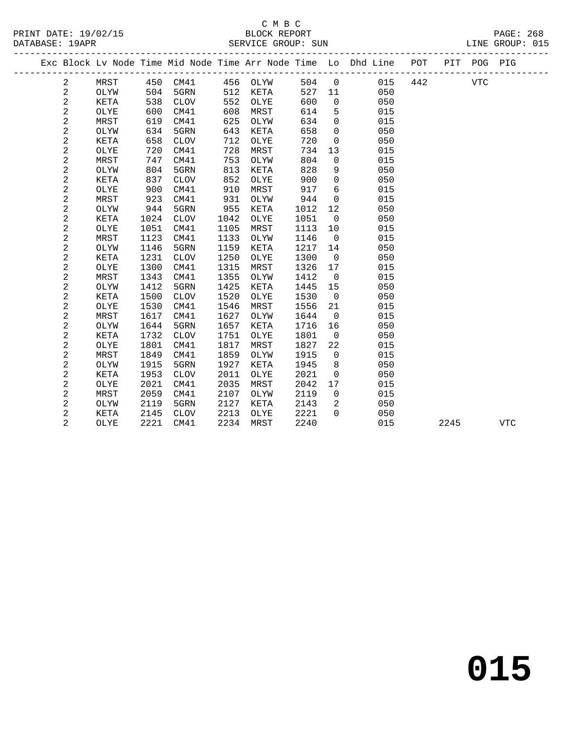|  |                |             |      |                 |      |      |      |              | Exc Block Lv Node Time Mid Node Time Arr Node Time Lo Dhd Line | POT |      | PIT POG PIG |            |  |
|--|----------------|-------------|------|-----------------|------|------|------|--------------|----------------------------------------------------------------|-----|------|-------------|------------|--|
|  | $\overline{a}$ | MRST        | 450  | CM41            | 456  | OLYW | 504  | $\mathsf 0$  | 015                                                            | 442 |      | <b>VTC</b>  |            |  |
|  | 2              | OLYW        | 504  | 5GRN            | 512  | KETA | 527  | 11           | 050                                                            |     |      |             |            |  |
|  | 2              | KETA        | 538  | $\mathtt{CLOV}$ | 552  | OLYE | 600  | $\mathbf 0$  | 050                                                            |     |      |             |            |  |
|  | $\mathbf{2}$   | OLYE        | 600  | CM41            | 608  | MRST | 614  | 5            | 015                                                            |     |      |             |            |  |
|  | $\sqrt{2}$     | MRST        | 619  | CM41            | 625  | OLYW | 634  | 0            | 015                                                            |     |      |             |            |  |
|  | 2              | OLYW        | 634  | 5GRN            | 643  | KETA | 658  | $\mathsf{O}$ | 050                                                            |     |      |             |            |  |
|  | $\sqrt{2}$     | KETA        | 658  | <b>CLOV</b>     | 712  | OLYE | 720  | 0            | 050                                                            |     |      |             |            |  |
|  | $\sqrt{2}$     | OLYE        | 720  | CM41            | 728  | MRST | 734  | 13           | 015                                                            |     |      |             |            |  |
|  | $\sqrt{2}$     | MRST        | 747  | CM41            | 753  | OLYW | 804  | 0            | 015                                                            |     |      |             |            |  |
|  | $\sqrt{2}$     | OLYW        | 804  | 5GRN            | 813  | KETA | 828  | 9            | 050                                                            |     |      |             |            |  |
|  | $\sqrt{2}$     | <b>KETA</b> | 837  | <b>CLOV</b>     | 852  | OLYE | 900  | $\mathbf 0$  | 050                                                            |     |      |             |            |  |
|  | $\sqrt{2}$     | OLYE        | 900  | CM41            | 910  | MRST | 917  | 6            | 015                                                            |     |      |             |            |  |
|  | $\sqrt{2}$     | MRST        | 923  | CM41            | 931  | OLYW | 944  | $\mathbf 0$  | 015                                                            |     |      |             |            |  |
|  | $\mathbf{2}$   | OLYW        | 944  | 5GRN            | 955  | KETA | 1012 | 12           | 050                                                            |     |      |             |            |  |
|  | $\mathbf{2}$   | <b>KETA</b> | 1024 | <b>CLOV</b>     | 1042 | OLYE | 1051 | $\mathbf 0$  | 050                                                            |     |      |             |            |  |
|  | $\mathbf{2}$   | OLYE        | 1051 | CM41            | 1105 | MRST | 1113 | 10           | 015                                                            |     |      |             |            |  |
|  | $\mathbf{2}$   | MRST        | 1123 | CM41            | 1133 | OLYW | 1146 | $\mathsf{O}$ | 015                                                            |     |      |             |            |  |
|  | $\sqrt{2}$     | OLYW        | 1146 | 5GRN            | 1159 | KETA | 1217 | 14           | 050                                                            |     |      |             |            |  |
|  | $\sqrt{2}$     | KETA        | 1231 | <b>CLOV</b>     | 1250 | OLYE | 1300 | $\mathsf{O}$ | 050                                                            |     |      |             |            |  |
|  | 2              | OLYE        | 1300 | CM41            | 1315 | MRST | 1326 | 17           | 015                                                            |     |      |             |            |  |
|  | $\sqrt{2}$     | MRST        | 1343 | CM41            | 1355 | OLYW | 1412 | 0            | 015                                                            |     |      |             |            |  |
|  | $\sqrt{2}$     | OLYW        | 1412 | 5GRN            | 1425 | KETA | 1445 | 15           | 050                                                            |     |      |             |            |  |
|  | $\sqrt{2}$     | KETA        | 1500 | <b>CLOV</b>     | 1520 | OLYE | 1530 | $\mathbf 0$  | 050                                                            |     |      |             |            |  |
|  | $\sqrt{2}$     | OLYE        | 1530 | CM41            | 1546 | MRST | 1556 | 21           | 015                                                            |     |      |             |            |  |
|  | $\sqrt{2}$     | MRST        | 1617 | CM41            | 1627 | OLYW | 1644 | $\mathbf 0$  | 015                                                            |     |      |             |            |  |
|  | $\mathbf{2}$   | OLYW        | 1644 | 5GRN            | 1657 | KETA | 1716 | 16           | 050                                                            |     |      |             |            |  |
|  | 2              | <b>KETA</b> | 1732 | <b>CLOV</b>     | 1751 | OLYE | 1801 | $\mathbf 0$  | 050                                                            |     |      |             |            |  |
|  | $\mathbf 2$    | OLYE        | 1801 | CM41            | 1817 | MRST | 1827 | 22           | 015                                                            |     |      |             |            |  |
|  | $\mathbf{2}$   | MRST        | 1849 | CM41            | 1859 | OLYW | 1915 | $\mathbf 0$  | 015                                                            |     |      |             |            |  |
|  | $\sqrt{2}$     | OLYW        | 1915 | 5GRN            | 1927 | KETA | 1945 | 8            | 050                                                            |     |      |             |            |  |
|  | $\sqrt{2}$     | KETA        | 1953 | <b>CLOV</b>     | 2011 | OLYE | 2021 | 0            | 050                                                            |     |      |             |            |  |
|  | 2              | OLYE        | 2021 | CM41            | 2035 | MRST | 2042 | 17           | 015                                                            |     |      |             |            |  |
|  | $\overline{a}$ | <b>MRST</b> | 2059 | CM41            | 2107 | OLYW | 2119 | $\mathbf 0$  | 015                                                            |     |      |             |            |  |
|  | $\sqrt{2}$     | OLYW        | 2119 | 5GRN            | 2127 | KETA | 2143 | 2            | 050                                                            |     |      |             |            |  |
|  | $\overline{a}$ | <b>KETA</b> | 2145 | <b>CLOV</b>     | 2213 | OLYE | 2221 | $\Omega$     | 050                                                            |     |      |             |            |  |
|  | $\overline{2}$ | OLYE        | 2221 | CM41            | 2234 | MRST | 2240 |              | 015                                                            |     | 2245 |             | <b>VTC</b> |  |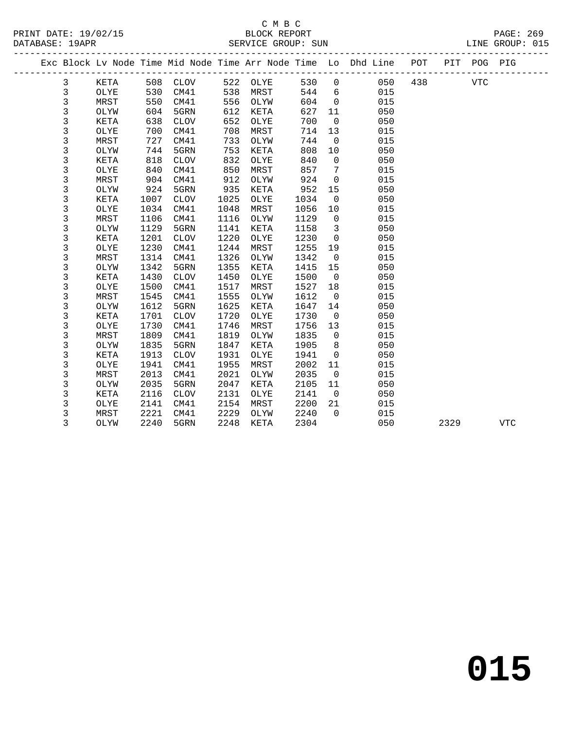### C M B C<br>BLOCK REPORT

|  | PRINT DATE: 19/02/15<br>DATARASE: 19APR |  |  |  | BLOCK REPORT | SERVICE GROUP: SUN |                                                                                |  |  | PAGE: 269<br>LINE GROUP: 015 |  |
|--|-----------------------------------------|--|--|--|--------------|--------------------|--------------------------------------------------------------------------------|--|--|------------------------------|--|
|  |                                         |  |  |  |              |                    | Exc Block Ly Node Time Mid Node Time Arr Node Time Lo Dhd Line POT PIT POG PIG |  |  |                              |  |

|             |             |      |             |      |             |      |              | Exc Block Lv Node Time Mid Node Time Arr Node Time Lo Dhd Line | POT | PIT  | POG PIG    |             |  |
|-------------|-------------|------|-------------|------|-------------|------|--------------|----------------------------------------------------------------|-----|------|------------|-------------|--|
| 3           | KETA        | 508  | CLOV        | 522  | OLYE        | 530  | $\mathbf 0$  | 050                                                            | 438 |      | <b>VTC</b> |             |  |
| 3           | OLYE        | 530  | CM41        | 538  | MRST        | 544  | 6            | 015                                                            |     |      |            |             |  |
| 3           | MRST        | 550  | CM41        | 556  | OLYW        | 604  | 0            | 015                                                            |     |      |            |             |  |
| 3           | OLYW        | 604  | 5GRN        | 612  | KETA        | 627  | 11           | 050                                                            |     |      |            |             |  |
| 3           | KETA        | 638  | CLOV        | 652  | OLYE        | 700  | 0            | 050                                                            |     |      |            |             |  |
| 3           | OLYE        | 700  | CM41        | 708  | MRST        | 714  | 13           | 015                                                            |     |      |            |             |  |
| 3           | MRST        | 727  | CM41        | 733  | OLYW        | 744  | 0            | 015                                                            |     |      |            |             |  |
| $\mathsf 3$ | OLYW        | 744  | 5GRN        | 753  | KETA        | 808  | 10           | 050                                                            |     |      |            |             |  |
| $\mathsf 3$ | <b>KETA</b> | 818  | <b>CLOV</b> | 832  | OLYE        | 840  | 0            | 050                                                            |     |      |            |             |  |
| $\mathsf 3$ | OLYE        | 840  | CM41        | 850  | MRST        | 857  | 7            | 015                                                            |     |      |            |             |  |
| $\mathsf 3$ | MRST        | 904  | CM41        | 912  | OLYW        | 924  | 0            | 015                                                            |     |      |            |             |  |
| 3           | OLYW        | 924  | 5GRN        | 935  | KETA        | 952  | 15           | 050                                                            |     |      |            |             |  |
| $\mathsf 3$ | KETA        | 1007 | <b>CLOV</b> | 1025 | OLYE        | 1034 | $\mathbf 0$  | 050                                                            |     |      |            |             |  |
| $\mathsf 3$ | OLYE        | 1034 | CM41        | 1048 | MRST        | 1056 | 10           | 015                                                            |     |      |            |             |  |
| 3           | MRST        | 1106 | CM41        | 1116 | OLYW        | 1129 | 0            | 015                                                            |     |      |            |             |  |
| $\mathsf 3$ | OLYW        | 1129 | 5GRN        | 1141 | KETA        | 1158 | 3            | 050                                                            |     |      |            |             |  |
| 3           | KETA        | 1201 | <b>CLOV</b> | 1220 | OLYE        | 1230 | 0            | 050                                                            |     |      |            |             |  |
| 3           | OLYE        | 1230 | CM41        | 1244 | MRST        | 1255 | 19           | 015                                                            |     |      |            |             |  |
| 3           | MRST        | 1314 | CM41        | 1326 | OLYW        | 1342 | $\mathbf 0$  | 015                                                            |     |      |            |             |  |
| 3           | OLYW        | 1342 | 5GRN        | 1355 | KETA        | 1415 | 15           | 050                                                            |     |      |            |             |  |
| 3           | KETA        | 1430 | <b>CLOV</b> | 1450 | OLYE        | 1500 | $\mathbf 0$  | 050                                                            |     |      |            |             |  |
| 3           | OLYE        | 1500 | CM41        | 1517 | MRST        | 1527 | 18           | 015                                                            |     |      |            |             |  |
| 3           | MRST        | 1545 | CM41        | 1555 | OLYW        | 1612 | $\mathbf 0$  | 015                                                            |     |      |            |             |  |
| $\mathsf 3$ | OLYW        | 1612 | 5GRN        | 1625 | KETA        | 1647 | 14           | 050                                                            |     |      |            |             |  |
| 3           | KETA        | 1701 | <b>CLOV</b> | 1720 | OLYE        | 1730 | $\mathbf 0$  | 050                                                            |     |      |            |             |  |
| 3           | OLYE        | 1730 | CM41        | 1746 | MRST        | 1756 | 13           | 015                                                            |     |      |            |             |  |
| $\mathsf 3$ | MRST        | 1809 | CM41        | 1819 | OLYW        | 1835 | $\mathsf{O}$ | 015                                                            |     |      |            |             |  |
| 3           | OLYW        | 1835 | 5GRN        | 1847 | KETA        | 1905 | 8            | 050                                                            |     |      |            |             |  |
| 3           | KETA        | 1913 | <b>CLOV</b> | 1931 | OLYE        | 1941 | 0            | 050                                                            |     |      |            |             |  |
| 3           | OLYE        | 1941 | CM41        | 1955 | MRST        | 2002 | 11           | 015                                                            |     |      |            |             |  |
| 3           | MRST        | 2013 | CM41        | 2021 | OLYW        | 2035 | $\mathbf 0$  | 015                                                            |     |      |            |             |  |
| 3           | OLYW        | 2035 | 5GRN        | 2047 | <b>KETA</b> | 2105 | 11           | 050                                                            |     |      |            |             |  |
| 3           | KETA        | 2116 | <b>CLOV</b> | 2131 | OLYE        | 2141 | $\mathsf{O}$ | 050                                                            |     |      |            |             |  |
| 3           | OLYE        | 2141 | CM41        | 2154 | MRST        | 2200 | 21           | 015                                                            |     |      |            |             |  |
| 3           | MRST        | 2221 | CM41        | 2229 | OLYW        | 2240 | $\Omega$     | 015                                                            |     |      |            |             |  |
| 3           | OLYW        | 2240 | 5GRN        | 2248 | KETA        | 2304 |              | 050                                                            |     | 2329 |            | ${\tt VTC}$ |  |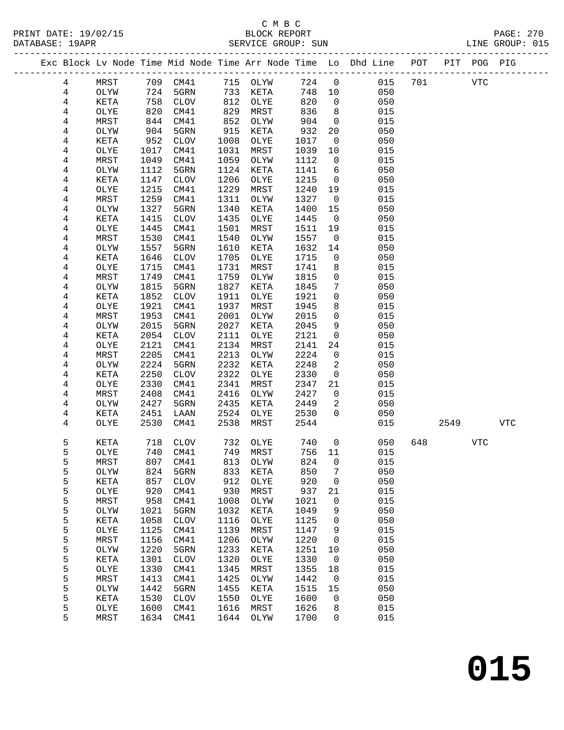### C M B C<br>BLOCK REPORT

| DATABASE: 19APR |                |             |      | SERVICE GROUP: SUN |      |                |       |                |                                                                                |     |      |            | LINE GROUP: 015 |
|-----------------|----------------|-------------|------|--------------------|------|----------------|-------|----------------|--------------------------------------------------------------------------------|-----|------|------------|-----------------|
|                 |                |             |      |                    |      |                |       |                | Exc Block Lv Node Time Mid Node Time Arr Node Time Lo Dhd Line POT PIT POG PIG |     |      |            |                 |
|                 | 4              | MRST        |      | 709 CM41           |      | 715 OLYW 724 0 |       |                | 015                                                                            | 701 |      | <b>VTC</b> |                 |
|                 | $\overline{4}$ | OLYW        | 724  | 5GRN               | 733  | KETA 748 10    |       |                | 050                                                                            |     |      |            |                 |
|                 | $\overline{4}$ | KETA        | 758  | CLOV               | 812  | OLYE           | 820 0 |                | 050                                                                            |     |      |            |                 |
|                 | 4              | OLYE        | 820  | CM41               | 829  | MRST           | 836 8 |                | 015                                                                            |     |      |            |                 |
|                 | 4              | MRST        | 844  | CM41               | 852  | OLYW           | 904 0 |                | 015                                                                            |     |      |            |                 |
|                 | 4              | OLYW        | 904  | 5GRN               | 915  | KETA           | 932   | 20             | 050                                                                            |     |      |            |                 |
|                 | 4              | KETA        | 952  | CLOV               | 1008 | OLYE           | 1017  | $\overline{0}$ | 050                                                                            |     |      |            |                 |
|                 | 4              | OLYE        | 1017 | CM41               | 1031 | MRST           | 1039  | 10             | 015                                                                            |     |      |            |                 |
|                 | 4              | MRST        | 1049 | CM41               | 1059 | OLYW           | 1112  | $\overline{0}$ | 015                                                                            |     |      |            |                 |
|                 | 4              | OLYW        | 1112 | 5GRN               | 1124 | KETA           | 1141  | 6              | 050                                                                            |     |      |            |                 |
|                 | 4              | KETA        | 1147 | CLOV               | 1206 | OLYE           | 1215  | $\overline{0}$ | 050                                                                            |     |      |            |                 |
|                 | 4              | OLYE        | 1215 | CM41               | 1229 | MRST           | 1240  | 19             | 015                                                                            |     |      |            |                 |
|                 | 4              | MRST        | 1259 | CM41               | 1311 | OLYW           | 1327  | $\overline{0}$ | 015                                                                            |     |      |            |                 |
|                 | 4              | OLYW        | 1327 | 5GRN               | 1340 | KETA           | 1400  | 15             | 050                                                                            |     |      |            |                 |
|                 | 4              | KETA        | 1415 | <b>CLOV</b>        | 1435 | OLYE           | 1445  | $\overline{0}$ | 050                                                                            |     |      |            |                 |
|                 | 4              | OLYE        | 1445 | CM41               | 1501 | MRST           | 1511  | 19             | 015                                                                            |     |      |            |                 |
|                 | 4              | MRST        | 1530 | CM41               | 1540 | OLYW           | 1557  | $\overline{0}$ | 015                                                                            |     |      |            |                 |
|                 | 4              | OLYW        | 1557 | 5GRN               | 1610 | KETA           | 1632  | 14             | 050                                                                            |     |      |            |                 |
|                 | 4              | KETA        | 1646 | CLOV               | 1705 | OLYE           | 1715  | $\mathsf{O}$   | 050                                                                            |     |      |            |                 |
|                 | 4              | OLYE        | 1715 | CM41               | 1731 | MRST           | 1741  | 8              | 015                                                                            |     |      |            |                 |
|                 | 4              | MRST        | 1749 | CM41               | 1759 | OLYW           | 1815  | $\mathbf 0$    | 015                                                                            |     |      |            |                 |
|                 | 4              | OLYW        | 1815 | 5GRN               | 1827 | KETA           | 1845  | 7              | 050                                                                            |     |      |            |                 |
|                 | 4              | KETA        | 1852 | <b>CLOV</b>        | 1911 | OLYE           | 1921  | $\mathsf{O}$   | 050                                                                            |     |      |            |                 |
|                 | 4              | OLYE        | 1921 | CM41               | 1937 | MRST           | 1945  | 8              | 015                                                                            |     |      |            |                 |
|                 | 4              | MRST        | 1953 | CM41               | 2001 | OLYW           | 2015  | $\mathsf{O}$   | 015                                                                            |     |      |            |                 |
|                 | 4              | OLYW        | 2015 | 5GRN               | 2027 | KETA           | 2045  | 9              | 050                                                                            |     |      |            |                 |
|                 | 4              | KETA        | 2054 | <b>CLOV</b>        | 2111 | OLYE           | 2121  | $\mathsf{O}$   | 050                                                                            |     |      |            |                 |
|                 | 4              | OLYE        | 2121 | CM41               | 2134 | MRST           | 2141  | 24             | 015                                                                            |     |      |            |                 |
|                 | 4              | MRST        | 2205 | CM41               | 2213 | OLYW           | 2224  | $\mathbf 0$    | 015                                                                            |     |      |            |                 |
|                 | 4              | OLYW        | 2224 | 5GRN               | 2232 | KETA           | 2248  | $\overline{2}$ | 050                                                                            |     |      |            |                 |
|                 | 4              | KETA        | 2250 | <b>CLOV</b>        | 2322 | OLYE           | 2330  | $\overline{0}$ | 050                                                                            |     |      |            |                 |
|                 | 4              | OLYE        | 2330 | CM41               | 2341 | MRST           | 2347  | 21             | 015                                                                            |     |      |            |                 |
|                 | 4              | MRST        | 2408 | CM41               | 2416 | OLYW           | 2427  | $\overline{0}$ | 015                                                                            |     |      |            |                 |
|                 | 4              | OLYW        | 2427 | 5GRN               | 2435 | KETA           | 2449  | 2              | 050                                                                            |     |      |            |                 |
|                 | 4              | KETA        | 2451 | LAAN               | 2524 | OLYE           | 2530  | $\Omega$       | 050                                                                            |     |      |            |                 |
|                 | 4              | OLYE        | 2530 | CM41               | 2538 | MRST           | 2544  |                | 015                                                                            |     | 2549 |            | <b>VTC</b>      |
|                 | 5              | KETA        |      | 718 CLOV           | 732  | OLYE           | 740   | $\overline{0}$ | 050                                                                            | 648 |      | VTC        |                 |
|                 | 5              | <b>OLYE</b> |      | 740 CM41           |      | 749 MRST       | 756   | 11             | 015                                                                            |     |      |            |                 |

| ັ | ---  |      |             |      |      |      |          |     |
|---|------|------|-------------|------|------|------|----------|-----|
| 5 | MRST | 807  | CM41        | 813  | OLYW | 824  | 0        | 015 |
| 5 | OLYW | 824  | 5GRN        | 833  | KETA | 850  | 7        | 050 |
| 5 | KETA | 857  | <b>CLOV</b> | 912  | OLYE | 920  | 0        | 050 |
| 5 | OLYE | 920  | CM41        | 930  | MRST | 937  | 21       | 015 |
| 5 | MRST | 958  | CM41        | 1008 | OLYW | 1021 | $\Omega$ | 015 |
| 5 | OLYW | 1021 | 5GRN        | 1032 | KETA | 1049 | 9        | 050 |
| 5 | KETA | 1058 | <b>CLOV</b> | 1116 | OLYE | 1125 | 0        | 050 |
| 5 | OLYE | 1125 | CM41        | 1139 | MRST | 1147 | 9        | 015 |
| 5 | MRST | 1156 | CM41        | 1206 | OLYW | 1220 | 0        | 015 |
| 5 | OLYW | 1220 | 5GRN        | 1233 | KETA | 1251 | 10       | 050 |
| 5 | KETA | 1301 | <b>CLOV</b> | 1320 | OLYE | 1330 | 0        | 050 |
| 5 | OLYE | 1330 | CM41        | 1345 | MRST | 1355 | 18       | 015 |
| 5 | MRST | 1413 | CM41        | 1425 | OLYW | 1442 | 0        | 015 |
| 5 | OLYW | 1442 | 5GRN        | 1455 | KETA | 1515 | 15       | 050 |
| 5 | KETA | 1530 | <b>CLOV</b> | 1550 | OLYE | 1600 | 0        | 050 |
| 5 | OLYE | 1600 | CM41        | 1616 | MRST | 1626 | 8        | 015 |
| 5 | MRST | 1634 | CM41        | 1644 | OLYW | 1700 | 0        | 015 |
|   |      |      |             |      |      |      |          |     |
|   |      |      |             |      |      |      |          |     |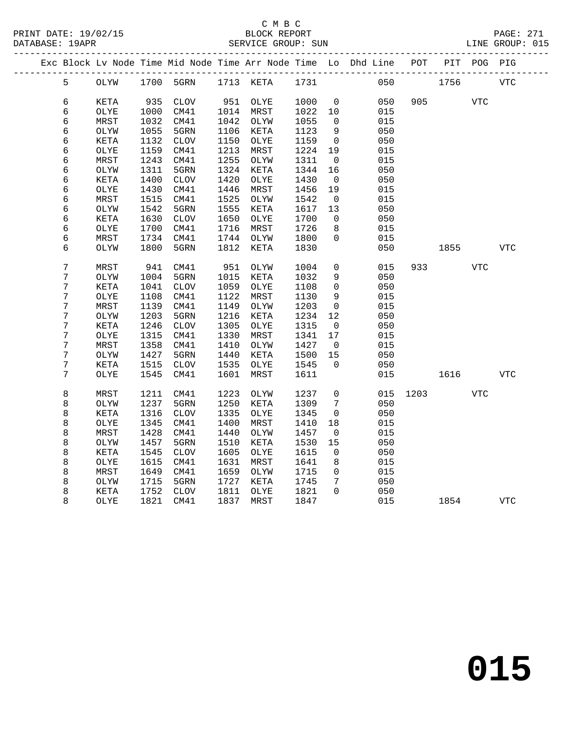#### C M B C<br>BLOCK REPORT SERVICE GROUP: SUN

|  |                  |      |      |                              |      |           |      |                     | Exc Block Lv Node Time Mid Node Time Arr Node Time Lo Dhd Line POT |      |       | PIT POG PIG |             |
|--|------------------|------|------|------------------------------|------|-----------|------|---------------------|--------------------------------------------------------------------|------|-------|-------------|-------------|
|  | 5                | OLYW |      | 1700 5GRN 1713 KETA 1731     |      |           |      |                     | 050                                                                |      | 1756  |             | VTC         |
|  | 6                | KETA | 935  | CLOV                         |      | 951 OLYE  | 1000 | $\overline{0}$      | 050                                                                |      | 905 7 | <b>VTC</b>  |             |
|  | 6                | OLYE | 1000 | CM41                         |      | 1014 MRST | 1022 | 10                  | 015                                                                |      |       |             |             |
|  | 6                | MRST | 1032 | CM41                         | 1042 | OLYW      | 1055 | 0                   | 015                                                                |      |       |             |             |
|  | 6                | OLYW | 1055 | 5GRN                         | 1106 | KETA      | 1123 | 9                   | 050                                                                |      |       |             |             |
|  | 6                | KETA | 1132 | $\mathtt{CLOV}$              | 1150 | OLYE      | 1159 | $\overline{0}$      | 050                                                                |      |       |             |             |
|  | 6                | OLYE | 1159 | CM41                         | 1213 | MRST      | 1224 | 19                  | 015                                                                |      |       |             |             |
|  | 6                | MRST | 1243 | CM41                         | 1255 | OLYW      | 1311 | $\overline{0}$      | 015                                                                |      |       |             |             |
|  | 6                | OLYW | 1311 | 5GRN                         | 1324 | KETA      | 1344 | 16                  | 050                                                                |      |       |             |             |
|  | 6                | KETA | 1400 | $\mathtt{CLOV}$              | 1420 | OLYE      | 1430 | $\overline{0}$      | 050                                                                |      |       |             |             |
|  | 6                | OLYE | 1430 | CM41                         | 1446 | MRST      | 1456 | 19                  | 015                                                                |      |       |             |             |
|  | 6                | MRST | 1515 | CM41                         | 1525 | OLYW      | 1542 | $\mathsf{O}$        | 015                                                                |      |       |             |             |
|  | 6                | OLYW | 1542 | 5GRN                         | 1555 | KETA      | 1617 | 13                  | 050                                                                |      |       |             |             |
|  | 6                | KETA | 1630 | CLOV                         | 1650 | OLYE      | 1700 | $\overline{0}$      | 050                                                                |      |       |             |             |
|  | 6                | OLYE | 1700 | CM41                         | 1716 | MRST      | 1726 | 8                   | 015                                                                |      |       |             |             |
|  | 6                | MRST | 1734 | CM41                         | 1744 | OLYW      | 1800 | $\mathbf 0$         | 015                                                                |      |       |             |             |
|  | 6                | OLYW | 1800 | 5GRN                         | 1812 | KETA      | 1830 |                     | 050                                                                |      | 1855  |             | ${\tt VTC}$ |
|  |                  |      |      |                              |      |           |      |                     |                                                                    |      |       |             |             |
|  | $\boldsymbol{7}$ | MRST | 941  | CM41                         | 951  | OLYW      | 1004 | 0                   | 015                                                                | 933  |       | VTC         |             |
|  | $\boldsymbol{7}$ | OLYW | 1004 | 5GRN                         | 1015 | KETA      | 1032 | $\overline{9}$      | 050                                                                |      |       |             |             |
|  | 7                | KETA | 1041 | $\ensuremath{\mathsf{CLOV}}$ | 1059 | OLYE      | 1108 | $\mathbf 0$         | 050                                                                |      |       |             |             |
|  | 7                | OLYE | 1108 | CM41                         | 1122 | MRST      | 1130 | 9                   | 015                                                                |      |       |             |             |
|  | 7                | MRST | 1139 | CM41                         | 1149 | OLYW      | 1203 | $\overline{0}$      | 015                                                                |      |       |             |             |
|  | 7                | OLYW | 1203 | 5GRN                         | 1216 | KETA      | 1234 | 12                  | 050                                                                |      |       |             |             |
|  | 7                | KETA | 1246 | $\mathtt{CLOV}$              | 1305 | OLYE      | 1315 | $\overline{0}$      | 050                                                                |      |       |             |             |
|  | 7                | OLYE | 1315 | CM41                         | 1330 | MRST      | 1341 | 17                  | 015                                                                |      |       |             |             |
|  | 7                | MRST | 1358 | CM41                         | 1410 | OLYW      | 1427 | $\mathbf 0$         | 015                                                                |      |       |             |             |
|  | 7                | OLYW | 1427 | 5GRN                         | 1440 | KETA      | 1500 | 15                  | 050                                                                |      |       |             |             |
|  | 7                | KETA | 1515 | CLOV                         | 1535 | OLYE      | 1545 | $\Omega$            | 050                                                                |      |       |             |             |
|  | 7                | OLYE | 1545 | CM41                         | 1601 | MRST      | 1611 |                     | 015                                                                |      | 1616  |             | <b>VTC</b>  |
|  | 8                | MRST | 1211 | CM41                         | 1223 | OLYW      | 1237 | $\mathsf{O}\xspace$ | 015                                                                | 1203 |       | <b>VTC</b>  |             |
|  | 8                | OLYW | 1237 | 5GRN                         | 1250 | KETA      | 1309 | 7                   | 050                                                                |      |       |             |             |
|  | 8                | KETA | 1316 | $\mathtt{CLOV}$              | 1335 | OLYE      | 1345 | $\mathsf{O}$        | 050                                                                |      |       |             |             |
|  | 8                | OLYE | 1345 | CM41                         | 1400 | MRST      | 1410 | 18                  | 015                                                                |      |       |             |             |
|  | 8                | MRST | 1428 | CM41                         | 1440 | OLYW      | 1457 | $\mathbf 0$         | 015                                                                |      |       |             |             |
|  | 8                | OLYW | 1457 | 5GRN                         | 1510 | KETA      | 1530 | 15                  | 050                                                                |      |       |             |             |
|  | 8                | KETA | 1545 | <b>CLOV</b>                  | 1605 | OLYE      | 1615 | $\overline{0}$      | 050                                                                |      |       |             |             |
|  | 8                | OLYE | 1615 | CM41                         | 1631 | MRST      | 1641 | 8                   | 015                                                                |      |       |             |             |
|  | 8                | MRST | 1649 | CM41                         | 1659 | OLYW      | 1715 | $\mathbf 0$         | 015                                                                |      |       |             |             |
|  | 8                | OLYW | 1715 | 5GRN                         | 1727 | KETA      | 1745 | 7                   | 050                                                                |      |       |             |             |
|  | 8                | KETA | 1752 | <b>CLOV</b>                  | 1811 | OLYE      | 1821 | $\Omega$            | 050                                                                |      |       |             |             |
|  | 8                | OLYE | 1821 | CM41                         | 1837 | MRST      | 1847 |                     | 015                                                                |      | 1854  |             | VTC         |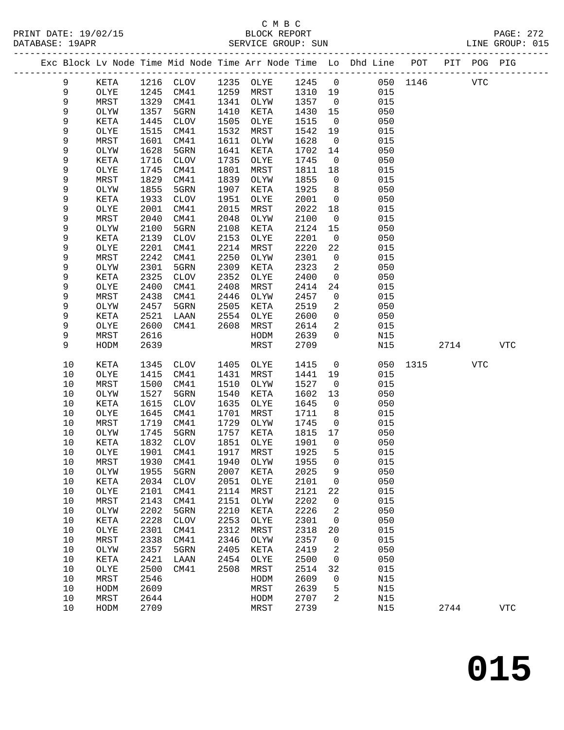PRINT DATE: 19/02/15 BLOCK REPORT BATABASE: 19APR

## C M B C<br>BLOCK REPORT

PAGE: 272<br>LINE GROUP: 015

| Exc Block Lv Node Time Mid Node Time Arr Node Time Lo Dhd Line POT<br>PIT POG PIG<br>_____________________________<br>_____________________________________<br>1235<br>1245<br>$\overline{0}$<br>050 1146<br>9<br>KETA<br>1216<br>CLOV<br>OLYE<br><b>VTC</b><br>9<br>1245<br>1259<br>1310<br>015<br>OLYE<br>CM41<br>MRST<br>19<br>9<br>MRST<br>1329<br>1341<br>1357<br>015<br>CM41<br>OLYW<br>$\overline{0}$<br>$\mathsf 9$<br>1357<br>1410<br>OLYW<br>5GRN<br>KETA<br>1430<br>15<br>050<br>9<br>1445<br>1505<br>KETA<br>CLOV<br>OLYE<br>1515<br>$\overline{0}$<br>050<br>9<br>1515<br>1532<br>OLYE<br>CM41<br>MRST<br>1542<br>19<br>015<br>9<br>1601<br>1611<br>015<br>MRST<br>CM41<br>1628<br>$\overline{0}$<br>OLYW<br>9<br>1628<br>1641<br>050<br>OLYW<br>5GRN<br>KETA<br>1702<br>14<br>9<br>1716<br>${\tt CLOV}$<br>1735<br>1745<br>050<br>KETA<br>OLYE<br>$\mathsf{O}$<br>9<br>1745<br>1801<br>1811<br>OLYE<br>CM41<br>MRST<br>18<br>015<br>9<br>1829<br>1839<br>MRST<br>CM41<br>1855<br>015<br>OLYW<br>0<br>9<br>1855<br>1907<br>1925<br>050<br>5GRN<br>KETA<br>8<br>OLYW<br>9<br>1933<br>1951<br>050<br>KETA<br><b>CLOV</b><br>2001<br>$\mathsf{O}$<br>OLYE<br>9<br>2015<br>OLYE<br>2001<br>CM41<br>2022<br>015<br>MRST<br>18<br>9<br>2048<br>MRST<br>2040<br>CM41<br>2100<br>$\mathbf 0$<br>015<br>OLYW<br>9<br>2100<br>2108<br>2124<br>050<br>OLYW<br>5GRN<br>KETA<br>15<br>9<br>2139<br>2153<br>2201<br>050<br>KETA<br><b>CLOV</b><br>$\mathsf{O}$<br>OLYE<br>9<br>2201<br>2214<br>2220<br>OLYE<br>CM41<br>MRST<br>22<br>015<br>9<br>MRST<br>2242<br>CM41<br>2250<br>2301<br>$\mathbf 0$<br>015<br>OLYW<br>9<br>2301<br>2309<br>2323<br>5GRN<br>2<br>050<br>OLYW<br>KETA<br>9<br>2325<br>2352<br>KETA<br><b>CLOV</b><br>OLYE<br>2400<br>$\mathsf{O}$<br>050<br>9<br>2408<br>OLYE<br>2400<br>CM41<br>MRST<br>2414<br>24<br>015<br>9<br>MRST<br>2438<br>CM41<br>2446<br>OLYW<br>2457<br>$\mathbf 0$<br>015<br>9<br>050<br>OLYW<br>2457<br>5GRN<br>2505<br>KETA<br>2519<br>2<br>9<br>2554<br>050<br>KETA<br>2521<br>LAAN<br>OLYE<br>2600<br>$\mathbf 0$<br>9<br>015<br>2600<br>CM41<br>2608<br>MRST<br>2614<br>2<br>OLYE<br>9<br>2616<br>$\Omega$<br>MRST<br>HODM<br>2639<br>N15<br>9<br>2639<br>2709<br>HODM<br>MRST<br>N15<br>2714<br><b>VTC</b><br>$10$<br>1405<br>KETA<br>1345<br><b>CLOV</b><br>OLYE<br>1415<br>$\mathbf 0$<br>050<br>1315<br><b>VTC</b><br>10<br>OLYE<br>1415<br>CM41<br>1431<br>MRST<br>1441<br>19<br>015<br>1510<br>015<br>10<br>MRST<br>1500<br>CM41<br>OLYW<br>1527<br>$\overline{0}$<br>$10$<br>1527<br>1540<br>050<br>OLYW<br>5GRN<br>KETA<br>1602<br>13<br>10<br>1615<br>1635<br>1645<br>050<br>KETA<br><b>CLOV</b><br>OLYE<br>$\mathbf 0$<br>1701<br>10<br>OLYE<br>1645<br>CM41<br>MRST<br>1711<br>8<br>015<br>1729<br>10<br>MRST<br>1719<br>CM41<br>1745<br>015<br>OLYW<br>$\overline{0}$<br>10<br>1745<br>1757<br>050<br>OLYW<br>5GRN<br>KETA<br>1815<br>17<br>1832<br>1851<br>10<br>CLOV<br>1901<br>$\overline{0}$<br>050<br>KETA<br>OLYE<br>1901<br>1917<br>1925<br>5<br>10<br>OLYE<br>CM41<br>MRST<br>015<br>10<br>MRST<br>1930<br>CM41<br>1940<br>OLYW<br>1955<br>0<br>015<br>$10$<br>2025<br>050<br>1955<br>5GRN<br>2007<br>KETA<br>9<br>OLYW<br>$10$<br>2034<br>2051<br>2101<br>050<br>KETA<br><b>CLOV</b><br>OLYE<br>0<br>$10$<br>2114<br>015<br>OLYE<br>2101<br>CM41<br>MRST<br>2121<br>22<br>2202<br>015<br>10<br>MRST<br>2143<br>CM41<br>2151<br>0<br>OLYW<br>$10$<br>2202<br>2210<br>2226<br>2<br>050<br>OLYW<br>5GRN<br>KETA<br>2253<br>050<br>$10$<br>2228<br>2301<br>0<br>KETA<br><b>CLOV</b><br>OLYE<br>$10$<br>2301<br>2312<br>2318<br>015<br>OLYE<br>CM41<br>MRST<br>20<br>2346<br>2357<br>015<br>10<br>MRST<br>2338<br>CM41<br>OLYW<br>0<br>$10$<br>2405<br>2419<br>2<br>050<br>OLYW<br>2357<br>5GRN<br>KETA<br>2454<br>2500<br>050<br>10<br>KETA<br>2421<br>LAAN<br>OLYE<br>0 |  |  |  |  |  |  |  |
|------------------------------------------------------------------------------------------------------------------------------------------------------------------------------------------------------------------------------------------------------------------------------------------------------------------------------------------------------------------------------------------------------------------------------------------------------------------------------------------------------------------------------------------------------------------------------------------------------------------------------------------------------------------------------------------------------------------------------------------------------------------------------------------------------------------------------------------------------------------------------------------------------------------------------------------------------------------------------------------------------------------------------------------------------------------------------------------------------------------------------------------------------------------------------------------------------------------------------------------------------------------------------------------------------------------------------------------------------------------------------------------------------------------------------------------------------------------------------------------------------------------------------------------------------------------------------------------------------------------------------------------------------------------------------------------------------------------------------------------------------------------------------------------------------------------------------------------------------------------------------------------------------------------------------------------------------------------------------------------------------------------------------------------------------------------------------------------------------------------------------------------------------------------------------------------------------------------------------------------------------------------------------------------------------------------------------------------------------------------------------------------------------------------------------------------------------------------------------------------------------------------------------------------------------------------------------------------------------------------------------------------------------------------------------------------------------------------------------------------------------------------------------------------------------------------------------------------------------------------------------------------------------------------------------------------------------------------------------------------------------------------------------------------------------------------------------------------------------------------------------------------------------------------------------------------------------------------------------------------------------------------------------------------------------------------------------------------------------------------------------------------------------------------------------------------------------------------------------------------------------------------------------------------------------------------------------------------------------------------------------------------------------------------------------------------------------------------------------------------------------------------------------------------------------------------------------------------|--|--|--|--|--|--|--|
|                                                                                                                                                                                                                                                                                                                                                                                                                                                                                                                                                                                                                                                                                                                                                                                                                                                                                                                                                                                                                                                                                                                                                                                                                                                                                                                                                                                                                                                                                                                                                                                                                                                                                                                                                                                                                                                                                                                                                                                                                                                                                                                                                                                                                                                                                                                                                                                                                                                                                                                                                                                                                                                                                                                                                                                                                                                                                                                                                                                                                                                                                                                                                                                                                                                                                                                                                                                                                                                                                                                                                                                                                                                                                                                                                                                                                                          |  |  |  |  |  |  |  |
|                                                                                                                                                                                                                                                                                                                                                                                                                                                                                                                                                                                                                                                                                                                                                                                                                                                                                                                                                                                                                                                                                                                                                                                                                                                                                                                                                                                                                                                                                                                                                                                                                                                                                                                                                                                                                                                                                                                                                                                                                                                                                                                                                                                                                                                                                                                                                                                                                                                                                                                                                                                                                                                                                                                                                                                                                                                                                                                                                                                                                                                                                                                                                                                                                                                                                                                                                                                                                                                                                                                                                                                                                                                                                                                                                                                                                                          |  |  |  |  |  |  |  |
|                                                                                                                                                                                                                                                                                                                                                                                                                                                                                                                                                                                                                                                                                                                                                                                                                                                                                                                                                                                                                                                                                                                                                                                                                                                                                                                                                                                                                                                                                                                                                                                                                                                                                                                                                                                                                                                                                                                                                                                                                                                                                                                                                                                                                                                                                                                                                                                                                                                                                                                                                                                                                                                                                                                                                                                                                                                                                                                                                                                                                                                                                                                                                                                                                                                                                                                                                                                                                                                                                                                                                                                                                                                                                                                                                                                                                                          |  |  |  |  |  |  |  |
|                                                                                                                                                                                                                                                                                                                                                                                                                                                                                                                                                                                                                                                                                                                                                                                                                                                                                                                                                                                                                                                                                                                                                                                                                                                                                                                                                                                                                                                                                                                                                                                                                                                                                                                                                                                                                                                                                                                                                                                                                                                                                                                                                                                                                                                                                                                                                                                                                                                                                                                                                                                                                                                                                                                                                                                                                                                                                                                                                                                                                                                                                                                                                                                                                                                                                                                                                                                                                                                                                                                                                                                                                                                                                                                                                                                                                                          |  |  |  |  |  |  |  |
|                                                                                                                                                                                                                                                                                                                                                                                                                                                                                                                                                                                                                                                                                                                                                                                                                                                                                                                                                                                                                                                                                                                                                                                                                                                                                                                                                                                                                                                                                                                                                                                                                                                                                                                                                                                                                                                                                                                                                                                                                                                                                                                                                                                                                                                                                                                                                                                                                                                                                                                                                                                                                                                                                                                                                                                                                                                                                                                                                                                                                                                                                                                                                                                                                                                                                                                                                                                                                                                                                                                                                                                                                                                                                                                                                                                                                                          |  |  |  |  |  |  |  |
|                                                                                                                                                                                                                                                                                                                                                                                                                                                                                                                                                                                                                                                                                                                                                                                                                                                                                                                                                                                                                                                                                                                                                                                                                                                                                                                                                                                                                                                                                                                                                                                                                                                                                                                                                                                                                                                                                                                                                                                                                                                                                                                                                                                                                                                                                                                                                                                                                                                                                                                                                                                                                                                                                                                                                                                                                                                                                                                                                                                                                                                                                                                                                                                                                                                                                                                                                                                                                                                                                                                                                                                                                                                                                                                                                                                                                                          |  |  |  |  |  |  |  |
|                                                                                                                                                                                                                                                                                                                                                                                                                                                                                                                                                                                                                                                                                                                                                                                                                                                                                                                                                                                                                                                                                                                                                                                                                                                                                                                                                                                                                                                                                                                                                                                                                                                                                                                                                                                                                                                                                                                                                                                                                                                                                                                                                                                                                                                                                                                                                                                                                                                                                                                                                                                                                                                                                                                                                                                                                                                                                                                                                                                                                                                                                                                                                                                                                                                                                                                                                                                                                                                                                                                                                                                                                                                                                                                                                                                                                                          |  |  |  |  |  |  |  |
|                                                                                                                                                                                                                                                                                                                                                                                                                                                                                                                                                                                                                                                                                                                                                                                                                                                                                                                                                                                                                                                                                                                                                                                                                                                                                                                                                                                                                                                                                                                                                                                                                                                                                                                                                                                                                                                                                                                                                                                                                                                                                                                                                                                                                                                                                                                                                                                                                                                                                                                                                                                                                                                                                                                                                                                                                                                                                                                                                                                                                                                                                                                                                                                                                                                                                                                                                                                                                                                                                                                                                                                                                                                                                                                                                                                                                                          |  |  |  |  |  |  |  |
|                                                                                                                                                                                                                                                                                                                                                                                                                                                                                                                                                                                                                                                                                                                                                                                                                                                                                                                                                                                                                                                                                                                                                                                                                                                                                                                                                                                                                                                                                                                                                                                                                                                                                                                                                                                                                                                                                                                                                                                                                                                                                                                                                                                                                                                                                                                                                                                                                                                                                                                                                                                                                                                                                                                                                                                                                                                                                                                                                                                                                                                                                                                                                                                                                                                                                                                                                                                                                                                                                                                                                                                                                                                                                                                                                                                                                                          |  |  |  |  |  |  |  |
|                                                                                                                                                                                                                                                                                                                                                                                                                                                                                                                                                                                                                                                                                                                                                                                                                                                                                                                                                                                                                                                                                                                                                                                                                                                                                                                                                                                                                                                                                                                                                                                                                                                                                                                                                                                                                                                                                                                                                                                                                                                                                                                                                                                                                                                                                                                                                                                                                                                                                                                                                                                                                                                                                                                                                                                                                                                                                                                                                                                                                                                                                                                                                                                                                                                                                                                                                                                                                                                                                                                                                                                                                                                                                                                                                                                                                                          |  |  |  |  |  |  |  |
|                                                                                                                                                                                                                                                                                                                                                                                                                                                                                                                                                                                                                                                                                                                                                                                                                                                                                                                                                                                                                                                                                                                                                                                                                                                                                                                                                                                                                                                                                                                                                                                                                                                                                                                                                                                                                                                                                                                                                                                                                                                                                                                                                                                                                                                                                                                                                                                                                                                                                                                                                                                                                                                                                                                                                                                                                                                                                                                                                                                                                                                                                                                                                                                                                                                                                                                                                                                                                                                                                                                                                                                                                                                                                                                                                                                                                                          |  |  |  |  |  |  |  |
|                                                                                                                                                                                                                                                                                                                                                                                                                                                                                                                                                                                                                                                                                                                                                                                                                                                                                                                                                                                                                                                                                                                                                                                                                                                                                                                                                                                                                                                                                                                                                                                                                                                                                                                                                                                                                                                                                                                                                                                                                                                                                                                                                                                                                                                                                                                                                                                                                                                                                                                                                                                                                                                                                                                                                                                                                                                                                                                                                                                                                                                                                                                                                                                                                                                                                                                                                                                                                                                                                                                                                                                                                                                                                                                                                                                                                                          |  |  |  |  |  |  |  |
|                                                                                                                                                                                                                                                                                                                                                                                                                                                                                                                                                                                                                                                                                                                                                                                                                                                                                                                                                                                                                                                                                                                                                                                                                                                                                                                                                                                                                                                                                                                                                                                                                                                                                                                                                                                                                                                                                                                                                                                                                                                                                                                                                                                                                                                                                                                                                                                                                                                                                                                                                                                                                                                                                                                                                                                                                                                                                                                                                                                                                                                                                                                                                                                                                                                                                                                                                                                                                                                                                                                                                                                                                                                                                                                                                                                                                                          |  |  |  |  |  |  |  |
|                                                                                                                                                                                                                                                                                                                                                                                                                                                                                                                                                                                                                                                                                                                                                                                                                                                                                                                                                                                                                                                                                                                                                                                                                                                                                                                                                                                                                                                                                                                                                                                                                                                                                                                                                                                                                                                                                                                                                                                                                                                                                                                                                                                                                                                                                                                                                                                                                                                                                                                                                                                                                                                                                                                                                                                                                                                                                                                                                                                                                                                                                                                                                                                                                                                                                                                                                                                                                                                                                                                                                                                                                                                                                                                                                                                                                                          |  |  |  |  |  |  |  |
|                                                                                                                                                                                                                                                                                                                                                                                                                                                                                                                                                                                                                                                                                                                                                                                                                                                                                                                                                                                                                                                                                                                                                                                                                                                                                                                                                                                                                                                                                                                                                                                                                                                                                                                                                                                                                                                                                                                                                                                                                                                                                                                                                                                                                                                                                                                                                                                                                                                                                                                                                                                                                                                                                                                                                                                                                                                                                                                                                                                                                                                                                                                                                                                                                                                                                                                                                                                                                                                                                                                                                                                                                                                                                                                                                                                                                                          |  |  |  |  |  |  |  |
|                                                                                                                                                                                                                                                                                                                                                                                                                                                                                                                                                                                                                                                                                                                                                                                                                                                                                                                                                                                                                                                                                                                                                                                                                                                                                                                                                                                                                                                                                                                                                                                                                                                                                                                                                                                                                                                                                                                                                                                                                                                                                                                                                                                                                                                                                                                                                                                                                                                                                                                                                                                                                                                                                                                                                                                                                                                                                                                                                                                                                                                                                                                                                                                                                                                                                                                                                                                                                                                                                                                                                                                                                                                                                                                                                                                                                                          |  |  |  |  |  |  |  |
|                                                                                                                                                                                                                                                                                                                                                                                                                                                                                                                                                                                                                                                                                                                                                                                                                                                                                                                                                                                                                                                                                                                                                                                                                                                                                                                                                                                                                                                                                                                                                                                                                                                                                                                                                                                                                                                                                                                                                                                                                                                                                                                                                                                                                                                                                                                                                                                                                                                                                                                                                                                                                                                                                                                                                                                                                                                                                                                                                                                                                                                                                                                                                                                                                                                                                                                                                                                                                                                                                                                                                                                                                                                                                                                                                                                                                                          |  |  |  |  |  |  |  |
|                                                                                                                                                                                                                                                                                                                                                                                                                                                                                                                                                                                                                                                                                                                                                                                                                                                                                                                                                                                                                                                                                                                                                                                                                                                                                                                                                                                                                                                                                                                                                                                                                                                                                                                                                                                                                                                                                                                                                                                                                                                                                                                                                                                                                                                                                                                                                                                                                                                                                                                                                                                                                                                                                                                                                                                                                                                                                                                                                                                                                                                                                                                                                                                                                                                                                                                                                                                                                                                                                                                                                                                                                                                                                                                                                                                                                                          |  |  |  |  |  |  |  |
|                                                                                                                                                                                                                                                                                                                                                                                                                                                                                                                                                                                                                                                                                                                                                                                                                                                                                                                                                                                                                                                                                                                                                                                                                                                                                                                                                                                                                                                                                                                                                                                                                                                                                                                                                                                                                                                                                                                                                                                                                                                                                                                                                                                                                                                                                                                                                                                                                                                                                                                                                                                                                                                                                                                                                                                                                                                                                                                                                                                                                                                                                                                                                                                                                                                                                                                                                                                                                                                                                                                                                                                                                                                                                                                                                                                                                                          |  |  |  |  |  |  |  |
|                                                                                                                                                                                                                                                                                                                                                                                                                                                                                                                                                                                                                                                                                                                                                                                                                                                                                                                                                                                                                                                                                                                                                                                                                                                                                                                                                                                                                                                                                                                                                                                                                                                                                                                                                                                                                                                                                                                                                                                                                                                                                                                                                                                                                                                                                                                                                                                                                                                                                                                                                                                                                                                                                                                                                                                                                                                                                                                                                                                                                                                                                                                                                                                                                                                                                                                                                                                                                                                                                                                                                                                                                                                                                                                                                                                                                                          |  |  |  |  |  |  |  |
|                                                                                                                                                                                                                                                                                                                                                                                                                                                                                                                                                                                                                                                                                                                                                                                                                                                                                                                                                                                                                                                                                                                                                                                                                                                                                                                                                                                                                                                                                                                                                                                                                                                                                                                                                                                                                                                                                                                                                                                                                                                                                                                                                                                                                                                                                                                                                                                                                                                                                                                                                                                                                                                                                                                                                                                                                                                                                                                                                                                                                                                                                                                                                                                                                                                                                                                                                                                                                                                                                                                                                                                                                                                                                                                                                                                                                                          |  |  |  |  |  |  |  |
|                                                                                                                                                                                                                                                                                                                                                                                                                                                                                                                                                                                                                                                                                                                                                                                                                                                                                                                                                                                                                                                                                                                                                                                                                                                                                                                                                                                                                                                                                                                                                                                                                                                                                                                                                                                                                                                                                                                                                                                                                                                                                                                                                                                                                                                                                                                                                                                                                                                                                                                                                                                                                                                                                                                                                                                                                                                                                                                                                                                                                                                                                                                                                                                                                                                                                                                                                                                                                                                                                                                                                                                                                                                                                                                                                                                                                                          |  |  |  |  |  |  |  |
|                                                                                                                                                                                                                                                                                                                                                                                                                                                                                                                                                                                                                                                                                                                                                                                                                                                                                                                                                                                                                                                                                                                                                                                                                                                                                                                                                                                                                                                                                                                                                                                                                                                                                                                                                                                                                                                                                                                                                                                                                                                                                                                                                                                                                                                                                                                                                                                                                                                                                                                                                                                                                                                                                                                                                                                                                                                                                                                                                                                                                                                                                                                                                                                                                                                                                                                                                                                                                                                                                                                                                                                                                                                                                                                                                                                                                                          |  |  |  |  |  |  |  |
|                                                                                                                                                                                                                                                                                                                                                                                                                                                                                                                                                                                                                                                                                                                                                                                                                                                                                                                                                                                                                                                                                                                                                                                                                                                                                                                                                                                                                                                                                                                                                                                                                                                                                                                                                                                                                                                                                                                                                                                                                                                                                                                                                                                                                                                                                                                                                                                                                                                                                                                                                                                                                                                                                                                                                                                                                                                                                                                                                                                                                                                                                                                                                                                                                                                                                                                                                                                                                                                                                                                                                                                                                                                                                                                                                                                                                                          |  |  |  |  |  |  |  |
|                                                                                                                                                                                                                                                                                                                                                                                                                                                                                                                                                                                                                                                                                                                                                                                                                                                                                                                                                                                                                                                                                                                                                                                                                                                                                                                                                                                                                                                                                                                                                                                                                                                                                                                                                                                                                                                                                                                                                                                                                                                                                                                                                                                                                                                                                                                                                                                                                                                                                                                                                                                                                                                                                                                                                                                                                                                                                                                                                                                                                                                                                                                                                                                                                                                                                                                                                                                                                                                                                                                                                                                                                                                                                                                                                                                                                                          |  |  |  |  |  |  |  |
|                                                                                                                                                                                                                                                                                                                                                                                                                                                                                                                                                                                                                                                                                                                                                                                                                                                                                                                                                                                                                                                                                                                                                                                                                                                                                                                                                                                                                                                                                                                                                                                                                                                                                                                                                                                                                                                                                                                                                                                                                                                                                                                                                                                                                                                                                                                                                                                                                                                                                                                                                                                                                                                                                                                                                                                                                                                                                                                                                                                                                                                                                                                                                                                                                                                                                                                                                                                                                                                                                                                                                                                                                                                                                                                                                                                                                                          |  |  |  |  |  |  |  |
|                                                                                                                                                                                                                                                                                                                                                                                                                                                                                                                                                                                                                                                                                                                                                                                                                                                                                                                                                                                                                                                                                                                                                                                                                                                                                                                                                                                                                                                                                                                                                                                                                                                                                                                                                                                                                                                                                                                                                                                                                                                                                                                                                                                                                                                                                                                                                                                                                                                                                                                                                                                                                                                                                                                                                                                                                                                                                                                                                                                                                                                                                                                                                                                                                                                                                                                                                                                                                                                                                                                                                                                                                                                                                                                                                                                                                                          |  |  |  |  |  |  |  |
|                                                                                                                                                                                                                                                                                                                                                                                                                                                                                                                                                                                                                                                                                                                                                                                                                                                                                                                                                                                                                                                                                                                                                                                                                                                                                                                                                                                                                                                                                                                                                                                                                                                                                                                                                                                                                                                                                                                                                                                                                                                                                                                                                                                                                                                                                                                                                                                                                                                                                                                                                                                                                                                                                                                                                                                                                                                                                                                                                                                                                                                                                                                                                                                                                                                                                                                                                                                                                                                                                                                                                                                                                                                                                                                                                                                                                                          |  |  |  |  |  |  |  |
|                                                                                                                                                                                                                                                                                                                                                                                                                                                                                                                                                                                                                                                                                                                                                                                                                                                                                                                                                                                                                                                                                                                                                                                                                                                                                                                                                                                                                                                                                                                                                                                                                                                                                                                                                                                                                                                                                                                                                                                                                                                                                                                                                                                                                                                                                                                                                                                                                                                                                                                                                                                                                                                                                                                                                                                                                                                                                                                                                                                                                                                                                                                                                                                                                                                                                                                                                                                                                                                                                                                                                                                                                                                                                                                                                                                                                                          |  |  |  |  |  |  |  |
|                                                                                                                                                                                                                                                                                                                                                                                                                                                                                                                                                                                                                                                                                                                                                                                                                                                                                                                                                                                                                                                                                                                                                                                                                                                                                                                                                                                                                                                                                                                                                                                                                                                                                                                                                                                                                                                                                                                                                                                                                                                                                                                                                                                                                                                                                                                                                                                                                                                                                                                                                                                                                                                                                                                                                                                                                                                                                                                                                                                                                                                                                                                                                                                                                                                                                                                                                                                                                                                                                                                                                                                                                                                                                                                                                                                                                                          |  |  |  |  |  |  |  |
|                                                                                                                                                                                                                                                                                                                                                                                                                                                                                                                                                                                                                                                                                                                                                                                                                                                                                                                                                                                                                                                                                                                                                                                                                                                                                                                                                                                                                                                                                                                                                                                                                                                                                                                                                                                                                                                                                                                                                                                                                                                                                                                                                                                                                                                                                                                                                                                                                                                                                                                                                                                                                                                                                                                                                                                                                                                                                                                                                                                                                                                                                                                                                                                                                                                                                                                                                                                                                                                                                                                                                                                                                                                                                                                                                                                                                                          |  |  |  |  |  |  |  |
|                                                                                                                                                                                                                                                                                                                                                                                                                                                                                                                                                                                                                                                                                                                                                                                                                                                                                                                                                                                                                                                                                                                                                                                                                                                                                                                                                                                                                                                                                                                                                                                                                                                                                                                                                                                                                                                                                                                                                                                                                                                                                                                                                                                                                                                                                                                                                                                                                                                                                                                                                                                                                                                                                                                                                                                                                                                                                                                                                                                                                                                                                                                                                                                                                                                                                                                                                                                                                                                                                                                                                                                                                                                                                                                                                                                                                                          |  |  |  |  |  |  |  |
|                                                                                                                                                                                                                                                                                                                                                                                                                                                                                                                                                                                                                                                                                                                                                                                                                                                                                                                                                                                                                                                                                                                                                                                                                                                                                                                                                                                                                                                                                                                                                                                                                                                                                                                                                                                                                                                                                                                                                                                                                                                                                                                                                                                                                                                                                                                                                                                                                                                                                                                                                                                                                                                                                                                                                                                                                                                                                                                                                                                                                                                                                                                                                                                                                                                                                                                                                                                                                                                                                                                                                                                                                                                                                                                                                                                                                                          |  |  |  |  |  |  |  |
|                                                                                                                                                                                                                                                                                                                                                                                                                                                                                                                                                                                                                                                                                                                                                                                                                                                                                                                                                                                                                                                                                                                                                                                                                                                                                                                                                                                                                                                                                                                                                                                                                                                                                                                                                                                                                                                                                                                                                                                                                                                                                                                                                                                                                                                                                                                                                                                                                                                                                                                                                                                                                                                                                                                                                                                                                                                                                                                                                                                                                                                                                                                                                                                                                                                                                                                                                                                                                                                                                                                                                                                                                                                                                                                                                                                                                                          |  |  |  |  |  |  |  |
|                                                                                                                                                                                                                                                                                                                                                                                                                                                                                                                                                                                                                                                                                                                                                                                                                                                                                                                                                                                                                                                                                                                                                                                                                                                                                                                                                                                                                                                                                                                                                                                                                                                                                                                                                                                                                                                                                                                                                                                                                                                                                                                                                                                                                                                                                                                                                                                                                                                                                                                                                                                                                                                                                                                                                                                                                                                                                                                                                                                                                                                                                                                                                                                                                                                                                                                                                                                                                                                                                                                                                                                                                                                                                                                                                                                                                                          |  |  |  |  |  |  |  |
|                                                                                                                                                                                                                                                                                                                                                                                                                                                                                                                                                                                                                                                                                                                                                                                                                                                                                                                                                                                                                                                                                                                                                                                                                                                                                                                                                                                                                                                                                                                                                                                                                                                                                                                                                                                                                                                                                                                                                                                                                                                                                                                                                                                                                                                                                                                                                                                                                                                                                                                                                                                                                                                                                                                                                                                                                                                                                                                                                                                                                                                                                                                                                                                                                                                                                                                                                                                                                                                                                                                                                                                                                                                                                                                                                                                                                                          |  |  |  |  |  |  |  |
|                                                                                                                                                                                                                                                                                                                                                                                                                                                                                                                                                                                                                                                                                                                                                                                                                                                                                                                                                                                                                                                                                                                                                                                                                                                                                                                                                                                                                                                                                                                                                                                                                                                                                                                                                                                                                                                                                                                                                                                                                                                                                                                                                                                                                                                                                                                                                                                                                                                                                                                                                                                                                                                                                                                                                                                                                                                                                                                                                                                                                                                                                                                                                                                                                                                                                                                                                                                                                                                                                                                                                                                                                                                                                                                                                                                                                                          |  |  |  |  |  |  |  |
|                                                                                                                                                                                                                                                                                                                                                                                                                                                                                                                                                                                                                                                                                                                                                                                                                                                                                                                                                                                                                                                                                                                                                                                                                                                                                                                                                                                                                                                                                                                                                                                                                                                                                                                                                                                                                                                                                                                                                                                                                                                                                                                                                                                                                                                                                                                                                                                                                                                                                                                                                                                                                                                                                                                                                                                                                                                                                                                                                                                                                                                                                                                                                                                                                                                                                                                                                                                                                                                                                                                                                                                                                                                                                                                                                                                                                                          |  |  |  |  |  |  |  |
|                                                                                                                                                                                                                                                                                                                                                                                                                                                                                                                                                                                                                                                                                                                                                                                                                                                                                                                                                                                                                                                                                                                                                                                                                                                                                                                                                                                                                                                                                                                                                                                                                                                                                                                                                                                                                                                                                                                                                                                                                                                                                                                                                                                                                                                                                                                                                                                                                                                                                                                                                                                                                                                                                                                                                                                                                                                                                                                                                                                                                                                                                                                                                                                                                                                                                                                                                                                                                                                                                                                                                                                                                                                                                                                                                                                                                                          |  |  |  |  |  |  |  |
|                                                                                                                                                                                                                                                                                                                                                                                                                                                                                                                                                                                                                                                                                                                                                                                                                                                                                                                                                                                                                                                                                                                                                                                                                                                                                                                                                                                                                                                                                                                                                                                                                                                                                                                                                                                                                                                                                                                                                                                                                                                                                                                                                                                                                                                                                                                                                                                                                                                                                                                                                                                                                                                                                                                                                                                                                                                                                                                                                                                                                                                                                                                                                                                                                                                                                                                                                                                                                                                                                                                                                                                                                                                                                                                                                                                                                                          |  |  |  |  |  |  |  |
|                                                                                                                                                                                                                                                                                                                                                                                                                                                                                                                                                                                                                                                                                                                                                                                                                                                                                                                                                                                                                                                                                                                                                                                                                                                                                                                                                                                                                                                                                                                                                                                                                                                                                                                                                                                                                                                                                                                                                                                                                                                                                                                                                                                                                                                                                                                                                                                                                                                                                                                                                                                                                                                                                                                                                                                                                                                                                                                                                                                                                                                                                                                                                                                                                                                                                                                                                                                                                                                                                                                                                                                                                                                                                                                                                                                                                                          |  |  |  |  |  |  |  |
|                                                                                                                                                                                                                                                                                                                                                                                                                                                                                                                                                                                                                                                                                                                                                                                                                                                                                                                                                                                                                                                                                                                                                                                                                                                                                                                                                                                                                                                                                                                                                                                                                                                                                                                                                                                                                                                                                                                                                                                                                                                                                                                                                                                                                                                                                                                                                                                                                                                                                                                                                                                                                                                                                                                                                                                                                                                                                                                                                                                                                                                                                                                                                                                                                                                                                                                                                                                                                                                                                                                                                                                                                                                                                                                                                                                                                                          |  |  |  |  |  |  |  |
|                                                                                                                                                                                                                                                                                                                                                                                                                                                                                                                                                                                                                                                                                                                                                                                                                                                                                                                                                                                                                                                                                                                                                                                                                                                                                                                                                                                                                                                                                                                                                                                                                                                                                                                                                                                                                                                                                                                                                                                                                                                                                                                                                                                                                                                                                                                                                                                                                                                                                                                                                                                                                                                                                                                                                                                                                                                                                                                                                                                                                                                                                                                                                                                                                                                                                                                                                                                                                                                                                                                                                                                                                                                                                                                                                                                                                                          |  |  |  |  |  |  |  |
|                                                                                                                                                                                                                                                                                                                                                                                                                                                                                                                                                                                                                                                                                                                                                                                                                                                                                                                                                                                                                                                                                                                                                                                                                                                                                                                                                                                                                                                                                                                                                                                                                                                                                                                                                                                                                                                                                                                                                                                                                                                                                                                                                                                                                                                                                                                                                                                                                                                                                                                                                                                                                                                                                                                                                                                                                                                                                                                                                                                                                                                                                                                                                                                                                                                                                                                                                                                                                                                                                                                                                                                                                                                                                                                                                                                                                                          |  |  |  |  |  |  |  |
|                                                                                                                                                                                                                                                                                                                                                                                                                                                                                                                                                                                                                                                                                                                                                                                                                                                                                                                                                                                                                                                                                                                                                                                                                                                                                                                                                                                                                                                                                                                                                                                                                                                                                                                                                                                                                                                                                                                                                                                                                                                                                                                                                                                                                                                                                                                                                                                                                                                                                                                                                                                                                                                                                                                                                                                                                                                                                                                                                                                                                                                                                                                                                                                                                                                                                                                                                                                                                                                                                                                                                                                                                                                                                                                                                                                                                                          |  |  |  |  |  |  |  |
|                                                                                                                                                                                                                                                                                                                                                                                                                                                                                                                                                                                                                                                                                                                                                                                                                                                                                                                                                                                                                                                                                                                                                                                                                                                                                                                                                                                                                                                                                                                                                                                                                                                                                                                                                                                                                                                                                                                                                                                                                                                                                                                                                                                                                                                                                                                                                                                                                                                                                                                                                                                                                                                                                                                                                                                                                                                                                                                                                                                                                                                                                                                                                                                                                                                                                                                                                                                                                                                                                                                                                                                                                                                                                                                                                                                                                                          |  |  |  |  |  |  |  |
|                                                                                                                                                                                                                                                                                                                                                                                                                                                                                                                                                                                                                                                                                                                                                                                                                                                                                                                                                                                                                                                                                                                                                                                                                                                                                                                                                                                                                                                                                                                                                                                                                                                                                                                                                                                                                                                                                                                                                                                                                                                                                                                                                                                                                                                                                                                                                                                                                                                                                                                                                                                                                                                                                                                                                                                                                                                                                                                                                                                                                                                                                                                                                                                                                                                                                                                                                                                                                                                                                                                                                                                                                                                                                                                                                                                                                                          |  |  |  |  |  |  |  |
|                                                                                                                                                                                                                                                                                                                                                                                                                                                                                                                                                                                                                                                                                                                                                                                                                                                                                                                                                                                                                                                                                                                                                                                                                                                                                                                                                                                                                                                                                                                                                                                                                                                                                                                                                                                                                                                                                                                                                                                                                                                                                                                                                                                                                                                                                                                                                                                                                                                                                                                                                                                                                                                                                                                                                                                                                                                                                                                                                                                                                                                                                                                                                                                                                                                                                                                                                                                                                                                                                                                                                                                                                                                                                                                                                                                                                                          |  |  |  |  |  |  |  |
| $10$<br>2500<br>015<br>OLYE<br>CM41<br>2508<br>MRST<br>2514<br>32                                                                                                                                                                                                                                                                                                                                                                                                                                                                                                                                                                                                                                                                                                                                                                                                                                                                                                                                                                                                                                                                                                                                                                                                                                                                                                                                                                                                                                                                                                                                                                                                                                                                                                                                                                                                                                                                                                                                                                                                                                                                                                                                                                                                                                                                                                                                                                                                                                                                                                                                                                                                                                                                                                                                                                                                                                                                                                                                                                                                                                                                                                                                                                                                                                                                                                                                                                                                                                                                                                                                                                                                                                                                                                                                                                        |  |  |  |  |  |  |  |
| 2609<br>10<br>MRST<br>2546<br>HODM<br>0<br>N15                                                                                                                                                                                                                                                                                                                                                                                                                                                                                                                                                                                                                                                                                                                                                                                                                                                                                                                                                                                                                                                                                                                                                                                                                                                                                                                                                                                                                                                                                                                                                                                                                                                                                                                                                                                                                                                                                                                                                                                                                                                                                                                                                                                                                                                                                                                                                                                                                                                                                                                                                                                                                                                                                                                                                                                                                                                                                                                                                                                                                                                                                                                                                                                                                                                                                                                                                                                                                                                                                                                                                                                                                                                                                                                                                                                           |  |  |  |  |  |  |  |
| $10$<br>2609<br>2639<br>5<br>N15<br>HODM<br>MRST                                                                                                                                                                                                                                                                                                                                                                                                                                                                                                                                                                                                                                                                                                                                                                                                                                                                                                                                                                                                                                                                                                                                                                                                                                                                                                                                                                                                                                                                                                                                                                                                                                                                                                                                                                                                                                                                                                                                                                                                                                                                                                                                                                                                                                                                                                                                                                                                                                                                                                                                                                                                                                                                                                                                                                                                                                                                                                                                                                                                                                                                                                                                                                                                                                                                                                                                                                                                                                                                                                                                                                                                                                                                                                                                                                                         |  |  |  |  |  |  |  |
| $10$<br>2644<br>2707<br>2<br>N15<br>MRST<br>HODM                                                                                                                                                                                                                                                                                                                                                                                                                                                                                                                                                                                                                                                                                                                                                                                                                                                                                                                                                                                                                                                                                                                                                                                                                                                                                                                                                                                                                                                                                                                                                                                                                                                                                                                                                                                                                                                                                                                                                                                                                                                                                                                                                                                                                                                                                                                                                                                                                                                                                                                                                                                                                                                                                                                                                                                                                                                                                                                                                                                                                                                                                                                                                                                                                                                                                                                                                                                                                                                                                                                                                                                                                                                                                                                                                                                         |  |  |  |  |  |  |  |
| 10<br>2709<br>MRST<br>2739<br>N15<br>2744<br>${\hbox{VTC}}$<br>HODM                                                                                                                                                                                                                                                                                                                                                                                                                                                                                                                                                                                                                                                                                                                                                                                                                                                                                                                                                                                                                                                                                                                                                                                                                                                                                                                                                                                                                                                                                                                                                                                                                                                                                                                                                                                                                                                                                                                                                                                                                                                                                                                                                                                                                                                                                                                                                                                                                                                                                                                                                                                                                                                                                                                                                                                                                                                                                                                                                                                                                                                                                                                                                                                                                                                                                                                                                                                                                                                                                                                                                                                                                                                                                                                                                                      |  |  |  |  |  |  |  |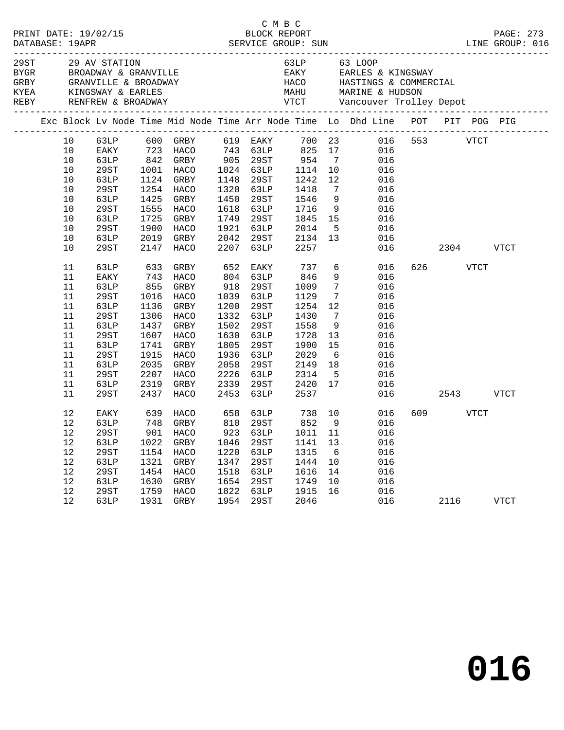|                                                                                                                                                                                  |                                                                                                                                                                                                      |                                                                                                                           |                                                                                                                                                                                                                                                 |                                                                                                                                                    |                                                                                                                                                                                                                                        |                                                                                                                                                                                           |                                                                                                                                                          | 63LP 63 LOOP<br>EAKY EARLES & KINGSWAY<br>HACO HASTINGS & COMMERCIAL                                                                                                                                                                                                                                                                                                   |                                           |             |
|----------------------------------------------------------------------------------------------------------------------------------------------------------------------------------|------------------------------------------------------------------------------------------------------------------------------------------------------------------------------------------------------|---------------------------------------------------------------------------------------------------------------------------|-------------------------------------------------------------------------------------------------------------------------------------------------------------------------------------------------------------------------------------------------|----------------------------------------------------------------------------------------------------------------------------------------------------|----------------------------------------------------------------------------------------------------------------------------------------------------------------------------------------------------------------------------------------|-------------------------------------------------------------------------------------------------------------------------------------------------------------------------------------------|----------------------------------------------------------------------------------------------------------------------------------------------------------|------------------------------------------------------------------------------------------------------------------------------------------------------------------------------------------------------------------------------------------------------------------------------------------------------------------------------------------------------------------------|-------------------------------------------|-------------|
|                                                                                                                                                                                  |                                                                                                                                                                                                      |                                                                                                                           |                                                                                                                                                                                                                                                 |                                                                                                                                                    |                                                                                                                                                                                                                                        |                                                                                                                                                                                           |                                                                                                                                                          | Exc Block Lv Node Time Mid Node Time Arr Node Time Lo Dhd Line POT PIT POG PIG                                                                                                                                                                                                                                                                                         |                                           |             |
| 10<br>10<br>10<br>10<br>$10$<br>$10$<br>$10$<br>$10$<br>$10$<br>$10$<br>10<br>10<br>11<br>11<br>11<br>11<br>11<br>11<br>11<br>11<br>11<br>11<br>11<br>11<br>11<br>11<br>12<br>12 | 29ST<br>63LP<br>29ST<br>63LP<br>29ST<br>63LP<br>29ST<br>63LP<br>29ST<br>63LP<br>EAKY<br>63LP<br>29ST<br>63LP<br>29ST<br>63LP<br>29ST<br>63LP<br>29ST<br>63LP<br>29ST<br>63LP<br>29ST<br>EAKY<br>63LP | 1124<br>1725<br>1900<br>2019<br>633<br>743<br>855<br>1016<br>1136<br>1437<br>1607<br>1741<br>1915<br>2035<br>2207<br>2319 | 1001 HACO<br>GRBY<br>1254 HACO<br>1425 GRBY<br>1555 HACO<br>GRBY<br>HACO<br>GRBY<br>2147 HACO<br>GRBY<br>HACO<br>GRBY<br>HACO<br>GRBY<br>1306 HACO<br>GRBY<br>HACO<br>GRBY<br>HACO<br>GRBY<br>HACO<br>GRBY<br>2437 HACO<br>639 HACO<br>748 GRBY | 1148<br>1450<br>1618<br>1749<br>1921<br>2042<br>2207<br>652<br>918<br>1039<br>1200<br>1502<br>1630<br>1805<br>1936<br>2058<br>2226<br>2339<br>2453 | 1024 63LP<br>29ST<br>1320 63LP<br>29ST<br>63LP<br>29ST<br>63LP<br>29ST<br>63LP<br>EAKY<br>804 63LP<br>29ST<br>63LP<br>29ST<br>1332 63LP<br>29ST<br>63LP<br>29ST<br>63LP<br>29ST<br>63LP<br>29ST<br>63LP<br>658 63LP 738 10<br>810 29ST | 1114<br>1242<br>1418<br>1546<br>1716<br>1845<br>2014<br>2134<br>2257<br>737<br>846<br>1009<br>1129<br>1254<br>1430<br>1558<br>1728<br>1900<br>2029<br>2149<br>2314<br>2420<br>2537<br>852 | 10<br>12<br>$7\overline{ }$<br>13<br>$7\overline{ }$<br>$7\overline{ }$<br>12<br>$\overline{7}$<br>9<br>13<br>15<br>$6\overline{6}$<br>18<br>$5^{\circ}$ | 63LP 600 GRBY 619 EAKY 700 23 016 553 VTCT<br>EAKY 723 HACO 743 63LP 825 17 016<br>63LP 842 GRBY 905 29ST 954 7 016<br>016<br>016<br>016<br>9<br>016<br>9<br>016<br>15<br>016<br>$\overline{5}$<br>016<br>016<br>016<br>$\overline{6}$<br>016<br>9<br>016<br>016<br>016<br>016<br>016<br>016<br>016<br>016<br>016<br>016<br>016<br>17<br>016<br>016<br>016<br>9<br>016 | 2304 VTCT<br>626 VTCT<br>2543<br>609 VTCT | <b>VTCT</b> |
| 12<br>12<br>12<br>12<br>12<br>12<br>12<br>12                                                                                                                                     | 63LP<br>29ST<br>63LP<br><b>29ST</b><br>63LP<br>29ST<br>63LP                                                                                                                                          | 1022<br>1154<br>1321<br>1454<br>1630<br>1759<br>1931                                                                      | GRBY<br><b>HACO</b><br>GRBY<br>HACO<br>GRBY<br><b>HACO</b><br>GRBY                                                                                                                                                                              | 1046<br>1220<br>1347<br>1518<br>1654<br>1822<br>1954                                                                                               | 29ST<br>63LP<br>29ST<br>63LP<br><b>29ST</b><br>63LP<br>29ST                                                                                                                                                                            | 1141<br>1315<br>1444<br>1616<br>1749<br>1915<br>2046                                                                                                                                      | 13<br>6<br>10<br>14<br>10<br>16                                                                                                                          | 29ST 901 HACO 923 63LP 1011 11 016<br>016<br>016<br>016<br>016<br>016<br>016<br>016                                                                                                                                                                                                                                                                                    | 2116                                      | <b>VTCT</b> |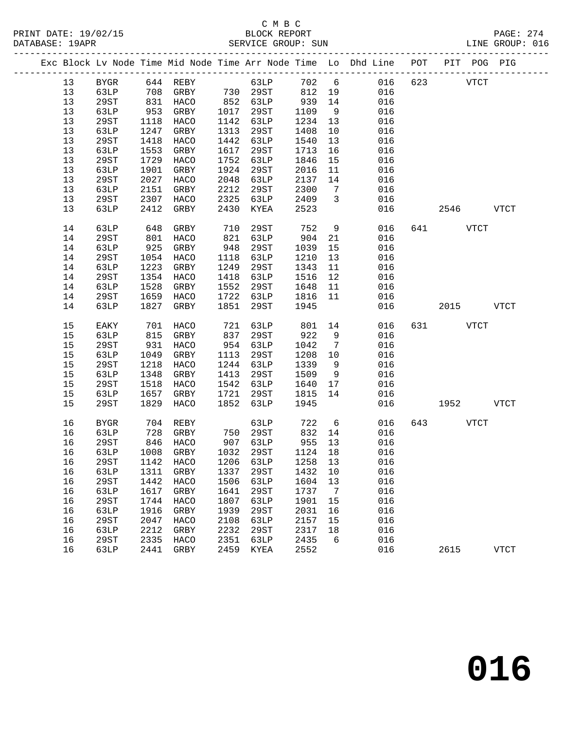|  |    |             |      |           |            |            |               |                          | Exc Block Lv Node Time Mid Node Time Arr Node Time Lo Dhd Line POT PIT POG PIG |          |              |
|--|----|-------------|------|-----------|------------|------------|---------------|--------------------------|--------------------------------------------------------------------------------|----------|--------------|
|  | 13 | BYGR        |      |           |            | 63LP 702 6 |               |                          | 016                                                                            | 623 VTCT |              |
|  | 13 | 63LP        |      |           |            |            |               |                          | 016                                                                            |          |              |
|  | 13 | 29ST        |      | 831 HACO  |            | 852 63LP   | 939           | 14                       | 016                                                                            |          |              |
|  | 13 | 63LP        | 953  | GRBY      | 1017       | 29ST       | 1109          | 9                        | 016                                                                            |          |              |
|  | 13 | 29ST        | 1118 | HACO      |            | 1142 63LP  | 1234          | 13                       | 016                                                                            |          |              |
|  | 13 | 63LP        | 1247 | GRBY      | 1313       | 29ST       | 1408          | 10                       | 016                                                                            |          |              |
|  | 13 | 29ST        | 1418 | HACO      | 1442       | 63LP       | 1540          | 13                       | 016                                                                            |          |              |
|  | 13 | 63LP        | 1553 | GRBY      | 1617       | 29ST       | 1713          | 16                       | 016                                                                            |          |              |
|  | 13 | 29ST        | 1729 | HACO      | 1752       | 63LP       | 1846          | 15                       | 016                                                                            |          |              |
|  | 13 | 63LP        | 1901 | GRBY      | 1924       | 29ST       | 2016          | 11                       | 016                                                                            |          |              |
|  | 13 | 29ST        | 2027 | HACO      | 2048       | 63LP       | 2137          | 14                       | 016                                                                            |          |              |
|  | 13 | 63LP        | 2151 | GRBY      | 2212       | 29ST       | 2300          | $\overline{7}$           | 016                                                                            |          |              |
|  | 13 | 29ST        | 2307 | HACO      | 2325       | 63LP       | 2409          | $\overline{\phantom{a}}$ | 016                                                                            |          |              |
|  | 13 | 63LP        | 2412 | GRBY      | 2430       | KYEA       | 2523          |                          | 016                                                                            | 2546     | VTCT         |
|  | 14 | 63LP        | 648  | GRBY      | 710        | 29ST       | 752           | 9                        | 016                                                                            | 641 VTCT |              |
|  | 14 | 29ST        | 801  | HACO      | 821        | 63LP       | 904           | 21                       | 016                                                                            |          |              |
|  | 14 | 63LP        | 925  | GRBY      | 948        | 29ST       | 1039          | 15                       | 016                                                                            |          |              |
|  | 14 | 29ST        | 1054 | HACO      | 1118       | 63LP       | 1210          | 13                       | 016                                                                            |          |              |
|  | 14 | 63LP        | 1223 | GRBY      | 1249       | 29ST       | 1343          | 11                       | 016                                                                            |          |              |
|  | 14 | 29ST        | 1354 | HACO      | 1418       | 63LP       | 1516          | 12                       | 016                                                                            |          |              |
|  | 14 | 63LP        | 1528 | GRBY      | 1552       | 29ST       | 1648          | 11                       | 016                                                                            |          |              |
|  | 14 | 29ST        | 1659 | HACO      |            | 1722 63LP  | 1816          | 11                       | 016                                                                            |          |              |
|  | 14 | 63LP        | 1827 | GRBY      | 1851       | 29ST       | 1945          |                          | 016                                                                            | 2015     | VTCT         |
|  | 15 | EAKY        | 701  | HACO      | 721<br>837 | 63LP       | 801 14        |                          | 016                                                                            | 631 VTCT |              |
|  | 15 | 63LP        | 815  | GRBY      |            | 29ST       | 922           | 9                        | 016                                                                            |          |              |
|  | 15 | 29ST        | 931  | HACO      |            | 954 63LP   | 1042          | $\overline{7}$           | 016                                                                            |          |              |
|  | 15 | 63LP        | 1049 | GRBY      | 1113       | 29ST       | 1208          | 10                       | 016                                                                            |          |              |
|  | 15 | 29ST        | 1218 | HACO      |            | 1244 63LP  | 1339          | 9                        | 016                                                                            |          |              |
|  | 15 | 63LP        | 1348 | GRBY      | 1413       | 29ST       | 1509          | 9                        | 016                                                                            |          |              |
|  | 15 | 29ST        | 1518 | HACO      |            | 1542 63LP  | 1640          | 17                       | 016                                                                            |          |              |
|  | 15 | 63LP        | 1657 | GRBY      | 1721       | 29ST       | 1815          | 14                       | 016                                                                            |          |              |
|  | 15 | 29ST        | 1829 | HACO      | 1852       | 63LP       | 1945          |                          | 016                                                                            | 1952     | VTCT         |
|  | 16 | BYGR        | 704  | REBY      |            | 63LP       | 722           | 6                        | 016                                                                            | 643 VTCT |              |
|  | 16 | 63LP        | 728  | GRBY      |            | 750 29ST   | 832           | 14                       | 016                                                                            |          |              |
|  | 16 | 29ST        | 846  | HACO      |            | 907 63LP   | $955$<br>1124 | 13                       | 016                                                                            |          |              |
|  | 16 | 63LP        |      | 1008 GRBY |            | 1032 29ST  | 1124 18       |                          | 016                                                                            |          |              |
|  | 16 | 29ST        |      |           |            |            |               |                          | 1142 HACO 1206 63LP 1258 13 016                                                |          |              |
|  | 16 | 63LP        | 1311 | GRBY      | 1337       | 29ST       | 1432          | 10                       | 016                                                                            |          |              |
|  | 16 | 29ST        | 1442 | HACO      | 1506       | 63LP       | 1604          | 13                       | 016                                                                            |          |              |
|  | 16 | 63LP        | 1617 | GRBY      | 1641       | 29ST       | 1737          | $\overline{7}$           | 016                                                                            |          |              |
|  | 16 | <b>29ST</b> | 1744 | HACO      | 1807       | 63LP       | 1901          | 15                       | 016                                                                            |          |              |
|  | 16 | 63LP        | 1916 | GRBY      | 1939       | 29ST       | 2031          | 16                       | 016                                                                            |          |              |
|  | 16 | <b>29ST</b> | 2047 | HACO      | 2108       | 63LP       | 2157          | 15                       | 016                                                                            |          |              |
|  | 16 | 63LP        | 2212 | GRBY      | 2232       | 29ST       | 2317          | 18                       | 016                                                                            |          |              |
|  | 16 | 29ST        | 2335 | HACO      | 2351       | 63LP       | 2435          | 6                        | 016                                                                            |          |              |
|  | 16 | 63LP        | 2441 | GRBY      | 2459       | KYEA       | 2552          |                          | 016                                                                            | 2615     | ${\tt VTCT}$ |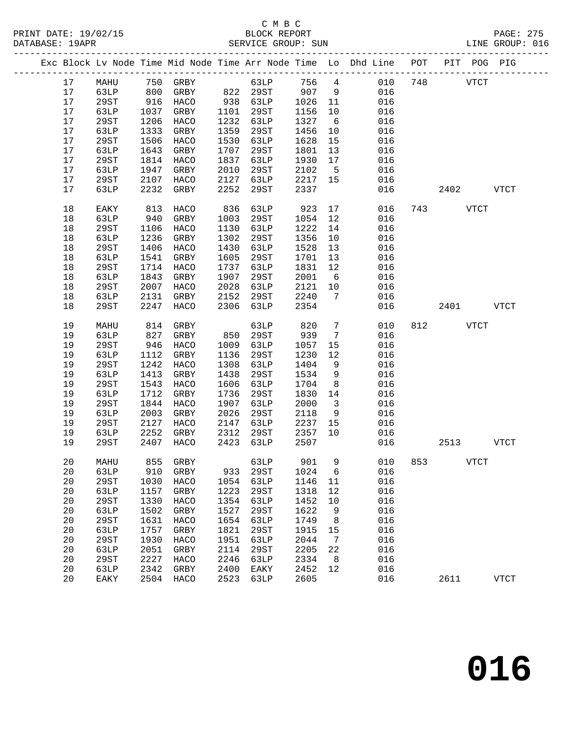### C M B C<br>BLOCK REPORT

|        |      |                     |          |      |             |      |                         | Exc Block Lv Node Time Mid Node Time Arr Node Time Lo Dhd Line POT PIT POG PIG |     |           |              |             |  |
|--------|------|---------------------|----------|------|-------------|------|-------------------------|--------------------------------------------------------------------------------|-----|-----------|--------------|-------------|--|
| 17     | MAHU |                     | 750 GRBY |      |             |      |                         | 63LP 756 4 010 748 VTCT                                                        |     |           |              |             |  |
| 17     | 63LP | 800                 | GRBY     |      |             |      |                         | 822 29ST 907 9 016                                                             |     |           |              |             |  |
| 17     | 29ST |                     | HACO     |      | 938 63LP    | 1026 |                         | 016                                                                            |     |           |              |             |  |
| 17     | 63LP | 916<br>1037<br>1037 | GRBY     | 1101 | 29ST        | 1156 |                         | $\begin{array}{c} 11 \\ 10 \end{array}$<br>016                                 |     |           |              |             |  |
| 17     | 29ST | 1206                | HACO     | 1232 | 63LP        | 1327 |                         | $6\overline{6}$<br>016                                                         |     |           |              |             |  |
| 17     | 63LP | 1333                | GRBY     | 1359 | 29ST        | 1456 |                         | 10<br>016                                                                      |     |           |              |             |  |
| $17$   | 29ST | 1506                | HACO     | 1530 | 63LP        | 1628 | 15                      | 016                                                                            |     |           |              |             |  |
| 17     | 63LP | 1643                | GRBY     | 1707 | 29ST        | 1801 | 13                      | 016                                                                            |     |           |              |             |  |
| 17     | 29ST | 1814                | HACO     | 1837 | 63LP        | 1930 | 17                      | 016                                                                            |     |           |              |             |  |
| $17$   | 63LP | 1947                | GRBY     | 2010 | 29ST        | 2102 | $5^{\circ}$             | 016                                                                            |     |           |              |             |  |
| $17\,$ | 29ST | 2107                | HACO     | 2127 | 63LP        |      |                         | 2217 15<br>016                                                                 |     |           |              |             |  |
| 17     | 63LP | 2232                | GRBY     | 2252 | 29ST        | 2337 |                         | 016                                                                            |     | 2402 VTCT |              |             |  |
| 18     | EAKY | 813                 | HACO     | 836  | 63LP        | 923  |                         | 17<br>016                                                                      |     | 743 VTCT  |              |             |  |
| $18$   | 63LP | 940                 | GRBY     | 1003 | 29ST        | 1054 | 12                      | 016                                                                            |     |           |              |             |  |
| $18$   | 29ST | 1106                | HACO     | 1130 | 63LP        | 1222 | 14                      | 016                                                                            |     |           |              |             |  |
| 18     | 63LP | 1236                | GRBY     | 1302 | 29ST        | 1356 | 10                      | 016                                                                            |     |           |              |             |  |
| $18\,$ | 29ST | 1406                | HACO     | 1430 | 63LP        | 1528 | 13                      | 016                                                                            |     |           |              |             |  |
| $18\,$ | 63LP | 1541                | GRBY     | 1605 | 29ST        | 1701 | 13                      | 016                                                                            |     |           |              |             |  |
| $18$   | 29ST | 1714                | HACO     | 1737 | 63LP        | 1831 | 12                      | 016                                                                            |     |           |              |             |  |
| $18$   | 63LP | 1843                | GRBY     | 1907 | 29ST        | 2001 | 6                       | 016                                                                            |     |           |              |             |  |
| $18$   | 29ST | 2007                | HACO     | 2028 | 63LP        | 2121 | 10                      | 016                                                                            |     |           |              |             |  |
| $18$   | 63LP | 2131                | GRBY     | 2152 | 29ST        | 2240 | 7                       | 016                                                                            |     |           |              |             |  |
| 18     | 29ST | 2247                | HACO     | 2306 | 63LP        | 2354 |                         | 016                                                                            |     | 2401 VTCT |              |             |  |
|        |      |                     |          |      |             |      |                         |                                                                                |     |           |              |             |  |
| 19     | MAHU | 814                 | GRBY     |      | 63LP        | 820  | $7\overline{ }$         | 010                                                                            |     | 812 VTCT  |              |             |  |
| 19     | 63LP | 827                 | GRBY     | 850  | 29ST        | 939  | $7\overline{ }$         | 016                                                                            |     |           |              |             |  |
| 19     | 29ST | 946                 | HACO     | 1009 | 63LP        | 1057 | 15                      | 016                                                                            |     |           |              |             |  |
| 19     | 63LP | 1112                | GRBY     | 1136 | 29ST        | 1230 | 12                      | 016                                                                            |     |           |              |             |  |
| 19     | 29ST | 1242                | HACO     | 1308 | 63LP        | 1404 | 9                       | 016                                                                            |     |           |              |             |  |
| 19     | 63LP | 1413                | GRBY     | 1438 | 29ST        | 1534 | 9                       | 016                                                                            |     |           |              |             |  |
| 19     | 29ST | 1543                | HACO     | 1606 | 63LP        | 1704 | 8 <sup>8</sup>          | 016                                                                            |     |           |              |             |  |
| 19     | 63LP | 1712                | GRBY     | 1736 | 29ST        | 1830 | 14                      | 016                                                                            |     |           |              |             |  |
| 19     | 29ST | 1844                | HACO     | 1907 | 63LP        | 2000 | $\overline{\mathbf{3}}$ | 016                                                                            |     |           |              |             |  |
| 19     | 63LP | 2003                | GRBY     | 2026 | 29ST        | 2118 |                         | $9 \left( \frac{1}{2} \right)$<br>016                                          |     |           |              |             |  |
| 19     | 29ST | 2127                | HACO     | 2147 | 63LP        |      |                         | 2237 15 016                                                                    |     |           |              |             |  |
| 19     | 63LP | 2252                | GRBY     | 2312 | 29ST        | 2357 | 10                      | 016                                                                            |     |           |              |             |  |
| 19     | 29ST | 2407                | HACO     | 2423 | 63LP        | 2507 |                         | 016                                                                            |     | 2513      |              | <b>VTCT</b> |  |
| 20     | MAHU | 855                 | GRBY     |      | 63LP        | 901  | 9                       | 010                                                                            | 853 |           | ${\tt VTCT}$ |             |  |
| 20     | 63LP | 910                 | GRBY     | 933  | 29ST        | 1024 | 6                       | 016                                                                            |     |           |              |             |  |
| 20     | 29ST | 1030                | HACO     | 1054 | <b>63LP</b> | 1146 | 11                      | 016                                                                            |     |           |              |             |  |
| 20     | 63LP | 1157                | GRBY     | 1223 | <b>29ST</b> | 1318 | 12                      | 016                                                                            |     |           |              |             |  |
| 20     | 29ST | 1330                | HACO     | 1354 | 63LP        | 1452 | $10$                    | 016                                                                            |     |           |              |             |  |
| 20     | 63LP | 1502                | GRBY     | 1527 | <b>29ST</b> | 1622 | 9                       | 016                                                                            |     |           |              |             |  |

 20 29ST 1631 HACO 1654 63LP 1749 8 016 20 63LP 1757 GRBY 1821 29ST 1915 15 016 20 29ST 1930 HACO 1951 63LP 2044 7 016 20 63LP 2051 GRBY 2114 29ST 2205 22 016 20 29ST 2227 HACO 2246 63LP 2334 8 016 20 63LP 2342 GRBY 2400 EAKY 2452 12 016

20 EAKY 2504 HACO 2523 63LP 2605 016 2611 VTCT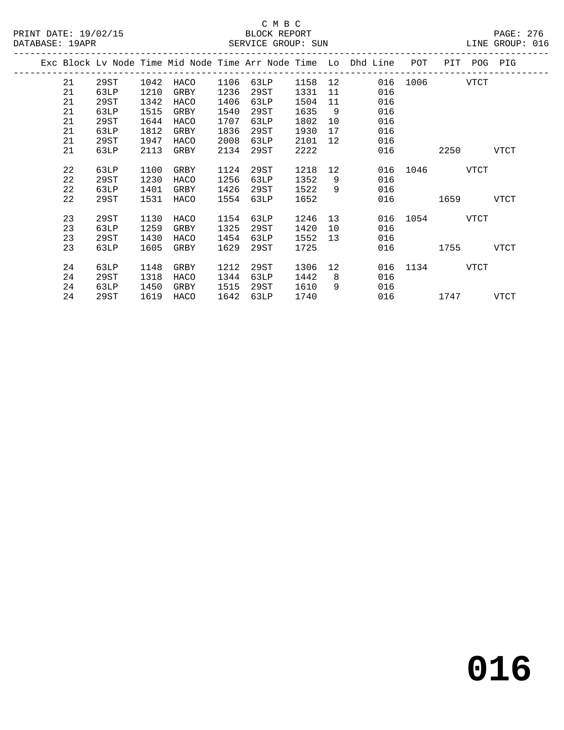|  | DAIADAJE. IJAPR |      |      |      |      | ODIVATO QUOQE OUN |      |                 |                                                                                |               |           | DINE GROOF. ATO |
|--|-----------------|------|------|------|------|-------------------|------|-----------------|--------------------------------------------------------------------------------|---------------|-----------|-----------------|
|  |                 |      |      |      |      |                   |      |                 | Exc Block Lv Node Time Mid Node Time Arr Node Time Lo Dhd Line POT PIT POG PIG |               |           |                 |
|  | 21              | 29ST | 1042 | HACO |      |                   |      | ------------    | 1106 63LP 1158 12 016 1006 VTCT                                                |               |           |                 |
|  | 21              | 63LP | 1210 | GRBY | 1236 | 29ST              | 1331 |                 | 11 016                                                                         |               |           |                 |
|  | 21              | 29ST | 1342 | HACO | 1406 | 63LP              | 1504 |                 | 11<br>016                                                                      |               |           |                 |
|  | 21              | 63LP | 1515 | GRBY | 1540 | 29ST              | 1635 |                 | 9<br>016                                                                       |               |           |                 |
|  | 21              | 29ST | 1644 | HACO | 1707 | 63LP              | 1802 | 10 <sup>1</sup> | 016                                                                            |               |           |                 |
|  | 21              | 63LP | 1812 | GRBY | 1836 | 29ST              | 1930 |                 | 016                                                                            |               |           |                 |
|  | 21              | 29ST | 1947 | HACO | 2008 | 63LP              | 2101 |                 | 016<br>12 and $\overline{a}$                                                   |               |           |                 |
|  | 21              | 63LP | 2113 | GRBY | 2134 | 29ST              | 2222 |                 |                                                                                | 016 10        | 2250 VTCT |                 |
|  | 22              | 63LP | 1100 | GRBY | 1124 | 29ST              | 1218 |                 | 12                                                                             | 016 1046 VTCT |           |                 |
|  | 22              | 29ST | 1230 | HACO | 1256 | 63LP              | 1352 | 9               | 016                                                                            |               |           |                 |
|  | 22              | 63LP | 1401 | GRBY | 1426 | 29ST              | 1522 | 9               | 016                                                                            |               |           |                 |
|  | 22              | 29ST | 1531 | HACO | 1554 | 63LP              | 1652 |                 |                                                                                | 016 1659 VTCT |           |                 |
|  | 23              | 29ST | 1130 | HACO | 1154 | 63LP              | 1246 |                 | 13                                                                             | 016 1054 VTCT |           |                 |
|  | 23              | 63LP | 1259 | GRBY | 1325 | 29ST              | 1420 |                 | 10<br>016                                                                      |               |           |                 |
|  | 23              | 29ST | 1430 | HACO | 1454 | 63LP              | 1552 |                 | 016<br>13                                                                      |               |           |                 |
|  | 23              | 63LP | 1605 | GRBY | 1629 | 29ST              | 1725 |                 |                                                                                | 016 1755 VTCT |           |                 |
|  | 24              | 63LP | 1148 | GRBY | 1212 | 29ST              | 1306 |                 | 12 and $\overline{a}$                                                          | 016 1134 VTCT |           |                 |
|  | 24              | 29ST | 1318 | HACO | 1344 | 63LP              | 1442 | 8 <sup>8</sup>  | 016                                                                            |               |           |                 |
|  | 24              | 63LP | 1450 | GRBY | 1515 | 29ST              | 1610 | 9               | 016                                                                            |               |           |                 |
|  | 24              | 29ST | 1619 | HACO | 1642 | 63LP              | 1740 |                 |                                                                                | 016 1747 VTCT |           |                 |
|  |                 |      |      |      |      |                   |      |                 |                                                                                |               |           |                 |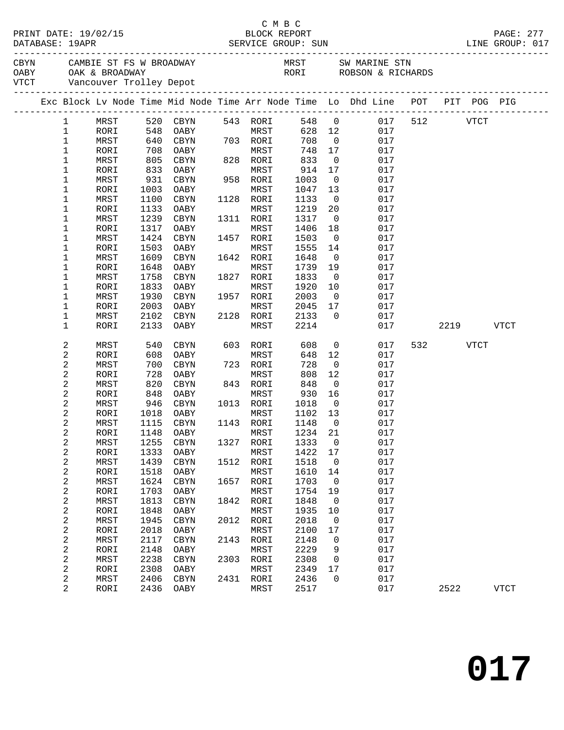|  |                         |      |            |                        |      |           |         |                          | LINE GROUP: 017                                                                                                                                                                                                                |          |           | PAGE: 277   |
|--|-------------------------|------|------------|------------------------|------|-----------|---------|--------------------------|--------------------------------------------------------------------------------------------------------------------------------------------------------------------------------------------------------------------------------|----------|-----------|-------------|
|  |                         |      |            |                        |      |           |         |                          | CAMBIE ST FS W BROADWAY MRST SW MARINE STN OABY OAK & BROADWAY NEST SW MARINE STN OABY OAK & BROADWAY DEPOTE STORE STORE STORE STORE STORE STORE STORE STORE STORE STORE STORE STORE STORE STORE STORE STORE STORE STORE STORE |          |           |             |
|  |                         |      |            |                        |      |           |         |                          |                                                                                                                                                                                                                                |          |           |             |
|  |                         |      |            |                        |      |           |         |                          | Exc Block Lv Node Time Mid Node Time Arr Node Time Lo Dhd Line POT PIT POG PIG                                                                                                                                                 |          |           |             |
|  | $\mathbf{1}$            | MRST |            | 520 CBYN               |      | 543 RORI  |         |                          | 548 0 017                                                                                                                                                                                                                      | 512 VTCT |           |             |
|  | $\mathbf{1}$            | RORI | 548        | OABY                   |      | MRST      | 628 12  |                          | 017                                                                                                                                                                                                                            |          |           |             |
|  | $\mathbf 1$             | MRST | 640        | CBYN                   |      | 703 RORI  | 708     | $\overline{0}$           | 017                                                                                                                                                                                                                            |          |           |             |
|  | 1                       | RORI | 708<br>805 | OABY                   |      | MRST      | 748     | 17                       | 017                                                                                                                                                                                                                            |          |           |             |
|  | $\mathbf 1$             | MRST |            | CBYN                   |      | 828 RORI  | 833     | $\overline{0}$           | 017                                                                                                                                                                                                                            |          |           |             |
|  | $\mathbf 1$             | RORI | 833        | OABY                   |      | MRST      | 914     | 17                       | 017                                                                                                                                                                                                                            |          |           |             |
|  | 1                       | MRST | 931        | CBYN                   |      | 958 RORI  | 1003    | $\overline{\mathbf{0}}$  | 017                                                                                                                                                                                                                            |          |           |             |
|  | 1                       | RORI | 1003       | OABY                   |      | MRST      | 1047    | 13                       | 017                                                                                                                                                                                                                            |          |           |             |
|  | 1                       | MRST | 1100       | CBYN                   |      | 1128 RORI | 1133    | $\overline{0}$           | 017                                                                                                                                                                                                                            |          |           |             |
|  | 1                       | RORI | 1133       | OABY                   |      | MRST      | 1219    | 20                       | 017                                                                                                                                                                                                                            |          |           |             |
|  | $\mathbf 1$             | MRST | 1239       | CBYN                   |      | 1311 RORI | 1317    | $\overline{\phantom{0}}$ | 017                                                                                                                                                                                                                            |          |           |             |
|  | 1                       | RORI | 1317       | OABY                   |      | MRST      | 1406    | 18                       | 017                                                                                                                                                                                                                            |          |           |             |
|  | $\mathbf 1$             | MRST | 1424       | CBYN                   |      | 1457 RORI | 1503    | $\overline{0}$           | 017                                                                                                                                                                                                                            |          |           |             |
|  | 1                       | RORI | 1503       | OABY                   |      | MRST      | 1555    | 14                       | 017                                                                                                                                                                                                                            |          |           |             |
|  | 1                       | MRST | 1609       | CBYN                   |      | 1642 RORI | 1648    | $\overline{\mathbf{0}}$  | 017                                                                                                                                                                                                                            |          |           |             |
|  | 1                       | RORI | 1648       | OABY                   |      | MRST      | 1739    | 19                       | 017                                                                                                                                                                                                                            |          |           |             |
|  | $\mathbf 1$             | MRST | 1758       | CBYN                   |      | 1827 RORI | 1833    | $\overline{\mathbf{0}}$  | 017                                                                                                                                                                                                                            |          |           |             |
|  | 1                       | RORI | 1833       | OABY                   |      | MRST      | 1920    | 10                       | 017                                                                                                                                                                                                                            |          |           |             |
|  | $\mathbf 1$             | MRST | 1930       | CBYN                   |      | 1957 RORI | 2003    | $\overline{\mathbf{0}}$  | 017                                                                                                                                                                                                                            |          |           |             |
|  | 1                       | RORI | 2003       | OABY                   |      | MRST      | 2045    | 17                       | 017                                                                                                                                                                                                                            |          |           |             |
|  | 1                       | MRST | 2102       | CBYN                   |      | 2128 RORI | 2133    | $\overline{0}$           | 017                                                                                                                                                                                                                            |          |           |             |
|  | 1                       | RORI | 2133       | OABY                   |      | MRST      | 2214    |                          | 017                                                                                                                                                                                                                            |          | 2219 VTCT |             |
|  | 2                       | MRST | 540        | CBYN                   |      | 603 RORI  | 608     | $\overline{0}$           | 017                                                                                                                                                                                                                            | 532 VTCT |           |             |
|  | 2                       | RORI | 608        | OABY                   |      | MRST      | 648     | 12                       | 017                                                                                                                                                                                                                            |          |           |             |
|  | 2                       | MRST | 700        | CBYN                   |      | 723 RORI  | 728     | $\overline{0}$           | 017                                                                                                                                                                                                                            |          |           |             |
|  | 2                       | RORI | 728        | OABY                   |      | MRST      | 808     | 12                       | 017                                                                                                                                                                                                                            |          |           |             |
|  | 2                       | MRST | 820        | CBYN                   |      | 843 RORI  | 848     | $\overline{\mathbf{0}}$  | 017                                                                                                                                                                                                                            |          |           |             |
|  | 2                       | RORI | 848        | OABY                   |      | MRST      | 930     | 16                       | 017                                                                                                                                                                                                                            |          |           |             |
|  | 2                       | MRST |            | 946 CBYN               |      | 1013 RORI | 1018    | $\overline{0}$           | 017                                                                                                                                                                                                                            |          |           |             |
|  | 2                       | RORI |            | 1018 OABY              |      | MRST      | 1102 13 |                          | 017                                                                                                                                                                                                                            |          |           |             |
|  | 2                       | MRST |            | 1115 CBYN              |      | 1143 RORI | 1148    | $\overline{0}$           | 017                                                                                                                                                                                                                            |          |           |             |
|  | 2                       | RORI |            | 1148 OABY MRST 1234 21 |      |           |         |                          | 017                                                                                                                                                                                                                            |          |           |             |
|  | 2                       | MRST | 1255       | CBYN                   | 1327 | RORI      | 1333    | 0                        | 017                                                                                                                                                                                                                            |          |           |             |
|  | 2                       | RORI | 1333       | OABY                   |      | MRST      | 1422    | 17                       | 017                                                                                                                                                                                                                            |          |           |             |
|  | 2                       | MRST | 1439       | CBYN                   | 1512 | RORI      | 1518    | 0                        | 017                                                                                                                                                                                                                            |          |           |             |
|  | 2                       | RORI | 1518       | OABY                   |      | MRST      | 1610    | 14                       | 017                                                                                                                                                                                                                            |          |           |             |
|  | $\overline{\mathbf{c}}$ | MRST | 1624       | CBYN                   | 1657 | RORI      | 1703    | $\mathsf 0$              | 017                                                                                                                                                                                                                            |          |           |             |
|  | 2                       | RORI | 1703       | OABY                   |      | MRST      | 1754    | 19                       | 017                                                                                                                                                                                                                            |          |           |             |
|  | 2                       | MRST | 1813       | CBYN                   | 1842 | RORI      | 1848    | 0                        | 017                                                                                                                                                                                                                            |          |           |             |
|  | 2                       | RORI | 1848       | OABY                   |      | MRST      | 1935    | 10                       | 017                                                                                                                                                                                                                            |          |           |             |
|  | 2                       | MRST | 1945       | $\rm CBYN$             | 2012 | RORI      | 2018    | $\mathsf 0$              | 017                                                                                                                                                                                                                            |          |           |             |
|  | 2                       | RORI | 2018       | OABY                   |      | MRST      | 2100    | 17                       | 017                                                                                                                                                                                                                            |          |           |             |
|  | 2                       | MRST | 2117       | CBYN                   | 2143 | RORI      | 2148    | 0                        | 017                                                                                                                                                                                                                            |          |           |             |
|  | 2                       | RORI | 2148       | OABY                   |      | MRST      | 2229    | 9                        | 017                                                                                                                                                                                                                            |          |           |             |
|  | 2                       | MRST | 2238       | CBYN                   | 2303 | RORI      | 2308    | 0                        | 017                                                                                                                                                                                                                            |          |           |             |
|  | 2                       | RORI | 2308       | OABY                   |      | MRST      | 2349    | 17                       | 017                                                                                                                                                                                                                            |          |           |             |
|  | 2                       | MRST | 2406       | CBYN                   | 2431 | RORI      | 2436    | $\mathbf 0$              | 017                                                                                                                                                                                                                            |          |           |             |
|  | 2                       | RORI | 2436       | OABY                   |      | MRST      | 2517    |                          | 017                                                                                                                                                                                                                            | 2522     |           | <b>VTCT</b> |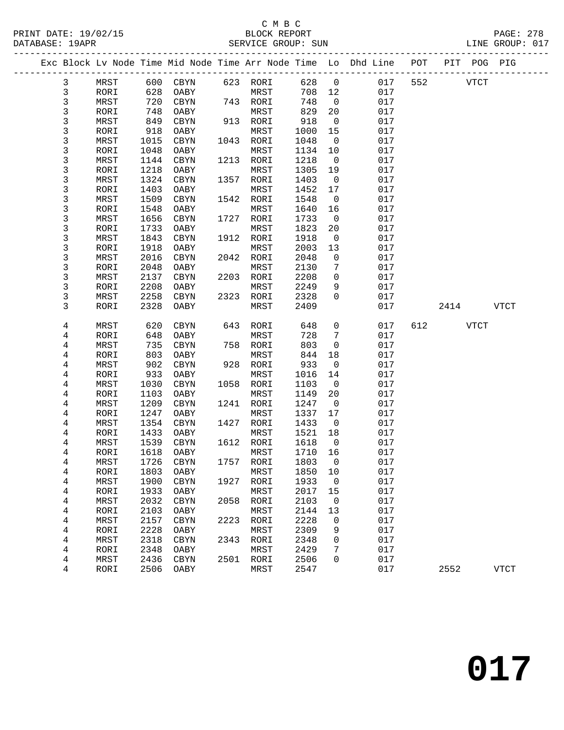#### C M B C SERVICE GROUP: SUN

|              |      |      |            |      |          |        |                | Exc Block Lv Node Time Mid Node Time Arr Node Time Lo Dhd Line POT PIT POG PIG |     |      |             |             |
|--------------|------|------|------------|------|----------|--------|----------------|--------------------------------------------------------------------------------|-----|------|-------------|-------------|
| 3            | MRST |      | 600 CBYN   |      | 623 RORI | 628    | $\overline{0}$ | 017                                                                            | 552 |      | VTCT        |             |
| 3            | RORI | 628  | OABY       |      | MRST     | 708 12 |                | 017                                                                            |     |      |             |             |
| $\mathbf{3}$ | MRST | 720  | CBYN       |      | 743 RORI | 748    | $\overline{0}$ | 017                                                                            |     |      |             |             |
| 3            | RORI | 748  | OABY       |      | MRST     | 829    | 20             | 017                                                                            |     |      |             |             |
| 3            | MRST | 849  | CBYN       | 913  | RORI     | 918    | $\overline{0}$ | 017                                                                            |     |      |             |             |
| 3            | RORI | 918  | OABY       |      | MRST     | 1000   | 15             | 017                                                                            |     |      |             |             |
| 3            | MRST | 1015 | CBYN       | 1043 | RORI     | 1048   | $\overline{0}$ | 017                                                                            |     |      |             |             |
| 3            | RORI | 1048 | OABY       |      | MRST     | 1134   | 10             | 017                                                                            |     |      |             |             |
| 3            | MRST | 1144 | CBYN       | 1213 | RORI     | 1218   | $\overline{0}$ | 017                                                                            |     |      |             |             |
| 3            | RORI | 1218 | OABY       |      | MRST     | 1305   | 19             | 017                                                                            |     |      |             |             |
| 3            | MRST | 1324 | CBYN       | 1357 | RORI     | 1403   | $\overline{0}$ | 017                                                                            |     |      |             |             |
| 3            | RORI | 1403 | OABY       |      | MRST     | 1452   | 17             | 017                                                                            |     |      |             |             |
| 3            | MRST | 1509 | CBYN       | 1542 | RORI     | 1548   | $\overline{0}$ | 017                                                                            |     |      |             |             |
| 3            | RORI | 1548 | OABY       |      | MRST     | 1640   | 16             | 017                                                                            |     |      |             |             |
| 3            | MRST | 1656 | CBYN       | 1727 | RORI     | 1733   | $\overline{0}$ | 017                                                                            |     |      |             |             |
| 3            | RORI | 1733 | OABY       |      | MRST     | 1823   | 20             | 017                                                                            |     |      |             |             |
| 3            | MRST | 1843 | CBYN       | 1912 | RORI     | 1918   | $\overline{0}$ | 017                                                                            |     |      |             |             |
| 3            | RORI | 1918 | OABY       |      | MRST     | 2003   | 13             | 017                                                                            |     |      |             |             |
| 3            | MRST | 2016 | CBYN       | 2042 | RORI     | 2048   | $\mathbf 0$    | 017                                                                            |     |      |             |             |
| 3            | RORI | 2048 | OABY       |      | MRST     | 2130   | 7              | 017                                                                            |     |      |             |             |
| 3            | MRST | 2137 | CBYN       | 2203 | RORI     | 2208   | $\mathbf 0$    | 017                                                                            |     |      |             |             |
| 3            | RORI | 2208 | OABY       |      | MRST     | 2249   | 9              | 017                                                                            |     |      |             |             |
| 3            | MRST | 2258 | CBYN       | 2323 | RORI     | 2328   | 0              | 017                                                                            |     |      |             |             |
| 3            | RORI | 2328 | OABY       |      | MRST     | 2409   |                | 017                                                                            |     | 2414 |             | <b>VTCT</b> |
| 4            | MRST | 620  | CBYN       | 643  | RORI     | 648    | $\mathsf{O}$   | 017                                                                            | 612 |      | <b>VTCT</b> |             |
| 4            | RORI | 648  | OABY       |      | MRST     | 728    | 7              | 017                                                                            |     |      |             |             |
| 4            | MRST | 735  | CBYN       | 758  | RORI     | 803    | $\overline{0}$ | 017                                                                            |     |      |             |             |
| 4            | RORI | 803  | OABY       |      | MRST     | 844    | 18             | 017                                                                            |     |      |             |             |
| 4            | MRST | 902  | $\tt CBYN$ | 928  | RORI     | 933    | $\overline{0}$ | 017                                                                            |     |      |             |             |
| 4            | RORI | 933  | OABY       |      | MRST     | 1016   | 14             | 017                                                                            |     |      |             |             |
| 4            | MRST | 1030 | CBYN       | 1058 | RORI     | 1103   | $\overline{0}$ | 017                                                                            |     |      |             |             |
| 4            | RORI | 1103 | OABY       |      | MRST     | 1149   | 20             | 017                                                                            |     |      |             |             |
| 4            | MRST | 1209 | CBYN       | 1241 | RORI     | 1247   | $\overline{0}$ | 017                                                                            |     |      |             |             |
| 4            | RORI | 1247 | OABY       |      | MRST     | 1337   | 17             | 017                                                                            |     |      |             |             |
| 4            | MRST | 1354 | CBYN       | 1427 | RORI     | 1433   | $\overline{0}$ | 017                                                                            |     |      |             |             |
| 4            | RORI | 1433 | OABY       |      | MRST     | 1521   | 18             | 017                                                                            |     |      |             |             |

 4 MRST 1539 CBYN 1612 RORI 1618 0 017 4 RORI 1618 OABY MRST 1710 16 017 4 MRST 1726 CBYN 1757 RORI 1803 0 017

4 MRST 1900 CBYN 1927 RORI 1933 0 017

4 MRST 2032 CBYN 2058 RORI 2103 0 017

4 MRST 2157 CBYN 2223 RORI 2228 0 017

 4 MRST 2318 CBYN 2343 RORI 2348 0 017 4 RORI 2348 OABY MRST 2429 7 017 4 MRST 2436 CBYN 2501 RORI 2506 0 017

4 RORI 2506 OABY MRST 2547 017 2552 VTCT

4 RORI 1803 OABY MRST 1850 10 017

4 RORI 1933 OABY MRST 2017 15 017

4 RORI 2103 OABY MRST 2144 13 017

4 RORI 2228 OABY MRST 2309 9 017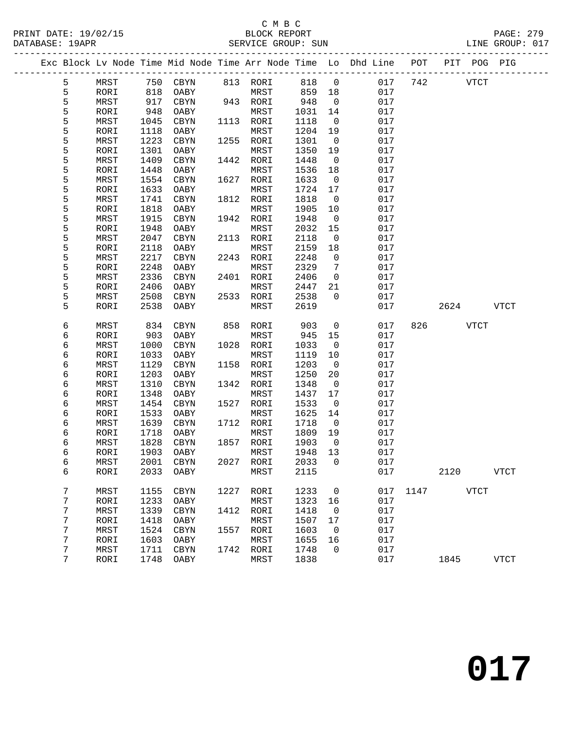#### C M B C<br>BLOCK REPORT PRINT DATE: 19/02/15 BLOCK REPORT PAGE: 279 SERVICE GROUP: SUN

|   | Exc Block Lv Node Time Mid Node Time Arr Node Time Lo Dhd Line |      |            |      |           |        |                |     | POT  | PIT POG PIG |              |
|---|----------------------------------------------------------------|------|------------|------|-----------|--------|----------------|-----|------|-------------|--------------|
| 5 | MRST                                                           | 750  | CBYN       |      | 813 RORI  | 818    | $\overline{0}$ | 017 | 742  | <b>VTCT</b> |              |
| 5 | RORI                                                           | 818  | OABY       |      | MRST      | 859    | 18             | 017 |      |             |              |
| 5 | MRST                                                           | 917  | CBYN       |      | 943 RORI  | 948    | $\mathbf 0$    | 017 |      |             |              |
| 5 | RORI                                                           | 948  | OABY       |      | MRST      | 1031   | 14             | 017 |      |             |              |
| 5 | MRST                                                           | 1045 | CBYN       | 1113 | RORI      | 1118   | 0              | 017 |      |             |              |
| 5 | RORI                                                           | 1118 | OABY       |      | MRST      | 1204   | 19             | 017 |      |             |              |
| 5 | MRST                                                           | 1223 | CBYN       | 1255 | RORI      | 1301   | $\overline{0}$ | 017 |      |             |              |
| 5 | RORI                                                           | 1301 | OABY       |      | MRST      | 1350   | 19             | 017 |      |             |              |
| 5 | MRST                                                           | 1409 | CBYN       | 1442 | RORI      | 1448   | 0              | 017 |      |             |              |
| 5 | RORI                                                           | 1448 | OABY       |      | MRST      | 1536   | 18             | 017 |      |             |              |
| 5 | MRST                                                           | 1554 | CBYN       | 1627 | RORI      | 1633   | $\overline{0}$ | 017 |      |             |              |
| 5 | RORI                                                           | 1633 | OABY       |      | MRST      | 1724   | 17             | 017 |      |             |              |
| 5 | MRST                                                           | 1741 | CBYN       | 1812 | RORI      | 1818   | 0              | 017 |      |             |              |
| 5 | RORI                                                           | 1818 | OABY       |      | MRST      | 1905   | 10             | 017 |      |             |              |
| 5 | MRST                                                           | 1915 | CBYN       | 1942 | RORI      | 1948   | $\mathbf 0$    | 017 |      |             |              |
| 5 | RORI                                                           | 1948 | OABY       |      | MRST      | 2032   | 15             | 017 |      |             |              |
| 5 | MRST                                                           | 2047 | CBYN       | 2113 | RORI      | 2118   | 0              | 017 |      |             |              |
| 5 | RORI                                                           | 2118 | OABY       |      | MRST      | 2159   | 18             | 017 |      |             |              |
| 5 | MRST                                                           | 2217 | CBYN       | 2243 | RORI      | 2248   | $\mathbf 0$    | 017 |      |             |              |
| 5 | RORI                                                           | 2248 | OABY       |      | MRST      | 2329   | 7              | 017 |      |             |              |
| 5 | MRST                                                           | 2336 | CBYN       | 2401 | RORI      | 2406   | $\mathsf{O}$   | 017 |      |             |              |
| 5 | RORI                                                           | 2406 | OABY       |      | MRST      | 2447   | 21             | 017 |      |             |              |
| 5 | MRST                                                           | 2508 | CBYN       | 2533 | RORI      | 2538   | $\Omega$       | 017 |      |             |              |
| 5 | RORI                                                           | 2538 | OABY       |      | MRST      | 2619   |                | 017 |      | 2624        | <b>VTCT</b>  |
|   |                                                                |      |            |      |           |        |                |     |      |             |              |
| 6 | MRST                                                           | 834  | CBYN       | 858  | RORI      | 903    | $\mathbf 0$    | 017 | 826  | <b>VTCT</b> |              |
| 6 | RORI                                                           | 903  | OABY       |      | MRST      | 945    | 15             | 017 |      |             |              |
| 6 | MRST                                                           | 1000 | CBYN       | 1028 | RORI      | 1033   | $\mathbf 0$    | 017 |      |             |              |
| 6 | RORI                                                           | 1033 | OABY       |      | MRST      | 1119   | 10             | 017 |      |             |              |
| 6 | MRST                                                           | 1129 | CBYN       | 1158 | RORI      | 1203   | 0              | 017 |      |             |              |
| 6 | RORI                                                           | 1203 | OABY       |      | MRST      | 1250   | 20             | 017 |      |             |              |
| 6 | MRST                                                           | 1310 | CBYN       | 1342 | RORI      | 1348   | $\mathbf 0$    | 017 |      |             |              |
| 6 | RORI                                                           | 1348 | OABY       |      | MRST      | 1437   | 17             | 017 |      |             |              |
| 6 | MRST                                                           | 1454 | CBYN       | 1527 | RORI      | 1533   | 0              | 017 |      |             |              |
| 6 | RORI                                                           | 1533 | OABY       |      | MRST      | 1625   | 14             | 017 |      |             |              |
| 6 | MRST                                                           | 1639 | CBYN       | 1712 | RORI      | 1718   | $\overline{0}$ | 017 |      |             |              |
| 6 | RORI                                                           | 1718 | OABY       |      | MRST      | 1809   | 19             | 017 |      |             |              |
| 6 | MRST                                                           | 1828 | CBYN       | 1857 | RORI      | 1903   | $\overline{0}$ | 017 |      |             |              |
| 6 | RORI                                                           | 1903 | OABY       |      | MRST      | 1948   | 13             | 017 |      |             |              |
| 6 | MRST                                                           |      | 2001 CBYN  |      | 2027 RORI | 2033 0 |                | 017 |      |             |              |
| 6 | RORI                                                           | 2033 | OABY       |      | MRST      | 2115   |                | 017 |      | 2120        | <b>VTCT</b>  |
| 7 | MRST                                                           | 1155 | CBYN       | 1227 | RORI      | 1233   | $\mathsf{O}$   | 017 | 1147 | <b>VTCT</b> |              |
| 7 | RORI                                                           | 1233 | OABY       |      | MRST      | 1323   | 16             | 017 |      |             |              |
| 7 | MRST                                                           | 1339 | CBYN       | 1412 | RORI      | 1418   | 0              | 017 |      |             |              |
| 7 | RORI                                                           | 1418 | OABY       |      | MRST      | 1507   | 17             | 017 |      |             |              |
| 7 | MRST                                                           | 1524 | CBYN       | 1557 | RORI      | 1603   | 0              | 017 |      |             |              |
| 7 | RORI                                                           | 1603 | OABY       |      | MRST      | 1655   | 16             | 017 |      |             |              |
| 7 | MRST                                                           | 1711 | $\rm CBYN$ | 1742 | RORI      | 1748   | 0              | 017 |      |             |              |
| 7 | RORI                                                           | 1748 | OABY       |      | MRST      | 1838   |                | 017 |      | 1845        | ${\tt VTCT}$ |
|   |                                                                |      |            |      |           |        |                |     |      |             |              |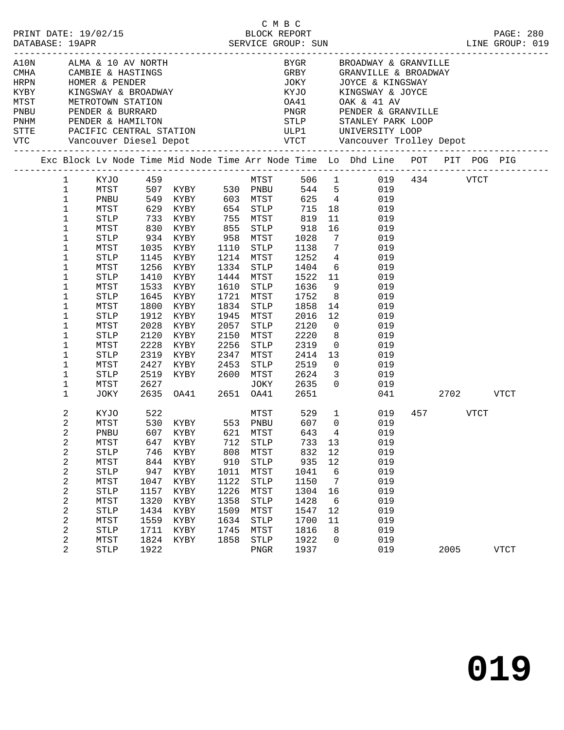|  |                  |             |      | A10N ALMA & 10 AV NORTH<br>CMHA CAMBIE & HASTINGS<br>HRPN HOMER & PENDER<br>KYBY KINGSWAY & BROADWAY<br>MTST METROTOWN STATION<br>PNBU PENDER & BURRARD<br>PNHM PENDER & HAMILTON<br>PNHM PENDER & HAMILTON |           |              |               |                 | BYGR BROADWAY & GRANVILLE                                                                    |           |             |  |
|--|------------------|-------------|------|-------------------------------------------------------------------------------------------------------------------------------------------------------------------------------------------------------------|-----------|--------------|---------------|-----------------|----------------------------------------------------------------------------------------------|-----------|-------------|--|
|  |                  |             |      |                                                                                                                                                                                                             |           |              | GRBY          |                 | GRANVILLE & BROADWAY                                                                         |           |             |  |
|  |                  |             |      |                                                                                                                                                                                                             |           |              | JOKY          |                 | JOYCE & KINGSWAY                                                                             |           |             |  |
|  |                  |             |      |                                                                                                                                                                                                             |           |              | KYJO<br>-- 11 |                 | KINGSWAY & JOYCE                                                                             |           |             |  |
|  |                  |             |      |                                                                                                                                                                                                             |           |              | OA41          |                 | OAK & 41 AV                                                                                  |           |             |  |
|  |                  |             |      |                                                                                                                                                                                                             |           |              |               |                 | PNGR PENDER & GRANVILLE                                                                      |           |             |  |
|  |                  |             |      |                                                                                                                                                                                                             |           |              |               |                 | STLP STANLEY PARK LOOP                                                                       |           |             |  |
|  |                  |             |      |                                                                                                                                                                                                             |           |              |               |                 |                                                                                              |           |             |  |
|  |                  |             |      |                                                                                                                                                                                                             |           |              |               |                 |                                                                                              |           |             |  |
|  |                  |             |      |                                                                                                                                                                                                             |           |              |               |                 | Exc Block Lv Node Time Mid Node Time Arr Node Time Lo Dhd Line POT PIT POG PIG               |           |             |  |
|  |                  |             |      |                                                                                                                                                                                                             |           |              |               |                 |                                                                                              |           |             |  |
|  | $\mathbf{1}$     |             |      |                                                                                                                                                                                                             |           |              |               |                 | $\begin{tabular}{cccc} 506 & 1 & 019 & 434 & VTCT \\ 544 & 5 & 019 & & & & \\ \end{tabular}$ |           |             |  |
|  | $\mathbf{1}$     |             |      |                                                                                                                                                                                                             |           |              |               |                 |                                                                                              |           |             |  |
|  | $\mathbf 1$      | PNBU        |      | 549 KYBY 603 MTST                                                                                                                                                                                           |           |              |               |                 | 625 4 019                                                                                    |           |             |  |
|  | $\mathbf{1}$     | MTST        |      |                                                                                                                                                                                                             |           |              | 715           |                 | 18 019                                                                                       |           |             |  |
|  | $1\,$            | STLP        |      | 733 KYBY      755  MTST<br>830 KYBY      855  STLP                                                                                                                                                          |           |              | 819<br>918    | 11              | 019                                                                                          |           |             |  |
|  | $\mathbf 1$      | MTST        |      |                                                                                                                                                                                                             |           |              |               | 16              | 019                                                                                          |           |             |  |
|  | $\mathbf 1$      | STLP        |      | 934 KYBY 958 MTST                                                                                                                                                                                           |           |              | 1028          | $\overline{7}$  | 019                                                                                          |           |             |  |
|  | $\mathbf 1$      | MTST        | 1035 | KYBY                                                                                                                                                                                                        | 1110      | STLP         | 1138          | $7\phantom{.0}$ | 019                                                                                          |           |             |  |
|  | $\mathbf 1$      | STLP        | 1145 | KYBY                                                                                                                                                                                                        | 1214 MTST |              | 1252          |                 | $\frac{4}{6}$<br>019                                                                         |           |             |  |
|  | $\mathbf 1$      | MTST        |      | 1256 KYBY                                                                                                                                                                                                   | 1334 STLP |              | 1404          |                 | 019                                                                                          |           |             |  |
|  | $\mathbf 1$      | STLP        |      | 1410 KYBY                                                                                                                                                                                                   | 1444 MTST |              | 1522          | 11              | 019                                                                                          |           |             |  |
|  | 1                | MTST        | 1533 | KYBY                                                                                                                                                                                                        | 1610      | STLP         | 1636          | 9               | 019                                                                                          |           |             |  |
|  | $\mathbf 1$      | STLP        | 1645 | KYBY                                                                                                                                                                                                        | 1721      | MTST         | 1752          | 8 <sup>8</sup>  | 019                                                                                          |           |             |  |
|  | $\mathbf 1$      | MTST        |      | 1800 KYBY                                                                                                                                                                                                   | 1834      | STLP         | 1858          | 14              | 019                                                                                          |           |             |  |
|  | $\mathbf 1$      | STLP        | 1912 | KYBY                                                                                                                                                                                                        | 1945      | MTST         | 2016          | 12              | 019                                                                                          |           |             |  |
|  | $\mathbf 1$      | MTST        | 2028 | KYBY                                                                                                                                                                                                        | 2057      | STLP         | 2120          | $\overline{0}$  | 019                                                                                          |           |             |  |
|  | $\mathbf 1$      | STLP        | 2120 | KYBY                                                                                                                                                                                                        | 2150      | MTST         | 2220          | 8               | 019                                                                                          |           |             |  |
|  | 1                | MTST        | 2228 | KYBY                                                                                                                                                                                                        | 2256      | STLP         | 2319          | $\overline{0}$  | 019                                                                                          |           |             |  |
|  | $\mathbf 1$      | STLP        |      | 2319 KYBY                                                                                                                                                                                                   | 2347      | MTST         | 2414          | 13              | 019                                                                                          |           |             |  |
|  | 1                | MTST        | 2427 | KYBY                                                                                                                                                                                                        | 2453      | STLP         | 2519          | $\overline{0}$  | 019                                                                                          |           |             |  |
|  | $\mathbf 1$      | STLP        |      | 2519 KYBY                                                                                                                                                                                                   | 2600      | MTST         | 2624          | $\overline{3}$  | 019                                                                                          |           |             |  |
|  | 1                | MTST        | 2627 |                                                                                                                                                                                                             |           | JOKY         | 2635          | $\overline{0}$  | 019                                                                                          |           |             |  |
|  | $\mathbf 1$      | JOKY        |      | 2635   0A41   2651   0A41                                                                                                                                                                                   |           |              | 2651          |                 | 041                                                                                          | 2702 VTCT |             |  |
|  | 2                | KYJO        | 522  |                                                                                                                                                                                                             |           | MTST         | 529           | $\mathbf{1}$    | 019                                                                                          | 457 VTCT  |             |  |
|  | $\overline{c}$   | MTST        |      | 530 KYBY 553 PNBU                                                                                                                                                                                           |           |              | 607           | $\overline{0}$  | 019                                                                                          |           |             |  |
|  | $\sqrt{2}$       |             |      | PNBU 607 KYBY 621 MTST                                                                                                                                                                                      |           |              |               |                 | 643 4 019                                                                                    |           |             |  |
|  | $\boldsymbol{2}$ | MTST        | 647  | KYBY                                                                                                                                                                                                        | 712       | <b>STLP</b>  | 733           | 13              | 019                                                                                          |           |             |  |
|  | 2                | <b>STLP</b> | 746  | KYBY                                                                                                                                                                                                        | 808       | MTST         | 832           | 12              | 019                                                                                          |           |             |  |
|  | $\mathbf 2$      | MTST        | 844  | KYBY                                                                                                                                                                                                        | 910       | STLP         | 935           | 12              | 019                                                                                          |           |             |  |
|  | $\boldsymbol{2}$ | <b>STLP</b> | 947  | KYBY                                                                                                                                                                                                        | 1011      | MTST         | 1041          | 6               | 019                                                                                          |           |             |  |
|  | $\boldsymbol{2}$ | MTST        | 1047 | KYBY                                                                                                                                                                                                        | 1122      | <b>STLP</b>  | 1150          | 7               | 019                                                                                          |           |             |  |
|  | $\boldsymbol{2}$ | <b>STLP</b> | 1157 | KYBY                                                                                                                                                                                                        | 1226      | MTST         | 1304          | 16              | 019                                                                                          |           |             |  |
|  | $\mathbf 2$      | MTST        | 1320 | KYBY                                                                                                                                                                                                        | 1358      | STLP         | 1428          | 6               | 019                                                                                          |           |             |  |
|  | $\boldsymbol{2}$ | <b>STLP</b> | 1434 | KYBY                                                                                                                                                                                                        | 1509      | MTST         | 1547          | 12              | 019                                                                                          |           |             |  |
|  | $\boldsymbol{2}$ | MTST        | 1559 | KYBY                                                                                                                                                                                                        | 1634      | STLP         | 1700          | 11              | 019                                                                                          |           |             |  |
|  | $\boldsymbol{2}$ | <b>STLP</b> | 1711 | KYBY                                                                                                                                                                                                        | 1745      | MTST         | 1816          | 8               | 019                                                                                          |           |             |  |
|  | $\boldsymbol{2}$ | MTST        | 1824 | KYBY                                                                                                                                                                                                        | 1858      | <b>STLP</b>  | 1922          | $\mathbf 0$     | 019                                                                                          |           |             |  |
|  | 2                | <b>STLP</b> | 1922 |                                                                                                                                                                                                             |           | ${\tt PNGR}$ | 1937          |                 | 019                                                                                          | 2005      | <b>VTCT</b> |  |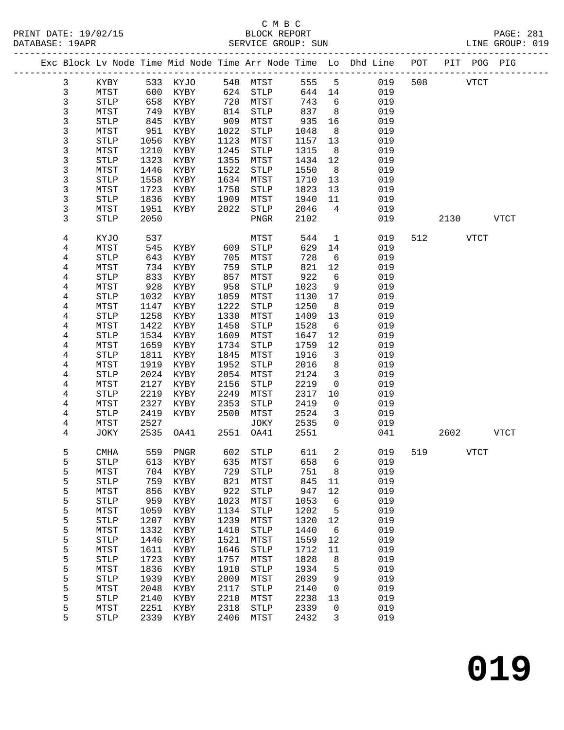### C M B C<br>BLOCK REPORT

LINE GROUP: 019

| 2111112110 <del>1</del> . 191111 |             |              |          |      | DARY ICA GROUP · DON |      |                 |                                                                                |     |      |      |      |
|----------------------------------|-------------|--------------|----------|------|----------------------|------|-----------------|--------------------------------------------------------------------------------|-----|------|------|------|
|                                  |             |              |          |      |                      |      |                 | Exc Block Lv Node Time Mid Node Time Arr Node Time Lo Dhd Line POT PIT POG PIG |     |      |      |      |
| 3                                | KYBY        |              | 533 KYJO |      | 548 MTST             | 555  | 5 <sup>5</sup>  | 019                                                                            | 508 |      | VTCT |      |
| 3                                | MTST        | 600          | KYBY     | 624  | <b>STLP</b>          | 644  | 14              | 019                                                                            |     |      |      |      |
| 3                                | <b>STLP</b> | 658          | KYBY     | 720  | MTST                 | 743  | 6               | 019                                                                            |     |      |      |      |
| 3                                | MTST        | 749          | KYBY     | 814  | STLP                 | 837  | 8               | 019                                                                            |     |      |      |      |
| 3                                | STLP        | 845          | KYBY     | 909  | MTST                 | 935  | 16              | 019                                                                            |     |      |      |      |
| 3                                | MTST        | 951          | KYBY     | 1022 | STLP                 | 1048 | 8               | 019                                                                            |     |      |      |      |
| 3                                | STLP        | 1056         | KYBY     | 1123 | MTST                 | 1157 | 13              | 019                                                                            |     |      |      |      |
| 3                                | MTST        | 1210         | KYBY     | 1245 | STLP                 | 1315 | 8               | 019                                                                            |     |      |      |      |
| 3                                | STLP        | 1323         | KYBY     | 1355 | MTST                 | 1434 | 12              | 019                                                                            |     |      |      |      |
| 3                                | MTST        | 1446         | KYBY     | 1522 | <b>STLP</b>          | 1550 | 8               | 019                                                                            |     |      |      |      |
| 3                                | STLP        | 1558         | KYBY     | 1634 | MTST                 | 1710 | 13              | 019                                                                            |     |      |      |      |
| 3                                | MTST        | 1723         | KYBY     | 1758 | STLP                 | 1823 | 13              | 019                                                                            |     |      |      |      |
| 3                                | STLP        | 1836         | KYBY     | 1909 | MTST                 | 1940 | 11              | 019                                                                            |     |      |      |      |
| 3                                | MTST        | 1951         | KYBY     | 2022 | STLP                 | 2046 | $\overline{4}$  | 019                                                                            |     |      |      |      |
| 3                                | <b>STLP</b> | 2050         |          |      | PNGR                 | 2102 |                 | 019                                                                            |     | 2130 |      | VTCT |
| 4                                | KYJO        | 537          |          |      | MTST                 | 544  | $\mathbf{1}$    | 019                                                                            | 512 |      | VTCT |      |
| 4                                | MTST        | 545          | KYBY     | 609  | STLP                 | 629  | 14              | 019                                                                            |     |      |      |      |
| 4                                | STLP        | 643          | KYBY     | 705  | MTST                 | 728  | 6               | 019                                                                            |     |      |      |      |
| 4                                | MTST        | 734          | KYBY     | 759  | STLP                 | 821  | 12              | 019                                                                            |     |      |      |      |
| 4                                | <b>STLP</b> | 833          | KYBY     | 857  | MTST                 | 922  | $6\overline{6}$ | 019                                                                            |     |      |      |      |
| 4                                | MTST        | 928          | KYBY     | 958  | STLP                 | 1023 | 9               | 019                                                                            |     |      |      |      |
| 4                                | STLP        | 1032         | KYBY     | 1059 | MTST                 | 1130 | 17              | 019                                                                            |     |      |      |      |
| 4                                | MTST        | 1147         | KYBY     | 1222 | STLP                 | 1250 | 8               | 019                                                                            |     |      |      |      |
| 4                                | STLP        | 1258         | KYBY     | 1330 | MTST                 | 1409 | 13              | 019                                                                            |     |      |      |      |
| 4                                | MTST        | 1422         | KYBY     | 1458 | STLP                 | 1528 | 6               | 019                                                                            |     |      |      |      |
| 4                                | <b>STLP</b> | 1534         | KYBY     | 1609 | MTST                 | 1647 | 12              | 019                                                                            |     |      |      |      |
| 4                                | MTST        | 1659         | KYBY     | 1734 | STLP                 | 1759 | 12              | 019                                                                            |     |      |      |      |
| 4                                | STLP        | 1811         | KYBY     | 1845 | MTST                 | 1916 | $\mathbf{3}$    | 019                                                                            |     |      |      |      |
| 4                                | MTST        | 1919         | KYBY     | 1952 | STLP                 | 2016 | 8               | 019                                                                            |     |      |      |      |
| 4                                | STLP        | 2024         | KYBY     | 2054 | MTST                 | 2124 | $\mathbf{3}$    | 019                                                                            |     |      |      |      |
| 4                                | MTST        | 2127         | KYBY     | 2156 | STLP                 | 2219 | $\overline{0}$  | 019                                                                            |     |      |      |      |
| 4                                | STLP        | 2219         | KYBY     | 2249 | MTST                 | 2317 | 10              | 019                                                                            |     |      |      |      |
| 4                                | MTST        | 2327         | KYBY     | 2353 | STLP                 | 2419 | $\mathsf{O}$    | 019                                                                            |     |      |      |      |
| 4                                | STLP        | 2419         | KYBY     | 2500 | MTST                 | 2524 | $\mathbf{3}$    | 019                                                                            |     |      |      |      |
| 4<br>4                           | MTST        | 2527<br>2535 |          | 2551 | JOKY                 | 2535 | $\Omega$        | 019<br>041                                                                     |     | 2602 |      |      |
|                                  | JOKY        |              | OA41     |      | OA41                 | 2551 |                 |                                                                                |     |      |      | VTCT |
| 5                                | CMHA        |              | 559 PNGR | 602  | STLP                 | 611  | $\overline{a}$  | 019                                                                            | 519 |      | VTCT |      |
| 5                                | <b>STLP</b> | 613          | KYBY     | 635  | MTST                 | 658  | 6               | 019                                                                            |     |      |      |      |
| 5                                | MTST        | 704          | KYBY     | 729  | <b>STLP</b>          | 751  | 8               | 019                                                                            |     |      |      |      |
| 5                                | <b>STLP</b> | 759          | KYBY     | 821  | MTST                 | 845  | 11              | 019                                                                            |     |      |      |      |
| 5                                | MTST        | 856          | KYBY     | 922  | <b>STLP</b>          | 947  | 12              | 019                                                                            |     |      |      |      |
| 5                                | <b>STLP</b> | 959          | KYBY     | 1023 | MTST                 | 1053 | 6               | 019                                                                            |     |      |      |      |
| 5                                | MTST        | 1059         | KYBY     | 1134 | <b>STLP</b>          | 1202 | 5               | 019                                                                            |     |      |      |      |
| 5                                | <b>STLP</b> | 1207         | KYBY     | 1239 | MTST                 | 1320 | 12              | 019                                                                            |     |      |      |      |
| 5                                | MTST        | 1332         | KYBY     | 1410 | <b>STLP</b>          | 1440 | 6               | 019                                                                            |     |      |      |      |
| 5                                | STLP        | 1446         | KYBY     | 1521 | MTST                 | 1559 | 12              | 019                                                                            |     |      |      |      |
| 5                                | MTST        | 1611         | KYBY     | 1646 | <b>STLP</b>          | 1712 | 11              | 019                                                                            |     |      |      |      |
| 5                                | <b>STLP</b> | 1723         | KYBY     | 1757 | MTST                 | 1828 | 8               | 019                                                                            |     |      |      |      |
| 5                                | MTST        | 1836         | KYBY     | 1910 | STLP                 | 1934 | 5               | 019                                                                            |     |      |      |      |

 5 STLP 1939 KYBY 2009 MTST 2039 9 019 5 MTST 2048 KYBY 2117 STLP 2140 0 019 5 STLP 2140 KYBY 2210 MTST 2238 13 019 5 MTST 2251 KYBY 2318 STLP 2339 0 019 5 STLP 2339 KYBY 2406 MTST 2432 3 019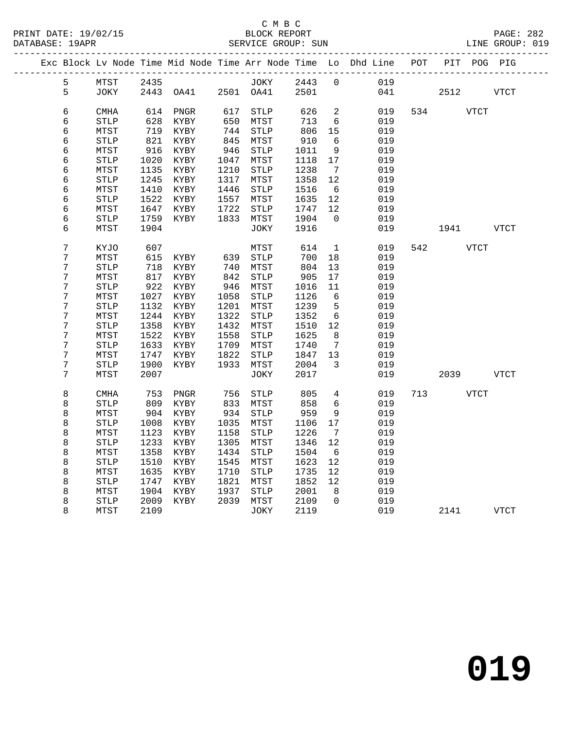|   |                       |      |                                  |      |              |         |                         | Exc Block Lv Node Time Mid Node Time Arr Node Time Lo Dhd Line POT PIT POG PIG |           |              |
|---|-----------------------|------|----------------------------------|------|--------------|---------|-------------------------|--------------------------------------------------------------------------------|-----------|--------------|
| 5 |                       |      |                                  |      |              |         |                         | MTST 2435 JOKY 2443 0 019                                                      |           |              |
| 5 |                       |      | JOKY 2443 OA41 2501 OA41 2501    |      |              |         |                         | 041 2512 VTCT                                                                  |           |              |
| 6 | CMHA                  |      | 614 PNGR                         | 617  | STLP         | 626     | $\overline{2}$          | 019                                                                            | 534 VTCT  |              |
| 6 | ${\tt STLP}$          | 628  | KYBY                             | 650  | MTST         | 713     | $6\overline{6}$         | 019                                                                            |           |              |
| 6 | MTST                  | 719  | KYBY                             | 744  | STLP         | 806     | 15                      | 019                                                                            |           |              |
| б | ${\tt STLP}$          | 821  | KYBY                             | 845  | MTST         | 910     | 6                       | 019                                                                            |           |              |
| 6 | MTST                  | 916  | KYBY                             | 946  | STLP         | 1011    | 9                       | 019                                                                            |           |              |
| б | ${\tt STLP}$          | 1020 | KYBY                             | 1047 | MTST         | 1118    | 17                      | 019                                                                            |           |              |
| б | MTST                  | 1135 | KYBY                             | 1210 | ${\tt STLP}$ | 1238    | $7\overline{ }$         | 019                                                                            |           |              |
| б | <b>STLP</b>           | 1245 | KYBY                             | 1317 | MTST         | 1358    | 12                      | 019                                                                            |           |              |
| 6 | MTST                  | 1410 | KYBY                             | 1446 | STLP         | 1516    | 6                       | 019                                                                            |           |              |
| б | $\operatorname{STLP}$ | 1522 | KYBY                             | 1557 | MTST         | 1635    | 12                      | 019                                                                            |           |              |
| б | MTST                  | 1647 | KYBY                             | 1722 | STLP         | 1747    | 12                      | 019                                                                            |           |              |
| б | <b>STLP</b>           | 1759 | KYBY                             | 1833 | MTST         | 1904    | $\overline{0}$          | 019                                                                            |           |              |
| б | MTST                  | 1904 |                                  |      | JOKY         | 1916    |                         | 019                                                                            | 1941 VTCT |              |
| 7 | KYJO                  | 607  |                                  |      | MTST         | 614     |                         | $\mathbf{1}$<br>019                                                            | 542 VTCT  |              |
| 7 | MTST                  |      | 615 KYBY 639                     |      | STLP         | 700     | 18                      | 019                                                                            |           |              |
| 7 | <b>STLP</b>           | 718  | KYBY                             | 740  | MTST         | 804     | 13                      | 019                                                                            |           |              |
| 7 | MTST                  | 817  | KYBY                             | 842  | STLP         | 905     | 17                      | 019                                                                            |           |              |
| 7 | $\operatorname{STLP}$ | 922  | KYBY                             | 946  | MTST         | 1016    | 11                      | 019                                                                            |           |              |
| 7 | MTST                  | 1027 | KYBY                             | 1058 | STLP         | 1126    | $6\overline{6}$         | 019                                                                            |           |              |
| 7 | STLP                  | 1132 | KYBY                             | 1201 | MTST         | 1239    | $5^{\circ}$             | 019                                                                            |           |              |
| 7 | MTST                  | 1244 | KYBY                             | 1322 | STLP         | 1352    | $6\overline{6}$         | 019                                                                            |           |              |
| 7 | STLP                  | 1358 | KYBY                             | 1432 | MTST         | 1510    | 12                      | 019                                                                            |           |              |
| 7 | MTST                  |      | 1522 KYBY                        | 1558 | STLP         | 1625    | 8 <sup>8</sup>          | 019                                                                            |           |              |
| 7 | $\operatorname{STLP}$ | 1633 | KYBY                             | 1709 | MTST         | 1740    | $\overline{7}$          | 019                                                                            |           |              |
| 7 | MTST                  | 1747 | KYBY                             | 1822 | STLP         | 1847    | 13                      | 019                                                                            |           |              |
| 7 | $\operatorname{STLP}$ | 1900 | KYBY                             | 1933 | MTST         | 2004    | $\overline{\mathbf{3}}$ | 019                                                                            |           |              |
| 7 | MTST                  | 2007 |                                  |      | JOKY         | 2017    |                         | 019                                                                            | 2039 VTCT |              |
| 8 | <b>CMHA</b>           | 753  | PNGR                             | 756  | STLP         | 805     | $4\overline{ }$         | 019                                                                            | 713 VTCT  |              |
| 8 | <b>STLP</b>           | 809  | KYBY                             | 833  | MTST         | 858     | 6                       | 019                                                                            |           |              |
| 8 | MTST                  |      | 904 KYBY                         | 934  | STLP         | 959     | 9                       | 019                                                                            |           |              |
| 8 | STLP                  | 1008 | KYBY                             |      | 1035 MTST    | 1106 17 |                         | 019                                                                            |           |              |
| 8 | MTST                  |      | 1123 KYBY                        |      | 1158 STLP    | 1226    | $\overline{7}$          | 019                                                                            |           |              |
| 8 |                       |      | STLP 1233 KYBY 1305 MTST 1346 12 |      |              |         |                         | 019                                                                            |           |              |
| 8 | MTST                  | 1358 | KYBY                             | 1434 | STLP         | 1504    | 6                       | 019                                                                            |           |              |
| 8 | <b>STLP</b>           | 1510 | KYBY                             | 1545 | MTST         | 1623    | 12                      | 019                                                                            |           |              |
| 8 | MTST                  | 1635 | KYBY                             | 1710 | STLP         | 1735    | 12                      | 019                                                                            |           |              |
| 8 | <b>STLP</b>           | 1747 | KYBY                             | 1821 | MTST         | 1852    | 12                      | 019                                                                            |           |              |
| 8 | MTST                  | 1904 | KYBY                             | 1937 | <b>STLP</b>  | 2001    | 8                       | 019                                                                            |           |              |
| 8 | <b>STLP</b>           | 2009 | KYBY                             | 2039 | MTST         | 2109    | 0                       | 019                                                                            |           |              |
| 8 | MTST                  | 2109 |                                  |      | JOKY         | 2119    |                         | 019                                                                            | 2141      | ${\tt VTCT}$ |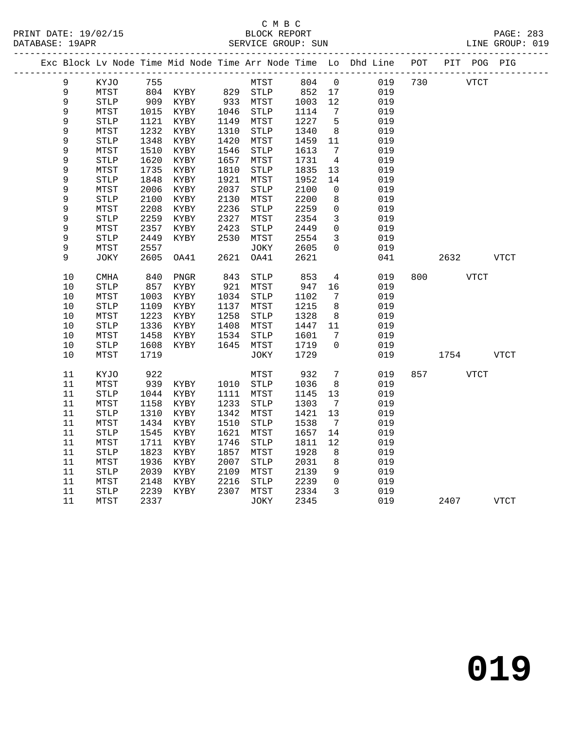DATABASE: 19APR

### C M B C<br>BLOCK REPORT PRINT DATE: 19/02/15 BLOCK REPORT PAGE: 283

| DAIABASE · IYAPK |   |       |      |           |      | SEKVICE GKOUP. SUN |      |     |                                                                |     |     |      | TINE GKOOL. OTA |  |
|------------------|---|-------|------|-----------|------|--------------------|------|-----|----------------------------------------------------------------|-----|-----|------|-----------------|--|
|                  |   |       |      |           |      |                    |      |     | Exc Block Ly Node Time Mid Node Time Arr Node Time Lo Dhd Line | POT | PIT | POG  | PIG             |  |
|                  | 9 | KYJO  | 755  |           |      | MTST               | 804  | - 0 | 019                                                            | 730 |     | VTCT |                 |  |
|                  | 9 | MTST  | 804  | KYBY      | 829  | STLP               | 852  | 17  | 019                                                            |     |     |      |                 |  |
|                  | 9 | STLP  | 909  | KYBY      | 933  | MTST               | 1003 | 12  | 019                                                            |     |     |      |                 |  |
|                  | 9 | MTST  | 1015 | KYBY      | 1046 | STLP               | 1114 | 7   | 019                                                            |     |     |      |                 |  |
|                  | 9 | STLP  | 1121 | KYBY      | 1149 | MTST               | 1227 | 5   | 019                                                            |     |     |      |                 |  |
|                  | 9 | MTST  | 1232 | KYBY      | 1310 | STLP               | 1340 | 8   | 019                                                            |     |     |      |                 |  |
|                  | 9 | STLP  | 1348 | KYBY      | 1420 | MTST               | 1459 | -11 | 019                                                            |     |     |      |                 |  |
|                  | 9 | MTST  | 1510 | KYBY      | 1546 | STLP               | 1613 | 7   | 019                                                            |     |     |      |                 |  |
|                  | Q | STT.D |      | 1620 KVRV | 1657 | MTCT               | 1731 | Δ   | 01 Q                                                           |     |     |      |                 |  |

|             | 17 T D T              | ᆂᅀᇰᅀ | 77 T D T | ∸⊃∸∨ | ᇦᆂᆈᄄ                  | ᆂᇦᆂᇦ | ັບ                  | ◡∸◡ |     |      |             |  |
|-------------|-----------------------|------|----------|------|-----------------------|------|---------------------|-----|-----|------|-------------|--|
| 9           | <b>STLP</b>           | 1348 | KYBY     | 1420 | MTST                  | 1459 | 11                  | 019 |     |      |             |  |
| 9           | MTST                  | 1510 | KYBY     | 1546 | $\operatorname{STLP}$ | 1613 | 7                   | 019 |     |      |             |  |
| 9           | STLP                  | 1620 | KYBY     | 1657 | MTST                  | 1731 | $\overline{4}$      | 019 |     |      |             |  |
| 9           | MTST                  | 1735 | KYBY     | 1810 | <b>STLP</b>           | 1835 | 13                  | 019 |     |      |             |  |
| 9           | <b>STLP</b>           | 1848 | KYBY     | 1921 | MTST                  | 1952 | 14                  | 019 |     |      |             |  |
| 9           | MTST                  | 2006 | KYBY     | 2037 | <b>STLP</b>           | 2100 | 0                   | 019 |     |      |             |  |
| 9           | $\operatorname{STLP}$ | 2100 | KYBY     | 2130 | MTST                  | 2200 | 8                   | 019 |     |      |             |  |
| $\mathsf 9$ | MTST                  | 2208 | KYBY     | 2236 | <b>STLP</b>           | 2259 | 0                   | 019 |     |      |             |  |
| $\mathsf 9$ | ${\tt STLP}$          | 2259 | KYBY     | 2327 | MTST                  | 2354 | 3                   | 019 |     |      |             |  |
| $\mathsf 9$ | MTST                  | 2357 | KYBY     | 2423 | $\operatorname{STLP}$ | 2449 | $\mathsf{O}\xspace$ | 019 |     |      |             |  |
| $\mathsf 9$ | <b>STLP</b>           | 2449 | KYBY     | 2530 | MTST                  | 2554 | $\mathbf{3}$        | 019 |     |      |             |  |
| 9           | MTST                  | 2557 |          |      | JOKY                  | 2605 | 0                   | 019 |     |      |             |  |
| 9           | JOKY                  | 2605 | OA41     | 2621 | OA41                  | 2621 |                     | 041 |     | 2632 | <b>VTCT</b> |  |
|             |                       |      |          |      |                       |      |                     |     |     |      |             |  |
| $10$        | CMHA                  | 840  | PNGR     | 843  | $\operatorname{STLP}$ | 853  | $\overline{4}$      | 019 | 800 | VTCT |             |  |
| $10$        | <b>STLP</b>           | 857  | KYBY     | 921  | MTST                  | 947  | 16                  | 019 |     |      |             |  |
| $10$        | MTST                  | 1003 | KYBY     | 1034 | <b>STLP</b>           | 1102 | 7                   | 019 |     |      |             |  |
| $10$        | <b>STLP</b>           | 1109 | KYBY     | 1137 | MTST                  | 1215 | 8                   | 019 |     |      |             |  |
| $10$        | MTST                  | 1223 | KYBY     | 1258 | $\operatorname{STLP}$ | 1328 | $\,8\,$             | 019 |     |      |             |  |
| $10$        | ${\tt STLP}$          | 1336 | KYBY     | 1408 | MTST                  | 1447 | 11                  | 019 |     |      |             |  |
| 10          | MTST                  | 1458 | KYBY     | 1534 | <b>STLP</b>           | 1601 | 7                   | 019 |     |      |             |  |
| $10$        | <b>STLP</b>           | 1608 | KYBY     | 1645 | MTST                  | 1719 | 0                   | 019 |     |      |             |  |
| 10          | MTST                  | 1719 |          |      | <b>JOKY</b>           | 1729 |                     | 019 |     | 1754 | <b>VTCT</b> |  |
|             |                       |      |          |      |                       |      |                     |     |     |      |             |  |
| 11          | KYJO                  | 922  |          |      | MTST                  | 932  | $7\phantom{.0}$     | 019 | 857 | VTCT |             |  |
| 11          | MTST                  | 939  | KYBY     | 1010 | <b>STLP</b>           | 1036 | 8                   | 019 |     |      |             |  |
| 11          | STLP                  | 1044 | KYBY     | 1111 | MTST                  | 1145 | 13                  | 019 |     |      |             |  |
| 11          | MTST                  | 1158 | KYBY     | 1233 | <b>STLP</b>           | 1303 | $7\phantom{.0}$     | 019 |     |      |             |  |
| 11          | STLP                  | 1310 | KYBY     | 1342 | MTST                  | 1421 | $13$                | 019 |     |      |             |  |
| 11          | MTST                  | 1434 | KYBY     | 1510 | <b>STLP</b>           | 1538 | $7\phantom{.0}$     | 019 |     |      |             |  |
| 11          | ${\tt STLP}$          | 1545 | KYBY     | 1621 | MTST                  | 1657 | 14                  | 019 |     |      |             |  |
| 11          | MTST                  | 1711 | KYBY     | 1746 | <b>STLP</b>           | 1811 | 12                  | 019 |     |      |             |  |
| 11          | <b>STLP</b>           | 1823 | KYBY     | 1857 | MTST                  | 1928 | $\,8\,$             | 019 |     |      |             |  |
| 11          | MTST                  | 1936 | KYBY     | 2007 | <b>STLP</b>           | 2031 | $\,8\,$             | 019 |     |      |             |  |
| $11\,$      | ${\tt STLP}$          | 2039 | KYBY     | 2109 | MTST                  | 2139 | 9                   | 019 |     |      |             |  |
| 11          | MTST                  | 2148 | KYBY     | 2216 | $\operatorname{STLP}$ | 2239 | $\mathsf 0$         | 019 |     |      |             |  |
| 11          | STLP                  | 2239 | KYBY     | 2307 | MTST                  | 2334 | $\mathbf{3}$        | 019 |     |      |             |  |
| 11          | MTST                  | 2337 |          |      | JOKY                  | 2345 |                     | 019 |     | 2407 | <b>VTCT</b> |  |
|             |                       |      |          |      |                       |      |                     |     |     |      |             |  |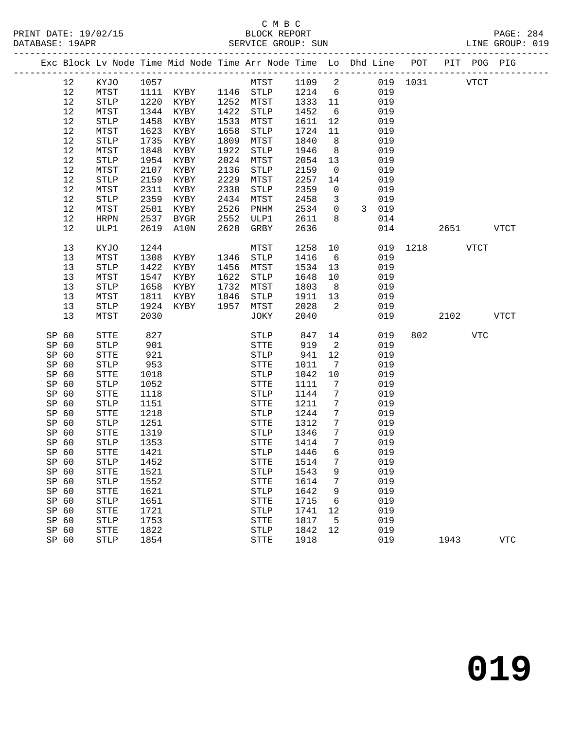### C M B C

|       | DATABASE: 19APR |              |      |                |      | SERVICE GROUP: SUN                                                             |         |                 |                |     |               |      |     | LINE GROUP: 019 |  |
|-------|-----------------|--------------|------|----------------|------|--------------------------------------------------------------------------------|---------|-----------------|----------------|-----|---------------|------|-----|-----------------|--|
|       |                 |              |      |                |      | Exc Block Lv Node Time Mid Node Time Arr Node Time Lo Dhd Line POT PIT POG PIG |         |                 |                |     |               |      |     |                 |  |
|       | 12              | KYJO 1057    |      |                |      | MTST 1109 2                                                                    |         |                 |                |     | 019 1031 VTCT |      |     |                 |  |
|       | 12              | MTST         |      |                |      | 1111 KYBY 1146 STLP 1214 6                                                     |         |                 |                | 019 |               |      |     |                 |  |
|       | 12              | STLP         | 1220 | KYBY 1252 MTST |      |                                                                                | 1333 11 |                 |                | 019 |               |      |     |                 |  |
|       | 12              | MTST         | 1344 | KYBY           |      | 1422 STLP                                                                      | 1452    | $6\overline{6}$ |                | 019 |               |      |     |                 |  |
|       | 12              | STLP         | 1458 | KYBY           | 1533 | MTST                                                                           | 1611    | 12              |                | 019 |               |      |     |                 |  |
|       | 12              | MTST         | 1623 | KYBY           | 1658 | STLP                                                                           | 1724    | 11              |                | 019 |               |      |     |                 |  |
|       | 12              | STLP         | 1735 | KYBY           | 1809 | MTST                                                                           | 1840    | 8 <sup>8</sup>  |                | 019 |               |      |     |                 |  |
|       | 12              | MTST         | 1848 | KYBY           | 1922 | STLP                                                                           | 1946    | 8 <sup>8</sup>  |                | 019 |               |      |     |                 |  |
|       | 12              | <b>STLP</b>  | 1954 | KYBY           | 2024 | MTST                                                                           | 2054    | 13              |                | 019 |               |      |     |                 |  |
|       | 12              | MTST         | 2107 | KYBY           | 2136 | STLP                                                                           | 2159    | $\overline{0}$  |                | 019 |               |      |     |                 |  |
|       | 12              | STLP         | 2159 | KYBY           | 2229 | MTST                                                                           | 2257    | 14              |                | 019 |               |      |     |                 |  |
|       | 12              | MTST         | 2311 | KYBY           | 2338 | STLP                                                                           | 2359    | $\overline{0}$  |                | 019 |               |      |     |                 |  |
|       | 12              | <b>STLP</b>  | 2359 | KYBY           | 2434 | MTST                                                                           | 2458    | $\overline{3}$  |                | 019 |               |      |     |                 |  |
|       | 12              | MTST         | 2501 | KYBY           | 2526 | PNHM                                                                           | 2534    | $\overline{0}$  | $\overline{3}$ | 019 |               |      |     |                 |  |
|       | 12              | HRPN         | 2537 | BYGR           | 2552 | ULP1                                                                           | 2611    | 8               |                | 014 |               |      |     |                 |  |
|       | 12              | ULP1         | 2619 | A10N           | 2628 | GRBY                                                                           | 2636    |                 |                |     | 014           | 2651 |     | VTCT            |  |
|       | 13              | KYJO         | 1244 |                |      | MTST                                                                           | 1258    | 10              |                |     | 019 1218 VTCT |      |     |                 |  |
|       | 13              | MTST         | 1308 | KYBY 1346 STLP |      |                                                                                | 1416    | 6               |                | 019 |               |      |     |                 |  |
|       | 13              | <b>STLP</b>  | 1422 | KYBY           | 1456 | MTST                                                                           | 1534    | 13              |                | 019 |               |      |     |                 |  |
|       | 13              | MTST         | 1547 | KYBY           |      | 1622 STLP                                                                      | 1648    | 10              |                | 019 |               |      |     |                 |  |
|       | 13              | STLP         | 1658 | KYBY           | 1732 | MTST                                                                           | 1803    | 8 <sup>8</sup>  |                | 019 |               |      |     |                 |  |
|       | 13              | MTST         | 1811 | KYBY           | 1846 | STLP                                                                           | 1911    | 13              |                | 019 |               |      |     |                 |  |
|       | 13              | STLP         | 1924 | KYBY           | 1957 | MTST                                                                           | 2028    | $\overline{2}$  |                | 019 |               |      |     |                 |  |
|       | 13              | MTST         | 2030 |                |      | JOKY                                                                           | 2040    |                 |                | 019 |               | 2102 |     | VTCT            |  |
| SP 60 |                 | STTE         | 827  |                |      | STLP 847                                                                       |         | 14              |                | 019 | 802           |      | VTC |                 |  |
| SP 60 |                 | <b>STLP</b>  | 901  |                |      | STTE                                                                           | 919     | $\overline{a}$  |                | 019 |               |      |     |                 |  |
| SP 60 |                 | STTE         | 921  |                |      | STLP                                                                           | 941     | 12              |                | 019 |               |      |     |                 |  |
| SP 60 |                 | <b>STLP</b>  | 953  |                |      | STTE                                                                           | 1011    | $7\overline{ }$ |                | 019 |               |      |     |                 |  |
| SP 60 |                 | STTE         | 1018 |                |      | STLP                                                                           | 1042    | 10              |                | 019 |               |      |     |                 |  |
| SP 60 |                 | <b>STLP</b>  | 1052 |                |      | STTE                                                                           | 1111    | 7               |                | 019 |               |      |     |                 |  |
| SP 60 |                 | STTE         | 1118 |                |      | STLP                                                                           | 1144    | $7\phantom{.0}$ |                | 019 |               |      |     |                 |  |
| SP 60 |                 | <b>STLP</b>  | 1151 |                |      | STTE                                                                           | 1211    | $7\phantom{.0}$ |                | 019 |               |      |     |                 |  |
| SP 60 |                 | STTE         | 1218 |                |      | STLP                                                                           | 1244    | $7\phantom{.0}$ |                | 019 |               |      |     |                 |  |
| SP 60 |                 | STLP         | 1251 |                |      | STTE                                                                           | 1312    | $7\phantom{.0}$ |                | 019 |               |      |     |                 |  |
| SP 60 |                 | STTE         | 1319 |                |      | STLP                                                                           | 1346    | $\overline{7}$  |                | 019 |               |      |     |                 |  |
| SP 60 |                 | <b>STLP</b>  | 1353 |                |      | <b>STTE</b>                                                                    | 1414    | $7\overline{ }$ |                | 019 |               |      |     |                 |  |
|       | SP 60           | STTE         | 1421 |                |      | STLP 1446 6 019                                                                |         |                 |                |     |               |      |     |                 |  |
| SP 60 |                 | <b>STLP</b>  | 1452 |                |      | STTE                                                                           | 1514    | 7               |                | 019 |               |      |     |                 |  |
| SP 60 |                 | STTE         | 1521 |                |      | STLP                                                                           | 1543    | 9               |                | 019 |               |      |     |                 |  |
| SP 60 |                 | <b>STLP</b>  | 1552 |                |      | STTE                                                                           | 1614    | 7               |                | 019 |               |      |     |                 |  |
| SP 60 |                 | ${\tt STTE}$ | 1621 |                |      | STLP                                                                           | 1642    | 9               |                | 019 |               |      |     |                 |  |
| SP 60 |                 | <b>STLP</b>  | 1651 |                |      | STTE                                                                           | 1715    | 6               |                | 019 |               |      |     |                 |  |
| SP 60 |                 | ${\tt STTE}$ | 1721 |                |      | STLP                                                                           | 1741    | 12              |                | 019 |               |      |     |                 |  |
| SP 60 |                 | <b>STLP</b>  | 1753 |                |      | STTE                                                                           | 1817    | $5^{\circ}$     |                | 019 |               |      |     |                 |  |
| SP 60 |                 | STTE         | 1822 |                |      | ${\tt STLP}$                                                                   | 1842    | 12              |                | 019 |               |      |     |                 |  |
| SP 60 |                 | <b>STLP</b>  | 1854 |                |      | <b>STTE</b>                                                                    | 1918    |                 |                | 019 |               | 1943 |     | <b>VTC</b>      |  |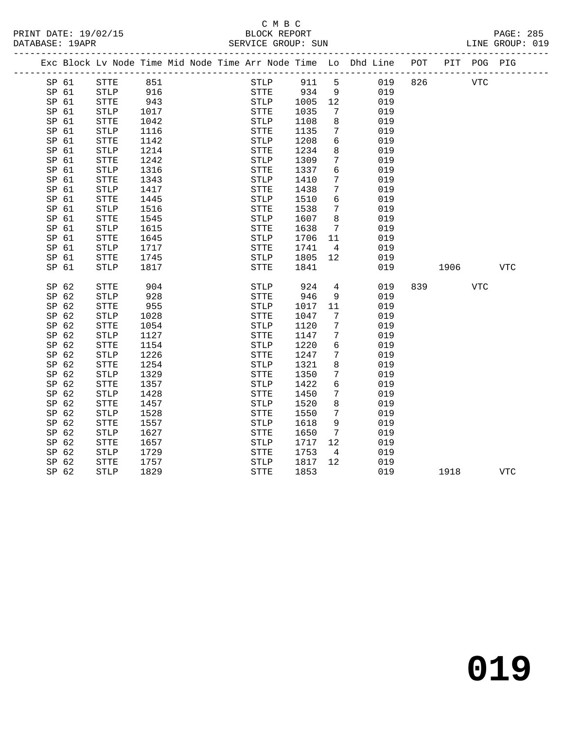#### C M B C<br>BLOCK REPORT SERVICE GROUP: SUN

|       |              |      |  |              |      |                 | Exc Block Lv Node Time Mid Node Time Arr Node Time Lo Dhd Line POT PIT POG PIG |     |      |            |            |
|-------|--------------|------|--|--------------|------|-----------------|--------------------------------------------------------------------------------|-----|------|------------|------------|
| SP 61 | STTE         | 851  |  | <b>STLP</b>  | 911  | 5               | 019                                                                            | 826 |      | <b>VTC</b> |            |
| SP 61 | <b>STLP</b>  | 916  |  | <b>STTE</b>  | 934  | 9               | 019                                                                            |     |      |            |            |
| SP 61 | <b>STTE</b>  | 943  |  | STLP         | 1005 | 12              | 019                                                                            |     |      |            |            |
| SP 61 | STLP         | 1017 |  | ${\tt STTE}$ | 1035 | $7\phantom{.0}$ | 019                                                                            |     |      |            |            |
| SP 61 | STTE         | 1042 |  | STLP         | 1108 | 8               | 019                                                                            |     |      |            |            |
| SP 61 | <b>STLP</b>  | 1116 |  | STTE         | 1135 | 7               | 019                                                                            |     |      |            |            |
| SP 61 | <b>STTE</b>  | 1142 |  | STLP         | 1208 | 6               | 019                                                                            |     |      |            |            |
| SP 61 | <b>STLP</b>  | 1214 |  | <b>STTE</b>  | 1234 | 8               | 019                                                                            |     |      |            |            |
| SP 61 | <b>STTE</b>  | 1242 |  | <b>STLP</b>  | 1309 | 7               | 019                                                                            |     |      |            |            |
| SP 61 | STLP         | 1316 |  | STTE         | 1337 | 6               | 019                                                                            |     |      |            |            |
| SP 61 | STTE         | 1343 |  | STLP         | 1410 | $7\phantom{.0}$ | 019                                                                            |     |      |            |            |
| SP 61 | ${\tt STLP}$ | 1417 |  | ${\tt STTE}$ | 1438 | $7\phantom{.}$  | 019                                                                            |     |      |            |            |
| SP 61 | ${\tt STTE}$ | 1445 |  | <b>STLP</b>  | 1510 | 6               | 019                                                                            |     |      |            |            |
| SP 61 | ${\tt STLP}$ | 1516 |  | ${\tt STTE}$ | 1538 | $7\phantom{.0}$ | 019                                                                            |     |      |            |            |
| SP 61 | <b>STTE</b>  | 1545 |  | <b>STLP</b>  | 1607 | 8               | 019                                                                            |     |      |            |            |
| SP 61 | <b>STLP</b>  | 1615 |  | STTE         | 1638 | 7               | 019                                                                            |     |      |            |            |
| SP 61 | STTE         | 1645 |  | STLP         | 1706 | 11              | 019                                                                            |     |      |            |            |
| SP 61 | STLP         | 1717 |  | STTE         | 1741 | $\overline{4}$  | 019                                                                            |     |      |            |            |
| SP 61 | STTE         | 1745 |  | STLP         | 1805 | 12 <sup>°</sup> | 019                                                                            |     |      |            |            |
| SP 61 | STLP         | 1817 |  | STTE         | 1841 |                 | 019                                                                            |     | 1906 |            | <b>VTC</b> |
|       |              |      |  |              |      |                 |                                                                                |     |      |            |            |
| SP 62 | <b>STTE</b>  | 904  |  | <b>STLP</b>  | 924  | 4               | 019                                                                            | 839 |      | <b>VTC</b> |            |
| SP 62 | <b>STLP</b>  | 928  |  | <b>STTE</b>  | 946  | 9               | 019                                                                            |     |      |            |            |
| SP 62 | STTE         | 955  |  | STLP         | 1017 | 11              | 019                                                                            |     |      |            |            |
| SP 62 | STLP         | 1028 |  | STTE         | 1047 | $7\phantom{.0}$ | 019                                                                            |     |      |            |            |
| SP 62 | ${\tt STTE}$ | 1054 |  | ${\tt STLP}$ | 1120 | $7\phantom{.0}$ | 019                                                                            |     |      |            |            |
| SP 62 | <b>STLP</b>  | 1127 |  | STTE         | 1147 | 7               | 019                                                                            |     |      |            |            |
| SP 62 | <b>STTE</b>  | 1154 |  | STLP         | 1220 | 6               | 019                                                                            |     |      |            |            |
| SP 62 | <b>STLP</b>  | 1226 |  | <b>STTE</b>  | 1247 | $7\phantom{.}$  | 019                                                                            |     |      |            |            |
| SP 62 | <b>STTE</b>  | 1254 |  | <b>STLP</b>  | 1321 | 8               | 019                                                                            |     |      |            |            |
| SP 62 | STLP         | 1329 |  | STTE         | 1350 | $7\phantom{.0}$ | 019                                                                            |     |      |            |            |
| SP 62 | <b>STTE</b>  | 1357 |  | STLP         | 1422 | 6               | 019                                                                            |     |      |            |            |
| SP 62 | STLP         | 1428 |  | STTE         | 1450 | 7               | 019                                                                            |     |      |            |            |
| SP 62 | ${\tt STTE}$ | 1457 |  | <b>STLP</b>  | 1520 | $\,8\,$         | 019                                                                            |     |      |            |            |
| SP 62 | <b>STLP</b>  | 1528 |  | <b>STTE</b>  | 1550 | 7               | 019                                                                            |     |      |            |            |
| SP 62 | <b>STTE</b>  | 1557 |  | STLP         | 1618 | 9               | 019                                                                            |     |      |            |            |
| SP 62 | <b>STLP</b>  | 1627 |  | <b>STTE</b>  | 1650 | $7\overline{ }$ | 019                                                                            |     |      |            |            |
| SP 62 | STTE         | 1657 |  | STLP         | 1717 | 12              | 019                                                                            |     |      |            |            |
| SP 62 | STLP         | 1729 |  | STTE         | 1753 | $\overline{4}$  | 019                                                                            |     |      |            |            |
| SP 62 | STTE         | 1757 |  | STLP         | 1817 | 12 <sup>°</sup> | 019                                                                            |     |      |            |            |
| SP 62 | <b>STLP</b>  | 1829 |  | <b>STTE</b>  | 1853 |                 | 019                                                                            |     | 1918 |            | <b>VTC</b> |
|       |              |      |  |              |      |                 |                                                                                |     |      |            |            |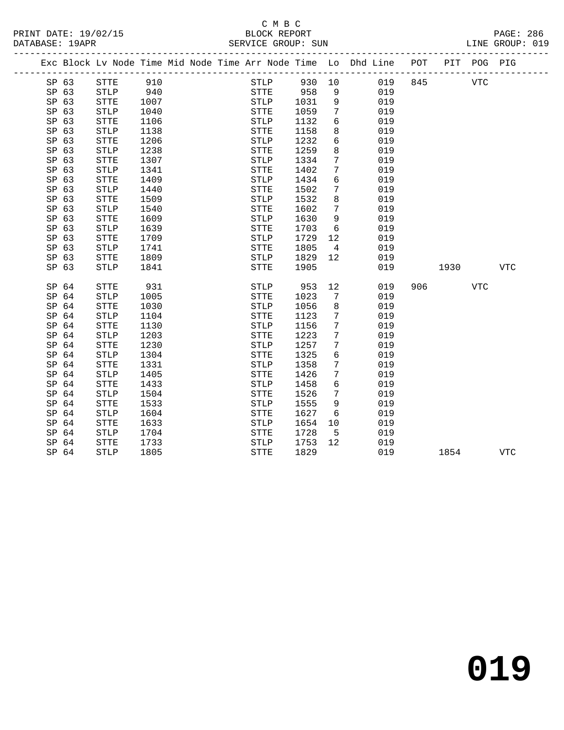### C M B C<br>BLOCK REPORT

| PRINT DATE: 19/02/15 | BLOCK REPORT       | PAGE: 286       |
|----------------------|--------------------|-----------------|
| DATABASE: 19APR      | SERVICE GROUP: SUN | LINE GROUP: 019 |
|                      |                    |                 |

|                  | Exc Block Lv Node Time Mid Node Time Arr Node Time Lo Dhd Line |      |  |                       |      |                |     | POT | PIT  | POG PIG    |            |
|------------------|----------------------------------------------------------------|------|--|-----------------------|------|----------------|-----|-----|------|------------|------------|
| SP 63            | <b>STTE</b>                                                    | 910  |  | STLP                  | 930  | 10             | 019 | 845 |      | <b>VTC</b> |            |
| SP 63            | <b>STLP</b>                                                    | 940  |  | <b>STTE</b>           | 958  | 9              | 019 |     |      |            |            |
| SP 63            | <b>STTE</b>                                                    | 1007 |  | <b>STLP</b>           | 1031 | 9              | 019 |     |      |            |            |
| SP 63            | <b>STLP</b>                                                    | 1040 |  | <b>STTE</b>           | 1059 | 7              | 019 |     |      |            |            |
| SP 63            | <b>STTE</b>                                                    | 1106 |  | <b>STLP</b>           | 1132 | 6              | 019 |     |      |            |            |
| SP 63            | STLP                                                           | 1138 |  | STTE                  | 1158 | 8              | 019 |     |      |            |            |
| SP 63            | <b>STTE</b>                                                    | 1206 |  | <b>STLP</b>           | 1232 | 6              | 019 |     |      |            |            |
| SP 63            | <b>STLP</b>                                                    | 1238 |  | STTE                  | 1259 | 8              | 019 |     |      |            |            |
| SP 63            | STTE                                                           | 1307 |  | STLP                  | 1334 | 7              | 019 |     |      |            |            |
| SP 63            | <b>STLP</b>                                                    | 1341 |  | <b>STTE</b>           | 1402 | 7              | 019 |     |      |            |            |
| SP 63            | ${\tt STTE}$                                                   | 1409 |  | $\operatorname{STLP}$ | 1434 | 6              | 019 |     |      |            |            |
| SP 63            | $\operatorname{STLP}$                                          | 1440 |  | ${\tt STTE}$          | 1502 | 7              | 019 |     |      |            |            |
| SP 63            | STTE                                                           | 1509 |  | <b>STLP</b>           | 1532 | 8              | 019 |     |      |            |            |
| SP 63            | <b>STLP</b>                                                    | 1540 |  | <b>STTE</b>           | 1602 | 7              | 019 |     |      |            |            |
| SP 63            | <b>STTE</b>                                                    | 1609 |  | <b>STLP</b>           | 1630 | 9              | 019 |     |      |            |            |
| SP 63            | <b>STLP</b>                                                    | 1639 |  | <b>STTE</b>           | 1703 | 6              | 019 |     |      |            |            |
| SP 63            | <b>STTE</b>                                                    | 1709 |  | <b>STLP</b>           | 1729 | 12             | 019 |     |      |            |            |
| SP 63            | <b>STLP</b>                                                    | 1741 |  | STTE                  | 1805 | $\overline{4}$ | 019 |     |      |            |            |
| SP 63            | <b>STTE</b>                                                    | 1809 |  | <b>STLP</b>           | 1829 | 12             | 019 |     |      |            |            |
| SP 63            | <b>STLP</b>                                                    | 1841 |  | <b>STTE</b>           | 1905 |                | 019 |     | 1930 |            | <b>VTC</b> |
| SP <sub>64</sub> | <b>STTE</b>                                                    | 931  |  | <b>STLP</b>           | 953  | 12             | 019 | 906 |      | <b>VTC</b> |            |
| SP 64            | STLP                                                           | 1005 |  | STTE                  | 1023 | 7              | 019 |     |      |            |            |
| SP <sub>64</sub> | STTE                                                           | 1030 |  | STLP                  | 1056 | 8              | 019 |     |      |            |            |
| SP 64            | <b>STLP</b>                                                    | 1104 |  | <b>STTE</b>           | 1123 | 7              | 019 |     |      |            |            |
| SP 64            | STTE                                                           | 1130 |  | STLP                  | 1156 | 7              | 019 |     |      |            |            |
| SP 64            | STLP                                                           | 1203 |  | STTE                  | 1223 | 7              | 019 |     |      |            |            |
| SP <sub>64</sub> | <b>STTE</b>                                                    | 1230 |  | <b>STLP</b>           | 1257 | 7              | 019 |     |      |            |            |
| SP <sub>64</sub> | <b>STLP</b>                                                    | 1304 |  | STTE                  | 1325 | 6              | 019 |     |      |            |            |
| SP <sub>64</sub> | <b>STTE</b>                                                    | 1331 |  | <b>STLP</b>           | 1358 | 7              | 019 |     |      |            |            |
| SP <sub>64</sub> | <b>STLP</b>                                                    | 1405 |  | <b>STTE</b>           | 1426 | 7              | 019 |     |      |            |            |
| SP <sub>64</sub> | <b>STTE</b>                                                    | 1433 |  | <b>STLP</b>           | 1458 | 6              | 019 |     |      |            |            |
| SP 64            | <b>STLP</b>                                                    | 1504 |  | <b>STTE</b>           | 1526 | 7              | 019 |     |      |            |            |
| SP 64            | <b>STTE</b>                                                    | 1533 |  | <b>STLP</b>           | 1555 | 9              | 019 |     |      |            |            |
| SP <sub>64</sub> | STLP                                                           | 1604 |  | STTE                  | 1627 | 6              | 019 |     |      |            |            |
| SP 64            | <b>STTE</b>                                                    | 1633 |  | <b>STLP</b>           | 1654 | 10             | 019 |     |      |            |            |
| SP <sub>64</sub> | STLP                                                           | 1704 |  | STTE                  | 1728 | 5              | 019 |     |      |            |            |
| SP <sub>64</sub> | STTE                                                           | 1733 |  | STLP                  | 1753 | 12             | 019 |     |      |            |            |
| SP 64            | <b>STLP</b>                                                    | 1805 |  | <b>STTE</b>           | 1829 |                | 019 |     | 1854 |            | <b>VTC</b> |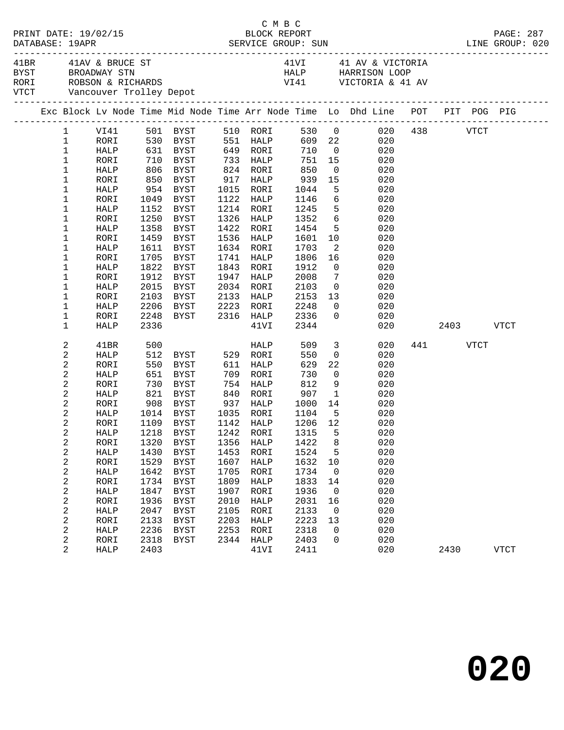| PRINT DATE: 19/02/15<br>DATABASE: 19APR |                                      |                      |              |                                                                     | BLOCK REPORT |                        |              | PAGE: 287               |                                                                                                                                                                                    |  |          |           |             |
|-----------------------------------------|--------------------------------------|----------------------|--------------|---------------------------------------------------------------------|--------------|------------------------|--------------|-------------------------|------------------------------------------------------------------------------------------------------------------------------------------------------------------------------------|--|----------|-----------|-------------|
|                                         |                                      | 41BR 41AV & BRUCE ST |              |                                                                     |              |                        |              |                         | 41VI 41 AV & VICTORIA<br>BYST BROADWAY STN FIRE THAT AV & VICTORIA<br>RORI ROBSON & RICHARDS FIRE THAN HALP HARRISON LOOP<br>VITCT Vancouver Trolley Depot<br>The Victoria & 41 av |  |          |           |             |
|                                         |                                      |                      |              |                                                                     |              |                        |              |                         | Exc Block Lv Node Time Mid Node Time Arr Node Time Lo Dhd Line POT PIT POG PIG                                                                                                     |  |          |           |             |
|                                         |                                      |                      |              |                                                                     |              |                        |              |                         | 1 VI41 501 BYST 510 RORI 530 0 020<br>1 RORI 530 BYST 551 HALP 609 22 020                                                                                                          |  | 438 VTCT |           |             |
|                                         |                                      |                      |              |                                                                     |              |                        |              |                         |                                                                                                                                                                                    |  |          |           |             |
|                                         | $\mathbf{1}$                         |                      |              | HALP 631 BYST 649 RORI 710 0                                        |              |                        |              |                         | 020                                                                                                                                                                                |  |          |           |             |
|                                         | $\mathbf 1$                          | RORI                 | 710          | BYST 733 HALP 751 15<br>BYST 824 RORI 850 0<br>RYST 917 HALP 939 15 |              |                        |              |                         | 020                                                                                                                                                                                |  |          |           |             |
|                                         | $\mathbf 1$                          | HALP                 |              | 806 BYST<br>850 BYST                                                |              |                        |              | $\overline{0}$          | 020                                                                                                                                                                                |  |          |           |             |
|                                         | 1                                    | RORI                 |              |                                                                     |              |                        |              |                         | 15<br>020                                                                                                                                                                          |  |          |           |             |
|                                         | 1                                    | HALP                 |              | 954 BYST                                                            |              | 1015 RORI              | 1044         |                         | 5 <sup>1</sup><br>020                                                                                                                                                              |  |          |           |             |
|                                         | 1                                    | RORI                 | 1049         | BYST                                                                |              | 1122 HALP              | 1146         |                         | $6\overline{}$<br>020                                                                                                                                                              |  |          |           |             |
|                                         | 1                                    | HALP                 | 1152         | BYST                                                                |              | 1214 RORI              | 1245<br>1352 | $5\overline{)}$         | 020                                                                                                                                                                                |  |          |           |             |
|                                         | 1                                    | RORI                 | 1250         | BYST                                                                |              | 1326 HALP              |              | $6\overline{6}$         | 020                                                                                                                                                                                |  |          |           |             |
|                                         | 1                                    | HALP                 | 1358         | BYST                                                                | 1422         | RORI                   | 1454         |                         | 5 <sub>1</sub><br>020                                                                                                                                                              |  |          |           |             |
|                                         | 1                                    | RORI                 | 1459         | BYST                                                                | 1536         | HALP                   | 1601         | 10                      | 020                                                                                                                                                                                |  |          |           |             |
|                                         | 1                                    | HALP                 | 1611         | BYST                                                                |              | 1634 RORI              | 1703         | $\overline{\mathbf{2}}$ | 020                                                                                                                                                                                |  |          |           |             |
|                                         | 1                                    | RORI                 | 1705         | BYST                                                                |              | 1741 HALP              | 1806         | 16                      | 020                                                                                                                                                                                |  |          |           |             |
|                                         | 1                                    | HALP                 |              | 1822 BYST                                                           |              | 1843 RORI              | 1912         |                         | $\overline{0}$<br>020                                                                                                                                                              |  |          |           |             |
|                                         | $\mathbf 1$                          | RORI                 | 1912         | BYST                                                                | 1947         | HALP                   | 2008         | $\overline{7}$          | 020                                                                                                                                                                                |  |          |           |             |
|                                         | 1                                    | HALP                 | 2015         | BYST                                                                | 2034         | RORI                   | 2103         | $\overline{0}$          | 020                                                                                                                                                                                |  |          |           |             |
|                                         | 1                                    | RORI                 | 2103         | BYST                                                                |              | 2133 HALP              | 2153         |                         | $\begin{array}{c} 13 \\ 0 \end{array}$<br>020                                                                                                                                      |  |          |           |             |
|                                         | 1                                    | HALP                 | 2206         | BYST 2223 RORI                                                      |              |                        | 2248         |                         | 020                                                                                                                                                                                |  |          |           |             |
|                                         | $\mathbf 1$                          | RORI                 |              | 2248 BYST 2316 HALP                                                 |              |                        | 2336         | $\overline{0}$          | 020                                                                                                                                                                                |  |          |           |             |
|                                         | 1                                    | HALP                 | 2336         |                                                                     |              | 41VI                   | 2344         |                         | 020                                                                                                                                                                                |  |          | 2403 VTCT |             |
|                                         | 2                                    | 41BR                 | 500          |                                                                     |              | HALP                   | 509          |                         | 3 <sup>1</sup><br>020                                                                                                                                                              |  | 441 VTCT |           |             |
|                                         | $\overline{c}$                       | HALP                 |              | 512 BYST                                                            |              | 529 RORI               | 550          |                         | $\overline{0}$<br>020                                                                                                                                                              |  |          |           |             |
|                                         | $\boldsymbol{2}$                     | RORI                 | 550          | BYST                                                                |              | 611 HALP               | 629          | 22                      | 020                                                                                                                                                                                |  |          |           |             |
|                                         | $\sqrt{2}$                           | HALP                 |              | 651 BYST<br>730 BYST                                                | 709          | RORI                   | 730<br>812   | $\overline{0}$          | 020                                                                                                                                                                                |  |          |           |             |
|                                         | $\sqrt{2}$                           | RORI                 |              |                                                                     |              | 754 HALP               |              |                         | 9<br>020                                                                                                                                                                           |  |          |           |             |
|                                         | $\overline{c}$                       | HALP                 |              | 821 BYST                                                            |              | 840 RORI               | 907          | $\overline{1}$          | 020                                                                                                                                                                                |  |          |           |             |
|                                         | 2                                    | RORI                 | 908          | BYST                                                                |              | 937 HALP               | 1000         |                         | 14<br>020                                                                                                                                                                          |  |          |           |             |
|                                         | $\overline{c}$                       | HALP                 |              | $1014$ BYST                                                         |              | 1035 RORI<br>1142 HALP | 1104<br>1206 | $5^{\circ}$             | 020                                                                                                                                                                                |  |          |           |             |
|                                         | $\overline{c}$                       | RORI                 |              | 1109 BYST                                                           |              |                        | 1206 12      |                         | 020                                                                                                                                                                                |  |          |           |             |
|                                         | 2                                    | HALP                 |              |                                                                     |              |                        |              |                         | 1218 BYST 1242 RORI 1315 5 020                                                                                                                                                     |  |          |           |             |
|                                         | $\boldsymbol{2}$                     | RORI                 | 1320         | <b>BYST</b>                                                         | 1356         | HALP                   | 1422         | 8                       | 020                                                                                                                                                                                |  |          |           |             |
|                                         | $\boldsymbol{2}$                     | HALP                 | 1430         | BYST                                                                | 1453         | RORI                   | 1524         | 5                       | 020                                                                                                                                                                                |  |          |           |             |
|                                         | $\overline{\mathbf{c}}$              | RORI                 | 1529         | BYST                                                                | 1607         | HALP                   | 1632         | 10                      | 020                                                                                                                                                                                |  |          |           |             |
|                                         | $\boldsymbol{2}$                     | HALP                 | 1642         | <b>BYST</b>                                                         | 1705         | RORI                   | 1734         | $\overline{0}$          | 020                                                                                                                                                                                |  |          |           |             |
|                                         | $\boldsymbol{2}$                     | RORI                 | 1734         | <b>BYST</b>                                                         | 1809         | HALP                   | 1833         | 14                      | 020                                                                                                                                                                                |  |          |           |             |
|                                         | $\sqrt{2}$                           | HALP                 | 1847         | <b>BYST</b>                                                         | 1907         | RORI                   | 1936         | $\overline{0}$          | 020                                                                                                                                                                                |  |          |           |             |
|                                         | $\sqrt{2}$                           | RORI                 | 1936         | <b>BYST</b>                                                         | 2010         | HALP                   | 2031         | 16                      | 020                                                                                                                                                                                |  |          |           |             |
|                                         | $\boldsymbol{2}$                     | HALP                 | 2047         | BYST                                                                | 2105         | RORI                   | 2133         | $\overline{0}$          | 020                                                                                                                                                                                |  |          |           |             |
|                                         | $\sqrt{2}$                           | RORI                 | 2133<br>2236 | <b>BYST</b>                                                         | 2203         | HALP                   | 2223         | 13                      | 020<br>020                                                                                                                                                                         |  |          |           |             |
|                                         | $\boldsymbol{2}$<br>$\boldsymbol{2}$ | HALP                 | 2318         | <b>BYST</b><br><b>BYST</b>                                          | 2253<br>2344 | RORI                   | 2318<br>2403 | 0<br>0                  | 020                                                                                                                                                                                |  |          |           |             |
|                                         | 2                                    | RORI                 | 2403         |                                                                     |              | HALP                   |              |                         | 020                                                                                                                                                                                |  |          |           |             |
|                                         |                                      | HALP                 |              |                                                                     |              | 41VI                   | 2411         |                         |                                                                                                                                                                                    |  | 2430     |           | <b>VTCT</b> |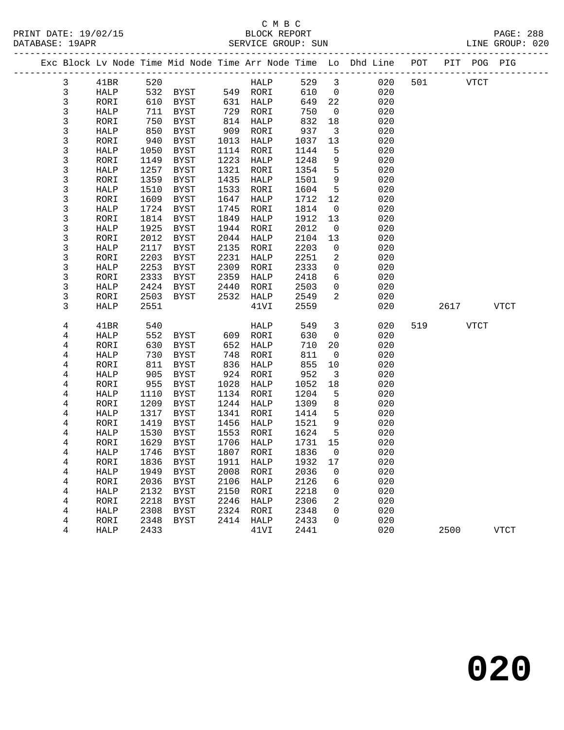## C M B C<br>BLOCK REPORT

| PRINT DATE: 19/02/15<br>DATABASE: 19APR | BLOCK REPORT<br>SERVICE GROUP: SUN | <b>PAGE: 288</b><br>LINE GROUP: 020 |  |
|-----------------------------------------|------------------------------------|-------------------------------------|--|
|                                         |                                    |                                     |  |

|  |                |              |              |                     |              |              |              |                         | Exc Block Lv Node Time Mid Node Time Arr Node Time Lo Dhd Line | POT |      | PIT POG PIG |             |
|--|----------------|--------------|--------------|---------------------|--------------|--------------|--------------|-------------------------|----------------------------------------------------------------|-----|------|-------------|-------------|
|  | 3              | 41BR         | 520          |                     |              | HALP         | 529          | $\overline{\mathbf{3}}$ | 020                                                            | 501 |      | <b>VTCT</b> |             |
|  | 3              | HALP         | 532          | BYST                |              | 549 RORI     | 610          | 0                       | 020                                                            |     |      |             |             |
|  | 3              | RORI         | 610          | BYST                | 631          | HALP         | 649          | 22                      | 020                                                            |     |      |             |             |
|  | 3              | HALP         | 711          | BYST                | 729          | RORI         | 750          | 0                       | 020                                                            |     |      |             |             |
|  | 3              | RORI         | 750          | <b>BYST</b>         | 814          | HALP         | 832          | 18                      | 020                                                            |     |      |             |             |
|  | 3              | HALP         | 850          | <b>BYST</b>         | 909          | RORI         | 937          | 3                       | 020                                                            |     |      |             |             |
|  | 3              | RORI         | 940          | BYST                | 1013         | HALP         | 1037         | 13                      | 020                                                            |     |      |             |             |
|  | 3              | HALP         | 1050         | BYST                | 1114         | RORI         | 1144         | 5                       | 020                                                            |     |      |             |             |
|  | 3              | RORI         | 1149         | <b>BYST</b>         | 1223         | HALP         | 1248         | 9                       | 020                                                            |     |      |             |             |
|  | 3              | HALP         | 1257         | <b>BYST</b>         | 1321         | RORI         | 1354         | 5                       | 020                                                            |     |      |             |             |
|  | 3              | RORI         | 1359         | <b>BYST</b>         | 1435         | HALP         | 1501         | $\mathsf 9$             | 020                                                            |     |      |             |             |
|  | 3              | HALP         | 1510         | <b>BYST</b>         | 1533         | RORI         | 1604         | 5                       | 020                                                            |     |      |             |             |
|  | 3              | RORI         | 1609         | <b>BYST</b>         | 1647         | HALP         | 1712         | 12                      | 020                                                            |     |      |             |             |
|  | 3              | HALP         | 1724         | <b>BYST</b>         | 1745         | RORI         | 1814         | 0                       | 020                                                            |     |      |             |             |
|  | 3              | RORI         | 1814         | <b>BYST</b>         | 1849         | <b>HALP</b>  | 1912         | 13                      | 020                                                            |     |      |             |             |
|  | 3              | HALP         | 1925         | <b>BYST</b>         | 1944         | RORI         | 2012         | 0                       | 020                                                            |     |      |             |             |
|  | 3              | RORI         | 2012         | <b>BYST</b>         | 2044         | HALP         | 2104         | 13                      | 020                                                            |     |      |             |             |
|  | 3              | HALP         | 2117         | <b>BYST</b>         | 2135         | RORI         | 2203         | 0                       | 020                                                            |     |      |             |             |
|  | 3              | RORI         | 2203         | <b>BYST</b>         | 2231         | HALP         | 2251         | 2                       | 020                                                            |     |      |             |             |
|  | 3              | <b>HALP</b>  | 2253         | <b>BYST</b>         | 2309         | RORI         | 2333         | 0                       | 020                                                            |     |      |             |             |
|  | 3              | RORI         | 2333         | <b>BYST</b>         | 2359         | HALP         | 2418         | б                       | 020                                                            |     |      |             |             |
|  | 3              | HALP         | 2424<br>2503 | BYST                | 2440         | RORI         | 2503<br>2549 | 0<br>$\overline{2}$     | 020                                                            |     |      |             |             |
|  | 3<br>3         | RORI         | 2551         | BYST                | 2532         | HALP<br>41VI | 2559         |                         | 020<br>020                                                     |     | 2617 |             | <b>VTCT</b> |
|  |                | HALP         |              |                     |              |              |              |                         |                                                                |     |      |             |             |
|  | 4              | 41BR         | 540          |                     |              | HALP         | 549          | 3                       | 020                                                            | 519 |      | VTCT        |             |
|  | 4              | HALP         | 552          | BYST                | 609          | RORI         | 630          | $\mathbf 0$             | 020                                                            |     |      |             |             |
|  | $\overline{4}$ | RORI         | 630          | <b>BYST</b>         | 652          | HALP         | 710          | 20                      | 020                                                            |     |      |             |             |
|  | 4              | HALP         | 730          | <b>BYST</b>         | 748          | RORI         | 811          | 0                       | 020                                                            |     |      |             |             |
|  | 4              | RORI         | 811          | <b>BYST</b>         | 836          | <b>HALP</b>  | 855          | 10                      | 020                                                            |     |      |             |             |
|  | 4              | HALP         | 905          | <b>BYST</b>         | 924          | RORI         | 952          | 3                       | 020                                                            |     |      |             |             |
|  | $\overline{4}$ | RORI         | 955          | <b>BYST</b>         | 1028         | HALP         | 1052         | 18                      | 020                                                            |     |      |             |             |
|  | 4              | HALP         | 1110         | <b>BYST</b>         | 1134         | RORI         | 1204         | 5                       | 020                                                            |     |      |             |             |
|  | 4              | RORI         | 1209         | <b>BYST</b>         | 1244         | HALP         | 1309         | 8                       | 020                                                            |     |      |             |             |
|  | 4              | HALP         | 1317         | BYST                | 1341         | RORI         | 1414         | 5                       | 020                                                            |     |      |             |             |
|  | 4              | RORI         | 1419         | <b>BYST</b>         | 1456         | HALP         | 1521         | $\mathsf 9$             | 020                                                            |     |      |             |             |
|  | 4              | HALP         | 1530         | <b>BYST</b>         | 1553         | RORI         | 1624         | 5                       | 020                                                            |     |      |             |             |
|  | 4              | RORI         | 1629         | <b>BYST</b>         | 1706         | HALP         | 1731         | 15                      | 020                                                            |     |      |             |             |
|  | $\overline{4}$ | HALP         | 1746         | BYST                | 1807         | RORI         | 1836         | 0                       | 020                                                            |     |      |             |             |
|  | 4              | RORI         | 1836         | <b>BYST</b>         | 1911<br>2008 | HALP         | 1932         | 17                      | 020                                                            |     |      |             |             |
|  | 4<br>4         | HALP         | 1949         | <b>BYST</b>         | 2106         | RORI<br>HALP | 2036<br>2126 | 0<br>6                  | 020<br>020                                                     |     |      |             |             |
|  | 4              | RORI         | 2036         | BYST                | 2150         |              |              | 0                       |                                                                |     |      |             |             |
|  | 4              | HALP         | 2132<br>2218 | BYST<br><b>BYST</b> | 2246         | RORI<br>HALP | 2218<br>2306 | 2                       | 020<br>020                                                     |     |      |             |             |
|  | 4              | RORI<br>HALP | 2308         | BYST                | 2324         | RORI         | 2348         | 0                       | 020                                                            |     |      |             |             |
|  | 4              | RORI         | 2348         | <b>BYST</b>         | 2414         | HALP         | 2433         | $\Omega$                | 020                                                            |     |      |             |             |
|  | 4              | HALP         | 2433         |                     |              | 41VI         | 2441         |                         | 020                                                            |     | 2500 |             | <b>VTCT</b> |
|  |                |              |              |                     |              |              |              |                         |                                                                |     |      |             |             |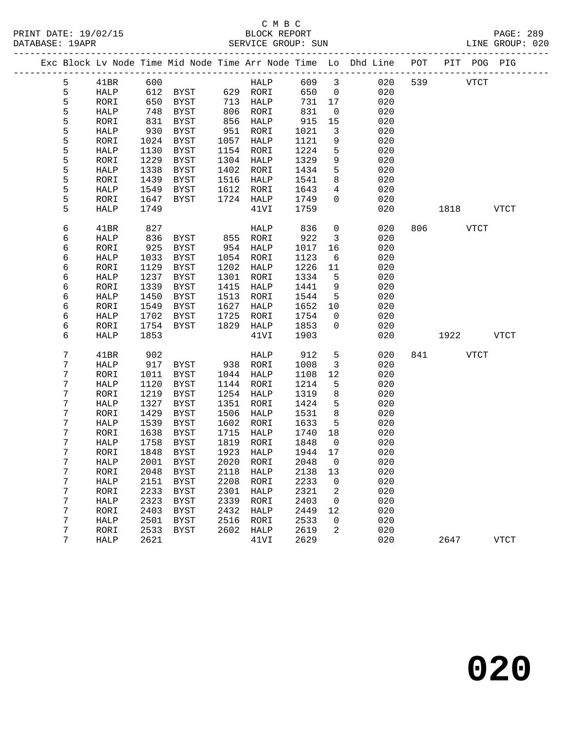|  |   |              |      |             |      |           |        |                         | Exc Block Lv Node Time Mid Node Time Arr Node Time Lo Dhd Line | POT | PIT                    | POG PIG     |
|--|---|--------------|------|-------------|------|-----------|--------|-------------------------|----------------------------------------------------------------|-----|------------------------|-------------|
|  | 5 | 41BR         | 600  |             |      | HALP      | 609    | $\overline{\mathbf{3}}$ | 020                                                            | 539 | <b>VTCT</b>            |             |
|  | 5 | HALP         | 612  | BYST        |      | 629 RORI  | 650    | $\overline{0}$          | 020                                                            |     |                        |             |
|  | 5 | RORI         | 650  | BYST        | 713  | HALP      | 731    | 17                      | 020                                                            |     |                        |             |
|  | 5 | HALP         | 748  | BYST        | 806  | RORI      | 831    | $\overline{\mathbf{0}}$ | 020                                                            |     |                        |             |
|  | 5 | RORI         | 831  | <b>BYST</b> | 856  | HALP      | 915    | 15                      | 020                                                            |     |                        |             |
|  | 5 | HALP         | 930  | <b>BYST</b> | 951  | RORI      | 1021   | $\overline{3}$          | 020                                                            |     |                        |             |
|  | 5 | RORI         | 1024 | <b>BYST</b> | 1057 | HALP      | 1121   | 9                       | 020                                                            |     |                        |             |
|  | 5 | HALP         | 1130 | BYST        | 1154 | RORI      | 1224   | 5                       | 020                                                            |     |                        |             |
|  | 5 | RORI         | 1229 | <b>BYST</b> | 1304 | HALP      | 1329   | 9                       | 020                                                            |     |                        |             |
|  | 5 | HALP         | 1338 | BYST        | 1402 | RORI      | 1434   | 5                       | 020                                                            |     |                        |             |
|  | 5 | RORI         | 1439 | <b>BYST</b> | 1516 | HALP      | 1541   | 8                       | 020                                                            |     |                        |             |
|  | 5 | HALP         | 1549 | BYST        | 1612 | RORI      | 1643   | $\overline{4}$          | 020                                                            |     |                        |             |
|  | 5 | RORI         | 1647 | BYST        | 1724 | HALP      | 1749   | $\Omega$                | 020                                                            |     |                        |             |
|  | 5 | <b>HALP</b>  | 1749 |             |      | 41VI      | 1759   |                         | 020                                                            |     | 1818                   | VTCT        |
|  | 6 | 41BR         | 827  |             |      | HALP      | 836    | $\mathsf{O}$            | 020                                                            |     | 806 700<br><b>VTCT</b> |             |
|  | 6 | HALP         | 836  | BYST        | 855  | RORI      | 922    | $\overline{3}$          | 020                                                            |     |                        |             |
|  | 6 | RORI         | 925  | BYST        | 954  | HALP      | 1017   | 16                      | 020                                                            |     |                        |             |
|  | 6 | HALP         | 1033 | <b>BYST</b> | 1054 | RORI      | 1123   | 6                       | 020                                                            |     |                        |             |
|  | 6 | RORI         | 1129 | BYST        | 1202 | HALP      | 1226   | 11                      | 020                                                            |     |                        |             |
|  | 6 | HALP         | 1237 | BYST        | 1301 | RORI      | 1334   | 5                       | 020                                                            |     |                        |             |
|  | б | RORI         | 1339 | <b>BYST</b> | 1415 | HALP      | 1441   | 9                       | 020                                                            |     |                        |             |
|  | 6 | HALP         | 1450 | <b>BYST</b> | 1513 | RORI      | 1544   | 5                       | 020                                                            |     |                        |             |
|  | 6 | RORI         | 1549 | BYST        | 1627 | HALP      | 1652   | 10                      | 020                                                            |     |                        |             |
|  | 6 | HALP         | 1702 | BYST        | 1725 | RORI      | 1754   | 0                       | 020                                                            |     |                        |             |
|  | б | RORI         | 1754 | BYST        | 1829 | HALP      | 1853   | $\overline{0}$          | 020                                                            |     |                        |             |
|  | б | <b>HALP</b>  | 1853 |             |      | 41VI      | 1903   |                         | 020                                                            |     | 1922                   | <b>VTCT</b> |
|  | 7 | 41BR         | 902  |             |      | HALP      | 912    | 5                       | 020                                                            | 841 | <b>VTCT</b>            |             |
|  | 7 | HALP         | 917  | BYST        | 938  | RORI      | 1008   | $\overline{3}$          | 020                                                            |     |                        |             |
|  | 7 | RORI         | 1011 | <b>BYST</b> | 1044 | HALP      | 1108   | 12                      | 020                                                            |     |                        |             |
|  | 7 | HALP         | 1120 | BYST        | 1144 | RORI      | 1214   | 5                       | 020                                                            |     |                        |             |
|  | 7 | RORI         | 1219 | BYST        | 1254 | HALP      | 1319   | 8                       | 020                                                            |     |                        |             |
|  | 7 | HALP         | 1327 | BYST        | 1351 | RORI      | 1424   | 5                       | 020                                                            |     |                        |             |
|  | 7 | RORI         | 1429 | <b>BYST</b> | 1506 | HALP      | 1531   | 8                       | 020                                                            |     |                        |             |
|  | 7 | HALP         | 1539 | <b>BYST</b> | 1602 | RORI      | 1633   | 5                       | 020                                                            |     |                        |             |
|  | 7 | RORI         | 1638 | BYST        | 1715 | HALP      | 1740   | 18                      | 020                                                            |     |                        |             |
|  | 7 | HALP         | 1758 | BYST        | 1819 | RORI      | 1848   | $\overline{0}$          | 020                                                            |     |                        |             |
|  | 7 | RORI         | 1848 | <b>BYST</b> | 1923 | HALP      | 1944   | 17                      | 020                                                            |     |                        |             |
|  | 7 | ${\tt HALP}$ |      | 2001 BYST   |      | 2020 RORI | 2048 0 |                         | 020                                                            |     |                        |             |
|  | 7 | RORI         | 2048 | BYST        | 2118 | HALP      | 2138   | 13                      | 020                                                            |     |                        |             |
|  | 7 | HALP         | 2151 | BYST        | 2208 | RORI      | 2233   | 0                       | 020                                                            |     |                        |             |
|  | 7 | RORI         | 2233 | BYST        | 2301 | HALP      | 2321   | 2                       | 020                                                            |     |                        |             |
|  | 7 | HALP         | 2323 | <b>BYST</b> | 2339 | RORI      | 2403   | $\mathbf 0$             | 020                                                            |     |                        |             |
|  | 7 | RORI         | 2403 | BYST        | 2432 | HALP      | 2449   | 12                      | 020                                                            |     |                        |             |
|  | 7 | HALP         | 2501 | BYST        | 2516 | RORI      | 2533   | 0                       | 020                                                            |     |                        |             |
|  | 7 | RORI         | 2533 | <b>BYST</b> | 2602 | HALP      | 2619   | 2                       | 020                                                            |     |                        |             |
|  | 7 | HALP         | 2621 |             |      | 41VI      | 2629   |                         | 020                                                            |     | 2647                   | <b>VTCT</b> |
|  |   |              |      |             |      |           |        |                         |                                                                |     |                        |             |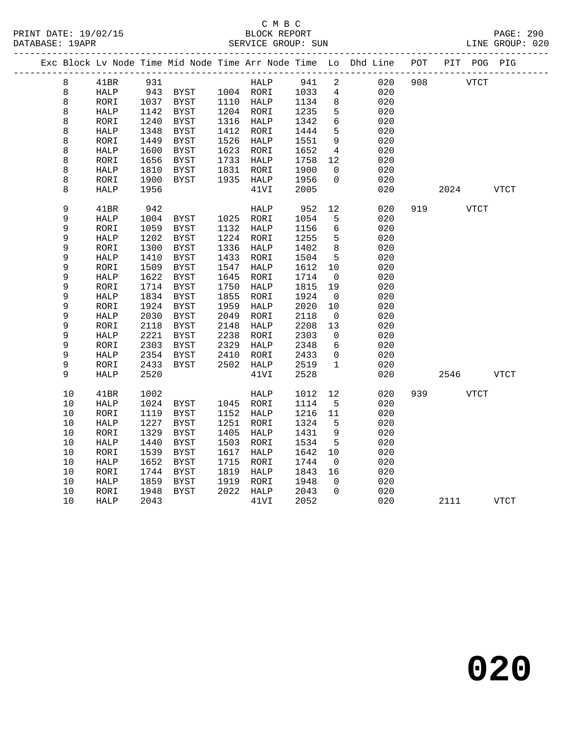### C M B C<br>BLOCK REPORT SERVICE GROUP: SUN

|             |    | ---------   |      |               |      |           |      |                | Exc Block Lv Node Time Mid Node Time Arr Node Time Lo Dhd Line | POT<br>________________ |      |             | PIT POG PIG |
|-------------|----|-------------|------|---------------|------|-----------|------|----------------|----------------------------------------------------------------|-------------------------|------|-------------|-------------|
| 8           |    | 41BR        | 931  |               |      | HALP      | 941  | 2              | 020                                                            | 908                     |      | <b>VTCT</b> |             |
| 8           |    | HALP        | 943  | BYST          |      | 1004 RORI | 1033 | $\overline{4}$ | 020                                                            |                         |      |             |             |
| 8           |    | RORI        | 1037 | BYST          |      | 1110 HALP | 1134 | 8              | 020                                                            |                         |      |             |             |
| 8           |    | HALP        | 1142 | <b>BYST</b>   |      | 1204 RORI | 1235 | 5              | 020                                                            |                         |      |             |             |
| 8           |    | RORI        | 1240 | <b>BYST</b>   | 1316 | HALP      | 1342 | 6              | 020                                                            |                         |      |             |             |
| 8           |    | HALP        | 1348 | <b>BYST</b>   | 1412 | RORI      | 1444 | 5              | 020                                                            |                         |      |             |             |
| 8           |    | RORI        | 1449 | <b>BYST</b>   | 1526 | HALP      | 1551 | $\overline{9}$ | 020                                                            |                         |      |             |             |
| 8           |    | HALP        | 1600 | BYST          | 1623 | RORI      | 1652 | $\overline{4}$ | 020                                                            |                         |      |             |             |
| 8           |    | RORI        | 1656 | <b>BYST</b>   | 1733 | HALP      | 1758 | 12             | 020                                                            |                         |      |             |             |
| 8           |    | HALP        | 1810 | BYST          | 1831 | RORI      | 1900 | $\Omega$       | 020                                                            |                         |      |             |             |
| 8           |    | RORI        | 1900 | BYST          | 1935 | HALP      | 1956 | $\Omega$       | 020                                                            |                         |      |             |             |
| 8           |    | HALP        | 1956 |               |      | 41VI      | 2005 |                | 020                                                            |                         | 2024 |             | <b>VTCT</b> |
| 9           |    | 41BR        | 942  |               |      | HALP      | 952  | 12             | 020                                                            | 919                     |      | <b>VTCT</b> |             |
| 9           |    | HALP        | 1004 | BYST          |      | 1025 RORI | 1054 | 5              | 020                                                            |                         |      |             |             |
| 9           |    | RORI        | 1059 | BYST          | 1132 | HALP      | 1156 | 6              | 020                                                            |                         |      |             |             |
| 9           |    | HALP        | 1202 | <b>BYST</b>   | 1224 | RORI      | 1255 | 5              | 020                                                            |                         |      |             |             |
| $\mathsf 9$ |    | RORI        | 1300 | <b>BYST</b>   | 1336 | HALP      | 1402 | 8              | 020                                                            |                         |      |             |             |
| 9           |    | HALP        | 1410 | <b>BYST</b>   | 1433 | RORI      | 1504 | 5              | 020                                                            |                         |      |             |             |
| 9           |    | RORI        | 1509 | <b>BYST</b>   | 1547 | HALP      | 1612 | 10             | 020                                                            |                         |      |             |             |
| $\mathsf 9$ |    | HALP        | 1622 | <b>BYST</b>   | 1645 | RORI      | 1714 | 0              | 020                                                            |                         |      |             |             |
| 9           |    | RORI        | 1714 | BYST          | 1750 | HALP      | 1815 | 19             | 020                                                            |                         |      |             |             |
| 9           |    | HALP        | 1834 | <b>BYST</b>   | 1855 | RORI      | 1924 | 0              | 020                                                            |                         |      |             |             |
| 9           |    | RORI        | 1924 | <b>BYST</b>   | 1959 | HALP      | 2020 | 10             | 020                                                            |                         |      |             |             |
| 9           |    | HALP        | 2030 | <b>BYST</b>   | 2049 | RORI      | 2118 | 0              | 020                                                            |                         |      |             |             |
| 9           |    | RORI        | 2118 | <b>BYST</b>   | 2148 | HALP      | 2208 | 13             | 020                                                            |                         |      |             |             |
| 9           |    | HALP        | 2221 | BYST          | 2238 | RORI      | 2303 | 0              | 020                                                            |                         |      |             |             |
| $\mathsf 9$ |    | RORI        | 2303 | <b>BYST</b>   | 2329 | HALP      | 2348 | 6              | 020                                                            |                         |      |             |             |
| 9           |    | <b>HALP</b> | 2354 | $_{\rm BYST}$ | 2410 | RORI      | 2433 | $\mathbf 0$    | 020                                                            |                         |      |             |             |
| 9           |    | RORI        | 2433 | <b>BYST</b>   | 2502 | HALP      | 2519 | $\mathbf{1}$   | 020                                                            |                         |      |             |             |
| 9           |    | HALP        | 2520 |               |      | 41VI      | 2528 |                | 020                                                            |                         | 2546 |             | <b>VTCT</b> |
| 10          |    | 41BR        | 1002 |               |      | HALP      | 1012 | 12             | 020                                                            | 939                     |      | VTCT        |             |
| $10$        |    | HALP        | 1024 | BYST          |      | 1045 RORI | 1114 | 5              | 020                                                            |                         |      |             |             |
| 10          |    | RORI        | 1119 | <b>BYST</b>   | 1152 | HALP      | 1216 | 11             | 020                                                            |                         |      |             |             |
| 10          |    | HALP        | 1227 | BYST          | 1251 | RORI      | 1324 | 5              | 020                                                            |                         |      |             |             |
| 10          |    | RORI        | 1329 | <b>BYST</b>   | 1405 | HALP      | 1431 | 9              | 020                                                            |                         |      |             |             |
| 10          |    | HALP        | 1440 | <b>BYST</b>   | 1503 | RORI      | 1534 | 5              | 020                                                            |                         |      |             |             |
| 10          |    | RORI        | 1539 | BYST          | 1617 | HALP      | 1642 | 10             | 020                                                            |                         |      |             |             |
|             | 10 | HALP        | 1652 | <b>BYST</b>   | 1715 | RORI      | 1744 | 0              | 020                                                            |                         |      |             |             |
| 10          |    | RORI        | 1744 | <b>BYST</b>   | 1819 | HALP      | 1843 | 16             | 020                                                            |                         |      |             |             |
| 10          |    | HALP        | 1859 | <b>BYST</b>   | 1919 | RORI      | 1948 | $\Omega$       | 020                                                            |                         |      |             |             |
| 10          |    | RORI        | 1948 | <b>BYST</b>   | 2022 | HALP      | 2043 | $\Omega$       | 020                                                            |                         |      |             |             |
| 10          |    | HALP        | 2043 |               |      | 41VI      | 2052 |                | 020                                                            |                         | 2111 |             | <b>VTCT</b> |

**020**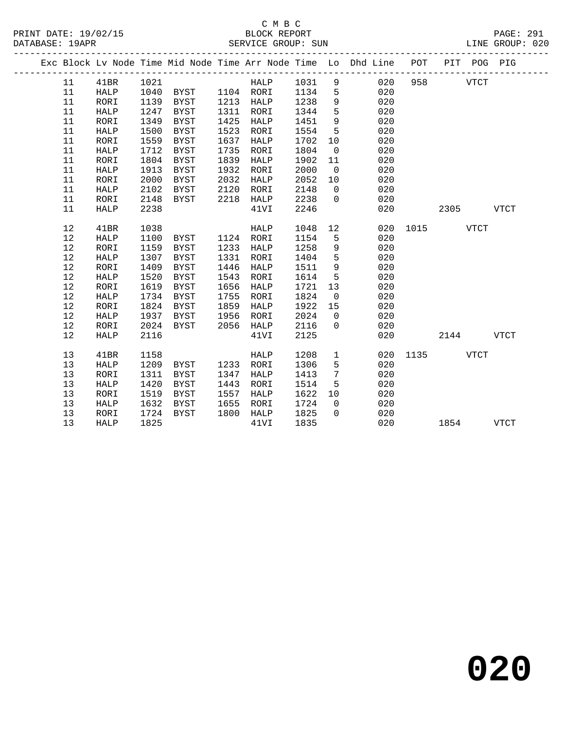|  |            |              |              |                     |      |                   |              |                | Exc Block Lv Node Time Mid Node Time Arr Node Time Lo Dhd Line POT |               |           |             | PIT POG PIG |
|--|------------|--------------|--------------|---------------------|------|-------------------|--------------|----------------|--------------------------------------------------------------------|---------------|-----------|-------------|-------------|
|  | 11         | 41BR         | 1021         |                     |      | HALP 1031 9       |              |                | 020                                                                | 958           |           | <b>VTCT</b> |             |
|  | 11         | HALP         | 1040         | BYST 1104 RORI      |      |                   | 1134         | $5^{\circ}$    | 020                                                                |               |           |             |             |
|  | 11         | RORI         | 1139         | BYST                |      | 1213 HALP         | 1238         | 9              | 020                                                                |               |           |             |             |
|  | 11         | HALP         | 1247         | <b>BYST</b>         | 1311 | RORI              | 1344         | 5              | 020                                                                |               |           |             |             |
|  | 11         | RORI         | 1349         | BYST                | 1425 | HALP              | 1451         | $\overline{9}$ | 020                                                                |               |           |             |             |
|  | 11         | HALP         | 1500         | <b>BYST</b>         | 1523 | RORI              | 1554         | 5              | 020                                                                |               |           |             |             |
|  | 11         | RORI         | 1559         | BYST                | 1637 | HALP              | 1702         | 10             | 020                                                                |               |           |             |             |
|  | 11         | HALP         | 1712         | BYST                | 1735 | RORI              | 1804         | $\overline{0}$ | 020                                                                |               |           |             |             |
|  | 11         | RORI         | 1804         | BYST                | 1839 | HALP              | 1902         | 11             | 020                                                                |               |           |             |             |
|  | 11         | HALP         | 1913         | BYST                | 1932 | RORI              | 2000         | $\overline{0}$ | 020                                                                |               |           |             |             |
|  | 11         | RORI         | 2000         | BYST                | 2032 | HALP              | 2052         | 10             | 020                                                                |               |           |             |             |
|  | 11         | HALP         | 2102         | BYST                | 2120 | RORI              | 2148         | $\overline{0}$ | 020                                                                |               |           |             |             |
|  | 11         | RORI         | 2148         | BYST                | 2218 | HALP              | 2238         | $\overline{0}$ | 020                                                                |               |           |             |             |
|  | 11         | HALP         | 2238         |                     |      | 41VI              | 2246         |                | 020                                                                |               | 2305 VTCT |             |             |
|  |            |              |              |                     |      |                   |              |                |                                                                    |               |           |             |             |
|  | 12         | 41BR         | 1038         |                     |      | HALP              | 1048         | 12             |                                                                    | 020 1015 VTCT |           |             |             |
|  | 12         | <b>HALP</b>  | 1100         | BYST                |      | 1124 RORI         | 1154         | 5              | 020                                                                |               |           |             |             |
|  | $12$<br>12 | RORI<br>HALP | 1159<br>1307 | BYST<br><b>BYST</b> | 1331 | 1233 HALP<br>RORI | 1258<br>1404 | 9<br>5         | 020<br>020                                                         |               |           |             |             |
|  | 12         | RORI         | 1409         | BYST                | 1446 | HALP              | 1511         | 9              | 020                                                                |               |           |             |             |
|  | 12         | <b>HALP</b>  | 1520         | BYST                | 1543 | RORI              | 1614         | 5              | 020                                                                |               |           |             |             |
|  | 12         | RORI         | 1619         | BYST                | 1656 | HALP              | 1721         | 13             | 020                                                                |               |           |             |             |
|  | $12$       | HALP         | 1734         | <b>BYST</b>         | 1755 | RORI              | 1824         | $\overline{0}$ | 020                                                                |               |           |             |             |
|  | 12         | RORI         | 1824         | BYST                | 1859 | HALP              | 1922         | 15             | 020                                                                |               |           |             |             |
|  | 12         | HALP         | 1937         | BYST                | 1956 | RORI              | 2024         | $\overline{0}$ | 020                                                                |               |           |             |             |
|  | 12         | RORI         | 2024         | BYST                | 2056 | HALP              | 2116         | $\Omega$       | 020                                                                |               |           |             |             |
|  | 12         | <b>HALP</b>  | 2116         |                     |      | 41VI              | 2125         |                | 020                                                                |               | 2144      |             | <b>VTCT</b> |
|  |            |              |              |                     |      |                   |              |                |                                                                    |               |           |             |             |
|  | 13         | 41BR         | 1158         |                     |      | HALP              | 1208         | $\mathbf{1}$   | 020                                                                | 1135          |           | <b>VTCT</b> |             |
|  | 13         | <b>HALP</b>  | 1209         | BYST                |      | 1233 RORI         | 1306         | 5              | 020                                                                |               |           |             |             |
|  | 13         | RORI         | 1311         | BYST                | 1347 | HALP              | 1413         | 7              | 020                                                                |               |           |             |             |
|  | 13         | HALP         | 1420         | BYST                | 1443 | RORI              | 1514         | 5              | 020                                                                |               |           |             |             |
|  | 13         | RORI         | 1519         | BYST                | 1557 | HALP              | 1622         | 10             | 020                                                                |               |           |             |             |
|  | 13         | HALP         | 1632         | BYST                | 1655 | RORI              | 1724         | $\overline{0}$ | 020                                                                |               |           |             |             |
|  | 13         | RORI         | 1724         | BYST                | 1800 | HALP              | 1825         | $\Omega$       | 020                                                                |               |           |             |             |
|  | 13         | HALP         | 1825         |                     |      | 41VI              | 1835         |                | 020                                                                |               | 1854      |             | <b>VTCT</b> |
|  |            |              |              |                     |      |                   |              |                |                                                                    |               |           |             |             |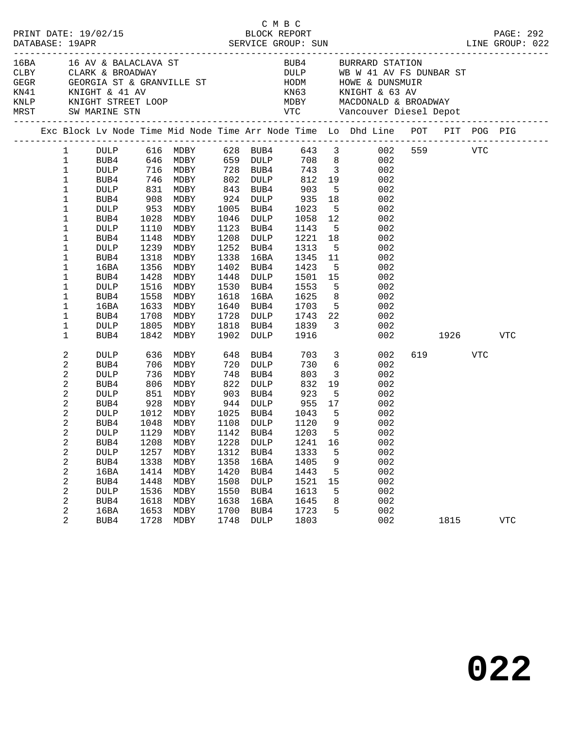|      |                                                                                                                                                                        |                                                                                                                                                            |                                                                             |                                                                                                                                                                          |                                                                             |                                                                                                                                                                    | C M B C                                                                                                                                            |                                                                | LINE GROUP: 022                                                                                                                                                                                                                                                                                                                                                                                                                                          |                 | PAGE: 292  |  |
|------|------------------------------------------------------------------------------------------------------------------------------------------------------------------------|------------------------------------------------------------------------------------------------------------------------------------------------------------|-----------------------------------------------------------------------------|--------------------------------------------------------------------------------------------------------------------------------------------------------------------------|-----------------------------------------------------------------------------|--------------------------------------------------------------------------------------------------------------------------------------------------------------------|----------------------------------------------------------------------------------------------------------------------------------------------------|----------------------------------------------------------------|----------------------------------------------------------------------------------------------------------------------------------------------------------------------------------------------------------------------------------------------------------------------------------------------------------------------------------------------------------------------------------------------------------------------------------------------------------|-----------------|------------|--|
| 16BA |                                                                                                                                                                        |                                                                                                                                                            |                                                                             | 16 AV & BALACLAVA ST                                                                                                                                                     |                                                                             |                                                                                                                                                                    |                                                                                                                                                    |                                                                | BUB4 BURRARD STATION<br>CLARE & BROADWAY DULP WB W 41 AV FS DUNBAR ST<br>CLARE & BROADWAY DULP WB W 41 AV FS DUNBAR ST<br>KN41 KNIGHT & 41 AV KN63 KNIGHT & 63 AV<br>KNLP KNIGHT STREET LOOP MEST VTC Vancouver Diesel Depot<br>MEST SW MARINE STN VTC Vancouv                                                                                                                                                                                           |                 |            |  |
|      |                                                                                                                                                                        |                                                                                                                                                            |                                                                             |                                                                                                                                                                          |                                                                             |                                                                                                                                                                    |                                                                                                                                                    |                                                                | Exc Block Lv Node Time Mid Node Time Arr Node Time Lo Dhd Line POT PIT POG PIG                                                                                                                                                                                                                                                                                                                                                                           |                 |            |  |
|      | $\mathbf{1}$<br>$\mathbf 1$<br>$\mathbf 1$<br>1<br>1<br>1<br>1<br>1<br>1<br>1<br>1<br>1<br>1<br>1<br>$\mathbf 1$<br>1<br>1                                             | BUB4<br>DULP<br>BUB4<br>DULP<br>BUB4<br>DULP<br>BUB4<br>DULP<br>BUB4<br>16BA<br>BUB4<br>DULP<br>BUB4<br>16BA<br>BUB4<br>DULP<br>BUB4                       | 1028<br>1110<br>1148<br>1318<br>1356<br>1428<br>1516<br>1558<br>1708        | 746 MDBY<br>831 MDBY<br>908 MDBY<br>953 MDBY<br>MDBY<br>MDBY<br>MDBY<br>1239 MDBY<br>MDBY<br>MDBY<br>MDBY<br>MDBY<br>MDBY<br>1633 MDBY<br>MDBY<br>1805 MDBY<br>1842 MDBY | 1208<br>1252<br>1338<br>1402<br>1448<br>1530<br>1618<br>1640                | 843 BUB4<br>924 DULP<br>1005 BUB4<br>1046 DULP<br>1123 BUB4<br>DULP<br>BUB4<br>16BA<br>BUB4<br>DULP<br>BUB4<br>16BA<br>BUB4<br>1728 DULP<br>1818 BUB4<br>1902 DULP | 802 DULP 812 19<br>903<br>935<br>1023<br>1058<br>1143 5<br>1221 18<br>1313<br>1345<br>1423<br>1501<br>1553<br>1625<br>1703<br>1743<br>1839<br>1916 | 12<br>11<br>15                                                 | 1 DULP 616 MDBY 628 BUB4 643 3 002 559 VTC<br>1 BUB4 646 MDBY 659 DULP 708 8 002<br>1 DULP 716 MDBY 728 BUB4 743 3 002<br>002<br>$\begin{array}{ccc} 5 & 002 \\ 18 & 002 \end{array}$<br>5 <sub>1</sub><br>002<br>002<br>5 <sub>1</sub><br>002<br>002<br>5 <sub>1</sub><br>002<br>002<br>5 <sub>1</sub><br>002<br>002<br>$\overline{5}$<br>002<br>8 <sup>8</sup><br>002<br>5 <sub>1</sub><br>002<br>$\begin{array}{c} 22 \\ 3 \end{array}$<br>002<br>002 | 002 1926 VTC    |            |  |
|      | 2<br>2<br>2<br>2<br>2<br>$\sqrt{2}$<br>2<br>2<br>$\overline{a}$<br>2<br>$\sqrt{2}$<br>2<br>$\sqrt{2}$<br>$\sqrt{2}$<br>2<br>$\sqrt{2}$<br>$\sqrt{2}$<br>$\overline{a}$ | DULP<br>BUB4<br><b>DULP</b><br>BUB4<br>DULP<br>BUB4<br>DULP<br>BUB4<br><b>DULP</b><br>BUB4<br>DULP<br>BUB4<br>16BA<br>BUB4<br>DULP<br>BUB4<br>16BA<br>BUB4 | 806<br>1208<br>1257<br>1338<br>1414<br>1448<br>1536<br>1618<br>1653<br>1728 | 736 MDBY<br>MDBY<br>1012 MDBY<br>1048 MDBY<br>1129 MDBY 1142 BUB4 1203 5<br>MDBY<br>MDBY<br>MDBY<br>MDBY<br>MDBY<br>MDBY<br>MDBY<br>MDBY<br>MDBY                         | 822<br>1228<br>1312<br>1358<br>1420<br>1508<br>1550<br>1638<br>1700<br>1748 | 748 BUB4<br>DULP<br>1025 BUB4<br>1108 DULP<br><b>DULP</b><br>BUB4<br>16BA<br>BUB4<br><b>DULP</b><br>BUB4<br>16BA<br>BUB4<br><b>DULP</b>                            | 703<br>730<br>803<br>832<br>923<br>955<br>$1043$ 5<br>1120<br>1241<br>1333<br>1405<br>1443<br>1521<br>1613<br>1645<br>1723<br>1803                 | $6\overline{6}$<br>9<br>16<br>5<br>9<br>5<br>15<br>5<br>8<br>5 | $\overline{\mathbf{3}}$<br>002<br>002<br>$\overline{3}$<br>002<br>19<br>002<br>$\frac{5}{17}$<br>002<br>002<br>002<br>002<br>002<br>002<br>002<br>002<br>002<br>002<br>002<br>002<br>002<br>002                                                                                                                                                                                                                                                          | 619 VTC<br>1815 | <b>VTC</b> |  |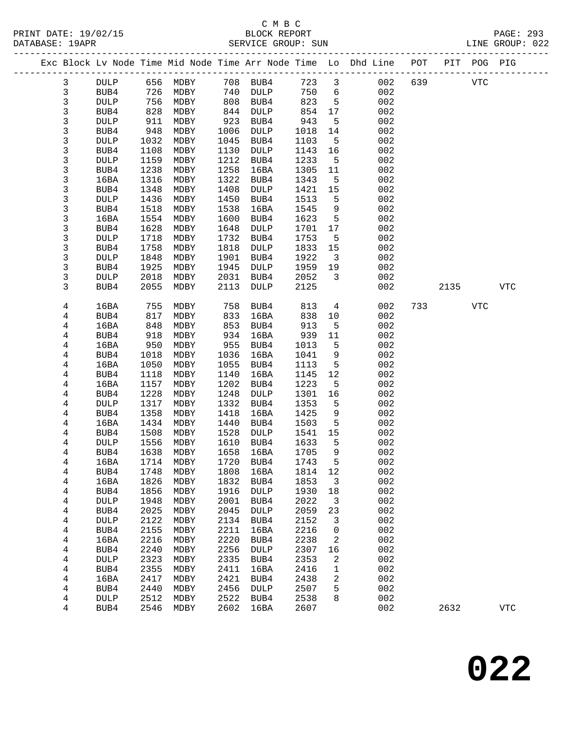| PRINT DATE: 19/02/15 BLOCK REPORT DATABASE: 19APR SERVICE GROUP: SUN |                |                   |      |                            |      |             |      |                         |                                                                                |            |            | PAGE: 293<br>LINE GROUP: 022 |
|----------------------------------------------------------------------|----------------|-------------------|------|----------------------------|------|-------------|------|-------------------------|--------------------------------------------------------------------------------|------------|------------|------------------------------|
|                                                                      |                |                   |      |                            |      |             |      |                         | Exc Block Lv Node Time Mid Node Time Arr Node Time Lo Dhd Line POT PIT POG PIG |            |            |                              |
|                                                                      | 3              | DULP              |      | 656 MDBY 708 BUB4 723 3    |      |             |      |                         | 002                                                                            | 639 8      | VTC        |                              |
|                                                                      | $\mathsf{3}$   | BUB4              |      | 726 MDBY                   |      | 740 DULP    |      | 750 6                   | 002                                                                            |            |            |                              |
|                                                                      | $\mathsf 3$    | <b>DULP</b>       | 756  | MDBY                       |      | 808 BUB4    | 823  | $5^{\circ}$             | 002                                                                            |            |            |                              |
|                                                                      | $\mathsf 3$    | BUB4              | 828  | MDBY                       | 844  | DULP        | 854  | 17                      | 002                                                                            |            |            |                              |
|                                                                      | 3              | <b>DULP</b>       | 911  | MDBY                       | 923  | BUB4        | 943  | 5                       | 002                                                                            |            |            |                              |
|                                                                      | 3              | BUB4              | 948  | MDBY                       | 1006 | DULP        | 1018 | 14                      | 002                                                                            |            |            |                              |
|                                                                      | 3              | <b>DULP</b>       | 1032 | MDBY                       | 1045 | BUB4        | 1103 | $5^{\circ}$             | 002                                                                            |            |            |                              |
|                                                                      | $\mathsf 3$    | BUB4              | 1108 | MDBY                       | 1130 | DULP        | 1143 | 16                      | 002                                                                            |            |            |                              |
|                                                                      | 3              | <b>DULP</b>       | 1159 | MDBY                       | 1212 | BUB4        | 1233 | $5^{\circ}$             | 002                                                                            |            |            |                              |
|                                                                      | 3              | BUB4              | 1238 | MDBY                       | 1258 | 16BA        | 1305 | 11                      | 002                                                                            |            |            |                              |
|                                                                      | 3              | 16BA              | 1316 | MDBY                       | 1322 | BUB4        | 1343 | 5                       | 002                                                                            |            |            |                              |
|                                                                      | $\mathsf 3$    | BUB4              | 1348 | MDBY                       | 1408 | <b>DULP</b> | 1421 | 15                      | 002                                                                            |            |            |                              |
|                                                                      | 3              | <b>DULP</b>       | 1436 | MDBY                       | 1450 | BUB4        | 1513 | 5                       | 002                                                                            |            |            |                              |
|                                                                      | 3              | BUB4              | 1518 | MDBY                       | 1538 | 16BA        | 1545 | 9                       | 002                                                                            |            |            |                              |
|                                                                      | 3              | 16BA              | 1554 | MDBY                       | 1600 | BUB4        | 1623 | 5                       | 002                                                                            |            |            |                              |
|                                                                      | $\mathsf 3$    | BUB4              | 1628 | MDBY                       | 1648 | DULP        | 1701 | 17                      | 002                                                                            |            |            |                              |
|                                                                      | $\mathsf 3$    | <b>DULP</b>       | 1718 | MDBY                       | 1732 | BUB4        | 1753 | $5^{\circ}$             | 002                                                                            |            |            |                              |
|                                                                      | 3              | BUB4              | 1758 | MDBY                       | 1818 | DULP        | 1833 | 15                      | 002                                                                            |            |            |                              |
|                                                                      | 3              | DULP              | 1848 | MDBY                       | 1901 | BUB4        | 1922 | $\overline{\mathbf{3}}$ | 002                                                                            |            |            |                              |
|                                                                      | 3              | BUB4              | 1925 | MDBY                       | 1945 | DULP        | 1959 | 19                      | 002                                                                            |            |            |                              |
|                                                                      | 3              | <b>DULP</b>       | 2018 | MDBY                       | 2031 | BUB4        | 2052 | 3                       | 002                                                                            |            |            |                              |
|                                                                      | 3              | BUB4              | 2055 | MDBY                       | 2113 | DULP        | 2125 |                         | 002                                                                            | 2135       |            | <b>VTC</b>                   |
|                                                                      | 4              | 16BA              | 755  | MDBY                       | 758  | BUB4        | 813  | $4\overline{ }$         | 002                                                                            | 733 and 13 | <b>VTC</b> |                              |
|                                                                      | 4              | BUB4              | 817  | MDBY                       | 833  | 16BA        | 838  | 10                      | 002                                                                            |            |            |                              |
|                                                                      | 4              | 16BA              | 848  | MDBY                       | 853  | BUB4        | 913  | $5\overline{5}$         | 002                                                                            |            |            |                              |
|                                                                      | 4              | BUB4              | 918  | MDBY                       | 934  | 16BA        | 939  | 11                      | 002                                                                            |            |            |                              |
|                                                                      | 4              | 16BA              | 950  | MDBY                       | 955  | BUB4        | 1013 | 5                       | 002                                                                            |            |            |                              |
|                                                                      | 4              | BUB4              | 1018 | MDBY                       | 1036 | 16BA        | 1041 | 9                       | 002                                                                            |            |            |                              |
|                                                                      | $\overline{4}$ | 16BA              | 1050 | MDBY                       | 1055 | BUB4        | 1113 | 5                       | 002                                                                            |            |            |                              |
|                                                                      | 4              | BUB4              | 1118 | MDBY                       | 1140 | 16BA        | 1145 | 12                      | 002                                                                            |            |            |                              |
|                                                                      | 4              | 16BA              | 1157 | MDBY                       | 1202 | BUB4        | 1223 | 5                       | 002                                                                            |            |            |                              |
|                                                                      | 4              | BUB4              | 1228 | MDBY                       | 1248 | DULP        | 1301 | 16                      | 002                                                                            |            |            |                              |
|                                                                      | $\overline{4}$ | DULP              | 1317 | MDBY                       | 1332 | BUB4        | 1353 | $5^{\circ}$             | 002                                                                            |            |            |                              |
|                                                                      | 4              | BUB4              | 1358 | MDBY                       | 1418 | 16BA        | 1425 | 9                       | 002                                                                            |            |            |                              |
|                                                                      | 4              | 16BA              | 1434 | MDBY                       | 1440 | BUB4        | 1503 | $5^{\circ}$             | 002                                                                            |            |            |                              |
|                                                                      | 4              | BUB4              | 1508 | MDBY                       | 1528 | DULP        | 1541 | 15                      | 002                                                                            |            |            |                              |
|                                                                      | 4              | $\texttt{DULP}{}$ |      | 1556 MDBY 1610 BUB4 1633 5 |      |             |      |                         | 002                                                                            |            |            |                              |
|                                                                      | 4              | BUB4              | 1638 | MDBY                       | 1658 | 16BA        | 1705 | 9                       | 002                                                                            |            |            |                              |
|                                                                      | 4              | 16BA              | 1714 | MDBY                       | 1720 | BUB4        | 1743 | 5                       | 002                                                                            |            |            |                              |
|                                                                      | 4              | BUB4              | 1748 | MDBY                       | 1808 | 16BA        | 1814 | 12                      | 002                                                                            |            |            |                              |
|                                                                      | $\overline{4}$ | 16BA              | 1826 | MDBY                       | 1832 | BUB4        | 1853 | 3                       | 002                                                                            |            |            |                              |
|                                                                      | 4              | BUB4              | 1856 | MDBY                       | 1916 | <b>DULP</b> | 1930 | 18                      | 002                                                                            |            |            |                              |
|                                                                      | 4              | <b>DULP</b>       | 1948 | MDBY                       | 2001 | BUB4        | 2022 | 3                       | 002                                                                            |            |            |                              |
|                                                                      | 4              | BUB4              | 2025 | MDBY                       | 2045 | DULP        | 2059 | 23                      | 002                                                                            |            |            |                              |
|                                                                      | $\overline{4}$ | <b>DULP</b>       | 2122 | MDBY                       | 2134 | BUB4        | 2152 | 3                       | 002                                                                            |            |            |                              |
|                                                                      | 4              | BUB4              | 2155 | MDBY                       | 2211 | 16BA        | 2216 | 0                       | 002                                                                            |            |            |                              |
|                                                                      | 4              | 16BA              | 2216 | MDBY                       | 2220 | BUB4        | 2238 | 2                       | 002                                                                            |            |            |                              |
|                                                                      | 4              | BUB4              | 2240 | MDBY                       | 2256 | DULP        | 2307 | 16                      | 002                                                                            |            |            |                              |
|                                                                      | $\overline{4}$ | <b>DULP</b>       | 2323 | MDBY                       | 2335 | BUB4        | 2353 | 2                       | 002                                                                            |            |            |                              |
|                                                                      | 4              | BUB4              | 2355 | MDBY                       | 2411 | 16BA        | 2416 | 1                       | 002                                                                            |            |            |                              |
|                                                                      | 4              | 16BA              | 2417 | MDBY                       | 2421 | BUB4        | 2438 | 2                       | 002                                                                            |            |            |                              |
|                                                                      | 4              | BUB4              | 2440 | MDBY                       | 2456 | DULP        | 2507 | 5                       | 002                                                                            |            |            |                              |
|                                                                      | 4              | <b>DULP</b>       | 2512 | MDBY                       | 2522 | BUB4        | 2538 | 8                       | 002                                                                            |            |            |                              |
|                                                                      | 4              | BUB4              | 2546 | MDBY                       | 2602 | 16BA        | 2607 |                         | 002                                                                            | 2632       |            | $_{\rm VTC}$                 |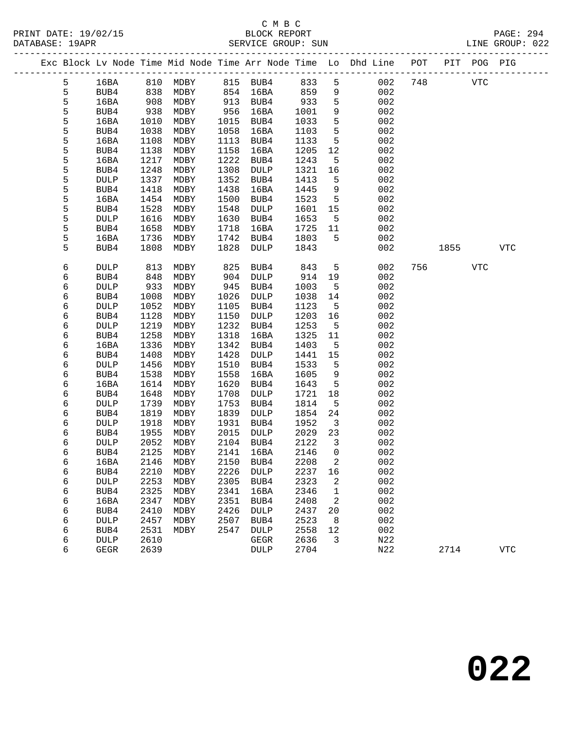PRINT DATE: 19/02/15 BLOCK REPORT BATABASE: 19APR

# C M B C<br>BLOCK REPORT

PAGE: 294<br>LINE GROUP: 022

|  |        |              |              |              |              |              |              |                               | Exc Block Lv Node Time Mid Node Time Arr Node Time Lo Dhd Line POT |     |      | PIT POG PIG |            |
|--|--------|--------------|--------------|--------------|--------------|--------------|--------------|-------------------------------|--------------------------------------------------------------------|-----|------|-------------|------------|
|  | 5      | 16BA         |              | 810 MDBY     |              | 815 BUB4     | 833          | 5                             | 002                                                                | 748 |      | <b>VTC</b>  |            |
|  | 5      | BUB4         | 838          | MDBY         |              | 854 16BA     | 859          | 9                             | 002                                                                |     |      |             |            |
|  | 5      | 16BA         |              | MDBY         | 913          | BUB4         | 933          | 5                             | 002                                                                |     |      |             |            |
|  | 5      | BUB4         | 908<br>938   | MDBY         | 956          | 16BA         | 1001         | 9                             | 002                                                                |     |      |             |            |
|  | 5      | 16BA         | 1010         | MDBY         | 1015         | BUB4         | 1033         | 5                             | 002                                                                |     |      |             |            |
|  | 5      | BUB4         | 1038         | MDBY         | 1058         | 16BA         | 1103         | 5                             | 002                                                                |     |      |             |            |
|  | 5      | 16BA         | 1108         | MDBY         | 1113         | BUB4         | 1133         | 5                             | 002                                                                |     |      |             |            |
|  | 5      | BUB4         | 1138         | MDBY         | 1158         | 16BA         | 1205         | 12                            | 002                                                                |     |      |             |            |
|  | 5      | 16BA         | 1217         | MDBY         | 1222         | BUB4         | 1243         | 5                             | 002                                                                |     |      |             |            |
|  | 5      | BUB4         | 1248         | MDBY         | 1308         | DULP         | 1321         | 16                            | 002                                                                |     |      |             |            |
|  | 5      | DULP         | 1337         | MDBY         | 1352         | BUB4         | 1413         | 5                             | 002                                                                |     |      |             |            |
|  | 5      | BUB4         | 1418         | MDBY         | 1438         | 16BA         | 1445         | 9                             | 002                                                                |     |      |             |            |
|  | 5      | 16BA         | 1454         | MDBY         | 1500         | BUB4         | 1523         | $5^{\circ}$                   | 002                                                                |     |      |             |            |
|  | 5      | BUB4         | 1528         | MDBY         | 1548         | DULP         | 1601         | 15                            | 002                                                                |     |      |             |            |
|  | 5      | DULP         | 1616         | MDBY         | 1630         | BUB4         | 1653         | $5^{\circ}$                   | 002                                                                |     |      |             |            |
|  | 5      | BUB4         | 1658         | MDBY         | 1718         | 16BA         | 1725         | 11                            | 002                                                                |     |      |             |            |
|  | 5      | 16BA         | 1736         | MDBY         | 1742         | BUB4         | 1803         | 5                             | 002                                                                |     |      |             |            |
|  | 5      | BUB4         | 1808         | MDBY         | 1828         | DULP         | 1843         |                               | 002                                                                |     | 1855 |             | <b>VTC</b> |
|  | 6      | <b>DULP</b>  | 813          | MDBY         | 825          | BUB4         | 843          | $5\overline{)}$               | 002                                                                | 756 |      | VTC         |            |
|  | 6      | BUB4         | 848          | MDBY         | 904          | <b>DULP</b>  | 914          | 19                            | 002                                                                |     |      |             |            |
|  | 6      | <b>DULP</b>  | 933          | MDBY         | 945          | BUB4         | 1003         | $5^{\circ}$                   | 002                                                                |     |      |             |            |
|  | 6      | BUB4         | 1008         | MDBY         | 1026         | DULP         | 1038         | 14                            | 002                                                                |     |      |             |            |
|  | б      | DULP         | 1052         | MDBY         | 1105         | BUB4         | 1123         | $5^{\circ}$                   | 002                                                                |     |      |             |            |
|  | 6      | BUB4         | 1128         | MDBY         | 1150         | DULP         | 1203         | 16                            | 002                                                                |     |      |             |            |
|  | 6      | DULP         | 1219         | MDBY         | 1232         | BUB4         | 1253         | 5                             | 002                                                                |     |      |             |            |
|  | б      | BUB4         | 1258         | MDBY         | 1318         | 16BA         | 1325         | 11                            | 002                                                                |     |      |             |            |
|  | б      | 16BA         | 1336         | MDBY         | 1342         | BUB4         | 1403         | 5                             | 002                                                                |     |      |             |            |
|  | 6      | BUB4         | 1408         | MDBY         | 1428         | DULP         | 1441         | 15                            | 002                                                                |     |      |             |            |
|  | 6      | <b>DULP</b>  | 1456         | MDBY         | 1510         | BUB4         | 1533         | 5                             | 002                                                                |     |      |             |            |
|  | 6      | BUB4         | 1538         | MDBY         | 1558         | 16BA         | 1605         | 9                             | 002                                                                |     |      |             |            |
|  | 6      | 16BA         | 1614         | MDBY         | 1620         | BUB4         | 1643         | 5                             | 002                                                                |     |      |             |            |
|  | 6      | BUB4         | 1648         | MDBY         | 1708         | <b>DULP</b>  | 1721         | 18                            | 002                                                                |     |      |             |            |
|  | 6      | DULP         | 1739         | MDBY         | 1753         | BUB4         | 1814         | 5                             | 002                                                                |     |      |             |            |
|  | 6<br>б | BUB4<br>DULP | 1819<br>1918 | MDBY<br>MDBY | 1839<br>1931 | DULP<br>BUB4 | 1854<br>1952 | 24<br>$\overline{\mathbf{3}}$ | 002<br>002                                                         |     |      |             |            |
|  | 6      | BUB4         | 1955         | MDBY         | 2015         | DULP         | 2029         | 23                            | 002                                                                |     |      |             |            |
|  | 6      | DULP         | 2052         | MDBY         | 2104         | BUB4         | 2122         | $\overline{\mathbf{3}}$       | 002                                                                |     |      |             |            |
|  | 6      | BUB4         | 2125         | MDBY         | 2141         | 16BA         | 2146         | $\Omega$                      | 002                                                                |     |      |             |            |
|  | 6      | 16BA         | 2146         | MDBY         |              | 2150 BUB4    | 2208 2       |                               | 002                                                                |     |      |             |            |
|  | 6      | BUB4         | 2210         | MDBY         | 2226         | <b>DULP</b>  | 2237         | 16                            | 002                                                                |     |      |             |            |
|  | 6      | DULP         | 2253         | MDBY         | 2305         | BUB4         | 2323         | 2                             | 002                                                                |     |      |             |            |
|  | 6      | BUB4         | 2325         | MDBY         | 2341         | 16BA         | 2346         | 1                             | 002                                                                |     |      |             |            |
|  | 6      | 16BA         | 2347         | MDBY         | 2351         | BUB4         | 2408         | 2                             | 002                                                                |     |      |             |            |
|  | 6      | BUB4         | 2410         | MDBY         | 2426         | <b>DULP</b>  | 2437         | 20                            | 002                                                                |     |      |             |            |
|  | 6      | DULP         | 2457         | MDBY         | 2507         | BUB4         | 2523         | 8                             | 002                                                                |     |      |             |            |
|  | 6      | BUB4         | 2531         | MDBY         | 2547         | DULP         | 2558         | 12                            | 002                                                                |     |      |             |            |
|  | 6      | <b>DULP</b>  | 2610         |              |              | GEGR         | 2636         | 3                             | N22                                                                |     |      |             |            |
|  | б      | <b>GEGR</b>  | 2639         |              |              | <b>DULP</b>  | 2704         |                               | N22                                                                |     | 2714 |             | <b>VTC</b> |
|  |        |              |              |              |              |              |              |                               |                                                                    |     |      |             |            |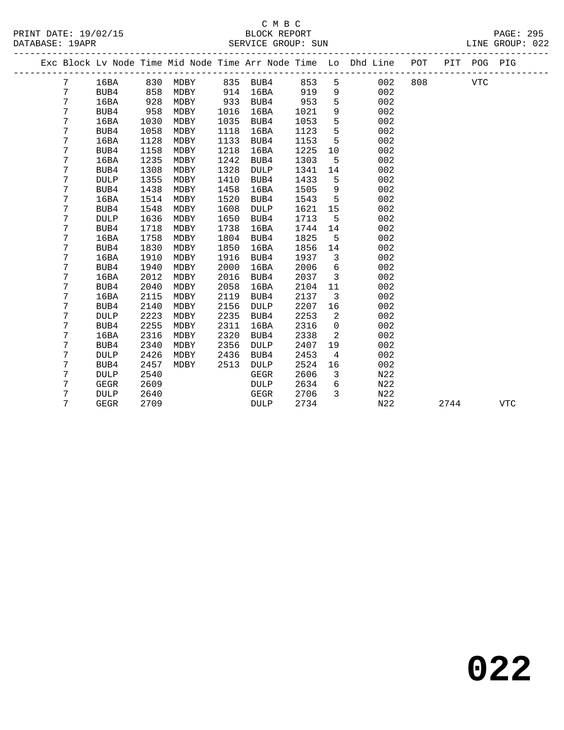## C M B C<br>BLOCK REPORT DATABASE: 19APR SERVICE GROUP: SUN LINE GROUP: 022

-------------------------------------------------------------------------------------------------

PRINT DATE: 19/02/15 BLOCK REPORT PAGE: 295

|  |   |      |      |                            |      |             |      |                         | Exc Block Lv Node Time Mid Node Time Arr Node Time Lo Dhd Line POT |     | PIT | POG PIG |  |
|--|---|------|------|----------------------------|------|-------------|------|-------------------------|--------------------------------------------------------------------|-----|-----|---------|--|
|  | 7 |      |      | 16BA 830 MDBY 835 BUB4 853 |      |             |      |                         | 002<br>$5^{\circ}$                                                 | 808 |     | VTC     |  |
|  | 7 | BUB4 | 858  | MDBY                       | 914  | 16BA        | 919  | 9                       | 002                                                                |     |     |         |  |
|  | 7 | 16BA | 928  | MDBY                       | 933  | BUB4        | 953  | 5                       | 002                                                                |     |     |         |  |
|  | 7 | BUB4 | 958  | MDBY                       | 1016 | 16BA        | 1021 | 9                       | 002                                                                |     |     |         |  |
|  | 7 | 16BA | 1030 | MDBY                       | 1035 | BUB4        | 1053 | 5                       | 002                                                                |     |     |         |  |
|  | 7 | BUB4 | 1058 | MDBY                       | 1118 | 16BA        | 1123 | $5\overline{)}$         | 002                                                                |     |     |         |  |
|  | 7 | 16BA | 1128 | MDBY                       | 1133 | BUB4        | 1153 | 5                       | 002                                                                |     |     |         |  |
|  | 7 | BUB4 | 1158 | MDBY                       | 1218 | 16BA        | 1225 | 10                      | 002                                                                |     |     |         |  |
|  | 7 | 16BA | 1235 | MDBY                       | 1242 | BUB4        | 1303 | 5                       | 002                                                                |     |     |         |  |
|  | 7 | BUB4 | 1308 | MDBY                       | 1328 | <b>DULP</b> | 1341 | 14                      | 002                                                                |     |     |         |  |
|  | 7 | DULP | 1355 | MDBY                       | 1410 | BUB4        | 1433 | $5^{\circ}$             | 002                                                                |     |     |         |  |
|  | 7 | BUB4 | 1438 | MDBY                       | 1458 | 16BA        | 1505 | $\overline{9}$          | 002                                                                |     |     |         |  |
|  | 7 | 16BA | 1514 | MDBY                       | 1520 | BUB4        | 1543 | $5\overline{)}$         | 002                                                                |     |     |         |  |
|  | 7 | BUB4 | 1548 | MDBY                       | 1608 | DULP        | 1621 | 15                      | 002                                                                |     |     |         |  |
|  | 7 | DULP | 1636 | MDBY                       | 1650 | BUB4        | 1713 | - 5                     | 002                                                                |     |     |         |  |
|  | 7 | BUB4 | 1718 | MDBY                       | 1738 | 16BA        | 1744 | 14                      | 002                                                                |     |     |         |  |
|  | 7 | 16BA | 1758 | MDBY                       | 1804 | BUB4        | 1825 | $5^{\circ}$             | 002                                                                |     |     |         |  |
|  | 7 | BUB4 | 1830 | MDBY                       | 1850 | 16BA        | 1856 | 14                      | 002                                                                |     |     |         |  |
|  | 7 | 16BA | 1910 | MDBY                       | 1916 | BUB4        | 1937 | $\overline{3}$          | 002                                                                |     |     |         |  |
|  | 7 | BUB4 | 1940 | MDBY                       | 2000 | 16BA        | 2006 | 6                       | 002                                                                |     |     |         |  |
|  | 7 | 16BA | 2012 | MDBY                       | 2016 | BUB4        | 2037 | $\overline{\mathbf{3}}$ | 002                                                                |     |     |         |  |
|  | 7 | BUB4 | 2040 | MDBY                       | 2058 | 16BA        | 2104 | 11                      | 002                                                                |     |     |         |  |
|  | 7 | 16BA | 2115 | MDBY                       | 2119 | BUB4        | 2137 | $\overline{3}$          | 002                                                                |     |     |         |  |
|  | 7 | BUB4 | 2140 | MDBY                       | 2156 | <b>DULP</b> | 2207 | 16                      | 002                                                                |     |     |         |  |
|  | 7 | DULP | 2223 | MDBY                       | 2235 | BUB4        | 2253 | 2                       | 002                                                                |     |     |         |  |
|  | 7 | BUB4 | 2255 | MDBY                       | 2311 | 16BA        | 2316 | $\overline{0}$          | 002                                                                |     |     |         |  |
|  | 7 | 16BA | 2316 | MDBY                       | 2320 | BUB4        | 2338 | 2                       | 002                                                                |     |     |         |  |
|  | 7 | BUB4 | 2340 | MDBY                       | 2356 | <b>DULP</b> | 2407 | 19                      | 002                                                                |     |     |         |  |
|  | 7 | DULP | 2426 | MDBY                       | 2436 | BUB4        | 2453 | 4                       | 002                                                                |     |     |         |  |
|  | 7 | BUB4 | 2457 | MDBY                       | 2513 | DULP        | 2524 | 16                      | 002                                                                |     |     |         |  |
|  | 7 | DULP | 2540 |                            |      | GEGR        | 2606 | 3                       | N22                                                                |     |     |         |  |
|  | 7 | GEGR | 2609 |                            |      | <b>DULP</b> | 2634 | 6                       | N22                                                                |     |     |         |  |

7 GEGR 2709 DULP 2734 N22 2744 VTC

7 DULP 2640 GEGR 2706 3 N22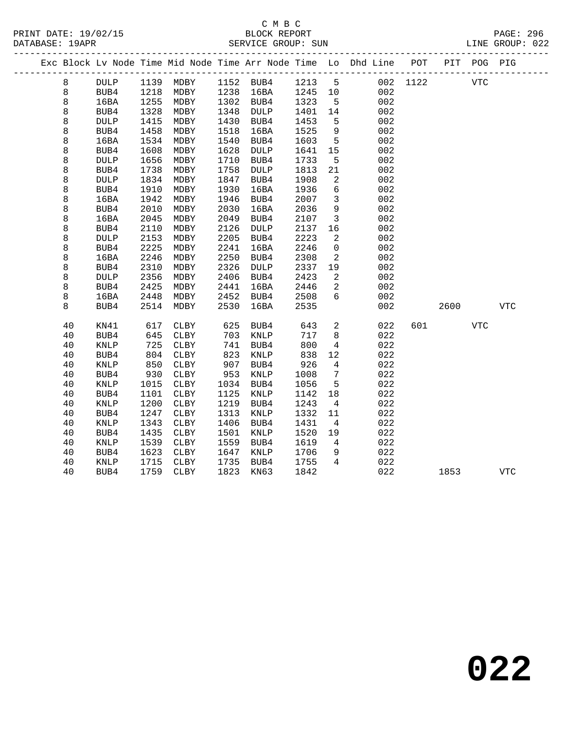# C M B C<br>BLOCK REPORT

PAGE: 296<br>LINE GROUP: 022

|  |    |                 |      |           |      |                   |         |                 | Exc Block Lv Node Time Mid Node Time Arr Node Time Lo Dhd Line POT PIT POG PIG |          |      |            |            |
|--|----|-----------------|------|-----------|------|-------------------|---------|-----------------|--------------------------------------------------------------------------------|----------|------|------------|------------|
|  | 8  | <b>DULP</b>     |      | 1139 MDBY |      | 1152 BUB4         | 1213 5  |                 |                                                                                | 002 1122 |      | <b>VTC</b> |            |
|  | 8  | BUB4            | 1218 | MDBY      |      | 1238 16BA         | 1245 10 |                 | 002                                                                            |          |      |            |            |
|  | 8  | 16BA            | 1255 | MDBY      |      | 1302 BUB4         | 1323    | $5^{\circ}$     | 002                                                                            |          |      |            |            |
|  | 8  | BUB4            | 1328 | MDBY      | 1348 | DULP              | 1401    | 14              | 002                                                                            |          |      |            |            |
|  | 8  | <b>DULP</b>     | 1415 | MDBY      | 1430 | BUB4              | 1453    | 5               | 002                                                                            |          |      |            |            |
|  | 8  | BUB4            | 1458 | MDBY      | 1518 | 16BA              | 1525    | 9               | 002                                                                            |          |      |            |            |
|  | 8  | 16BA            | 1534 | MDBY      | 1540 | BUB4              | 1603    | $5\phantom{.0}$ | 002                                                                            |          |      |            |            |
|  | 8  | BUB4            | 1608 | MDBY      | 1628 | DULP              | 1641    | 15              | 002                                                                            |          |      |            |            |
|  | 8  | $\texttt{DULP}$ | 1656 | MDBY      | 1710 | BUB4              | 1733    | $5^{\circ}$     | 002                                                                            |          |      |            |            |
|  | 8  | BUB4            | 1738 | MDBY      | 1758 | DULP              | 1813    | 21              | 002                                                                            |          |      |            |            |
|  | 8  | <b>DULP</b>     | 1834 | MDBY      | 1847 | BUB4              | 1908    | $\overline{2}$  | 002                                                                            |          |      |            |            |
|  | 8  | BUB4            | 1910 | MDBY      | 1930 | 16BA              | 1936    | $6\overline{6}$ | 002                                                                            |          |      |            |            |
|  | 8  | 16BA            | 1942 | MDBY      | 1946 | BUB4              | 2007    | $\overline{3}$  | 002                                                                            |          |      |            |            |
|  | 8  | BUB4            | 2010 | MDBY      | 2030 | 16BA              | 2036    | 9               | 002                                                                            |          |      |            |            |
|  | 8  | 16BA            | 2045 | MDBY      | 2049 | BUB4              | 2107    | $\overline{3}$  | 002                                                                            |          |      |            |            |
|  | 8  | BUB4            | 2110 | MDBY      | 2126 | $\texttt{DULP}{}$ | 2137    | 16              | 002                                                                            |          |      |            |            |
|  | 8  | <b>DULP</b>     | 2153 | MDBY      | 2205 | BUB4              | 2223    | 2               | 002                                                                            |          |      |            |            |
|  | 8  | BUB4            | 2225 | MDBY      | 2241 | 16BA              | 2246    | $\mathbf 0$     | 002                                                                            |          |      |            |            |
|  | 8  | 16BA            | 2246 | MDBY      | 2250 | BUB4              | 2308    | 2               | 002                                                                            |          |      |            |            |
|  | 8  | BUB4            | 2310 | MDBY      | 2326 | DULP              | 2337    | 19              | 002                                                                            |          |      |            |            |
|  | 8  | <b>DULP</b>     | 2356 | MDBY      | 2406 | BUB4              | 2423    | 2               | 002                                                                            |          |      |            |            |
|  | 8  | BUB4            | 2425 | MDBY      | 2441 | 16BA              | 2446    | 2               | 002                                                                            |          |      |            |            |
|  | 8  | 16BA            | 2448 | MDBY      | 2452 | BUB4              | 2508    | 6               | 002                                                                            |          |      |            |            |
|  | 8  | BUB4            | 2514 | MDBY      | 2530 | 16BA              | 2535    |                 | 002                                                                            |          | 2600 |            | <b>VTC</b> |
|  | 40 | KN41            | 617  | CLBY      | 625  | BUB4              | 643     | $\overline{a}$  | 022                                                                            | 601      |      | VTC        |            |
|  | 40 | BUB4            | 645  | CLBY      | 703  | $\texttt{KNLP}$   | 717     | 8               | 022                                                                            |          |      |            |            |
|  | 40 | KNLP            | 725  | CLBY      | 741  | BUB4              | 800     | $\overline{4}$  | 022                                                                            |          |      |            |            |
|  | 40 | BUB4            | 804  | CLBY      | 823  | KNLP              | 838     | 12              | 022                                                                            |          |      |            |            |
|  | 40 | <b>KNLP</b>     | 850  | CLBY      | 907  | BUB4              | 926     | $\overline{4}$  | 022                                                                            |          |      |            |            |
|  | 40 | BUB4            | 930  | CLBY      | 953  | KNLP              | 1008    | $7\phantom{.0}$ | 022                                                                            |          |      |            |            |
|  | 40 | KNLP            | 1015 | CLBY      | 1034 | BUB4              | 1056    | 5               | 022                                                                            |          |      |            |            |
|  | 40 | BUB4            | 1101 | CLBY      | 1125 | KNLP              | 1142    | 18              | 022                                                                            |          |      |            |            |
|  | 40 | KNLP            | 1200 | CLBY      | 1219 | BUB4              | 1243    | $\overline{4}$  | 022                                                                            |          |      |            |            |
|  | 40 | BUB4            | 1247 | CLBY      | 1313 | KNLP              | 1332    | 11              | 022                                                                            |          |      |            |            |
|  | 40 | KNLP            | 1343 | CLBY      | 1406 | BUB4              | 1431    | $\overline{4}$  | 022                                                                            |          |      |            |            |
|  | 40 | BUB4            | 1435 | CLBY      | 1501 | KNLP              | 1520    | 19              | 022                                                                            |          |      |            |            |
|  | 40 | KNLP            | 1539 | CLBY      | 1559 | BUB4              | 1619    | $\overline{4}$  | 022                                                                            |          |      |            |            |
|  | 40 | BUB4            | 1623 | CLBY      | 1647 | KNLP              | 1706    | 9               | 022                                                                            |          |      |            |            |
|  | 40 | KNLP            | 1715 | CLBY      | 1735 | BUB4              | 1755    | $\overline{4}$  | 022                                                                            |          |      |            |            |
|  | 40 | BUB4            | 1759 | CLBY      | 1823 | KN63              | 1842    |                 | 022                                                                            |          | 1853 |            | <b>VTC</b> |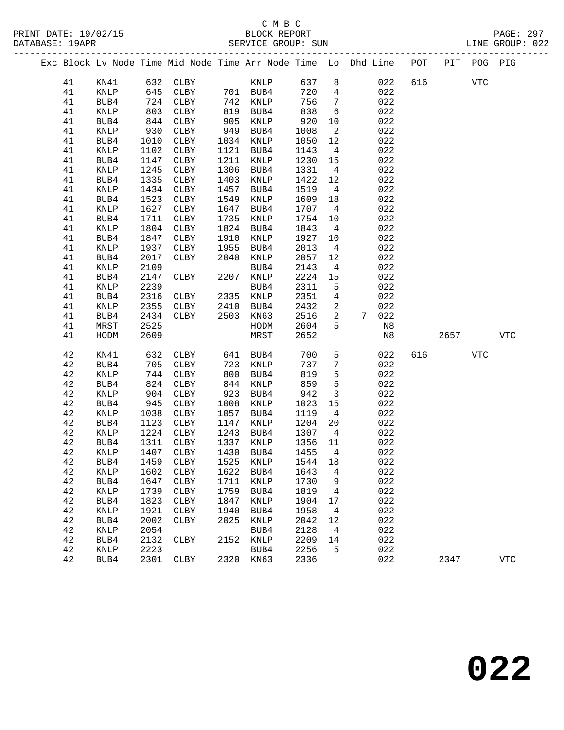PRINT DATE: 19/02/15 BLOCK REPORT PAGE: 297 DATABASE: 19APR

# C M B C

|          |                 |      |              |      |             |      |                 | Exc Block Lv Node Time Mid Node Time Arr Node Time Lo Dhd Line POT |     | PIT  | POG PIG    |            |
|----------|-----------------|------|--------------|------|-------------|------|-----------------|--------------------------------------------------------------------|-----|------|------------|------------|
| 41       | KN41            |      | 632 CLBY     |      | KNLP        | 637  | 8               | 022                                                                | 616 |      | <b>VTC</b> |            |
| 41       | KNLP            | 645  | CLBY         |      | 701 BUB4    | 720  | $\overline{4}$  | 022                                                                |     |      |            |            |
| 41       | BUB4            | 724  | CLBY         | 742  | KNLP        | 756  | $7\phantom{.0}$ | 022                                                                |     |      |            |            |
| 41       | KNLP            | 803  | ${\tt CLBY}$ | 819  | BUB4        | 838  | $6\overline{6}$ | 022                                                                |     |      |            |            |
| 41       | BUB4            | 844  | CLBY         | 905  | KNLP        | 920  | 10              | 022                                                                |     |      |            |            |
| 41       | KNLP            | 930  | CLBY         | 949  | BUB4        | 1008 | 2               | 022                                                                |     |      |            |            |
| 41       | BUB4            | 1010 | CLBY         | 1034 | KNLP        | 1050 | 12              | 022                                                                |     |      |            |            |
| 41       | KNLP            | 1102 | CLBY         | 1121 | BUB4        | 1143 | $\overline{4}$  | 022                                                                |     |      |            |            |
| 41       | BUB4            | 1147 | <b>CLBY</b>  | 1211 | KNLP        | 1230 | 15              | 022                                                                |     |      |            |            |
| 41       | KNLP            | 1245 | CLBY         | 1306 | BUB4        | 1331 | $\overline{4}$  | 022                                                                |     |      |            |            |
| 41       | BUB4            | 1335 | CLBY         | 1403 | KNLP        | 1422 | 12              | 022                                                                |     |      |            |            |
| 41       | KNLP            | 1434 | <b>CLBY</b>  | 1457 | BUB4        | 1519 | 4               | 022                                                                |     |      |            |            |
| 41       | BUB4            | 1523 | CLBY         | 1549 | KNLP        | 1609 | 18              | 022                                                                |     |      |            |            |
| 41       | $\texttt{KNLP}$ | 1627 | CLBY         | 1647 | BUB4        | 1707 | $\overline{4}$  | 022                                                                |     |      |            |            |
| 41       | BUB4            | 1711 | <b>CLBY</b>  | 1735 | KNLP        | 1754 | 10              | 022                                                                |     |      |            |            |
| 41       | KNLP            | 1804 | CLBY         | 1824 | BUB4        | 1843 | $\overline{4}$  | 022                                                                |     |      |            |            |
| 41       | BUB4            | 1847 | CLBY         | 1910 | KNLP        | 1927 | 10              | 022                                                                |     |      |            |            |
| 41       | KNLP            | 1937 | CLBY         | 1955 | BUB4        | 2013 | $\overline{4}$  | 022                                                                |     |      |            |            |
| 41       | BUB4            | 2017 | <b>CLBY</b>  | 2040 | KNLP        | 2057 | 12              | 022                                                                |     |      |            |            |
| 41       | KNLP            | 2109 |              |      | BUB4        | 2143 | $\overline{4}$  | 022                                                                |     |      |            |            |
| 41       | BUB4            | 2147 | <b>CLBY</b>  | 2207 | KNLP        | 2224 | 15              | 022                                                                |     |      |            |            |
| 41       | KNLP            | 2239 |              |      | BUB4        | 2311 | 5               | 022                                                                |     |      |            |            |
| 41       | BUB4            | 2316 | CLBY         | 2335 | KNLP        | 2351 | $\overline{4}$  | 022                                                                |     |      |            |            |
| 41       | KNLP            | 2355 | CLBY         | 2410 | BUB4        | 2432 | $\overline{a}$  | 022                                                                |     |      |            |            |
| 41       | BUB4            | 2434 | CLBY         | 2503 | KN63        | 2516 | $\overline{a}$  | 022<br>7                                                           |     |      |            |            |
| 41       | MRST            | 2525 |              |      | HODM        | 2604 | 5               | N8                                                                 |     |      |            |            |
| 41       | HODM            | 2609 |              |      | MRST        | 2652 |                 | N8                                                                 |     | 2657 |            | <b>VTC</b> |
| 42       | KN41            | 632  | <b>CLBY</b>  | 641  | BUB4        | 700  | 5               | 022                                                                | 616 |      | <b>VTC</b> |            |
| 42       |                 | 705  | CLBY         | 723  | KNLP        | 737  | $7\phantom{.0}$ | 022                                                                |     |      |            |            |
| 42       | BUB4<br>KNLP    | 744  | <b>CLBY</b>  | 800  | BUB4        | 819  | 5               | 022                                                                |     |      |            |            |
|          |                 | 824  | <b>CLBY</b>  | 844  | KNLP        | 859  | 5               | 022                                                                |     |      |            |            |
| 42<br>42 | BUB4            | 904  | <b>CLBY</b>  | 923  | BUB4        | 942  | $\overline{3}$  | 022                                                                |     |      |            |            |
|          | KNLP            |      |              |      |             |      | 15              |                                                                    |     |      |            |            |
| 42       | BUB4            | 945  | <b>CLBY</b>  | 1008 | KNLP        | 1023 | $\overline{4}$  | 022                                                                |     |      |            |            |
| 42       | KNLP            | 1038 | CLBY         | 1057 | BUB4        | 1119 |                 | 022                                                                |     |      |            |            |
| 42       | BUB4            | 1123 | <b>CLBY</b>  | 1147 | <b>KNLP</b> | 1204 | 20              | 022                                                                |     |      |            |            |

 42 KNLP 1224 CLBY 1243 BUB4 1307 4 022 42 BUB4 1311 CLBY 1337 KNLP 1356 11 022 42 KNLP 1407 CLBY 1430 BUB4 1455 4 022 42 BUB4 1459 CLBY 1525 KNLP 1544 18 022 42 KNLP 1602 CLBY 1622 BUB4 1643 4 022 42 BUB4 1647 CLBY 1711 KNLP 1730 9 022 42 KNLP 1739 CLBY 1759 BUB4 1819 4 022 42 BUB4 1823 CLBY 1847 KNLP 1904 17 022 42 KNLP 1921 CLBY 1940 BUB4 1958 4 022 42 BUB4 2002 CLBY 2025 KNLP 2042 12 022 42 KNLP 2054 BUB4 2128 4 022

42 KNLP 2223 BUB4 2256 5 022

42 BUB4 2132 CLBY 2152 KNLP 2209 14 022

42 BUB4 2301 CLBY 2320 KN63 2336 022 2347 VTC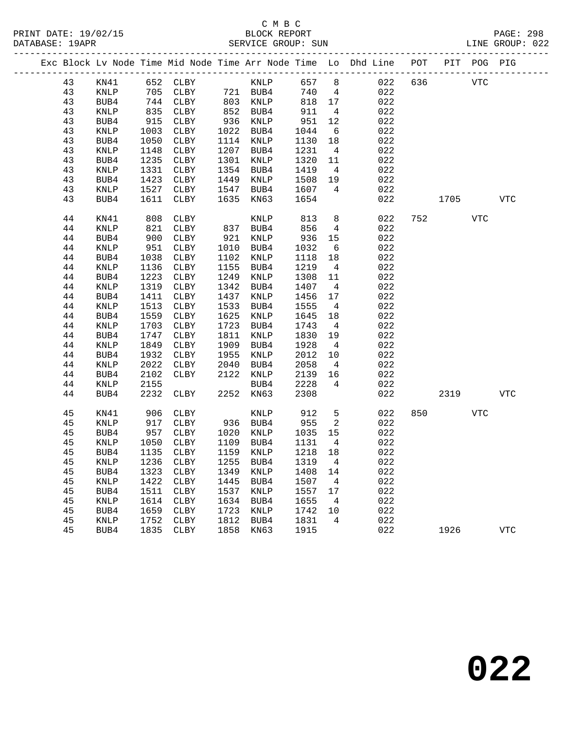|  |    |                 |      |                            |      |                      |         |                 | Exc Block Lv Node Time Mid Node Time Arr Node Time Lo Dhd Line POT PIT POG PIG |     |                |     |            |
|--|----|-----------------|------|----------------------------|------|----------------------|---------|-----------------|--------------------------------------------------------------------------------|-----|----------------|-----|------------|
|  | 43 | KN41            |      | 652 CLBY KNLP              |      |                      | 657 8   |                 | 022                                                                            | 636 | <b>VTC</b>     |     |            |
|  | 43 | KNLP            |      | 705 CLBY 721 BUB4          |      |                      | 740     | $\overline{4}$  | 022                                                                            |     |                |     |            |
|  | 43 | BUB4            | 744  | CLBY                       |      | 803 KNLP             | 818 17  |                 | 022                                                                            |     |                |     |            |
|  | 43 | KNLP            | 835  | CLBY                       |      | 852 BUB4<br>936 KNLP | 911     | $\overline{4}$  | 022                                                                            |     |                |     |            |
|  | 43 | BUB4            | 915  | CLBY                       |      |                      | 951     | 12              | 022                                                                            |     |                |     |            |
|  | 43 | KNLP            | 1003 | CLBY                       |      | 1022 BUB4            | 1044    | 6               | 022                                                                            |     |                |     |            |
|  | 43 | BUB4            | 1050 | CLBY                       |      | 1114 KNLP            | 1130    | 18              | 022                                                                            |     |                |     |            |
|  | 43 | KNLP            | 1148 | CLBY                       | 1207 | BUB4                 | 1231    | $\overline{4}$  | 022                                                                            |     |                |     |            |
|  | 43 | BUB4            | 1235 | CLBY                       | 1301 | KNLP                 | 1320    | 11              | 022                                                                            |     |                |     |            |
|  | 43 | KNLP            | 1331 | CLBY                       |      | 1354 BUB4            | 1419    | $\overline{4}$  | 022                                                                            |     |                |     |            |
|  | 43 | BUB4            | 1423 | CLBY                       | 1449 | KNLP                 | 1508    | 19              | 022                                                                            |     |                |     |            |
|  | 43 | KNLP            | 1527 | CLBY                       | 1547 | BUB4                 | 1607    | $\overline{4}$  | 022                                                                            |     |                |     |            |
|  | 43 | BUB4            | 1611 | CLBY                       | 1635 | KN63                 | 1654    |                 | 022                                                                            |     | 1705           |     | VTC        |
|  | 44 | KN41            | 808  | CLBY                       |      | KNLP                 | 813     | 8 <sup>8</sup>  | 022                                                                            |     | 752 and $\sim$ | VTC |            |
|  | 44 | <b>KNLP</b>     | 821  | CLBY                       | 837  | BUB4                 | 856     | $\overline{4}$  | 022                                                                            |     |                |     |            |
|  | 44 | BUB4            | 900  | CLBY                       | 921  | KNLP                 | 936     | 15              | 022                                                                            |     |                |     |            |
|  | 44 | KNLP            | 951  | CLBY                       | 1010 | BUB4                 | 1032    | 6               | 022                                                                            |     |                |     |            |
|  | 44 | BUB4            | 1038 | CLBY                       | 1102 | KNLP                 | 1118    | 18              | 022                                                                            |     |                |     |            |
|  | 44 | KNLP            | 1136 | CLBY                       | 1155 | BUB4                 | 1219    | $\overline{4}$  | 022                                                                            |     |                |     |            |
|  | 44 | BUB4            | 1223 | CLBY                       | 1249 | KNLP                 | 1308    | 11              | 022                                                                            |     |                |     |            |
|  | 44 | $\textsc{KNLP}$ | 1319 | CLBY                       | 1342 | BUB4                 | 1407    | $\overline{4}$  | 022                                                                            |     |                |     |            |
|  | 44 | BUB4            | 1411 | CLBY                       | 1437 | KNLP                 | 1456    | 17              | 022                                                                            |     |                |     |            |
|  | 44 | KNLP            | 1513 | CLBY                       | 1533 | BUB4                 | 1555    | $4\overline{4}$ | 022                                                                            |     |                |     |            |
|  | 44 | BUB4            | 1559 | CLBY                       | 1625 | KNLP                 | 1645    | 18              | 022                                                                            |     |                |     |            |
|  | 44 | KNLP            | 1703 | CLBY                       | 1723 | BUB4                 | 1743    | $\overline{4}$  | 022                                                                            |     |                |     |            |
|  | 44 | BUB4            | 1747 | CLBY                       | 1811 | KNLP                 | 1830    | 19              | 022                                                                            |     |                |     |            |
|  | 44 | <b>KNLP</b>     | 1849 | CLBY                       | 1909 | BUB4                 | 1928    | $\overline{4}$  | 022                                                                            |     |                |     |            |
|  | 44 | BUB4            | 1932 | CLBY                       | 1955 | KNLP                 | 2012    | 10              | 022                                                                            |     |                |     |            |
|  | 44 | KNLP            | 2022 | CLBY                       | 2040 | BUB4                 | 2058    | $4\overline{4}$ | 022                                                                            |     |                |     |            |
|  | 44 | BUB4            | 2102 | CLBY                       | 2122 | KNLP                 | 2139    | 16              | 022                                                                            |     |                |     |            |
|  | 44 | KNLP            | 2155 |                            |      | BUB4                 | 2228    | $4\overline{4}$ | 022                                                                            |     |                |     |            |
|  | 44 | BUB4            | 2232 | CLBY                       |      | 2252 KN63            | 2308    |                 | 022                                                                            |     | 2319           |     | <b>VTC</b> |
|  | 45 | KN41            | 906  | CLBY                       |      | KNLP                 | 912     | 5               | 022                                                                            | 850 |                | VTC |            |
|  | 45 | KNLP            | 917  | CLBY                       |      | 936 BUB4             | 955     | $\overline{2}$  | 022                                                                            |     |                |     |            |
|  | 45 | BUB4            | 957  | CLBY                       | 1020 | KNLP                 | 1035    | 15              | 022                                                                            |     |                |     |            |
|  | 45 | KNLP            | 1050 | CLBY                       |      | 1109 BUB4            | 1131    | $\overline{4}$  | 022                                                                            |     |                |     |            |
|  | 45 | BUB4            | 1135 | CLBY                       |      | 1159 KNLP            | 1218 18 |                 | 022                                                                            |     |                |     |            |
|  | 45 | <b>KNLP</b>     |      | 1236 CLBY 1255 BUB4 1319 4 |      |                      |         |                 | 022                                                                            |     |                |     |            |
|  | 45 | BUB4            | 1323 | CLBY                       | 1349 | KNLP                 | 1408    | 14              | 022                                                                            |     |                |     |            |
|  | 45 | KNLP            | 1422 | CLBY                       | 1445 | BUB4                 | 1507    | $\overline{4}$  | 022                                                                            |     |                |     |            |
|  | 45 | BUB4            | 1511 | CLBY                       | 1537 | KNLP                 | 1557    | 17              | 022                                                                            |     |                |     |            |
|  | 45 | KNLP            | 1614 | CLBY                       | 1634 | BUB4                 | 1655    | $\overline{4}$  | 022                                                                            |     |                |     |            |
|  | 45 | BUB4            | 1659 | CLBY                       | 1723 | KNLP                 | 1742    | 10              | 022                                                                            |     |                |     |            |
|  | 45 | KNLP            | 1752 | CLBY                       | 1812 | BUB4                 | 1831    | 4               | 022                                                                            |     |                |     |            |
|  | 45 | BUB4            | 1835 | CLBY                       | 1858 | KN63                 | 1915    |                 | 022                                                                            |     | 1926           |     | <b>VTC</b> |
|  |    |                 |      |                            |      |                      |         |                 |                                                                                |     |                |     |            |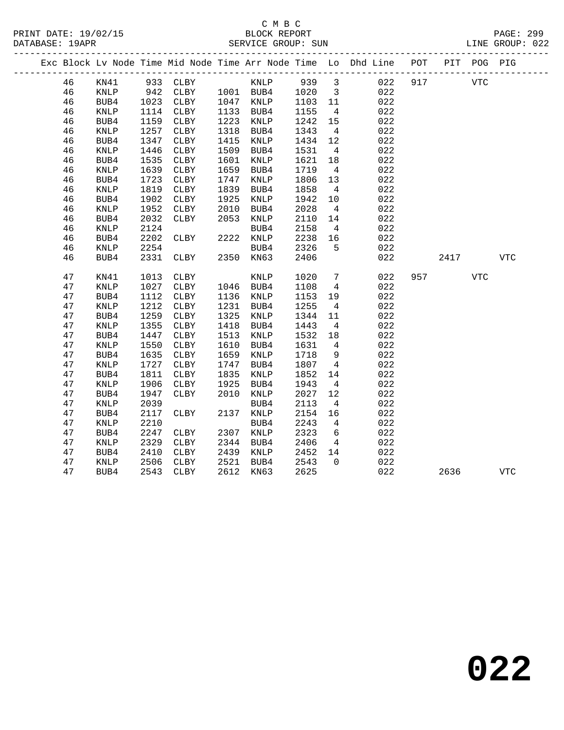### C M B C<br>BLOCK REPORT SERVICE GROUP: SUN

|  |    |                 |      |          |      |           |         |                         | Exc Block Lv Node Time Mid Node Time Arr Node Time Lo Dhd Line POT PIT POG PIG |     |          |            |            |
|--|----|-----------------|------|----------|------|-----------|---------|-------------------------|--------------------------------------------------------------------------------|-----|----------|------------|------------|
|  | 46 | KN41            |      | 933 CLBY |      | KNLP      | 939 3   |                         | 022                                                                            | 917 |          | <b>VTC</b> |            |
|  | 46 | KNLP            | 942  | CLBY     |      | 1001 BUB4 | 1020    | $\overline{\mathbf{3}}$ | 022                                                                            |     |          |            |            |
|  | 46 | BUB4            | 1023 | CLBY     |      | 1047 KNLP | 1103 11 |                         | 022                                                                            |     |          |            |            |
|  | 46 | KNLP            | 1114 | CLBY     | 1133 | BUB4      | 1155    | $\overline{4}$          | 022                                                                            |     |          |            |            |
|  | 46 | BUB4            | 1159 | CLBY     | 1223 | KNLP      | 1242    | 15                      | 022                                                                            |     |          |            |            |
|  | 46 | $\texttt{KNLP}$ | 1257 | CLBY     | 1318 | BUB4      | 1343    | $4\overline{4}$         | 022                                                                            |     |          |            |            |
|  | 46 | BUB4            | 1347 | CLBY     | 1415 | KNLP      | 1434    | 12                      | 022                                                                            |     |          |            |            |
|  | 46 | KNLP            | 1446 | CLBY     | 1509 | BUB4      | 1531    | $\overline{4}$          | 022                                                                            |     |          |            |            |
|  | 46 | BUB4            | 1535 | CLBY     | 1601 | KNLP      | 1621    | 18                      | 022                                                                            |     |          |            |            |
|  | 46 | $\texttt{KNLP}$ | 1639 | CLBY     | 1659 | BUB4      | 1719    | $\overline{4}$          | 022                                                                            |     |          |            |            |
|  | 46 | BUB4            | 1723 | CLBY     | 1747 | KNLP      | 1806    | 13                      | 022                                                                            |     |          |            |            |
|  | 46 | <b>KNLP</b>     | 1819 | CLBY     | 1839 | BUB4      | 1858    | $\overline{4}$          | 022                                                                            |     |          |            |            |
|  | 46 | BUB4            | 1902 | CLBY     | 1925 | KNLP      | 1942    | 10                      | 022                                                                            |     |          |            |            |
|  | 46 | KNLP            | 1952 | CLBY     | 2010 | BUB4      | 2028    | $\overline{4}$          | 022                                                                            |     |          |            |            |
|  | 46 | BUB4            | 2032 | CLBY     | 2053 | KNLP      | 2110    | 14                      | 022                                                                            |     |          |            |            |
|  | 46 | KNLP            | 2124 |          |      | BUB4      | 2158    | $\overline{4}$          | 022                                                                            |     |          |            |            |
|  | 46 | BUB4            | 2202 | CLBY     |      | 2222 KNLP | 2238    | 16                      | 022                                                                            |     |          |            |            |
|  | 46 | KNLP            | 2254 |          |      | BUB4      | 2326    | 5                       | 022                                                                            |     |          |            |            |
|  | 46 | BUB4            | 2331 | CLBY     | 2350 | KN63      | 2406    |                         | 022                                                                            |     | 2417     |            | <b>VTC</b> |
|  | 47 | KN41            | 1013 | CLBY     |      | KNLP      | 1020    | $\overline{7}$          | 022                                                                            |     | 957 — 10 | <b>VTC</b> |            |
|  | 47 | <b>KNLP</b>     | 1027 | CLBY     |      | 1046 BUB4 | 1108    | $\overline{4}$          | 022                                                                            |     |          |            |            |
|  | 47 | BUB4            | 1112 | CLBY     | 1136 | KNLP      | 1153    | 19                      | 022                                                                            |     |          |            |            |
|  | 47 | KNLP            | 1212 | CLBY     | 1231 | BUB4      | 1255    | $\overline{4}$          | 022                                                                            |     |          |            |            |
|  | 47 | BUB4            | 1259 | CLBY     | 1325 | KNLP      | 1344    | 11                      | 022                                                                            |     |          |            |            |
|  | 47 | $\textsc{KNLP}$ | 1355 | CLBY     | 1418 | BUB4      | 1443    | $\overline{4}$          | 022                                                                            |     |          |            |            |
|  | 47 | BUB4            | 1447 | CLBY     | 1513 | KNLP      | 1532    | 18                      | 022                                                                            |     |          |            |            |
|  | 47 | KNLP            | 1550 | CLBY     | 1610 | BUB4      | 1631    | $\overline{4}$          | 022                                                                            |     |          |            |            |
|  | 47 | BUB4            | 1635 | CLBY     | 1659 | KNLP      | 1718    | 9                       | 022                                                                            |     |          |            |            |
|  | 47 | $\textsc{KNLP}$ | 1727 | CLBY     | 1747 | BUB4      | 1807    | $4\overline{4}$         | 022                                                                            |     |          |            |            |
|  | 47 | BUB4            | 1811 | CLBY     | 1835 | KNLP      | 1852    | 14                      | 022                                                                            |     |          |            |            |
|  | 47 | KNLP            | 1906 | CLBY     | 1925 | BUB4      | 1943    | $\overline{4}$          | 022                                                                            |     |          |            |            |
|  | 47 | BUB4            | 1947 | CLBY     | 2010 | KNLP      | 2027    | 12                      | 022                                                                            |     |          |            |            |
|  | 47 | KNLP            | 2039 |          |      | BUB4      | 2113    | $\overline{4}$          | 022                                                                            |     |          |            |            |
|  | 47 | BUB4            | 2117 | CLBY     | 2137 | KNLP      | 2154    | 16                      | 022                                                                            |     |          |            |            |
|  | 47 | KNLP            | 2210 |          |      | BUB4      | 2243    | $4\overline{ }$         | 022                                                                            |     |          |            |            |
|  | 47 | BUB4            | 2247 | CLBY     |      | 2307 KNLP | 2323    | 6                       | 022                                                                            |     |          |            |            |
|  | 47 | <b>KNLP</b>     | 2329 | CLBY     | 2344 | BUB4      | 2406    | $\overline{4}$          | 022                                                                            |     |          |            |            |
|  | 47 | BUB4            | 2410 | CLBY     | 2439 | KNLP      | 2452    | 14                      | 022                                                                            |     |          |            |            |
|  | 47 | KNLP            | 2506 | CLBY     | 2521 | BUB4      | 2543    | $\Omega$                | 022                                                                            |     |          |            |            |
|  | 47 | BUB4            | 2543 | CLBY     | 2612 | KN63      | 2625    |                         | 022                                                                            |     | 2636     |            | <b>VTC</b> |
|  |    |                 |      |          |      |           |         |                         |                                                                                |     |          |            |            |

**022**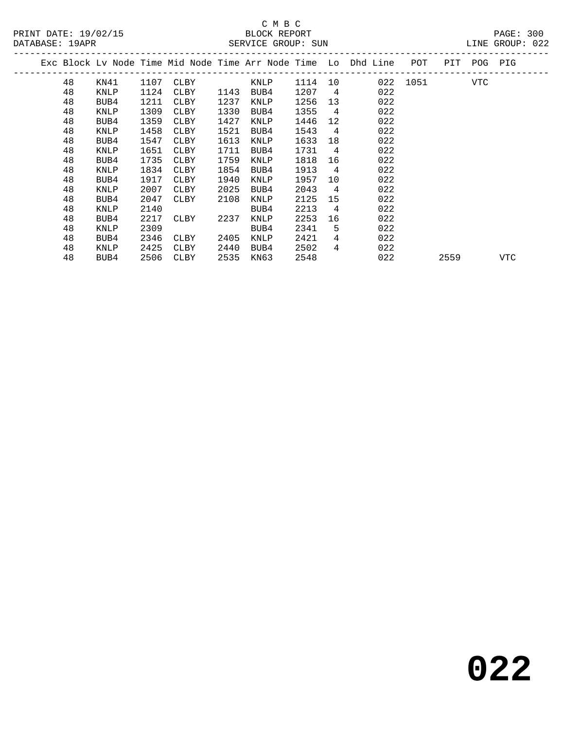| PRINT DATE: 19/02/15  | REPORT<br>RLOCK    | 300<br>つAGF::   |
|-----------------------|--------------------|-----------------|
| DATABASE:<br>19 A D R | SERVICE GROUP: SUN | LINE GROUP: 022 |

|  |    |             |      |             |      |             |      |                | Exc Block Ly Node Time Mid Node Time Arr Node Time Lo Dhd Line<br>------------- | POT      | PIT  | POG | PIG |  |
|--|----|-------------|------|-------------|------|-------------|------|----------------|---------------------------------------------------------------------------------|----------|------|-----|-----|--|
|  | 48 | KN41        | 1107 | CLBY        |      | KNLP        | 1114 | 10             |                                                                                 | 022 1051 |      | VTC |     |  |
|  | 48 | <b>KNLP</b> | 1124 | CLBY        | 1143 | BUB4        | 1207 | 4              | 022                                                                             |          |      |     |     |  |
|  | 48 | BUB4        | 1211 | CLBY        | 1237 | KNLP        | 1256 | 13             | 022                                                                             |          |      |     |     |  |
|  | 48 | KNLP        | 1309 | <b>CLBY</b> | 1330 | BUB4        | 1355 | 4              | 022                                                                             |          |      |     |     |  |
|  | 48 | BUB4        | 1359 | CLBY        | 1427 | KNLP        | 1446 | 12             | 022                                                                             |          |      |     |     |  |
|  | 48 | KNLP        | 1458 | CLBY        | 1521 | BUB4        | 1543 | $\overline{4}$ | 022                                                                             |          |      |     |     |  |
|  | 48 | BUB4        | 1547 | CLBY        | 1613 | KNLP        | 1633 | 18             | 022                                                                             |          |      |     |     |  |
|  | 48 | KNLP        | 1651 | CLBY        | 1711 | BUB4        | 1731 | 4              | 022                                                                             |          |      |     |     |  |
|  | 48 | BUB4        | 1735 | <b>CLBY</b> | 1759 | <b>KNLP</b> | 1818 | 16             | 022                                                                             |          |      |     |     |  |
|  | 48 | <b>KNLP</b> | 1834 | CLBY        | 1854 | BUB4        | 1913 | 4              | 022                                                                             |          |      |     |     |  |
|  | 48 | BUB4        | 1917 | CLBY        | 1940 | KNLP        | 1957 | 10             | 022                                                                             |          |      |     |     |  |
|  | 48 | KNLP        | 2007 | CLBY        | 2025 | BUB4        | 2043 | $\overline{4}$ | 022                                                                             |          |      |     |     |  |
|  | 48 | BUB4        | 2047 | CLBY        | 2108 | KNLP        | 2125 | 15             | 022                                                                             |          |      |     |     |  |
|  | 48 | KNLP        | 2140 |             |      | BUB4        | 2213 | 4              | 022                                                                             |          |      |     |     |  |
|  | 48 | BUB4        | 2217 | CLBY        | 2237 | <b>KNLP</b> | 2253 | 16             | 022                                                                             |          |      |     |     |  |
|  | 48 | KNLP        | 2309 |             |      | BUB4        | 2341 | 5              | 022                                                                             |          |      |     |     |  |
|  | 48 | BUB4        | 2346 | CLBY        | 2405 | KNLP        | 2421 | 4              | 022                                                                             |          |      |     |     |  |
|  | 48 | KNLP        | 2425 | CLBY        | 2440 | BUB4        | 2502 | 4              | 022                                                                             |          |      |     |     |  |
|  | 48 | BUB4        | 2506 | CLBY        | 2535 | KN63        | 2548 |                | 022                                                                             |          | 2559 |     | VTC |  |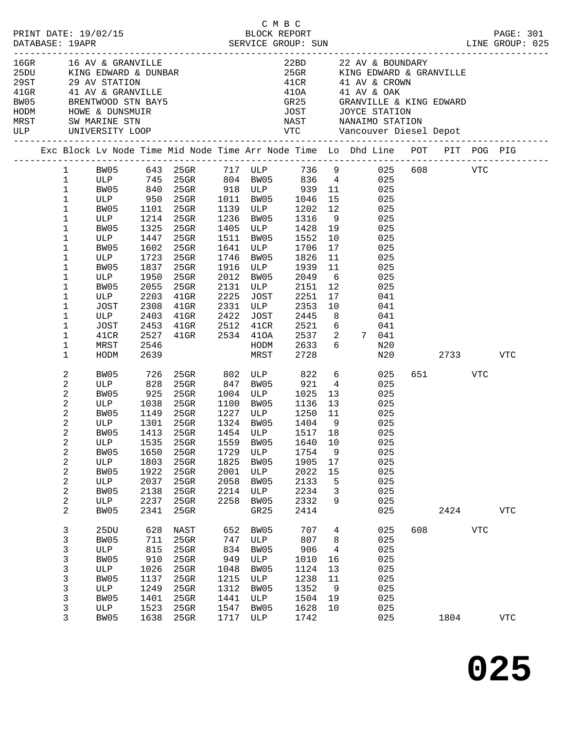| $16$ GR $-$ |                | 16 AV & GRANVILLE |            | 16GR 16 AV & GRANVILLE<br>25DU KING EDWARD & DUNBAR<br>29ST 29 AV STATION<br>41GR 41 AV & GRANVILLE<br>EW05 BRENTWOOD STN BAY5<br>HODM HOWE & DUNSMUIR<br>MRST SW MARINE STN |      |                                    | 410A<br>41OA<br>GR25 |                 | 22BD 22 AV & BOUNDARY<br>25GR KING EDWARD & GRANVILLE<br>$41CR$ $41$ AV & CROWN<br>41 AV & OAK<br>GRANVILLE & KING EDWARD |     |         |            |            |
|-------------|----------------|-------------------|------------|------------------------------------------------------------------------------------------------------------------------------------------------------------------------------|------|------------------------------------|----------------------|-----------------|---------------------------------------------------------------------------------------------------------------------------|-----|---------|------------|------------|
| MRST<br>ULP |                | SW MARINE STN     |            |                                                                                                                                                                              |      |                                    | <b>JOST</b>          |                 | JOYCE STATION<br>NAST NANAIMO STATION                                                                                     |     |         |            |            |
|             |                |                   |            |                                                                                                                                                                              |      |                                    |                      |                 | Exc Block Lv Node Time Mid Node Time Arr Node Time Lo Dhd Line POT PIT POG PIG                                            |     |         |            |            |
|             | $\mathbf{1}$   |                   |            |                                                                                                                                                                              |      |                                    |                      |                 | BW05 643 25GR 717 ULP 736 9 025 608 VTC<br>ULP 745 25GR 804 BW05 836 4 025<br>BW05 840 25GR 918 ULP 939 11 025            |     |         |            |            |
|             | $\mathbf 1$    |                   |            |                                                                                                                                                                              |      |                                    |                      |                 |                                                                                                                           |     |         |            |            |
|             | $\mathbf{1}$   |                   |            |                                                                                                                                                                              |      |                                    |                      |                 |                                                                                                                           |     |         |            |            |
|             | $1\,$          | ULP 950           |            | 25GR                                                                                                                                                                         |      | 1011 BW05                          | 1046                 | 15              | 025                                                                                                                       |     |         |            |            |
|             | 1              | BW05              | 1101       | 25GR                                                                                                                                                                         |      | 1139 ULP<br>1236 BW05              | 1202                 | 12              | 025                                                                                                                       |     |         |            |            |
|             | 1              | ULP               |            | 1214 25GR                                                                                                                                                                    | 1236 | BW05                               | 1316                 | 9               | 025                                                                                                                       |     |         |            |            |
|             | 1              | BW05              | 1325       | $25$ GR                                                                                                                                                                      |      | 1405 ULP                           | 1428                 | 19              | 025                                                                                                                       |     |         |            |            |
|             | 1              | ULP               | 1447       | $25$ GR                                                                                                                                                                      | 1511 | BW05                               | 1552                 | 10              | 025                                                                                                                       |     |         |            |            |
|             | 1              | BW05              | 1602       | $25$ GR                                                                                                                                                                      | 1641 | ULP                                | 1706                 | 17              | 025                                                                                                                       |     |         |            |            |
|             | 1              | ULP               | 1723       | $25$ GR                                                                                                                                                                      | 1746 | BW05                               | 1826                 | 11              | 025                                                                                                                       |     |         |            |            |
|             | 1              | BW05              | 1837       | 25GR                                                                                                                                                                         | 1916 | ULP                                | 1939                 | 11              | 025                                                                                                                       |     |         |            |            |
|             | 1              | ULP               | 1950       | $25$ GR                                                                                                                                                                      | 2012 | BW05                               | 2049                 | 6               | 025                                                                                                                       |     |         |            |            |
|             | 1              | BW05              | 2055       | 25GR                                                                                                                                                                         | 2131 | ULP                                | 2151                 | 12              | 025                                                                                                                       |     |         |            |            |
|             | 1              | ULP               | 2203       | $41$ GR                                                                                                                                                                      | 2225 | JOST                               | 2251                 | 17              | 041                                                                                                                       |     |         |            |            |
|             | 1              | JOST              | 2308       | $41$ GR                                                                                                                                                                      | 2331 | ULP                                | 2353                 | 10              | 041                                                                                                                       |     |         |            |            |
|             | 1              | ULP               | 2403       | $41$ GR                                                                                                                                                                      | 2422 | JOST                               | 2445                 | 8 <sup>8</sup>  | 041                                                                                                                       |     |         |            |            |
|             | 1              | JOST              | 2453       | $41$ GR                                                                                                                                                                      | 2512 | 41CR                               | 2521                 | 6               | 041                                                                                                                       |     |         |            |            |
|             | 1              | 41CR              | 2527       | 41GR 2534 41OA                                                                                                                                                               |      |                                    | 2537                 | 2               | 7 041                                                                                                                     |     |         |            |            |
|             | 1              | MRST              | 2546       |                                                                                                                                                                              |      | HODM                               | 2633                 | 6               | N20                                                                                                                       |     |         |            |            |
|             | 1              | HODM              | 2639       |                                                                                                                                                                              |      | MRST                               | 2728                 |                 | N20                                                                                                                       |     | 2733    |            | <b>VTC</b> |
|             | 2              | BW05              |            | 25GR 802 ULP 822                                                                                                                                                             |      |                                    |                      | $6\overline{6}$ | 025                                                                                                                       |     | 651 VTC |            |            |
|             | 2              | ULP               | 726<br>828 | $25$ GR                                                                                                                                                                      |      | 847 BW05                           | 921                  | $\overline{4}$  | 025                                                                                                                       |     |         |            |            |
|             | 2              | BW05              | 925        | 25GR                                                                                                                                                                         |      | 1004 ULP                           | 1025                 | 13              | 025                                                                                                                       |     |         |            |            |
|             | 2              | ULP               | 1038       | 25GR                                                                                                                                                                         |      | 1100 BW05                          | 1136                 | 13              | 025                                                                                                                       |     |         |            |            |
|             | 2              | BW05              | 1149       | 25GR                                                                                                                                                                         |      |                                    | 1250                 | 11              | 025                                                                                                                       |     |         |            |            |
|             | 2              | ULP               | 1301       | 25GR                                                                                                                                                                         |      | 1227 ULP<br>1324 RW05<br>1324 BW05 | 1404                 | 9               | 025                                                                                                                       |     |         |            |            |
|             | $\overline{c}$ |                   |            |                                                                                                                                                                              |      |                                    |                      |                 | BW05 1413 25GR 1454 ULP 1517 18 025                                                                                       |     |         |            |            |
|             | 2              | ULP               | 1535       | 25GR                                                                                                                                                                         | 1559 | BW05                               | 1640                 | 10              | 025                                                                                                                       |     |         |            |            |
|             | 2              | BW05              | 1650       | $25$ GR                                                                                                                                                                      | 1729 | ULP                                | 1754                 | 9               | 025                                                                                                                       |     |         |            |            |
|             | 2              | ULP               | 1803       | 25GR                                                                                                                                                                         | 1825 | BW05                               | 1905                 | 17              | 025                                                                                                                       |     |         |            |            |
|             | 2              | BW05              | 1922       | 25GR                                                                                                                                                                         | 2001 | ULP                                | 2022                 | 15              | 025                                                                                                                       |     |         |            |            |
|             | 2              | ULP               | 2037       | 25GR                                                                                                                                                                         | 2058 | BW05                               | 2133                 | 5               | 025                                                                                                                       |     |         |            |            |
|             | 2              | BW05              | 2138       | $25$ GR                                                                                                                                                                      | 2214 | ULP                                | 2234                 | 3               | 025                                                                                                                       |     |         |            |            |
|             | 2              | ULP               | 2237       | 25GR                                                                                                                                                                         | 2258 | BW05                               | 2332                 | 9               | 025                                                                                                                       |     |         |            |            |
|             | 2              | BW05              | 2341       | 25GR                                                                                                                                                                         |      | GR25                               | 2414                 |                 | 025                                                                                                                       |     | 2424    |            | <b>VTC</b> |
|             | 3              | 25DU              | 628        | NAST                                                                                                                                                                         | 652  | BW05                               | 707                  | 4               | 025                                                                                                                       | 608 |         | <b>VTC</b> |            |
|             | 3              | BW05              | 711        | 25GR                                                                                                                                                                         | 747  | ULP                                | 807                  | 8               | 025                                                                                                                       |     |         |            |            |
|             | 3              | ULP               | 815        | 25GR                                                                                                                                                                         | 834  | BW05                               | 906                  | 4               | 025                                                                                                                       |     |         |            |            |
|             | 3              | BW05              | 910        | 25GR                                                                                                                                                                         | 949  | ULP                                | 1010                 | 16              | 025                                                                                                                       |     |         |            |            |
|             | 3              | ULP               | 1026       | 25GR                                                                                                                                                                         | 1048 | BW05                               | 1124                 | 13              | 025                                                                                                                       |     |         |            |            |
|             | 3              | BW05              | 1137       | 25GR                                                                                                                                                                         | 1215 | ULP                                | 1238                 | 11              | 025                                                                                                                       |     |         |            |            |
|             | 3              | ULP               | 1249       | 25GR                                                                                                                                                                         | 1312 | BW05                               | 1352                 | 9               | 025                                                                                                                       |     |         |            |            |
|             | 3              | BW05              | 1401       | 25GR                                                                                                                                                                         | 1441 | ULP                                | 1504                 | 19              | 025                                                                                                                       |     |         |            |            |
|             | 3              | ULP               | 1523       | 25GR                                                                                                                                                                         | 1547 | BW05                               | 1628                 | 10              | 025                                                                                                                       |     |         |            |            |
|             | 3              | BW05              | 1638       | 25GR                                                                                                                                                                         |      | 1717 ULP                           | 1742                 |                 | 025                                                                                                                       |     | 1804    |            | VTC        |
|             |                |                   |            |                                                                                                                                                                              |      |                                    |                      |                 |                                                                                                                           |     |         |            |            |

**025**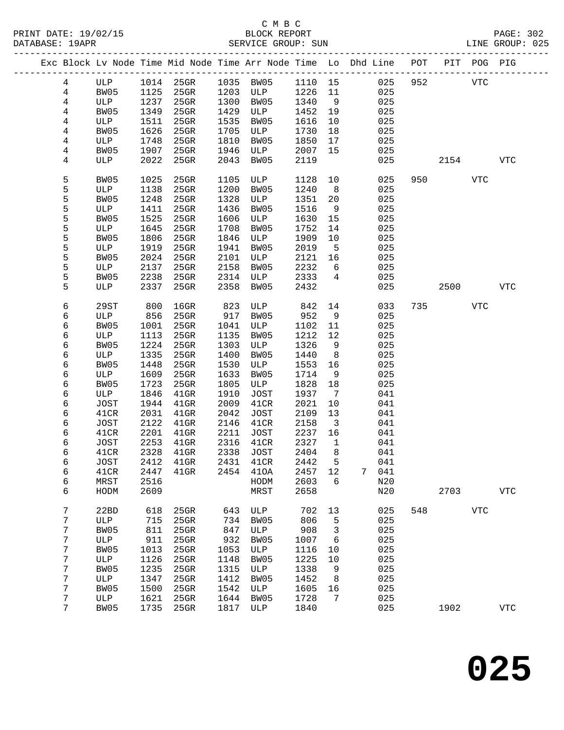PRINT DATE: 19/02/15 BLOCK REPORT BATABASE: 19APR

# C M B C<br>BLOCK REPORT

PAGE: 302<br>LINE GROUP: 025

|                  |              |              | Exc Block Lv Node Time Mid Node Time Arr Node Time Lo Dhd Line POT PIT POG PIG |              |              |              |                               |   |            |     |      |            |            |
|------------------|--------------|--------------|--------------------------------------------------------------------------------|--------------|--------------|--------------|-------------------------------|---|------------|-----|------|------------|------------|
| $4\overline{ }$  | ULP          | 1014         | $25$ GR                                                                        |              | 1035 BW05    | 1110         | 15                            |   | 025        | 952 |      | <b>VTC</b> |            |
| $\overline{4}$   | BW05         | 1125         | $25$ GR                                                                        | 1203         | ULP          | 1226         | 11                            |   | 025        |     |      |            |            |
| $\overline{4}$   | ULP          | 1237         | 25GR                                                                           | 1300         | BW05         | 1340         | 9                             |   | 025        |     |      |            |            |
| 4                | BW05         | 1349         | 25GR                                                                           | 1429         | ULP          | 1452         | 19                            |   | 025        |     |      |            |            |
| 4                | ULP          | 1511         | 25GR                                                                           | 1535         | BW05         | 1616         | 10                            |   | 025        |     |      |            |            |
| 4                | BW05         | 1626         | 25GR                                                                           | 1705         | ULP          | 1730         | 18                            |   | 025        |     |      |            |            |
| 4                | ULP          | 1748         | 25GR                                                                           | 1810         | BW05         | 1850         | 17                            |   | 025        |     |      |            |            |
| 4                | BW05         | 1907         | 25GR                                                                           | 1946         | ULP          | 2007         | 15                            |   | 025        |     |      |            |            |
| 4                | ULP          | 2022         | 25GR                                                                           | 2043         | BW05         | 2119         |                               |   | 025        |     | 2154 |            | <b>VTC</b> |
| 5                | BW05         | 1025         | $25$ GR                                                                        | 1105         | ULP          | 1128         | 10                            |   | 025        | 950 |      | VTC        |            |
| 5                | ULP          | 1138         | 25GR                                                                           | 1200         | BW05         | 1240         | 8                             |   | 025        |     |      |            |            |
| 5                | BW05         | 1248         | 25GR                                                                           | 1328         | ULP          | 1351         | 20                            |   | 025        |     |      |            |            |
| 5                | ULP          | 1411         | 25GR                                                                           | 1436         | BW05         | 1516         | 9                             |   | 025        |     |      |            |            |
| 5                | BW05         | 1525         | 25GR                                                                           | 1606         | ULP          | 1630         | 15                            |   | 025        |     |      |            |            |
| 5                | ULP          | 1645         | 25GR                                                                           | 1708         | BW05         | 1752         | 14                            |   | 025        |     |      |            |            |
| 5                | BW05         | 1806         | 25GR                                                                           | 1846         | ULP          | 1909         | 10                            |   | 025        |     |      |            |            |
| 5<br>5           | ULP          | 1919<br>2024 | 25GR<br>25GR                                                                   | 1941         | BW05         | 2019<br>2121 | 5<br>16                       |   | 025<br>025 |     |      |            |            |
| 5                | BW05<br>ULP  | 2137         | 25GR                                                                           | 2101<br>2158 | ULP<br>BW05  | 2232         | 6                             |   | 025        |     |      |            |            |
| 5                | BW05         | 2238         | 25GR                                                                           | 2314         | ULP          | 2333         | $4\overline{ }$               |   | 025        |     |      |            |            |
| 5                | ULP          | 2337         | 25GR                                                                           | 2358         | BW05         | 2432         |                               |   | 025        |     | 2500 |            | <b>VTC</b> |
|                  |              |              |                                                                                |              |              |              |                               |   |            |     |      |            |            |
| 6                | 29ST         | 800          | $16$ GR                                                                        | 823          | ULP          | 842          | 14                            |   | 033        | 735 |      | <b>VTC</b> |            |
| 6                | ULP          | 856          | 25GR                                                                           | 917          | BW05         | 952          | 9                             |   | 025        |     |      |            |            |
| 6                | BW05         | 1001         | 25GR                                                                           | 1041         | ULP          | 1102         | 11                            |   | 025        |     |      |            |            |
| 6                | ULP          | 1113         | 25GR                                                                           | 1135         | BW05         | 1212         | 12                            |   | 025        |     |      |            |            |
| 6                | BW05         | 1224         | 25GR                                                                           | 1303         | ULP          | 1326         | 9                             |   | 025        |     |      |            |            |
| 6                | ULP          | 1335         | 25GR                                                                           | 1400         | BW05         | 1440         | 8                             |   | 025        |     |      |            |            |
| 6                | BW05         | 1448         | 25GR                                                                           | 1530         | ULP          | 1553         | 16                            |   | 025        |     |      |            |            |
| 6                | ULP          | 1609         | 25GR                                                                           | 1633         | BW05         | 1714         | 9                             |   | 025        |     |      |            |            |
| 6                | BW05         | 1723         | 25GR                                                                           | 1805         | ULP          | 1828         | 18                            |   | 025        |     |      |            |            |
| 6                | ULP          | 1846         | $41$ GR                                                                        | 1910         | JOST         | 1937         | $7\phantom{.0}$               |   | 041        |     |      |            |            |
| 6                | JOST         | 1944         | $41$ GR                                                                        | 2009         | 41CR         | 2021         | 10                            |   | 041        |     |      |            |            |
| 6                | 41CR         | 2031<br>2122 | $41$ GR                                                                        | 2042<br>2146 | JOST         | 2109         | 13                            |   | 041        |     |      |            |            |
| 6<br>6           | JOST<br>41CR | 2201         | $41$ GR<br>$41$ GR                                                             | 2211         | 41CR<br>JOST | 2158<br>2237 | $\overline{\mathbf{3}}$<br>16 |   | 041<br>041 |     |      |            |            |
| 6                | JOST         | 2253         | $41$ GR                                                                        | 2316         | 41CR         | 2327         | $\mathbf{1}$                  |   | 041        |     |      |            |            |
| 6                | 41CR         | 2328         | $41$ GR                                                                        | 2338         | <b>JOST</b>  | 2404         | 8                             |   | 041        |     |      |            |            |
| 6                | JOST         | 2412         | $41$ GR                                                                        | 2431         | 41CR         | 2442 5       |                               |   | 041        |     |      |            |            |
| 6                | 41CR         | 2447         | $41$ GR                                                                        | 2454         | 410A         | 2457         | 12                            | 7 | 041        |     |      |            |            |
| 6                | MRST         | 2516         |                                                                                |              | HODM         | 2603         | 6                             |   | N20        |     |      |            |            |
| 6                | HODM         | 2609         |                                                                                |              | MRST         | 2658         |                               |   | N20        |     | 2703 |            | <b>VTC</b> |
| $\boldsymbol{7}$ | 22BD         | 618          | 25GR                                                                           | 643          | ULP          | 702          | 13                            |   | 025        | 548 |      | <b>VTC</b> |            |
| 7                | ULP          | 715          | 25GR                                                                           | 734          | BW05         | 806          | 5                             |   | 025        |     |      |            |            |
| 7                | BW05         | 811          | 25GR                                                                           | 847          | ULP          | 908          | 3                             |   | 025        |     |      |            |            |
| 7                | ULP          | 911          | 25GR                                                                           | 932          | BW05         | 1007         | 6                             |   | 025        |     |      |            |            |
| 7                | <b>BW05</b>  | 1013         | $25$ GR                                                                        | 1053         | ULP          | 1116         | 10                            |   | 025        |     |      |            |            |
| 7                | ULP          | 1126         | 25GR                                                                           | 1148         | BW05         | 1225         | 10                            |   | 025        |     |      |            |            |
| 7                | BW05         | 1235         | $25$ GR                                                                        | 1315         | ULP          | 1338         | 9                             |   | 025        |     |      |            |            |
| 7                | ULP          | 1347         | 25GR                                                                           | 1412         | BW05         | 1452         | 8                             |   | 025        |     |      |            |            |
| 7                | BW05         | 1500         | 25GR                                                                           | 1542         | ULP          | 1605         | 16                            |   | 025        |     |      |            |            |
| 7                | ULP          | 1621         | 25GR                                                                           | 1644         | BW05         | 1728         | 7                             |   | 025        |     |      |            |            |
| 7                | <b>BW05</b>  | 1735         | 25GR                                                                           | 1817         | ULP          | 1840         |                               |   | 025        |     | 1902 |            | <b>VTC</b> |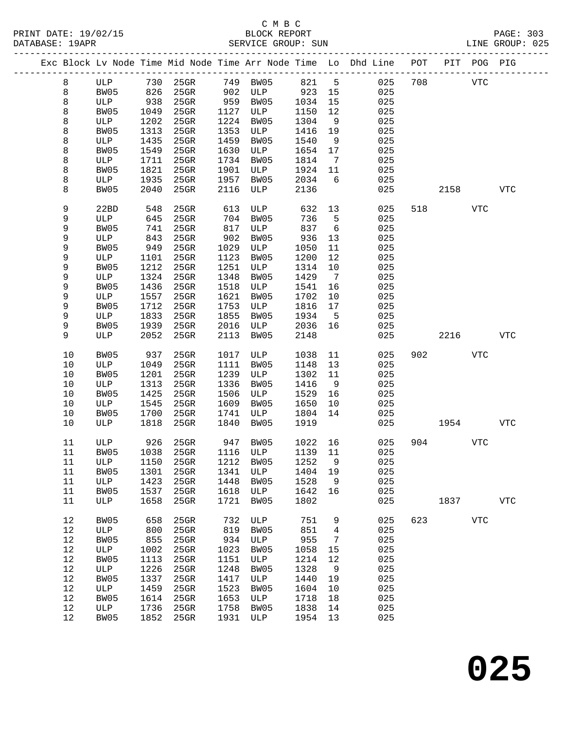# C M B C

| DATABASE: 19APR |    |          |      |                             |      | SERVICE GROUP: SUN  |         |                 | LINE GROUP: 025                                                                |     |            |            |                |  |
|-----------------|----|----------|------|-----------------------------|------|---------------------|---------|-----------------|--------------------------------------------------------------------------------|-----|------------|------------|----------------|--|
|                 |    |          |      |                             |      |                     |         |                 | Exc Block Lv Node Time Mid Node Time Arr Node Time Lo Dhd Line POT PIT POG PIG |     |            |            |                |  |
|                 | 8  |          |      | ULP 730 25GR 749 BW05 821 5 |      |                     |         |                 | 025                                                                            | 708 | <b>VTC</b> |            |                |  |
|                 | 8  | BW05 826 |      |                             |      | 25GR 902 ULP 923 15 |         |                 | 025                                                                            |     |            |            |                |  |
|                 | 8  | ULP      | 938  | $25$ GR                     |      | 959 BW05            | 1034    | 15              | 025                                                                            |     |            |            |                |  |
|                 | 8  | BW05     | 1049 | $25$ GR                     |      | 1127 ULP            | 1150    | 12              | 025                                                                            |     |            |            |                |  |
|                 | 8  | ULP      | 1202 | $25$ GR                     | 1224 | BW05                | 1304    | 9               | 025                                                                            |     |            |            |                |  |
|                 | 8  | BW05     | 1313 | 25GR                        | 1353 | ULP                 | 1416    | 19              | 025                                                                            |     |            |            |                |  |
|                 | 8  | ULP      | 1435 | $25$ GR                     | 1459 | BW05                | 1540    | 9               | 025                                                                            |     |            |            |                |  |
|                 | 8  | BW05     | 1549 | 25GR                        | 1630 | ULP                 | 1654    | 17              | 025                                                                            |     |            |            |                |  |
|                 |    |          | 1711 | $25$ GR                     | 1734 | BW05                |         |                 | 025                                                                            |     |            |            |                |  |
|                 | 8  | ULP      |      |                             |      | ULP                 | 1814    | $\overline{7}$  |                                                                                |     |            |            |                |  |
|                 | 8  | BW05     | 1821 | 25GR                        | 1901 |                     | 1924    | 11              | 025                                                                            |     |            |            |                |  |
|                 | 8  | ULP      | 1935 | $25$ GR                     | 1957 | BW05                | 2034    | 6               | 025                                                                            |     |            |            |                |  |
|                 | 8  | BW05     | 2040 | 25GR                        | 2116 | ULP                 | 2136    |                 | 025                                                                            |     | 2158       |            | VTC            |  |
|                 | 9  | 22BD     | 548  | 25GR                        | 613  | ULP                 | 632     | 13              | 025                                                                            |     | 518 — 10   | <b>VTC</b> |                |  |
|                 | 9  | ULP      | 645  | $25$ GR                     |      | 704 BW05            | 736     | 5               | 025                                                                            |     |            |            |                |  |
|                 | 9  | BW05     | 741  | $25$ GR                     | 817  | ULP                 | 837     | 6               | 025                                                                            |     |            |            |                |  |
|                 | 9  | ULP      | 843  | $25$ GR                     | 902  | BW05                | 936     | 13              | 025                                                                            |     |            |            |                |  |
|                 | 9  | BW05     | 949  | 25GR                        | 1029 | ULP                 | 1050    | 11              | 025                                                                            |     |            |            |                |  |
|                 | 9  | ULP      | 1101 | $25$ GR                     | 1123 | BW05                | 1200    | 12              | 025                                                                            |     |            |            |                |  |
|                 | 9  | BW05     | 1212 | $25$ GR                     | 1251 | ULP                 | 1314    | 10              | 025                                                                            |     |            |            |                |  |
|                 | 9  | ULP      | 1324 | $25$ GR                     | 1348 | BW05                | 1429    | $\overline{7}$  | 025                                                                            |     |            |            |                |  |
|                 | 9  | BW05     | 1436 | $25$ GR                     | 1518 | ULP                 | 1541    | 16              | 025                                                                            |     |            |            |                |  |
|                 | 9  | ULP      | 1557 | $25$ GR                     | 1621 | BW05                | 1702    | 10              | 025                                                                            |     |            |            |                |  |
|                 | 9  | BW05     | 1712 | 25GR                        | 1753 | ULP                 | 1816    | 17              | 025                                                                            |     |            |            |                |  |
|                 | 9  | ULP      | 1833 | 25GR                        | 1855 | BW05                | 1934    | $5^{\circ}$     | 025                                                                            |     |            |            |                |  |
|                 | 9  | BW05     | 1939 | $25$ GR                     | 2016 | ULP                 | 2036    | 16              | 025                                                                            |     |            |            |                |  |
|                 | 9  | ULP      | 2052 | 25GR                        | 2113 | BW05                | 2148    |                 | 025                                                                            |     | 2216       |            | VTC            |  |
|                 | 10 | BW05     | 937  | 25GR                        |      | 1017 ULP            | 1038    | 11              | 025                                                                            | 902 |            | <b>VTC</b> |                |  |
|                 | 10 | ULP      | 1049 | $25$ GR                     | 1111 | BW05                | 1148    | 13              | 025                                                                            |     |            |            |                |  |
|                 | 10 | BW05     | 1201 | 25GR                        | 1239 | ULP                 | 1302    | 11              | 025                                                                            |     |            |            |                |  |
|                 | 10 | ULP      | 1313 | $25$ GR                     | 1336 | BW05                | 1416    | 9               | 025                                                                            |     |            |            |                |  |
|                 | 10 | BW05     | 1425 | 25GR                        | 1506 | ULP                 | 1529    | 16              | 025                                                                            |     |            |            |                |  |
|                 | 10 |          |      |                             | 1609 | BW05                | 1650    | 10              |                                                                                |     |            |            |                |  |
|                 |    | ULP      | 1545 | 25GR                        |      |                     |         |                 | 025                                                                            |     |            |            |                |  |
|                 | 10 | BW05     | 1700 | 25GR                        | 1741 | ULP                 | 1804    | 14              | 025                                                                            |     |            |            |                |  |
|                 | 10 | ULP      | 1818 | 25GR                        | 1840 | BW05                | 1919    |                 | 025                                                                            |     | 1954       |            | VTC            |  |
|                 | 11 | ULP      | 926  | 25GR                        |      | 947 BW05            | 1022 16 |                 | 025                                                                            |     | 904 — 100  | <b>VTC</b> |                |  |
|                 | 11 |          |      |                             |      |                     |         |                 | BW05 1038 25GR 1116 ULP 1139 11 025                                            |     |            |            |                |  |
|                 | 11 | ULP      | 1150 | 25GR                        | 1212 | BW05                | 1252    | 9               | 025                                                                            |     |            |            |                |  |
|                 | 11 | BW05     | 1301 | $25$ GR                     | 1341 | ULP                 | 1404    | 19              | 025                                                                            |     |            |            |                |  |
|                 | 11 | ULP      | 1423 | 25GR                        | 1448 | BW05                | 1528    | 9               | 025                                                                            |     |            |            |                |  |
|                 | 11 | BW05     | 1537 | 25GR                        | 1618 | ULP                 | 1642    | 16              | 025                                                                            |     |            |            |                |  |
|                 | 11 | ULP      | 1658 | 25GR                        | 1721 | BW05                | 1802    |                 | 025                                                                            |     | 1837       |            | ${\hbox{VTC}}$ |  |
|                 | 12 | BW05     | 658  | 25GR                        | 732  | ULP                 | 751     | 9               | 025                                                                            | 623 |            | <b>VTC</b> |                |  |
|                 | 12 | ULP      | 800  | 25GR                        | 819  | BW05                | 851     | $\overline{4}$  | 025                                                                            |     |            |            |                |  |
|                 | 12 | BW05     | 855  | $25$ GR                     | 934  | ULP                 | 955     | $7\phantom{.0}$ | 025                                                                            |     |            |            |                |  |
|                 | 12 | ULP      | 1002 | 25GR                        | 1023 | BW05                | 1058    | 15              | 025                                                                            |     |            |            |                |  |
|                 | 12 | BW05     | 1113 | 25GR                        | 1151 | ULP                 | 1214    | 12              | 025                                                                            |     |            |            |                |  |
|                 | 12 | ULP      | 1226 | 25GR                        | 1248 | BW05                | 1328    | 9               | 025                                                                            |     |            |            |                |  |
|                 |    |          |      |                             |      |                     |         |                 |                                                                                |     |            |            |                |  |
|                 | 12 | BW05     | 1337 | 25GR                        | 1417 | ULP                 | 1440    | 19              | 025                                                                            |     |            |            |                |  |
|                 | 12 | ULP      | 1459 | 25GR                        | 1523 | BW05                | 1604    | 10              | 025                                                                            |     |            |            |                |  |
|                 | 12 | BW05     | 1614 | 25GR                        | 1653 | ULP                 | 1718    | 18              | 025                                                                            |     |            |            |                |  |
|                 | 12 | ULP      | 1736 | $25$ GR                     | 1758 | BW05                | 1838    | 14              | 025                                                                            |     |            |            |                |  |
|                 | 12 | BW05     | 1852 | 25GR                        | 1931 | ULP                 | 1954 13 |                 | 025                                                                            |     |            |            |                |  |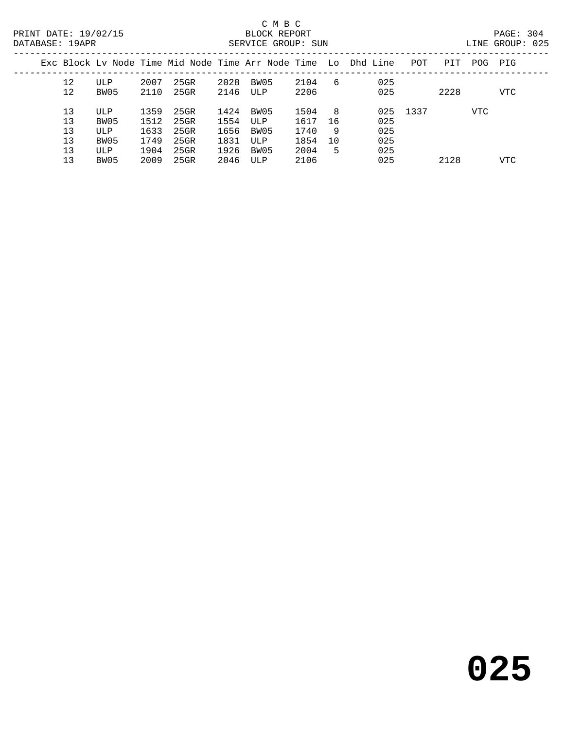| DATABASE: 19APR |          |             |              |              |              | SERVICE GROUP: SUN |              |     |                                                                |          |      |      | LINE GROUP: 025 |
|-----------------|----------|-------------|--------------|--------------|--------------|--------------------|--------------|-----|----------------------------------------------------------------|----------|------|------|-----------------|
|                 |          |             |              |              |              |                    |              |     | Exc Block Ly Node Time Mid Node Time Arr Node Time Lo Dhd Line | POT      | PIT  | POG- | PIG             |
|                 | 12<br>12 | ULP<br>BW05 | 2007<br>2110 | 25GR<br>25GR | 2028<br>2146 | BW05<br>ULP        | 2104<br>2206 | - 6 | 025<br>025                                                     |          | 2228 |      | VTC             |
|                 |          |             |              |              |              |                    |              |     |                                                                |          |      |      |                 |
|                 | 13       | ULP         | 1359         | 25GR         | 1424         | BW05               | 1504         | - 8 |                                                                | 025 1337 |      | VTC  |                 |
|                 | 13       | BW05        | 1512         | 25GR         | 1554         | ULP                | 1617         | 16  | 025                                                            |          |      |      |                 |
|                 | 13       | ULP         | 1633         | 25GR         | 1656         | BW05               | 1740         | - 9 | 025                                                            |          |      |      |                 |
|                 | 13       | BW05        | 1749         | 25GR         | 1831         | ULP                | 1854         | 10  | 025                                                            |          |      |      |                 |
|                 | 13       | ULP         | 1904         | 25GR         | 1926         | BW05               | 2004         | -5  | 025                                                            |          |      |      |                 |
|                 | 13       | BW05        | 2009         | 25GR         | 2046         | ULP                | 2106         |     | 025                                                            |          | 2128 |      | <b>VTC</b>      |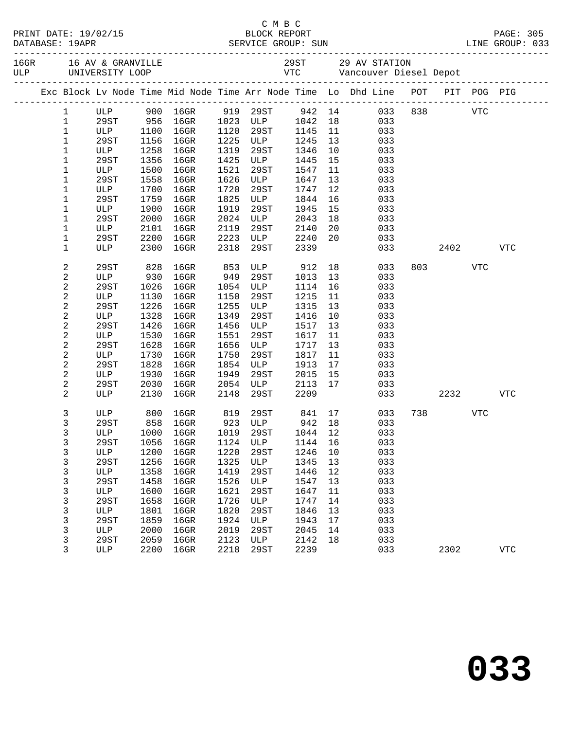|              |             |              | Exc Block Lv Node Time Mid Node Time Arr Node Time Lo Dhd Line POT PIT POG PIG |              |             |              |          |            |             |            |            |
|--------------|-------------|--------------|--------------------------------------------------------------------------------|--------------|-------------|--------------|----------|------------|-------------|------------|------------|
| $\mathbf{1}$ |             |              | ULP 900 16GR                                                                   |              | 919 29ST    | 942 14       |          |            | 033 838 VTC |            |            |
| $\mathbf{1}$ | 29ST        | 956          | $16$ GR                                                                        |              | 1023 ULP    | 1042         | 18       | 033        |             |            |            |
| $\mathbf{1}$ | ULP         | 1100         | $16$ GR                                                                        | 1120         | 29ST        | 1145         | 11       | 033        |             |            |            |
| $\mathbf{1}$ | 29ST        | 1156         | $16$ GR                                                                        | 1225         | ULP         | 1245         | 13       | 033        |             |            |            |
| $\mathbf{1}$ | ULP         | 1258         | $16$ GR                                                                        | 1319         | 29ST        | 1346         | 10       | 033        |             |            |            |
| $\mathbf{1}$ | 29ST        | 1356         | $16$ GR                                                                        | 1425         | ULP         | 1445         | 15       | 033        |             |            |            |
| 1            | ULP         | 1500         | $16$ GR                                                                        | 1521         | 29ST        | 1547         | 11       | 033        |             |            |            |
| $\mathbf 1$  | 29ST        | 1558         | $16$ GR                                                                        | 1626         | ULP         | 1647         | 13       | 033        |             |            |            |
| $\mathbf 1$  | ULP         | 1700         | 16GR                                                                           | 1720         | 29ST        | 1747         | 12       | 033        |             |            |            |
| $\mathbf 1$  | 29ST        | 1759         | $16$ GR                                                                        | 1825         | ULP         | 1844         | 16       | 033        |             |            |            |
| 1            | ULP         | 1900         | $16$ GR                                                                        | 1919         | 29ST        | 1945         | 15       | 033        |             |            |            |
| $\mathbf 1$  | 29ST        | 2000         | $16$ GR                                                                        | 2024         | ULP         | 2043         | 18       | 033        |             |            |            |
| $\mathbf 1$  | ULP         | 2101         | $16$ GR                                                                        | 2119         | 29ST        | 2140         | 20       | 033        |             |            |            |
| $\mathbf 1$  | 29ST        | 2200         | $16$ GR                                                                        | 2223         | ULP         | 2240         | 20       | 033        |             |            |            |
| $\mathbf{1}$ | ULP         | 2300         | $16$ GR                                                                        | 2318         | 29ST        | 2339         |          | 033        | 2402        |            | <b>VTC</b> |
| 2            | 29ST        | 828          | 16GR                                                                           | 853          | ULP         | 912          | 18       | 033        | 803 — 10    | <b>VTC</b> |            |
| 2            | ULP         | 930          | 16GR                                                                           | 949          | 29ST        | 1013         | 13       | 033        |             |            |            |
| 2            | 29ST        | 1026         | $16$ GR                                                                        | 1054         | ULP         | 1114         | 16       | 033        |             |            |            |
| 2            | ULP         | 1130         | $16$ GR                                                                        | 1150         | 29ST        | 1215         | 11       | 033        |             |            |            |
| 2            | 29ST        | 1226         | $16$ GR                                                                        | 1255         | ULP         | 1315         | 13       | 033        |             |            |            |
| 2            | ULP         | 1328         | $16$ GR                                                                        | 1349         | 29ST        | 1416         | 10       | 033        |             |            |            |
| 2            | 29ST        | 1426         | $16$ GR                                                                        | 1456         | ULP         | 1517         | 13       | 033        |             |            |            |
| 2            | ULP         | 1530         | $16$ GR                                                                        | 1551         | 29ST        | 1617         | 11       | 033        |             |            |            |
| 2            | 29ST        | 1628         | $16$ GR                                                                        | 1656         | ULP         | 1717         | 13       | 033        |             |            |            |
| 2            | ULP         | 1730         | $16$ GR                                                                        | 1750         | 29ST        | 1817         | 11       | 033        |             |            |            |
| 2            | 29ST        | 1828         | $16$ GR                                                                        | 1854         | ULP         | 1913         | 17       | 033        |             |            |            |
| 2            | ULP         | 1930         | $16$ GR                                                                        | 1949         | 29ST        | 2015         | 15<br>17 | 033        |             |            |            |
| 2<br>2       | 29ST<br>ULP | 2030<br>2130 | $16$ GR<br>$16$ GR                                                             | 2054<br>2148 | ULP<br>29ST | 2113<br>2209 |          | 033<br>033 | 2232        |            | <b>VTC</b> |
|              |             |              |                                                                                |              |             |              |          |            |             |            |            |
| 3            | ULP         | 800          | 16GR                                                                           | 819          | 29ST        | 841          | 17       | 033        | 738 — 138   | <b>VTC</b> |            |
| 3            | 29ST        | 858          | $16$ GR                                                                        |              | 923 ULP     | 942          | 18       | 033        |             |            |            |
| 3            | ULP         | 1000         | $16$ GR                                                                        | 1019         | 29ST        | 1044         | 12       | 033        |             |            |            |
| 3            | 29ST        |              | 1056 16GR 1124 ULP 1144 16 033                                                 |              |             |              |          |            |             |            |            |
| 3            | ULP         | 1200         | $16$ GR                                                                        | 1220         | 29ST        | 1246         | 10       | 033        |             |            |            |
| 3            | 29ST        | 1256         | $16$ GR                                                                        | 1325         | ULP         | 1345         | 13       | 033        |             |            |            |
| 3            | ULP         | 1358         | $16$ GR                                                                        | 1419         | 29ST        | 1446         | 12       | 033        |             |            |            |
| 3            | 29ST        | 1458         | 16GR                                                                           | 1526         | ULP         | 1547         | 13       | 033        |             |            |            |
| 3            | ULP         | 1600         | $16$ GR                                                                        | 1621         | 29ST        | 1647         | 11       | 033        |             |            |            |
| 3            | 29ST        | 1658         | 16GR                                                                           | 1726         | ULP         | 1747         | 14       | 033        |             |            |            |
| 3            | ULP         | 1801         | $16$ GR                                                                        | 1820         | 29ST        | 1846         | 13       | 033        |             |            |            |
| 3            | 29ST        | 1859         | 16GR                                                                           | 1924         | ULP         | 1943         | 17       | 033        |             |            |            |
| 3            | ULP         | 2000         | $16$ GR                                                                        | 2019         | 29ST        | 2045         | 14       | 033        |             |            |            |
| 3            | 29ST        | 2059         | $16$ GR                                                                        | 2123         | ULP         | 2142         | 18       | 033        |             |            |            |
| 3            | ULP         | 2200         | 16GR                                                                           | 2218         | 29ST        | 2239         |          | 033        | 2302        |            | <b>VTC</b> |

# C M B C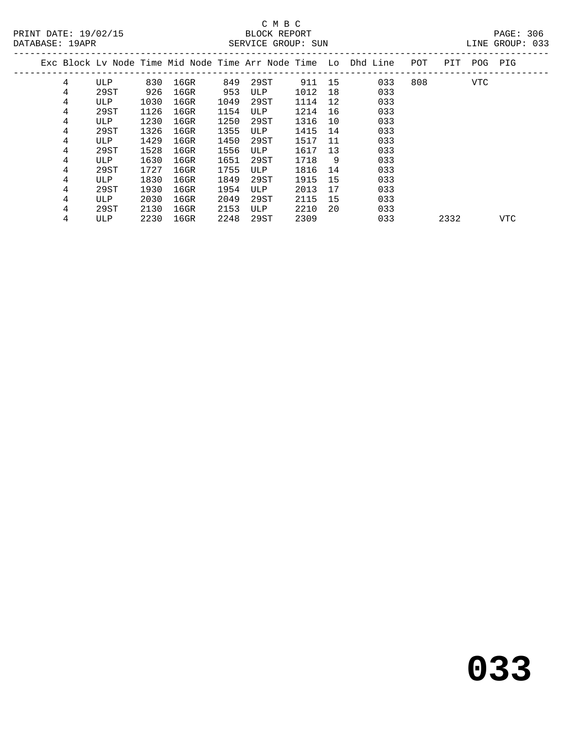# C M B C<br>BLOCK REPORT

LINE GROUP: 033

|  |   |      |      |         |      |      |      |    | Exc Block Ly Node Time Mid Node Time Arr Node Time Lo Dhd Line | POT | PIT  | POG | PIG |  |
|--|---|------|------|---------|------|------|------|----|----------------------------------------------------------------|-----|------|-----|-----|--|
|  | 4 | ULP  | 830  | $16$ GR | 849  | 29ST | 911  | 15 | 033                                                            | 808 |      | VTC |     |  |
|  | 4 | 29ST | 926  | $16$ GR | 953  | ULP  | 1012 | 18 | 033                                                            |     |      |     |     |  |
|  | 4 | ULP  | 1030 | $16$ GR | 1049 | 29ST | 1114 | 12 | 033                                                            |     |      |     |     |  |
|  | 4 | 29ST | 1126 | $16$ GR | 1154 | ULP  | 1214 | 16 | 033                                                            |     |      |     |     |  |
|  | 4 | ULP  | 1230 | $16$ GR | 1250 | 29ST | 1316 | 10 | 033                                                            |     |      |     |     |  |
|  | 4 | 29ST | 1326 | 16GR    | 1355 | ULP  | 1415 | 14 | 033                                                            |     |      |     |     |  |
|  | 4 | ULP  | 1429 | $16$ GR | 1450 | 29ST | 1517 | 11 | 033                                                            |     |      |     |     |  |
|  | 4 | 29ST | 1528 | 16GR    | 1556 | ULP  | 1617 | 13 | 033                                                            |     |      |     |     |  |
|  | 4 | ULP  | 1630 | $16$ GR | 1651 | 29ST | 1718 | 9  | 033                                                            |     |      |     |     |  |
|  | 4 | 29ST | 1727 | $16$ GR | 1755 | ULP  | 1816 | 14 | 033                                                            |     |      |     |     |  |
|  | 4 | ULP  | 1830 | $16$ GR | 1849 | 29ST | 1915 | 15 | 033                                                            |     |      |     |     |  |
|  | 4 | 29ST | 1930 | $16$ GR | 1954 | ULP  | 2013 | 17 | 033                                                            |     |      |     |     |  |
|  | 4 | ULP  | 2030 | $16$ GR | 2049 | 29ST | 2115 | 15 | 033                                                            |     |      |     |     |  |
|  | 4 | 29ST | 2130 | 16GR    | 2153 | ULP  | 2210 | 20 | 033                                                            |     |      |     |     |  |
|  | 4 | ULP  | 2230 | $16$ GR | 2248 | 29ST | 2309 |    | 033                                                            |     | 2332 |     | VTC |  |
|  |   |      |      |         |      |      |      |    |                                                                |     |      |     |     |  |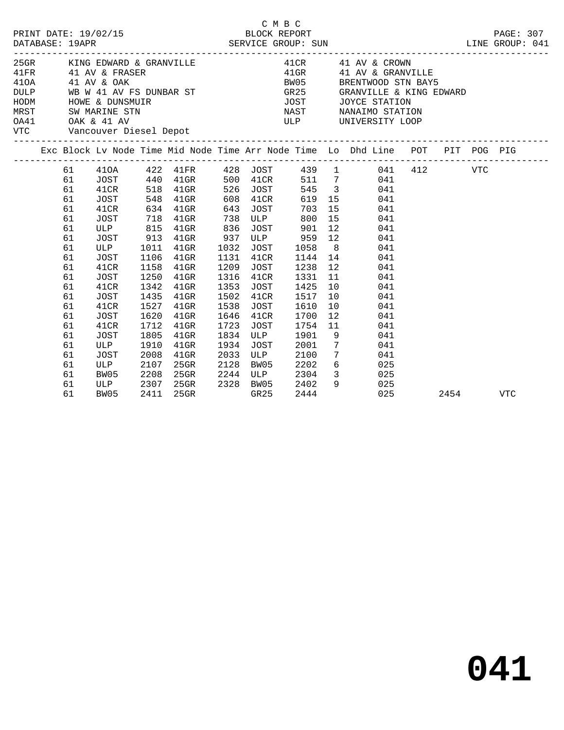| 2/15<br>BLOCK REPORT SUN SERVICE GROUP: SUN<br>PRINT DATE: 19/02/15<br>DATABASE: 19APR<br>25GR KING EDWARD & GRANVILLE |                                                                            |                                                                                                                                         |                                                                      |                                                                                                               |                                                              |                                                                                                           | C M B C<br>---------------------                                                |                                                                      | J<br>LINE GROUP: 041                                                                                                                                                                             |      | PAGE: 307 |
|------------------------------------------------------------------------------------------------------------------------|----------------------------------------------------------------------------|-----------------------------------------------------------------------------------------------------------------------------------------|----------------------------------------------------------------------|---------------------------------------------------------------------------------------------------------------|--------------------------------------------------------------|-----------------------------------------------------------------------------------------------------------|---------------------------------------------------------------------------------|----------------------------------------------------------------------|--------------------------------------------------------------------------------------------------------------------------------------------------------------------------------------------------|------|-----------|
|                                                                                                                        |                                                                            | 41FR 41 AV & FRASER<br>410A 41 AV & OAK<br>HODM HOWE & DUNSMUIR<br>MRST SW MARINE STN<br>OA41 OAK & 41 AV<br>VTC Vancouver Diesel Depot |                                                                      | DULP WB W 41 AV FS DUNBAR ST                                                                                  |                                                              |                                                                                                           | <b>BW05</b>                                                                     |                                                                      | 41 CR 41 AV & CROWN<br>41 GR 41 AV & GRANVI<br>41GR 41 AV & GRANVILLE<br>BRENTWOOD STN BAY5<br>GR25 GRANVILLE & KING EDWARD<br>JOST JOYCE STATION<br>NAST NANAIMO STATION<br>ULP UNIVERSITY LOOP |      |           |
|                                                                                                                        |                                                                            |                                                                                                                                         |                                                                      |                                                                                                               |                                                              |                                                                                                           |                                                                                 |                                                                      | Exc Block Lv Node Time Mid Node Time Arr Node Time Lo Dhd Line POT PIT POG PIG                                                                                                                   |      |           |
|                                                                                                                        | 61<br>61<br>61<br>61<br>61<br>61<br>61<br>61<br>61<br>61<br>61<br>61<br>61 | JOST<br>41CR<br>JOST<br>ULP 815 41GR<br>JOST<br>ULP<br>JOST<br>41CR<br>JOST<br>41CR                                                     | 1106<br>1158<br>1250<br>1342                                         | 548 41GR<br>634 41GR 643<br>718 41GR 738<br>913 41GR<br>1011 41GR<br>$41$ GR<br>$41$ GR<br>$41$ GR<br>$41$ GR | 836<br>937<br>1032<br>1131<br>1209<br>1316<br>1353           | 608 41CR<br>JOST<br><b>ULP</b><br>JOST<br>41CR<br>JOST<br>41CR<br>JOST                                    | 703<br>800<br>JOST 901<br>ULP 959 12<br>1058<br>1144 14<br>1238<br>1331<br>1425 | 12<br>11<br>10                                                       | 619 15<br>041<br>15<br>041<br>15<br>041<br>12<br>041<br>041<br>8<br>041<br>041<br>041<br>041<br>041                                                                                              |      |           |
|                                                                                                                        | 61<br>61<br>61<br>61<br>61<br>61<br>61<br>61<br>61<br>61                   | JOST<br>41CR<br>JOST<br>41CR<br>JOST<br>ULP<br>JOST<br>ULP<br>BW05<br>ULP<br>BW05                                                       | 1435<br>1527<br>1620<br>1712<br>1805<br>1910<br>2008<br>2107<br>2208 | $41$ GR<br>$41$ GR<br>$41$ GR<br>$41$ GR<br>$41$ GR<br>$41$ GR<br>$41$ GR<br>25GR<br>25GR<br>2307 25GR        | 1502<br>1538<br>1646<br>1723<br>1834<br>1934<br>2033<br>2128 | 41CR<br>JOST<br>41CR<br>JOST<br><b>ULP</b><br>JOST<br><b>ULP</b><br>BW05<br>2244 ULP<br>2328 BW05<br>GR25 | 1517<br>1610<br>1700<br>1754<br>1901<br>2001<br>2100<br>2202<br>2304<br>2402    | 10<br>10<br>12<br>11<br>9<br>$7\overline{ }$<br>$7\overline{ }$<br>9 | 041<br>041<br>041<br>041<br>041<br>041<br>041<br>$6\overline{6}$<br>025<br>3 025<br>025                                                                                                          |      |           |
|                                                                                                                        | 61                                                                         | BW05                                                                                                                                    | 2411                                                                 | 25GR                                                                                                          |                                                              | GR25                                                                                                      | 2444                                                                            |                                                                      | 025                                                                                                                                                                                              | 2454 | VTC       |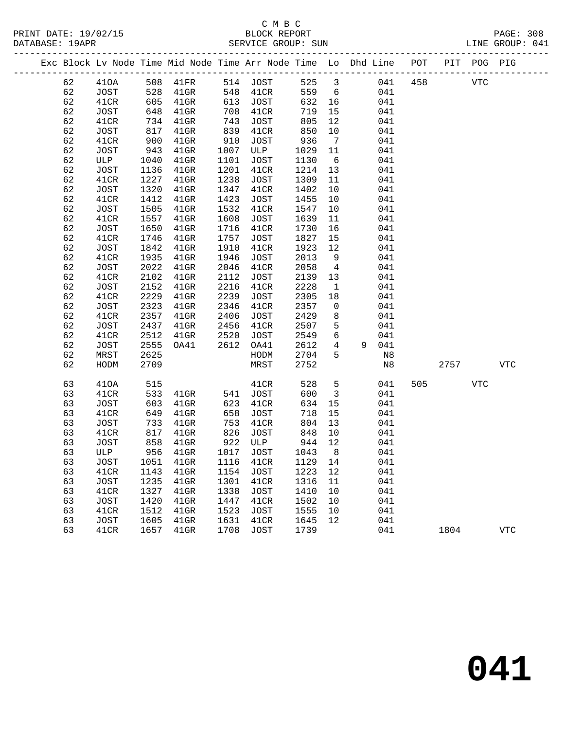### C M B C<br>BLOCK REPORT SERVICE GROUP: SUN

PRINT DATE: 19/02/15 BLOCK REPORT PAGE: 308

|  |    |             |      |                     |      | Exc Block Lv Node Time Mid Node Time Arr Node Time Lo Dhd Line POT PIT POG PIG |         |                         |         |      |            |            |
|--|----|-------------|------|---------------------|------|--------------------------------------------------------------------------------|---------|-------------------------|---------|------|------------|------------|
|  | 62 | 410A        |      | 508 41FR            |      | 514 JOST                                                                       | 525 3   |                         | 041 458 |      | <b>VTC</b> |            |
|  | 62 | JOST        | 528  | 41GR                |      | 548 41CR                                                                       | 559     | 6                       | 041     |      |            |            |
|  | 62 | 41CR        | 605  | $41$ GR             | 613  | JOST                                                                           | 632     | 16                      | 041     |      |            |            |
|  | 62 | JOST        | 648  | $41$ GR             | 708  | 41CR                                                                           | 719     | 15                      | 041     |      |            |            |
|  | 62 | 41CR        | 734  | 41GR                | 743  | JOST                                                                           | 805     | 12                      | 041     |      |            |            |
|  | 62 | JOST        | 817  | $41$ GR             | 839  | 41CR                                                                           | 850     | 10                      | 041     |      |            |            |
|  | 62 | 41CR        | 900  | 41GR                | 910  | JOST                                                                           | 936     | $\overline{7}$          | 041     |      |            |            |
|  | 62 | JOST        | 943  | $41$ GR             | 1007 | ULP                                                                            | 1029    | 11                      | 041     |      |            |            |
|  | 62 | ULP         | 1040 | 41GR                | 1101 | JOST                                                                           | 1130    | 6                       | 041     |      |            |            |
|  | 62 | JOST        | 1136 | $41$ GR             | 1201 | 41CR                                                                           | 1214    | 13                      | 041     |      |            |            |
|  | 62 | 41CR        | 1227 | $41$ GR             | 1238 | JOST                                                                           | 1309    | 11                      | 041     |      |            |            |
|  | 62 | JOST        | 1320 | $41$ GR             | 1347 | 41CR                                                                           | 1402    | 10                      | 041     |      |            |            |
|  | 62 | 41CR        | 1412 | $41$ GR             | 1423 | JOST                                                                           | 1455    | 10                      | 041     |      |            |            |
|  | 62 | JOST        | 1505 | $41$ GR             | 1532 | 41CR                                                                           | 1547    | 10                      | 041     |      |            |            |
|  | 62 | 41CR        | 1557 | $41$ GR             | 1608 | JOST                                                                           | 1639    | 11                      | 041     |      |            |            |
|  | 62 | JOST        | 1650 | $41$ GR             | 1716 | 41CR                                                                           | 1730    | 16                      | 041     |      |            |            |
|  | 62 | 41CR        | 1746 | $41$ GR             | 1757 | JOST                                                                           | 1827    | 15                      | 041     |      |            |            |
|  | 62 | JOST        | 1842 | $41$ GR             | 1910 | 41CR                                                                           | 1923    | 12                      | 041     |      |            |            |
|  | 62 | 41CR        | 1935 | $41$ GR             | 1946 | JOST                                                                           | 2013    | 9                       | 041     |      |            |            |
|  | 62 | JOST        | 2022 | $41$ GR             | 2046 | 41CR                                                                           | 2058    | $\overline{4}$          | 041     |      |            |            |
|  | 62 | 41CR        | 2102 | $41$ GR             | 2112 | JOST                                                                           | 2139    | 13                      | 041     |      |            |            |
|  | 62 | <b>JOST</b> | 2152 | $41$ GR             | 2216 | 41CR                                                                           | 2228    | $\overline{1}$          | 041     |      |            |            |
|  | 62 | 41CR        | 2229 | $41$ GR             | 2239 | JOST                                                                           | 2305    | 18                      | 041     |      |            |            |
|  | 62 | <b>JOST</b> | 2323 | $41$ GR             | 2346 | 41CR                                                                           | 2357    | $\overline{0}$          | 041     |      |            |            |
|  | 62 | 41CR        | 2357 | $41$ GR             | 2406 | JOST                                                                           | 2429    | 8                       | 041     |      |            |            |
|  | 62 | JOST        | 2437 | $41$ GR             | 2456 | 41CR                                                                           | 2507    | $5\phantom{.0}$         | 041     |      |            |            |
|  | 62 | 41CR        | 2512 | $41$ GR             | 2520 | JOST                                                                           | 2549    | 6                       | 041     |      |            |            |
|  | 62 | <b>JOST</b> | 2555 | OA41                | 2612 | OA41                                                                           | 2612    | $\overline{4}$          | 9 041   |      |            |            |
|  | 62 | MRST        | 2625 |                     |      | HODM                                                                           | 2704    | 5                       | N8      |      |            |            |
|  | 62 | HODM        | 2709 |                     |      | MRST                                                                           | 2752    |                         | N8      | 2757 |            | <b>VTC</b> |
|  | 63 | 410A        | 515  |                     |      | 41CR                                                                           | 528     | 5                       | 041     | 505  | <b>VTC</b> |            |
|  | 63 | 41CR        | 533  | $41\mathrm{GR}$     | 541  | JOST                                                                           | 600     | $\overline{\mathbf{3}}$ | 041     |      |            |            |
|  | 63 | JOST        | 603  | 41GR                | 623  | 41CR                                                                           | 634     | 15                      | 041     |      |            |            |
|  | 63 | 41CR        | 649  | $41$ GR             | 658  | JOST                                                                           | 718     | 15                      | 041     |      |            |            |
|  | 63 | JOST        | 733  | $41$ GR             | 753  | 41CR                                                                           | 804     | 13                      | 041     |      |            |            |
|  | 63 | 41CR        | 817  | 41GR                | 826  | JOST                                                                           | 848     | 10                      | 041     |      |            |            |
|  | 63 | <b>JOST</b> | 858  | 41GR                | 922  | ULP                                                                            | 944     | 12                      | 041     |      |            |            |
|  | 63 | ULP         |      | 956 41GR            | 1017 | JOST                                                                           | 1043    | 8 <sup>8</sup>          | 041     |      |            |            |
|  | 63 | JOST        |      | 1051 41GR 1116 41CR |      |                                                                                | 1129 14 |                         | 041     |      |            |            |
|  | 63 | 41CR        | 1143 | $41$ GR             | 1154 | <b>JOST</b>                                                                    | 1223    | 12                      | 041     |      |            |            |
|  | 63 | <b>JOST</b> | 1235 | $41$ GR             | 1301 | 41CR                                                                           | 1316    | 11                      | 041     |      |            |            |
|  | 63 | 41CR        | 1327 | $41$ GR             | 1338 | JOST                                                                           | 1410    | 10                      | 041     |      |            |            |
|  | 63 | <b>JOST</b> | 1420 | $41$ GR             | 1447 | 41CR                                                                           | 1502    | 10                      | 041     |      |            |            |
|  | 63 | 41CR        | 1512 | $41$ GR             | 1523 | <b>JOST</b>                                                                    | 1555    | 10                      | 041     |      |            |            |
|  | 63 | <b>JOST</b> | 1605 | $41$ GR             | 1631 | 41CR                                                                           | 1645    | 12                      | 041     |      |            |            |
|  | 63 | 41CR        | 1657 | $41$ GR             | 1708 | JOST                                                                           | 1739    |                         | 041     | 1804 |            | <b>VTC</b> |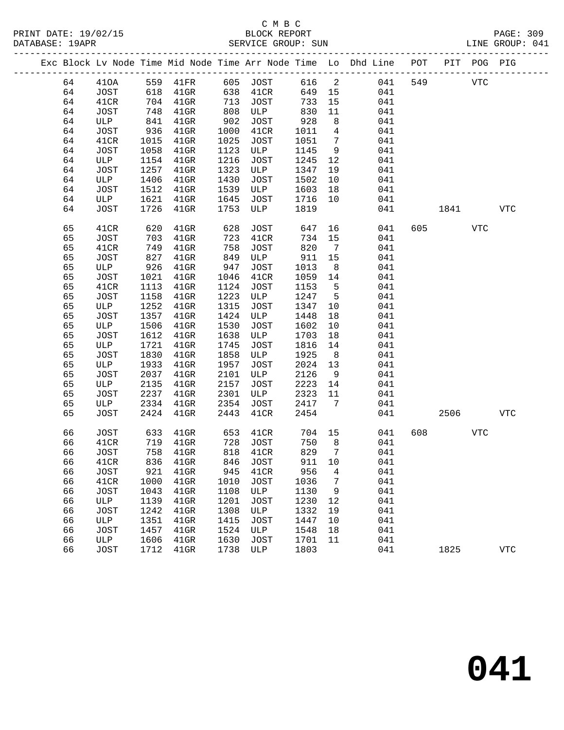|  |    |             |            |                                                                                                                         |      |                                  |        |                 | Exc Block Lv Node Time Mid Node Time Arr Node Time Lo Dhd Line POT PIT POG PIG |     |         |            |              |
|--|----|-------------|------------|-------------------------------------------------------------------------------------------------------------------------|------|----------------------------------|--------|-----------------|--------------------------------------------------------------------------------|-----|---------|------------|--------------|
|  | 64 | 410A        |            | 559    41FR            605    JOST            616       2<br>618     41GR            638     41CR            649     15 |      |                                  |        |                 | 041                                                                            | 549 |         | <b>VTC</b> |              |
|  | 64 | JOST        |            |                                                                                                                         |      |                                  |        |                 | 041                                                                            |     |         |            |              |
|  | 64 | 41CR        |            | 704 41GR                                                                                                                | 713  | JOST                             | 733    | 15              | 041                                                                            |     |         |            |              |
|  | 64 | <b>JOST</b> | 748        | $41$ GR                                                                                                                 | 808  | ULP                              | 830    | 11              | 041                                                                            |     |         |            |              |
|  | 64 | ULP         | 841        | $41$ GR                                                                                                                 | 902  | JOST                             | 928    | 8               | 041                                                                            |     |         |            |              |
|  | 64 | JOST        | 936        | $41$ GR                                                                                                                 | 1000 | 41CR                             | 1011   | $4\overline{4}$ | 041                                                                            |     |         |            |              |
|  | 64 | 41CR        | 1015       | $41$ GR                                                                                                                 | 1025 | JOST                             | 1051   | $\overline{7}$  | 041                                                                            |     |         |            |              |
|  | 64 | JOST        | 1058       | $41$ GR                                                                                                                 | 1123 | ULP                              | 1145   | 9               | 041                                                                            |     |         |            |              |
|  | 64 | ULP         | 1154       | $41$ GR                                                                                                                 | 1216 | JOST                             | 1245   | 12              | 041                                                                            |     |         |            |              |
|  | 64 | JOST        | 1257       | $41$ GR                                                                                                                 | 1323 | ULP                              | 1347   | 19              | 041                                                                            |     |         |            |              |
|  | 64 | ULP         | 1406       | $41$ GR                                                                                                                 | 1430 | JOST                             | 1502   | 10              | 041                                                                            |     |         |            |              |
|  | 64 | JOST        | 1512       | $41$ GR                                                                                                                 | 1539 | ULP                              | 1603   | 18              | 041                                                                            |     |         |            |              |
|  | 64 | ULP         | 1621       | $41$ GR                                                                                                                 | 1645 | JOST                             | 1716   | 10              | 041                                                                            |     |         |            |              |
|  | 64 | JOST        | 1726       | $41$ GR                                                                                                                 | 1753 | ULP                              | 1819   |                 | 041                                                                            |     | 1841    |            | <b>VTC</b>   |
|  |    |             |            |                                                                                                                         |      |                                  |        |                 |                                                                                |     |         |            |              |
|  | 65 | 41CR        | 620        | $41$ GR                                                                                                                 | 628  | JOST                             | 647    |                 | 16 16<br>041                                                                   |     | 605 000 | <b>VTC</b> |              |
|  | 65 | JOST        | 703<br>749 | $41$ GR                                                                                                                 | 723  | 41CR                             | 734    | 15              | 041                                                                            |     |         |            |              |
|  | 65 | 41CR        |            | $41$ GR                                                                                                                 | 758  | JOST                             | 820    | $7\overline{ }$ | 041                                                                            |     |         |            |              |
|  | 65 | JOST        | 827        | $41$ GR                                                                                                                 | 849  | ULP                              | 911    | 15              | 041                                                                            |     |         |            |              |
|  | 65 | ULP         | 926        | $41$ GR                                                                                                                 | 947  | JOST                             | 1013   | 8 <sup>8</sup>  | 041                                                                            |     |         |            |              |
|  | 65 | JOST        | 1021       | 41GR                                                                                                                    | 1046 | 41CR                             | 1059   | 14              | 041                                                                            |     |         |            |              |
|  | 65 | 41CR        | 1113       | $41$ GR                                                                                                                 | 1124 | JOST                             | 1153   | $5^{\circ}$     | 041                                                                            |     |         |            |              |
|  | 65 | <b>JOST</b> | 1158       | $41$ GR                                                                                                                 | 1223 | ULP                              | 1247   | $5^{\circ}$     | 041                                                                            |     |         |            |              |
|  | 65 | ULP         | 1252       | $41$ GR                                                                                                                 | 1315 | JOST                             | 1347   | 10              | 041                                                                            |     |         |            |              |
|  | 65 | <b>JOST</b> | 1357       | $41$ GR                                                                                                                 | 1424 | ULP                              | 1448   | 18              | 041                                                                            |     |         |            |              |
|  | 65 | ULP         | 1506       | $41$ GR                                                                                                                 | 1530 | JOST                             | 1602   | 10              | 041                                                                            |     |         |            |              |
|  | 65 | JOST        | 1612       | $41$ GR                                                                                                                 | 1638 | ULP                              | 1703   | 18              | 041                                                                            |     |         |            |              |
|  | 65 | ULP         | 1721       | $41$ GR                                                                                                                 | 1745 | JOST                             | 1816   | 14              | 041                                                                            |     |         |            |              |
|  | 65 | JOST        | 1830       | $41$ GR                                                                                                                 | 1858 | ULP                              | 1925   | 8 <sup>8</sup>  | 041                                                                            |     |         |            |              |
|  | 65 | ULP         | 1933       | 41GR                                                                                                                    | 1957 | JOST                             | 2024   | 13              | 041                                                                            |     |         |            |              |
|  | 65 | JOST        | 2037       | $41$ GR                                                                                                                 | 2101 | ULP                              | 2126   | 9               | 041                                                                            |     |         |            |              |
|  | 65 | ULP         | 2135       | $41$ GR                                                                                                                 | 2157 | JOST                             | 2223   | 14              | 041                                                                            |     |         |            |              |
|  | 65 | <b>JOST</b> | 2237       | $41$ GR                                                                                                                 | 2301 | ULP                              | 2323   | 11              | 041                                                                            |     |         |            |              |
|  | 65 | ULP         | 2334       | $41$ GR                                                                                                                 | 2354 | JOST                             | 2417   | 7               | 041                                                                            |     |         |            |              |
|  | 65 | <b>JOST</b> | 2424       | $41$ GR                                                                                                                 | 2443 | 41CR                             | 2454   |                 | 041                                                                            |     | 2506    |            | VTC          |
|  | 66 | <b>JOST</b> | 633        | $41$ GR                                                                                                                 | 653  | 41CR                             | 704    | 15              | 041                                                                            | 608 |         | VTC        |              |
|  | 66 | 41CR        |            |                                                                                                                         |      |                                  | 750    | 8 <sup>8</sup>  | 041                                                                            |     |         |            |              |
|  | 66 | <b>JOST</b> |            | 719 41GR<br>758 41CP<br>758 41GR                                                                                        |      | 728 JOST<br>818 41CP<br>818 41CR | 829    | $\overline{7}$  | 041                                                                            |     |         |            |              |
|  | 66 | 41CR        |            | 836 41GR 846 JOST                                                                                                       |      |                                  | 911 10 |                 | 041                                                                            |     |         |            |              |
|  | 66 | JOST        | 921        | $41$ GR                                                                                                                 | 945  | 41CR                             | 956    | 4               | 041                                                                            |     |         |            |              |
|  | 66 | 41CR        | 1000       | $41$ GR                                                                                                                 | 1010 | JOST                             | 1036   | 7               | 041                                                                            |     |         |            |              |
|  | 66 | JOST        | 1043       | $41$ GR                                                                                                                 | 1108 | ULP                              | 1130   | 9               | 041                                                                            |     |         |            |              |
|  | 66 | ULP         | 1139       | 41GR                                                                                                                    | 1201 | JOST                             | 1230   | 12              | 041                                                                            |     |         |            |              |
|  | 66 | JOST        | 1242       | $41$ GR                                                                                                                 | 1308 | ULP                              | 1332   | 19              | 041                                                                            |     |         |            |              |
|  | 66 | ULP         | 1351       | $41$ GR                                                                                                                 | 1415 | JOST                             | 1447   | 10              | 041                                                                            |     |         |            |              |
|  | 66 | JOST        | 1457       | $41$ GR                                                                                                                 | 1524 | ULP                              | 1548   | 18              | 041                                                                            |     |         |            |              |
|  | 66 | ULP         | 1606       | $41$ GR                                                                                                                 | 1630 | JOST                             | 1701   | 11              | 041                                                                            |     |         |            |              |
|  | 66 | <b>JOST</b> | 1712       | $41$ GR                                                                                                                 | 1738 | ULP                              | 1803   |                 | 041                                                                            |     | 1825    |            | $_{\rm VTC}$ |
|  |    |             |            |                                                                                                                         |      |                                  |        |                 |                                                                                |     |         |            |              |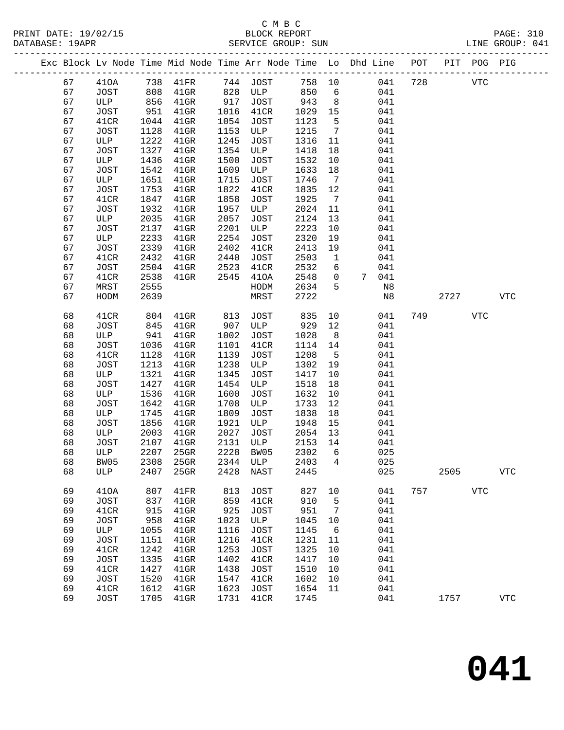PRINT DATE: 19/02/15 BLOCK REPORT PAGE: 310 DATABASE: 19APR

# C M B C<br>BLOCK REPORT

| DATABASE: 19APR |    |      |      |         |      | SERVICE GROUP: SUN |      |     |                                                                    |     |     |         | LINE GROUP: 041 |  |
|-----------------|----|------|------|---------|------|--------------------|------|-----|--------------------------------------------------------------------|-----|-----|---------|-----------------|--|
|                 |    |      |      |         |      |                    |      |     | Exc Block Lv Node Time Mid Node Time Arr Node Time Lo Dhd Line POT |     | PIT | POG PIG |                 |  |
|                 | 67 | 410A | 738  | 41 FR   | 744  | JOST               | 758  | 10  | 041                                                                | 728 |     | VTC     |                 |  |
|                 | 67 | JOST | 808  | $41$ GR | 828  | ULP                | 850  | 6   | 041                                                                |     |     |         |                 |  |
|                 | 67 | ULP  | 856  | $41$ GR | 917  | JOST               | 943  | - 8 | 041                                                                |     |     |         |                 |  |
|                 | 67 | JOST | 951  | $41$ GR |      | 1016 41CR          | 1029 | -15 | 041                                                                |     |     |         |                 |  |
|                 | 67 | 41CR | 1044 | $41$ GR | 1054 | JOST               | 1123 |     | 041                                                                |     |     |         |                 |  |

| 67 | <b>JOST</b> | 951  | 41GR    | 1016     | 41CR        | 1029    | 15              |   | 041 |     |      |            |                |
|----|-------------|------|---------|----------|-------------|---------|-----------------|---|-----|-----|------|------------|----------------|
| 67 | 41CR        | 1044 | 41GR    | 1054     | <b>JOST</b> | 1123    | 5               |   | 041 |     |      |            |                |
| 67 | <b>JOST</b> | 1128 | 41GR    | 1153     | ULP         | 1215    | $7\phantom{.0}$ |   | 041 |     |      |            |                |
| 67 | ULP         | 1222 | $41$ GR | 1245     | <b>JOST</b> | 1316    | 11              |   | 041 |     |      |            |                |
| 67 | <b>JOST</b> | 1327 | 41GR    | 1354     | ULP         | 1418    | 18              |   | 041 |     |      |            |                |
| 67 | ULP         | 1436 | 41GR    | 1500     | <b>JOST</b> | 1532    | 10              |   | 041 |     |      |            |                |
| 67 | <b>JOST</b> | 1542 | 41GR    | 1609     | ULP         | 1633    | 18              |   | 041 |     |      |            |                |
| 67 | ULP         | 1651 | 41GR    | 1715     | <b>JOST</b> | 1746    | $7\phantom{.0}$ |   | 041 |     |      |            |                |
|    |             |      |         |          |             |         |                 |   |     |     |      |            |                |
| 67 | <b>JOST</b> | 1753 | 41GR    | 1822     | 41CR        | 1835    | $12$            |   | 041 |     |      |            |                |
| 67 | 41CR        | 1847 | 41GR    | 1858     | <b>JOST</b> | 1925    | $7\phantom{.0}$ |   | 041 |     |      |            |                |
| 67 | <b>JOST</b> | 1932 | 41GR    | 1957     | ULP         | 2024    | 11              |   | 041 |     |      |            |                |
| 67 | ULP         | 2035 | 41GR    | 2057     | <b>JOST</b> | 2124    | 13              |   | 041 |     |      |            |                |
| 67 | JOST        | 2137 | 41GR    | 2201     | ULP         | 2223    | 10              |   | 041 |     |      |            |                |
| 67 | ULP         | 2233 | 41GR    | 2254     | <b>JOST</b> | 2320    | 19              |   | 041 |     |      |            |                |
| 67 | JOST        | 2339 | $41$ GR | 2402     | 41CR        | 2413    | 19              |   | 041 |     |      |            |                |
| 67 | 41CR        | 2432 | $41$ GR | 2440     | JOST        | 2503    | $\mathbf{1}$    |   | 041 |     |      |            |                |
| 67 | <b>JOST</b> | 2504 | $41$ GR | 2523     | 41CR        | 2532    | 6               |   | 041 |     |      |            |                |
| 67 | 41CR        | 2538 | $41$ GR | 2545     | 410A        | 2548    | 0               | 7 | 041 |     |      |            |                |
| 67 | MRST        | 2555 |         |          | HODM        | 2634    | 5               |   | N8  |     |      |            |                |
| 67 | HODM        | 2639 |         |          | MRST        | 2722    |                 |   | N8  |     | 2727 |            | <b>VTC</b>     |
|    |             |      |         |          |             |         |                 |   |     |     |      |            |                |
| 68 | 41CR        | 804  | 41GR    | 813      | <b>JOST</b> | 835     | 10              |   | 041 | 749 |      | <b>VTC</b> |                |
| 68 | <b>JOST</b> | 845  | 41GR    | 907      | ULP         | 929     | $12$            |   | 041 |     |      |            |                |
| 68 | ULP         | 941  | 41GR    | 1002     | <b>JOST</b> | 1028    | $\,8\,$         |   | 041 |     |      |            |                |
| 68 | JOST        | 1036 | 41GR    | 1101     | 41CR        | 1114    | 14              |   | 041 |     |      |            |                |
| 68 | 41CR        | 1128 | 41GR    | 1139     | <b>JOST</b> | 1208    | $\overline{5}$  |   | 041 |     |      |            |                |
| 68 | <b>JOST</b> | 1213 | 41GR    | 1238     | ULP         | 1302    | 19              |   | 041 |     |      |            |                |
| 68 | ULP         | 1321 | $41$ GR | 1345     | <b>JOST</b> | 1417    | 10              |   | 041 |     |      |            |                |
| 68 | <b>JOST</b> | 1427 | 41GR    | 1454     | ULP         | 1518    | 18              |   | 041 |     |      |            |                |
| 68 | ULP         | 1536 | 41GR    | 1600     | <b>JOST</b> | 1632    | 10              |   | 041 |     |      |            |                |
|    |             |      |         |          |             |         |                 |   |     |     |      |            |                |
| 68 | JOST        | 1642 | $41$ GR | 1708     | ULP         | 1733    | 12              |   | 041 |     |      |            |                |
| 68 | ULP         | 1745 | 41GR    | 1809     | <b>JOST</b> | 1838    | 18              |   | 041 |     |      |            |                |
| 68 | <b>JOST</b> | 1856 | 41GR    | 1921     | ULP         | 1948    | 15              |   | 041 |     |      |            |                |
| 68 | ULP         | 2003 | 41GR    | 2027     | <b>JOST</b> | 2054    | 13              |   | 041 |     |      |            |                |
| 68 | <b>JOST</b> | 2107 | 41GR    | 2131     | ULP         | 2153    | 14              |   | 041 |     |      |            |                |
| 68 | ULP         | 2207 | 25GR    | 2228     | BW05        | 2302    | 6               |   | 025 |     |      |            |                |
| 68 | BW05        | 2308 | 25GR    | 2344     | ULP         | 2403    | $\overline{4}$  |   | 025 |     |      |            |                |
| 68 | ULP         | 2407 | 25GR    | 2428     | NAST        | 2445    |                 |   | 025 |     | 2505 |            | ${\hbox{VTC}}$ |
|    |             |      |         |          |             |         |                 |   |     |     |      |            |                |
| 69 | 410A        | 807  | 41FR    | 813      | <b>JOST</b> | 827     | 10              |   | 041 | 757 |      | <b>VTC</b> |                |
| 69 | JOST        | 837  | $41$ GR | 859      | 41CR        | 910     | $\overline{5}$  |   | 041 |     |      |            |                |
| 69 | 41CR        | 915  | $41$ GR | 925      | <b>JOST</b> | 951     | 7               |   | 041 |     |      |            |                |
| 69 | JOST        | 958  | $41$ GR | 1023 ULP |             | 1045 10 |                 |   | 041 |     |      |            |                |
| 69 | ULP         | 1055 | $41$ GR | 1116     | JOST        | 1145    | 6               |   | 041 |     |      |            |                |
| 69 | <b>JOST</b> | 1151 | $41$ GR | 1216     | 41CR        | 1231    | 11              |   | 041 |     |      |            |                |
| 69 | 41CR        | 1242 | $41$ GR | 1253     | <b>JOST</b> | 1325    | 10              |   | 041 |     |      |            |                |
| 69 | <b>JOST</b> | 1335 | 41GR    | 1402     | 41CR        | 1417    | 10              |   | 041 |     |      |            |                |
| 69 | 41CR        | 1427 | 41GR    | 1438     | <b>JOST</b> | 1510    | 10              |   | 041 |     |      |            |                |
| 69 | <b>JOST</b> | 1520 | 41GR    | 1547     | 41CR        | 1602    | 10              |   | 041 |     |      |            |                |
| 69 | 41CR        | 1612 | 41GR    | 1623     | JOST        | 1654    | 11              |   | 041 |     |      |            |                |
| 69 | <b>JOST</b> | 1705 | 41GR    | 1731     | 41CR        | 1745    |                 |   | 041 |     | 1757 |            | <b>VTC</b>     |
|    |             |      |         |          |             |         |                 |   |     |     |      |            |                |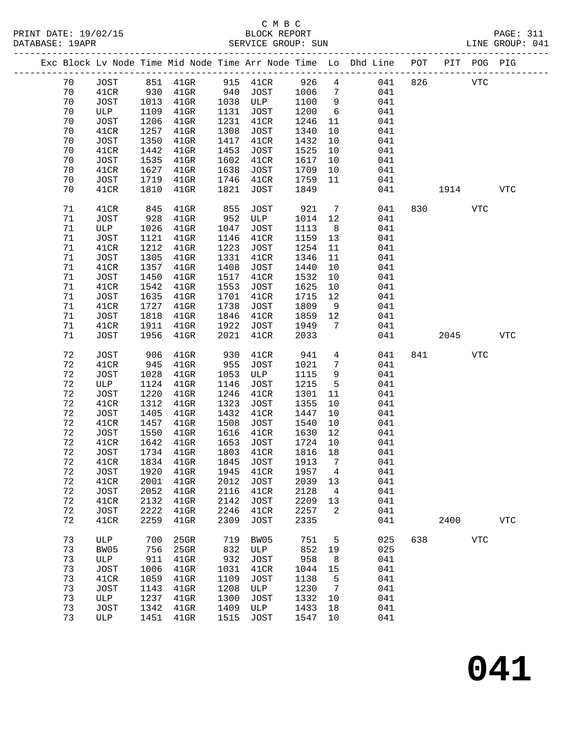PRINT DATE: 19/02/15 BLOCK REPORT BATABASE: 19APR

# C M B C<br>BLOCK REPORT

PAGE: 311<br>LINE GROUP: 041

|             |             |      |           |      |             |        |                 | Exc Block Lv Node Time Mid Node Time Arr Node Time Lo Dhd Line POT |     |       | PIT POG PIG |            |
|-------------|-------------|------|-----------|------|-------------|--------|-----------------|--------------------------------------------------------------------|-----|-------|-------------|------------|
| 70          | <b>JOST</b> |      | 851 41GR  |      | 915 41CR    | 926    | $4\overline{ }$ | 041                                                                | 826 |       | <b>VTC</b>  |            |
| 70          | 41CR        | 930  | $41$ GR   | 940  | JOST        | 1006   | $7\overline{ }$ | 041                                                                |     |       |             |            |
| 70          | JOST        | 1013 | $41$ GR   | 1038 | ULP         | 1100   | 9               | 041                                                                |     |       |             |            |
| 70          | ULP         | 1109 | $41$ GR   | 1131 | JOST        | 1200   | 6               | 041                                                                |     |       |             |            |
| 70          | JOST        | 1206 | $41$ GR   | 1231 | 41CR        | 1246   | 11              | 041                                                                |     |       |             |            |
| 70          | 41CR        | 1257 | $41$ GR   | 1308 | JOST        | 1340   | 10              | 041                                                                |     |       |             |            |
| 70          | <b>JOST</b> | 1350 | $41$ GR   | 1417 | 41CR        | 1432   | 10              | 041                                                                |     |       |             |            |
| 70          | 41CR        | 1442 | $41$ GR   | 1453 | JOST        | 1525   | 10              | 041                                                                |     |       |             |            |
| 70          | JOST        | 1535 | $41$ GR   | 1602 | 41CR        | 1617   | 10              | 041                                                                |     |       |             |            |
|             |             |      |           |      |             |        |                 |                                                                    |     |       |             |            |
| 70          | 41CR        | 1627 | $41$ GR   | 1638 | JOST        | 1709   | 10              | 041                                                                |     |       |             |            |
| 70          | JOST        | 1719 | $41$ GR   | 1746 | 41CR        | 1759   | 11              | 041                                                                |     |       |             |            |
| 70          | 41CR        | 1810 | $41$ GR   | 1821 | JOST        | 1849   |                 | 041                                                                |     | 1914  |             | <b>VTC</b> |
| 71          | 41CR        | 845  | $41$ GR   | 855  | JOST        | 921    | $\overline{7}$  | 041                                                                |     | 830   | VTC         |            |
| 71          | <b>JOST</b> | 928  | $41$ GR   | 952  | ULP         | 1014   | 12              | 041                                                                |     |       |             |            |
| 71          | ULP         | 1026 | $41$ GR   | 1047 | JOST        | 1113   | 8 <sup>8</sup>  | 041                                                                |     |       |             |            |
| 71          | <b>JOST</b> | 1121 | $41$ GR   | 1146 | 41CR        | 1159   | 13              | 041                                                                |     |       |             |            |
| 71          | 41CR        | 1212 | $41$ GR   | 1223 | JOST        | 1254   | 11              | 041                                                                |     |       |             |            |
| 71          | JOST        | 1305 | $41$ GR   | 1331 | 41CR        | 1346   | 11              | 041                                                                |     |       |             |            |
| 71          | 41CR        | 1357 | $41$ GR   | 1408 | JOST        | 1440   | 10              | 041                                                                |     |       |             |            |
| 71          | JOST        | 1450 | $41$ GR   | 1517 | 41CR        | 1532   | 10              | 041                                                                |     |       |             |            |
| 71          | 41CR        | 1542 |           | 1553 |             | 1625   |                 |                                                                    |     |       |             |            |
|             |             |      | $41$ GR   |      | JOST        |        | 10              | 041                                                                |     |       |             |            |
| 71          | <b>JOST</b> | 1635 | $41$ GR   | 1701 | 41CR        | 1715   | 12              | 041                                                                |     |       |             |            |
| 71          | 41CR        | 1727 | $41$ GR   | 1738 | JOST        | 1809   | 9               | 041                                                                |     |       |             |            |
| 71          | <b>JOST</b> | 1818 | $41$ GR   | 1846 | 41CR        | 1859   | 12              | 041                                                                |     |       |             |            |
| 71          | 41CR        | 1911 | $41$ GR   | 1922 | JOST        | 1949   | $\overline{7}$  | 041                                                                |     |       |             |            |
| 71          | <b>JOST</b> | 1956 | $41$ GR   | 2021 | 41CR        | 2033   |                 | 041                                                                |     | 2045  |             | <b>VTC</b> |
| 72          | <b>JOST</b> | 906  | $41$ GR   | 930  | 41CR        | 941    | $\overline{4}$  | 041                                                                |     | 841 \ | VTC         |            |
| 72          | 41CR        | 945  | $41$ GR   | 955  | JOST        | 1021   | $7\phantom{.0}$ | 041                                                                |     |       |             |            |
| $7\sqrt{2}$ | <b>JOST</b> | 1028 | $41$ GR   | 1053 | ULP         | 1115   | 9               | 041                                                                |     |       |             |            |
| 72          | ULP         | 1124 | $41$ GR   | 1146 | JOST        | 1215   | $5^{\circ}$     | 041                                                                |     |       |             |            |
| 72          | <b>JOST</b> | 1220 | $41$ GR   | 1246 | 41CR        | 1301   | 11              | 041                                                                |     |       |             |            |
| 72          | 41CR        | 1312 | $41$ GR   | 1323 | JOST        | 1355   | 10              | 041                                                                |     |       |             |            |
|             |             |      |           |      |             |        |                 |                                                                    |     |       |             |            |
| 72          | <b>JOST</b> | 1405 | $41$ GR   | 1432 | 41CR        | 1447   | 10              | 041                                                                |     |       |             |            |
| 72          | 41CR        | 1457 | $41$ GR   | 1508 | JOST        | 1540   | 10              | 041                                                                |     |       |             |            |
| 72          | JOST        | 1550 | $41$ GR   | 1616 | 41CR        | 1630   | 12              | 041                                                                |     |       |             |            |
| 72          | 41CR        | 1642 | $41$ GR   | 1653 | JOST        | 1724   | 10              | 041                                                                |     |       |             |            |
| 72          | <b>JOST</b> |      | 1734 41GR | 1803 | 41CR        | 1816   | 18              | 041                                                                |     |       |             |            |
| 72          | 41CR        |      | 1834 41GR |      | 1845 JOST   | 1913 7 |                 | 041                                                                |     |       |             |            |
| 72          | <b>JOST</b> | 1920 | 41GR      | 1945 | 41CR        | 1957   | 4               | 041                                                                |     |       |             |            |
| $7\sqrt{2}$ | 41CR        | 2001 | $41$ GR   | 2012 | <b>JOST</b> | 2039   | 13              | 041                                                                |     |       |             |            |
| 72          | <b>JOST</b> | 2052 | $41$ GR   | 2116 | 41CR        | 2128   | 4               | 041                                                                |     |       |             |            |
| $7\sqrt{2}$ | 41CR        | 2132 | 41GR      | 2142 | <b>JOST</b> | 2209   | 13              | 041                                                                |     |       |             |            |
| $7\sqrt{2}$ | <b>JOST</b> | 2222 | 41GR      | 2246 | 41CR        | 2257   | 2               | 041                                                                |     |       |             |            |
| $7\sqrt{2}$ | 41CR        | 2259 | 41GR      | 2309 | JOST        | 2335   |                 | 041                                                                |     | 2400  |             | <b>VTC</b> |
| 73          |             |      |           | 719  |             | 751    |                 |                                                                    | 638 |       |             |            |
|             | ULP         | 700  | 25GR      |      | BW05        |        | 5               | 025                                                                |     |       | <b>VTC</b>  |            |
| 73          | BW05        | 756  | 25GR      | 832  | ULP         | 852    | 19              | 025                                                                |     |       |             |            |
| 73          | ULP         | 911  | $41$ GR   | 932  | <b>JOST</b> | 958    | 8               | 041                                                                |     |       |             |            |
| 73          | JOST        | 1006 | $41$ GR   | 1031 | 41CR        | 1044   | 15              | 041                                                                |     |       |             |            |
| 73          | 41CR        | 1059 | 41GR      | 1109 | <b>JOST</b> | 1138   | 5               | 041                                                                |     |       |             |            |
| 73          | <b>JOST</b> | 1143 | 41GR      | 1208 | ULP         | 1230   | 7               | 041                                                                |     |       |             |            |
| 73          | ULP         | 1237 | 41GR      | 1300 | <b>JOST</b> | 1332   | 10              | 041                                                                |     |       |             |            |
| 73          | <b>JOST</b> | 1342 | $41$ GR   | 1409 | ULP         | 1433   | 18              | 041                                                                |     |       |             |            |
|             |             |      |           |      |             |        |                 |                                                                    |     |       |             |            |

**041**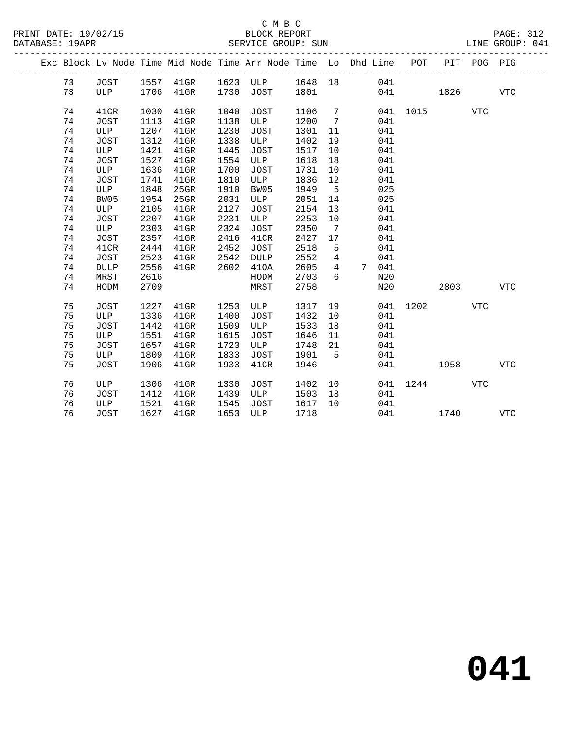|  |          |             |              |                        |              | Exc Block Lv Node Time Mid Node Time Arr Node Time Lo Dhd Line POT |              |                  |    |       |          |      | PIT POG PIG |            |
|--|----------|-------------|--------------|------------------------|--------------|--------------------------------------------------------------------|--------------|------------------|----|-------|----------|------|-------------|------------|
|  | 73       | JOST        |              |                        |              | 1557 41GR 1623 ULP 1648 18                                         |              |                  |    | 041   |          |      |             |            |
|  | 73       | ULP         |              | 1706  41GR  1730  JOST |              |                                                                    | 1801         |                  |    |       | 041      | 1826 |             | VTC        |
|  |          |             |              |                        |              |                                                                    | 1106 7       |                  |    |       |          |      |             |            |
|  | 74<br>74 | 41CR        | 1030         | $41$ GR                | 1040<br>1138 | JOST<br>ULP                                                        |              | $\overline{7}$   |    | 041   | 041 1015 |      | <b>VTC</b>  |            |
|  | 74       | JOST<br>ULP | 1113<br>1207 | $41$ GR<br>$41$ GR     | 1230         | JOST                                                               | 1200<br>1301 | 11               |    | 041   |          |      |             |            |
|  | 74       | JOST        | 1312         | $41$ GR                | 1338         | ULP                                                                | 1402         | 19               |    | 041   |          |      |             |            |
|  | 74       | ULP         | 1421         | $41$ GR                | 1445         | JOST                                                               | 1517         | 10               |    | 041   |          |      |             |            |
|  | 74       | JOST        | 1527         | $41$ GR                | 1554         | ULP                                                                | 1618         | 18               |    | 041   |          |      |             |            |
|  | 74       | ULP         | 1636         | $41$ GR                | 1700         | JOST                                                               | 1731         | 10               |    | 041   |          |      |             |            |
|  | 74       | JOST        | 1741         | $41$ GR                | 1810         | ULP                                                                | 1836         | 12               |    | 041   |          |      |             |            |
|  | 74       | ULP         | 1848         | 25GR                   | 1910         | BW05                                                               | 1949         | $-5$             |    | 025   |          |      |             |            |
|  | 74       | BW05        | 1954         | 25GR                   | 2031         | ULP                                                                | 2051         | 14               |    | 025   |          |      |             |            |
|  | 74       | ULP         | 2105         | $41$ GR                | 2127         | JOST                                                               | 2154         | 13               |    | 041   |          |      |             |            |
|  | 74       | JOST        | 2207         | $41$ GR                | 2231         | ULP                                                                | 2253         | 10               |    | 041   |          |      |             |            |
|  | 74       | ULP         | 2303         | $41$ GR                | 2324         | JOST                                                               | 2350         | 7                |    | 041   |          |      |             |            |
|  | 74       | <b>JOST</b> | 2357         | $41$ GR                | 2416         | 41CR                                                               | 2427         | 17               |    | 041   |          |      |             |            |
|  | 74       | 41CR        | 2444         | $41$ GR                | 2452         | JOST                                                               | 2518         | 5                |    | 041   |          |      |             |            |
|  | 74       | <b>JOST</b> | 2523         | $41$ GR                | 2542         | DULP                                                               | 2552         | $\overline{4}$   |    | 041   |          |      |             |            |
|  | 74       | <b>DULP</b> | 2556         | $41$ GR                | 2602         | 410A                                                               | 2605         | $4\overline{ }$  |    | 7 041 |          |      |             |            |
|  | 74       | MRST        | 2616         |                        |              | HODM                                                               | 2703         | $6 \overline{6}$ |    | N20   |          |      |             |            |
|  | 74       | HODM        | 2709         |                        |              | MRST                                                               | 2758         |                  |    | N20   |          | 2803 |             | VTC        |
|  |          |             |              |                        |              |                                                                    |              |                  |    |       |          |      |             |            |
|  | 75       | JOST        | 1227         | $41$ GR                | 1253         | ULP                                                                | 1317 19      |                  |    |       | 041 1202 |      | VTC         |            |
|  | 75       | ULP         | 1336         | $41$ GR                | 1400         | <b>JOST</b>                                                        | 1432         | 10               |    | 041   |          |      |             |            |
|  | 75       | JOST        | 1442         | $41$ GR                | 1509         | ULP                                                                | 1533         | 18               |    | 041   |          |      |             |            |
|  | 75       | ULP         | 1551         | $41$ GR                | 1615         | JOST                                                               | 1646         | 11               |    | 041   |          |      |             |            |
|  | 75       | JOST        | 1657         | $41$ GR                | 1723         | ULP                                                                | 1748         | 21               |    | 041   |          |      |             |            |
|  | 75       | ULP         | 1809         | 41GR                   | 1833         | JOST                                                               | 1901         | $5^{\circ}$      |    | 041   |          |      |             |            |
|  | 75       | JOST        | 1906         | $41$ GR                | 1933         | 41CR                                                               | 1946         |                  |    |       |          | 1958 |             | VTC        |
|  | 76       | ULP         | 1306         | $41$ GR                | 1330         | JOST                                                               | 1402         |                  | 10 |       | 041 1244 |      | VTC         |            |
|  | 76       | JOST        | 1412         | 41GR                   | 1439         | ULP                                                                | 1503         | 18               |    | 041   |          |      |             |            |
|  | 76       | ULP         | 1521         | 41GR                   | 1545         | JOST                                                               | 1617         | 10               |    | 041   |          |      |             |            |
|  | 76       | JOST        | 1627         | 41GR                   | 1653         | ULP                                                                | 1718         |                  |    |       | 041 04   | 1740 |             | <b>VTC</b> |
|  |          |             |              |                        |              |                                                                    |              |                  |    |       |          |      |             |            |